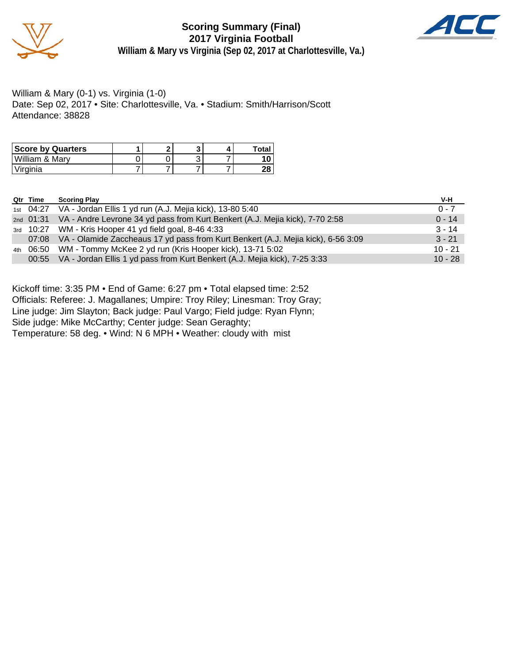

**Scoring Summary (Final) 2017 Virginia Football William & Mary vs Virginia (Sep 02, 2017 at Charlottesville, Va.)**



William & Mary (0-1) vs. Virginia (1-0) Date: Sep 02, 2017 • Site: Charlottesville, Va. • Stadium: Smith/Harrison/Scott Attendance: 38828

| <b>Score by Quarters</b> |  |  | Total |
|--------------------------|--|--|-------|
| William & Mary           |  |  |       |
| 'Virginia                |  |  |       |

|     | Qtr Time | <b>Scoring Play</b>                                                                    | V-H       |
|-----|----------|----------------------------------------------------------------------------------------|-----------|
|     |          | 1st 04:27 VA - Jordan Ellis 1 yd run (A.J. Mejia kick), 13-80 5:40                     | $0 - 7$   |
|     |          | 2nd 01:31 VA - Andre Levrone 34 yd pass from Kurt Benkert (A.J. Mejia kick), 7-70 2:58 | $0 - 14$  |
|     |          | 3rd 10:27 WM - Kris Hooper 41 yd field goal, 8-46 4:33                                 | $3 - 14$  |
|     |          | 07:08 VA - Olamide Zaccheaus 17 yd pass from Kurt Benkert (A.J. Mejia kick), 6-56 3:09 | $3 - 21$  |
| 4th |          | 06:50 WM - Tommy McKee 2 yd run (Kris Hooper kick), 13-71 5:02                         | $10 - 21$ |
|     |          | 00:55 VA - Jordan Ellis 1 yd pass from Kurt Benkert (A.J. Mejia kick), 7-25 3:33       | $10 - 28$ |

Kickoff time: 3:35 PM • End of Game: 6:27 pm • Total elapsed time: 2:52

Officials: Referee: J. Magallanes; Umpire: Troy Riley; Linesman: Troy Gray;

Line judge: Jim Slayton; Back judge: Paul Vargo; Field judge: Ryan Flynn;

Side judge: Mike McCarthy; Center judge: Sean Geraghty;

Temperature: 58 deg. • Wind: N 6 MPH • Weather: cloudy with mist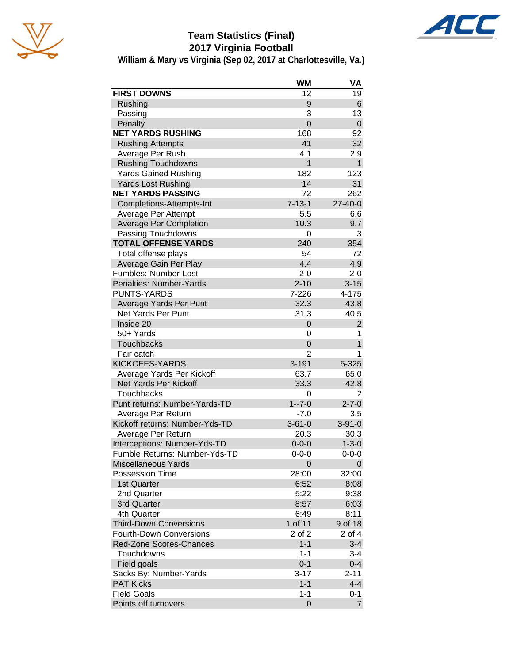



**William & Mary vs Virginia (Sep 02, 2017 at Charlottesville, Va.)**

|                                | <b>WM</b>      | VA             |
|--------------------------------|----------------|----------------|
| <b>FIRST DOWNS</b>             | 12             | 19             |
| Rushing                        | 9              | 6              |
| Passing                        | 3              | 13             |
| Penalty                        | $\overline{0}$ | $\mathbf 0$    |
| <b>NET YARDS RUSHING</b>       | 168            | 92             |
| <b>Rushing Attempts</b>        | 41             | 32             |
| Average Per Rush               | 4.1            | 2.9            |
| <b>Rushing Touchdowns</b>      | $\overline{1}$ | $\mathbf{1}$   |
| <b>Yards Gained Rushing</b>    | 182            | 123            |
| <b>Yards Lost Rushing</b>      | 14             | 31             |
| <b>NET YARDS PASSING</b>       | 72             | 262            |
| Completions-Attempts-Int       | $7 - 13 - 1$   | 27-40-0        |
| Average Per Attempt            | 5.5            | 6.6            |
| <b>Average Per Completion</b>  | 10.3           | 9.7            |
| Passing Touchdowns             | 0              | 3              |
| <b>TOTAL OFFENSE YARDS</b>     | 240            | 354            |
| Total offense plays            | 54             | 72             |
| Average Gain Per Play          | 4.4            | 4.9            |
| Fumbles: Number-Lost           | $2 - 0$        | $2 - 0$        |
| Penalties: Number-Yards        | $2 - 10$       | $3 - 15$       |
| <b>PUNTS-YARDS</b>             | 7-226          | 4-175          |
| Average Yards Per Punt         | 32.3           | 43.8           |
| <b>Net Yards Per Punt</b>      | 31.3           | 40.5           |
| Inside 20                      | 0              | $\overline{c}$ |
| 50+ Yards                      | 0              | 1              |
| <b>Touchbacks</b>              | 0              | $\mathbf{1}$   |
| Fair catch                     | 2              | 1              |
| <b>KICKOFFS-YARDS</b>          | $3 - 191$      | 5-325          |
| Average Yards Per Kickoff      | 63.7           | 65.0           |
| Net Yards Per Kickoff          | 33.3           | 42.8           |
| <b>Touchbacks</b>              | 0              | 2              |
| Punt returns: Number-Yards-TD  | $1 - 7 - 0$    | $2 - 7 - 0$    |
| Average Per Return             | $-7.0$         | 3.5            |
| Kickoff returns: Number-Yds-TD | $3 - 61 - 0$   | $3 - 91 - 0$   |
| Average Per Return             | 20.3           | 30.3           |
| Interceptions: Number-Yds-TD   | $0 - 0 - 0$    | $1 - 3 - 0$    |
| Fumble Returns: Number-Yds-TD  | $0 - 0 - 0$    | $0 - 0 - 0$    |
| <b>Miscellaneous Yards</b>     | 0              | 0              |
| Possession Time                | 28:00          | 32:00          |
| 1st Quarter                    | 6:52           | 8:08           |
| 2nd Quarter                    | 5:22           | 9:38           |
| 3rd Quarter                    | 8:57           | 6:03           |
| 4th Quarter                    | 6:49           | 8:11           |
| <b>Third-Down Conversions</b>  | 1 of 11        | 9 of 18        |
| <b>Fourth-Down Conversions</b> | 2 of 2         | 2 of 4         |
| Red-Zone Scores-Chances        | $1 - 1$        | $3 - 4$        |
| Touchdowns                     | $1 - 1$        | 3-4            |
| Field goals                    | $0 - 1$        | $0 - 4$        |
| Sacks By: Number-Yards         | $3 - 17$       | $2 - 11$       |
| <b>PAT Kicks</b>               | $1 - 1$        | $4 - 4$        |
| <b>Field Goals</b>             | $1 - 1$        | 0-1            |
| Points off turnovers           | 0              | $\overline{7}$ |

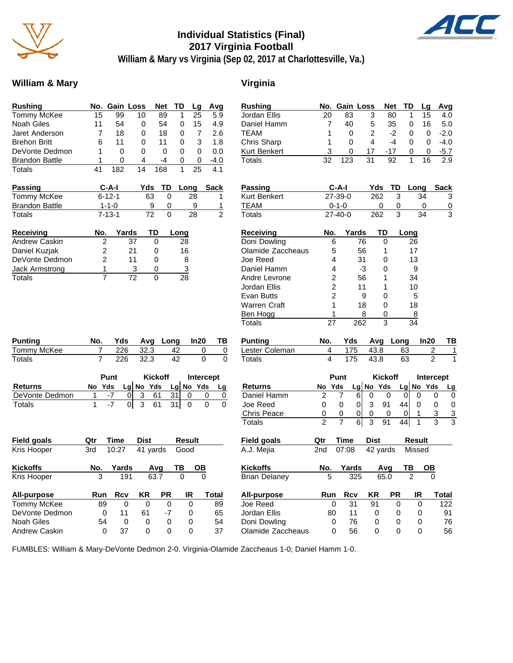

## **Individual Statistics (Final) 2017 Virginia Football**



**William & Mary vs Virginia (Sep 02, 2017 at Charlottesville, Va.)**

#### William & Mary **Virginia**

| <b>Rushing</b>                      | No.            |              | <b>Gain Loss</b> | <b>Net</b>     | TD       | Lg               | Avg           |
|-------------------------------------|----------------|--------------|------------------|----------------|----------|------------------|---------------|
| <b>Tommy McKee</b>                  | 15             | 99           | 10               | 89             | 1        | 25               | 5.9           |
| <b>Noah Giles</b>                   | 11             | 54           | 0                | 54             | 0        | 15               | 4.9           |
| <b>Jaret Anderson</b>               | 7              | 18           | 0                | 18             | 0        | 7                | 2.6           |
| <b>Brehon Britt</b>                 | 6              | 11           | 0                | 11             | 0        | 3                | 1.8           |
| DeVonte Dedmon                      | 1              | 0            | 0                | 0              | 0        | 0                | 0.0           |
| <b>Brandon Battle</b>               | 1              | 0            | 4                | $-4$           | 0        | 0                | $-4.0$        |
| <b>Totals</b>                       | 41             | 182          | 14               | 168            | 1        | 25               | 4.1           |
| <b>Passing</b>                      |                | C-A-I        | Yds              | TD             |          | Long             | <b>Sack</b>   |
| <b>Tommy McKee</b>                  |                | $6 - 12 - 1$ |                  | 63             | 0        | 28               | 1             |
| <b>Brandon Battle</b>               |                | $1 - 1 - 0$  |                  | 9              | 0        | 9                | 1             |
| Totals                              |                | $7 - 13 - 1$ |                  | 72             | 0        | 28               | $\frac{1}{2}$ |
|                                     |                |              |                  |                |          |                  |               |
| Receiving                           | No.            |              | Yards            | TD             | Long     |                  |               |
| <b>Andrew Caskin</b>                | 2              |              | 37               | 0              | 28       |                  |               |
| Daniel Kuzjak                       | $\overline{c}$ |              | 21               | 0              |          | 16               |               |
| DeVonte Dedmon                      | $\overline{2}$ |              | 11               | 0              |          | 8                |               |
| Jack Armstrong                      | $\mathbf 1$    |              | 3                | 0              |          | 3                |               |
| Totals                              | $\overline{7}$ |              | 72               | 0              | 28       |                  |               |
|                                     |                |              |                  |                |          |                  |               |
|                                     |                | Yds          |                  |                |          | ln20             |               |
| Punting                             | No.<br>7       | 226          | Avg              |                | Long     | 0                | ΤВ            |
| Tommy McKee<br>Totals               | 7              | 226          | 32.3<br>32.3     |                | 42<br>42 | 0                | 0<br>0        |
|                                     |                |              |                  |                |          |                  |               |
|                                     |                | Punt         |                  | <b>Kickoff</b> |          | <b>Intercept</b> |               |
| <b>Returns</b>                      | No             | Yds          | Lg No Yds        |                | Lg No    | Yds              | Lg            |
| DeVonte Dedmon                      | 1              | -7           | 3<br>0           | 61             | 31       | 0                | 0<br>0        |
| Totals                              | 1              | $-7$         | 3<br>01          | 61             | 31       | 0                | 0<br>0        |
|                                     |                |              |                  |                |          |                  |               |
|                                     | Qtr            | Time         | Dist             |                |          | <b>Result</b>    |               |
| Field goals<br>Kris Hooper          | 3rd            | 10:27        |                  | 41 yards       |          | Good             |               |
|                                     |                |              |                  |                |          |                  |               |
| Kickoffs<br>Kris Hooper             | No.<br>3       | Yards        | 191              | Avg<br>63.7    | ΤВ<br>0  | OВ<br>0          |               |
|                                     |                |              |                  |                |          |                  |               |
| All-purpose                         | Run            | Rcv          | ΚR               | PR             |          | IR               | Total         |
| Tommy McKee                         | 89             |              | 0<br>0           |                | 0        | 0                | 89            |
| DeVonte Dedmon<br><b>Noah Giles</b> | 0<br>54        | 11           | 61<br>0<br>0     |                | -7<br>0  | 0<br>0           | 65<br>54      |

| <b>Rushing</b>       | No.             |                | Gain Loss        |     |                           | Net      |                 | TD            |      | Lg             | Avg            |
|----------------------|-----------------|----------------|------------------|-----|---------------------------|----------|-----------------|---------------|------|----------------|----------------|
| Jordan Ellis         | 20              |                | 83               |     | 3                         |          | 80              | 1             |      | 15             | 4.0            |
| Daniel Hamm          | 7               |                | 40               |     | 5                         |          | 35              | 0             |      | 16             | 5.0            |
| TEAM                 | 1               |                | 0                |     | 2                         |          | -2              | 0             |      | 0              | $-2.0$         |
| Chris Sharp          | 1               |                | 0                |     | 4                         |          | $-4$            | 0             |      | 0              | $-4.0$         |
| Kurt Benkert         | 3               |                | 0                |     | 17                        |          | -17             | 0             |      | 0              | $-5.7$         |
| Totals               | $\overline{32}$ |                | $\overline{123}$ |     | 31                        |          | $\overline{92}$ | 1             |      | 16             | 2.9            |
| Passing              |                 | C-A-I          |                  |     | Yds                       |          | TD              |               | Long |                | <b>Sack</b>    |
| Kurt Benkert         |                 | 27-39-0        |                  |     |                           | 262      | 3               |               | 34   |                | 3              |
| TEAM                 |                 | $0 - 1 - 0$    |                  |     |                           | 0        | 0               |               |      | 0              | $\overline{0}$ |
| Totals               |                 | $27 - 40 - 0$  |                  |     |                           | 262      | 3               |               | 34   |                | 3              |
| Receiving            | No.             |                | Yards            |     |                           | TD       |                 | Long          |      |                |                |
| Doni Dowling         |                 | 6              |                  | 76  |                           | 0        |                 | 26            |      |                |                |
| Olamide Zaccheaus    |                 | 5              |                  | 56  |                           | 1        |                 | 17            |      |                |                |
| Joe Reed             |                 | 4              |                  | 31  |                           | 0        |                 | 13            |      |                |                |
| Daniel Hamm          |                 | 4              |                  | -3  |                           | 0        |                 |               | 9    |                |                |
| Andre Levrone        |                 | 2              |                  | 56  |                           | 1        |                 | 34            |      |                |                |
| Jordan Ellis         |                 | $\overline{2}$ |                  | 11  |                           | 1        |                 | 10            |      |                |                |
| <b>Evan Butts</b>    |                 | $\overline{2}$ |                  |     | 9                         | 0        |                 |               | 5    |                |                |
| Warren Craft         |                 | 1              |                  | 18  |                           | 0        |                 | 18            |      |                |                |
| Ben Hogg             |                 | 1              |                  |     | 8                         | 0        |                 |               | 8    |                |                |
| Totals               |                 | 27             |                  | 262 |                           | 3        |                 | 34            |      |                |                |
| <b>Punting</b>       | No.             |                | Yds              |     |                           | Avg Long |                 |               |      | In20           | ΤВ             |
| Lester Coleman       | 4               |                | 175              |     | 43.8                      |          |                 | 63            |      | $\overline{c}$ | 1              |
| Totals               | 4               |                | 175              |     | 43.8                      |          |                 | 63            |      | $\overline{2}$ | 1              |
|                      |                 | Punt           |                  |     |                           | Kickoff  |                 |               |      |                | Intercept      |
| Returns              | No              | Yds            |                  | Lgl | No                        | Yds      |                 | Lg No         |      | Yds            | Lg             |
| Daniel Hamm          | 2               | 7              |                  | 6   | 0                         | 0        |                 | 0             | 0    |                | 0<br>0         |
| Joe Reed             | 0               | 0              |                  | 0   | 3                         | 91       |                 | 44            | 0    |                | 0<br>0         |
| Chris Peace          | 0               | 0              |                  | 0   | 0                         | 0        |                 | 0             | 1    |                | 3<br>3         |
| Totals               | $\overline{2}$  | 7              |                  | 6   | $\overline{\overline{3}}$ | 91       |                 | 44            | 1    |                | 3<br>3         |
| Field goals          | Qtr             |                | Time             |     | Dist                      |          |                 | <b>Result</b> |      |                |                |
| A.J. Mejia           | 2nd             |                | 07:08            |     |                           | 42 yards |                 | Missed        |      |                |                |
| Kickoffs             | No.             |                | Yards            |     |                           | Avg      |                 | ΤВ            |      | OВ             |                |
| <b>Brian Delaney</b> | 5               |                |                  | 325 |                           | 65.0     |                 | 2             |      | 0              |                |
|                      |                 |                |                  |     |                           |          |                 |               |      |                |                |
| All-purpose          | Run             |                | Rcv              |     | ΚR                        |          | PR              |               | IR   |                | Total          |
| Joe Reed             |                 | 0              | 31               |     | 91                        |          | 0               |               | 0    |                | 122            |
| Jordan Ellis         |                 | 80             | 11               |     |                           | 0        | 0               |               | 0    |                | 91             |
| Doni Dowling         |                 | 0              | 76               |     | 0                         |          | 0               |               | 0    |                | 76             |

Olamide Zaccheaus 0 56 0 0 0 56

FUMBLES: William & Mary-DeVonte Dedmon 2-0. Virginia-Olamide Zaccheaus 1-0; Daniel Hamm 1-0.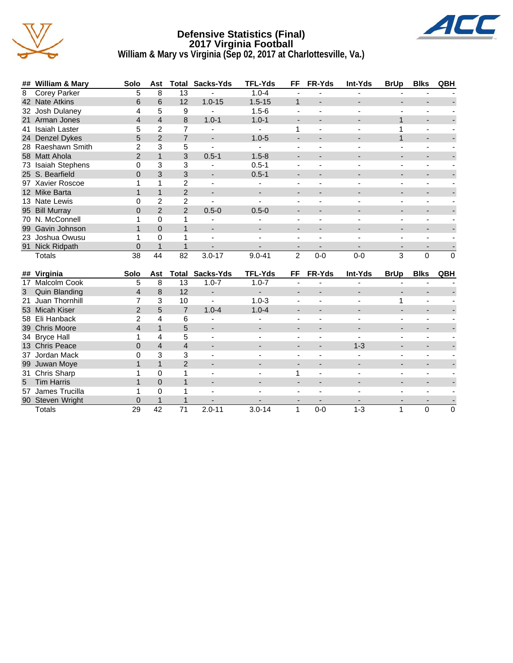

#### **Defensive Statistics (Final) 2017 Virginia Football William & Mary vs Virginia (Sep 02, 2017 at Charlottesville, Va.)**



|   | ## William & Mary  | Solo | Ast            | Total          | Sacks-Yds                | <b>TFL-Yds</b> | <b>FF</b>      | <b>FR-Yds</b> | Int-Yds        | <b>BrUp</b> | <b>Blks</b> | QBH      |
|---|--------------------|------|----------------|----------------|--------------------------|----------------|----------------|---------------|----------------|-------------|-------------|----------|
| 8 | Corey Parker       | 5.   | 8              | 13             |                          | $1.0 - 4$      |                |               |                |             |             |          |
|   | 42 Nate Atkins     | 6    | 6              | 12             | $1.0 - 15$               | $1.5 - 15$     |                |               |                |             |             |          |
|   | 32 Josh Dulaney    | 4    | 5              | 9              |                          | $1.5 - 6$      |                |               |                |             |             |          |
|   | 21 Arman Jones     | 4    | 4              | 8              | $1.0 - 1$                | $1.0 - 1$      |                |               |                |             |             |          |
|   | 41 Isaiah Laster   | 5    | 2              |                |                          |                |                |               |                |             |             |          |
|   | 24 Denzel Dykes    | 5    | 2              |                |                          | $1.0 - 5$      |                |               |                |             |             |          |
|   | 28 Raeshawn Smith  |      | 3              | 5              |                          |                |                |               |                |             |             |          |
|   | 58 Matt Ahola      | 2    |                | 3              | $0.5 - 1$                | $1.5 - 8$      |                |               |                |             |             |          |
|   | 73 Isaiah Stephens |      | 3              | 3              |                          | $0.5 - 1$      |                |               |                |             |             |          |
|   | 25 S. Bearfield    |      | 3              | 3              |                          | $0.5 - 1$      |                |               |                |             |             |          |
|   | 97 Xavier Roscoe   |      |                | $\mathfrak{p}$ |                          |                |                |               |                |             |             |          |
|   | 12 Mike Barta      |      |                | $\overline{2}$ | $\overline{\phantom{a}}$ |                |                |               |                |             |             |          |
|   | 13 Nate Lewis      |      | 2              | 2              |                          |                |                |               |                |             |             |          |
|   | 95 Bill Murray     | 0    | $\overline{2}$ | $\mathcal{P}$  | $0.5 - 0$                | $0.5 - 0$      |                |               |                |             |             |          |
|   | 70 N. McConnell    |      | 0              |                |                          |                |                |               |                |             |             |          |
|   | 99 Gavin Johnson   |      | $\Omega$       |                | $\overline{\phantom{a}}$ |                |                |               |                |             |             |          |
|   | 23 Joshua Owusu    |      | 0              |                | $\blacksquare$           |                |                |               |                |             |             |          |
|   | 91 Nick Ridpath    |      |                |                |                          |                |                |               |                |             |             |          |
|   | Totals             | 38   | 44             | 82             | $3.0 - 17$               | $9.0 - 41$     | $\overline{2}$ | $0-0$         | $0-0$          | 3           | $\Omega$    | $\Omega$ |
|   |                    |      |                |                |                          |                |                |               |                |             |             |          |
|   | ## Virginia        | Solo | Ast            |                | <b>Total Sacks-Yds</b>   | <b>TFL-Yds</b> | FF.            | <b>FR-Yds</b> | <b>Int-Yds</b> | <b>BrUp</b> | <b>Blks</b> | QBH      |

|    | $##$ virginia     | <b>SOIO</b> | AST      | i otal        | Sacks-rus                | IFL-TOS                  | FЕ                       | <b>FR-10S</b>            | INT-TOS | <b>Brup</b>              | <b>BIKS</b> | <b>UDN</b> |
|----|-------------------|-------------|----------|---------------|--------------------------|--------------------------|--------------------------|--------------------------|---------|--------------------------|-------------|------------|
| 17 | Malcolm Cook      | 5           | 8        | 13            | $1.0 - 7$                | $1.0 - 7$                |                          |                          |         |                          |             |            |
| 3  | Quin Blanding     | 4           | 8        | 12            | ٠                        | $\overline{\phantom{a}}$ |                          |                          |         |                          |             |            |
|    | 21 Juan Thornhill |             | 3        | 10            | ۰                        | $1.0 - 3$                |                          |                          |         |                          |             |            |
|    | 53 Micah Kiser    | 2           | 5        |               | $1.0 - 4$                | $1.0 - 4$                |                          |                          |         |                          |             |            |
|    | 58 Eli Hanback    | 2           | 4        | 6             |                          |                          |                          |                          |         |                          |             |            |
|    | 39 Chris Moore    |             |          | 5             |                          |                          | $\overline{\phantom{a}}$ |                          |         |                          |             |            |
|    | 34 Bryce Hall     |             | 4        | 5             |                          |                          | $\overline{\phantom{0}}$ |                          |         |                          |             |            |
|    | 13 Chris Peace    | 0           | 4        | 4             | $\overline{\phantom{0}}$ |                          | $\overline{\phantom{a}}$ |                          | $1 - 3$ |                          |             |            |
|    | 37 Jordan Mack    | 0           | 3        | 3             |                          |                          |                          |                          |         |                          |             |            |
|    | 99 Juwan Moye     |             |          | $\mathcal{P}$ | $\overline{\phantom{0}}$ |                          | $\overline{\phantom{a}}$ |                          |         | $\overline{\phantom{0}}$ |             |            |
|    | 31 Chris Sharp    |             |          |               |                          |                          |                          |                          |         |                          |             |            |
| 5  | <b>Tim Harris</b> |             | $\Omega$ |               | $\overline{\phantom{0}}$ |                          | $\overline{\phantom{a}}$ | $\overline{\phantom{0}}$ | -       | $\overline{\phantom{0}}$ |             |            |
|    | 57 James Trucilla |             |          |               |                          |                          |                          |                          |         |                          |             |            |
|    | 90 Steven Wright  | 0           |          |               |                          |                          |                          |                          |         |                          |             |            |
|    | <b>Totals</b>     | 29          | 42       | 71            | $2.0 - 11$               | $3.0 - 14$               |                          | $0-0$                    | $1 - 3$ |                          | $\Omega$    | 0          |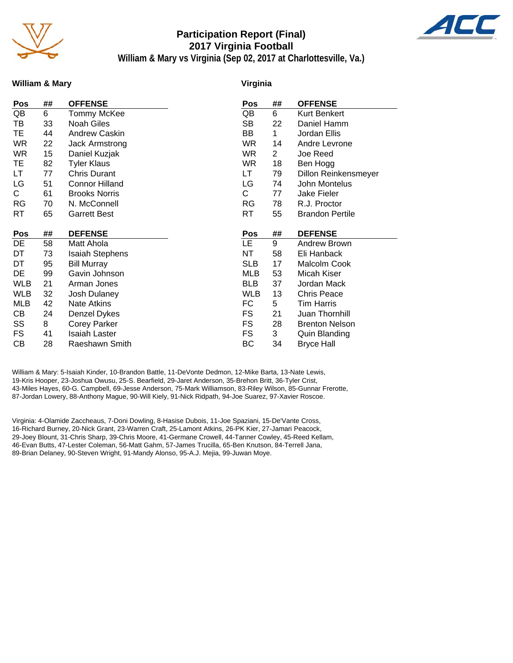

## **Participation Report (Final) 2017 Virginia Football**



**William & Mary vs Virginia (Sep 02, 2017 at Charlottesville, Va.)**

#### **William & Mary**

#### **Virginia**

| Pos        | ## | <b>OFFENSE</b>         | Pos        | ##             | <b>OFFENSE</b>              |
|------------|----|------------------------|------------|----------------|-----------------------------|
| QB         | 6  | Tommy McKee            | QB         | 6              | Kurt Benkert                |
| TВ         | 33 | Noah Giles             | SB         | 22             | Daniel Hamm                 |
| TE         | 44 | Andrew Caskin          | BB         | 1              | Jordan Ellis                |
| WR         | 22 | Jack Armstrong         | <b>WR</b>  | 14             | Andre Levrone               |
| <b>WR</b>  | 15 | Daniel Kuzjak          | <b>WR</b>  | $\overline{2}$ | Joe Reed                    |
| ТE         | 82 | <b>Tyler Klaus</b>     | <b>WR</b>  | 18             | Ben Hogg                    |
| LT         | 77 | <b>Chris Durant</b>    | LT         | 79             | <b>Dillon Reinkensmeyer</b> |
| LG         | 51 | <b>Connor Hilland</b>  | LG         | 74             | John Montelus               |
| С          | 61 | <b>Brooks Norris</b>   | С          | 77             | Jake Fieler                 |
| RG         | 70 | N. McConnell           | RG         | 78             | R.J. Proctor                |
| RT         | 65 | <b>Garrett Best</b>    | RT         | 55             | <b>Brandon Pertile</b>      |
|            |    |                        |            |                |                             |
| Pos        | ## | <b>DEFENSE</b>         | Pos        | ##             | <b>DEFENSE</b>              |
| DE         |    |                        |            |                |                             |
|            | 58 | Matt Ahola             | LE.        | 9              | <b>Andrew Brown</b>         |
| DT         | 73 | <b>Isaiah Stephens</b> | NΤ         | 58             | Eli Hanback                 |
| DT         | 95 | <b>Bill Murray</b>     | <b>SLB</b> | 17             | Malcolm Cook                |
| DE         | 99 | Gavin Johnson          | MLB        | 53             | Micah Kiser                 |
| WLB        | 21 | Arman Jones            | <b>BLB</b> | 37             | Jordan Mack                 |
| <b>WLB</b> | 32 | Josh Dulaney           | <b>WLB</b> | 13             | <b>Chris Peace</b>          |
| MLB        | 42 | Nate Atkins            | FC         | 5              | Tim Harris                  |
| CВ         | 24 | Denzel Dykes           | FS         | 21             | Juan Thornhill              |
| SS         | 8  | <b>Corey Parker</b>    | FS         | 28             | <b>Brenton Nelson</b>       |
| FS         | 41 | <b>Isaiah Laster</b>   | FS         | 3              | Quin Blanding               |

William & Mary: 5-Isaiah Kinder, 10-Brandon Battle, 11-DeVonte Dedmon, 12-Mike Barta, 13-Nate Lewis, 19-Kris Hooper, 23-Joshua Owusu, 25-S. Bearfield, 29-Jaret Anderson, 35-Brehon Britt, 36-Tyler Crist, 43-Miles Hayes, 60-G. Campbell, 69-Jesse Anderson, 75-Mark Williamson, 83-Riley Wilson, 85-Gunnar Frerotte, 87-Jordan Lowery, 88-Anthony Mague, 90-Will Kiely, 91-Nick Ridpath, 94-Joe Suarez, 97-Xavier Roscoe.

Virginia: 4-Olamide Zaccheaus, 7-Doni Dowling, 8-Hasise Dubois, 11-Joe Spaziani, 15-De'Vante Cross, 16-Richard Burney, 20-Nick Grant, 23-Warren Craft, 25-Lamont Atkins, 26-PK Kier, 27-Jamari Peacock, 29-Joey Blount, 31-Chris Sharp, 39-Chris Moore, 41-Germane Crowell, 44-Tanner Cowley, 45-Reed Kellam, 46-Evan Butts, 47-Lester Coleman, 56-Matt Gahm, 57-James Trucilla, 65-Ben Knutson, 84-Terrell Jana, 89-Brian Delaney, 90-Steven Wright, 91-Mandy Alonso, 95-A.J. Mejia, 99-Juwan Moye.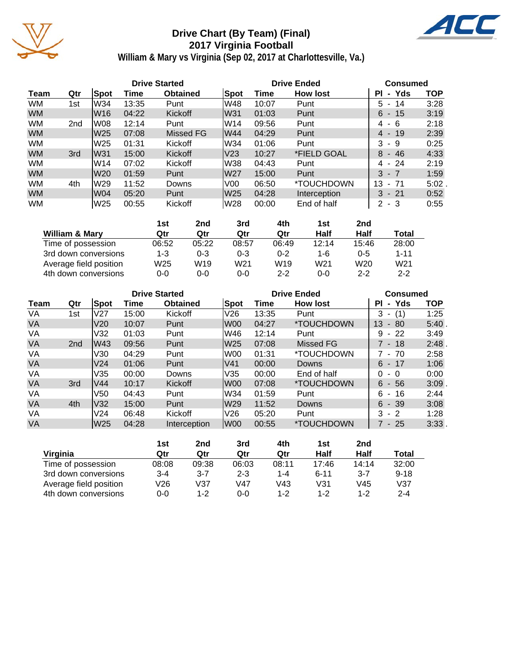

## **Drive Chart (By Team) (Final) 2017 Virginia Football**



**William & Mary vs Virginia (Sep 02, 2017 at Charlottesville, Va.)**

|           |                 |      |       | <b>Drive Started</b> |      | <b>Drive Ended</b> | <b>Consumed</b> |                    |            |
|-----------|-----------------|------|-------|----------------------|------|--------------------|-----------------|--------------------|------------|
| Team      | Qtr             | Spot | Time  | <b>Obtained</b>      | Spot | Time               | <b>How lost</b> | - Yds<br><b>PI</b> | <b>TOP</b> |
| <b>WM</b> | 1st             | W34  | 13:35 | Punt                 | lW48 | 10:07              | Punt            | 5 - 14             | 3:28       |
| <b>WM</b> |                 | lW16 | 04:22 | <b>Kickoff</b>       | W31  | 01:03              | Punt            | $6 - 15$           | 3:19       |
| <b>WM</b> | 2 <sub>nd</sub> | lW08 | 12:14 | Punt                 | lW14 | 09:56              | Punt            | 4 - 6              | 2:18       |
| <b>WM</b> |                 | W25  | 07:08 | Missed FG            | W44  | 04:29              | Punt            | $4 - 19$           | 2:39       |
| <b>WM</b> |                 | W25  | 01:31 | Kickoff              | lW34 | 01:06              | Punt            | 3<br>-9            | 0:25       |
| <b>WM</b> | 3rd             | W31  | 15:00 | Kickoff              | V23  | 10:27              | *FIELD GOAL     | 8<br>$-46$         | 4:33       |
| <b>WM</b> |                 | lW14 | 07:02 | Kickoff              | lW38 | 04:43              | Punt            | 4 - 24             | 2:19       |
| <b>WM</b> |                 | W20  | 01:59 | Punt                 | W27  | 15:00              | Punt            | $3 - 7$            | 1:59       |
| <b>WM</b> | 4th             | lW29 | 11:52 | Downs                | V00  | 06:50              | *TOUCHDOWN      | 13<br>$-71$        | $5:02$ .   |
| <b>WM</b> |                 | W04  | 05:20 | Punt                 | W25  | 04:28              | Interception    | $3 - 21$           | 0:52       |
| <b>WM</b> |                 | lW25 | 00:55 | Kickoff              | lW28 | 00:00              | End of half     | $2 - 3$            | 0:55       |

|                           | 1st     | 2nd     | 3rd             | 4th             | 1st             | 2nd             |                 |
|---------------------------|---------|---------|-----------------|-----------------|-----------------|-----------------|-----------------|
| <b>William &amp; Mary</b> | Qtr     | Qtr     | Qtr             | Qtr             | Half            | Half            | Total           |
| Time of possession        | 06:52   | 05:22   | 08:57           | 06:49           | 12:14           | 15:46           | 28:00           |
| 3rd down conversions      | 1-3     | $0 - 3$ | $0 - 3$         | 0-2             | 1-6             | $0 - 5$         | $1 - 11$        |
| Average field position    | W25     | W19     | W <sub>21</sub> | W <sub>19</sub> | W <sub>21</sub> | W <sub>20</sub> | W <sub>21</sub> |
| 4th down conversions      | $0 - 0$ | 0-0     | $0 - 0$         | $2 - 2$         | $0 - 0$         | $2 - 2$         | $2 - 2$         |

|           |                 |                 |       | <b>Drive Started</b> |      |       | <b>Drive Ended</b> | <b>Consumed</b>                     |            |  |
|-----------|-----------------|-----------------|-------|----------------------|------|-------|--------------------|-------------------------------------|------------|--|
| Team      | Qtr             | Spot            | Time  | <b>Obtained</b>      | Spot | Time  | <b>How lost</b>    | - Yds<br>ΡI                         | <b>TOP</b> |  |
| VA        | 1st             | V27             | 15:00 | Kickoff              | V26  | 13:35 | Punt               | 3<br>(1)                            | 1:25       |  |
| <b>VA</b> |                 | V <sub>20</sub> | 10:07 | Punt                 | W00  | 04:27 | *TOUCHDOWN         | 13 <sup>°</sup><br>- 80             | 5:40.      |  |
| VA        |                 | V32             | 01:03 | Punt                 | W46  | 12:14 | Punt               | 9<br>$-22$                          | 3:49       |  |
| <b>VA</b> | 2 <sub>nd</sub> | lW43            | 09:56 | Punt                 | W25  | 07:08 | <b>Missed FG</b>   | $7 - 18$                            | 2:48.      |  |
| VA        |                 | V30             | 04:29 | Punt                 | W00  | 01:31 | *TOUCHDOWN         | 7 - 70                              | 2:58       |  |
| <b>VA</b> |                 | V <sub>24</sub> | 01:06 | Punt                 | V41  | 00:00 | Downs              | $6 - 17$                            | 1:06       |  |
| VA        |                 | V35             | 00:00 | Downs                | V35  | 00:00 | End of half        | 0<br>- 0                            | 0:00       |  |
| <b>VA</b> | 3rd             | V44             | 10:17 | Kickoff              | W00  | 07:08 | *TOUCHDOWN         | $6 - 56$                            | $3:09$ .   |  |
| VA        |                 | V50             | 04:43 | Punt                 | W34  | 01:59 | Punt               | 6<br>16<br>$\overline{\phantom{a}}$ | 2:44       |  |
| <b>VA</b> | 4th             | V32             | 15:00 | Punt                 | W29  | 11:52 | Downs              | 6<br>$-39$                          | 3:08       |  |
| VA        |                 | V <sub>24</sub> | 06:48 | Kickoff              | V26  | 05:20 | Punt               | 3<br>$-2$                           | 1:28       |  |
| <b>VA</b> |                 | lW25            | 04:28 | Interception         | lW00 | 00:55 | *TOUCHDOWN         | 7 - 25                              | 3:33.      |  |

|                        | 1st     | 2nd     | 3rd     | 4th     | 1st      | 2nd     |          |
|------------------------|---------|---------|---------|---------|----------|---------|----------|
| Virginia               | Qtr     | Qtr     | Qtr     | Qtr     | Half     | Half    | Total    |
| Time of possession     | 08:08   | 09:38   | 06:03   | 08:11   | 17:46    | 14:14   | 32:00    |
| 3rd down conversions   | $3 - 4$ | $3 - 7$ | $2 - 3$ | $1 - 4$ | $6 - 11$ | $3 - 7$ | $9 - 18$ |
| Average field position | V26     | V37     | V47     | V43     | V31      | V45     | V37      |
| 4th down conversions   | $0 - 0$ | $1 - 2$ | 0-0     | $1 - 2$ | $1 - 2$  | 1-2     | $2 - 4$  |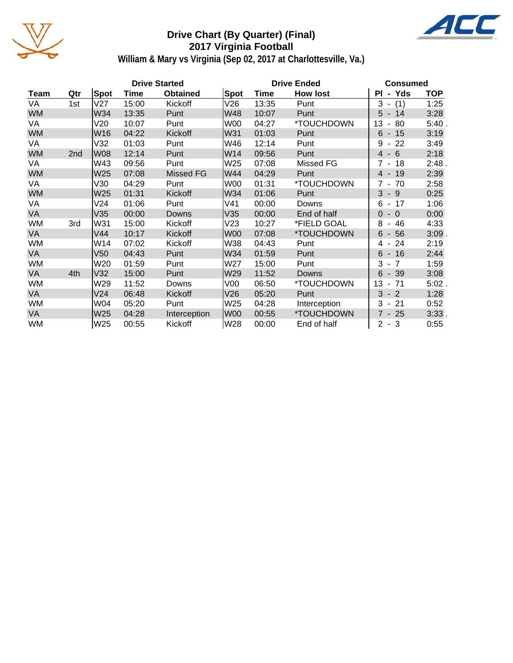

## **Drive Chart (By Quarter) (Final) 2017 Virginia Football**



**William & Mary vs Virginia (Sep 02, 2017 at Charlottesville, Va.)**

|           |     |             |             | <b>Drive Started</b> |                 | <b>Drive Ended</b> | Consumed        |                                      |            |
|-----------|-----|-------------|-------------|----------------------|-----------------|--------------------|-----------------|--------------------------------------|------------|
| Team      | Qtr | <b>Spot</b> | <b>Time</b> | <b>Obtained</b>      | <b>Spot</b>     | Time               | <b>How lost</b> | PI - Yds                             | <b>TOP</b> |
| VA        | 1st | V27         | 15:00       | Kickoff              | V26             | 13:35              | Punt            | $3 - (1)$                            | 1:25       |
| <b>WM</b> |     | W34         | 13:35       | Punt                 | W48             | 10:07              | Punt            | $5 - 14$                             | 3:28       |
| VA        |     | V20         | 10:07       | Punt                 | W00             | 04:27              | *TOUCHDOWN      | 13<br>80<br>$\overline{\phantom{a}}$ | 5:40.      |
| <b>WM</b> |     | W16         | 04:22       | Kickoff              | W31             | 01:03              | Punt            | $6 - 15$                             | 3:19       |
| VA        |     | V32         | 01:03       | Punt                 | W46             | 12:14              | Punt            | 22<br>9<br>$\sim$                    | 3:49       |
| <b>WM</b> | 2nd | <b>W08</b>  | 12:14       | Punt                 | W14             | 09:56              | Punt            | $4 - 6$                              | 2:18       |
| VA        |     | W43         | 09:56       | Punt                 | W25             | 07:08              | Missed FG       | 7 - 18                               | 2:48.      |
| <b>WM</b> |     | W25         | 07:08       | Missed FG            | W44             | 04:29              | Punt            | $4 - 19$                             | 2:39       |
| VA        |     | V30         | 04:29       | Punt                 | W00             | 01:31              | *TOUCHDOWN      | $7 - 70$                             | 2:58       |
| <b>WM</b> |     | W25         | 01:31       | Kickoff              | W34             | 01:06              | Punt            | $3 - 9$                              | 0:25       |
| VA        |     | V24         | 01:06       | Punt                 | V41             | 00:00              | Downs           | $6 - 17$                             | 1:06       |
| <b>VA</b> |     | V35         | 00:00       | Downs                | V35             | 00:00              | End of half     | $\Omega$<br>$-0$                     | 0:00       |
| WM        | 3rd | W31         | 15:00       | Kickoff              | V23             | 10:27              | *FIELD GOAL     | 8<br>46<br>$\blacksquare$            | 4:33       |
| <b>VA</b> |     | V44         | 10:17       | Kickoff              | W00             | 07:08              | *TOUCHDOWN      | 6<br>$-56$                           | 3:09       |
| WM        |     | W14         | 07:02       | Kickoff              | W38             | 04:43              | Punt            | 24<br>4 -                            | 2:19       |
| <b>VA</b> |     | V50         | 04:43       | Punt                 | W34             | 01:59              | Punt            | $6 - 16$                             | 2:44       |
| WM        |     | W20         | 01:59       | Punt                 | W27             | 15:00              | Punt            | $3 - 7$                              | 1:59       |
| <b>VA</b> | 4th | V32         | 15:00       | Punt                 | W29             | 11:52              | Downs           | $6 - 39$                             | 3:08       |
| WM        |     | W29         | 11:52       | Downs                | V <sub>00</sub> | 06:50              | *TOUCHDOWN      | 13<br>$-71$                          | $5:02$ .   |
| <b>VA</b> |     | V24         | 06:48       | Kickoff              | V26             | 05:20              | Punt            | 3<br>$-2$                            | 1:28       |
| WM        |     | W04         | 05:20       | Punt                 | W25             | 04:28              | Interception    | $3 - 21$                             | 0:52       |
| <b>VA</b> |     | W25         | 04:28       | Interception         | lW00            | 00:55              | *TOUCHDOWN      | 7 - 25                               | 3:33.      |
| <b>WM</b> |     | W25         | 00:55       | Kickoff              | W28             | 00:00              | End of half     | $2 - 3$                              | 0:55       |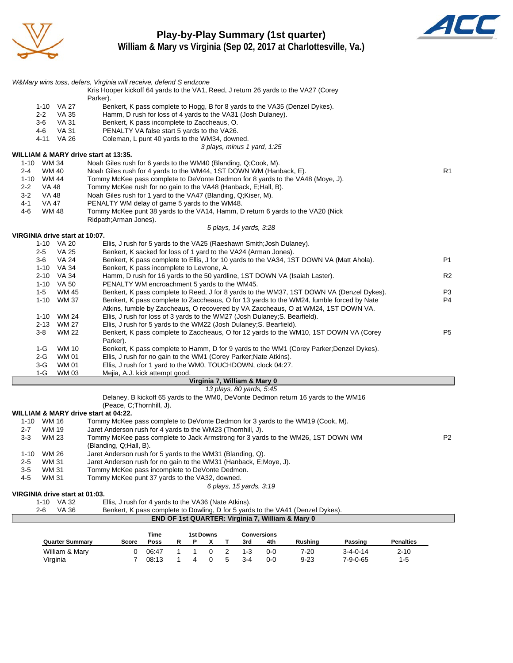

### **Play-by-Play Summary (1st quarter) William & Mary vs Virginia (Sep 02, 2017 at Charlottesville, Va.)**



|         |                     |                                              | W&Mary wins toss, defers, Virginia will receive, defend S endzone                                                                    |                      |
|---------|---------------------|----------------------------------------------|--------------------------------------------------------------------------------------------------------------------------------------|----------------------|
|         |                     |                                              | Kris Hooper kickoff 64 yards to the VA1, Reed, J return 26 yards to the VA27 (Corey                                                  |                      |
|         |                     |                                              | Parker).                                                                                                                             |                      |
|         |                     | 1-10 VA 27                                   | Benkert, K pass complete to Hogg, B for 8 yards to the VA35 (Denzel Dykes).                                                          |                      |
|         | $2 - 2$             | VA 35                                        | Hamm, D rush for loss of 4 yards to the VA31 (Josh Dulaney).                                                                         |                      |
|         | $3-6$               | VA 31                                        | Benkert, K pass incomplete to Zaccheaus, O.                                                                                          |                      |
|         | 4-6                 | <b>VA 31</b>                                 | PENALTY VA false start 5 yards to the VA26.                                                                                          |                      |
|         |                     | 4-11 VA 26                                   | Coleman, L punt 40 yards to the WM34, downed.                                                                                        |                      |
|         |                     |                                              | 3 plays, minus 1 yard, 1:25                                                                                                          |                      |
|         |                     |                                              | WILLIAM & MARY drive start at 13:35.                                                                                                 |                      |
|         | 1-10 WM 34          |                                              | Noah Giles rush for 6 yards to the WM40 (Blanding, Q;Cook, M).<br>Noah Giles rush for 4 yards to the WM44, 1ST DOWN WM (Hanback, E). | R1                   |
| $2 - 4$ | WM 40<br>1-10 WM 44 |                                              | Tommy McKee pass complete to DeVonte Dedmon for 8 yards to the VA48 (Moye, J).                                                       |                      |
|         |                     |                                              |                                                                                                                                      |                      |
| $2 - 2$ | VA 48               |                                              | Tommy McKee rush for no gain to the VA48 (Hanback, E; Hall, B).                                                                      |                      |
| $3-2$   | VA 48               |                                              | Noah Giles rush for 1 yard to the VA47 (Blanding, Q;Kiser, M).                                                                       |                      |
| 4-1     | VA 47               |                                              | PENALTY WM delay of game 5 yards to the WM48.                                                                                        |                      |
| 4-6     | WM 48               |                                              | Tommy McKee punt 38 yards to the VA14, Hamm, D return 6 yards to the VA20 (Nick                                                      |                      |
|         |                     |                                              | Ridpath; Arman Jones).                                                                                                               |                      |
|         |                     |                                              | 5 plays, 14 yards, 3:28                                                                                                              |                      |
|         |                     | VIRGINIA drive start at 10:07.<br>1-10 VA 20 | Ellis, J rush for 5 yards to the VA25 (Raeshawn Smith; Josh Dulaney).                                                                |                      |
|         |                     |                                              |                                                                                                                                      |                      |
|         | 2-5                 | VA 25                                        | Benkert, K sacked for loss of 1 yard to the VA24 (Arman Jones).                                                                      |                      |
|         | 3-6                 | VA 24                                        | Benkert, K pass complete to Ellis, J for 10 yards to the VA34, 1ST DOWN VA (Matt Ahola).                                             | P1                   |
|         |                     | 1-10 VA 34                                   | Benkert, K pass incomplete to Levrone, A.                                                                                            |                      |
|         |                     | 2-10 VA 34<br>1-10 VA 50                     | Hamm, D rush for 16 yards to the 50 yardline, 1ST DOWN VA (Isaiah Laster).                                                           | R <sub>2</sub>       |
|         |                     |                                              | PENALTY WM encroachment 5 yards to the WM45.                                                                                         |                      |
|         | $1 - 5$             | <b>WM 45</b>                                 | Benkert, K pass complete to Reed, J for 8 yards to the WM37, 1ST DOWN VA (Denzel Dykes).                                             | P3<br>P <sub>4</sub> |
|         | $1 - 10$            | WM 37                                        | Benkert, K pass complete to Zaccheaus, O for 13 yards to the WM24, fumble forced by Nate                                             |                      |
|         |                     |                                              | Atkins, fumble by Zaccheaus, O recovered by VA Zaccheaus, O at WM24, 1ST DOWN VA.                                                    |                      |
|         | 1-10                | WM 24                                        | Ellis, J rush for loss of 3 yards to the WM27 (Josh Dulaney; S. Bearfield).                                                          |                      |
|         | 2-13                | WM 27                                        | Ellis, J rush for 5 yards to the WM22 (Josh Dulaney; S. Bearfield).                                                                  |                      |
|         | $3-8$               | <b>WM 22</b>                                 | Benkert, K pass complete to Zaccheaus, O for 12 yards to the WM10, 1ST DOWN VA (Corey<br>Parker).                                    | P <sub>5</sub>       |
|         | $1-G$               | <b>WM 10</b>                                 | Benkert, K pass complete to Hamm, D for 9 yards to the WM1 (Corey Parker; Denzel Dykes).                                             |                      |
|         | 2-G                 | WM 01                                        | Ellis, J rush for no gain to the WM1 (Corey Parker; Nate Atkins).                                                                    |                      |
|         | 3-G                 | WM 01                                        | Ellis, J rush for 1 yard to the WM0, TOUCHDOWN, clock 04:27.                                                                         |                      |
|         | 1-G                 | WM 03                                        | Mejia, A.J. kick attempt good.                                                                                                       |                      |
|         |                     |                                              | Virginia 7, William & Mary 0                                                                                                         |                      |
|         |                     |                                              | 13 plays, 80 yards, 5:45                                                                                                             |                      |
|         |                     |                                              | Delaney, B kickoff 65 yards to the WM0, DeVonte Dedmon return 16 yards to the WM16<br>(Peace, C;Thornhill, J).                       |                      |
|         |                     |                                              | WILLIAM & MARY drive start at 04:22.                                                                                                 |                      |
|         | 1-10 WM 16          |                                              | Tommy McKee pass complete to DeVonte Dedmon for 3 yards to the WM19 (Cook, M).                                                       |                      |
| 2-7     | WM 19               |                                              | Jaret Anderson rush for 4 yards to the WM23 (Thornhill, J).                                                                          |                      |

| 1-10    | WM 16 | Tommy McKee pass complete to DeVonte Dedmon for 3 yards to the WM19 (Cook, M).   |                |
|---------|-------|----------------------------------------------------------------------------------|----------------|
| $2 - 7$ | WM 19 | Jaret Anderson rush for 4 yards to the WM23 (Thornhill, J).                      |                |
| $3 - 3$ | WM 23 | Tommy McKee pass complete to Jack Armstrong for 3 yards to the WM26, 1ST DOWN WM | P <sub>2</sub> |
|         |       | (Blanding, Q;Hall, B).                                                           |                |
| 1-10    | WM 26 | Jaret Anderson rush for 5 yards to the WM31 (Blanding, Q).                       |                |
| $2-5$   | WM 31 | Jaret Anderson rush for no gain to the WM31 (Hanback, E; Moye, J).               |                |
| $3 - 5$ | WM 31 | Tommy McKee pass incomplete to DeVonte Dedmon.                                   |                |
| $4-5$   | WM 31 | Tommy McKee punt 37 yards to the VA32, downed.                                   |                |
|         |       | 6 plays, 15 yards, 3:19                                                          |                |

**VIRGINIA drive start at 01:03.**

|                                                             | $1-10$ VA 32 | Ellis, J rush for 4 yards to the VA36 (Nate Atkins).                           |  |  |  |  |  |
|-------------------------------------------------------------|--------------|--------------------------------------------------------------------------------|--|--|--|--|--|
| $2-6$                                                       | VA 36        | Benkert, K pass complete to Dowling, D for 5 yards to the VA41 (Denzel Dykes). |  |  |  |  |  |
| <b>END OF 1st QUARTER: Virginia 7, William &amp; Mary 0</b> |              |                                                                                |  |  |  |  |  |
|                                                             |              |                                                                                |  |  |  |  |  |

|                        |       | Time  |  | 1st Downs |   | Conversions |     |                |                  |                  |
|------------------------|-------|-------|--|-----------|---|-------------|-----|----------------|------------------|------------------|
| <b>Quarter Summary</b> | Score | Poss  |  |           |   | 3rd         | 4th | <b>Rushing</b> | Passing          | <b>Penalties</b> |
| William & Mary         |       | 06:47 |  |           |   | 1-3         | 0-0 | 7-20           | $3 - 4 - 0 - 14$ | $2 - 10$         |
| Virginia               |       | 08:13 |  |           | ∽ | 3-4         | 0-0 | $9 - 23$       | 7-9-0-65         | $1-5$            |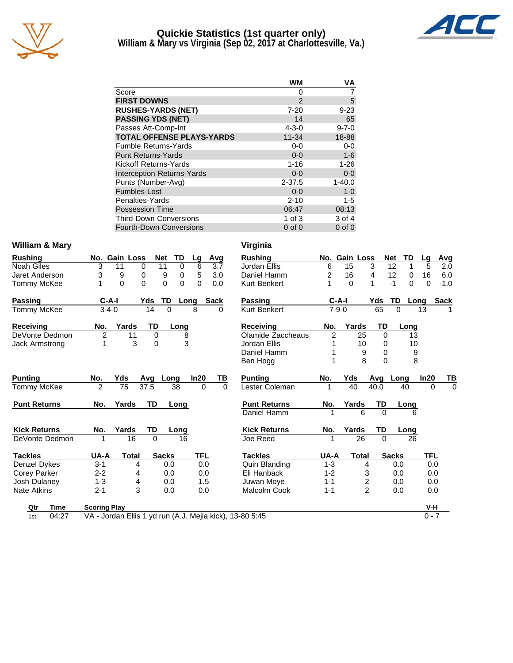

#### **Quickie Statistics (1st quarter only) William & Mary vs Virginia (Sep 02, 2017 at Charlottesville, Va.)**



|                                   | WM            | ٧A          |
|-----------------------------------|---------------|-------------|
| Score                             | 0             |             |
| <b>FIRST DOWNS</b>                | $\mathcal{P}$ | 5           |
| <b>RUSHES-YARDS (NET)</b>         | $7 - 20$      | $9 - 23$    |
| <b>PASSING YDS (NET)</b>          | 14            | 65          |
| Passes Att-Comp-Int               | $4 - 3 - 0$   | $9 - 7 - 0$ |
| <b>TOTAL OFFENSE PLAYS-YARDS</b>  | $11 - 34$     | 18-88       |
| <b>Fumble Returns-Yards</b>       | $0 - 0$       | $0-0$       |
| <b>Punt Returns-Yards</b>         | $0 - 0$       | $1 - 6$     |
| Kickoff Returns-Yards             | $1 - 16$      | $1 - 26$    |
| <b>Interception Returns-Yards</b> | $0 - 0$       | $0-0$       |
| Punts (Number-Avg)                | $2 - 37.5$    | $1 - 40.0$  |
| Fumbles-Lost                      | $0 - 0$       | $1 - 0$     |
| Penalties-Yards                   | $2 - 10$      | $1 - 5$     |
| <b>Possession Time</b>            | 06:47         | 08:13       |
| <b>Third-Down Conversions</b>     | $1$ of $3$    | 3 of 4      |
| <b>Fourth-Down Conversions</b>    | $0$ of $0$    | $0$ of $0$  |

#### **William & Mary**

| <b>Rushing</b>      | No.                 | <b>Gain Loss</b>     | <b>Net</b>     | TD          | Lg         | Avg         | <b>Rushing</b>                                           | No.            | Gain Loss   |                  | <b>Net</b>   | TD          | Lg         |
|---------------------|---------------------|----------------------|----------------|-------------|------------|-------------|----------------------------------------------------------|----------------|-------------|------------------|--------------|-------------|------------|
| <b>Noah Giles</b>   | 3                   | 11<br>0              | 11             | $\Omega$    | 6          | 3.7         | Jordan Ellis                                             | 6              | 15          | 3                | 12           |             | 5          |
| Jaret Anderson      | 3                   | 9<br>$\Omega$        | 9              | $\mathbf 0$ | 5          | 3.0         | Daniel Hamm                                              | $\overline{2}$ | 16          | 4                | 12           | 0           | 16         |
| Tommy McKee         | 1                   | $\Omega$<br>$\Omega$ | $\Omega$       | $\mathbf 0$ | $\Omega$   | 0.0         | <b>Kurt Benkert</b>                                      | 1              | $\Omega$    | 1                | $-1$         | $\mathbf 0$ | $\Omega$   |
| Passing             | $C-A-I$             |                      | Yds<br>TD      | Long        |            | <b>Sack</b> | <b>Passing</b>                                           |                | $C-A-I$     |                  | Yds          | <b>TD</b>   | Long       |
| <b>Tommy McKee</b>  | $3 - 4 - 0$         |                      | 14<br>$\Omega$ |             | 8          | 0           | <b>Kurt Benkert</b>                                      |                | $7 - 9 - 0$ |                  | 65           | $\Omega$    | 13         |
| <b>Receiving</b>    | No.                 | Yards                | TD             | Long        |            |             | <b>Receiving</b>                                         | No.            |             | Yards            | <b>TD</b>    | Long        |            |
| DeVonte Dedmon      | $\overline{2}$      | 11                   | $\Omega$       | 8           |            |             | Olamide Zaccheaus                                        | $\overline{2}$ |             | 25               | $\Omega$     | 13          |            |
| Jack Armstrong      | 1                   | 3                    | $\Omega$       | 3           |            |             | Jordan Ellis                                             |                |             | 10               | 0            | 10          |            |
|                     |                     |                      |                |             |            |             | Daniel Hamm                                              |                |             | 9                | 0            | 9           |            |
|                     |                     |                      |                |             |            |             | Ben Hogg                                                 |                |             | 8                | $\Omega$     | 8           |            |
| <b>Punting</b>      | No.                 | Yds                  | Avg<br>Long    |             | In20       | TВ          | <b>Punting</b>                                           | No.            | Yds         |                  | Avg          | Long        | ln20       |
| <b>Tommy McKee</b>  | 2                   | 75                   | 37.5           | 38          | $\Omega$   | $\Omega$    | Lester Coleman                                           |                | 40          |                  | 40.0         | 40          | $\Omega$   |
| <b>Punt Returns</b> | No.                 | Yards                | TD             | Long        |            |             | <b>Punt Returns</b>                                      | No.            |             | Yards            | TD           | Long        |            |
|                     |                     |                      |                |             |            |             | Daniel Hamm                                              |                |             | 6                | $\Omega$     | 6           |            |
| <b>Kick Returns</b> | No.                 | Yards                | TD             | Long        |            |             | <b>Kick Returns</b>                                      | No.            | Yards       |                  | <b>TD</b>    | Long        |            |
| DeVonte Dedmon      | 1                   | 16                   | $\Omega$       | 16          |            |             | Joe Reed                                                 |                |             | 26               | $\Omega$     | 26          |            |
| <b>Tackles</b>      | UA-A                | <b>Total</b>         | <b>Sacks</b>   |             | <b>TFL</b> |             | <b>Tackles</b>                                           | <b>UA-A</b>    |             | <b>Total</b>     | <b>Sacks</b> |             | <b>TFL</b> |
| Denzel Dykes        | $3 - 1$             | 4                    | 0.0            |             | 0.0        |             | Quin Blanding                                            | $1 - 3$        |             | 4                |              | 0.0         | 0.0        |
| Corey Parker        | $2 - 2$             | 4                    | 0.0            |             | 0.0        |             | Eli Hanback                                              | $1 - 2$        |             | 3                |              | 0.0         | 0.0        |
| Josh Dulaney        | $1 - 3$             | 4                    | 0.0            |             | 1.5        |             | Juwan Moye                                               | $1 - 1$        |             | $\boldsymbol{2}$ |              | 0.0         | 0.0        |
| Nate Atkins         | $2 - 1$             | 3                    | 0.0            |             | 0.0        |             | Malcolm Cook                                             | $1 - 1$        |             | $\overline{2}$   |              | 0.0         | 0.0        |
| <b>Time</b><br>Qtr  | <b>Scoring Play</b> |                      |                |             |            |             |                                                          |                |             |                  |              |             | V-H        |
| 04:27<br>1st        |                     |                      |                |             |            |             | VA - Jordan Ellis 1 yd run (A.J. Mejia kick), 13-80 5:45 |                |             |                  |              |             | $0 - 7$    |

| Virginia |  |
|----------|--|

| <b>Rushing</b>      | No.            | <b>Gain Loss</b> |               |           | <b>Net</b>      | TD   | Lg         | Avg    |
|---------------------|----------------|------------------|---------------|-----------|-----------------|------|------------|--------|
| Jordan Ellis        | 6              | 15               |               | 3         | 12              | 1    | 5          | 2.0    |
| Daniel Hamm         | $\overline{2}$ | 16               |               | 4         | 12 <sub>2</sub> | 0    | 16         | 6.0    |
| <b>Kurt Benkert</b> | 1              | 0                |               | 1         | -1              | 0    | 0          | $-1.0$ |
| <b>Passing</b>      |                | C-A-I            |               | Yds       | TD              | Long |            | Sack   |
| <b>Kurt Benkert</b> |                | $7 - 9 - 0$      |               | 65        | 0               |      | 13         | 1      |
| <b>Receiving</b>    | No.            |                  | Yards         | <b>TD</b> |                 | Long |            |        |
| Olamide Zaccheaus   | 2              |                  | 25            |           | 0               | 13   |            |        |
| Jordan Ellis        | 1              |                  | 10            |           | 0               | 10   |            |        |
| Daniel Hamm         | 1              |                  | 9             |           | 0               | 9    |            |        |
| Ben Hogg            | 1              |                  | 8             |           | $\Omega$        | 8    |            |        |
| <b>Punting</b>      | No.            | Yds              |               | Avg       | Long            |      | ln20       | ΤВ     |
| Lester Coleman      | 1              | 40               |               | 40.0      |                 | 40   | 0          | 0      |
| <b>Punt Returns</b> | No.            | Yards            |               | TD        |                 | Long |            |        |
| Daniel Hamm         | 1              |                  | 6             | $\Omega$  |                 | 6    |            |        |
| <b>Kick Returns</b> | No.            | Yards            |               | TD        |                 | Long |            |        |
| Joe Reed            | 1              |                  | 26            | $\Omega$  |                 | 26   |            |        |
| <b>Tackles</b>      | UA-A           |                  | <b>Total</b>  |           | <b>Sacks</b>    |      | <b>TFL</b> |        |
| Quin Blanding       | $1 - 3$        |                  | 4             |           | 0.0             |      |            | 0.0    |
| Eli Hanback         | $1 - 2$        |                  | 3             |           | 0.0             |      | 0.0        |        |
| Juwan Moye          | $1 - 1$        |                  | $\frac{2}{2}$ |           | 0.0             |      | 0.0        |        |
| Malcolm Cook        | $1 - 1$        |                  |               |           | 0.0             |      | 0.0        |        |
|                     |                |                  |               |           |                 |      | V-H        |        |
| 13-80 5:45          |                |                  |               |           |                 |      | $0 - 7$    |        |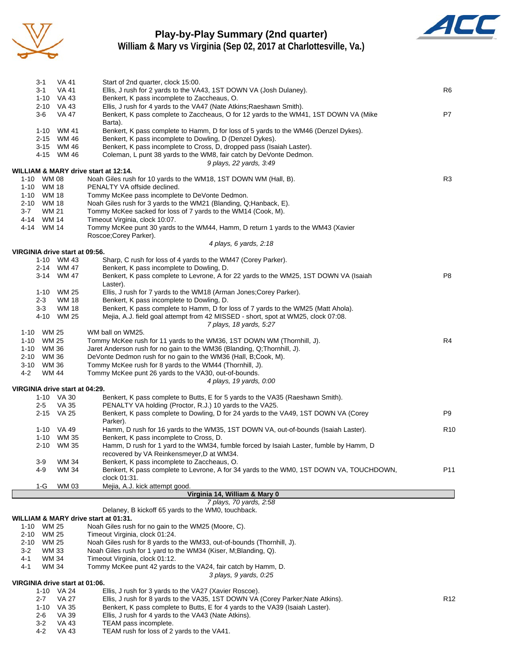

## **Play-by-Play Summary (2nd quarter)**



**William & Mary vs Virginia (Sep 02, 2017 at Charlottesville, Va.)**

|                          | 3-1          | <b>VA 41</b>                                 | Start of 2nd quarter, clock 15:00.                                                                                                         |                 |
|--------------------------|--------------|----------------------------------------------|--------------------------------------------------------------------------------------------------------------------------------------------|-----------------|
|                          | $3 - 1$      | VA 41                                        | Ellis, J rush for 2 yards to the VA43, 1ST DOWN VA (Josh Dulaney).                                                                         | R6              |
|                          |              | 1-10 VA 43<br>2-10 VA 43                     | Benkert, K pass incomplete to Zaccheaus, O.<br>Ellis, J rush for 4 yards to the VA47 (Nate Atkins; Raeshawn Smith).                        |                 |
|                          | $3-6$        | VA 47                                        | Benkert, K pass complete to Zaccheaus, O for 12 yards to the WM41, 1ST DOWN VA (Mike                                                       | P7              |
|                          |              |                                              | Barta).                                                                                                                                    |                 |
|                          |              | 1-10 WM 41                                   | Benkert, K pass complete to Hamm, D for loss of 5 yards to the WM46 (Denzel Dykes).                                                        |                 |
|                          |              | 2-15 WM 46                                   | Benkert, K pass incomplete to Dowling, D (Denzel Dykes).                                                                                   |                 |
|                          |              | 3-15 WM 46                                   | Benkert, K pass incomplete to Cross, D, dropped pass (Isaiah Laster).                                                                      |                 |
|                          |              | 4-15 WM 46                                   | Coleman, L punt 38 yards to the WM8, fair catch by DeVonte Dedmon.<br>9 plays, 22 yards, 3:49                                              |                 |
|                          |              |                                              | WILLIAM & MARY drive start at 12:14.                                                                                                       |                 |
| 1-10 WM 08               |              |                                              | Noah Giles rush for 10 yards to the WM18, 1ST DOWN WM (Hall, B).                                                                           | R <sub>3</sub>  |
| 1-10 WM 18               |              |                                              | PENALTY VA offside declined.                                                                                                               |                 |
| 1-10 WM 18               |              |                                              | Tommy McKee pass incomplete to DeVonte Dedmon.                                                                                             |                 |
| 2-10 WM 18               |              |                                              | Noah Giles rush for 3 yards to the WM21 (Blanding, Q; Hanback, E).                                                                         |                 |
| $3-7$<br>4-14 WM 14      | WM 21        |                                              | Tommy McKee sacked for loss of 7 yards to the WM14 (Cook, M).<br>Timeout Virginia, clock 10:07.                                            |                 |
| 4-14 WM 14               |              |                                              | Tommy McKee punt 30 yards to the WM44, Hamm, D return 1 yards to the WM43 (Xavier                                                          |                 |
|                          |              |                                              | Roscoe; Corey Parker).                                                                                                                     |                 |
|                          |              |                                              | 4 plays, 6 yards, 2:18                                                                                                                     |                 |
|                          |              | VIRGINIA drive start at 09:56.               |                                                                                                                                            |                 |
|                          |              | 1-10 WM 43                                   | Sharp, C rush for loss of 4 yards to the WM47 (Corey Parker).<br>Benkert, K pass incomplete to Dowling, D.                                 |                 |
|                          |              | 2-14 WM 47<br>3-14 WM 47                     | Benkert, K pass complete to Levrone, A for 22 yards to the WM25, 1ST DOWN VA (Isaiah                                                       | P <sub>8</sub>  |
|                          |              |                                              | Laster).                                                                                                                                   |                 |
|                          |              | 1-10 WM 25                                   | Ellis, J rush for 7 yards to the WM18 (Arman Jones; Corey Parker).                                                                         |                 |
|                          | $2 - 3$      | WM 18                                        | Benkert, K pass incomplete to Dowling, D.                                                                                                  |                 |
|                          | $3-3$        | <b>WM 18</b>                                 | Benkert, K pass complete to Hamm, D for loss of 7 yards to the WM25 (Matt Ahola).                                                          |                 |
|                          | 4-10         | WM 25                                        | Mejia, A.J. field goal attempt from 42 MISSED - short, spot at WM25, clock 07:08.                                                          |                 |
|                          |              |                                              | 7 plays, 18 yards, 5:27                                                                                                                    |                 |
| 1-10 WM 25<br>1-10 WM 25 |              |                                              | WM ball on WM25.<br>Tommy McKee rush for 11 yards to the WM36, 1ST DOWN WM (Thornhill, J).                                                 | R4              |
| 1-10 WM 36               |              |                                              | Jaret Anderson rush for no gain to the WM36 (Blanding, Q;Thornhill, J).                                                                    |                 |
| 2-10 WM 36               |              |                                              | DeVonte Dedmon rush for no gain to the WM36 (Hall, B;Cook, M).                                                                             |                 |
| 3-10 WM 36               |              |                                              | Tommy McKee rush for 8 yards to the WM44 (Thornhill, J).                                                                                   |                 |
| $4 - 2$                  | <b>WM 44</b> |                                              | Tommy McKee punt 26 yards to the VA30, out-of-bounds.                                                                                      |                 |
|                          |              |                                              | 4 plays, 19 yards, 0:00                                                                                                                    |                 |
|                          |              | VIRGINIA drive start at 04:29.               |                                                                                                                                            |                 |
|                          | $2 - 5$      | 1-10 VA 30<br><b>VA 35</b>                   | Benkert, K pass complete to Butts, E for 5 yards to the VA35 (Raeshawn Smith).<br>PENALTY VA holding (Proctor, R.J.) 10 yards to the VA25. |                 |
|                          |              | 2-15 VA 25                                   | Benkert, K pass complete to Dowling, D for 24 yards to the VA49, 1ST DOWN VA (Corey                                                        | P9              |
|                          |              |                                              | Parker).                                                                                                                                   |                 |
|                          |              | 1-10 VA 49                                   | Hamm, D rush for 16 yards to the WM35, 1ST DOWN VA, out-of-bounds (Isaiah Laster).                                                         | R <sub>10</sub> |
|                          |              | 1-10 WM 35                                   | Benkert, K pass incomplete to Cross, D.                                                                                                    |                 |
|                          |              | 2-10 WM 35                                   | Hamm, D rush for 1 yard to the WM34, fumble forced by Isaiah Laster, fumble by Hamm, D                                                     |                 |
|                          |              |                                              | recovered by VA Reinkensmeyer, D at WM34.                                                                                                  |                 |
|                          | 3-9<br>4-9   | <b>WM 34</b><br><b>WM 34</b>                 | Benkert, K pass incomplete to Zaccheaus, O.<br>Benkert, K pass complete to Levrone, A for 34 yards to the WM0, 1ST DOWN VA, TOUCHDOWN,     | P11             |
|                          |              |                                              | clock 01:31.                                                                                                                               |                 |
|                          | $1-G$        | WM 03                                        | Mejia, A.J. kick attempt good.                                                                                                             |                 |
|                          |              |                                              | Virginia 14, William & Mary 0                                                                                                              |                 |
|                          |              |                                              | 7 plays, 70 yards, 2:58                                                                                                                    |                 |
|                          |              |                                              | Delaney, B kickoff 65 yards to the WM0, touchback.                                                                                         |                 |
| $1 - 10$                 | WM 25        |                                              | WILLIAM & MARY drive start at 01:31.<br>Noah Giles rush for no gain to the WM25 (Moore, C).                                                |                 |
| 2-10                     | WM 25        |                                              | Timeout Virginia, clock 01:24.                                                                                                             |                 |
| 2-10                     | WM 25        |                                              | Noah Giles rush for 8 yards to the WM33, out-of-bounds (Thornhill, J).                                                                     |                 |
| $3-2$                    | WM 33        |                                              | Noah Giles rush for 1 yard to the WM34 (Kiser, M; Blanding, Q).                                                                            |                 |
| 4-1                      | WM 34        |                                              | Timeout Virginia, clock 01:12.                                                                                                             |                 |
| 4-1                      | WM 34        |                                              | Tommy McKee punt 42 yards to the VA24, fair catch by Hamm, D.                                                                              |                 |
|                          |              |                                              | 3 plays, 9 yards, 0:25                                                                                                                     |                 |
|                          |              | VIRGINIA drive start at 01:06.<br>1-10 VA 24 | Ellis, J rush for 3 yards to the VA27 (Xavier Roscoe).                                                                                     |                 |
|                          | $2 - 7$      | VA 27                                        | Ellis, J rush for 8 yards to the VA35, 1ST DOWN VA (Corey Parker; Nate Atkins).                                                            | R <sub>12</sub> |
|                          | $1 - 10$     | VA 35                                        | Benkert, K pass complete to Butts, E for 4 yards to the VA39 (Isaiah Laster).                                                              |                 |
|                          | 2-6          | <b>VA 39</b>                                 | Ellis, J rush for 4 yards to the VA43 (Nate Atkins).                                                                                       |                 |
|                          | $3-2$        | VA 43                                        | TEAM pass incomplete.                                                                                                                      |                 |
|                          | 4-2          | <b>VA 43</b>                                 | TEAM rush for loss of 2 yards to the VA41.                                                                                                 |                 |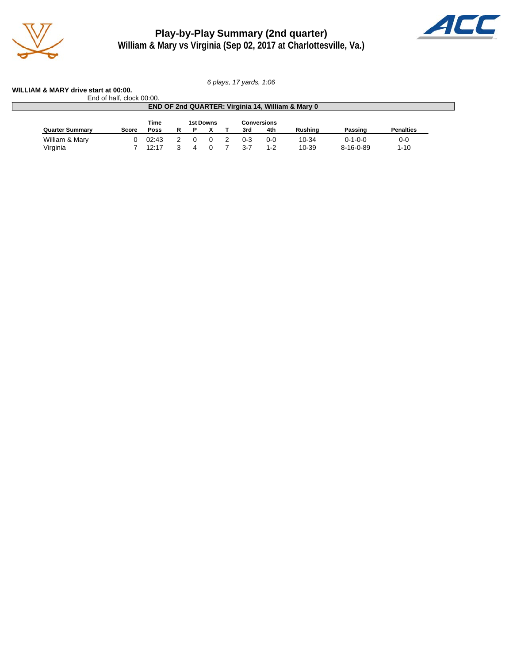

**Play-by-Play Summary (2nd quarter) William & Mary vs Virginia (Sep 02, 2017 at Charlottesville, Va.)**



*6 plays, 17 yards, 1:06*

**WILLIAM & MARY drive start at 00:00.** End of half, clock 00:00.

| END OF 2nd QUARTER: Virginia 14, William & Mary 0 |                                  |       |   |  |  |  |         |         |         |                   |                  |
|---------------------------------------------------|----------------------------------|-------|---|--|--|--|---------|---------|---------|-------------------|------------------|
|                                                   | Time<br>1st Downs<br>Conversions |       |   |  |  |  |         |         |         |                   |                  |
| <b>Quarter Summary</b>                            | Score                            | Poss  | R |  |  |  | 3rd     | 4th     | Rushina | Passing           | <b>Penalties</b> |
| William & Mary                                    |                                  | 02:43 |   |  |  |  | $0 - 3$ | $0 - 0$ | 10-34   | $0 - 1 - 0 - 0$   | $0 - 0$          |
| Virginia                                          |                                  | 12:17 |   |  |  |  | $3 - 7$ | $1 - 2$ | 10-39   | $8 - 16 - 0 - 89$ | $1 - 10$         |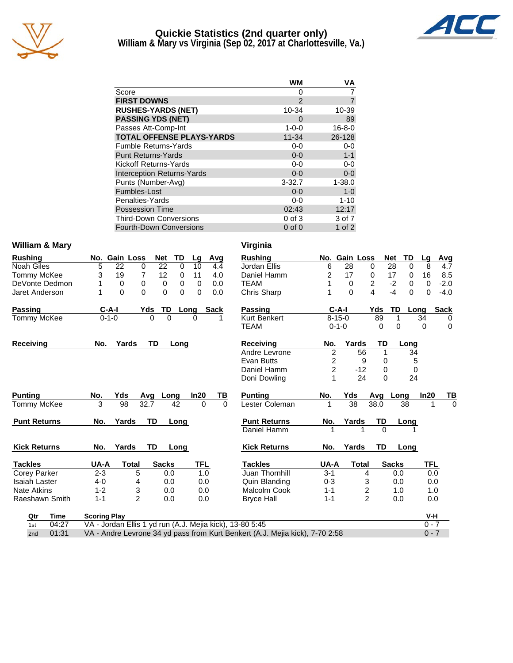

#### **Quickie Statistics (2nd quarter only) William & Mary vs Virginia (Sep 02, 2017 at Charlottesville, Va.)**



|                                   | WM           | ٧A           |
|-----------------------------------|--------------|--------------|
| Score                             | $\mathbf{0}$ |              |
| <b>FIRST DOWNS</b>                | 2            | 7            |
| <b>RUSHES-YARDS (NET)</b>         | 10-34        | 10-39        |
| <b>PASSING YDS (NET)</b>          | $\Omega$     | 89           |
| Passes Att-Comp-Int               | $1 - 0 - 0$  | $16 - 8 - 0$ |
| <b>TOTAL OFFENSE PLAYS-YARDS</b>  | $11 - 34$    | 26-128       |
| <b>Fumble Returns-Yards</b>       | $0 - 0$      | $0 - 0$      |
| <b>Punt Returns-Yards</b>         | $0 - 0$      | $1 - 1$      |
| Kickoff Returns-Yards             | $0 - 0$      | 0-0          |
| <b>Interception Returns-Yards</b> | $0 - 0$      | $0 - 0$      |
| Punts (Number-Avg)                | $3 - 32.7$   | $1 - 38.0$   |
| Fumbles-Lost                      | $0 - 0$      | $1 - 0$      |
| Penalties-Yards                   | $0 - 0$      | $1 - 10$     |
| <b>Possession Time</b>            | 02:43        | 12:17        |
| <b>Third-Down Conversions</b>     | $0$ of $3$   | 3 of 7       |
| <b>Fourth-Down Conversions</b>    | $0$ of $0$   | 1 of $2$     |

#### William & Mary **Virginia**

| <b>Rushing</b>       |                     | No. Gain Loss |                | Net          | TD       | Lg       | Avg         |          | <b>Rushing</b>                                                               |                | No. Gain Loss  |                         | Net         | <b>TD</b>                      | Lg       | Avg         |
|----------------------|---------------------|---------------|----------------|--------------|----------|----------|-------------|----------|------------------------------------------------------------------------------|----------------|----------------|-------------------------|-------------|--------------------------------|----------|-------------|
| Noah Giles           | 5                   | 22            | 0              | 22           | 0        | 10       | 4.4         |          | Jordan Ellis                                                                 | 6              | 28             | 0                       |             | $\overline{28}$<br>$\mathbf 0$ | 8        | 4.7         |
| Tommy McKee          | 3                   | 19            | 7              | 12           | 0        | 11       | 4.0         |          | Daniel Hamm                                                                  | 2              | 17             | 0                       |             | 17<br>0                        | 16       | 8.5         |
| DeVonte Dedmon       | 1                   | 0             | 0              | 0            | 0        | $\Omega$ | 0.0         |          | <b>TEAM</b>                                                                  |                | 0              | $\overline{\mathbf{c}}$ |             | $-2$<br>0                      | 0        | $-2.0$      |
| Jaret Anderson       | 1                   | $\Omega$      | 0              | $\Omega$     | $\Omega$ | $\Omega$ | 0.0         |          | Chris Sharp                                                                  |                | $\Omega$       | 4                       |             | $-4$<br>$\Omega$               | $\Omega$ | $-4.0$      |
| Passing              |                     | $C-A-I$       | Yds            | <b>TD</b>    |          | Long     | <b>Sack</b> |          | <b>Passing</b>                                                               |                | $C-A-I$        |                         | Yds         | <b>TD</b>                      | Long     | <b>Sack</b> |
| <b>Tommy McKee</b>   |                     | $0 - 1 - 0$   | $\Omega$       | $\Omega$     |          | $\Omega$ |             |          | <b>Kurt Benkert</b>                                                          |                | $8 - 15 - 0$   |                         | 89          | $\mathbf 1$                    | 34       | 0           |
|                      |                     |               |                |              |          |          |             |          | <b>TEAM</b>                                                                  |                | $0 - 1 - 0$    |                         | 0           | 0                              | $\Omega$ | 0           |
| Receiving            | No.                 | Yards         |                | TD           | Long     |          |             |          | <b>Receiving</b>                                                             | No.            | Yards          |                         | TD          | Long                           |          |             |
|                      |                     |               |                |              |          |          |             |          | Andre Levrone                                                                | $\overline{2}$ |                | 56                      | $\mathbf 1$ | 34                             |          |             |
|                      |                     |               |                |              |          |          |             |          | Evan Butts                                                                   |                | 2              | 9                       | 0           | 5                              |          |             |
|                      |                     |               |                |              |          |          |             |          | Daniel Hamm                                                                  |                | $\overline{c}$ | $-12$                   | 0           | 0                              |          |             |
|                      |                     |               |                |              |          |          |             |          | Doni Dowling                                                                 |                |                | 24                      | $\Omega$    | 24                             |          |             |
| <b>Punting</b>       | No.                 | Yds           | Avq            |              | Long     | In20     |             | ΤВ       | <b>Punting</b>                                                               | No.            | Yds            |                         | Avq         | Long                           | In20     | TВ          |
| Tommy McKee          | 3                   | 98            | 32.7           |              | 42       |          | $\Omega$    | $\Omega$ | Lester Coleman                                                               | 1              | 38             |                         | 38.0        | 38                             |          | $\Omega$    |
| <b>Punt Returns</b>  | No.                 | Yards         | TD             |              | Long     |          |             |          | <b>Punt Returns</b>                                                          | No.            | Yards          |                         | TD          | Long                           |          |             |
|                      |                     |               |                |              |          |          |             |          | Daniel Hamm                                                                  |                |                |                         | $\Omega$    |                                |          |             |
| <b>Kick Returns</b>  | No.                 | Yards         | <b>TD</b>      |              | Long     |          |             |          | <b>Kick Returns</b>                                                          | No.            | Yards          |                         | TD          | Long                           |          |             |
| <b>Tackles</b>       | UA-A                |               | <b>Total</b>   | <b>Sacks</b> |          | TFL      |             |          | <b>Tackles</b>                                                               | UA-A           |                | <b>Total</b>            |             | <b>Sacks</b>                   | TFL      |             |
| <b>Corey Parker</b>  | $2 - 3$             |               | 5              | 0.0          |          |          | 1.0         |          | Juan Thornhill                                                               | $3 - 1$        |                | 4                       |             | 0.0                            | 0.0      |             |
| <b>Isaiah Laster</b> | $4 - 0$             |               | 4              | 0.0          |          |          | 0.0         |          | Quin Blanding                                                                | $0 - 3$        |                | 3                       |             | 0.0                            | 0.0      |             |
| <b>Nate Atkins</b>   | $1 - 2$             |               | 3              | 0.0          |          |          | 0.0         |          | Malcolm Cook                                                                 | $1 - 1$        |                | $\overline{\mathbf{c}}$ |             | 1.0                            | 1.0      |             |
| Raeshawn Smith       | $1 - 1$             |               | $\overline{2}$ | 0.0          |          |          | 0.0         |          | <b>Bryce Hall</b>                                                            | $1 - 1$        |                | $\overline{2}$          |             | 0.0                            | 0.0      |             |
| <b>Time</b><br>Qtr   | <b>Scoring Play</b> |               |                |              |          |          |             |          |                                                                              |                |                |                         |             |                                | V-H      |             |
| 04:27<br>1st         |                     |               |                |              |          |          |             |          | VA - Jordan Ellis 1 yd run (A.J. Mejia kick), 13-80 5:45                     |                |                |                         |             |                                | $0 - 7$  |             |
| 01:31<br>2nd         |                     |               |                |              |          |          |             |          | VA - Andre Levrone 34 yd pass from Kurt Benkert (A.J. Mejia kick), 7-70 2:58 |                |                |                         |             |                                | $0 - 7$  |             |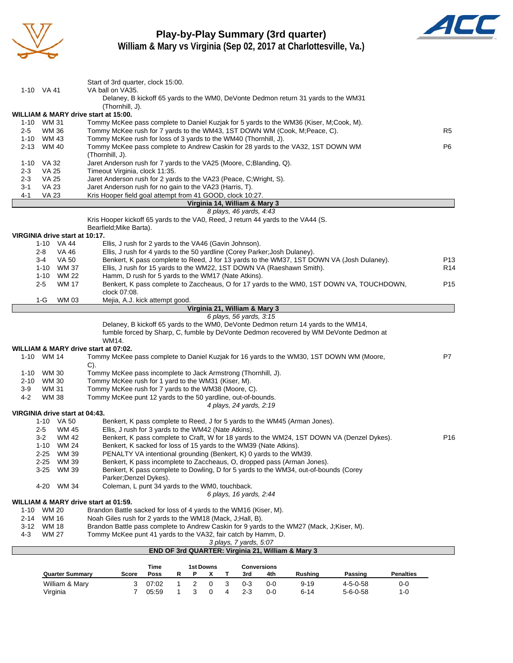

## **Play-by-Play Summary (3rd quarter)**



**William & Mary vs Virginia (Sep 02, 2017 at Charlottesville, Va.)**

|         | 1-10 VA 41                     | Start of 3rd quarter, clock 15:00.<br>VA ball on VA35.                                                                         |       |   |   |           |   |                                                          |                    |                                                                                      |                                                                                            |                  |                 |
|---------|--------------------------------|--------------------------------------------------------------------------------------------------------------------------------|-------|---|---|-----------|---|----------------------------------------------------------|--------------------|--------------------------------------------------------------------------------------|--------------------------------------------------------------------------------------------|------------------|-----------------|
|         |                                |                                                                                                                                |       |   |   |           |   |                                                          |                    | Delaney, B kickoff 65 yards to the WM0, DeVonte Dedmon return 31 yards to the WM31   |                                                                                            |                  |                 |
|         |                                | (Thornhill, J).                                                                                                                |       |   |   |           |   |                                                          |                    |                                                                                      |                                                                                            |                  |                 |
|         | 1-10 WM 31                     | WILLIAM & MARY drive start at 15:00.<br>Tommy McKee pass complete to Daniel Kuzjak for 5 yards to the WM36 (Kiser, M;Cook, M). |       |   |   |           |   |                                                          |                    |                                                                                      |                                                                                            |                  |                 |
| $2 - 5$ | WM 36                          | Tommy McKee rush for 7 yards to the WM43, 1ST DOWN WM (Cook, M; Peace, C).                                                     |       |   |   |           |   |                                                          |                    |                                                                                      |                                                                                            |                  | R5              |
|         | 1-10 WM 43                     | Tommy McKee rush for loss of 3 yards to the WM40 (Thornhill, J).                                                               |       |   |   |           |   |                                                          |                    |                                                                                      |                                                                                            |                  |                 |
|         | 2-13 WM 40                     | Tommy McKee pass complete to Andrew Caskin for 28 yards to the VA32, 1ST DOWN WM                                               |       |   |   |           |   |                                                          |                    |                                                                                      |                                                                                            |                  | P <sub>6</sub>  |
|         |                                | (Thornhill, J).                                                                                                                |       |   |   |           |   |                                                          |                    |                                                                                      |                                                                                            |                  |                 |
|         | 1-10 VA 32                     | Jaret Anderson rush for 7 yards to the VA25 (Moore, C;Blanding, Q).                                                            |       |   |   |           |   |                                                          |                    |                                                                                      |                                                                                            |                  |                 |
| 2-3     | <b>VA 25</b>                   | Timeout Virginia, clock 11:35.                                                                                                 |       |   |   |           |   |                                                          |                    |                                                                                      |                                                                                            |                  |                 |
| $2 - 3$ | <b>VA 25</b>                   | Jaret Anderson rush for 2 yards to the VA23 (Peace, C; Wright, S).                                                             |       |   |   |           |   |                                                          |                    |                                                                                      |                                                                                            |                  |                 |
| 3-1     | <b>VA 23</b>                   | Jaret Anderson rush for no gain to the VA23 (Harris, T).                                                                       |       |   |   |           |   |                                                          |                    |                                                                                      |                                                                                            |                  |                 |
| $4 - 1$ | <b>VA 23</b>                   | Kris Hooper field goal attempt from 41 GOOD, clock 10:27.                                                                      |       |   |   |           |   |                                                          |                    |                                                                                      |                                                                                            |                  |                 |
|         |                                |                                                                                                                                |       |   |   |           |   | Virginia 14, William & Mary 3<br>8 plays, 46 yards, 4:43 |                    |                                                                                      |                                                                                            |                  |                 |
|         |                                | Kris Hooper kickoff 65 yards to the VA0, Reed, J return 44 yards to the VA44 (S.                                               |       |   |   |           |   |                                                          |                    |                                                                                      |                                                                                            |                  |                 |
|         |                                | Bearfield; Mike Barta).                                                                                                        |       |   |   |           |   |                                                          |                    |                                                                                      |                                                                                            |                  |                 |
|         | VIRGINIA drive start at 10:17. |                                                                                                                                |       |   |   |           |   |                                                          |                    |                                                                                      |                                                                                            |                  |                 |
|         | 1-10 VA 44                     | Ellis, J rush for 2 yards to the VA46 (Gavin Johnson).                                                                         |       |   |   |           |   |                                                          |                    |                                                                                      |                                                                                            |                  |                 |
|         | 2-8<br>VA 46                   | Ellis, J rush for 4 yards to the 50 yardline (Corey Parker; Josh Dulaney).                                                     |       |   |   |           |   |                                                          |                    |                                                                                      |                                                                                            |                  |                 |
|         | VA 50<br>3-4                   |                                                                                                                                |       |   |   |           |   |                                                          |                    |                                                                                      | Benkert, K pass complete to Reed, J for 13 yards to the WM37, 1ST DOWN VA (Josh Dulaney).  |                  | P13             |
|         | WM 37<br>1-10                  | Ellis, J rush for 15 yards to the WM22, 1ST DOWN VA (Raeshawn Smith).                                                          |       |   |   |           |   |                                                          |                    |                                                                                      |                                                                                            |                  | R <sub>14</sub> |
|         | 1-10 WM 22                     | Hamm, D rush for 5 yards to the WM17 (Nate Atkins).                                                                            |       |   |   |           |   |                                                          |                    |                                                                                      |                                                                                            |                  |                 |
|         | <b>WM 17</b><br>$2 - 5$        |                                                                                                                                |       |   |   |           |   |                                                          |                    |                                                                                      | Benkert, K pass complete to Zaccheaus, O for 17 yards to the WM0, 1ST DOWN VA, TOUCHDOWN,  |                  | P <sub>15</sub> |
|         |                                | clock 07:08.                                                                                                                   |       |   |   |           |   |                                                          |                    |                                                                                      |                                                                                            |                  |                 |
|         | <b>WM03</b><br>1-G             | Mejia, A.J. kick attempt good.                                                                                                 |       |   |   |           |   | Virginia 21, William & Mary 3                            |                    |                                                                                      |                                                                                            |                  |                 |
|         |                                |                                                                                                                                |       |   |   |           |   | 6 plays, 56 yards, 3:15                                  |                    |                                                                                      |                                                                                            |                  |                 |
|         |                                |                                                                                                                                |       |   |   |           |   |                                                          |                    | Delaney, B kickoff 65 yards to the WM0, DeVonte Dedmon return 14 yards to the WM14,  |                                                                                            |                  |                 |
|         |                                |                                                                                                                                |       |   |   |           |   |                                                          |                    |                                                                                      | fumble forced by Sharp, C, fumble by DeVonte Dedmon recovered by WM DeVonte Dedmon at      |                  |                 |
|         |                                | WM14.                                                                                                                          |       |   |   |           |   |                                                          |                    |                                                                                      |                                                                                            |                  |                 |
|         |                                | WILLIAM & MARY drive start at 07:02.                                                                                           |       |   |   |           |   |                                                          |                    |                                                                                      |                                                                                            |                  |                 |
|         | 1-10 WM 14                     | Tommy McKee pass complete to Daniel Kuzjak for 16 yards to the WM30, 1ST DOWN WM (Moore,<br>$C$ ).                             |       |   |   |           |   |                                                          |                    |                                                                                      |                                                                                            |                  | P7              |
| 1-10    | WM 30                          | Tommy McKee pass incomplete to Jack Armstrong (Thornhill, J).                                                                  |       |   |   |           |   |                                                          |                    |                                                                                      |                                                                                            |                  |                 |
| 2-10    | WM 30                          | Tommy McKee rush for 1 yard to the WM31 (Kiser, M).                                                                            |       |   |   |           |   |                                                          |                    |                                                                                      |                                                                                            |                  |                 |
| 3-9     | WM 31                          | Tommy McKee rush for 7 yards to the WM38 (Moore, C).                                                                           |       |   |   |           |   |                                                          |                    |                                                                                      |                                                                                            |                  |                 |
| 4-2     | <b>WM 38</b>                   | Tommy McKee punt 12 yards to the 50 yardline, out-of-bounds.                                                                   |       |   |   |           |   |                                                          |                    |                                                                                      |                                                                                            |                  |                 |
|         |                                |                                                                                                                                |       |   |   |           |   | 4 plays, 24 yards, 2:19                                  |                    |                                                                                      |                                                                                            |                  |                 |
|         | VIRGINIA drive start at 04:43. |                                                                                                                                |       |   |   |           |   |                                                          |                    |                                                                                      |                                                                                            |                  |                 |
|         | 1-10 VA 50                     |                                                                                                                                |       |   |   |           |   |                                                          |                    | Benkert, K pass complete to Reed, J for 5 yards to the WM45 (Arman Jones).           |                                                                                            |                  |                 |
|         | $2 - 5$<br>WM 45               | Ellis, J rush for 3 yards to the WM42 (Nate Atkins).                                                                           |       |   |   |           |   |                                                          |                    |                                                                                      |                                                                                            |                  |                 |
|         | $3-2$<br>WM 42                 |                                                                                                                                |       |   |   |           |   |                                                          |                    |                                                                                      | Benkert, K pass complete to Craft, W for 18 yards to the WM24, 1ST DOWN VA (Denzel Dykes). |                  | P <sub>16</sub> |
|         | 1-10 WM 24                     | Benkert, K sacked for loss of 15 yards to the WM39 (Nate Atkins).                                                              |       |   |   |           |   |                                                          |                    |                                                                                      |                                                                                            |                  |                 |
|         | WM 39<br>$2 - 25$              | PENALTY VA intentional grounding (Benkert, K) 0 yards to the WM39.                                                             |       |   |   |           |   |                                                          |                    |                                                                                      |                                                                                            |                  |                 |
|         | $2 - 25$<br>WM 39              |                                                                                                                                |       |   |   |           |   |                                                          |                    | Benkert, K pass incomplete to Zaccheaus, O, dropped pass (Arman Jones).              |                                                                                            |                  |                 |
|         | $3 - 25$<br>WM 39              |                                                                                                                                |       |   |   |           |   |                                                          |                    | Benkert, K pass complete to Dowling, D for 5 yards to the WM34, out-of-bounds (Corey |                                                                                            |                  |                 |
|         |                                | Parker; Denzel Dykes).                                                                                                         |       |   |   |           |   |                                                          |                    |                                                                                      |                                                                                            |                  |                 |
|         | 4-20 WM 34                     | Coleman, L punt 34 yards to the WM0, touchback.                                                                                |       |   |   |           |   | 6 plays, 16 yards, 2:44                                  |                    |                                                                                      |                                                                                            |                  |                 |
|         |                                | WILLIAM & MARY drive start at 01:59.                                                                                           |       |   |   |           |   |                                                          |                    |                                                                                      |                                                                                            |                  |                 |
|         | 1-10 WM 20                     | Brandon Battle sacked for loss of 4 yards to the WM16 (Kiser, M).                                                              |       |   |   |           |   |                                                          |                    |                                                                                      |                                                                                            |                  |                 |
|         | 2-14 WM 16                     | Noah Giles rush for 2 yards to the WM18 (Mack, J; Hall, B).                                                                    |       |   |   |           |   |                                                          |                    |                                                                                      |                                                                                            |                  |                 |
|         | 3-12 WM 18                     | Brandon Battle pass complete to Andrew Caskin for 9 yards to the WM27 (Mack, J;Kiser, M).                                      |       |   |   |           |   |                                                          |                    |                                                                                      |                                                                                            |                  |                 |
| 4-3     | WM 27                          | Tommy McKee punt 41 yards to the VA32, fair catch by Hamm, D.                                                                  |       |   |   |           |   |                                                          |                    |                                                                                      |                                                                                            |                  |                 |
|         |                                |                                                                                                                                |       |   |   |           |   | 3 plays, 7 yards, 5:07                                   |                    |                                                                                      |                                                                                            |                  |                 |
|         |                                |                                                                                                                                |       |   |   |           |   |                                                          |                    | END OF 3rd QUARTER: Virginia 21, William & Mary 3                                    |                                                                                            |                  |                 |
|         |                                |                                                                                                                                |       |   |   |           |   |                                                          |                    |                                                                                      |                                                                                            |                  |                 |
|         |                                |                                                                                                                                | Time  |   |   | 1st Downs |   |                                                          | <b>Conversions</b> |                                                                                      |                                                                                            |                  |                 |
|         | <b>Quarter Summary</b>         | Score                                                                                                                          | Poss  | R | Ρ | x         | т | 3rd                                                      | 4th                | Rushing                                                                              | Passing                                                                                    | <b>Penalties</b> |                 |
|         | William & Mary                 | 3                                                                                                                              | 07:02 | 1 | 2 | 0         | 3 | $0 - 3$                                                  | 0-0                | $9 - 19$                                                                             | $4 - 5 - 0 - 58$                                                                           | $0-0$            |                 |
|         | Virginia                       | 7                                                                                                                              | 05:59 | 1 | 3 | 0         | 4 | $2 - 3$                                                  | 0-0                | $6 - 14$                                                                             | $5 - 6 - 0 - 58$                                                                           | 1-0              |                 |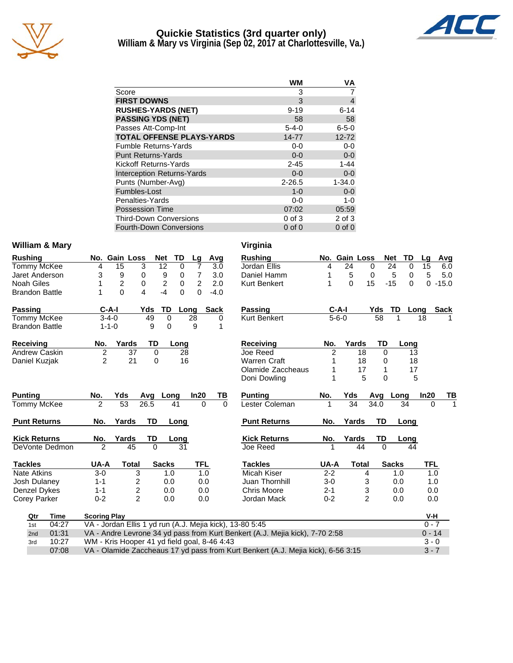

### **Quickie Statistics (3rd quarter only) William & Mary vs Virginia (Sep 02, 2017 at Charlottesville, Va.)**



|                                   | WM          | VA             |
|-----------------------------------|-------------|----------------|
| Score                             | 3           |                |
| <b>FIRST DOWNS</b>                | 3           | $\overline{4}$ |
| <b>RUSHES-YARDS (NET)</b>         | $9 - 19$    | $6 - 14$       |
| <b>PASSING YDS (NET)</b>          | 58          | 58             |
| Passes Att-Comp-Int               | $5 - 4 - 0$ | $6 - 5 - 0$    |
| <b>TOTAL OFFENSE PLAYS-YARDS</b>  | 14-77       | $12 - 72$      |
| <b>Fumble Returns-Yards</b>       | 0-0         | $0-0$          |
| <b>Punt Returns-Yards</b>         | $0 - 0$     | $0-0$          |
| Kickoff Returns-Yards             | $2 - 45$    | $1 - 44$       |
| <b>Interception Returns-Yards</b> | $0 - 0$     | $0-0$          |
| Punts (Number-Avg)                | $2 - 26.5$  | $1 - 34.0$     |
| Fumbles-Lost                      | $1 - 0$     | $0 - 0$        |
| Penalties-Yards                   | $0 - 0$     | 1-0            |
| <b>Possession Time</b>            | 07:02       | 05:59          |
| <b>Third-Down Conversions</b>     | $0$ of $3$  | $2$ of $3$     |
| <b>Fourth-Down Conversions</b>    | $0$ of $0$  | $0$ of $0$     |

#### William & Mary **Virginia**

| <b>Rushing</b>        |                |                     | No. Gain Loss                                | <b>Net</b>   | <b>TD</b>           | Lg             | Avg         | <b>Rushing</b>                                                                   |                | No. Gain Loss |                |           | TD<br><b>Net</b>  | Lg         | <b>Avg</b>  |
|-----------------------|----------------|---------------------|----------------------------------------------|--------------|---------------------|----------------|-------------|----------------------------------------------------------------------------------|----------------|---------------|----------------|-----------|-------------------|------------|-------------|
| Tommy McKee           |                | 4                   | 15                                           | 3<br>12      | 0                   | 7              | 3.0         | Jordan Ellis                                                                     | 4              | 24            | 0              |           | 24<br>0           | 15         | 6.0         |
| Jaret Anderson        |                | 3                   | 9                                            | 0            | 9<br>0              | $\overline{7}$ | 3.0         | Daniel Hamm                                                                      |                | 5             | 0              |           | 5<br>0            | 5          | 5.0         |
| <b>Noah Giles</b>     |                |                     | $\overline{\mathbf{c}}$                      | 0            | $\overline{c}$<br>0 | $\overline{2}$ | 2.0         | <b>Kurt Benkert</b>                                                              |                | $\Omega$      | 15             |           | $-15$<br>$\Omega$ | $\Omega$   | $-15.0$     |
| <b>Brandon Battle</b> |                | 1                   | $\mathbf{0}$                                 | 4<br>$-4$    | 0                   | 0              | $-4.0$      |                                                                                  |                |               |                |           |                   |            |             |
| Passing               |                | $C-A-I$             |                                              | Yds          | TD                  | Long           | <b>Sack</b> | <b>Passing</b>                                                                   |                | $C-A-I$       |                | Yds       | <b>TD</b><br>Long |            | <b>Sack</b> |
| Tommy McKee           |                | $3 - 4 - 0$         |                                              | 49           | $\Omega$            | 28             | 0           | <b>Kurt Benkert</b>                                                              |                | $5 - 6 - 0$   |                | 58        |                   | 18         |             |
| <b>Brandon Battle</b> |                | $1 - 1 - 0$         |                                              | 9            | 0                   | 9              | 1           |                                                                                  |                |               |                |           |                   |            |             |
| Receiving             |                | No.                 | Yards                                        | TD           | Long                |                |             | <b>Receiving</b>                                                                 | No.            |               | Yards          | TD        | Long              |            |             |
| Andrew Caskin         |                | $\overline{2}$      | 37                                           | $\Omega$     | 28                  |                |             | Joe Reed                                                                         | $\overline{2}$ |               | 18             | $\Omega$  | 13                |            |             |
| Daniel Kuzjak         |                | $\overline{2}$      | 21                                           | 0            | 16                  |                |             | <b>Warren Craft</b>                                                              |                |               | 18             | 0         | 18                |            |             |
|                       |                |                     |                                              |              |                     |                |             | Olamide Zaccheaus                                                                |                |               | 17             | 1         | 17                |            |             |
|                       |                |                     |                                              |              |                     |                |             | Doni Dowling                                                                     |                |               | 5              | $\Omega$  | 5                 |            |             |
| <b>Punting</b>        |                | No.                 | Yds                                          | Avg          | Long                | In20           | TВ          | <b>Punting</b>                                                                   | No.            | Yds           |                | Avg       | Long              | In20       | TВ          |
| Tommy McKee           |                | 2                   | 53                                           | 26.5         | 41                  | $\Omega$       | $\Omega$    | Lester Coleman                                                                   | 1              | 34            |                | 34.0      | 34                | $\Omega$   | 1           |
| <b>Punt Returns</b>   |                | No.                 | Yards                                        | TD           | Long                |                |             | <b>Punt Returns</b>                                                              | No.            | Yards         |                | <b>TD</b> | Long              |            |             |
| <b>Kick Returns</b>   |                | No.                 | Yards                                        | TD           | Long                |                |             | <b>Kick Returns</b>                                                              | No.            | Yards         |                | TD        | Long              |            |             |
|                       | DeVonte Dedmon | $\overline{2}$      | 45                                           | $\Omega$     | 31                  |                |             | Joe Reed                                                                         | 1              |               | 44             | $\Omega$  | 44                |            |             |
| <b>Tackles</b>        |                | UA-A                | <b>Total</b>                                 | <b>Sacks</b> |                     | <b>TFL</b>     |             | <b>Tackles</b>                                                                   | UA-A           |               | <b>Total</b>   |           | <b>Sacks</b>      | <b>TFL</b> |             |
| <b>Nate Atkins</b>    |                | $3-0$               | 3                                            |              | 1.0                 | 1.0            |             | Micah Kiser                                                                      | $2 - 2$        |               | 4              |           | 1.0               | 1.0        |             |
| Josh Dulaney          |                | $1 - 1$             | $\overline{c}$                               |              | 0.0                 | 0.0            |             | Juan Thornhill                                                                   | $3-0$          |               | 3              |           | 0.0               | 1.0        |             |
| Denzel Dykes          |                | $1 - 1$             | $\overline{c}$                               |              | 0.0                 | 0.0            |             | <b>Chris Moore</b>                                                               | $2 - 1$        |               | 3              |           | 0.0               | 0.0        |             |
| Corey Parker          |                | $0 - 2$             | $\overline{2}$                               |              | 0.0                 | 0.0            |             | Jordan Mack                                                                      | $0 - 2$        |               | $\overline{2}$ |           | 0.0               | 0.0        |             |
| Qtr                   | <b>Time</b>    | <b>Scoring Play</b> |                                              |              |                     |                |             |                                                                                  |                |               |                |           |                   | V-H        |             |
| 1st                   | 04:27          |                     |                                              |              |                     |                |             | VA - Jordan Ellis 1 yd run (A.J. Mejia kick), 13-80 5:45                         |                |               |                |           |                   | $0 - 7$    |             |
| 2nd                   | 01:31          |                     |                                              |              |                     |                |             | VA - Andre Levrone 34 yd pass from Kurt Benkert (A.J. Mejia kick), 7-70 2:58     |                |               |                |           |                   | $0 - 14$   |             |
| 3rd                   | 10:27          |                     | WM - Kris Hooper 41 yd field goal, 8-46 4:43 |              |                     |                |             |                                                                                  |                |               |                |           |                   | $3 - 0$    |             |
|                       | 07:08          |                     |                                              |              |                     |                |             | VA - Olamide Zaccheaus 17 yd pass from Kurt Benkert (A.J. Mejia kick), 6-56 3:15 |                |               |                |           |                   | $3 - 7$    |             |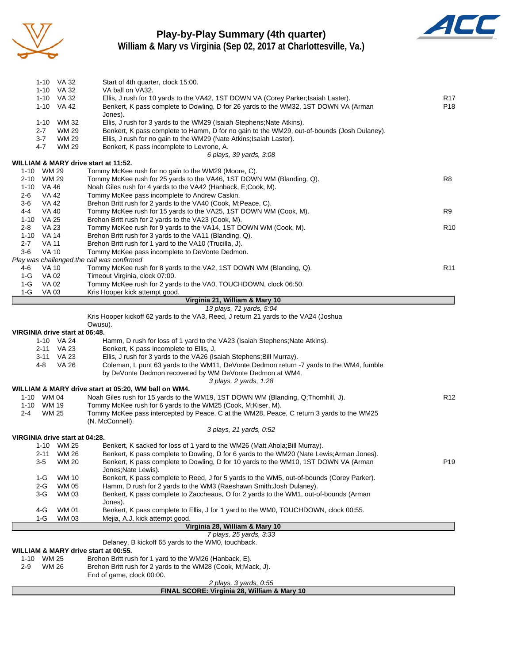

# **Play-by-Play Summary (4th quarter)**



**William & Mary vs Virginia (Sep 02, 2017 at Charlottesville, Va.)**

|            |                 | 1-10 VA 32<br>1-10 VA 32       | Start of 4th quarter, clock 15:00.<br>VA ball on VA32.                                                                                                                   |                 |
|------------|-----------------|--------------------------------|--------------------------------------------------------------------------------------------------------------------------------------------------------------------------|-----------------|
|            |                 | 1-10 VA 32                     | Ellis, J rush for 10 yards to the VA42, 1ST DOWN VA (Corey Parker; Isaiah Laster).                                                                                       | R17             |
|            |                 | 1-10 VA 42                     | Benkert, K pass complete to Dowling, D for 26 yards to the WM32, 1ST DOWN VA (Arman                                                                                      | P18             |
|            |                 |                                | Jones).                                                                                                                                                                  |                 |
|            | 1-10            | WM 32                          | Ellis, J rush for 3 yards to the WM29 (Isaiah Stephens; Nate Atkins).                                                                                                    |                 |
|            | $2 - 7$         | <b>WM 29</b>                   | Benkert, K pass complete to Hamm, D for no gain to the WM29, out-of-bounds (Josh Dulaney).                                                                               |                 |
|            | 3-7             | WM 29                          | Ellis, J rush for no gain to the WM29 (Nate Atkins; Isaiah Laster).                                                                                                      |                 |
|            | 4-7             | WM 29                          | Benkert, K pass incomplete to Levrone, A.                                                                                                                                |                 |
|            |                 |                                | 6 plays, 39 yards, 3:08                                                                                                                                                  |                 |
|            | 1-10 WM 29      |                                | WILLIAM & MARY drive start at 11:52.<br>Tommy McKee rush for no gain to the WM29 (Moore, C).                                                                             |                 |
|            | 2-10 WM 29      |                                | Tommy McKee rush for 25 yards to the VA46, 1ST DOWN WM (Blanding, Q).                                                                                                    | R8              |
|            | 1-10 VA 46      |                                | Noah Giles rush for 4 yards to the VA42 (Hanback, E;Cook, M).                                                                                                            |                 |
| 2-6        | VA 42           |                                | Tommy McKee pass incomplete to Andrew Caskin.                                                                                                                            |                 |
| $3-6$      | VA 42           |                                | Brehon Britt rush for 2 yards to the VA40 (Cook, M; Peace, C).                                                                                                           |                 |
| 4-4        | <b>VA 40</b>    |                                | Tommy McKee rush for 15 yards to the VA25, 1ST DOWN WM (Cook, M).                                                                                                        | R9              |
|            | 1-10 VA 25      |                                | Brehon Britt rush for 2 yards to the VA23 (Cook, M).                                                                                                                     |                 |
| $2 - 8$    | VA 23           |                                | Tommy McKee rush for 9 yards to the VA14, 1ST DOWN WM (Cook, M).                                                                                                         | R <sub>10</sub> |
|            | 1-10 VA 14      |                                | Brehon Britt rush for 3 yards to the VA11 (Blanding, Q).                                                                                                                 |                 |
| $2 - 7$    | <b>VA 11</b>    |                                | Brehon Britt rush for 1 yard to the VA10 (Trucilla, J).                                                                                                                  |                 |
| $3-6$      | <b>VA 10</b>    |                                | Tommy McKee pass incomplete to DeVonte Dedmon.                                                                                                                           |                 |
|            |                 |                                | Play was challenged, the call was confirmed                                                                                                                              |                 |
| 4-6<br>1-G | VA 10<br>VA 02  |                                | Tommy McKee rush for 8 yards to the VA2, 1ST DOWN WM (Blanding, Q).<br>Timeout Virginia, clock 07:00.                                                                    | R <sub>11</sub> |
| $1-G$      | VA 02           |                                | Tommy McKee rush for 2 yards to the VA0, TOUCHDOWN, clock 06:50.                                                                                                         |                 |
| 1-G        | VA 03           |                                | Kris Hooper kick attempt good.                                                                                                                                           |                 |
|            |                 |                                | Virginia 21, William & Mary 10                                                                                                                                           |                 |
|            |                 |                                | 13 plays, 71 yards, 5:04                                                                                                                                                 |                 |
|            |                 |                                | Kris Hooper kickoff 62 yards to the VA3, Reed, J return 21 yards to the VA24 (Joshua                                                                                     |                 |
|            |                 |                                | Owusu).                                                                                                                                                                  |                 |
|            |                 | VIRGINIA drive start at 06:48. |                                                                                                                                                                          |                 |
|            |                 | 1-10 VA 24                     | Hamm, D rush for loss of 1 yard to the VA23 (Isaiah Stephens; Nate Atkins).                                                                                              |                 |
|            |                 | 2-11 VA 23                     | Benkert, K pass incomplete to Ellis, J.                                                                                                                                  |                 |
|            | 4-8             | 3-11 VA 23<br>VA 26            | Ellis, J rush for 3 yards to the VA26 (Isaiah Stephens; Bill Murray).<br>Coleman, L punt 63 yards to the WM11, DeVonte Dedmon return -7 yards to the WM4, fumble         |                 |
|            |                 |                                | by DeVonte Dedmon recovered by WM DeVonte Dedmon at WM4.                                                                                                                 |                 |
|            |                 |                                | 3 plays, 2 yards, 1:28                                                                                                                                                   |                 |
|            |                 |                                | WILLIAM & MARY drive start at 05:20, WM ball on WM4.                                                                                                                     |                 |
|            | 1-10 WM 04      |                                | Noah Giles rush for 15 yards to the WM19, 1ST DOWN WM (Blanding, Q;Thornhill, J).                                                                                        | R <sub>12</sub> |
|            | 1-10 WM 19      |                                | Tommy McKee rush for 6 yards to the WM25 (Cook, M; Kiser, M).                                                                                                            |                 |
| $2 - 4$    | <b>WM 25</b>    |                                | Tommy McKee pass intercepted by Peace, C at the WM28, Peace, C return 3 yards to the WM25                                                                                |                 |
|            |                 |                                | (N. McConnell).                                                                                                                                                          |                 |
|            |                 |                                | 3 plays, 21 yards, 0:52                                                                                                                                                  |                 |
|            |                 | VIRGINIA drive start at 04:28. |                                                                                                                                                                          |                 |
|            |                 | 1-10 WM 25                     | Benkert, K sacked for loss of 1 yard to the WM26 (Matt Ahola; Bill Murray).<br>Benkert, K pass complete to Dowling, D for 6 yards to the WM20 (Nate Lewis; Arman Jones). |                 |
|            | $2 - 11$<br>3-5 | <b>WM 26</b><br><b>WM 20</b>   | Benkert, K pass complete to Dowling, D for 10 yards to the WM10, 1ST DOWN VA (Arman                                                                                      | P <sub>19</sub> |
|            |                 |                                | Jones;Nate Lewis).                                                                                                                                                       |                 |
|            | 1-G             | WM 10                          | Benkert, K pass complete to Reed, J for 5 yards to the WM5, out-of-bounds (Corey Parker).                                                                                |                 |
|            | $2-G$           | <b>WM 05</b>                   | Hamm, D rush for 2 yards to the WM3 (Raeshawn Smith; Josh Dulaney).                                                                                                      |                 |
|            | 3-G             | WM 03                          | Benkert, K pass complete to Zaccheaus, O for 2 yards to the WM1, out-of-bounds (Arman                                                                                    |                 |
|            |                 |                                | Jones).                                                                                                                                                                  |                 |
|            | 4-G             | <b>WM 01</b>                   | Benkert, K pass complete to Ellis, J for 1 yard to the WM0, TOUCHDOWN, clock 00:55.                                                                                      |                 |
|            | 1-G             | WM 03                          | Mejia, A.J. kick attempt good.                                                                                                                                           |                 |
|            |                 |                                | Virginia 28, William & Mary 10                                                                                                                                           |                 |
|            |                 |                                | 7 plays, 25 yards, 3:33                                                                                                                                                  |                 |
|            |                 |                                | Delaney, B kickoff 65 yards to the WM0, touchback.                                                                                                                       |                 |
| $1 - 10$   |                 | <b>WM 25</b>                   | WILLIAM & MARY drive start at 00:55.<br>Brehon Britt rush for 1 yard to the WM26 (Hanback, E).                                                                           |                 |
| $2 - 9$    |                 | <b>WM 26</b>                   | Brehon Britt rush for 2 yards to the WM28 (Cook, M;Mack, J).                                                                                                             |                 |
|            |                 |                                | End of game, clock 00:00.                                                                                                                                                |                 |
|            |                 |                                | 2 plays, 3 yards, 0:55                                                                                                                                                   |                 |

**FINAL SCORE: Virginia 28, William & Mary 10**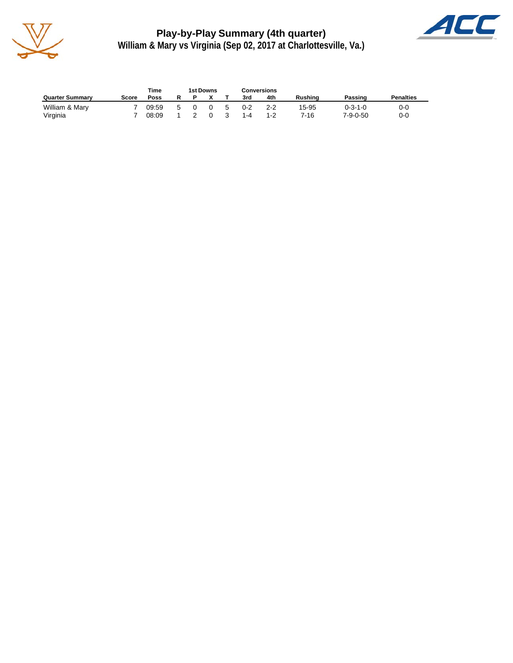

**Play-by-Play Summary (4th quarter) William & Mary vs Virginia (Sep 02, 2017 at Charlottesville, Va.)**



|                        |       | Time  |   | 1st Downs |              |    |         | Conversions |         |                  |                  |
|------------------------|-------|-------|---|-----------|--------------|----|---------|-------------|---------|------------------|------------------|
| <b>Quarter Summary</b> | Score | Poss  | R |           |              |    | 3rd     | 4th         | Rushing | Passing          | <b>Penalties</b> |
| William & Mary         |       | 09:59 |   |           | <sup>0</sup> | -5 | $0 - 2$ | 2-2         | 15-95   | 0-3-1-0          | 0-0              |
| Virginia               |       | 08:09 |   |           |              |    | 1-4     | 1-2         | 7-16    | $7 - 9 - 0 - 50$ | 0-0              |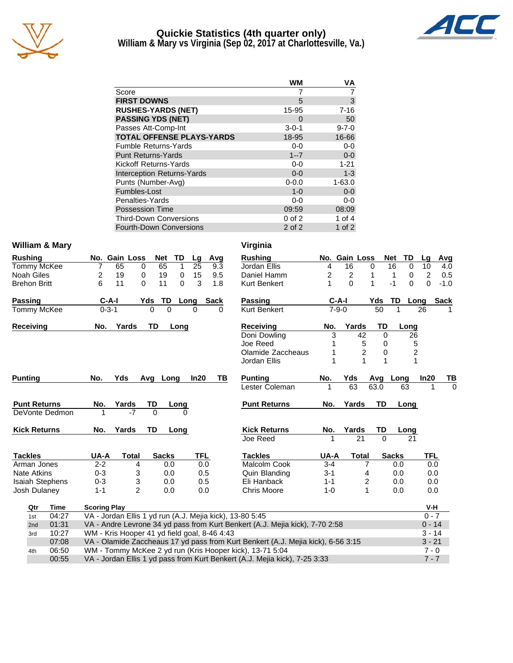

#### **Quickie Statistics (4th quarter only) William & Mary vs Virginia (Sep 02, 2017 at Charlottesville, Va.)**



|                                   | WM          | VA          |
|-----------------------------------|-------------|-------------|
| Score                             |             | 7           |
| <b>FIRST DOWNS</b>                | 5           | 3           |
| <b>RUSHES-YARDS (NET)</b>         | 15-95       | $7 - 16$    |
| <b>PASSING YDS (NET)</b>          | 0           | 50          |
| Passes Att-Comp-Int               | $3 - 0 - 1$ | $9 - 7 - 0$ |
| <b>TOTAL OFFENSE PLAYS-YARDS</b>  | 18-95       | 16-66       |
| <b>Fumble Returns-Yards</b>       | $0 - 0$     | $0-0$       |
| <b>Punt Returns-Yards</b>         | $1 - 7$     | $0 - 0$     |
| Kickoff Returns-Yards             | $0-0$       | $1 - 21$    |
| <b>Interception Returns-Yards</b> | $0 - 0$     | $1 - 3$     |
| Punts (Number-Avg)                | $0 - 0.0$   | $1 - 63.0$  |
| Fumbles-Lost                      | $1 - 0$     | $0 - 0$     |
| Penalties-Yards                   | $0-0$       | 0-0         |
| <b>Possession Time</b>            | 09:59       | 08:09       |
| <b>Third-Down Conversions</b>     | $0$ of $2$  | 1 of $4$    |
| <b>Fourth-Down Conversions</b>    | $2$ of $2$  | 1 of $2$    |

#### William & Mary **Virginia**

Arman Jones

| <b>Rushing</b>      |     | No. Gain Loss |       | <b>Net</b> | TD.      | Lq   | Avq  | <b>Rushing</b>   |     | No. Gain Loss |     | <b>Net</b> | TD.      |
|---------------------|-----|---------------|-------|------------|----------|------|------|------------------|-----|---------------|-----|------------|----------|
| Tommy McKee         |     | 65            | 0     | 65         |          | 25   | 9.3  | Jordan Ellis     | 4   | 16            | 0   | 16         | $\Omega$ |
| <b>Noah Giles</b>   |     | 19            | 0     | 19         | 0        | 15   | 9.5  | Daniel Hamm      |     | 2             |     |            |          |
| <b>Brehon Britt</b> | 6   | 11            |       | 11         | $\Omega$ |      | 1.8  | Kurt Benkert     |     | 0             |     | -1         | $\Omega$ |
| <b>Passing</b>      |     | $C-A-I$       | Yds   | TD.        |          | Long | Sack | Passing          |     | C-A-I         | Yds | TD.        | - Lo     |
| Tommy McKee         |     | $0 - 3 - 1$   |       | 0<br>0     |          | 0    |      | Kurt Benkert     |     | $7-9-0$       | 50  | 1          |          |
| Receiving           | No. |               | Yards | TD         | Long     |      |      | <b>Receiving</b> | No. | Yards         |     | TD         | Lona     |

Punting No. Yds Avg Long In20 TB

**Punt Returns Mo. Yards TD Long** DeVonte Dedmon 1 -7 0 0

Kick Returns **No. Yards TD** Long

**Tackles UA-A Total Sacks TFL**

Nate Atkins 0-3 3 0.0 0.5 Isaiah Stephens 0-3 3 0.0 0.5 Josh Dulaney 1-1 2 0.0 0.0

| Rushing             |                | No. Gain Loss           |              | Net          | TD             | Lq         | Avg         |  |
|---------------------|----------------|-------------------------|--------------|--------------|----------------|------------|-------------|--|
| Jordan Ellis        | 4              | 16                      | 0            | 16           | 0              | 10         | 4.0         |  |
| Daniel Hamm         | 2              | 2                       | 1            | 1            | 0              | 2          | 0.5         |  |
| Kurt Benkert        | 1              | $\Omega$                | 1            | $-1$         | 0              | 0          | $-1.0$      |  |
| <b>Passing</b>      | C-A-I          |                         | Yds          | TD           | Long           |            | <b>Sack</b> |  |
| <b>Kurt Benkert</b> | $7 - 9 - 0$    |                         | 50           | 1            |                | 26         |             |  |
| Receiving           | No.            | Yards                   | TD           |              | Long           |            |             |  |
| Doni Dowling        | 3              | 42                      |              | 0            | 26             |            |             |  |
| Joe Reed            | 1              | 5                       |              | 0            | 5              |            |             |  |
| Olamide Zaccheaus   | 1              | $\overline{\mathbf{c}}$ |              | 0            | $\overline{c}$ |            |             |  |
| Jordan Ellis        | $\overline{1}$ | $\overline{1}$          | 1            |              | $\overline{1}$ |            |             |  |
| Punting             | No.            | Yds                     | Avg Long     |              |                | In20       | ΤВ          |  |
| Lester Coleman      | 1              | 63                      | 63.0         |              | 63             | 1          | 0           |  |
| <b>Punt Returns</b> | No.            | Yards                   | TD           |              | Long           |            |             |  |
|                     |                |                         |              |              |                |            |             |  |
| <b>Kick Returns</b> | No.<br>1       | Yards                   | TD           |              | Long           |            |             |  |
| Joe Reed            |                | 21                      | $\Omega$     |              | 21             |            |             |  |
| <b>Tackles</b>      | UA-A           | <b>Total</b>            |              | <b>Sacks</b> |                | <b>TFL</b> |             |  |
| Malcolm Cook        | $3 - 4$        |                         | 7            | 0.0          |                | 0.0        |             |  |
| Quin Blanding       | 3-1            |                         | 4            | 0.0          |                | 0.0        |             |  |
| Eli Hanback         | $1 - 1$        |                         | 2            | 0.0          |                | 0.0        |             |  |
| Chris Moore         | $1 - 0$        |                         | $\mathbf{1}$ | 0.0          |                | 0.0        |             |  |
|                     |                |                         |              |              |                |            |             |  |

| Qtr             | Time  | <b>Scoring Play</b>                                                              | V-H      |
|-----------------|-------|----------------------------------------------------------------------------------|----------|
| 1st             | 04:27 | VA - Jordan Ellis 1 yd run (A.J. Mejia kick), 13-80 5:45                         | $0 - 7$  |
| 2 <sub>nd</sub> | 01:31 | VA - Andre Levrone 34 yd pass from Kurt Benkert (A.J. Mejia kick), 7-70 2:58     | $0 - 14$ |
| 3rd             | 10:27 | WM - Kris Hooper 41 yd field goal, 8-46 4:43                                     | $3 - 14$ |
|                 | 07:08 | VA - Olamide Zaccheaus 17 yd pass from Kurt Benkert (A.J. Mejia kick), 6-56 3:15 | $3 - 21$ |
| 4th             | 06:50 | WM - Tommy McKee 2 yd run (Kris Hooper kick), 13-71 5:04                         | $7 - 0$  |
|                 | 00:55 | VA - Jordan Ellis 1 yd pass from Kurt Benkert (A.J. Mejia kick), 7-25 3:33       | $7 - 7$  |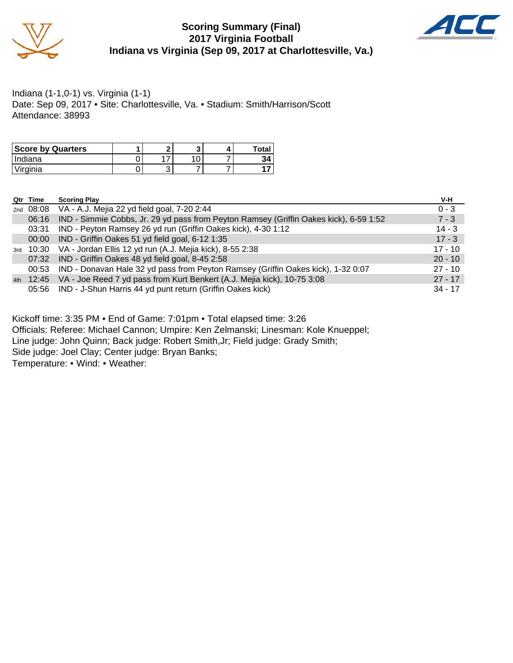

#### **Scoring Summary (Final) 2017 Virginia Football Indiana vs Virginia (Sep 09, 2017 at Charlottesville, Va.)**



Indiana (1-1,0-1) vs. Virginia (1-1) Date: Sep 09, 2017 • Site: Charlottesville, Va. • Stadium: Smith/Harrison/Scott Attendance: 38993

| <b>Score by Quarters</b> | e |  | <b>Total</b> |
|--------------------------|---|--|--------------|
| l Indiana                | ⇁ |  | 34           |
| Virginia                 | ື |  |              |

| Qtr Time | <b>Scoring Play</b>                                                                   | V-H       |
|----------|---------------------------------------------------------------------------------------|-----------|
|          | 2nd 08:08 VA - A.J. Mejia 22 yd field goal, 7-20 2:44                                 | $0 - 3$   |
| 06:16    | IND - Simmie Cobbs, Jr. 29 yd pass from Peyton Ramsey (Griffin Oakes kick), 6-59 1:52 | $7 - 3$   |
| 03:31    | IND - Peyton Ramsey 26 yd run (Griffin Oakes kick), 4-30 1:12                         | $14 - 3$  |
| 00:00    | IND - Griffin Oakes 51 yd field goal, 6-12 1:35                                       | $17 - 3$  |
|          | 3rd 10:30 VA - Jordan Ellis 12 yd run (A.J. Mejia kick), 8-55 2:38                    | $17 - 10$ |
| 07:32    | IND - Griffin Oakes 48 yd field goal, 8-45 2:58                                       | $20 - 10$ |
| 00:53    | IND - Donavan Hale 32 yd pass from Peyton Ramsey (Griffin Oakes kick), 1-32 0:07      | $27 - 10$ |
|          | 4th 12:45 VA - Joe Reed 7 yd pass from Kurt Benkert (A.J. Mejia kick), 10-75 3:08     | $27 - 17$ |
|          | 05:56 IND - J-Shun Harris 44 yd punt return (Griffin Oakes kick)                      | $34 - 17$ |

Kickoff time: 3:35 PM • End of Game: 7:01pm • Total elapsed time: 3:26

Officials: Referee: Michael Cannon; Umpire: Ken Zelmanski; Linesman: Kole Knueppel;

Line judge: John Quinn; Back judge: Robert Smith,Jr; Field judge: Grady Smith;

Side judge: Joel Clay; Center judge: Bryan Banks;

Temperature: • Wind: • Weather: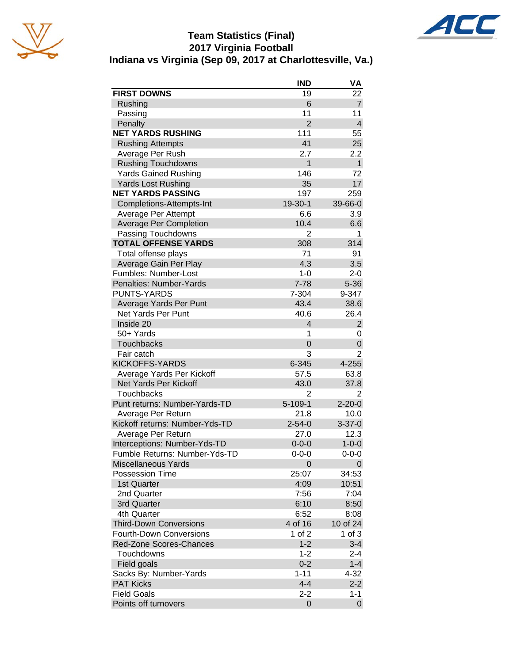





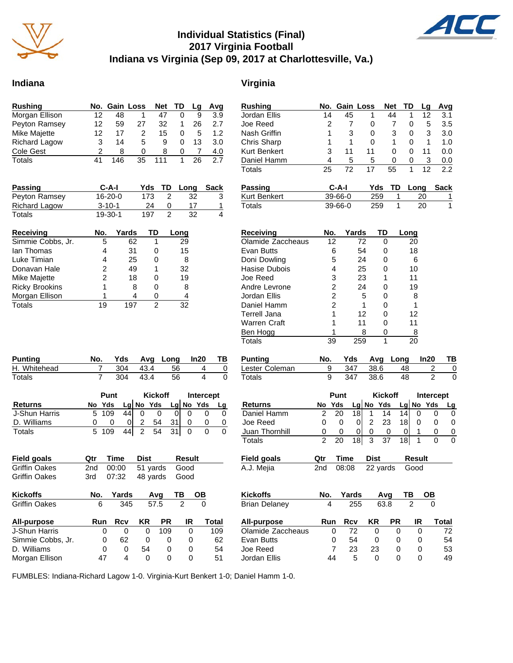

### **Individual Statistics (Final) 2017 Virginia Football Indiana vs Virginia (Sep 09, 2017 at Charlottesville, Va.)**

#### **Indiana Virginia**

| <b>Rushing</b>       |    | No. Gain Loss |    | <b>Net</b> | TD | Lq | Avg              |
|----------------------|----|---------------|----|------------|----|----|------------------|
| Morgan Ellison       | 12 | 48            |    | 47         |    | 9  | 3.9              |
| Peyton Ramsey        | 12 | 59            | 27 | 32         |    | 26 | 2.7              |
| Mike Majette         | 12 | 17            | 2  | 15         | O  | 5  | 1.2 <sub>2</sub> |
| <b>Richard Lagow</b> | 3  | 14            | 5  | 9          | O  | 13 | 3.0              |
| Cole Gest            |    | 8             | O  | 8          | O  |    | 4.0              |
| Totals               | 41 | 146           | 35 |            |    | 26 | 27               |

| <b>Passing</b>       | $C-A-I$       |     | Yds TD Long | Sack |
|----------------------|---------------|-----|-------------|------|
| Peyton Ramsey        | $16 - 20 - 0$ | 173 | 32          |      |
| <b>Richard Lagow</b> | $3 - 10 - 1$  | 24  |             |      |
| Totals               | $19 - 30 - 1$ | 197 | 32          |      |

| Receiving             | No. | Yards | ТD | Long |
|-----------------------|-----|-------|----|------|
| Simmie Cobbs, Jr.     | 5   | 62    |    | 29   |
| lan Thomas            | 4   | 31    |    | 15   |
| Luke Timian           | 4   | 25    |    | 8    |
| Donavan Hale          | 2   | 49    |    | 32   |
| Mike Majette          | 2   | 18    |    | 19   |
| <b>Ricky Brookins</b> | 1   | 8     |    | 8    |
| Morgan Ellison        |     | 4     |    |      |
| Totals                | 19  |       |    | 32   |

| <b>Punting</b> | No. |     |        | Yds Avg Long In20 | — ТВ |
|----------------|-----|-----|--------|-------------------|------|
| H. Whitehead   |     | 304 | - 43.4 | 56                |      |
| Totals         |     | 304 | - 43.4 | 56                |      |

|                | Punt |        |      | <b>Kickoff</b> |             |      | Intercept |              |  |
|----------------|------|--------|------|----------------|-------------|------|-----------|--------------|--|
| <b>Returns</b> |      | No Yds |      |                | $Lg$ No Yds |      |           | Lg $N$ o Yds |  |
| J-Shun Harris  |      | 5 109  | 44 l |                |             |      |           |              |  |
| D. Williams    |      |        |      | 2              | 54          | 31   |           |              |  |
| Totals         |      | 5 109  | 44   | $\overline{2}$ | 54          | 31 I |           |              |  |

| <b>Field goals</b>   | Qtr | Time       | Dist     |           | <b>Result</b> |       |
|----------------------|-----|------------|----------|-----------|---------------|-------|
| <b>Griffin Oakes</b> | 2nd | 00:00      | 51 yards |           | Good          |       |
| <b>Griffin Oakes</b> | 3rd | 07:32      | 48 yards |           | Good          |       |
| <b>Kickoffs</b>      | No. | Yards      |          | Avg       | ΤВ            | OВ    |
| <b>Griffin Oakes</b> | 6   | 345        |          | 57.5      | 2             | 0     |
| All-purpose          | Run | <b>Rcv</b> | ΚR       | <b>PR</b> | IR            | Total |
| J-Shun Harris        | 0   | 0          | 0        | 109       | 0             | 109   |
| Simmie Cobbs, Jr.    | 0   | 62         | 0        | 0         | 0             | 62    |
| D. Williams          | 0   | 0          | 54       | 0         | 0             | 54    |
| Morgan Ellison       | 47  | 4          | 0        | 0         | ი             | 51    |

| <b>Rushing</b> |    | No. Gain Loss |            | <b>Net</b> | TD | Lq   | Avg  |
|----------------|----|---------------|------------|------------|----|------|------|
| Jordan Ellis   | 14 | 45            | 1          | 44         |    | 12   | 3.1  |
| Joe Reed       |    |               | 0          |            | 0  | 5    | 3.5  |
| Nash Griffin   |    | 3             | 0          | 3          | 0  | 3    | 3.0  |
| Chris Sharp    |    | 1             | 0          | 1          | 0  | 1    | 1.0  |
| Kurt Benkert   | 3  | 11            | 11         | 0          | 0  | 11   | 0.0  |
| Daniel Hamm    | 4  | 5             | 5          | 0          | 0  | 3    | 0.0  |
| <b>Totals</b>  | 25 | 72            | 17         | 55         |    | 12   | 2.2  |
| Passing        |    | $C-A-I$       | <b>zhY</b> | TD         |    | Lona | Sack |

| Passing      | C-A-I         |     | Yds TD Long Sack |  |
|--------------|---------------|-----|------------------|--|
| Kurt Benkert | $39 - 66 - 0$ | 259 |                  |  |
| Totals       | $39 - 66 - 0$ | 259 | 20               |  |

| Receiving         | No. | Yards | TD | Long |
|-------------------|-----|-------|----|------|
| Olamide Zaccheaus | 12  | 72    | O  | 20   |
| Evan Butts        | 6   | 54    | O  | 18   |
| Doni Dowling      | 5   | 24    | O  | 6    |
| Hasise Dubois     | 4   | 25    | ი  | 10   |
| Joe Reed          | 3   | 23    |    | 11   |
| Andre Levrone     | 2   | 24    |    | 19   |
| Jordan Ellis      | 2   | 5     | ი  | 8    |
| Daniel Hamm       | 2   |       | ი  | 1    |
| Terrell Jana      |     | 12    | O  | 12   |
| Warren Craft      |     | 11    |    | 11   |
| Ben Hogg          |     | 8     | O  | 8    |
| Totals            | 39  | 259   | 1  | 20   |

| Punting        | No. |     |          | Yds Avg Long In20 | <b>TB</b> |
|----------------|-----|-----|----------|-------------------|-----------|
| Lester Coleman |     |     | 347 38.6 | 48.               |           |
| Totals         |     | 347 | - 38.6   | 48                |           |

|                | Punt   | <b>Kickoff</b> |   |           | Intercept |  |           |  |
|----------------|--------|----------------|---|-----------|-----------|--|-----------|--|
| <b>Returns</b> | No Yds |                |   | Lg No Yds |           |  | Lg No Yds |  |
| Daniel Hamm    | 20     | 18             |   | 14        | 14        |  |           |  |
| Joe Reed       |        |                |   | 23        | 181       |  |           |  |
| Juan Thornhill |        |                |   |           |           |  |           |  |
| Totals         |        | 18             | ર | 37        |           |  |           |  |

| Field goals | <b>Qtr Time Dist</b> |                         | Result |
|-------------|----------------------|-------------------------|--------|
| A.J. Mejia  |                      | 2nd 08:08 22 yards Good |        |

| Kickoffs          | No. | Yards |    | Ava          | ΤВ | OВ    |
|-------------------|-----|-------|----|--------------|----|-------|
| Brian Delanev     | 4   | 255   |    | 63.8         |    |       |
| All-purpose       | Run | Rcv   | KR | <b>PR</b>    | IR | Total |
| Olamide Zaccheaus | 0   | 72    | O  |              | O  | 72    |
| Evan Butts        | 0   | 54    | 0  | $\mathbf{0}$ | Ω  | 54    |
| Joe Reed          |     | 23    | 23 | $\mathbf{0}$ | Ω  | 53    |
| Jordan Ellis      | 44  | 5     |    |              |    | 49    |

FUMBLES: Indiana-Richard Lagow 1-0. Virginia-Kurt Benkert 1-0; Daniel Hamm 1-0.

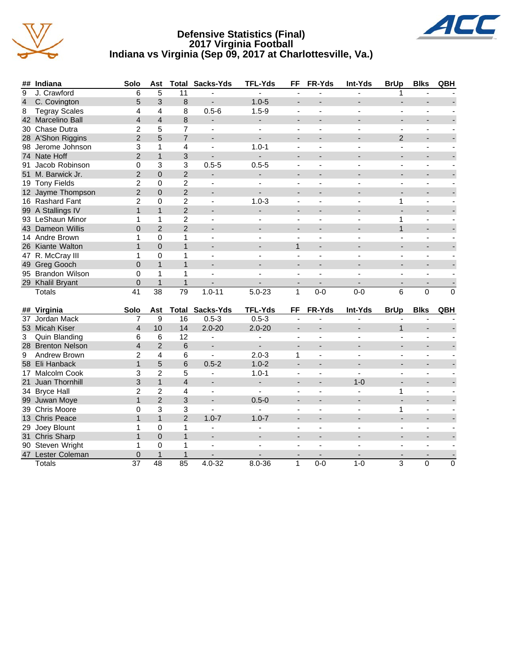

#### **Defensive Statistics (Final) 2017 Virginia Football Indiana vs Virginia (Sep 09, 2017 at Charlottesville, Va.)**



| ##              | Indiana              | Solo                     | Ast            | <b>Total</b>             | Sacks-Yds                | <b>TFL-Yds</b>           | FF                       | FR-Yds                   | Int-Yds                  | <b>BrUp</b>              | <b>Blks</b>              | QBH            |
|-----------------|----------------------|--------------------------|----------------|--------------------------|--------------------------|--------------------------|--------------------------|--------------------------|--------------------------|--------------------------|--------------------------|----------------|
| 9               | J. Crawford          | 6                        | 5              | 11                       |                          |                          |                          |                          |                          |                          |                          |                |
| $\overline{a}$  | C. Covington         | 5                        | 3              | 8                        |                          | $1.0 - 5$                | ÷                        |                          |                          |                          |                          |                |
| 8               | <b>Tegray Scales</b> | 4                        | 4              | 8                        | $0.5 - 6$                | $1.5 - 9$                |                          |                          |                          |                          |                          |                |
|                 | 42 Marcelino Ball    | $\overline{\mathcal{L}}$ | $\overline{4}$ | 8                        |                          |                          |                          |                          |                          |                          |                          |                |
|                 | 30 Chase Dutra       | 2                        | 5              | 7                        | $\overline{\phantom{a}}$ | ä,                       | $\overline{\phantom{a}}$ |                          |                          | $\overline{\phantom{a}}$ | $\blacksquare$           |                |
|                 | 28 A'Shon Riggins    | $\overline{2}$           | 5              | $\overline{7}$           | $\overline{a}$           | $\blacksquare$           |                          |                          |                          | $\overline{2}$           |                          |                |
|                 | 98 Jerome Johnson    | 3                        | $\mathbf{1}$   | 4                        | ÷,                       | $1.0 - 1$                | L.                       |                          |                          | ÷,                       |                          |                |
|                 | 74 Nate Hoff         | $\overline{2}$           | $\mathbf{1}$   | 3                        |                          |                          |                          |                          |                          |                          |                          |                |
| 91              | Jacob Robinson       | 0                        | 3              | 3                        | $0.5 - 5$                | $0.5 - 5$                |                          |                          |                          |                          |                          |                |
|                 | 51 M. Barwick Jr.    | $\overline{2}$           | $\mathbf 0$    | $\overline{2}$           |                          |                          |                          |                          |                          |                          |                          |                |
|                 | 19 Tony Fields       | $\overline{2}$           | $\mathbf 0$    | $\overline{2}$           | ÷,                       |                          |                          |                          |                          |                          |                          |                |
|                 | 12 Jayme Thompson    | $\overline{2}$           | $\mathbf 0$    | $\overline{2}$           | $\overline{a}$           |                          |                          |                          |                          |                          |                          |                |
|                 | 16 Rashard Fant      | 2                        | $\Omega$       | $\overline{2}$           | $\blacksquare$           | $1.0 - 3$                | $\blacksquare$           | $\overline{\phantom{a}}$ |                          | 1                        | $\blacksquare$           |                |
|                 | 99 A Stallings IV    | $\mathbf{1}$             | $\mathbf{1}$   | $\overline{2}$           |                          |                          |                          |                          |                          | L.                       |                          |                |
|                 | 93 LeShaun Minor     | 1                        | $\mathbf{1}$   | $\overline{2}$           | $\overline{\phantom{a}}$ |                          |                          |                          |                          | 1                        |                          |                |
|                 | 43 Dameon Willis     | 0                        | $\overline{2}$ | $\overline{2}$           |                          |                          |                          |                          |                          | $\mathbf{1}$             |                          |                |
|                 | 14 Andre Brown       | 1                        | $\mathbf 0$    | $\mathbf{1}$             |                          |                          |                          |                          |                          |                          |                          |                |
|                 | 26 Kiante Walton     | $\mathbf{1}$             | $\Omega$       | $\mathbf{1}$             |                          |                          | $\mathbf{1}$             |                          |                          |                          |                          |                |
|                 | 47 R. McCray III     | 1                        | $\Omega$       | 1                        | ÷,                       |                          |                          |                          |                          |                          |                          |                |
|                 | 49 Greg Gooch        | $\overline{0}$           | $\mathbf{1}$   | $\mathbf{1}$             |                          |                          |                          |                          |                          |                          |                          |                |
|                 | 95 Brandon Wilson    | 0                        | 1              | $\mathbf{1}$             | $\blacksquare$           |                          | $\blacksquare$           | ÷,                       |                          | L,                       | ÷,                       |                |
|                 | 29 Khalil Bryant     | 0                        | $\mathbf{1}$   | $\mathbf{1}$             |                          |                          | $\overline{a}$           | $\blacksquare$           |                          | $\overline{\phantom{0}}$ | $\blacksquare$           |                |
|                 | Totals               | 41                       | 38             | 79                       | $1.0 - 11$               | $5.0 - 23$               | $\mathbf{1}$             | $0 - 0$                  | $0 - 0$                  | 6                        | $\Omega$                 | $\Omega$       |
|                 |                      |                          |                |                          |                          |                          |                          |                          |                          |                          |                          |                |
| ##              | Virginia             | Solo                     | Ast            | Total                    | Sacks-Yds                | <b>TFL-Yds</b>           | FF                       | FR-Yds                   | Int-Yds                  | <b>BrUp</b>              | <b>Blks</b>              | QBH            |
| 37              | Jordan Mack          | 7                        | 9              | 16                       | $0.5 - 3$                | $0.5 - 3$                | $\blacksquare$           |                          | $\overline{\phantom{a}}$ |                          | $\blacksquare$           |                |
|                 | 53 Micah Kiser       | $\overline{4}$           | 10             | 14                       | $2.0 - 20$               | $2.0 - 20$               | $\overline{\phantom{a}}$ | $\overline{a}$           |                          | $\mathbf{1}$             |                          |                |
| 3               | Quin Blanding        | 6                        | 6              | 12                       | $\overline{\phantom{0}}$ | ä,                       | $\mathbf{r}$             | $\overline{a}$           | $\blacksquare$           | ÷,                       | $\overline{\phantom{a}}$ |                |
|                 | 28 Brenton Nelson    | 4                        | 2              | 6                        | $\overline{\phantom{0}}$ |                          |                          |                          |                          |                          |                          |                |
| 9               | Andrew Brown         | $\overline{2}$           | $\overline{4}$ | 6                        | $\blacksquare$           | $2.0 - 3$                | $\mathbf{1}$             | ä,                       | $\blacksquare$           | L,                       | $\blacksquare$           |                |
|                 | 58 Eli Hanback       | $\mathbf{1}$             | 5              | 6                        | $0.5 - 2$                | $1.0 - 2$                | ÷.                       |                          |                          |                          |                          |                |
|                 | 17 Malcolm Cook      | 3                        | $\overline{2}$ | 5                        | ÷                        | $1.0 - 1$                | $\overline{\phantom{a}}$ | L.                       | $\blacksquare$           | ä,                       | $\mathbf{r}$             |                |
| 21              | Juan Thornhill       | 3                        | $\mathbf{1}$   | $\overline{\mathcal{L}}$ |                          | $\overline{\phantom{0}}$ |                          |                          | $1 - 0$                  |                          |                          |                |
| 34              | <b>Bryce Hall</b>    | $\overline{2}$           | $\overline{2}$ | 4                        | $\blacksquare$           | $\blacksquare$           | $\blacksquare$           | ä,                       | $\blacksquare$           | 1                        | $\overline{\phantom{a}}$ |                |
|                 | 99 Juwan Moye        | $\mathbf{1}$             | $\overline{2}$ | 3                        | $\blacksquare$           | $0.5 - 0$                |                          |                          | $\overline{\phantom{a}}$ |                          |                          |                |
|                 | 39 Chris Moore       | 0                        | 3              | 3                        | L.                       |                          | $\blacksquare$           | L.                       | $\overline{a}$           | 1                        | $\blacksquare$           |                |
| 13 <sup>°</sup> | <b>Chris Peace</b>   | $\mathbf{1}$             | $\mathbf{1}$   | $\overline{2}$           | $1.0 - 7$                | $1.0 - 7$                |                          |                          |                          |                          |                          |                |
|                 | 29 Joey Blount       | 1                        | $\mathbf 0$    | $\mathbf{1}$             | $\blacksquare$           | $\overline{\phantom{a}}$ | $\sim$                   | $\blacksquare$           | $\sim$                   | L,                       | $\sim$                   |                |
|                 | 31 Chris Sharp       | $\mathbf{1}$             | $\mathbf 0$    | $\mathbf{1}$             |                          |                          |                          |                          |                          |                          |                          |                |
| 90              | Steven Wright        | 1                        | $\mathbf 0$    | 1                        | ä,                       |                          |                          |                          |                          |                          |                          |                |
|                 | 47 Lester Coleman    | 0                        | $\mathbf{1}$   | $\mathbf{1}$             |                          |                          |                          |                          |                          |                          |                          |                |
|                 | Totals               | 37                       | 48             | $\overline{85}$          | $4.0 - 32$               | $8.0 - 36$               | $\mathbf{1}$             | $0 - 0$                  | $1-0$                    | 3                        | $\Omega$                 | $\overline{0}$ |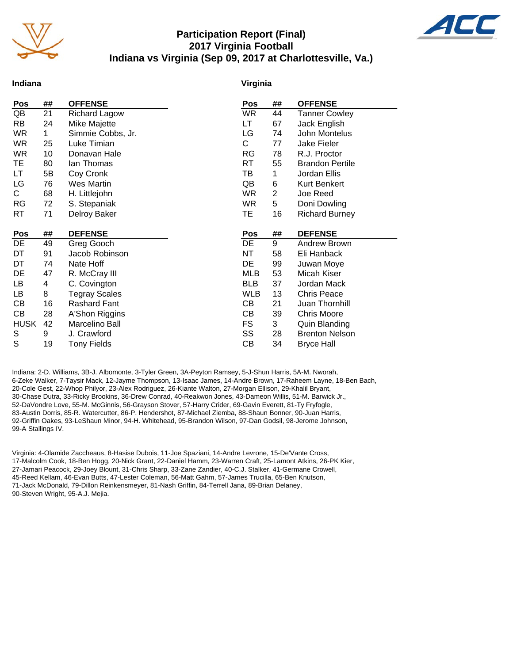

#### **Participation Report (Final) 2017 Virginia Football Indiana vs Virginia (Sep 09, 2017 at Charlottesville, Va.)**



#### **Indiana**

#### **Virginia**

| Pos         | ##          | <b>OFFENSE</b>       | Pos        | ##             | <b>OFFENSE</b>         |
|-------------|-------------|----------------------|------------|----------------|------------------------|
| QB          | 21          | <b>Richard Lagow</b> | <b>WR</b>  | 44             | <b>Tanner Cowley</b>   |
| RB          | 24          | Mike Majette         | LТ         | 67             | Jack English           |
| <b>WR</b>   | $\mathbf 1$ | Simmie Cobbs, Jr.    | LG         | 74             | John Montelus          |
| <b>WR</b>   | 25          | Luke Timian          | С          | 77             | Jake Fieler            |
| <b>WR</b>   | 10          | Donavan Hale         | RG         | 78             | R.J. Proctor           |
| TE          | 80          | lan Thomas           | <b>RT</b>  | 55             | <b>Brandon Pertile</b> |
| LT          | 5B          | Coy Cronk            | TВ         | 1              | Jordan Ellis           |
| LG          | 76          | <b>Wes Martin</b>    | QB         | 6              | <b>Kurt Benkert</b>    |
| C.          | 68          | H. Littlejohn        | <b>WR</b>  | $\overline{2}$ | Joe Reed               |
| <b>RG</b>   | 72          | S. Stepaniak         | <b>WR</b>  | 5              | Doni Dowling           |
| RT          | 71          | Delroy Baker         | TE         | 16             | <b>Richard Burney</b>  |
|             |             |                      |            |                |                        |
| Pos         | ##          | <b>DEFENSE</b>       | Pos        | ##             | <b>DEFENSE</b>         |
|             |             |                      |            |                |                        |
| DE          | 49          | Greg Gooch           | DE         | 9              | Andrew Brown           |
| DT          | 91          | Jacob Robinson       | NT         | 58             | Eli Hanback            |
| DT          | 74          | Nate Hoff            | DE         | 99             | Juwan Moye             |
| DE          | 47          | R. McCray III        | <b>MLB</b> | 53             | Micah Kiser            |
| LB          | 4           | C. Covington         | <b>BLB</b> | 37             | Jordan Mack            |
| LB          | 8           | <b>Tegray Scales</b> | <b>WLB</b> | 13             | <b>Chris Peace</b>     |
| СB          | 16          | Rashard Fant         | СB         | 21             | Juan Thornhill         |
| CВ          | 28          | A'Shon Riggins       | CВ         | 39             | <b>Chris Moore</b>     |
| <b>HUSK</b> | 42          | Marcelino Ball       | <b>FS</b>  | 3              | Quin Blanding          |
| S           | 9           | J. Crawford          | SS         | 28             | <b>Brenton Nelson</b>  |
| S           | 19          | <b>Tony Fields</b>   | СB         | 34             | <b>Bryce Hall</b>      |

Indiana: 2-D. Williams, 3B-J. Albomonte, 3-Tyler Green, 3A-Peyton Ramsey, 5-J-Shun Harris, 5A-M. Nworah, 6-Zeke Walker, 7-Taysir Mack, 12-Jayme Thompson, 13-Isaac James, 14-Andre Brown, 17-Raheem Layne, 18-Ben Bach, 20-Cole Gest, 22-Whop Philyor, 23-Alex Rodriguez, 26-Kiante Walton, 27-Morgan Ellison, 29-Khalil Bryant, 30-Chase Dutra, 33-Ricky Brookins, 36-Drew Conrad, 40-Reakwon Jones, 43-Dameon Willis, 51-M. Barwick Jr., 52-DaVondre Love, 55-M. McGinnis, 56-Grayson Stover, 57-Harry Crider, 69-Gavin Everett, 81-Ty Fryfogle, 83-Austin Dorris, 85-R. Watercutter, 86-P. Hendershot, 87-Michael Ziemba, 88-Shaun Bonner, 90-Juan Harris, 92-Griffin Oakes, 93-LeShaun Minor, 94-H. Whitehead, 95-Brandon Wilson, 97-Dan Godsil, 98-Jerome Johnson, 99-A Stallings IV.

Virginia: 4-Olamide Zaccheaus, 8-Hasise Dubois, 11-Joe Spaziani, 14-Andre Levrone, 15-De'Vante Cross, 17-Malcolm Cook, 18-Ben Hogg, 20-Nick Grant, 22-Daniel Hamm, 23-Warren Craft, 25-Lamont Atkins, 26-PK Kier, 27-Jamari Peacock, 29-Joey Blount, 31-Chris Sharp, 33-Zane Zandier, 40-C.J. Stalker, 41-Germane Crowell, 45-Reed Kellam, 46-Evan Butts, 47-Lester Coleman, 56-Matt Gahm, 57-James Trucilla, 65-Ben Knutson, 71-Jack McDonald, 79-Dillon Reinkensmeyer, 81-Nash Griffin, 84-Terrell Jana, 89-Brian Delaney, 90-Steven Wright, 95-A.J. Mejia.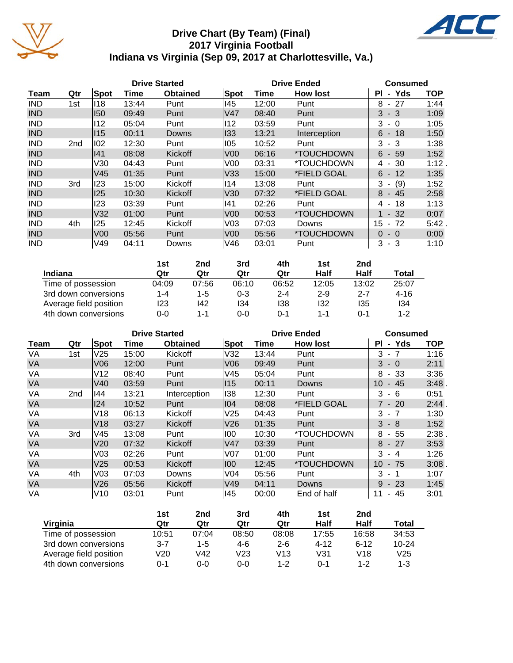

## **Drive Chart (By Team) (Final) 2017 Virginia Football Indiana vs Virginia (Sep 09, 2017 at Charlottesville, Va.)**



|            |                 |                 | <b>Drive Started</b> |                 |                 | <b>Drive Ended</b> | <b>Consumed</b>          |                                     |            |
|------------|-----------------|-----------------|----------------------|-----------------|-----------------|--------------------|--------------------------|-------------------------------------|------------|
| Team       | Qtr             | Spot            | Time                 | <b>Obtained</b> | Spot            | Time               | <b>How lost</b>          | - Yds<br>ΡI                         | <b>TOP</b> |
| <b>IND</b> | 1st             | 118             | 13:44                | Punt            | 145             | 12:00              | Punt                     | 8<br>-27<br>$\blacksquare$          | 1:44       |
| <b>IND</b> |                 | <b>150</b>      | 09:49                | Punt            | V47             | 08:40              | Punt                     | 3<br>$-3$                           | 1:09       |
| <b>IND</b> |                 | 112             | 05:04                | Punt            | 112             | 03:59              | Punt                     | 3<br>- 0                            | 1:05       |
| <b>IND</b> |                 | 115             | 00:11                | <b>Downs</b>    | 133             | 13:21              | Interception             | $6 - 18$                            | 1:50       |
| <b>IND</b> | 2 <sub>nd</sub> | 102             | 12:30                | Punt            | 105             | 10:52              | Punt                     | $-3$<br>3                           | 1:38       |
| <b>IND</b> |                 | 41              | 08:08                | Kickoff         | V <sub>00</sub> | 06:16              | *TOUCHDOWN               | $6 - 59$                            | 1:52       |
| <b>IND</b> |                 | V30             | 04:43                | Punt            | V <sub>0</sub>  | 03:31              | *TOUCHDOWN               | 30<br>4<br>$\overline{\phantom{a}}$ | 1:12.      |
| <b>IND</b> |                 | V <sub>45</sub> | 01:35                | Punt            | V33             | 15:00              | *FIELD GOAL              | $6 -$<br>12                         | 1:35       |
| <b>IND</b> | 3rd             | 123             | 15:00                | Kickoff         | 114             | 13:08              | Punt                     | (9)<br>3<br>$\blacksquare$          | 1:52       |
| <b>IND</b> |                 | 125             | 10:30                | Kickoff         | V30             | 07:32              | *FIELD GOAL              | 8<br>- 45                           | 2:58       |
| <b>IND</b> |                 | 123             | 03:39                | Punt            | 141             | 02:26              | Punt                     | 18<br>4 -                           | 1:13       |
| <b>IND</b> |                 | V <sub>32</sub> | 01:00                | Punt            | V <sub>00</sub> | 00:53              | *TOUCHDOWN               | $1 - 32$                            | 0:07       |
| <b>IND</b> | 4th             | 125             | 12:45                | Kickoff         | V <sub>03</sub> | 07:03              | Downs                    | 15<br>$-72$                         | 5:42.      |
| <b>IND</b> |                 | V <sub>00</sub> | 05:56                | Punt            | V <sub>00</sub> | 05:56              | <i><b>*TOUCHDOWN</b></i> | $0 - 0$                             | 0:00       |
| <b>IND</b> |                 | V49             | 04:11                | Downs           | V46             | 03:01              | Punt                     | 3<br>$-3$                           | 1:10       |

|                        | 1st     | 2nd   | 3rd     | 4th     | 1st     | 2 <sub>nd</sub> |          |
|------------------------|---------|-------|---------|---------|---------|-----------------|----------|
| Indiana                | Qtr     | Qtr   | Qtr     | Qtr     | Half    | Half            | Total    |
| Time of possession     | 04:09   | 07:56 | 06:10   | 06:52   | 12:05   | 13:02           | 25:07    |
| 3rd down conversions   | $1 - 4$ | 1-5   | $0 - 3$ | $2 - 4$ | $2 - 9$ | $2 - 7$         | $4 - 16$ |
| Average field position | 123     | 142   | 134     | 138     | 132     | 135             | 134      |
| 4th down conversions   | 0-0     | 1-1   | 0-0     | 0-1     | $1 - 1$ | 0-1             | $1 - 2$  |

|           |                 |                 | <b>Drive Started</b> |                 |                 | <b>Drive Ended</b> | Consumed        |                                      |            |
|-----------|-----------------|-----------------|----------------------|-----------------|-----------------|--------------------|-----------------|--------------------------------------|------------|
| Team      | Qtr             | <b>Spot</b>     | Time                 | <b>Obtained</b> | <b>Spot</b>     | Time               | <b>How lost</b> | - Yds<br>ΡI                          | <b>TOP</b> |
| VA        | 1st             | V25             | 15:00                | Kickoff         | V32             | 13:44              | Punt            | 3<br>$\blacksquare$                  | 1:16       |
| VA        |                 | V06             | 12:00                | Punt            | V <sub>06</sub> | 09:49              | Punt            | 3<br>$-0$                            | 2:11       |
| VA        |                 | V <sub>12</sub> | 08:40                | Punt            | V45             | 05:04              | Punt            | 8<br>$-33$                           | 3:36       |
| <b>VA</b> |                 | V40             | 03:59                | Punt            | 115             | 00:11              | Downs           | 10<br>45<br>$\blacksquare$           | 3:48       |
| VA        | 2 <sub>nd</sub> | 144             | 13:21                | Interception    | 138             | 12:30              | Punt            | 3<br>-6<br>$\sim$                    | 0:51       |
| <b>VA</b> |                 | 124             | 10:52                | Punt            | 04              | 08:08              | *FIELD GOAL     | $7 - 20$                             | 2:44       |
| VA        |                 | V18             | 06:13                | Kickoff         | V <sub>25</sub> | 04:43              | Punt            | 3<br>- 7                             | 1:30       |
| <b>VA</b> |                 | V <sub>18</sub> | 03:27                | Kickoff         | V <sub>26</sub> | 01:35              | Punt            | 3<br>- 8                             | 1:52       |
| VA        | 3rd             | V45             | 13:08                | Punt            | 100             | 10:30              | *TOUCHDOWN      | 8<br>55<br>$\sim$                    | 2:38       |
| VA        |                 | V20             | 07:32                | Kickoff         | <b>V47</b>      | 03:39              | Punt            | 8<br>$-27$                           | 3:53       |
| VA        |                 | V03             | 02:26                | Punt            | V07             | 01:00              | Punt            | 3<br>-4                              | 1:26       |
| <b>VA</b> |                 | V <sub>25</sub> | 00:53                | Kickoff         | 100             | 12:45              | *TOUCHDOWN      | 10<br>75<br>$\blacksquare$           | 3:08       |
| VA        | 4th             | V <sub>03</sub> | 07:03                | Downs           | V <sub>04</sub> | 05:56              | Punt            | 3<br>- 1                             | 1:07       |
| VA        |                 | V26             | 05:56                | Kickoff         | V49             | 04:11              | Downs           | $9 - 23$                             | 1:45       |
| VA        |                 | V10             | 03:01                | Punt            | 145             | 00:00              | End of half     | 11<br>45<br>$\overline{\phantom{0}}$ | 3:01       |

|                        | 1st     | 2nd   | 3rd   | 4th     | 1st      | 2nd      |           |
|------------------------|---------|-------|-------|---------|----------|----------|-----------|
| Virginia               | Qtr     | Qtr   | Qtr   | Qtr     | Half     | Half     | Total     |
| Time of possession     | 10:51   | 07:04 | 08:50 | 08:08   | 17:55    | 16:58    | 34:53     |
| 3rd down conversions   | $3 - 7$ | 1-5   | 4-6   | $2 - 6$ | $4 - 12$ | $6 - 12$ | $10 - 24$ |
| Average field position | V20     | V42   | V23   | V13     | V31      | V18      | V25       |
| 4th down conversions   | 0-1     | 0-0   | 0-0   | $1 - 2$ | $0 - 1$  | $1 - 2$  | 1-3       |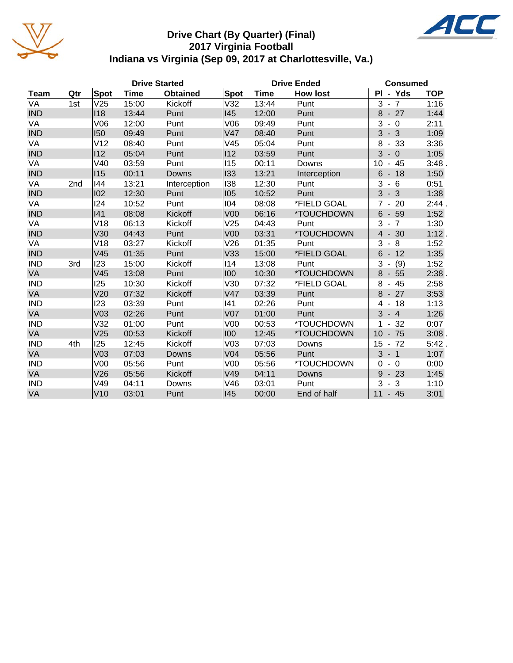

## **Drive Chart (By Quarter) (Final) 2017 Virginia Football Indiana vs Virginia (Sep 09, 2017 at Charlottesville, Va.)**



|             | <b>Drive Started</b> |                 |       |                 |                 | <b>Drive Ended</b> | <b>Consumed</b> |                                        |            |
|-------------|----------------------|-----------------|-------|-----------------|-----------------|--------------------|-----------------|----------------------------------------|------------|
| <b>Team</b> | Qtr                  | <b>Spot</b>     | Time  | <b>Obtained</b> | <b>Spot</b>     | <b>Time</b>        | <b>How lost</b> | PI - Yds                               | <b>TOP</b> |
| VA          | 1st                  | V25             | 15:00 | Kickoff         | V32             | 13:44              | Punt            | $3 - 7$                                | 1:16       |
| <b>IND</b>  |                      | 118             | 13:44 | Punt            | 145             | 12:00              | Punt            | $-27$<br>8                             | 1:44       |
| VA          |                      | V06             | 12:00 | Punt            | V06             | 09:49              | Punt            | 3<br>$-0$                              | 2:11       |
| <b>IND</b>  |                      | 150             | 09:49 | Punt            | V47             | 08:40              | Punt            | $-3$<br>3                              | 1:09       |
| VA          |                      | V12             | 08:40 | Punt            | V45             | 05:04              | Punt            | 8<br>$-33$                             | 3:36       |
| <b>IND</b>  |                      | 112             | 05:04 | Punt            | $ 12\rangle$    | 03:59              | Punt            | 3<br>$-0$                              | 1:05       |
| VA          |                      | V40             | 03:59 | Punt            | 115             | 00:11              | Downs           | 10<br>$-45$                            | 3:48.      |
| <b>IND</b>  |                      | 115             | 00:11 | Downs           | 133             | 13:21              | Interception    | 6<br>$-18$                             | 1:50       |
| VA          | 2nd                  | 144             | 13:21 | Interception    | 138             | 12:30              | Punt            | 3<br>- 6<br>$\blacksquare$             | 0:51       |
| <b>IND</b>  |                      | 102             | 12:30 | Punt            | 105             | 10:52              | Punt            | 3<br>$-3$                              | 1:38       |
| VA          |                      | 124             | 10:52 | Punt            | 104             | 08:08              | *FIELD GOAL     | 20<br>7                                | 2:44.      |
| <b>IND</b>  |                      | 141             | 08:08 | Kickoff         | V <sub>00</sub> | 06:16              | *TOUCHDOWN      | $6\phantom{1}$<br>$-59$                | 1:52       |
| VA          |                      | V18             | 06:13 | Kickoff         | V25             | 04:43              | Punt            | 3<br>$-7$                              | 1:30       |
| <b>IND</b>  |                      | V30             | 04:43 | Punt            | V <sub>00</sub> | 03:31              | *TOUCHDOWN      | $-30$<br>$\overline{4}$                | 1:12.      |
| VA          |                      | V18             | 03:27 | Kickoff         | V26             | 01:35              | Punt            | 3<br>8<br>$\qquad \qquad \blacksquare$ | 1:52       |
| <b>IND</b>  |                      | V <sub>45</sub> | 01:35 | Punt            | V33             | 15:00              | *FIELD GOAL     | $6\phantom{1}$<br>$-12$                | 1:35       |
| <b>IND</b>  | 3rd                  | 123             | 15:00 | Kickoff         | 114             | 13:08              | Punt            | 3<br>(9)                               | 1:52       |
| VA          |                      | V45             | 13:08 | Punt            | 100             | 10:30              | *TOUCHDOWN      | 8<br>$-55$                             | 2:38       |
| <b>IND</b>  |                      | 125             | 10:30 | Kickoff         | V30             | 07:32              | *FIELD GOAL     | 8<br>45<br>$\overline{\phantom{a}}$    | 2:58       |
| VA          |                      | V20             | 07:32 | Kickoff         | V47             | 03:39              | Punt            | 8<br>27<br>$\overline{\phantom{a}}$    | 3:53       |
| <b>IND</b>  |                      | 123             | 03:39 | Punt            | 141             | 02:26              | Punt            | -18<br>4                               | 1:13       |
| VA          |                      | V <sub>03</sub> | 02:26 | Punt            | V <sub>07</sub> | 01:00              | Punt            | 3<br>$-4$                              | 1:26       |
| <b>IND</b>  |                      | V32             | 01:00 | Punt            | V <sub>00</sub> | 00:53              | *TOUCHDOWN      | 32                                     | 0:07       |
| VA          |                      | V25             | 00:53 | Kickoff         | 100             | 12:45              | *TOUCHDOWN      | 10<br>$-75$                            | $3:08$ .   |
| <b>IND</b>  | 4th                  | 125             | 12:45 | Kickoff         | V <sub>03</sub> | 07:03              | Downs           | 15<br>72<br>$\blacksquare$             | 5:42.      |
| VA          |                      | V <sub>03</sub> | 07:03 | Downs           | V <sub>04</sub> | 05:56              | Punt            | 3<br>$-1$                              | 1:07       |
| <b>IND</b>  |                      | V <sub>00</sub> | 05:56 | Punt            | V <sub>00</sub> | 05:56              | *TOUCHDOWN      | $-0$<br>0                              | 0:00       |
| VA          |                      | V26             | 05:56 | Kickoff         | V49             | 04:11              | Downs           | 9<br>$-23$                             | 1:45       |
| <b>IND</b>  |                      | V49             | 04:11 | Downs           | V46             | 03:01              | Punt            | 3<br>3<br>$\blacksquare$               | 1:10       |
| VA          |                      | V10             | 03:01 | Punt            | 145             | 00:00              | End of half     | $11 - 45$                              | 3:01       |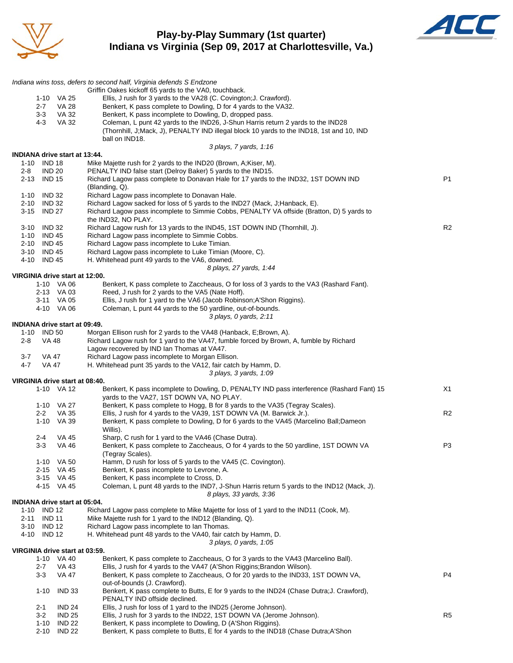

#### **Play-by-Play Summary (1st quarter) Indiana vs Virginia (Sep 09, 2017 at Charlottesville, Va.)**



|                                              | Indiana wins toss, defers to second half, Virginia defends S Endzone                                                                                 |                |
|----------------------------------------------|------------------------------------------------------------------------------------------------------------------------------------------------------|----------------|
|                                              | Griffin Oakes kickoff 65 yards to the VA0, touchback.<br>Ellis, J rush for 3 yards to the VA28 (C. Covington; J. Crawford).                          |                |
| 1-10 VA 25<br>$2 - 7$<br><b>VA 28</b>        | Benkert, K pass complete to Dowling, D for 4 yards to the VA32.                                                                                      |                |
| $3-3$<br>VA 32                               | Benkert, K pass incomplete to Dowling, D, dropped pass.                                                                                              |                |
| $4 - 3$<br><b>VA 32</b>                      | Coleman, L punt 42 yards to the IND26, J-Shun Harris return 2 yards to the IND28                                                                     |                |
|                                              | (Thornhill, J;Mack, J), PENALTY IND illegal block 10 yards to the IND18, 1st and 10, IND                                                             |                |
|                                              | ball on IND18.                                                                                                                                       |                |
|                                              | 3 plays, 7 yards, 1:16                                                                                                                               |                |
| INDIANA drive start at 13:44.<br>1-10 IND 18 | Mike Majette rush for 2 yards to the IND20 (Brown, A;Kiser, M).                                                                                      |                |
| $2 - 8$<br><b>IND 20</b>                     | PENALTY IND false start (Delroy Baker) 5 yards to the IND15.                                                                                         |                |
| <b>IND 15</b><br>2-13                        | Richard Lagow pass complete to Donavan Hale for 17 yards to the IND32, 1ST DOWN IND                                                                  | P1             |
|                                              | (Blanding, Q).                                                                                                                                       |                |
| 1-10 IND 32                                  | Richard Lagow pass incomplete to Donavan Hale.                                                                                                       |                |
| 2-10 IND 32                                  | Richard Lagow sacked for loss of 5 yards to the IND27 (Mack, J; Hanback, E).                                                                         |                |
| 3-15 IND 27                                  | Richard Lagow pass incomplete to Simmie Cobbs, PENALTY VA offside (Bratton, D) 5 yards to                                                            |                |
| 3-10 IND 32                                  | the IND32, NO PLAY.<br>Richard Lagow rush for 13 yards to the IND45, 1ST DOWN IND (Thornhill, J).                                                    | R <sub>2</sub> |
| 1-10 IND 45                                  | Richard Lagow pass incomplete to Simmie Cobbs.                                                                                                       |                |
| 2-10 IND 45                                  | Richard Lagow pass incomplete to Luke Timian.                                                                                                        |                |
| 3-10 IND 45                                  | Richard Lagow pass incomplete to Luke Timian (Moore, C).                                                                                             |                |
| 4-10<br><b>IND 45</b>                        | H. Whitehead punt 49 yards to the VA6, downed.                                                                                                       |                |
|                                              | 8 plays, 27 yards, 1:44                                                                                                                              |                |
| VIRGINIA drive start at 12:00.               |                                                                                                                                                      |                |
| 1-10 VA 06<br>2-13 VA 03                     | Benkert, K pass complete to Zaccheaus, O for loss of 3 yards to the VA3 (Rashard Fant).<br>Reed, J rush for 2 yards to the VA5 (Nate Hoff).          |                |
| 3-11 VA 05                                   | Ellis, J rush for 1 yard to the VA6 (Jacob Robinson; A'Shon Riggins).                                                                                |                |
| 4-10 VA 06                                   | Coleman, L punt 44 yards to the 50 yardline, out-of-bounds.                                                                                          |                |
|                                              | 3 plays, 0 yards, 2:11                                                                                                                               |                |
| <b>INDIANA drive start at 09:49.</b>         |                                                                                                                                                      |                |
| 1-10 IND 50                                  | Morgan Ellison rush for 2 yards to the VA48 (Hanback, E;Brown, A).                                                                                   |                |
| 2-8<br>VA 48                                 | Richard Lagow rush for 1 yard to the VA47, fumble forced by Brown, A, fumble by Richard                                                              |                |
| $3 - 7$<br>VA 47                             | Lagow recovered by IND Ian Thomas at VA47.<br>Richard Lagow pass incomplete to Morgan Ellison.                                                       |                |
| <b>VA 47</b><br>4-7                          | H. Whitehead punt 35 yards to the VA12, fair catch by Hamm, D.                                                                                       |                |
|                                              | 3 plays, 3 yards, 1:09                                                                                                                               |                |
| VIRGINIA drive start at 08:40.               |                                                                                                                                                      |                |
| 1-10 VA 12                                   | Benkert, K pass incomplete to Dowling, D, PENALTY IND pass interference (Rashard Fant) 15                                                            | X1             |
|                                              | yards to the VA27, 1ST DOWN VA, NO PLAY.                                                                                                             |                |
| 1-10 VA 27                                   | Benkert, K pass complete to Hogg, B for 8 yards to the VA35 (Tegray Scales).<br>Ellis, J rush for 4 yards to the VA39, 1ST DOWN VA (M. Barwick Jr.). | R <sub>2</sub> |
| $2 - 2$<br>VA 35<br>1-10 VA 39               | Benkert, K pass complete to Dowling, D for 6 yards to the VA45 (Marcelino Ball;Dameon                                                                |                |
|                                              | Willis).                                                                                                                                             |                |
| $2 - 4$<br>VA 45                             | Sharp, C rush for 1 yard to the VA46 (Chase Dutra).                                                                                                  |                |
| 3-3<br>VA 46                                 | Benkert, K pass complete to Zaccheaus, O for 4 yards to the 50 yardline, 1ST DOWN VA                                                                 | P <sub>3</sub> |
|                                              | (Tegray Scales).                                                                                                                                     |                |
| 1-10 VA 50                                   | Hamm, D rush for loss of 5 yards to the VA45 (C. Covington).                                                                                         |                |
| 2-15 VA 45<br>3-15 VA 45                     | Benkert, K pass incomplete to Levrone, A.<br>Benkert, K pass incomplete to Cross, D.                                                                 |                |
| 4-15 VA 45                                   | Coleman, L punt 48 yards to the IND7, J-Shun Harris return 5 yards to the IND12 (Mack, J).                                                           |                |
|                                              | 8 plays, 33 yards, 3:36                                                                                                                              |                |
| INDIANA drive start at 05:04.                |                                                                                                                                                      |                |
| 1-10 IND 12                                  | Richard Lagow pass complete to Mike Majette for loss of 1 yard to the IND11 (Cook, M).                                                               |                |
| $2 - 11$<br><b>IND 11</b>                    | Mike Majette rush for 1 yard to the IND12 (Blanding, Q).                                                                                             |                |
| 3-10<br><b>IND 12</b>                        | Richard Lagow pass incomplete to Ian Thomas.                                                                                                         |                |
| 4-10<br><b>IND 12</b>                        | H. Whitehead punt 48 yards to the VA40, fair catch by Hamm, D.<br>3 plays, 0 yards, 1:05                                                             |                |
| VIRGINIA drive start at 03:59.               |                                                                                                                                                      |                |
| 1-10 VA 40                                   | Benkert, K pass complete to Zaccheaus, O for 3 yards to the VA43 (Marcelino Ball).                                                                   |                |
| $2 - 7$<br>VA 43                             | Ellis, J rush for 4 yards to the VA47 (A'Shon Riggins; Brandon Wilson).                                                                              |                |
| 3-3<br>VA 47                                 | Benkert, K pass complete to Zaccheaus, O for 20 yards to the IND33, 1ST DOWN VA,                                                                     | P4             |
| <b>IND 33</b><br>$1 - 10$                    | out-of-bounds (J. Crawford).<br>Benkert, K pass complete to Butts, E for 9 yards to the IND24 (Chase Dutra; J. Crawford),                            |                |
|                                              | PENALTY IND offside declined.                                                                                                                        |                |
| $2 - 1$<br><b>IND 24</b>                     | Ellis, J rush for loss of 1 yard to the IND25 (Jerome Johnson).                                                                                      |                |
| $3 - 2$<br><b>IND 25</b>                     | Ellis, J rush for 3 yards to the IND22, 1ST DOWN VA (Jerome Johnson).                                                                                | R <sub>5</sub> |
| <b>IND 22</b><br>1-10                        | Benkert, K pass incomplete to Dowling, D (A'Shon Riggins).                                                                                           |                |
| $2 - 10$<br><b>IND 22</b>                    | Benkert, K pass complete to Butts, E for 4 yards to the IND18 (Chase Dutra;A'Shon                                                                    |                |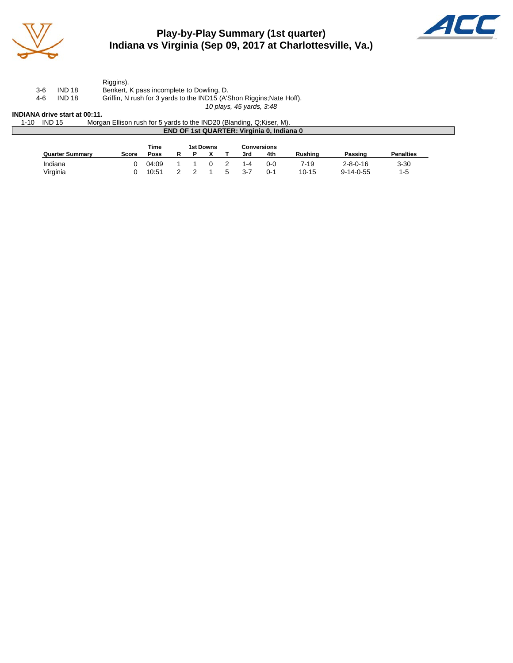

## **Play-by-Play Summary (1st quarter) Indiana vs Virginia (Sep 09, 2017 at Charlottesville, Va.)**



Riggins). 3-6 IND 18 Benkert, K pass incomplete to Dowling, D.

4-6 IND 18 Griffin, N rush for 3 yards to the IND15 (A'Shon Riggins;Nate Hoff).

*10 plays, 45 yards, 3:48*

#### **INDIANA drive start at 00:11.**

| <b>IND 15</b><br>1-10 | Morgan Ellison rush for 5 yards to the IND20 (Blanding, Q:Kiser, M). |  |
|-----------------------|----------------------------------------------------------------------|--|
|                       | <b>END OF 1st QUARTER: Virginia 0, Indiana 0</b>                     |  |
|                       |                                                                      |  |

|                        |       | Time  |  | <b>1st Downs</b> |   |         | Conversions |                |                   |                  |
|------------------------|-------|-------|--|------------------|---|---------|-------------|----------------|-------------------|------------------|
| <b>Quarter Summary</b> | Score | Poss  |  |                  |   | 3rd     | 4th         | <b>Rushing</b> | Passing           | <b>Penalties</b> |
| Indiana                |       | 04:09 |  |                  |   | 1-4     | 0-0         | 7-19           | $2 - 8 - 0 - 16$  | $3 - 30$         |
| Virginia               |       | 10:51 |  |                  | ∽ | $3 - 7$ | 0-1         | 10-15          | $9 - 14 - 0 - 55$ | 1-5              |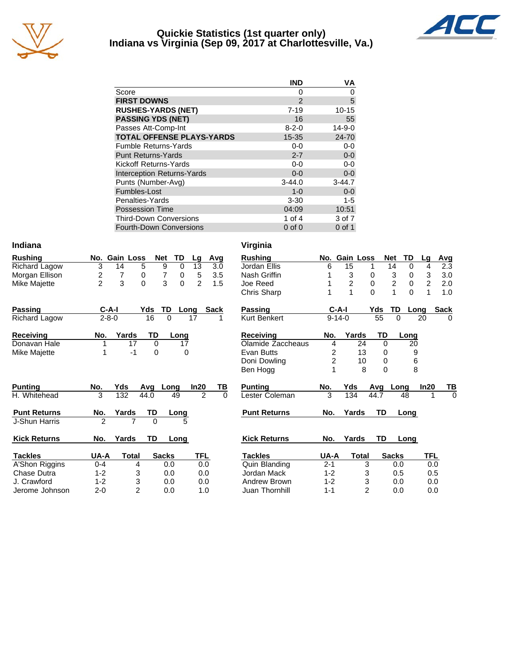

#### **Quickie Statistics (1st quarter only) Indiana vs Virginia (Sep 09, 2017 at Charlottesville, Va.)**



|                                   | <b>IND</b>    | ٧A           |
|-----------------------------------|---------------|--------------|
| Score                             | 0             | 0            |
| <b>FIRST DOWNS</b>                | $\mathcal{P}$ | 5            |
| <b>RUSHES-YARDS (NET)</b>         | $7 - 19$      | $10 - 15$    |
| <b>PASSING YDS (NET)</b>          | 16            | 55           |
| Passes Att-Comp-Int               | $8 - 2 - 0$   | $14 - 9 - 0$ |
| <b>TOTAL OFFENSE PLAYS-YARDS</b>  | $15 - 35$     | 24-70        |
| <b>Fumble Returns-Yards</b>       | $0-0$         | $0-0$        |
| <b>Punt Returns-Yards</b>         | $2 - 7$       | $0-0$        |
| Kickoff Returns-Yards             | $0-0$         | $0-0$        |
| <b>Interception Returns-Yards</b> | $0 - 0$       | $0-0$        |
| Punts (Number-Avg)                | $3 - 44.0$    | $3-44.7$     |
| Fumbles-Lost                      | $1 - 0$       | $0 - 0$      |
| Penalties-Yards                   | $3 - 30$      | $1 - 5$      |
| <b>Possession Time</b>            | 04:09         | 10:51        |
| <b>Third-Down Conversions</b>     | 1 of $4$      | 3 of 7       |
| <b>Fourth-Down Conversions</b>    | $0$ of $0$    | $0$ of 1     |

| Indiana              |                |                     |                |          |                |             | Virginia            |                |                  |                |                |                  |                |              |
|----------------------|----------------|---------------------|----------------|----------|----------------|-------------|---------------------|----------------|------------------|----------------|----------------|------------------|----------------|--------------|
| <b>Rushing</b>       | No.            | <b>Gain Loss</b>    | <b>Net</b>     | TD       | Lg             | Avg         | <b>Rushing</b>      | No.            | <b>Gain Loss</b> |                | <b>Net</b>     | TD               | Lg             | Avg          |
| <b>Richard Lagow</b> | 3              | 5<br>14             | 9              | $\Omega$ | 13             | 3.0         | Jordan Ellis        | 6              | 15               |                | 14             | $\Omega$         | 4              | 2.3          |
| Morgan Ellison       | 2              | $\overline{7}$<br>0 | $\overline{7}$ | 0        | 5              | 3.5         | Nash Griffin        |                | 3                | $\mathbf 0$    | 3              | 0                | 3              | 3.0          |
| Mike Majette         | $\overline{2}$ | 3<br>$\overline{0}$ | 3              | 0        | $\overline{2}$ | 1.5         | Joe Reed            |                | 2                | $\pmb{0}$      | $\overline{2}$ | $\boldsymbol{0}$ | $\overline{2}$ | 2.0          |
|                      |                |                     |                |          |                |             | Chris Sharp         |                |                  | $\Omega$       | 1              | $\Omega$         | $\mathbf{1}$   | 1.0          |
| Passing              | $C-A-I$        |                     | TD<br>Yds      |          | Long           | <b>Sack</b> | <b>Passing</b>      |                | $C-A-I$          | Yds            | TD             | Long             |                | <b>Sack</b>  |
| Richard Lagow        | $2 - 8 - 0$    |                     | 16<br>$\Omega$ |          | 17             | 1           | <b>Kurt Benkert</b> |                | $9 - 14 - 0$     |                | 55             | $\Omega$         | 20             | $\Omega$     |
| Receiving            | No.            | Yards               | TD             | Long     |                |             | <b>Receiving</b>    | No.            | Yards            |                | TD             | Long             |                |              |
| Donavan Hale         |                | 17                  | $\Omega$       | 17       |                |             | Olamide Zaccheaus   | 4              |                  | 24             | $\Omega$       | $\overline{20}$  |                |              |
| Mike Majette         |                | $-1$                | $\Omega$       | 0        |                |             | <b>Evan Butts</b>   | 2              |                  | 13             | 0              | 9                |                |              |
|                      |                |                     |                |          |                |             | Doni Dowling        | $\overline{c}$ |                  | 10             | $\Omega$       | 6                |                |              |
|                      |                |                     |                |          |                |             | Ben Hogg            | 1              |                  | 8              | $\Omega$       | 8                |                |              |
| <b>Punting</b>       | No.            | Yds                 | Avq<br>Long    |          | In20           | <u>ТВ</u>   | <b>Punting</b>      | No.            | Yds              | Avg            |                | Long             | ln20           | <u>ТВ</u>    |
| H. Whitehead         | 3              | 132                 | 44.0           | 49       | $\overline{2}$ | $\Omega$    | Lester Coleman      | 3              | 134              | 44.7           |                | 48               |                | $\mathbf{0}$ |
| <b>Punt Returns</b>  | No.            | Yards               | TD             | Long     |                |             | <b>Punt Returns</b> | No.            | Yards            |                | TD             | Long             |                |              |
| J-Shun Harris        | $\overline{2}$ | $\overline{7}$      | $\Omega$       | 5        |                |             |                     |                |                  |                |                |                  |                |              |
| <b>Kick Returns</b>  | No.            | Yards               | TD             | Long     |                |             | <b>Kick Returns</b> | No.            | Yards            |                | TD             | Long             |                |              |
| <b>Tackles</b>       | UA-A           | <b>Total</b>        | <b>Sacks</b>   |          | <b>TFL</b>     |             | <b>Tackles</b>      | UA-A           |                  | <b>Total</b>   | <b>Sacks</b>   |                  | <b>TFL</b>     |              |
| A'Shon Riggins       | $0 - 4$        | 4                   | 0.0            |          | 0.0            |             | Quin Blanding       | $2 - 1$        |                  | 3              |                | 0.0              | 0.0            |              |
| Chase Dutra          | $1 - 2$        | 3                   | 0.0            |          | 0.0            |             | Jordan Mack         | $1 - 2$        |                  | 3              |                | 0.5              | 0.5            |              |
| J. Crawford          | $1 - 2$        | 3                   | 0.0            |          | 0.0            |             | Andrew Brown        | $1 - 2$        |                  | 3              |                | 0.0              | 0.0            |              |
| Jerome Johnson       | $2 - 0$        | $\overline{2}$      | 0.0            |          | 1.0            |             | Juan Thornhill      | $1 - 1$        |                  | $\overline{2}$ |                | 0.0              | 0.0            |              |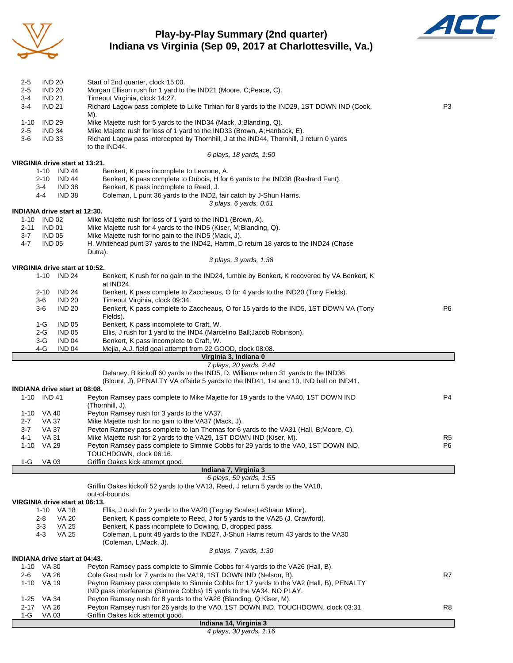

### **Play-by-Play Summary (2nd quarter) Indiana vs Virginia (Sep 09, 2017 at Charlottesville, Va.)**



| 2-5         | <b>IND 20</b>  |                                      | Start of 2nd quarter, clock 15:00.                                                                                                                          |                |
|-------------|----------------|--------------------------------------|-------------------------------------------------------------------------------------------------------------------------------------------------------------|----------------|
| $2 - 5$     | <b>IND 20</b>  |                                      | Morgan Ellison rush for 1 yard to the IND21 (Moore, C;Peace, C).                                                                                            |                |
| 3-4         | <b>IND 21</b>  |                                      | Timeout Virginia, clock 14:27.                                                                                                                              |                |
| $3 - 4$     | <b>IND 21</b>  |                                      | Richard Lagow pass complete to Luke Timian for 8 yards to the IND29, 1ST DOWN IND (Cook,<br>M).                                                             | P <sub>3</sub> |
| $1 - 10$    | <b>IND 29</b>  |                                      | Mike Majette rush for 5 yards to the IND34 (Mack, J;Blanding, Q).                                                                                           |                |
| $2 - 5$     | <b>IND 34</b>  |                                      | Mike Majette rush for loss of 1 yard to the IND33 (Brown, A; Hanback, E).                                                                                   |                |
| 3-6         | <b>IND 33</b>  |                                      | Richard Lagow pass intercepted by Thornhill, J at the IND44, Thornhill, J return 0 yards                                                                    |                |
|             |                |                                      | to the IND44.                                                                                                                                               |                |
|             |                |                                      | 6 plays, 18 yards, 1:50                                                                                                                                     |                |
|             |                | VIRGINIA drive start at 13:21.       |                                                                                                                                                             |                |
|             |                | 1-10 IND 44                          | Benkert, K pass incomplete to Levrone, A.                                                                                                                   |                |
|             | 2-10           | IND 44                               | Benkert, K pass complete to Dubois, H for 6 yards to the IND38 (Rashard Fant).                                                                              |                |
|             | 3-4            | IND 38                               | Benkert, K pass incomplete to Reed, J.                                                                                                                      |                |
|             | 4-4            | <b>IND 38</b>                        | Coleman, L punt 36 yards to the IND2, fair catch by J-Shun Harris.                                                                                          |                |
|             |                |                                      | 3 plays, 6 yards, 0:51                                                                                                                                      |                |
|             |                | <b>INDIANA drive start at 12:30.</b> |                                                                                                                                                             |                |
|             | 1-10 IND 02    |                                      | Mike Majette rush for loss of 1 yard to the IND1 (Brown, A).                                                                                                |                |
| 2-11        | IND 01         |                                      | Mike Majette rush for 4 yards to the IND5 (Kiser, M; Blanding, Q).                                                                                          |                |
| $3 - 7$     | <b>IND 05</b>  |                                      | Mike Majette rush for no gain to the IND5 (Mack, J).                                                                                                        |                |
| 4-7         | <b>IND 05</b>  |                                      | H. Whitehead punt 37 yards to the IND42, Hamm, D return 18 yards to the IND24 (Chase                                                                        |                |
|             |                |                                      | Dutra).                                                                                                                                                     |                |
|             |                |                                      | 3 plays, 3 yards, 1:38                                                                                                                                      |                |
|             |                | VIRGINIA drive start at 10:52.       |                                                                                                                                                             |                |
|             |                | 1-10 IND 24                          | Benkert, K rush for no gain to the IND24, fumble by Benkert, K recovered by VA Benkert, K<br>at IND24.                                                      |                |
|             |                |                                      |                                                                                                                                                             |                |
|             | 2-10           | <b>IND 24</b><br><b>IND 20</b>       | Benkert, K pass complete to Zaccheaus, O for 4 yards to the IND20 (Tony Fields).<br>Timeout Virginia, clock 09:34.                                          |                |
|             | 3-6<br>3-6     | <b>IND 20</b>                        | Benkert, K pass complete to Zaccheaus, O for 15 yards to the IND5, 1ST DOWN VA (Tony                                                                        | P6             |
|             |                |                                      | Fields).                                                                                                                                                    |                |
|             | 1-G            | <b>IND 05</b>                        | Benkert, K pass incomplete to Craft, W.                                                                                                                     |                |
|             | 2-G            | <b>IND 05</b>                        | Ellis, J rush for 1 yard to the IND4 (Marcelino Ball; Jacob Robinson).                                                                                      |                |
|             | 3-G            | IND 04                               | Benkert, K pass incomplete to Craft, W.                                                                                                                     |                |
|             | 4-G            | IND 04                               | Mejia, A.J. field goal attempt from 22 GOOD, clock 08:08.                                                                                                   |                |
|             |                |                                      |                                                                                                                                                             |                |
|             |                |                                      |                                                                                                                                                             |                |
|             |                |                                      | Virginia 3, Indiana 0                                                                                                                                       |                |
|             |                |                                      | 7 plays, 20 yards, 2:44                                                                                                                                     |                |
|             |                |                                      | Delaney, B kickoff 60 yards to the IND5, D. Williams return 31 yards to the IND36                                                                           |                |
|             |                | <b>INDIANA drive start at 08:08.</b> | (Blount, J), PENALTY VA offside 5 yards to the IND41, 1st and 10, IND ball on IND41.                                                                        |                |
|             | 1-10 IND 41    |                                      | Peyton Ramsey pass complete to Mike Majette for 19 yards to the VA40, 1ST DOWN IND                                                                          | P4             |
|             |                |                                      | (Thornhill, J).                                                                                                                                             |                |
|             | 1-10 VA 40     |                                      | Peyton Ramsey rush for 3 yards to the VA37.                                                                                                                 |                |
| $2 - 7$     | VA 37          |                                      | Mike Majette rush for no gain to the VA37 (Mack, J).                                                                                                        |                |
| 3-7         | VA 37          |                                      | Peyton Ramsey pass complete to lan Thomas for 6 yards to the VA31 (Hall, B;Moore, C).                                                                       |                |
| 4-1         | <b>VA 31</b>   |                                      | Mike Majette rush for 2 yards to the VA29, 1ST DOWN IND (Kiser, M).                                                                                         | R <sub>5</sub> |
|             | 1-10 VA 29     |                                      | Peyton Ramsey pass complete to Simmie Cobbs for 29 yards to the VA0, 1ST DOWN IND,                                                                          | P <sub>6</sub> |
|             |                |                                      | TOUCHDOWN, clock 06:16.                                                                                                                                     |                |
| 1-G         | VA 03          |                                      | Griffin Oakes kick attempt good.                                                                                                                            |                |
|             |                |                                      | Indiana 7, Virginia 3                                                                                                                                       |                |
|             |                |                                      | 6 plays, 59 yards, 1:55                                                                                                                                     |                |
|             |                |                                      | Griffin Oakes kickoff 52 yards to the VA13, Reed, J return 5 yards to the VA18,                                                                             |                |
|             |                |                                      | out-of-bounds.                                                                                                                                              |                |
|             |                | VIRGINIA drive start at 06:13.       |                                                                                                                                                             |                |
|             | 1-10           | VA 18                                | Ellis, J rush for 2 yards to the VA20 (Tegray Scales; LeShaun Minor).                                                                                       |                |
|             | 2-8            | <b>VA 20</b>                         | Benkert, K pass complete to Reed, J for 5 yards to the VA25 (J. Crawford).                                                                                  |                |
|             | 3-3            | <b>VA 25</b>                         | Benkert, K pass incomplete to Dowling, D, dropped pass.                                                                                                     |                |
|             | 4-3            | <b>VA 25</b>                         | Coleman, L punt 48 yards to the IND27, J-Shun Harris return 43 yards to the VA30                                                                            |                |
|             |                |                                      | (Coleman, L;Mack, J).                                                                                                                                       |                |
|             |                |                                      | 3 plays, 7 yards, 1:30                                                                                                                                      |                |
|             |                | <b>INDIANA drive start at 04:43.</b> |                                                                                                                                                             |                |
|             | 1-10 VA 30     |                                      | Peyton Ramsey pass complete to Simmie Cobbs for 4 yards to the VA26 (Hall, B).                                                                              | R7             |
| 2-6<br>1-10 | VA 26<br>VA 19 |                                      | Cole Gest rush for 7 yards to the VA19, 1ST DOWN IND (Nelson, B).<br>Peyton Ramsey pass complete to Simmie Cobbs for 17 yards to the VA2 (Hall, B), PENALTY |                |
|             |                |                                      | IND pass interference (Simmie Cobbs) 15 yards to the VA34, NO PLAY.                                                                                         |                |
| 1-25        | VA 34          |                                      | Peyton Ramsey rush for 8 yards to the VA26 (Blanding, Q;Kiser, M).                                                                                          |                |
| $2 - 17$    | <b>VA 26</b>   |                                      | Peyton Ramsey rush for 26 yards to the VA0, 1ST DOWN IND, TOUCHDOWN, clock 03:31.                                                                           | R8             |
| 1-G         | VA 03          |                                      | Griffin Oakes kick attempt good.<br>Indiana 14, Virginia 3                                                                                                  |                |

*4 plays, 30 yards, 1:16*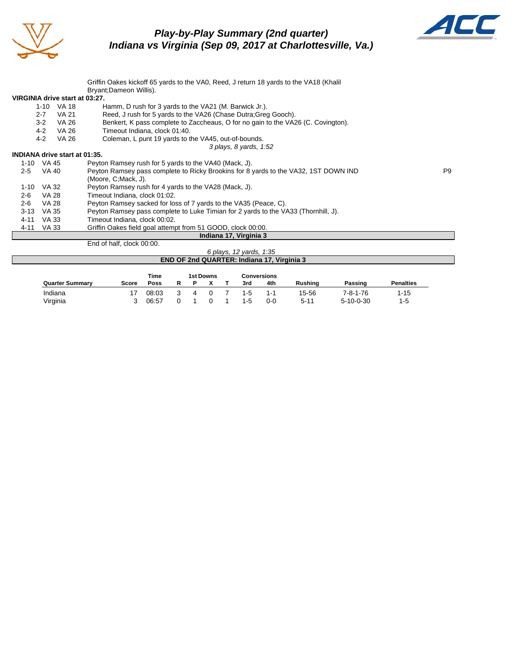

## *Play-by-Play Summary (2nd quarter) Indiana vs Virginia (Sep 09, 2017 at Charlottesville, Va.)*



|                                      |         |            | Griffin Oakes kickoff 65 yards to the VA0, Reed, J return 18 yards to the VA18 (Khalil |    |
|--------------------------------------|---------|------------|----------------------------------------------------------------------------------------|----|
|                                      |         |            | Bryant;Dameon Willis).                                                                 |    |
| VIRGINIA drive start at 03:27.       |         |            |                                                                                        |    |
|                                      |         | 1-10 VA 18 | Hamm, D rush for 3 yards to the VA21 (M. Barwick Jr.).                                 |    |
|                                      | $2 - 7$ | VA 21      | Reed, J rush for 5 yards to the VA26 (Chase Dutra; Greg Gooch).                        |    |
|                                      | $3 - 2$ | VA 26      | Benkert, K pass complete to Zaccheaus, O for no gain to the VA26 (C. Covington).       |    |
|                                      | $4 - 2$ | VA 26      | Timeout Indiana, clock 01:40.                                                          |    |
|                                      | $4 - 2$ | VA 26      | Coleman, L punt 19 yards to the VA45, out-of-bounds.                                   |    |
|                                      |         |            | 3 plays, 8 yards, 1:52                                                                 |    |
| <b>INDIANA drive start at 01:35.</b> |         |            |                                                                                        |    |
| 1-10 VA 45                           |         |            | Peyton Ramsey rush for 5 yards to the VA40 (Mack, J).                                  |    |
| $2 - 5$                              | VA 40   |            | Peyton Ramsey pass complete to Ricky Brookins for 8 yards to the VA32, 1ST DOWN IND    | P9 |
|                                      |         |            | (Moore, C; Mack, J).                                                                   |    |
| 1-10                                 | VA 32   |            | Peyton Ramsey rush for 4 yards to the VA28 (Mack, J).                                  |    |
| $2 - 6$                              | VA 28   |            | Timeout Indiana, clock 01:02.                                                          |    |
| $2 - 6$                              | VA 28   |            | Peyton Ramsey sacked for loss of 7 yards to the VA35 (Peace, C).                       |    |
| $3 - 13$                             | VA 35   |            | Peyton Ramsey pass complete to Luke Timian for 2 yards to the VA33 (Thornhill, J).     |    |
| 4-11                                 | VA 33   |            | Timeout Indiana, clock 00:02.                                                          |    |
| 4-11                                 | VA 33   |            | Griffin Oakes field goal attempt from 51 GOOD, clock 00:00.                            |    |
|                                      |         |            | Indiana 17, Virginia 3                                                                 |    |
|                                      |         |            | End of half, clock 00:00.                                                              |    |

#### *6 plays, 12 yards, 1:35* **END OF 2nd QUARTER: Indiana 17, Virginia 3**

|                        |       | Time  |   | 1st Downs |         | <b>Conversions</b> |                |                   |                  |
|------------------------|-------|-------|---|-----------|---------|--------------------|----------------|-------------------|------------------|
| <b>Quarter Summary</b> | Score | Poss  |   |           | 3rd     | 4th                | <b>Rushing</b> | Passing           | <b>Penalties</b> |
| Indiana                |       | 08:03 | 4 |           | $1 - 5$ | 1-1                | 15-56          | $7 - 8 - 1 - 76$  | $1 - 15$         |
| Virginia               |       | 06:57 |   |           | $1 - 5$ | 0-0                | 5-11           | $5 - 10 - 0 - 30$ | 1-5              |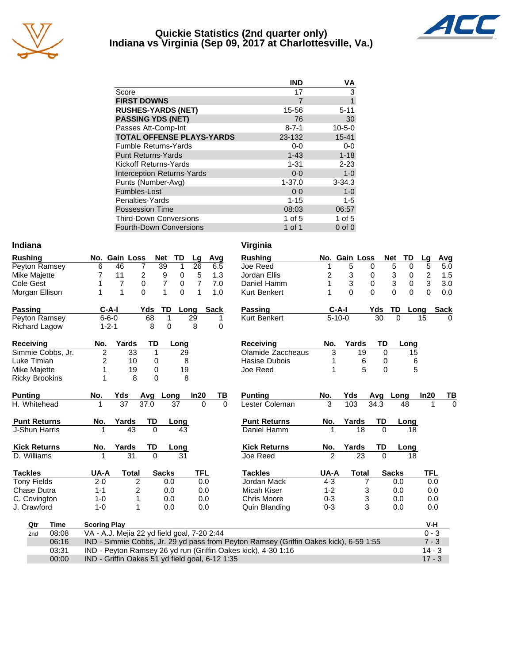

#### **Quickie Statistics (2nd quarter only) Indiana vs Virginia (Sep 09, 2017 at Charlottesville, Va.)**



|                                   | <b>IND</b>  | ٧A           |
|-----------------------------------|-------------|--------------|
| Score                             | 17          | 3            |
| <b>FIRST DOWNS</b>                | 7           | 1            |
| <b>RUSHES-YARDS (NET)</b>         | 15-56       | $5 - 11$     |
| <b>PASSING YDS (NET)</b>          | 76          | 30           |
| Passes Att-Comp-Int               | $8 - 7 - 1$ | $10 - 5 - 0$ |
| <b>TOTAL OFFENSE PLAYS-YARDS</b>  | 23-132      | $15 - 41$    |
| <b>Fumble Returns-Yards</b>       | $0-0$       | $0 - 0$      |
| <b>Punt Returns-Yards</b>         | $1 - 43$    | $1 - 18$     |
| Kickoff Returns-Yards             | $1 - 31$    | $2 - 23$     |
| <b>Interception Returns-Yards</b> | $0 - 0$     | $1 - 0$      |
| Punts (Number-Avg)                | $1 - 37.0$  | $3 - 34.3$   |
| Fumbles-Lost                      | $0 - 0$     | $1 - 0$      |
| Penalties-Yards                   | $1 - 15$    | $1 - 5$      |
| <b>Possession Time</b>            | 08:03       | 06:57        |
| <b>Third-Down Conversions</b>     | 1 of 5      | 1 of 5       |
| <b>Fourth-Down Conversions</b>    | 1 of 1      | $0$ of $0$   |

#### **Indiana Virginia**

| <b>Rushing</b>        |       |                                                 | No. Gain Loss  | <b>Net</b>   | TD                  | Lg              |             | Avg      | <b>Rushing</b>                                                                        |                | No. Gain Loss |                   | <b>Net</b><br>TD        | Lg                      | Avg         |
|-----------------------|-------|-------------------------------------------------|----------------|--------------|---------------------|-----------------|-------------|----------|---------------------------------------------------------------------------------------|----------------|---------------|-------------------|-------------------------|-------------------------|-------------|
| Peyton Ramsey         |       | 6                                               | 46             | 7            | 39<br>1             | 26              |             | 6.5      | Joe Reed                                                                              |                | 5             | 0                 | 5<br>0                  | $\overline{5}$          | 5.0         |
| Mike Majette          |       | 7                                               | 11             | 2            | 9<br>0              | 5               |             | 1.3      | Jordan Ellis                                                                          | 2              | 3             | 0                 | 3<br>0                  | $\overline{\mathbf{c}}$ | 1.5         |
| Cole Gest             |       |                                                 | 7              | 0            | $\overline{7}$<br>0 | 7               |             | 7.0      | Daniel Hamm                                                                           | 1              | 3             | 0                 | 3<br>0                  | 3                       | 3.0         |
| Morgan Ellison        |       | 1                                               | 1              | 0            | $\mathbf{1}$        | 0<br>1          |             | 1.0      | Kurt Benkert                                                                          |                | $\Omega$      | $\Omega$          | $\mathbf 0$<br>$\Omega$ | $\overline{0}$          | 0.0         |
| <b>Passing</b>        |       | $C-A-I$                                         |                | Yds          | TD                  | Long            | <b>Sack</b> |          | Passing                                                                               |                | $C-A-I$       | Yds               | TD                      | Long                    | <b>Sack</b> |
| Peyton Ramsey         |       | $6 - 6 - 0$                                     |                | 68           | $\mathbf{1}$        | $\overline{29}$ |             | 1        | <b>Kurt Benkert</b>                                                                   |                | $5 - 10 - 0$  | 30                | $\Omega$                | 15                      | 0           |
| <b>Richard Lagow</b>  |       | $1 - 2 - 1$                                     |                | 8            | 0                   | 8               |             | 0        |                                                                                       |                |               |                   |                         |                         |             |
| <b>Receiving</b>      |       | No.                                             | Yards          | TD           | Long                |                 |             |          | <b>Receiving</b>                                                                      | No.            | Yards         | TD                | Long                    |                         |             |
| Simmie Cobbs, Jr.     |       | $\overline{2}$                                  | 33             | $\mathbf{1}$ |                     | 29              |             |          | Olamide Zaccheaus                                                                     | 3              |               | 19<br>$\mathbf 0$ | 15                      |                         |             |
| Luke Timian           |       | 2                                               | 10             | 0            |                     | 8               |             |          | Hasise Dubois                                                                         | 1              |               | 6<br>0            | 6                       |                         |             |
| Mike Majette          |       | 1                                               | 19             | $\mathbf 0$  |                     | 19              |             |          | Joe Reed                                                                              |                |               | 5<br>$\Omega$     |                         | 5                       |             |
| <b>Ricky Brookins</b> |       | 1                                               | 8              | $\Omega$     |                     | 8               |             |          |                                                                                       |                |               |                   |                         |                         |             |
| <b>Punting</b>        |       | No.                                             | Yds            | Avg          | Long                | ln20            |             | TВ       | <b>Punting</b>                                                                        | No.            | Yds           | Avg               | Long                    | In20                    | ТВ          |
| H. Whitehead          |       |                                                 | 37             | 37.0         | 37                  |                 | $\Omega$    | $\Omega$ | Lester Coleman                                                                        | 3              | 103           | 34.3              | 48                      |                         | $\Omega$    |
| <b>Punt Returns</b>   |       | No.                                             | Yards          | TD           | Long                |                 |             |          | <b>Punt Returns</b>                                                                   | No.            | Yards         | TD                | Long                    |                         |             |
| J-Shun Harris         |       |                                                 | 43             | $\Omega$     |                     | 43              |             |          | Daniel Hamm                                                                           |                | 18            | $\Omega$          | 18                      |                         |             |
| <b>Kick Returns</b>   |       | No.                                             | Yards          | TD           | Long                |                 |             |          | <b>Kick Returns</b>                                                                   | No.            | Yards         | TD                | Long                    |                         |             |
| D. Williams           |       |                                                 | 31             | $\Omega$     |                     | 31              |             |          | Joe Reed                                                                              | $\mathfrak{p}$ | 23            | $\Omega$          | 18                      |                         |             |
| <b>Tackles</b>        |       | UA-A                                            | <b>Total</b>   |              | <b>Sacks</b>        | <b>TFL</b>      |             |          | <b>Tackles</b>                                                                        | UA-A           | <b>Total</b>  |                   | <b>Sacks</b>            | <b>TFL</b>              |             |
| <b>Tony Fields</b>    |       | $2 - 0$                                         | 2              |              | 0.0                 |                 | 0.0         |          | Jordan Mack                                                                           | $4 - 3$        |               | 7                 | 0.0                     | 0.0                     |             |
| Chase Dutra           |       | $1 - 1$                                         | $\overline{2}$ |              | 0.0                 |                 | 0.0         |          | Micah Kiser                                                                           | $1 - 2$        |               | 3                 | 0.0                     | 0.0                     |             |
| C. Covington          |       | $1 - 0$                                         | 1              |              | 0.0                 |                 | 0.0         |          | Chris Moore                                                                           | $0 - 3$        |               | 3                 | 0.0                     | 0.0                     |             |
| J. Crawford           |       | $1 - 0$                                         | 1              |              | 0.0                 |                 | 0.0         |          | Quin Blanding                                                                         | $0 - 3$        |               | 3                 | 0.0                     | 0.0                     |             |
| Qtr                   | Time  | <b>Scoring Play</b>                             |                |              |                     |                 |             |          |                                                                                       |                |               |                   |                         | V-H                     |             |
| 2nd                   | 08:08 | VA - A.J. Mejia 22 yd field goal, 7-20 2:44     |                |              |                     |                 |             |          |                                                                                       |                |               |                   |                         | $0 - 3$                 |             |
|                       | 06:16 |                                                 |                |              |                     |                 |             |          | IND - Simmie Cobbs, Jr. 29 yd pass from Peyton Ramsey (Griffin Oakes kick), 6-59 1:55 |                |               |                   |                         | $7 - 3$                 |             |
|                       | 03:31 |                                                 |                |              |                     |                 |             |          | IND - Peyton Ramsey 26 yd run (Griffin Oakes kick), 4-30 1:16                         |                |               |                   |                         | $14 - 3$                |             |
|                       | 00:00 | IND - Griffin Oakes 51 yd field goal, 6-12 1:35 |                |              |                     |                 |             |          |                                                                                       |                |               |                   |                         | $17 - 3$                |             |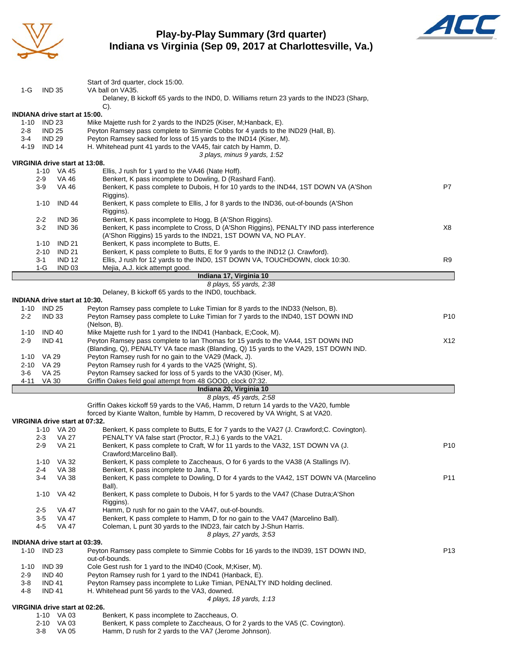

#### **Play-by-Play Summary (3rd quarter) Indiana vs Virginia (Sep 09, 2017 at Charlottesville, Va.)**



|          |                |                                      | Start of 3rd quarter, clock 15:00.                                                                                                                       |                 |
|----------|----------------|--------------------------------------|----------------------------------------------------------------------------------------------------------------------------------------------------------|-----------------|
| 1-G      | <b>IND 35</b>  |                                      | VA ball on VA35.                                                                                                                                         |                 |
|          |                |                                      | Delaney, B kickoff 65 yards to the INDO, D. Williams return 23 yards to the IND23 (Sharp,                                                                |                 |
|          |                | <b>INDIANA drive start at 15:00.</b> | C).                                                                                                                                                      |                 |
|          | 1-10 IND 23    |                                      | Mike Majette rush for 2 yards to the IND25 (Kiser, M; Hanback, E).                                                                                       |                 |
| $2 - 8$  | <b>IND 25</b>  |                                      | Peyton Ramsey pass complete to Simmie Cobbs for 4 yards to the IND29 (Hall, B).                                                                          |                 |
| 3-4      | <b>IND 29</b>  |                                      | Peyton Ramsey sacked for loss of 15 yards to the IND14 (Kiser, M).                                                                                       |                 |
|          | 4-19 IND 14    |                                      | H. Whitehead punt 41 yards to the VA45, fair catch by Hamm, D.                                                                                           |                 |
|          |                |                                      | 3 plays, minus 9 yards, 1:52                                                                                                                             |                 |
|          |                | VIRGINIA drive start at 13:08.       |                                                                                                                                                          |                 |
|          |                | 1-10 VA 45                           | Ellis, J rush for 1 yard to the VA46 (Nate Hoff).<br>Benkert, K pass incomplete to Dowling, D (Rashard Fant).                                            |                 |
|          | $2-9$<br>$3-9$ | VA 46<br>VA 46                       | Benkert, K pass complete to Dubois, H for 10 yards to the IND44, 1ST DOWN VA (A'Shon                                                                     | P7              |
|          |                |                                      | Riggins).                                                                                                                                                |                 |
|          | $1 - 10$       | <b>IND 44</b>                        | Benkert, K pass complete to Ellis, J for 8 yards to the IND36, out-of-bounds (A'Shon                                                                     |                 |
|          |                |                                      | Riggins).                                                                                                                                                |                 |
|          | $2 - 2$        | IND 36                               | Benkert, K pass incomplete to Hogg, B (A'Shon Riggins).                                                                                                  |                 |
|          | $3-2$          | <b>IND 36</b>                        | Benkert, K pass incomplete to Cross, D (A'Shon Riggins), PENALTY IND pass interference                                                                   | X8              |
|          |                |                                      | (A'Shon Riggins) 15 yards to the IND21, 1ST DOWN VA, NO PLAY.                                                                                            |                 |
|          | 1-10           | <b>IND 21</b>                        | Benkert, K pass incomplete to Butts, E.                                                                                                                  |                 |
|          | $2 - 10$       | IND 21                               | Benkert, K pass complete to Butts, E for 9 yards to the IND12 (J. Crawford).                                                                             |                 |
|          | $3 - 1$        | <b>IND 12</b>                        | Ellis, J rush for 12 yards to the IND0, 1ST DOWN VA, TOUCHDOWN, clock 10:30.                                                                             | R9              |
|          | 1-G            | <b>IND 03</b>                        | Mejia, A.J. kick attempt good.<br>Indiana 17, Virginia 10                                                                                                |                 |
|          |                |                                      | 8 plays, 55 yards, 2:38                                                                                                                                  |                 |
|          |                |                                      | Delaney, B kickoff 65 yards to the IND0, touchback.                                                                                                      |                 |
|          |                | <b>INDIANA drive start at 10:30.</b> |                                                                                                                                                          |                 |
|          | 1-10 IND 25    |                                      | Peyton Ramsey pass complete to Luke Timian for 8 yards to the IND33 (Nelson, B).                                                                         |                 |
| $2 - 2$  | <b>IND 33</b>  |                                      | Peyton Ramsey pass complete to Luke Timian for 7 yards to the IND40, 1ST DOWN IND                                                                        | P <sub>10</sub> |
|          |                |                                      | (Nelson, B).                                                                                                                                             |                 |
| $1 - 10$ | <b>IND 40</b>  |                                      | Mike Majette rush for 1 yard to the IND41 (Hanback, E;Cook, M).                                                                                          |                 |
| $2-9$    | <b>IND 41</b>  |                                      | Peyton Ramsey pass complete to Ian Thomas for 15 yards to the VA44, 1ST DOWN IND                                                                         | X12             |
|          | 1-10 VA 29     |                                      | (Blanding, Q), PENALTY VA face mask (Blanding, Q) 15 yards to the VA29, 1ST DOWN IND.<br>Peyton Ramsey rush for no gain to the VA29 (Mack, J).           |                 |
|          | 2-10 VA 29     |                                      | Peyton Ramsey rush for 4 yards to the VA25 (Wright, S).                                                                                                  |                 |
| 3-6      | <b>VA 25</b>   |                                      | Peyton Ramsey sacked for loss of 5 yards to the VA30 (Kiser, M).                                                                                         |                 |
| 4-11     | <b>VA 30</b>   |                                      | Griffin Oakes field goal attempt from 48 GOOD, clock 07:32.                                                                                              |                 |
|          |                |                                      | Indiana 20, Virginia 10                                                                                                                                  |                 |
|          |                |                                      | 8 plays, 45 yards, 2:58                                                                                                                                  |                 |
|          |                |                                      | Griffin Oakes kickoff 59 yards to the VA6, Hamm, D return 14 yards to the VA20, fumble                                                                   |                 |
|          |                |                                      | forced by Kiante Walton, fumble by Hamm, D recovered by VA Wright, S at VA20.                                                                            |                 |
|          |                | VIRGINIA drive start at 07:32.       |                                                                                                                                                          |                 |
|          | $2 - 3$        | 1-10 VA 20<br>VA 27                  | Benkert, K pass complete to Butts, E for 7 yards to the VA27 (J. Crawford; C. Covington).<br>PENALTY VA false start (Proctor, R.J.) 6 yards to the VA21. |                 |
|          | $2 - 9$        | <b>VA 21</b>                         | Benkert, K pass complete to Craft, W for 11 yards to the VA32, 1ST DOWN VA (J.                                                                           | P <sub>10</sub> |
|          |                |                                      | Crawford; Marcelino Ball).                                                                                                                               |                 |
|          |                | 1-10 VA 32                           | Benkert, K pass complete to Zaccheaus, O for 6 yards to the VA38 (A Stallings IV).                                                                       |                 |
|          | $2 - 4$        | <b>VA 38</b>                         | Benkert, K pass incomplete to Jana, T.                                                                                                                   |                 |
|          | $3 - 4$        | VA 38                                | Benkert, K pass complete to Dowling, D for 4 yards to the VA42, 1ST DOWN VA (Marcelino                                                                   | P11             |
|          |                |                                      | Ball).                                                                                                                                                   |                 |
|          |                | 1-10 VA 42                           | Benkert, K pass complete to Dubois, H for 5 yards to the VA47 (Chase Dutra;A'Shon                                                                        |                 |
|          |                |                                      | Riggins).                                                                                                                                                |                 |
|          | $2-5$<br>$3-5$ | VA 47                                | Hamm, D rush for no gain to the VA47, out-of-bounds.                                                                                                     |                 |
|          | $4 - 5$        | VA 47<br><b>VA 47</b>                | Benkert, K pass complete to Hamm, D for no gain to the VA47 (Marcelino Ball).<br>Coleman, L punt 30 yards to the IND23, fair catch by J-Shun Harris.     |                 |
|          |                |                                      | 8 plays, 27 yards, 3:53                                                                                                                                  |                 |
|          |                | INDIANA drive start at 03:39.        |                                                                                                                                                          |                 |
| 1-10     | <b>IND 23</b>  |                                      | Peyton Ramsey pass complete to Simmie Cobbs for 16 yards to the IND39, 1ST DOWN IND,                                                                     | P <sub>13</sub> |
|          |                |                                      | out-of-bounds.                                                                                                                                           |                 |
| 1-10     | <b>IND 39</b>  |                                      | Cole Gest rush for 1 yard to the IND40 (Cook, M;Kiser, M).                                                                                               |                 |
| $2-9$    | <b>IND 40</b>  |                                      | Peyton Ramsey rush for 1 yard to the IND41 (Hanback, E).                                                                                                 |                 |
| $3 - 8$  | <b>IND 41</b>  |                                      | Peyton Ramsey pass incomplete to Luke Timian, PENALTY IND holding declined.                                                                              |                 |
| 4-8      | <b>IND 41</b>  |                                      | H. Whitehead punt 56 yards to the VA3, downed.                                                                                                           |                 |
|          |                | VIRGINIA drive start at 02:26.       | 4 plays, 18 yards, 1:13                                                                                                                                  |                 |
|          |                | 1-10 VA 03                           | Benkert, K pass incomplete to Zaccheaus, O.                                                                                                              |                 |
|          |                | $2-10$ $\sqrt{403}$                  | Benkert K pass complete to Zaccheaus O for 2 vards to the VA5 (C. Covington)                                                                             |                 |

2-10 VA 03 Benkert, K pass complete to Zaccheaus, O for 2 yards to the VA5 (C. Covington).<br>3-8 VA 05 Hamm, D rush for 2 yards to the VA7 (Jerome Johnson). Hamm, D rush for 2 yards to the VA7 (Jerome Johnson).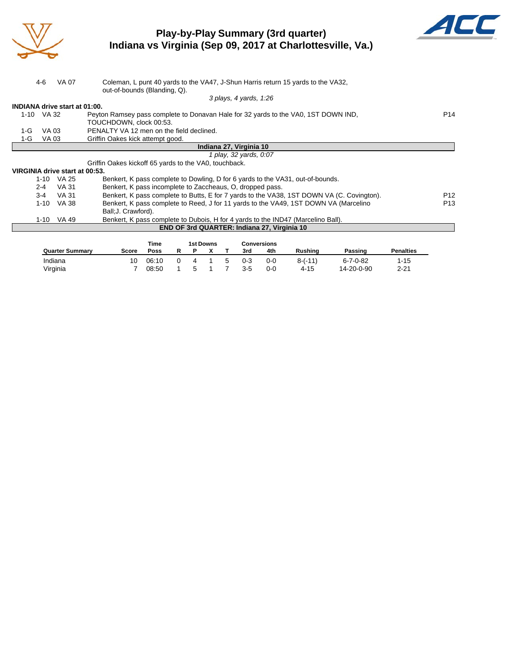

## **Play-by-Play Summary (3rd quarter) Indiana vs Virginia (Sep 09, 2017 at Charlottesville, Va.)**



|                  | Coleman, L punt 40 yards to the VA47, J-Shun Harris return 15 yards to the VA32,                                            |  |                  |   |   |             | out-of-bounds (Blanding, Q).                          | <b>VA 07</b>                         | $4 - 6$  |       |
|------------------|-----------------------------------------------------------------------------------------------------------------------------|--|------------------|---|---|-------------|-------------------------------------------------------|--------------------------------------|----------|-------|
|                  | 3 plays, 4 yards, 1:26                                                                                                      |  |                  |   |   |             |                                                       |                                      |          |       |
|                  |                                                                                                                             |  |                  |   |   |             |                                                       | <b>INDIANA drive start at 01:00.</b> |          |       |
| P <sub>14</sub>  | 1-10 VA 32<br>Peyton Ramsey pass complete to Donavan Hale for 32 yards to the VA0, 1ST DOWN IND,<br>TOUCHDOWN, clock 00:53. |  |                  |   |   |             |                                                       |                                      |          |       |
|                  |                                                                                                                             |  |                  |   |   |             | PENALTY VA 12 men on the field declined.              |                                      | VA 03    | $1-G$ |
|                  |                                                                                                                             |  |                  |   |   |             | Griffin Oakes kick attempt good.                      |                                      | VA 03    | 1-G   |
|                  | Indiana 27, Virginia 10                                                                                                     |  |                  |   |   |             |                                                       |                                      |          |       |
|                  | 1 play, 32 yards, 0:07                                                                                                      |  |                  |   |   |             |                                                       |                                      |          |       |
|                  |                                                                                                                             |  |                  |   |   |             | Griffin Oakes kickoff 65 yards to the VA0, touchback. |                                      |          |       |
|                  |                                                                                                                             |  |                  |   |   |             |                                                       | VIRGINIA drive start at 00:53.       |          |       |
|                  | Benkert, K pass complete to Dowling, D for 6 yards to the VA31, out-of-bounds.                                              |  |                  |   |   |             |                                                       | VA 25                                | $1 - 10$ |       |
|                  | Benkert, K pass incomplete to Zaccheaus, O, dropped pass.                                                                   |  |                  |   |   |             |                                                       | <b>VA 31</b>                         | $2 - 4$  |       |
| P <sub>12</sub>  | Benkert, K pass complete to Butts, E for 7 yards to the VA38, 1ST DOWN VA (C. Covington).                                   |  |                  |   |   |             |                                                       | VA 31                                | $3 - 4$  |       |
| P <sub>13</sub>  | Benkert, K pass complete to Reed, J for 11 yards to the VA49, 1ST DOWN VA (Marcelino                                        |  |                  |   |   |             | Ball; J. Crawford).                                   | VA 38                                | $1 - 10$ |       |
|                  | Benkert, K pass complete to Dubois, H for 4 yards to the IND47 (Marcelino Ball).                                            |  |                  |   |   |             |                                                       | 1-10 VA 49                           |          |       |
|                  | <b>END OF 3rd QUARTER: Indiana 27, Virginia 10</b>                                                                          |  |                  |   |   |             |                                                       |                                      |          |       |
| <b>Penalties</b> | <b>Conversions</b>                                                                                                          |  | <b>1st Downs</b> |   |   | Time        |                                                       |                                      |          |       |
|                  | <b>Rushing</b><br>4th<br>Passing<br>3rd                                                                                     |  | x                | P | R | <b>Poss</b> | Score                                                 | <b>Quarter Summary</b>               |          |       |

Indiana 10 06:10 0 4 1 5 0-3 0-0 8-(-11) 6-7-0-82 1-15 Virginia 7 08:50 1 5 1 7 3-5 0-0 4-15 14-20-0-90 2-21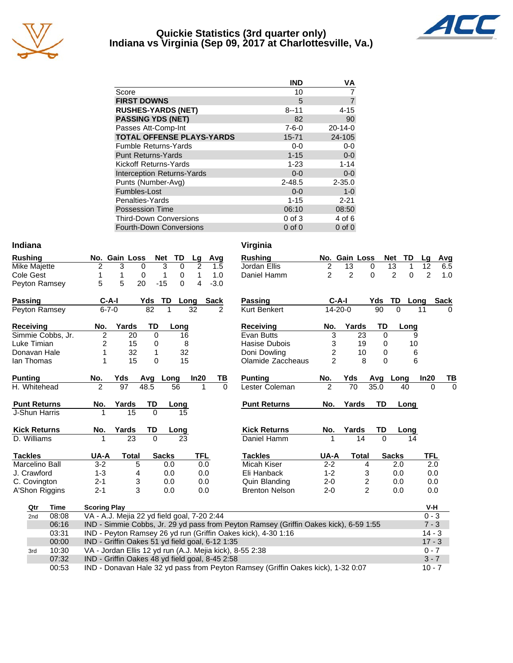

#### **Quickie Statistics (3rd quarter only) Indiana vs Virginia (Sep 09, 2017 at Charlottesville, Va.)**



|                                   | <b>IND</b>  | VA             |
|-----------------------------------|-------------|----------------|
| Score                             | 10          |                |
| <b>FIRST DOWNS</b>                | 5           | $\overline{7}$ |
| <b>RUSHES-YARDS (NET)</b>         | $8 - 11$    | $4 - 15$       |
| <b>PASSING YDS (NET)</b>          | 82          | 90             |
| Passes Att-Comp-Int               | $7 - 6 - 0$ | $20 - 14 - 0$  |
| <b>TOTAL OFFENSE PLAYS-YARDS</b>  | 15-71       | 24-105         |
| <b>Fumble Returns-Yards</b>       | $0 - 0$     | $0-0$          |
| <b>Punt Returns-Yards</b>         | $1 - 15$    | $0-0$          |
| Kickoff Returns-Yards             | $1 - 23$    | $1 - 14$       |
| <b>Interception Returns-Yards</b> | $0 - 0$     | $0 - 0$        |
| Punts (Number-Avg)                | $2 - 48.5$  | $2 - 35.0$     |
| Fumbles-Lost                      | $0 - 0$     | $1 - 0$        |
| Penalties-Yards                   | $1 - 15$    | $2 - 21$       |
| <b>Possession Time</b>            | 06:10       | 08:50          |
| <b>Third-Down Conversions</b>     | $0$ of $3$  | 4 of 6         |
| <b>Fourth-Down Conversions</b>    | $0$ of $0$  | $0$ of $0$     |

| <b>Rushing</b>     |             | No. Gain Loss |     | <b>Net</b> | TD   | Lq | Avg    |
|--------------------|-------------|---------------|-----|------------|------|----|--------|
| Mike Majette       | 2           | 3             | 0   | 3          | 0    | 2  | 1.5    |
| Cole Gest          | 1           |               | 0   | 1          | 0    | 1  | 1.0    |
| Peyton Ramsey      | 5           | 5             | 20  | $-15$      | 0    | 4  | $-3.0$ |
| <b>Passing</b>     | C-A-I       |               | Yds | TD         | Long |    | Sack   |
| Peyton Ramsey      | $6 - 7 - 0$ |               | 82  |            |      | 32 | 2      |
| <b>Receiving</b>   | No.         | Yards         |     | TD         | Long |    |        |
| Cimmin Cabbo<br>١r | ◠           |               | ററ  | ∩          | 1 Q  |    |        |

| Simmie Cobbs. Jr. | 20.  | 16. |
|-------------------|------|-----|
| Luke Timian       | 15   | 8   |
| Donavan Hale      | -32. | 32  |
| lan Thomas        | 15   | 15  |

| <b>Punting</b>      | No. | Yds   | Avq       | Long | In20 | тв |
|---------------------|-----|-------|-----------|------|------|----|
| H. Whitehead        | 2   | 97    | 48.5      | 56   |      | O  |
| <b>Punt Returns</b> | No. | Yards | <b>TD</b> | Long |      |    |
| J-Shun Harris       |     | 15    | O         | 15   |      |    |
| <b>Kick Returns</b> | No. | Yards | TD        | Long |      |    |
| D. Williams         |     | 23    |           | 23   |      |    |
|                     |     |       |           |      |      |    |

| Tackles        | UA-A    | Total | <b>Sacks</b> | TFL |
|----------------|---------|-------|--------------|-----|
| Marcelino Ball | $3-2$   | 5     | 0.0          | 0.0 |
| J. Crawford    | $1 - 3$ | 4     | 0.0          | 0.0 |
| C. Covington   | $2 - 1$ | 3     | 0.0          | 0.0 |
| A'Shon Riggins | 2-1     | 3     | 0.0          | 0.0 |
|                |         |       |              |     |

2nd 08:08 VA - A.J. Mejia 22 yd field goal, 7-20 2:44<br>06:16 IND - Simmie Cobbs, Jr. 29 yd pass from I

**Qtr Time Scoring Play**<br>2nd 08:08 VA - A.J. Me

| Indiana | Virginia |
|---------|----------|
|---------|----------|

|             |                     | No. Gain Loss                                   |          | <b>Net</b><br>TD | Lg   | Avg         | <b>Rushing</b>                                                                        |                | No. Gain Loss  |                         |          | <b>Net</b><br>TD    | Lg             | Avg         |
|-------------|---------------------|-------------------------------------------------|----------|------------------|------|-------------|---------------------------------------------------------------------------------------|----------------|----------------|-------------------------|----------|---------------------|----------------|-------------|
| te          | 2                   | 3                                               | 0        | 3<br>$\mathbf 0$ | 2    | 1.5         | Jordan Ellis                                                                          | 2              | 13             |                         | 0        | 13<br>1             | 12             | 6.5         |
|             | 1                   | 1                                               | 0        | 1<br>0           | 1    | 1.0         | Daniel Hamm                                                                           | $\overline{c}$ | $\overline{2}$ |                         | $\Omega$ | $\overline{2}$<br>0 | $\overline{2}$ | 1.0         |
| msey        | 5                   | 5                                               | 20       | $-15$<br>0       | 4    | $-3.0$      |                                                                                       |                |                |                         |          |                     |                |             |
|             | $C-A-I$             |                                                 | Yds      | <b>TD</b>        | Long | <b>Sack</b> | Passing                                                                               |                | $C-A-I$        |                         | Yds      | TD.                 | Long           | <b>Sack</b> |
| msev        | $6 - 7 - 0$         |                                                 | 82       |                  | 32   | 2           | <b>Kurt Benkert</b>                                                                   |                | 14-20-0        |                         | 90       | $\Omega$            | 11             | $\Omega$    |
|             | No.                 | Yards                                           | TD       | Long             |      |             | <b>Receiving</b>                                                                      | No.            | Yards          |                         | TD       | Long                |                |             |
| bbs, Jr.    | $\overline{c}$      | 20                                              | 0        | 16               |      |             | Evan Butts                                                                            |                | 3              | 23                      | 0        |                     | 9              |             |
| n           | 2                   | 15                                              | 0        | 8                |      |             | Hasise Dubois                                                                         |                | 3              | 19                      | 0        | 10                  |                |             |
| lale        | 1                   | 32                                              | 1        | 32               |      |             | Doni Dowling                                                                          |                | $\overline{c}$ | 10                      | 0        |                     | 6              |             |
| s           | 1                   | 15                                              | 0        | 15               |      |             | Olamide Zaccheaus                                                                     |                | $\overline{2}$ | 8                       | $\Omega$ |                     | $6\phantom{1}$ |             |
|             | No.                 | Yds                                             | Avg      | Long             | In20 | TВ          | <b>Punting</b>                                                                        | No.            | Yds            |                         | Avg      | Long                | In20           | TВ          |
| ad          | $\overline{2}$      | 97                                              | 48.5     | 56               | 1    | $\Omega$    | Lester Coleman                                                                        | $\overline{2}$ | 70             |                         | 35.0     | 40                  | 0              | $\Omega$    |
| rns         | No.                 | Yards                                           | TD       | Long             |      |             | <b>Punt Returns</b>                                                                   | No.            | Yards          |                         | TD       | Long                |                |             |
| rris        |                     | 15                                              | $\Omega$ | 15               |      |             |                                                                                       |                |                |                         |          |                     |                |             |
| rns         | No.                 | Yards                                           | TD       | Long             |      |             | <b>Kick Returns</b>                                                                   | No.            | Yards          |                         | TD       | Long                |                |             |
| Ś           |                     | 23                                              | $\Omega$ | 23               |      |             | Daniel Hamm                                                                           |                |                | 14                      | $\Omega$ | 14                  |                |             |
|             | UA-A                | Total                                           |          | <b>Sacks</b>     | TFL  |             | <b>Tackles</b>                                                                        | UA-A           |                | <b>Total</b>            |          | <b>Sacks</b>        | TFL            |             |
| Ball        | $3 - 2$             |                                                 | 5        | 0.0              | 0.0  |             | <b>Micah Kiser</b>                                                                    | $2 - 2$        |                | 4                       |          | 2.0                 | 2.0            |             |
| d           | $1 - 3$             | 4                                               |          | 0.0              | 0.0  |             | Eli Hanback                                                                           | $1 - 2$        |                | 3                       |          | 0.0                 | 0.0            |             |
| on          | $2 - 1$             |                                                 | 3        | 0.0              | 0.0  |             | Quin Blanding                                                                         | $2 - 0$        |                | $\overline{\mathbf{c}}$ |          | 0.0                 | 0.0            |             |
| ggins       | $2 - 1$             |                                                 | 3        | 0.0              | 0.0  |             | <b>Brenton Nelson</b>                                                                 | $2 - 0$        |                | $\overline{2}$          |          | 0.0                 | 0.0            |             |
| <b>Time</b> | <b>Scoring Play</b> |                                                 |          |                  |      |             |                                                                                       |                |                |                         |          |                     | V-H            |             |
| 08:08       |                     | VA - A.J. Mejia 22 yd field goal, 7-20 2:44     |          |                  |      |             |                                                                                       |                |                |                         |          |                     | $0 - 3$        |             |
| 06:16       |                     |                                                 |          |                  |      |             | IND - Simmie Cobbs, Jr. 29 yd pass from Peyton Ramsey (Griffin Oakes kick), 6-59 1:55 |                |                |                         |          |                     | $7 - 3$        |             |
| 03:31       |                     |                                                 |          |                  |      |             | IND - Peyton Ramsey 26 yd run (Griffin Oakes kick), 4-30 1:16                         |                |                |                         |          |                     | $14 - 3$       |             |
| 00:00       |                     | IND - Griffin Oakes 51 yd field goal, 6-12 1:35 |          |                  |      |             |                                                                                       |                |                |                         |          |                     | $17 - 3$       |             |
|             |                     |                                                 |          |                  |      |             |                                                                                       |                |                |                         |          |                     |                |             |

07:32 IND - Griffin Oakes 48 yd field goal, 8-45 2:58 3 - 7 3 - 7 3 - 7 3 - 7 3 - 7 3 - 7 3 - 7 3 - 7 3 - 7 3 - 7 3 - 7 3 - 7 3 - 7 3 - 7 3 - 7 3 - 7 3 - 7 3 - 7 3 - 7 3 - 7 3 - 7 3 - 7 5 - 7 5 - 7 5 - 7 5 - 7 5 - 7 5 - 7 00:53 IND - Donavan Hale 32 yd pass from Peyton Ramsey (Griffin Oakes kick), 1-32 0:07 10 - 7

3rd 10:30 VA - Jordan Ellis 12 yd run (A.J. Mejia kick), 8-55 2:38 0 - 7 0 - 7 0 - 7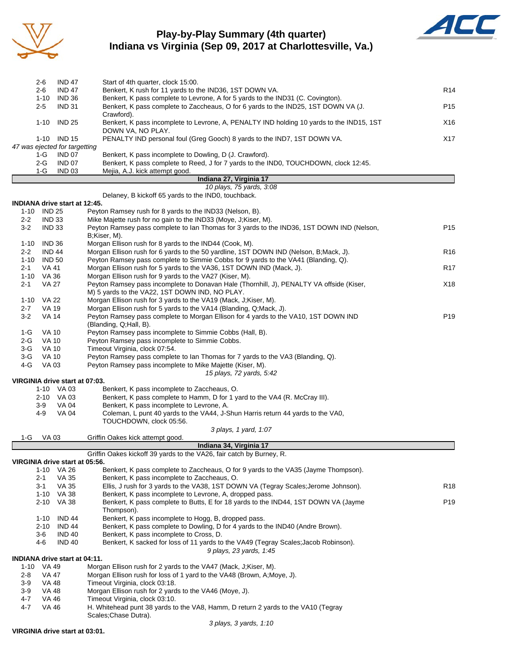

### **Play-by-Play Summary (4th quarter) Indiana vs Virginia (Sep 09, 2017 at Charlottesville, Va.)**



|                          | 2-6                     | <b>IND 47</b>                 | Start of 4th quarter, clock 15:00.                                                       |                 |  |  |  |  |  |
|--------------------------|-------------------------|-------------------------------|------------------------------------------------------------------------------------------|-----------------|--|--|--|--|--|
|                          | $2 - 6$                 | <b>IND 47</b>                 | Benkert, K rush for 11 yards to the IND36, 1ST DOWN VA.                                  | R <sub>14</sub> |  |  |  |  |  |
|                          | $1 - 10$                | <b>IND 36</b>                 | Benkert, K pass complete to Levrone, A for 5 yards to the IND31 (C. Covington).          |                 |  |  |  |  |  |
|                          | $2-5$                   | <b>IND 31</b>                 | Benkert, K pass complete to Zaccheaus, O for 6 yards to the IND25, 1ST DOWN VA (J.       | P <sub>15</sub> |  |  |  |  |  |
|                          |                         |                               | Crawford).                                                                               |                 |  |  |  |  |  |
|                          | $1 - 10$                | <b>IND 25</b>                 | Benkert, K pass incomplete to Levrone, A, PENALTY IND holding 10 yards to the IND15, 1ST | X16             |  |  |  |  |  |
|                          |                         |                               | DOWN VA. NO PLAY.                                                                        |                 |  |  |  |  |  |
|                          |                         | 1-10 IND 15                   | PENALTY IND personal foul (Greg Gooch) 8 yards to the IND7, 1ST DOWN VA.                 | X17             |  |  |  |  |  |
|                          |                         | 47 was ejected for targetting |                                                                                          |                 |  |  |  |  |  |
|                          | $1-G$                   | <b>IND 07</b>                 | Benkert, K pass incomplete to Dowling, D (J. Crawford).                                  |                 |  |  |  |  |  |
|                          | $2-G$                   | <b>IND 07</b>                 | Benkert, K pass complete to Reed, J for 7 yards to the IND0, TOUCHDOWN, clock 12:45.     |                 |  |  |  |  |  |
|                          | 1-G                     | <b>IND 03</b>                 | Mejia, A.J. kick attempt good.                                                           |                 |  |  |  |  |  |
|                          | Indiana 27, Virginia 17 |                               |                                                                                          |                 |  |  |  |  |  |
| 10 plays, 75 yards, 3:08 |                         |                               |                                                                                          |                 |  |  |  |  |  |

Delaney, B kickoff 65 yards to the IND0, touchback.

|          | <b>INDIANA drive start at 12:45.</b> |                                                                                                               |                 |
|----------|--------------------------------------|---------------------------------------------------------------------------------------------------------------|-----------------|
|          | 1-10 IND 25                          | Peyton Ramsey rush for 8 yards to the IND33 (Nelson, B).                                                      |                 |
| $2 - 2$  | <b>IND 33</b>                        | Mike Majette rush for no gain to the IND33 (Moye, J;Kiser, M).                                                |                 |
| $3-2$    | <b>IND 33</b>                        | Peyton Ramsey pass complete to Ian Thomas for 3 yards to the IND36, 1ST DOWN IND (Nelson,<br>B;Kiser, M).     | P <sub>15</sub> |
| $1 - 10$ | <b>IND 36</b>                        | Morgan Ellison rush for 8 yards to the IND44 (Cook, M).                                                       |                 |
| $2 - 2$  | <b>IND 44</b>                        | Morgan Ellison rush for 6 yards to the 50 yardline, 1ST DOWN IND (Nelson, B;Mack, J).                         | R <sub>16</sub> |
|          | 1-10 IND 50                          | Peyton Ramsey pass complete to Simmie Cobbs for 9 yards to the VA41 (Blanding, Q).                            |                 |
| $2 - 1$  | VA 41                                | Morgan Ellison rush for 5 yards to the VA36, 1ST DOWN IND (Mack, J).                                          | R <sub>17</sub> |
|          | 1-10 VA 36                           | Morgan Ellison rush for 9 yards to the VA27 (Kiser, M).                                                       |                 |
| $2 - 1$  | <b>VA 27</b>                         | Peyton Ramsey pass incomplete to Donavan Hale (Thornhill, J), PENALTY VA offside (Kiser,                      | X18             |
|          |                                      | M) 5 yards to the VA22, 1ST DOWN IND, NO PLAY.                                                                |                 |
| 1-10     | VA 22                                | Morgan Ellison rush for 3 yards to the VA19 (Mack, J;Kiser, M).                                               |                 |
| $2 - 7$  | <b>VA 19</b>                         | Morgan Ellison rush for 5 yards to the VA14 (Blanding, Q;Mack, J).                                            |                 |
| $3-2$    | <b>VA 14</b>                         | Peyton Ramsey pass complete to Morgan Ellison for 4 yards to the VA10, 1ST DOWN IND<br>(Blanding, Q;Hall, B). | P <sub>19</sub> |
| 1-G      | <b>VA 10</b>                         | Peyton Ramsey pass incomplete to Simmie Cobbs (Hall, B).                                                      |                 |
| $2-G$    | <b>VA 10</b>                         | Peyton Ramsey pass incomplete to Simmie Cobbs.                                                                |                 |
| $3-G$    | <b>VA 10</b>                         | Timeout Virginia, clock 07:54.                                                                                |                 |
| 3-G      | VA 10                                | Peyton Ramsey pass complete to lan Thomas for 7 yards to the VA3 (Blanding, Q).                               |                 |
| $4-G$    | VA 03                                | Peyton Ramsey pass incomplete to Mike Majette (Kiser, M).                                                     |                 |
|          |                                      | 15 plays, 72 yards, 5:42                                                                                      |                 |
|          | VIRGINIA drive start at 07:03.       |                                                                                                               |                 |
|          | 1-10 VA 03                           | Benkert, K pass incomplete to Zaccheaus, O.                                                                   |                 |
|          | 2-10 VA 03                           | Benkert, K pass complete to Hamm, D for 1 yard to the VA4 (R. McCray III).                                    |                 |
|          | $3-9$<br><b>VA 04</b>                | Benkert, K pass incomplete to Levrone, A.                                                                     |                 |
|          | 4-9<br><b>VA 04</b>                  | Coleman, L punt 40 yards to the VA44, J-Shun Harris return 44 yards to the VA0,                               |                 |
|          |                                      | TOUCHDOWN, clock 05:56.                                                                                       |                 |
| 1-G      | VA 03                                | 3 plays, 1 yard, 1:07<br>Griffin Oakes kick attempt good.                                                     |                 |
|          |                                      | Indiana 34, Virginia 17                                                                                       |                 |
|          |                                      | Griffin Oakes kickoff 39 yards to the VA26, fair catch by Burney, R.                                          |                 |
|          | VIRGINIA drive start at 05:56.       |                                                                                                               |                 |
|          | 1-10 VA 26                           | Benkert, K pass complete to Zaccheaus, O for 9 yards to the VA35 (Jayme Thompson).                            |                 |
|          | $2 - 1$<br>VA 35                     | Benkert, K pass incomplete to Zaccheaus, O.                                                                   |                 |
|          | VA 35<br>$3 - 1$                     | Ellis, J rush for 3 yards to the VA38, 1ST DOWN VA (Tegray Scales; Jerome Johnson).                           | R <sub>18</sub> |
|          | 1-10 VA 38                           | Benkert, K pass incomplete to Levrone, A, dropped pass.                                                       |                 |
|          | 2-10 VA 38                           | Benkert, K pass complete to Butts, E for 18 yards to the IND44, 1ST DOWN VA (Jayme                            | P <sub>19</sub> |
|          |                                      | Thompson).                                                                                                    |                 |
|          | <b>IND 44</b><br>1-10                | Benkert, K pass incomplete to Hogg, B, dropped pass.                                                          |                 |
|          | 2-10<br><b>IND 44</b>                | Benkert, K pass complete to Dowling, D for 4 yards to the IND40 (Andre Brown).                                |                 |
|          | <b>IND 40</b><br>3-6                 | Benkert, K pass incomplete to Cross, D.                                                                       |                 |
|          | 4-6<br><b>IND 40</b>                 | Benkert, K sacked for loss of 11 yards to the VA49 (Tegray Scales; Jacob Robinson).                           |                 |
|          |                                      | 9 plays, 23 yards, 1:45                                                                                       |                 |
|          | <b>INDIANA drive start at 04:11.</b> |                                                                                                               |                 |
|          | 1-10 VA 49                           | Morgan Ellison rush for 2 yards to the VA47 (Mack, J;Kiser, M).                                               |                 |
| $2 - 8$  | VA 47                                | Morgan Ellison rush for loss of 1 yard to the VA48 (Brown, A; Moye, J).                                       |                 |
| $3-9$    | VA 48                                | Timeout Virginia, clock 03:18.                                                                                |                 |
| $3-9$    | VA 48                                | Morgan Ellison rush for 2 yards to the VA46 (Moye, J).                                                        |                 |
| 4-7      | VA 46                                | Timeout Virginia, clock 03:10.                                                                                |                 |
| $4 - 7$  | <b>VA 46</b>                         | H. Whitehead punt 38 yards to the VA8, Hamm, D return 2 yards to the VA10 (Tegray<br>Scales; Chase Dutra).    |                 |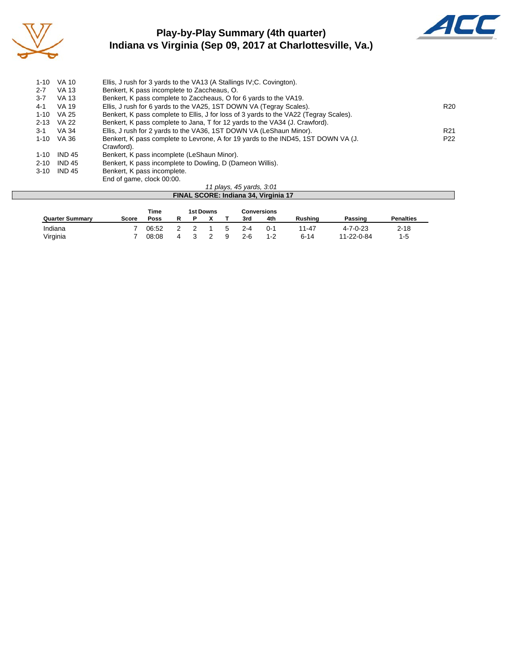

## **Play-by-Play Summary (4th quarter) Indiana vs Virginia (Sep 09, 2017 at Charlottesville, Va.)**



| $1 - 10$ | <b>VA 10</b>  | Ellis, J rush for 3 yards to the VA13 (A Stallings IV: C. Covington).                 |                 |
|----------|---------------|---------------------------------------------------------------------------------------|-----------------|
| $2 - 7$  | VA 13         | Benkert, K pass incomplete to Zaccheaus, O.                                           |                 |
| $3 - 7$  | VA 13         | Benkert, K pass complete to Zaccheaus, O for 6 yards to the VA19.                     |                 |
| $4 - 1$  | VA 19         | Ellis, J rush for 6 yards to the VA25, 1ST DOWN VA (Tegray Scales).                   | R <sub>20</sub> |
| 1-10     | VA 25         | Benkert, K pass complete to Ellis, J for loss of 3 yards to the VA22 (Tegray Scales). |                 |
| $2 - 13$ | VA 22         | Benkert, K pass complete to Jana, T for 12 yards to the VA34 (J. Crawford).           |                 |
| $3-1$    | VA 34         | Ellis, J rush for 2 yards to the VA36, 1ST DOWN VA (LeShaun Minor).                   | R <sub>21</sub> |
| 1-10     | VA 36         | Benkert, K pass complete to Levrone, A for 19 yards to the IND45, 1ST DOWN VA (J.     | P <sub>22</sub> |
|          |               | Crawford).                                                                            |                 |
| $1 - 10$ | <b>IND 45</b> | Benkert, K pass incomplete (LeShaun Minor).                                           |                 |
| $2 - 10$ | <b>IND 45</b> | Benkert, K pass incomplete to Dowling, D (Dameon Willis).                             |                 |
| $3 - 10$ | <b>IND 45</b> | Benkert, K pass incomplete.                                                           |                 |
|          |               | End of game, clock 00:00.                                                             |                 |

#### *11 plays, 45 yards, 3:01* **FINAL SCORE: Indiana 34, Virginia 17** Time 1st Downs Conversions<br>
<u>Poss R P X T 3rd 4th</u> **Quarter Summary Score Poss R P X T 3rd 4th Rushing Passing Penalties** Indiana 7 06:52 2 2 1 5 2-4 0-1 11-47 4-7-0-23 2-18 Virginia 7 08:08 4 3 2 9 2-6 1-2 6-14 11-22-0-84 1-5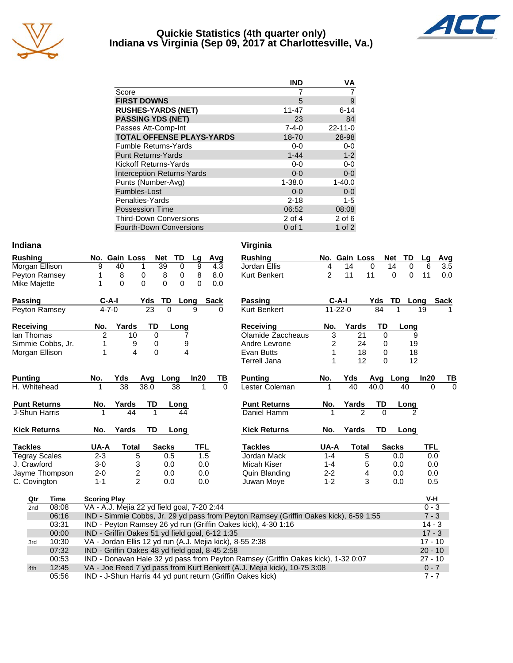

#### **Quickie Statistics (4th quarter only) Indiana vs Virginia (Sep 09, 2017 at Charlottesville, Va.)**



|                                   | <b>IND</b>  | VA            |
|-----------------------------------|-------------|---------------|
| Score                             |             |               |
| <b>FIRST DOWNS</b>                | 5           | 9             |
| <b>RUSHES-YARDS (NET)</b>         | $11 - 47$   | $6 - 14$      |
| <b>PASSING YDS (NET)</b>          | 23          | 84            |
| Passes Att-Comp-Int               | $7 - 4 - 0$ | $22 - 11 - 0$ |
| <b>TOTAL OFFENSE PLAYS-YARDS</b>  | 18-70       | 28-98         |
| <b>Fumble Returns-Yards</b>       | $0 - 0$     | $0-0$         |
| <b>Punt Returns-Yards</b>         | $1 - 44$    | $1 - 2$       |
| <b>Kickoff Returns-Yards</b>      | $0 - 0$     | $0-0$         |
| <b>Interception Returns-Yards</b> | $0 - 0$     | $0 - 0$       |
| Punts (Number-Avg)                | $1 - 38.0$  | $1 - 40.0$    |
| Fumbles-Lost                      | $0 - 0$     | $0-0$         |
| Penalties-Yards                   | $2 - 18$    | $1 - 5$       |
| <b>Possession Time</b>            | 06:52       | 08:08         |
| <b>Third-Down Conversions</b>     | $2$ of $4$  | $2$ of 6      |
| Fourth-Down Conversions           | $0$ of 1    | $1$ of $2$    |

| Indiana        |                      |                     |                                                                                       |          |                   |            |             | Virginia                                                      |         |               |                |          |                  |            |             |
|----------------|----------------------|---------------------|---------------------------------------------------------------------------------------|----------|-------------------|------------|-------------|---------------------------------------------------------------|---------|---------------|----------------|----------|------------------|------------|-------------|
| <b>Rushing</b> |                      |                     | No. Gain Loss                                                                         | Net      | TD                | Lg         | Avg         | <b>Rushing</b>                                                |         | No. Gain Loss |                |          | TD<br><b>Net</b> | Lq         | Avg         |
|                | Morgan Ellison       | 9                   | 40<br>1                                                                               |          | 39<br>$\mathbf 0$ | 9          | 4.3         | Jordan Ellis                                                  | 4       | 14            | 0              |          | 0<br>14          | 6          | 3.5         |
|                | Peyton Ramsey        |                     | 0<br>8                                                                                |          | 8<br>0            | 8          | 8.0         | Kurt Benkert                                                  | 2       | 11            | 11             |          | 0<br>0           | 11         | 0.0         |
| Mike Majette   |                      | 1                   | $\mathbf{0}$<br>$\Omega$                                                              |          | 0<br>$\Omega$     | 0          | 0.0         |                                                               |         |               |                |          |                  |            |             |
| Passing        |                      | $C-A-I$             |                                                                                       | Yds      | TD                | Long       | <b>Sack</b> | <b>Passing</b>                                                |         | $C-A-I$       |                | Yds      | TD               | Long       | <b>Sack</b> |
|                | Peyton Ramsey        | $4 - 7 - 0$         |                                                                                       | 23       | $\Omega$          | 9          | O           | Kurt Benkert                                                  |         | $11 - 22 - 0$ |                | 84       |                  | 19         |             |
| Receiving      |                      | No.                 | Yards                                                                                 | TD       | Long              |            |             | <b>Receiving</b>                                              | No.     | Yards         |                | TD       | Long             |            |             |
| lan Thomas     |                      | $\overline{2}$      | 10                                                                                    | $\Omega$ |                   |            |             | Olamide Zaccheaus                                             | 3       |               | 21             | $\Omega$ | 9                |            |             |
|                | Simmie Cobbs, Jr.    |                     | 9                                                                                     | 0        | 9                 |            |             | Andre Levrone                                                 | 2       |               | 24             | 0        | 19               |            |             |
|                | Morgan Ellison       |                     | 4                                                                                     | $\Omega$ |                   | 4          |             | Evan Butts                                                    | 1       |               | 18             | $\Omega$ | 18               |            |             |
|                |                      |                     |                                                                                       |          |                   |            |             | Terrell Jana                                                  | 1       |               | 12             | 0        | 12               |            |             |
| <b>Punting</b> |                      | No.                 | Yds                                                                                   | Avg      | Long              | In20       | ΤВ          | <b>Punting</b>                                                | No.     | Yds           |                | Avg      | Long             | In20       | TВ          |
| H. Whitehead   |                      |                     | 38                                                                                    | 38.0     | 38                | 1          | $\Omega$    | Lester Coleman                                                |         | 40            |                | 40.0     | 40               | $\Omega$   | $\Omega$    |
|                | <b>Punt Returns</b>  | No.                 | Yards                                                                                 | TD       | Long              |            |             | <b>Punt Returns</b>                                           | No.     | Yards         |                | TD       | Long             |            |             |
|                | J-Shun Harris        | 1                   | 44                                                                                    |          | 44                |            |             | Daniel Hamm                                                   |         |               | $\overline{2}$ | $\Omega$ | 2                |            |             |
|                | <b>Kick Returns</b>  | No.                 | Yards                                                                                 | TD       | Long              |            |             | <b>Kick Returns</b>                                           | No.     | Yards         |                | TD       | Long             |            |             |
| <b>Tackles</b> |                      | UA-A                | <b>Total</b>                                                                          |          | <b>Sacks</b>      | <b>TFL</b> |             | <b>Tackles</b>                                                | UA-A    |               | <b>Total</b>   |          | <b>Sacks</b>     | <b>TFL</b> |             |
|                | <b>Tegray Scales</b> | $2 - 3$             | 5                                                                                     |          | 0.5               | 1.5        |             | Jordan Mack                                                   | $1 - 4$ |               | 5              |          | 0.0              | 0.0        |             |
| J. Crawford    |                      | $3-0$               | 3                                                                                     |          | 0.0               | 0.0        |             | Micah Kiser                                                   | $1 - 4$ |               | 5              |          | 0.0              | 0.0        |             |
|                | Jayme Thompson       | $2 - 0$             | $\overline{c}$                                                                        |          | 0.0               | 0.0        |             | Quin Blanding                                                 | $2 - 2$ |               | 4              |          | 0.0              | 0.0        |             |
| C. Covington   |                      | $1 - 1$             | $\overline{2}$                                                                        |          | 0.0               | 0.0        |             | Juwan Moye                                                    | $1 - 2$ |               | 3              |          | 0.0              | 0.5        |             |
| Qtr            | <b>Time</b>          | <b>Scoring Play</b> |                                                                                       |          |                   |            |             |                                                               |         |               |                |          |                  | V-H        |             |
| 2nd            | 08:08                |                     | VA - A.J. Mejia 22 yd field goal, 7-20 2:44                                           |          |                   |            |             |                                                               |         |               |                |          |                  | $0 - 3$    |             |
|                | 06:16                |                     | IND - Simmie Cobbs, Jr. 29 yd pass from Peyton Ramsey (Griffin Oakes kick), 6-59 1:55 |          |                   |            |             |                                                               |         |               |                | $7 - 3$  |                  |            |             |
|                | 03:31                |                     |                                                                                       |          |                   |            |             | IND - Peyton Ramsey 26 yd run (Griffin Oakes kick), 4-30 1:16 |         |               |                |          |                  | $14 - 3$   |             |
|                | 00:00                |                     | IND - Griffin Oakes 51 yd field goal, 6-12 1:35                                       |          |                   |            |             |                                                               |         |               |                |          |                  | $17 - 3$   |             |
| 3rd            | 10:30                |                     |                                                                                       |          |                   |            |             | VA - Jordan Ellis 12 yd run (A.J. Mejia kick), 8-55 2:38      |         |               |                |          |                  | $17 - 10$  |             |

| No.     | Yards        | TD           | Long     |                     |
|---------|--------------|--------------|----------|---------------------|
|         | 2            | ი            | 2        |                     |
| No.     |              |              | Long     |                     |
| UA-A    | <b>Total</b> |              |          | TFL                 |
| $1 - 4$ | 5            |              | 0.0      | 0.0                 |
| $1 - 4$ | 5            |              | 0.0      | 0.0                 |
|         |              |              |          | 0.0                 |
|         |              |              |          |                     |
|         |              | $2 - 2$<br>4 | Yards TD | <b>Sacks</b><br>0.0 |

| Qtr | Time  | <b>Scoring Play</b>                                                                   | V-H       |
|-----|-------|---------------------------------------------------------------------------------------|-----------|
| 2nd | 08:08 | VA - A.J. Mejia 22 yd field goal, 7-20 2:44                                           | $0 - 3$   |
|     | 06:16 | IND - Simmie Cobbs, Jr. 29 yd pass from Peyton Ramsey (Griffin Oakes kick), 6-59 1:55 | $7 - 3$   |
|     | 03:31 | IND - Peyton Ramsey 26 yd run (Griffin Oakes kick), 4-30 1:16                         | $14 - 3$  |
|     | 00:00 | IND - Griffin Oakes 51 yd field goal, 6-12 1:35                                       | $17 - 3$  |
| 3rd | 10:30 | VA - Jordan Ellis 12 yd run (A.J. Mejia kick), 8-55 2:38                              | $17 - 10$ |
|     | 07:32 | IND - Griffin Oakes 48 yd field goal, 8-45 2:58                                       | $20 - 10$ |
|     | 00:53 | IND - Donavan Hale 32 yd pass from Peyton Ramsey (Griffin Oakes kick), 1-32 0:07      | $27 - 10$ |
| 4th | 12:45 | VA - Joe Reed 7 yd pass from Kurt Benkert (A.J. Mejia kick), 10-75 3:08               | $0 - 7$   |
|     | 05:56 | IND - J-Shun Harris 44 yd punt return (Griffin Oakes kick)                            | $7 - 7$   |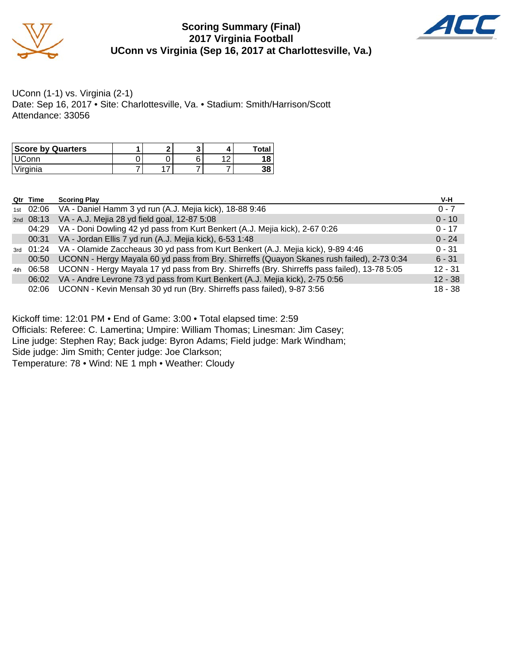

#### **Scoring Summary (Final) 2017 Virginia Football UConn vs Virginia (Sep 16, 2017 at Charlottesville, Va.)**



UConn (1-1) vs. Virginia (2-1) Date: Sep 16, 2017 • Site: Charlottesville, Va. • Stadium: Smith/Harrison/Scott Attendance: 33056

| <b>Score by Quarters</b> |  |  | <b>Total</b> |
|--------------------------|--|--|--------------|
| LIC <sub>onn</sub>       |  |  |              |
| Virginia                 |  |  | 20<br>აი     |

|     | Qtr Time    | <b>Scoring Play</b>                                                                          | V-H       |
|-----|-------------|----------------------------------------------------------------------------------------------|-----------|
|     |             | 1st 02:06 VA - Daniel Hamm 3 yd run (A.J. Mejia kick), 18-88 9:46                            | $0 - 7$   |
|     | 2nd $08:13$ | VA - A.J. Mejia 28 yd field goal, 12-87 5:08                                                 | $0 - 10$  |
|     | 04:29       | VA - Doni Dowling 42 yd pass from Kurt Benkert (A.J. Mejia kick), 2-67 0:26                  | $0 - 17$  |
|     | 00:31       | VA - Jordan Ellis 7 yd run (A.J. Mejia kick), 6-53 1:48                                      | $0 - 24$  |
|     |             | 3rd 01:24 VA - Olamide Zaccheaus 30 yd pass from Kurt Benkert (A.J. Mejia kick), 9-89 4:46   | $0 - 31$  |
|     | 00:50       | UCONN - Hergy Mayala 60 yd pass from Bry. Shirreffs (Quayon Skanes rush failed), 2-73 0:34   | $6 - 31$  |
| 4th | 06:58       | UCONN - Hergy Mayala 17 yd pass from Bry. Shirreffs (Bry. Shirreffs pass failed), 13-78 5:05 | $12 - 31$ |
|     | 06:02       | VA - Andre Levrone 73 yd pass from Kurt Benkert (A.J. Mejia kick), 2-75 0:56                 | $12 - 38$ |
|     | 02:06       | UCONN - Kevin Mensah 30 yd run (Bry. Shirreffs pass failed), 9-87 3:56                       | $18 - 38$ |

Kickoff time: 12:01 PM • End of Game: 3:00 • Total elapsed time: 2:59

Officials: Referee: C. Lamertina; Umpire: William Thomas; Linesman: Jim Casey;

Line judge: Stephen Ray; Back judge: Byron Adams; Field judge: Mark Windham;

Side judge: Jim Smith; Center judge: Joe Clarkson;

Temperature: 78 • Wind: NE 1 mph • Weather: Cloudy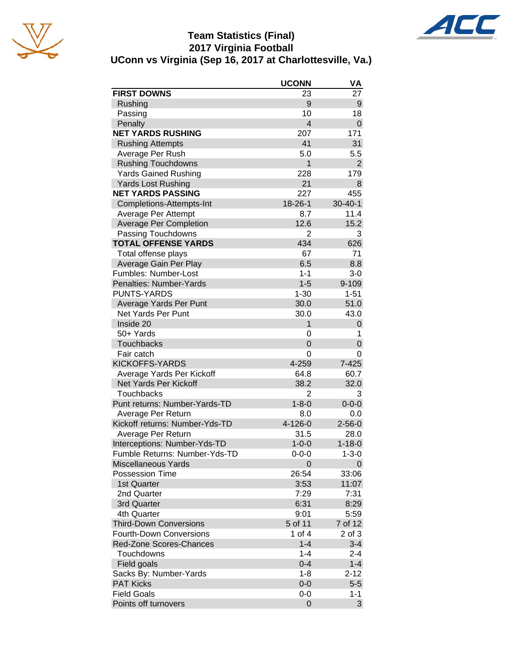





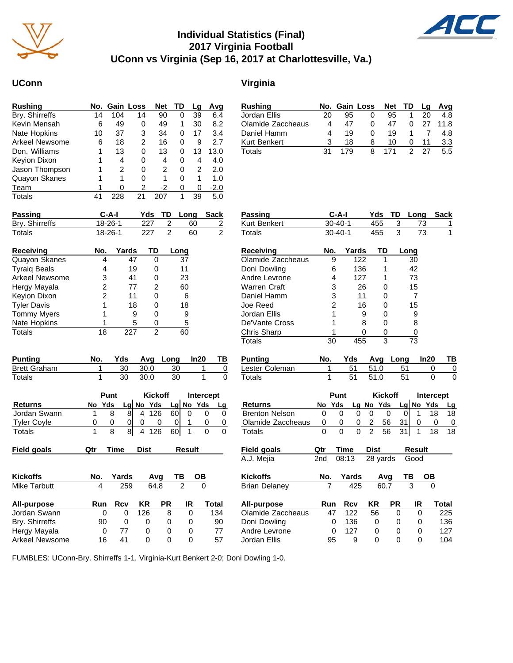

### **Individual Statistics (Final) 2017 Virginia Football UConn vs Virginia (Sep 16, 2017 at Charlottesville, Va.)**

Totals

#### **UConn Virginia**

| <b>Rushing</b>       |    | No. Gain Loss |    | <b>Net</b> | TD | Lg | Avg  |
|----------------------|----|---------------|----|------------|----|----|------|
| Bry. Shirreffs       | 14 | 104           | 14 | 90         | 0  | 39 | 6.4  |
| Kevin Mensah         | 6  | 49            | 0  | 49         | 1  | 30 | 8.2  |
| Nate Hopkins         | 10 | 37            | 3  | 34         | 0  | 17 | 3.4  |
| Arkeel Newsome       | 6  | 18            | 2  | 16         | 0  | 9  | 2.7  |
| Don. Williams        |    | 13            | 0  | 13         | 0  | 13 | 13.0 |
| Keyion Dixon         |    | 4             | 0  | 4          | 0  | 4  | 4.0  |
| Jason Thompson       | 1  | 2             | 0  | 2          | 0  | 2  | 2.0  |
| <b>Quayon Skanes</b> |    | 1             | 0  | 1          | 0  | 1  | 1.0  |
| Team                 |    | 0             | 2  | -2         | 0  | 0  | -2.0 |
| Totals               | 41 | 228           | 21 | 207        | 1  | 39 | 5.0  |

| Rushing           |    |     | No. Gain Loss Net TD Lg Avg |     |          |     |         |
|-------------------|----|-----|-----------------------------|-----|----------|-----|---------|
| Jordan Ellis      | 20 | 95  |                             | 95  |          | 20  | 4.8     |
| Olamide Zaccheaus | 4  | 47  | 0                           | 47  | 0        |     | 27 11.8 |
| Daniel Hamm       |    | 19  |                             | 19  |          |     | 4.8     |
| Kurt Benkert      |    | 18  | 8                           | 10  | $\Omega$ | 11  | 3.3     |
| Totals            |    | 179 | 8                           | 171 | 2        | -27 | 5.5     |

| Passing             | C-A-I   |       | Yds | TD | Long | Sack |
|---------------------|---------|-------|-----|----|------|------|
| Bry. Shirreffs      | 18-26-1 |       | 227 | 2  | 60   | 2    |
| Totals              | 18-26-1 |       | 227 | 2  | 60   | 2    |
| <b>Receiving</b>    | No.     | Yards | TD  |    | Long |      |
| Quayon Skanes       | 4       | 47    | Ω   |    | 37   |      |
| <b>Tyraig Beals</b> | 4       | 19    | 0   |    | 11   |      |
| Arkeel Newsome      | 3       | 41    | Ω   |    | 23   |      |
| Hergy Mayala        | 2       | 77    | 2   |    | 60   |      |
| <b>Keyion Dixon</b> | 2       | 11    | Ω   |    | 6    |      |
| <b>Tyler Davis</b>  | 1       | 18    | 0   |    | 18   |      |
| <b>Tommy Myers</b>  |         | 9     |     |    | 9    |      |

Nate Hopkins 1 5 0 5<br>
Totals 18 227 2 60

| <b>Punting</b>      | No. |     |        | Yds Avg Long In20 | <b>TB</b> |
|---------------------|-----|-----|--------|-------------------|-----------|
| <b>Brett Graham</b> |     | 30. | - 30.0 | 30                |           |
| Totals              |     | 30  | 30.0   | 30                |           |

|                    | Punt   |    | <b>Kickoff</b> |     | Intercept |             |  |
|--------------------|--------|----|----------------|-----|-----------|-------------|--|
| <b>Returns</b>     | No Yds |    | $Lg$ No Yds    |     |           | $Lg$ No Yds |  |
| Jordan Swann       |        | 81 | 4 126          | 60I |           |             |  |
| <b>Tyler Coyle</b> |        |    |                |     |           |             |  |
| Totals             |        | 81 | 4 1 2 6        | 60I |           |             |  |

| Field goals     | Qtr        | Time       | <b>Dist</b> |           | Result |       | <b>Field goals</b>   | Qtr             | Time       | <b>Dist</b> |      | <b>Result</b> |   |
|-----------------|------------|------------|-------------|-----------|--------|-------|----------------------|-----------------|------------|-------------|------|---------------|---|
|                 |            |            |             |           |        |       | A.J. Mejia           | 2 <sub>nd</sub> | 08:13      | 28 yards    |      | Good          |   |
| <b>Kickoffs</b> | No.        | Yards      |             | Ava       | ΤВ     | OВ    | <b>Kickoffs</b>      | No.             | Yards      |             | Ava  | ΤВ            |   |
| Mike Tarbutt    | 4          | 259        |             | 64.8      | 2      | 0     | <b>Brian Delaney</b> |                 | 425        |             | 60.7 | 3             |   |
| All-purpose     | <b>Run</b> | <b>Rcv</b> | KR          | <b>PR</b> | IR     | Total | All-purpose          | Run             | <b>Rcv</b> | ΚR          | PR   | IR            |   |
| Jordan Swann    | $\Omega$   | 0          | 126         | 8         | 0      | 134   | Olamide Zaccheaus    | 47              | 122        | 56          | 0    |               | 0 |
| Bry. Shirreffs  | 90         | 0          | 0           | 0         | 0      | 90    | Doni Dowling         |                 | 136<br>0   | 0           | 0    |               | 0 |
| Hergy Mayala    | 0          | 77         | 0           | 0         | 0      | 77    | Andre Levrone        | 0               | 127        | 0           | 0    |               | 0 |
| Arkeel Newsome  | 16         | 41         | 0           | 0         | 0      | 57    | Jordan Ellis         | 95              | 9          | 0           | 0    |               |   |

| <b>Passing</b>        |                | $C-A-I$       |           | Yds            |                | TD              | Long                 |                  | <b>Sack</b> |
|-----------------------|----------------|---------------|-----------|----------------|----------------|-----------------|----------------------|------------------|-------------|
| <b>Kurt Benkert</b>   |                | $30 - 40 - 1$ |           | 455            |                | 3               | 73                   |                  | 1           |
| Totals                |                | $30 - 40 - 1$ | 455       |                |                | 3               | 73                   |                  | 1           |
| <b>Receiving</b>      | No.            |               | Yards     |                | <b>TD</b>      |                 | Long                 |                  |             |
| Olamide Zaccheaus     | 9              |               | 122       |                | 1              |                 | 30                   |                  |             |
| Doni Dowling          | 6              |               | 136       |                | 1              |                 | 42                   |                  |             |
| Andre Levrone         | 4              |               | 127       |                | 1              |                 | 73                   |                  |             |
| <b>Warren Craft</b>   | 3              |               | 26        |                | 0              |                 | 15                   |                  |             |
| Daniel Hamm           | 3              |               | 11        |                | 0              |                 | 7                    |                  |             |
| Joe Reed              | $\overline{2}$ |               | 16        |                | 0              |                 | 15                   |                  |             |
| Jordan Ellis          | 1              |               | 9         |                | 0              |                 | 9                    |                  |             |
| De'Vante Cross        | 1              |               | 8         |                | 0              |                 | 8                    |                  |             |
| Chris Sharp           | 1              |               | 0         |                | 0              |                 | 0                    |                  |             |
| <b>Totals</b>         | 30             |               | 455       |                | 3              |                 | 73                   |                  |             |
| <b>Punting</b>        | No.            | Yds           |           | Avg            |                | Long            |                      | In20             | ΤВ          |
| Lester Coleman        | 1              |               | 51        | 51.0           |                | 51              |                      | 0                | 0           |
| Totals                | 1              |               | 51        | 51.0           |                | 51              |                      | 0                | $\Omega$    |
|                       |                | Punt          |           |                | <b>Kickoff</b> |                 |                      | <b>Intercept</b> |             |
| <b>Returns</b>        | No             | Yds           | Lg No Yds |                |                |                 | Lg No                | Yds              | <u>Lg</u>   |
| <b>Brenton Nelson</b> | 0              | 0             | 0         | 0              | 0              | 0               | 1                    | 18               | 18          |
| Olamide Zaccheaus     | 0              | 0             | 0         | $\overline{c}$ | 56             | 31              | 0                    | 0                | 0           |
| <b>Totals</b>         | 0              | $\Omega$      | 0         | $\overline{2}$ | 56             | $\overline{31}$ | 1                    | 18               | 18          |
| <b>Field goals</b>    | Qtr            | Time          |           | <b>Dist</b>    |                |                 | Result               |                  |             |
| A.J. Mejia            | 2nd            | 08:13         |           | 28 yards       |                |                 | Good                 |                  |             |
|                       |                |               |           |                |                |                 |                      |                  |             |
| Kickoffs              | No.            | <u>Yards</u>  | 425       |                | Avg            |                 | ТВ<br>$\overline{3}$ |                  |             |
| <b>Brian Delaney</b>  |                |               |           |                | 60.7           |                 |                      |                  |             |
| <b>All-purpose</b>    | Run            | Rcv           |           | ΚR             |                | PR              | IR                   |                  | Total       |
| Olamide Zaccheaus     | 47             | 122           |           | 56             |                | 0               | 0                    |                  | 225         |
| Doni Dowling          | 0              | 136           |           | 0              |                | 0               | 0                    |                  | 136         |
| Andre Levrone         | 0              | 127           |           | 0              |                | 0               | 0                    |                  | 127         |
| Jordan Ellis          | 95             |               | 9         | $\mathbf 0$    |                | $\Omega$        | 0                    |                  | 104         |

FUMBLES: UConn-Bry. Shirreffs 1-1. Virginia-Kurt Benkert 2-0; Doni Dowling 1-0.

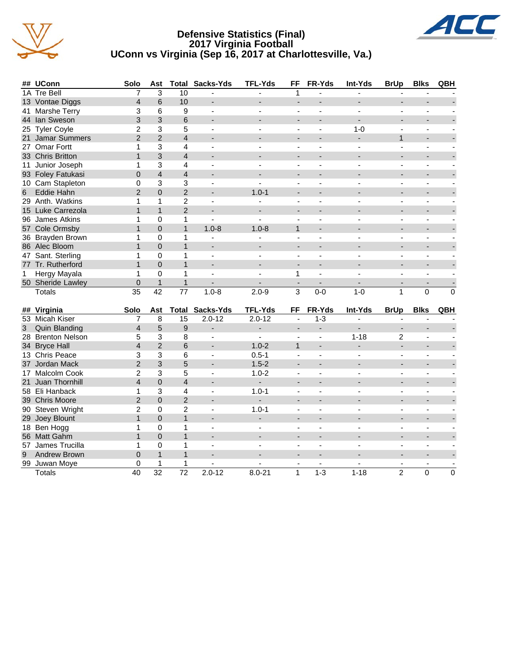





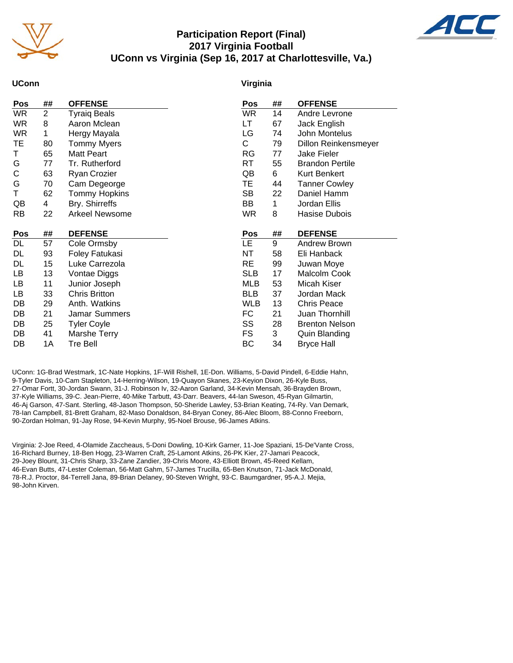

#### **Participation Report (Final) 2017 Virginia Football UConn vs Virginia (Sep 16, 2017 at Charlottesville, Va.)**



#### **UConn**

#### **Virginia**

| <b>OFFENSE</b>         |
|------------------------|
| Andre Levrone          |
| Jack English           |
| John Montelus          |
| Dillon Reinkensmeyer   |
| Jake Fieler            |
| <b>Brandon Pertile</b> |
| <b>Kurt Benkert</b>    |
| <b>Tanner Cowley</b>   |
| Daniel Hamm            |
| Jordan Ellis           |
| Hasise Dubois          |
|                        |
| <b>DEFENSE</b>         |
| Andrew Brown           |
| Eli Hanback            |
| Juwan Moye             |
| Malcolm Cook           |
| Micah Kiser            |
| Jordan Mack            |
| <b>Chris Peace</b>     |
| Juan Thornhill         |
| <b>Brenton Nelson</b>  |
| <b>Quin Blanding</b>   |
|                        |
|                        |

UConn: 1G-Brad Westmark, 1C-Nate Hopkins, 1F-Will Rishell, 1E-Don. Williams, 5-David Pindell, 6-Eddie Hahn, 9-Tyler Davis, 10-Cam Stapleton, 14-Herring-Wilson, 19-Quayon Skanes, 23-Keyion Dixon, 26-Kyle Buss, 27-Omar Fortt, 30-Jordan Swann, 31-J. Robinson Iv, 32-Aaron Garland, 34-Kevin Mensah, 36-Brayden Brown, 37-Kyle Williams, 39-C. Jean-Pierre, 40-Mike Tarbutt, 43-Darr. Beavers, 44-Ian Sweson, 45-Ryan Gilmartin, 46-Aj Garson, 47-Sant. Sterling, 48-Jason Thompson, 50-Sheride Lawley, 53-Brian Keating, 74-Ry. Van Demark, 78-Ian Campbell, 81-Brett Graham, 82-Maso Donaldson, 84-Bryan Coney, 86-Alec Bloom, 88-Conno Freeborn, 90-Zordan Holman, 91-Jay Rose, 94-Kevin Murphy, 95-Noel Brouse, 96-James Atkins.

Virginia: 2-Joe Reed, 4-Olamide Zaccheaus, 5-Doni Dowling, 10-Kirk Garner, 11-Joe Spaziani, 15-De'Vante Cross, 16-Richard Burney, 18-Ben Hogg, 23-Warren Craft, 25-Lamont Atkins, 26-PK Kier, 27-Jamari Peacock, 29-Joey Blount, 31-Chris Sharp, 33-Zane Zandier, 39-Chris Moore, 43-Elliott Brown, 45-Reed Kellam, 46-Evan Butts, 47-Lester Coleman, 56-Matt Gahm, 57-James Trucilla, 65-Ben Knutson, 71-Jack McDonald, 78-R.J. Proctor, 84-Terrell Jana, 89-Brian Delaney, 90-Steven Wright, 93-C. Baumgardner, 95-A.J. Mejia, 98-John Kirven.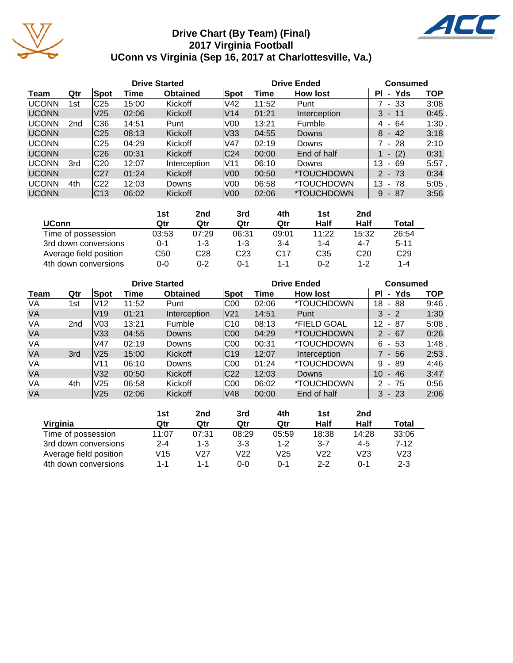

### **Drive Chart (By Team) (Final) 2017 Virginia Football UConn vs Virginia (Sep 16, 2017 at Charlottesville, Va.)**



|              |                 |                 | <b>Drive Started</b> |                 |                  | <b>Drive Ended</b> | <b>Consumed</b> |                                     |            |
|--------------|-----------------|-----------------|----------------------|-----------------|------------------|--------------------|-----------------|-------------------------------------|------------|
| Team         | Qtr             | Spot            | Time                 | <b>Obtained</b> | Spot             | Time               | <b>How lost</b> | Yds<br>ΡI<br>$\blacksquare$         | <b>TOP</b> |
| <b>UCONN</b> | 1st             | C <sub>25</sub> | 15:00                | Kickoff         | V <sub>42</sub>  | 11:52              | Punt            | - 33                                | 3:08       |
| <b>UCONN</b> |                 | V25             | 02:06                | <b>Kickoff</b>  | V14              | 01:21              | Interception    | 3<br>- 11                           | $0:45$ .   |
| <b>UCONN</b> | 2 <sub>nd</sub> | C36             | 14:51                | Punt            | V <sub>0</sub>   | 13:21              | Fumble          | 64<br>4<br>$\overline{\phantom{a}}$ | 1:30       |
| <b>UCONN</b> |                 | C <sub>25</sub> | 08:13                | <b>Kickoff</b>  | V33              | 04:55              | <b>Downs</b>    | 42<br>8<br>$\sim$                   | 3:18       |
| <b>UCONN</b> |                 | C25             | 04:29                | Kickoff         | V47              | 02:19              | Downs           | 7 - 28                              | 2:10       |
| <b>UCONN</b> |                 | C <sub>26</sub> | 00:31                | Kickoff         | C <sub>24</sub>  | 00:00              | End of half     | (2)<br>$\overline{\phantom{a}}$     | 0:31       |
| <b>UCONN</b> | 3rd             | C20             | 12:07                | Interception    | lV11             | 06:10              | Downs           | 13<br>69<br>$\sim$                  | 5:57       |
| <b>UCONN</b> |                 | C <sub>27</sub> | 01:24                | <b>Kickoff</b>  | V <sub>00</sub>  | 00:50              | *TOUCHDOWN      | $-73$<br>$\mathcal{P}$              | 0:34       |
| <b>UCONN</b> | 4th             | IC22            | 12:03                | Downs           | V <sub>0</sub>   | 06:58              | *TOUCHDOWN      | 13<br>- 78                          | 5:05       |
| <b>UCONN</b> |                 | C <sub>13</sub> | 06:02                | Kickoff         | V <sub>0</sub> 0 | 02:06              | *TOUCHDOWN      | 87<br>9<br>$\blacksquare$           | 3:56       |

|                        | 1st   | 2nd     | 3rd     | 4th             | 1st     | 2 <sub>nd</sub> |                 |
|------------------------|-------|---------|---------|-----------------|---------|-----------------|-----------------|
| <b>UConn</b>           | Qtr   | Qtr     | Qtr     | Qtr             | Half    | Half            | Total           |
| Time of possession     | 03:53 | 07:29   | 06:31   | 09:01           | 11:22   | 15:32           | 26:54           |
| 3rd down conversions   | 0-1   | 1-3     | $1 - 3$ | $3 - 4$         | $1 - 4$ | 4-7             | $5 - 11$        |
| Average field position | C50   | C28     | C23     | C <sub>17</sub> | C35     | C <sub>20</sub> | C <sub>29</sub> |
| 4th down conversions   | 0-0   | $0 - 2$ | $0 - 1$ | 1-1             | 0-2     | 1-2             | $1 - 4$         |

|           |                 |                 |       | <b>Drive Started</b> |             |       | <b>Drive Ended</b> | <b>Consumed</b>             |          |
|-----------|-----------------|-----------------|-------|----------------------|-------------|-------|--------------------|-----------------------------|----------|
| Team      | Qtr             | Spot            | Time  | <b>Obtained</b>      | <b>Spot</b> | Time  | <b>How lost</b>    | Yds<br>ΡI<br>$\blacksquare$ | TOP      |
| VA        | 1st             | V12             | 11:52 | Punt                 | C00         | 02:06 | *TOUCHDOWN         | 18<br>88<br>$\sim$          | 9:46     |
| <b>VA</b> |                 | V <sub>19</sub> | 01:21 | Interception         | lV21        | 14:51 | Punt               | $3 - 2$                     | 1:30     |
| VA        | 2 <sub>nd</sub> | V03             | 13:21 | Fumble               | IC10        | 08:13 | *FIELD GOAL        | 12<br>- 87                  | 5:08     |
| <b>VA</b> |                 | V33             | 04:55 | <b>Downs</b>         | IC00        | 04:29 | *TOUCHDOWN         | $2 - 67$                    | 0:26     |
| VA        |                 | V47             | 02:19 | <b>Downs</b>         | C00         | 00:31 | *TOUCHDOWN         | - 53<br>6                   | 1:48     |
| <b>VA</b> | 3rd             | V25             | 15:00 | <b>Kickoff</b>       | C19         | 12:07 | Interception       | 7 - 56                      | $2:53$ . |
| VA        |                 | V <sub>11</sub> | 06:10 | <b>Downs</b>         | C00         | 01:24 | *TOUCHDOWN         | - 89<br>9                   | 4:46     |
| <b>VA</b> |                 | V32             | 00:50 | <b>Kickoff</b>       | C22         | 12:03 | <b>Downs</b>       | 10<br>$-46$                 | 3:47     |
| VA        | 4th             | <b>V25</b>      | 06:58 | Kickoff              | IC00        | 06:02 | *TOUCHDOWN         | $2 - 75$                    | 0:56     |
| <b>VA</b> |                 | V <sub>25</sub> | 02:06 | <b>Kickoff</b>       | V48         | 00:00 | End of half        | $3 - 23$                    | 2:06     |

|                        | 1st     | 2nd   | 3rd   | 4th     | 1st     | 2nd     |         |
|------------------------|---------|-------|-------|---------|---------|---------|---------|
| Virginia               | Qtr     | Qtr   | Qtr   | Qtr     | Half    | Half    | Total   |
| Time of possession     | 11:07   | 07:31 | 08:29 | 05:59   | 18:38   | 14:28   | 33:06   |
| 3rd down conversions   | $2 - 4$ | 1-3   | $3-3$ | $1 - 2$ | $3 - 7$ | 4-5     | 7-12    |
| Average field position | V15     | V27   | V22   | V25     | V22     | V23     | V23     |
| 4th down conversions   | 1-1     | 1-1   | 0-0   | በ-1     | 2-2     | $0 - 1$ | $2 - 3$ |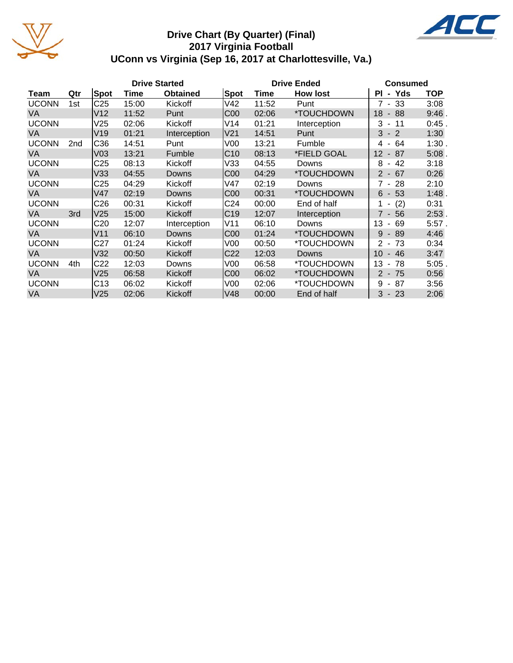

#### **Drive Chart (By Quarter) (Final) 2017 Virginia Football UConn vs Virginia (Sep 16, 2017 at Charlottesville, Va.)**



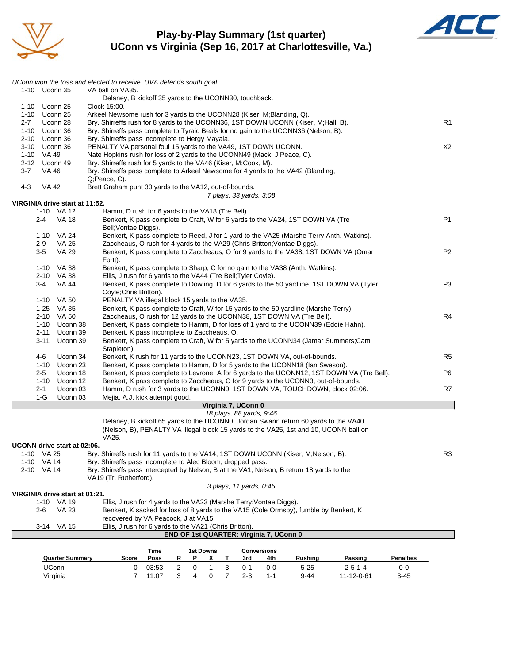

#### **Play-by-Play Summary (1st quarter) UConn vs Virginia (Sep 16, 2017 at Charlottesville, Va.)**



|          |                |                                | UConn won the toss and elected to receive. UVA defends south goal.                                                  |       |                |                     |                  |   |                          |                                         |                                                                                           |                                                                                            |                  |                |
|----------|----------------|--------------------------------|---------------------------------------------------------------------------------------------------------------------|-------|----------------|---------------------|------------------|---|--------------------------|-----------------------------------------|-------------------------------------------------------------------------------------------|--------------------------------------------------------------------------------------------|------------------|----------------|
|          | 1-10 Uconn 35  |                                | VA ball on VA35.                                                                                                    |       |                |                     |                  |   |                          |                                         |                                                                                           |                                                                                            |                  |                |
| 1-10     |                | Uconn 25                       | Delaney, B kickoff 35 yards to the UCONN30, touchback.<br>Clock 15:00.                                              |       |                |                     |                  |   |                          |                                         |                                                                                           |                                                                                            |                  |                |
|          | 1-10 Uconn 25  |                                | Arkeel Newsome rush for 3 yards to the UCONN28 (Kiser, M; Blanding, Q).                                             |       |                |                     |                  |   |                          |                                         |                                                                                           |                                                                                            |                  |                |
| $2 - 7$  |                | Uconn 28                       | Bry. Shirreffs rush for 8 yards to the UCONN36, 1ST DOWN UCONN (Kiser, M;Hall, B).                                  |       |                |                     |                  |   |                          |                                         |                                                                                           |                                                                                            |                  | R <sub>1</sub> |
|          | 1-10 Uconn 36  |                                | Bry. Shirreffs pass complete to Tyraig Beals for no gain to the UCONN36 (Nelson, B).                                |       |                |                     |                  |   |                          |                                         |                                                                                           |                                                                                            |                  |                |
|          | 2-10 Uconn 36  |                                | Bry. Shirreffs pass incomplete to Hergy Mayala.                                                                     |       |                |                     |                  |   |                          |                                         |                                                                                           |                                                                                            |                  |                |
|          | 3-10 Uconn 36  |                                | PENALTY VA personal foul 15 yards to the VA49, 1ST DOWN UCONN.                                                      |       |                |                     |                  |   |                          |                                         |                                                                                           |                                                                                            |                  | X2             |
|          | 1-10 VA 49     |                                | Nate Hopkins rush for loss of 2 yards to the UCONN49 (Mack, J; Peace, C).                                           |       |                |                     |                  |   |                          |                                         |                                                                                           |                                                                                            |                  |                |
| $2 - 12$ |                | Uconn 49                       | Bry. Shirreffs rush for 5 yards to the VA46 (Kiser, M;Cook, M).                                                     |       |                |                     |                  |   |                          |                                         |                                                                                           |                                                                                            |                  |                |
| 3-7      | VA 46          |                                | Bry. Shirreffs pass complete to Arkeel Newsome for 4 yards to the VA42 (Blanding,<br>Q;Peace, C).                   |       |                |                     |                  |   |                          |                                         |                                                                                           |                                                                                            |                  |                |
| 4-3      | <b>VA 42</b>   |                                | Brett Graham punt 30 yards to the VA12, out-of-bounds.                                                              |       |                |                     |                  |   |                          |                                         |                                                                                           |                                                                                            |                  |                |
|          |                |                                |                                                                                                                     |       |                |                     |                  |   | 7 plays, 33 yards, 3:08  |                                         |                                                                                           |                                                                                            |                  |                |
|          |                | VIRGINIA drive start at 11:52. |                                                                                                                     |       |                |                     |                  |   |                          |                                         |                                                                                           |                                                                                            |                  |                |
|          |                | 1-10 VA 12                     | Hamm, D rush for 6 yards to the VA18 (Tre Bell).                                                                    |       |                |                     |                  |   |                          |                                         |                                                                                           |                                                                                            |                  |                |
|          | 2-4            | <b>VA 18</b>                   |                                                                                                                     |       |                |                     |                  |   |                          |                                         | Benkert, K pass complete to Craft, W for 6 yards to the VA24, 1ST DOWN VA (Tre            |                                                                                            |                  | P1             |
|          |                |                                | Bell; Vontae Diggs).                                                                                                |       |                |                     |                  |   |                          |                                         |                                                                                           |                                                                                            |                  |                |
|          |                | 1-10 VA 24                     |                                                                                                                     |       |                |                     |                  |   |                          |                                         | Benkert, K pass complete to Reed, J for 1 yard to the VA25 (Marshe Terry; Anth. Watkins). |                                                                                            |                  |                |
|          | $2-9$<br>$3-5$ | VA 25<br><b>VA 29</b>          | Zaccheaus, O rush for 4 yards to the VA29 (Chris Britton; Vontae Diggs).                                            |       |                |                     |                  |   |                          |                                         | Benkert, K pass complete to Zaccheaus, O for 9 yards to the VA38, 1ST DOWN VA (Omar       |                                                                                            |                  | P <sub>2</sub> |
|          |                |                                | Fortt).                                                                                                             |       |                |                     |                  |   |                          |                                         |                                                                                           |                                                                                            |                  |                |
|          |                | 1-10 VA 38                     |                                                                                                                     |       |                |                     |                  |   |                          |                                         | Benkert, K pass complete to Sharp, C for no gain to the VA38 (Anth. Watkins).             |                                                                                            |                  |                |
|          |                | 2-10 VA 38                     | Ellis, J rush for 6 yards to the VA44 (Tre Bell; Tyler Coyle).                                                      |       |                |                     |                  |   |                          |                                         |                                                                                           |                                                                                            |                  |                |
|          | $3 - 4$        | <b>VA 44</b>                   |                                                                                                                     |       |                |                     |                  |   |                          |                                         | Benkert, K pass complete to Dowling, D for 6 yards to the 50 yardline, 1ST DOWN VA (Tyler |                                                                                            |                  | P <sub>3</sub> |
|          |                |                                | Coyle; Chris Britton).                                                                                              |       |                |                     |                  |   |                          |                                         |                                                                                           |                                                                                            |                  |                |
|          |                | 1-10 VA 50                     | PENALTY VA illegal block 15 yards to the VA35.                                                                      |       |                |                     |                  |   |                          |                                         |                                                                                           |                                                                                            |                  |                |
|          |                | 1-25 VA 35                     |                                                                                                                     |       |                |                     |                  |   |                          |                                         | Benkert, K pass complete to Craft, W for 15 yards to the 50 yardline (Marshe Terry).      |                                                                                            |                  |                |
|          |                | 2-10 VA 50                     |                                                                                                                     |       |                |                     |                  |   |                          |                                         | Zaccheaus, O rush for 12 yards to the UCONN38, 1ST DOWN VA (Tre Bell).                    |                                                                                            |                  | R4             |
|          | 1-10<br>2-11   | Uconn 38<br>Uconn 39           | Benkert, K pass incomplete to Zaccheaus, O.                                                                         |       |                |                     |                  |   |                          |                                         | Benkert, K pass complete to Hamm, D for loss of 1 yard to the UCONN39 (Eddie Hahn).       |                                                                                            |                  |                |
|          | 3-11           | Uconn 39                       |                                                                                                                     |       |                |                     |                  |   |                          |                                         | Benkert, K pass complete to Craft, W for 5 yards to the UCONN34 (Jamar Summers;Cam        |                                                                                            |                  |                |
|          |                |                                | Stapleton).                                                                                                         |       |                |                     |                  |   |                          |                                         |                                                                                           |                                                                                            |                  |                |
|          | 4-6            | Uconn 34                       |                                                                                                                     |       |                |                     |                  |   |                          |                                         | Benkert, K rush for 11 yards to the UCONN23, 1ST DOWN VA, out-of-bounds.                  |                                                                                            |                  | R5             |
|          | 1-10           | Uconn 23                       |                                                                                                                     |       |                |                     |                  |   |                          |                                         | Benkert, K pass complete to Hamm, D for 5 yards to the UCONN18 (Ian Sweson).              |                                                                                            |                  |                |
|          | $2 - 5$        | Uconn 18                       |                                                                                                                     |       |                |                     |                  |   |                          |                                         |                                                                                           | Benkert, K pass complete to Levrone, A for 6 yards to the UCONN12, 1ST DOWN VA (Tre Bell). |                  | P6             |
|          | 1-10           | Uconn 12                       |                                                                                                                     |       |                |                     |                  |   |                          |                                         | Benkert, K pass complete to Zaccheaus, O for 9 yards to the UCONN3, out-of-bounds.        |                                                                                            |                  |                |
|          | 2-1            | Uconn 03                       |                                                                                                                     |       |                |                     |                  |   |                          |                                         | Hamm, D rush for 3 yards to the UCONN0, 1ST DOWN VA, TOUCHDOWN, clock 02:06.              |                                                                                            |                  | R7             |
|          | $1-G$          | Uconn 03                       | Mejia, A.J. kick attempt good.                                                                                      |       |                |                     |                  |   | Virginia 7, UConn 0      |                                         |                                                                                           |                                                                                            |                  |                |
|          |                |                                |                                                                                                                     |       |                |                     |                  |   | 18 plays, 88 yards, 9:46 |                                         |                                                                                           |                                                                                            |                  |                |
|          |                |                                |                                                                                                                     |       |                |                     |                  |   |                          |                                         | Delaney, B kickoff 65 yards to the UCONN0, Jordan Swann return 60 yards to the VA40       |                                                                                            |                  |                |
|          |                |                                |                                                                                                                     |       |                |                     |                  |   |                          |                                         | (Nelson, B), PENALTY VA illegal block 15 yards to the VA25, 1st and 10, UCONN ball on     |                                                                                            |                  |                |
|          |                |                                | VA25.                                                                                                               |       |                |                     |                  |   |                          |                                         |                                                                                           |                                                                                            |                  |                |
|          |                | UCONN drive start at 02:06.    |                                                                                                                     |       |                |                     |                  |   |                          |                                         |                                                                                           |                                                                                            |                  |                |
| $1 - 10$ | VA 25          |                                | Bry. Shirreffs rush for 11 yards to the VA14, 1ST DOWN UCONN (Kiser, M;Nelson, B).                                  |       |                |                     |                  |   |                          |                                         |                                                                                           |                                                                                            |                  | R <sub>3</sub> |
| 1-10     | <b>VA 14</b>   |                                | Bry. Shirreffs pass incomplete to Alec Bloom, dropped pass.                                                         |       |                |                     |                  |   |                          |                                         |                                                                                           |                                                                                            |                  |                |
|          | 2-10 VA 14     |                                | Bry. Shirreffs pass intercepted by Nelson, B at the VA1, Nelson, B return 18 yards to the<br>VA19 (Tr. Rutherford). |       |                |                     |                  |   |                          |                                         |                                                                                           |                                                                                            |                  |                |
|          |                |                                |                                                                                                                     |       |                |                     |                  |   | 3 plays, 11 yards, 0:45  |                                         |                                                                                           |                                                                                            |                  |                |
|          |                | VIRGINIA drive start at 01:21. |                                                                                                                     |       |                |                     |                  |   |                          |                                         |                                                                                           |                                                                                            |                  |                |
|          |                | 1-10 VA 19                     | Ellis, J rush for 4 yards to the VA23 (Marshe Terry; Vontae Diggs).                                                 |       |                |                     |                  |   |                          |                                         |                                                                                           |                                                                                            |                  |                |
|          | 2-6            | <b>VA 23</b>                   |                                                                                                                     |       |                |                     |                  |   |                          |                                         | Benkert, K sacked for loss of 8 yards to the VA15 (Cole Ormsby), fumble by Benkert, K     |                                                                                            |                  |                |
|          |                |                                | recovered by VA Peacock, J at VA15.                                                                                 |       |                |                     |                  |   |                          |                                         |                                                                                           |                                                                                            |                  |                |
|          |                | 3-14 VA 15                     | Ellis, J rush for 6 yards to the VA21 (Chris Britton).                                                              |       |                |                     |                  |   |                          |                                         |                                                                                           |                                                                                            |                  |                |
|          |                |                                |                                                                                                                     |       |                |                     |                  |   |                          | END OF 1st QUARTER: Virginia 7, UConn 0 |                                                                                           |                                                                                            |                  |                |
|          |                |                                |                                                                                                                     | Time  |                |                     | <b>1st Downs</b> |   | <b>Conversions</b>       |                                         |                                                                                           |                                                                                            |                  |                |
|          |                | <b>Quarter Summary</b>         | Score                                                                                                               | Poss  | R              | Ρ                   | x                | Τ | 3rd                      | 4th                                     | Rushing                                                                                   | Passing                                                                                    | <b>Penalties</b> |                |
|          | <b>UConn</b>   |                                | 0                                                                                                                   | 03:53 | $\overline{2}$ | $\mathsf{O}\xspace$ | 1                | 3 | $0 - 1$                  | $0-0$                                   | $5 - 25$                                                                                  | $2 - 5 - 1 - 4$                                                                            | $0-0$            |                |

Virginia 7 11:07 3 4 0 7 2-3 1-1 9-44 11-12-0-61 3-45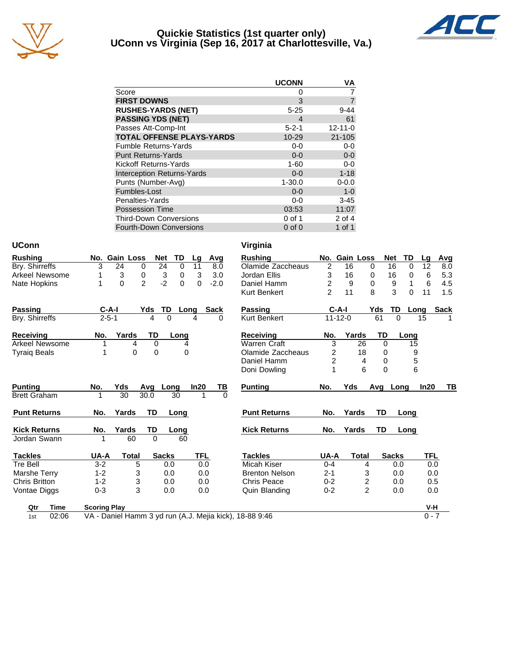

#### **Quickie Statistics (1st quarter only) UConn vs Virginia (Sep 16, 2017 at Charlottesville, Va.)**



|                                   | <b>UCONN</b> | VA             |
|-----------------------------------|--------------|----------------|
| Score                             | 0            |                |
| <b>FIRST DOWNS</b>                | 3            | $\overline{7}$ |
| <b>RUSHES-YARDS (NET)</b>         | $5 - 25$     | $9 - 44$       |
| <b>PASSING YDS (NET)</b>          | 4            | 61             |
| Passes Att-Comp-Int               | $5 - 2 - 1$  | $12 - 11 - 0$  |
| <b>TOTAL OFFENSE PLAYS-YARDS</b>  | 10-29        | 21-105         |
| <b>Fumble Returns-Yards</b>       | $0-0$        | $0-0$          |
| <b>Punt Returns-Yards</b>         | $0 - 0$      | $0-0$          |
| Kickoff Returns-Yards             | $1 - 60$     | $0-0$          |
| <b>Interception Returns-Yards</b> | $0 - 0$      | $1 - 18$       |
| Punts (Number-Avg)                | $1 - 30.0$   | $0 - 0.0$      |
| Fumbles-Lost                      | $0 - 0$      | $1 - 0$        |
| Penalties-Yards                   | $0-0$        | $3 - 45$       |
| <b>Possession Time</b>            | 03:53        | 11:07          |
| <b>Third-Down Conversions</b>     | $0$ of 1     | 2 of 4         |
| <b>Fourth-Down Conversions</b>    | $0$ of $0$   | $1$ of $1$     |

| <b>UConn</b>          |                     |               |              |             |            |             | Virginia                                                |                         |               |                |              |          |             |     |
|-----------------------|---------------------|---------------|--------------|-------------|------------|-------------|---------------------------------------------------------|-------------------------|---------------|----------------|--------------|----------|-------------|-----|
| <b>Rushing</b>        |                     | No. Gain Loss | <b>Net</b>   | TD          | Lg         | Avg         | <b>Rushing</b>                                          |                         | No. Gain Loss |                | <b>Net</b>   | TD       | Lg          | Avg |
| Bry. Shirreffs        | 3                   | 24<br>0       | 24           | 0           | 11         | 8.0         | Olamide Zaccheaus                                       | $\overline{2}$          | 16            | 0              | 16           | 0        | 12          | 8.0 |
| <b>Arkeel Newsome</b> |                     | 3<br>0        | 3            | $\mathbf 0$ | 3          | 3.0         | Jordan Ellis                                            | 3                       | 16            | 0              | 16           | 0        | 6           | 5.3 |
| Nate Hopkins          | 1                   | 2<br>$\Omega$ | $-2$         | $\Omega$    | $\Omega$   | $-2.0$      | Daniel Hamm                                             | $\overline{\mathbf{c}}$ | 9             | 0              | 9            | 1        | 6           | 4.5 |
|                       |                     |               |              |             |            |             | <b>Kurt Benkert</b>                                     | $\overline{2}$          | 11            | 8              | 3            | $\Omega$ | 11          | 1.5 |
| <b>Passing</b>        | $C-A-I$             |               | Yds          | TD          | Long       | <b>Sack</b> | <b>Passing</b>                                          |                         | $C-A-I$       | Yds            | TD           | Long     | <b>Sack</b> |     |
| Bry. Shirreffs        | $2 - 5 - 1$         |               | 4            | $\Omega$    | 4          | $\Omega$    | <b>Kurt Benkert</b>                                     |                         | $11 - 12 - 0$ | 61             | $\Omega$     |          | 15          |     |
| <b>Receiving</b>      | No.                 | Yards         | <b>TD</b>    | Long        |            |             | <b>Receiving</b>                                        | No.                     | Yards         |                | TD           | Long     |             |     |
| <b>Arkeel Newsome</b> |                     | 4             | 0            | 4           |            |             | <b>Warren Craft</b>                                     | 3                       |               | 26             | $\mathbf 0$  | 15       |             |     |
| <b>Tyraig Beals</b>   | 1                   | $\mathbf{0}$  | 0            | 0           |            |             | Olamide Zaccheaus                                       | 2                       |               | 18             | $\Omega$     | 9        |             |     |
|                       |                     |               |              |             |            |             | Daniel Hamm                                             | $\overline{c}$          |               | 4              | 0            | 5        |             |     |
|                       |                     |               |              |             |            |             | Doni Dowling                                            | 1                       |               | 6              | $\Omega$     | 6        |             |     |
| <b>Punting</b>        | No.                 | Yds           | Avg          | Long        | In20       | <u>ТВ</u>   | <b>Punting</b>                                          | No.                     | Yds           |                | Avg Long     |          | In20        | ΤВ  |
| <b>Brett Graham</b>   | 1                   | 30            | 30.0         | 30          | 1          | $\Omega$    |                                                         |                         |               |                |              |          |             |     |
| <b>Punt Returns</b>   | No.                 | Yards         | TD           | Long        |            |             | <b>Punt Returns</b>                                     | No.                     | Yards         |                | TD.          | Long     |             |     |
| <b>Kick Returns</b>   | No.                 | Yards         | TD           | Long        |            |             | <b>Kick Returns</b>                                     | No.                     | Yards         |                | TD           | Long     |             |     |
| Jordan Swann          |                     | 60            | $\Omega$     | 60          |            |             |                                                         |                         |               |                |              |          |             |     |
| <b>Tackles</b>        | UA-A                | <b>Total</b>  | <b>Sacks</b> |             | <b>TFL</b> |             | <b>Tackles</b>                                          | UA-A                    |               | <b>Total</b>   | <b>Sacks</b> |          | TFL         |     |
| <b>Tre Bell</b>       | $3 - 2$             | 5             |              | 0.0         |            | 0.0         | Micah Kiser                                             | $0 - 4$                 |               | 4              | 0.0          |          | 0.0         |     |
| Marshe Terry          | $1 - 2$             | 3             |              | 0.0         |            | 0.0         | <b>Brenton Nelson</b>                                   | $2 - 1$                 |               | 3              | 0.0          |          | 0.0         |     |
| <b>Chris Britton</b>  | $1 - 2$             | 3             |              | 0.0         |            | 0.0         | <b>Chris Peace</b>                                      | $0 - 2$                 |               | 2              | 0.0          |          | 0.5         |     |
| Vontae Diggs          | $0 - 3$             | 3             |              | 0.0         | 0.0        |             | Quin Blanding                                           | $0 - 2$                 |               | $\overline{2}$ | 0.0          |          | 0.0         |     |
| <b>Time</b><br>Qtr    | <b>Scoring Play</b> |               |              |             |            |             |                                                         |                         |               |                |              |          | V-H         |     |
| 02:06<br>1st          |                     |               |              |             |            |             | VA - Daniel Hamm 3 yd run (A.J. Mejia kick), 18-88 9:46 |                         |               |                |              |          | $0 - 7$     |     |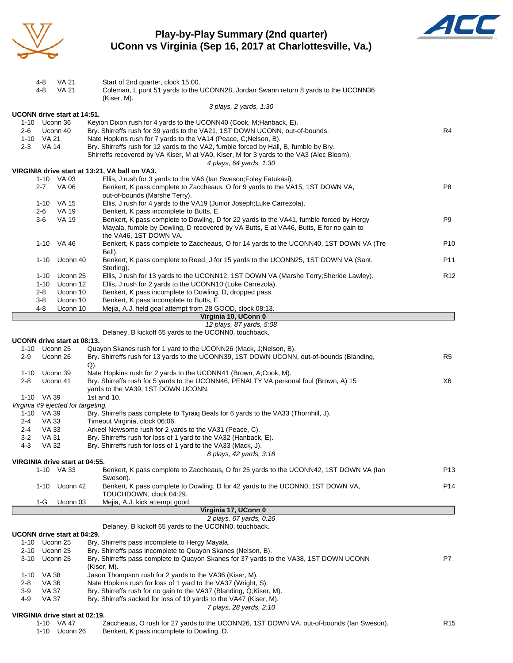

#### **Play-by-Play Summary (2nd quarter) UConn vs Virginia (Sep 16, 2017 at Charlottesville, Va.)**



|            | 4-8<br>4-8          | VA 21<br><b>VA 21</b>              | Start of 2nd quarter, clock 15:00.<br>Coleman, L punt 51 yards to the UCONN28, Jordan Swann return 8 yards to the UCONN36                                       |                 |
|------------|---------------------|------------------------------------|-----------------------------------------------------------------------------------------------------------------------------------------------------------------|-----------------|
|            |                     |                                    | (Kiser, M).                                                                                                                                                     |                 |
|            |                     |                                    | 3 plays, 2 yards, 1:30                                                                                                                                          |                 |
|            |                     | UCONN drive start at 14:51.        |                                                                                                                                                                 |                 |
|            | 1-10 Uconn 36       |                                    | Keyion Dixon rush for 4 yards to the UCONN40 (Cook, M; Hanback, E).                                                                                             |                 |
| 2-6        | 1-10 VA 21          | Uconn 40                           | Bry. Shirreffs rush for 39 yards to the VA21, 1ST DOWN UCONN, out-of-bounds.<br>Nate Hopkins rush for 7 yards to the VA14 (Peace, C;Nelson, B).                 | R4              |
| $2 - 3$    | VA 14               |                                    | Bry. Shirreffs rush for 12 yards to the VA2, fumble forced by Hall, B, fumble by Bry.                                                                           |                 |
|            |                     |                                    | Shirreffs recovered by VA Kiser, M at VA0, Kiser, M for 3 yards to the VA3 (Alec Bloom).                                                                        |                 |
|            |                     |                                    | 4 plays, 64 yards, 1:30                                                                                                                                         |                 |
|            |                     |                                    | VIRGINIA drive start at 13:21, VA ball on VA3.                                                                                                                  |                 |
|            |                     | 1-10 VA 03                         | Ellis, J rush for 3 yards to the VA6 (Ian Sweson; Foley Fatukasi).                                                                                              |                 |
|            | $2 - 7$             | <b>VA 06</b>                       | Benkert, K pass complete to Zaccheaus, O for 9 yards to the VA15, 1ST DOWN VA,<br>out-of-bounds (Marshe Terry).                                                 | P8              |
|            |                     | 1-10 VA 15                         | Ellis, J rush for 4 yards to the VA19 (Junior Joseph; Luke Carrezola).                                                                                          |                 |
|            | 2-6                 | VA 19                              | Benkert, K pass incomplete to Butts, E.                                                                                                                         |                 |
|            | $3-6$               | <b>VA 19</b>                       | Benkert, K pass complete to Dowling, D for 22 yards to the VA41, fumble forced by Hergy                                                                         | P9              |
|            |                     |                                    | Mayala, fumble by Dowling, D recovered by VA Butts, E at VA46, Butts, E for no gain to<br>the VA46, 1ST DOWN VA.                                                |                 |
|            |                     | 1-10 VA 46                         | Benkert, K pass complete to Zaccheaus, O for 14 yards to the UCONN40, 1ST DOWN VA (Tre<br>Bell).                                                                | P <sub>10</sub> |
|            |                     | 1-10 Uconn 40                      | Benkert, K pass complete to Reed, J for 15 yards to the UCONN25, 1ST DOWN VA (Sant.<br>Sterling).                                                               | P11             |
|            | 1-10                | Uconn 25                           | Ellis, J rush for 13 yards to the UCONN12, 1ST DOWN VA (Marshe Terry; Sheride Lawley).                                                                          | R <sub>12</sub> |
|            | 1-10                | Uconn 12                           | Ellis, J rush for 2 yards to the UCONN10 (Luke Carrezola).                                                                                                      |                 |
|            | 2-8<br>$3-8$        | Uconn 10<br>Uconn 10               | Benkert, K pass incomplete to Dowling, D, dropped pass.<br>Benkert, K pass incomplete to Butts, E.                                                              |                 |
|            | 4-8                 | Uconn 10                           | Mejia, A.J. field goal attempt from 28 GOOD, clock 08:13.                                                                                                       |                 |
|            |                     |                                    | Virginia 10, UConn 0                                                                                                                                            |                 |
|            |                     |                                    | 12 plays, 87 yards, 5:08                                                                                                                                        |                 |
|            |                     |                                    | Delaney, B kickoff 65 yards to the UCONN0, touchback.                                                                                                           |                 |
|            |                     | UCONN drive start at 08:13.        |                                                                                                                                                                 |                 |
| $2-9$      | 1-10 Uconn 25       | Uconn 26                           | Quayon Skanes rush for 1 yard to the UCONN26 (Mack, J; Nelson, B).<br>Bry. Shirreffs rush for 13 yards to the UCONN39, 1ST DOWN UCONN, out-of-bounds (Blanding, | R <sub>5</sub>  |
| 1-10       |                     | Uconn 39                           | Q).<br>Nate Hopkins rush for 2 yards to the UCONN41 (Brown, A;Cook, M).                                                                                         |                 |
| $2 - 8$    |                     | Uconn 41                           | Bry. Shirreffs rush for 5 yards to the UCONN46, PENALTY VA personal foul (Brown, A) 15                                                                          | X6              |
|            |                     |                                    | yards to the VA39, 1ST DOWN UCONN.                                                                                                                              |                 |
|            | 1-10 VA 39          |                                    | 1st and 10.                                                                                                                                                     |                 |
|            |                     | Virginia #9 ejected for targeting. |                                                                                                                                                                 |                 |
| 2-4        | 1-10 VA 39<br>VA 33 |                                    | Bry. Shirreffs pass complete to Tyraiq Beals for 6 yards to the VA33 (Thornhill, J).<br>Timeout Virginia, clock 06:06.                                          |                 |
| 2-4        | VA 33               |                                    | Arkeel Newsome rush for 2 yards to the VA31 (Peace, C).                                                                                                         |                 |
| 3-2        | VA 31               |                                    | Bry. Shirreffs rush for loss of 1 yard to the VA32 (Hanback, E).                                                                                                |                 |
| $4 - 3$    | <b>VA 32</b>        |                                    | Bry. Shirreffs rush for loss of 1 yard to the VA33 (Mack, J).                                                                                                   |                 |
|            |                     |                                    | 8 plays, 42 yards, 3:18                                                                                                                                         |                 |
|            |                     | VIRGINIA drive start at 04:55.     |                                                                                                                                                                 |                 |
|            |                     | 1-10 VA 33                         | Benkert, K pass complete to Zaccheaus, O for 25 yards to the UCONN42, 1ST DOWN VA (lan<br>Sweson).                                                              | P <sub>13</sub> |
|            |                     | 1-10 Uconn 42                      | Benkert, K pass complete to Dowling, D for 42 yards to the UCONN0, 1ST DOWN VA,<br>TOUCHDOWN, clock 04:29.                                                      | P <sub>14</sub> |
|            | 1-G                 | Uconn 03                           | Mejia, A.J. kick attempt good.                                                                                                                                  |                 |
|            |                     |                                    | Virginia 17, UConn 0                                                                                                                                            |                 |
|            |                     |                                    | 2 plays, 67 yards, 0:26                                                                                                                                         |                 |
|            |                     | UCONN drive start at 04:29.        | Delaney, B kickoff 65 yards to the UCONN0, touchback.                                                                                                           |                 |
| 1-10       |                     | Uconn 25                           | Bry. Shirreffs pass incomplete to Hergy Mayala.                                                                                                                 |                 |
|            | 2-10 Uconn 25       |                                    | Bry. Shirreffs pass incomplete to Quayon Skanes (Nelson, B).                                                                                                    |                 |
| 3-10       |                     | Uconn 25                           | Bry. Shirreffs pass complete to Quayon Skanes for 37 yards to the VA38, 1ST DOWN UCONN                                                                          | P7              |
|            |                     |                                    | (Kiser, M).                                                                                                                                                     |                 |
|            | 1-10 VA 38          |                                    | Jason Thompson rush for 2 yards to the VA36 (Kiser, M).                                                                                                         |                 |
| 2-8<br>3-9 | VA 36<br>VA 37      |                                    | Nate Hopkins rush for loss of 1 yard to the VA37 (Wright, S).<br>Bry. Shirreffs rush for no gain to the VA37 (Blanding, Q;Kiser, M).                            |                 |
| 4-9        | <b>VA 37</b>        |                                    | Bry. Shirreffs sacked for loss of 10 yards to the VA47 (Kiser, M).                                                                                              |                 |
|            |                     |                                    | 7 plays, 28 yards, 2:10                                                                                                                                         |                 |
|            |                     | VIRGINIA drive start at 02:19.     |                                                                                                                                                                 |                 |
|            |                     | 1-10 VA 47                         | Zaccheaus, O rush for 27 yards to the UCONN26, 1ST DOWN VA, out-of-bounds (lan Sweson).                                                                         | R <sub>15</sub> |
|            |                     | 1-10 Uconn 26                      | Benkert, K pass incomplete to Dowling, D.                                                                                                                       |                 |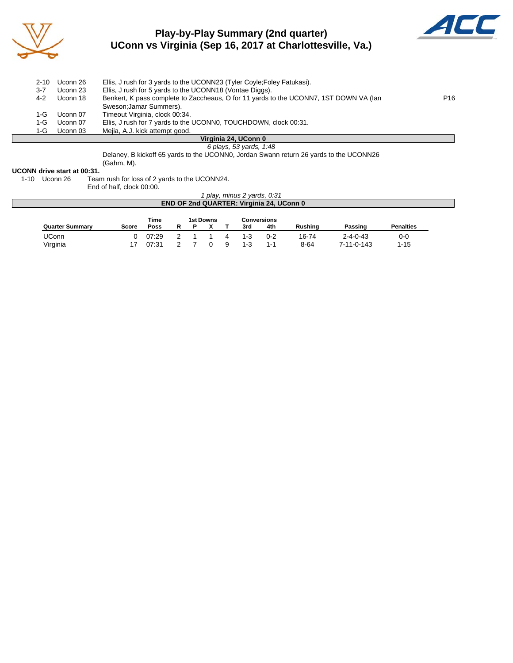

### **Play-by-Play Summary (2nd quarter) UConn vs Virginia (Sep 16, 2017 at Charlottesville, Va.)**



| $2 - 10$ | Uconn 26 | Ellis, J rush for 3 yards to the UCONN23 (Tyler Coyle; Foley Fatukasi).               |                 |
|----------|----------|---------------------------------------------------------------------------------------|-----------------|
| 3-7      | Uconn 23 | Ellis, J rush for 5 yards to the UCONN18 (Vontae Diggs).                              |                 |
| 4-2      | Uconn 18 | Benkert, K pass complete to Zaccheaus, O for 11 yards to the UCONN7, 1ST DOWN VA (lan | P <sub>16</sub> |
|          |          | Sweson; Jamar Summers).                                                               |                 |
| 1-G.     | Uconn 07 | Timeout Virginia, clock 00:34.                                                        |                 |
| 1-G.     | Uconn 07 | Ellis, J rush for 7 yards to the UCONN0, TOUCHDOWN, clock 00:31.                      |                 |
| 1-G.     | Uconn 03 | Mejia, A.J. kick attempt good.                                                        |                 |
|          |          |                                                                                       |                 |

#### **Virginia 24, UConn 0**

*6 plays, 53 yards, 1:48* Delaney, B kickoff 65 yards to the UCONN0, Jordan Swann return 26 yards to the UCONN26 (Gahm, M).

# **UCONN drive start at 00:31.**<br>1-10 Uconn 26 Tear

Team rush for loss of 2 yards to the UCONN24.

End of half, clock 00:00.

#### *1 play, minus 2 yards, 0:31* **END OF 2nd QUARTER: Virginia 24, UConn 0**

|                        |       | Time  |   | 1st Downs |         | Conversions |                |                  |                  |
|------------------------|-------|-------|---|-----------|---------|-------------|----------------|------------------|------------------|
| <b>Quarter Summary</b> | Score | Poss  | R |           | 3rd     | 4th         | <b>Rushing</b> | Passing          | <b>Penalties</b> |
| UConn                  |       | 07:29 |   |           | $1 - 3$ | $0 - 2$     | 16-74          | $2 - 4 - 0 - 43$ | 0-0              |
| Virginia               |       | 07:31 |   |           | 1-3     | 1-1         | 8-64           | 7-11-0-143       | . 15             |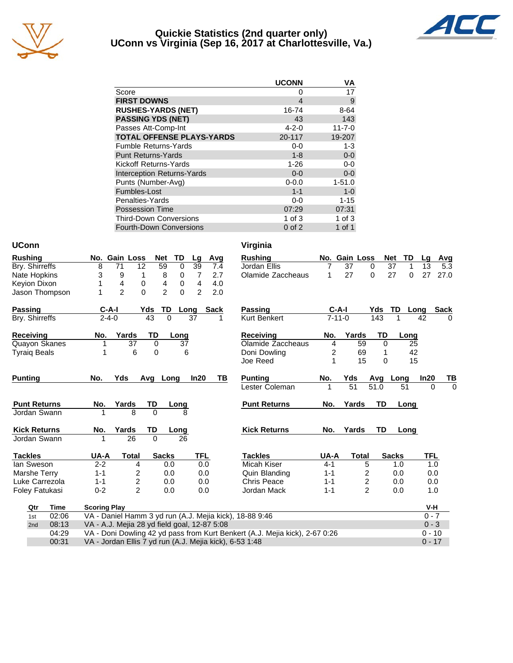

#### **Quickie Statistics (2nd quarter only) UConn vs Virginia (Sep 16, 2017 at Charlottesville, Va.)**



|                                   | <b>UCONN</b> | VA           |
|-----------------------------------|--------------|--------------|
| Score                             | Ω            | 17           |
| <b>FIRST DOWNS</b>                | 4            | 9            |
| <b>RUSHES-YARDS (NET)</b>         | 16-74        | $8 - 64$     |
| <b>PASSING YDS (NET)</b>          | 43           | 143          |
| Passes Att-Comp-Int               | $4 - 2 - 0$  | $11 - 7 - 0$ |
| <b>TOTAL OFFENSE PLAYS-YARDS</b>  | 20-117       | 19-207       |
| <b>Fumble Returns-Yards</b>       | $0-0$        | $1 - 3$      |
| <b>Punt Returns-Yards</b>         | $1 - 8$      | $0-0$        |
| Kickoff Returns-Yards             | $1 - 26$     | $0 - 0$      |
| <b>Interception Returns-Yards</b> | $0 - 0$      | $0-0$        |
| Punts (Number-Avg)                | $0 - 0.0$    | $1 - 51.0$   |
| Fumbles-Lost                      | $1 - 1$      | $1 - 0$      |
| Penalties-Yards                   | $0-0$        | $1 - 15$     |
| <b>Possession Time</b>            | 07:29        | 07:31        |
| <b>Third-Down Conversions</b>     | 1 of $3$     | $1$ of $3$   |
| Fourth-Down Conversions           | $0$ of $2$   | $1$ of $1$   |

| <b>UConn</b>        |       |                     |                                              |              |                     |                |      | Virginia                                                                    |         |               |                         |           |                  |            |             |
|---------------------|-------|---------------------|----------------------------------------------|--------------|---------------------|----------------|------|-----------------------------------------------------------------------------|---------|---------------|-------------------------|-----------|------------------|------------|-------------|
| <b>Rushing</b>      |       |                     | No. Gain Loss                                | <b>Net</b>   | TD                  | Lg             | Avg  | <b>Rushing</b>                                                              |         | No. Gain Loss |                         |           | <b>Net</b><br>TD | Lg         | Avg         |
| Bry. Shirreffs      |       | 8                   | 12<br>71                                     | 59           | $\mathbf 0$         | 39             | 7.4  | Jordan Ellis                                                                | 7       | 37            | 0                       |           | 37<br>1          | 13         | 5.3         |
| Nate Hopkins        |       | 3                   | 9                                            | 8<br>1       | 0                   | $\overline{7}$ | 2.7  | Olamide Zaccheaus                                                           | 1       | 27            | 0                       |           | 27<br>$\Omega$   | 27         | 27.0        |
| Keyion Dixon        |       | 1                   | $\overline{4}$                               | 4<br>0       | 0                   | 4              | 4.0  |                                                                             |         |               |                         |           |                  |            |             |
| Jason Thompson      |       |                     | $\overline{2}$                               | $\Omega$     | $\overline{2}$<br>0 | $\overline{2}$ | 2.0  |                                                                             |         |               |                         |           |                  |            |             |
| Passing             |       | $C-A-I$             |                                              | Yds          | TD                  | Long           | Sack | <b>Passing</b>                                                              |         | $C-A-I$       |                         | Yds       | TD               | Long       | <b>Sack</b> |
| Bry. Shirreffs      |       | $2 - 4 - 0$         |                                              | 43           | $\Omega$            | 37             | 1    | <b>Kurt Benkert</b>                                                         |         | $7 - 11 - 0$  |                         | 143       |                  | 42         | $\Omega$    |
| <b>Receiving</b>    |       | No.                 | Yards                                        | TD           | Long                |                |      | <b>Receiving</b>                                                            | No.     | Yards         |                         | TD        | Long             |            |             |
| Quayon Skanes       |       | 1                   | 37                                           | 0            | 37                  |                |      | Olamide Zaccheaus                                                           | 4       |               | 59                      | 0         | 25               |            |             |
| <b>Tyraig Beals</b> |       | 1                   | 6                                            | $\Omega$     |                     | 6              |      | Doni Dowling                                                                | 2       |               | 69                      | 1         |                  | 42         |             |
|                     |       |                     |                                              |              |                     |                |      | Joe Reed                                                                    | 1       |               | 15                      | $\Omega$  |                  | 15         |             |
| <b>Punting</b>      |       | No.                 | Yds                                          | Avg          | Long                | In20           | TВ   | <b>Punting</b>                                                              | No.     | Yds           |                         | Avg       | Long             | In20       | TВ          |
|                     |       |                     |                                              |              |                     |                |      | Lester Coleman                                                              |         | 51            |                         | 51.0      | 51               | $\Omega$   | $\Omega$    |
| <b>Punt Returns</b> |       | No.                 | Yards                                        | TD           | Long                |                |      | <b>Punt Returns</b>                                                         | No.     | Yards         |                         | <b>TD</b> | Long             |            |             |
| Jordan Swann        |       |                     | 8                                            | $\Omega$     | 8                   |                |      |                                                                             |         |               |                         |           |                  |            |             |
| <b>Kick Returns</b> |       | No.                 | Yards                                        | TD           | Long                |                |      | <b>Kick Returns</b>                                                         | No.     | Yards         |                         | TD        | Long             |            |             |
| Jordan Swann        |       | 1                   | 26                                           | $\Omega$     | 26                  |                |      |                                                                             |         |               |                         |           |                  |            |             |
| <b>Tackles</b>      |       | UA-A                | <b>Total</b>                                 | <b>Sacks</b> |                     | <b>TFL</b>     |      | <b>Tackles</b>                                                              | UA-A    |               | <b>Total</b>            |           | <b>Sacks</b>     | <b>TFL</b> |             |
| lan Sweson          |       | $2 - 2$             | 4                                            |              | 0.0                 | 0.0            |      | <b>Micah Kiser</b>                                                          | $4 - 1$ |               | 5                       |           | 1.0              | 1.0        |             |
| Marshe Terry        |       | $1 - 1$             | 2                                            |              | 0.0                 | 0.0            |      | Quin Blanding                                                               | $1 - 1$ |               | 2                       |           | 0.0              | 0.0        |             |
| Luke Carrezola      |       | $1 - 1$             | 2                                            |              | 0.0                 | 0.0            |      | <b>Chris Peace</b>                                                          | $1 - 1$ |               | $\overline{\mathbf{c}}$ |           | 0.0              | 0.0        |             |
| Foley Fatukasi      |       | $0 - 2$             | $\overline{2}$                               |              | 0.0                 | 0.0            |      | Jordan Mack                                                                 | $1 - 1$ |               | $\overline{2}$          |           | 0.0              | 1.0        |             |
| Qtr                 | Time  | <b>Scoring Play</b> |                                              |              |                     |                |      |                                                                             |         |               |                         |           |                  | V-H        |             |
| 1st                 | 02:06 |                     |                                              |              |                     |                |      | VA - Daniel Hamm 3 yd run (A.J. Mejia kick), 18-88 9:46                     |         |               |                         |           |                  | $0 - 7$    |             |
| 2nd                 | 08:13 |                     | VA - A.J. Mejia 28 yd field goal, 12-87 5:08 |              |                     |                |      |                                                                             |         |               |                         |           |                  | $0 - 3$    |             |
|                     | 04:29 |                     |                                              |              |                     |                |      | VA - Doni Dowling 42 yd pass from Kurt Benkert (A.J. Mejia kick), 2-67 0:26 |         |               |                         |           |                  | $0 - 10$   |             |
|                     | 00:31 |                     |                                              |              |                     |                |      | VA - Jordan Ellis 7 yd run (A.J. Mejia kick), 6-53 1:48                     |         |               |                         |           |                  | $0 - 17$   |             |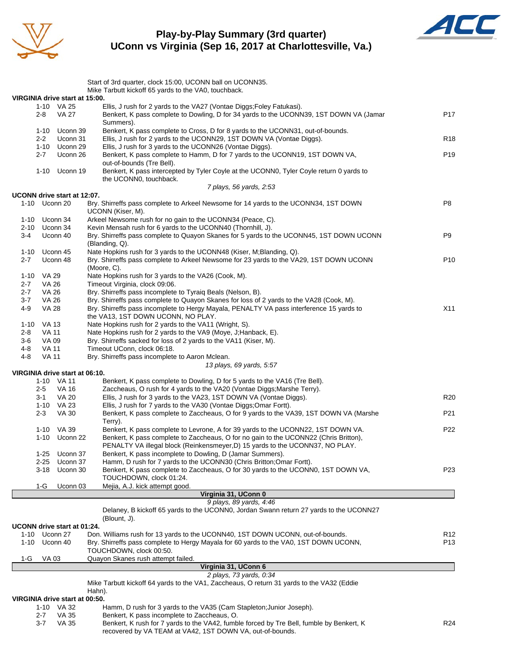

#### **Play-by-Play Summary (3rd quarter) UConn vs Virginia (Sep 16, 2017 at Charlottesville, Va.)**



|             |                       |                                | Start of 3rd quarter, clock 15:00, UCONN ball on UCONN35.                                                                                                 |                 |
|-------------|-----------------------|--------------------------------|-----------------------------------------------------------------------------------------------------------------------------------------------------------|-----------------|
|             |                       |                                | Mike Tarbutt kickoff 65 yards to the VA0, touchback.                                                                                                      |                 |
|             |                       | VIRGINIA drive start at 15:00. | Ellis, J rush for 2 yards to the VA27 (Vontae Diggs; Foley Fatukasi).                                                                                     |                 |
|             | 2-8                   | 1-10 VA 25<br>VA 27            | Benkert, K pass complete to Dowling, D for 34 yards to the UCONN39, 1ST DOWN VA (Jamar<br>Summers).                                                       | P <sub>17</sub> |
|             | 1-10                  | Uconn 39                       | Benkert, K pass complete to Cross, D for 8 yards to the UCONN31, out-of-bounds.                                                                           |                 |
|             | $2 - 2$               | Uconn 31<br>1-10 Uconn 29      | Ellis, J rush for 2 yards to the UCONN29, 1ST DOWN VA (Vontae Diggs).<br>Ellis, J rush for 3 yards to the UCONN26 (Vontae Diggs).                         | R <sub>18</sub> |
|             | 2-7                   | Uconn 26                       | Benkert, K pass complete to Hamm, D for 7 yards to the UCONN19, 1ST DOWN VA,                                                                              | P <sub>19</sub> |
|             |                       |                                | out-of-bounds (Tre Bell).                                                                                                                                 |                 |
|             |                       | 1-10 Uconn 19                  | Benkert, K pass intercepted by Tyler Coyle at the UCONN0, Tyler Coyle return 0 yards to<br>the UCONN0, touchback.                                         |                 |
|             |                       |                                | 7 plays, 56 yards, 2:53                                                                                                                                   |                 |
|             |                       | UCONN drive start at 12:07.    |                                                                                                                                                           |                 |
|             | 1-10 Uconn 20         |                                | Bry. Shirreffs pass complete to Arkeel Newsome for 14 yards to the UCONN34, 1ST DOWN<br>UCONN (Kiser, M).                                                 | P8              |
|             | 1-10 Uconn 34         |                                | Arkeel Newsome rush for no gain to the UCONN34 (Peace, C).                                                                                                |                 |
| 2-10<br>3-4 |                       | Uconn 34<br>Uconn 40           | Kevin Mensah rush for 6 yards to the UCONN40 (Thornhill, J).<br>Bry. Shirreffs pass complete to Quayon Skanes for 5 yards to the UCONN45, 1ST DOWN UCONN  | P9              |
|             |                       |                                | (Blanding, Q).                                                                                                                                            |                 |
| 1-10        |                       | Uconn 45                       | Nate Hopkins rush for 3 yards to the UCONN48 (Kiser, M;Blanding, Q).                                                                                      |                 |
| 2-7         |                       | Uconn 48                       | Bry. Shirreffs pass complete to Arkeel Newsome for 23 yards to the VA29, 1ST DOWN UCONN<br>(Moore, C).                                                    | P <sub>10</sub> |
|             | 1-10 VA 29            |                                | Nate Hopkins rush for 3 yards to the VA26 (Cook, M).                                                                                                      |                 |
| 2-7         | <b>VA 26</b>          |                                | Timeout Virginia, clock 09:06.                                                                                                                            |                 |
| 2-7<br>3-7  | VA 26<br>VA 26        |                                | Bry. Shirreffs pass incomplete to Tyraiq Beals (Nelson, B).<br>Bry. Shirreffs pass complete to Quayon Skanes for loss of 2 yards to the VA28 (Cook, M).   |                 |
| 4-9         | <b>VA 28</b>          |                                | Bry. Shirreffs pass incomplete to Hergy Mayala, PENALTY VA pass interference 15 yards to                                                                  | X11             |
|             |                       |                                | the VA13, 1ST DOWN UCONN, NO PLAY.                                                                                                                        |                 |
| 1-10        | VA 13                 |                                | Nate Hopkins rush for 2 yards to the VA11 (Wright, S).                                                                                                    |                 |
| 2-8         | VA 11                 |                                | Nate Hopkins rush for 2 yards to the VA9 (Moye, J; Hanback, E).                                                                                           |                 |
| 3-6<br>4-8  | VA 09<br><b>VA 11</b> |                                | Bry. Shirreffs sacked for loss of 2 yards to the VA11 (Kiser, M).<br>Timeout UConn, clock 06:18.                                                          |                 |
| 4-8         | VA 11                 |                                | Bry. Shirreffs pass incomplete to Aaron Mclean.                                                                                                           |                 |
|             |                       |                                | 13 plays, 69 yards, 5:57                                                                                                                                  |                 |
|             |                       | VIRGINIA drive start at 06:10. |                                                                                                                                                           |                 |
|             |                       | 1-10 VA 11                     | Benkert, K pass complete to Dowling, D for 5 yards to the VA16 (Tre Bell).                                                                                |                 |
|             | 2-5<br>3-1            | VA 16<br><b>VA 20</b>          | Zaccheaus, O rush for 4 yards to the VA20 (Vontae Diggs; Marshe Terry).<br>Ellis, J rush for 3 yards to the VA23, 1ST DOWN VA (Vontae Diggs).             | R <sub>20</sub> |
|             |                       | 1-10 VA 23                     | Ellis, J rush for 7 yards to the VA30 (Vontae Diggs; Omar Fortt).                                                                                         |                 |
|             | $2 - 3$               | <b>VA 30</b>                   | Benkert, K pass complete to Zaccheaus, O for 9 yards to the VA39, 1ST DOWN VA (Marshe                                                                     | P21             |
|             |                       | 1-10 VA 39                     | Terry).<br>Benkert, K pass complete to Levrone, A for 39 yards to the UCONN22, 1ST DOWN VA.                                                               | P22             |
|             |                       | 1-10 Uconn 22                  | Benkert, K pass complete to Zaccheaus, O for no gain to the UCONN22 (Chris Britton),                                                                      |                 |
|             |                       |                                | PENALTY VA illegal block (Reinkensmeyer, D) 15 yards to the UCONN37, NO PLAY.                                                                             |                 |
|             | $1 - 25$              | Uconn 37                       | Benkert, K pass incomplete to Dowling, D (Jamar Summers).                                                                                                 |                 |
|             | $2 - 25$<br>$3 - 18$  | Uconn 37<br>Uconn 30           | Hamm, D rush for 7 yards to the UCONN30 (Chris Britton; Omar Fortt).<br>Benkert, K pass complete to Zaccheaus, O for 30 yards to the UCONN0, 1ST DOWN VA, | P <sub>23</sub> |
|             |                       |                                | TOUCHDOWN, clock 01:24.                                                                                                                                   |                 |
|             | 1-G                   | Uconn 03                       | Mejia, A.J. kick attempt good.                                                                                                                            |                 |
|             |                       |                                | Virginia 31, UConn 0                                                                                                                                      |                 |
|             |                       |                                | 9 plays, 89 yards, 4:46<br>Delaney, B kickoff 65 yards to the UCONN0, Jordan Swann return 27 yards to the UCONN27                                         |                 |
|             |                       |                                | (Blount, J).                                                                                                                                              |                 |
|             |                       | UCONN drive start at 01:24.    |                                                                                                                                                           |                 |
| $1 - 10$    |                       | Uconn 27<br>Uconn 40           | Don. Williams rush for 13 yards to the UCONN40, 1ST DOWN UCONN, out-of-bounds.                                                                            | R <sub>12</sub> |
| $1 - 10$    |                       |                                | Bry. Shirreffs pass complete to Hergy Mayala for 60 yards to the VA0, 1ST DOWN UCONN,<br>TOUCHDOWN, clock 00:50.                                          | P <sub>13</sub> |
| 1-G         | VA 03                 |                                | Quayon Skanes rush attempt failed.                                                                                                                        |                 |
|             |                       |                                | Virginia 31, UConn 6                                                                                                                                      |                 |
|             |                       |                                | 2 plays, 73 yards, 0:34<br>Mike Tarbutt kickoff 64 yards to the VA1, Zaccheaus, O return 31 yards to the VA32 (Eddie                                      |                 |
|             |                       |                                | Hahn).                                                                                                                                                    |                 |
|             |                       | VIRGINIA drive start at 00:50. |                                                                                                                                                           |                 |

|         | 1-10 VA 32 | Hamm, D rush for 3 yards to the VA35 (Cam Stapleton; Junior Joseph).                     |     |
|---------|------------|------------------------------------------------------------------------------------------|-----|
| $2 - 7$ | VA 35      | Benkert, K pass incomplete to Zaccheaus, O.                                              |     |
| $3 - 7$ | VA 35      | Benkert, K rush for 7 yards to the VA42, fumble forced by Tre Bell, fumble by Benkert, K | R24 |
|         |            | recovered by VA TEAM at VA42, 1ST DOWN VA, out-of-bounds.                                |     |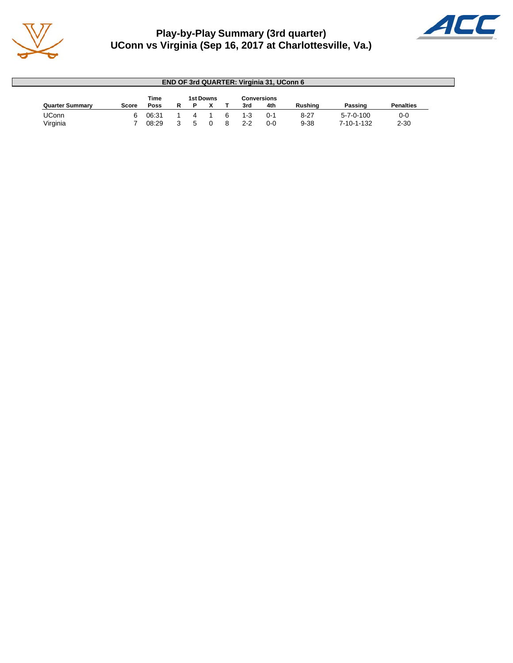

## **Play-by-Play Summary (3rd quarter) UConn vs Virginia (Sep 16, 2017 at Charlottesville, Va.)**



|                        |              |             |   |                  |   |         | <b>END OF 3rd QUARTER: Virginia 31, UConn 6</b> |                |                   |                  |
|------------------------|--------------|-------------|---|------------------|---|---------|-------------------------------------------------|----------------|-------------------|------------------|
|                        |              | <b>Time</b> |   | <b>1st Downs</b> |   |         | <b>Conversions</b>                              |                |                   |                  |
| <b>Quarter Summary</b> | <b>Score</b> | <b>Poss</b> | R |                  |   | 3rd     | 4th                                             | <b>Rushing</b> | Passing           | <b>Penalties</b> |
| UConn                  |              | 06:31       |   |                  | 6 | $1 - 3$ | $0 - 1$                                         | $8 - 27$       | $5 - 7 - 0 - 100$ | $0 - 0$          |
| Virginia               |              | 08:29       |   |                  | я | $2-2$   | 0-0                                             | $9 - 38$       | 7-10-1-132        | $2 - 30$         |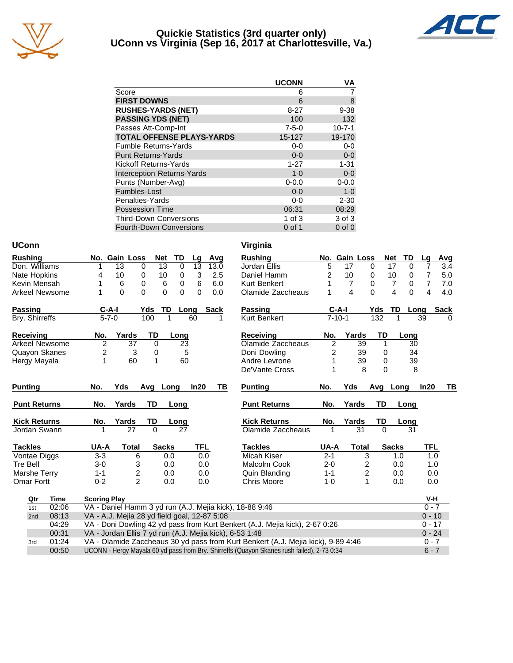

#### **Quickie Statistics (3rd quarter only) UConn vs Virginia (Sep 16, 2017 at Charlottesville, Va.)**



|                                   | <b>UCONN</b> | VA           |
|-----------------------------------|--------------|--------------|
| Score                             | 6            |              |
| <b>FIRST DOWNS</b>                | 6            | 8            |
| <b>RUSHES-YARDS (NET)</b>         | $8 - 27$     | $9 - 38$     |
| <b>PASSING YDS (NET)</b>          | 100          | 132          |
| Passes Att-Comp-Int               | $7 - 5 - 0$  | $10 - 7 - 1$ |
| <b>TOTAL OFFENSE PLAYS-YARDS</b>  | 15-127       | 19-170       |
| <b>Fumble Returns-Yards</b>       | $0-0$        | $0-0$        |
| <b>Punt Returns-Yards</b>         | $0 - 0$      | $0-0$        |
| Kickoff Returns-Yards             | $1 - 27$     | $1 - 31$     |
| <b>Interception Returns-Yards</b> | $1 - 0$      | $0-0$        |
| Punts (Number-Avg)                | $0 - 0.0$    | $0 - 0.0$    |
| Fumbles-Lost                      | $0 - 0$      | $1 - 0$      |
| Penalties-Yards                   | $0-0$        | $2 - 30$     |
| <b>Possession Time</b>            | 06:31        | 08:29        |
| <b>Third-Down Conversions</b>     | 1 of $3$     | 3 of 3       |
| <b>Fourth-Down Conversions</b>    | $0$ of 1     | $0$ of $0$   |

#### **UConn Virginia**

| 13<br>17<br>3.4<br>Don. Williams<br>13<br>0<br>13<br>13.0<br>Jordan Ellis<br>5<br>$\Omega$<br>$\Omega$<br>7<br>0<br>17<br>1<br>7<br>10<br>3<br>2<br>10<br>10<br>5.0<br>Nate Hopkins<br>10<br>0<br>2.5<br>Daniel Hamm<br>0<br>0<br>0<br>4<br>$\overline{7}$<br>Kevin Mensah<br>6<br>0<br>6<br>0<br>6<br>6.0<br><b>Kurt Benkert</b><br>$\overline{7}$<br>$\overline{7}$<br>7.0<br>0<br>0<br>4<br>4<br>$\Omega$<br>$\Omega$<br>$\Omega$<br>$\Omega$<br>$\overline{\mathbf{4}}$<br>$\Omega$<br>4.0<br>$\Omega$<br>0.0<br>1<br>$\Omega$<br>Arkeel Newsome<br>Olamide Zaccheaus<br>$C-A-I$<br>TD<br>$C-A-I$<br>TD<br>Passing<br>Yds<br><b>Sack</b><br>Passing<br>Yds<br><b>Sack</b><br>Long<br>Long |
|-----------------------------------------------------------------------------------------------------------------------------------------------------------------------------------------------------------------------------------------------------------------------------------------------------------------------------------------------------------------------------------------------------------------------------------------------------------------------------------------------------------------------------------------------------------------------------------------------------------------------------------------------------------------------------------------------|
|                                                                                                                                                                                                                                                                                                                                                                                                                                                                                                                                                                                                                                                                                               |
|                                                                                                                                                                                                                                                                                                                                                                                                                                                                                                                                                                                                                                                                                               |
|                                                                                                                                                                                                                                                                                                                                                                                                                                                                                                                                                                                                                                                                                               |
|                                                                                                                                                                                                                                                                                                                                                                                                                                                                                                                                                                                                                                                                                               |
|                                                                                                                                                                                                                                                                                                                                                                                                                                                                                                                                                                                                                                                                                               |
| $5 - 7 - 0$<br>$7 - 10 - 1$<br>100<br>Kurt Benkert<br>132<br>Bry. Shirreffs<br>$\mathbf{1}$<br>1<br>39<br>60<br>$\Omega$                                                                                                                                                                                                                                                                                                                                                                                                                                                                                                                                                                      |
| Yards<br>TD<br>Yards<br>TD<br><b>Receiving</b><br><b>Receiving</b><br>No.<br>No.<br>Long<br>Long                                                                                                                                                                                                                                                                                                                                                                                                                                                                                                                                                                                              |
| $\overline{2}$<br>37<br>$\mathbf 0$<br>Olamide Zaccheaus<br>$\overline{c}$<br>$\overline{39}$<br><b>Arkeel Newsome</b><br>23<br>1<br>30                                                                                                                                                                                                                                                                                                                                                                                                                                                                                                                                                       |
| Quayon Skanes<br>2<br>3<br>5<br>0<br>Doni Dowling<br>2<br>39<br>34<br>0                                                                                                                                                                                                                                                                                                                                                                                                                                                                                                                                                                                                                       |
| $\mathbf{1}$<br>60<br>60<br>39<br>39<br>1<br>Andre Levrone<br>$\Omega$<br>Hergy Mayala                                                                                                                                                                                                                                                                                                                                                                                                                                                                                                                                                                                                        |
| 8<br>8<br>$\Omega$<br>De'Vante Cross                                                                                                                                                                                                                                                                                                                                                                                                                                                                                                                                                                                                                                                          |
|                                                                                                                                                                                                                                                                                                                                                                                                                                                                                                                                                                                                                                                                                               |
| Yds<br>TB<br><b>Punting</b><br>No.<br>Yds<br>In20<br>TВ<br><b>Punting</b><br>No.<br>Avg<br>In20<br>Avg<br>Long<br>Long                                                                                                                                                                                                                                                                                                                                                                                                                                                                                                                                                                        |
| No.<br>Yards<br><b>TD</b><br><b>TD</b><br><b>Punt Returns</b><br><b>Punt Returns</b><br>No.<br>Yards<br>Long<br>Long                                                                                                                                                                                                                                                                                                                                                                                                                                                                                                                                                                          |
| <b>Kick Returns</b><br>Yards<br>TD<br><b>Kick Returns</b><br>Yards<br>TD<br>No.<br>No.<br>Long<br>Long                                                                                                                                                                                                                                                                                                                                                                                                                                                                                                                                                                                        |
| 27<br>$\Omega$<br>27<br>$\Omega$<br>Olamide Zaccheaus<br>31<br>31<br>Jordan Swann<br>1                                                                                                                                                                                                                                                                                                                                                                                                                                                                                                                                                                                                        |
| <b>Tackles</b><br><b>TFL</b><br><b>Tackles</b><br><b>Sacks</b><br><b>Total</b><br><b>Sacks</b><br>UA-A<br><b>Total</b><br>TFL<br>UA-A                                                                                                                                                                                                                                                                                                                                                                                                                                                                                                                                                         |
| $3 - 3$<br>Micah Kiser<br>$2 - 1$<br>Vontae Diggs<br>3<br>6<br>0.0<br>0.0<br>1.0<br>1.0                                                                                                                                                                                                                                                                                                                                                                                                                                                                                                                                                                                                       |
| <b>Tre Bell</b><br>$3-0$<br>3<br>0.0<br>0.0<br>Malcolm Cook<br>$2 - 0$<br>2<br>0.0<br>1.0                                                                                                                                                                                                                                                                                                                                                                                                                                                                                                                                                                                                     |
| $\overline{\mathbf{c}}$<br>2<br>Marshe Terry<br>$1 - 1$<br>0.0<br>$1 - 1$<br>0.0<br>0.0<br>Quin Blanding<br>0.0                                                                                                                                                                                                                                                                                                                                                                                                                                                                                                                                                                               |
| $\overline{2}$<br>$0 - 2$<br>$\mathbf{1}$<br><b>Omar Fortt</b><br>0.0<br>0.0<br><b>Chris Moore</b><br>$1 - 0$<br>0.0<br>0.0                                                                                                                                                                                                                                                                                                                                                                                                                                                                                                                                                                   |
| V-H<br>Time                                                                                                                                                                                                                                                                                                                                                                                                                                                                                                                                                                                                                                                                                   |
| Qtr<br><b>Scoring Play</b><br>VA - Daniel Hamm 3 yd run (A.J. Mejia kick), 18-88 9:46<br>$0 - 7$<br>02:06<br>1st                                                                                                                                                                                                                                                                                                                                                                                                                                                                                                                                                                              |
| $0 - 10$<br>08:13<br>VA - A.J. Mejia 28 yd field goal, 12-87 5:08<br>2nd                                                                                                                                                                                                                                                                                                                                                                                                                                                                                                                                                                                                                      |
| 04:29<br>VA - Doni Dowling 42 yd pass from Kurt Benkert (A.J. Mejia kick), 2-67 0:26<br>$0 - 17$                                                                                                                                                                                                                                                                                                                                                                                                                                                                                                                                                                                              |
| VA - Jordan Ellis 7 yd run (A.J. Mejia kick), 6-53 1:48<br>00:31<br>$0 - 24$                                                                                                                                                                                                                                                                                                                                                                                                                                                                                                                                                                                                                  |
| VA - Olamide Zaccheaus 30 yd pass from Kurt Benkert (A.J. Mejia kick), 9-89 4:46<br>01:24<br>$0 - 7$<br>3rd                                                                                                                                                                                                                                                                                                                                                                                                                                                                                                                                                                                   |

00:50 UCONN - Hergy Mayala 60 yd pass from Bry. Shirreffs (Quayon Skanes rush failed), 2-73 0:34 6 - 7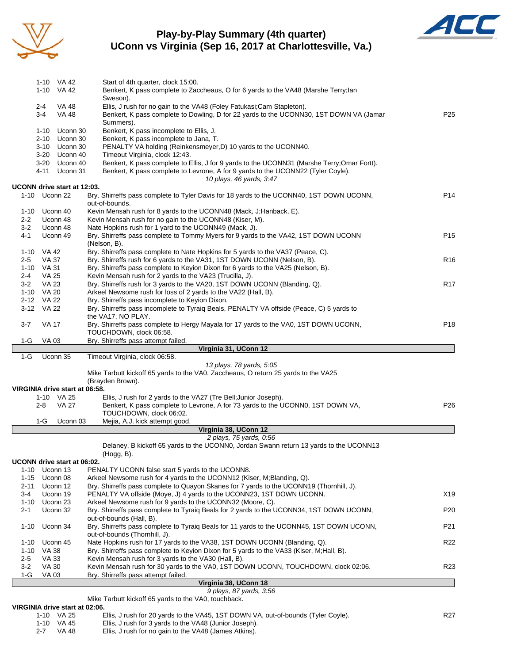

#### **Play-by-Play Summary (4th quarter) UConn vs Virginia (Sep 16, 2017 at Charlottesville, Va.)**



|          |               | 1-10 VA 42                     | Start of 4th quarter, clock 15:00.                                                                                                                               |                 |
|----------|---------------|--------------------------------|------------------------------------------------------------------------------------------------------------------------------------------------------------------|-----------------|
|          |               | 1-10 VA 42                     | Benkert, K pass complete to Zaccheaus, O for 6 yards to the VA48 (Marshe Terry;lan                                                                               |                 |
|          |               |                                | Sweson).                                                                                                                                                         |                 |
|          | 2-4<br>$3-4$  | VA 48<br><b>VA 48</b>          | Ellis, J rush for no gain to the VA48 (Foley Fatukasi; Cam Stapleton).<br>Benkert, K pass complete to Dowling, D for 22 yards to the UCONN30, 1ST DOWN VA (Jamar | P <sub>25</sub> |
|          |               |                                | Summers).                                                                                                                                                        |                 |
|          |               | 1-10 Uconn 30                  | Benkert, K pass incomplete to Ellis, J.                                                                                                                          |                 |
|          |               | 2-10 Uconn 30                  | Benkert, K pass incomplete to Jana, T.                                                                                                                           |                 |
|          |               | 3-10 Uconn 30                  | PENALTY VA holding (Reinkensmeyer, D) 10 yards to the UCONN40.                                                                                                   |                 |
|          |               | 3-20 Uconn 40                  | Timeout Virginia, clock 12:43.                                                                                                                                   |                 |
|          |               | 3-20 Uconn 40                  | Benkert, K pass complete to Ellis, J for 9 yards to the UCONN31 (Marshe Terry;Omar Fortt).                                                                       |                 |
|          | 4-11          | Uconn 31                       | Benkert, K pass complete to Levrone, A for 9 yards to the UCONN22 (Tyler Coyle).<br>10 plays, 46 yards, 3:47                                                     |                 |
|          |               | UCONN drive start at 12:03.    |                                                                                                                                                                  |                 |
|          | 1-10 Uconn 22 |                                | Bry. Shirreffs pass complete to Tyler Davis for 18 yards to the UCONN40, 1ST DOWN UCONN,                                                                         | P <sub>14</sub> |
|          |               |                                | out-of-bounds.                                                                                                                                                   |                 |
|          | 1-10 Uconn 40 |                                | Kevin Mensah rush for 8 yards to the UCONN48 (Mack, J;Hanback, E).                                                                                               |                 |
| $2 - 2$  |               | Uconn 48                       | Kevin Mensah rush for no gain to the UCONN48 (Kiser, M).                                                                                                         |                 |
| $3-2$    |               | Uconn 48                       | Nate Hopkins rush for 1 yard to the UCONN49 (Mack, J).                                                                                                           |                 |
| 4-1      |               | Uconn 49                       | Bry. Shirreffs pass complete to Tommy Myers for 9 yards to the VA42, 1ST DOWN UCONN<br>(Nelson, B).                                                              | P <sub>15</sub> |
|          | 1-10 VA 42    |                                | Bry. Shirreffs pass complete to Nate Hopkins for 5 yards to the VA37 (Peace, C).                                                                                 |                 |
| 2-5      | VA 37         |                                | Bry. Shirreffs rush for 6 yards to the VA31, 1ST DOWN UCONN (Nelson, B).                                                                                         | R <sub>16</sub> |
|          | 1-10 VA 31    |                                | Bry. Shirreffs pass complete to Keyion Dixon for 6 yards to the VA25 (Nelson, B).                                                                                |                 |
| 2-4      | <b>VA 25</b>  |                                | Kevin Mensah rush for 2 yards to the VA23 (Trucilla, J).                                                                                                         |                 |
| $3 - 2$  | VA 23         |                                | Bry. Shirreffs rush for 3 yards to the VA20, 1ST DOWN UCONN (Blanding, Q).                                                                                       | R <sub>17</sub> |
|          | 1-10 VA 20    |                                | Arkeel Newsome rush for loss of 2 yards to the VA22 (Hall, B).                                                                                                   |                 |
|          | 2-12 VA 22    |                                | Bry. Shirreffs pass incomplete to Keyion Dixon.                                                                                                                  |                 |
|          | 3-12 VA 22    |                                | Bry. Shirreffs pass incomplete to Tyraiq Beals, PENALTY VA offside (Peace, C) 5 yards to<br>the VA17, NO PLAY.                                                   |                 |
| 3-7      | VA 17         |                                | Bry. Shirreffs pass complete to Hergy Mayala for 17 yards to the VA0, 1ST DOWN UCONN,                                                                            | P <sub>18</sub> |
|          |               |                                | TOUCHDOWN, clock 06:58.                                                                                                                                          |                 |
| 1-G      | VA 03         |                                | Bry. Shirreffs pass attempt failed.                                                                                                                              |                 |
|          |               |                                | Virginia 31, UConn 12                                                                                                                                            |                 |
| $1-G$    |               | Uconn 35                       | Timeout Virginia, clock 06:58.                                                                                                                                   |                 |
|          |               |                                | 13 plays, 78 yards, 5:05<br>Mike Tarbutt kickoff 65 yards to the VA0, Zaccheaus, O return 25 yards to the VA25                                                   |                 |
|          |               |                                | (Brayden Brown).                                                                                                                                                 |                 |
|          |               | VIRGINIA drive start at 06:58. |                                                                                                                                                                  |                 |
|          |               | 1-10 VA 25                     | Ellis, J rush for 2 yards to the VA27 (Tre Bell; Junior Joseph).                                                                                                 |                 |
|          | 2-8           | VA 27                          | Benkert, K pass complete to Levrone, A for 73 yards to the UCONN0, 1ST DOWN VA,                                                                                  | P <sub>26</sub> |
|          |               |                                | TOUCHDOWN, clock 06:02.                                                                                                                                          |                 |
|          | $1-G$         | Uconn 03                       | Mejia, A.J. kick attempt good.                                                                                                                                   |                 |
|          |               |                                | Virginia 38, UConn 12                                                                                                                                            |                 |
|          |               |                                | 2 plays, 75 yards, 0:56<br>Delaney, B kickoff 65 yards to the UCONN0, Jordan Swann return 13 yards to the UCONN13                                                |                 |
|          |               |                                | (Hogg, B).                                                                                                                                                       |                 |
|          |               | UCONN drive start at 06:02.    |                                                                                                                                                                  |                 |
|          | 1-10 Uconn 13 |                                | PENALTY UCONN false start 5 yards to the UCONN8.                                                                                                                 |                 |
|          | 1-15 Uconn 08 |                                | Arkeel Newsome rush for 4 yards to the UCONN12 (Kiser, M; Blanding, Q).                                                                                          |                 |
| 2-11     |               | Uconn 12                       | Bry. Shirreffs pass complete to Quayon Skanes for 7 yards to the UCONN19 (Thornhill, J).                                                                         |                 |
| 3-4      |               | Uconn 19                       | PENALTY VA offside (Moye, J) 4 yards to the UCONN23, 1ST DOWN UCONN.                                                                                             | X19             |
| 1-10     |               | Uconn 23                       | Arkeel Newsome rush for 9 yards to the UCONN32 (Moore, C).                                                                                                       |                 |
| 2-1      |               | Uconn 32                       | Bry. Shirreffs pass complete to Tyraiq Beals for 2 yards to the UCONN34, 1ST DOWN UCONN,                                                                         | P <sub>20</sub> |
| $1 - 10$ |               | Uconn 34                       | out-of-bounds (Hall, B).<br>Bry. Shirreffs pass complete to Tyraiq Beals for 11 yards to the UCONN45, 1ST DOWN UCONN,                                            | P21             |
|          |               |                                | out-of-bounds (Thornhill, J).                                                                                                                                    |                 |
| $1 - 10$ |               | Uconn 45                       | Nate Hopkins rush for 17 yards to the VA38, 1ST DOWN UCONN (Blanding, Q).                                                                                        | R <sub>22</sub> |
| 1-10     | VA 38         |                                | Bry. Shirreffs pass complete to Keyion Dixon for 5 yards to the VA33 (Kiser, M;Hall, B).                                                                         |                 |
| $2 - 5$  | <b>VA 33</b>  |                                | Kevin Mensah rush for 3 yards to the VA30 (Hall, B).                                                                                                             |                 |
| 3-2      | <b>VA 30</b>  |                                | Kevin Mensah rush for 30 yards to the VA0, 1ST DOWN UCONN, TOUCHDOWN, clock 02:06.                                                                               | R <sub>23</sub> |
|          |               |                                |                                                                                                                                                                  |                 |
| $1-G$    | VA 03         |                                | Bry. Shirreffs pass attempt failed.                                                                                                                              |                 |
|          |               |                                | Virginia 38, UConn 18<br>9 plays, 87 yards, 3:56                                                                                                                 |                 |

Mike Tarbutt kickoff 65 yards to the VA0, touchback.

#### **VIRGINIA drive start at 02:06.**

|         | 1-10 VA 25 | Ellis, J rush for 20 yards to the VA45, 1ST DOWN VA, out-of-bounds (Tyler Coyle). | R27 |
|---------|------------|-----------------------------------------------------------------------------------|-----|
|         | 1-10 VA 45 | Ellis, J rush for 3 yards to the VA48 (Junior Joseph).                            |     |
| $2 - 7$ | VA 48      | Ellis, J rush for no gain to the VA48 (James Atkins).                             |     |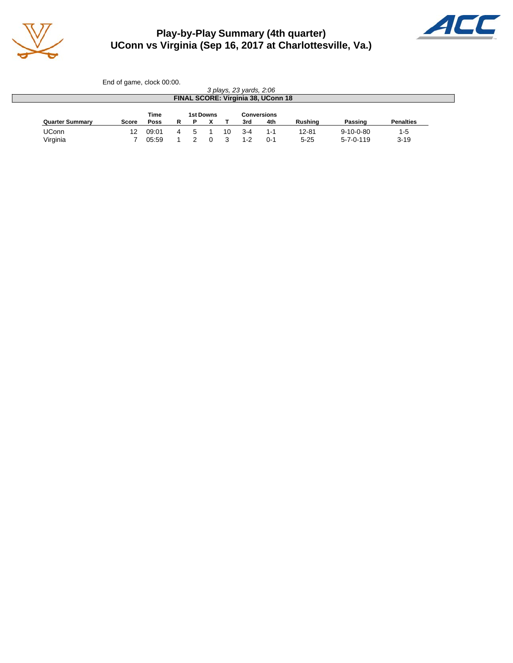

### **Play-by-Play Summary (4th quarter) UConn vs Virginia (Sep 16, 2017 at Charlottesville, Va.)**



|                        | End of game, clock 00:00. |       |   |   |           |    |                         |                                           |                |                   |                  |
|------------------------|---------------------------|-------|---|---|-----------|----|-------------------------|-------------------------------------------|----------------|-------------------|------------------|
|                        |                           |       |   |   |           |    | 3 plays, 23 yards, 2:06 |                                           |                |                   |                  |
|                        |                           |       |   |   |           |    |                         | <b>FINAL SCORE: Virginia 38, UConn 18</b> |                |                   |                  |
|                        |                           |       |   |   |           |    |                         |                                           |                |                   |                  |
|                        |                           | Time  |   |   | 1st Downs |    |                         | <b>Conversions</b>                        |                |                   |                  |
|                        |                           |       |   |   |           |    |                         |                                           |                |                   |                  |
| <b>Quarter Summary</b> | <b>Score</b>              | Poss  | R | Р |           |    | 3rd                     | 4th                                       | <b>Rushing</b> | Passing           | <b>Penalties</b> |
| <b>UConn</b>           | 12                        | 09:01 | 4 | 5 |           | 10 | $3 - 4$                 | 1-1                                       | $12 - 81$      | $9 - 10 - 0 - 80$ | $1-5$            |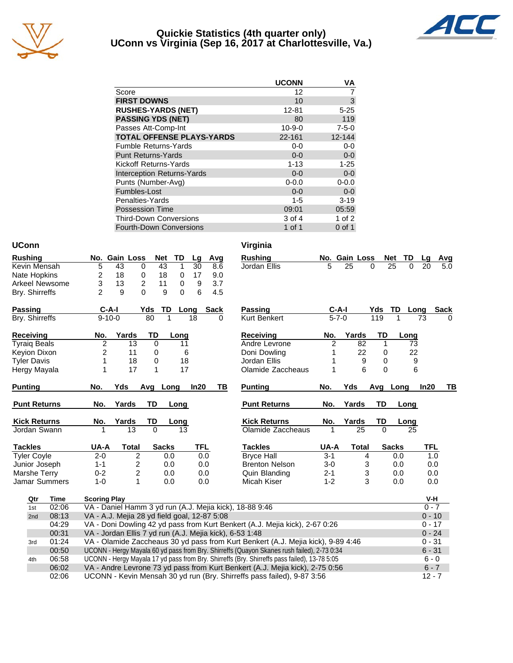

#### **Quickie Statistics (4th quarter only) UConn vs Virginia (Sep 16, 2017 at Charlottesville, Va.)**



|                                   | <b>UCONN</b> | VA          |
|-----------------------------------|--------------|-------------|
| Score                             | 12           |             |
| <b>FIRST DOWNS</b>                | 10           | 3           |
| <b>RUSHES-YARDS (NET)</b>         | 12-81        | $5 - 25$    |
| <b>PASSING YDS (NET)</b>          | 80           | 119         |
| Passes Att-Comp-Int               | $10 - 9 - 0$ | $7 - 5 - 0$ |
| <b>TOTAL OFFENSE PLAYS-YARDS</b>  | 22-161       | 12-144      |
| <b>Fumble Returns-Yards</b>       | $0-0$        | $0-0$       |
| <b>Punt Returns-Yards</b>         | $0 - 0$      | $0-0$       |
| Kickoff Returns-Yards             | $1 - 13$     | $1 - 25$    |
| <b>Interception Returns-Yards</b> | $0 - 0$      | $0-0$       |
| Punts (Number-Avg)                | $0 - 0.0$    | $0 - 0.0$   |
| Fumbles-Lost                      | $0 - 0$      | $0-0$       |
| Penalties-Yards                   | $1 - 5$      | $3 - 19$    |
| <b>Possession Time</b>            | 09:01        | 05:59       |
| <b>Third-Down Conversions</b>     | 3 of 4       | 1 of $2$    |
| <b>Fourth-Down Conversions</b>    | 1 of 1       | $0$ of 1    |

#### **UConn Virginia**

| <b>Rushing</b> |     |    | No. Gain Loss | Net TD |              | a La | Avg |
|----------------|-----|----|---------------|--------|--------------|------|-----|
| Kevin Mensah   | 'n. | 43 |               | 43     |              | 30   | 8.6 |
| Nate Hopkins   |     | 18 |               | 18     |              | 17   | 9.0 |
| Arkeel Newsome | 3   | 13 | 2             |        | $\mathbf{0}$ | 9    | 3.7 |
| Bry. Shirreffs |     | a  | $\Omega$      | 9      | $\mathbf{0}$ | 6    | 4.5 |

| <b>Passing</b> | $C-A-I$ |      | Yds TD Long Sack |  |
|----------------|---------|------|------------------|--|
| Bry. Shirreffs | 9-10-0  | -80- | 18               |  |

| <b>Receiving</b>    | No. | Yards | TD | Long |
|---------------------|-----|-------|----|------|
| <b>Tyraiq Beals</b> |     | 13    |    | 11   |
| Keyion Dixon        |     | 11    |    | 6    |
| <b>Tyler Davis</b>  |     | 18    |    | 18   |
| Hergy Mayala        |     | 17    |    | 17   |

| <b>Punting</b>       | No.     | Yds   | Ava Lona |              | In20       | ΤВ | <b>Punting</b>        | No.     | Yds   | Ava | Long         |
|----------------------|---------|-------|----------|--------------|------------|----|-----------------------|---------|-------|-----|--------------|
| <b>Punt Returns</b>  | No.     | Yards | TD       | Long         |            |    | <b>Punt Returns</b>   | No.     | Yards | TD  | Long         |
| <b>Kick Returns</b>  | No.     | Yards | TD       | Long         |            |    | <b>Kick Returns</b>   | No.     | Yards | TD  | Long         |
| Jordan Swann         |         | 13    | 0        | 13           |            |    | Olamide Zaccheaus     |         | 25    |     | 25           |
| <b>Tackles</b>       | UA-A    | Total |          | <b>Sacks</b> | <b>TFL</b> |    | Tackles               | UA-A    | Total |     | <b>Sacks</b> |
| <b>Tyler Coyle</b>   | $2 - 0$ | 2     |          | 0.0          | 0.0        |    | <b>Bryce Hall</b>     | $3-1$   | 4     |     | 0.0          |
| Junior Joseph        | $1 - 1$ | 2     |          | 0.0          | 0.0        |    | <b>Brenton Nelson</b> | $3-0$   | 3     |     | 0.0          |
| Marshe Terry         | $0 - 2$ | 2     |          | 0.0          | 0.0        |    | Quin Blanding         | $2 - 1$ | 3     |     | 0.0          |
| <b>Jamar Summers</b> | 1-0     |       |          | 0.0          | 0.0        |    | Micah Kiser           | $1 - 2$ | 3     |     | 0.0          |

| Virgini |  |
|---------|--|
|         |  |

| <b>Rushing</b>      |                     | No. Gain Loss  | <b>Net</b> | TD           | Lg            | Avg         | <b>Rushing</b>                                          |             | No. Gain Loss |              | <b>Net</b><br>TD | La      | Avg         |
|---------------------|---------------------|----------------|------------|--------------|---------------|-------------|---------------------------------------------------------|-------------|---------------|--------------|------------------|---------|-------------|
| Kevin Mensah        | 5                   | 43             | 0          | 43<br>1      | 30            | 8.6         | Jordan Ellis                                            | 5           | 25            | 0            | 25<br>0          | 20      | 5.0         |
| Nate Hopkins        | 2                   | 18             | 0          | 18<br>0      | 17            | 9.0         |                                                         |             |               |              |                  |         |             |
| Arkeel Newsome      | 3                   | 13             | 2<br>11    | 0            | 9             | 3.7         |                                                         |             |               |              |                  |         |             |
| Bry. Shirreffs      | $\overline{2}$      | 9              | 0          | 9            | $\Omega$<br>6 | 4.5         |                                                         |             |               |              |                  |         |             |
| <b>Passing</b>      | $C-A-I$             |                | Yds        | TD           | Long          | <b>Sack</b> | Passing                                                 | $C-A-I$     |               | <b>Yds</b>   | TD               | Long    | <b>Sack</b> |
| Bry. Shirreffs      | $9 - 10 - 0$        |                | 80         |              | 18            | 0           | <b>Kurt Benkert</b>                                     | $5 - 7 - 0$ |               | 119          |                  | 73      | $\Omega$    |
| Receiving           | No.                 | Yards          | TD         | Long         |               |             | <b>Receiving</b>                                        | No.         | Yards         | TD           | Long             |         |             |
| <b>Tyraiq Beals</b> | $\overline{2}$      | 13             | 0          |              | 11            |             | Andre Levrone                                           | 2           | 82            | 1            |                  | 73      |             |
| Keyion Dixon        | 2                   | 11             | 0          |              | 6             |             | Doni Dowling                                            |             | 22            | 0            |                  | 22      |             |
| <b>Tyler Davis</b>  |                     | 18             | 0          |              | 18            |             | Jordan Ellis                                            |             | 9             | 0            |                  | 9       |             |
| Hergy Mayala        |                     | 17             | 1          |              | 17            |             | Olamide Zaccheaus                                       |             | 6             | $\mathbf{0}$ |                  | 6       |             |
| <b>Punting</b>      | No.                 | Yds            | Avg Long   |              | In20          | ΤВ          | <b>Punting</b>                                          | No.         | Yds           |              | Avg Long         | In20    | TВ          |
| <b>Punt Returns</b> | No.                 | Yards          | TD         | Long         |               |             | <b>Punt Returns</b>                                     | No.         | Yards         | TD           | Long             |         |             |
| <b>Kick Returns</b> | No.                 | Yards          | TD         | Long         |               |             | <b>Kick Returns</b>                                     | No.         | Yards         | TD           | Long             |         |             |
| Jordan Swann        |                     | 13             | $\Omega$   |              | 13            |             | Olamide Zaccheaus                                       |             | 25            | $\Omega$     | 25               |         |             |
| <b>Tackles</b>      | UA-A                | Total          |            | <b>Sacks</b> |               | TFL         | <b>Tackles</b>                                          | UA-A        | <b>Total</b>  |              | <b>Sacks</b>     | TFL     |             |
| <b>Tyler Coyle</b>  | $2 - 0$             | 2              |            | 0.0          |               | 0.0         | <b>Bryce Hall</b>                                       | $3 - 1$     |               | 4            | 0.0              |         | 1.0         |
| Junior Joseph       | $1 - 1$             | 2              |            | 0.0          |               | 0.0         | <b>Brenton Nelson</b>                                   | $3-0$       |               | 3            | 0.0              | 0.0     |             |
| Marshe Terry        | $0 - 2$             | $\overline{c}$ |            | 0.0          |               | 0.0         | Quin Blanding                                           | $2 - 1$     |               | 3            | 0.0              | 0.0     |             |
| Jamar Summers       | $1 - 0$             | 1              |            | 0.0          |               | 0.0         | Micah Kiser                                             | $1 - 2$     |               | 3            | 0.0              | 0.0     |             |
| <b>Time</b><br>Qtr  | <b>Scoring Play</b> |                |            |              |               |             |                                                         |             |               |              |                  | V-H     |             |
| 02:06<br>1st        |                     |                |            |              |               |             | VA - Daniel Hamm 3 yd run (A.J. Mejia kick), 18-88 9:46 |             |               |              |                  | $0 - 7$ |             |

| Qtr             | Time  | <b>Scoring Play</b>                                                                          | V-H      |
|-----------------|-------|----------------------------------------------------------------------------------------------|----------|
| 1st             | 02:06 | VA - Daniel Hamm 3 yd run (A.J. Mejia kick), 18-88 9:46                                      | $0 - 7$  |
| 2 <sub>nd</sub> | 08:13 | VA - A.J. Mejia 28 yd field goal, 12-87 5:08                                                 | $0 - 10$ |
|                 | 04:29 | VA - Doni Dowling 42 yd pass from Kurt Benkert (A.J. Mejia kick), 2-67 0:26                  | $0 - 17$ |
|                 | 00:31 | VA - Jordan Ellis 7 yd run (A.J. Mejia kick), 6-53 1:48                                      | $0 - 24$ |
| 3rd             | 01:24 | VA - Olamide Zaccheaus 30 yd pass from Kurt Benkert (A.J. Mejia kick), 9-89 4:46             | $0 - 31$ |
|                 | 00:50 | UCONN - Hergy Mayala 60 yd pass from Bry. Shirreffs (Quayon Skanes rush failed), 2-73 0:34   | $6 - 31$ |
| 4th             | 06:58 | UCONN - Hergy Mayala 17 yd pass from Bry. Shirreffs (Bry. Shirreffs pass failed), 13-78 5:05 | $6 - 0$  |
|                 | 06:02 | VA - Andre Levrone 73 yd pass from Kurt Benkert (A.J. Mejia kick), 2-75 0:56                 | $6 - 7$  |
|                 | 02:06 | UCONN - Kevin Mensah 30 yd run (Bry. Shirreffs pass failed), 9-87 3:56                       | $12 - 7$ |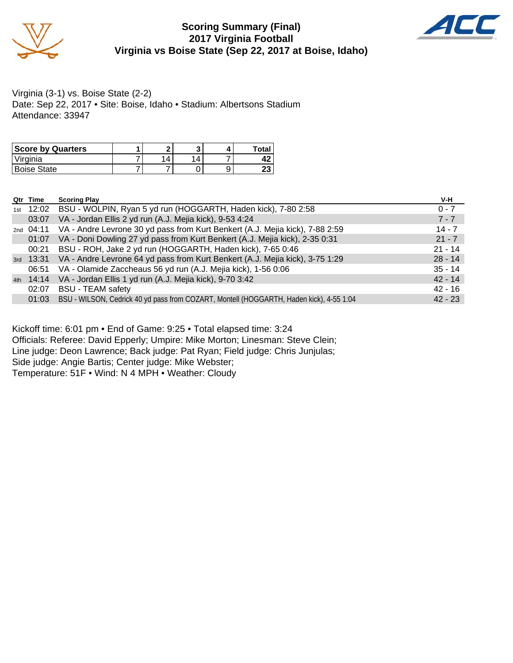

#### **Scoring Summary (Final) 2017 Virginia Football Virginia vs Boise State (Sep 22, 2017 at Boise, Idaho)**



Virginia (3-1) vs. Boise State (2-2) Date: Sep 22, 2017 • Site: Boise, Idaho • Stadium: Albertsons Stadium Attendance: 33947

| <b>Score by Quarters</b> |   |          | Total    |
|--------------------------|---|----------|----------|
| Virginia                 | 4 | $\Delta$ |          |
| <b>Boise State</b>       |   |          | ົ<br>د - |

|     | Qtr Time  | <b>Scoring Play</b>                                                                     | V-H       |
|-----|-----------|-----------------------------------------------------------------------------------------|-----------|
| 1st | 12:02     | BSU - WOLPIN, Ryan 5 yd run (HOGGARTH, Haden kick), 7-80 2:58                           | $0 - 7$   |
|     | 03:07     | VA - Jordan Ellis 2 yd run (A.J. Mejia kick), 9-53 4:24                                 | $7 - 7$   |
|     | 2nd 04:11 | VA - Andre Levrone 30 yd pass from Kurt Benkert (A.J. Mejia kick), 7-88 2:59            | $14 - 7$  |
|     | 01:07     | VA - Doni Dowling 27 yd pass from Kurt Benkert (A.J. Mejia kick), 2-35 0:31             | $21 - 7$  |
|     | 00:21     | BSU - ROH, Jake 2 yd run (HOGGARTH, Haden kick), 7-65 0:46                              | $21 - 14$ |
|     |           | 3rd 13:31 VA - Andre Levrone 64 yd pass from Kurt Benkert (A.J. Mejia kick), 3-75 1:29  | $28 - 14$ |
|     | 06:51     | VA - Olamide Zaccheaus 56 yd run (A.J. Mejia kick), 1-56 0:06                           | $35 - 14$ |
|     | 4th 14:14 | VA - Jordan Ellis 1 yd run (A.J. Mejia kick), 9-70 3:42                                 | $42 - 14$ |
|     | 02:07     | <b>BSU - TEAM safety</b>                                                                | $42 - 16$ |
|     | 01:03     | BSU - WILSON, Cedrick 40 yd pass from COZART, Montell (HOGGARTH, Haden kick), 4-55 1:04 | $42 - 23$ |

Kickoff time: 6:01 pm • End of Game: 9:25 • Total elapsed time: 3:24

Officials: Referee: David Epperly; Umpire: Mike Morton; Linesman: Steve Clein;

Line judge: Deon Lawrence; Back judge: Pat Ryan; Field judge: Chris Junjulas;

Side judge: Angie Bartis; Center judge: Mike Webster;

Temperature: 51F • Wind: N 4 MPH • Weather: Cloudy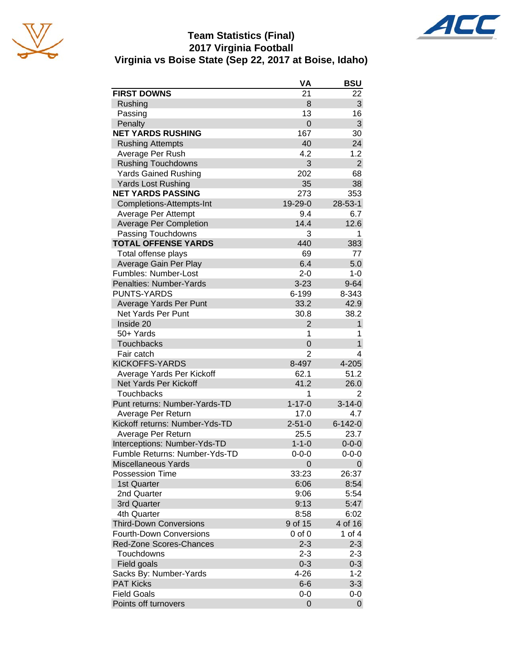

#### **Team Statistics (Final) 2017 Virginia Football Virginia vs Boise State (Sep 22, 2017 at Boise, Idaho)**



|                                | VA             | <b>BSU</b>     |
|--------------------------------|----------------|----------------|
| <b>FIRST DOWNS</b>             | 21             | 22             |
| Rushing                        | 8              | 3              |
| Passing                        | 13             | 16             |
| Penalty                        | $\overline{0}$ | 3              |
| <b>NET YARDS RUSHING</b>       | 167            | 30             |
| <b>Rushing Attempts</b>        | 40             | 24             |
| Average Per Rush               | 4.2            | 1.2            |
| <b>Rushing Touchdowns</b>      | 3              | $\overline{2}$ |
| <b>Yards Gained Rushing</b>    | 202            | 68             |
| <b>Yards Lost Rushing</b>      | 35             | 38             |
| <b>NET YARDS PASSING</b>       | 273            | 353            |
| Completions-Attempts-Int       | 19-29-0        | 28-53-1        |
| Average Per Attempt            | 9.4            | 6.7            |
| <b>Average Per Completion</b>  | 14.4           | 12.6           |
| Passing Touchdowns             | 3              | 1              |
| <b>TOTAL OFFENSE YARDS</b>     | 440            | 383            |
| Total offense plays            | 69             | 77             |
| Average Gain Per Play          | 6.4            | 5.0            |
| Fumbles: Number-Lost           | $2 - 0$        | $1 - 0$        |
| Penalties: Number-Yards        | $3 - 23$       | $9 - 64$       |
| <b>PUNTS-YARDS</b>             | 6-199          | 8-343          |
| Average Yards Per Punt         | 33.2           | 42.9           |
| Net Yards Per Punt             | 30.8           | 38.2           |
| Inside 20                      | $\overline{2}$ | $\mathbf{1}$   |
| 50+ Yards                      | 1              | 1              |
| <b>Touchbacks</b>              | 0              | $\mathbf 1$    |
| Fair catch                     | 2              | 4              |
| <b>KICKOFFS-YARDS</b>          | 8-497          | 4-205          |
| Average Yards Per Kickoff      | 62.1           | 51.2           |
| Net Yards Per Kickoff          | 41.2           | 26.0           |
| <b>Touchbacks</b>              | 1              | $\overline{2}$ |
| Punt returns: Number-Yards-TD  | $1 - 17 - 0$   | $3 - 14 - 0$   |
| Average Per Return             | 17.0           | 4.7            |
| Kickoff returns: Number-Yds-TD | $2 - 51 - 0$   | $6 - 142 - 0$  |
| Average Per Return             | 25.5           | 23.7           |
| Interceptions: Number-Yds-TD   | $1 - 1 - 0$    | $0 - 0 - 0$    |
| Fumble Returns: Number-Yds-TD  | $0 - 0 - 0$    | $0 - 0 - 0$    |
| <b>Miscellaneous Yards</b>     | $\overline{0}$ | 0              |
| Possession Time                | 33:23          | 26:37          |
| 1st Quarter                    | 6:06           | 8:54           |
| 2nd Quarter                    | 9:06           | 5:54           |
| 3rd Quarter                    | 9:13           | 5:47           |
| 4th Quarter                    | 8:58           | 6:02           |
| <b>Third-Down Conversions</b>  | 9 of 15        | 4 of 16        |
| <b>Fourth-Down Conversions</b> | $0$ of $0$     | 1 of 4         |
| Red-Zone Scores-Chances        | $2 - 3$        | $2 - 3$        |
| Touchdowns                     | $2 - 3$        | $2 - 3$        |
| Field goals                    | $0 - 3$        | $0 - 3$        |
| Sacks By: Number-Yards         | $4 - 26$       | $1 - 2$        |
| <b>PAT Kicks</b>               | $6-6$          | $3 - 3$        |
| <b>Field Goals</b>             | 0-0            | $0-0$          |
| Points off turnovers           | $\overline{0}$ | 0              |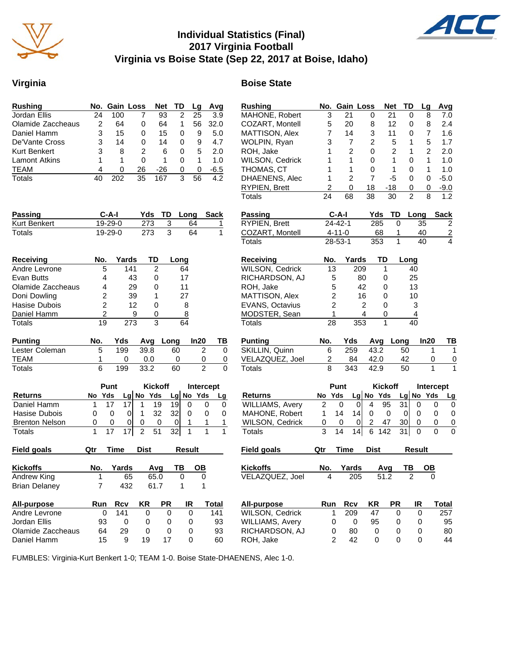

#### **Individual Statistics (Final) 2017 Virginia Football Virginia vs Boise State (Sep 22, 2017 at Boise, Idaho)**



#### **Virginia Boise State**

| <b>Rushing</b>                         |                     | No. Gain Loss                           |                           | <b>Net</b>                | TD                                            | Lg           | Avg                           | <b>Rushing</b>                          |                                | No. Gain Loss                                |                             | <b>Net</b>     | TD                    | ц                |
|----------------------------------------|---------------------|-----------------------------------------|---------------------------|---------------------------|-----------------------------------------------|--------------|-------------------------------|-----------------------------------------|--------------------------------|----------------------------------------------|-----------------------------|----------------|-----------------------|------------------|
| Jordan Ellis                           | 24                  | 100                                     | 7                         | $\overline{93}$           | 2                                             | 25           | 3.9                           | MAHONE, Robert                          | $\mathbf{3}$                   | 21                                           | 0                           | 21             | 0                     |                  |
| Olamide Zaccheaus                      | $\overline{c}$      | 64                                      | 0                         | 64                        | 1                                             | 56           | 32.0                          | COZART, Montell                         | 5                              | 20                                           | 8                           | 12             | 0                     |                  |
| Daniel Hamm                            | 3                   | 15                                      | 0                         | 15                        | 0                                             | 9            | 5.0                           | MATTISON, Alex                          | $\overline{7}$                 | 14                                           | 3                           | 11             | 0                     |                  |
| De'Vante Cross                         | 3                   | 14                                      | 0                         | 14                        | 0                                             | 9            | 4.7                           | WOLPIN, Ryan                            | 3                              | $\overline{7}$                               | 2                           | $\sqrt{5}$     | 1                     |                  |
| Kurt Benkert                           | 3                   | 8                                       | 2                         | 6                         | 0                                             | 5            | 2.0                           | ROH, Jake                               | 1                              | 2                                            | 0                           | 2              | $\mathbf{1}$          |                  |
| <b>Lamont Atkins</b>                   | 1                   | 1                                       | $\mathbf 0$               | 1                         | 0                                             | $\mathbf{1}$ | 1.0                           | WILSON, Cedrick                         | 1                              | 1                                            | 0                           | 1              | 0                     |                  |
| <b>TEAM</b>                            | 4                   | 0                                       | 26                        | $-26$                     | 0                                             | $\mathbf 0$  | $-6.5$                        | THOMAS, CT                              | 1                              | 1                                            | 0                           | $\mathbf{1}$   | 0                     |                  |
| <b>Totals</b>                          | 40                  | 202                                     | 35                        | 167                       | 3                                             | 56           | 4.2                           | DHAENENS, Alec                          | 1                              | $\overline{2}$                               | $\overline{7}$              | $-5$           | 0                     |                  |
|                                        |                     |                                         |                           |                           |                                               |              |                               | RYPIEN, Brett                           | 2                              | 0                                            | 18                          | $-18$          | 0                     |                  |
|                                        |                     |                                         |                           |                           |                                               |              |                               | <b>Totals</b>                           | 24                             | 68                                           | 38                          | 30             | $\overline{2}$        |                  |
|                                        |                     |                                         |                           |                           |                                               |              |                               |                                         |                                |                                              |                             |                |                       |                  |
| Passing                                |                     | $C-A-I$                                 | Yds                       | TD                        | Long                                          |              | <b>Sack</b>                   | Passing                                 |                                | $C-A-I$                                      | Yds                         | TD             | Long                  |                  |
| Kurt Benkert                           |                     | 19-29-0                                 | 273                       | $\ensuremath{\mathsf{3}}$ |                                               | 64           | 1                             | RYPIEN, Brett                           |                                | $24 - 42 - 1$                                | 285                         | $\Omega$       |                       | 35               |
| Totals                                 |                     | 19-29-0                                 | 273                       | 3                         |                                               | 64           | 1                             | COZART, Montell                         |                                | $4 - 11 - 0$                                 | 68                          | 1              |                       | 40               |
|                                        |                     |                                         |                           |                           |                                               |              |                               | <b>Totals</b>                           |                                | 28-53-1                                      | 353                         | $\mathbf{1}$   |                       | 40               |
| <b>Receiving</b>                       | No.                 | Yards                                   | TD                        |                           | Long                                          |              |                               | <b>Receiving</b>                        | No.                            | Yards                                        | TD                          |                | Long                  |                  |
| Andre Levrone                          | 5                   |                                         | 141                       | $\overline{c}$            | 64                                            |              |                               | WILSON, Cedrick                         | 13                             |                                              | 209                         | 1              | 40                    |                  |
| Evan Butts                             | 4                   |                                         | 43                        | 0                         | 17                                            |              |                               | RICHARDSON, AJ                          |                                | 5                                            | 80                          | 0              | 25                    |                  |
| Olamide Zaccheaus                      | 4                   |                                         | 29                        | 0                         | 11                                            |              |                               | ROH, Jake                               |                                | 5                                            | 42                          | 0              | 13                    |                  |
| Doni Dowling                           | 2                   |                                         | 39                        | 1                         | 27                                            |              |                               | MATTISON, Alex                          |                                | $\overline{c}$                               | 16                          | 0              | 10                    |                  |
| Hasise Dubois                          |                     | $\overline{c}$                          | 12                        | 0                         | 8                                             |              |                               | EVANS, Octavius                         |                                | $\overline{c}$                               | 2                           | 0              | 3                     |                  |
|                                        |                     |                                         |                           |                           |                                               |              |                               |                                         |                                |                                              |                             |                |                       |                  |
| Daniel Hamm                            |                     | $\overline{c}$                          | 9                         | 0                         | 8                                             |              |                               | MODSTER, Sean                           |                                | 1                                            | 4                           | 0              | 4                     |                  |
| <b>Totals</b>                          | 19                  |                                         | 273                       | 3                         | 64                                            |              |                               | <b>Totals</b>                           | 28                             |                                              | 353                         | 1              | 40                    |                  |
| <b>Punting</b>                         | No.                 | Yds                                     | Avg                       | Long                      |                                               | In20         | TВ                            | <b>Punting</b>                          | No.                            | Yds                                          | Avg                         | Long           |                       | In:              |
| Lester Coleman                         | 5                   | 199                                     | 39.8                      |                           | 60                                            |              | $\overline{2}$<br>$\mathbf 0$ | SKILLIN, Quinn                          | 6                              | 259                                          | 43.2                        |                | 50                    |                  |
| <b>TEAM</b>                            | 1                   | 0                                       | 0.0                       |                           | 0                                             |              | 0<br>0                        | VELAZQUEZ, Joel                         | $\overline{c}$                 | 84                                           | 42.0                        |                | 42                    |                  |
| <b>Totals</b>                          | 6                   | 199                                     | 33.2                      |                           | 60                                            |              | $\overline{2}$<br>$\mathbf 0$ | Totals                                  | 8                              | 343                                          | 42.9                        |                | 50                    |                  |
|                                        |                     | Punt                                    |                           | <b>Kickoff</b>            |                                               |              | Intercept                     |                                         |                                | Punt                                         |                             | <b>Kickoff</b> |                       |                  |
|                                        |                     |                                         |                           |                           |                                               |              |                               |                                         |                                |                                              |                             |                |                       | <b>Int</b>       |
| <b>Returns</b><br>Daniel Hamm          | No Yds<br>1         | 17<br>17                                | Lg No Yds<br>$\mathbf{1}$ | 19                        | $Lg$ No Yds                                   |              | Lg                            | <b>Returns</b>                          | No Yds<br>$\overline{2}$       |                                              | Lg No Yds<br>$\overline{4}$ | 95             | $Lg$ No               |                  |
|                                        |                     |                                         |                           |                           | 19<br>0                                       |              | 0<br>0                        | WILLIAMS, Avery                         |                                | 0                                            | 0                           |                | 31                    | 0                |
| Hasise Dubois                          | 0                   | $\mathbf 0$                             | $\pmb{0}$<br>$\mathbf{1}$ | 32                        | 32<br>0                                       |              | 0<br>$\mathbf 0$              | MAHONE, Robert                          | 1                              | 14<br>14                                     | $\mathbf 0$                 | $\mathbf 0$    | $\mathbf 0$           | 0                |
| <b>Brenton Nelson</b><br><b>Totals</b> | 0<br>$\mathbf{1}$   | 0<br>$\overline{17}$<br>$\overline{17}$ | 0<br>0<br>$\overline{c}$  | 0<br>$\overline{51}$      | $\boldsymbol{0}$<br>1<br>32<br>$\overline{1}$ |              | 1<br>1<br>1<br>1              | <b>WILSON, Cedrick</b><br><b>Totals</b> | 0<br>$\overline{\overline{3}}$ | 0<br>0<br>$\overline{14}$<br>$\overline{14}$ | $\overline{c}$<br>6         | 47<br>142      | 30<br>$\overline{31}$ | 0<br>$\mathbf 0$ |
|                                        |                     |                                         |                           |                           |                                               |              |                               |                                         |                                |                                              |                             |                |                       |                  |
| <b>Field goals</b>                     | Qtr                 | Time                                    | <b>Dist</b>               |                           | <b>Result</b>                                 |              |                               | <b>Field goals</b>                      | Qtr                            | <b>Time</b>                                  | <b>Dist</b>                 |                | <b>Result</b>         |                  |
| <b>Kickoffs</b>                        | No.                 | Yards                                   |                           | Avg                       | TВ                                            | OВ           |                               | <b>Kickoffs</b>                         | No.                            | Yards                                        |                             | Avg            | TB                    | C                |
|                                        |                     |                                         |                           |                           |                                               |              |                               |                                         |                                |                                              |                             |                |                       |                  |
| Andrew King<br><b>Brian Delaney</b>    | 1<br>$\overline{7}$ | 65<br>432                               |                           | 65.0<br>61.7              | 0<br>1                                        |              | $\mathbf 0$<br>1              | VELAZQUEZ, Joel                         | 4                              | 205                                          |                             | 51.2           | 2                     |                  |
|                                        |                     |                                         |                           |                           |                                               |              |                               |                                         |                                |                                              |                             |                |                       |                  |
| All-purpose                            | Run                 | <b>Rcv</b>                              | <b>KR</b>                 | <b>PR</b>                 | IR                                            |              | <b>Total</b>                  | All-purpose                             | Run                            | <b>Rcv</b>                                   | <b>KR</b>                   | <b>PR</b>      |                       | IR               |
| Andre Levrone                          | 0                   | 141                                     | 0                         | 0                         | 0                                             |              | 141                           | WILSON, Cedrick                         |                                | 209<br>1                                     | 47                          | 0              |                       | 0                |
| Jordan Ellis                           | 93                  | 0                                       | 0                         | 0                         | 0                                             |              | 93                            | <b>WILLIAMS, Avery</b>                  |                                | $\pmb{0}$<br>0                               | 95                          | 0              |                       | 0                |
| Olamide Zaccheaus                      | 64                  | 29                                      | $\pmb{0}$                 | 0                         | $\mathbf 0$                                   |              | 93                            | RICHARDSON, AJ                          |                                | 80<br>0                                      | 0                           | 0              |                       | $\mathbf 0$      |
| Daniel Hamm                            | 15                  | $9\,$                                   | 19                        | 17                        | $\pmb{0}$                                     |              | 60                            | ROH, Jake                               |                                | $\overline{2}$<br>42                         | $\pmb{0}$                   | $\mathbf 0$    |                       | $\overline{0}$   |

| 21<br>3<br>21<br>8<br>7.0<br>0<br>0<br>COZART, Montell<br>5<br>20<br>8<br>12<br>0<br>8<br>2.4<br>MATTISON, Alex<br>3<br>7<br>14<br>11<br>0<br>7<br>1.6<br>WOLPIN, Ryan<br>2<br>1.7<br>3<br>7<br>5<br>1<br>5<br>1<br>$\overline{2}$<br>0<br>$\overline{2}$<br>1<br>$\overline{2}$<br>ROH, Jake<br>2.0<br>WILSON, Cedrick<br>1<br>1<br>0<br>1<br>1<br>0<br>1.0<br>THOMAS, CT<br>1<br>1<br>0<br>1<br>0<br>1<br>1.0<br>1<br>2<br>7<br>0<br>$-5.0$<br>-5<br>0<br>$\overline{c}$<br>RYPIEN, Brett<br>0<br>18<br>-18<br>0<br>0<br>$-9.0$<br>24<br>2<br>1.2<br>8<br>68<br>38<br>30<br>Yds<br>TD<br>C-A-I<br>Long<br>Sack<br>$24 - 42 - 1$<br>285<br>35<br>2<br>0<br>$\frac{2}{4}$<br>$4 - 11 - 0$<br>68<br>1<br>40<br>1<br>28-53-1<br>353<br>40<br>No.<br>TD<br>Yards<br>Long<br>1<br>13<br>209<br>40<br>5<br>80<br>25<br>0<br>5<br>42<br>13<br>0<br>$\overline{c}$<br>16<br>0<br>10<br>$\overline{c}$<br>3<br>2<br>0<br>1<br>4<br>4<br>0<br>353<br>1<br>28<br>40<br>No.<br>Yds<br>In20<br>Avg<br>Long<br>ΤВ<br>SKILLIN, Quinn<br>43.2<br>6<br>259<br>50<br>1<br>1<br>2<br>42.0<br>84<br>42<br>0<br>$\overline{0}$<br>8<br>1<br>343<br>1<br>42.9<br>50<br>Punt<br><b>Kickoff</b><br><b>Intercept</b><br>No Yds<br>Yds<br>Lg No Yds<br>Lg<br>No<br>Lg<br>2<br>95<br>31<br>0<br>4<br>0<br>0<br>0<br>0<br>MAHONE, Robert<br>1<br>14<br>14<br>0<br>0<br>0<br>0<br>0<br>0<br>$\overline{c}$<br>0<br>47<br>30<br>0<br>0<br>0<br>0<br>0<br>3<br>6<br>31<br>14<br>14<br>142<br>0<br>0<br>0<br><b>Time</b><br>Qtr<br><b>Dist</b><br>Result<br><b>Kickoffs</b><br>No.<br>Yards<br>ΤВ<br>OВ<br>Avg<br>VELAZQUEZ, Joel<br>205<br>51.2<br>$\overline{a}$<br>$\pmb{0}$<br>4<br>Run<br><b>Rcv</b><br>KR<br><b>PR</b><br>IR<br>All-purpose<br><b>Total</b><br>WILSON, Cedrick<br>1<br>47<br>257<br>209<br>0<br>0<br><b>WILLIAMS, Avery</b><br>95<br>0<br>0<br>0<br>0<br>95<br>RICHARDSON, AJ<br>80<br>0<br>80<br>0<br>0<br>0<br>$\overline{c}$<br>42<br>0<br>44<br>0<br>0 | <b>Rushing</b>  | No. | Gain Loss | <b>Net</b> | TD | Lg | Avg |
|---------------------------------------------------------------------------------------------------------------------------------------------------------------------------------------------------------------------------------------------------------------------------------------------------------------------------------------------------------------------------------------------------------------------------------------------------------------------------------------------------------------------------------------------------------------------------------------------------------------------------------------------------------------------------------------------------------------------------------------------------------------------------------------------------------------------------------------------------------------------------------------------------------------------------------------------------------------------------------------------------------------------------------------------------------------------------------------------------------------------------------------------------------------------------------------------------------------------------------------------------------------------------------------------------------------------------------------------------------------------------------------------------------------------------------------------------------------------------------------------------------------------------------------------------------------------------------------------------------------------------------------------------------------------------------------------------------------------------------------------------------------------------------------------------------------------------------------------------------------------------------------------------------------------------------------------------|-----------------|-----|-----------|------------|----|----|-----|
|                                                                                                                                                                                                                                                                                                                                                                                                                                                                                                                                                                                                                                                                                                                                                                                                                                                                                                                                                                                                                                                                                                                                                                                                                                                                                                                                                                                                                                                                                                                                                                                                                                                                                                                                                                                                                                                                                                                                                   | MAHONE, Robert  |     |           |            |    |    |     |
|                                                                                                                                                                                                                                                                                                                                                                                                                                                                                                                                                                                                                                                                                                                                                                                                                                                                                                                                                                                                                                                                                                                                                                                                                                                                                                                                                                                                                                                                                                                                                                                                                                                                                                                                                                                                                                                                                                                                                   |                 |     |           |            |    |    |     |
|                                                                                                                                                                                                                                                                                                                                                                                                                                                                                                                                                                                                                                                                                                                                                                                                                                                                                                                                                                                                                                                                                                                                                                                                                                                                                                                                                                                                                                                                                                                                                                                                                                                                                                                                                                                                                                                                                                                                                   |                 |     |           |            |    |    |     |
|                                                                                                                                                                                                                                                                                                                                                                                                                                                                                                                                                                                                                                                                                                                                                                                                                                                                                                                                                                                                                                                                                                                                                                                                                                                                                                                                                                                                                                                                                                                                                                                                                                                                                                                                                                                                                                                                                                                                                   |                 |     |           |            |    |    |     |
|                                                                                                                                                                                                                                                                                                                                                                                                                                                                                                                                                                                                                                                                                                                                                                                                                                                                                                                                                                                                                                                                                                                                                                                                                                                                                                                                                                                                                                                                                                                                                                                                                                                                                                                                                                                                                                                                                                                                                   |                 |     |           |            |    |    |     |
|                                                                                                                                                                                                                                                                                                                                                                                                                                                                                                                                                                                                                                                                                                                                                                                                                                                                                                                                                                                                                                                                                                                                                                                                                                                                                                                                                                                                                                                                                                                                                                                                                                                                                                                                                                                                                                                                                                                                                   |                 |     |           |            |    |    |     |
|                                                                                                                                                                                                                                                                                                                                                                                                                                                                                                                                                                                                                                                                                                                                                                                                                                                                                                                                                                                                                                                                                                                                                                                                                                                                                                                                                                                                                                                                                                                                                                                                                                                                                                                                                                                                                                                                                                                                                   |                 |     |           |            |    |    |     |
|                                                                                                                                                                                                                                                                                                                                                                                                                                                                                                                                                                                                                                                                                                                                                                                                                                                                                                                                                                                                                                                                                                                                                                                                                                                                                                                                                                                                                                                                                                                                                                                                                                                                                                                                                                                                                                                                                                                                                   | DHAENENS, Alec  |     |           |            |    |    |     |
|                                                                                                                                                                                                                                                                                                                                                                                                                                                                                                                                                                                                                                                                                                                                                                                                                                                                                                                                                                                                                                                                                                                                                                                                                                                                                                                                                                                                                                                                                                                                                                                                                                                                                                                                                                                                                                                                                                                                                   |                 |     |           |            |    |    |     |
|                                                                                                                                                                                                                                                                                                                                                                                                                                                                                                                                                                                                                                                                                                                                                                                                                                                                                                                                                                                                                                                                                                                                                                                                                                                                                                                                                                                                                                                                                                                                                                                                                                                                                                                                                                                                                                                                                                                                                   | Totals          |     |           |            |    |    |     |
|                                                                                                                                                                                                                                                                                                                                                                                                                                                                                                                                                                                                                                                                                                                                                                                                                                                                                                                                                                                                                                                                                                                                                                                                                                                                                                                                                                                                                                                                                                                                                                                                                                                                                                                                                                                                                                                                                                                                                   | Passing         |     |           |            |    |    |     |
|                                                                                                                                                                                                                                                                                                                                                                                                                                                                                                                                                                                                                                                                                                                                                                                                                                                                                                                                                                                                                                                                                                                                                                                                                                                                                                                                                                                                                                                                                                                                                                                                                                                                                                                                                                                                                                                                                                                                                   | RYPIEN, Brett   |     |           |            |    |    |     |
|                                                                                                                                                                                                                                                                                                                                                                                                                                                                                                                                                                                                                                                                                                                                                                                                                                                                                                                                                                                                                                                                                                                                                                                                                                                                                                                                                                                                                                                                                                                                                                                                                                                                                                                                                                                                                                                                                                                                                   | COZART, Montell |     |           |            |    |    |     |
|                                                                                                                                                                                                                                                                                                                                                                                                                                                                                                                                                                                                                                                                                                                                                                                                                                                                                                                                                                                                                                                                                                                                                                                                                                                                                                                                                                                                                                                                                                                                                                                                                                                                                                                                                                                                                                                                                                                                                   | Totals          |     |           |            |    |    |     |
|                                                                                                                                                                                                                                                                                                                                                                                                                                                                                                                                                                                                                                                                                                                                                                                                                                                                                                                                                                                                                                                                                                                                                                                                                                                                                                                                                                                                                                                                                                                                                                                                                                                                                                                                                                                                                                                                                                                                                   | Receiving       |     |           |            |    |    |     |
|                                                                                                                                                                                                                                                                                                                                                                                                                                                                                                                                                                                                                                                                                                                                                                                                                                                                                                                                                                                                                                                                                                                                                                                                                                                                                                                                                                                                                                                                                                                                                                                                                                                                                                                                                                                                                                                                                                                                                   | WILSON, Cedrick |     |           |            |    |    |     |
|                                                                                                                                                                                                                                                                                                                                                                                                                                                                                                                                                                                                                                                                                                                                                                                                                                                                                                                                                                                                                                                                                                                                                                                                                                                                                                                                                                                                                                                                                                                                                                                                                                                                                                                                                                                                                                                                                                                                                   | RICHARDSON, AJ  |     |           |            |    |    |     |
|                                                                                                                                                                                                                                                                                                                                                                                                                                                                                                                                                                                                                                                                                                                                                                                                                                                                                                                                                                                                                                                                                                                                                                                                                                                                                                                                                                                                                                                                                                                                                                                                                                                                                                                                                                                                                                                                                                                                                   | ROH, Jake       |     |           |            |    |    |     |
|                                                                                                                                                                                                                                                                                                                                                                                                                                                                                                                                                                                                                                                                                                                                                                                                                                                                                                                                                                                                                                                                                                                                                                                                                                                                                                                                                                                                                                                                                                                                                                                                                                                                                                                                                                                                                                                                                                                                                   | MATTISON, Alex  |     |           |            |    |    |     |
|                                                                                                                                                                                                                                                                                                                                                                                                                                                                                                                                                                                                                                                                                                                                                                                                                                                                                                                                                                                                                                                                                                                                                                                                                                                                                                                                                                                                                                                                                                                                                                                                                                                                                                                                                                                                                                                                                                                                                   | EVANS, Octavius |     |           |            |    |    |     |
|                                                                                                                                                                                                                                                                                                                                                                                                                                                                                                                                                                                                                                                                                                                                                                                                                                                                                                                                                                                                                                                                                                                                                                                                                                                                                                                                                                                                                                                                                                                                                                                                                                                                                                                                                                                                                                                                                                                                                   | MODSTER, Sean   |     |           |            |    |    |     |
|                                                                                                                                                                                                                                                                                                                                                                                                                                                                                                                                                                                                                                                                                                                                                                                                                                                                                                                                                                                                                                                                                                                                                                                                                                                                                                                                                                                                                                                                                                                                                                                                                                                                                                                                                                                                                                                                                                                                                   | Totals          |     |           |            |    |    |     |
|                                                                                                                                                                                                                                                                                                                                                                                                                                                                                                                                                                                                                                                                                                                                                                                                                                                                                                                                                                                                                                                                                                                                                                                                                                                                                                                                                                                                                                                                                                                                                                                                                                                                                                                                                                                                                                                                                                                                                   | <b>Punting</b>  |     |           |            |    |    |     |
|                                                                                                                                                                                                                                                                                                                                                                                                                                                                                                                                                                                                                                                                                                                                                                                                                                                                                                                                                                                                                                                                                                                                                                                                                                                                                                                                                                                                                                                                                                                                                                                                                                                                                                                                                                                                                                                                                                                                                   |                 |     |           |            |    |    |     |
|                                                                                                                                                                                                                                                                                                                                                                                                                                                                                                                                                                                                                                                                                                                                                                                                                                                                                                                                                                                                                                                                                                                                                                                                                                                                                                                                                                                                                                                                                                                                                                                                                                                                                                                                                                                                                                                                                                                                                   | VELAZQUEZ, Joel |     |           |            |    |    |     |
|                                                                                                                                                                                                                                                                                                                                                                                                                                                                                                                                                                                                                                                                                                                                                                                                                                                                                                                                                                                                                                                                                                                                                                                                                                                                                                                                                                                                                                                                                                                                                                                                                                                                                                                                                                                                                                                                                                                                                   | Totals          |     |           |            |    |    |     |
|                                                                                                                                                                                                                                                                                                                                                                                                                                                                                                                                                                                                                                                                                                                                                                                                                                                                                                                                                                                                                                                                                                                                                                                                                                                                                                                                                                                                                                                                                                                                                                                                                                                                                                                                                                                                                                                                                                                                                   |                 |     |           |            |    |    |     |
|                                                                                                                                                                                                                                                                                                                                                                                                                                                                                                                                                                                                                                                                                                                                                                                                                                                                                                                                                                                                                                                                                                                                                                                                                                                                                                                                                                                                                                                                                                                                                                                                                                                                                                                                                                                                                                                                                                                                                   | <b>Returns</b>  |     |           |            |    |    |     |
|                                                                                                                                                                                                                                                                                                                                                                                                                                                                                                                                                                                                                                                                                                                                                                                                                                                                                                                                                                                                                                                                                                                                                                                                                                                                                                                                                                                                                                                                                                                                                                                                                                                                                                                                                                                                                                                                                                                                                   | WILLIAMS, Avery |     |           |            |    |    |     |
|                                                                                                                                                                                                                                                                                                                                                                                                                                                                                                                                                                                                                                                                                                                                                                                                                                                                                                                                                                                                                                                                                                                                                                                                                                                                                                                                                                                                                                                                                                                                                                                                                                                                                                                                                                                                                                                                                                                                                   |                 |     |           |            |    |    |     |
|                                                                                                                                                                                                                                                                                                                                                                                                                                                                                                                                                                                                                                                                                                                                                                                                                                                                                                                                                                                                                                                                                                                                                                                                                                                                                                                                                                                                                                                                                                                                                                                                                                                                                                                                                                                                                                                                                                                                                   | WILSON, Cedrick |     |           |            |    |    |     |
|                                                                                                                                                                                                                                                                                                                                                                                                                                                                                                                                                                                                                                                                                                                                                                                                                                                                                                                                                                                                                                                                                                                                                                                                                                                                                                                                                                                                                                                                                                                                                                                                                                                                                                                                                                                                                                                                                                                                                   | <b>Totals</b>   |     |           |            |    |    |     |
|                                                                                                                                                                                                                                                                                                                                                                                                                                                                                                                                                                                                                                                                                                                                                                                                                                                                                                                                                                                                                                                                                                                                                                                                                                                                                                                                                                                                                                                                                                                                                                                                                                                                                                                                                                                                                                                                                                                                                   | Field goals     |     |           |            |    |    |     |
|                                                                                                                                                                                                                                                                                                                                                                                                                                                                                                                                                                                                                                                                                                                                                                                                                                                                                                                                                                                                                                                                                                                                                                                                                                                                                                                                                                                                                                                                                                                                                                                                                                                                                                                                                                                                                                                                                                                                                   |                 |     |           |            |    |    |     |
|                                                                                                                                                                                                                                                                                                                                                                                                                                                                                                                                                                                                                                                                                                                                                                                                                                                                                                                                                                                                                                                                                                                                                                                                                                                                                                                                                                                                                                                                                                                                                                                                                                                                                                                                                                                                                                                                                                                                                   |                 |     |           |            |    |    |     |
|                                                                                                                                                                                                                                                                                                                                                                                                                                                                                                                                                                                                                                                                                                                                                                                                                                                                                                                                                                                                                                                                                                                                                                                                                                                                                                                                                                                                                                                                                                                                                                                                                                                                                                                                                                                                                                                                                                                                                   |                 |     |           |            |    |    |     |
|                                                                                                                                                                                                                                                                                                                                                                                                                                                                                                                                                                                                                                                                                                                                                                                                                                                                                                                                                                                                                                                                                                                                                                                                                                                                                                                                                                                                                                                                                                                                                                                                                                                                                                                                                                                                                                                                                                                                                   |                 |     |           |            |    |    |     |
|                                                                                                                                                                                                                                                                                                                                                                                                                                                                                                                                                                                                                                                                                                                                                                                                                                                                                                                                                                                                                                                                                                                                                                                                                                                                                                                                                                                                                                                                                                                                                                                                                                                                                                                                                                                                                                                                                                                                                   |                 |     |           |            |    |    |     |
|                                                                                                                                                                                                                                                                                                                                                                                                                                                                                                                                                                                                                                                                                                                                                                                                                                                                                                                                                                                                                                                                                                                                                                                                                                                                                                                                                                                                                                                                                                                                                                                                                                                                                                                                                                                                                                                                                                                                                   |                 |     |           |            |    |    |     |
|                                                                                                                                                                                                                                                                                                                                                                                                                                                                                                                                                                                                                                                                                                                                                                                                                                                                                                                                                                                                                                                                                                                                                                                                                                                                                                                                                                                                                                                                                                                                                                                                                                                                                                                                                                                                                                                                                                                                                   |                 |     |           |            |    |    |     |
|                                                                                                                                                                                                                                                                                                                                                                                                                                                                                                                                                                                                                                                                                                                                                                                                                                                                                                                                                                                                                                                                                                                                                                                                                                                                                                                                                                                                                                                                                                                                                                                                                                                                                                                                                                                                                                                                                                                                                   | ROH, Jake       |     |           |            |    |    |     |

FUMBLES: Virginia-Kurt Benkert 1-0; TEAM 1-0. Boise State-DHAENENS, Alec 1-0.

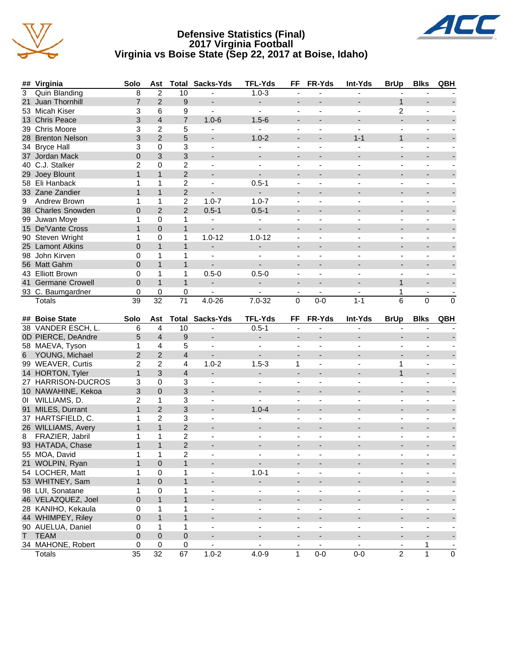

#### **Defensive Statistics (Final) 2017 Virginia Football Virginia vs Boise State (Sep 22, 2017 at Boise, Idaho)**



|    | ## Virginia                        | Solo                 | Ast                  |                         | <b>Total Sacks-Yds</b>      | <b>TFL-Yds</b>              | FF                            | FR-Yds                       | Int-Yds                  | <b>BrUp</b>                                | <b>Blks</b>              | QBH                                        |
|----|------------------------------------|----------------------|----------------------|-------------------------|-----------------------------|-----------------------------|-------------------------------|------------------------------|--------------------------|--------------------------------------------|--------------------------|--------------------------------------------|
| 3  | <b>Quin Blanding</b>               | 8                    | $\overline{2}$       | 10                      |                             | $1.0 - 3$                   | ä,                            | ä,                           |                          |                                            |                          |                                            |
| 21 | Juan Thornhill                     | $\overline{7}$       | $\overline{2}$       | 9                       | $\blacksquare$              | $\overline{\phantom{0}}$    | $\qquad \qquad \blacksquare$  |                              |                          | $\mathbf{1}$                               |                          |                                            |
|    | 53 Micah Kiser                     | 3                    | 6                    | 9                       | $\blacksquare$              | $\blacksquare$              | $\blacksquare$                | $\blacksquare$               |                          | 2                                          | $\blacksquare$           |                                            |
|    | 13 Chris Peace                     | 3                    | $\overline{4}$       | $\overline{7}$          | $1.0 - 6$                   | $1.5 - 6$                   | $\overline{\phantom{a}}$      | $\overline{\phantom{a}}$     |                          | $\blacksquare$                             | $\overline{a}$           |                                            |
|    | 39 Chris Moore                     | 3                    | $\overline{c}$       | 5                       |                             |                             |                               |                              |                          |                                            |                          |                                            |
|    | 28 Brenton Nelson                  | 3                    | $\overline{2}$       | 5                       |                             | $1.0 - 2$                   | $\overline{\phantom{a}}$      |                              | $1 - 1$                  | $\mathbf{1}$                               | $\overline{\phantom{a}}$ |                                            |
| 34 | <b>Bryce Hall</b>                  | 3                    | 0                    | 3                       | $\blacksquare$              |                             | $\blacksquare$                | ä,                           |                          | $\blacksquare$                             | ÷,                       |                                            |
|    | 37 Jordan Mack                     | $\overline{0}$       | 3                    | 3                       |                             | $\overline{\phantom{a}}$    | $\overline{\phantom{a}}$      |                              |                          |                                            | $\overline{a}$           |                                            |
|    | 40 C.J. Stalker                    | $\overline{c}$       | 0                    | $\overline{c}$          | $\blacksquare$              | $\blacksquare$              | $\overline{\phantom{a}}$      | $\blacksquare$               |                          | $\overline{\phantom{a}}$                   | $\blacksquare$           |                                            |
|    | 29 Joey Blount                     | $\mathbf{1}$         | $\mathbf{1}$         | $\overline{2}$          | $\blacksquare$              | $\overline{a}$              | $\overline{\phantom{a}}$      | $\overline{\phantom{a}}$     |                          | $\overline{a}$                             | $\overline{\phantom{a}}$ |                                            |
|    | 58 Eli Hanback                     | 1                    | 1                    | $\overline{c}$          | $\blacksquare$              | $0.5 - 1$                   | $\blacksquare$                | $\blacksquare$               | $\overline{\phantom{a}}$ | $\blacksquare$                             | $\blacksquare$           |                                            |
|    | 33 Zane Zandier                    | $\mathbf{1}$         | $\mathbf{1}$         | $\overline{2}$          |                             | ÷.                          | $\qquad \qquad \blacksquare$  | $\overline{\phantom{a}}$     |                          | $\overline{\phantom{0}}$                   |                          |                                            |
| 9  | Andrew Brown                       | 1                    | 1                    | $\overline{c}$          | $1.0 - 7$                   | $1.0 - 7$                   | $\blacksquare$                | $\blacksquare$               |                          | $\blacksquare$                             | $\blacksquare$           |                                            |
|    | 38 Charles Snowden                 | $\overline{0}$       | $\overline{2}$       | $\overline{2}$          | $0.5 - 1$                   | $0.5 - 1$                   | $\overline{\phantom{a}}$      | $\overline{a}$               |                          | $\overline{\phantom{a}}$                   | $\overline{a}$           |                                            |
|    | 99 Juwan Moye                      | $\mathbf{1}$         | 0                    | 1                       | $\blacksquare$              |                             |                               |                              |                          |                                            |                          |                                            |
|    | 15 De'Vante Cross                  | $\mathbf{1}$         | $\pmb{0}$            | $\mathbf{1}$            |                             |                             | $\overline{\phantom{a}}$      |                              |                          |                                            |                          |                                            |
|    | 90 Steven Wright                   | 1                    | 0                    | 1                       | $1.0 - 12$                  | $1.0 - 12$                  | $\blacksquare$                | ä,                           |                          | $\overline{\phantom{a}}$                   | ÷                        |                                            |
|    | 25 Lamont Atkins                   | $\overline{0}$       | $\mathbf{1}$         | $\mathbf{1}$            |                             |                             | $\overline{\phantom{a}}$      |                              |                          |                                            | $\overline{\phantom{a}}$ |                                            |
|    | 98 John Kirven                     | 0                    | 1                    | 1                       | $\blacksquare$              |                             | $\overline{\phantom{a}}$      | $\blacksquare$               |                          | $\overline{\phantom{a}}$                   | $\overline{\phantom{a}}$ |                                            |
|    | 56 Matt Gahm                       | $\overline{0}$       | $\mathbf{1}$         | $\mathbf{1}$            | $\blacksquare$              | $\overline{a}$              | $\overline{\phantom{a}}$      |                              |                          | $\overline{a}$                             | $\overline{a}$           |                                            |
|    | 43 Elliott Brown                   | 0                    | 1                    | 1                       | $0.5 - 0$                   | $0.5 - 0$                   | $\blacksquare$                | $\blacksquare$               | $\blacksquare$           | $\blacksquare$                             | $\blacksquare$           |                                            |
| 41 | <b>Germane Crowell</b>             | $\overline{0}$       | $\mathbf{1}$         | $\mathbf{1}$            | $\overline{\phantom{a}}$    | $\overline{\phantom{0}}$    | $\overline{\phantom{a}}$      | $\blacksquare$               |                          | $\mathbf{1}$                               | $\overline{\phantom{a}}$ |                                            |
|    | 93 C. Baumgardner                  | 0                    | $\mathbf 0$          | $\pmb{0}$               |                             |                             | $\overline{\phantom{a}}$      | $\blacksquare$               |                          | 1                                          |                          |                                            |
|    | <b>Totals</b>                      | 39                   | $\overline{32}$      | $\overline{71}$         | $4.0 - 26$                  | $7.0 - 32$                  | 0                             | $0-0$                        | $1 - 1$                  | 6                                          | 0                        | 0                                          |
|    |                                    |                      |                      |                         |                             |                             |                               |                              |                          |                                            |                          |                                            |
|    | ## Boise State                     | Solo                 | Ast                  |                         | <b>Total Sacks-Yds</b>      | <b>TFL-Yds</b>              | FF                            | FR-Yds                       | Int-Yds                  | <b>BrUp</b>                                | <b>Blks</b>              | <b>QBH</b>                                 |
|    | 38 VANDER ESCH, L.                 | 6                    | 4                    | 10                      |                             | $0.5 - 1$                   |                               |                              |                          |                                            |                          |                                            |
|    | 0D PIERCE, DeAndre                 | 5                    | $\overline{4}$       | 9                       | $\overline{\phantom{a}}$    |                             | $\overline{\phantom{a}}$      |                              |                          |                                            | $\overline{\phantom{a}}$ |                                            |
|    | 58 MAEVA, Tyson                    | 1                    | $\overline{4}$       | 5                       | $\blacksquare$              | $\overline{\phantom{a}}$    | $\overline{\phantom{a}}$      | $\overline{\phantom{a}}$     |                          | $\overline{\phantom{a}}$                   | $\overline{\phantom{a}}$ |                                            |
| 6  | YOUNG, Michael                     | $\overline{c}$       | $\overline{2}$       | $\overline{\mathbf{4}}$ | $\blacksquare$              | $\overline{a}$              | $\overline{\phantom{a}}$      |                              |                          | $\blacksquare$                             | $\overline{\phantom{a}}$ |                                            |
|    | 99 WEAVER, Curtis                  | $\overline{2}$       | $\overline{c}$       | 4                       | $1.0 - 2$                   | $1.5 - 3$                   | 1                             | $\blacksquare$               | $\overline{\phantom{a}}$ | 1                                          | $\blacksquare$           |                                            |
|    | 14 HORTON, Tyler                   | $\mathbf{1}$         | 3                    | $\overline{4}$          | $\overline{\phantom{a}}$    | $\overline{\phantom{0}}$    | $\overline{\phantom{a}}$      | $\blacksquare$               |                          | $\mathbf{1}$                               |                          |                                            |
|    | 27 HARRISON-DUCROS                 | 3                    | $\pmb{0}$            | $\mathbf{3}$            | $\blacksquare$              | $\blacksquare$              | $\blacksquare$                | $\overline{a}$               |                          | $\blacksquare$                             | ä,                       |                                            |
|    | 10 NAWAHINE, Kekoa                 | 3                    | $\mathbf 0$          | 3                       | $\overline{\phantom{a}}$    | $\blacksquare$              | $\overline{\phantom{a}}$      | $\overline{\phantom{a}}$     |                          | $\blacksquare$                             | $\overline{\phantom{a}}$ |                                            |
|    | 01 WILLIAMS, D.                    | $\overline{2}$       | $\mathbf{1}$         | 3                       |                             |                             |                               |                              |                          |                                            |                          |                                            |
|    | 91 MILES, Durrant                  | $\mathbf{1}$         | $\overline{2}$       | 3                       |                             | $1.0 - 4$                   | $\overline{\phantom{a}}$      |                              |                          |                                            | $\overline{\phantom{a}}$ |                                            |
|    | 37 HARTSFIELD, C.                  | 1                    | 2                    | 3                       | $\overline{\phantom{a}}$    |                             | $\overline{\phantom{a}}$      | $\overline{\phantom{a}}$     |                          | $\overline{\phantom{a}}$                   | $\overline{\phantom{a}}$ |                                            |
|    | 26 WILLIAMS, Avery                 | $\mathbf{1}$         | $\mathbf{1}$         | $\overline{c}$          |                             |                             |                               |                              |                          |                                            | $\overline{a}$           |                                            |
| 8  | FRAZIER, Jabril                    | 1                    | 1                    | $\overline{c}$          | $\overline{\phantom{a}}$    |                             | $\overline{\phantom{a}}$      | $\blacksquare$               |                          | $\overline{\phantom{a}}$                   | $\overline{\phantom{a}}$ |                                            |
|    | 93 HATADA, Chase                   | $\mathbf{1}$         | $\mathbf{1}$         | $\overline{c}$          | $\overline{\phantom{a}}$    |                             | $\overline{\phantom{a}}$      |                              |                          | $\overline{\phantom{a}}$                   | $\overline{\phantom{a}}$ |                                            |
|    | 55 MOA, David                      | $\mathbf{1}$         | 1                    | $\overline{2}$          |                             |                             |                               | $\overline{\phantom{a}}$     |                          | $\overline{\phantom{a}}$                   |                          |                                            |
|    | 21 WOLPIN, Ryan                    | 1                    | $\mathbf 0$          | $\mathbf{1}$            | $\overline{\phantom{a}}$    | ÷                           | $\overline{\phantom{a}}$      | $\qquad \qquad \blacksquare$ |                          | $\overline{\phantom{a}}$                   | $\overline{\phantom{a}}$ |                                            |
|    | 54 LOCHER, Matt                    | 1                    | $\pmb{0}$            | 1                       | $\blacksquare$              | $1.0 - 1$                   | $\overline{\phantom{a}}$      | $\blacksquare$               | $\blacksquare$           | $\overline{\phantom{a}}$                   | $\blacksquare$           |                                            |
|    | 53 WHITNEY, Sam                    | $\mathbf{1}$         | $\mathbf 0$          | $\mathbf{1}$            | $\blacksquare$              | ÷.                          |                               | $\overline{\phantom{a}}$     | $\blacksquare$           | $\overline{\phantom{a}}$                   | $\overline{\phantom{a}}$ |                                            |
|    | 98 LUI, Sonatane                   | $\mathbf{1}$         | 0                    | 1                       | $\blacksquare$              | $\blacksquare$              | $\qquad \qquad \blacksquare$  | $\blacksquare$               | $\blacksquare$           | $\overline{\phantom{a}}$                   |                          |                                            |
|    | 46 VELAZQUEZ, Joel                 | 0                    | $\mathbf{1}$         | $\mathbf{1}$            | $\overline{\phantom{a}}$    | $\overline{\phantom{0}}$    | $\qquad \qquad \blacksquare$  |                              | ٠                        | $\overline{\phantom{0}}$                   | -                        |                                            |
|    | 28 KANIHO, Kekaula                 | 0                    | 1                    | 1                       | $\overline{\phantom{a}}$    |                             | $\overline{\phantom{a}}$      | $\overline{\phantom{a}}$     | $\overline{\phantom{a}}$ | $\blacksquare$                             | $\overline{\phantom{a}}$ |                                            |
|    |                                    |                      |                      |                         |                             | $\overline{\phantom{a}}$    |                               |                              |                          |                                            |                          |                                            |
|    | 44 WHIMPEY, Riley                  | 0                    | $\mathbf{1}$         | $\mathbf{1}$            |                             |                             |                               |                              |                          | $\overline{\phantom{a}}$                   | $\overline{\phantom{a}}$ |                                            |
|    | 90 AUELUA, Daniel                  | 0                    | 1                    | $\mathbf 1$             | $\overline{\phantom{a}}$    | $\overline{\phantom{a}}$    | $\overline{\phantom{a}}$      | $\overline{\phantom{a}}$     | $\overline{\phantom{a}}$ | $\overline{\phantom{a}}$                   | $\overline{\phantom{a}}$ | $\overline{\phantom{a}}$                   |
| T. | <b>TEAM</b>                        | 0                    | $\pmb{0}$            | $\pmb{0}$               | ۰                           | ÷.                          | ۰                             | -                            | ٠                        | $\overline{\phantom{a}}$                   | $\overline{\phantom{a}}$ | ÷,                                         |
|    | 34 MAHONE, Robert<br><b>Totals</b> | 0<br>$\overline{35}$ | 0<br>$\overline{32}$ | $\pmb{0}$<br>67         | $\blacksquare$<br>$1.0 - 2$ | $\blacksquare$<br>$4.0 - 9$ | $\overline{\phantom{a}}$<br>1 | $\blacksquare$<br>$0-0$      | $\blacksquare$<br>$0-0$  | $\overline{\phantom{a}}$<br>$\overline{2}$ | 1<br>$\mathbf{1}$        | $\overline{\phantom{a}}$<br>$\overline{0}$ |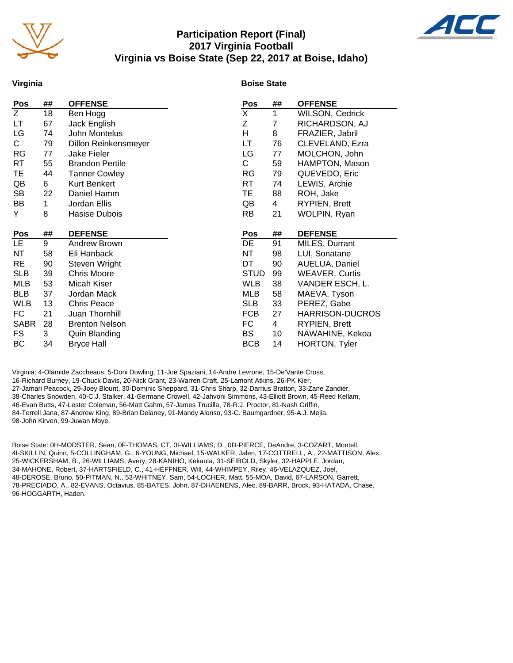

#### **Participation Report (Final) 2017 Virginia Football Virginia vs Boise State (Sep 22, 2017 at Boise, Idaho)**



#### **Virginia**

#### **Boise State**

| Pos         | ##           | <b>OFFENSE</b>         | Pos         | ##             | <b>OFFENSE</b>         |
|-------------|--------------|------------------------|-------------|----------------|------------------------|
| Z           | 18           | Ben Hogg               | X           | 1              | WILSON, Cedrick        |
| LТ          | 67           | Jack English           | Ζ           | 7              | RICHARDSON, AJ         |
| LG          | 74           | John Montelus          | H           | 8              | FRAZIER, Jabril        |
| C           | 79           | Dillon Reinkensmeyer   | LT          | 76             | CLEVELAND, Ezra        |
| <b>RG</b>   | 77           | Jake Fieler            | LG          | 77             | MOLCHON, John          |
| RT          | 55           | <b>Brandon Pertile</b> | С           | 59             | HAMPTON, Mason         |
| ТE          | 44           | <b>Tanner Cowley</b>   | RG          | 79             | QUEVEDO, Eric          |
| QB          | 6            | Kurt Benkert           | RT          | 74             | LEWIS, Archie          |
| <b>SB</b>   | 22           | Daniel Hamm            | TE          | 88             | ROH, Jake              |
| BB          | $\mathbf{1}$ | Jordan Ellis           | QB          | 4              | <b>RYPIEN, Brett</b>   |
| Y           | 8            | Hasise Dubois          | RB          | 21             | WOLPIN, Ryan           |
|             |              |                        |             |                |                        |
| Pos         | ##           | <b>DEFENSE</b>         | Pos         | ##             | <b>DEFENSE</b>         |
| LE.         | 9            | Andrew Brown           | DE          | 91             | MILES, Durrant         |
| NT          | 58           | Eli Hanback            | NΤ          | 98             | LUI, Sonatane          |
| <b>RE</b>   | 90           | Steven Wright          | DT          | 90             | AUELUA, Daniel         |
| <b>SLB</b>  | 39           | <b>Chris Moore</b>     | <b>STUD</b> | 99             | <b>WEAVER, Curtis</b>  |
| MLB         | 53           | Micah Kiser            | <b>WLB</b>  | 38             | VANDER ESCH, L.        |
| <b>BLB</b>  | 37           | Jordan Mack            | MLB         | 58             | MAEVA, Tyson           |
| <b>WLB</b>  | 13           | <b>Chris Peace</b>     | SLB         | 33             | PEREZ, Gabe            |
| FC          | 21           | Juan Thornhill         | <b>FCB</b>  | 27             | <b>HARRISON-DUCROS</b> |
| <b>SABR</b> | 28           | <b>Brenton Nelson</b>  | FC          | $\overline{4}$ | <b>RYPIEN, Brett</b>   |
| FS          | 3            | <b>Quin Blanding</b>   | BS          | 10             | NAWAHINE, Kekoa        |
| ВC          | 34           | <b>Bryce Hall</b>      | <b>BCB</b>  | 14             | HORTON, Tyler          |

Virginia: 4-Olamide Zaccheaus, 5-Doni Dowling, 11-Joe Spaziani, 14-Andre Levrone, 15-De'Vante Cross, 16-Richard Burney, 19-Chuck Davis, 20-Nick Grant, 23-Warren Craft, 25-Lamont Atkins, 26-PK Kier, 27-Jamari Peacock, 29-Joey Blount, 30-Dominic Sheppard, 31-Chris Sharp, 32-Darrius Bratton, 33-Zane Zandier, 38-Charles Snowden, 40-C.J. Stalker, 41-Germane Crowell, 42-Jahvoni Simmons, 43-Elliott Brown, 45-Reed Kellam, 46-Evan Butts, 47-Lester Coleman, 56-Matt Gahm, 57-James Trucilla, 78-R.J. Proctor, 81-Nash Griffin, 84-Terrell Jana, 87-Andrew King, 89-Brian Delaney, 91-Mandy Alonso, 93-C. Baumgardner, 95-A.J. Mejia, 98-John Kirven, 99-Juwan Moye.

Boise State: 0H-MODSTER, Sean, 0F-THOMAS, CT, 0I-WILLIAMS, D., 0D-PIERCE, DeAndre, 3-COZART, Montell, 4I-SKILLIN, Quinn, 5-COLLINGHAM, G., 6-YOUNG, Michael, 15-WALKER, Jalen, 17-COTTRELL, A., 22-MATTISON, Alex, 25-WICKERSHAM, B., 26-WILLIAMS, Avery, 28-KANIHO, Kekaula, 31-SEIBOLD, Skyler, 32-HAPPLE, Jordan, 34-MAHONE, Robert, 37-HARTSFIELD, C., 41-HEFFNER, Will, 44-WHIMPEY, Riley, 46-VELAZQUEZ, Joel, 48-DEROSE, Bruno, 50-PITMAN, N., 53-WHITNEY, Sam, 54-LOCHER, Matt, 55-MOA, David, 67-LARSON, Garrett, 78-PRECIADO, A., 82-EVANS, Octavius, 85-BATES, John, 87-DHAENENS, Alec, 89-BARR, Brock, 93-HATADA, Chase, 96-HOGGARTH, Haden.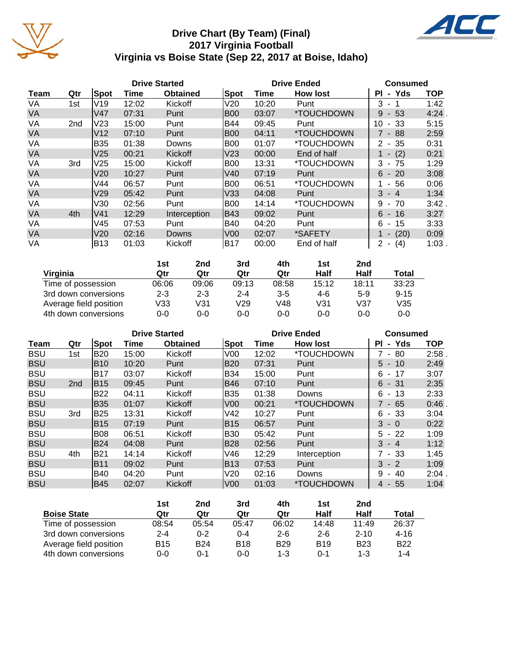

### **Drive Chart (By Team) (Final) 2017 Virginia Football Virginia vs Boise State (Sep 22, 2017 at Boise, Idaho)**



|           |                 |                 |       | <b>Drive Started</b> |                 |       | <b>Drive Ended</b>       | <b>Consumed</b>                  |            |  |
|-----------|-----------------|-----------------|-------|----------------------|-----------------|-------|--------------------------|----------------------------------|------------|--|
| Team      | Qtr             | <b>Spot</b>     | Time  | <b>Obtained</b>      | <b>Spot</b>     | Time  | <b>How lost</b>          | Yds<br>ΡI<br>$\blacksquare$      | <b>TOP</b> |  |
| VA        | 1st             | V <sub>19</sub> | 12:02 | Kickoff              | V20             | 10:20 | Punt                     | 3                                | 1:42       |  |
| VA        |                 | V47             | 07:31 | Punt                 | <b>B00</b>      | 03:07 | *TOUCHDOWN               | 53<br>9<br>$\blacksquare$        | 4:24       |  |
| VA        | 2 <sub>nd</sub> | V <sub>23</sub> | 15:00 | Punt                 | <b>B44</b>      | 09:45 | Punt                     | 10<br>- 33                       | 5:15       |  |
| <b>VA</b> |                 | V <sub>12</sub> | 07:10 | Punt                 | <b>B00</b>      | 04:11 | *TOUCHDOWN               | $7 - 88$                         | 2:59       |  |
| VA        |                 | <b>B35</b>      | 01:38 | Downs                | <b>B00</b>      | 01:07 | *TOUCHDOWN               | 35<br>$2 -$                      | 0:31       |  |
| VA        |                 | V <sub>25</sub> | 00:21 | Kickoff              | V <sub>23</sub> | 00:00 | End of half              | (2)<br>$\overline{\phantom{a}}$  | 0:21       |  |
| VA        | 3rd             | V <sub>25</sub> | 15:00 | Kickoff              | <b>B00</b>      | 13:31 | *TOUCHDOWN               | 3<br>75<br>$\blacksquare$        | 1:29       |  |
| VA        |                 | V20             | 10:27 | Punt                 | V40             | 07:19 | Punt                     | 6<br>$-20$                       | 3:08       |  |
| VA        |                 | V44             | 06:57 | Punt                 | <b>B00</b>      | 06:51 | *TOUCHDOWN               | 56<br>$\sim$                     | 0:06       |  |
| <b>VA</b> |                 | V29             | 05:42 | Punt                 | V33             | 04:08 | Punt                     | 3<br>$-4$                        | 1:34       |  |
| VA        |                 | V30             | 02:56 | Punt                 | <b>B00</b>      | 14:14 | <i><b>*TOUCHDOWN</b></i> | 9<br>70<br>$\blacksquare$        | $3:42$ .   |  |
| <b>VA</b> | 4th             | V <sub>41</sub> | 12:29 | Interception         | <b>B43</b>      | 09:02 | Punt                     | 6<br>16<br>$\sim$                | 3:27       |  |
| VA        |                 | V45             | 07:53 | Punt                 | <b>B40</b>      | 04:20 | Punt                     | 6<br>15<br>$\blacksquare$        | 3:33       |  |
| <b>VA</b> |                 | V <sub>20</sub> | 02:16 | <b>Downs</b>         | V <sub>0</sub>  | 02:07 | *SAFETY                  | (20)<br>$\overline{\phantom{a}}$ | 0:09       |  |
| VA        |                 | <b>B13</b>      | 01:03 | Kickoff              | B17             | 00:00 | End of half              | (4)<br>2<br>$\blacksquare$       | $1:03$ .   |  |

|                        | 1st     | 2nd     | 3rd     | 4th     | 1st     | 2nd     |          |
|------------------------|---------|---------|---------|---------|---------|---------|----------|
| Virginia               | Qtr     | Qtr     | Qtr     | Qtr     | Half    | Half    | Total    |
| Time of possession     | 06:06   | 09:06   | 09:13   | 08:58   | 15:12   | 18:11   | 33:23    |
| 3rd down conversions   | $2 - 3$ | $2 - 3$ | $2 - 4$ | $3 - 5$ | 4-6     | $5-9$   | $9 - 15$ |
| Average field position | V33     | V31     | V29     | V48     | V31     | V37     | V35      |
| 4th down conversions   | 0-0     | $0 - 0$ | 0-0     | $0 - 0$ | $0 - 0$ | $0 - 0$ | $0 - 0$  |

|            |                 |            |       | <b>Drive Started</b> |                 | <b>Drive Ended</b> | <b>Consumed</b> |                                     |            |
|------------|-----------------|------------|-------|----------------------|-----------------|--------------------|-----------------|-------------------------------------|------------|
| Team       | Qtr             | Spot       | Time  | <b>Obtained</b>      | Spot            | Time               | <b>How lost</b> | Yds<br>ΡI<br>$\blacksquare$         | <b>TOP</b> |
| <b>BSU</b> | 1st             | <b>B20</b> | 15:00 | Kickoff              | V <sub>00</sub> | 12:02              | *TOUCHDOWN      | 80<br>$\blacksquare$                | 2:58       |
| <b>BSU</b> |                 | <b>B10</b> | 10:20 | Punt                 | B20             | 07:31              | Punt            | $5 -$<br>10                         | 2:49       |
| <b>BSU</b> |                 | <b>B17</b> | 03:07 | Kickoff              | B34             | 15:00              | Punt            | 6<br>17<br>$\blacksquare$           | 3:07       |
| <b>BSU</b> | 2 <sub>nd</sub> | <b>B15</b> | 09:45 | Punt                 | B46             | 07:10              | Punt            | 6<br>- 31                           | 2:35       |
| <b>BSU</b> |                 | <b>B22</b> | 04:11 | Kickoff              | B35             | 01:38              | Downs           | 6<br>13<br>$\overline{\phantom{a}}$ | 2:33       |
| <b>BSU</b> |                 | <b>B35</b> | 01:07 | Kickoff              | V <sub>00</sub> | 00:21              | *TOUCHDOWN      | $7 - 65$                            | $0:46$ .   |
| <b>BSU</b> | 3rd             | <b>B25</b> | 13:31 | Kickoff              | V42             | 10:27              | Punt            | 6<br>- 33                           | 3:04       |
| <b>BSU</b> |                 | <b>B15</b> | 07:19 | Punt                 | B15             | 06:57              | Punt            | 3<br>$-0$                           | 0:22       |
| <b>BSU</b> |                 | <b>B08</b> | 06:51 | Kickoff              | B30             | 05:42              | Punt            | 5<br>22<br>$\blacksquare$           | 1:09       |
| <b>BSU</b> |                 | <b>B24</b> | 04:08 | Punt                 | <b>B28</b>      | 02:56              | Punt            | $3 - 4$                             | 1:12       |
| <b>BSU</b> | 4th             | <b>B21</b> | 14:14 | Kickoff              | V46             | 12:29              | Interception    | 7 - 33                              | 1:45       |
| <b>BSU</b> |                 | <b>B11</b> | 09:02 | Punt                 | B13             | 07:53              | Punt            | 3<br>$-2$                           | 1:09       |
| <b>BSU</b> |                 | B40        | 04:20 | Punt                 | V20             | 02:16              | Downs           | 40<br>9<br>$\blacksquare$           | 2:04       |
| <b>BSU</b> |                 | <b>B45</b> | 02:07 | Kickoff              | V <sub>00</sub> | 01:03              | *TOUCHDOWN      | $-55$<br>4                          | 1:04       |

|                        | 1st     | 2nd        | 3rd        | 4th        | 1st        | 2nd        |              |
|------------------------|---------|------------|------------|------------|------------|------------|--------------|
| <b>Boise State</b>     | Qtr     | Qtr        | Qtr        | Qtr        | Half       | Half       | <b>Total</b> |
| Time of possession     | 08:54   | 05:54      | 05:47      | 06:02      | 14:48      | 11:49      | 26:37        |
| 3rd down conversions   | $2 - 4$ | $0 - 2$    | 0-4        | $2 - 6$    | $2 - 6$    | $2 - 10$   | $4 - 16$     |
| Average field position | B15     | <b>B24</b> | <b>B18</b> | <b>B29</b> | <b>B19</b> | <b>B23</b> | <b>B22</b>   |
| 4th down conversions   | 0-0     | ი-1        | $0 - 0$    | $1 - 3$    | 0-1        | $1 - 3$    | 1-4          |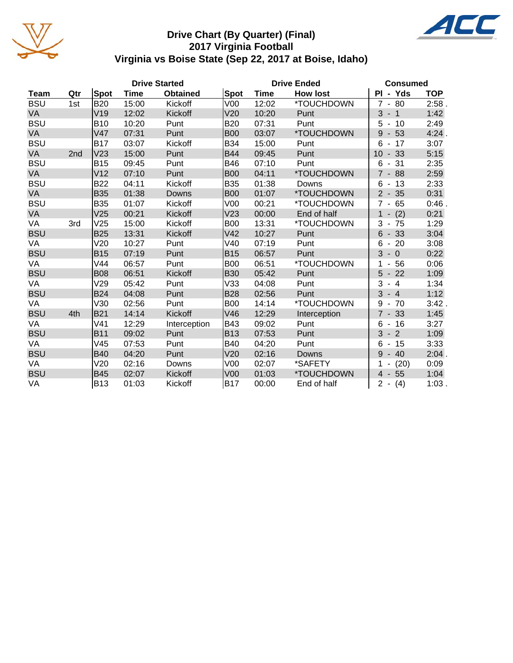

#### **Drive Chart (By Quarter) (Final) 2017 Virginia Football Virginia vs Boise State (Sep 22, 2017 at Boise, Idaho)**



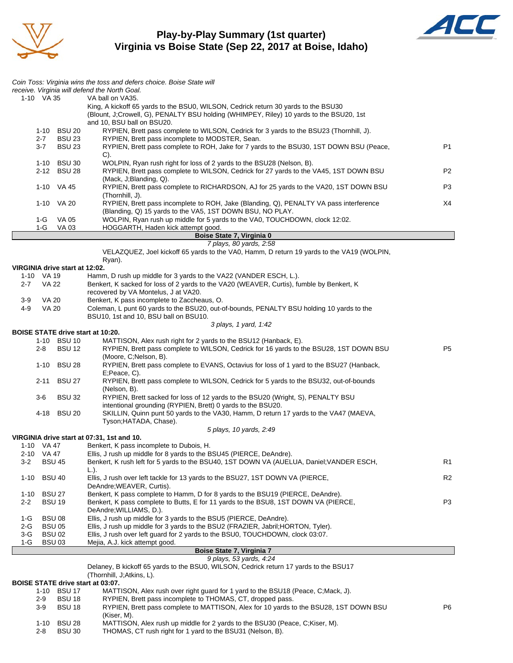

**Play-by-Play Summary (1st quarter) Virginia vs Boise State (Sep 22, 2017 at Boise, Idaho)**



|            |                     |                                | Coin Toss: Virginia wins the toss and defers choice. Boise State will<br>receive. Virginia will defend the North Goal.                                                                                      |                |
|------------|---------------------|--------------------------------|-------------------------------------------------------------------------------------------------------------------------------------------------------------------------------------------------------------|----------------|
|            | 1-10 VA 35          |                                | VA ball on VA35.                                                                                                                                                                                            |                |
|            |                     |                                | King, A kickoff 65 yards to the BSU0, WILSON, Cedrick return 30 yards to the BSU30<br>(Blount, J;Crowell, G), PENALTY BSU holding (WHIMPEY, Riley) 10 yards to the BSU20, 1st<br>and 10, BSU ball on BSU20. |                |
|            |                     | 1-10 BSU 20                    | RYPIEN, Brett pass complete to WILSON, Cedrick for 3 yards to the BSU23 (Thornhill, J).                                                                                                                     |                |
|            | $2 - 7$             | <b>BSU 23</b>                  | RYPIEN, Brett pass incomplete to MODSTER, Sean.                                                                                                                                                             |                |
|            | $3 - 7$             | <b>BSU 23</b>                  | RYPIEN, Brett pass complete to ROH, Jake for 7 yards to the BSU30, 1ST DOWN BSU (Peace,<br>C).                                                                                                              | P1             |
|            |                     | 1-10 BSU 30<br>2-12 BSU 28     | WOLPIN, Ryan rush right for loss of 2 yards to the BSU28 (Nelson, B).<br>RYPIEN, Brett pass complete to WILSON, Cedrick for 27 yards to the VA45, 1ST DOWN BSU<br>(Mack, J;Blanding, Q).                    | P <sub>2</sub> |
|            |                     | 1-10 VA 45                     | RYPIEN, Brett pass complete to RICHARDSON, AJ for 25 yards to the VA20, 1ST DOWN BSU<br>(Thornhill, J).                                                                                                     | P3             |
|            |                     | 1-10 VA 20                     | RYPIEN, Brett pass incomplete to ROH, Jake (Blanding, Q), PENALTY VA pass interference<br>(Blanding, Q) 15 yards to the VA5, 1ST DOWN BSU, NO PLAY.                                                         | X4             |
|            | $1-G$               | <b>VA 05</b>                   | WOLPIN, Ryan rush up middle for 5 yards to the VA0, TOUCHDOWN, clock 12:02.                                                                                                                                 |                |
|            | 1-G                 | VA 03                          | HOGGARTH, Haden kick attempt good.                                                                                                                                                                          |                |
|            |                     |                                | Boise State 7, Virginia 0<br>7 plays, 80 yards, 2:58                                                                                                                                                        |                |
|            |                     |                                | VELAZQUEZ, Joel kickoff 65 yards to the VA0, Hamm, D return 19 yards to the VA19 (WOLPIN,                                                                                                                   |                |
|            |                     |                                | Ryan).                                                                                                                                                                                                      |                |
|            |                     | VIRGINIA drive start at 12:02. |                                                                                                                                                                                                             |                |
| $2 - 7$    | 1-10 VA 19<br>VA 22 |                                | Hamm, D rush up middle for 3 yards to the VA22 (VANDER ESCH, L.).<br>Benkert, K sacked for loss of 2 yards to the VA20 (WEAVER, Curtis), fumble by Benkert, K                                               |                |
|            |                     |                                | recovered by VA Montelus, J at VA20.                                                                                                                                                                        |                |
| $3-9$      | VA 20               |                                | Benkert, K pass incomplete to Zaccheaus, O.                                                                                                                                                                 |                |
| 4-9        | <b>VA 20</b>        |                                | Coleman, L punt 60 yards to the BSU20, out-of-bounds, PENALTY BSU holding 10 yards to the                                                                                                                   |                |
|            |                     |                                | BSU10, 1st and 10, BSU ball on BSU10.<br>3 plays, 1 yard, 1:42                                                                                                                                              |                |
|            |                     |                                | <b>BOISE STATE drive start at 10:20.</b>                                                                                                                                                                    |                |
|            |                     | 1-10 BSU 10                    | MATTISON, Alex rush right for 2 yards to the BSU12 (Hanback, E).                                                                                                                                            |                |
|            | $2 - 8$             | <b>BSU 12</b>                  | RYPIEN, Brett pass complete to WILSON, Cedrick for 16 yards to the BSU28, 1ST DOWN BSU<br>(Moore, C;Nelson, B).                                                                                             | P <sub>5</sub> |
|            |                     | 1-10 BSU 28                    | RYPIEN, Brett pass complete to EVANS, Octavius for loss of 1 yard to the BSU27 (Hanback,<br>E;Peace, C).                                                                                                    |                |
|            | 2-11                | BSU 27                         | RYPIEN, Brett pass complete to WILSON, Cedrick for 5 yards to the BSU32, out-of-bounds<br>(Nelson, B).                                                                                                      |                |
|            | 3-6                 | <b>BSU 32</b>                  | RYPIEN, Brett sacked for loss of 12 yards to the BSU20 (Wright, S), PENALTY BSU                                                                                                                             |                |
|            |                     | 4-18 BSU 20                    | intentional grounding (RYPIEN, Brett) 0 yards to the BSU20.<br>SKILLIN, Quinn punt 50 yards to the VA30, Hamm, D return 17 yards to the VA47 (MAEVA,                                                        |                |
|            |                     |                                | Tyson; HATADA, Chase).                                                                                                                                                                                      |                |
|            |                     |                                | 5 plays, 10 yards, 2:49                                                                                                                                                                                     |                |
|            | 1-10 VA 47          |                                | VIRGINIA drive start at 07:31, 1st and 10.<br>Benkert, K pass incomplete to Dubois, H.                                                                                                                      |                |
|            | 2-10 VA 47          |                                | Ellis, J rush up middle for 8 yards to the BSU45 (PIERCE, DeAndre).                                                                                                                                         |                |
| $3 - 2$    |                     | <b>BSU 45</b>                  | Benkert, K rush left for 5 yards to the BSU40, 1ST DOWN VA (AUELUA, Daniel; VANDER ESCH,<br>L.).                                                                                                            | R <sub>1</sub> |
| $1 - 10$   | <b>BSU 40</b>       |                                | Ellis, J rush over left tackle for 13 yards to the BSU27, 1ST DOWN VA (PIERCE,<br>DeAndre; WEAVER, Curtis).                                                                                                 | R <sub>2</sub> |
| 1-10       |                     | <b>BSU 27</b>                  | Benkert, K pass complete to Hamm, D for 8 yards to the BSU19 (PIERCE, DeAndre).                                                                                                                             |                |
| $2 - 2$    |                     | <b>BSU 19</b>                  | Benkert, K pass complete to Butts, E for 11 yards to the BSU8, 1ST DOWN VA (PIERCE,<br>DeAndre; WILLIAMS, D.).                                                                                              | P <sub>3</sub> |
| 1-G        |                     | <b>BSU08</b><br><b>BSU 05</b>  | Ellis, J rush up middle for 3 yards to the BSU5 (PIERCE, DeAndre).<br>Ellis, J rush up middle for 3 yards to the BSU2 (FRAZIER, Jabril; HORTON, Tyler).                                                     |                |
| 2-G<br>3-G |                     | <b>BSU02</b>                   | Ellis, J rush over left guard for 2 yards to the BSU0, TOUCHDOWN, clock 03:07.                                                                                                                              |                |
| $1-G$      |                     | <b>BSU03</b>                   | Mejia, A.J. kick attempt good.                                                                                                                                                                              |                |
|            |                     |                                | Boise State 7, Virginia 7                                                                                                                                                                                   |                |
|            |                     |                                | 9 plays, 53 yards, 4:24<br>Delaney, B kickoff 65 yards to the BSU0, WILSON, Cedrick return 17 yards to the BSU17                                                                                            |                |
|            |                     |                                | (Thornhill, J;Atkins, L).<br><b>BOISE STATE drive start at 03:07.</b>                                                                                                                                       |                |
|            |                     | 1-10 BSU 17                    | MATTISON, Alex rush over right guard for 1 yard to the BSU18 (Peace, C;Mack, J).                                                                                                                            |                |
|            | 2-9                 | <b>BSU 18</b>                  | RYPIEN, Brett pass incomplete to THOMAS, CT, dropped pass.                                                                                                                                                  |                |
|            | $3-9$               | <b>BSU 18</b>                  | RYPIEN, Brett pass complete to MATTISON, Alex for 10 yards to the BSU28, 1ST DOWN BSU                                                                                                                       | P <sub>6</sub> |
|            | 1-10                | <b>BSU 28</b>                  | (Kiser, M).<br>MATTISON, Alex rush up middle for 2 yards to the BSU30 (Peace, C;Kiser, M).                                                                                                                  |                |

2-8 BSU 30 THOMAS, CT rush right for 1 yard to the BSU31 (Nelson, B).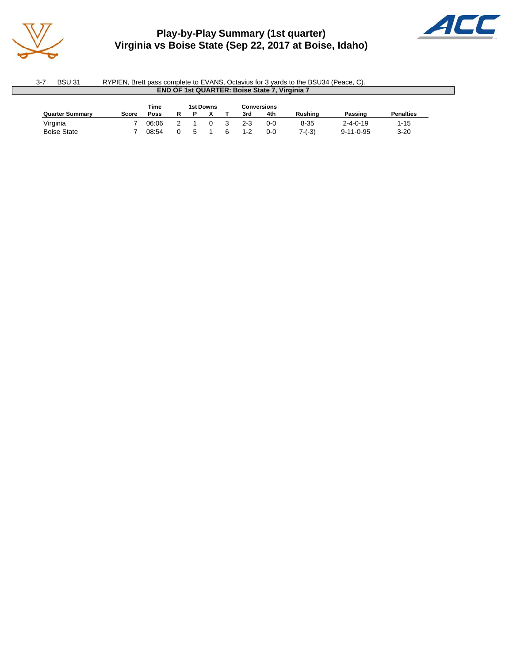

### **Play-by-Play Summary (1st quarter) Virginia vs Boise State (Sep 22, 2017 at Boise, Idaho)**



| - 3-7 | <b>BSU 31</b>                                        | RYPIEN. Brett pass complete to EVANS. Octavius for 3 vards to the BSU34 (Peace, C). |  |  |  |  |  |  |  |  |
|-------|------------------------------------------------------|-------------------------------------------------------------------------------------|--|--|--|--|--|--|--|--|
|       | <b>END OF 1st QUARTER: Boise State 7, Virginia 7</b> |                                                                                     |  |  |  |  |  |  |  |  |

| Time<br>1st Downs<br>Conversions |       |       |  |  |  |  |            |     |                |                   |                  |
|----------------------------------|-------|-------|--|--|--|--|------------|-----|----------------|-------------------|------------------|
| <b>Quarter Summary</b>           | Score | Poss  |  |  |  |  | 4th<br>3rd |     | <b>Rushing</b> | Passing           | <b>Penalties</b> |
| Virginia                         |       | 06:06 |  |  |  |  | $2 - 3$    | 0-0 | $8 - 35$       | $2 - 4 - 0 - 19$  | $1 - 15$         |
| <b>Boise State</b>               |       | 08:54 |  |  |  |  | $1 - 2$    | 0-0 | $7-(-3)$       | $9 - 11 - 0 - 95$ | $3 - 20$         |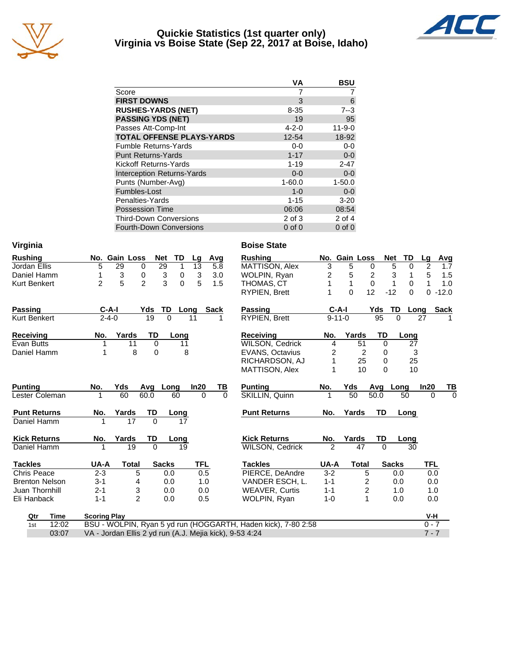

#### **Quickie Statistics (1st quarter only) Virginia vs Boise State (Sep 22, 2017 at Boise, Idaho)**



|                                   | VA          | <b>BSU</b>   |
|-----------------------------------|-------------|--------------|
| Score                             | 7           |              |
| <b>FIRST DOWNS</b>                | 3           | 6            |
| <b>RUSHES-YARDS (NET)</b>         | $8 - 35$    | $7 - 3$      |
| <b>PASSING YDS (NET)</b>          | 19          | 95           |
| Passes Att-Comp-Int               | $4 - 2 - 0$ | $11 - 9 - 0$ |
| <b>TOTAL OFFENSE PLAYS-YARDS</b>  | 12-54       | 18-92        |
| <b>Fumble Returns-Yards</b>       | $0 - 0$     | $0-0$        |
| <b>Punt Returns-Yards</b>         | $1 - 17$    | $0 - 0$      |
| Kickoff Returns-Yards             | $1 - 19$    | $2 - 47$     |
| <b>Interception Returns-Yards</b> | $0 - 0$     | $0 - 0$      |
| Punts (Number-Avg)                | $1 - 60.0$  | $1 - 50.0$   |
| Fumbles-Lost                      | $1 - 0$     | $0 - 0$      |
| Penalties-Yards                   | $1 - 15$    | $3 - 20$     |
| <b>Possession Time</b>            | 06:06       | 08:54        |
| <b>Third-Down Conversions</b>     | $2$ of $3$  | $2$ of $4$   |
| <b>Fourth-Down Conversions</b>    | $0$ of $0$  | $0$ of $0$   |

| Virginia              |                                                                    | <b>Boise State</b>         |                |               |                     |          |                |             |
|-----------------------|--------------------------------------------------------------------|----------------------------|----------------|---------------|---------------------|----------|----------------|-------------|
| <b>Rushing</b>        | No. Gain Loss<br><b>TD</b><br><b>Net</b><br>Avg<br>Lg              | <b>Rushing</b>             |                | No. Gain Loss | <b>Net</b>          | TD       | Lg             | Avg         |
| Jordan Ellis          | $\overline{1}$<br>5<br>29<br>$\overline{29}$<br>13<br>0<br>5.8     | MATTISON, Alex             | $\overline{3}$ | 5             | $\overline{5}$<br>0 | 0        | $\overline{2}$ | 1.7         |
| Daniel Hamm           | 3<br>0<br>3<br>$\boldsymbol{3}$<br>3.0<br>$\pmb{0}$<br>1           | WOLPIN, Ryan               | $\overline{c}$ | 5             | 3<br>2              | 1        | 5              | 1.5         |
| <b>Kurt Benkert</b>   | 5<br>$\overline{2}$<br>3<br>5<br>$\overline{2}$<br>$\Omega$<br>1.5 | THOMAS, CT                 | 1              | $\mathbf{1}$  | $\mathbf 0$<br>1    | 0        | 1              | 1.0         |
|                       |                                                                    | <b>RYPIEN, Brett</b>       |                | $\Omega$      | 12<br>$-12$         | $\Omega$ | $\Omega$       | $-12.0$     |
| <b>Passing</b>        | <b>Sack</b><br>$C-A-I$<br>Yds<br>TD<br>Long                        | <b>Passing</b>             | $C-A-I$        |               | Yds<br>TD           | Long     |                | <b>Sack</b> |
| Kurt Benkert          | $2 - 4 - 0$<br>19<br>$\Omega$<br>11                                | <b>RYPIEN, Brett</b>       | $9 - 11 - 0$   |               | 95<br>$\Omega$      |          | 27             |             |
| Receiving             | Yards<br>TD<br>No.<br>Long                                         | <b>Receiving</b>           | No.            | Yards         | TD                  | Long     |                |             |
| <b>Evan Butts</b>     | $\mathbf 0$<br>11<br>11                                            | <b>WILSON, Cedrick</b>     | 4              | 51            | $\mathbf 0$         | 27       |                |             |
| Daniel Hamm           | 8<br>0<br>8<br>1                                                   | <b>EVANS, Octavius</b>     | 2              | 2             | 0                   | 3        |                |             |
|                       |                                                                    | RICHARDSON, AJ             | 1              | 25            | 0                   | 25       |                |             |
|                       |                                                                    | MATTISON, Alex             |                | 10            | $\Omega$            | 10       |                |             |
| <b>Punting</b>        | No.<br>Yds<br>In20<br>Avg Long<br>TВ                               | <b>Punting</b>             | No.            | Yds           | Avg<br>Long         |          | In20           | <u>ТВ</u>   |
| Lester Coleman        | 60<br>60.0<br>60<br>$\Omega$                                       | $\Omega$<br>SKILLIN, Quinn | 1              | 50            | 50.0                | 50       | $\Omega$       | $\Omega$    |
| <b>Punt Returns</b>   | TD<br>Yards<br>No.<br>Long                                         | <b>Punt Returns</b>        | No.            | Yards         | <b>TD</b>           | Long     |                |             |
| Daniel Hamm           | $\Omega$<br>17<br>1<br>17                                          |                            |                |               |                     |          |                |             |
| <b>Kick Returns</b>   | TD<br>Yards<br>No.<br>Long                                         | <b>Kick Returns</b>        | No.            | Yards         | TD                  | Long     |                |             |
| Daniel Hamm           | 19<br>$\Omega$<br>19                                               | <b>WILSON, Cedrick</b>     | $\overline{2}$ | 47            | $\Omega$            | 30       |                |             |
| <b>Tackles</b>        | <b>Sacks</b><br><b>TFL</b><br>UA-A<br><b>Total</b>                 | <b>Tackles</b>             | UA-A           | <b>Total</b>  | <b>Sacks</b>        |          | TFL            |             |
| <b>Chris Peace</b>    | $2 - 3$<br>5<br>0.5<br>0.0                                         | PIERCE, DeAndre            | $3 - 2$        | 5             | 0.0                 |          | 0.0            |             |
| <b>Brenton Nelson</b> | $3 - 1$<br>0.0<br>4<br>1.0                                         | VANDER ESCH. L.            | $1 - 1$        | 2             | 0.0                 |          | 0.0            |             |
| Juan Thornhill        | 3<br>$2 - 1$<br>0.0<br>0.0                                         | <b>WEAVER, Curtis</b>      | $1 - 1$        | 2             | 1.0                 |          | 1.0            |             |
| Eli Hanback           | $\mathfrak{p}$<br>$1 - 1$<br>0.0<br>0.5                            | WOLPIN, Ryan               | $1 - 0$        | $\mathbf{1}$  | 0.0                 |          | 0.0            |             |
| <b>Time</b><br>Qtr    | <b>Scoring Play</b>                                                |                            |                |               |                     |          | V-H            |             |
| 12:02<br>1st          | BSU - WOLPIN, Ryan 5 yd run (HOGGARTH, Haden kick), 7-80 2:58      |                            |                |               |                     |          | $0 - 7$        |             |
| 03:07                 | VA - Jordan Ellis 2 yd run (A.J. Mejia kick), 9-53 4:24            |                            |                |               |                     |          | $7 - 7$        |             |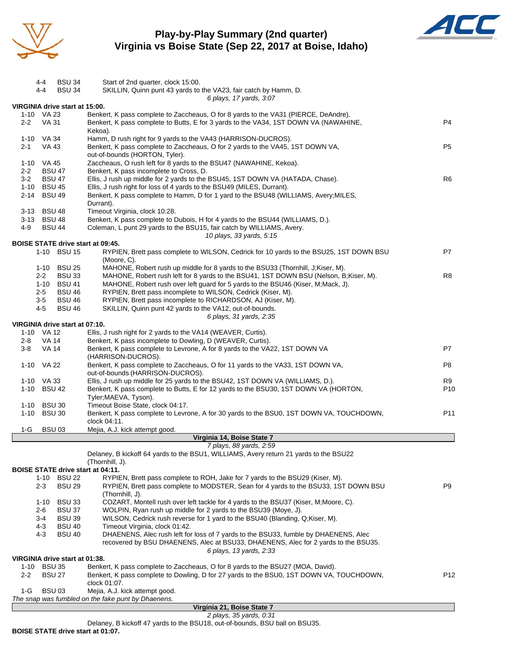

### **Play-by-Play Summary (2nd quarter) Virginia vs Boise State (Sep 22, 2017 at Boise, Idaho)**



| 6 plays, 17 yards, 3:07<br>VIRGINIA drive start at 15:00.<br>1-10 VA 23<br>Benkert, K pass complete to Zaccheaus, O for 8 yards to the VA31 (PIERCE, DeAndre).<br>Benkert, K pass complete to Butts, E for 3 yards to the VA34, 1ST DOWN VA (NAWAHINE,<br>P <sub>4</sub><br>$2 - 2$<br><b>VA 31</b><br>Kekoa).<br>1-10 VA 34<br>Hamm, D rush right for 9 yards to the VA43 (HARRISON-DUCROS).<br>P <sub>5</sub><br>VA 43<br>Benkert, K pass complete to Zaccheaus, O for 2 yards to the VA45, 1ST DOWN VA,<br>2-1<br>out-of-bounds (HORTON, Tyler).<br>Zaccheaus, O rush left for 8 yards to the BSU47 (NAWAHINE, Kekoa).<br>1-10 VA 45<br>Benkert, K pass incomplete to Cross, D.<br>$2 - 2$<br><b>BSU 47</b><br>R <sub>6</sub><br>$3 - 2$<br><b>BSU 47</b><br>Ellis, J rush up middle for 2 yards to the BSU45, 1ST DOWN VA (HATADA, Chase).<br>1-10 BSU 45<br>Ellis, J rush right for loss of 4 yards to the BSU49 (MILES, Durrant).<br>2-14 BSU 49<br>Benkert, K pass complete to Hamm, D for 1 yard to the BSU48 (WILLIAMS, Avery; MILES,<br>Durrant).<br>3-13 BSU 48<br>Timeout Virginia, clock 10:28.<br>3-13 BSU 48<br>Benkert, K pass complete to Dubois, H for 4 yards to the BSU44 (WILLIAMS, D.).<br>Coleman, L punt 29 yards to the BSU15, fair catch by WILLIAMS, Avery.<br>4-9<br><b>BSU 44</b><br>10 plays, 33 yards, 5:15<br><b>BOISE STATE drive start at 09:45.</b><br>P7<br>1-10 BSU 15<br>RYPIEN, Brett pass complete to WILSON, Cedrick for 10 yards to the BSU25, 1ST DOWN BSU<br>(Moore, C).<br>1-10 BSU 25<br>MAHONE, Robert rush up middle for 8 yards to the BSU33 (Thornhill, J; Kiser, M).<br>MAHONE, Robert rush left for 8 yards to the BSU41, 1ST DOWN BSU (Nelson, B; Kiser, M).<br>R <sub>8</sub><br>$2 - 2$<br><b>BSU 33</b><br>MAHONE, Robert rush over left guard for 5 yards to the BSU46 (Kiser, M;Mack, J).<br>1-10 BSU 41<br>RYPIEN, Brett pass incomplete to WILSON, Cedrick (Kiser, M).<br>$2 - 5$<br><b>BSU 46</b><br><b>BSU 46</b><br>RYPIEN, Brett pass incomplete to RICHARDSON, AJ (Kiser, M).<br>3-5<br>4-5<br><b>BSU 46</b><br>SKILLIN, Quinn punt 42 yards to the VA12, out-of-bounds.<br>6 plays, 31 yards, 2:35<br>VIRGINIA drive start at 07:10.<br>Ellis, J rush right for 2 yards to the VA14 (WEAVER, Curtis).<br>1-10 VA 12<br>$2 - 8$<br>VA 14<br>Benkert, K pass incomplete to Dowling, D (WEAVER, Curtis).<br>Benkert, K pass complete to Levrone, A for 8 yards to the VA22, 1ST DOWN VA<br>P7<br>$3-8$<br>VA 14<br>(HARRISON-DUCROS).<br>1-10 VA 22<br>Benkert, K pass complete to Zaccheaus, O for 11 yards to the VA33, 1ST DOWN VA,<br>P8<br>out-of-bounds (HARRISON-DUCROS).<br>Ellis, J rush up middle for 25 yards to the BSU42, 1ST DOWN VA (WILLIAMS, D.).<br>1-10 VA 33<br>R9<br>P <sub>10</sub><br>1-10 BSU 42<br>Benkert, K pass complete to Butts, E for 12 yards to the BSU30, 1ST DOWN VA (HORTON,<br>Tyler; MAEVA, Tyson).<br>Timeout Boise State, clock 04:17.<br><b>BSU 30</b><br>1-10<br>P <sub>11</sub><br>1-10 BSU 30<br>Benkert, K pass complete to Levrone, A for 30 yards to the BSU0, 1ST DOWN VA, TOUCHDOWN,<br>clock 04:11.<br><b>BSU03</b><br>Mejia, A.J. kick attempt good.<br>1-G<br>Virginia 14, Boise State 7<br>7 plays, 88 yards, 2:59<br>Delaney, B kickoff 64 yards to the BSU1, WILLIAMS, Avery return 21 yards to the BSU22<br>(Thornhill, J).<br><b>BOISE STATE drive start at 04:11.</b><br>1-10 BSU 22<br>RYPIEN, Brett pass complete to ROH, Jake for 7 yards to the BSU29 (Kiser, M).<br>P <sub>9</sub><br><b>BSU 29</b><br>RYPIEN, Brett pass complete to MODSTER, Sean for 4 yards to the BSU33, 1ST DOWN BSU<br>2-3<br>(Thornhill, J).<br><b>BSU 33</b><br>COZART, Montell rush over left tackle for 4 yards to the BSU37 (Kiser, M;Moore, C).<br>$1 - 10$<br>$2 - 6$<br><b>BSU 37</b><br>WOLPIN, Ryan rush up middle for 2 yards to the BSU39 (Moye, J).<br>3-4<br><b>BSU 39</b><br>WILSON, Cedrick rush reverse for 1 yard to the BSU40 (Blanding, Q; Kiser, M).<br>$4 - 3$<br><b>BSU 40</b><br>Timeout Virginia, clock 01:42.<br><b>BSU 40</b><br>DHAENENS, Alec rush left for loss of 7 yards to the BSU33, fumble by DHAENENS, Alec<br>4-3<br>recovered by BSU DHAENENS, Alec at BSU33, DHAENENS, Alec for 2 yards to the BSU35.<br>6 plays, 13 yards, 2:33<br>VIRGINIA drive start at 01:38.<br><b>BSU 35</b><br>Benkert, K pass complete to Zaccheaus, O for 8 yards to the BSU27 (MOA, David).<br>1-10<br>P <sub>12</sub><br>$2 - 2$<br><b>BSU 27</b><br>Benkert, K pass complete to Dowling, D for 27 yards to the BSU0, 1ST DOWN VA, TOUCHDOWN,<br>clock 01:07.<br>$1-G$<br><b>BSU03</b><br>Mejia, A.J. kick attempt good.<br>The snap was fumbled on the fake punt by Dhaenens.<br>Virginia 21, Boise State 7<br>2 plays, 35 yards, 0:31 | 4-4<br>4-4 | <b>BSU 34</b><br><b>BSU 34</b> | Start of 2nd quarter, clock 15:00.<br>SKILLIN, Quinn punt 43 yards to the VA23, fair catch by Hamm, D. |  |
|-----------------------------------------------------------------------------------------------------------------------------------------------------------------------------------------------------------------------------------------------------------------------------------------------------------------------------------------------------------------------------------------------------------------------------------------------------------------------------------------------------------------------------------------------------------------------------------------------------------------------------------------------------------------------------------------------------------------------------------------------------------------------------------------------------------------------------------------------------------------------------------------------------------------------------------------------------------------------------------------------------------------------------------------------------------------------------------------------------------------------------------------------------------------------------------------------------------------------------------------------------------------------------------------------------------------------------------------------------------------------------------------------------------------------------------------------------------------------------------------------------------------------------------------------------------------------------------------------------------------------------------------------------------------------------------------------------------------------------------------------------------------------------------------------------------------------------------------------------------------------------------------------------------------------------------------------------------------------------------------------------------------------------------------------------------------------------------------------------------------------------------------------------------------------------------------------------------------------------------------------------------------------------------------------------------------------------------------------------------------------------------------------------------------------------------------------------------------------------------------------------------------------------------------------------------------------------------------------------------------------------------------------------------------------------------------------------------------------------------------------------------------------------------------------------------------------------------------------------------------------------------------------------------------------------------------------------------------------------------------------------------------------------------------------------------------------------------------------------------------------------------------------------------------------------------------------------------------------------------------------------------------------------------------------------------------------------------------------------------------------------------------------------------------------------------------------------------------------------------------------------------------------------------------------------------------------------------------------------------------------------------------------------------------------------------------------------------------------------------------------------------------------------------------------------------------------------------------------------------------------------------------------------------------------------------------------------------------------------------------------------------------------------------------------------------------------------------------------------------------------------------------------------------------------------------------------------------------------------------------------------------------------------------------------------------------------------------------------------------------------------------------------------------------------------------------------------------------------------------------------------------------------------------------------------------------------------------------------------------------------------------------------------------------------------------------------------------------------------------------------------------------|------------|--------------------------------|--------------------------------------------------------------------------------------------------------|--|
|                                                                                                                                                                                                                                                                                                                                                                                                                                                                                                                                                                                                                                                                                                                                                                                                                                                                                                                                                                                                                                                                                                                                                                                                                                                                                                                                                                                                                                                                                                                                                                                                                                                                                                                                                                                                                                                                                                                                                                                                                                                                                                                                                                                                                                                                                                                                                                                                                                                                                                                                                                                                                                                                                                                                                                                                                                                                                                                                                                                                                                                                                                                                                                                                                                                                                                                                                                                                                                                                                                                                                                                                                                                                                                                                                                                                                                                                                                                                                                                                                                                                                                                                                                                                                                                                                                                                                                                                                                                                                                                                                                                                                                                                                                                                                                 |            |                                |                                                                                                        |  |
|                                                                                                                                                                                                                                                                                                                                                                                                                                                                                                                                                                                                                                                                                                                                                                                                                                                                                                                                                                                                                                                                                                                                                                                                                                                                                                                                                                                                                                                                                                                                                                                                                                                                                                                                                                                                                                                                                                                                                                                                                                                                                                                                                                                                                                                                                                                                                                                                                                                                                                                                                                                                                                                                                                                                                                                                                                                                                                                                                                                                                                                                                                                                                                                                                                                                                                                                                                                                                                                                                                                                                                                                                                                                                                                                                                                                                                                                                                                                                                                                                                                                                                                                                                                                                                                                                                                                                                                                                                                                                                                                                                                                                                                                                                                                                                 |            |                                |                                                                                                        |  |
|                                                                                                                                                                                                                                                                                                                                                                                                                                                                                                                                                                                                                                                                                                                                                                                                                                                                                                                                                                                                                                                                                                                                                                                                                                                                                                                                                                                                                                                                                                                                                                                                                                                                                                                                                                                                                                                                                                                                                                                                                                                                                                                                                                                                                                                                                                                                                                                                                                                                                                                                                                                                                                                                                                                                                                                                                                                                                                                                                                                                                                                                                                                                                                                                                                                                                                                                                                                                                                                                                                                                                                                                                                                                                                                                                                                                                                                                                                                                                                                                                                                                                                                                                                                                                                                                                                                                                                                                                                                                                                                                                                                                                                                                                                                                                                 |            |                                |                                                                                                        |  |
|                                                                                                                                                                                                                                                                                                                                                                                                                                                                                                                                                                                                                                                                                                                                                                                                                                                                                                                                                                                                                                                                                                                                                                                                                                                                                                                                                                                                                                                                                                                                                                                                                                                                                                                                                                                                                                                                                                                                                                                                                                                                                                                                                                                                                                                                                                                                                                                                                                                                                                                                                                                                                                                                                                                                                                                                                                                                                                                                                                                                                                                                                                                                                                                                                                                                                                                                                                                                                                                                                                                                                                                                                                                                                                                                                                                                                                                                                                                                                                                                                                                                                                                                                                                                                                                                                                                                                                                                                                                                                                                                                                                                                                                                                                                                                                 |            |                                |                                                                                                        |  |
|                                                                                                                                                                                                                                                                                                                                                                                                                                                                                                                                                                                                                                                                                                                                                                                                                                                                                                                                                                                                                                                                                                                                                                                                                                                                                                                                                                                                                                                                                                                                                                                                                                                                                                                                                                                                                                                                                                                                                                                                                                                                                                                                                                                                                                                                                                                                                                                                                                                                                                                                                                                                                                                                                                                                                                                                                                                                                                                                                                                                                                                                                                                                                                                                                                                                                                                                                                                                                                                                                                                                                                                                                                                                                                                                                                                                                                                                                                                                                                                                                                                                                                                                                                                                                                                                                                                                                                                                                                                                                                                                                                                                                                                                                                                                                                 |            |                                |                                                                                                        |  |
|                                                                                                                                                                                                                                                                                                                                                                                                                                                                                                                                                                                                                                                                                                                                                                                                                                                                                                                                                                                                                                                                                                                                                                                                                                                                                                                                                                                                                                                                                                                                                                                                                                                                                                                                                                                                                                                                                                                                                                                                                                                                                                                                                                                                                                                                                                                                                                                                                                                                                                                                                                                                                                                                                                                                                                                                                                                                                                                                                                                                                                                                                                                                                                                                                                                                                                                                                                                                                                                                                                                                                                                                                                                                                                                                                                                                                                                                                                                                                                                                                                                                                                                                                                                                                                                                                                                                                                                                                                                                                                                                                                                                                                                                                                                                                                 |            |                                |                                                                                                        |  |
|                                                                                                                                                                                                                                                                                                                                                                                                                                                                                                                                                                                                                                                                                                                                                                                                                                                                                                                                                                                                                                                                                                                                                                                                                                                                                                                                                                                                                                                                                                                                                                                                                                                                                                                                                                                                                                                                                                                                                                                                                                                                                                                                                                                                                                                                                                                                                                                                                                                                                                                                                                                                                                                                                                                                                                                                                                                                                                                                                                                                                                                                                                                                                                                                                                                                                                                                                                                                                                                                                                                                                                                                                                                                                                                                                                                                                                                                                                                                                                                                                                                                                                                                                                                                                                                                                                                                                                                                                                                                                                                                                                                                                                                                                                                                                                 |            |                                |                                                                                                        |  |
|                                                                                                                                                                                                                                                                                                                                                                                                                                                                                                                                                                                                                                                                                                                                                                                                                                                                                                                                                                                                                                                                                                                                                                                                                                                                                                                                                                                                                                                                                                                                                                                                                                                                                                                                                                                                                                                                                                                                                                                                                                                                                                                                                                                                                                                                                                                                                                                                                                                                                                                                                                                                                                                                                                                                                                                                                                                                                                                                                                                                                                                                                                                                                                                                                                                                                                                                                                                                                                                                                                                                                                                                                                                                                                                                                                                                                                                                                                                                                                                                                                                                                                                                                                                                                                                                                                                                                                                                                                                                                                                                                                                                                                                                                                                                                                 |            |                                |                                                                                                        |  |
|                                                                                                                                                                                                                                                                                                                                                                                                                                                                                                                                                                                                                                                                                                                                                                                                                                                                                                                                                                                                                                                                                                                                                                                                                                                                                                                                                                                                                                                                                                                                                                                                                                                                                                                                                                                                                                                                                                                                                                                                                                                                                                                                                                                                                                                                                                                                                                                                                                                                                                                                                                                                                                                                                                                                                                                                                                                                                                                                                                                                                                                                                                                                                                                                                                                                                                                                                                                                                                                                                                                                                                                                                                                                                                                                                                                                                                                                                                                                                                                                                                                                                                                                                                                                                                                                                                                                                                                                                                                                                                                                                                                                                                                                                                                                                                 |            |                                |                                                                                                        |  |
|                                                                                                                                                                                                                                                                                                                                                                                                                                                                                                                                                                                                                                                                                                                                                                                                                                                                                                                                                                                                                                                                                                                                                                                                                                                                                                                                                                                                                                                                                                                                                                                                                                                                                                                                                                                                                                                                                                                                                                                                                                                                                                                                                                                                                                                                                                                                                                                                                                                                                                                                                                                                                                                                                                                                                                                                                                                                                                                                                                                                                                                                                                                                                                                                                                                                                                                                                                                                                                                                                                                                                                                                                                                                                                                                                                                                                                                                                                                                                                                                                                                                                                                                                                                                                                                                                                                                                                                                                                                                                                                                                                                                                                                                                                                                                                 |            |                                |                                                                                                        |  |
|                                                                                                                                                                                                                                                                                                                                                                                                                                                                                                                                                                                                                                                                                                                                                                                                                                                                                                                                                                                                                                                                                                                                                                                                                                                                                                                                                                                                                                                                                                                                                                                                                                                                                                                                                                                                                                                                                                                                                                                                                                                                                                                                                                                                                                                                                                                                                                                                                                                                                                                                                                                                                                                                                                                                                                                                                                                                                                                                                                                                                                                                                                                                                                                                                                                                                                                                                                                                                                                                                                                                                                                                                                                                                                                                                                                                                                                                                                                                                                                                                                                                                                                                                                                                                                                                                                                                                                                                                                                                                                                                                                                                                                                                                                                                                                 |            |                                |                                                                                                        |  |
|                                                                                                                                                                                                                                                                                                                                                                                                                                                                                                                                                                                                                                                                                                                                                                                                                                                                                                                                                                                                                                                                                                                                                                                                                                                                                                                                                                                                                                                                                                                                                                                                                                                                                                                                                                                                                                                                                                                                                                                                                                                                                                                                                                                                                                                                                                                                                                                                                                                                                                                                                                                                                                                                                                                                                                                                                                                                                                                                                                                                                                                                                                                                                                                                                                                                                                                                                                                                                                                                                                                                                                                                                                                                                                                                                                                                                                                                                                                                                                                                                                                                                                                                                                                                                                                                                                                                                                                                                                                                                                                                                                                                                                                                                                                                                                 |            |                                |                                                                                                        |  |
|                                                                                                                                                                                                                                                                                                                                                                                                                                                                                                                                                                                                                                                                                                                                                                                                                                                                                                                                                                                                                                                                                                                                                                                                                                                                                                                                                                                                                                                                                                                                                                                                                                                                                                                                                                                                                                                                                                                                                                                                                                                                                                                                                                                                                                                                                                                                                                                                                                                                                                                                                                                                                                                                                                                                                                                                                                                                                                                                                                                                                                                                                                                                                                                                                                                                                                                                                                                                                                                                                                                                                                                                                                                                                                                                                                                                                                                                                                                                                                                                                                                                                                                                                                                                                                                                                                                                                                                                                                                                                                                                                                                                                                                                                                                                                                 |            |                                |                                                                                                        |  |
|                                                                                                                                                                                                                                                                                                                                                                                                                                                                                                                                                                                                                                                                                                                                                                                                                                                                                                                                                                                                                                                                                                                                                                                                                                                                                                                                                                                                                                                                                                                                                                                                                                                                                                                                                                                                                                                                                                                                                                                                                                                                                                                                                                                                                                                                                                                                                                                                                                                                                                                                                                                                                                                                                                                                                                                                                                                                                                                                                                                                                                                                                                                                                                                                                                                                                                                                                                                                                                                                                                                                                                                                                                                                                                                                                                                                                                                                                                                                                                                                                                                                                                                                                                                                                                                                                                                                                                                                                                                                                                                                                                                                                                                                                                                                                                 |            |                                |                                                                                                        |  |
|                                                                                                                                                                                                                                                                                                                                                                                                                                                                                                                                                                                                                                                                                                                                                                                                                                                                                                                                                                                                                                                                                                                                                                                                                                                                                                                                                                                                                                                                                                                                                                                                                                                                                                                                                                                                                                                                                                                                                                                                                                                                                                                                                                                                                                                                                                                                                                                                                                                                                                                                                                                                                                                                                                                                                                                                                                                                                                                                                                                                                                                                                                                                                                                                                                                                                                                                                                                                                                                                                                                                                                                                                                                                                                                                                                                                                                                                                                                                                                                                                                                                                                                                                                                                                                                                                                                                                                                                                                                                                                                                                                                                                                                                                                                                                                 |            |                                |                                                                                                        |  |
|                                                                                                                                                                                                                                                                                                                                                                                                                                                                                                                                                                                                                                                                                                                                                                                                                                                                                                                                                                                                                                                                                                                                                                                                                                                                                                                                                                                                                                                                                                                                                                                                                                                                                                                                                                                                                                                                                                                                                                                                                                                                                                                                                                                                                                                                                                                                                                                                                                                                                                                                                                                                                                                                                                                                                                                                                                                                                                                                                                                                                                                                                                                                                                                                                                                                                                                                                                                                                                                                                                                                                                                                                                                                                                                                                                                                                                                                                                                                                                                                                                                                                                                                                                                                                                                                                                                                                                                                                                                                                                                                                                                                                                                                                                                                                                 |            |                                |                                                                                                        |  |
|                                                                                                                                                                                                                                                                                                                                                                                                                                                                                                                                                                                                                                                                                                                                                                                                                                                                                                                                                                                                                                                                                                                                                                                                                                                                                                                                                                                                                                                                                                                                                                                                                                                                                                                                                                                                                                                                                                                                                                                                                                                                                                                                                                                                                                                                                                                                                                                                                                                                                                                                                                                                                                                                                                                                                                                                                                                                                                                                                                                                                                                                                                                                                                                                                                                                                                                                                                                                                                                                                                                                                                                                                                                                                                                                                                                                                                                                                                                                                                                                                                                                                                                                                                                                                                                                                                                                                                                                                                                                                                                                                                                                                                                                                                                                                                 |            |                                |                                                                                                        |  |
|                                                                                                                                                                                                                                                                                                                                                                                                                                                                                                                                                                                                                                                                                                                                                                                                                                                                                                                                                                                                                                                                                                                                                                                                                                                                                                                                                                                                                                                                                                                                                                                                                                                                                                                                                                                                                                                                                                                                                                                                                                                                                                                                                                                                                                                                                                                                                                                                                                                                                                                                                                                                                                                                                                                                                                                                                                                                                                                                                                                                                                                                                                                                                                                                                                                                                                                                                                                                                                                                                                                                                                                                                                                                                                                                                                                                                                                                                                                                                                                                                                                                                                                                                                                                                                                                                                                                                                                                                                                                                                                                                                                                                                                                                                                                                                 |            |                                |                                                                                                        |  |
|                                                                                                                                                                                                                                                                                                                                                                                                                                                                                                                                                                                                                                                                                                                                                                                                                                                                                                                                                                                                                                                                                                                                                                                                                                                                                                                                                                                                                                                                                                                                                                                                                                                                                                                                                                                                                                                                                                                                                                                                                                                                                                                                                                                                                                                                                                                                                                                                                                                                                                                                                                                                                                                                                                                                                                                                                                                                                                                                                                                                                                                                                                                                                                                                                                                                                                                                                                                                                                                                                                                                                                                                                                                                                                                                                                                                                                                                                                                                                                                                                                                                                                                                                                                                                                                                                                                                                                                                                                                                                                                                                                                                                                                                                                                                                                 |            |                                |                                                                                                        |  |
|                                                                                                                                                                                                                                                                                                                                                                                                                                                                                                                                                                                                                                                                                                                                                                                                                                                                                                                                                                                                                                                                                                                                                                                                                                                                                                                                                                                                                                                                                                                                                                                                                                                                                                                                                                                                                                                                                                                                                                                                                                                                                                                                                                                                                                                                                                                                                                                                                                                                                                                                                                                                                                                                                                                                                                                                                                                                                                                                                                                                                                                                                                                                                                                                                                                                                                                                                                                                                                                                                                                                                                                                                                                                                                                                                                                                                                                                                                                                                                                                                                                                                                                                                                                                                                                                                                                                                                                                                                                                                                                                                                                                                                                                                                                                                                 |            |                                |                                                                                                        |  |
|                                                                                                                                                                                                                                                                                                                                                                                                                                                                                                                                                                                                                                                                                                                                                                                                                                                                                                                                                                                                                                                                                                                                                                                                                                                                                                                                                                                                                                                                                                                                                                                                                                                                                                                                                                                                                                                                                                                                                                                                                                                                                                                                                                                                                                                                                                                                                                                                                                                                                                                                                                                                                                                                                                                                                                                                                                                                                                                                                                                                                                                                                                                                                                                                                                                                                                                                                                                                                                                                                                                                                                                                                                                                                                                                                                                                                                                                                                                                                                                                                                                                                                                                                                                                                                                                                                                                                                                                                                                                                                                                                                                                                                                                                                                                                                 |            |                                |                                                                                                        |  |
|                                                                                                                                                                                                                                                                                                                                                                                                                                                                                                                                                                                                                                                                                                                                                                                                                                                                                                                                                                                                                                                                                                                                                                                                                                                                                                                                                                                                                                                                                                                                                                                                                                                                                                                                                                                                                                                                                                                                                                                                                                                                                                                                                                                                                                                                                                                                                                                                                                                                                                                                                                                                                                                                                                                                                                                                                                                                                                                                                                                                                                                                                                                                                                                                                                                                                                                                                                                                                                                                                                                                                                                                                                                                                                                                                                                                                                                                                                                                                                                                                                                                                                                                                                                                                                                                                                                                                                                                                                                                                                                                                                                                                                                                                                                                                                 |            |                                |                                                                                                        |  |
|                                                                                                                                                                                                                                                                                                                                                                                                                                                                                                                                                                                                                                                                                                                                                                                                                                                                                                                                                                                                                                                                                                                                                                                                                                                                                                                                                                                                                                                                                                                                                                                                                                                                                                                                                                                                                                                                                                                                                                                                                                                                                                                                                                                                                                                                                                                                                                                                                                                                                                                                                                                                                                                                                                                                                                                                                                                                                                                                                                                                                                                                                                                                                                                                                                                                                                                                                                                                                                                                                                                                                                                                                                                                                                                                                                                                                                                                                                                                                                                                                                                                                                                                                                                                                                                                                                                                                                                                                                                                                                                                                                                                                                                                                                                                                                 |            |                                |                                                                                                        |  |
|                                                                                                                                                                                                                                                                                                                                                                                                                                                                                                                                                                                                                                                                                                                                                                                                                                                                                                                                                                                                                                                                                                                                                                                                                                                                                                                                                                                                                                                                                                                                                                                                                                                                                                                                                                                                                                                                                                                                                                                                                                                                                                                                                                                                                                                                                                                                                                                                                                                                                                                                                                                                                                                                                                                                                                                                                                                                                                                                                                                                                                                                                                                                                                                                                                                                                                                                                                                                                                                                                                                                                                                                                                                                                                                                                                                                                                                                                                                                                                                                                                                                                                                                                                                                                                                                                                                                                                                                                                                                                                                                                                                                                                                                                                                                                                 |            |                                |                                                                                                        |  |
|                                                                                                                                                                                                                                                                                                                                                                                                                                                                                                                                                                                                                                                                                                                                                                                                                                                                                                                                                                                                                                                                                                                                                                                                                                                                                                                                                                                                                                                                                                                                                                                                                                                                                                                                                                                                                                                                                                                                                                                                                                                                                                                                                                                                                                                                                                                                                                                                                                                                                                                                                                                                                                                                                                                                                                                                                                                                                                                                                                                                                                                                                                                                                                                                                                                                                                                                                                                                                                                                                                                                                                                                                                                                                                                                                                                                                                                                                                                                                                                                                                                                                                                                                                                                                                                                                                                                                                                                                                                                                                                                                                                                                                                                                                                                                                 |            |                                |                                                                                                        |  |
|                                                                                                                                                                                                                                                                                                                                                                                                                                                                                                                                                                                                                                                                                                                                                                                                                                                                                                                                                                                                                                                                                                                                                                                                                                                                                                                                                                                                                                                                                                                                                                                                                                                                                                                                                                                                                                                                                                                                                                                                                                                                                                                                                                                                                                                                                                                                                                                                                                                                                                                                                                                                                                                                                                                                                                                                                                                                                                                                                                                                                                                                                                                                                                                                                                                                                                                                                                                                                                                                                                                                                                                                                                                                                                                                                                                                                                                                                                                                                                                                                                                                                                                                                                                                                                                                                                                                                                                                                                                                                                                                                                                                                                                                                                                                                                 |            |                                |                                                                                                        |  |
|                                                                                                                                                                                                                                                                                                                                                                                                                                                                                                                                                                                                                                                                                                                                                                                                                                                                                                                                                                                                                                                                                                                                                                                                                                                                                                                                                                                                                                                                                                                                                                                                                                                                                                                                                                                                                                                                                                                                                                                                                                                                                                                                                                                                                                                                                                                                                                                                                                                                                                                                                                                                                                                                                                                                                                                                                                                                                                                                                                                                                                                                                                                                                                                                                                                                                                                                                                                                                                                                                                                                                                                                                                                                                                                                                                                                                                                                                                                                                                                                                                                                                                                                                                                                                                                                                                                                                                                                                                                                                                                                                                                                                                                                                                                                                                 |            |                                |                                                                                                        |  |
|                                                                                                                                                                                                                                                                                                                                                                                                                                                                                                                                                                                                                                                                                                                                                                                                                                                                                                                                                                                                                                                                                                                                                                                                                                                                                                                                                                                                                                                                                                                                                                                                                                                                                                                                                                                                                                                                                                                                                                                                                                                                                                                                                                                                                                                                                                                                                                                                                                                                                                                                                                                                                                                                                                                                                                                                                                                                                                                                                                                                                                                                                                                                                                                                                                                                                                                                                                                                                                                                                                                                                                                                                                                                                                                                                                                                                                                                                                                                                                                                                                                                                                                                                                                                                                                                                                                                                                                                                                                                                                                                                                                                                                                                                                                                                                 |            |                                |                                                                                                        |  |
|                                                                                                                                                                                                                                                                                                                                                                                                                                                                                                                                                                                                                                                                                                                                                                                                                                                                                                                                                                                                                                                                                                                                                                                                                                                                                                                                                                                                                                                                                                                                                                                                                                                                                                                                                                                                                                                                                                                                                                                                                                                                                                                                                                                                                                                                                                                                                                                                                                                                                                                                                                                                                                                                                                                                                                                                                                                                                                                                                                                                                                                                                                                                                                                                                                                                                                                                                                                                                                                                                                                                                                                                                                                                                                                                                                                                                                                                                                                                                                                                                                                                                                                                                                                                                                                                                                                                                                                                                                                                                                                                                                                                                                                                                                                                                                 |            |                                |                                                                                                        |  |
|                                                                                                                                                                                                                                                                                                                                                                                                                                                                                                                                                                                                                                                                                                                                                                                                                                                                                                                                                                                                                                                                                                                                                                                                                                                                                                                                                                                                                                                                                                                                                                                                                                                                                                                                                                                                                                                                                                                                                                                                                                                                                                                                                                                                                                                                                                                                                                                                                                                                                                                                                                                                                                                                                                                                                                                                                                                                                                                                                                                                                                                                                                                                                                                                                                                                                                                                                                                                                                                                                                                                                                                                                                                                                                                                                                                                                                                                                                                                                                                                                                                                                                                                                                                                                                                                                                                                                                                                                                                                                                                                                                                                                                                                                                                                                                 |            |                                |                                                                                                        |  |
|                                                                                                                                                                                                                                                                                                                                                                                                                                                                                                                                                                                                                                                                                                                                                                                                                                                                                                                                                                                                                                                                                                                                                                                                                                                                                                                                                                                                                                                                                                                                                                                                                                                                                                                                                                                                                                                                                                                                                                                                                                                                                                                                                                                                                                                                                                                                                                                                                                                                                                                                                                                                                                                                                                                                                                                                                                                                                                                                                                                                                                                                                                                                                                                                                                                                                                                                                                                                                                                                                                                                                                                                                                                                                                                                                                                                                                                                                                                                                                                                                                                                                                                                                                                                                                                                                                                                                                                                                                                                                                                                                                                                                                                                                                                                                                 |            |                                |                                                                                                        |  |
|                                                                                                                                                                                                                                                                                                                                                                                                                                                                                                                                                                                                                                                                                                                                                                                                                                                                                                                                                                                                                                                                                                                                                                                                                                                                                                                                                                                                                                                                                                                                                                                                                                                                                                                                                                                                                                                                                                                                                                                                                                                                                                                                                                                                                                                                                                                                                                                                                                                                                                                                                                                                                                                                                                                                                                                                                                                                                                                                                                                                                                                                                                                                                                                                                                                                                                                                                                                                                                                                                                                                                                                                                                                                                                                                                                                                                                                                                                                                                                                                                                                                                                                                                                                                                                                                                                                                                                                                                                                                                                                                                                                                                                                                                                                                                                 |            |                                |                                                                                                        |  |
|                                                                                                                                                                                                                                                                                                                                                                                                                                                                                                                                                                                                                                                                                                                                                                                                                                                                                                                                                                                                                                                                                                                                                                                                                                                                                                                                                                                                                                                                                                                                                                                                                                                                                                                                                                                                                                                                                                                                                                                                                                                                                                                                                                                                                                                                                                                                                                                                                                                                                                                                                                                                                                                                                                                                                                                                                                                                                                                                                                                                                                                                                                                                                                                                                                                                                                                                                                                                                                                                                                                                                                                                                                                                                                                                                                                                                                                                                                                                                                                                                                                                                                                                                                                                                                                                                                                                                                                                                                                                                                                                                                                                                                                                                                                                                                 |            |                                |                                                                                                        |  |
|                                                                                                                                                                                                                                                                                                                                                                                                                                                                                                                                                                                                                                                                                                                                                                                                                                                                                                                                                                                                                                                                                                                                                                                                                                                                                                                                                                                                                                                                                                                                                                                                                                                                                                                                                                                                                                                                                                                                                                                                                                                                                                                                                                                                                                                                                                                                                                                                                                                                                                                                                                                                                                                                                                                                                                                                                                                                                                                                                                                                                                                                                                                                                                                                                                                                                                                                                                                                                                                                                                                                                                                                                                                                                                                                                                                                                                                                                                                                                                                                                                                                                                                                                                                                                                                                                                                                                                                                                                                                                                                                                                                                                                                                                                                                                                 |            |                                |                                                                                                        |  |
|                                                                                                                                                                                                                                                                                                                                                                                                                                                                                                                                                                                                                                                                                                                                                                                                                                                                                                                                                                                                                                                                                                                                                                                                                                                                                                                                                                                                                                                                                                                                                                                                                                                                                                                                                                                                                                                                                                                                                                                                                                                                                                                                                                                                                                                                                                                                                                                                                                                                                                                                                                                                                                                                                                                                                                                                                                                                                                                                                                                                                                                                                                                                                                                                                                                                                                                                                                                                                                                                                                                                                                                                                                                                                                                                                                                                                                                                                                                                                                                                                                                                                                                                                                                                                                                                                                                                                                                                                                                                                                                                                                                                                                                                                                                                                                 |            |                                |                                                                                                        |  |
|                                                                                                                                                                                                                                                                                                                                                                                                                                                                                                                                                                                                                                                                                                                                                                                                                                                                                                                                                                                                                                                                                                                                                                                                                                                                                                                                                                                                                                                                                                                                                                                                                                                                                                                                                                                                                                                                                                                                                                                                                                                                                                                                                                                                                                                                                                                                                                                                                                                                                                                                                                                                                                                                                                                                                                                                                                                                                                                                                                                                                                                                                                                                                                                                                                                                                                                                                                                                                                                                                                                                                                                                                                                                                                                                                                                                                                                                                                                                                                                                                                                                                                                                                                                                                                                                                                                                                                                                                                                                                                                                                                                                                                                                                                                                                                 |            |                                |                                                                                                        |  |
|                                                                                                                                                                                                                                                                                                                                                                                                                                                                                                                                                                                                                                                                                                                                                                                                                                                                                                                                                                                                                                                                                                                                                                                                                                                                                                                                                                                                                                                                                                                                                                                                                                                                                                                                                                                                                                                                                                                                                                                                                                                                                                                                                                                                                                                                                                                                                                                                                                                                                                                                                                                                                                                                                                                                                                                                                                                                                                                                                                                                                                                                                                                                                                                                                                                                                                                                                                                                                                                                                                                                                                                                                                                                                                                                                                                                                                                                                                                                                                                                                                                                                                                                                                                                                                                                                                                                                                                                                                                                                                                                                                                                                                                                                                                                                                 |            |                                |                                                                                                        |  |
|                                                                                                                                                                                                                                                                                                                                                                                                                                                                                                                                                                                                                                                                                                                                                                                                                                                                                                                                                                                                                                                                                                                                                                                                                                                                                                                                                                                                                                                                                                                                                                                                                                                                                                                                                                                                                                                                                                                                                                                                                                                                                                                                                                                                                                                                                                                                                                                                                                                                                                                                                                                                                                                                                                                                                                                                                                                                                                                                                                                                                                                                                                                                                                                                                                                                                                                                                                                                                                                                                                                                                                                                                                                                                                                                                                                                                                                                                                                                                                                                                                                                                                                                                                                                                                                                                                                                                                                                                                                                                                                                                                                                                                                                                                                                                                 |            |                                |                                                                                                        |  |
|                                                                                                                                                                                                                                                                                                                                                                                                                                                                                                                                                                                                                                                                                                                                                                                                                                                                                                                                                                                                                                                                                                                                                                                                                                                                                                                                                                                                                                                                                                                                                                                                                                                                                                                                                                                                                                                                                                                                                                                                                                                                                                                                                                                                                                                                                                                                                                                                                                                                                                                                                                                                                                                                                                                                                                                                                                                                                                                                                                                                                                                                                                                                                                                                                                                                                                                                                                                                                                                                                                                                                                                                                                                                                                                                                                                                                                                                                                                                                                                                                                                                                                                                                                                                                                                                                                                                                                                                                                                                                                                                                                                                                                                                                                                                                                 |            |                                |                                                                                                        |  |
|                                                                                                                                                                                                                                                                                                                                                                                                                                                                                                                                                                                                                                                                                                                                                                                                                                                                                                                                                                                                                                                                                                                                                                                                                                                                                                                                                                                                                                                                                                                                                                                                                                                                                                                                                                                                                                                                                                                                                                                                                                                                                                                                                                                                                                                                                                                                                                                                                                                                                                                                                                                                                                                                                                                                                                                                                                                                                                                                                                                                                                                                                                                                                                                                                                                                                                                                                                                                                                                                                                                                                                                                                                                                                                                                                                                                                                                                                                                                                                                                                                                                                                                                                                                                                                                                                                                                                                                                                                                                                                                                                                                                                                                                                                                                                                 |            |                                |                                                                                                        |  |
|                                                                                                                                                                                                                                                                                                                                                                                                                                                                                                                                                                                                                                                                                                                                                                                                                                                                                                                                                                                                                                                                                                                                                                                                                                                                                                                                                                                                                                                                                                                                                                                                                                                                                                                                                                                                                                                                                                                                                                                                                                                                                                                                                                                                                                                                                                                                                                                                                                                                                                                                                                                                                                                                                                                                                                                                                                                                                                                                                                                                                                                                                                                                                                                                                                                                                                                                                                                                                                                                                                                                                                                                                                                                                                                                                                                                                                                                                                                                                                                                                                                                                                                                                                                                                                                                                                                                                                                                                                                                                                                                                                                                                                                                                                                                                                 |            |                                |                                                                                                        |  |
|                                                                                                                                                                                                                                                                                                                                                                                                                                                                                                                                                                                                                                                                                                                                                                                                                                                                                                                                                                                                                                                                                                                                                                                                                                                                                                                                                                                                                                                                                                                                                                                                                                                                                                                                                                                                                                                                                                                                                                                                                                                                                                                                                                                                                                                                                                                                                                                                                                                                                                                                                                                                                                                                                                                                                                                                                                                                                                                                                                                                                                                                                                                                                                                                                                                                                                                                                                                                                                                                                                                                                                                                                                                                                                                                                                                                                                                                                                                                                                                                                                                                                                                                                                                                                                                                                                                                                                                                                                                                                                                                                                                                                                                                                                                                                                 |            |                                |                                                                                                        |  |
|                                                                                                                                                                                                                                                                                                                                                                                                                                                                                                                                                                                                                                                                                                                                                                                                                                                                                                                                                                                                                                                                                                                                                                                                                                                                                                                                                                                                                                                                                                                                                                                                                                                                                                                                                                                                                                                                                                                                                                                                                                                                                                                                                                                                                                                                                                                                                                                                                                                                                                                                                                                                                                                                                                                                                                                                                                                                                                                                                                                                                                                                                                                                                                                                                                                                                                                                                                                                                                                                                                                                                                                                                                                                                                                                                                                                                                                                                                                                                                                                                                                                                                                                                                                                                                                                                                                                                                                                                                                                                                                                                                                                                                                                                                                                                                 |            |                                |                                                                                                        |  |
|                                                                                                                                                                                                                                                                                                                                                                                                                                                                                                                                                                                                                                                                                                                                                                                                                                                                                                                                                                                                                                                                                                                                                                                                                                                                                                                                                                                                                                                                                                                                                                                                                                                                                                                                                                                                                                                                                                                                                                                                                                                                                                                                                                                                                                                                                                                                                                                                                                                                                                                                                                                                                                                                                                                                                                                                                                                                                                                                                                                                                                                                                                                                                                                                                                                                                                                                                                                                                                                                                                                                                                                                                                                                                                                                                                                                                                                                                                                                                                                                                                                                                                                                                                                                                                                                                                                                                                                                                                                                                                                                                                                                                                                                                                                                                                 |            |                                |                                                                                                        |  |
|                                                                                                                                                                                                                                                                                                                                                                                                                                                                                                                                                                                                                                                                                                                                                                                                                                                                                                                                                                                                                                                                                                                                                                                                                                                                                                                                                                                                                                                                                                                                                                                                                                                                                                                                                                                                                                                                                                                                                                                                                                                                                                                                                                                                                                                                                                                                                                                                                                                                                                                                                                                                                                                                                                                                                                                                                                                                                                                                                                                                                                                                                                                                                                                                                                                                                                                                                                                                                                                                                                                                                                                                                                                                                                                                                                                                                                                                                                                                                                                                                                                                                                                                                                                                                                                                                                                                                                                                                                                                                                                                                                                                                                                                                                                                                                 |            |                                |                                                                                                        |  |
|                                                                                                                                                                                                                                                                                                                                                                                                                                                                                                                                                                                                                                                                                                                                                                                                                                                                                                                                                                                                                                                                                                                                                                                                                                                                                                                                                                                                                                                                                                                                                                                                                                                                                                                                                                                                                                                                                                                                                                                                                                                                                                                                                                                                                                                                                                                                                                                                                                                                                                                                                                                                                                                                                                                                                                                                                                                                                                                                                                                                                                                                                                                                                                                                                                                                                                                                                                                                                                                                                                                                                                                                                                                                                                                                                                                                                                                                                                                                                                                                                                                                                                                                                                                                                                                                                                                                                                                                                                                                                                                                                                                                                                                                                                                                                                 |            |                                |                                                                                                        |  |
|                                                                                                                                                                                                                                                                                                                                                                                                                                                                                                                                                                                                                                                                                                                                                                                                                                                                                                                                                                                                                                                                                                                                                                                                                                                                                                                                                                                                                                                                                                                                                                                                                                                                                                                                                                                                                                                                                                                                                                                                                                                                                                                                                                                                                                                                                                                                                                                                                                                                                                                                                                                                                                                                                                                                                                                                                                                                                                                                                                                                                                                                                                                                                                                                                                                                                                                                                                                                                                                                                                                                                                                                                                                                                                                                                                                                                                                                                                                                                                                                                                                                                                                                                                                                                                                                                                                                                                                                                                                                                                                                                                                                                                                                                                                                                                 |            |                                |                                                                                                        |  |
|                                                                                                                                                                                                                                                                                                                                                                                                                                                                                                                                                                                                                                                                                                                                                                                                                                                                                                                                                                                                                                                                                                                                                                                                                                                                                                                                                                                                                                                                                                                                                                                                                                                                                                                                                                                                                                                                                                                                                                                                                                                                                                                                                                                                                                                                                                                                                                                                                                                                                                                                                                                                                                                                                                                                                                                                                                                                                                                                                                                                                                                                                                                                                                                                                                                                                                                                                                                                                                                                                                                                                                                                                                                                                                                                                                                                                                                                                                                                                                                                                                                                                                                                                                                                                                                                                                                                                                                                                                                                                                                                                                                                                                                                                                                                                                 |            |                                |                                                                                                        |  |
|                                                                                                                                                                                                                                                                                                                                                                                                                                                                                                                                                                                                                                                                                                                                                                                                                                                                                                                                                                                                                                                                                                                                                                                                                                                                                                                                                                                                                                                                                                                                                                                                                                                                                                                                                                                                                                                                                                                                                                                                                                                                                                                                                                                                                                                                                                                                                                                                                                                                                                                                                                                                                                                                                                                                                                                                                                                                                                                                                                                                                                                                                                                                                                                                                                                                                                                                                                                                                                                                                                                                                                                                                                                                                                                                                                                                                                                                                                                                                                                                                                                                                                                                                                                                                                                                                                                                                                                                                                                                                                                                                                                                                                                                                                                                                                 |            |                                |                                                                                                        |  |
|                                                                                                                                                                                                                                                                                                                                                                                                                                                                                                                                                                                                                                                                                                                                                                                                                                                                                                                                                                                                                                                                                                                                                                                                                                                                                                                                                                                                                                                                                                                                                                                                                                                                                                                                                                                                                                                                                                                                                                                                                                                                                                                                                                                                                                                                                                                                                                                                                                                                                                                                                                                                                                                                                                                                                                                                                                                                                                                                                                                                                                                                                                                                                                                                                                                                                                                                                                                                                                                                                                                                                                                                                                                                                                                                                                                                                                                                                                                                                                                                                                                                                                                                                                                                                                                                                                                                                                                                                                                                                                                                                                                                                                                                                                                                                                 |            |                                |                                                                                                        |  |
|                                                                                                                                                                                                                                                                                                                                                                                                                                                                                                                                                                                                                                                                                                                                                                                                                                                                                                                                                                                                                                                                                                                                                                                                                                                                                                                                                                                                                                                                                                                                                                                                                                                                                                                                                                                                                                                                                                                                                                                                                                                                                                                                                                                                                                                                                                                                                                                                                                                                                                                                                                                                                                                                                                                                                                                                                                                                                                                                                                                                                                                                                                                                                                                                                                                                                                                                                                                                                                                                                                                                                                                                                                                                                                                                                                                                                                                                                                                                                                                                                                                                                                                                                                                                                                                                                                                                                                                                                                                                                                                                                                                                                                                                                                                                                                 |            |                                |                                                                                                        |  |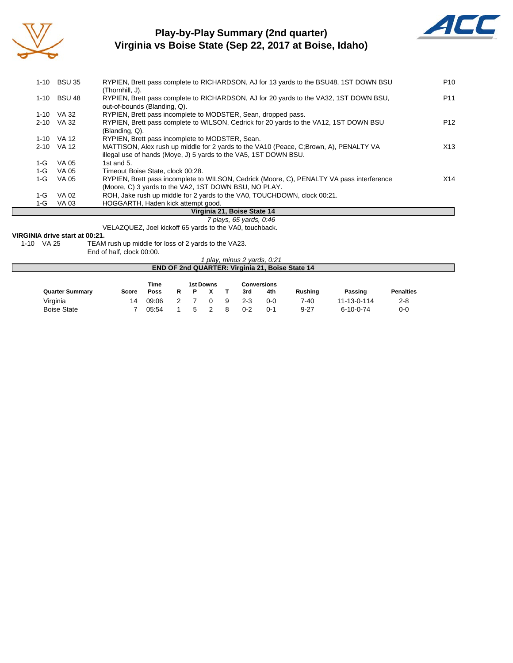

### **Play-by-Play Summary (2nd quarter) Virginia vs Boise State (Sep 22, 2017 at Boise, Idaho)**



|       | 1-10 BSU 35               | RYPIEN, Brett pass complete to RICHARDSON, AJ for 13 yards to the BSU48, 1ST DOWN BSU                                                                     | P <sub>10</sub> |
|-------|---------------------------|-----------------------------------------------------------------------------------------------------------------------------------------------------------|-----------------|
|       | <b>BSU 48</b><br>$1 - 10$ | (Thornhill, J).<br>RYPIEN, Brett pass complete to RICHARDSON, AJ for 20 yards to the VA32, 1ST DOWN BSU,<br>out-of-bounds (Blanding, Q).                  | P <sub>11</sub> |
|       | VA 32<br>$1 - 10$         | RYPIEN, Brett pass incomplete to MODSTER, Sean, dropped pass.                                                                                             |                 |
|       | VA 32<br>$2 - 10$         | RYPIEN, Brett pass complete to WILSON, Cedrick for 20 yards to the VA12, 1ST DOWN BSU<br>(Blanding, Q).                                                   | P <sub>12</sub> |
|       | VA 12<br>$1 - 10$         | RYPIEN, Brett pass incomplete to MODSTER, Sean.                                                                                                           |                 |
|       | VA 12<br>$2 - 10$         | MATTISON, Alex rush up middle for 2 yards to the VA10 (Peace, C;Brown, A), PENALTY VA<br>illegal use of hands (Moye, J) 5 yards to the VA5, 1ST DOWN BSU. | X13             |
| 1-G   | VA 05                     | 1st and 5.                                                                                                                                                |                 |
| $1-G$ | VA 05                     | Timeout Boise State, clock 00:28.                                                                                                                         |                 |
| $1-G$ | VA 05                     | RYPIEN, Brett pass incomplete to WILSON, Cedrick (Moore, C), PENALTY VA pass interference                                                                 | X14             |
|       |                           | (Moore, C) 3 yards to the VA2, 1ST DOWN BSU, NO PLAY.                                                                                                     |                 |
| 1-G   | VA 02                     | ROH, Jake rush up middle for 2 yards to the VA0, TOUCHDOWN, clock 00:21.                                                                                  |                 |
| 1-G   | VA 03                     | HOGGARTH. Haden kick attempt good.                                                                                                                        |                 |
|       |                           | Virginia 21 : Roise State 14                                                                                                                              |                 |

#### **Virginia 21, Boise State 14**

*7 plays, 65 yards, 0:46* VELAZQUEZ, Joel kickoff 65 yards to the VA0, touchback.

# **VIRGINIA drive start at 00:21.**<br>1-10 VA 25 TEAM

TEAM rush up middle for loss of 2 yards to the VA23.

End of half, clock 00:00.

*1 play, minus 2 yards, 0:21* **END OF 2nd QUARTER: Virginia 21, Boise State 14**

|                        |       | Time  | 1st Downs |  |   |         | Conversions |                |                   |                  |  |
|------------------------|-------|-------|-----------|--|---|---------|-------------|----------------|-------------------|------------------|--|
| <b>Quarter Summary</b> | Score | Poss  |           |  |   | 3rd     | 4th         | <b>Rushing</b> | Passing           | <b>Penalties</b> |  |
| Virginia               | 14    | 09:06 |           |  | q | $2 - 3$ | $0 - 0$     | 7-40           | 11-13-0-114       | 2-8              |  |
| <b>Boise State</b>     |       | 05:54 |           |  |   | $0 - 2$ | 0-1         | 9-27           | $6 - 10 - 0 - 74$ | 0-0              |  |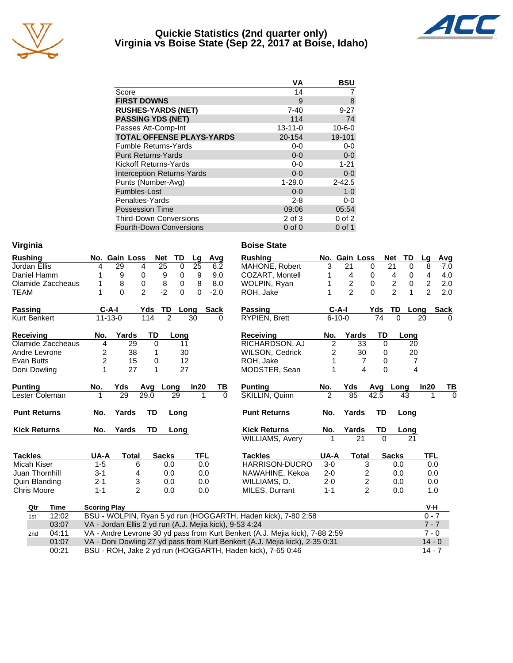

#### **Quickie Statistics (2nd quarter only) Virginia vs Boise State (Sep 22, 2017 at Boise, Idaho)**



|                                   | VA            | <b>BSU</b>   |
|-----------------------------------|---------------|--------------|
| Score                             | 14            |              |
| <b>FIRST DOWNS</b>                | 9             | 8            |
| <b>RUSHES-YARDS (NET)</b>         | $7 - 40$      | $9 - 27$     |
| <b>PASSING YDS (NET)</b>          | 114           | 74           |
| Passes Att-Comp-Int               | $13 - 11 - 0$ | $10 - 6 - 0$ |
| <b>TOTAL OFFENSE PLAYS-YARDS</b>  | 20-154        | 19-101       |
| <b>Fumble Returns-Yards</b>       | $0-0$         | $0-0$        |
| <b>Punt Returns-Yards</b>         | $0 - 0$       | $0-0$        |
| Kickoff Returns-Yards             | $0-0$         | $1 - 21$     |
| <b>Interception Returns-Yards</b> | $0 - 0$       | $0-0$        |
| Punts (Number-Avg)                | $1 - 29.0$    | $2 - 42.5$   |
| Fumbles-Lost                      | $0 - 0$       | $1 - 0$      |
| Penalties-Yards                   | $2 - 8$       | $0-0$        |
| <b>Possession Time</b>            | 09:06         | 05:54        |
| <b>Third-Down Conversions</b>     | 2 of 3        | $0$ of $2$   |
| <b>Fourth-Down Conversions</b>    | $0$ of $0$    | $0$ of 1     |

| Virginia            |                         |                           |                |                                |                 |             | <b>Boise State</b>                                                           |                |                |                         |                 |              |                |             |
|---------------------|-------------------------|---------------------------|----------------|--------------------------------|-----------------|-------------|------------------------------------------------------------------------------|----------------|----------------|-------------------------|-----------------|--------------|----------------|-------------|
| <b>Rushing</b>      |                         | No. Gain Loss             | <b>Net</b>     | TD                             | Lg              | Avg         | <b>Rushing</b>                                                               |                | No. Gain Loss  |                         | <b>Net</b>      | TD           | Lg             | Avg         |
| Jordan Ellis        | 4                       | 29                        | 4              | $\overline{25}$<br>$\mathbf 0$ | $\overline{25}$ | 6.2         | MAHONE, Robert                                                               | 3              | 21             | $\Omega$                | 21              | 0            | 8              | 7.0         |
| Daniel Hamm         |                         | 9                         | 0              | 9<br>0                         | 9               | 9.0         | COZART, Montell                                                              |                | 4              | 0                       | 4               | 0            | 4              | 4.0         |
| Olamide Zaccheaus   |                         | 8                         | $\mathbf 0$    | 8<br>0                         | 8               | 8.0         | WOLPIN, Ryan                                                                 |                | $\overline{2}$ | 0                       | $\overline{c}$  | 0            | $\overline{2}$ | 2.0         |
| <b>TEAM</b>         |                         | $\Omega$                  | $\overline{2}$ | $-2$<br>0                      | 0               | $-2.0$      | ROH, Jake                                                                    |                | $\overline{2}$ | $\Omega$                | $\overline{2}$  | $\mathbf{1}$ | $\overline{2}$ | 2.0         |
| <b>Passing</b>      | $C-A-I$                 |                           | Yds            | TD                             | Long            | <b>Sack</b> | <b>Passing</b>                                                               |                | $C-A-I$        | Yds                     |                 | TD<br>Long   |                | <b>Sack</b> |
| <b>Kurt Benkert</b> | $11 - 13 - 0$           |                           | 114            | $\overline{2}$                 | 30              | 0           | RYPIEN, Brett                                                                |                | $6 - 10 - 0$   |                         | $\overline{74}$ | $\Omega$     | 20             | $\Omega$    |
| <b>Receiving</b>    | No.                     | Yards                     | TD             | Long                           |                 |             | <b>Receiving</b>                                                             | No.            | Yards          |                         | <b>TD</b>       | Long         |                |             |
| Olamide Zaccheaus   | 4                       | 29                        | 0              | 11                             |                 |             | RICHARDSON, AJ                                                               | $\overline{c}$ |                | 33                      | $\mathbf 0$     | 20           |                |             |
| Andre Levrone       | $\overline{\mathbf{c}}$ | 38                        | 1              | 30                             |                 |             | <b>WILSON, Cedrick</b>                                                       | 2              |                | 30                      | $\Omega$        | 20           |                |             |
| <b>Evan Butts</b>   | $\overline{2}$          | 15                        | 0              | 12                             |                 |             | ROH, Jake                                                                    | 1              |                | $\overline{7}$          | 0               | 7            |                |             |
| Doni Dowling        | 1                       | 27                        | 1              | 27                             |                 |             | MODSTER, Sean                                                                | 1              |                | 4                       | 0               | 4            |                |             |
| <b>Punting</b>      | No.                     | Yds                       | Avq            | Long                           | In20            | TВ          | <b>Punting</b>                                                               | No.            | Yds            | Avq                     |                 | Long         | In20           | TВ          |
| Lester Coleman      |                         | 29                        | 29.0           | 29                             | 1               | $\Omega$    | SKILLIN, Quinn                                                               | $\mathfrak{p}$ | 85             | 42.5                    |                 | 43           | 1              | $\Omega$    |
| <b>Punt Returns</b> | No.                     | Yards                     | <b>TD</b>      | Long                           |                 |             | <b>Punt Returns</b>                                                          | No.            | Yards          |                         | <b>TD</b>       | Long         |                |             |
| <b>Kick Returns</b> | No.                     | Yards                     | TD             | Long                           |                 |             | <b>Kick Returns</b>                                                          | No.            | Yards          |                         | TD              | Long         |                |             |
|                     |                         |                           |                |                                |                 |             | <b>WILLIAMS, Avery</b>                                                       | 1              |                | 21                      | $\Omega$        | 21           |                |             |
| <b>Tackles</b>      | UA-A                    | <b>Total</b>              |                | <b>Sacks</b>                   | <b>TFL</b>      |             | <b>Tackles</b>                                                               | UA-A           |                | <b>Total</b>            | <b>Sacks</b>    |              | <b>TFL</b>     |             |
| Micah Kiser         | $1 - 5$                 | 6                         |                | 0.0                            | 0.0             |             | HARRISON-DUCRO                                                               | $3-0$          |                | 3                       |                 | 0.0          | 0.0            |             |
| Juan Thornhill      | $3 - 1$                 |                           | 4              | 0.0                            | 0.0             |             | NAWAHINE, Kekoa                                                              | $2 - 0$        |                | $\overline{\mathbf{c}}$ |                 | 0.0          | 0.0            |             |
| Quin Blanding       | $2 - 1$                 | $\ensuremath{\mathsf{3}}$ |                | 0.0                            | 0.0             |             | WILLIAMS, D.                                                                 | $2 - 0$        |                | $\overline{\mathbf{c}}$ |                 | 0.0          | 0.0            |             |
| Chris Moore         | $1 - 1$                 |                           | $\overline{2}$ | 0.0                            | 0.0             |             | MILES, Durrant                                                               | $1 - 1$        |                | $\overline{2}$          |                 | 0.0          | 1.0            |             |
| Qtr<br>Time         | <b>Scoring Play</b>     |                           |                |                                |                 |             |                                                                              |                |                |                         |                 |              | V-H            |             |
| 12:02<br>1st        |                         |                           |                |                                |                 |             | BSU - WOLPIN, Ryan 5 yd run (HOGGARTH, Haden kick), 7-80 2:58                |                |                |                         |                 |              | $0 - 7$        |             |
| 03:07               |                         |                           |                |                                |                 |             | VA - Jordan Ellis 2 yd run (A.J. Mejia kick), 9-53 4:24                      |                |                |                         |                 |              | $7 - 7$        |             |
| 04:11<br>2nd        |                         |                           |                |                                |                 |             | VA - Andre Levrone 30 yd pass from Kurt Benkert (A.J. Mejia kick), 7-88 2:59 |                |                |                         |                 |              | $7 - 0$        |             |
| 01:07               |                         |                           |                |                                |                 |             | VA - Doni Dowling 27 yd pass from Kurt Benkert (A.J. Mejia kick), 2-35 0:31  |                |                |                         |                 |              | $14 - 0$       |             |

00:21 BSU - ROH, Jake 2 yd run (HOGGARTH, Haden kick), 7-65 0:46 14 - 7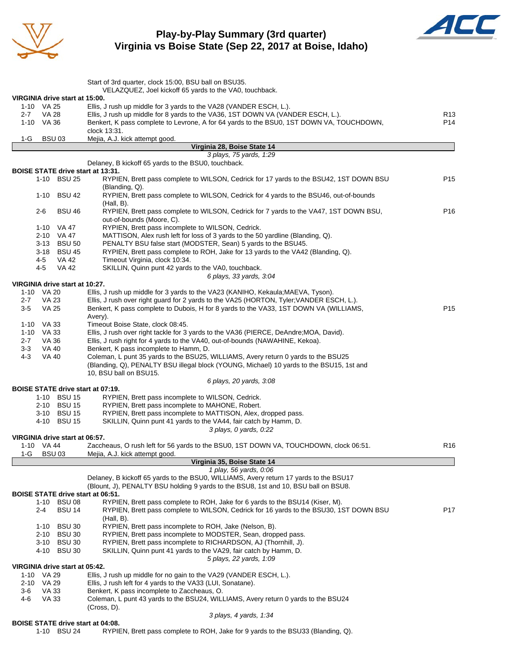

### **Play-by-Play Summary (3rd quarter) Virginia vs Boise State (Sep 22, 2017 at Boise, Idaho)**



|                                              | Start of 3rd quarter, clock 15:00, BSU ball on BSU35.                                                                                           |                 |
|----------------------------------------------|-------------------------------------------------------------------------------------------------------------------------------------------------|-----------------|
|                                              | VELAZQUEZ, Joel kickoff 65 yards to the VA0, touchback.                                                                                         |                 |
| VIRGINIA drive start at 15:00.<br>1-10 VA 25 | Ellis, J rush up middle for 3 yards to the VA28 (VANDER ESCH, L.).                                                                              |                 |
| VA 28<br>2-7                                 | Ellis, J rush up middle for 8 yards to the VA36, 1ST DOWN VA (VANDER ESCH, L.).                                                                 | R <sub>13</sub> |
| 1-10 VA 36                                   | Benkert, K pass complete to Levrone, A for 64 yards to the BSU0, 1ST DOWN VA, TOUCHDOWN,                                                        | P <sub>14</sub> |
| 1-G                                          | clock 13:31.                                                                                                                                    |                 |
| BSU <sub>03</sub>                            | Mejia, A.J. kick attempt good.<br>Virginia 28, Boise State 14                                                                                   |                 |
|                                              | 3 plays, 75 yards, 1:29                                                                                                                         |                 |
| <b>BOISE STATE drive start at 13:31.</b>     | Delaney, B kickoff 65 yards to the BSU0, touchback.                                                                                             |                 |
| 1-10 BSU 25                                  | RYPIEN, Brett pass complete to WILSON, Cedrick for 17 yards to the BSU42, 1ST DOWN BSU                                                          | P <sub>15</sub> |
|                                              | (Blanding, Q).                                                                                                                                  |                 |
| 1-10 BSU 42                                  | RYPIEN, Brett pass complete to WILSON, Cedrick for 4 yards to the BSU46, out-of-bounds                                                          |                 |
| $2 - 6$<br><b>BSU 46</b>                     | $(Hall, B)$ .<br>RYPIEN, Brett pass complete to WILSON, Cedrick for 7 yards to the VA47, 1ST DOWN BSU,                                          | P <sub>16</sub> |
|                                              | out-of-bounds (Moore, C).                                                                                                                       |                 |
| 1-10 VA 47                                   | RYPIEN, Brett pass incomplete to WILSON, Cedrick.                                                                                               |                 |
| 2-10 VA 47                                   | MATTISON, Alex rush left for loss of 3 yards to the 50 yardline (Blanding, Q).<br>PENALTY BSU false start (MODSTER, Sean) 5 yards to the BSU45. |                 |
| 3-13 BSU 50<br>3-18 BSU 45                   | RYPIEN, Brett pass complete to ROH, Jake for 13 yards to the VA42 (Blanding, Q).                                                                |                 |
| VA 42<br>4-5                                 | Timeout Virginia, clock 10:34.                                                                                                                  |                 |
| VA 42<br>4-5                                 | SKILLIN, Quinn punt 42 yards to the VA0, touchback.                                                                                             |                 |
|                                              | 6 plays, 33 yards, 3:04                                                                                                                         |                 |
| VIRGINIA drive start at 10:27.<br>1-10 VA 20 | Ellis, J rush up middle for 3 yards to the VA23 (KANIHO, Kekaula; MAEVA, Tyson).                                                                |                 |
| <b>VA 23</b><br>$2 - 7$                      | Ellis, J rush over right guard for 2 yards to the VA25 (HORTON, Tyler; VANDER ESCH, L.).                                                        |                 |
| VA 25<br>3-5                                 | Benkert, K pass complete to Dubois, H for 8 yards to the VA33, 1ST DOWN VA (WILLIAMS,                                                           | P <sub>15</sub> |
|                                              | Avery).                                                                                                                                         |                 |
| 1-10 VA 33<br>1-10 VA 33                     | Timeout Boise State, clock 08:45.<br>Ellis, J rush over right tackle for 3 yards to the VA36 (PIERCE, DeAndre; MOA, David).                     |                 |
| $2 - 7$<br>VA 36                             | Ellis, J rush right for 4 yards to the VA40, out-of-bounds (NAWAHINE, Kekoa).                                                                   |                 |
| 3-3<br>VA 40                                 | Benkert, K pass incomplete to Hamm, D.                                                                                                          |                 |
| <b>VA 40</b><br>4-3                          | Coleman, L punt 35 yards to the BSU25, WILLIAMS, Avery return 0 yards to the BSU25                                                              |                 |
|                                              | (Blanding, Q), PENALTY BSU illegal block (YOUNG, Michael) 10 yards to the BSU15, 1st and<br>10, BSU ball on BSU15.                              |                 |
|                                              | 6 plays, 20 yards, 3:08                                                                                                                         |                 |
| <b>BOISE STATE drive start at 07:19.</b>     |                                                                                                                                                 |                 |
| 1-10 BSU 15                                  | RYPIEN, Brett pass incomplete to WILSON, Cedrick.                                                                                               |                 |
| 2-10 BSU 15<br>3-10 BSU 15                   | RYPIEN, Brett pass incomplete to MAHONE, Robert.<br>RYPIEN, Brett pass incomplete to MATTISON, Alex, dropped pass.                              |                 |
| 4-10 BSU 15                                  | SKILLIN, Quinn punt 41 yards to the VA44, fair catch by Hamm, D.                                                                                |                 |
|                                              | 3 plays, 0 yards, 0:22                                                                                                                          |                 |
| VIRGINIA drive start at 06:57.               |                                                                                                                                                 |                 |
| 1-10 VA 44<br>$1-G$<br><b>BSU03</b>          | Zaccheaus, O rush left for 56 yards to the BSU0, 1ST DOWN VA, TOUCHDOWN, clock 06:51.<br>Mejia, A.J. kick attempt good.                         | R <sub>16</sub> |
|                                              | Virginia 35, Boise State 14                                                                                                                     |                 |
|                                              | 1 play, 56 yards, 0:06                                                                                                                          |                 |
|                                              | Delaney, B kickoff 65 yards to the BSU0, WILLIAMS, Avery return 17 yards to the BSU17                                                           |                 |
| BOISE STATE drive start at 06:51.            | (Blount, J), PENALTY BSU holding 9 yards to the BSU8, 1st and 10, BSU ball on BSU8.                                                             |                 |
| 1-10 BSU 08                                  | RYPIEN, Brett pass complete to ROH, Jake for 6 yards to the BSU14 (Kiser, M).                                                                   |                 |
| BSU 14<br>2-4                                | RYPIEN, Brett pass complete to WILSON, Cedrick for 16 yards to the BSU30, 1ST DOWN BSU                                                          | P <sub>17</sub> |
|                                              | (Hall, B).                                                                                                                                      |                 |
| <b>BSU 30</b><br>1-10<br>2-10 BSU 30         | RYPIEN, Brett pass incomplete to ROH, Jake (Nelson, B).<br>RYPIEN, Brett pass incomplete to MODSTER, Sean, dropped pass.                        |                 |
| 3-10 BSU 30                                  | RYPIEN, Brett pass incomplete to RICHARDSON, AJ (Thornhill, J).                                                                                 |                 |
| 4-10 BSU 30                                  | SKILLIN, Quinn punt 41 yards to the VA29, fair catch by Hamm, D.                                                                                |                 |
|                                              | 5 plays, 22 yards, 1:09                                                                                                                         |                 |
| VIRGINIA drive start at 05:42.<br>1-10 VA 29 | Ellis, J rush up middle for no gain to the VA29 (VANDER ESCH, L.).                                                                              |                 |
| 2-10 VA 29                                   | Ellis, J rush left for 4 yards to the VA33 (LUI, Sonatane).                                                                                     |                 |
| 3-6<br>VA 33                                 | Benkert, K pass incomplete to Zaccheaus, O.                                                                                                     |                 |
| 4-6<br>VA 33                                 | Coleman, L punt 43 yards to the BSU24, WILLIAMS, Avery return 0 yards to the BSU24                                                              |                 |
|                                              | $(Cross, D)$ .<br>3 plays, 4 yards, 1:34                                                                                                        |                 |
|                                              |                                                                                                                                                 |                 |

#### **BOISE STATE drive start at 04:08.**

1-10 BSU 24 RYPIEN, Brett pass complete to ROH, Jake for 9 yards to the BSU33 (Blanding, Q).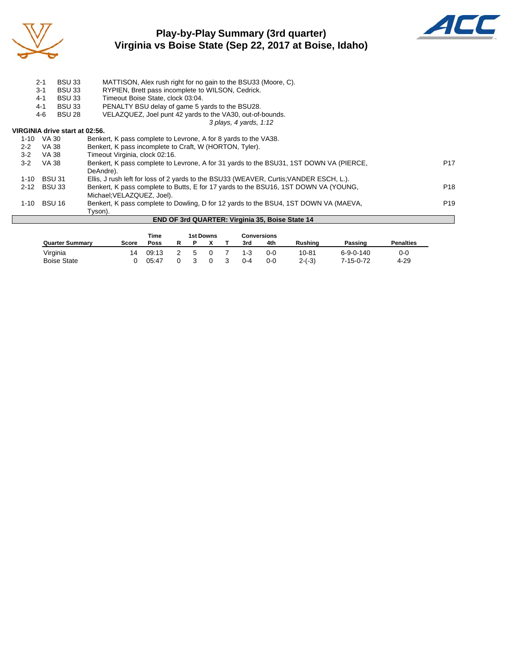

## **Play-by-Play Summary (3rd quarter) Virginia vs Boise State (Sep 22, 2017 at Boise, Idaho)**



|          | $2 - 1$<br>$3 - 1$<br><b>BSU 33</b><br><b>BSU 33</b><br>$4 - 1$ | MATTISON, Alex rush right for no gain to the BSU33 (Moore, C).<br>RYPIEN, Brett pass incomplete to WILSON, Cedrick.<br>Timeout Boise State, clock 03:04. |                  |
|----------|-----------------------------------------------------------------|----------------------------------------------------------------------------------------------------------------------------------------------------------|------------------|
|          | <b>BSU 33</b><br>$4 - 1$                                        | PENALTY BSU delay of game 5 yards to the BSU28.                                                                                                          |                  |
|          | 4-6<br><b>BSU 28</b>                                            | VELAZQUEZ, Joel punt 42 yards to the VA30, out-of-bounds.                                                                                                |                  |
|          |                                                                 | 3 plays, 4 yards, 1:12                                                                                                                                   |                  |
|          | VIRGINIA drive start at 02:56.                                  |                                                                                                                                                          |                  |
| $1 - 10$ | VA 30                                                           | Benkert, K pass complete to Levrone, A for 8 yards to the VA38.                                                                                          |                  |
| $2 - 2$  | VA 38                                                           | Benkert, K pass incomplete to Craft, W (HORTON, Tyler).                                                                                                  |                  |
| $3-2$    | VA 38                                                           | Timeout Virginia, clock 02:16.                                                                                                                           |                  |
| $3-2$    | <b>VA 38</b>                                                    | Benkert, K pass complete to Levrone, A for 31 yards to the BSU31, 1ST DOWN VA (PIERCE,                                                                   | P <sub>17</sub>  |
|          |                                                                 | DeAndre).                                                                                                                                                |                  |
| 1-10     | <b>BSU 31</b>                                                   | Ellis, J rush left for loss of 2 yards to the BSU33 (WEAVER, Curtis; VANDER ESCH, L.).                                                                   |                  |
| $2 - 12$ | <b>BSU 33</b>                                                   | Benkert, K pass complete to Butts, E for 17 yards to the BSU16, 1ST DOWN VA (YOUNG,                                                                      | P <sub>18</sub>  |
|          |                                                                 | Michael: VELAZQUEZ, Joel).                                                                                                                               |                  |
| 1-10     | <b>BSU 16</b>                                                   | Benkert, K pass complete to Dowling, D for 12 yards to the BSU4, 1ST DOWN VA (MAEVA,                                                                     | P <sub>19</sub>  |
|          |                                                                 | Tyson).                                                                                                                                                  |                  |
|          |                                                                 | <b>END OF 3rd QUARTER: Virginia 35, Boise State 14</b>                                                                                                   |                  |
|          |                                                                 |                                                                                                                                                          |                  |
|          |                                                                 | <b>1st Downs</b><br><b>Conversions</b><br>Time                                                                                                           |                  |
|          | <b>Quarter Summarv</b>                                          | R<br>х<br>Rushing<br>Р<br>4th<br>Passing<br>Score<br><b>Poss</b><br>3rd                                                                                  | <b>Penalties</b> |

Virginia 14 09:13 2 5 0 7 1-3 0-0 10-81 6-9-0-140 0-0 Boise State 0 05:47 0 3 0 3 0-4 0-0 2-(-3) 7-15-0-72 4-29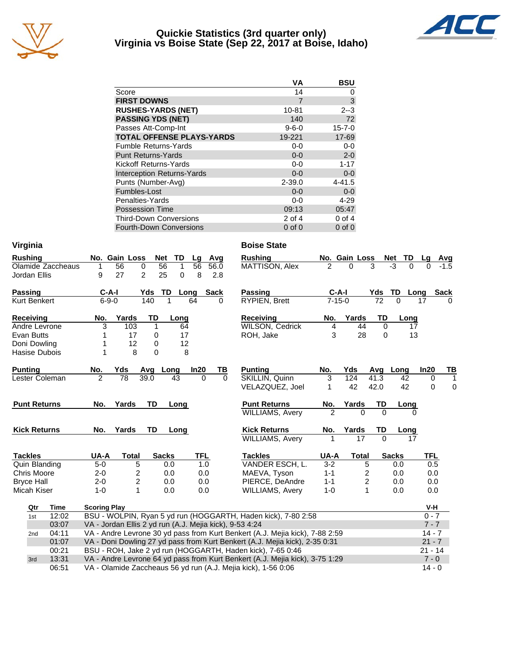

#### **Quickie Statistics (3rd quarter only) Virginia vs Boise State (Sep 22, 2017 at Boise, Idaho)**



|                                   | VA          | BSU          |
|-----------------------------------|-------------|--------------|
| Score                             | 14          | O            |
| <b>FIRST DOWNS</b>                | 7           | 3            |
| <b>RUSHES-YARDS (NET)</b>         | 10-81       | $2 - 3$      |
| <b>PASSING YDS (NET)</b>          | 140         | 72           |
| Passes Att-Comp-Int               | $9 - 6 - 0$ | $15 - 7 - 0$ |
| <b>TOTAL OFFENSE PLAYS-YARDS</b>  | 19-221      | 17-69        |
| <b>Fumble Returns-Yards</b>       | $0 - 0$     | $0-0$        |
| <b>Punt Returns-Yards</b>         | $0 - 0$     | $2 - 0$      |
| Kickoff Returns-Yards             | $0-0$       | $1 - 17$     |
| <b>Interception Returns-Yards</b> | $0 - 0$     | $0-0$        |
| Punts (Number-Avg)                | $2 - 39.0$  | $4 - 41.5$   |
| Fumbles-Lost                      | $0 - 0$     | $0-0$        |
| Penalties-Yards                   | $0 - 0$     | $4 - 29$     |
| <b>Possession Time</b>            | 09:13       | 05:47        |
| <b>Third-Down Conversions</b>     | 2 of 4      | $0$ of 4     |
| <b>Fourth-Down Conversions</b>    | $0$ of $0$  | $0$ of $0$   |

| Virginia                 |                                                         |                                  |                      | <b>Boise State</b>                                                           |                |                         |             |              |             |              |
|--------------------------|---------------------------------------------------------|----------------------------------|----------------------|------------------------------------------------------------------------------|----------------|-------------------------|-------------|--------------|-------------|--------------|
| <b>Rushing</b>           | No. Gain Loss                                           | <b>Net</b><br>TD                 | Lg<br>Avg            | <b>Rushing</b>                                                               |                | No. Gain Loss           |             | TD<br>Net    | Lg          | <u>Avg</u>   |
| Olamide Zaccheaus        | 56<br>1                                                 | 56<br>$\mathbf{1}$<br>0          | 56<br>56.0           | MATTISON, Alex                                                               | 2              | 0                       | 3           | $-3$<br>0    |             |              |
| Jordan Ellis             | 9<br>27                                                 | $\overline{2}$<br>25<br>$\Omega$ | 8<br>2.8             |                                                                              |                |                         |             |              |             |              |
| <b>Passing</b>           | $C-A-I$                                                 | TD<br>Yds                        | <b>Sack</b><br>Long  | Passing                                                                      | $C-A-I$        |                         | Yds         | TD<br>Long   |             | <b>Sack</b>  |
| <b>Kurt Benkert</b>      | $6 - 9 - 0$                                             | 140<br>1                         | 64<br>0              | RYPIEN, Brett                                                                | $7 - 15 - 0$   |                         | 72          | $\Omega$     | 17          | ∩            |
| Receiving                | Yards<br>No.                                            | <b>TD</b><br>Long                |                      | Receiving                                                                    | No.            | Yards                   | TD          | Long         |             |              |
| Andre Levrone            | 3<br>103                                                | $\mathbf{1}$<br>64               |                      | <b>WILSON, Cedrick</b>                                                       | 4              | 44                      | $\mathbf 0$ | 17           |             |              |
| Evan Butts               | 17<br>1                                                 | 0<br>17                          |                      | ROH, Jake                                                                    | 3              | 28                      | $\Omega$    | 13           |             |              |
| Doni Dowling             | 12                                                      | 12<br>0                          |                      |                                                                              |                |                         |             |              |             |              |
| Hasise Dubois            | 8<br>1                                                  | 0<br>8                           |                      |                                                                              |                |                         |             |              |             |              |
| <b>Punting</b>           | Yds<br>No.                                              | Avg Long                         | In20<br>ΤВ           | <b>Punting</b>                                                               | No.            | Yds                     |             | Avg Long     | In20        | TB           |
| Lester Coleman           | $\overline{2}$<br>$\overline{78}$                       | 39.0<br>43                       | $\Omega$<br>$\Omega$ | SKILLIN, Quinn                                                               | 3              | 124                     | 41.3        | 42           | $\mathbf 0$ | $\mathbf{1}$ |
|                          |                                                         |                                  |                      | VELAZQUEZ, Joel                                                              | 1              | 42                      | 42.0        | 42           | 0           | 0            |
| <b>Punt Returns</b>      | Yards<br>No.                                            | <b>TD</b><br>Long                |                      | <b>Punt Returns</b>                                                          | No.            | Yards                   | TD          | Long         |             |              |
|                          |                                                         |                                  |                      | <b>WILLIAMS, Avery</b>                                                       | $\mathfrak{p}$ | $\Omega$                | $\Omega$    | 0            |             |              |
| <b>Kick Returns</b>      | No.<br>Yards                                            | <b>TD</b><br>Long                |                      | <b>Kick Returns</b>                                                          | No.            | Yards                   | TD          | Long         |             |              |
|                          |                                                         |                                  |                      | <b>WILLIAMS, Avery</b>                                                       | 1              | 17                      | $\Omega$    | 17           |             |              |
| <b>Tackles</b>           | UA-A<br><b>Total</b>                                    | <b>Sacks</b>                     | <b>TFL</b>           | <b>Tackles</b>                                                               | UA-A           | <b>Total</b>            |             | <b>Sacks</b> | <b>TFL</b>  |              |
| Quin Blanding            | $5-0$                                                   | 5<br>0.0                         | 1.0                  | VANDER ESCH, L.                                                              | $3 - 2$        | 5                       |             | 0.0          | 0.5         |              |
| <b>Chris Moore</b>       | $2 - 0$                                                 | 2<br>0.0                         | 0.0                  | MAEVA, Tyson                                                                 | $1 - 1$        | 2                       |             | 0.0          | 0.0         |              |
| <b>Bryce Hall</b>        | $2 - 0$                                                 | $\overline{c}$<br>0.0            | 0.0                  | PIERCE, DeAndre                                                              | $1 - 1$        | $\overline{\mathbf{c}}$ |             | 0.0          | 0.0         |              |
| Micah Kiser              | $1 - 0$                                                 | 1<br>0.0                         | 0.0                  | <b>WILLIAMS, Avery</b>                                                       | $1 - 0$        | 1                       |             | 0.0          | 0.0         |              |
| Qtr<br>Time              | <b>Scoring Play</b>                                     |                                  |                      |                                                                              |                |                         |             |              | V-H         |              |
| 12:02<br>1st             |                                                         |                                  |                      | BSU - WOLPIN, Ryan 5 yd run (HOGGARTH, Haden kick), 7-80 2:58                |                |                         |             |              | $0 - 7$     |              |
| 03:07                    | VA - Jordan Ellis 2 yd run (A.J. Mejia kick), 9-53 4:24 |                                  |                      |                                                                              |                |                         |             |              | $7 - 7$     |              |
| 04:11<br>2 <sub>nd</sub> |                                                         |                                  |                      | VA - Andre Levrone 30 yd pass from Kurt Benkert (A.J. Mejia kick), 7-88 2:59 |                |                         |             |              | $14 - 7$    |              |
| 01:07                    |                                                         |                                  |                      | VA - Doni Dowling 27 yd pass from Kurt Benkert (A.J. Mejia kick), 2-35 0:31  |                |                         |             |              | $21 - 7$    |              |
| 00:21                    |                                                         |                                  |                      | BSU - ROH, Jake 2 yd run (HOGGARTH, Haden kick), 7-65 0:46                   |                |                         |             |              | $21 - 14$   |              |
| 13:31<br>3rd             |                                                         |                                  |                      | VA - Andre Levrone 64 yd pass from Kurt Benkert (A.J. Mejia kick), 3-75 1:29 |                |                         |             |              | $7 - 0$     |              |
| 06:51                    |                                                         |                                  |                      | VA - Olamide Zaccheaus 56 yd run (A.J. Mejia kick), 1-56 0:06                |                |                         |             |              | $14 - 0$    |              |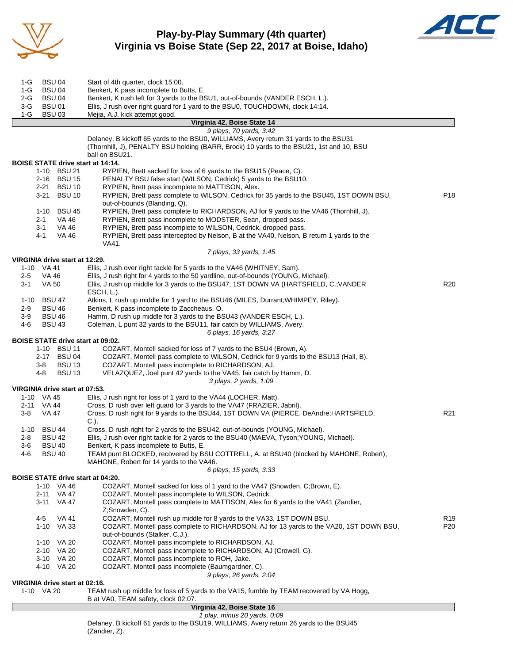

### **Play-by-Play Summary (4th quarter) Virginia vs Boise State (Sep 22, 2017 at Boise, Idaho)**



| 2-G<br><b>BSU 04</b>                                                                                                                                                                                                                                                                                                                                                                                                                                                                                                                                                                                                                                                                                                                                                                                                                                                                                                                                                                                                                                                                                                                                                                                                                                                                                                                                                                                                                                                                                                                                                                                                                                                                                                                                                                                                                                                                                                                                                                                                                                                                                                                                                                                                                                                                                                                                                                                                                                                                                                                                                                                                                                                                                                                                                                                                                                                                                                                                                                                                                                                                                                                                                                                                                                                                                                                                                                                                                                                                                                                                                                                                                                                                                                                                                                                                                                                                                                                                                                                                                                                                                                                                                                                                                                                  | Benkert, K rush left for 3 yards to the BSU1, out-of-bounds (VANDER ESCH, L.).            |                 |  |
|-----------------------------------------------------------------------------------------------------------------------------------------------------------------------------------------------------------------------------------------------------------------------------------------------------------------------------------------------------------------------------------------------------------------------------------------------------------------------------------------------------------------------------------------------------------------------------------------------------------------------------------------------------------------------------------------------------------------------------------------------------------------------------------------------------------------------------------------------------------------------------------------------------------------------------------------------------------------------------------------------------------------------------------------------------------------------------------------------------------------------------------------------------------------------------------------------------------------------------------------------------------------------------------------------------------------------------------------------------------------------------------------------------------------------------------------------------------------------------------------------------------------------------------------------------------------------------------------------------------------------------------------------------------------------------------------------------------------------------------------------------------------------------------------------------------------------------------------------------------------------------------------------------------------------------------------------------------------------------------------------------------------------------------------------------------------------------------------------------------------------------------------------------------------------------------------------------------------------------------------------------------------------------------------------------------------------------------------------------------------------------------------------------------------------------------------------------------------------------------------------------------------------------------------------------------------------------------------------------------------------------------------------------------------------------------------------------------------------------------------------------------------------------------------------------------------------------------------------------------------------------------------------------------------------------------------------------------------------------------------------------------------------------------------------------------------------------------------------------------------------------------------------------------------------------------------------------------------------------------------------------------------------------------------------------------------------------------------------------------------------------------------------------------------------------------------------------------------------------------------------------------------------------------------------------------------------------------------------------------------------------------------------------------------------------------------------------------------------------------------------------------------------------------------------------------------------------------------------------------------------------------------------------------------------------------------------------------------------------------------------------------------------------------------------------------------------------------------------------------------------------------------------------------------------------------------------------------------------------------------------------------------------|-------------------------------------------------------------------------------------------|-----------------|--|
| $3-G$<br><b>BSU01</b>                                                                                                                                                                                                                                                                                                                                                                                                                                                                                                                                                                                                                                                                                                                                                                                                                                                                                                                                                                                                                                                                                                                                                                                                                                                                                                                                                                                                                                                                                                                                                                                                                                                                                                                                                                                                                                                                                                                                                                                                                                                                                                                                                                                                                                                                                                                                                                                                                                                                                                                                                                                                                                                                                                                                                                                                                                                                                                                                                                                                                                                                                                                                                                                                                                                                                                                                                                                                                                                                                                                                                                                                                                                                                                                                                                                                                                                                                                                                                                                                                                                                                                                                                                                                                                                 | Ellis, J rush over right guard for 1 yard to the BSU0, TOUCHDOWN, clock 14:14.            |                 |  |
|                                                                                                                                                                                                                                                                                                                                                                                                                                                                                                                                                                                                                                                                                                                                                                                                                                                                                                                                                                                                                                                                                                                                                                                                                                                                                                                                                                                                                                                                                                                                                                                                                                                                                                                                                                                                                                                                                                                                                                                                                                                                                                                                                                                                                                                                                                                                                                                                                                                                                                                                                                                                                                                                                                                                                                                                                                                                                                                                                                                                                                                                                                                                                                                                                                                                                                                                                                                                                                                                                                                                                                                                                                                                                                                                                                                                                                                                                                                                                                                                                                                                                                                                                                                                                                                                       |                                                                                           |                 |  |
|                                                                                                                                                                                                                                                                                                                                                                                                                                                                                                                                                                                                                                                                                                                                                                                                                                                                                                                                                                                                                                                                                                                                                                                                                                                                                                                                                                                                                                                                                                                                                                                                                                                                                                                                                                                                                                                                                                                                                                                                                                                                                                                                                                                                                                                                                                                                                                                                                                                                                                                                                                                                                                                                                                                                                                                                                                                                                                                                                                                                                                                                                                                                                                                                                                                                                                                                                                                                                                                                                                                                                                                                                                                                                                                                                                                                                                                                                                                                                                                                                                                                                                                                                                                                                                                                       |                                                                                           |                 |  |
|                                                                                                                                                                                                                                                                                                                                                                                                                                                                                                                                                                                                                                                                                                                                                                                                                                                                                                                                                                                                                                                                                                                                                                                                                                                                                                                                                                                                                                                                                                                                                                                                                                                                                                                                                                                                                                                                                                                                                                                                                                                                                                                                                                                                                                                                                                                                                                                                                                                                                                                                                                                                                                                                                                                                                                                                                                                                                                                                                                                                                                                                                                                                                                                                                                                                                                                                                                                                                                                                                                                                                                                                                                                                                                                                                                                                                                                                                                                                                                                                                                                                                                                                                                                                                                                                       | Delaney, B kickoff 65 yards to the BSU0, WILLIAMS, Avery return 31 yards to the BSU31     |                 |  |
| <b>BSU 04</b><br>Start of 4th quarter, clock 15:00.<br>1-G<br>$1-G$<br><b>BSU 04</b><br>Benkert, K pass incomplete to Butts, E.<br>$1-G$<br><b>BSU 03</b><br>Mejia, A.J. kick attempt good.<br>Virginia 42, Boise State 14<br>9 plays, 70 yards, 3:42<br>(Thornhill, J), PENALTY BSU holding (BARR, Brock) 10 yards to the BSU21, 1st and 10, BSU<br>ball on BSU21.<br><b>BOISE STATE drive start at 14:14.</b><br>RYPIEN, Brett sacked for loss of 6 yards to the BSU15 (Peace, C).<br>1-10 BSU 21<br>2-16 BSU 15<br>PENALTY BSU false start (WILSON, Cedrick) 5 yards to the BSU10.<br>2-21 BSU 10<br>RYPIEN, Brett pass incomplete to MATTISON, Alex.<br>3-21<br><b>BSU 10</b><br>RYPIEN, Brett pass complete to WILSON, Cedrick for 35 yards to the BSU45, 1ST DOWN BSU,<br>out-of-bounds (Blanding, Q).<br>RYPIEN, Brett pass complete to RICHARDSON, AJ for 9 yards to the VA46 (Thornhill, J).<br>1-10 BSU 45<br>RYPIEN, Brett pass incomplete to MODSTER, Sean, dropped pass.<br>$2 - 1$<br>VA 46<br>VA 46<br>RYPIEN, Brett pass incomplete to WILSON, Cedrick, dropped pass.<br>3-1<br>RYPIEN, Brett pass intercepted by Nelson, B at the VA40, Nelson, B return 1 yards to the<br>4-1<br>VA 46<br>VA41.<br>7 plays, 33 yards, 1:45<br>VIRGINIA drive start at 12:29.<br>Ellis, J rush over right tackle for 5 yards to the VA46 (WHITNEY, Sam).<br>1-10 VA 41<br>$2 - 5$<br>Ellis, J rush right for 4 yards to the 50 yardline, out-of-bounds (YOUNG, Michael).<br>VA 46<br>$3 - 1$<br>Ellis, J rush up middle for 3 yards to the BSU47, 1ST DOWN VA (HARTSFIELD, C.; VANDER<br>R <sub>20</sub><br>VA 50<br>ESCH, L.).<br><b>BSU 47</b><br>Atkins, L rush up middle for 1 yard to the BSU46 (MILES, Durrant; WHIMPEY, Riley).<br>1-10<br>$2 - 9$<br><b>BSU 46</b><br>Benkert, K pass incomplete to Zaccheaus, O.<br>$3-9$<br><b>BSU 46</b><br>Hamm, D rush up middle for 3 yards to the BSU43 (VANDER ESCH, L.).<br>4-6<br>Coleman, L punt 32 yards to the BSU11, fair catch by WILLIAMS, Avery.<br>BSU 43<br>6 plays, 16 yards, 3:27<br><b>BOISE STATE drive start at 09:02.</b><br>1-10 BSU 11<br>COZART, Montell sacked for loss of 7 yards to the BSU4 (Brown, A).<br>2-17 BSU 04<br>COZART, Montell pass complete to WILSON, Cedrick for 9 yards to the BSU13 (Hall, B).<br><b>BSU 13</b><br>COZART, Montell pass incomplete to RICHARDSON, AJ.<br>3-8<br>$4 - 8$<br><b>BSU 13</b><br>VELAZQUEZ, Joel punt 42 yards to the VA45, fair catch by Hamm, D.<br>3 plays, 2 yards, 1:09<br>VIRGINIA drive start at 07:53.<br>Ellis, J rush right for loss of 1 yard to the VA44 (LOCHER, Matt).<br>1-10 VA 45<br>2-11 VA 44<br>Cross, D rush over left guard for 3 yards to the VA47 (FRAZIER, Jabril).<br>Cross, D rush right for 9 yards to the BSU44, 1ST DOWN VA (PIERCE, DeAndre; HARTSFIELD,<br>3-8<br>VA 47<br>$C.$ ).<br>Cross, D rush right for 2 yards to the BSU42, out-of-bounds (YOUNG, Michael).<br>1-10 BSU 44<br>Ellis, J rush over right tackle for 2 yards to the BSU40 (MAEVA, Tyson; YOUNG, Michael).<br><b>BSU 42</b><br>$2 - 8$<br><b>BSU 40</b><br>Benkert, K pass incomplete to Butts, E.<br>$3-6$<br><b>BSU 40</b><br>TEAM punt BLOCKED, recovered by BSU COTTRELL, A. at BSU40 (blocked by MAHONE, Robert),<br>4-6<br>MAHONE, Robert for 14 yards to the VA46.<br>6 plays, 15 yards, 3:33<br><b>BOISE STATE drive start at 04:20.</b><br>COZART, Montell sacked for loss of 1 yard to the VA47 (Snowden, C;Brown, E).<br>1-10 VA 46<br>COZART, Montell pass incomplete to WILSON, Cedrick.<br>2-11 VA 47<br>COZART, Montell pass complete to MATTISON, Alex for 6 yards to the VA41 (Zandier,<br>3-11<br>VA 47<br>Z;Snowden, C).<br>COZART, Montell rush up middle for 8 yards to the VA33, 1ST DOWN BSU.<br>4-5<br>VA 41<br>COZART, Montell pass complete to RICHARDSON, AJ for 13 yards to the VA20, 1ST DOWN BSU,<br>1-10<br>VA 33<br>P20<br>out-of-bounds (Stalker, C.J.).<br>COZART, Montell pass incomplete to RICHARDSON, AJ.<br>1-10 VA 20<br>2-10 VA 20<br>COZART, Montell pass incomplete to RICHARDSON, AJ (Crowell, G).<br>3-10 VA 20<br>COZART, Montell pass incomplete to ROH, Jake.<br>COZART, Montell pass incomplete (Baumgardner, C).<br>4-10 VA 20<br>9 plays, 26 yards, 2:04<br>VIRGINIA drive start at 02:16. |                                                                                           |                 |  |
|                                                                                                                                                                                                                                                                                                                                                                                                                                                                                                                                                                                                                                                                                                                                                                                                                                                                                                                                                                                                                                                                                                                                                                                                                                                                                                                                                                                                                                                                                                                                                                                                                                                                                                                                                                                                                                                                                                                                                                                                                                                                                                                                                                                                                                                                                                                                                                                                                                                                                                                                                                                                                                                                                                                                                                                                                                                                                                                                                                                                                                                                                                                                                                                                                                                                                                                                                                                                                                                                                                                                                                                                                                                                                                                                                                                                                                                                                                                                                                                                                                                                                                                                                                                                                                                                       |                                                                                           |                 |  |
|                                                                                                                                                                                                                                                                                                                                                                                                                                                                                                                                                                                                                                                                                                                                                                                                                                                                                                                                                                                                                                                                                                                                                                                                                                                                                                                                                                                                                                                                                                                                                                                                                                                                                                                                                                                                                                                                                                                                                                                                                                                                                                                                                                                                                                                                                                                                                                                                                                                                                                                                                                                                                                                                                                                                                                                                                                                                                                                                                                                                                                                                                                                                                                                                                                                                                                                                                                                                                                                                                                                                                                                                                                                                                                                                                                                                                                                                                                                                                                                                                                                                                                                                                                                                                                                                       |                                                                                           |                 |  |
|                                                                                                                                                                                                                                                                                                                                                                                                                                                                                                                                                                                                                                                                                                                                                                                                                                                                                                                                                                                                                                                                                                                                                                                                                                                                                                                                                                                                                                                                                                                                                                                                                                                                                                                                                                                                                                                                                                                                                                                                                                                                                                                                                                                                                                                                                                                                                                                                                                                                                                                                                                                                                                                                                                                                                                                                                                                                                                                                                                                                                                                                                                                                                                                                                                                                                                                                                                                                                                                                                                                                                                                                                                                                                                                                                                                                                                                                                                                                                                                                                                                                                                                                                                                                                                                                       |                                                                                           |                 |  |
|                                                                                                                                                                                                                                                                                                                                                                                                                                                                                                                                                                                                                                                                                                                                                                                                                                                                                                                                                                                                                                                                                                                                                                                                                                                                                                                                                                                                                                                                                                                                                                                                                                                                                                                                                                                                                                                                                                                                                                                                                                                                                                                                                                                                                                                                                                                                                                                                                                                                                                                                                                                                                                                                                                                                                                                                                                                                                                                                                                                                                                                                                                                                                                                                                                                                                                                                                                                                                                                                                                                                                                                                                                                                                                                                                                                                                                                                                                                                                                                                                                                                                                                                                                                                                                                                       |                                                                                           |                 |  |
|                                                                                                                                                                                                                                                                                                                                                                                                                                                                                                                                                                                                                                                                                                                                                                                                                                                                                                                                                                                                                                                                                                                                                                                                                                                                                                                                                                                                                                                                                                                                                                                                                                                                                                                                                                                                                                                                                                                                                                                                                                                                                                                                                                                                                                                                                                                                                                                                                                                                                                                                                                                                                                                                                                                                                                                                                                                                                                                                                                                                                                                                                                                                                                                                                                                                                                                                                                                                                                                                                                                                                                                                                                                                                                                                                                                                                                                                                                                                                                                                                                                                                                                                                                                                                                                                       |                                                                                           | P <sub>18</sub> |  |
|                                                                                                                                                                                                                                                                                                                                                                                                                                                                                                                                                                                                                                                                                                                                                                                                                                                                                                                                                                                                                                                                                                                                                                                                                                                                                                                                                                                                                                                                                                                                                                                                                                                                                                                                                                                                                                                                                                                                                                                                                                                                                                                                                                                                                                                                                                                                                                                                                                                                                                                                                                                                                                                                                                                                                                                                                                                                                                                                                                                                                                                                                                                                                                                                                                                                                                                                                                                                                                                                                                                                                                                                                                                                                                                                                                                                                                                                                                                                                                                                                                                                                                                                                                                                                                                                       |                                                                                           |                 |  |
|                                                                                                                                                                                                                                                                                                                                                                                                                                                                                                                                                                                                                                                                                                                                                                                                                                                                                                                                                                                                                                                                                                                                                                                                                                                                                                                                                                                                                                                                                                                                                                                                                                                                                                                                                                                                                                                                                                                                                                                                                                                                                                                                                                                                                                                                                                                                                                                                                                                                                                                                                                                                                                                                                                                                                                                                                                                                                                                                                                                                                                                                                                                                                                                                                                                                                                                                                                                                                                                                                                                                                                                                                                                                                                                                                                                                                                                                                                                                                                                                                                                                                                                                                                                                                                                                       |                                                                                           |                 |  |
|                                                                                                                                                                                                                                                                                                                                                                                                                                                                                                                                                                                                                                                                                                                                                                                                                                                                                                                                                                                                                                                                                                                                                                                                                                                                                                                                                                                                                                                                                                                                                                                                                                                                                                                                                                                                                                                                                                                                                                                                                                                                                                                                                                                                                                                                                                                                                                                                                                                                                                                                                                                                                                                                                                                                                                                                                                                                                                                                                                                                                                                                                                                                                                                                                                                                                                                                                                                                                                                                                                                                                                                                                                                                                                                                                                                                                                                                                                                                                                                                                                                                                                                                                                                                                                                                       |                                                                                           |                 |  |
|                                                                                                                                                                                                                                                                                                                                                                                                                                                                                                                                                                                                                                                                                                                                                                                                                                                                                                                                                                                                                                                                                                                                                                                                                                                                                                                                                                                                                                                                                                                                                                                                                                                                                                                                                                                                                                                                                                                                                                                                                                                                                                                                                                                                                                                                                                                                                                                                                                                                                                                                                                                                                                                                                                                                                                                                                                                                                                                                                                                                                                                                                                                                                                                                                                                                                                                                                                                                                                                                                                                                                                                                                                                                                                                                                                                                                                                                                                                                                                                                                                                                                                                                                                                                                                                                       |                                                                                           |                 |  |
|                                                                                                                                                                                                                                                                                                                                                                                                                                                                                                                                                                                                                                                                                                                                                                                                                                                                                                                                                                                                                                                                                                                                                                                                                                                                                                                                                                                                                                                                                                                                                                                                                                                                                                                                                                                                                                                                                                                                                                                                                                                                                                                                                                                                                                                                                                                                                                                                                                                                                                                                                                                                                                                                                                                                                                                                                                                                                                                                                                                                                                                                                                                                                                                                                                                                                                                                                                                                                                                                                                                                                                                                                                                                                                                                                                                                                                                                                                                                                                                                                                                                                                                                                                                                                                                                       |                                                                                           |                 |  |
|                                                                                                                                                                                                                                                                                                                                                                                                                                                                                                                                                                                                                                                                                                                                                                                                                                                                                                                                                                                                                                                                                                                                                                                                                                                                                                                                                                                                                                                                                                                                                                                                                                                                                                                                                                                                                                                                                                                                                                                                                                                                                                                                                                                                                                                                                                                                                                                                                                                                                                                                                                                                                                                                                                                                                                                                                                                                                                                                                                                                                                                                                                                                                                                                                                                                                                                                                                                                                                                                                                                                                                                                                                                                                                                                                                                                                                                                                                                                                                                                                                                                                                                                                                                                                                                                       |                                                                                           |                 |  |
|                                                                                                                                                                                                                                                                                                                                                                                                                                                                                                                                                                                                                                                                                                                                                                                                                                                                                                                                                                                                                                                                                                                                                                                                                                                                                                                                                                                                                                                                                                                                                                                                                                                                                                                                                                                                                                                                                                                                                                                                                                                                                                                                                                                                                                                                                                                                                                                                                                                                                                                                                                                                                                                                                                                                                                                                                                                                                                                                                                                                                                                                                                                                                                                                                                                                                                                                                                                                                                                                                                                                                                                                                                                                                                                                                                                                                                                                                                                                                                                                                                                                                                                                                                                                                                                                       |                                                                                           |                 |  |
|                                                                                                                                                                                                                                                                                                                                                                                                                                                                                                                                                                                                                                                                                                                                                                                                                                                                                                                                                                                                                                                                                                                                                                                                                                                                                                                                                                                                                                                                                                                                                                                                                                                                                                                                                                                                                                                                                                                                                                                                                                                                                                                                                                                                                                                                                                                                                                                                                                                                                                                                                                                                                                                                                                                                                                                                                                                                                                                                                                                                                                                                                                                                                                                                                                                                                                                                                                                                                                                                                                                                                                                                                                                                                                                                                                                                                                                                                                                                                                                                                                                                                                                                                                                                                                                                       |                                                                                           |                 |  |
|                                                                                                                                                                                                                                                                                                                                                                                                                                                                                                                                                                                                                                                                                                                                                                                                                                                                                                                                                                                                                                                                                                                                                                                                                                                                                                                                                                                                                                                                                                                                                                                                                                                                                                                                                                                                                                                                                                                                                                                                                                                                                                                                                                                                                                                                                                                                                                                                                                                                                                                                                                                                                                                                                                                                                                                                                                                                                                                                                                                                                                                                                                                                                                                                                                                                                                                                                                                                                                                                                                                                                                                                                                                                                                                                                                                                                                                                                                                                                                                                                                                                                                                                                                                                                                                                       |                                                                                           |                 |  |
|                                                                                                                                                                                                                                                                                                                                                                                                                                                                                                                                                                                                                                                                                                                                                                                                                                                                                                                                                                                                                                                                                                                                                                                                                                                                                                                                                                                                                                                                                                                                                                                                                                                                                                                                                                                                                                                                                                                                                                                                                                                                                                                                                                                                                                                                                                                                                                                                                                                                                                                                                                                                                                                                                                                                                                                                                                                                                                                                                                                                                                                                                                                                                                                                                                                                                                                                                                                                                                                                                                                                                                                                                                                                                                                                                                                                                                                                                                                                                                                                                                                                                                                                                                                                                                                                       |                                                                                           |                 |  |
|                                                                                                                                                                                                                                                                                                                                                                                                                                                                                                                                                                                                                                                                                                                                                                                                                                                                                                                                                                                                                                                                                                                                                                                                                                                                                                                                                                                                                                                                                                                                                                                                                                                                                                                                                                                                                                                                                                                                                                                                                                                                                                                                                                                                                                                                                                                                                                                                                                                                                                                                                                                                                                                                                                                                                                                                                                                                                                                                                                                                                                                                                                                                                                                                                                                                                                                                                                                                                                                                                                                                                                                                                                                                                                                                                                                                                                                                                                                                                                                                                                                                                                                                                                                                                                                                       |                                                                                           |                 |  |
|                                                                                                                                                                                                                                                                                                                                                                                                                                                                                                                                                                                                                                                                                                                                                                                                                                                                                                                                                                                                                                                                                                                                                                                                                                                                                                                                                                                                                                                                                                                                                                                                                                                                                                                                                                                                                                                                                                                                                                                                                                                                                                                                                                                                                                                                                                                                                                                                                                                                                                                                                                                                                                                                                                                                                                                                                                                                                                                                                                                                                                                                                                                                                                                                                                                                                                                                                                                                                                                                                                                                                                                                                                                                                                                                                                                                                                                                                                                                                                                                                                                                                                                                                                                                                                                                       |                                                                                           |                 |  |
|                                                                                                                                                                                                                                                                                                                                                                                                                                                                                                                                                                                                                                                                                                                                                                                                                                                                                                                                                                                                                                                                                                                                                                                                                                                                                                                                                                                                                                                                                                                                                                                                                                                                                                                                                                                                                                                                                                                                                                                                                                                                                                                                                                                                                                                                                                                                                                                                                                                                                                                                                                                                                                                                                                                                                                                                                                                                                                                                                                                                                                                                                                                                                                                                                                                                                                                                                                                                                                                                                                                                                                                                                                                                                                                                                                                                                                                                                                                                                                                                                                                                                                                                                                                                                                                                       |                                                                                           |                 |  |
|                                                                                                                                                                                                                                                                                                                                                                                                                                                                                                                                                                                                                                                                                                                                                                                                                                                                                                                                                                                                                                                                                                                                                                                                                                                                                                                                                                                                                                                                                                                                                                                                                                                                                                                                                                                                                                                                                                                                                                                                                                                                                                                                                                                                                                                                                                                                                                                                                                                                                                                                                                                                                                                                                                                                                                                                                                                                                                                                                                                                                                                                                                                                                                                                                                                                                                                                                                                                                                                                                                                                                                                                                                                                                                                                                                                                                                                                                                                                                                                                                                                                                                                                                                                                                                                                       |                                                                                           |                 |  |
|                                                                                                                                                                                                                                                                                                                                                                                                                                                                                                                                                                                                                                                                                                                                                                                                                                                                                                                                                                                                                                                                                                                                                                                                                                                                                                                                                                                                                                                                                                                                                                                                                                                                                                                                                                                                                                                                                                                                                                                                                                                                                                                                                                                                                                                                                                                                                                                                                                                                                                                                                                                                                                                                                                                                                                                                                                                                                                                                                                                                                                                                                                                                                                                                                                                                                                                                                                                                                                                                                                                                                                                                                                                                                                                                                                                                                                                                                                                                                                                                                                                                                                                                                                                                                                                                       |                                                                                           |                 |  |
|                                                                                                                                                                                                                                                                                                                                                                                                                                                                                                                                                                                                                                                                                                                                                                                                                                                                                                                                                                                                                                                                                                                                                                                                                                                                                                                                                                                                                                                                                                                                                                                                                                                                                                                                                                                                                                                                                                                                                                                                                                                                                                                                                                                                                                                                                                                                                                                                                                                                                                                                                                                                                                                                                                                                                                                                                                                                                                                                                                                                                                                                                                                                                                                                                                                                                                                                                                                                                                                                                                                                                                                                                                                                                                                                                                                                                                                                                                                                                                                                                                                                                                                                                                                                                                                                       |                                                                                           |                 |  |
|                                                                                                                                                                                                                                                                                                                                                                                                                                                                                                                                                                                                                                                                                                                                                                                                                                                                                                                                                                                                                                                                                                                                                                                                                                                                                                                                                                                                                                                                                                                                                                                                                                                                                                                                                                                                                                                                                                                                                                                                                                                                                                                                                                                                                                                                                                                                                                                                                                                                                                                                                                                                                                                                                                                                                                                                                                                                                                                                                                                                                                                                                                                                                                                                                                                                                                                                                                                                                                                                                                                                                                                                                                                                                                                                                                                                                                                                                                                                                                                                                                                                                                                                                                                                                                                                       |                                                                                           |                 |  |
|                                                                                                                                                                                                                                                                                                                                                                                                                                                                                                                                                                                                                                                                                                                                                                                                                                                                                                                                                                                                                                                                                                                                                                                                                                                                                                                                                                                                                                                                                                                                                                                                                                                                                                                                                                                                                                                                                                                                                                                                                                                                                                                                                                                                                                                                                                                                                                                                                                                                                                                                                                                                                                                                                                                                                                                                                                                                                                                                                                                                                                                                                                                                                                                                                                                                                                                                                                                                                                                                                                                                                                                                                                                                                                                                                                                                                                                                                                                                                                                                                                                                                                                                                                                                                                                                       |                                                                                           |                 |  |
|                                                                                                                                                                                                                                                                                                                                                                                                                                                                                                                                                                                                                                                                                                                                                                                                                                                                                                                                                                                                                                                                                                                                                                                                                                                                                                                                                                                                                                                                                                                                                                                                                                                                                                                                                                                                                                                                                                                                                                                                                                                                                                                                                                                                                                                                                                                                                                                                                                                                                                                                                                                                                                                                                                                                                                                                                                                                                                                                                                                                                                                                                                                                                                                                                                                                                                                                                                                                                                                                                                                                                                                                                                                                                                                                                                                                                                                                                                                                                                                                                                                                                                                                                                                                                                                                       |                                                                                           |                 |  |
|                                                                                                                                                                                                                                                                                                                                                                                                                                                                                                                                                                                                                                                                                                                                                                                                                                                                                                                                                                                                                                                                                                                                                                                                                                                                                                                                                                                                                                                                                                                                                                                                                                                                                                                                                                                                                                                                                                                                                                                                                                                                                                                                                                                                                                                                                                                                                                                                                                                                                                                                                                                                                                                                                                                                                                                                                                                                                                                                                                                                                                                                                                                                                                                                                                                                                                                                                                                                                                                                                                                                                                                                                                                                                                                                                                                                                                                                                                                                                                                                                                                                                                                                                                                                                                                                       |                                                                                           |                 |  |
|                                                                                                                                                                                                                                                                                                                                                                                                                                                                                                                                                                                                                                                                                                                                                                                                                                                                                                                                                                                                                                                                                                                                                                                                                                                                                                                                                                                                                                                                                                                                                                                                                                                                                                                                                                                                                                                                                                                                                                                                                                                                                                                                                                                                                                                                                                                                                                                                                                                                                                                                                                                                                                                                                                                                                                                                                                                                                                                                                                                                                                                                                                                                                                                                                                                                                                                                                                                                                                                                                                                                                                                                                                                                                                                                                                                                                                                                                                                                                                                                                                                                                                                                                                                                                                                                       |                                                                                           |                 |  |
|                                                                                                                                                                                                                                                                                                                                                                                                                                                                                                                                                                                                                                                                                                                                                                                                                                                                                                                                                                                                                                                                                                                                                                                                                                                                                                                                                                                                                                                                                                                                                                                                                                                                                                                                                                                                                                                                                                                                                                                                                                                                                                                                                                                                                                                                                                                                                                                                                                                                                                                                                                                                                                                                                                                                                                                                                                                                                                                                                                                                                                                                                                                                                                                                                                                                                                                                                                                                                                                                                                                                                                                                                                                                                                                                                                                                                                                                                                                                                                                                                                                                                                                                                                                                                                                                       |                                                                                           |                 |  |
|                                                                                                                                                                                                                                                                                                                                                                                                                                                                                                                                                                                                                                                                                                                                                                                                                                                                                                                                                                                                                                                                                                                                                                                                                                                                                                                                                                                                                                                                                                                                                                                                                                                                                                                                                                                                                                                                                                                                                                                                                                                                                                                                                                                                                                                                                                                                                                                                                                                                                                                                                                                                                                                                                                                                                                                                                                                                                                                                                                                                                                                                                                                                                                                                                                                                                                                                                                                                                                                                                                                                                                                                                                                                                                                                                                                                                                                                                                                                                                                                                                                                                                                                                                                                                                                                       |                                                                                           | R <sub>21</sub> |  |
|                                                                                                                                                                                                                                                                                                                                                                                                                                                                                                                                                                                                                                                                                                                                                                                                                                                                                                                                                                                                                                                                                                                                                                                                                                                                                                                                                                                                                                                                                                                                                                                                                                                                                                                                                                                                                                                                                                                                                                                                                                                                                                                                                                                                                                                                                                                                                                                                                                                                                                                                                                                                                                                                                                                                                                                                                                                                                                                                                                                                                                                                                                                                                                                                                                                                                                                                                                                                                                                                                                                                                                                                                                                                                                                                                                                                                                                                                                                                                                                                                                                                                                                                                                                                                                                                       |                                                                                           |                 |  |
|                                                                                                                                                                                                                                                                                                                                                                                                                                                                                                                                                                                                                                                                                                                                                                                                                                                                                                                                                                                                                                                                                                                                                                                                                                                                                                                                                                                                                                                                                                                                                                                                                                                                                                                                                                                                                                                                                                                                                                                                                                                                                                                                                                                                                                                                                                                                                                                                                                                                                                                                                                                                                                                                                                                                                                                                                                                                                                                                                                                                                                                                                                                                                                                                                                                                                                                                                                                                                                                                                                                                                                                                                                                                                                                                                                                                                                                                                                                                                                                                                                                                                                                                                                                                                                                                       |                                                                                           |                 |  |
|                                                                                                                                                                                                                                                                                                                                                                                                                                                                                                                                                                                                                                                                                                                                                                                                                                                                                                                                                                                                                                                                                                                                                                                                                                                                                                                                                                                                                                                                                                                                                                                                                                                                                                                                                                                                                                                                                                                                                                                                                                                                                                                                                                                                                                                                                                                                                                                                                                                                                                                                                                                                                                                                                                                                                                                                                                                                                                                                                                                                                                                                                                                                                                                                                                                                                                                                                                                                                                                                                                                                                                                                                                                                                                                                                                                                                                                                                                                                                                                                                                                                                                                                                                                                                                                                       |                                                                                           |                 |  |
|                                                                                                                                                                                                                                                                                                                                                                                                                                                                                                                                                                                                                                                                                                                                                                                                                                                                                                                                                                                                                                                                                                                                                                                                                                                                                                                                                                                                                                                                                                                                                                                                                                                                                                                                                                                                                                                                                                                                                                                                                                                                                                                                                                                                                                                                                                                                                                                                                                                                                                                                                                                                                                                                                                                                                                                                                                                                                                                                                                                                                                                                                                                                                                                                                                                                                                                                                                                                                                                                                                                                                                                                                                                                                                                                                                                                                                                                                                                                                                                                                                                                                                                                                                                                                                                                       |                                                                                           |                 |  |
|                                                                                                                                                                                                                                                                                                                                                                                                                                                                                                                                                                                                                                                                                                                                                                                                                                                                                                                                                                                                                                                                                                                                                                                                                                                                                                                                                                                                                                                                                                                                                                                                                                                                                                                                                                                                                                                                                                                                                                                                                                                                                                                                                                                                                                                                                                                                                                                                                                                                                                                                                                                                                                                                                                                                                                                                                                                                                                                                                                                                                                                                                                                                                                                                                                                                                                                                                                                                                                                                                                                                                                                                                                                                                                                                                                                                                                                                                                                                                                                                                                                                                                                                                                                                                                                                       |                                                                                           |                 |  |
|                                                                                                                                                                                                                                                                                                                                                                                                                                                                                                                                                                                                                                                                                                                                                                                                                                                                                                                                                                                                                                                                                                                                                                                                                                                                                                                                                                                                                                                                                                                                                                                                                                                                                                                                                                                                                                                                                                                                                                                                                                                                                                                                                                                                                                                                                                                                                                                                                                                                                                                                                                                                                                                                                                                                                                                                                                                                                                                                                                                                                                                                                                                                                                                                                                                                                                                                                                                                                                                                                                                                                                                                                                                                                                                                                                                                                                                                                                                                                                                                                                                                                                                                                                                                                                                                       |                                                                                           |                 |  |
|                                                                                                                                                                                                                                                                                                                                                                                                                                                                                                                                                                                                                                                                                                                                                                                                                                                                                                                                                                                                                                                                                                                                                                                                                                                                                                                                                                                                                                                                                                                                                                                                                                                                                                                                                                                                                                                                                                                                                                                                                                                                                                                                                                                                                                                                                                                                                                                                                                                                                                                                                                                                                                                                                                                                                                                                                                                                                                                                                                                                                                                                                                                                                                                                                                                                                                                                                                                                                                                                                                                                                                                                                                                                                                                                                                                                                                                                                                                                                                                                                                                                                                                                                                                                                                                                       |                                                                                           |                 |  |
|                                                                                                                                                                                                                                                                                                                                                                                                                                                                                                                                                                                                                                                                                                                                                                                                                                                                                                                                                                                                                                                                                                                                                                                                                                                                                                                                                                                                                                                                                                                                                                                                                                                                                                                                                                                                                                                                                                                                                                                                                                                                                                                                                                                                                                                                                                                                                                                                                                                                                                                                                                                                                                                                                                                                                                                                                                                                                                                                                                                                                                                                                                                                                                                                                                                                                                                                                                                                                                                                                                                                                                                                                                                                                                                                                                                                                                                                                                                                                                                                                                                                                                                                                                                                                                                                       |                                                                                           |                 |  |
|                                                                                                                                                                                                                                                                                                                                                                                                                                                                                                                                                                                                                                                                                                                                                                                                                                                                                                                                                                                                                                                                                                                                                                                                                                                                                                                                                                                                                                                                                                                                                                                                                                                                                                                                                                                                                                                                                                                                                                                                                                                                                                                                                                                                                                                                                                                                                                                                                                                                                                                                                                                                                                                                                                                                                                                                                                                                                                                                                                                                                                                                                                                                                                                                                                                                                                                                                                                                                                                                                                                                                                                                                                                                                                                                                                                                                                                                                                                                                                                                                                                                                                                                                                                                                                                                       |                                                                                           |                 |  |
|                                                                                                                                                                                                                                                                                                                                                                                                                                                                                                                                                                                                                                                                                                                                                                                                                                                                                                                                                                                                                                                                                                                                                                                                                                                                                                                                                                                                                                                                                                                                                                                                                                                                                                                                                                                                                                                                                                                                                                                                                                                                                                                                                                                                                                                                                                                                                                                                                                                                                                                                                                                                                                                                                                                                                                                                                                                                                                                                                                                                                                                                                                                                                                                                                                                                                                                                                                                                                                                                                                                                                                                                                                                                                                                                                                                                                                                                                                                                                                                                                                                                                                                                                                                                                                                                       |                                                                                           |                 |  |
|                                                                                                                                                                                                                                                                                                                                                                                                                                                                                                                                                                                                                                                                                                                                                                                                                                                                                                                                                                                                                                                                                                                                                                                                                                                                                                                                                                                                                                                                                                                                                                                                                                                                                                                                                                                                                                                                                                                                                                                                                                                                                                                                                                                                                                                                                                                                                                                                                                                                                                                                                                                                                                                                                                                                                                                                                                                                                                                                                                                                                                                                                                                                                                                                                                                                                                                                                                                                                                                                                                                                                                                                                                                                                                                                                                                                                                                                                                                                                                                                                                                                                                                                                                                                                                                                       |                                                                                           | R <sub>19</sub> |  |
|                                                                                                                                                                                                                                                                                                                                                                                                                                                                                                                                                                                                                                                                                                                                                                                                                                                                                                                                                                                                                                                                                                                                                                                                                                                                                                                                                                                                                                                                                                                                                                                                                                                                                                                                                                                                                                                                                                                                                                                                                                                                                                                                                                                                                                                                                                                                                                                                                                                                                                                                                                                                                                                                                                                                                                                                                                                                                                                                                                                                                                                                                                                                                                                                                                                                                                                                                                                                                                                                                                                                                                                                                                                                                                                                                                                                                                                                                                                                                                                                                                                                                                                                                                                                                                                                       |                                                                                           |                 |  |
|                                                                                                                                                                                                                                                                                                                                                                                                                                                                                                                                                                                                                                                                                                                                                                                                                                                                                                                                                                                                                                                                                                                                                                                                                                                                                                                                                                                                                                                                                                                                                                                                                                                                                                                                                                                                                                                                                                                                                                                                                                                                                                                                                                                                                                                                                                                                                                                                                                                                                                                                                                                                                                                                                                                                                                                                                                                                                                                                                                                                                                                                                                                                                                                                                                                                                                                                                                                                                                                                                                                                                                                                                                                                                                                                                                                                                                                                                                                                                                                                                                                                                                                                                                                                                                                                       |                                                                                           |                 |  |
|                                                                                                                                                                                                                                                                                                                                                                                                                                                                                                                                                                                                                                                                                                                                                                                                                                                                                                                                                                                                                                                                                                                                                                                                                                                                                                                                                                                                                                                                                                                                                                                                                                                                                                                                                                                                                                                                                                                                                                                                                                                                                                                                                                                                                                                                                                                                                                                                                                                                                                                                                                                                                                                                                                                                                                                                                                                                                                                                                                                                                                                                                                                                                                                                                                                                                                                                                                                                                                                                                                                                                                                                                                                                                                                                                                                                                                                                                                                                                                                                                                                                                                                                                                                                                                                                       |                                                                                           |                 |  |
|                                                                                                                                                                                                                                                                                                                                                                                                                                                                                                                                                                                                                                                                                                                                                                                                                                                                                                                                                                                                                                                                                                                                                                                                                                                                                                                                                                                                                                                                                                                                                                                                                                                                                                                                                                                                                                                                                                                                                                                                                                                                                                                                                                                                                                                                                                                                                                                                                                                                                                                                                                                                                                                                                                                                                                                                                                                                                                                                                                                                                                                                                                                                                                                                                                                                                                                                                                                                                                                                                                                                                                                                                                                                                                                                                                                                                                                                                                                                                                                                                                                                                                                                                                                                                                                                       |                                                                                           |                 |  |
|                                                                                                                                                                                                                                                                                                                                                                                                                                                                                                                                                                                                                                                                                                                                                                                                                                                                                                                                                                                                                                                                                                                                                                                                                                                                                                                                                                                                                                                                                                                                                                                                                                                                                                                                                                                                                                                                                                                                                                                                                                                                                                                                                                                                                                                                                                                                                                                                                                                                                                                                                                                                                                                                                                                                                                                                                                                                                                                                                                                                                                                                                                                                                                                                                                                                                                                                                                                                                                                                                                                                                                                                                                                                                                                                                                                                                                                                                                                                                                                                                                                                                                                                                                                                                                                                       |                                                                                           |                 |  |
|                                                                                                                                                                                                                                                                                                                                                                                                                                                                                                                                                                                                                                                                                                                                                                                                                                                                                                                                                                                                                                                                                                                                                                                                                                                                                                                                                                                                                                                                                                                                                                                                                                                                                                                                                                                                                                                                                                                                                                                                                                                                                                                                                                                                                                                                                                                                                                                                                                                                                                                                                                                                                                                                                                                                                                                                                                                                                                                                                                                                                                                                                                                                                                                                                                                                                                                                                                                                                                                                                                                                                                                                                                                                                                                                                                                                                                                                                                                                                                                                                                                                                                                                                                                                                                                                       |                                                                                           |                 |  |
| 1-10 VA 20                                                                                                                                                                                                                                                                                                                                                                                                                                                                                                                                                                                                                                                                                                                                                                                                                                                                                                                                                                                                                                                                                                                                                                                                                                                                                                                                                                                                                                                                                                                                                                                                                                                                                                                                                                                                                                                                                                                                                                                                                                                                                                                                                                                                                                                                                                                                                                                                                                                                                                                                                                                                                                                                                                                                                                                                                                                                                                                                                                                                                                                                                                                                                                                                                                                                                                                                                                                                                                                                                                                                                                                                                                                                                                                                                                                                                                                                                                                                                                                                                                                                                                                                                                                                                                                            | TEAM rush up middle for loss of 5 yards to the VA15, fumble by TEAM recovered by VA Hogg, |                 |  |
|                                                                                                                                                                                                                                                                                                                                                                                                                                                                                                                                                                                                                                                                                                                                                                                                                                                                                                                                                                                                                                                                                                                                                                                                                                                                                                                                                                                                                                                                                                                                                                                                                                                                                                                                                                                                                                                                                                                                                                                                                                                                                                                                                                                                                                                                                                                                                                                                                                                                                                                                                                                                                                                                                                                                                                                                                                                                                                                                                                                                                                                                                                                                                                                                                                                                                                                                                                                                                                                                                                                                                                                                                                                                                                                                                                                                                                                                                                                                                                                                                                                                                                                                                                                                                                                                       | B at VA0, TEAM safety, clock 02:07.                                                       |                 |  |
|                                                                                                                                                                                                                                                                                                                                                                                                                                                                                                                                                                                                                                                                                                                                                                                                                                                                                                                                                                                                                                                                                                                                                                                                                                                                                                                                                                                                                                                                                                                                                                                                                                                                                                                                                                                                                                                                                                                                                                                                                                                                                                                                                                                                                                                                                                                                                                                                                                                                                                                                                                                                                                                                                                                                                                                                                                                                                                                                                                                                                                                                                                                                                                                                                                                                                                                                                                                                                                                                                                                                                                                                                                                                                                                                                                                                                                                                                                                                                                                                                                                                                                                                                                                                                                                                       | Virginia 42, Boise State 16                                                               |                 |  |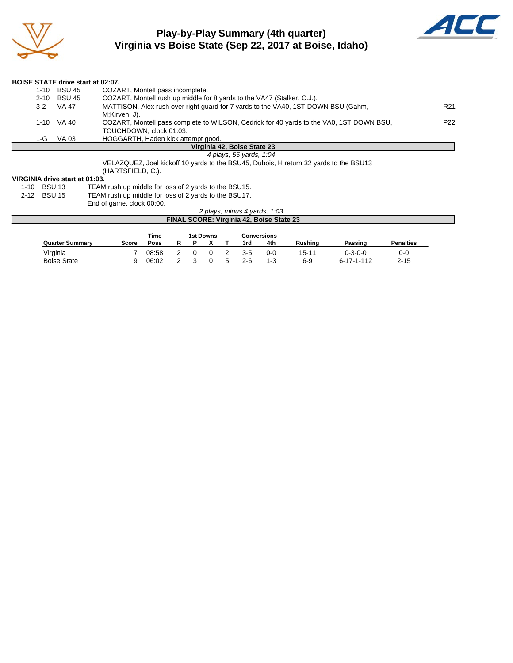

### **Play-by-Play Summary (4th quarter) Virginia vs Boise State (Sep 22, 2017 at Boise, Idaho)**



| <b>BOISE STATE drive start at 02:07.</b> |             |                                                                                         |                 |
|------------------------------------------|-------------|-----------------------------------------------------------------------------------------|-----------------|
|                                          | 1-10 BSU 45 | COZART, Montell pass incomplete.                                                        |                 |
| $2 - 10$                                 | BSU 45      | COZART, Montell rush up middle for 8 yards to the VA47 (Stalker, C.J.).                 |                 |
| $3 - 2$                                  | VA 47       | MATTISON, Alex rush over right guard for 7 yards to the VA40, 1ST DOWN BSU (Gahm,       | R21             |
|                                          |             | M;Kirven, J).                                                                           |                 |
|                                          | 1-10 VA 40  | COZART, Montell pass complete to WILSON, Cedrick for 40 yards to the VA0, 1ST DOWN BSU, | P <sub>22</sub> |
|                                          |             | TOUCHDOWN, clock 01:03.                                                                 |                 |
| 1-G                                      | VA 03       | HOGGARTH, Haden kick attempt good.                                                      |                 |
|                                          |             | Virginia 42, Boise State 23                                                             |                 |
|                                          |             | 4 plays, 55 yards, 1:04                                                                 |                 |
|                                          |             | VELAZQUEZ, Joel kickoff 10 yards to the BSU45, Dubois, H return 32 yards to the BSU13   |                 |

(HARTSFIELD, C.).

#### **VIRGINIA drive start at 01:03.**

| 1-10 BSU 13 | TEAM rush up middle for loss of 2 yards to the BSU15. |
|-------------|-------------------------------------------------------|
| 2-12 BSU 15 | TEAM rush up middle for loss of 2 yards to the BSU17. |
|             | End of game, clock 00:00.                             |

| 2 plays, minus 4 yards, 1:03             |  |
|------------------------------------------|--|
| FINAL SCORE: Virginia 42, Boise State 23 |  |

|                        |       | Time  | <b>1st Downs</b> |  |  | Conversions |         |         |         |                    |                  |
|------------------------|-------|-------|------------------|--|--|-------------|---------|---------|---------|--------------------|------------------|
| <b>Quarter Summary</b> | Score | Poss  | R                |  |  |             | 3rd     | 4th     | Rushina | Passing            | <b>Penalties</b> |
| Virginia               |       | 08:58 |                  |  |  |             | $3 - 5$ | $0 - 0$ | 15-11   | $0 - 3 - 0 - 0$    | 0-0              |
| <b>Boise State</b>     | a     | 06:02 |                  |  |  | 5           | $2 - 6$ | $1 - 3$ | $6 - 9$ | $6 - 17 - 1 - 112$ | $2 - 15$         |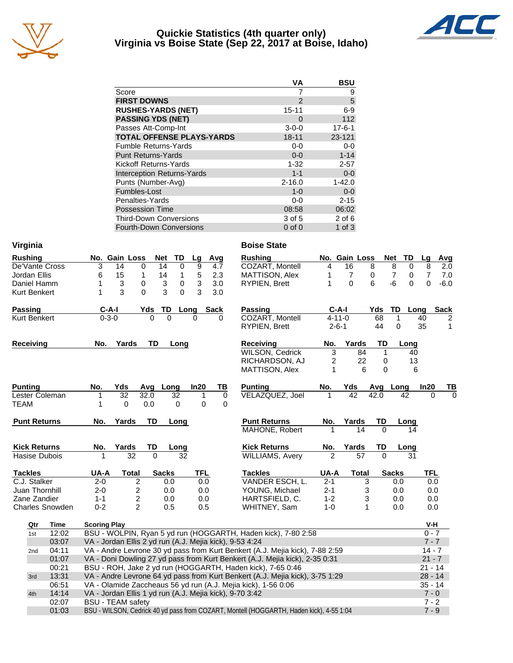

#### **Quickie Statistics (4th quarter only) Virginia vs Boise State (Sep 22, 2017 at Boise, Idaho)**



|                                   | VА          | <b>BSU</b>   |
|-----------------------------------|-------------|--------------|
| Score                             |             | 9            |
| <b>FIRST DOWNS</b>                | 2           | 5            |
| <b>RUSHES-YARDS (NET)</b>         | $15 - 11$   | $6-9$        |
| <b>PASSING YDS (NET)</b>          | $\Omega$    | 112          |
| Passes Att-Comp-Int               | $3 - 0 - 0$ | $17 - 6 - 1$ |
| <b>TOTAL OFFENSE PLAYS-YARDS</b>  | $18 - 11$   | 23-121       |
| <b>Fumble Returns-Yards</b>       | $0-0$       | $0-0$        |
| <b>Punt Returns-Yards</b>         | $0 - 0$     | $1 - 14$     |
| Kickoff Returns-Yards             | $1 - 32$    | $2 - 57$     |
| <b>Interception Returns-Yards</b> | $1 - 1$     | $0 - 0$      |
| Punts (Number-Avg)                | $2 - 16.0$  | $1 - 42.0$   |
| Fumbles-Lost                      | $1 - 0$     | $0 - 0$      |
| Penalties-Yards                   | $0-0$       | $2 - 15$     |
| <b>Possession Time</b>            | 08:58       | 06:02        |
| <b>Third-Down Conversions</b>     | 3 of 5      | $2$ of 6     |
| <b>Fourth-Down Conversions</b>    | $0$ of $0$  | 1 of $3$     |

| Virginia            |                        |                     |                                                         |          |              |             |             | <b>Boise State</b>                                                                      |         |               |          |                |                |             |
|---------------------|------------------------|---------------------|---------------------------------------------------------|----------|--------------|-------------|-------------|-----------------------------------------------------------------------------------------|---------|---------------|----------|----------------|----------------|-------------|
| <b>Rushing</b>      |                        |                     | No. Gain Loss                                           | Net      | TD           | Lg          | Avg         | <b>Rushing</b>                                                                          |         | No. Gain Loss |          | Net<br>TD      | Lg             | Avg         |
| De'Vante Cross      |                        | 3                   | 14                                                      | 0        | 14<br>0      | 9           | 4.7         | COZART, Montell                                                                         | 4       | 16            | 8        | 8<br>0         | 8              | 2.0         |
| Jordan Ellis        |                        | 6                   | 15                                                      | 1        | 14<br>1      | 5           | 2.3         | MATTISON, Alex                                                                          | 1       | 7             | 0        | 7<br>0         | $\overline{7}$ | 7.0         |
| Daniel Hamm         |                        | 1                   | 3                                                       | 0        | 3<br>0       | 3           | 3.0         | <b>RYPIEN, Brett</b>                                                                    | 1       | $\Omega$      | 6        | -6<br>$\Omega$ | 0              | $-6.0$      |
| <b>Kurt Benkert</b> |                        | 1                   | 3                                                       | 0        | 3<br>0       | 3           | 3.0         |                                                                                         |         |               |          |                |                |             |
| <b>Passing</b>      |                        | $C-A-I$             |                                                         | Yds      | TD           | Long        | <b>Sack</b> | Passing                                                                                 |         | $C-A-I$       | Yds      | TD<br>Long     |                | <b>Sack</b> |
| <b>Kurt Benkert</b> |                        | $0 - 3 - 0$         |                                                         |          |              |             |             | COZART, Montell                                                                         |         | $4 - 11 - 0$  | 68       | 1              | 40             | 2           |
|                     |                        |                     |                                                         |          |              |             |             | RYPIEN, Brett                                                                           |         | $2 - 6 - 1$   | 44       | 0              | 35             | 1           |
| <b>Receiving</b>    |                        | No.                 | Yards                                                   | TD       | Long         |             |             | <b>Receiving</b>                                                                        | No.     | Yards         | TD       | Long           |                |             |
|                     |                        |                     |                                                         |          |              |             |             | <b>WILSON, Cedrick</b>                                                                  | 3       | 84            | 1        | 40             |                |             |
|                     |                        |                     |                                                         |          |              |             |             | RICHARDSON, AJ                                                                          | 2       | 22            | 0        | 13             |                |             |
|                     |                        |                     |                                                         |          |              |             |             | MATTISON, Alex                                                                          | 1       |               | 0<br>6   | 6              |                |             |
| <b>Punting</b>      |                        | No.                 | Yds                                                     | Avq      | Long         | In20        | TВ          | <b>Punting</b>                                                                          | No.     | Yds           |          | Avg Long       | In20           | TВ          |
| Lester Coleman      |                        | 1                   | 32                                                      | 32.0     | 32           | 1           | 0           | VELAZQUEZ, Joel                                                                         | 1       | 42            | 42.0     | 42             | $\Omega$       | $\Omega$    |
| <b>TEAM</b>         |                        | 1                   | $\mathbf 0$                                             | 0.0      | 0            | $\mathbf 0$ | $\mathbf 0$ |                                                                                         |         |               |          |                |                |             |
| <b>Punt Returns</b> |                        | No.                 | Yards                                                   | TD       | Long         |             |             | <b>Punt Returns</b>                                                                     | No.     | Yards         | TD       | Long           |                |             |
|                     |                        |                     |                                                         |          |              |             |             | MAHONE, Robert                                                                          |         | 14            | $\Omega$ | 14             |                |             |
| <b>Kick Returns</b> |                        | No.                 | Yards                                                   | TD       | Long         |             |             | <b>Kick Returns</b>                                                                     | No.     | Yards         | TD       | Long           |                |             |
| Hasise Dubois       |                        | 1                   | 32                                                      | $\Omega$ | 32           |             |             | <b>WILLIAMS, Avery</b>                                                                  | 2       | 57            | $\Omega$ | 31             |                |             |
| <b>Tackles</b>      |                        | UA-A                | <b>Total</b>                                            |          | <b>Sacks</b> | <b>TFL</b>  |             | <b>Tackles</b>                                                                          | UA-A    | <b>Total</b>  |          | <b>Sacks</b>   | <b>TFL</b>     |             |
| C.J. Stalker        |                        | $2 - 0$             | 2                                                       |          | 0.0          | 0.0         |             | VANDER ESCH, L.                                                                         | $2 - 1$ |               | 3        | 0.0            | 0.0            |             |
| Juan Thornhill      |                        | $2 - 0$             | 2                                                       |          | 0.0          | 0.0         |             | YOUNG, Michael                                                                          | $2 - 1$ |               | 3<br>3   | 0.0            | 0.0            |             |
| Zane Zandier        |                        | $1 - 1$             | $\overline{c}$                                          |          | 0.0          | 0.0         |             | HARTSFIELD, C.                                                                          | $1 - 2$ |               | 0.0      | 0.0            |                |             |
|                     | <b>Charles Snowden</b> | $0 - 2$             | $\overline{2}$                                          |          | 0.5          | 0.5         |             | WHITNEY, Sam                                                                            | $1 - 0$ |               | 1        | 0.0            | 0.0            |             |
| Qtr                 | Time                   | <b>Scoring Play</b> |                                                         |          |              |             |             |                                                                                         |         |               |          |                | V-H            |             |
| 1st                 | 12:02                  |                     |                                                         |          |              |             |             | BSU - WOLPIN, Ryan 5 yd run (HOGGARTH, Haden kick), 7-80 2:58                           |         |               |          |                | $0 - 7$        |             |
|                     | 03:07                  |                     | VA - Jordan Ellis 2 yd run (A.J. Mejia kick), 9-53 4:24 |          |              |             |             |                                                                                         |         |               |          |                | $7 - 7$        |             |
| 2nd                 | 04:11                  |                     |                                                         |          |              |             |             | VA - Andre Levrone 30 yd pass from Kurt Benkert (A.J. Mejia kick), 7-88 2:59            |         |               |          |                | $14 - 7$       |             |
|                     | 01:07                  |                     |                                                         |          |              |             |             | VA - Doni Dowling 27 yd pass from Kurt Benkert (A.J. Mejia kick), 2-35 0:31             |         |               |          |                | $21 - 7$       |             |
|                     | 00:21                  |                     |                                                         |          |              |             |             | BSU - ROH, Jake 2 yd run (HOGGARTH, Haden kick), 7-65 0:46                              |         |               |          |                | $21 - 14$      |             |
| 3rd                 | 13:31                  |                     |                                                         |          |              |             |             | VA - Andre Levrone 64 yd pass from Kurt Benkert (A.J. Mejia kick), 3-75 1:29            |         |               |          |                | $28 - 14$      |             |
|                     | 06:51                  |                     |                                                         |          |              |             |             | VA - Olamide Zaccheaus 56 yd run (A.J. Mejia kick), 1-56 0:06                           |         |               |          |                | $35 - 14$      |             |
| 4th                 | 14:14                  |                     | VA - Jordan Ellis 1 yd run (A.J. Mejia kick), 9-70 3:42 |          |              |             |             |                                                                                         |         |               |          |                | $7 - 0$        |             |
|                     | 02:07                  |                     | <b>BSU - TEAM safety</b>                                |          |              |             |             |                                                                                         |         |               |          |                | $7 - 2$        |             |
|                     | 01:03                  |                     |                                                         |          |              |             |             | BSU - WILSON, Cedrick 40 yd pass from COZART, Montell (HOGGARTH, Haden kick), 4-55 1:04 |         |               |          |                | $7 - 9$        |             |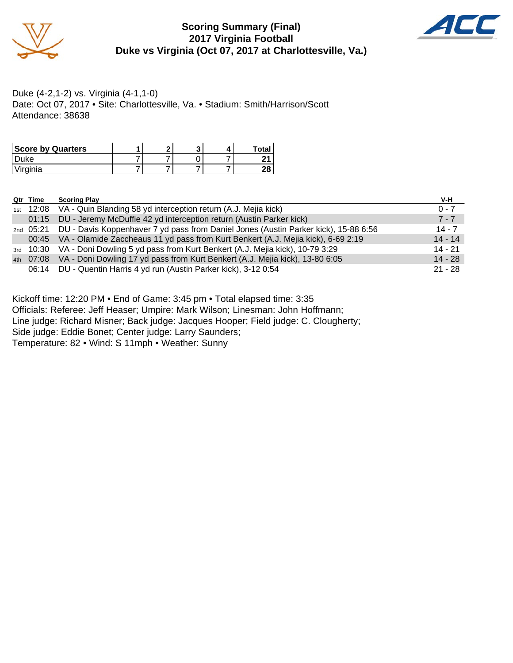

# **Scoring Summary (Final) 2017 Virginia Football Duke vs Virginia (Oct 07, 2017 at Charlottesville, Va.)**



Duke (4-2,1-2) vs. Virginia (4-1,1-0) Date: Oct 07, 2017 • Site: Charlottesville, Va. • Stadium: Smith/Harrison/Scott Attendance: 38638

| <b>Score by Quarters</b> |  |  | Total |
|--------------------------|--|--|-------|
| ⊃uke                     |  |  |       |
| Virginia                 |  |  | იი    |

| Qtr Time | <b>Scoring Play</b>                                                                           | V-H       |
|----------|-----------------------------------------------------------------------------------------------|-----------|
|          | 1st 12:08 VA - Quin Blanding 58 yd interception return (A.J. Mejia kick)                      | $0 - 7$   |
|          | 01:15 DU - Jeremy McDuffie 42 yd interception return (Austin Parker kick)                     | $7 - 7$   |
|          | 2nd 05:21 DU - Davis Koppenhaver 7 yd pass from Daniel Jones (Austin Parker kick), 15-88 6:56 | $14 - 7$  |
|          | 00:45 VA - Olamide Zaccheaus 11 yd pass from Kurt Benkert (A.J. Mejia kick), 6-69 2:19        | $14 - 14$ |
|          | 3rd 10:30 VA - Doni Dowling 5 yd pass from Kurt Benkert (A.J. Mejia kick), 10-79 3:29         | $14 - 21$ |
|          | 4th 07:08 VA - Doni Dowling 17 yd pass from Kurt Benkert (A.J. Mejia kick), 13-80 6:05        | $14 - 28$ |
| 06:14    | DU - Quentin Harris 4 yd run (Austin Parker kick), 3-12 0:54                                  | $21 - 28$ |

Kickoff time: 12:20 PM • End of Game: 3:45 pm • Total elapsed time: 3:35 Officials: Referee: Jeff Heaser; Umpire: Mark Wilson; Linesman: John Hoffmann; Line judge: Richard Misner; Back judge: Jacques Hooper; Field judge: C. Clougherty; Side judge: Eddie Bonet; Center judge: Larry Saunders; Temperature: 82 • Wind: S 11mph • Weather: Sunny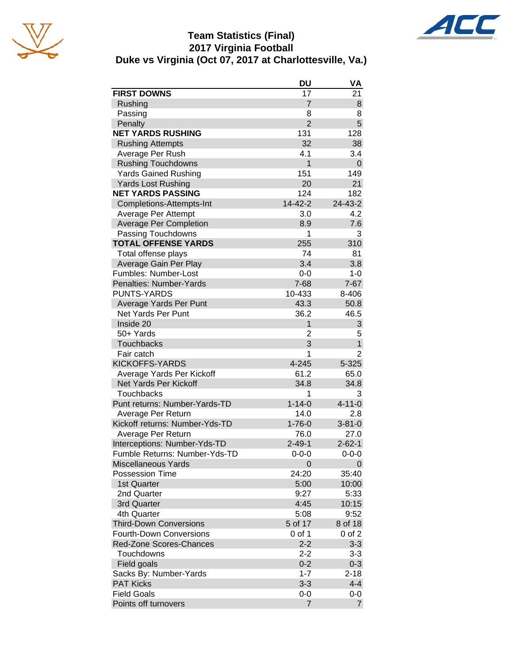





|                                | DU             | VA             |
|--------------------------------|----------------|----------------|
| <b>FIRST DOWNS</b>             | 17             | 21             |
| Rushing                        | $\overline{7}$ | 8              |
| Passing                        | 8              | 8              |
| Penalty                        | $\overline{2}$ | 5              |
| <b>NET YARDS RUSHING</b>       | 131            | 128            |
| <b>Rushing Attempts</b>        | 32             | 38             |
| Average Per Rush               | 4.1            | 3.4            |
| <b>Rushing Touchdowns</b>      | 1              | $\mathbf 0$    |
| <b>Yards Gained Rushing</b>    | 151            | 149            |
| <b>Yards Lost Rushing</b>      | 20             | 21             |
| <b>NET YARDS PASSING</b>       | 124            | 182            |
| Completions-Attempts-Int       | 14-42-2        | 24-43-2        |
| Average Per Attempt            | 3.0            | 4.2            |
| <b>Average Per Completion</b>  | 8.9            | 7.6            |
| Passing Touchdowns             | 1              | 3              |
| <b>TOTAL OFFENSE YARDS</b>     | 255            | 310            |
| Total offense plays            | 74             | 81             |
| Average Gain Per Play          | 3.4            | 3.8            |
| Fumbles: Number-Lost           | $0-0$          | $1 - 0$        |
| <b>Penalties: Number-Yards</b> | $7 - 68$       | $7 - 67$       |
| PUNTS-YARDS                    | 10-433         | 8-406          |
| Average Yards Per Punt         | 43.3           | 50.8           |
| Net Yards Per Punt             | 36.2           | 46.5           |
| Inside 20                      | $\mathbf{1}$   | 3              |
| 50+ Yards                      | 2              | 5              |
| <b>Touchbacks</b>              | 3              | $\mathbf 1$    |
| Fair catch                     | 1              | $\overline{2}$ |
| <b>KICKOFFS-YARDS</b>          | $4 - 245$      | 5-325          |
| Average Yards Per Kickoff      | 61.2           | 65.0           |
| Net Yards Per Kickoff          | 34.8           | 34.8           |
| <b>Touchbacks</b>              | 1              | 3              |
| Punt returns: Number-Yards-TD  | $1 - 14 - 0$   | $4 - 11 - 0$   |
| Average Per Return             | 14.0           | 2.8            |
| Kickoff returns: Number-Yds-TD | $1 - 76 - 0$   | $3 - 81 - 0$   |
| Average Per Return             | 76.0           | 27.0           |
| Interceptions: Number-Yds-TD   | $2 - 49 - 1$   | $2 - 62 - 1$   |
| Fumble Returns: Number-Yds-TD  | $0 - 0 - 0$    | $0 - 0 - 0$    |
| <b>Miscellaneous Yards</b>     | 0              | 0              |
| Possession Time                | 24:20          | 35:40          |
| 1st Quarter                    | 5:00           | 10:00          |
| 2nd Quarter                    | 9:27           | 5:33           |
| 3rd Quarter                    | 4:45           | 10:15          |
| 4th Quarter                    | 5:08           | 9:52           |
| <b>Third-Down Conversions</b>  | 5 of 17        | 8 of 18        |
| <b>Fourth-Down Conversions</b> | $0$ of 1       | $0$ of $2$     |
| Red-Zone Scores-Chances        | $2 - 2$        | $3 - 3$        |
| Touchdowns                     | $2 - 2$        | $3 - 3$        |
| Field goals                    | $0 - 2$        | $0 - 3$        |
| Sacks By: Number-Yards         | $1 - 7$        | $2 - 18$       |
| <b>PAT Kicks</b>               | $3 - 3$        | $4 - 4$        |
| <b>Field Goals</b>             | 0-0            | $0-0$          |
| Points off turnovers           | 7              | $\overline{7}$ |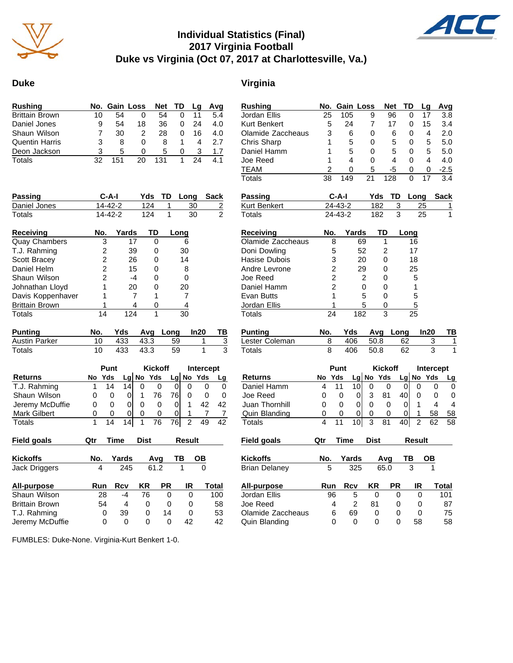

# **Individual Statistics (Final) 2017 Virginia Football Duke vs Virginia (Oct 07, 2017 at Charlottesville, Va.)**



#### **Duke Virginia**

| <b>Rushing</b>        |    | No. Gain Loss |    |     | Net TD   | La | Avq |
|-----------------------|----|---------------|----|-----|----------|----|-----|
| <b>Brittain Brown</b> | 10 | 54            | 0  | 54  |          |    | 5.4 |
| Daniel Jones          | 9  | 54            | 18 | 36  |          | 24 | 4.0 |
| Shaun Wilson          |    | 30            | 2  | 28  |          | 16 | 4.0 |
| <b>Quentin Harris</b> | 3  | 8             | O  | 8   |          | 4  | 27  |
| Deon Jackson          | з  | 5             | O  | 5   | $\Omega$ | З  | 1.7 |
| Totals                | 32 | 151           | 20 | 131 |          | 24 |     |

| <b>Passing</b>        | C-A-I         |       | Yds | TD | Long | Sack |
|-----------------------|---------------|-------|-----|----|------|------|
| Daniel Jones          | 14-42-2       |       | 124 |    | 30   | 2    |
| Totals                | $14 - 42 - 2$ |       | 124 | 1  | 30   | 2    |
| Receiving             | No.           | Yards | TD  |    | Long |      |
| <b>Quay Chambers</b>  | 3             | 17    |     |    | 6    |      |
| T.J. Rahming          | 2             | 39    | 0   |    | 30   |      |
| Scott Bracey          | 2             | 26    | 0   |    | 14   |      |
| Daniel Helm           | 2             | 15    | O)  |    | 8    |      |
| Shaun Wilson          | 2             | -4    |     |    |      |      |
| Johnathan Lloyd       |               | 20    | O   |    | 20   |      |
| Davis Koppenhaver     |               |       |     |    |      |      |
| <b>Brittain Brown</b> |               | 4     |     |    |      |      |
| Totals                | 14            | 124   |     |    | 30   |      |

| Punting       |        |          | No. Yds Avg Long In20 TB |  |
|---------------|--------|----------|--------------------------|--|
| Austin Parker |        |          | 10 433 43.3 59           |  |
| Totals        | - 10 - | 433 43.3 | 59                       |  |

|                     |     | <b>Kickoff</b><br>Punt |     |  |             |    | Intercept |             |    |  |  |
|---------------------|-----|------------------------|-----|--|-------------|----|-----------|-------------|----|--|--|
| <b>Returns</b>      | No. | Yds                    |     |  | $Lg$ No Yds |    |           | $Lg$ No Yds |    |  |  |
| T.J. Rahming        |     | 14                     | 14  |  |             |    |           |             |    |  |  |
| Shaun Wilson        | O   | O                      |     |  | 76          | 76 |           |             |    |  |  |
| Jeremy McDuffie     | 0   | 0                      |     |  |             |    |           | 42          | 42 |  |  |
| <b>Mark Gilbert</b> | 0   | 0                      | 0   |  |             |    |           |             |    |  |  |
| Totals              |     | 14                     | 14. |  | 76          | 76 |           |             |    |  |  |

| Field goals           | Qtr | Time  | <b>Dist</b><br>Result |           |    |       | Field goals          | Qtr | Time     | <b>Dist</b> |          | <b>Result</b> |   |
|-----------------------|-----|-------|-----------------------|-----------|----|-------|----------------------|-----|----------|-------------|----------|---------------|---|
| <b>Kickoffs</b>       | No. | Yards | Avq                   |           | ΤВ | OВ    | <b>Kickoffs</b>      | No. | Yards    | Ava         |          | TВ            |   |
| Jack Driggers         | 4   | 245   |                       | 61.2      |    | 0     | <b>Brian Delaney</b> | 5   | 325      |             | 65.0     | 3             |   |
| All-purpose           | Run | Rcv   | ΚR                    | <b>PR</b> | IR | Total | All-purpose          | Run | Rcv      | ΚR          | РR       | IR            |   |
| Shaun Wilson          | 28  | -4    | 76                    | 0         | 0  | 100   | Jordan Ellis         | 96  | 5        | 0           | 0        |               | 0 |
| <b>Brittain Brown</b> | 54  | 4     | $\Omega$              | 0         | 0  | 58    | Joe Reed             | 4   | 2        | 81          | 0        |               |   |
| T.J. Rahming          |     | 39    | 0                     | 14        | 0  | 53    | Olamide Zaccheaus    | 6   | 69       | 0           | $\Omega$ |               | 0 |
| Jeremy McDuffie       |     | 0     | 0                     | 0         | 42 | 42    | Quin Blanding        | 0   | $\Omega$ | 0           |          | 58            |   |

Jordan Ellis 25 105 9 96 0 17 3.8 Kurt Benkert 5 24 7 17 0 15 3.4 Olamide Zaccheaus 3 6 0 6 0 4 Chris Sharp 1 5 0 5 0 5 5.0<br>Daniel Hamm 1 5 0 5 0 5 5.0 Daniel Hamm Joe Reed 1 4 0 4 0 4 4.0 TEAM 2 0 5 -5 0 0 -2.5 Totals 38 149 21 128 0 17 3.4 **Passing C-A-I Yds TD Long Sack** Kurt Benkert 24-43-2 182 3 25 1 Totals 24-43-2 182 3 25 1 **Receiving No. Yards TD Long** Olamide Zaccheaus 8 69 1 16 Doni Dowling 5 52 2 17 Hasise Dubois  $\begin{array}{cccc} 3 & 20 & 0 & 18 \\ 4 & 2 & 29 & 0 & 25 \end{array}$ Andre Levrone 2 29 0 25 Joe Reed 2 2 0 5 Daniel Hamm 2 0 0 1 Evan Butts 1 5 0 5 Jordan Ellis 1 5 0 5 Totals 24 182 3 25 **Punting No. Yds Avg Long In20 TB** Lester Coleman 8 406 50.8 62 3 1 Totals 8 406 50.8 62 3 1 **Punt Kickoff Intercept Returns No Yds Lg No Yds Lg No Yds Lg** Daniel Hamm 4 11 10 0 0 0 0 0 0 Joe Reed 0 0 0 3 81 40 0 0 0 Juan Thornhill  $\begin{array}{cccc} 0 & 0 & 0 & 0 & 0 & 1 & 4 & 4 \end{array}$ Quin Blanding 0 0 0 0 0 0 1 58 58 Totals 4 11 10 3 81 40 2 62 58 **Kickoffs No. Yards Avg TB OB** Brian Delaney 5 325 65.0 3 1 **All-purpose Run Rcv KR PR IR Total** Jordan Ellis 96 5 0 0 0 101 Joe Reed 4 2 81 0 0 87 Olamide Zaccheaus 6 69 0 0 0 75 Quin Blanding 0 0 0 0 58 58

**Rushing No. Gain Loss Net TD Lg Avg**

FUMBLES: Duke-None. Virginia-Kurt Benkert 1-0.

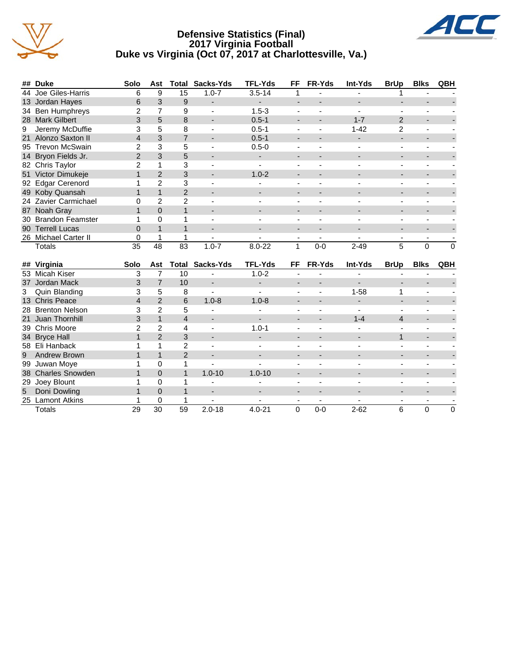





| ## Duke              | Solo | Ast            | Total         | Sacks-Yds                | <b>TFL-Yds</b> | FF | FR-Yds  | Int-Yds  | <b>BrUp</b>   | <b>Blks</b> | QBH      |
|----------------------|------|----------------|---------------|--------------------------|----------------|----|---------|----------|---------------|-------------|----------|
| 44 Joe Giles-Harris  | 6    | 9              | 15            | $1.0 - 7$                | $3.5 - 14$     |    |         |          |               |             |          |
| 13 Jordan Hayes      | 6    | 3              | 9             |                          |                |    |         |          |               |             |          |
| 34 Ben Humphreys     | 2    |                | 9             | $\blacksquare$           | $1.5 - 3$      |    |         |          |               |             |          |
| 28 Mark Gilbert      |      | 5              | 8             | $\overline{\phantom{0}}$ | $0.5 - 1$      |    |         | $1 - 7$  | $\mathcal{P}$ |             |          |
| 9 Jeremy McDuffie    | 3    | 5              | 8             |                          | $0.5 - 1$      |    |         | $1 - 42$ | 2             |             |          |
| 21 Alonzo Saxton II  | 4    | 3              |               | $\overline{\phantom{0}}$ | $0.5 - 1$      |    |         |          |               |             |          |
| 95 Trevon McSwain    |      | 3              | 5             | $\overline{\phantom{0}}$ | $0.5 - 0$      |    |         |          |               |             |          |
| 14 Bryon Fields Jr.  |      | 3              | 5             | $\overline{\phantom{a}}$ |                | -  |         |          |               |             |          |
| 82 Chris Taylor      |      |                | 3             |                          |                |    |         |          |               |             |          |
| 51 Victor Dimukeje   |      | $\overline{2}$ | 3             |                          | $1.0 - 2$      |    |         |          |               |             |          |
| 92 Edgar Cerenord    |      | 2              | 3             |                          |                |    |         |          |               |             |          |
| 49 Koby Quansah      |      |                | 2             |                          |                |    |         |          |               |             |          |
| 24 Zavier Carmichael |      | 2              | $\mathcal{P}$ |                          |                |    |         |          |               |             |          |
| 87 Noah Gray         |      | $\Omega$       |               | $\overline{\phantom{0}}$ |                |    |         |          |               |             |          |
| 30 Brandon Feamster  |      | 0              |               |                          |                |    |         |          |               |             |          |
| 90 Terrell Lucas     |      |                |               |                          |                |    |         |          |               |             |          |
| 26 Michael Carter II |      |                |               |                          |                |    |         |          |               |             |          |
| Totals               | 35   | 48             | 83            | $1.0 - 7$                | $8.0 - 22$     |    | $0 - 0$ | $2 - 49$ | 5             | $\Omega$    | $\Omega$ |
|                      |      |                |               |                          |                |    |         |          |               |             |          |

|   | ## Virginia         | <b>Solo</b> | Ast            | Total         | Sacks-Yds                | <b>TFL-Yds</b>           | FF                       | <b>FR-Yds</b> | Int-Yds  | <b>BrUp</b> | <b>Blks</b> | QBH      |
|---|---------------------|-------------|----------------|---------------|--------------------------|--------------------------|--------------------------|---------------|----------|-------------|-------------|----------|
|   | 53 Micah Kiser      | 3           |                | 10            |                          | $1.0 - 2$                |                          |               |          |             |             |          |
|   | 37 Jordan Mack      | 3           |                | 10            |                          |                          | -                        |               |          |             |             |          |
|   | 3 Quin Blanding     |             | 5              | 8             |                          |                          | ۰                        |               | $1 - 58$ |             |             |          |
|   | 13 Chris Peace      | 4           | $\overline{2}$ | 6             | $1.0 - 8$                | $1.0 - 8$                |                          |               |          |             |             |          |
|   | 28 Brenton Nelson   | 3           | $\overline{2}$ | 5             |                          |                          |                          |               |          |             |             |          |
|   | 21 Juan Thornhill   | 3           |                | 4             | $\overline{\phantom{a}}$ | $\overline{\phantom{0}}$ | $\overline{\phantom{0}}$ |               | $1 - 4$  | 4           |             |          |
|   | 39 Chris Moore      | 2           | $\mathcal{P}$  | 4             |                          | $1.0 - 1$                |                          |               |          |             |             |          |
|   | 34 Bryce Hall       |             | $\mathcal{P}$  | 3             |                          |                          | ٠                        |               |          |             |             |          |
|   | 58 Eli Hanback      |             |                | 2             |                          |                          |                          |               |          |             |             |          |
| 9 | <b>Andrew Brown</b> |             |                | $\mathcal{P}$ | $\overline{\phantom{a}}$ |                          | $\overline{\phantom{0}}$ |               |          |             |             |          |
|   | 99 Juwan Moye       |             | O              |               |                          |                          |                          |               |          |             |             |          |
|   | 38 Charles Snowden  |             | $\Omega$       |               | $1.0 - 10$               | $1.0 - 10$               |                          |               |          |             |             |          |
|   | 29 Joey Blount      |             |                |               |                          |                          |                          |               |          |             |             |          |
| 5 | Doni Dowling        |             | $\Omega$       |               | $\overline{\phantom{a}}$ |                          | -                        |               |          |             |             |          |
|   | 25 Lamont Atkins    |             | $\Omega$       |               |                          |                          |                          |               |          |             |             |          |
|   | Totals              | 29          | 30             | 59            | $2.0 - 18$               | $4.0 - 21$               | 0                        | $0-0$         | $2 - 62$ | 6           | 0           | $\Omega$ |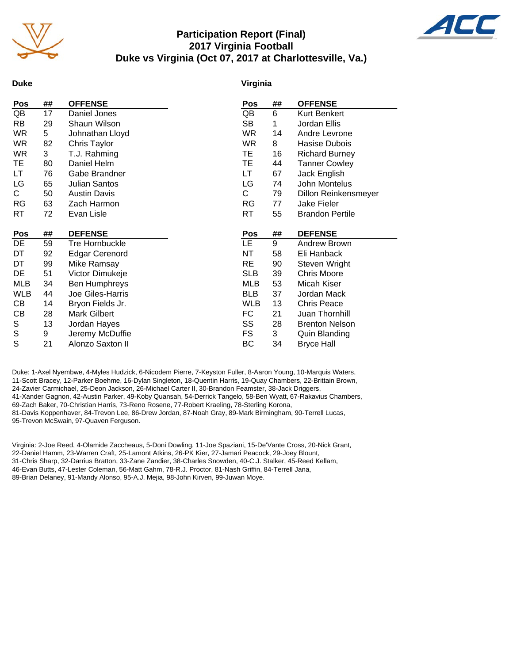

# **Participation Report (Final) 2017 Virginia Football Duke vs Virginia (Oct 07, 2017 at Charlottesville, Va.)**



#### **Duke**

#### **Virginia**

| Pos        | ## | <b>OFFENSE</b>        | Pos        | ## | <b>OFFENSE</b>         |
|------------|----|-----------------------|------------|----|------------------------|
| QB         | 17 | Daniel Jones          | QB         | 6  | Kurt Benkert           |
| RB         | 29 | Shaun Wilson          | <b>SB</b>  | 1  | Jordan Ellis           |
| WR         | 5  | Johnathan Lloyd       | <b>WR</b>  | 14 | Andre Levrone          |
| WR         | 82 | Chris Taylor          | <b>WR</b>  | 8  | Hasise Dubois          |
| WR         | 3  | T.J. Rahming          | ТE         | 16 | <b>Richard Burney</b>  |
| TE         | 80 | Daniel Helm           | ТE         | 44 | <b>Tanner Cowley</b>   |
| LT         | 76 | Gabe Brandner         | LT         | 67 | Jack English           |
| LG         | 65 | <b>Julian Santos</b>  | LG         | 74 | John Montelus          |
| C.         | 50 | <b>Austin Davis</b>   | C          | 79 | Dillon Reinkensmeyer   |
| <b>RG</b>  | 63 | Zach Harmon           | RG         | 77 | Jake Fieler            |
| RT         | 72 | Evan Lisle            | RT         | 55 | <b>Brandon Pertile</b> |
|            |    |                       |            |    |                        |
|            |    |                       |            |    |                        |
| Pos        | ## | <b>DEFENSE</b>        | Pos        | ## | <b>DEFENSE</b>         |
| DE         | 59 | Tre Hornbuckle        | <b>LE</b>  | 9  | <b>Andrew Brown</b>    |
| DT         | 92 | <b>Edgar Cerenord</b> | NT         | 58 | Eli Hanback            |
| DT         | 99 | Mike Ramsay           | RE         | 90 | Steven Wright          |
| DE         | 51 | Victor Dimukeje       | <b>SLB</b> | 39 | <b>Chris Moore</b>     |
| MLB        | 34 | <b>Ben Humphreys</b>  | <b>MLB</b> | 53 | Micah Kiser            |
| <b>WLB</b> | 44 | Joe Giles-Harris      | <b>BLB</b> | 37 | Jordan Mack            |
| CВ         | 14 | Bryon Fields Jr.      | <b>WLB</b> | 13 | <b>Chris Peace</b>     |
| СB         | 28 | <b>Mark Gilbert</b>   | FC         | 21 | Juan Thornhill         |
| S          | 13 | Jordan Hayes          | SS         | 28 | <b>Brenton Nelson</b>  |
| S<br>S     | 9  | Jeremy McDuffie       | FS         | 3  | Quin Blanding          |

Duke: 1-Axel Nyembwe, 4-Myles Hudzick, 6-Nicodem Pierre, 7-Keyston Fuller, 8-Aaron Young, 10-Marquis Waters, 11-Scott Bracey, 12-Parker Boehme, 16-Dylan Singleton, 18-Quentin Harris, 19-Quay Chambers, 22-Brittain Brown, 24-Zavier Carmichael, 25-Deon Jackson, 26-Michael Carter II, 30-Brandon Feamster, 38-Jack Driggers, 41-Xander Gagnon, 42-Austin Parker, 49-Koby Quansah, 54-Derrick Tangelo, 58-Ben Wyatt, 67-Rakavius Chambers, 69-Zach Baker, 70-Christian Harris, 73-Reno Rosene, 77-Robert Kraeling, 78-Sterling Korona, 81-Davis Koppenhaver, 84-Trevon Lee, 86-Drew Jordan, 87-Noah Gray, 89-Mark Birmingham, 90-Terrell Lucas, 95-Trevon McSwain, 97-Quaven Ferguson.

Virginia: 2-Joe Reed, 4-Olamide Zaccheaus, 5-Doni Dowling, 11-Joe Spaziani, 15-De'Vante Cross, 20-Nick Grant, 22-Daniel Hamm, 23-Warren Craft, 25-Lamont Atkins, 26-PK Kier, 27-Jamari Peacock, 29-Joey Blount, 31-Chris Sharp, 32-Darrius Bratton, 33-Zane Zandier, 38-Charles Snowden, 40-C.J. Stalker, 45-Reed Kellam, 46-Evan Butts, 47-Lester Coleman, 56-Matt Gahm, 78-R.J. Proctor, 81-Nash Griffin, 84-Terrell Jana, 89-Brian Delaney, 91-Mandy Alonso, 95-A.J. Mejia, 98-John Kirven, 99-Juwan Moye.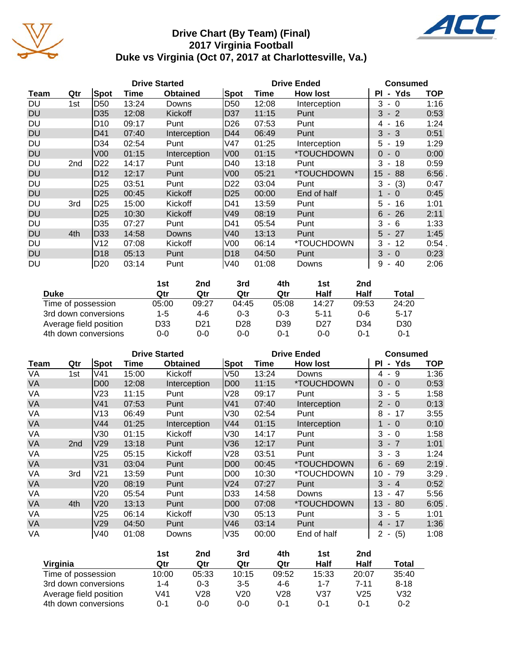

# **Drive Chart (By Team) (Final) 2017 Virginia Football Duke vs Virginia (Oct 07, 2017 at Charlottesville, Va.)**



|           |     |                 |       | <b>Drive Started</b> |                 | <b>Drive Ended</b> | <b>Consumed</b> |                                          |            |
|-----------|-----|-----------------|-------|----------------------|-----------------|--------------------|-----------------|------------------------------------------|------------|
| Team      | Qtr | Spot            | Time  | <b>Obtained</b>      | Spot            | Time               | <b>How lost</b> | - Yds<br>ΡI                              | <b>TOP</b> |
| DU        | 1st | D50             | 13:24 | Downs                | D <sub>50</sub> | 12:08              | Interception    | 3<br>$-0$                                | 1:16       |
| <b>DU</b> |     | D <sub>35</sub> | 12:08 | Kickoff              | D37             | 11:15              | Punt            | 3<br>$-2$                                | 0:53       |
| DU        |     | D10             | 09:17 | Punt                 | D26             | 07:53              | Punt            | 16<br>4<br>$\blacksquare$                | 1:24       |
| <b>DU</b> |     | D41             | 07:40 | Interception         | D44             | 06:49              | Punt            | 3<br>$-3$                                | 0:51       |
| DU        |     | D34             | 02:54 | Punt                 | V47             | 01:25              | Interception    | 5<br>19<br>$\blacksquare$                | 1:29       |
| <b>DU</b> |     | V <sub>00</sub> | 01:15 | Interception         | V00             | 01:15              | *TOUCHDOWN      | $\Omega$<br>$\bigcirc$<br>$\blacksquare$ | 0:00       |
| <b>DU</b> | 2nd | D <sub>22</sub> | 14:17 | Punt                 | D40             | 13:18              | Punt            | 3<br>18<br>$\overline{\phantom{a}}$      | 0:59       |
| <b>DU</b> |     | D <sub>12</sub> | 12:17 | Punt                 | V00             | 05:21              | *TOUCHDOWN      | 15<br>88<br>$\blacksquare$               | 6:56       |
| DU        |     | D25             | 03:51 | Punt                 | D <sub>22</sub> | 03:04              | Punt            | 3<br>(3)<br>$\blacksquare$               | 0:47       |
| <b>DU</b> |     | D <sub>25</sub> | 00:45 | Kickoff              | D <sub>25</sub> | 00:00              | End of half     | $\Omega$<br>$\blacksquare$               | 0:45       |
| DU        | 3rd | D <sub>25</sub> | 15:00 | Kickoff              | D41             | 13:59              | Punt            | 5<br>16<br>$\blacksquare$                | 1:01       |
| <b>DU</b> |     | D <sub>25</sub> | 10:30 | <b>Kickoff</b>       | V49             | 08:19              | Punt            | 6<br>26<br>$\blacksquare$                | 2:11       |
| DU        |     | D35             | 07:27 | Punt                 | D41             | 05:54              | Punt            | 3<br>- 6                                 | 1:33       |
| <b>DU</b> | 4th | D <sub>33</sub> | 14:58 | Downs                | V40             | 13:13              | Punt            | 27<br>5<br>$\sim$                        | 1:45       |
| DU        |     | V12             | 07:08 | Kickoff              | V00             | 06:14              | *TOUCHDOWN      | 12<br>3<br>$\blacksquare$                | 0:54       |
| <b>DU</b> |     | D <sub>18</sub> | 05:13 | Punt                 | D18             | 04:50              | Punt            | 3<br>$-0$                                | 0:23       |
| DU        |     | D <sub>20</sub> | 03:14 | Punt                 | V40             | 01:08              | Downs           | 40<br>9<br>$\blacksquare$                | 2:06       |

|                        | 1st     | 2nd             | 3rd             | 4th             | 1st             | 2nd             |                 |
|------------------------|---------|-----------------|-----------------|-----------------|-----------------|-----------------|-----------------|
| <b>Duke</b>            | Qtr     | Qtr             | Qtr             | Qtr             | Half            | Half            | <b>Total</b>    |
| Time of possession     | 05:00   | 09:27           | 04:45           | 05:08           | 14:27           | 09:53           | 24:20           |
| 3rd down conversions   | $1 - 5$ | 4-6             | $0 - 3$         | $0 - 3$         | $5 - 11$        | $0 - 6$         | $5 - 17$        |
| Average field position | D33     | D <sub>21</sub> | D <sub>28</sub> | D <sub>39</sub> | D <sub>27</sub> | D <sub>34</sub> | D <sub>30</sub> |
| 4th down conversions   | 0-0     | $0 - 0$         | $0 - 0$         | ი-1             | $0-0$           | 0-1             | 0-1             |

|           |                 |                 |       | <b>Drive Started</b> |                 | <b>Drive Ended</b> | <b>Consumed</b> |                                         |            |
|-----------|-----------------|-----------------|-------|----------------------|-----------------|--------------------|-----------------|-----------------------------------------|------------|
| Team      | Qtr             | Spot            | Time  | <b>Obtained</b>      | <b>Spot</b>     | Time               | <b>How lost</b> | - Yds<br>ΡI                             | <b>TOP</b> |
| VA        | 1st             | V41             | 15:00 | Kickoff              | V50             | 13:24              | Downs           | -9<br>4 -                               | 1:36       |
| VA        |                 | D <sub>00</sub> | 12:08 | Interception         | <b>D00</b>      | 11:15              | *TOUCHDOWN      | $\Omega$<br>$-0$                        | 0:53       |
| VA        |                 | V23             | 11:15 | Punt                 | V28             | 09:17              | Punt            | 3<br>- 5                                | 1:58       |
| VA        |                 | V <sub>41</sub> | 07:53 | Punt                 | V <sub>41</sub> | 07:40              | Interception    | $2 - 0$                                 | 0:13       |
| VA        |                 | V13             | 06:49 | Punt                 | V30             | 02:54              | Punt            | 8<br>17<br>$\blacksquare$               | 3:55       |
| VA        |                 | V44             | 01:25 | Interception         | V44             | 01:15              | Interception    | $-0$                                    | 0:10       |
| VA        |                 | V30             | 01:15 | Kickoff              | V30             | 14:17              | Punt            | 3<br>$-0$                               | 1:58       |
| <b>VA</b> | 2 <sub>nd</sub> | V29             | 13:18 | Punt                 | V36             | 12:17              | Punt            | $3 - 7$                                 | 1:01       |
| VA        |                 | V25             | 05:15 | Kickoff              | V28             | 03:51              | Punt            | $-3$<br>3                               | 1:24       |
| VA        |                 | V31             | 03:04 | Punt                 | D <sub>00</sub> | 00:45              | *TOUCHDOWN      | 69<br>6<br>$\sim$                       | 2:19       |
| VA        | 3rd             | V <sub>21</sub> | 13:59 | Punt                 | D <sub>00</sub> | 10:30              | *TOUCHDOWN      | 10<br>79<br>$\blacksquare$              | 3:29       |
| VA        |                 | V20             | 08:19 | Punt                 | V <sub>24</sub> | 07:27              | Punt            | 3<br>$-4$                               | 0:52       |
| VA        |                 | V20             | 05:54 | Punt                 | D33             | 14:58              | Downs           | 13<br>47                                | 5:56       |
| VA        | 4th             | V20             | 13:13 | Punt                 | D <sub>00</sub> | 07:08              | *TOUCHDOWN      | 13<br>80<br>٠                           | 6:05       |
| VA        |                 | V25             | 06:14 | Kickoff              | V30             | 05:13              | Punt            | 3<br>- 5                                | 1:01       |
| <b>VA</b> |                 | V29             | 04:50 | Punt                 | V46             | 03:14              | Punt            | $4 - 17$                                | 1:36       |
| VA        |                 | V40             | 01:08 | Downs                | V35             | 00:00              | End of half     | (5)<br>$\overline{2}$<br>$\blacksquare$ | 1:08       |

|                        | 1st     | 2nd     | 3rd     | 4th     | 1st     | 2nd             |          |
|------------------------|---------|---------|---------|---------|---------|-----------------|----------|
| Virginia               | Qtr     | Qtr     | Qtr     | Qtr     | Half    | Half            | Total    |
| Time of possession     | 10:00   | 05:33   | 10:15   | 09:52   | 15:33   | 20:07           | 35:40    |
| 3rd down conversions   | 1-4     | $0 - 3$ | $3-5$   | $4-6$   | $1 - 7$ | $7 - 11$        | $8 - 18$ |
| Average field position | V41     | V28     | V20     | V28     | V37     | V <sub>25</sub> | V32      |
| 4th down conversions   | $0 - 1$ | 0-0     | $0 - 0$ | $0 - 1$ | 0-1     | 0-1             | $0 - 2$  |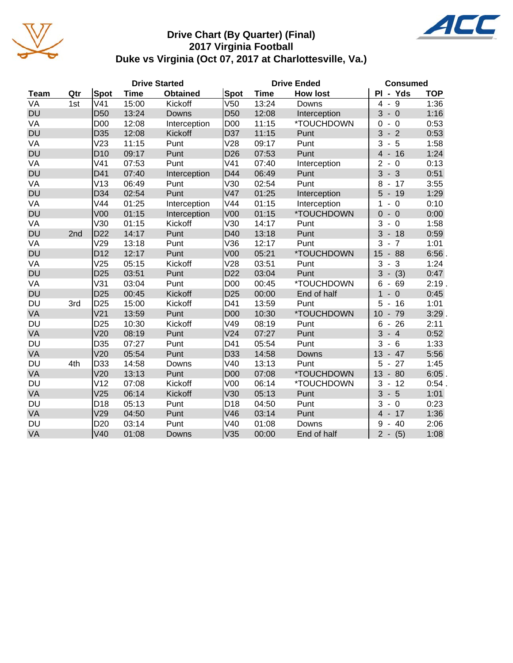

# **Drive Chart (By Quarter) (Final) 2017 Virginia Football Duke vs Virginia (Oct 07, 2017 at Charlottesville, Va.)**



|             |     |                 |             | <b>Drive Started</b> |                 | <b>Drive Ended</b> | <b>Consumed</b> |                                                     |            |
|-------------|-----|-----------------|-------------|----------------------|-----------------|--------------------|-----------------|-----------------------------------------------------|------------|
| <b>Team</b> | Qtr | <b>Spot</b>     | <b>Time</b> | <b>Obtained</b>      | <b>Spot</b>     | <b>Time</b>        | <b>How lost</b> | PI - Yds                                            | <b>TOP</b> |
| VA          | 1st | V <sub>41</sub> | 15:00       | Kickoff              | V <sub>50</sub> | 13:24              | Downs           | $-9$<br>4                                           | 1:36       |
| <b>DU</b>   |     | D <sub>50</sub> | 13:24       | Downs                | D <sub>50</sub> | 12:08              | Interception    | 3<br>$-0$                                           | 1:16       |
| VA          |     | D <sub>00</sub> | 12:08       | Interception         | D <sub>00</sub> | 11:15              | *TOUCHDOWN      | 0<br>- 0                                            | 0:53       |
| <b>DU</b>   |     | D <sub>35</sub> | 12:08       | Kickoff              | D37             | 11:15              | Punt            | 3<br>$-2$                                           | 0:53       |
| VA          |     | V <sub>23</sub> | 11:15       | Punt                 | V28             | 09:17              | Punt            | 3<br>5<br>$\blacksquare$                            | 1:58       |
| <b>DU</b>   |     | D <sub>10</sub> | 09:17       | Punt                 | D <sub>26</sub> | 07:53              | Punt            | $-16$<br>$\overline{4}$                             | 1:24       |
| VA          |     | V <sub>41</sub> | 07:53       | Punt                 | V <sub>41</sub> | 07:40              | Interception    | $\overline{2}$<br>$-0$                              | 0:13       |
| <b>DU</b>   |     | D41             | 07:40       | Interception         | D44             | 06:49              | Punt            | 3<br>$-3$                                           | 0:51       |
| VA          |     | V13             | 06:49       | Punt                 | V30             | 02:54              | Punt            | 8<br>17<br>$\overline{\phantom{a}}$                 | 3:55       |
| <b>DU</b>   |     | D34             | 02:54       | Punt                 | V47             | 01:25              | Interception    | 5<br>$-19$                                          | 1:29       |
| VA          |     | V44             | 01:25       | Interception         | V44             | 01:15              | Interception    | 1<br>$-0$                                           | 0:10       |
| <b>DU</b>   |     | V <sub>00</sub> | 01:15       | Interception         | V <sub>00</sub> | 01:15              | *TOUCHDOWN      | $\overline{0}$<br>$-0$                              | 0:00       |
| VA          |     | V30             | 01:15       | Kickoff              | V30             | 14:17              | Punt            | 3<br>$\overline{0}$<br>$\blacksquare$               | 1:58       |
| <b>DU</b>   | 2nd | D <sub>22</sub> | 14:17       | Punt                 | D40             | 13:18              | Punt            | 3<br>$-18$                                          | 0:59       |
| VA          |     | V29             | 13:18       | Punt                 | V36             | 12:17              | Punt            | 3<br>$\overline{7}$<br>$\qquad \qquad \blacksquare$ | 1:01       |
| <b>DU</b>   |     | D <sub>12</sub> | 12:17       | Punt                 | V <sub>00</sub> | 05:21              | *TOUCHDOWN      | 15<br>88<br>$\overline{\phantom{a}}$                | 6:56       |
| VA          |     | V25             | 05:15       | Kickoff              | V28             | 03:51              | Punt            | 3<br>3<br>$\overline{\phantom{a}}$                  | 1:24       |
| <b>DU</b>   |     | D <sub>25</sub> | 03:51       | Punt                 | D <sub>22</sub> | 03:04              | Punt            | 3<br>(3)<br>$\blacksquare$                          | 0:47       |
| VA          |     | V31             | 03:04       | Punt                 | D <sub>00</sub> | 00:45              | *TOUCHDOWN      | 69<br>6<br>$\qquad \qquad \blacksquare$             | 2:19.      |
| <b>DU</b>   |     | D <sub>25</sub> | 00:45       | Kickoff              | D <sub>25</sub> | 00:00              | End of half     | 1<br>$\overline{0}$<br>$\blacksquare$               | 0:45       |
| <b>DU</b>   | 3rd | D <sub>25</sub> | 15:00       | Kickoff              | D41             | 13:59              | Punt            | 5<br>16<br>$\overline{\phantom{a}}$                 | 1:01       |
| VA          |     | V <sub>21</sub> | 13:59       | Punt                 | <b>D00</b>      | 10:30              | *TOUCHDOWN      | 10<br>79<br>$\blacksquare$                          | 3:29       |
| DU          |     | D <sub>25</sub> | 10:30       | Kickoff              | V49             | 08:19              | Punt            | 6<br>26<br>$\overline{\phantom{a}}$                 | 2:11       |
| VA          |     | V20             | 08:19       | Punt                 | V <sub>24</sub> | 07:27              | Punt            | 3<br>$-4$                                           | 0:52       |
| <b>DU</b>   |     | D35             | 07:27       | Punt                 | D41             | 05:54              | Punt            | 3<br>6<br>$\blacksquare$                            | 1:33       |
| VA          |     | V20             | 05:54       | Punt                 | D33             | 14:58              | Downs           | 13<br>47                                            | 5:56       |
| <b>DU</b>   | 4th | D33             | 14:58       | Downs                | V40             | 13:13              | Punt            | 27<br>5                                             | 1:45       |
| VA          |     | V20             | 13:13       | Punt                 | D <sub>00</sub> | 07:08              | *TOUCHDOWN      | 13<br>80<br>$\overline{\phantom{a}}$                | 6:05       |
| DU          |     | V <sub>12</sub> | 07:08       | Kickoff              | V <sub>00</sub> | 06:14              | *TOUCHDOWN      | 3<br>12<br>$\qquad \qquad \blacksquare$             | 0:54.      |
| VA          |     | V <sub>25</sub> | 06:14       | Kickoff              | V30             | 05:13              | Punt            | 3<br>$-5$                                           | 1:01       |
| <b>DU</b>   |     | D <sub>18</sub> | 05:13       | Punt                 | D <sub>18</sub> | 04:50              | Punt            | 3<br>$\overline{0}$<br>$\blacksquare$               | 0:23       |
| VA          |     | V29             | 04:50       | Punt                 | V46             | 03:14              | Punt            | $\overline{4}$<br>$-17$                             | 1:36       |
| <b>DU</b>   |     | D <sub>20</sub> | 03:14       | Punt                 | V40             | 01:08              | Downs           | 9<br>40<br>$\overline{\phantom{a}}$                 | 2:06       |
| VA          |     | V40             | 01:08       | <b>Downs</b>         | V35             | 00:00              | End of half     | $2 -$<br>(5)                                        | 1:08       |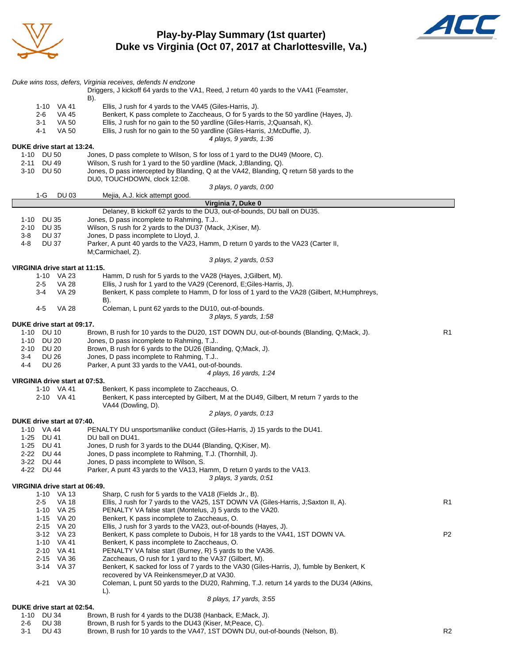

**Play-by-Play Summary (1st quarter) Duke vs Virginia (Oct 07, 2017 at Charlottesville, Va.)**



|                                                    | Duke wins toss, defers, Virginia receives, defends N endzone<br>Driggers, J kickoff 64 yards to the VA1, Reed, J return 40 yards to the VA41 (Feamster,<br>B). |    |
|----------------------------------------------------|----------------------------------------------------------------------------------------------------------------------------------------------------------------|----|
| 1-10 VA 41                                         | Ellis, J rush for 4 yards to the VA45 (Giles-Harris, J).                                                                                                       |    |
| 2-6<br>VA 45                                       | Benkert, K pass complete to Zaccheaus, O for 5 yards to the 50 yardline (Hayes, J).                                                                            |    |
| $3 - 1$<br>VA 50                                   | Ellis, J rush for no gain to the 50 yardline (Giles-Harris, J;Quansah, K).                                                                                     |    |
| <b>VA 50</b><br>4-1                                | Ellis, J rush for no gain to the 50 yardline (Giles-Harris, J; McDuffie, J).                                                                                   |    |
|                                                    | 4 plays, 9 yards, 1:36                                                                                                                                         |    |
| DUKE drive start at 13:24.<br>1-10<br><b>DU 50</b> | Jones, D pass complete to Wilson, S for loss of 1 yard to the DU49 (Moore, C).                                                                                 |    |
| DU 49<br>2-11                                      | Wilson, S rush for 1 yard to the 50 yardline (Mack, J;Blanding, Q).                                                                                            |    |
| 3-10 DU 50                                         | Jones, D pass intercepted by Blanding, Q at the VA42, Blanding, Q return 58 yards to the                                                                       |    |
|                                                    | DU0, TOUCHDOWN, clock 12:08.                                                                                                                                   |    |
|                                                    | 3 plays, 0 yards, 0:00                                                                                                                                         |    |
| 1-G<br>DU 03                                       | Mejia, A.J. kick attempt good.<br>Virginia 7, Duke 0                                                                                                           |    |
|                                                    | Delaney, B kickoff 62 yards to the DU3, out-of-bounds, DU ball on DU35.                                                                                        |    |
| 1-10<br>DU 35                                      | Jones, D pass incomplete to Rahming, T.J                                                                                                                       |    |
| <b>DU 35</b><br>2-10                               | Wilson, S rush for 2 yards to the DU37 (Mack, J;Kiser, M).                                                                                                     |    |
| 3-8<br>DU 37                                       | Jones, D pass incomplete to Lloyd, J.                                                                                                                          |    |
| <b>DU 37</b><br>4-8                                | Parker, A punt 40 yards to the VA23, Hamm, D return 0 yards to the VA23 (Carter II,<br>M;Carmichael, Z).                                                       |    |
|                                                    | 3 plays, 2 yards, 0:53                                                                                                                                         |    |
| VIRGINIA drive start at 11:15.                     |                                                                                                                                                                |    |
| 1-10 VA 23                                         | Hamm, D rush for 5 yards to the VA28 (Hayes, J;Gilbert, M).                                                                                                    |    |
| <b>VA 28</b><br>$2 - 5$                            | Ellis, J rush for 1 yard to the VA29 (Cerenord, E;Giles-Harris, J).                                                                                            |    |
| VA 29<br>$3 - 4$                                   | Benkert, K pass complete to Hamm, D for loss of 1 yard to the VA28 (Gilbert, M;Humphreys,                                                                      |    |
|                                                    | B).                                                                                                                                                            |    |
| 4-5<br>VA 28                                       | Coleman, L punt 62 yards to the DU10, out-of-bounds.                                                                                                           |    |
| DUKE drive start at 09:17.                         | 3 plays, 5 yards, 1:58                                                                                                                                         |    |
| 1-10 DU 10                                         | Brown, B rush for 10 yards to the DU20, 1ST DOWN DU, out-of-bounds (Blanding, Q;Mack, J).                                                                      | R1 |
| DU 20<br>1-10                                      | Jones, D pass incomplete to Rahming, T.J                                                                                                                       |    |
| 2-10<br><b>DU 20</b>                               | Brown, B rush for 6 yards to the DU26 (Blanding, Q; Mack, J).                                                                                                  |    |
| <b>DU 26</b><br>3-4                                | Jones, D pass incomplete to Rahming, T.J                                                                                                                       |    |
| <b>DU 26</b><br>$4 - 4$                            | Parker, A punt 33 yards to the VA41, out-of-bounds.                                                                                                            |    |
|                                                    | 4 plays, 16 yards, 1:24                                                                                                                                        |    |
| VIRGINIA drive start at 07:53.                     |                                                                                                                                                                |    |
| 1-10 VA 41                                         | Benkert, K pass incomplete to Zaccheaus, O.                                                                                                                    |    |
| 2-10 VA 41                                         | Benkert, K pass intercepted by Gilbert, M at the DU49, Gilbert, M return 7 yards to the<br>VA44 (Dowling, D).                                                  |    |
|                                                    | 2 plays, 0 yards, 0:13                                                                                                                                         |    |
| DUKE drive start at 07:40.                         |                                                                                                                                                                |    |
| 1-10 VA 44                                         | PENALTY DU unsportsmanlike conduct (Giles-Harris, J) 15 yards to the DU41.                                                                                     |    |
| 1-25 DU 41                                         | DU ball on DU41.                                                                                                                                               |    |
| 1-25 DU 41                                         | Jones, D rush for 3 yards to the DU44 (Blanding, Q;Kiser, M).                                                                                                  |    |
| 2-22 DU 44                                         | Jones, D pass incomplete to Rahming, T.J. (Thornhill, J).                                                                                                      |    |
| 3-22 DU 44<br>4-22 DU 44                           | Jones, D pass incomplete to Wilson, S.                                                                                                                         |    |
|                                                    | Parker, A punt 43 yards to the VA13, Hamm, D return 0 yards to the VA13.<br>3 plays, 3 yards, 0:51                                                             |    |
| VIRGINIA drive start at 06:49.                     |                                                                                                                                                                |    |
| 1-10 VA 13                                         | Sharp, C rush for 5 yards to the VA18 (Fields Jr., B).                                                                                                         |    |
| 2-5<br>VA 18                                       | Ellis, J rush for 7 yards to the VA25, 1ST DOWN VA (Giles-Harris, J;Saxton II, A).                                                                             | R1 |
| VA 25<br>1-10                                      | PENALTY VA false start (Montelus, J) 5 yards to the VA20.                                                                                                      |    |
| 1-15 VA 20                                         | Benkert, K pass incomplete to Zaccheaus, O.                                                                                                                    |    |
| 2-15 VA 20                                         | Ellis, J rush for 3 yards to the VA23, out-of-bounds (Hayes, J).                                                                                               |    |
| 3-12 VA 23                                         | Benkert, K pass complete to Dubois, H for 18 yards to the VA41, 1ST DOWN VA.<br>Benkert, K pass incomplete to Zaccheaus, O.                                    | P2 |
| 1-10 VA 41<br>2-10 VA 41                           | PENALTY VA false start (Burney, R) 5 yards to the VA36.                                                                                                        |    |
| 2-15 VA 36                                         | Zaccheaus, O rush for 1 yard to the VA37 (Gilbert, M).                                                                                                         |    |
| 3-14 VA 37                                         | Benkert, K sacked for loss of 7 yards to the VA30 (Giles-Harris, J), fumble by Benkert, K                                                                      |    |
|                                                    | recovered by VA Reinkensmeyer, D at VA30.                                                                                                                      |    |
| 4-21 VA 30                                         | Coleman, L punt 50 yards to the DU20, Rahming, T.J. return 14 yards to the DU34 (Atkins,                                                                       |    |
|                                                    | L).                                                                                                                                                            |    |
|                                                    | 8 plays, 17 yards, 3:55                                                                                                                                        |    |
| DUKE drive start at 02:54.                         |                                                                                                                                                                |    |

1-10 DU 34 Brown, B rush for 4 yards to the DU38 (Hanback, E;Mack, J). 2-6 DU 38 Brown, B rush for 5 yards to the DU43 (Kiser, M;Peace, C). 3-1 DU 43 Brown, B rush for 10 yards to the VA47, 1ST DOWN DU, out-of-bounds (Nelson, B). R2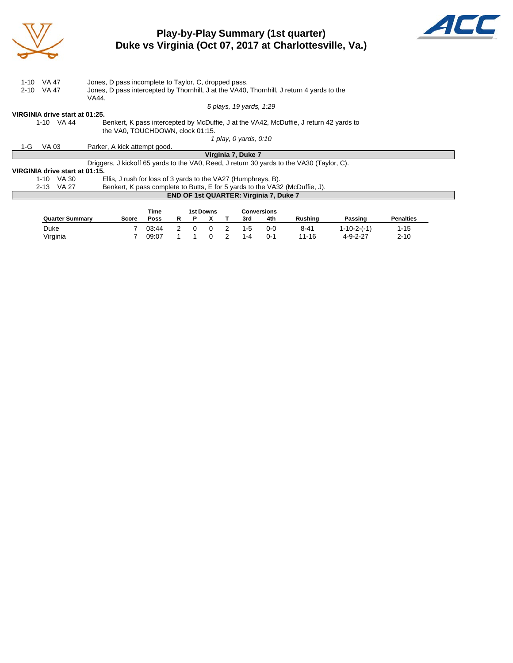

# **Play-by-Play Summary (1st quarter) Duke vs Virginia (Oct 07, 2017 at Charlottesville, Va.)**



|      | 1-10 VA 47                                                                                         | Jones, D pass incomplete to Taylor, C, dropped pass.                                      |  |  |  |  |  |  |  |  |  |  |
|------|----------------------------------------------------------------------------------------------------|-------------------------------------------------------------------------------------------|--|--|--|--|--|--|--|--|--|--|
| 2-10 | Jones, D pass intercepted by Thornhill, J at the VA40, Thornhill, J return 4 yards to the<br>VA 47 |                                                                                           |  |  |  |  |  |  |  |  |  |  |
|      | VA44.                                                                                              |                                                                                           |  |  |  |  |  |  |  |  |  |  |
|      | 5 plays, 19 yards, 1:29                                                                            |                                                                                           |  |  |  |  |  |  |  |  |  |  |
|      | VIRGINIA drive start at 01:25.                                                                     |                                                                                           |  |  |  |  |  |  |  |  |  |  |
|      | 1-10 VA 44                                                                                         | Benkert, K pass intercepted by McDuffie, J at the VA42, McDuffie, J return 42 yards to    |  |  |  |  |  |  |  |  |  |  |
|      | the VA0. TOUCHDOWN, clock 01:15.                                                                   |                                                                                           |  |  |  |  |  |  |  |  |  |  |
|      | 1 play, 0 yards, 0:10                                                                              |                                                                                           |  |  |  |  |  |  |  |  |  |  |
| 1-G  | VA 03                                                                                              | Parker, A kick attempt good.                                                              |  |  |  |  |  |  |  |  |  |  |
|      |                                                                                                    | Virginia 7, Duke 7                                                                        |  |  |  |  |  |  |  |  |  |  |
|      |                                                                                                    | Driggers, J kickoff 65 yards to the VAO, Reed, J return 30 yards to the VA30 (Taylor, C). |  |  |  |  |  |  |  |  |  |  |
|      | VIRGINIA drive start at 01:15.                                                                     |                                                                                           |  |  |  |  |  |  |  |  |  |  |
|      | $1-10$ VA 30                                                                                       | Ellis, J rush for loss of 3 yards to the VA27 (Humphreys, B).                             |  |  |  |  |  |  |  |  |  |  |
|      | 2-13 VA 27                                                                                         | Benkert, K pass complete to Butts, E for 5 yards to the VA32 (McDuffie, J).               |  |  |  |  |  |  |  |  |  |  |
|      | END OF 1st QUARTER: Virginia 7, Duke 7                                                             |                                                                                           |  |  |  |  |  |  |  |  |  |  |
|      |                                                                                                    |                                                                                           |  |  |  |  |  |  |  |  |  |  |
|      |                                                                                                    | Time<br><b>Conversions</b><br>1st Downs                                                   |  |  |  |  |  |  |  |  |  |  |

|                        |       | rme   | TSI DOWNS |  |   | Conversions |     |         |                  |                  |  |
|------------------------|-------|-------|-----------|--|---|-------------|-----|---------|------------------|------------------|--|
| <b>Quarter Summary</b> | Score | Poss  |           |  |   | 3rd         | 4th | Rushina | Passinɑ          | <b>Penalties</b> |  |
| Duke                   |       | 03:44 | $\Omega$  |  | 2 | $1-5$       | 0-0 | 8-41    | 1-10-2-(-1)      | $1 - 15$         |  |
| Virginia               |       | 09:07 |           |  | 2 | $1 - 4$     | ∩-1 | 11-16   | $4 - 9 - 2 - 27$ | $2 - 10$         |  |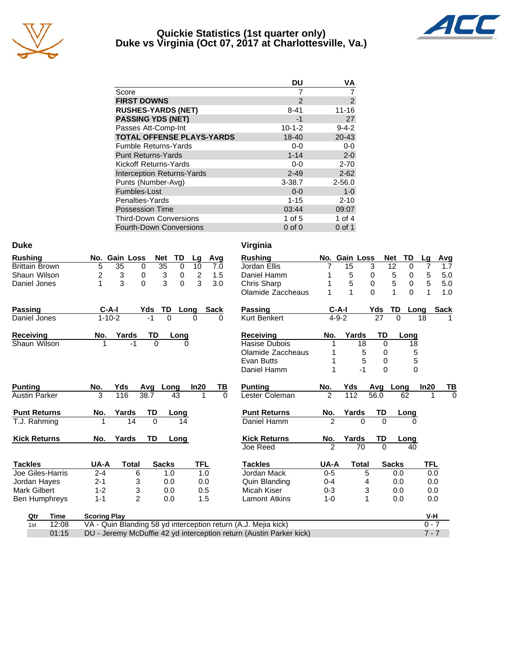

### **Quickie Statistics (1st quarter only) Duke vs Virginia (Oct 07, 2017 at Charlottesville, Va.)**



|                                   | DU            | VA             |
|-----------------------------------|---------------|----------------|
| Score                             |               |                |
| <b>FIRST DOWNS</b>                | $\mathcal{P}$ | $\overline{2}$ |
| <b>RUSHES-YARDS (NET)</b>         | $8 - 41$      | $11 - 16$      |
| <b>PASSING YDS (NET)</b>          | -1            | 27             |
| Passes Att-Comp-Int               | $10 - 1 - 2$  | $9 - 4 - 2$    |
| <b>TOTAL OFFENSE PLAYS-YARDS</b>  | 18-40         | $20 - 43$      |
| <b>Fumble Returns-Yards</b>       | $0-0$         | $0 - 0$        |
| <b>Punt Returns-Yards</b>         | $1 - 14$      | $2 - 0$        |
| Kickoff Returns-Yards             | $0-0$         | $2 - 70$       |
| <b>Interception Returns-Yards</b> | $2 - 49$      | $2 - 62$       |
| Punts (Number-Avg)                | $3 - 38.7$    | $2 - 56.0$     |
| Fumbles-Lost                      | $0 - 0$       | $1 - 0$        |
| Penalties-Yards                   | $1 - 15$      | $2 - 10$       |
| <b>Possession Time</b>            | 03:44         | 09:07          |
| <b>Third-Down Conversions</b>     | 1 of $5$      | 1 of $4$       |
| Fourth-Down Conversions           | $0$ of $0$    | $0$ of 1       |

| Duke                  |                     |                      |          |              |                |             | Virginia                                                            |                |             |               |          |                      |                |                |
|-----------------------|---------------------|----------------------|----------|--------------|----------------|-------------|---------------------------------------------------------------------|----------------|-------------|---------------|----------|----------------------|----------------|----------------|
| <b>Rushing</b>        |                     | No. Gain Loss        | Net      | TD           | Lg             | Avg         | <b>Rushing</b>                                                      |                |             | No. Gain Loss | Net      | TD                   | Lg             | Avg            |
| <b>Brittain Brown</b> | 5                   | $\overline{35}$<br>0 | 35       | 0            | 10             | 7.0         | Jordan Ellis                                                        |                | 15          | 3             |          | $\overline{12}$<br>0 | 7              | 1.7            |
| Shaun Wilson          | 2                   | 3                    | 0        | 3<br>0       | $\overline{2}$ | 1.5         | Daniel Hamm                                                         |                | 5           | 0             |          | 5<br>0               | 5              | 5.0            |
| Daniel Jones          | 1                   | 3                    | 0        | 3<br>0       | 3              | 3.0         | Chris Sharp                                                         |                | 5           | $\mathbf 0$   |          | 5<br>$\mathbf 0$     | 5              | 5.0            |
|                       |                     |                      |          |              |                |             | Olamide Zaccheaus                                                   |                | 1           | $\Omega$      |          | 1                    | $\Omega$<br>1  | 1.0            |
| Passing               | $C-A-I$             |                      | Yds      | TD           | Long           | <b>Sack</b> | Passing                                                             |                | $C-A-I$     |               | Yds      | TD                   | Long           | <b>Sack</b>    |
| Daniel Jones          | $1 - 10 - 2$        |                      |          | $\Omega$     | $\Omega$       | $\Omega$    | <b>Kurt Benkert</b>                                                 |                | $4 - 9 - 2$ |               | 27       | $\Omega$             | 18             |                |
| Receiving             | No.                 | Yards                | TD       | Long         |                |             | <b>Receiving</b>                                                    | No.            |             | Yards         | TD       | Long                 |                |                |
| Shaun Wilson          | 1                   | -1                   | $\Omega$ |              | 0              |             | Hasise Dubois                                                       |                |             | 18            | $\Omega$ |                      | 18             |                |
|                       |                     |                      |          |              |                |             | Olamide Zaccheaus                                                   |                |             | 5             | 0        |                      | 5              |                |
|                       |                     |                      |          |              |                |             | Evan Butts                                                          |                |             | 5             | 0        |                      | 5              |                |
|                       |                     |                      |          |              |                |             | Daniel Hamm                                                         |                |             | $-1$          | $\Omega$ |                      | $\overline{0}$ |                |
| <b>Punting</b>        | No.                 | Yds                  | Avq      | Long         | In20           | ΤВ          | <b>Punting</b>                                                      | No.            | Yds         |               | Avg      | Long                 | In20           | <u>TB</u>      |
| <b>Austin Parker</b>  | 3                   | 116                  | 38.7     | 43           |                | $\Omega$    | Lester Coleman                                                      | $\mathcal{P}$  | 112         | 56.0          |          | 62                   | 1              | $\overline{0}$ |
| <b>Punt Returns</b>   | No.                 | Yards                | TD       | Long         |                |             | <b>Punt Returns</b>                                                 | No.            | Yards       |               | TD       | Long                 |                |                |
| T.J. Rahming          |                     | 14                   | $\Omega$ | 14           |                |             | Daniel Hamm                                                         | 2              |             | $\Omega$      | $\Omega$ |                      | $\Omega$       |                |
| <b>Kick Returns</b>   | No.                 | Yards                | TD       | Long         |                |             | <b>Kick Returns</b>                                                 | No.            | Yards       |               | TD       | Long                 |                |                |
|                       |                     |                      |          |              |                |             | Joe Reed                                                            | $\overline{2}$ |             | 70            | $\Omega$ |                      | 40             |                |
| <b>Tackles</b>        | UA-A                | <b>Total</b>         |          | <b>Sacks</b> | TFL            |             | <b>Tackles</b>                                                      | UA-A           |             | <b>Total</b>  |          | <b>Sacks</b>         | TFL            |                |
| Joe Giles-Harris      | $2 - 4$             | 6                    |          | 1.0          | 1.0            |             | Jordan Mack                                                         | $0 - 5$        |             | 5             |          | 0.0                  | 0.0            |                |
| Jordan Hayes          | $2 - 1$             | 3                    |          | 0.0          | 0.0            |             | Quin Blanding                                                       | $0 - 4$        |             | 4             |          | 0.0                  | 0.0            |                |
| <b>Mark Gilbert</b>   | $1 - 2$             | 3                    |          | 0.0          | 0.5            |             | Micah Kiser                                                         | $0 - 3$        |             | 3             |          | 0.0                  | 0.0            |                |
| Ben Humphreys         | $1 - 1$             | $\overline{2}$       |          | 0.0          | 1.5            |             | <b>Lamont Atkins</b>                                                | $1 - 0$        |             | 1             |          | 0.0                  | 0.0            |                |
| <b>Time</b><br>Qtr    | <b>Scoring Play</b> |                      |          |              |                |             |                                                                     |                |             |               |          |                      | $V-H$          |                |
| 12:08<br>1st          |                     |                      |          |              |                |             | VA - Quin Blanding 58 yd interception return (A.J. Mejia kick)      |                |             |               |          |                      | $0 - 7$        |                |
| 01:15                 |                     |                      |          |              |                |             | DU - Jeremy McDuffie 42 yd interception return (Austin Parker kick) |                |             |               |          |                      | $7 - 7$        |                |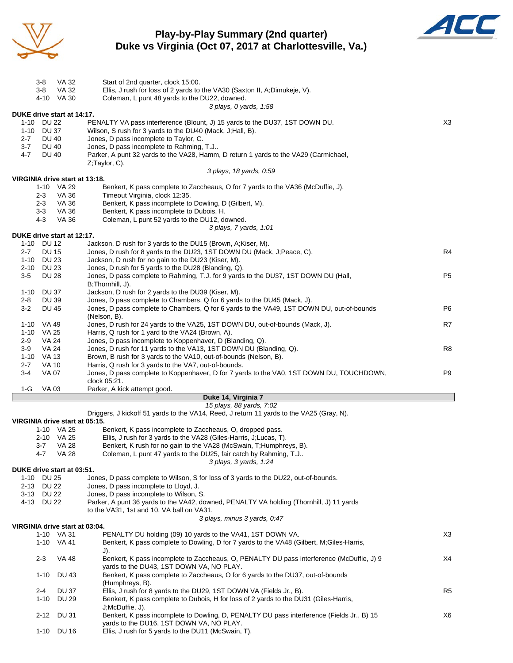

# **Play-by-Play Summary (2nd quarter) Duke vs Virginia (Oct 07, 2017 at Charlottesville, Va.)**



|                 | 3-8<br>VA 32                                 | Start of 2nd quarter, clock 15:00.                                                                                                                     |                |
|-----------------|----------------------------------------------|--------------------------------------------------------------------------------------------------------------------------------------------------------|----------------|
|                 | 3-8<br>VA 32                                 | Ellis, J rush for loss of 2 yards to the VA30 (Saxton II, A;Dimukeje, V).                                                                              |                |
|                 | 4-10 VA 30                                   | Coleman, L punt 48 yards to the DU22, downed.                                                                                                          |                |
|                 |                                              | 3 plays, 0 yards, 1:58                                                                                                                                 |                |
| 1-10            | DUKE drive start at 14:17.<br>DU 22          | PENALTY VA pass interference (Blount, J) 15 yards to the DU37, 1ST DOWN DU.                                                                            | X3             |
|                 | 1-10 DU 37                                   | Wilson, S rush for 3 yards to the DU40 (Mack, J; Hall, B).                                                                                             |                |
| 2-7             | <b>DU 40</b>                                 | Jones, D pass incomplete to Taylor, C.                                                                                                                 |                |
| $3 - 7$         | <b>DU 40</b>                                 | Jones, D pass incomplete to Rahming, T.J                                                                                                               |                |
| 4-7             | <b>DU 40</b>                                 | Parker, A punt 32 yards to the VA28, Hamm, D return 1 yards to the VA29 (Carmichael,                                                                   |                |
|                 |                                              | $Z$ ; Taylor, C).                                                                                                                                      |                |
|                 |                                              | 3 plays, 18 yards, 0:59                                                                                                                                |                |
|                 | VIRGINIA drive start at 13:18.<br>1-10 VA 29 | Benkert, K pass complete to Zaccheaus, O for 7 yards to the VA36 (McDuffie, J).                                                                        |                |
|                 | 2-3<br>VA 36                                 | Timeout Virginia, clock 12:35.                                                                                                                         |                |
|                 | VA 36<br>2-3                                 | Benkert, K pass incomplete to Dowling, D (Gilbert, M).                                                                                                 |                |
|                 | $3 - 3$<br>VA 36                             | Benkert, K pass incomplete to Dubois, H.                                                                                                               |                |
|                 | VA 36<br>4-3                                 | Coleman, L punt 52 yards to the DU12, downed.                                                                                                          |                |
|                 |                                              | 3 plays, 7 yards, 1:01                                                                                                                                 |                |
|                 | DUKE drive start at 12:17.                   |                                                                                                                                                        |                |
|                 | 1-10 DU 12                                   | Jackson, D rush for 3 yards to the DU15 (Brown, A; Kiser, M).                                                                                          |                |
| $2 - 7$<br>1-10 | <b>DU 15</b><br>DU 23                        | Jones, D rush for 8 yards to the DU23, 1ST DOWN DU (Mack, J; Peace, C).<br>Jackson, D rush for no gain to the DU23 (Kiser, M).                         | R4             |
| 2-10            | <b>DU 23</b>                                 | Jones, D rush for 5 yards to the DU28 (Blanding, Q).                                                                                                   |                |
| 3-5             | DU 28                                        | Jones, D pass complete to Rahming, T.J. for 9 yards to the DU37, 1ST DOWN DU (Hall,                                                                    | P <sub>5</sub> |
|                 |                                              | B;Thornhill, J).                                                                                                                                       |                |
| 1-10            | <b>DU 37</b>                                 | Jackson, D rush for 2 yards to the DU39 (Kiser, M).                                                                                                    |                |
| 2-8             | <b>DU 39</b>                                 | Jones, D pass complete to Chambers, Q for 6 yards to the DU45 (Mack, J).                                                                               |                |
| $3-2$           | <b>DU 45</b>                                 | Jones, D pass complete to Chambers, Q for 6 yards to the VA49, 1ST DOWN DU, out-of-bounds                                                              | P6             |
|                 |                                              | (Nelson, B).                                                                                                                                           |                |
| 1-10            | VA 49<br>1-10 VA 25                          | Jones, D rush for 24 yards to the VA25, 1ST DOWN DU, out-of-bounds (Mack, J).<br>Harris, Q rush for 1 yard to the VA24 (Brown, A).                     | R7             |
| $2-9$           | VA 24                                        | Jones, D pass incomplete to Koppenhaver, D (Blanding, Q).                                                                                              |                |
| $3-9$           | VA 24                                        | Jones, D rush for 11 yards to the VA13, 1ST DOWN DU (Blanding, Q).                                                                                     | R8             |
|                 | 1-10 VA 13                                   | Brown, B rush for 3 yards to the VA10, out-of-bounds (Nelson, B).                                                                                      |                |
| 2-7             | <b>VA 10</b>                                 | Harris, Q rush for 3 yards to the VA7, out-of-bounds.                                                                                                  |                |
| $3-4$           | <b>VA 07</b>                                 | Jones, D pass complete to Koppenhaver, D for 7 yards to the VA0, 1ST DOWN DU, TOUCHDOWN,                                                               | P <sub>9</sub> |
|                 |                                              | clock 05:21.                                                                                                                                           |                |
| $1-G$           | VA 03                                        | Parker, A kick attempt good.                                                                                                                           |                |
|                 |                                              | Duke 14, Virginia 7<br>15 plays, 88 yards, 7:02                                                                                                        |                |
|                 |                                              | Driggers, J kickoff 51 yards to the VA14, Reed, J return 11 yards to the VA25 (Gray, N).                                                               |                |
|                 | VIRGINIA drive start at 05:15.               |                                                                                                                                                        |                |
|                 | 1-10 VA 25                                   | Benkert, K pass incomplete to Zaccheaus, O, dropped pass.                                                                                              |                |
|                 | 2-10 VA 25                                   | Ellis, J rush for 3 yards to the VA28 (Giles-Harris, J;Lucas, T).                                                                                      |                |
|                 | $3 - 7$<br><b>VA 28</b>                      | Benkert, K rush for no gain to the VA28 (McSwain, T;Humphreys, B).                                                                                     |                |
|                 | <b>VA 28</b><br>4-7                          | Coleman, L punt 47 yards to the DU25, fair catch by Rahming, T.J                                                                                       |                |
|                 | DUKE drive start at 03:51.                   | 3 plays, 3 yards, 1:24                                                                                                                                 |                |
|                 | 1-10 DU 25                                   | Jones, D pass complete to Wilson, S for loss of 3 yards to the DU22, out-of-bounds.                                                                    |                |
|                 | 2-13 DU 22                                   | Jones, D pass incomplete to Lloyd, J.                                                                                                                  |                |
|                 | 3-13 DU 22                                   | Jones, D pass incomplete to Wilson, S.                                                                                                                 |                |
|                 | 4-13 DU 22                                   | Parker, A punt 36 yards to the VA42, downed, PENALTY VA holding (Thornhill, J) 11 yards                                                                |                |
|                 |                                              | to the VA31, 1st and 10, VA ball on VA31.                                                                                                              |                |
|                 |                                              | 3 plays, minus 3 yards, 0:47                                                                                                                           |                |
|                 | VIRGINIA drive start at 03:04.               |                                                                                                                                                        |                |
|                 | 1-10 VA 31                                   | PENALTY DU holding (09) 10 yards to the VA41, 1ST DOWN VA.<br>Benkert, K pass complete to Dowling, D for 7 yards to the VA48 (Gilbert, M;Giles-Harris, | X <sub>3</sub> |
|                 | 1-10 VA 41                                   | J).                                                                                                                                                    |                |
|                 | $2 - 3$<br><b>VA 48</b>                      | Benkert, K pass incomplete to Zaccheaus, O, PENALTY DU pass interference (McDuffie, J) 9                                                               | X4             |
|                 |                                              | yards to the DU43, 1ST DOWN VA, NO PLAY.                                                                                                               |                |
|                 | $1 - 10$<br>DU 43                            | Benkert, K pass complete to Zaccheaus, O for 6 yards to the DU37, out-of-bounds                                                                        |                |
|                 |                                              | (Humphreys, B).                                                                                                                                        |                |
|                 | 2-4<br>DU 37                                 | Ellis, J rush for 8 yards to the DU29, 1ST DOWN VA (Fields Jr., B).                                                                                    | R <sub>5</sub> |
|                 | <b>DU 29</b><br>$1 - 10$                     | Benkert, K pass complete to Dubois, H for loss of 2 yards to the DU31 (Giles-Harris,                                                                   |                |
|                 | 2-12 DU 31                                   | J;McDuffie, J).                                                                                                                                        | X6             |
|                 |                                              | Benkert, K pass incomplete to Dowling, D, PENALTY DU pass interference (Fields Jr., B) 15<br>yards to the DU16, 1ST DOWN VA, NO PLAY.                  |                |

1-10 DU 16 Ellis, J rush for 5 yards to the DU11 (McSwain, T).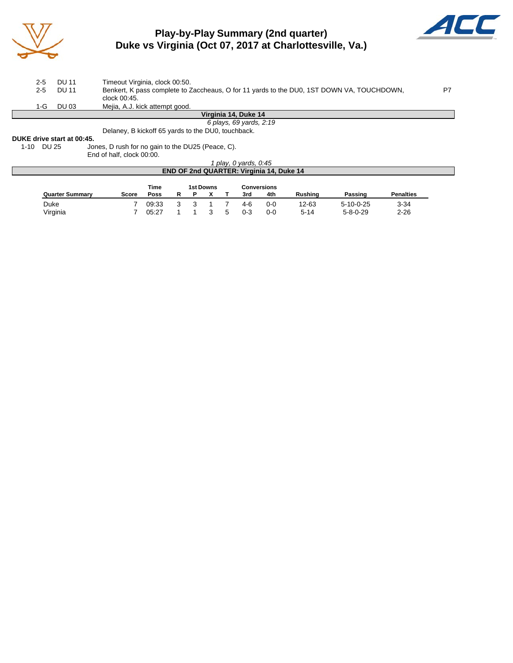

# **Play-by-Play Summary (2nd quarter) Duke vs Virginia (Oct 07, 2017 at Charlottesville, Va.)**



| $2 - 5$<br>$2 - 5$ | DU 11<br><b>DU 11</b>              | Timeout Virginia, clock 00:50.<br>Benkert, K pass complete to Zaccheaus, O for 11 yards to the DU0, 1ST DOWN VA, TOUCHDOWN,<br>clock 00:45. | P7 |
|--------------------|------------------------------------|---------------------------------------------------------------------------------------------------------------------------------------------|----|
| 1-G.               | DU 03                              | Mejia, A.J. kick attempt good.                                                                                                              |    |
|                    |                                    | Virginia 14, Duke 14                                                                                                                        |    |
|                    |                                    | 6 plays, 69 yards, 2:19                                                                                                                     |    |
|                    | <b>DUIZE</b> data a stant at 00.4E | Delaney, B kickoff 65 yards to the DU0, touchback.                                                                                          |    |

# **DUKE drive start at 00:45.**<br>1-10 DU 25 Jor

Jones, D rush for no gain to the DU25 (Peace, C).

End of half, clock 00:00.

|                                                 |                                         |       |   |   |  |  | play, 0 yards, 0:45 |         |                |                   |                  |  |  |  |
|-------------------------------------------------|-----------------------------------------|-------|---|---|--|--|---------------------|---------|----------------|-------------------|------------------|--|--|--|
| <b>END OF 2nd QUARTER: Virginia 14, Duke 14</b> |                                         |       |   |   |  |  |                     |         |                |                   |                  |  |  |  |
|                                                 | Time<br>1st Downs<br><b>Conversions</b> |       |   |   |  |  |                     |         |                |                   |                  |  |  |  |
| <b>Quarter Summary</b>                          | <b>Score</b>                            | Poss  | R | D |  |  | 3rd                 | 4th     | <b>Rushing</b> | Passing           | <b>Penalties</b> |  |  |  |
| Duke                                            |                                         | 09.33 |   |   |  |  | 4-6                 | $0 - 0$ | 12-63          | $5 - 10 - 0 - 25$ | $3 - 34$         |  |  |  |
| Virginia                                        |                                         | 05:27 |   |   |  |  | $0 - 3$             | $0 - 0$ | 5-14           | $5 - 8 - 0 - 29$  | $2 - 26$         |  |  |  |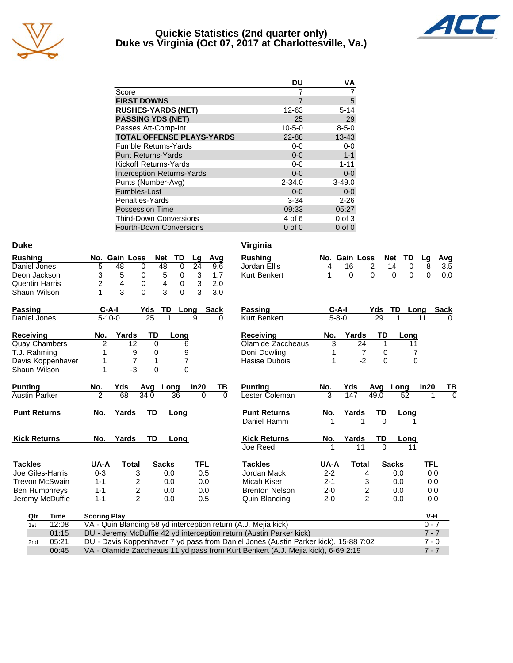

### **Quickie Statistics (2nd quarter only) Duke vs Virginia (Oct 07, 2017 at Charlottesville, Va.)**



|                                   | DU           | VA          |
|-----------------------------------|--------------|-------------|
| Score                             |              |             |
| <b>FIRST DOWNS</b>                | 7            | 5           |
| <b>RUSHES-YARDS (NET)</b>         | 12-63        | $5 - 14$    |
| <b>PASSING YDS (NET)</b>          | 25           | 29          |
| Passes Att-Comp-Int               | $10 - 5 - 0$ | $8 - 5 - 0$ |
| <b>TOTAL OFFENSE PLAYS-YARDS</b>  | 22-88        | $13 - 43$   |
| <b>Fumble Returns-Yards</b>       | $0-0$        | $0 - 0$     |
| <b>Punt Returns-Yards</b>         | $0 - 0$      | $1 - 1$     |
| Kickoff Returns-Yards             | $0 - 0$      | $1 - 11$    |
| <b>Interception Returns-Yards</b> | $0 - 0$      | $0 - 0$     |
| Punts (Number-Avg)                | $2 - 34.0$   | $3 - 49.0$  |
| Fumbles-Lost                      | $0 - 0$      | $0 - 0$     |
| Penalties-Yards                   | $3 - 34$     | $2 - 26$    |
| <b>Possession Time</b>            | 09:33        | 05:27       |
| <b>Third-Down Conversions</b>     | 4 of 6       | $0$ of $3$  |
| <b>Fourth-Down Conversions</b>    | $0$ of $0$   | $0$ of $0$  |

| <b>Duke</b>           |                   |                     |                 |                 |              |           |          |          | Virginia                                                                            |         |               |                  |              |      |            |             |
|-----------------------|-------------------|---------------------|-----------------|-----------------|--------------|-----------|----------|----------|-------------------------------------------------------------------------------------|---------|---------------|------------------|--------------|------|------------|-------------|
| <b>Rushing</b>        |                   |                     | No. Gain Loss   |                 | <b>Net</b>   | <b>TD</b> | Lg       | Avg      | <b>Rushing</b>                                                                      |         | No. Gain Loss |                  | <b>Net</b>   | TD   | Lg         | Avg         |
| Daniel Jones          |                   | 5                   | 48              | 0               | 48           | 0         | 24       | 9.6      | Jordan Ellis                                                                        | 4       | 16            | 2                | 14           | 0    | 8          | 3.5         |
| Deon Jackson          |                   | 3                   | 5               | 0               | 5            | 0         | 3        | 1.7      | <b>Kurt Benkert</b>                                                                 | 1       | 0             | 0                | 0            | 0    | 0          | 0.0         |
| <b>Quentin Harris</b> |                   | 2                   | 4               | $\Omega$        | 4            | 0         | 3        | 2.0      |                                                                                     |         |               |                  |              |      |            |             |
| Shaun Wilson          |                   | 1                   | 3               | $\Omega$        | 3            | $\Omega$  | 3        | 3.0      |                                                                                     |         |               |                  |              |      |            |             |
| Passing               |                   | $C-A-I$             |                 | Yds             | TD           |           | Long     | Sack     | <b>Passing</b>                                                                      |         | $C-A-I$       | Yds              |              | TD   | Long       | <b>Sack</b> |
| Daniel Jones          |                   | $5 - 10 - 0$        |                 | $\overline{25}$ | 1            |           | 9        | 0        | <b>Kurt Benkert</b>                                                                 |         | $5 - 8 - 0$   |                  | 29           | 1    | 11         | 0           |
| Receiving             |                   | No.                 | Yards           | TD              |              | Long      |          |          | Receiving                                                                           | No.     | Yards         |                  | TD           | Long |            |             |
| <b>Quay Chambers</b>  |                   | 2                   | 12              |                 | 0            | 6         |          |          | Olamide Zaccheaus                                                                   | 3       |               | 24               | 1            | 11   |            |             |
| T.J. Rahming          |                   | 1                   | 9               |                 | 0            | 9         |          |          | Doni Dowling                                                                        |         |               | $\overline{7}$   | 0            | 7    |            |             |
|                       | Davis Koppenhaver | 1                   | $\overline{7}$  |                 | 1            | 7         |          |          | Hasise Dubois                                                                       | 1       |               | $-2$             | $\Omega$     | 0    |            |             |
| Shaun Wilson          |                   | 1                   | $-3$            |                 | $\Omega$     | 0         |          |          |                                                                                     |         |               |                  |              |      |            |             |
| <b>Punting</b>        |                   | No.                 | Yds             | Avg             | <b>Long</b>  |           | In20     | ΤВ       | <b>Punting</b>                                                                      | No.     | Yds           |                  | Avg          | Long | In20       | TВ          |
| <b>Austin Parker</b>  |                   | $\mathfrak{p}$      | $\overline{68}$ | 34.0            |              | 36        | $\Omega$ | $\Omega$ | Lester Coleman                                                                      | 3       | 147           | $\frac{1}{49.0}$ |              | 52   |            |             |
| <b>Punt Returns</b>   |                   | No.                 | Yards           | TD              |              | Long      |          |          | <b>Punt Returns</b>                                                                 | No.     | Yards         |                  | TD           | Long |            |             |
|                       |                   |                     |                 |                 |              |           |          |          | Daniel Hamm                                                                         |         |               | 1                | $\Omega$     |      |            |             |
| <b>Kick Returns</b>   |                   | No.                 | Yards           | TD              |              | Long      |          |          | <b>Kick Returns</b>                                                                 | No.     | Yards         |                  | TD           | Long |            |             |
|                       |                   |                     |                 |                 |              |           |          |          | Joe Reed                                                                            | 1       |               | 11               | $\Omega$     | 11   |            |             |
| <b>Tackles</b>        |                   | UA-A                | <b>Total</b>    |                 | <b>Sacks</b> |           | TFL      |          | <b>Tackles</b>                                                                      | UA-A    |               | <b>Total</b>     | <b>Sacks</b> |      | <b>TFL</b> |             |
| Joe Giles-Harris      |                   | $0 - 3$             |                 | 3               | 0.0          |           | 0.5      |          | Jordan Mack                                                                         | $2 - 2$ |               | 4                |              | 0.0  | 0.0        |             |
| <b>Trevon McSwain</b> |                   | $1 - 1$             |                 | 2               | 0.0          |           | 0.0      |          | Micah Kiser                                                                         | $2 - 1$ |               | 3                |              | 0.0  | 0.0        |             |
| Ben Humphreys         |                   | $1 - 1$             |                 | 2               | 0.0          |           | 0.0      |          | <b>Brenton Nelson</b>                                                               | $2 - 0$ |               | 2                |              | 0.0  | 0.0        |             |
| Jeremy McDuffie       |                   | $1 - 1$             |                 | $\overline{c}$  | 0.0          |           | 0.5      |          | Quin Blanding                                                                       | $2 - 0$ |               | $\overline{2}$   |              | 0.0  | 0.0        |             |
| Qtr                   | Time              | <b>Scoring Play</b> |                 |                 |              |           |          |          |                                                                                     |         |               |                  |              |      | V-H        |             |
| 1st                   | 12:08             |                     |                 |                 |              |           |          |          | VA - Quin Blanding 58 yd interception return (A.J. Mejia kick)                      |         |               |                  |              |      | $0 - 7$    |             |
|                       | 01:15             |                     |                 |                 |              |           |          |          | DU - Jeremy McDuffie 42 yd interception return (Austin Parker kick)                 |         |               |                  |              |      | $7 - 7$    |             |
| 2 <sub>nd</sub>       | 05:21             |                     |                 |                 |              |           |          |          | DU - Davis Koppenhaver 7 yd pass from Daniel Jones (Austin Parker kick), 15-88 7:02 |         |               |                  |              |      | $7 - 0$    |             |
|                       | 00:45             |                     |                 |                 |              |           |          |          | VA - Olamide Zaccheaus 11 yd pass from Kurt Benkert (A.J. Mejia kick), 6-69 2:19    |         |               |                  |              |      | $7 - 7$    |             |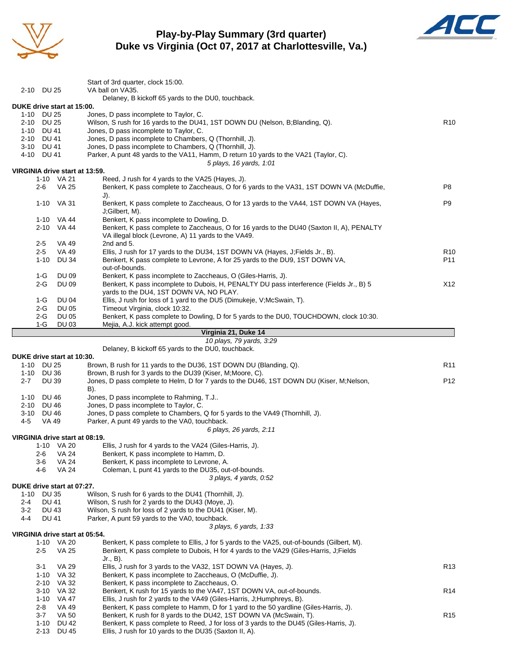

# **Play-by-Play Summary (3rd quarter) Duke vs Virginia (Oct 07, 2017 at Charlottesville, Va.)**



|                                          |                              | Start of 3rd quarter, clock 15:00.                                                                                                                           |                 |
|------------------------------------------|------------------------------|--------------------------------------------------------------------------------------------------------------------------------------------------------------|-----------------|
| 2-10 DU 25                               |                              | VA ball on VA35.                                                                                                                                             |                 |
|                                          |                              | Delaney, B kickoff 65 yards to the DU0, touchback.                                                                                                           |                 |
| DUKE drive start at 15:00.<br>1-10 DU 25 |                              | Jones, D pass incomplete to Taylor, C.                                                                                                                       |                 |
| 2-10 DU 25                               |                              | Wilson, S rush for 16 yards to the DU41, 1ST DOWN DU (Nelson, B;Blanding, Q).                                                                                | R <sub>10</sub> |
| 1-10 DU 41                               |                              | Jones, D pass incomplete to Taylor, C.                                                                                                                       |                 |
| 2-10 DU 41                               |                              | Jones, D pass incomplete to Chambers, Q (Thornhill, J).                                                                                                      |                 |
| 3-10 DU 41                               |                              | Jones, D pass incomplete to Chambers, Q (Thornhill, J).                                                                                                      |                 |
| 4-10 DU 41                               |                              | Parker, A punt 48 yards to the VA11, Hamm, D return 10 yards to the VA21 (Taylor, C).<br>5 plays, 16 yards, 1:01                                             |                 |
| VIRGINIA drive start at 13:59.           |                              |                                                                                                                                                              |                 |
|                                          | 1-10 VA 21                   | Reed, J rush for 4 yards to the VA25 (Hayes, J).                                                                                                             |                 |
| 2-6                                      | VA 25                        | Benkert, K pass complete to Zaccheaus, O for 6 yards to the VA31, 1ST DOWN VA (McDuffie,<br>J).                                                              | P8              |
|                                          | 1-10 VA 31                   | Benkert, K pass complete to Zaccheaus, O for 13 yards to the VA44, 1ST DOWN VA (Hayes,                                                                       | P9              |
|                                          |                              | J;Gilbert, M).                                                                                                                                               |                 |
|                                          | 1-10 VA 44                   | Benkert, K pass incomplete to Dowling, D.                                                                                                                    |                 |
|                                          | 2-10 VA 44                   | Benkert, K pass complete to Zaccheaus, O for 16 yards to the DU40 (Saxton II, A), PENALTY<br>VA illegal block (Levrone, A) 11 yards to the VA49.             |                 |
| $2 - 5$                                  | VA 49                        | 2nd and 5.                                                                                                                                                   |                 |
| $2 - 5$                                  | VA 49                        | Ellis, J rush for 17 yards to the DU34, 1ST DOWN VA (Hayes, J;Fields Jr., B).                                                                                | R <sub>10</sub> |
| $1 - 10$                                 | DU 34                        | Benkert, K pass complete to Levrone, A for 25 yards to the DU9, 1ST DOWN VA,                                                                                 | P11             |
|                                          |                              | out-of-bounds.                                                                                                                                               |                 |
| 1-G<br>$2-G$                             | <b>DU 09</b><br><b>DU 09</b> | Benkert, K pass incomplete to Zaccheaus, O (Giles-Harris, J).                                                                                                | X12             |
|                                          |                              | Benkert, K pass incomplete to Dubois, H, PENALTY DU pass interference (Fields Jr., B) 5<br>yards to the DU4, 1ST DOWN VA, NO PLAY.                           |                 |
| 1-G                                      | DU 04                        | Ellis, J rush for loss of 1 yard to the DU5 (Dimukeje, V;McSwain, T).                                                                                        |                 |
| $2-G$                                    | <b>DU 05</b>                 | Timeout Virginia, clock 10:32.                                                                                                                               |                 |
| $2-G$                                    | <b>DU 05</b>                 | Benkert, K pass complete to Dowling, D for 5 yards to the DU0, TOUCHDOWN, clock 10:30.                                                                       |                 |
| 1-G                                      | DU 03                        | Mejia, A.J. kick attempt good.<br>Virginia 21, Duke 14                                                                                                       |                 |
|                                          |                              | 10 plays, 79 yards, 3:29                                                                                                                                     |                 |
|                                          |                              | Delaney, B kickoff 65 yards to the DU0, touchback.                                                                                                           |                 |
| DUKE drive start at 10:30.               |                              |                                                                                                                                                              |                 |
| 1-10 DU 25<br>1-10 DU 36                 |                              | Brown, B rush for 11 yards to the DU36, 1ST DOWN DU (Blanding, Q).<br>Brown, B rush for 3 yards to the DU39 (Kiser, M; Moore, C).                            | R <sub>11</sub> |
| $2 - 7$                                  | <b>DU 39</b>                 | Jones, D pass complete to Helm, D for 7 yards to the DU46, 1ST DOWN DU (Kiser, M; Nelson,                                                                    | P12             |
|                                          |                              | B).                                                                                                                                                          |                 |
| 1-10 DU 46                               |                              | Jones, D pass incomplete to Rahming, T.J                                                                                                                     |                 |
| 2-10 DU 46<br>3-10 DU 46                 |                              | Jones, D pass incomplete to Taylor, C.<br>Jones, D pass complete to Chambers, Q for 5 yards to the VA49 (Thornhill, J).                                      |                 |
| 4-5                                      | <b>VA 49</b>                 | Parker, A punt 49 yards to the VA0, touchback.                                                                                                               |                 |
|                                          |                              | 6 plays, 26 yards, 2:11                                                                                                                                      |                 |
| VIRGINIA drive start at 08:19.           |                              |                                                                                                                                                              |                 |
|                                          | 1-10 VA 20                   | Ellis, J rush for 4 yards to the VA24 (Giles-Harris, J).                                                                                                     |                 |
| 2-6<br>$3-6$                             | <b>VA 24</b><br><b>VA 24</b> | Benkert, K pass incomplete to Hamm, D.<br>Benkert, K pass incomplete to Levrone, A.                                                                          |                 |
| 4-6                                      | <b>VA 24</b>                 | Coleman, L punt 41 yards to the DU35, out-of-bounds.                                                                                                         |                 |
|                                          |                              | 3 plays, 4 yards, 0:52                                                                                                                                       |                 |
| DUKE drive start at 07:27.               |                              |                                                                                                                                                              |                 |
| 1-10                                     | <b>DU 35</b>                 | Wilson, S rush for 6 yards to the DU41 (Thornhill, J).                                                                                                       |                 |
| 2-4<br>3-2                               | DU 41<br>DU 43               | Wilson, S rush for 2 yards to the DU43 (Moye, J).<br>Wilson, S rush for loss of 2 yards to the DU41 (Kiser, M).                                              |                 |
| 4-4                                      | <b>DU 41</b>                 | Parker, A punt 59 yards to the VA0, touchback.                                                                                                               |                 |
|                                          |                              | 3 plays, 6 yards, 1:33                                                                                                                                       |                 |
| VIRGINIA drive start at 05:54.           |                              |                                                                                                                                                              |                 |
|                                          | 1-10 VA 20                   | Benkert, K pass complete to Ellis, J for 5 yards to the VA25, out-of-bounds (Gilbert, M).                                                                    |                 |
| $2 - 5$                                  | VA 25                        | Benkert, K pass complete to Dubois, H for 4 yards to the VA29 (Giles-Harris, J:Fields<br>$Jr., B$ ).                                                         |                 |
| 3-1                                      | VA 29                        | Ellis, J rush for 3 yards to the VA32, 1ST DOWN VA (Hayes, J).                                                                                               | R <sub>13</sub> |
| 1-10                                     | VA 32                        | Benkert, K pass incomplete to Zaccheaus, O (McDuffie, J).                                                                                                    |                 |
|                                          | 2-10 VA 32                   | Benkert, K pass incomplete to Zaccheaus, O.                                                                                                                  |                 |
| $3 - 10$                                 | VA 32                        | Benkert, K rush for 15 yards to the VA47, 1ST DOWN VA, out-of-bounds.                                                                                        | R <sub>14</sub> |
| $1 - 10$                                 |                              |                                                                                                                                                              |                 |
|                                          | VA 47                        | Ellis, J rush for 2 yards to the VA49 (Giles-Harris, J;Humphreys, B).                                                                                        |                 |
| $2 - 8$<br>$3 - 7$                       | VA 49                        | Benkert, K pass complete to Hamm, D for 1 yard to the 50 yardline (Giles-Harris, J).                                                                         |                 |
| $1 - 10$                                 | VA 50<br>DU 42               | Benkert, K rush for 8 yards to the DU42, 1ST DOWN VA (McSwain, T).<br>Benkert, K pass complete to Reed, J for loss of 3 yards to the DU45 (Giles-Harris, J). | R <sub>15</sub> |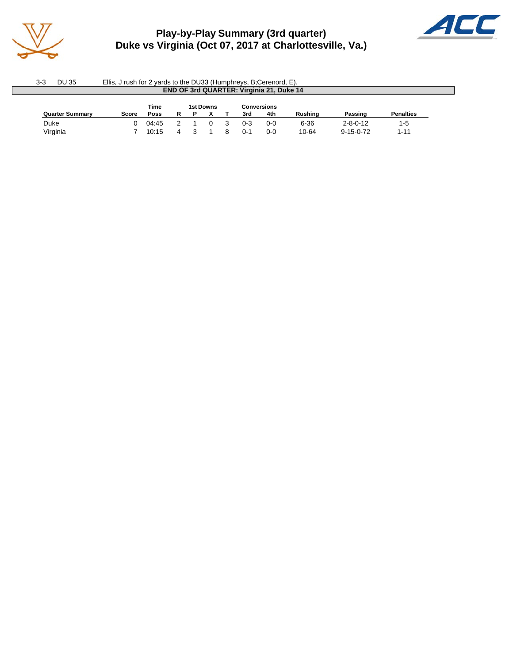

# **Play-by-Play Summary (3rd quarter) Duke vs Virginia (Oct 07, 2017 at Charlottesville, Va.)**



| 3-3                                     | DU 35<br>Ellis, J rush for 2 yards to the DU33 (Humphreys, B;Cerenord, E). |       |             |   |  |  |  |         |     |         |                   |                  |  |  |  |
|-----------------------------------------|----------------------------------------------------------------------------|-------|-------------|---|--|--|--|---------|-----|---------|-------------------|------------------|--|--|--|
|                                         | <b>END OF 3rd QUARTER: Virginia 21, Duke 14</b>                            |       |             |   |  |  |  |         |     |         |                   |                  |  |  |  |
| Time<br>1st Downs<br><b>Conversions</b> |                                                                            |       |             |   |  |  |  |         |     |         |                   |                  |  |  |  |
|                                         | <b>Quarter Summary</b>                                                     | Score | <b>Poss</b> | R |  |  |  | 3rd     | 4th | Rushina | Passing           | <b>Penalties</b> |  |  |  |
| Duke                                    |                                                                            |       | 04:45       |   |  |  |  | $0 - 3$ | 0-0 | 6-36    | $2 - 8 - 0 - 12$  | $1-5$            |  |  |  |
| Virginia                                |                                                                            |       | 10:15       | Δ |  |  |  | $0 - 1$ | 0-0 | 10-64   | $9 - 15 - 0 - 72$ | $1 - 11$         |  |  |  |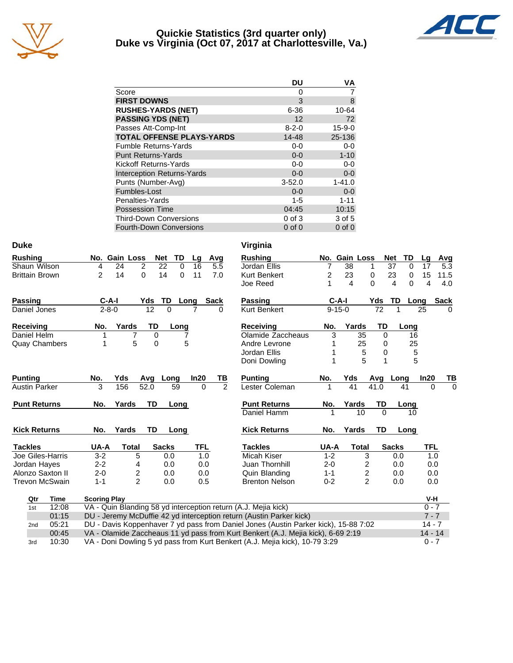

### **Quickie Statistics (3rd quarter only) Duke vs Virginia (Oct 07, 2017 at Charlottesville, Va.)**



|                                   | DU          | ٧A           |
|-----------------------------------|-------------|--------------|
| Score                             | O           |              |
| <b>FIRST DOWNS</b>                | 3           | 8            |
| <b>RUSHES-YARDS (NET)</b>         | $6 - 36$    | 10-64        |
| <b>PASSING YDS (NET)</b>          | 12          | 72           |
| Passes Att-Comp-Int               | $8 - 2 - 0$ | $15 - 9 - 0$ |
| <b>TOTAL OFFENSE PLAYS-YARDS</b>  | 14-48       | 25-136       |
| <b>Fumble Returns-Yards</b>       | $0-0$       | $0-0$        |
| <b>Punt Returns-Yards</b>         | $0 - 0$     | $1 - 10$     |
| Kickoff Returns-Yards             | $0-0$       | $0-0$        |
| <b>Interception Returns-Yards</b> | $0 - 0$     | $0 - 0$      |
| Punts (Number-Avg)                | $3 - 52.0$  | $1 - 41.0$   |
| Fumbles-Lost                      | $0 - 0$     | $0-0$        |
| Penalties-Yards                   | $1 - 5$     | $1 - 11$     |
| <b>Possession Time</b>            | 04:45       | 10:15        |
| <b>Third-Down Conversions</b>     | $0$ of $3$  | 3 of 5       |
| <b>Fourth-Down Conversions</b>    | $0$ of $0$  | $0$ of $0$   |

| <b>Duke</b>           |                                                                                                                                                                 |                            | Virginia              |              |                         |            |                      |            |             |
|-----------------------|-----------------------------------------------------------------------------------------------------------------------------------------------------------------|----------------------------|-----------------------|--------------|-------------------------|------------|----------------------|------------|-------------|
| <b>Rushing</b>        | No. Gain Loss<br><b>Net</b><br>TD                                                                                                                               | Avg<br>Lg                  | <b>Rushing</b>        |              | No. Gain Loss           | <b>Net</b> | TD                   | Lq         | Avg         |
| Shaun Wilson          | $\overline{2}$<br>22<br>24<br>4                                                                                                                                 | $\Omega$<br>16<br>5.5      | Jordan Ellis          | 7            | $\overline{38}$         | 1          | $\overline{37}$<br>0 | 17         | 5.3         |
| <b>Brittain Brown</b> | $\overline{2}$<br>0<br>14<br>14                                                                                                                                 | $\mathbf 0$<br>11<br>7.0   | <b>Kurt Benkert</b>   | 2            | 23                      | 0          | 23<br>0              | 15         | 11.5        |
|                       |                                                                                                                                                                 |                            | Joe Reed              | 1            | 4                       | $\Omega$   | 4<br>$\Omega$        | 4          | 4.0         |
| <b>Passing</b>        | $C-A-I$<br>Yds<br>TD                                                                                                                                            | <b>Sack</b><br>Long        | <b>Passing</b>        | $C-A-I$      |                         | Yds        | TD                   | Long       | <b>Sack</b> |
| Daniel Jones          | 12<br>$\Omega$<br>$2 - 8 - 0$                                                                                                                                   | 0                          | <b>Kurt Benkert</b>   | $9 - 15 - 0$ |                         | 72         | 1                    | 25         | $\Omega$    |
| <b>Receiving</b>      | TD<br>Yards<br>No.<br>Long                                                                                                                                      |                            | <b>Receiving</b>      | No.          | Yards                   | <b>TD</b>  | Long                 |            |             |
| Daniel Helm           | 7<br>0                                                                                                                                                          |                            | Olamide Zaccheaus     | 3            | 35                      | 0          | 16                   |            |             |
| <b>Quay Chambers</b>  | 5<br>0<br>1                                                                                                                                                     | 5                          | Andre Levrone         |              | 25                      | 0          | 25                   |            |             |
|                       |                                                                                                                                                                 |                            | Jordan Ellis          |              | 5                       | 0          | 5                    |            |             |
|                       |                                                                                                                                                                 |                            | Doni Dowling          |              | 5                       | 1          | 5                    |            |             |
| <b>Punting</b>        | Yds<br>No.<br>Avg<br>Long                                                                                                                                       | In20<br>TВ                 | <b>Punting</b>        | No.          | Yds                     | Avg        | Long                 | In20       | <u>ТВ</u>   |
| <b>Austin Parker</b>  | 3<br>156<br>52.0<br>59                                                                                                                                          | $\overline{2}$<br>$\Omega$ | Lester Coleman        | 1            | 41                      | 41.0       | 41                   | $\Omega$   | $\Omega$    |
|                       |                                                                                                                                                                 |                            |                       |              |                         |            |                      |            |             |
| <b>Punt Returns</b>   | <b>TD</b><br>Yards<br>No.<br>Long                                                                                                                               |                            | <b>Punt Returns</b>   | No.          | Yards                   | TD         | Long                 |            |             |
|                       |                                                                                                                                                                 |                            | Daniel Hamm           |              | 10                      | $\Omega$   | 10                   |            |             |
| <b>Kick Returns</b>   | Yards<br>TD<br>No.<br>Long                                                                                                                                      |                            | <b>Kick Returns</b>   | No.          | Yards                   | TD         | Long                 |            |             |
| <b>Tackles</b>        | UA-A<br><b>Total</b><br><b>Sacks</b>                                                                                                                            | <b>TFL</b>                 | <b>Tackles</b>        | UA-A         | <b>Total</b>            |            | <b>Sacks</b>         | <b>TFL</b> |             |
| Joe Giles-Harris      | $3 - 2$<br>5<br>0.0                                                                                                                                             | 1.0                        | Micah Kiser           | $1 - 2$      | 3                       |            | 0.0                  | 1.0        |             |
| Jordan Hayes          | $2 - 2$<br>0.0<br>4                                                                                                                                             | 0.0                        | Juan Thornhill        | $2 - 0$      | 2                       |            | 0.0                  | 0.0        |             |
| Alonzo Saxton II      | $\overline{\mathbf{c}}$<br>$2 - 0$<br>0.0                                                                                                                       | 0.0                        | Quin Blanding         | $1 - 1$      | $\overline{\mathbf{c}}$ |            | 0.0                  | 0.0        |             |
| <b>Trevon McSwain</b> | $\overline{2}$<br>$1 - 1$<br>0.0                                                                                                                                | 0.5                        | <b>Brenton Nelson</b> | $0 - 2$      | $\overline{2}$          |            | 0.0                  | 0.0        |             |
| Qtr<br><b>Time</b>    | <b>Scoring Play</b>                                                                                                                                             |                            |                       |              |                         |            |                      | V-H        |             |
| 12:08<br>1st          | VA - Quin Blanding 58 yd interception return (A.J. Mejia kick)                                                                                                  |                            |                       |              |                         |            |                      | $0 - 7$    |             |
| 01:15                 | DU - Jeremy McDuffie 42 yd interception return (Austin Parker kick)                                                                                             |                            |                       |              |                         |            |                      | $7 - 7$    |             |
| 05:21<br>2nd          | DU - Davis Koppenhaver 7 yd pass from Daniel Jones (Austin Parker kick), 15-88 7:02                                                                             |                            |                       |              |                         |            |                      | $14 - 7$   |             |
| 00:45                 | VA - Olamide Zaccheaus 11 yd pass from Kurt Benkert (A.J. Mejia kick), 6-69 2:19<br>VA - Doni Dowling 5 yd pass from Kurt Benkert (A.J. Mejia kick), 10-79 3:29 |                            |                       |              |                         |            |                      | $14 - 14$  |             |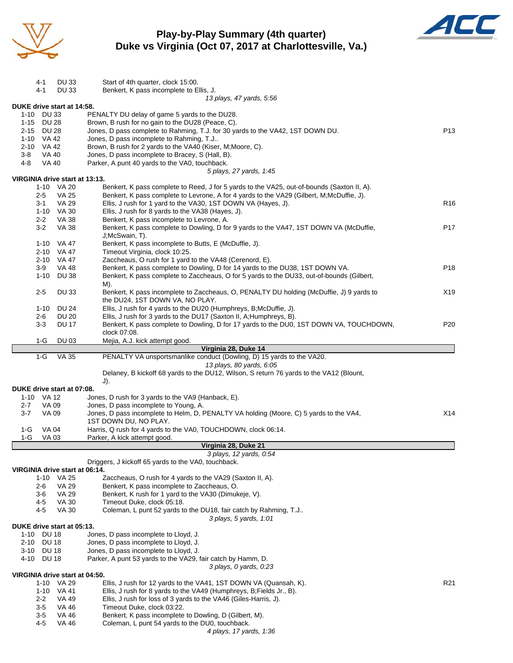

## **Play-by-Play Summary (4th quarter) Duke vs Virginia (Oct 07, 2017 at Charlottesville, Va.)**



|            | 4-1          | DU 33                          | Start of 4th quarter, clock 15:00.                                                                                         |                 |
|------------|--------------|--------------------------------|----------------------------------------------------------------------------------------------------------------------------|-----------------|
|            | 4-1          | <b>DU33</b>                    | Benkert, K pass incomplete to Ellis, J.                                                                                    |                 |
|            |              |                                | 13 plays, 47 yards, 5:56                                                                                                   |                 |
| 1-10 DU 33 |              | DUKE drive start at 14:58.     | PENALTY DU delay of game 5 yards to the DU28.                                                                              |                 |
| 1-15 DU 28 |              |                                | Brown, B rush for no gain to the DU28 (Peace, C).                                                                          |                 |
| 2-15 DU 28 |              |                                | Jones, D pass complete to Rahming, T.J. for 30 yards to the VA42, 1ST DOWN DU.                                             | P <sub>13</sub> |
| 1-10 VA 42 |              |                                | Jones, D pass incomplete to Rahming, T.J                                                                                   |                 |
| 2-10 VA 42 |              |                                | Brown, B rush for 2 yards to the VA40 (Kiser, M; Moore, C).                                                                |                 |
| $3-8$      | VA 40        |                                | Jones, D pass incomplete to Bracey, S (Hall, B).                                                                           |                 |
| 4-8        | <b>VA 40</b> |                                | Parker, A punt 40 yards to the VA0, touchback.                                                                             |                 |
|            |              |                                | 5 plays, 27 yards, 1:45                                                                                                    |                 |
|            |              | VIRGINIA drive start at 13:13. |                                                                                                                            |                 |
|            |              | 1-10 VA 20                     | Benkert, K pass complete to Reed, J for 5 yards to the VA25, out-of-bounds (Saxton II, A).                                 |                 |
|            | $2 - 5$      | <b>VA 25</b>                   | Benkert, K pass complete to Levrone, A for 4 yards to the VA29 (Gilbert, M;McDuffie, J).                                   |                 |
|            | $3 - 1$      | <b>VA 29</b>                   | Ellis, J rush for 1 yard to the VA30, 1ST DOWN VA (Hayes, J).                                                              | R <sub>16</sub> |
|            |              | 1-10 VA 30                     | Ellis, J rush for 8 yards to the VA38 (Hayes, J).                                                                          |                 |
|            | $2 - 2$      | VA 38                          | Benkert, K pass incomplete to Levrone, A.                                                                                  |                 |
|            | $3-2$        | <b>VA 38</b>                   | Benkert, K pass complete to Dowling, D for 9 yards to the VA47, 1ST DOWN VA (McDuffie,                                     | P <sub>17</sub> |
|            |              |                                | J;McSwain, T).                                                                                                             |                 |
|            |              | 1-10 VA 47                     | Benkert, K pass incomplete to Butts, E (McDuffie, J).                                                                      |                 |
|            |              | 2-10 VA 47                     | Timeout Virginia, clock 10:25.                                                                                             |                 |
|            | $2 - 10$     | VA 47                          | Zaccheaus, O rush for 1 yard to the VA48 (Cerenord, E).                                                                    |                 |
|            | $3-9$        | <b>VA 48</b>                   | Benkert, K pass complete to Dowling, D for 14 yards to the DU38, 1ST DOWN VA.                                              | P <sub>18</sub> |
|            | $1 - 10$     | <b>DU 38</b>                   | Benkert, K pass complete to Zaccheaus, O for 5 yards to the DU33, out-of-bounds (Gilbert,                                  |                 |
|            |              |                                | M).                                                                                                                        |                 |
|            | $2 - 5$      | <b>DU33</b>                    | Benkert, K pass incomplete to Zaccheaus, O, PENALTY DU holding (McDuffie, J) 9 yards to<br>the DU24, 1ST DOWN VA, NO PLAY. | X19             |
|            | 1-10         | <b>DU 24</b>                   | Ellis, J rush for 4 yards to the DU20 (Humphreys, B;McDuffie, J).                                                          |                 |
|            | 2-6          | <b>DU 20</b>                   | Ellis, J rush for 3 yards to the DU17 (Saxton II, A; Humphreys, B).                                                        |                 |
|            | $3-3$        | <b>DU 17</b>                   | Benkert, K pass complete to Dowling, D for 17 yards to the DU0, 1ST DOWN VA, TOUCHDOWN,                                    | P20             |
|            |              |                                | clock 07:08.                                                                                                               |                 |
|            | $1-G$        | DU 03                          | Mejia, A.J. kick attempt good.                                                                                             |                 |
|            |              |                                | Virginia 28, Duke 14                                                                                                       |                 |
|            | $1-G$        | <b>VA 35</b>                   | PENALTY VA unsportsmanlike conduct (Dowling, D) 15 yards to the VA20.                                                      |                 |
|            |              |                                | 13 plays, 80 yards, 6:05                                                                                                   |                 |
|            |              |                                | Delaney, B kickoff 68 yards to the DU12, Wilson, S return 76 yards to the VA12 (Blount,                                    |                 |
|            |              |                                | J).                                                                                                                        |                 |
|            |              | DUKE drive start at 07:08.     |                                                                                                                            |                 |
| 1-10 VA 12 |              |                                | Jones, D rush for 3 yards to the VA9 (Hanback, E).                                                                         |                 |
| $2 - 7$    | VA 09        |                                | Jones, D pass incomplete to Young, A.                                                                                      |                 |
| $3 - 7$    | VA 09        |                                | Jones, D pass incomplete to Helm, D, PENALTY VA holding (Moore, C) 5 yards to the VA4,                                     | X14             |
|            |              |                                | 1ST DOWN DU, NO PLAY.                                                                                                      |                 |
| 1-G        | <b>VA 04</b> |                                | Harris, Q rush for 4 yards to the VA0, TOUCHDOWN, clock 06:14.                                                             |                 |
| $1-G$      | VA 03        |                                | Parker, A kick attempt good.                                                                                               |                 |
|            |              |                                | Virginia 28, Duke 21<br>3 plays, 12 yards, 0:54                                                                            |                 |
|            |              |                                | Driggers, J kickoff 65 yards to the VA0, touchback.                                                                        |                 |
|            |              | VIRGINIA drive start at 06:14. |                                                                                                                            |                 |
|            | 1-10         | VA 25                          | Zaccheaus, O rush for 4 yards to the VA29 (Saxton II, A).                                                                  |                 |
|            | 2-6          | <b>VA 29</b>                   | Benkert, K pass incomplete to Zaccheaus, O.                                                                                |                 |
|            | 3-6          | <b>VA 29</b>                   | Benkert, K rush for 1 yard to the VA30 (Dimukeje, V).                                                                      |                 |
|            | 45           | <b>VA 30</b>                   | Timeout Duke, clock 05:18.                                                                                                 |                 |
|            | 4-5          | <b>VA 30</b>                   | Coleman, L punt 52 yards to the DU18, fair catch by Rahming, T.J                                                           |                 |
|            |              |                                | 3 plays, 5 yards, 1:01                                                                                                     |                 |
|            |              | DUKE drive start at 05:13.     |                                                                                                                            |                 |
| $1 - 10$   | <b>DU 18</b> |                                | Jones, D pass incomplete to Lloyd, J.                                                                                      |                 |
| 2-10       | <b>DU 18</b> |                                | Jones, D pass incomplete to Lloyd, J.                                                                                      |                 |
| 3-10 DU 18 |              |                                | Jones, D pass incomplete to Lloyd, J.                                                                                      |                 |
| 4-10       | <b>DU 18</b> |                                | Parker, A punt 53 yards to the VA29, fair catch by Hamm, D.                                                                |                 |
|            |              |                                | 3 plays, 0 yards, 0:23                                                                                                     |                 |
|            |              | VIRGINIA drive start at 04:50. |                                                                                                                            |                 |
|            |              | 1-10 VA 29                     | Ellis, J rush for 12 yards to the VA41, 1ST DOWN VA (Quansah, K).                                                          | R <sub>21</sub> |
|            | $1 - 10$     | VA 41                          | Ellis, J rush for 8 yards to the VA49 (Humphreys, B; Fields Jr., B).                                                       |                 |
|            | $2 - 2$      | <b>VA 49</b>                   | Ellis, J rush for loss of 3 yards to the VA46 (Giles-Harris, J).                                                           |                 |
|            | 3-5          | VA 46                          | Timeout Duke, clock 03:22.                                                                                                 |                 |
|            | $3-5$<br>4-5 | <b>VA 46</b><br>VA 46          | Benkert, K pass incomplete to Dowling, D (Gilbert, M).<br>Coleman, L punt 54 yards to the DU0, touchback.                  |                 |
|            |              |                                |                                                                                                                            |                 |

*4 plays, 17 yards, 1:36*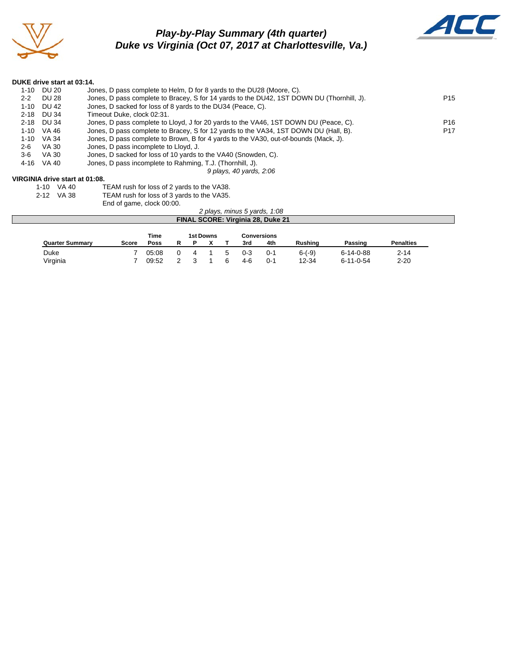

# *Play-by-Play Summary (4th quarter) Duke vs Virginia (Oct 07, 2017 at Charlottesville, Va.)*



#### **DUKE drive start at 03:14.**

| $1 - 10$ | DU 20 | Jones, D pass complete to Helm, D for 8 yards to the DU28 (Moore, C).                     |                 |
|----------|-------|-------------------------------------------------------------------------------------------|-----------------|
| $2 - 2$  | DU 28 | Jones, D pass complete to Bracey, S for 14 yards to the DU42, 1ST DOWN DU (Thornhill, J). | P <sub>15</sub> |
| $1 - 10$ | DU 42 | Jones, D sacked for loss of 8 yards to the DU34 (Peace, C).                               |                 |
| $2 - 18$ | DU 34 | Timeout Duke, clock 02:31.                                                                |                 |
| $2 - 18$ | DU 34 | Jones, D pass complete to Lloyd, J for 20 yards to the VA46, 1ST DOWN DU (Peace, C).      | P <sub>16</sub> |
| $1 - 10$ | VA 46 | Jones, D pass complete to Bracey, S for 12 yards to the VA34, 1ST DOWN DU (Hall, B).      | P <sub>17</sub> |
| $1 - 10$ | VA 34 | Jones, D pass complete to Brown, B for 4 yards to the VA30, out-of-bounds (Mack, J).      |                 |
| $2 - 6$  | VA 30 | Jones, D pass incomplete to Lloyd, J.                                                     |                 |
| 3-6      | VA 30 | Jones, D sacked for loss of 10 yards to the VA40 (Snowden, C).                            |                 |
| 4-16     | VA 40 | Jones, D pass incomplete to Rahming, T.J. (Thornhill, J).                                 |                 |
|          |       | 9 plays, 40 yards, 2:06                                                                   |                 |
|          |       | VIRGINIA drive start at 01:08.                                                            |                 |

1-10 VA 40 TEAM rush for loss of 2 yards to the VA38.<br>2-12 VA 38 TEAM rush for loss of 3 yards to the VA35.

| ____ | ------    | . <u>_</u> .  . <i></i> . . <i> </i> _ <i>,</i> |  |
|------|-----------|-------------------------------------------------|--|
|      | -12 VA 38 | TEAM rush for loss of 3 y                       |  |

vards to the VA35. End of game, clock 00:00.

|                                          |                                                |              |       |  |  |  |  |         | 2 plays, minus 5 yards, 1:08 |                |                   |                  |  |
|------------------------------------------|------------------------------------------------|--------------|-------|--|--|--|--|---------|------------------------------|----------------|-------------------|------------------|--|
| <b>FINAL SCORE: Virginia 28, Duke 21</b> |                                                |              |       |  |  |  |  |         |                              |                |                   |                  |  |
|                                          |                                                |              |       |  |  |  |  |         |                              |                |                   |                  |  |
|                                          | <b>1st Downs</b><br>Time<br><b>Conversions</b> |              |       |  |  |  |  |         |                              |                |                   |                  |  |
|                                          | <b>Quarter Summary</b>                         | <b>Score</b> | Poss  |  |  |  |  | 3rd     | 4th                          | <b>Rushing</b> | Passing           | <b>Penalties</b> |  |
|                                          | Duke                                           |              | 05:08 |  |  |  |  | $0 - 3$ | $0 - 1$                      | $6-(-9)$       | $6 - 14 - 0 - 88$ | $2 - 14$         |  |

Virginia 7 09:52 2 3 1 6 4-6 0-1 12-34 6-11-0-54 2-20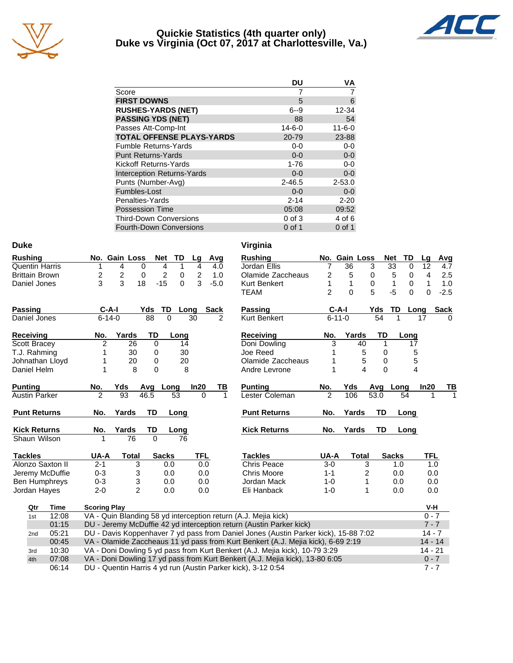

### **Quickie Statistics (4th quarter only) Duke vs Virginia (Oct 07, 2017 at Charlottesville, Va.)**



|                                   | DU           | ٧A           |
|-----------------------------------|--------------|--------------|
| Score                             |              |              |
| <b>FIRST DOWNS</b>                | 5            | 6            |
| <b>RUSHES-YARDS (NET)</b>         | $6 - 9$      | 12-34        |
| <b>PASSING YDS (NET)</b>          | 88           | 54           |
| Passes Att-Comp-Int               | $14 - 6 - 0$ | $11 - 6 - 0$ |
| <b>TOTAL OFFENSE PLAYS-YARDS</b>  | 20-79        | 23-88        |
| <b>Fumble Returns-Yards</b>       | $0 - 0$      | $0-0$        |
| <b>Punt Returns-Yards</b>         | $0 - 0$      | $0-0$        |
| Kickoff Returns-Yards             | $1 - 76$     | $0-0$        |
| <b>Interception Returns-Yards</b> | $0 - 0$      | $0 - 0$      |
| Punts (Number-Avg)                | $2 - 46.5$   | $2 - 53.0$   |
| Fumbles-Lost                      | $0 - 0$      | $0 - 0$      |
| Penalties-Yards                   | $2 - 14$     | $2 - 20$     |
| <b>Possession Time</b>            | 05:08        | 09:52        |
| <b>Third-Down Conversions</b>     | $0$ of $3$   | 4 of 6       |
| Fourth-Down Conversions           | $0$ of 1     | $0$ of 1     |

| <b>Duke</b>           |       |                     |                |           |              |                |               | Virginia                                                                            |                |               |           |              |      |            |             |
|-----------------------|-------|---------------------|----------------|-----------|--------------|----------------|---------------|-------------------------------------------------------------------------------------|----------------|---------------|-----------|--------------|------|------------|-------------|
| <b>Rushing</b>        |       |                     | No. Gain Loss  | Net       | TD           | Lg             | Avg           | <b>Rushing</b>                                                                      |                | No. Gain Loss |           | <b>Net</b>   | TD   | Lg         | Avg         |
| <b>Quentin Harris</b> |       |                     | 4              | 0         | 4<br>1       | $\overline{4}$ | 4.0           | Jordan Ellis                                                                        | 7              | 36            | 3         | 33           | 0    | 12         | 4.7         |
| <b>Brittain Brown</b> |       | 2                   | 2              | 0         | 2<br>0       | 2              | 1.0           | Olamide Zaccheaus                                                                   | 2              | 5             | 0         | 5            | 0    | 4          | 2.5         |
| Daniel Jones          |       | 3                   | 3              | 18        | $-15$<br>0   | 3              | $-5.0$        | Kurt Benkert                                                                        | 1              | 1             | 0         | 1            | 0    | 1          | 1.0         |
|                       |       |                     |                |           |              |                |               | <b>TEAM</b>                                                                         | $\overline{2}$ | $\Omega$      | 5         | $-5$         | 0    | $\Omega$   | $-2.5$      |
| <b>Passing</b>        |       | $C-A-I$             |                | Yds       | <b>TD</b>    | Long           | <b>Sack</b>   | <b>Passing</b>                                                                      |                | $C-A-I$       | Yds       | TD           | Long |            | <b>Sack</b> |
| Daniel Jones          |       | $6 - 14 - 0$        |                | 88        | $\Omega$     | 30             | $\mathcal{P}$ | Kurt Benkert                                                                        |                | $6 - 11 - 0$  | 54        | 1            | 17   |            |             |
| Receiving             |       | No.                 | Yards          | TD        | Long         |                |               | <b>Receiving</b>                                                                    | No.            | Yards         | TD        |              | Long |            |             |
| Scott Bracey          |       | $\overline{2}$      | 26             | 0         | 14           |                |               | Doni Dowling                                                                        | 3              | 40            |           | 1            | 17   |            |             |
| T.J. Rahming          |       | 1                   | 30             | 0         | 30           |                |               | Joe Reed                                                                            |                |               | 5         | 0            | 5    |            |             |
| Johnathan Lloyd       |       | 1                   | 20             | 0         | 20           |                |               | Olamide Zaccheaus                                                                   |                |               | 5         | 0            | 5    |            |             |
| Daniel Helm           |       | 1                   | 8              | $\Omega$  | 8            |                |               | Andre Levrone                                                                       | 1              |               | 4         | $\Omega$     | 4    |            |             |
| <b>Punting</b>        |       | No.                 | Yds            | Avg       | Long         | In20           | ТВ            | <b>Punting</b>                                                                      | No.            | Yds           | Avg       | Long         |      | In20       | ΤВ          |
| <b>Austin Parker</b>  |       | $\overline{2}$      | 93             | 46.5      | 53           | 0              | 1             | Lester Coleman                                                                      | $\overline{2}$ | 106           | 53.0      |              | 54   |            |             |
| <b>Punt Returns</b>   |       | No.                 | Yards          | <b>TD</b> | Long         |                |               | <b>Punt Returns</b>                                                                 | No.            | Yards         | <b>TD</b> |              | Long |            |             |
| <b>Kick Returns</b>   |       | No.                 | Yards          | TD        | Long         |                |               | <b>Kick Returns</b>                                                                 | No.            | Yards         | TD        |              | Long |            |             |
| Shaun Wilson          |       |                     | 76             | $\Omega$  | 76           |                |               |                                                                                     |                |               |           |              |      |            |             |
| <b>Tackles</b>        |       | UA-A                | <b>Total</b>   |           | <b>Sacks</b> | <b>TFL</b>     |               | <b>Tackles</b>                                                                      | UA-A           | <b>Total</b>  |           | <b>Sacks</b> |      | <b>TFL</b> |             |
| Alonzo Saxton II      |       | $2 - 1$             | 3              |           | 0.0          | 0.0            |               | <b>Chris Peace</b>                                                                  | $3-0$          |               | 3         | 1.0          |      | 1.0        |             |
| Jeremy McDuffie       |       | $0 - 3$             | 3              |           | 0.0          | 0.0            |               | <b>Chris Moore</b>                                                                  | $1 - 1$        |               | 2         | 0.0          |      | 0.0        |             |
| <b>Ben Humphreys</b>  |       | $0 - 3$             | 3              |           | 0.0          | 0.0            |               | Jordan Mack                                                                         | $1 - 0$        |               | 1         | 0.0          |      | 0.0        |             |
| Jordan Hayes          |       | $2 - 0$             | $\overline{2}$ |           | 0.0          | 0.0            |               | Eli Hanback                                                                         | $1 - 0$        |               | 1         | 0.0          |      | 0.0        |             |
| Qtr                   | Time  | <b>Scoring Play</b> |                |           |              |                |               |                                                                                     |                |               |           |              |      | V-H        |             |
| 1st                   | 12:08 |                     |                |           |              |                |               | VA - Quin Blanding 58 yd interception return (A.J. Mejia kick)                      |                |               |           |              |      | $0 - 7$    |             |
|                       | 01:15 |                     |                |           |              |                |               | DU - Jeremy McDuffie 42 yd interception return (Austin Parker kick)                 |                |               |           |              |      | $7 - 7$    |             |
| 2nd                   | 05:21 |                     |                |           |              |                |               | DU - Davis Koppenhaver 7 yd pass from Daniel Jones (Austin Parker kick), 15-88 7:02 |                |               |           |              |      | $14 - 7$   |             |
|                       | 00:45 |                     |                |           |              |                |               | VA - Olamide Zaccheaus 11 yd pass from Kurt Benkert (A.J. Mejia kick), 6-69 2:19    |                |               |           |              |      | $14 - 14$  |             |
| 3rd                   | 10:30 |                     |                |           |              |                |               | VA - Doni Dowling 5 yd pass from Kurt Benkert (A.J. Mejia kick), 10-79 3:29         |                |               |           |              |      | $14 - 21$  |             |
| 4th                   | 07:08 |                     |                |           |              |                |               | VA - Doni Dowling 17 yd pass from Kurt Benkert (A.J. Mejia kick), 13-80 6:05        |                |               |           |              |      | $0 - 7$    |             |
|                       | 06:14 |                     |                |           |              |                |               | DU - Quentin Harris 4 yd run (Austin Parker kick), 3-12 0:54                        |                |               |           |              |      | $7 - 7$    |             |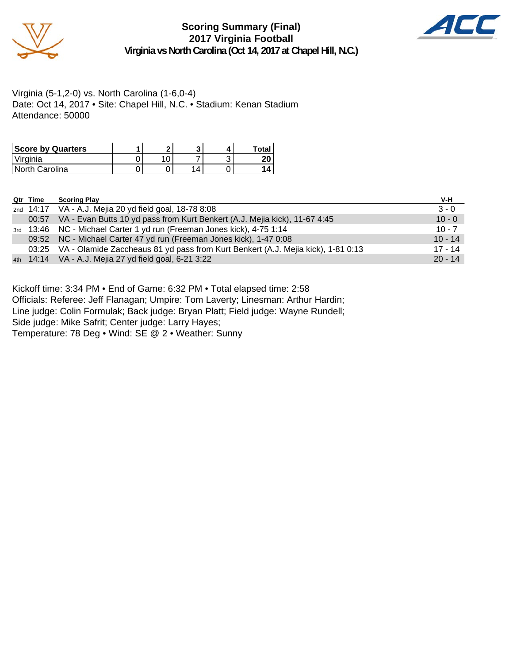

### **Scoring Summary (Final) 2017 Virginia Football Virginia vs North Carolina (Oct 14, 2017 at Chapel Hill, N.C.)**



Virginia (5-1,2-0) vs. North Carolina (1-6,0-4) Date: Oct 14, 2017 • Site: Chapel Hill, N.C. • Stadium: Kenan Stadium Attendance: 50000

| <b>Score by Quarters</b> |  |  | Total    |
|--------------------------|--|--|----------|
| 'Virginia                |  |  | חר<br>ΖU |
| North Carolina           |  |  |          |

| Qtr Time | <b>Scoring Play</b> |
|----------|---------------------|
|          |                     |

| Qtr Time | <b>Scoring Play</b>                                                                    | V-H       |
|----------|----------------------------------------------------------------------------------------|-----------|
|          | 2nd 14:17 VA - A.J. Mejia 20 yd field goal, 18-78 8:08                                 | $3 - 0$   |
| 00:57    | VA - Evan Butts 10 yd pass from Kurt Benkert (A.J. Mejia kick), 11-67 4:45             | $10 - 0$  |
|          | 3rd 13:46 NC - Michael Carter 1 yd run (Freeman Jones kick), 4-75 1:14                 | $10 - 7$  |
|          | 09:52 NC - Michael Carter 47 yd run (Freeman Jones kick), 1-47 0:08                    | $10 - 14$ |
|          | 03:25 VA - Olamide Zaccheaus 81 yd pass from Kurt Benkert (A.J. Mejia kick), 1-81 0:13 | $17 - 14$ |
|          | 4th 14:14 VA - A.J. Mejia 27 yd field goal, 6-21 3:22                                  | $20 - 14$ |

Kickoff time: 3:34 PM • End of Game: 6:32 PM • Total elapsed time: 2:58

Officials: Referee: Jeff Flanagan; Umpire: Tom Laverty; Linesman: Arthur Hardin;

Line judge: Colin Formulak; Back judge: Bryan Platt; Field judge: Wayne Rundell;

Side judge: Mike Safrit; Center judge: Larry Hayes;

Temperature: 78 Deg • Wind: SE @ 2 • Weather: Sunny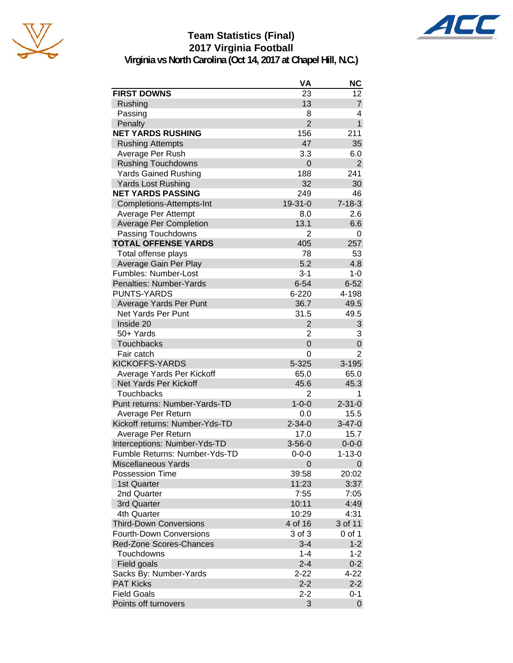





**Virginia vs North Carolina (Oct 14, 2017 at Chapel Hill, N.C.)**

|                                | VA             | <b>NC</b>      |
|--------------------------------|----------------|----------------|
| <b>FIRST DOWNS</b>             | 23             | 12             |
| Rushing                        | 13             | $\overline{7}$ |
| Passing                        | 8              | 4              |
| Penalty                        | $\overline{2}$ | $\mathbf{1}$   |
| <b>NET YARDS RUSHING</b>       | 156            | 211            |
| <b>Rushing Attempts</b>        | 47             | 35             |
| Average Per Rush               | 3.3            | 6.0            |
| <b>Rushing Touchdowns</b>      | 0              | $\overline{2}$ |
| <b>Yards Gained Rushing</b>    | 188            | 241            |
| <b>Yards Lost Rushing</b>      | 32             | 30             |
| <b>NET YARDS PASSING</b>       | 249            | 46             |
| Completions-Attempts-Int       | 19-31-0        | $7 - 18 - 3$   |
| Average Per Attempt            | 8.0            | 2.6            |
| <b>Average Per Completion</b>  | 13.1           | 6.6            |
| Passing Touchdowns             | $\overline{2}$ | 0              |
| <b>TOTAL OFFENSE YARDS</b>     | 405            | 257            |
| Total offense plays            | 78             | 53             |
| Average Gain Per Play          | 5.2            | 4.8            |
| Fumbles: Number-Lost           | $3 - 1$        | $1 - 0$        |
| Penalties: Number-Yards        | $6 - 54$       | $6 - 52$       |
| <b>PUNTS-YARDS</b>             | $6 - 220$      | 4-198          |
| Average Yards Per Punt         | 36.7           | 49.5           |
| <b>Net Yards Per Punt</b>      | 31.5           | 49.5           |
| Inside 20                      | $\overline{2}$ | 3              |
| 50+ Yards                      | 2              | 3              |
| <b>Touchbacks</b>              | 0              | 0              |
| Fair catch                     | 0              | 2              |
| <b>KICKOFFS-YARDS</b>          | 5-325          | $3 - 195$      |
| Average Yards Per Kickoff      | 65.0           | 65.0           |
| Net Yards Per Kickoff          | 45.6           | 45.3           |
| <b>Touchbacks</b>              | $\overline{2}$ | 1              |
| Punt returns: Number-Yards-TD  | $1 - 0 - 0$    | $2 - 31 - 0$   |
| Average Per Return             | 0.0            | 15.5           |
| Kickoff returns: Number-Yds-TD | $2 - 34 - 0$   | $3 - 47 - 0$   |
| Average Per Return             | 17.0           | 15.7           |
| Interceptions: Number-Yds-TD   | $3 - 56 - 0$   | $0 - 0 - 0$    |
| Fumble Returns: Number-Yds-TD  | 0-0-0          | $1 - 13 - 0$   |
| Miscellaneous Yards            | 0              | 0              |
| <b>Possession Time</b>         | 39:58          | 20:02          |
| 1st Quarter                    | 11:23          | 3:37           |
| 2nd Quarter                    | 7:55           | 7:05           |
| 3rd Quarter                    | 10:11          | 4:49           |
| 4th Quarter                    | 10:29          | 4:31           |
| <b>Third-Down Conversions</b>  | 4 of 16        | 3 of 11        |
| <b>Fourth-Down Conversions</b> | 3 of 3         | 0 of 1         |
| Red-Zone Scores-Chances        | $3 - 4$        | $1 - 2$        |
| Touchdowns                     | $1 - 4$        | $1 - 2$        |
| Field goals                    | $2 - 4$        | $0 - 2$        |
| Sacks By: Number-Yards         | $2 - 22$       | 4-22           |
| <b>PAT Kicks</b>               | $2 - 2$        | $2 - 2$        |
| <b>Field Goals</b>             | $2 - 2$        | $0 - 1$        |
| Points off turnovers           | 3              | 0              |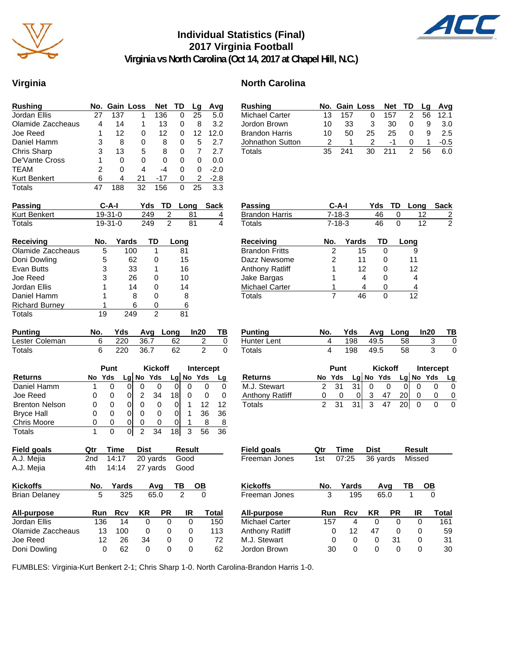

# **Individual Statistics (Final) 2017 Virginia Football**



**Virginia vs North Carolina (Oct 14, 2017 at Chapel Hill, N.C.)**

# **Virginia North Carolina**

| <b>Rushing</b>                    | No.        | <b>Gain Loss</b> |                     |                | <b>Net</b>           |                         | TD            | Lg             | Avg                        |
|-----------------------------------|------------|------------------|---------------------|----------------|----------------------|-------------------------|---------------|----------------|----------------------------|
| Jordan Ellis                      | 27         | 137              |                     | 1              | 136                  |                         | 0             | 25             | 5.0                        |
| Olamide Zaccheaus                 | 4          | 14               |                     | 1              |                      | 13                      | 0             | 8              | 3.2                        |
| Joe Reed                          | 1          | 12               |                     | 0              |                      | 12                      | 0             | 12             | 12.0                       |
| Daniel Hamm                       | 3          | 8                |                     | 0              |                      | 8                       | 0             | 5              | 2.7                        |
| Chris Sharp                       | 3          | 13               |                     | 5              |                      | 8                       | 0             | 7              | 2.7                        |
| De'Vante Cross                    | 1          | 0                |                     | 0              |                      | 0                       | 0             | 0              | 0.0                        |
| <b>TEAM</b>                       | 2          | 0                |                     | 4              |                      | $-4$                    | 0             | 0              | $-2.0$                     |
| Kurt Benkert                      | 6          | 4                |                     | 21             | $-17$                |                         | 0             | 2              | $-2.8$                     |
| Totals                            | 47         | 188              |                     | 32             | 156                  |                         | 0             | 25             | 3.3                        |
| Passing                           |            | C-A-I            |                     | Yds            |                      | TD                      | Long          |                | <b>Sack</b>                |
| Kurt Benkert                      |            | 19-31-0          |                     | 249            |                      | $\overline{\mathbf{c}}$ |               | 81             | $\overline{4}$             |
| Totals                            |            | 19-31-0          |                     | 249            |                      | $\overline{2}$          |               | 81             | 4                          |
| Receiving                         | No.        |                  | Yards               |                | TD                   |                         | Long          |                |                            |
| Olamide Zaccheaus                 | 5          |                  | 100                 |                | 1                    |                         | 81            |                |                            |
| Doni Dowling                      | 5          |                  | 62                  |                | 0                    |                         | 15            |                |                            |
| Evan Butts                        | 3          |                  | 33                  |                | 1                    |                         | 16            |                |                            |
| Joe Reed                          | 3          |                  | 26                  |                | 0                    |                         | 10            |                |                            |
| Jordan Ellis                      | 1          |                  | 14                  |                | 0                    |                         | 14            |                |                            |
| Daniel Hamm                       | 1          |                  |                     | 8              | 0                    |                         | 8             |                |                            |
| <b>Richard Burney</b>             | 1          |                  |                     | 6              | 0                    |                         | 6             |                |                            |
| Totals                            | 19         |                  | 249                 |                | 2                    |                         | 81            |                |                            |
|                                   |            |                  |                     |                |                      |                         |               |                |                            |
|                                   |            |                  |                     |                |                      |                         |               |                |                            |
| <b>Punting</b>                    | No.        | Yds              |                     | Avg            |                      | Long                    |               | In20           | ΤВ                         |
| Lester Coleman                    | 6          | 220              |                     | 36.7           |                      |                         | 62            |                | $\overline{2}$<br>0        |
| Totals                            | 6          | 220              |                     | 36.7           |                      |                         | 62            |                | $\overline{2}$<br>$\Omega$ |
|                                   |            | Punt             |                     |                | <b>Kickoff</b>       |                         |               |                |                            |
| <b>Returns</b>                    | No         | Yds              |                     |                | Yds                  |                         | $Lg$ No       | Yds            | Intercept                  |
| Daniel Hamm                       | 1          | 0                | Lg No<br>0          | 0              | 0                    |                         | 0             | 0              | Lg<br>0<br>0               |
| Joe Reed                          | 0          | 0                | 01                  |                |                      | 18                      |               | 0              | 0<br>0                     |
|                                   | 0          | 0                | 0                   | 2<br>0         | 34<br>0              |                         | 0             | 1              | 12<br>12                   |
| <b>Brenton Nelson</b>             | 0          | 0                | 0                   | 0              | 0                    |                         | 0             | 1              |                            |
| <b>Bryce Hall</b>                 |            | 0                |                     | 0              | 0                    |                         | 0             | 1              | 36<br>36<br>8              |
| Chris Moore<br>Totals             | 0<br>1     | 0                | 0<br>$\overline{0}$ | $\overline{2}$ | 34                   | 18                      |               | $\overline{3}$ | 8<br>56<br>36              |
|                                   | Qtr        | Time             |                     | <b>Dist</b>    |                      |                         | <b>Result</b> |                |                            |
| <b>Field goals</b>                |            |                  |                     |                |                      |                         | Good          |                |                            |
| A.J. Mejia<br>A.J. Mejia          | 2nd<br>4th | 14:17<br>14:14   |                     |                | 20 yards<br>27 yards |                         | Good          |                |                            |
| <b>Kickoffs</b>                   | No.        |                  |                     |                | Avq                  |                         | ΤВ            | OВ             |                            |
| <b>Brian Delaney</b>              | 5          | Yards            | 325                 |                | 65.0                 |                         | 2             |                | 0                          |
|                                   |            |                  |                     |                |                      |                         |               |                |                            |
| <b>All-purpose</b>                | Run        | <b>Rcv</b>       |                     | <b>KR</b>      |                      | PR                      |               | IR             | <b>Total</b>               |
| Jordan Ellis<br>Olamide Zaccheaus | 136<br>13  | 100              | 14                  | 0<br>0         |                      | 0<br>0                  |               | 0<br>0         | 150<br>113                 |

Doni Dowling 0 62 0 0 0 62

| <b>Rushing</b>         | No.            |              | <b>Gain Loss</b>                |                | <b>Net</b> | TD             | Lg              | Avg              |
|------------------------|----------------|--------------|---------------------------------|----------------|------------|----------------|-----------------|------------------|
| <b>Michael Carter</b>  | 13             | 157          | 0                               |                | 157        | 2              | 56              | 12.1             |
| Jordon Brown           | 10             | 33           | 3                               |                | 30         | 0              | 9               | 3.0              |
| <b>Brandon Harris</b>  | 10             | 50           | 25                              |                | 25         | 0              | 9               | 2.5              |
| Johnathon Sutton       | 2              | 1            | 2                               |                | -1         | 0              | 1               | $-0.5$           |
| Totals                 | 35             | 241          | 30                              | 211            |            | $\overline{2}$ | 56              | 6.0              |
|                        |                |              |                                 |                |            |                |                 |                  |
| Passing                |                | C-A-I        |                                 | Yds            | TD         | Long           |                 | <b>Sack</b>      |
| <b>Brandon Harris</b>  |                | 7-18-3       |                                 | 46             | 0          |                | 12              | $\frac{2}{2}$    |
| Totals                 |                | $7 - 18 - 3$ |                                 | 46             | 0          |                | $\overline{12}$ |                  |
| <b>Receiving</b>       | No.            |              | Yards                           | TD             |            | Long           |                 |                  |
| <b>Brandon Fritts</b>  |                | 2            | 15                              | 0              |            | 9              |                 |                  |
| Dazz Newsome           | $\overline{c}$ |              | 11                              | 0              |            | 11             |                 |                  |
| <b>Anthony Ratliff</b> | 1              |              | 12                              | 0              |            | 12             |                 |                  |
| Jake Bargas            | 1              |              | 4                               | 0              |            | 4              |                 |                  |
| <b>Michael Carter</b>  | 1              |              | 4                               | 0              |            | 4              |                 |                  |
| <b>Totals</b>          | $\overline{7}$ |              | 46                              | 0              |            | 12             |                 |                  |
|                        |                |              |                                 |                |            |                |                 |                  |
| <b>Punting</b>         | No.            | Yds          |                                 | Avg            | Long       |                | In20            | ΤВ               |
| Hunter Lent            | 4              | 198          |                                 | 49.5           | 58         |                | 3               | 0                |
| <b>Totals</b>          | 4              | 198          |                                 | 49.5           | 58         |                | 3               | 0                |
|                        |                | Punt         |                                 | <b>Kickoff</b> |            |                |                 | <b>Intercept</b> |
| <b>Returns</b>         | No Yds         |              | Lg No Yds                       |                |            | Lg No          | Yds             | Lg               |
| M.J. Stewart           | 2              | 31           | 31<br>0                         | 0              | 0          | 0              |                 | 0<br>0           |
| <b>Anthony Ratliff</b> | 0              | 0            | 3<br>0                          | 47             | 20         | 0              |                 | 0<br>0           |
| <b>Totals</b>          | $\mathfrak{p}$ | 31           | $\overline{\overline{3}}$<br>31 | 47             | 20         | 0              |                 | 0<br>0           |
|                        |                |              |                                 |                |            |                |                 |                  |
| <b>Field goals</b>     | Qtr            | Time         | Dist                            |                |            | <b>Result</b>  |                 |                  |
| Freeman Jones          | 1st            | 07:25        |                                 | 36 yards       |            | Missed         |                 |                  |
|                        |                |              |                                 |                |            |                |                 |                  |
| <b>Kickoffs</b>        | No.            | Yards        |                                 | Avq            |            | ΤВ             |                 |                  |
| Freeman Jones          |                |              | 195                             | 65.0           |            |                |                 |                  |
| All-purpose            | Run            | Rcv          | <b>KR</b>                       |                | <b>PR</b>  | IR             |                 | <b>Total</b>     |
| <b>Michael Carter</b>  | 157            |              | 4                               | 0              | 0          | 0              |                 | 161              |
| Anthony Ratliff        | 0              | 12           | 47                              |                | 0          | 0              |                 | 59               |
| M.J. Stewart           | 0              |              | 0                               | 0              | 31         | 0              |                 | 31               |
| Jordon Brown           | 30             |              | 0                               | 0              | 0          | 0              |                 | 30               |

FUMBLES: Virginia-Kurt Benkert 2-1; Chris Sharp 1-0. North Carolina-Brandon Harris 1-0.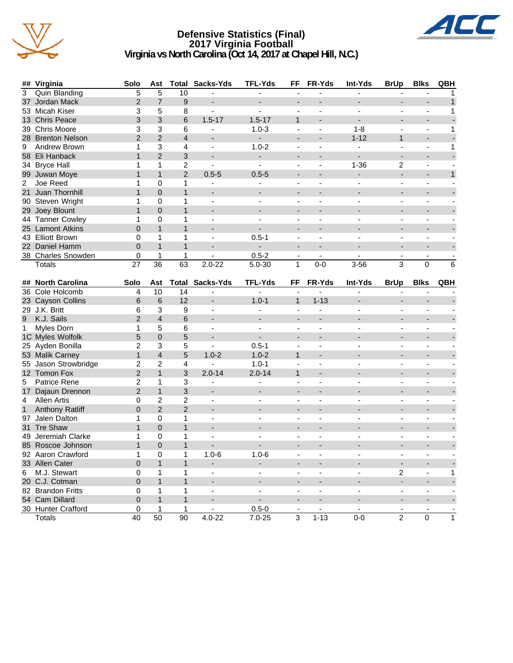

#### **Defensive Statistics (Final) 2017 Virginia Football Virginia vs North Carolina (Oct 14, 2017 at Chapel Hill, N.C.)**



|                | ## Virginia                          | Solo           | Ast                     |                | <b>Total Sacks-Yds</b>   | <b>TFL-Yds</b>           | FF                       | FR-Yds                   | Int-Yds                      | <b>BrUp</b>                  | <b>Blks</b>                  | QBH          |
|----------------|--------------------------------------|----------------|-------------------------|----------------|--------------------------|--------------------------|--------------------------|--------------------------|------------------------------|------------------------------|------------------------------|--------------|
| 3              | <b>Quin Blanding</b>                 | $\overline{5}$ | 5                       | 10             |                          |                          | ÷,                       | L,                       | ä,                           | ä,                           | ÷,                           | 1            |
| 37             | Jordan Mack                          | $\overline{c}$ | $\overline{7}$          | 9              | ÷                        |                          | $\overline{a}$           |                          | $\overline{\phantom{a}}$     |                              |                              | $\mathbf{1}$ |
|                | 53 Micah Kiser                       | 3              | 5                       | 8              | $\blacksquare$           |                          |                          |                          |                              |                              | $\blacksquare$               | 1            |
|                | 13 Chris Peace                       | 3              | 3                       | 6              | $1.5 - 17$               | $1.5 - 17$               | $\mathbf{1}$             | $\blacksquare$           | $\overline{a}$               | $\overline{\phantom{0}}$     | $\overline{\phantom{a}}$     |              |
|                | 39 Chris Moore                       | 3              | 3                       | 6              | ÷                        | $1.0 - 3$                | $\overline{\phantom{a}}$ | $\overline{\phantom{a}}$ | $1 - 8$                      |                              | ä,                           | 1            |
|                | 28 Brenton Nelson                    | $\overline{2}$ | 2                       | $\overline{4}$ | $\overline{\phantom{a}}$ | $\sim$                   | $\overline{\phantom{m}}$ |                          | $1 - 12$                     | $\mathbf{1}$                 | $\overline{a}$               |              |
| 9              | Andrew Brown                         | 1              | 3                       | 4              | $\blacksquare$           | $1.0 - 2$                | $\blacksquare$           | $\overline{\phantom{a}}$ | $\blacksquare$               | $\overline{\phantom{0}}$     | $\blacksquare$               | 1            |
|                | 58 Eli Hanback                       | $\mathbf{1}$   | $\overline{2}$          | 3              | $\overline{\phantom{0}}$ | $\blacksquare$           | $\blacksquare$           |                          |                              | $\overline{a}$               | $\blacksquare$               |              |
|                | 34 Bryce Hall                        | 1              | 1                       | $\overline{c}$ | $\blacksquare$           | $\blacksquare$           | $\blacksquare$           | $\overline{\phantom{a}}$ | $1 - 36$                     | 2                            | $\blacksquare$               |              |
|                | 99 Juwan Moye                        | $\mathbf{1}$   | $\mathbf{1}$            | $\overline{2}$ | $0.5 - 5$                | $0.5 - 5$                |                          |                          |                              | $\overline{\phantom{0}}$     |                              | $\mathbf{1}$ |
| $\overline{c}$ | Joe Reed                             | 1              | 0                       | 1              |                          |                          | $\overline{a}$           |                          |                              |                              | ä,                           |              |
| 21             | Juan Thornhill                       | $\mathbf{1}$   | $\overline{0}$          | $\mathbf{1}$   | $\blacksquare$           |                          |                          |                          |                              |                              |                              |              |
|                | 90 Steven Wright                     | 1              | 0                       | 1              | $\blacksquare$           |                          |                          |                          |                              |                              |                              |              |
|                | 29 Joey Blount                       | $\mathbf{1}$   | $\overline{0}$          | $\mathbf{1}$   | $\blacksquare$           |                          | $\overline{\phantom{a}}$ | $\overline{a}$           | $\blacksquare$               | $\overline{\phantom{0}}$     | $\overline{a}$               |              |
|                | 44 Tanner Cowley                     | 1              | 0                       | 1              | $\overline{\phantom{a}}$ |                          | $\overline{\phantom{a}}$ |                          |                              | $\blacksquare$               | $\blacksquare$               |              |
|                | 25 Lamont Atkins                     | $\mathbf 0$    | $\mathbf{1}$            | $\mathbf{1}$   | $\blacksquare$           | $\overline{\phantom{0}}$ |                          |                          |                              |                              |                              |              |
|                | 43 Elliott Brown                     | 0              | 1                       | 1              | $\blacksquare$           | $0.5 - 1$                | $\overline{\phantom{a}}$ | $\overline{\phantom{a}}$ | $\blacksquare$               | ۰.                           | $\blacksquare$               |              |
|                | 22 Daniel Hamm                       | $\overline{0}$ | $\mathbf{1}$            | $\mathbf{1}$   | $\overline{\phantom{a}}$ | $\overline{\phantom{0}}$ | $\overline{a}$           | $\overline{a}$           |                              | $\overline{a}$               | $\overline{a}$               |              |
|                | 38 Charles Snowden                   | 0              | 1                       | 1              | $\blacksquare$           | $0.5 - 2$                | $\blacksquare$           | $\blacksquare$           | $\blacksquare$               | $\overline{\phantom{a}}$     | $\blacksquare$               |              |
|                | Totals                               | 27             | 36                      | 63             | $2.0 - 22$               | $5.0 - 30$               | 1                        | $0-0$                    | $3 - 56$                     | 3                            | $\Omega$                     | 6            |
|                |                                      |                |                         |                |                          |                          |                          |                          |                              |                              |                              |              |
| ##             | <b>North Carolina</b>                | Solo           | Ast                     | Total          | Sacks-Yds                | <b>TFL-Yds</b>           | FF                       | FR-Yds                   | Int-Yds                      | <b>BrUp</b>                  | <b>Blks</b>                  | QBH          |
|                | 36 Cole Holcomb                      | 4              | 10                      | 14             | $\blacksquare$           |                          |                          |                          |                              |                              |                              |              |
|                | 23 Cayson Collins                    | 6              | 6                       | 12             | $\blacksquare$           | $1.0 - 1$                | $\mathbf{1}$             | $1 - 13$                 | $\overline{\phantom{a}}$     | $\overline{\phantom{0}}$     | $\overline{\phantom{a}}$     |              |
|                | 29 J.K. Britt                        | 6              | 3                       | 9              | $\overline{\phantom{a}}$ |                          |                          |                          | $\blacksquare$               | $\overline{\phantom{0}}$     |                              |              |
| 9              | K.J. Sails                           | $\overline{2}$ | $\overline{4}$          | 6              | $\overline{\phantom{a}}$ |                          |                          |                          |                              | $\overline{\phantom{a}}$     |                              |              |
| 1              | Myles Dorn                           | 1              | 5                       | 6              | $\blacksquare$           | $\blacksquare$           | $\blacksquare$           | $\overline{\phantom{a}}$ | $\blacksquare$               | ۰.                           | $\blacksquare$               |              |
|                | 1C Myles Wolfolk                     | 5              | $\overline{0}$          | 5              | $\overline{\phantom{0}}$ |                          | $\overline{a}$           | $\overline{a}$           |                              | $\overline{\phantom{a}}$     | $\overline{\phantom{a}}$     |              |
|                | 25 Ayden Bonilla                     | 2              | 3                       | 5              | $\blacksquare$           | $0.5 - 1$                | $\blacksquare$           | $\blacksquare$           | $\blacksquare$               | $\blacksquare$               | $\blacksquare$               |              |
|                | 53 Malik Carney                      | 1              | $\overline{\mathbf{4}}$ | 5              | $1.0 - 2$                | $1.0 - 2$                | $\mathbf{1}$             |                          |                              |                              |                              |              |
| 55             | Jason Strowbridge                    | 2              | $\overline{c}$          | 4              |                          | $1.0 - 1$                |                          |                          |                              |                              | ä,                           |              |
|                | 12 Tomon Fox                         | $\overline{2}$ | $\mathbf{1}$            | 3              | $2.0 - 14$               | $2.0 - 14$               | $\mathbf{1}$             |                          |                              |                              |                              |              |
| 5              | Patrice Rene                         | $\overline{2}$ | 1                       | 3              |                          |                          |                          |                          |                              |                              |                              |              |
|                | 17 Dajaun Drennon                    | $\overline{2}$ | $\mathbf{1}$            | 3              | $\blacksquare$           | $\blacksquare$           | ÷                        | $\overline{a}$           | $\blacksquare$               | $\overline{\phantom{0}}$     | $\overline{a}$               |              |
| 4              | Allen Artis                          | 0              | $\overline{c}$          | $\overline{c}$ | $\overline{\phantom{a}}$ |                          | $\blacksquare$           |                          | $\blacksquare$               | $\qquad \qquad \blacksquare$ | ÷,                           |              |
| $\mathbf{1}$   | <b>Anthony Ratliff</b>               | $\mathbf{0}$   | $\overline{2}$          | $\overline{2}$ | $\blacksquare$           |                          |                          |                          | $\blacksquare$               |                              |                              |              |
|                | 97 Jalen Dalton                      | 1              | 0                       | 1              | $\blacksquare$           | $\blacksquare$           | $\blacksquare$           | $\overline{\phantom{a}}$ | $\blacksquare$               | ۰.                           | $\blacksquare$               |              |
| 31             | Tre Shaw                             | $\mathbf{1}$   | $\overline{0}$          | $\mathbf{1}$   | $\overline{\phantom{0}}$ |                          | $\overline{\phantom{a}}$ |                          |                              | $\overline{\phantom{a}}$     | $\blacksquare$               |              |
|                | 49 Jeremiah Clarke                   | 1              | $\mathbf 0$             | 1              | $\blacksquare$           |                          | $\overline{\phantom{a}}$ | $\overline{\phantom{a}}$ | $\sim$                       | $\overline{\phantom{0}}$     | $\blacksquare$               |              |
|                | 85 Roscoe Johnson                    | $\mathbf{1}$   | $\overline{0}$          | $\mathbf{1}$   |                          |                          |                          |                          |                              |                              |                              |              |
|                | 92 Aaron Crawford                    | 1              | 0                       | 1              | $1.0 - 6$                | $1.0 - 6$                |                          |                          |                              |                              |                              |              |
|                | 33 Allen Cater                       | 0              | $\mathbf{1}$            | 1              | ۰.                       |                          |                          |                          | $\overline{\phantom{a}}$     | $\qquad \qquad \blacksquare$ |                              |              |
| 6              | M.J. Stewart                         | 0              | 1                       | 1              | $\overline{\phantom{a}}$ | $\blacksquare$           | $\overline{\phantom{a}}$ | $\overline{\phantom{a}}$ | $\blacksquare$               | $\overline{c}$               | $\blacksquare$               | 1            |
|                | 20 C.J. Cotman                       | 0              | $\mathbf{1}$            | $\mathbf{1}$   | $\overline{\phantom{a}}$ |                          |                          | $\overline{\phantom{a}}$ | $\blacksquare$               | L,                           | $\overline{\phantom{a}}$     |              |
|                |                                      |                |                         |                |                          |                          |                          |                          |                              |                              |                              |              |
|                |                                      | 0              | 1                       | 1              | $\blacksquare$           | $\overline{\phantom{a}}$ | $\overline{\phantom{a}}$ | $\overline{\phantom{a}}$ | $\overline{\phantom{a}}$     | $\frac{1}{2}$                | $\overline{\phantom{a}}$     |              |
|                | 82 Brandon Fritts                    | $\mathbf 0$    | $\mathbf{1}$            | $\mathbf{1}$   | $\overline{\phantom{a}}$ | $\blacksquare$           |                          |                          | $\qquad \qquad \blacksquare$ | ٠                            | $\qquad \qquad \blacksquare$ |              |
|                | 54 Cam Dillard<br>30 Hunter Crafford | 0              | 1                       | 1              | $\blacksquare$           | $0.5 - 0$                | $\overline{\phantom{a}}$ | $\blacksquare$           | $\blacksquare$               | $\overline{\phantom{a}}$     | $\overline{\phantom{a}}$     | ٠            |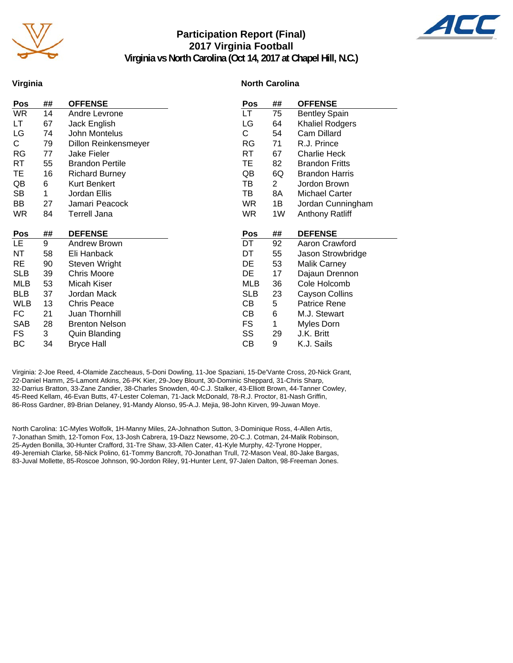

# **Participation Report (Final) 2017 Virginia Football Virginia vs North Carolina (Oct 14, 2017 at Chapel Hill, N.C.)**



**Virginia**

#### **North Carolina**

| Pos        | ## | <b>OFFENSE</b>         | Pos        | ##             | <b>OFFENSE</b>         |
|------------|----|------------------------|------------|----------------|------------------------|
| <b>WR</b>  | 14 | Andre Levrone          | LT         | 75             | <b>Bentley Spain</b>   |
| LТ         | 67 | Jack English           | LG         | 64             | <b>Khaliel Rodgers</b> |
| LG         | 74 | John Montelus          | C.         | 54             | Cam Dillard            |
| C.         | 79 | Dillon Reinkensmeyer   | RG         | 71             | R.J. Prince            |
| <b>RG</b>  | 77 | <b>Jake Fieler</b>     | RT         | 67             | <b>Charlie Heck</b>    |
| RT         | 55 | <b>Brandon Pertile</b> | TE         | 82             | <b>Brandon Fritts</b>  |
| TE         | 16 | <b>Richard Burney</b>  | QB         | 6Q             | <b>Brandon Harris</b>  |
| QB         | 6  | <b>Kurt Benkert</b>    | ТB         | $\overline{2}$ | Jordon Brown           |
| SB         | 1  | Jordan Ellis           | ΤВ         | 8A             | <b>Michael Carter</b>  |
| BB         | 27 | Jamari Peacock         | <b>WR</b>  | 1B             | Jordan Cunningham      |
| <b>WR</b>  | 84 | <b>Terrell Jana</b>    | <b>WR</b>  | 1W             | <b>Anthony Ratliff</b> |
|            |    |                        |            |                |                        |
|            |    |                        |            |                |                        |
| <b>Pos</b> | ## | <b>DEFENSE</b>         | <b>Pos</b> | ##             | <b>DEFENSE</b>         |
| LE.        | 9  | Andrew Brown           | DT         | 92             | Aaron Crawford         |
| ΝT         | 58 | Eli Hanback            | DT         | 55             | Jason Strowbridge      |
| <b>RE</b>  | 90 | Steven Wright          | DE         | 53             | <b>Malik Carney</b>    |
| <b>SLB</b> | 39 | <b>Chris Moore</b>     | DE         | 17             | Dajaun Drennon         |
| MLB        | 53 | Micah Kiser            | <b>MLB</b> | 36             | Cole Holcomb           |
| <b>BLB</b> | 37 | Jordan Mack            | <b>SLB</b> | 23             | Cayson Collins         |
| <b>WLB</b> | 13 | <b>Chris Peace</b>     | CВ         | 5              | <b>Patrice Rene</b>    |
| FC         | 21 | Juan Thornhill         | CВ         | 6              | M.J. Stewart           |
| SAB        | 28 | <b>Brenton Nelson</b>  | FS         | 1              | Myles Dorn             |
| FS.        | 3  | <b>Quin Blanding</b>   | SS         | 29             | J.K. Britt             |
| ВC         | 34 | <b>Bryce Hall</b>      | CВ         | 9              | K.J. Sails             |

Virginia: 2-Joe Reed, 4-Olamide Zaccheaus, 5-Doni Dowling, 11-Joe Spaziani, 15-De'Vante Cross, 20-Nick Grant, 22-Daniel Hamm, 25-Lamont Atkins, 26-PK Kier, 29-Joey Blount, 30-Dominic Sheppard, 31-Chris Sharp, 32-Darrius Bratton, 33-Zane Zandier, 38-Charles Snowden, 40-C.J. Stalker, 43-Elliott Brown, 44-Tanner Cowley, 45-Reed Kellam, 46-Evan Butts, 47-Lester Coleman, 71-Jack McDonald, 78-R.J. Proctor, 81-Nash Griffin, 86-Ross Gardner, 89-Brian Delaney, 91-Mandy Alonso, 95-A.J. Mejia, 98-John Kirven, 99-Juwan Moye.

North Carolina: 1C-Myles Wolfolk, 1H-Manny Miles, 2A-Johnathon Sutton, 3-Dominique Ross, 4-Allen Artis, 7-Jonathan Smith, 12-Tomon Fox, 13-Josh Cabrera, 19-Dazz Newsome, 20-C.J. Cotman, 24-Malik Robinson, 25-Ayden Bonilla, 30-Hunter Crafford, 31-Tre Shaw, 33-Allen Cater, 41-Kyle Murphy, 42-Tyrone Hopper, 49-Jeremiah Clarke, 58-Nick Polino, 61-Tommy Bancroft, 70-Jonathan Trull, 72-Mason Veal, 80-Jake Bargas, 83-Juval Mollette, 85-Roscoe Johnson, 90-Jordon Riley, 91-Hunter Lent, 97-Jalen Dalton, 98-Freeman Jones.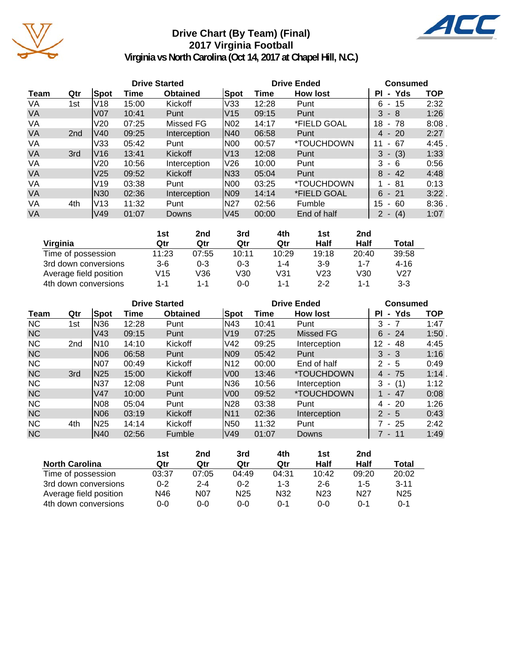

# **Drive Chart (By Team) (Final) 2017 Virginia Football**



**Virginia vs North Carolina (Oct 14, 2017 at Chapel Hill, N.C.)**

|           |                 |                 |       | <b>Drive Started</b> |            | <b>Drive Ended</b> | <b>Consumed</b>          |                            |            |
|-----------|-----------------|-----------------|-------|----------------------|------------|--------------------|--------------------------|----------------------------|------------|
| Team      | Qtr             | Spot            | Time  | <b>Obtained</b>      | Spot       | Time               | <b>How lost</b>          | - Yds<br>ΡI                | <b>TOP</b> |
| VA        | 1st             | V <sub>18</sub> | 15:00 | Kickoff              | V33        | 12:28              | Punt                     | - 15<br>6                  | 2:32       |
| <b>VA</b> |                 | V07             | 10:41 | Punt                 | V15        | 09:15              | Punt                     | $3 - 8$                    | 1:26       |
| VA        |                 | V20             | 07:25 | Missed FG            | N02        | 14:17              | *FIELD GOAL              | 18<br>- 78                 | 8:08       |
| <b>VA</b> | 2 <sub>nd</sub> | V40             | 09:25 | Interception         | <b>N40</b> | 06:58              | Punt                     | $4 - 20$                   | 2:27       |
| VA        |                 | V33             | 05:42 | Punt                 | N00        | 00:57              | *TOUCHDOWN               | 67<br>11<br>۰.             | 4:45       |
| <b>VA</b> | 3rd             | V16             | 13:41 | Kickoff              | IV13       | 12:08              | Punt                     | $-(3)$<br>3                | 1:33       |
| VA        |                 | V20             | 10:56 | Interception         | V26        | 10:00              | Punt                     | 3<br>- 6                   | 0:56       |
| <b>VA</b> |                 | V <sub>25</sub> | 09:52 | Kickoff              | <b>N33</b> | 05:04              | Punt                     | 8<br>$-42$                 | 4:48       |
| VA        |                 | V19             | 03:38 | Punt                 | INOO       | 03:25              | <i><b>*TOUCHDOWN</b></i> | - 81                       | 0:13       |
| <b>VA</b> |                 | N30             | 02:36 | Interception         | <b>N09</b> | 14:14              | *FIELD GOAL              | $6 - 21$                   | $3:22$ .   |
| VA        | 4th             | lV13            | 11:32 | Punt                 | IN27       | 02:56              | Fumble                   | 15<br>60<br>$\blacksquare$ | 8:36       |
| <b>VA</b> |                 | V49             | 01:07 | Downs                | lV45       | 00:00              | End of half              | $2 -$<br>(4)               | 1:07       |

|                        | 1st   | 2nd     | 3rd     | 4th     | 1st     | 2 <sub>nd</sub> |                 |
|------------------------|-------|---------|---------|---------|---------|-----------------|-----------------|
| Virginia               | Qtr   | Qtr     | Qtr     | Qtr     | Half    | Half            | Total           |
| Time of possession     | 11:23 | 07:55   | 10:11   | 10:29   | 19:18   | 20:40           | 39:58           |
| 3rd down conversions   | $3-6$ | 0-3     | $0 - 3$ | $1 - 4$ | $3-9$   | 1-7             | $4 - 16$        |
| Average field position | V15   | V36     | V30     | V31     | V23     | V30             | V <sub>27</sub> |
| 4th down conversions   | 1-1   | $1 - 1$ | 0-0     | $1 - 1$ | $2 - 2$ | $1 - 1$         | $3 - 3$         |

|           | <b>Drive Started</b> |                 |       |                 |                 | <b>Drive Ended</b> | <b>Consumed</b>          |                    |            |
|-----------|----------------------|-----------------|-------|-----------------|-----------------|--------------------|--------------------------|--------------------|------------|
| Team      | Qtr                  | Spot            | Time  | <b>Obtained</b> | Spot            | Time               | <b>How lost</b>          | - Yds<br>ΡI        | <b>TOP</b> |
| <b>NC</b> | 1st                  | N36             | 12:28 | Punt            | N43             | 10:41              | Punt                     | 3<br>$-7$          | 1:47       |
| <b>NC</b> |                      | V <sub>43</sub> | 09:15 | Punt            | <b>V19</b>      | 07:25              | <b>Missed FG</b>         | $6 - 24$           | 1:50       |
| <b>NC</b> | 2 <sub>nd</sub>      | IN10            | 14:10 | Kickoff         | V42             | 09:25              | Interception             | 12<br>- 48         | 4:45       |
| <b>NC</b> |                      | N06             | 06:58 | Punt            | N09             | 05:42              | Punt                     | $3 - 3$            | 1:16       |
| <b>NC</b> |                      | <b>N07</b>      | 00:49 | Kickoff         | N12             | 00:00              | End of half              | $2 - 5$            | 0:49       |
| <b>NC</b> | 3rd                  | N25             | 15:00 | Kickoff         | V <sub>00</sub> | 13:46              | *TOUCHDOWN               | $4 - 75$           | 1:14.      |
| <b>NC</b> |                      | <b>N37</b>      | 12:08 | Punt            | N36             | 10:56              | Interception             | 3<br>(1)<br>$\sim$ | 1:12       |
| <b>NC</b> |                      | V47             | 10:00 | Punt            | V <sub>00</sub> | 09:52              | <i><b>*TOUCHDOWN</b></i> | - 47               | 0:08       |
| <b>NC</b> |                      | N08             | 05:04 | Punt            | N28             | 03:38              | Punt                     | $4 - 20$           | 1:26       |
| <b>NC</b> |                      | N06             | 03:19 | <b>Kickoff</b>  | <b>N11</b>      | 02:36              | Interception             | $2 - 5$            | 0:43       |
| <b>NC</b> | 4th                  | N25             | 14:14 | Kickoff         | N50             | 11:32              | Punt                     | 7 - 25             | 2:42       |
| <b>NC</b> |                      | N40             | 02:56 | <b>Fumble</b>   | V49             | 01:07              | Downs                    | 7 - 11             | 1:49       |

|                        | 1st     | 2nd     | 3rd             | 4th     | 1st     | 2nd              |                 |
|------------------------|---------|---------|-----------------|---------|---------|------------------|-----------------|
| <b>North Carolina</b>  | Qtr     | Qtr     | Qtr             | Qtr     | Half    | Half             | Total           |
| Time of possession     | 03:37   | 07:05   | 04:49           | 04:31   | 10:42   | 09:20            | 20:02           |
| 3rd down conversions   | $0 - 2$ | $2 - 4$ | $0 - 2$         | $1 - 3$ | $2 - 6$ | $1 - 5$          | $3 - 11$        |
| Average field position | N46     | N07     | N <sub>25</sub> | N32     | N23     | N <sub>2</sub> 7 | N <sub>25</sub> |
| 4th down conversions   | $0 - 0$ | 0-0     | $0-0$           | 0-1     | 0-0     | ი-1              | $0 - 1$         |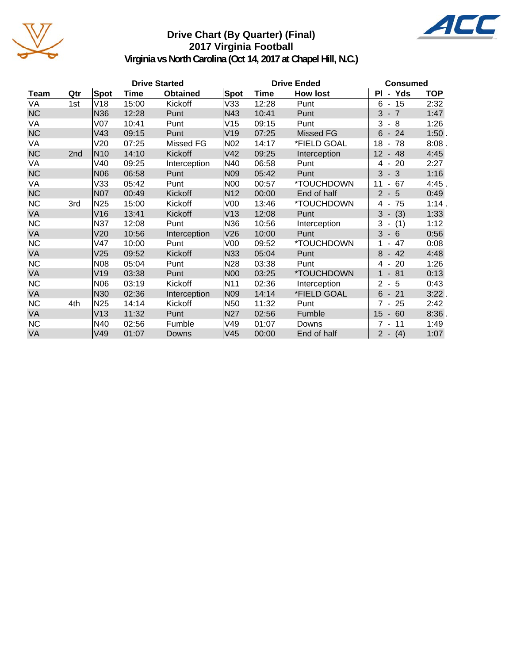

# **Drive Chart (By Quarter) (Final) 2017 Virginia Football**



**Virginia vs North Carolina (Oct 14, 2017 at Chapel Hill, N.C.)**

| <b>Drive Started</b> |     |                 |       |                 |                 | <b>Drive Ended</b> | <b>Consumed</b> |                            |            |
|----------------------|-----|-----------------|-------|-----------------|-----------------|--------------------|-----------------|----------------------------|------------|
| Team                 | Qtr | Spot            | Time  | <b>Obtained</b> | Spot            | Time               | <b>How lost</b> | PI - Yds                   | <b>TOP</b> |
| VA                   | 1st | V18             | 15:00 | Kickoff         | V33             | 12:28              | Punt            | $6 - 15$                   | 2:32       |
| <b>NC</b>            |     | N36             | 12:28 | Punt            | N43             | 10:41              | Punt            | $3 - 7$                    | 1:47       |
| VA                   |     | V07             | 10:41 | Punt            | V15             | 09:15              | Punt            | 3<br>$-8$                  | 1:26       |
| <b>NC</b>            |     | V43             | 09:15 | Punt            | V <sub>19</sub> | 07:25              | Missed FG       | $6 - 24$                   | 1:50.      |
| VA                   |     | V20             | 07:25 | Missed FG       | N <sub>02</sub> | 14:17              | *FIELD GOAL     | 18<br>- 78                 | 8:08.      |
| <b>NC</b>            | 2nd | N <sub>10</sub> | 14:10 | Kickoff         | V42             | 09:25              | Interception    | 12<br>$-48$                | 4:45       |
| VA                   |     | V40             | 09:25 | Interception    | N40             | 06:58              | Punt            | $-20$<br>4                 | 2:27       |
| <b>NC</b>            |     | N06             | 06:58 | Punt            | N09             | 05:42              | Punt            | 3<br>$-3$                  | 1:16       |
| VA                   |     | V33             | 05:42 | Punt            | N <sub>00</sub> | 00:57              | *TOUCHDOWN      | 11<br>67<br>$\blacksquare$ | 4:45.      |
| <b>NC</b>            |     | <b>N07</b>      | 00:49 | Kickoff         | N <sub>12</sub> | 00:00              | End of half     | $2 - 5$                    | 0:49       |
| <b>NC</b>            | 3rd | N <sub>25</sub> | 15:00 | Kickoff         | V <sub>00</sub> | 13:46              | *TOUCHDOWN      | 75<br>4 -                  | 1:14.      |
| VA                   |     | V16             | 13:41 | Kickoff         | V <sub>13</sub> | 12:08              | Punt            | 3<br>(3)<br>$\sim$         | 1:33       |
| <b>NC</b>            |     | <b>N37</b>      | 12:08 | Punt            | N <sub>36</sub> | 10:56              | Interception    | 3<br>(1)<br>$\sim$         | 1:12       |
| <b>VA</b>            |     | V20             | 10:56 | Interception    | V <sub>26</sub> | 10:00              | Punt            | $3 - 6$                    | 0:56       |
| <b>NC</b>            |     | V47             | 10:00 | Punt            | V <sub>00</sub> | 09:52              | *TOUCHDOWN      | 47                         | 0:08       |
| <b>VA</b>            |     | V25             | 09:52 | Kickoff         | N33             | 05:04              | Punt            | 8<br>$-42$                 | 4:48       |
| <b>NC</b>            |     | N08             | 05:04 | Punt            | N <sub>28</sub> | 03:38              | Punt            | 20<br>4 -                  | 1:26       |
| VA                   |     | V19             | 03:38 | Punt            | N00             | 03:25              | *TOUCHDOWN      | $-81$<br>$\mathbf{1}$      | 0:13       |
| <b>NC</b>            |     | N06             | 03:19 | Kickoff         | N <sub>11</sub> | 02:36              | Interception    | $\overline{2}$<br>$-5$     | 0:43       |
| <b>VA</b>            |     | N <sub>30</sub> | 02:36 | Interception    | N <sub>09</sub> | 14:14              | *FIELD GOAL     | $6 - 21$                   | $3:22$ .   |
| <b>NC</b>            | 4th | N <sub>25</sub> | 14:14 | Kickoff         | N <sub>50</sub> | 11:32              | Punt            | $7 - 25$                   | 2:42       |
| VA                   |     | V13             | 11:32 | Punt            | N27             | 02:56              | Fumble          | $-60$<br>15                | $8:36$ .   |
| <b>NC</b>            |     | N40             | 02:56 | Fumble          | V49             | 01:07              | Downs           | 7<br>11<br>$\sim$          | 1:49       |
| VA                   |     | V49             | 01:07 | Downs           | V45             | 00:00              | End of half     | $2 - (4)$                  | 1:07       |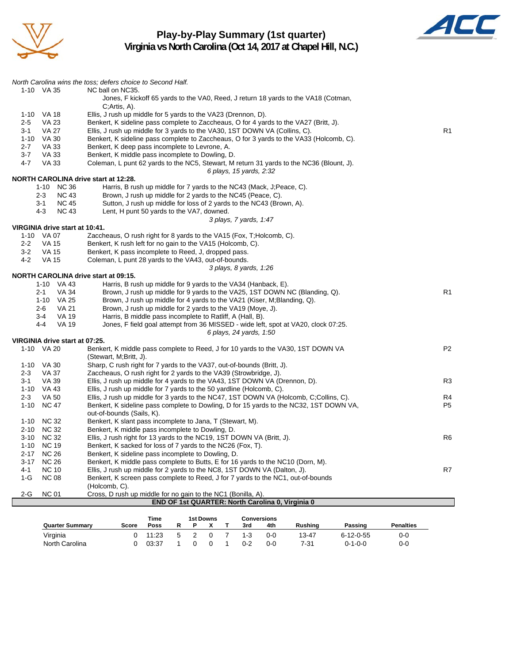

# **Play-by-Play Summary (1st quarter) Virginia vs North Carolina (Oct 14, 2017 at Chapel Hill, N.C.)**



|                                                    | North Carolina wins the toss; defers choice to Second Half.                                                         |                |
|----------------------------------------------------|---------------------------------------------------------------------------------------------------------------------|----------------|
| 1-10 VA 35                                         | NC ball on NC35.                                                                                                    |                |
|                                                    | Jones, F kickoff 65 yards to the VA0, Reed, J return 18 yards to the VA18 (Cotman,                                  |                |
|                                                    | C;Artis, A).                                                                                                        |                |
| 1-10 VA 18                                         | Ellis, J rush up middle for 5 yards to the VA23 (Drennon, D).                                                       |                |
| $2 - 5$<br><b>VA 23</b>                            | Benkert, K sideline pass complete to Zaccheaus, O for 4 yards to the VA27 (Britt, J).                               |                |
| <b>VA 27</b><br>$3 - 1$                            | Ellis, J rush up middle for 3 yards to the VA30, 1ST DOWN VA (Collins, C).                                          | R <sub>1</sub> |
| 1-10 VA 30                                         | Benkert, K sideline pass complete to Zaccheaus, O for 3 yards to the VA33 (Holcomb, C).                             |                |
| $2 - 7$<br><b>VA 33</b>                            | Benkert, K deep pass incomplete to Levrone, A.                                                                      |                |
| $3 - 7$<br><b>VA 33</b>                            | Benkert, K middle pass incomplete to Dowling, D.                                                                    |                |
| <b>VA 33</b><br>$4 - 7$                            | Coleman, L punt 62 yards to the NC5, Stewart, M return 31 yards to the NC36 (Blount, J).                            |                |
|                                                    | 6 plays, 15 yards, 2:32                                                                                             |                |
| NORTH CAROLINA drive start at 12:28.               |                                                                                                                     |                |
| 1-10 NC 36<br>$2 - 3$<br><b>NC 43</b>              | Harris, B rush up middle for 7 yards to the NC43 (Mack, J;Peace, C).                                                |                |
|                                                    | Brown, J rush up middle for 2 yards to the NC45 (Peace, C).                                                         |                |
| $3 - 1$<br><b>NC 45</b><br>$4 - 3$<br><b>NC 43</b> | Sutton, J rush up middle for loss of 2 yards to the NC43 (Brown, A).<br>Lent, H punt 50 yards to the VA7, downed.   |                |
|                                                    | 3 plays, 7 yards, 1:47                                                                                              |                |
| VIRGINIA drive start at 10:41.                     |                                                                                                                     |                |
| 1-10 VA 07                                         | Zaccheaus, O rush right for 8 yards to the VA15 (Fox, T; Holcomb, C).                                               |                |
| $2 - 2$<br><b>VA 15</b>                            | Benkert, K rush left for no gain to the VA15 (Holcomb, C).                                                          |                |
| $3 - 2$<br><b>VA 15</b>                            | Benkert, K pass incomplete to Reed, J, dropped pass.                                                                |                |
| $4 - 2$<br><b>VA 15</b>                            | Coleman, L punt 28 yards to the VA43, out-of-bounds.                                                                |                |
|                                                    | 3 plays, 8 yards, 1:26                                                                                              |                |
| NORTH CAROLINA drive start at 09:15.               |                                                                                                                     |                |
| 1-10 VA 43                                         | Harris, B rush up middle for 9 yards to the VA34 (Hanback, E).                                                      |                |
| <b>VA 34</b><br>$2 - 1$                            | Brown, J rush up middle for 9 yards to the VA25, 1ST DOWN NC (Blanding, Q).                                         | R <sub>1</sub> |
| 1-10 VA 25                                         | Brown, J rush up middle for 4 yards to the VA21 (Kiser, M;Blanding, Q).                                             |                |
| <b>VA 21</b><br>$2 - 6$                            | Brown, J rush up middle for 2 yards to the VA19 (Moye, J).                                                          |                |
| <b>VA 19</b><br>$3 - 4$                            | Harris, B middle pass incomplete to Ratliff, A (Hall, B).                                                           |                |
| $4 - 4$<br><b>VA 19</b>                            | Jones, F field goal attempt from 36 MISSED - wide left, spot at VA20, clock 07:25.                                  |                |
|                                                    | 6 plays, 24 yards, 1:50                                                                                             |                |
| VIRGINIA drive start at 07:25.                     |                                                                                                                     |                |
| 1-10 VA 20                                         | Benkert, K middle pass complete to Reed, J for 10 yards to the VA30, 1ST DOWN VA                                    | P <sub>2</sub> |
|                                                    | (Stewart, M;Britt, J).                                                                                              |                |
| 1-10 VA 30                                         | Sharp, C rush right for 7 yards to the VA37, out-of-bounds (Britt, J).                                              |                |
| <b>VA 37</b><br>$2 - 3$                            | Zaccheaus, O rush right for 2 yards to the VA39 (Strowbridge, J).                                                   |                |
| VA 39<br>3-1                                       | Ellis, J rush up middle for 4 yards to the VA43, 1ST DOWN VA (Drennon, D).                                          | R <sub>3</sub> |
| 1-10 VA 43                                         | Ellis, J rush up middle for 7 yards to the 50 yardline (Holcomb, C).                                                |                |
| $2 - 3$<br><b>VA 50</b>                            | Ellis, J rush up middle for 3 yards to the NC47, 1ST DOWN VA (Holcomb, C;Collins, C).                               | R4             |
| 1-10 NC 47                                         | Benkert, K sideline pass complete to Dowling, D for 15 yards to the NC32, 1ST DOWN VA,<br>out-of-bounds (Sails, K). | P <sub>5</sub> |
| 1-10 NC 32                                         | Benkert, K slant pass incomplete to Jana, T (Stewart, M).                                                           |                |
| 2-10 NC 32                                         | Benkert, K middle pass incomplete to Dowling, D.                                                                    |                |
| 3-10 NC 32                                         | Ellis, J rush right for 13 yards to the NC19, 1ST DOWN VA (Britt, J).                                               | R <sub>6</sub> |
| 1-10 NC 19                                         | Benkert, K sacked for loss of 7 yards to the NC26 (Fox, T).                                                         |                |
| 2-17 NC 26                                         | Benkert, K sideline pass incomplete to Dowling, D.                                                                  |                |
| 3-17 NC 26                                         | Benkert, K middle pass complete to Butts, E for 16 yards to the NC10 (Dorn, M).                                     |                |
| $4 - 1$<br><b>NC 10</b>                            | Ellis, J rush up middle for 2 yards to the NC8, 1ST DOWN VA (Dalton, J).                                            | R7             |
| $1-G$<br><b>NC 08</b>                              | Benkert, K screen pass complete to Reed, J for 7 yards to the NC1, out-of-bounds                                    |                |
|                                                    | (Holcomb, C).                                                                                                       |                |
| $2-G$<br><b>NC 01</b>                              | Cross, D rush up middle for no gain to the NC1 (Bonilla, A).                                                        |                |
|                                                    | <b>END OF 1st QUARTER: North Carolina 0, Virginia 0</b>                                                             |                |

|                        |       | Time  |   | 1st Downs |         | <b>Conversions</b> |                |                   |                  |
|------------------------|-------|-------|---|-----------|---------|--------------------|----------------|-------------------|------------------|
| <b>Quarter Summary</b> | Score | Poss  |   |           | 3rd     | 4th                | <b>Rushing</b> | Passing           | <b>Penalties</b> |
| Virginia               |       | 11:23 | 5 |           | 1-3     | 0-0                | 13-47          | $6 - 12 - 0 - 55$ | 0-0              |
| North Carolina         |       | 03:37 |   |           | $0 - 2$ | 0-0                | 7-31           | $0 - 1 - 0 - 0$   | 0-0              |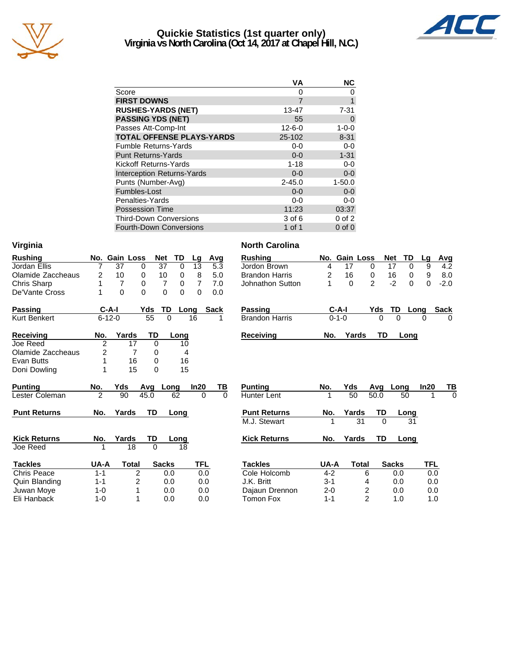

# **Quickie Statistics (1st quarter only) Virginia vs North Carolina (Oct 14, 2017 at Chapel Hill, N.C.)**



|                                   | VА           | <b>NC</b>   |
|-----------------------------------|--------------|-------------|
| Score                             | 0            |             |
| <b>FIRST DOWNS</b>                |              |             |
| <b>RUSHES-YARDS (NET)</b>         | 13-47        | $7 - 31$    |
| <b>PASSING YDS (NET)</b>          | 55           | $\Omega$    |
| Passes Att-Comp-Int               | $12 - 6 - 0$ | $1 - 0 - 0$ |
| <b>TOTAL OFFENSE PLAYS-YARDS</b>  | 25-102       | $8 - 31$    |
| <b>Fumble Returns-Yards</b>       | $0-0$        | $0-0$       |
| <b>Punt Returns-Yards</b>         | $0 - 0$      | $1 - 31$    |
| Kickoff Returns-Yards             | $1 - 18$     | $0-0$       |
| <b>Interception Returns-Yards</b> | $0 - 0$      | $0 - 0$     |
| Punts (Number-Avg)                | $2 - 45.0$   | $1 - 50.0$  |
| Fumbles-Lost                      | $0 - 0$      | $0-0$       |
| Penalties-Yards                   | $0-0$        | $0-0$       |
| <b>Possession Time</b>            | 11:23        | 03:37       |
| <b>Third-Down Conversions</b>     | 3 of 6       | $0$ of $2$  |
| <b>Fourth-Down Conversions</b>    | 1 of 1       | $0$ of $0$  |

| Virginia            |                |              |               |                |          |                |                      | <b>North Carolina</b> |                |               |                |            |                  |             |             |
|---------------------|----------------|--------------|---------------|----------------|----------|----------------|----------------------|-----------------------|----------------|---------------|----------------|------------|------------------|-------------|-------------|
| <b>Rushing</b>      |                |              | No. Gain Loss | <b>Net</b>     | TD       | Lg             | Avg                  | <b>Rushing</b>        |                | No. Gain Loss |                | <b>Net</b> | <b>TD</b>        | Lg          | <u>Avg</u>  |
| Jordan Ellis        |                | 37           | 0             | 37             | $\Omega$ | 13             | 5.3                  | Jordon Brown          | 4              | 17            | 0              | 17         | 0                | 9           | 4.2         |
| Olamide Zaccheaus   | $\overline{2}$ | 10           | 0             | 10             | 0        | 8              | 5.0                  | <b>Brandon Harris</b> | $\overline{2}$ | 16            | 0              | 16         | 0                | 9           | 8.0         |
| Chris Sharp         |                | 7            | 0             | 7              | 0        | $\overline{7}$ | 7.0                  | Johnathon Sutton      | 1              | $\Omega$      | $\overline{2}$ |            | $-2$<br>$\Omega$ | $\mathbf 0$ | $-2.0$      |
| De'Vante Cross      |                | $\mathbf{0}$ | $\Omega$      | $\overline{0}$ | $\Omega$ | $\Omega$       | 0.0                  |                       |                |               |                |            |                  |             |             |
| <b>Passing</b>      |                | $C-A-I$      | Yds           | TD             | Long     |                | <b>Sack</b>          | <b>Passing</b>        |                | $C-A-I$       |                | Yds        | TD<br>Long       |             | <b>Sack</b> |
| <b>Kurt Benkert</b> |                | $6 - 12 - 0$ | 55            | $\Omega$       |          | 16             |                      | <b>Brandon Harris</b> |                | $0 - 1 - 0$   |                | 0          | $\Omega$         | 0           | $\Omega$    |
| <b>Receiving</b>    | No.            | Yards        |               | TD             | Long     |                |                      | <b>Receiving</b>      | No.            | Yards         |                | TD         | Long             |             |             |
| Joe Reed            | $\overline{2}$ |              | 17            | $\Omega$       | 10       |                |                      |                       |                |               |                |            |                  |             |             |
| Olamide Zaccheaus   | 2              |              | 7             | 0              | 4        |                |                      |                       |                |               |                |            |                  |             |             |
| Evan Butts          | 1              |              | 16            | $\Omega$       | 16       |                |                      |                       |                |               |                |            |                  |             |             |
| Doni Dowling        |                |              | 15            | $\Omega$       | 15       |                |                      |                       |                |               |                |            |                  |             |             |
| <b>Punting</b>      | No.            | Yds          | Ava           | Long           |          | In20           | TВ                   | <b>Punting</b>        | No.            | Yds           |                | Avq        | Long             | In20        | ТВ          |
| Lester Coleman      | $\overline{c}$ | 90           | 45.0          |                | 62       |                | $\Omega$<br>$\Omega$ | <b>Hunter Lent</b>    |                | 50            |                | 50.0       | 50               |             | 0           |
| <b>Punt Returns</b> | No.            | Yards        |               | TD             | Long     |                |                      | <b>Punt Returns</b>   | No.            | Yards         |                | <b>TD</b>  | Long             |             |             |
|                     |                |              |               |                |          |                |                      | M.J. Stewart          | 1              |               | 31             | $\Omega$   | 31               |             |             |
| <b>Kick Returns</b> | No.            | Yards        |               | TD             | Long     |                |                      | <b>Kick Returns</b>   | No.            | Yards         |                | TD         | Long             |             |             |
| Joe Reed            | 1              |              | 18            | $\Omega$       | 18       |                |                      |                       |                |               |                |            |                  |             |             |
| <b>Tackles</b>      | UA-A           |              | <b>Total</b>  | <b>Sacks</b>   |          | <b>TFL</b>     |                      | <b>Tackles</b>        | UA-A           |               | Total          |            | <b>Sacks</b>     | <b>TFL</b>  |             |
| <b>Chris Peace</b>  | $1 - 1$        |              | 2             | 0.0            |          |                | 0.0                  | Cole Holcomb          | $4 - 2$        |               | 6              |            | 0.0              | 0.0         |             |
| Quin Blanding       | $1 - 1$        |              | 2             | 0.0            |          |                | 0.0                  | J.K. Britt            | $3 - 1$        |               | 4              |            | 0.0              | 0.0         |             |
| Juwan Moye          | $1 - 0$        |              |               | 0.0            |          |                | 0.0                  | Dajaun Drennon        | $2 - 0$        |               | 2              |            | 0.0              | 0.0         |             |
| Eli Hanback         | $1 - 0$        |              |               | 0.0            |          |                | 0.0                  | <b>Tomon Fox</b>      | $1 - 1$        |               | $\overline{2}$ |            | 1.0              | 1.0         |             |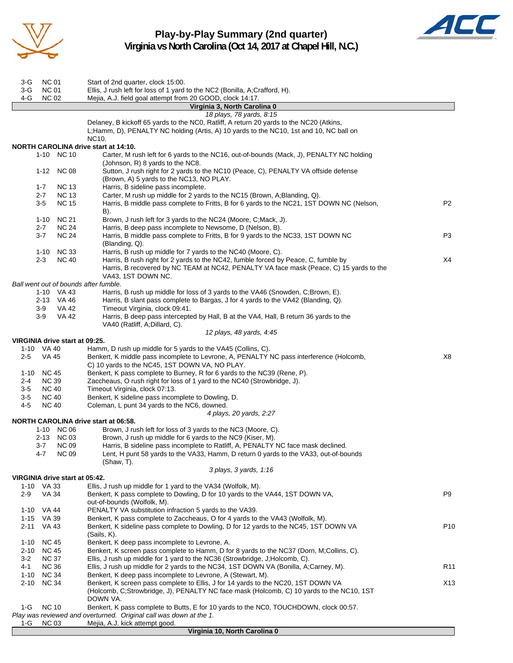

**Play-by-Play Summary (2nd quarter) Virginia vs North Carolina (Oct 14, 2017 at Chapel Hill, N.C.)**



| 3-G                   | <b>NC 01</b>                   | Start of 2nd quarter, clock 15:00.                                                                                                                                                                        |                 |
|-----------------------|--------------------------------|-----------------------------------------------------------------------------------------------------------------------------------------------------------------------------------------------------------|-----------------|
| 3-G                   | <b>NC 01</b>                   | Ellis, J rush left for loss of 1 yard to the NC2 (Bonilla, A;Crafford, H).                                                                                                                                |                 |
| 4-G                   | <b>NC 02</b>                   | Mejia, A.J. field goal attempt from 20 GOOD, clock 14:17.<br>Virginia 3, North Carolina 0                                                                                                                 |                 |
|                       |                                | 18 plays, 78 yards, 8:15                                                                                                                                                                                  |                 |
|                       |                                | Delaney, B kickoff 65 yards to the NC0, Ratliff, A return 20 yards to the NC20 (Atkins,<br>L;Hamm, D), PENALTY NC holding (Artis, A) 10 yards to the NC10, 1st and 10, NC ball on<br>NC10.                |                 |
|                       |                                | <b>NORTH CAROLINA drive start at 14:10.</b>                                                                                                                                                               |                 |
|                       | 1-10 NC 10                     | Carter, M rush left for 6 yards to the NC16, out-of-bounds (Mack, J), PENALTY NC holding<br>(Johnson, R) 8 yards to the NC8.                                                                              |                 |
|                       | 1-12 NC 08                     | Sutton, J rush right for 2 yards to the NC10 (Peace, C), PENALTY VA offside defense<br>(Brown, A) 5 yards to the NC13, NO PLAY.                                                                           |                 |
| $1 - 7$<br>$2 - 7$    | <b>NC 13</b><br><b>NC 13</b>   | Harris, B sideline pass incomplete.<br>Carter, M rush up middle for 2 yards to the NC15 (Brown, A; Blanding, Q).                                                                                          |                 |
| $3-5$                 | <b>NC 15</b>                   | Harris, B middle pass complete to Fritts, B for 6 yards to the NC21, 1ST DOWN NC (Nelson,<br>B).                                                                                                          | P <sub>2</sub>  |
| $1 - 10$              | <b>NC 21</b>                   | Brown, J rush left for 3 yards to the NC24 (Moore, C;Mack, J).                                                                                                                                            |                 |
| $2 - 7$               | <b>NC 24</b>                   | Harris, B deep pass incomplete to Newsome, D (Nelson, B).                                                                                                                                                 |                 |
| $3 - 7$               | <b>NC 24</b>                   | Harris, B middle pass complete to Fritts, B for 9 yards to the NC33, 1ST DOWN NC<br>(Blanding, Q).                                                                                                        | P3              |
|                       | 1-10 NC 33                     | Harris, B rush up middle for 7 yards to the NC40 (Moore, C).                                                                                                                                              |                 |
| $2 - 3$               | <b>NC 40</b>                   | Harris, B rush right for 2 yards to the NC42, fumble forced by Peace, C, fumble by<br>Harris, B recovered by NC TEAM at NC42, PENALTY VA face mask (Peace, C) 15 yards to the<br>VA43, 1ST DOWN NC.       | X4              |
|                       |                                | Ball went out of bounds after fumble.                                                                                                                                                                     |                 |
|                       | 1-10 VA 43<br>2-13 VA 46       | Harris, B rush up middle for loss of 3 yards to the VA46 (Snowden, C;Brown, E).<br>Harris, B slant pass complete to Bargas, J for 4 yards to the VA42 (Blanding, Q).                                      |                 |
| 3-9                   | VA 42                          | Timeout Virginia, clock 09:41.                                                                                                                                                                            |                 |
| $3-9$                 | VA 42                          | Harris, B deep pass intercepted by Hall, B at the VA4, Hall, B return 36 yards to the<br>VA40 (Ratliff, A; Dillard, C).                                                                                   |                 |
|                       |                                | 12 plays, 48 yards, 4:45                                                                                                                                                                                  |                 |
|                       | VIRGINIA drive start at 09:25. |                                                                                                                                                                                                           |                 |
| 1-10 VA 40<br>$2 - 5$ | <b>VA 45</b>                   | Hamm, D rush up middle for 5 yards to the VA45 (Collins, C).<br>Benkert, K middle pass incomplete to Levrone, A, PENALTY NC pass interference (Holcomb,<br>C) 10 yards to the NC45, 1ST DOWN VA, NO PLAY. | X8              |
| 1-10                  | <b>NC 45</b>                   | Benkert, K pass complete to Burney, R for 6 yards to the NC39 (Rene, P).                                                                                                                                  |                 |
| $2 - 4$               | <b>NC 39</b>                   | Zaccheaus, O rush right for loss of 1 yard to the NC40 (Strowbridge, J).                                                                                                                                  |                 |
| 3-5                   | <b>NC 40</b>                   | Timeout Virginia, clock 07:13.                                                                                                                                                                            |                 |
| $3-5$<br>$4 - 5$      | <b>NC 40</b><br><b>NC 40</b>   | Benkert, K sideline pass incomplete to Dowling, D.<br>Coleman, L punt 34 yards to the NC6, downed.                                                                                                        |                 |
|                       |                                | 4 plays, 20 yards, 2:27                                                                                                                                                                                   |                 |
|                       |                                | NORTH CAROLINA drive start at 06:58.                                                                                                                                                                      |                 |
|                       | 1-10 NC 06                     | Brown, J rush left for loss of 3 yards to the NC3 (Moore, C).                                                                                                                                             |                 |
|                       | 2-13 NC 03                     | Brown, J rush up middle for 6 yards to the NC9 (Kiser, M).                                                                                                                                                |                 |
| 3-7                   | <b>NC 09</b>                   | Harris, B sideline pass incomplete to Ratliff, A, PENALTY NC face mask declined.                                                                                                                          |                 |
| 4-7                   | <b>NC 09</b>                   | Lent, H punt 58 yards to the VA33, Hamm, D return 0 yards to the VA33, out-of-bounds                                                                                                                      |                 |
|                       |                                | $(Shaw, T)$ .<br>3 plays, 3 yards, 1:16                                                                                                                                                                   |                 |
|                       | VIRGINIA drive start at 05:42. |                                                                                                                                                                                                           |                 |
| 1-10 VA 33            |                                | Ellis, J rush up middle for 1 yard to the VA34 (Wolfolk, M).                                                                                                                                              |                 |
| $2-9$                 | <b>VA 34</b>                   | Benkert, K pass complete to Dowling, D for 10 yards to the VA44, 1ST DOWN VA,<br>out-of-bounds (Wolfolk, M).                                                                                              | P9              |
| 1-10                  | VA 44                          | PENALTY VA substitution infraction 5 yards to the VA39.                                                                                                                                                   |                 |
| 1-15                  | VA 39                          | Benkert, K pass complete to Zaccheaus, O for 4 yards to the VA43 (Wolfolk, M).                                                                                                                            |                 |
| $2 - 11$              | VA 43                          | Benkert, K sideline pass complete to Dowling, D for 12 yards to the NC45, 1ST DOWN VA<br>(Sails, K).                                                                                                      | P <sub>10</sub> |
| $1 - 10$              | <b>NC 45</b>                   | Benkert, K deep pass incomplete to Levrone, A.                                                                                                                                                            |                 |
| 2-10                  | <b>NC 45</b>                   | Benkert, K screen pass complete to Hamm, D for 8 yards to the NC37 (Dorn, M;Collins, C).                                                                                                                  |                 |
| $3 - 2$               | <b>NC 37</b>                   | Ellis, J rush up middle for 1 yard to the NC36 (Strowbridge, J;Holcomb, C).                                                                                                                               |                 |
| 4-1                   | <b>NC 36</b>                   | Ellis, J rush up middle for 2 yards to the NC34, 1ST DOWN VA (Bonilla, A;Carney, M).                                                                                                                      | R <sub>11</sub> |
| 1-10                  | <b>NC 34</b>                   | Benkert, K deep pass incomplete to Levrone, A (Stewart, M).                                                                                                                                               |                 |
| $2 - 10$              | <b>NC 34</b>                   | Benkert, K screen pass complete to Ellis, J for 14 yards to the NC20, 1ST DOWN VA<br>(Holcomb, C;Strowbridge, J), PENALTY NC face mask (Holcomb, C) 10 yards to the NC10, 1ST                             | X13             |
|                       |                                | DOWN VA.                                                                                                                                                                                                  |                 |
| 1-G                   | <b>NC 10</b>                   | Benkert, K pass complete to Butts, E for 10 yards to the NC0, TOUCHDOWN, clock 00:57.<br>Play was reviewed and overturned. Original call was down at the 1.                                               |                 |
| 1-G                   | <b>NC 03</b>                   | Mejia, A.J. kick attempt good.                                                                                                                                                                            |                 |
|                       |                                | Virginia 10, North Carolina 0                                                                                                                                                                             |                 |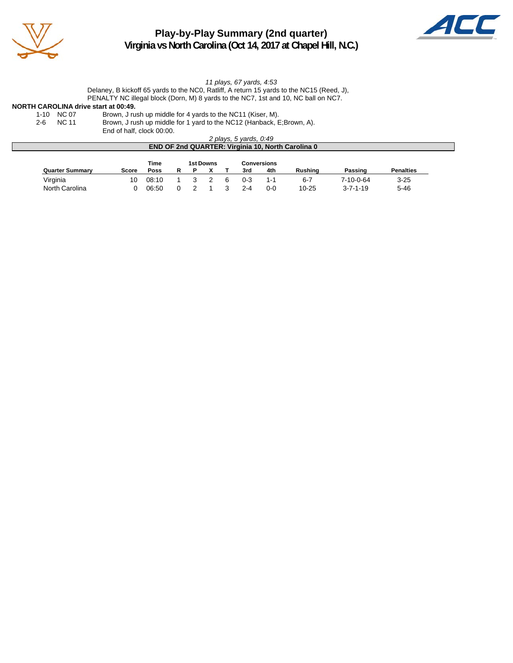

# **Play-by-Play Summary (2nd quarter) Virginia vs North Carolina (Oct 14, 2017 at Chapel Hill, N.C.)**



*11 plays, 67 yards, 4:53*

Delaney, B kickoff 65 yards to the NC0, Ratliff, A return 15 yards to the NC15 (Reed, J), PENALTY NC illegal block (Dorn, M) 8 yards to the NC7, 1st and 10, NC ball on NC7.

# **NORTH CAROLINA drive start at 00:49.**<br>1-10 NC 07 Brown, J ru

1-10 NC 07 Brown, J rush up middle for 4 yards to the NC11 (Kiser, M).<br>2-6 NC 11 Brown, J rush up middle for 1 yard to the NC12 (Hanback, E Brown, J rush up middle for 1 yard to the NC12 (Hanback, E;Brown, A).

End of half, clock 00:00.

*2 plays, 5 yards, 0:49*

| <b>END OF 2nd QUARTER: Virginia 10, North Carolina 0</b> |       |       |   |  |           |  |         |             |           |                  |                  |
|----------------------------------------------------------|-------|-------|---|--|-----------|--|---------|-------------|-----------|------------------|------------------|
|                                                          |       | Time  |   |  | 1st Downs |  |         | Conversions |           |                  |                  |
| <b>Quarter Summary</b>                                   | Score | Poss  | R |  |           |  | 3rd     | 4th         | Rushina   | Passing          | <b>Penalties</b> |
| Virginia                                                 | 10    | 08:10 |   |  |           |  | 0-3     | 1-1         | $6 - 7$   | 7-10-0-64        | $3 - 25$         |
| North Carolina                                           |       | 06:50 |   |  |           |  | $2 - 4$ | 0-0         | $10 - 25$ | $3 - 7 - 1 - 19$ | $5 - 46$         |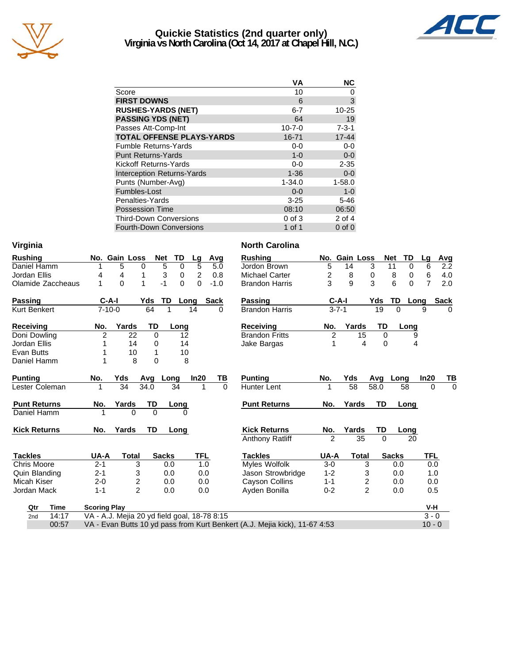

# **Quickie Statistics (2nd quarter only) Virginia vs North Carolina (Oct 14, 2017 at Chapel Hill, N.C.)**



| VА           | <b>NC</b>   |
|--------------|-------------|
| 10           | 0           |
| 6            | 3           |
| $6 - 7$      | 10-25       |
| 64           | 19          |
| $10 - 7 - 0$ | $7 - 3 - 1$ |
| 16-71        | $17 - 44$   |
| $0 - 0$      | $0-0$       |
| $1 - 0$      | $0-0$       |
| $0-0$        | $2 - 35$    |
| $1 - 36$     | $0-0$       |
| $1 - 34.0$   | $1 - 58.0$  |
| $0 - 0$      | $1 - 0$     |
| $3 - 25$     | $5 - 46$    |
| 08:10        | 06:50       |
| $0$ of $3$   | $2$ of $4$  |
| 1 of 1       | $0$ of $0$  |
|              |             |

| <b>Rushing</b>    |     | No. Gain Loss |       | <b>Net</b> | TD   | Lq | Avq    |
|-------------------|-----|---------------|-------|------------|------|----|--------|
| Daniel Hamm       | 1   | 5             | 0     | 5          | 0    | 5  | 5.0    |
| Jordan Ellis      | 4   | 4             | 1     | 3          | 0    | 2  | 0.8    |
| Olamide Zaccheaus | 1   | 0             | 1     | -1         | 0    | 0  | $-1.0$ |
|                   |     |               |       |            |      |    |        |
| Passing           |     | $C-A-I$       | Yds   | TD         | Long |    | Sack   |
| Kurt Benkert      |     | $7 - 10 - 0$  | 64    |            |      | 14 | 0      |
|                   |     |               |       |            |      |    |        |
| <b>Receiving</b>  | No. |               | Yards | TD         | Lona |    |        |

| <b>Receiving</b> | No. | Yards | <b>TD</b> | Lona            |
|------------------|-----|-------|-----------|-----------------|
| Doni Dowling     |     | 22    |           | 12 <sup>°</sup> |
| Jordan Ellis     |     | 14    |           | 14              |
| Evan Butts       |     | 10    |           | 10              |
| Daniel Hamm      |     |       |           | 8               |

| <b>Punting</b>      | No. | Yds   |           | Avg Long | In20 | ΤВ |
|---------------------|-----|-------|-----------|----------|------|----|
| Lester Coleman      |     | 34    | 34.0      | 34       |      |    |
| <b>Punt Returns</b> | No. | Yards | <b>TD</b> | Long     |      |    |
| Daniel Hamm         |     |       |           |          |      |    |
| <b>Kick Returns</b> | No. | Yards | -TD       | Lona     |      |    |

| UA-A    | Total | <b>Sacks</b> | TFL |
|---------|-------|--------------|-----|
| $2 - 1$ | 3     | 0.0          | 1.0 |
| $2 - 1$ | 3     | 0.0          | 0.0 |
| $2-0$   | 2     | 0.0          | 0.0 |
| $1 - 1$ | 2     | 0.0          | 0.0 |
|         |       |              |     |

#### **Virginia** North Carolina

| <b>Rushing</b>         | No.                   | Gain Loss   |            | <b>Net</b>   | TD         | Lg   | Avg         |
|------------------------|-----------------------|-------------|------------|--------------|------------|------|-------------|
| Jordon Brown           | 5                     | 14          | 3          | 11           | 0          | 6    | 2.2         |
| <b>Michael Carter</b>  | 2                     | 8           | 0          | 8            | 0          | 6    | 4.0         |
| <b>Brandon Harris</b>  | 3                     | 9           | 3          | 6            | 0          | 7    | 2.0         |
| <b>Passing</b>         | C-A-I                 |             | <u>Yds</u> | TD           | Long       |      | <b>Sack</b> |
| <b>Brandon Harris</b>  | $3 - 7 - 1$           |             | 19         | $\Omega$     |            | 9    | O           |
| Receiving              | No.                   | Yards       | TD         |              | Long       |      |             |
| <b>Brandon Fritts</b>  | 2                     | 15          | 0          |              | 9          |      |             |
| Jake Bargas            | 1                     | 4           | 0          |              | 4          |      |             |
| <b>Punting</b>         | No.                   | Yds         | Avg        | Long         |            | In20 | ТВ          |
| Hunter Lent            | 1                     | 58          | 58.0       |              | 58         | 0    | 0           |
|                        |                       |             |            |              |            |      |             |
| <b>Punt Returns</b>    | No.                   | Yards       | TD         |              | Long       |      |             |
| <b>Kick Returns</b>    |                       | Yards       | TD         |              |            |      |             |
|                        | No.<br>$\overline{2}$ | 35          | 0          |              | Long<br>20 |      |             |
| <b>Anthony Ratliff</b> |                       |             |            |              |            |      |             |
| <b>Tackles</b>         | UA-A                  | Total       |            | <b>Sacks</b> |            | TFL  |             |
| Myles Wolfolk          | $3-0$                 | 3           |            | 0.0          |            | 0.0  |             |
|                        |                       |             |            | 0.0          |            | 1.0  |             |
| Jason Strowbridge      | $1 - 2$               |             |            |              |            |      |             |
| Cayson Collins         | $1 - 1$               | 3<br>2<br>2 |            | 0.0          |            | 0.0  |             |

| Qtr             | Time  | <b>Scoring Play</b>                                                        | V-H      |
|-----------------|-------|----------------------------------------------------------------------------|----------|
| 2 <sub>nd</sub> | 14:17 | VA - A.J. Mejia 20 yd field goal, 18-78 8:15                               | $3 - 0$  |
|                 | 00:57 | VA - Evan Butts 10 yd pass from Kurt Benkert (A.J. Mejia kick), 11-67 4:53 | $10 - 0$ |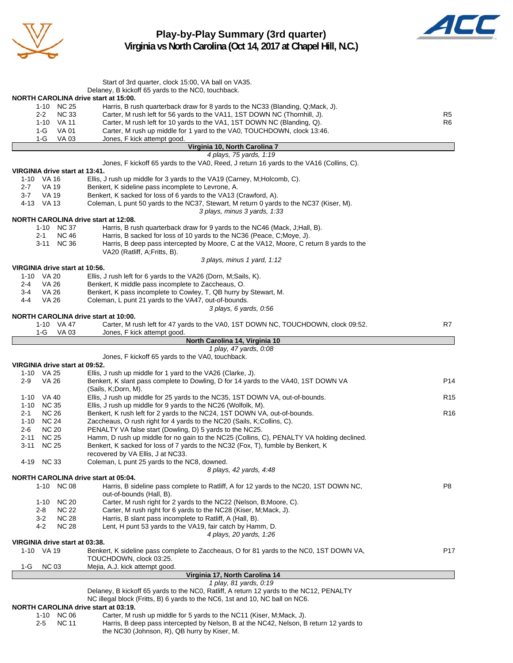

# **Play-by-Play Summary (3rd quarter) Virginia vs North Carolina (Oct 14, 2017 at Chapel Hill, N.C.)**



|                                                    | Start of 3rd quarter, clock 15:00, VA ball on VA35.                                                                                                         |                 |
|----------------------------------------------------|-------------------------------------------------------------------------------------------------------------------------------------------------------------|-----------------|
|                                                    | Delaney, B kickoff 65 yards to the NC0, touchback.                                                                                                          |                 |
| NORTH CAROLINA drive start at 15:00.               |                                                                                                                                                             |                 |
| 1-10 NC 25<br><b>NC 33</b><br>$2 - 2$              | Harris, B rush quarterback draw for 8 yards to the NC33 (Blanding, Q;Mack, J).<br>Carter, M rush left for 56 yards to the VA11, 1ST DOWN NC (Thornhill, J). | R5              |
| 1-10 VA 11                                         | Carter, M rush left for 10 yards to the VA1, 1ST DOWN NC (Blanding, Q).                                                                                     | R6              |
| VA 01<br>1-G                                       | Carter, M rush up middle for 1 yard to the VA0, TOUCHDOWN, clock 13:46.                                                                                     |                 |
| 1-G<br>VA 03                                       | Jones, F kick attempt good.                                                                                                                                 |                 |
|                                                    | Virginia 10, North Carolina 7                                                                                                                               |                 |
|                                                    | 4 plays, 75 yards, 1:19                                                                                                                                     |                 |
| VIRGINIA drive start at 13:41.                     | Jones, F kickoff 65 yards to the VA0, Reed, J return 16 yards to the VA16 (Collins, C).                                                                     |                 |
| 1-10 VA 16                                         | Ellis, J rush up middle for 3 yards to the VA19 (Carney, M; Holcomb, C).                                                                                    |                 |
| 2-7<br>VA 19                                       | Benkert, K sideline pass incomplete to Levrone, A.                                                                                                          |                 |
| $3 - 7$<br>VA 19                                   | Benkert, K sacked for loss of 6 yards to the VA13 (Crawford, A).                                                                                            |                 |
| 4-13 VA 13                                         | Coleman, L punt 50 yards to the NC37, Stewart, M return 0 yards to the NC37 (Kiser, M).                                                                     |                 |
|                                                    | 3 plays, minus 3 yards, 1:33                                                                                                                                |                 |
| NORTH CAROLINA drive start at 12:08.<br>1-10 NC 37 | Harris, B rush quarterback draw for 9 yards to the NC46 (Mack, J; Hall, B).                                                                                 |                 |
| <b>NC 46</b><br>2-1                                | Harris, B sacked for loss of 10 yards to the NC36 (Peace, C; Moye, J).                                                                                      |                 |
| 3-11 NC 36                                         | Harris, B deep pass intercepted by Moore, C at the VA12, Moore, C return 8 yards to the                                                                     |                 |
|                                                    | VA20 (Ratliff, A;Fritts, B).                                                                                                                                |                 |
|                                                    | 3 plays, minus 1 yard, 1:12                                                                                                                                 |                 |
| VIRGINIA drive start at 10:56.                     |                                                                                                                                                             |                 |
| 1-10 VA 20<br>VA 26<br>2-4                         | Ellis, J rush left for 6 yards to the VA26 (Dorn, M;Sails, K).<br>Benkert, K middle pass incomplete to Zaccheaus, O.                                        |                 |
| VA 26<br>3-4                                       | Benkert, K pass incomplete to Cowley, T, QB hurry by Stewart, M.                                                                                            |                 |
| VA 26<br>4-4                                       | Coleman, L punt 21 yards to the VA47, out-of-bounds.                                                                                                        |                 |
|                                                    | 3 plays, 6 yards, 0:56                                                                                                                                      |                 |
| <b>NORTH CAROLINA drive start at 10:00.</b>        |                                                                                                                                                             |                 |
| 1-10 VA 47                                         | Carter, M rush left for 47 yards to the VA0, 1ST DOWN NC, TOUCHDOWN, clock 09:52.                                                                           | R7              |
| VA 03<br>1-G                                       | Jones, F kick attempt good.                                                                                                                                 |                 |
|                                                    | North Carolina 14, Virginia 10<br>1 play, 47 yards, 0:08                                                                                                    |                 |
|                                                    | Jones, F kickoff 65 yards to the VA0, touchback.                                                                                                            |                 |
| VIRGINIA drive start at 09:52.                     |                                                                                                                                                             |                 |
| 1-10 VA 25                                         | Ellis, J rush up middle for 1 yard to the VA26 (Clarke, J).                                                                                                 |                 |
| $2 - 9$<br>VA 26                                   | Benkert, K slant pass complete to Dowling, D for 14 yards to the VA40, 1ST DOWN VA                                                                          | P14             |
| 1-10 VA 40                                         | (Sails, K;Dorn, M).<br>Ellis, J rush up middle for 25 yards to the NC35, 1ST DOWN VA, out-of-bounds.                                                        | R <sub>15</sub> |
| 1-10 NC 35                                         | Ellis, J rush up middle for 9 yards to the NC26 (Wolfolk, M).                                                                                               |                 |
| <b>NC 26</b><br>2-1                                | Benkert, K rush left for 2 yards to the NC24, 1ST DOWN VA, out-of-bounds.                                                                                   | R <sub>16</sub> |
| <b>NC 24</b><br>1-10                               | Zaccheaus, O rush right for 4 yards to the NC20 (Sails, K;Collins, C).                                                                                      |                 |
| <b>NC 20</b><br>2-6                                | PENALTY VA false start (Dowling, D) 5 yards to the NC25.                                                                                                    |                 |
| <b>NC 25</b><br>$2 - 11$                           | Hamm, D rush up middle for no gain to the NC25 (Collins, C), PENALTY VA holding declined.                                                                   |                 |
| $3 - 11$<br><b>NC 25</b>                           | Benkert, K sacked for loss of 7 yards to the NC32 (Fox, T), fumble by Benkert, K                                                                            |                 |
| 4-19 NC 33                                         | recovered by VA Ellis, J at NC33.<br>Coleman, L punt 25 yards to the NC8, downed.                                                                           |                 |
|                                                    | 8 plays, 42 yards, 4:48                                                                                                                                     |                 |
| NORTH CAROLINA drive start at 05:04.               |                                                                                                                                                             |                 |
| 1-10 NC 08                                         | Harris, B sideline pass complete to Ratliff, A for 12 yards to the NC20, 1ST DOWN NC,                                                                       | P8              |
|                                                    | out-of-bounds (Hall, B).                                                                                                                                    |                 |
| 1-10<br><b>NC 20</b>                               | Carter, M rush right for 2 yards to the NC22 (Nelson, B; Moore, C).                                                                                         |                 |
| <b>NC 22</b><br>2-8<br><b>NC 28</b><br>3-2         | Carter, M rush right for 6 yards to the NC28 (Kiser, M;Mack, J).<br>Harris, B slant pass incomplete to Ratliff, A (Hall, B).                                |                 |
| 4-2<br><b>NC 28</b>                                | Lent, H punt 53 yards to the VA19, fair catch by Hamm, D.                                                                                                   |                 |
|                                                    | 4 plays, 20 yards, 1:26                                                                                                                                     |                 |
| VIRGINIA drive start at 03:38.                     |                                                                                                                                                             |                 |
| 1-10 VA 19                                         | Benkert, K sideline pass complete to Zaccheaus, O for 81 yards to the NC0, 1ST DOWN VA,                                                                     | P17             |
|                                                    | TOUCHDOWN, clock 03:25.                                                                                                                                     |                 |
| <b>NC 03</b><br>1-G                                | Mejia, A.J. kick attempt good.<br>Virginia 17, North Carolina 14                                                                                            |                 |
|                                                    | 1 play, 81 yards, 0:19                                                                                                                                      |                 |
|                                                    | Delaney, B kickoff 65 yards to the NC0, Ratliff, A return 12 yards to the NC12, PENALTY                                                                     |                 |
|                                                    | NC illegal block (Fritts, B) 6 yards to the NC6, 1st and 10, NC ball on NC6.                                                                                |                 |
| NORTH CAROLINA drive start at 03:19.               |                                                                                                                                                             |                 |
| 1-10 NC 06                                         | Carter, M rush up middle for 5 yards to the NC11 (Kiser, M; Mack, J).                                                                                       |                 |
| <b>NC 11</b><br>2-5                                | Harris, B deep pass intercepted by Nelson, B at the NC42, Nelson, B return 12 yards to                                                                      |                 |

the NC30 (Johnson, R), QB hurry by Kiser, M.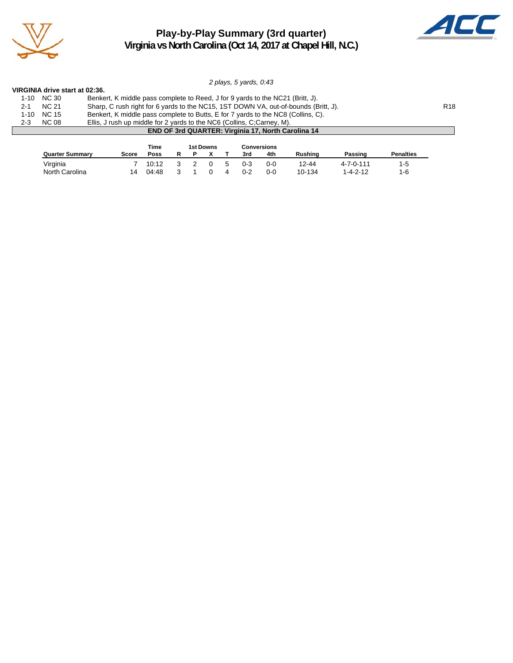

# **Play-by-Play Summary (3rd quarter) Virginia vs North Carolina (Oct 14, 2017 at Chapel Hill, N.C.)**



*2 plays, 5 yards, 0:43*

| VIRGINIA drive start at 02:36. |  |  |  |  |
|--------------------------------|--|--|--|--|
|--------------------------------|--|--|--|--|

|         | 1-10 NC 30                                                | Benkert, K middle pass complete to Reed, J for 9 yards to the NC21 (Britt, J).      |                 |  |  |  |  |  |
|---------|-----------------------------------------------------------|-------------------------------------------------------------------------------------|-----------------|--|--|--|--|--|
| 2-1     | NC 21                                                     | Sharp, C rush right for 6 yards to the NC15, 1ST DOWN VA, out-of-bounds (Britt, J). | R <sub>18</sub> |  |  |  |  |  |
|         | $1-10$ NC $15$                                            | Benkert, K middle pass complete to Butts, E for 7 yards to the NC8 (Collins, C).    |                 |  |  |  |  |  |
| $2 - 3$ | <b>NC 08</b>                                              | Ellis, J rush up middle for 2 yards to the NC6 (Collins, C;Carney, M).              |                 |  |  |  |  |  |
|         | <b>END OF 3rd QUARTER: Virginia 17, North Carolina 14</b> |                                                                                     |                 |  |  |  |  |  |

|                        |              | Time  |  | 1st Downs |   |     | <b>Conversions</b> |                |                   |                  |
|------------------------|--------------|-------|--|-----------|---|-----|--------------------|----------------|-------------------|------------------|
| <b>Quarter Summary</b> | <b>Score</b> | Poss  |  |           |   | 3rd | 4th                | <b>Rushing</b> | Passing           | <b>Penalties</b> |
| Virginia               |              | 10:12 |  |           | 5 | 0-3 | 0-0                | 12-44          | $4 - 7 - 0 - 111$ | 1-5              |
| North Carolina         | 14           | 04:48 |  |           |   | 0-2 | 0-0                | 10-134         | $1 - 4 - 2 - 12$  | 1-6              |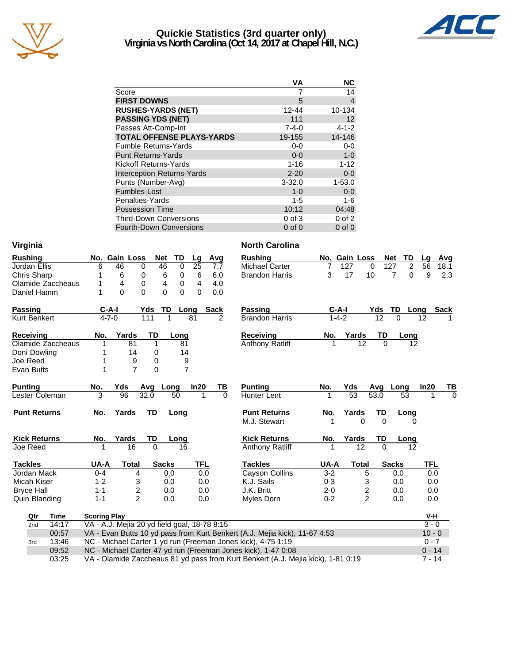

# **Quickie Statistics (3rd quarter only) Virginia vs North Carolina (Oct 14, 2017 at Chapel Hill, N.C.)**



|                                   | VА          | <b>NC</b>   |
|-----------------------------------|-------------|-------------|
| Score                             |             | 14          |
| <b>FIRST DOWNS</b>                | 5           | 4           |
| <b>RUSHES-YARDS (NET)</b>         | 12-44       | 10-134      |
| <b>PASSING YDS (NET)</b>          | 111         | 12          |
| Passes Att-Comp-Int               | $7 - 4 - 0$ | $4 - 1 - 2$ |
| <b>TOTAL OFFENSE PLAYS-YARDS</b>  | 19-155      | 14-146      |
| <b>Fumble Returns-Yards</b>       | $0 - 0$     | $0 - 0$     |
| <b>Punt Returns-Yards</b>         | $0 - 0$     | $1-0$       |
| <b>Kickoff Returns-Yards</b>      | $1 - 16$    | $1 - 12$    |
| <b>Interception Returns-Yards</b> | $2 - 20$    | $0-0$       |
| Punts (Number-Avg)                | $3 - 32.0$  | $1 - 53.0$  |
| Fumbles-Lost                      | $1 - 0$     | $0-0$       |
| Penalties-Yards                   | 1-5         | $1 - 6$     |
| <b>Possession Time</b>            | 10:12       | 04:48       |
| <b>Third-Down Conversions</b>     | $0$ of $3$  | $0$ of $2$  |
| <b>Fourth-Down Conversions</b>    | $0$ of $0$  | $0$ of $0$  |

| Virginia            |                                              |               |                         |              |                |                 |          | <b>North Carolina</b>                                                            |         |                 |                |          |              |                                   |            |
|---------------------|----------------------------------------------|---------------|-------------------------|--------------|----------------|-----------------|----------|----------------------------------------------------------------------------------|---------|-----------------|----------------|----------|--------------|-----------------------------------|------------|
| <b>Rushing</b>      |                                              | No. Gain Loss |                         | <b>Net</b>   | TD             | Lg              | Avg      | <b>Rushing</b>                                                                   |         | No. Gain Loss   |                |          | TD<br>Net    | Lg                                | Avg        |
| Jordan Ellis        | 6                                            | 46            | 0                       | 46           | $\mathbf 0$    | $\overline{25}$ | 7.7      | <b>Michael Carter</b>                                                            | 7       | 127             | $\Omega$       |          | 127          | $\overline{2}$<br>$\overline{56}$ | 18.1       |
| <b>Chris Sharp</b>  |                                              | 6             | 0                       | 6            | 0              | 6               | 6.0      | <b>Brandon Harris</b>                                                            | 3       | 17              | 10             |          | 7            | $\Omega$                          | 9<br>2.3   |
| Olamide Zaccheaus   |                                              | 4             | 0                       | 4            | 0              | $\overline{4}$  | 4.0      |                                                                                  |         |                 |                |          |              |                                   |            |
| Daniel Hamm         |                                              | $\Omega$      | 0                       | $\Omega$     | 0              | 0               | 0.0      |                                                                                  |         |                 |                |          |              |                                   |            |
| Passing             | C-A-I                                        |               | Yds                     | TD           | Long           |                 | Sack     | Passing                                                                          |         | C-A-I           |                | Yds      | TD           | Long                              | Sack       |
| Kurt Benkert        | $4 - 7 - 0$                                  |               | 111                     |              |                | 81              | 2        | <b>Brandon Harris</b>                                                            |         | $1 - 4 - 2$     |                | 12       |              | 12                                |            |
| <b>Receiving</b>    | No.                                          | Yards         | TD                      |              | Long           |                 |          | <b>Receiving</b>                                                                 | No.     | Yards           |                | TD       | Long         |                                   |            |
| Olamide Zaccheaus   | 1                                            | 81            |                         | 1            | 81             |                 |          | <b>Anthony Ratliff</b>                                                           |         |                 | 12             | $\Omega$ |              | 12                                |            |
| Doni Dowling        | 1                                            | 14            |                         | 0            | 14             |                 |          |                                                                                  |         |                 |                |          |              |                                   |            |
| Joe Reed            | 1                                            |               | 9                       | 0            | 9              |                 |          |                                                                                  |         |                 |                |          |              |                                   |            |
| Evan Butts          | 1                                            |               | $\overline{7}$          | $\Omega$     | $\overline{7}$ |                 |          |                                                                                  |         |                 |                |          |              |                                   |            |
| <b>Punting</b>      | <b>No.</b>                                   | Yds           | Avg                     |              | Long           | In20            | TВ       | <b>Punting</b>                                                                   | No.     | Yds             |                | Avq      | Long         | In20                              | ТВ         |
| Lester Coleman      | 3                                            | 96            | 32.0                    |              | 50             |                 | $\Omega$ | <b>Hunter Lent</b>                                                               |         | $\overline{53}$ |                | 53.0     | 53           |                                   | $\Omega$   |
| <b>Punt Returns</b> | No.                                          | Yards         | TD                      |              | Long           |                 |          | <b>Punt Returns</b>                                                              | No.     | Yards           |                | TD       | Long         |                                   |            |
|                     |                                              |               |                         |              |                |                 |          | M.J. Stewart                                                                     |         |                 | $\Omega$       | $\Omega$ |              | O                                 |            |
| <b>Kick Returns</b> | No.                                          | Yards         | TD                      |              | Long           |                 |          | <b>Kick Returns</b>                                                              | No.     | Yards           |                | TD       | <u>Long</u>  |                                   |            |
| Joe Reed            | 1                                            | 16            |                         | $\Omega$     | 16             |                 |          | <b>Anthony Ratliff</b>                                                           |         |                 | 12             | $\Omega$ |              | 12                                |            |
| <b>Tackles</b>      | UA-A                                         | <b>Total</b>  |                         | <b>Sacks</b> |                | <b>TFL</b>      |          | <b>Tackles</b>                                                                   | UA-A    |                 | <b>Total</b>   |          | <b>Sacks</b> |                                   | <b>TFL</b> |
| Jordan Mack         | $0 - 4$                                      |               | 4                       | 0.0          |                | 0.0             |          | <b>Cayson Collins</b>                                                            | $3 - 2$ |                 | 5              |          | 0.0          |                                   | 0.0        |
| Micah Kiser         | $1 - 2$                                      |               | 3                       | 0.0          |                | 0.0             |          | K.J. Sails                                                                       | $0 - 3$ |                 | 3              |          | 0.0          |                                   | 0.0        |
| <b>Bryce Hall</b>   | $1 - 1$                                      |               | $\overline{\mathbf{c}}$ | 0.0          |                | 0.0             |          | J.K. Britt                                                                       | $2 - 0$ |                 | 2              |          | 0.0          |                                   | 0.0        |
| Quin Blanding       | $1 - 1$                                      |               | $\overline{2}$          | 0.0          |                | 0.0             |          | Myles Dorn                                                                       | $0 - 2$ |                 | $\overline{2}$ |          | 0.0          |                                   | 0.0        |
| Qtr<br>Time         | <b>Scoring Play</b>                          |               |                         |              |                |                 |          |                                                                                  |         |                 |                |          |              |                                   | V-H        |
| 14:17<br>2nd        | VA - A.J. Mejia 20 yd field goal, 18-78 8:15 |               |                         |              |                |                 |          |                                                                                  |         |                 |                |          |              |                                   | $3 - 0$    |
| 00:57               |                                              |               |                         |              |                |                 |          | VA - Evan Butts 10 yd pass from Kurt Benkert (A.J. Mejia kick), 11-67 4:53       |         |                 |                |          |              |                                   | $10 - 0$   |
| 13:46<br>3rd        |                                              |               |                         |              |                |                 |          | NC - Michael Carter 1 yd run (Freeman Jones kick), 4-75 1:19                     |         |                 |                |          |              |                                   | $0 - 7$    |
| 09:52               |                                              |               |                         |              |                |                 |          | NC - Michael Carter 47 yd run (Freeman Jones kick), 1-47 0:08                    |         |                 |                |          |              |                                   | $0 - 14$   |
| 03:25               |                                              |               |                         |              |                |                 |          | VA - Olamide Zaccheaus 81 yd pass from Kurt Benkert (A.J. Mejia kick), 1-81 0:19 |         |                 |                |          |              |                                   | $7 - 14$   |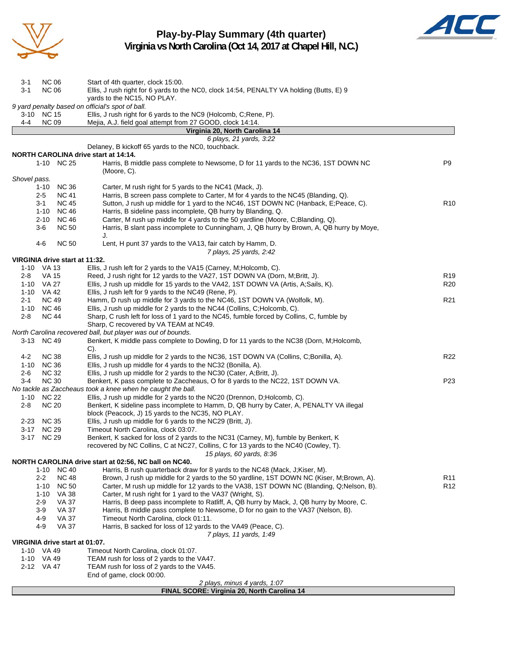

**Play-by-Play Summary (4th quarter) Virginia vs North Carolina (Oct 14, 2017 at Chapel Hill, N.C.)**



| <b>NC 06</b><br>3-1                          | Start of 4th quarter, clock 15:00.                                                                                                                       |                 |
|----------------------------------------------|----------------------------------------------------------------------------------------------------------------------------------------------------------|-----------------|
| 3-1<br><b>NC 06</b>                          | Ellis, J rush right for 6 yards to the NC0, clock 14:54, PENALTY VA holding (Butts, E) 9                                                                 |                 |
|                                              | yards to the NC15, NO PLAY.<br>9 yard penalty based on official's spot of ball.                                                                          |                 |
| 3-10 NC 15                                   | Ellis, J rush right for 6 yards to the NC9 (Holcomb, C;Rene, P).                                                                                         |                 |
| 4-4<br><b>NC 09</b>                          | Mejia, A.J. field goal attempt from 27 GOOD, clock 14:14.                                                                                                |                 |
|                                              | Virginia 20, North Carolina 14                                                                                                                           |                 |
|                                              | 6 plays, 21 yards, 3:22                                                                                                                                  |                 |
|                                              | Delaney, B kickoff 65 yards to the NC0, touchback.                                                                                                       |                 |
| NORTH CAROLINA drive start at 14:14.         |                                                                                                                                                          |                 |
| 1-10 NC 25                                   | Harris, B middle pass complete to Newsome, D for 11 yards to the NC36, 1ST DOWN NC                                                                       | P9              |
| Shovel pass.                                 | (Moore, C).                                                                                                                                              |                 |
| <b>NC 36</b><br>1-10                         | Carter, M rush right for 5 yards to the NC41 (Mack, J).                                                                                                  |                 |
| $2 - 5$<br><b>NC 41</b>                      | Harris, B screen pass complete to Carter, M for 4 yards to the NC45 (Blanding, Q).                                                                       |                 |
| $3 - 1$<br><b>NC 45</b>                      | Sutton, J rush up middle for 1 yard to the NC46, 1ST DOWN NC (Hanback, E; Peace, C).                                                                     | R <sub>10</sub> |
| <b>NC 46</b><br>1-10                         | Harris, B sideline pass incomplete, QB hurry by Blanding, Q.                                                                                             |                 |
| $2 - 10$<br><b>NC 46</b>                     | Carter, M rush up middle for 4 yards to the 50 yardline (Moore, C;Blanding, Q).                                                                          |                 |
| <b>NC 50</b><br>3-6                          | Harris, B slant pass incomplete to Cunningham, J, QB hurry by Brown, A, QB hurry by Moye,                                                                |                 |
|                                              | J.                                                                                                                                                       |                 |
| $4 - 6$<br><b>NC 50</b>                      | Lent, H punt 37 yards to the VA13, fair catch by Hamm, D.                                                                                                |                 |
|                                              | 7 plays, 25 yards, 2:42                                                                                                                                  |                 |
| VIRGINIA drive start at 11:32.<br>1-10 VA 13 | Ellis, J rush left for 2 yards to the VA15 (Carney, M; Holcomb, C).                                                                                      |                 |
| 2-8<br><b>VA 15</b>                          | Reed, J rush right for 12 yards to the VA27, 1ST DOWN VA (Dorn, M;Britt, J).                                                                             | R <sub>19</sub> |
| 1-10 VA 27                                   | Ellis, J rush up middle for 15 yards to the VA42, 1ST DOWN VA (Artis, A;Sails, K).                                                                       | R <sub>20</sub> |
| 1-10 VA 42                                   | Ellis, J rush left for 9 yards to the NC49 (Rene, P).                                                                                                    |                 |
| <b>NC 49</b><br>2-1                          | Hamm, D rush up middle for 3 yards to the NC46, 1ST DOWN VA (Wolfolk, M).                                                                                | R <sub>21</sub> |
| 1-10 NC 46                                   | Ellis, J rush up middle for 2 yards to the NC44 (Collins, C;Holcomb, C).                                                                                 |                 |
| 2-8<br><b>NC 44</b>                          | Sharp, C rush left for loss of 1 yard to the NC45, fumble forced by Collins, C, fumble by                                                                |                 |
|                                              | Sharp, C recovered by VA TEAM at NC49.                                                                                                                   |                 |
| 3-13 NC 49                                   | North Carolina recovered ball, but player was out of bounds.<br>Benkert, K middle pass complete to Dowling, D for 11 yards to the NC38 (Dorn, M;Holcomb, |                 |
|                                              | $C$ ).                                                                                                                                                   |                 |
| <b>NC 38</b><br>$4 - 2$                      | Ellis, J rush up middle for 2 yards to the NC36, 1ST DOWN VA (Collins, C;Bonilla, A).                                                                    | R <sub>22</sub> |
| <b>NC 36</b><br>1-10                         | Ellis, J rush up middle for 4 yards to the NC32 (Bonilla, A).                                                                                            |                 |
| <b>NC 32</b><br>2-6                          | Ellis, J rush up middle for 2 yards to the NC30 (Cater, A;Britt, J).                                                                                     |                 |
| <b>NC 30</b><br>3-4                          | Benkert, K pass complete to Zaccheaus, O for 8 yards to the NC22, 1ST DOWN VA.                                                                           | P23             |
|                                              | No tackle as Zaccheaus took a knee when he caught the ball.                                                                                              |                 |
| $1 - 10$<br><b>NC 22</b>                     | Ellis, J rush up middle for 2 yards to the NC20 (Drennon, D; Holcomb, C).                                                                                |                 |
| <b>NC 20</b><br>$2 - 8$                      | Benkert, K sideline pass incomplete to Hamm, D, QB hurry by Cater, A, PENALTY VA illegal<br>block (Peacock, J) 15 yards to the NC35, NO PLAY.            |                 |
| <b>NC 35</b><br>2-23                         | Ellis, J rush up middle for 6 yards to the NC29 (Britt, J).                                                                                              |                 |
| 3-17 NC 29                                   | Timeout North Carolina, clock 03:07.                                                                                                                     |                 |
| 3-17 NC 29                                   | Benkert, K sacked for loss of 2 yards to the NC31 (Carney, M), fumble by Benkert, K                                                                      |                 |
|                                              | recovered by NC Collins, C at NC27, Collins, C for 13 yards to the NC40 (Cowley, T).                                                                     |                 |
|                                              | 15 plays, 60 yards, 8:36                                                                                                                                 |                 |
|                                              | NORTH CAROLINA drive start at 02:56, NC ball on NC40.                                                                                                    |                 |
| 1-10 NC 40                                   | Harris, B rush quarterback draw for 8 yards to the NC48 (Mack, J; Kiser, M).                                                                             |                 |
| $2 - 2$<br><b>NC 48</b>                      | Brown, J rush up middle for 2 yards to the 50 yardline, 1ST DOWN NC (Kiser, M;Brown, A).                                                                 | R <sub>11</sub> |
| <b>NC 50</b><br>1-10<br>1-10                 | Carter, M rush up middle for 12 yards to the VA38, 1ST DOWN NC (Blanding, Q;Nelson, B).<br>Carter, M rush right for 1 yard to the VA37 (Wright, S).      | R <sub>12</sub> |
| VA 38<br><b>VA 37</b><br>2-9                 | Harris, B deep pass incomplete to Ratliff, A, QB hurry by Mack, J, QB hurry by Moore, C.                                                                 |                 |
| $3-9$<br><b>VA 37</b>                        | Harris, B middle pass complete to Newsome, D for no gain to the VA37 (Nelson, B).                                                                        |                 |
| $4 - 9$<br>VA 37                             | Timeout North Carolina, clock 01:11.                                                                                                                     |                 |
| 4-9<br><b>VA 37</b>                          | Harris, B sacked for loss of 12 yards to the VA49 (Peace, C).                                                                                            |                 |
|                                              | 7 plays, 11 yards, 1:49                                                                                                                                  |                 |
| VIRGINIA drive start at 01:07.               |                                                                                                                                                          |                 |
| 1-10 VA 49                                   | Timeout North Carolina, clock 01:07.                                                                                                                     |                 |
| 1-10 VA 49                                   | TEAM rush for loss of 2 yards to the VA47.                                                                                                               |                 |
| 2-12 VA 47                                   | TEAM rush for loss of 2 yards to the VA45.<br>End of game, clock 00:00.                                                                                  |                 |
|                                              | 2 plays, minus 4 yards, 1:07                                                                                                                             |                 |
|                                              | FINAL SCORE: Virginia 20, North Carolina 14                                                                                                              |                 |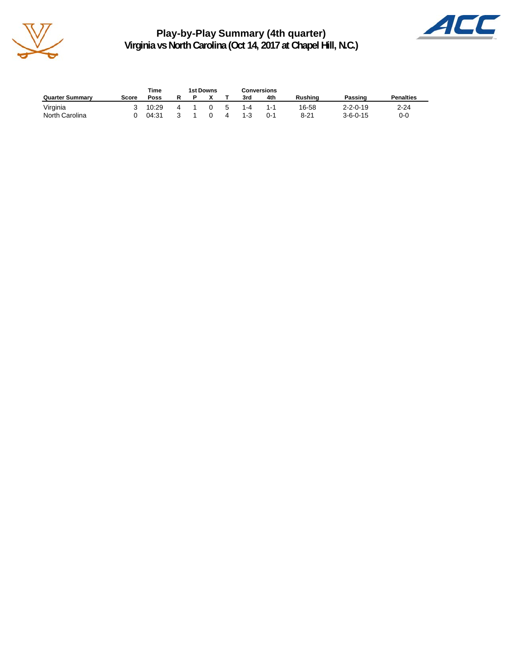

**Play-by-Play Summary (4th quarter) Virginia vs North Carolina (Oct 14, 2017 at Chapel Hill, N.C.)**



|                        |       | Time  | <b>1st Downs</b> |    |         | Conversions |                |                  |                  |
|------------------------|-------|-------|------------------|----|---------|-------------|----------------|------------------|------------------|
| <b>Quarter Summary</b> | Score | Poss  |                  |    | 3rd     | 4th         | <b>Rushing</b> | Passing          | <b>Penalties</b> |
| Virginia               |       | 10:29 |                  | -5 | 1-4     | 1.1         | 16-58          | $2 - 2 - 0 - 19$ | $2 - 24$         |
| North Carolina         |       | 04:31 |                  | 4  | $1 - 3$ | በ-1         | $8 - 21$       | $3 - 6 - 0 - 15$ | 0-0              |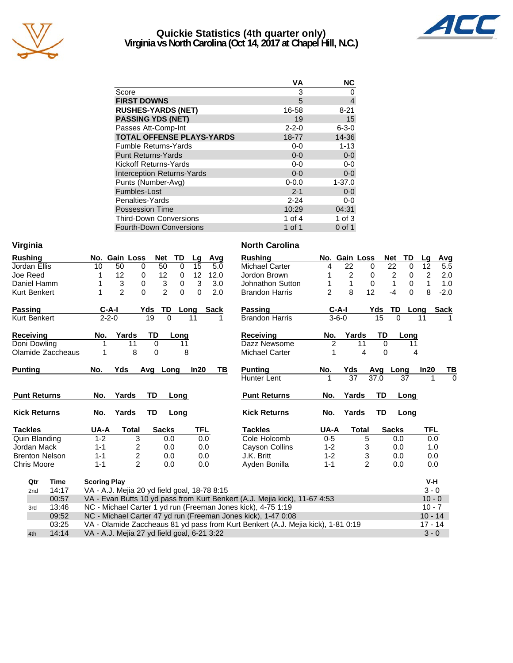

# **Quickie Statistics (4th quarter only) Virginia vs North Carolina (Oct 14, 2017 at Chapel Hill, N.C.)**



|                                   | VА          | <b>NC</b>      |
|-----------------------------------|-------------|----------------|
| Score                             | 3           | 0              |
| <b>FIRST DOWNS</b>                | 5           | $\overline{4}$ |
| <b>RUSHES-YARDS (NET)</b>         | 16-58       | $8 - 21$       |
| <b>PASSING YDS (NET)</b>          | 19          | 15             |
| Passes Att-Comp-Int               | $2 - 2 - 0$ | $6 - 3 - 0$    |
| <b>TOTAL OFFENSE PLAYS-YARDS</b>  | 18-77       | 14-36          |
| <b>Fumble Returns-Yards</b>       | $0-0$       | $1 - 13$       |
| <b>Punt Returns-Yards</b>         | $0 - 0$     | $0-0$          |
| Kickoff Returns-Yards             | $0-0$       | $0-0$          |
| <b>Interception Returns-Yards</b> | $0 - 0$     | $0 - 0$        |
| Punts (Number-Avg)                | $0 - 0.0$   | $1 - 37.0$     |
| Fumbles-Lost                      | $2 - 1$     | $0-0$          |
| Penalties-Yards                   | $2 - 24$    | 0-0            |
| <b>Possession Time</b>            | 10:29       | 04:31          |
| <b>Third-Down Conversions</b>     | 1 of $4$    | 1 of $3$       |
| <b>Fourth-Down Conversions</b>    | 1 of 1      | $0$ of 1       |

| Virginia            |                       |                                              |                |                  |                           |             |          |      |     | <b>North Carolina</b>                                                            |                |                 |                |             |              |          |                |                |
|---------------------|-----------------------|----------------------------------------------|----------------|------------------|---------------------------|-------------|----------|------|-----|----------------------------------------------------------------------------------|----------------|-----------------|----------------|-------------|--------------|----------|----------------|----------------|
| <b>Rushing</b>      |                       |                                              | No. Gain Loss  |                  | Net                       | TD          | Lg       | Avg  |     | <b>Rushing</b>                                                                   |                | No. Gain Loss   |                |             | Net          | TD       | Lq             | Avg            |
| Jordan Ellis        |                       | 10                                           | 50             | 0                | 50                        | $\mathbf 0$ | 15       |      | 5.0 | <b>Michael Carter</b>                                                            | 4              | 22              |                | $\mathbf 0$ | 22           | 0        | 12             | 5.5            |
| Joe Reed            |                       |                                              | 12             | 0                | 12                        | 0           | 12       | 12.0 |     | Jordon Brown                                                                     |                | $\overline{c}$  |                | 0           | 2            | 0        | $\overline{c}$ | 2.0            |
| Daniel Hamm         |                       |                                              | 3              | 0                | $\ensuremath{\mathsf{3}}$ | 0           | 3        |      | 3.0 | Johnathon Sutton                                                                 |                | 1               |                | 0           | 1            | 0        | 1              | 1.0            |
| Kurt Benkert        |                       |                                              | $\mathfrak{p}$ | $\Omega$         | $\mathfrak{p}$            | $\Omega$    | $\Omega$ |      | 2.0 | <b>Brandon Harris</b>                                                            | $\mathfrak{p}$ | 8               | 12             |             | $-4$         | $\Omega$ | 8              | $-2.0$         |
| <b>Passing</b>      |                       |                                              | C-A-I          | Yds              | TD                        |             | Long     | Sack |     | Passing                                                                          |                | $C-A-I$         |                | Yds         | TD           | Long     |                | <b>Sack</b>    |
| Kurt Benkert        |                       |                                              | $2 - 2 - 0$    |                  | 19<br>$\Omega$            |             | 11       |      |     | <b>Brandon Harris</b>                                                            |                | $3 - 6 - 0$     |                | 15          | $\Omega$     | 11       |                |                |
| Receiving           |                       | No.                                          | Yards          |                  | TD                        | Long        |          |      |     | <b>Receiving</b>                                                                 | No.            | Yards           |                | TD          |              | Long     |                |                |
| Doni Dowling        |                       |                                              |                | 11               | $\Omega$                  | 11          |          |      |     | Dazz Newsome                                                                     | $\overline{2}$ |                 | 11             | $\Omega$    |              | 11       |                |                |
|                     | Olamide Zaccheaus     | 1                                            |                | 8                | $\mathbf 0$               | 8           |          |      |     | <b>Michael Carter</b>                                                            | 1              |                 | 4              | $\Omega$    |              | 4        |                |                |
| <b>Punting</b>      |                       | No.                                          | Yds            | Avq              |                           | Long        | In20     |      | TВ  | <b>Punting</b>                                                                   | No.            | Yds             |                | Avg         | Long         |          | In20           | TВ             |
|                     |                       |                                              |                |                  |                           |             |          |      |     | <b>Hunter Lent</b>                                                               | 1              | $\overline{37}$ |                | 37.0        | 37           |          |                | $\overline{0}$ |
| <b>Punt Returns</b> |                       | No.                                          | Yards          |                  | <b>TD</b>                 | Long        |          |      |     | <b>Punt Returns</b>                                                              | No.            | Yards           |                | TD          | Long         |          |                |                |
| <b>Kick Returns</b> |                       | No.                                          | Yards          |                  | TD                        | Long        |          |      |     | <b>Kick Returns</b>                                                              | No.            | Yards           |                | TD          | Long         |          |                |                |
| <b>Tackles</b>      |                       | UA-A                                         |                | <b>Total</b>     | <b>Sacks</b>              |             | TFL      |      |     | <b>Tackles</b>                                                                   | UA-A           |                 | <b>Total</b>   |             | <b>Sacks</b> |          | TFL            |                |
| Quin Blanding       |                       | $1 - 2$                                      |                | 3                | 0.0                       |             |          | 0.0  |     | Cole Holcomb                                                                     | $0 - 5$        |                 | 5              |             | 0.0          |          | 0.0            |                |
| Jordan Mack         |                       | $1 - 1$                                      |                | 2                | 0.0                       |             |          | 0.0  |     | Cayson Collins                                                                   | $1 - 2$        |                 | 3              |             | 0.0          |          | 1.0            |                |
|                     | <b>Brenton Nelson</b> | $1 - 1$                                      |                | $\boldsymbol{2}$ | 0.0                       |             |          | 0.0  |     | J.K. Britt                                                                       | $1 - 2$        |                 | 3              |             | 0.0          |          | 0.0            |                |
| <b>Chris Moore</b>  |                       | $1 - 1$                                      |                | $\overline{2}$   | 0.0                       |             |          | 0.0  |     | Ayden Bonilla                                                                    | $1 - 1$        |                 | $\overline{c}$ |             | 0.0          |          | 0.0            |                |
| Qtr                 | <b>Time</b>           | <b>Scoring Play</b>                          |                |                  |                           |             |          |      |     |                                                                                  |                |                 |                |             |              |          | V-H            |                |
| 2nd                 | 14:17                 | VA - A.J. Mejia 20 yd field goal, 18-78 8:15 |                |                  |                           |             |          |      |     |                                                                                  |                |                 |                |             |              |          | $3 - 0$        |                |
|                     | 00:57                 |                                              |                |                  |                           |             |          |      |     | VA - Evan Butts 10 yd pass from Kurt Benkert (A.J. Mejia kick), 11-67 4:53       |                |                 |                |             |              |          | $10 - 0$       |                |
| 3rd                 | 13:46                 |                                              |                |                  |                           |             |          |      |     | NC - Michael Carter 1 yd run (Freeman Jones kick), 4-75 1:19                     |                |                 |                |             |              |          | $10 - 7$       |                |
|                     | 09:52                 |                                              |                |                  |                           |             |          |      |     | NC - Michael Carter 47 yd run (Freeman Jones kick), 1-47 0:08                    |                |                 |                |             |              |          | $10 - 14$      |                |
|                     | 03:25                 |                                              |                |                  |                           |             |          |      |     | VA - Olamide Zaccheaus 81 yd pass from Kurt Benkert (A.J. Mejia kick), 1-81 0:19 |                |                 |                |             |              |          | $17 - 14$      |                |
| 4th                 | 14:14                 | VA - A.J. Mejia 27 yd field goal, 6-21 3:22  |                |                  |                           |             |          |      |     |                                                                                  |                |                 |                |             |              |          | $3 - 0$        |                |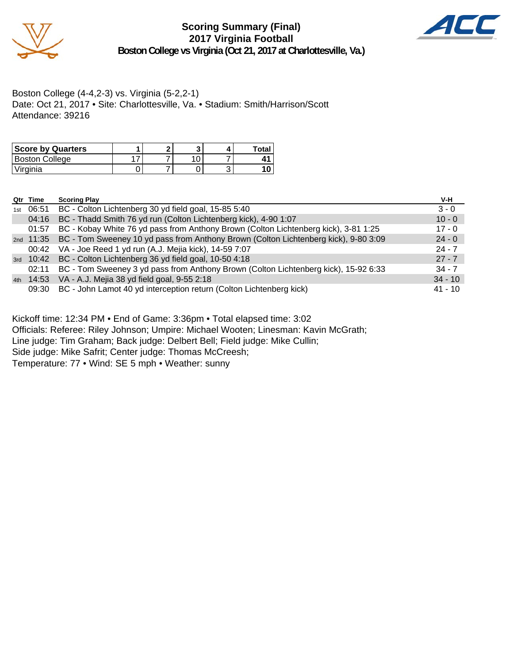

**Scoring Summary (Final) 2017 Virginia Football Boston College vs Virginia (Oct 21, 2017 at Charlottesville, Va.)**



Boston College (4-4,2-3) vs. Virginia (5-2,2-1) Date: Oct 21, 2017 • Site: Charlottesville, Va. • Stadium: Smith/Harrison/Scott Attendance: 39216

| <b>Score by Quarters</b> |  |  | Total |
|--------------------------|--|--|-------|
| Boston College           |  |  |       |
| l Virginia               |  |  |       |

|     | Qtr Time             | <b>Scoring Play</b>                                                                           | V-H       |
|-----|----------------------|-----------------------------------------------------------------------------------------------|-----------|
| 1st | 06:51                | BC - Colton Lichtenberg 30 yd field goal, 15-85 5:40                                          | $3 - 0$   |
|     | 04:16                | BC - Thadd Smith 76 yd run (Colton Lichtenberg kick), 4-90 1:07                               | $10 - 0$  |
|     | 01:57                | BC - Kobay White 76 yd pass from Anthony Brown (Colton Lichtenberg kick), 3-81 1:25           | $17 - 0$  |
|     |                      | 2nd 11:35 BC - Tom Sweeney 10 yd pass from Anthony Brown (Colton Lichtenberg kick), 9-80 3:09 | $24 - 0$  |
|     |                      | 00:42 VA - Joe Reed 1 yd run (A.J. Mejia kick), 14-59 7:07                                    | $24 - 7$  |
|     | <sub>3rd</sub> 10:42 | BC - Colton Lichtenberg 36 yd field goal, 10-50 4:18                                          | $27 - 7$  |
|     | 02:11                | BC - Tom Sweeney 3 yd pass from Anthony Brown (Colton Lichtenberg kick), 15-92 6:33           | $34 - 7$  |
|     |                      | 4th 14:53 VA - A.J. Mejia 38 yd field goal, 9-55 2:18                                         | $34 - 10$ |
|     | 09:30                | BC - John Lamot 40 yd interception return (Colton Lichtenberg kick)                           | $41 - 10$ |

Kickoff time: 12:34 PM • End of Game: 3:36pm • Total elapsed time: 3:02

Officials: Referee: Riley Johnson; Umpire: Michael Wooten; Linesman: Kavin McGrath;

Line judge: Tim Graham; Back judge: Delbert Bell; Field judge: Mike Cullin;

Side judge: Mike Safrit; Center judge: Thomas McCreesh;

Temperature: 77 • Wind: SE 5 mph • Weather: sunny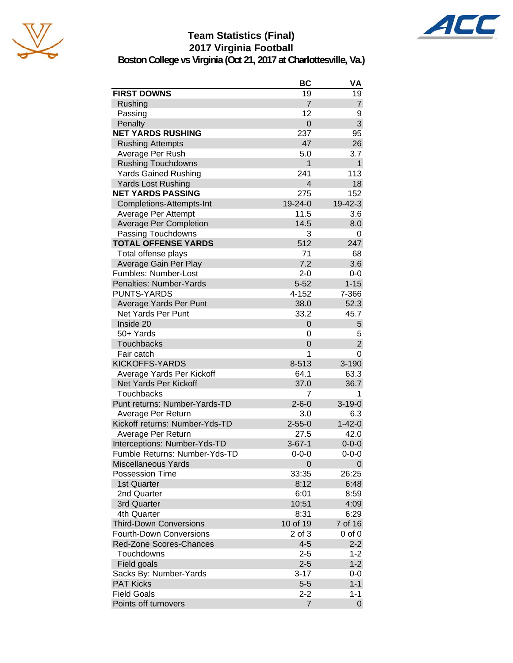





**Boston College vs Virginia (Oct 21, 2017 at Charlottesville, Va.)**

|                                | BC                      | VA             |
|--------------------------------|-------------------------|----------------|
| <b>FIRST DOWNS</b>             | 19                      | 19             |
| Rushing                        | $\overline{7}$          | $\overline{7}$ |
| Passing                        | 12                      | 9              |
| Penalty                        | $\overline{0}$          | 3              |
| <b>NET YARDS RUSHING</b>       | 237                     | 95             |
| <b>Rushing Attempts</b>        | 47                      | 26             |
| Average Per Rush               | 5.0                     | 3.7            |
| <b>Rushing Touchdowns</b>      | $\mathbf{1}$            | $\mathbf{1}$   |
| <b>Yards Gained Rushing</b>    | 241                     | 113            |
| <b>Yards Lost Rushing</b>      | $\overline{\mathbf{4}}$ | 18             |
| <b>NET YARDS PASSING</b>       | 275                     | 152            |
| Completions-Attempts-Int       | 19-24-0                 | 19-42-3        |
| Average Per Attempt            | 11.5                    | 3.6            |
| <b>Average Per Completion</b>  | 14.5                    | 8.0            |
| Passing Touchdowns             | 3                       | 0              |
| <b>TOTAL OFFENSE YARDS</b>     | 512                     | 247            |
| Total offense plays            | 71                      | 68             |
| Average Gain Per Play          | 7.2                     | 3.6            |
| Fumbles: Number-Lost           | $2 - 0$                 | $0-0$          |
| Penalties: Number-Yards        | $5 - 52$                | $1 - 15$       |
| <b>PUNTS-YARDS</b>             | 4-152                   | 7-366          |
| Average Yards Per Punt         | 38.0                    | 52.3           |
| <b>Net Yards Per Punt</b>      | 33.2                    | 45.7           |
| Inside 20                      | 0                       | 5              |
| 50+ Yards                      | 0                       | 5              |
| <b>Touchbacks</b>              | 0                       | $\overline{2}$ |
| Fair catch                     | 1                       | 0              |
| <b>KICKOFFS-YARDS</b>          | 8-513                   | 3-190          |
| Average Yards Per Kickoff      | 64.1                    | 63.3           |
| Net Yards Per Kickoff          | 37.0                    | 36.7           |
| <b>Touchbacks</b>              | 7                       | 1              |
| Punt returns: Number-Yards-TD  | $2 - 6 - 0$             | $3 - 19 - 0$   |
| Average Per Return             | 3.0                     | 6.3            |
| Kickoff returns: Number-Yds-TD | $2 - 55 - 0$            | $1 - 42 - 0$   |
| Average Per Return             | 27.5                    | 42.0           |
| Interceptions: Number-Yds-TD   | $3 - 67 - 1$            | $0 - 0 - 0$    |
| Fumble Returns: Number-Yds-TD  | $0 - 0 - 0$             | $0 - 0 - 0$    |
| <b>Miscellaneous Yards</b>     | 0                       | 0              |
| <b>Possession Time</b>         | 33:35                   | 26:25          |
| 1st Quarter                    | 8:12                    | 6:48           |
| 2nd Quarter                    | 6:01                    | 8:59           |
| 3rd Quarter                    | 10:51                   | 4:09           |
| 4th Quarter                    | 8:31                    | 6:29           |
| <b>Third-Down Conversions</b>  | 10 of 19                | 7 of 16        |
| <b>Fourth-Down Conversions</b> | 2 of 3                  | $0$ of $0$     |
| <b>Red-Zone Scores-Chances</b> | $4 - 5$                 | $2 - 2$        |
| Touchdowns                     | $2 - 5$                 | $1 - 2$        |
| Field goals                    | $2 - 5$                 | $1 - 2$        |
| Sacks By: Number-Yards         | $3 - 17$                | 0-0            |
| <b>PAT Kicks</b>               | $5-5$                   | $1 - 1$        |
| <b>Field Goals</b>             | 2-2                     | $1 - 1$        |
| Points off turnovers           | 7                       | $\mathbf 0$    |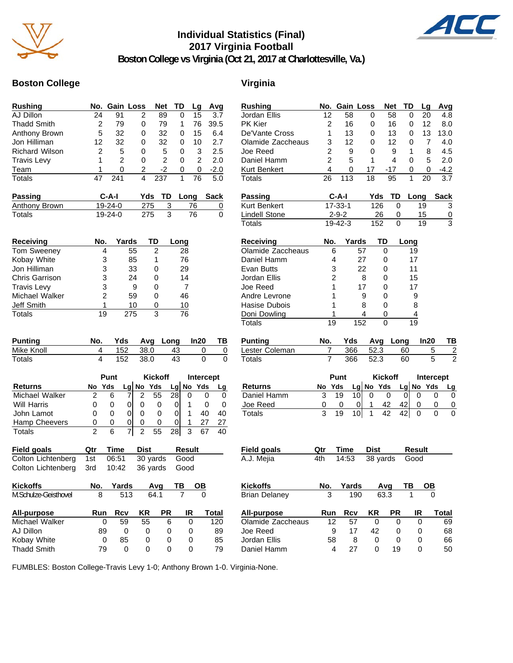

# **Individual Statistics (Final) 2017 Virginia Football**



**Boston College vs Virginia (Oct 21, 2017 at Charlottesville, Va.)**

## **Boston College Virginia**

| <b>Rushing</b>        | No.            |                | Gain Loss           |                | <b>Net</b>      | TD             | Lg             | Avg            | Rusl             |
|-----------------------|----------------|----------------|---------------------|----------------|-----------------|----------------|----------------|----------------|------------------|
| AJ Dillon             | 24             | 91             | 2                   |                | 89              | 0              | 15             | 3.7            | Jord             |
| <b>Thadd Smith</b>    | 2              | 79             | 0                   |                | 79              | 1              | 76             | 39.5           | PK <sub>k</sub>  |
| Anthony Brown         | 5              | 32             | 0                   |                | 32              | 0              | 15             | 6.4            | De'V             |
| Jon Hilliman          | 12             | 32             | 0                   |                | 32              | 0              | 10             | 2.7            | Olan             |
| <b>Richard Wilson</b> | $\overline{c}$ | 5              | 0                   |                | 5               | 0              | 3              | 2.5            | Joe l            |
| <b>Travis Levy</b>    | 1              | $\overline{c}$ | 0                   |                | $\overline{c}$  | 0              | $\overline{c}$ | 2.0            | Dani             |
| Team                  | 1              | 0              | 2                   |                | $-2$            | 0              | 0              | $-2.0$         | Kurt             |
| Totals                | 47             | 241            | 4                   |                | 237             | 1              | 76             | 5.0            | Tota             |
| <b>Passing</b>        |                | $C-A-I$        |                     | Yds            | TD              | Long           |                | <b>Sack</b>    | Pass             |
| Anthony Brown         |                | 19-24-0        |                     | 275            | 3               |                | 76             | $\overline{0}$ | Kurt             |
| <b>Totals</b>         |                | $19 - 24 - 0$  |                     | 275            | $\overline{3}$  |                | 76             | 0              | Lind<br>Tota     |
| Receiving             | No.            |                | Yards               | TD             |                 | Long           |                |                | Rec              |
| Tom Sweeney           |                | 4              | 55                  | 2              |                 | 28             |                |                | Olan             |
| Kobay White           |                | 3              | 85                  | 1              |                 | 76             |                |                | Dani             |
| Jon Hilliman          |                | 3              | 33                  | 0              |                 | 29             |                |                | Evar             |
| Chris Garrison        |                | 3              | 24                  | 0              |                 | 14             |                |                | Jord             |
| <b>Travis Levy</b>    |                | 3              | 9                   | 0              |                 | $\overline{7}$ |                |                | Joe l            |
| Michael Walker        |                | $\overline{c}$ | 59                  | 0              |                 | 46             |                |                | Andr             |
| Jeff Smith            |                | 1              | 10                  | 0              |                 | 10             |                |                | Hasi             |
| <b>Totals</b>         | 19             |                | 275                 | 3              |                 | 76             |                |                | Doni             |
| <b>Punting</b>        | No.            | Yds            |                     | Avg            | Long            |                | In20           | TВ             | Tota<br>Punt     |
| Mike Knoll            | 4              | 152            |                     | 38.0           | 43              |                | 0              | 0              | Lest             |
| Totals                | 4              | 152            |                     | 38.0           | 43              |                | 0              | 0              | Tota             |
|                       |                | Punt           |                     | <b>Kickoff</b> |                 |                |                | Intercept      |                  |
| <b>Returns</b>        | No             | Yds            | Lg No Yds           |                |                 | Lg No          | Yds            | Lg             | Rett             |
| Michael Walker        | 2              | 6              | 2<br>7              | 55             | 28              | 0              |                | 0<br>0         | Dan              |
| <b>Will Harris</b>    | 0              | 0              | 0<br>0              | 0              | 0               | 1              |                | 0<br>0         | Joe              |
| John Lamot            | 0              | 0              | 0<br>0              | 0              | 0               | $\mathbf{1}$   | 40             | 40             | Tota             |
| Hamp Cheevers         | 0              | 0              | 0<br>0              | 0              | 0               | 1              | 27             | 27             |                  |
| Totals                | $\overline{2}$ | 6              | 7<br>$\overline{2}$ | 55             | $\overline{28}$ | $\overline{3}$ | 67             | 40             |                  |
| <b>Field goals</b>    | Qtr            | <b>Time</b>    | <b>Dist</b>         |                |                 | <b>Result</b>  |                |                | Field            |
| Colton Lichtenberg    | 1st            | 06:51          |                     | 30 yards       |                 | Good           |                |                | A.J.             |
| Colton Lichtenberg    | 3rd            | 10:42          |                     | 36 yards       |                 | Good           |                |                |                  |
| <b>Kickoffs</b>       | No.            | Yards          |                     | Avq            |                 | ΤВ             | ОВ             |                | Kick             |
| M.Schulze-Geisthovel  | 8              |                | 513                 | 64.1           |                 | 7              | 0              |                | Briar            |
| All-purpose           | Run            | Rcv            | KR                  |                | <b>PR</b>       | IR             |                | <b>Total</b>   | All-p            |
| Michael Walker        |                | 59<br>0        |                     | 55             | 6               | 0              |                | 120            | Olan             |
| AJ Dillon             | 89             |                | 0                   | 0              | 0               | 0              |                | 89             | Joe <sub>1</sub> |
| Kobay White           |                | 85<br>0        |                     | 0              | 0               | 0              |                | 85             | Jord             |
| <b>Thadd Smith</b>    | 79             |                | 0                   | 0              | 0               | 0              |                | 79             | Dani             |

| <b>Rushing</b>       | No.            |             | Gain Loss |                | Net       | TD            | Lq   | Avg            |
|----------------------|----------------|-------------|-----------|----------------|-----------|---------------|------|----------------|
| Jordan Ellis         | 12             | 58          |           | 0              | 58        | 0             | 20   | 4.8            |
| PK Kier              | $\overline{2}$ | 16          |           | 0              | 16        | 0             | 12   | 8.0            |
| De'Vante Cross       | 1              | 13          |           | 0              | 13        | 0             | 13   | 13.0           |
| Olamide Zaccheaus    | 3              | 12          |           | 0              | 12        | 0             | 7    | 4.0            |
| Joe Reed             | $\overline{2}$ | 9           |           | 0              | 9         | 1             | 8    | 4.5            |
| Daniel Hamm          | $\overline{2}$ | 5           |           | 1              | 4         | 0             | 5    | 2.0            |
| <b>Kurt Benkert</b>  | 4              | 0           | 17        |                | -17       | 0             | 0    | $-4.2$         |
| <b>Totals</b>        | 26             | 113         | 18        |                | 95        | 1             | 20   | 3.7            |
| Passing              |                | C-A-I       |           | Yds            | TD        | Long          |      | <b>Sack</b>    |
| Kurt Benkert         |                | 17-33-1     |           | 126            | 0         |               | 19   |                |
|                      |                |             |           |                |           |               |      | 3              |
| <b>Lindell Stone</b> |                | $2 - 9 - 2$ |           | 26             | 0         |               | 15   | 0<br>3         |
| <b>Totals</b>        |                | 19-42-3     |           | 152            | 0         |               | 19   |                |
| <b>Receiving</b>     | No.            |             | Yards     | TD             |           | Long          |      |                |
| Olamide Zaccheaus    |                | 6           | 57        | 0              |           | 19            |      |                |
| Daniel Hamm          |                | 4           | 27        | 0              |           | 17            |      |                |
| Evan Butts           |                | 3           | 22        | 0              |           | 11            |      |                |
| Jordan Ellis         |                | 2           | 8         | 0              |           | 15            |      |                |
| Joe Reed             |                | 1           | 17        | 0              |           | 17            |      |                |
| Andre Levrone        |                | 1           | 9         | 0              |           | 9             |      |                |
| Hasise Dubois        |                | 1           | 8         | 0              |           | 8             |      |                |
| Doni Dowling         |                | 1           | 4         | 0              |           | 4             |      |                |
| <b>Totals</b>        | 19             |             | 152       | 0              |           | 19            |      |                |
| <b>Punting</b>       | No.            | Yds         |           | Avg            | Long      |               | In20 | ΤВ             |
| Lester Coleman       | 7              | 366         |           | 52.3           |           | 60            | 5    | $\overline{2}$ |
| <b>Totals</b>        | 7              | 366         |           | 52.3           |           | 60            | 5    | $\overline{2}$ |
|                      |                |             |           |                |           |               |      |                |
|                      |                | Punt        |           | <b>Kickoff</b> |           |               |      | Intercept      |
| <b>Returns</b>       | No             | Yds         | Lg No Yds |                |           | Lg No Yds     |      | Lg             |
| Daniel Hamm          | 3              | 19          | 10        | 0              | 0         | 0<br>0        |      | 0<br>0         |
| Joe Reed             | 0              | 0           | 0         | 1<br>42        | 42        | 0             |      | 0<br>0         |
| <b>Totals</b>        | 3              | 19          | 10        | 42<br>1        | 42        | 0             |      | 0<br>0         |
|                      |                |             |           |                |           |               |      |                |
|                      |                |             |           |                |           |               |      |                |
| <b>Field goals</b>   | Qtr            | <b>Time</b> |           | <b>Dist</b>    |           | <b>Result</b> |      |                |
| A.J. Mejia           | 4th            | 14:53       |           | 38 yards       |           | Good          |      |                |
|                      |                |             |           |                |           |               |      |                |
| <b>Kickoffs</b>      | No.            | Yards       |           | Ava            |           | ΤВ            | OВ   |                |
| <b>Brian Delaney</b> | 3              |             | 190       | 63.3           |           | 1             | 0    |                |
| <b>All-purpose</b>   | Run            | Rcv         |           | ΚR             | <b>PR</b> | IR            |      | Total          |
| Olamide Zaccheaus    | 12             |             | 57        | 0              | 0         |               | 0    | 69             |
| Joe Reed             |                | 9           | 17        | 42             | 0         | 0             |      | 68             |
| Jordan Ellis         | 58             |             | 8         | 0              | 0         |               | 0    | 66             |

Daniel Hamm 4 27 0 19 0 50

FUMBLES: Boston College-Travis Levy 1-0; Anthony Brown 1-0. Virginia-None.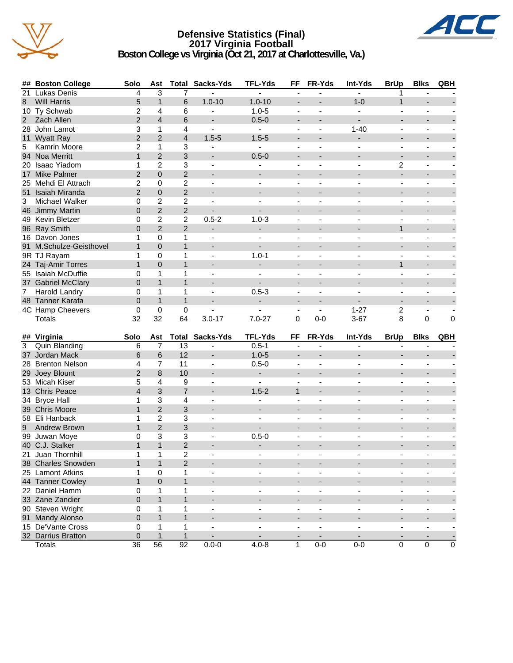

# **Defensive Statistics (Final) 2017 Virginia Football**



**Boston College vs Virginia (Oct 21, 2017 at Charlottesville, Va.)**

| ##             | <b>Boston College</b>                | Solo            | Ast               | <b>Total</b>              | Sacks-Yds                                  | <b>TFL-Yds</b>                             | FF                                         | FR-Yds                                     | Int-Yds                                              | <b>BrUp</b>                                          | <b>Blks</b>                                          | QBH                      |
|----------------|--------------------------------------|-----------------|-------------------|---------------------------|--------------------------------------------|--------------------------------------------|--------------------------------------------|--------------------------------------------|------------------------------------------------------|------------------------------------------------------|------------------------------------------------------|--------------------------|
| 21             | <b>Lukas Denis</b>                   | 4               | 3                 | 7                         |                                            |                                            | ÷,                                         |                                            |                                                      | 1                                                    |                                                      |                          |
| 8              | <b>Will Harris</b>                   | 5               | $\mathbf{1}$      | 6                         | $1.0 - 10$                                 | $1.0 - 10$                                 | $\overline{\phantom{a}}$                   |                                            | $1 - 0$                                              | $\mathbf{1}$                                         |                                                      |                          |
|                | 10 Ty Schwab                         | $\overline{2}$  | 4                 | 6                         | $\blacksquare$                             | $1.0 - 5$                                  | $\blacksquare$                             | $\blacksquare$                             | $\blacksquare$                                       | $\blacksquare$                                       | $\blacksquare$                                       |                          |
| $\overline{2}$ | Zach Allen                           | $\overline{2}$  | $\overline{4}$    | 6                         | $\overline{\phantom{a}}$                   | $0.5 - 0$                                  | $\overline{\phantom{a}}$                   |                                            |                                                      | $\overline{\phantom{a}}$                             | $\overline{\phantom{a}}$                             |                          |
|                | 28 John Lamot                        | 3               | 1                 | 4                         | $\overline{\phantom{a}}$                   | ä,                                         | ÷,                                         |                                            | $1 - 40$                                             | $\blacksquare$                                       | ä,                                                   |                          |
|                | 11 Wyatt Ray                         | $\overline{2}$  | $\overline{2}$    | $\overline{4}$            | $1.5 - 5$                                  | $1.5 - 5$                                  |                                            |                                            |                                                      |                                                      | $\blacksquare$                                       |                          |
| 5              | Kamrin Moore                         | $\overline{2}$  | 1                 | 3                         |                                            | $\blacksquare$                             | $\blacksquare$                             |                                            |                                                      | $\blacksquare$                                       | $\blacksquare$                                       |                          |
|                | 94 Noa Merritt                       | $\mathbf{1}$    | $\overline{2}$    | $\ensuremath{\mathsf{3}}$ | $\blacksquare$                             | $0.5 - 0$                                  | $\overline{a}$                             |                                            | $\blacksquare$                                       | $\overline{\phantom{a}}$                             | $\blacksquare$                                       |                          |
|                | 20 Isaac Yiadom                      | 1               | $\overline{c}$    | $\ensuremath{\mathsf{3}}$ |                                            |                                            | $\overline{\phantom{a}}$                   |                                            | $\blacksquare$                                       | 2                                                    | $\overline{\phantom{a}}$                             |                          |
|                | 17 Mike Palmer                       | $\overline{2}$  | $\boldsymbol{0}$  | $\overline{2}$            | $\overline{\phantom{a}}$                   | ÷,                                         | $\overline{a}$                             |                                            |                                                      | ÷.                                                   | $\overline{\phantom{0}}$                             |                          |
|                | 25 Mehdi El Attrach                  | 2               | 0                 | $\overline{c}$            | $\blacksquare$                             | $\blacksquare$                             | $\overline{\phantom{a}}$                   | ä,                                         | ÷,                                                   | $\blacksquare$                                       | $\blacksquare$                                       |                          |
|                | 51 Isaiah Miranda                    | $\overline{2}$  | $\mathsf 0$       | $\overline{2}$            | $\overline{\phantom{a}}$                   | $\overline{\phantom{a}}$                   | $\overline{\phantom{a}}$                   |                                            |                                                      | $\blacksquare$                                       | $\overline{\phantom{0}}$                             |                          |
| 3              | Michael Walker                       | 0               | $\overline{2}$    | $\boldsymbol{2}$          | $\blacksquare$                             | $\blacksquare$                             | $\blacksquare$                             | $\overline{a}$                             | $\blacksquare$                                       | $\frac{1}{2}$                                        | $\blacksquare$                                       |                          |
|                | 46 Jimmy Martin                      | $\overline{0}$  | $\overline{2}$    | $\overline{2}$            |                                            |                                            |                                            |                                            |                                                      | $\overline{\phantom{a}}$                             | $\overline{\phantom{a}}$                             |                          |
|                | 49 Kevin Bletzer                     | 0               | $\overline{c}$    | $\overline{c}$            | $0.5 - 2$                                  | $1.0 - 3$                                  |                                            |                                            |                                                      | $\blacksquare$                                       | ÷.                                                   |                          |
|                | 96 Ray Smith                         | 0               | $\overline{2}$    | $\overline{2}$            | $\blacksquare$                             | ÷.                                         | $\overline{\phantom{a}}$                   |                                            |                                                      | $\mathbf{1}$                                         | $\overline{\phantom{a}}$                             |                          |
|                | 16 Davon Jones                       | $\mathbf{1}$    | 0                 | 1                         | ä,                                         | $\blacksquare$                             | $\blacksquare$                             |                                            |                                                      | $\blacksquare$                                       | $\blacksquare$                                       |                          |
| 91             | M.Schulze-Geisthovel                 | $\mathbf{1}$    | $\mathbf 0$       | $\mathbf{1}$              | $\blacksquare$                             | ÷.                                         | $\blacksquare$                             |                                            |                                                      |                                                      | $\overline{\phantom{a}}$                             |                          |
|                | 9R TJ Rayam                          | 1               | 0                 | $\mathbf{1}$              |                                            | $1.0 - 1$                                  | $\blacksquare$                             |                                            |                                                      |                                                      | $\overline{\phantom{a}}$                             |                          |
|                | 24 Taj-Amir Torres                   | $\mathbf{1}$    | $\overline{0}$    | $\mathbf{1}$              | $\overline{a}$                             | $\overline{\phantom{0}}$                   | $\overline{\phantom{a}}$                   |                                            |                                                      | $\mathbf{1}$                                         | $\overline{\phantom{0}}$                             |                          |
|                | 55 Isaiah McDuffie                   | 0               | 1                 | 1                         | $\blacksquare$                             | $\mathbf{r}$                               | $\blacksquare$                             |                                            | $\blacksquare$                                       | L.                                                   | $\blacksquare$                                       |                          |
|                | 37 Gabriel McClary                   | $\overline{0}$  | $\mathbf{1}$      | $\mathbf{1}$              | $\blacksquare$                             |                                            | $\blacksquare$                             |                                            | $\blacksquare$                                       | $\blacksquare$                                       | $\overline{\phantom{0}}$                             |                          |
| 7              | Harold Landry                        | 0               | $\mathbf{1}$      | $\mathbf{1}$              | $\blacksquare$                             | $0.5 - 3$                                  | ÷,                                         | $\overline{a}$                             | $\blacksquare$                                       | L.                                                   | $\blacksquare$                                       |                          |
| 48             | <b>Tanner Karafa</b>                 | $\overline{0}$  | $\mathbf{1}$      | $\mathbf{1}$              |                                            | $\overline{\phantom{a}}$                   |                                            |                                            |                                                      | $\overline{\phantom{a}}$                             | $\overline{\phantom{a}}$                             |                          |
|                | 4C Hamp Cheevers                     | 0               | 0                 | 0                         |                                            |                                            | $\overline{\phantom{a}}$                   | $\blacksquare$                             | $1 - 27$                                             | 2                                                    | $\blacksquare$                                       |                          |
|                | Totals                               | $\overline{32}$ | $\overline{32}$   | $\overline{64}$           | $3.0 - 17$                                 | $7.0 - 27$                                 | 0                                          | $0-0$                                      | $3 - 67$                                             | 8                                                    | $\overline{0}$                                       | $\overline{0}$           |
|                |                                      |                 |                   |                           |                                            |                                            |                                            |                                            |                                                      |                                                      |                                                      |                          |
|                | ## Virginia                          | Solo            | Ast               | Total                     | Sacks-Yds                                  | <b>TFL-Yds</b>                             | FF                                         | FR-Yds                                     | Int-Yds                                              | <b>BrUp</b>                                          | <b>Blks</b>                                          | QBH                      |
| 3              | Quin Blanding                        | 6               | $\overline{7}$    | 13                        |                                            | $0.5 - 1$                                  |                                            |                                            |                                                      |                                                      |                                                      |                          |
| 37             | Jordan Mack                          | 6               | 6                 | 12                        | $\overline{a}$                             | $1.0 - 5$                                  |                                            |                                            |                                                      |                                                      |                                                      |                          |
|                | 28 Brenton Nelson                    | 4               | 7                 | 11                        | $\blacksquare$                             | $0.5 - 0$                                  | $\blacksquare$                             | ä,                                         | ÷,                                                   | $\frac{1}{2}$                                        | $\blacksquare$                                       |                          |
| 29             | Joey Blount                          | $\overline{2}$  | 8                 | 10                        | $\overline{a}$                             | $\overline{\phantom{a}}$                   | $\overline{\phantom{a}}$                   |                                            | $\overline{\phantom{0}}$                             | $\overline{a}$                                       | $\overline{\phantom{0}}$                             |                          |
|                | 53 Micah Kiser                       | 5               | 4                 | 9                         | $\blacksquare$                             | $\blacksquare$                             | $\blacksquare$                             | $\blacksquare$                             |                                                      | $\frac{1}{2}$                                        | $\blacksquare$                                       |                          |
|                | 13 Chris Peace                       | $\overline{4}$  | 3                 | $\overline{7}$            |                                            | $1.5 - 2$                                  | $\mathbf{1}$                               |                                            |                                                      | $\overline{\phantom{a}}$                             | $\overline{\phantom{a}}$                             |                          |
| 34             | <b>Bryce Hall</b>                    | 1               | 3                 | 4                         |                                            |                                            |                                            |                                            |                                                      |                                                      |                                                      |                          |
|                | 39 Chris Moore                       | $\mathbf{1}$    | $\overline{2}$    | 3                         |                                            | $\overline{\phantom{a}}$                   |                                            |                                            |                                                      |                                                      | $\blacksquare$                                       |                          |
|                | 58 Eli Hanback                       | 1               | $\overline{2}$    | 3                         | ä,                                         | $\blacksquare$                             | $\overline{\phantom{a}}$                   |                                            | ä,                                                   | $\blacksquare$                                       | $\blacksquare$                                       |                          |
| 9              | Andrew Brown                         | $\mathbf{1}$    | $\overline{2}$    | $\mathbf{3}$              |                                            | ÷,                                         | $\overline{a}$                             |                                            |                                                      |                                                      | $\overline{\phantom{a}}$                             |                          |
|                | 99 Juwan Moye                        | 0               | 3                 | 3                         |                                            | $0.5 - 0$                                  |                                            |                                            |                                                      | ÷                                                    | $\overline{\phantom{a}}$                             |                          |
|                | 40 C.J. Stalker                      | $\mathbf{1}$    | $\mathbf{1}$      | $\overline{2}$            | $\overline{\phantom{a}}$                   | $\overline{\phantom{a}}$                   |                                            |                                            |                                                      |                                                      | $\overline{\phantom{0}}$                             |                          |
|                | 21 Juan Thornhill                    | 1               | 1                 | $\overline{2}$            |                                            | $\overline{\phantom{0}}$                   |                                            |                                            |                                                      |                                                      | $\qquad \qquad \blacksquare$                         |                          |
|                | 38 Charles Snowden                   | $\mathbf{1}$    | $\mathbf{1}$      | $\overline{2}$            |                                            |                                            | $\overline{\phantom{a}}$                   |                                            |                                                      |                                                      | $\overline{\phantom{a}}$                             |                          |
|                | 25 Lamont Atkins                     | 1               | $\pmb{0}$         | $\mathbf{1}$              | $\blacksquare$                             | $\blacksquare$                             | $\overline{\phantom{a}}$                   | $\blacksquare$                             | $\overline{\phantom{a}}$                             | $\overline{\phantom{a}}$                             | $\blacksquare$                                       |                          |
|                | 44 Tanner Cowley                     | $\mathbf{1}$    | $\pmb{0}$         | $\mathbf{1}$              | $\blacksquare$                             | $\overline{\phantom{0}}$                   | $\overline{\phantom{a}}$                   |                                            | $\overline{\phantom{a}}$                             | $\overline{\phantom{a}}$                             | $\overline{\phantom{a}}$                             |                          |
|                | 22 Daniel Hamm                       | 0               | 1                 | 1                         | $\frac{1}{2}$                              | ÷,                                         | $\blacksquare$                             | ÷,                                         | $\overline{\phantom{a}}$                             | L,                                                   | $\blacksquare$                                       | -                        |
|                |                                      |                 |                   |                           |                                            | ÷,                                         |                                            |                                            |                                                      |                                                      |                                                      |                          |
|                | 33 Zane Zandier<br>90 Steven Wright  | 0               | $\mathbf{1}$      | $\mathbf{1}$              | $\overline{\phantom{a}}$                   |                                            | $\overline{\phantom{a}}$                   |                                            | $\overline{\phantom{a}}$                             | $\overline{\phantom{a}}$                             | $\overline{\phantom{a}}$                             | ÷,                       |
|                |                                      | 0               | 1<br>$\mathbf{1}$ | 1<br>$\mathbf{1}$         | $\overline{\phantom{a}}$<br>$\blacksquare$ | $\blacksquare$                             | $\blacksquare$                             | $\blacksquare$<br>$\overline{\phantom{a}}$ | $\overline{\phantom{a}}$                             | ÷,<br>÷.                                             | $\overline{\phantom{a}}$                             |                          |
|                | 91 Mandy Alonso<br>15 De'Vante Cross | $\pmb{0}$       |                   |                           |                                            | $\overline{\phantom{a}}$                   | $\overline{\phantom{a}}$                   |                                            | $\overline{\phantom{a}}$                             |                                                      | $\overline{\phantom{a}}$                             |                          |
|                | 32 Darrius Bratton                   | 0<br>$\pmb{0}$  | 1<br>$\mathbf{1}$ | 1<br>$\mathbf{1}$         | ÷,                                         | $\overline{\phantom{a}}$<br>$\blacksquare$ | $\blacksquare$<br>$\overline{\phantom{a}}$ | $\blacksquare$                             | $\overline{\phantom{a}}$<br>$\overline{\phantom{a}}$ | $\overline{\phantom{a}}$<br>$\overline{\phantom{a}}$ | $\overline{\phantom{a}}$<br>$\overline{\phantom{a}}$ | $\overline{\phantom{a}}$ |
|                |                                      |                 |                   |                           | $\overline{\phantom{a}}$                   |                                            |                                            | $\overline{\phantom{a}}$                   |                                                      |                                                      |                                                      | $\overline{\phantom{a}}$ |
|                | Totals                               | $\overline{36}$ | 56                | 92                        | $0.0 - 0$                                  | $4.0 - 8$                                  | $\mathbf{1}$                               | $0-0$                                      | $0-0$                                                | 0                                                    | $\pmb{0}$                                            | $\mathsf{O}\xspace$      |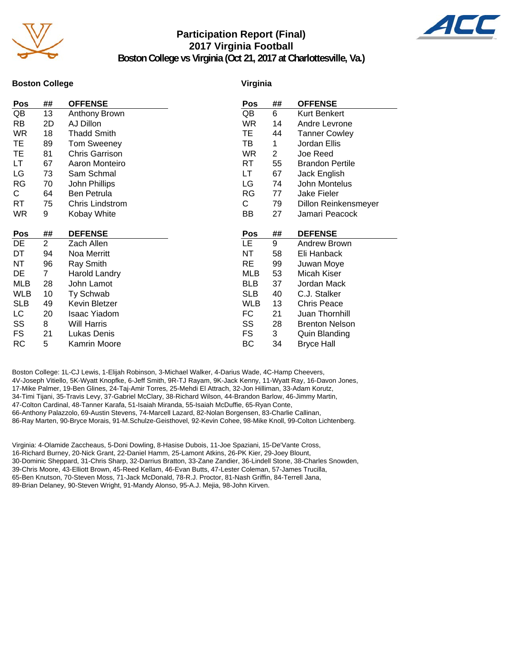

# **Participation Report (Final) 2017 Virginia Football**



**Boston College vs Virginia (Oct 21, 2017 at Charlottesville, Va.)**

#### **Boston College**

#### **Virginia**

| Pos        | ##             | <b>OFFENSE</b>        | Pos        | ##             | <b>OFFENSE</b>         |
|------------|----------------|-----------------------|------------|----------------|------------------------|
| QB         | 13             | Anthony Brown         | QB         | 6              | Kurt Benkert           |
| <b>RB</b>  | 2D             | AJ Dillon             | <b>WR</b>  | 14             | Andre Levrone          |
| <b>WR</b>  | 18             | <b>Thadd Smith</b>    | TE         | 44             | <b>Tanner Cowley</b>   |
| TE         | 89             | <b>Tom Sweeney</b>    | TB         | 1              | Jordan Ellis           |
| TE         | 81             | <b>Chris Garrison</b> | <b>WR</b>  | $\overline{2}$ | Joe Reed               |
| LT         | 67             | Aaron Monteiro        | RT         | 55             | <b>Brandon Pertile</b> |
| LG         | 73             | Sam Schmal            | LT         | 67             | Jack English           |
| <b>RG</b>  | 70             | John Phillips         | LG         | 74             | John Montelus          |
| C.         | 64             | Ben Petrula           | RG         | 77             | Jake Fieler            |
| RT.        | 75             | Chris Lindstrom       | С          | 79             | Dillon Reinkensmeyer   |
| <b>WR</b>  | 9              | Kobay White           | BB         | 27             | Jamari Peacock         |
|            |                |                       |            |                |                        |
| Pos        | ##             | <b>DEFENSE</b>        | Pos        | ##             | <b>DEFENSE</b>         |
| DE         | $\overline{2}$ | Zach Allen            | <b>LE</b>  | 9              | Andrew Brown           |
| DT         | 94             | Noa Merritt           | NT         | 58             | Eli Hanback            |
| NΤ         | 96             | Ray Smith             | RE         | 99             | Juwan Moye             |
| DE         | 7              | <b>Harold Landry</b>  | <b>MLB</b> | 53             | Micah Kiser            |
| MLB        | 28             | John Lamot            | <b>BLB</b> | 37             | Jordan Mack            |
| <b>WLB</b> | 10             | Ty Schwab             |            |                |                        |
| <b>SLB</b> |                |                       | <b>SLB</b> | 40             | C.J. Stalker           |
|            | 49             | Kevin Bletzer         | <b>WLB</b> | 13             | <b>Chris Peace</b>     |
| LC         | 20             | <b>Isaac Yiadom</b>   | FC         | 21             | Juan Thornhill         |
| SS         | 8              | <b>Will Harris</b>    | SS         | 28             | <b>Brenton Nelson</b>  |
| FS         | 21             | Lukas Denis           | FS         | 3              | <b>Quin Blanding</b>   |

Boston College: 1L-CJ Lewis, 1-Elijah Robinson, 3-Michael Walker, 4-Darius Wade, 4C-Hamp Cheevers, 4V-Joseph Vitiello, 5K-Wyatt Knopfke, 6-Jeff Smith, 9R-TJ Rayam, 9K-Jack Kenny, 11-Wyatt Ray, 16-Davon Jones, 17-Mike Palmer, 19-Ben Glines, 24-Taj-Amir Torres, 25-Mehdi El Attrach, 32-Jon Hilliman, 33-Adam Korutz, 34-Timi Tijani, 35-Travis Levy, 37-Gabriel McClary, 38-Richard Wilson, 44-Brandon Barlow, 46-Jimmy Martin, 47-Colton Cardinal, 48-Tanner Karafa, 51-Isaiah Miranda, 55-Isaiah McDuffie, 65-Ryan Conte, 66-Anthony Palazzolo, 69-Austin Stevens, 74-Marcell Lazard, 82-Nolan Borgensen, 83-Charlie Callinan, 86-Ray Marten, 90-Bryce Morais, 91-M.Schulze-Geisthovel, 92-Kevin Cohee, 98-Mike Knoll, 99-Colton Lichtenberg.

Virginia: 4-Olamide Zaccheaus, 5-Doni Dowling, 8-Hasise Dubois, 11-Joe Spaziani, 15-De'Vante Cross, 16-Richard Burney, 20-Nick Grant, 22-Daniel Hamm, 25-Lamont Atkins, 26-PK Kier, 29-Joey Blount, 30-Dominic Sheppard, 31-Chris Sharp, 32-Darrius Bratton, 33-Zane Zandier, 36-Lindell Stone, 38-Charles Snowden, 39-Chris Moore, 43-Elliott Brown, 45-Reed Kellam, 46-Evan Butts, 47-Lester Coleman, 57-James Trucilla, 65-Ben Knutson, 70-Steven Moss, 71-Jack McDonald, 78-R.J. Proctor, 81-Nash Griffin, 84-Terrell Jana, 89-Brian Delaney, 90-Steven Wright, 91-Mandy Alonso, 95-A.J. Mejia, 98-John Kirven.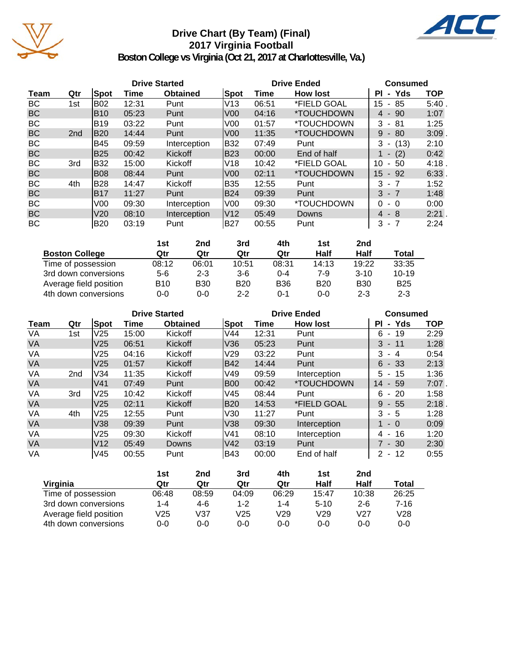

# **Drive Chart (By Team) (Final) 2017 Virginia Football**



**Boston College vs Virginia (Oct 21, 2017 at Charlottesville, Va.)**

|           |                 |             |       | <b>Drive Started</b> |                 |       | <b>Drive Ended</b>       | <b>Consumed</b>             |            |
|-----------|-----------------|-------------|-------|----------------------|-----------------|-------|--------------------------|-----------------------------|------------|
| Team      | Qtr             | <b>Spot</b> | Time  | <b>Obtained</b>      | <b>Spot</b>     | Time  | <b>How lost</b>          | - Yds<br>ΡI                 | <b>TOP</b> |
| BC        | 1st             | <b>B02</b>  | 12:31 | Punt                 | lV13            | 06:51 | *FIELD GOAL              | 15<br>85<br>$\blacksquare$  | 5:40       |
| <b>BC</b> |                 | <b>B10</b>  | 05:23 | Punt                 | V <sub>00</sub> | 04:16 | *TOUCHDOWN               | 90<br>4 -                   | 1:07       |
| BC        |                 | B19         | 03:22 | Punt                 | V <sub>0</sub>  | 01:57 | *TOUCHDOWN               | 3<br>- 81                   | 1:25       |
| <b>BC</b> | 2 <sub>nd</sub> | B20         | 14:44 | Punt                 | V <sub>00</sub> | 11:35 | *TOUCHDOWN               | 9<br>80<br>$\sim$           | 3:09       |
| BC        |                 | B45         | 09:59 | Interception         | B32             | 07:49 | Punt                     | (13)<br>3<br>$\blacksquare$ | 2:10       |
| <b>BC</b> |                 | <b>B25</b>  | 00:42 | Kickoff              | <b>B23</b>      | 00:00 | End of half              | (2)<br>$\blacksquare$       | 0:42       |
| BC        | 3rd             | B32         | 15:00 | Kickoff              | V18             | 10:42 | *FIELD GOAL              | 10<br>50<br>$\blacksquare$  | 4:18       |
| <b>BC</b> |                 | <b>B08</b>  | 08:44 | Punt                 | V <sub>00</sub> | 02:11 | *TOUCHDOWN               | 15<br>- 92                  | 6:33       |
| BC        | 4th             | <b>B28</b>  | 14:47 | Kickoff              | B35             | 12:55 | Punt                     | 3<br>- 7                    | 1:52       |
| <b>BC</b> |                 | IB17        | 11:27 | Punt                 | <b>B24</b>      | 09:39 | Punt                     | $3 - 7$                     | 1:48       |
| BC        |                 | V00         | 09:30 | Interception         | V00             | 09:30 | <i><b>*TOUCHDOWN</b></i> | $\Omega$<br>$-0$            | 0:00       |
| <b>BC</b> |                 | V20         | 08:10 | Interception         | V12             | 05:49 | Downs                    | $4 - 8$                     | 2:21.      |
| BC        |                 | <b>B20</b>  | 03:19 | Punt                 | <b>B27</b>      | 00:55 | Punt                     | 3<br>- 7                    | 2:24       |

|                        | 1st   | 2nd        | 3rd        | 4th        | 1st        | 2nd        |            |
|------------------------|-------|------------|------------|------------|------------|------------|------------|
| <b>Boston College</b>  | Qtr   | Qtr        | Qtr        | Qtr        | Half       | Half       | Total      |
| Time of possession     | 08:12 | 06:01      | 10:51      | 08:31      | 14:13      | 19:22      | 33:35      |
| 3rd down conversions   | 5-6   | $2 - 3$    | $3-6$      | $0 - 4$    | 7-9        | $3 - 10$   | $10 - 19$  |
| Average field position | B10   | <b>B30</b> | <b>B20</b> | <b>B36</b> | <b>B20</b> | <b>B30</b> | <b>B25</b> |
| 4th down conversions   | 0-0   | 0-0        | $2 - 2$    | $0 - 1$    | $0 - 0$    | $2 - 3$    | $2 - 3$    |

|           |                 |                 | <b>Drive Started</b> |                 |            | <b>Drive Ended</b> | <b>Consumed</b>          |                                 |            |
|-----------|-----------------|-----------------|----------------------|-----------------|------------|--------------------|--------------------------|---------------------------------|------------|
| Team      | Qtr             | <b>Spot</b>     | Time                 | <b>Obtained</b> | Spot       | Time               | <b>How lost</b>          | - Yds<br><b>PI</b>              | <b>TOP</b> |
| VA        | 1st             | V <sub>25</sub> | 15:00                | Kickoff         | V44        | 12:31              | Punt                     | -19<br>6<br>$\sim$              | 2:29       |
| <b>VA</b> |                 | V <sub>25</sub> | 06:51                | Kickoff         | V36        | 05:23              | Punt                     | $3 - 11$                        | 1:28       |
| VA        |                 | V <sub>25</sub> | 04:16                | Kickoff         | V29        | 03:22              | Punt                     | 3<br>- 4                        | 0:54       |
| <b>VA</b> |                 | V <sub>25</sub> | 01:57                | Kickoff         | B42        | 14:44              | Punt                     | $6 - 33$                        | 2:13       |
| VA        | 2 <sub>nd</sub> | V34             | 11:35                | Kickoff         | V49        | 09:59              | Interception             | -15<br>5 -                      | 1:36       |
| <b>VA</b> |                 | V <sub>41</sub> | 07:49                | Punt            | B00        | 00:42              | <i><b>*TOUCHDOWN</b></i> | 14<br>- 59                      | $7:07$ .   |
| VA        | 3rd             | V25             | 10:42                | Kickoff         | V45        | 08:44              | Punt                     | -20<br>6.<br>$\sim$             | 1:58       |
| <b>VA</b> |                 | V <sub>25</sub> | 02:11                | Kickoff         | B20        | 14:53              | *FIELD GOAL              | 9<br>- 55                       | 2:18       |
| VA        | 4th             | V25             | 12:55                | Punt            | V30        | 11:27              | Punt                     | 3<br>- 5                        | 1:28       |
| <b>VA</b> |                 | V38             | 09:39                | Punt            | V38        | 09:30              | Interception             | $-0$                            | 0:09       |
| VA        |                 | V <sub>25</sub> | 09:30                | Kickoff         | lV41       | 08:10              | Interception             | 16<br>4 -                       | 1:20       |
| <b>VA</b> |                 | V12             | 05:49                | Downs           | V42        | 03:19              | Punt                     | $7 - 30$                        | 2:30       |
| VA        |                 | V45             | 00:55                | Punt            | <b>B43</b> | 00:00              | End of half              | -12<br>$\overline{2}$<br>$\sim$ | 0:55       |

|                        | 1st     | 2nd   | 3rd     | 4th             | 1st     | 2nd     |         |
|------------------------|---------|-------|---------|-----------------|---------|---------|---------|
| Virginia               | Qtr     | Qtr   | Qtr     | Qtr             | Half    | Half    | Total   |
| Time of possession     | 06:48   | 08:59 | 04:09   | 06:29           | 15:47   | 10:38   | 26:25   |
| 3rd down conversions   | $1 - 4$ | 4-6   | $1 - 2$ | 1-4             | $5-10$  | $2 - 6$ | 7-16    |
| Average field position | V25     | V37   | V25     | V <sub>29</sub> | V29     | V27     | V28     |
| 4th down conversions   | $0 - 0$ | 0-0   | $0 - 0$ | $0 - 0$         | $0 - 0$ | 0-0     | $0 - 0$ |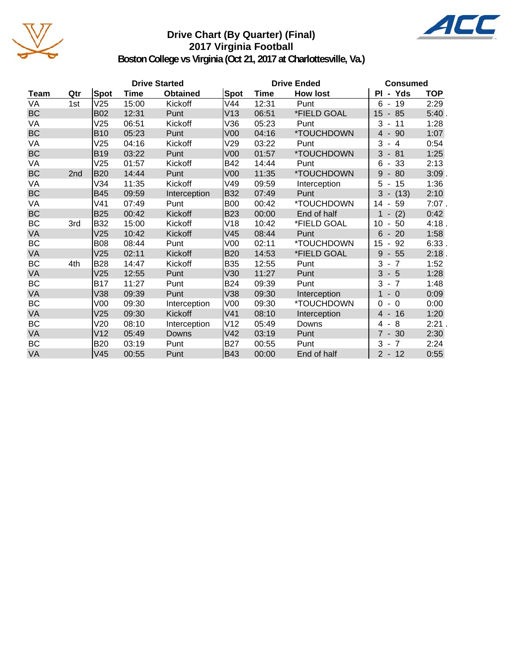

# **Drive Chart (By Quarter) (Final) 2017 Virginia Football**



**Boston College vs Virginia (Oct 21, 2017 at Charlottesville, Va.)**

|           |     |             |       | <b>Drive Started</b> |                 | <b>Drive Ended</b> | <b>Consumed</b> |                                      |            |
|-----------|-----|-------------|-------|----------------------|-----------------|--------------------|-----------------|--------------------------------------|------------|
| Team      | Qtr | <b>Spot</b> | Time  | <b>Obtained</b>      | Spot            | <b>Time</b>        | <b>How lost</b> | PI - Yds                             | <b>TOP</b> |
| VA        | 1st | V25         | 15:00 | Kickoff              | V44             | 12:31              | Punt            | 6<br>- 19                            | 2:29       |
| <b>BC</b> |     | <b>B02</b>  | 12:31 | Punt                 | V13             | 06:51              | *FIELD GOAL     | $-85$<br>15                          | 5:40.      |
| VA        |     | V25         | 06:51 | Kickoff              | V36             | 05:23              | Punt            | 3<br>11<br>$\blacksquare$            | 1:28       |
| <b>BC</b> |     | <b>B10</b>  | 05:23 | Punt                 | V <sub>00</sub> | 04:16              | *TOUCHDOWN      | $\overline{4}$<br>$-90$              | 1:07       |
| VA        |     | V25         | 04:16 | Kickoff              | V29             | 03:22              | Punt            | 3<br>$-4$                            | 0:54       |
| BC        |     | <b>B19</b>  | 03:22 | Punt                 | V <sub>00</sub> | 01:57              | *TOUCHDOWN      | $3 - 81$                             | 1:25       |
| VA        |     | V25         | 01:57 | Kickoff              | <b>B42</b>      | 14:44              | Punt            | 6<br>33<br>$\blacksquare$            | 2:13       |
| BC        | 2nd | <b>B20</b>  | 14:44 | Punt                 | V <sub>00</sub> | 11:35              | *TOUCHDOWN      | 9<br>80                              | $3:09$ .   |
| VA        |     | V34         | 11:35 | Kickoff              | V49             | 09:59              | Interception    | 5<br>15<br>$\blacksquare$            | 1:36       |
| <b>BC</b> |     | <b>B45</b>  | 09:59 | Interception         | B32             | 07:49              | Punt            | 3<br>(13)<br>$\sim$                  | 2:10       |
| VA        |     | V41         | 07:49 | Punt                 | <b>B00</b>      | 00:42              | *TOUCHDOWN      | 14<br>59                             | $7:07$ .   |
| <b>BC</b> |     | <b>B25</b>  | 00:42 | Kickoff              | <b>B23</b>      | 00:00              | End of half     | (2)<br>$\overline{\phantom{a}}$      | 0:42       |
| BC        | 3rd | <b>B32</b>  | 15:00 | Kickoff              | V18             | 10:42              | *FIELD GOAL     | 10<br>50                             | 4:18.      |
| <b>VA</b> |     | V25         | 10:42 | Kickoff              | V <sub>45</sub> | 08:44              | Punt            | 6<br>20                              | 1:58       |
| BC        |     | <b>B08</b>  | 08:44 | Punt                 | V <sub>00</sub> | 02:11              | *TOUCHDOWN      | 15<br>92<br>$\overline{\phantom{a}}$ | 6:33.      |
| <b>VA</b> |     | V25         | 02:11 | Kickoff              | <b>B20</b>      | 14:53              | *FIELD GOAL     | 9<br>55<br>$\overline{\phantom{a}}$  | 2:18.      |
| ВC        | 4th | <b>B28</b>  | 14:47 | Kickoff              | <b>B35</b>      | 12:55              | Punt            | 3<br>$-7$                            | 1:52       |
| VA        |     | V25         | 12:55 | Punt                 | V30             | 11:27              | Punt            | $3 - 5$                              | 1:28       |
| ВC        |     | <b>B17</b>  | 11:27 | Punt                 | <b>B24</b>      | 09:39              | Punt            | 3<br>$-7$                            | 1:48       |
| VA        |     | V38         | 09:39 | Punt                 | V38             | 09:30              | Interception    | $-0$<br>$\blacklozenge$              | 0:09       |
| BC        |     | V00         | 09:30 | Interception         | V <sub>00</sub> | 09:30              | *TOUCHDOWN      | $-0$<br>0                            | 0:00       |
| VA        |     | V25         | 09:30 | Kickoff              | V41             | 08:10              | Interception    | $-16$<br>4                           | 1:20       |
| BC        |     | V20         | 08:10 | Interception         | V12             | 05:49              | Downs           | -8<br>4<br>$\blacksquare$            | 2:21.      |
| VA        |     | V12         | 05:49 | Downs                | V42             | 03:19              | Punt            | $7 - 30$                             | 2:30       |
| BC        |     | <b>B20</b>  | 03:19 | Punt                 | <b>B27</b>      | 00:55              | Punt            | 3<br>$-7$                            | 2:24       |
| VA        |     | V45         | 00:55 | Punt                 | B43             | 00:00              | End of half     | $2 - 12$                             | 0:55       |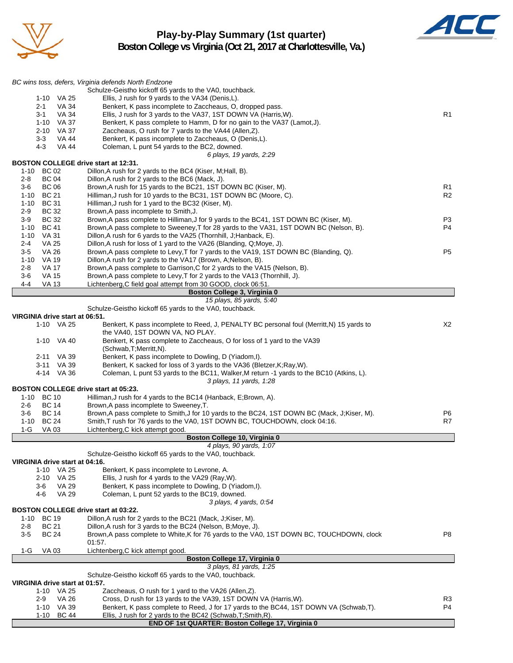

# **Play-by-Play Summary (1st quarter) Boston College vs Virginia (Oct 21, 2017 at Charlottesville, Va.)**



|                                                           | BC wins toss, defers, Virginia defends North Endzone                                                                            |                |
|-----------------------------------------------------------|---------------------------------------------------------------------------------------------------------------------------------|----------------|
|                                                           | Schulze-Geistho kickoff 65 yards to the VA0, touchback.                                                                         |                |
| 1-10 VA 25                                                | Ellis, J rush for 9 yards to the VA34 (Denis, L).                                                                               |                |
| VA 34<br>2-1                                              | Benkert, K pass incomplete to Zaccheaus, O, dropped pass.                                                                       |                |
| $3 - 1$<br>VA 34                                          | Ellis, J rush for 3 yards to the VA37, 1ST DOWN VA (Harris, W).                                                                 | R <sub>1</sub> |
| 1-10 VA 37                                                | Benkert, K pass complete to Hamm, D for no gain to the VA37 (Lamot,J).                                                          |                |
| 2-10 VA 37<br>$3 - 3$<br>VA 44                            | Zaccheaus, O rush for 7 yards to the VA44 (Allen, Z).<br>Benkert, K pass incomplete to Zaccheaus, O (Denis, L).                 |                |
| 4-3<br><b>VA 44</b>                                       | Coleman, L punt 54 yards to the BC2, downed.                                                                                    |                |
|                                                           | 6 plays, 19 yards, 2:29                                                                                                         |                |
| <b>BOSTON COLLEGE drive start at 12:31.</b>               |                                                                                                                                 |                |
| 1-10 BC 02                                                | Dillon, A rush for 2 yards to the BC4 (Kiser, M; Hall, B).                                                                      |                |
| <b>BC 04</b><br>2-8                                       | Dillon, A rush for 2 yards to the BC6 (Mack, J).                                                                                |                |
| <b>BC 06</b><br>3-6                                       | Brown, A rush for 15 yards to the BC21, 1ST DOWN BC (Kiser, M).                                                                 | R1             |
| <b>BC 21</b><br>1-10                                      | Hilliman, J rush for 10 yards to the BC31, 1ST DOWN BC (Moore, C).                                                              | R <sub>2</sub> |
| <b>BC 31</b><br>1-10<br>2-9<br><b>BC 32</b>               | Hilliman, J rush for 1 yard to the BC32 (Kiser, M).                                                                             |                |
| $3-9$<br><b>BC 32</b>                                     | Brown, A pass incomplete to Smith, J.<br>Brown, A pass complete to Hilliman, J for 9 yards to the BC41, 1ST DOWN BC (Kiser, M). | P3             |
| <b>BC 41</b><br>1-10                                      | Brown, A pass complete to Sweeney, T for 28 yards to the VA31, 1ST DOWN BC (Nelson, B).                                         | P4             |
| <b>VA 31</b><br>1-10                                      | Dillon, A rush for 6 yards to the VA25 (Thornhill, J; Hanback, E).                                                              |                |
| <b>VA 25</b><br>2-4                                       | Dillon, A rush for loss of 1 yard to the VA26 (Blanding, Q; Moye, J).                                                           |                |
| $3-5$<br>VA 26                                            | Brown, A pass complete to Levy, T for 7 yards to the VA19, 1ST DOWN BC (Blanding, Q).                                           | P <sub>5</sub> |
| $1 - 10$<br>VA 19                                         | Dillon, A rush for 2 yards to the VA17 (Brown, A; Nelson, B).                                                                   |                |
| 2-8<br>VA 17                                              | Brown, A pass complete to Garrison, C for 2 yards to the VA15 (Nelson, B).                                                      |                |
| $3-6$<br><b>VA 15</b>                                     | Brown, A pass complete to Levy, T for 2 yards to the VA13 (Thornhill, J).                                                       |                |
| 4-4<br><b>VA 13</b>                                       | Lichtenberg, C field goal attempt from 30 GOOD, clock 06:51.                                                                    |                |
|                                                           | Boston College 3, Virginia 0                                                                                                    |                |
|                                                           | 15 plays, 85 yards, 5:40<br>Schulze-Geistho kickoff 65 yards to the VA0, touchback.                                             |                |
| VIRGINIA drive start at 06:51.                            |                                                                                                                                 |                |
| 1-10 VA 25                                                | Benkert, K pass incomplete to Reed, J, PENALTY BC personal foul (Merritt, N) 15 yards to                                        | X2             |
|                                                           | the VA40, 1ST DOWN VA, NO PLAY.                                                                                                 |                |
| 1-10 VA 40                                                | Benkert, K pass complete to Zaccheaus, O for loss of 1 yard to the VA39                                                         |                |
|                                                           | (Schwab, T; Merritt, N).                                                                                                        |                |
| 2-11 VA 39                                                | Benkert, K pass incomplete to Dowling, D (Yiadom,I).                                                                            |                |
| 3-11 VA 39                                                | Benkert, K sacked for loss of 3 yards to the VA36 (Bletzer, K; Ray, W).                                                         |                |
| 4-14 VA 36                                                | Coleman, L punt 53 yards to the BC11, Walker, M return -1 yards to the BC10 (Atkins, L).                                        |                |
|                                                           | 3 plays, 11 yards, 1:28                                                                                                         |                |
| <b>BOSTON COLLEGE drive start at 05:23.</b><br>1-10 BC 10 | Hilliman, J rush for 4 yards to the BC14 (Hanback, E;Brown, A).                                                                 |                |
| <b>BC 14</b><br>2-6                                       | Brown, A pass incomplete to Sweeney, T.                                                                                         |                |
| <b>BC 14</b><br>3-6                                       | Brown, A pass complete to Smith, J for 10 yards to the BC24, 1ST DOWN BC (Mack, J; Kiser, M).                                   | P6             |
| <b>BC 24</b><br>1-10                                      | Smith, T rush for 76 yards to the VA0, 1ST DOWN BC, TOUCHDOWN, clock 04:16.                                                     | R7             |
| $1-G$<br>VA 03                                            | Lichtenberg, C kick attempt good.                                                                                               |                |
|                                                           | Boston College 10, Virginia 0                                                                                                   |                |
|                                                           | 4 plays, 90 yards, 1:07                                                                                                         |                |
|                                                           | Schulze-Geistho kickoff 65 yards to the VA0, touchback.                                                                         |                |
| VIRGINIA drive start at 04:16.                            |                                                                                                                                 |                |
| 1-10 VA 25                                                | Benkert, K pass incomplete to Levrone, A.                                                                                       |                |
| 2-10 VA 25<br><b>VA 29</b>                                | Ellis, J rush for 4 yards to the VA29 (Ray, W).<br>Benkert, K pass incomplete to Dowling, D (Yiadom, I).                        |                |
| 3-6<br>4-6<br><b>VA 29</b>                                | Coleman, L punt 52 yards to the BC19, downed.                                                                                   |                |
|                                                           | 3 plays, 4 yards, 0:54                                                                                                          |                |
| BOSTON COLLEGE drive start at 03:22.                      |                                                                                                                                 |                |
| <b>BC 19</b><br>1-10                                      | Dillon, A rush for 2 yards to the BC21 (Mack, J; Kiser, M).                                                                     |                |
| <b>BC 21</b><br>$2 - 8$                                   | Dillon, A rush for 3 yards to the BC24 (Nelson, B; Moye, J).                                                                    |                |
| <b>BC 24</b><br>3-5                                       | Brown, A pass complete to White, K for 76 yards to the VA0, 1ST DOWN BC, TOUCHDOWN, clock                                       | P <sub>8</sub> |
|                                                           | 01:57.                                                                                                                          |                |
| 1-G<br>VA 03                                              | Lichtenberg, C kick attempt good.                                                                                               |                |
|                                                           | Boston College 17, Virginia 0                                                                                                   |                |
|                                                           | 3 plays, 81 yards, 1:25<br>Schulze-Geistho kickoff 65 yards to the VA0, touchback.                                              |                |
| VIRGINIA drive start at 01:57.                            |                                                                                                                                 |                |
| 1-10 VA 25                                                | Zaccheaus, O rush for 1 yard to the VA26 (Allen, Z).                                                                            |                |
| 2-9<br>VA 26                                              | Cross, D rush for 13 yards to the VA39, 1ST DOWN VA (Harris, W).                                                                | R3             |
| $1-10$ VA 39                                              | Benkert, K pass complete to Reed, J for 17 yards to the BC44, 1ST DOWN VA (Schwab, T).                                          | P4             |
| 1-10<br>BC 44                                             | Ellis, J rush for 2 yards to the BC42 (Schwab, T; Smith, R).                                                                    |                |
|                                                           | END OF 1st QUARTER: Boston College 17, Virginia 0                                                                               |                |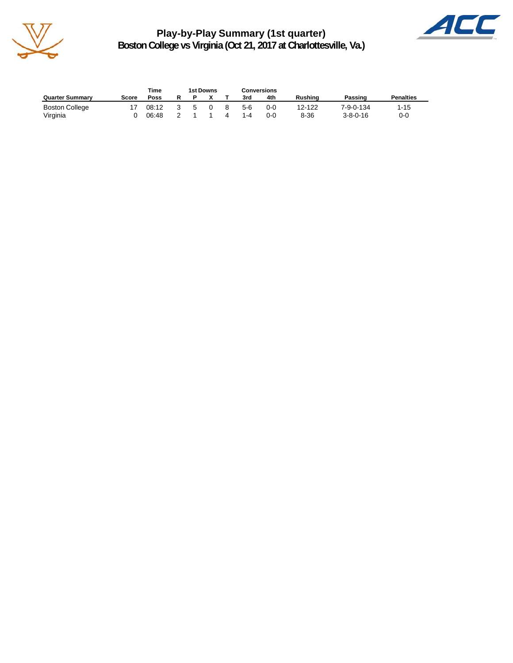

**Play-by-Play Summary (1st quarter) Boston College vs Virginia (Oct 21, 2017 at Charlottesville, Va.)**



|                        |       | Time        | 1st Downs |  |   |       | Conversions |         |                  |                  |
|------------------------|-------|-------------|-----------|--|---|-------|-------------|---------|------------------|------------------|
| <b>Quarter Summary</b> | Score | <b>Poss</b> |           |  |   | 3rd   | 4th         | Rushina | Passing          | <b>Penalties</b> |
| <b>Boston College</b>  |       | 08:12       | 5         |  | 8 | $5-6$ | 0-0         | 12-122  | 7-9-0-134        | 1-15             |
| Virginia               |       | 06:48       |           |  | 4 | 1-4   | 0-0         | 8-36    | $3 - 8 - 0 - 16$ | 0-0              |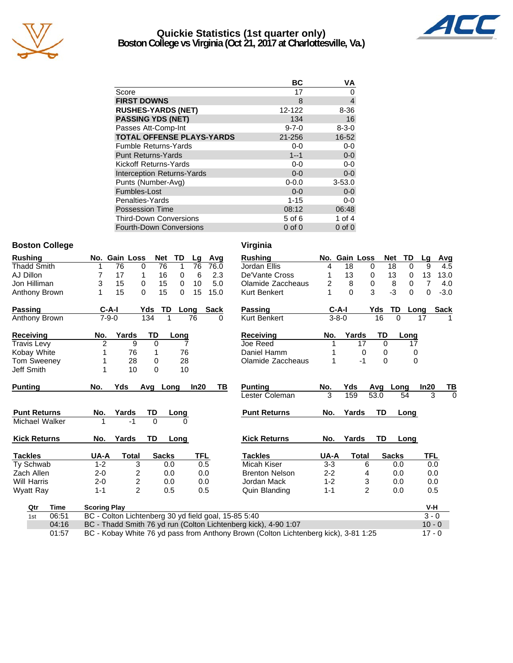

# **Quickie Statistics (1st quarter only) Boston College vs Virginia (Oct 21, 2017 at Charlottesville, Va.)**



|                                   | ВC          | VA             |
|-----------------------------------|-------------|----------------|
| Score                             | 17          | 0              |
| <b>FIRST DOWNS</b>                | 8           | $\overline{4}$ |
| <b>RUSHES-YARDS (NET)</b>         | 12-122      | 8-36           |
| <b>PASSING YDS (NET)</b>          | 134         | 16             |
| Passes Att-Comp-Int               | $9 - 7 - 0$ | $8 - 3 - 0$    |
| <b>TOTAL OFFENSE PLAYS-YARDS</b>  | 21-256      | 16-52          |
| <b>Fumble Returns-Yards</b>       | $0-0$       | $0-0$          |
| <b>Punt Returns-Yards</b>         | $1 - 1$     | $0-0$          |
| Kickoff Returns-Yards             | $0-0$       | $0-0$          |
| <b>Interception Returns-Yards</b> | $0 - 0$     | $0-0$          |
| Punts (Number-Avg)                | $0 - 0.0$   | $3 - 53.0$     |
| Fumbles-Lost                      | $0 - 0$     | $0 - 0$        |
| Penalties-Yards                   | $1 - 15$    | $0-0$          |
| <b>Possession Time</b>            | 08:12       | 06:48          |
| <b>Third-Down Conversions</b>     | 5 of 6      | 1 of $4$       |
| <b>Fourth-Down Conversions</b>    | $0$ of $0$  | $0$ of $0$     |

### **Boston College Virginia**

| <b>Rushing</b>      |                     | No. Gain Loss           | <b>Net</b>     | <b>TD</b> | Lg         | Avg         | <b>Rushing</b>                                                  |         | No. Gain Loss |                | <b>TD</b><br><b>Net</b> | Lg            | Avg         |
|---------------------|---------------------|-------------------------|----------------|-----------|------------|-------------|-----------------------------------------------------------------|---------|---------------|----------------|-------------------------|---------------|-------------|
| <b>Thadd Smith</b>  |                     | 76                      | 76<br>0        | 1         | 76         | 76.0        | Jordan Ellis                                                    | 4       | 18            | 0              | 18                      | $\Omega$<br>9 | 4.5         |
| AJ Dillon           | 7                   | 17                      | 16<br>1        | 0         | 6          | 2.3         | De'Vante Cross                                                  |         | 13            | 0              | 13                      | 13<br>0       | 13.0        |
| Jon Hilliman        | 3                   | 15                      | 15<br>$\Omega$ | $\Omega$  | 10         | 5.0         | Olamide Zaccheaus                                               | 2       | 8             | $\Omega$       | 8                       | 7<br>0        | 4.0         |
| Anthony Brown       | 1                   | 15                      | 15<br>$\Omega$ | $\Omega$  | 15         | 15.0        | Kurt Benkert                                                    |         | $\Omega$      | 3              | $-3$                    | 0<br>0        | $-3.0$      |
| Passing             | $C-A-I$             |                         | Yds            | TD        | Long       | <b>Sack</b> | <b>Passing</b>                                                  |         | $C-A-I$       | Yds            | TD                      | Long          | <b>Sack</b> |
| Anthony Brown       | $7 - 9 - 0$         |                         | 134            | 1         | 76         | 0           | <b>Kurt Benkert</b>                                             |         | $3 - 8 - 0$   | 16             | $\Omega$                | 17            |             |
| Receiving           | No.                 | Yards                   | <b>TD</b>      | Long      |            |             | <b>Receiving</b>                                                | No.     | Yards         | TD             | Long                    |               |             |
| <b>Travis Levy</b>  | $\overline{2}$      | 9                       | $\mathbf{0}$   |           |            |             | Joe Reed                                                        |         |               | 17             | $\Omega$                | 17            |             |
| Kobay White         |                     | 76                      |                | 76        |            |             | Daniel Hamm                                                     |         |               | 0              | 0                       | 0             |             |
| <b>Tom Sweeney</b>  |                     | 28                      | 0              | 28        |            |             | Olamide Zaccheaus                                               | 1       |               | $-1$           | 0                       | $\Omega$      |             |
| Jeff Smith          |                     | 10                      | $\Omega$       | 10        |            |             |                                                                 |         |               |                |                         |               |             |
| <b>Punting</b>      | No.                 | Yds                     | Avg            | Long      | ln20       | ΤВ          | <b>Punting</b>                                                  | No.     | Yds           | Avg            | Long                    | In20          | <u>ТВ</u>   |
|                     |                     |                         |                |           |            |             | Lester Coleman                                                  | 3       | 159           | 53.0           | 54                      | 3             | $\Omega$    |
| <b>Punt Returns</b> | No.                 | Yards                   | TD             | Long      |            |             | <b>Punt Returns</b>                                             | No.     | Yards         | <b>TD</b>      | Long                    |               |             |
| Michael Walker      |                     | $-1$                    | $\Omega$       | 0         |            |             |                                                                 |         |               |                |                         |               |             |
| <b>Kick Returns</b> | No.                 | Yards                   | <b>TD</b>      | Long      |            |             | <b>Kick Returns</b>                                             | No.     | Yards         | <b>TD</b>      | Long                    |               |             |
| <b>Tackles</b>      | UA-A                | <b>Total</b>            | <b>Sacks</b>   |           | <b>TFL</b> |             | <b>Tackles</b>                                                  | UA-A    | Total         |                | <b>Sacks</b>            | TFL           |             |
| Ty Schwab           | $1 - 2$             | 3                       |                | 0.0       | 0.5        |             | Micah Kiser                                                     | $3 - 3$ |               | 6              | 0.0                     | 0.0           |             |
| Zach Allen          | $2-0$               | 2                       |                | 0.0       | 0.0        |             | <b>Brenton Nelson</b>                                           | $2 - 2$ |               | 4              | 0.0                     | 0.0           |             |
| <b>Will Harris</b>  | $2 - 0$             | $\overline{\mathbf{c}}$ |                | 0.0       | 0.0        |             | Jordan Mack                                                     | $1 - 2$ |               | 3              | 0.0                     | 0.0           |             |
| <b>Wyatt Ray</b>    | $1 - 1$             | $\overline{2}$          |                | 0.5       | 0.5        |             | Quin Blanding                                                   | $1 - 1$ |               | $\overline{2}$ | 0.0                     | 0.5           |             |
| Time<br>Qtr         | <b>Scoring Play</b> |                         |                |           |            |             |                                                                 |         |               |                |                         | V-H           |             |
| 06:51<br>1st        |                     |                         |                |           |            |             | BC - Colton Lichtenberg 30 yd field goal, 15-85 5:40            |         |               |                |                         | $3 - 0$       |             |
| 04:16               |                     |                         |                |           |            |             | BC - Thadd Smith 76 yd run (Colton Lichtenberg kick), 4-90 1:07 |         |               |                |                         | $10 - 0$      |             |

01:57 BC - Kobay White 76 yd pass from Anthony Brown (Colton Lichtenberg kick), 3-81 1:25 17 - 0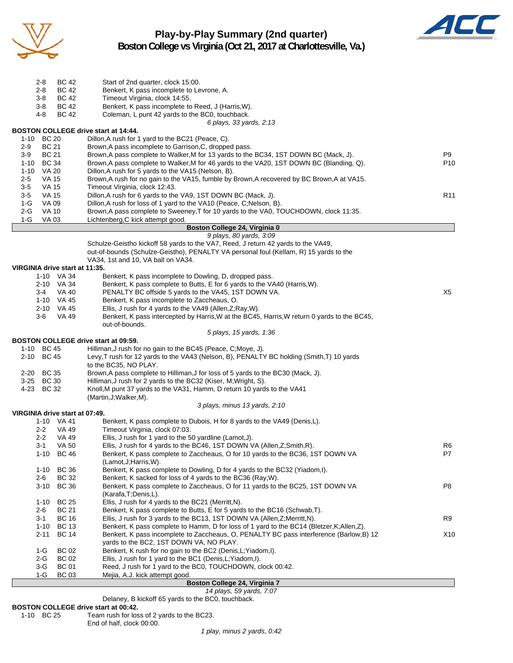

# **Play-by-Play Summary (2nd quarter) Boston College vs Virginia (Oct 21, 2017 at Charlottesville, Va.)**



| <b>BC 42</b><br>2-8<br>Start of 2nd quarter, clock 15:00.                                                                                                                                    |                 |
|----------------------------------------------------------------------------------------------------------------------------------------------------------------------------------------------|-----------------|
| <b>BC 42</b><br>2-8<br>Benkert, K pass incomplete to Levrone, A.                                                                                                                             |                 |
| $3-8$<br>Timeout Virginia, clock 14:55.<br>BC 42                                                                                                                                             |                 |
| <b>BC 42</b><br>Benkert, K pass incomplete to Reed, J (Harris, W).<br>3-8<br>4-8<br><b>BC 42</b><br>Coleman, L punt 42 yards to the BC0, touchback.                                          |                 |
| 6 plays, 33 yards, 2:13                                                                                                                                                                      |                 |
| <b>BOSTON COLLEGE drive start at 14:44.</b>                                                                                                                                                  |                 |
| 1-10 BC 20<br>Dillon, A rush for 1 yard to the BC21 (Peace, C).                                                                                                                              |                 |
| <b>BC 21</b><br>Brown, A pass incomplete to Garrison, C, dropped pass.<br>2-9<br><b>BC 21</b><br>Brown, A pass complete to Walker, M for 13 yards to the BC34, 1ST DOWN BC (Mack, J).<br>3-9 | P9              |
| 1-10 BC 34<br>Brown, A pass complete to Walker, M for 46 yards to the VA20, 1ST DOWN BC (Blanding, Q).                                                                                       | P10             |
| 1-10 VA 20<br>Dillon, A rush for 5 yards to the VA15 (Nelson, B).                                                                                                                            |                 |
| VA 15<br>Brown, A rush for no gain to the VA15, fumble by Brown, A recovered by BC Brown, A at VA15.<br>$2 - 5$                                                                              |                 |
| $3-5$<br><b>VA 15</b><br>Timeout Virginia, clock 12:43.<br>$3-5$<br>VA 15<br>Dillon, A rush for 6 yards to the VA9, 1ST DOWN BC (Mack, J).                                                   | R <sub>11</sub> |
| 1-G<br>Dillon, A rush for loss of 1 yard to the VA10 (Peace, C; Nelson, B).<br>VA 09                                                                                                         |                 |
| $2-G$<br>Brown, A pass complete to Sweeney, T for 10 yards to the VA0, TOUCHDOWN, clock 11:35.<br>VA 10                                                                                      |                 |
| $1-G$<br>VA 03<br>Lichtenberg, C kick attempt good.                                                                                                                                          |                 |
| Boston College 24, Virginia 0<br>9 plays, 80 yards, 3:09                                                                                                                                     |                 |
| Schulze-Geistho kickoff 58 yards to the VA7, Reed, J return 42 yards to the VA49,                                                                                                            |                 |
| out-of-bounds (Schulze-Geistho), PENALTY VA personal foul (Kellam, R) 15 yards to the                                                                                                        |                 |
| VA34, 1st and 10, VA ball on VA34.<br>VIRGINIA drive start at 11:35.                                                                                                                         |                 |
| 1-10 VA 34<br>Benkert, K pass incomplete to Dowling, D, dropped pass.                                                                                                                        |                 |
| Benkert, K pass complete to Butts, E for 6 yards to the VA40 (Harris, W).<br>2-10 VA 34                                                                                                      |                 |
| PENALTY BC offside 5 yards to the VA45, 1ST DOWN VA.<br>$3-4$<br>VA 40                                                                                                                       | X5              |
| Benkert, K pass incomplete to Zaccheaus, O.<br>1-10 VA 45<br>2-10 VA 45<br>Ellis, J rush for 4 yards to the VA49 (Allen, Z; Ray, W).                                                         |                 |
| <b>VA 49</b><br>Benkert, K pass intercepted by Harris, W at the BC45, Harris, W return 0 yards to the BC45,<br>3-6                                                                           |                 |
| out-of-bounds.                                                                                                                                                                               |                 |
| 5 plays, 15 yards, 1:36                                                                                                                                                                      |                 |
| <b>BOSTON COLLEGE drive start at 09:59.</b><br>1-10 BC 45<br>Hilliman, J rush for no gain to the BC45 (Peace, C; Moye, J).                                                                   |                 |
| 2-10 BC 45<br>Levy, T rush for 12 yards to the VA43 (Nelson, B), PENALTY BC holding (Smith, T) 10 yards                                                                                      |                 |
| to the BC35, NO PLAY.                                                                                                                                                                        |                 |
| 2-20 BC 35<br>Brown, A pass complete to Hilliman, J for loss of 5 yards to the BC30 (Mack, J).                                                                                               |                 |
| 3-25 BC 30<br>Hilliman, J rush for 2 yards to the BC32 (Kiser, M; Wright, S).<br>4-23 BC 32<br>Knoll, M punt 37 yards to the VA31, Hamm, D return 10 yards to the VA41                       |                 |
| (Martin, J; Walker, M).                                                                                                                                                                      |                 |
| 3 plays, minus 13 yards, 2:10                                                                                                                                                                |                 |
| VIRGINIA drive start at 07:49.<br>1-10 VA 41                                                                                                                                                 |                 |
| Benkert, K pass complete to Dubois, H for 8 yards to the VA49 (Denis,L).<br>$2 - 2$<br>VA 49<br>Timeout Virginia, clock 07:03.                                                               |                 |
| $2 - 2$<br>VA 49<br>Ellis, J rush for 1 yard to the 50 yardline (Lamot, J).                                                                                                                  |                 |
| Ellis, J rush for 4 yards to the BC46, 1ST DOWN VA (Allen, Z; Smith, R).<br>$3 - 1$<br><b>VA 50</b>                                                                                          | R <sub>6</sub>  |
| $1 - 10$<br><b>BC 46</b><br>Benkert, K pass complete to Zaccheaus, O for 10 yards to the BC36, 1ST DOWN VA<br>(Lamot, J; Harris, W).                                                         | P7              |
| <b>BC 36</b><br>Benkert, K pass complete to Dowling, D for 4 yards to the BC32 (Yiadom,I).<br>$1 - 10$                                                                                       |                 |
| <b>BC 32</b><br>Benkert, K sacked for loss of 4 yards to the BC36 (Ray, W).<br>2-6                                                                                                           |                 |
| $3 - 10$<br><b>BC 36</b><br>Benkert, K pass complete to Zaccheaus, O for 11 yards to the BC25, 1ST DOWN VA                                                                                   | P <sub>8</sub>  |
| (Karafa, T; Denis, L).<br><b>BC 25</b><br>Ellis, J rush for 4 yards to the BC21 (Merritt, N).<br>$1 - 10$                                                                                    |                 |
| <b>BC 21</b><br>Benkert, K pass complete to Butts, E for 5 yards to the BC16 (Schwab, T).<br>$2-6$                                                                                           |                 |
| <b>BC 16</b><br>Ellis, J rush for 3 yards to the BC13, 1ST DOWN VA (Allen, Z; Merritt, N).<br>3-1                                                                                            | R <sub>9</sub>  |
| <b>BC 13</b><br>Benkert, K pass complete to Hamm, D for loss of 1 yard to the BC14 (Bletzer, K; Allen, Z).<br>1-10                                                                           |                 |
| <b>BC 14</b><br>2-11<br>Benkert, K pass incomplete to Zaccheaus, O, PENALTY BC pass interference (Barlow, B) 12<br>yards to the BC2, 1ST DOWN VA, NO PLAY.                                   | X10             |
| <b>BC 02</b><br>Benkert, K rush for no gain to the BC2 (Denis, L; Yiadom, I).<br>1-G                                                                                                         |                 |
| <b>BC 02</b><br>Ellis, J rush for 1 yard to the BC1 (Denis, L; Yiadom, I).<br>2-G                                                                                                            |                 |
| <b>BC 01</b><br>Reed, J rush for 1 yard to the BC0, TOUCHDOWN, clock 00:42.<br>3-G                                                                                                           |                 |
| <b>BC 03</b><br>Mejia, A.J. kick attempt good.<br>1-G<br>Boston College 24, Virginia 7                                                                                                       |                 |

*14 plays, 59 yards, 7:07* Delaney, B kickoff 65 yards to the BC0, touchback.

**BOSTON COLLEGE drive start at 00:42.**<br>1-10 BC 25 Team rush for los Team rush for loss of 2 yards to the BC23.

End of half, clock 00:00.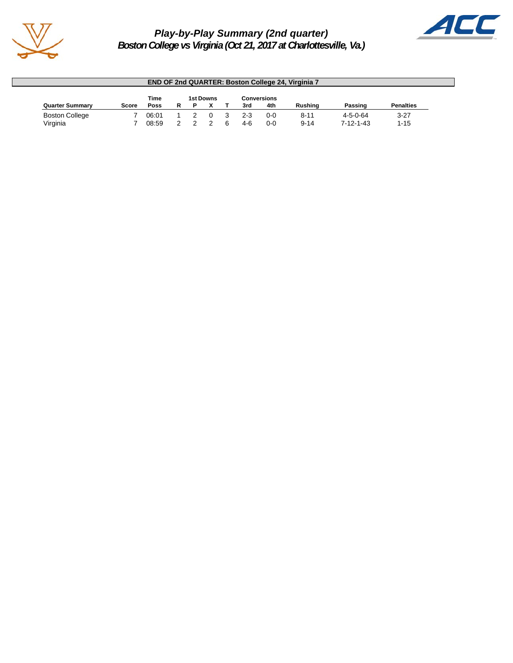

# *Play-by-Play Summary (2nd quarter) Boston College vs Virginia (Oct 21, 2017 at Charlottesville, Va.)*



| <b>END OF 2nd QUARTER: Boston College 24, Virginia 7</b> |       |       |   |   |  |  |       |     |                |                   |                  |
|----------------------------------------------------------|-------|-------|---|---|--|--|-------|-----|----------------|-------------------|------------------|
| Time<br>Conversions<br>1st Downs                         |       |       |   |   |  |  |       |     |                |                   |                  |
| <b>Quarter Summary</b>                                   | Score | Poss  | R | D |  |  | 3rd   | 4th | <b>Rushing</b> | Passing           | <b>Penalties</b> |
| <b>Boston College</b>                                    |       | 06:01 |   |   |  |  | $2-3$ | 0-0 | $8 - 11$       | $4 - 5 - 0 - 64$  | $3 - 27$         |
| Virginia                                                 |       | 08:59 |   |   |  |  | 4-6   | 0-0 | $9 - 14$       | $7 - 12 - 1 - 43$ | $1 - 15$         |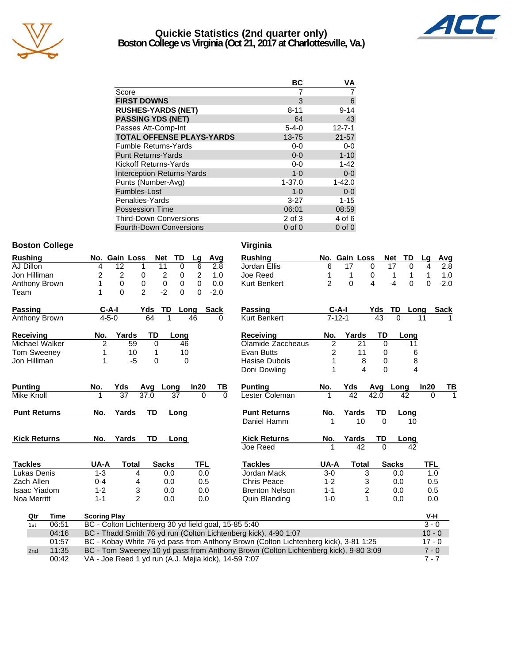

# **Quickie Statistics (2nd quarter only) Boston College vs Virginia (Oct 21, 2017 at Charlottesville, Va.)**



| BC          | ٧A           |
|-------------|--------------|
|             |              |
| 3           | 6            |
| $8 - 11$    | $9 - 14$     |
| 64          | 43           |
| $5 - 4 - 0$ | $12 - 7 - 1$ |
| $13 - 75$   | $21 - 57$    |
| $0-0$       | $0-0$        |
| $0 - 0$     | $1 - 10$     |
| $0-0$       | $1 - 42$     |
| $1 - 0$     | $0-0$        |
| $1 - 37.0$  | $1 - 42.0$   |
| $1 - 0$     | $0-0$        |
| $3 - 27$    | $1 - 15$     |
| 06:01       | 08:59        |
| 2 of 3      | 4 of 6       |
| $0$ of $0$  | $0$ of $0$   |
|             |              |

# **Boston College Virginia**

| <b>Rushing</b>       |       |                     | No. Gain Loss                                        | <b>Net</b>             | TD                         | Lg             | Avg         |          | <b>Rushing</b>                                                                      |                | No. Gain Loss           |              | <b>Net</b><br>TD  | Lg         | Avg         |
|----------------------|-------|---------------------|------------------------------------------------------|------------------------|----------------------------|----------------|-------------|----------|-------------------------------------------------------------------------------------|----------------|-------------------------|--------------|-------------------|------------|-------------|
| AJ Dillon            |       | 4                   | 12                                                   | 11<br>1                | 0                          | 6              | 2.8         |          | Jordan Ellis                                                                        | 6              | 17                      | $\mathbf 0$  | 17<br>0           | 4          | 2.8         |
| Jon Hilliman         |       | 2                   | $\overline{c}$                                       | 0                      | $\overline{c}$<br>0        | $\overline{c}$ | 1.0         |          | Joe Reed                                                                            | 1              | 1                       | 0            | 1<br>1            | 1          | 1.0         |
| Anthony Brown        |       | 1                   | 0                                                    | 0                      | $\mathbf 0$<br>$\mathbf 0$ | $\Omega$       | 0.0         |          | <b>Kurt Benkert</b>                                                                 | $\overline{2}$ | $\Omega$                | 4            | 0<br>$-4$         | $\Omega$   | $-2.0$      |
| Team                 |       | 1                   | $\Omega$                                             | $\mathfrak{p}$<br>$-2$ | $\Omega$                   | $\Omega$       | $-2.0$      |          |                                                                                     |                |                         |              |                   |            |             |
| Passing              |       | $C-A-I$             |                                                      | Yds                    | TD                         | Long           | <b>Sack</b> |          | Passing                                                                             |                | $C-A-I$                 | Yds          | <b>TD</b><br>Long |            | <b>Sack</b> |
| <b>Anthony Brown</b> |       | $4 - 5 - 0$         |                                                      | 64                     |                            | 46             | 0           |          | <b>Kurt Benkert</b>                                                                 |                | $7 - 12 - 1$            | 43           | $\Omega$          | 11         |             |
| Receiving            |       | No.                 | Yards                                                | TD                     | Long                       |                |             |          | Receiving                                                                           | No.            | Yards                   | TD           | Long              |            |             |
| Michael Walker       |       | $\overline{2}$      | 59                                                   | $\Omega$               | 46                         |                |             |          | Olamide Zaccheaus                                                                   | $\overline{2}$ | 21                      | $\Omega$     | 11                |            |             |
| Tom Sweeney          |       |                     | 10                                                   | 1                      | 10                         |                |             |          | Evan Butts                                                                          | 2              | 11                      | 0            | 6                 |            |             |
| Jon Hilliman         |       |                     | $-5$                                                 | 0                      |                            | 0              |             |          | Hasise Dubois                                                                       |                | 8                       | 0            | 8                 |            |             |
|                      |       |                     |                                                      |                        |                            |                |             |          | Doni Dowling                                                                        | 1              | $\overline{\mathbf{4}}$ | $\Omega$     | 4                 |            |             |
| Punting              |       | No.                 | Yds                                                  | Avg                    | Long                       | In20           | TВ          |          | <b>Punting</b>                                                                      | No.            | Yds                     | Avg          | Long              | In20       | ΤВ          |
| Mike Knoll           |       |                     | $\overline{37}$                                      | 37.0                   | 37                         | $\Omega$       |             | $\Omega$ | Lester Coleman                                                                      | 1              | 42                      | 42.0         | 42                | $\Omega$   |             |
| <b>Punt Returns</b>  |       | No.                 | Yards                                                | TD                     | Long                       |                |             |          | <b>Punt Returns</b>                                                                 | No.            | Yards                   | TD           | Long              |            |             |
|                      |       |                     |                                                      |                        |                            |                |             |          | Daniel Hamm                                                                         | 1              | 10                      | $\Omega$     | 10                |            |             |
| <b>Kick Returns</b>  |       | No.                 | Yards                                                | <b>TD</b>              | Long                       |                |             |          | <b>Kick Returns</b>                                                                 | No.            | Yards                   | TD           | Long              |            |             |
|                      |       |                     |                                                      |                        |                            |                |             |          | Joe Reed                                                                            |                | 42                      | $\Omega$     | 42                |            |             |
| <b>Tackles</b>       |       | UA-A                | <b>Total</b>                                         | <b>Sacks</b>           |                            | <b>TFL</b>     |             |          | <b>Tackles</b>                                                                      | UA-A           | <b>Total</b>            |              | <b>Sacks</b>      | <b>TFL</b> |             |
| Lukas Denis          |       | $1 - 3$             | 4                                                    |                        | 0.0                        | 0.0            |             |          | Jordan Mack                                                                         | $3-0$          |                         | 3            | 0.0               | 1.0        |             |
| Zach Allen           |       | $0 - 4$             | 4                                                    |                        | 0.0                        | 0.5            |             |          | <b>Chris Peace</b>                                                                  | $1 - 2$        |                         | 3            | 0.0               | 0.5        |             |
| <b>Isaac Yiadom</b>  |       | $1 - 2$             | 3                                                    |                        | 0.0                        | 0.0            |             |          | <b>Brenton Nelson</b>                                                               | $1 - 1$        |                         | 2            | 0.0               | 0.5        |             |
| Noa Merritt          |       | $1 - 1$             | $\overline{2}$                                       |                        | 0.0                        | 0.0            |             |          | Quin Blanding                                                                       | $1 - 0$        |                         | $\mathbf{1}$ | 0.0               | 0.0        |             |
| Qtr                  | Time  | <b>Scoring Play</b> |                                                      |                        |                            |                |             |          |                                                                                     |                |                         |              |                   | V-H        |             |
| 1st                  | 06:51 |                     | BC - Colton Lichtenberg 30 yd field goal, 15-85 5:40 |                        |                            |                |             |          |                                                                                     |                |                         |              |                   | $3 - 0$    |             |
|                      | 04:16 |                     |                                                      |                        |                            |                |             |          | BC - Thadd Smith 76 yd run (Colton Lichtenberg kick), 4-90 1:07                     |                |                         |              |                   | $10 - 0$   |             |
|                      | 01:57 |                     |                                                      |                        |                            |                |             |          | BC - Kobay White 76 yd pass from Anthony Brown (Colton Lichtenberg kick), 3-81 1:25 |                |                         |              |                   | $17 - 0$   |             |
| 2nd                  | 11:35 |                     |                                                      |                        |                            |                |             |          | BC - Tom Sweeney 10 yd pass from Anthony Brown (Colton Lichtenberg kick), 9-80 3:09 |                |                         |              |                   | $7 - 0$    |             |
|                      | 00:42 |                     | VA - Joe Reed 1 yd run (A.J. Mejia kick), 14-59 7:07 |                        |                            |                |             |          |                                                                                     |                |                         |              |                   | $7 - 7$    |             |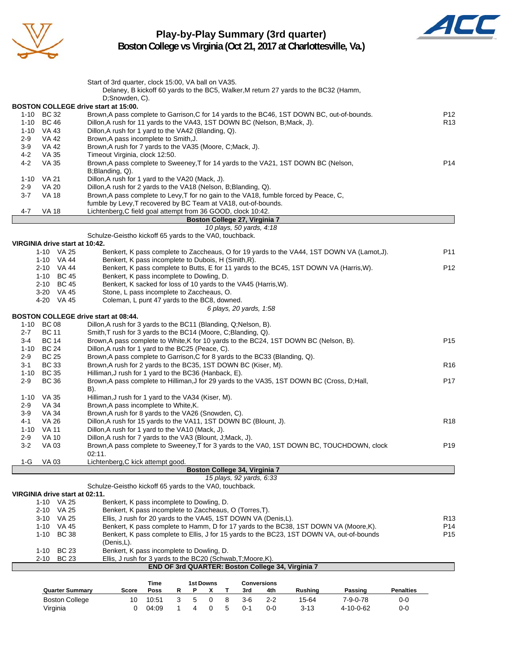

# **Play-by-Play Summary (3rd quarter)**



**Boston College vs Virginia (Oct 21, 2017 at Charlottesville, Va.)**

| <b>Quarter Summary</b><br><b>Boston College</b> | Score<br>10                                                                                                                                | Poss<br>10:51 | R<br>3 | P<br>5    | x<br>0 | т<br>8 | 3rd<br>$3-6$                                              | 4th<br>$2 - 2$     | <b>Rushing</b><br>15-64                                                              | Passing<br>$7 - 9 - 0 - 78$                                                                                                                                                        | <b>Penalties</b><br>$0-0$ |                                    |
|-------------------------------------------------|--------------------------------------------------------------------------------------------------------------------------------------------|---------------|--------|-----------|--------|--------|-----------------------------------------------------------|--------------------|--------------------------------------------------------------------------------------|------------------------------------------------------------------------------------------------------------------------------------------------------------------------------------|---------------------------|------------------------------------|
|                                                 |                                                                                                                                            | Time          |        | 1st Downs |        |        |                                                           | <b>Conversions</b> |                                                                                      |                                                                                                                                                                                    |                           |                                    |
| 2-10 BC 23                                      | Ellis, J rush for 3 yards to the BC20 (Schwab, T; Moore, K).                                                                               |               |        |           |        |        |                                                           |                    | END OF 3rd QUARTER: Boston College 34, Virginia 7                                    |                                                                                                                                                                                    |                           |                                    |
| <b>BC 23</b><br>1-10                            | Benkert, K pass incomplete to Dowling, D.                                                                                                  |               |        |           |        |        |                                                           |                    |                                                                                      |                                                                                                                                                                                    |                           |                                    |
|                                                 | (Denis,L).                                                                                                                                 |               |        |           |        |        |                                                           |                    |                                                                                      |                                                                                                                                                                                    |                           |                                    |
| 1-10 VA 45<br>1-10 BC 38                        |                                                                                                                                            |               |        |           |        |        |                                                           |                    |                                                                                      | Benkert, K pass complete to Hamm, D for 17 yards to the BC38, 1ST DOWN VA (Moore, K).<br>Benkert, K pass complete to Ellis, J for 15 yards to the BC23, 1ST DOWN VA, out-of-bounds |                           | P <sub>14</sub><br>P <sub>15</sub> |
| 3-10 VA 25                                      | Ellis, J rush for 20 yards to the VA45, 1ST DOWN VA (Denis, L).                                                                            |               |        |           |        |        |                                                           |                    |                                                                                      |                                                                                                                                                                                    |                           | R <sub>13</sub>                    |
| 2-10 VA 25                                      | Benkert, K pass incomplete to Zaccheaus, O (Torres, T).                                                                                    |               |        |           |        |        |                                                           |                    |                                                                                      |                                                                                                                                                                                    |                           |                                    |
| VIRGINIA drive start at 02:11.<br>1-10 VA 25    | Benkert, K pass incomplete to Dowling, D.                                                                                                  |               |        |           |        |        |                                                           |                    |                                                                                      |                                                                                                                                                                                    |                           |                                    |
|                                                 | Schulze-Geistho kickoff 65 yards to the VA0, touchback.                                                                                    |               |        |           |        |        | 15 plays, 92 yards, 6:33                                  |                    |                                                                                      |                                                                                                                                                                                    |                           |                                    |
| 1-G<br>VA 03                                    | Lichtenberg, C kick attempt good.                                                                                                          |               |        |           |        |        | Boston College 34, Virginia 7                             |                    |                                                                                      |                                                                                                                                                                                    |                           |                                    |
|                                                 | 02:11.                                                                                                                                     |               |        |           |        |        |                                                           |                    |                                                                                      |                                                                                                                                                                                    |                           |                                    |
| $3-2$<br>VA 03                                  | Brown, A pass complete to Sweeney, T for 3 yards to the VA0, 1ST DOWN BC, TOUCHDOWN, clock                                                 |               |        |           |        |        |                                                           |                    |                                                                                      |                                                                                                                                                                                    |                           | P <sub>19</sub>                    |
| $2 - 9$<br><b>VA 10</b>                         | Dillon, A rush for 7 yards to the VA3 (Blount, J; Mack, J).                                                                                |               |        |           |        |        |                                                           |                    |                                                                                      |                                                                                                                                                                                    |                           |                                    |
| 4-1<br><b>VA 26</b><br>1-10 VA 11               | Dillon, A rush for 15 yards to the VA11, 1ST DOWN BC (Blount, J).<br>Dillon, A rush for 1 yard to the VA10 (Mack, J).                      |               |        |           |        |        |                                                           |                    |                                                                                      |                                                                                                                                                                                    |                           | R <sub>18</sub>                    |
| $3-9$<br>VA 34                                  | Brown, A rush for 8 yards to the VA26 (Snowden, C).                                                                                        |               |        |           |        |        |                                                           |                    |                                                                                      |                                                                                                                                                                                    |                           |                                    |
| 2-9<br><b>VA 34</b>                             | Brown, A pass incomplete to White, K.                                                                                                      |               |        |           |        |        |                                                           |                    |                                                                                      |                                                                                                                                                                                    |                           |                                    |
| 1-10 VA 35                                      | Hilliman, J rush for 1 yard to the VA34 (Kiser, M).                                                                                        |               |        |           |        |        |                                                           |                    |                                                                                      |                                                                                                                                                                                    |                           |                                    |
| $2 - 9$<br><b>BC 36</b>                         | Brown, A pass complete to Hilliman, J for 29 yards to the VA35, 1ST DOWN BC (Cross, D; Hall,<br>B).                                        |               |        |           |        |        |                                                           |                    |                                                                                      |                                                                                                                                                                                    |                           | P <sub>17</sub>                    |
| 1-10 BC 35                                      | Hilliman, J rush for 1 yard to the BC36 (Hanback, E).                                                                                      |               |        |           |        |        |                                                           |                    |                                                                                      |                                                                                                                                                                                    |                           |                                    |
| <b>BC 33</b><br>$3 - 1$                         | Brown, A rush for 2 yards to the BC35, 1ST DOWN BC (Kiser, M).                                                                             |               |        |           |        |        |                                                           |                    |                                                                                      |                                                                                                                                                                                    |                           | R <sub>16</sub>                    |
| $2 - 9$<br><b>BC 25</b>                         | Brown, A pass complete to Garrison, C for 8 yards to the BC33 (Blanding, Q).                                                               |               |        |           |        |        |                                                           |                    |                                                                                      |                                                                                                                                                                                    |                           |                                    |
| <b>BC 14</b><br>3-4<br>1-10 BC 24               | Brown, A pass complete to White, K for 10 yards to the BC24, 1ST DOWN BC (Nelson, B).<br>Dillon, A rush for 1 yard to the BC25 (Peace, C). |               |        |           |        |        |                                                           |                    |                                                                                      |                                                                                                                                                                                    |                           | P <sub>15</sub>                    |
| $2 - 7$<br><b>BC 11</b>                         | Smith, T rush for 3 yards to the BC14 (Moore, C; Blanding, Q).                                                                             |               |        |           |        |        |                                                           |                    |                                                                                      |                                                                                                                                                                                    |                           |                                    |
| 1-10 BC 08                                      | Dillon, A rush for 3 yards to the BC11 (Blanding, Q; Nelson, B).                                                                           |               |        |           |        |        |                                                           |                    |                                                                                      |                                                                                                                                                                                    |                           |                                    |
| <b>BOSTON COLLEGE drive start at 08:44.</b>     |                                                                                                                                            |               |        |           |        |        |                                                           |                    |                                                                                      |                                                                                                                                                                                    |                           |                                    |
| 4-20 VA 45                                      | Coleman, L punt 47 yards to the BC8, downed.                                                                                               |               |        |           |        |        | 6 plays, 20 yards, 1:58                                   |                    |                                                                                      |                                                                                                                                                                                    |                           |                                    |
| 3-20 VA 45                                      | Stone, L pass incomplete to Zaccheaus, O.                                                                                                  |               |        |           |        |        |                                                           |                    |                                                                                      |                                                                                                                                                                                    |                           |                                    |
| 2-10 BC 45                                      | Benkert, K sacked for loss of 10 yards to the VA45 (Harris, W).                                                                            |               |        |           |        |        |                                                           |                    |                                                                                      |                                                                                                                                                                                    |                           |                                    |
| 1-10 BC 45                                      | Benkert, K pass incomplete to Dowling, D.                                                                                                  |               |        |           |        |        |                                                           |                    |                                                                                      |                                                                                                                                                                                    |                           |                                    |
| 1-10 VA 44<br>2-10 VA 44                        |                                                                                                                                            |               |        |           |        |        |                                                           |                    |                                                                                      | Benkert, K pass complete to Butts, E for 11 yards to the BC45, 1ST DOWN VA (Harris, W).                                                                                            |                           | P <sub>12</sub>                    |
| 1-10 VA 25                                      | Benkert, K pass incomplete to Dubois, H (Smith, R).                                                                                        |               |        |           |        |        |                                                           |                    |                                                                                      | Benkert, K pass complete to Zaccheaus, O for 19 yards to the VA44, 1ST DOWN VA (Lamot, J).                                                                                         |                           | P11                                |
| VIRGINIA drive start at 10:42.                  |                                                                                                                                            |               |        |           |        |        |                                                           |                    |                                                                                      |                                                                                                                                                                                    |                           |                                    |
|                                                 | Schulze-Geistho kickoff 65 yards to the VA0, touchback.                                                                                    |               |        |           |        |        |                                                           |                    |                                                                                      |                                                                                                                                                                                    |                           |                                    |
|                                                 |                                                                                                                                            |               |        |           |        |        | Boston College 27, Virginia 7<br>10 plays, 50 yards, 4:18 |                    |                                                                                      |                                                                                                                                                                                    |                           |                                    |
| 4-7<br>VA 18                                    | Lichtenberg, C field goal attempt from 36 GOOD, clock 10:42.                                                                               |               |        |           |        |        |                                                           |                    |                                                                                      |                                                                                                                                                                                    |                           |                                    |
|                                                 | fumble by Levy, T recovered by BC Team at VA18, out-of-bounds.                                                                             |               |        |           |        |        |                                                           |                    |                                                                                      |                                                                                                                                                                                    |                           |                                    |
| $3 - 7$<br><b>VA 18</b>                         | Brown, A pass complete to Levy, T for no gain to the VA18, fumble forced by Peace, C,                                                      |               |        |           |        |        |                                                           |                    |                                                                                      |                                                                                                                                                                                    |                           |                                    |
| $2-9$<br><b>VA 20</b>                           | Dillon, A rush for 2 yards to the VA18 (Nelson, B; Blanding, Q).                                                                           |               |        |           |        |        |                                                           |                    |                                                                                      |                                                                                                                                                                                    |                           |                                    |
| 1-10 VA 21                                      | B;Blanding, Q).<br>Dillon, A rush for 1 yard to the VA20 (Mack, J).                                                                        |               |        |           |        |        |                                                           |                    |                                                                                      |                                                                                                                                                                                    |                           |                                    |
| $4 - 2$<br><b>VA 35</b>                         | Brown, A pass complete to Sweeney, T for 14 yards to the VA21, 1ST DOWN BC (Nelson,                                                        |               |        |           |        |        |                                                           |                    |                                                                                      |                                                                                                                                                                                    |                           | P <sub>14</sub>                    |
| <b>VA 35</b><br>$4 - 2$                         | Timeout Virginia, clock 12:50.                                                                                                             |               |        |           |        |        |                                                           |                    |                                                                                      |                                                                                                                                                                                    |                           |                                    |
| 3-9<br><b>VA 42</b>                             | Brown, A rush for 7 yards to the VA35 (Moore, C; Mack, J).                                                                                 |               |        |           |        |        |                                                           |                    |                                                                                      |                                                                                                                                                                                    |                           |                                    |
| $2 - 9$<br>VA 42                                | Brown, A pass incomplete to Smith, J.                                                                                                      |               |        |           |        |        |                                                           |                    |                                                                                      |                                                                                                                                                                                    |                           |                                    |
| 1-10 BC 46<br>1-10 VA 43                        | Dillon, A rush for 11 yards to the VA43, 1ST DOWN BC (Nelson, B; Mack, J).<br>Dillon, A rush for 1 yard to the VA42 (Blanding, Q).         |               |        |           |        |        |                                                           |                    |                                                                                      |                                                                                                                                                                                    |                           | R <sub>13</sub>                    |
| 1-10 BC 32                                      | Brown, A pass complete to Garrison, C for 14 yards to the BC46, 1ST DOWN BC, out-of-bounds.                                                |               |        |           |        |        |                                                           |                    |                                                                                      |                                                                                                                                                                                    |                           | P <sub>12</sub>                    |
| BOSTON COLLEGE drive start at 15:00.            |                                                                                                                                            |               |        |           |        |        |                                                           |                    |                                                                                      |                                                                                                                                                                                    |                           |                                    |
|                                                 | D;Snowden, C).                                                                                                                             |               |        |           |        |        |                                                           |                    |                                                                                      |                                                                                                                                                                                    |                           |                                    |
|                                                 | Start of 3rd quarter, clock 15:00, VA ball on VA35.                                                                                        |               |        |           |        |        |                                                           |                    | Delaney, B kickoff 60 yards to the BC5, Walker, M return 27 yards to the BC32 (Hamm, |                                                                                                                                                                                    |                           |                                    |
|                                                 |                                                                                                                                            |               |        |           |        |        |                                                           |                    |                                                                                      |                                                                                                                                                                                    |                           |                                    |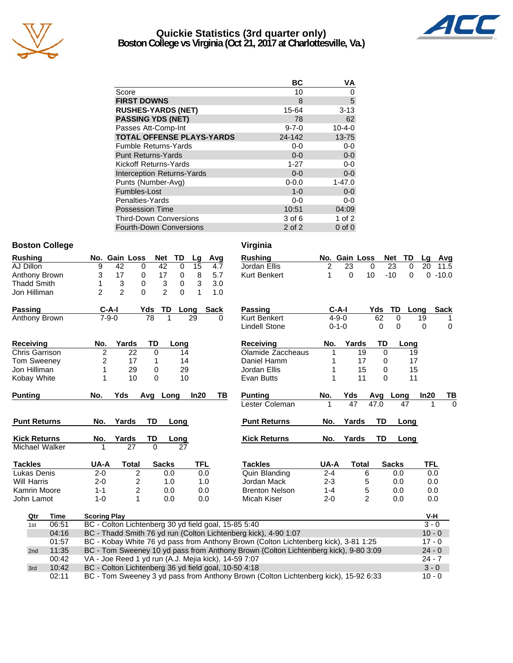

# **Quickie Statistics (3rd quarter only) Boston College vs Virginia (Oct 21, 2017 at Charlottesville, Va.)**



|                                   | ВC          | VA           |
|-----------------------------------|-------------|--------------|
| Score                             | 10          | 0            |
| <b>FIRST DOWNS</b>                | 8           | 5            |
| <b>RUSHES-YARDS (NET)</b>         | 15-64       | $3 - 13$     |
| <b>PASSING YDS (NET)</b>          | 78          | 62           |
| Passes Att-Comp-Int               | $9 - 7 - 0$ | $10 - 4 - 0$ |
| <b>TOTAL OFFENSE PLAYS-YARDS</b>  | 24-142      | $13 - 75$    |
| <b>Fumble Returns-Yards</b>       | $0-0$       | $0-0$        |
| <b>Punt Returns-Yards</b>         | $0 - 0$     | $0-0$        |
| Kickoff Returns-Yards             | $1 - 27$    | $0-0$        |
| <b>Interception Returns-Yards</b> | $0 - 0$     | $0-0$        |
| Punts (Number-Avg)                | $0 - 0.0$   | $1 - 47.0$   |
| Fumbles-Lost                      | $1 - 0$     | $0 - 0$      |
| Penalties-Yards                   | $0-0$       | $0-0$        |
| <b>Possession Time</b>            | 10:51       | 04:09        |
| <b>Third-Down Conversions</b>     | 3 of 6      | 1 of $2$     |
| <b>Fourth-Down Conversions</b>    | 2 of 2      | $0$ of $0$   |

# **Boston College Virginia**

| <b>Rushing</b>      |       |                     | No. Gain Loss  |                 | <b>Net</b>     | <b>TD</b>   | Lg     | Avg         | <b>Rushing</b>                                                                      |         | No. Gain Loss   |                | <b>Net</b>    | TD       | Lg         | Avg         |
|---------------------|-------|---------------------|----------------|-----------------|----------------|-------------|--------|-------------|-------------------------------------------------------------------------------------|---------|-----------------|----------------|---------------|----------|------------|-------------|
| AJ Dillon           |       | 9                   | 42             | 0               | 42             | 0           | 15     | 4.7         | Jordan Ellis                                                                        | 2       | 23              | $\mathbf 0$    | 23            | 0        | 20         | 11.5        |
| Anthony Brown       |       | 3                   | 17             | 0               | 17             | 0           | $\, 8$ | 5.7         | <b>Kurt Benkert</b>                                                                 | 1       | $\Omega$        | 10             | $-10$         | $\Omega$ |            | $0 - 10.0$  |
| <b>Thadd Smith</b>  |       | 1                   | $\sqrt{3}$     | 0               | $\sqrt{3}$     | $\mathbf 0$ | 3      | 3.0         |                                                                                     |         |                 |                |               |          |            |             |
| Jon Hilliman        |       | 2                   | $\mathfrak{p}$ | $\Omega$        | $\mathfrak{p}$ | $\Omega$    | 1      | 1.0         |                                                                                     |         |                 |                |               |          |            |             |
| <b>Passing</b>      |       |                     | $C-A-I$        | Yds             | <b>TD</b>      |             | Long   | <b>Sack</b> | <b>Passing</b>                                                                      |         | $C-A-I$         | Yds            | TD            | Long     |            | <b>Sack</b> |
| Anthony Brown       |       |                     | $7 - 9 - 0$    |                 | 78             |             | 29     | 0           | Kurt Benkert                                                                        |         | $4 - 9 - 0$     | 62             | $\Omega$      |          | 19         | 1           |
|                     |       |                     |                |                 |                |             |        |             | <b>Lindell Stone</b>                                                                |         | $0 - 1 - 0$     |                | 0<br>$\Omega$ |          | $\Omega$   | $\mathbf 0$ |
| Receiving           |       | No.                 | Yards          |                 | TD             | Long        |        |             | <b>Receiving</b>                                                                    | No.     | Yards           |                | TD            | Long     |            |             |
| Chris Garrison      |       | $\overline{2}$      |                | 22              | $\Omega$       | 14          |        |             | Olamide Zaccheaus                                                                   | 1       |                 | 19             | $\Omega$      | 19       |            |             |
| <b>Tom Sweeney</b>  |       | 2                   |                | 17              | 1              | 14          |        |             | Daniel Hamm                                                                         | 1       |                 | 17             | 0             | 17       |            |             |
| Jon Hilliman        |       |                     |                | 29              | 0              | 29          |        |             | Jordan Ellis                                                                        |         |                 | 15             | $\Omega$      | 15       |            |             |
| Kobay White         |       |                     |                | 10              | $\Omega$       | 10          |        |             | Evan Butts                                                                          | 1       |                 | 11             | 0             | 11       |            |             |
| <b>Punting</b>      |       | No.                 | Yds            |                 | Avg Long       |             | In20   | TВ          | <b>Punting</b>                                                                      | No.     | Yds             | Avg            | Long          |          | In20       | TВ          |
|                     |       |                     |                |                 |                |             |        |             | Lester Coleman                                                                      | 1       | $\overline{47}$ | 47.0           |               | 47       |            | $\Omega$    |
| <b>Punt Returns</b> |       | No.                 | Yards          |                 | TD             | Long        |        |             | <b>Punt Returns</b>                                                                 | No.     | Yards           |                | TD            | Long     |            |             |
| <b>Kick Returns</b> |       | No.                 | Yards          |                 | TD             | Long        |        |             | <b>Kick Returns</b>                                                                 | No.     | Yards           |                | TD            | Long     |            |             |
| Michael Walker      |       | 1                   |                | $\overline{27}$ | $\Omega$       | 27          |        |             |                                                                                     |         |                 |                |               |          |            |             |
| <b>Tackles</b>      |       | UA-A                |                | <b>Total</b>    | <b>Sacks</b>   |             | TFL    |             | <b>Tackles</b>                                                                      | UA-A    |                 | <b>Total</b>   | <b>Sacks</b>  |          | <b>TFL</b> |             |
| Lukas Denis         |       | $2 - 0$             |                | $\overline{2}$  | 0.0            |             |        | 0.0         | <b>Quin Blanding</b>                                                                | $2 - 4$ |                 | 6              | 0.0           |          | 0.0        |             |
| <b>Will Harris</b>  |       | $2 - 0$             |                | 2               | 1.0            |             |        | 1.0         | Jordan Mack                                                                         | $2 - 3$ |                 | 5              | 0.0           |          | 0.0        |             |
| Kamrin Moore        |       | $1 - 1$             |                | $\overline{2}$  | 0.0            |             |        | 0.0         | <b>Brenton Nelson</b>                                                               | $1 - 4$ |                 | 5              | 0.0           |          | 0.0        |             |
| John Lamot          |       | $1 - 0$             |                | 1               | 0.0            |             |        | 0.0         | Micah Kiser                                                                         | $2 - 0$ |                 | $\overline{c}$ | 0.0           |          | 0.0        |             |
| Qtr                 | Time  | <b>Scoring Play</b> |                |                 |                |             |        |             |                                                                                     |         |                 |                |               |          | V-H        |             |
| 1st                 | 06:51 |                     |                |                 |                |             |        |             | BC - Colton Lichtenberg 30 yd field goal, 15-85 5:40                                |         |                 |                |               |          | $3 - 0$    |             |
|                     | 04:16 |                     |                |                 |                |             |        |             | BC - Thadd Smith 76 yd run (Colton Lichtenberg kick), 4-90 1:07                     |         |                 |                |               |          | $10 - 0$   |             |
|                     | 01:57 |                     |                |                 |                |             |        |             | BC - Kobay White 76 yd pass from Anthony Brown (Colton Lichtenberg kick), 3-81 1:25 |         |                 |                |               |          | $17 - 0$   |             |
| 2nd                 | 11:35 |                     |                |                 |                |             |        |             | BC - Tom Sweeney 10 yd pass from Anthony Brown (Colton Lichtenberg kick), 9-80 3:09 |         |                 |                |               |          | $24 - 0$   |             |
|                     | 00:42 |                     |                |                 |                |             |        |             | VA - Joe Reed 1 yd run (A.J. Mejia kick), 14-59 7:07                                |         |                 |                |               |          | $24 - 7$   |             |
| 3rd                 | 10:42 |                     |                |                 |                |             |        |             | BC - Colton Lichtenberg 36 yd field goal, 10-50 4:18                                |         |                 |                |               |          | $3 - 0$    |             |
|                     | 02:11 |                     |                |                 |                |             |        |             | BC - Tom Sweeney 3 yd pass from Anthony Brown (Colton Lichtenberg kick), 15-92 6:33 |         |                 |                |               |          | $10 - 0$   |             |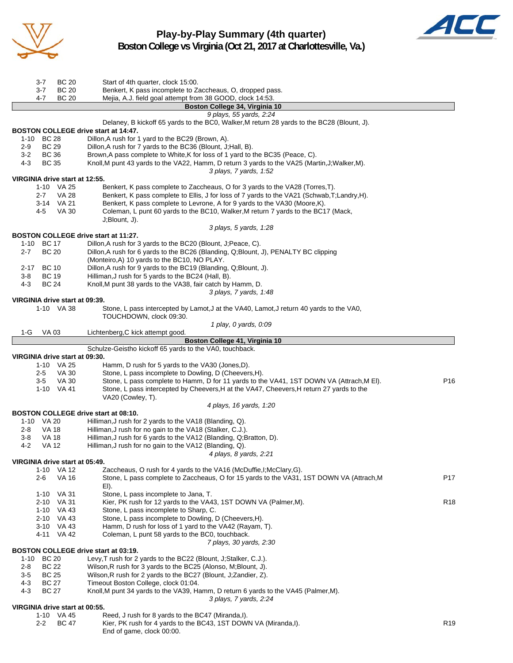

**Play-by-Play Summary (4th quarter) Boston College vs Virginia (Oct 21, 2017 at Charlottesville, Va.)**



3-7 BC 20 Start of 4th quarter, clock 15:00. 3-7 BC 20 Benkert, K pass incomplete to Zaccheaus, O, dropped pass. 4-7 BC 20 Mejia, A.J. field goal attempt from 38 GOOD, clock 14:53. **Boston College 34, Virginia 10** *9 plays, 55 yards, 2:24* Delaney, B kickoff 65 yards to the BC0, Walker,M return 28 yards to the BC28 (Blount, J). **BOSTON COLLEGE drive start at 14:47.** 1-10 BC 28 Dillon,A rush for 1 yard to the BC29 (Brown, A). 2-9 BC 29 Dillon,A rush for 7 yards to the BC36 (Blount, J;Hall, B). 3-2 BC 36 Brown,A pass complete to White,K for loss of 1 yard to the BC35 (Peace, C). 4-3 BC 35 Knoll,M punt 43 yards to the VA22, Hamm, D return 3 yards to the VA25 (Martin,J;Walker,M). *3 plays, 7 yards, 1:52* **VIRGINIA drive start at 12:55.** 1-10 VA 25 Benkert, K pass complete to Zaccheaus, O for 3 yards to the VA28 (Torres, T).<br>2-7 VA 28 Benkert. K pass complete to Ellis. J for loss of 7 vards to the VA21 (Schwab.T) Benkert, K pass complete to Ellis, J for loss of 7 yards to the VA21 (Schwab,T;Landry,H). 3-14 VA 21 Benkert, K pass complete to Levrone, A for 9 yards to the VA30 (Moore, K). 4-5 VA 30 Coleman, L punt 60 yards to the BC10, Walker,M return 7 yards to the BC17 (Mack, J;Blount, J). *3 plays, 5 yards, 1:28* **BOSTON COLLEGE drive start at 11:27.**<br>1-10 BC 17 Dillon.A rush for 3 Dillon, A rush for 3 yards to the BC20 (Blount, J;Peace, C). 2-7 BC 20 Dillon,A rush for 6 yards to the BC26 (Blanding, Q;Blount, J), PENALTY BC clipping (Monteiro,A) 10 yards to the BC10, NO PLAY. 2-17 BC 10 Dillon,A rush for 9 yards to the BC19 (Blanding, Q;Blount, J). 3-8 BC 19 Hilliman,J rush for 5 yards to the BC24 (Hall, B). 4-3 BC 24 Knoll,M punt 38 yards to the VA38, fair catch by Hamm, D. *3 plays, 7 yards, 1:48* **VIRGINIA drive start at 09:39.** Stone, L pass intercepted by Lamot,J at the VA40, Lamot,J return 40 yards to the VA0, TOUCHDOWN, clock 09:30. *1 play, 0 yards, 0:09* 1-G VA 03 Lichtenberg, C kick attempt good **Boston College 41, Virginia 10** Schulze-Geistho kickoff 65 yards to the VA0, touchback. **VIRGINIA drive start at 09:30.** 1-10 VA 25 Hamm, D rush for 5 yards to the VA30 (Jones,D). 2-5 VA 30 Stone, L pass incomplete to Dowling, D (Cheevers,H). 3-5 VA 30 Stone, L pass complete to Hamm, D for 11 yards to the VA41, 1ST DOWN VA (Attrach,M El). P16 1-10 VA 41 Stone, L pass intercepted by Cheevers,H at the VA47, Cheevers,H return 27 yards to the VA20 (Cowley, T). *4 plays, 16 yards, 1:20* **BOSTON COLLEGE drive start at 08:10.**<br>1-10 VA 20 Hilliman, J rush fo 1-10 VA 20 Hilliman, Jrush for 2 yards to the VA18 (Blanding, Q).<br>2-8 VA 18 Hilliman. Jrush for no gain to the VA18 (Stalker, C.J.). Hilliman, J rush for no gain to the VA18 (Stalker, C.J.). 3-8 VA 18 Hilliman,J rush for 6 yards to the VA12 (Blanding, Q;Bratton, D). 4-2 VA 12 Hilliman,J rush for no gain to the VA12 (Blanding, Q). *4 plays, 8 yards, 2:21* **VIRGINIA drive start at 05:49.** 1-10 VA 12 Zaccheaus, O rush for 4 yards to the VA16 (McDuffie, I; McClary, G).<br>2-6 VA 16 Stone. L pass complete to Zaccheaus. O for 15 vards to the VA31. Stone, L pass complete to Zaccheaus, O for 15 yards to the VA31, 1ST DOWN VA (Attrach, M P17 El). 1-10 VA 31 Stone, L pass incomplete to Jana, T. 2-10 VA 31 Kier, PK rush for 12 yards to the VA43, 1ST DOWN VA (Palmer, M). R18 1-10 VA 43 Stone, L pass incomplete to Sharp, C. 2-10 VA 43 Stone, L pass incomplete to Dowling, D (Cheevers,H). 3-10 VA 43 Hamm, D rush for loss of 1 yard to the VA42 (Rayam, T). 4-11 VA 42 Coleman, L punt 58 yards to the BC0, touchback. *7 plays, 30 yards, 2:30* **BOSTON COLLEGE drive start at 03:19.** 1-10 BC 20 Levy,T rush for 2 yards to the BC22 (Blount, J;Stalker, C.J.). 2-8 BC 22 Wilson,R rush for 3 yards to the BC25 (Alonso, M;Blount, J). 3-5 BC 25 Wilson,R rush for 2 yards to the BC27 (Blount, J;Zandier, Z). 4-3 BC 27 Timeout Boston College, clock 01:04. 4-3 BC 27 Knoll,M punt 34 yards to the VA39, Hamm, D return 6 yards to the VA45 (Palmer,M). *3 plays, 7 yards, 2:24* **VIRGINIA drive start at 00:55.** 1-10 VA 45 Reed, J rush for 8 yards to the BC47 (Miranda,I). 2-2 BC 47 Kier, PK rush for 4 yards to the BC43, 1ST DOWN VA (Miranda,I).

End of game, clock 00:00.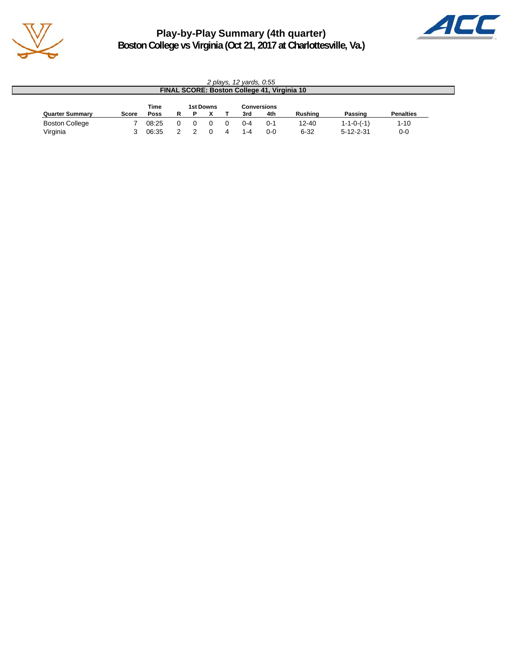

**Play-by-Play Summary (4th quarter) Boston College vs Virginia (Oct 21, 2017 at Charlottesville, Va.)**



|                        | 2 plays, 12 yards, 0:55                     |             |    |          |  |  |         |         |                |                    |                  |  |
|------------------------|---------------------------------------------|-------------|----|----------|--|--|---------|---------|----------------|--------------------|------------------|--|
|                        | FINAL SCORE: Boston College 41, Virginia 10 |             |    |          |  |  |         |         |                |                    |                  |  |
|                        | Time<br>1st Downs<br><b>Conversions</b>     |             |    |          |  |  |         |         |                |                    |                  |  |
| <b>Quarter Summary</b> | <b>Score</b>                                | <b>Poss</b> | R. | Р        |  |  | 3rd     | 4th     | <b>Rushing</b> | Passing            | <b>Penalties</b> |  |
| <b>Boston College</b>  |                                             | 08:25       | 0  | $^{(1)}$ |  |  | በ-4     | $0 - 1$ | $12 - 40$      | $1 - 1 - 0 - (-1)$ | $1 - 10$         |  |
| Virginia               |                                             | 06:35       |    |          |  |  | $1 - 4$ | $0 - 0$ | $6 - 32$       | $5 - 12 - 2 - 31$  | $0-0$            |  |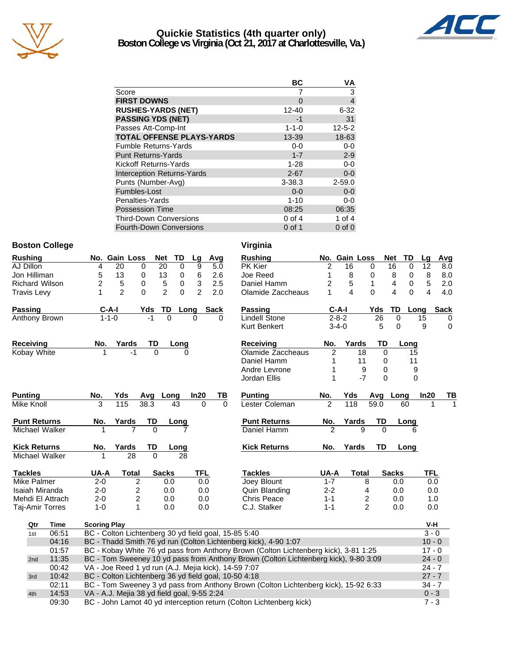

# **Quickie Statistics (4th quarter only) Boston College vs Virginia (Oct 21, 2017 at Charlottesville, Va.)**



|                                   | ВC          | VA           |
|-----------------------------------|-------------|--------------|
| Score                             |             | 3            |
| <b>FIRST DOWNS</b>                | 0           | 4            |
| <b>RUSHES-YARDS (NET)</b>         | $12 - 40$   | $6 - 32$     |
| <b>PASSING YDS (NET)</b>          | -1          | 31           |
| Passes Att-Comp-Int               | $1 - 1 - 0$ | $12 - 5 - 2$ |
| <b>TOTAL OFFENSE PLAYS-YARDS</b>  | 13-39       | 18-63        |
| <b>Fumble Returns-Yards</b>       | $0 - 0$     | $0-0$        |
| <b>Punt Returns-Yards</b>         | $1 - 7$     | $2 - 9$      |
| Kickoff Returns-Yards             | $1 - 28$    | $0-0$        |
| <b>Interception Returns-Yards</b> | $2 - 67$    | $0 - 0$      |
| Punts (Number-Avg)                | $3 - 38.3$  | $2 - 59.0$   |
| Fumbles-Lost                      | $0 - 0$     | $0 - 0$      |
| Penalties-Yards                   | $1 - 10$    | $0-0$        |
| <b>Possession Time</b>            | 08:25       | 06:35        |
| <b>Third-Down Conversions</b>     | $0$ of 4    | 1 of $4$     |
| Fourth-Down Conversions           | $0$ of 1    | $0$ of $0$   |

### **Boston College Virginia**

| Rushing               |       |                                                                                                 | No. Gain Loss                                                                                   |          | Net            | TD          | Lg             | Avg  |          | <b>Rushing</b>                                                                      |                | No. Gain Loss |                | <b>Net</b><br>TD | Lg         | Avg         |
|-----------------------|-------|-------------------------------------------------------------------------------------------------|-------------------------------------------------------------------------------------------------|----------|----------------|-------------|----------------|------|----------|-------------------------------------------------------------------------------------|----------------|---------------|----------------|------------------|------------|-------------|
| AJ Dillon             |       | 4                                                                                               | 20                                                                                              | 0        | 20             | 0           | 9              |      | 5.0      | PK Kier                                                                             | 2              | 16            | $\mathbf 0$    | 16<br>$\Omega$   | 12         | 8.0         |
| Jon Hilliman          |       | 5                                                                                               | 13                                                                                              | 0        | 13             | 0           | 6              |      | 2.6      | Joe Reed                                                                            | 1              | 8             | 0              | 8<br>0           | 8          | 8.0         |
| <b>Richard Wilson</b> |       | $\overline{2}$                                                                                  | 5                                                                                               | 0        | 5              | $\mathbf 0$ | 3              |      | 2.5      | Daniel Hamm                                                                         | 2              | 5             | $\mathbf{1}$   | 4<br>0           | 5          | 2.0         |
| Travis Levy           |       | 1                                                                                               | $\overline{2}$                                                                                  | $\Omega$ | $\overline{2}$ | $\Omega$    | $\overline{2}$ |      | 2.0      | Olamide Zaccheaus                                                                   | 1              | 4             | $\Omega$       | $\Omega$<br>4    | 4          | 4.0         |
| Passing               |       | $C-A-I$                                                                                         |                                                                                                 | Yds      | TD             | Long        |                | Sack |          | <b>Passing</b>                                                                      | $C-A-I$        |               | Yds            | TD               | Long       | <b>Sack</b> |
| Anthony Brown         |       | $1 - 1 - 0$                                                                                     |                                                                                                 | -1       | 0              |             | 0              |      | 0        | <b>Lindell Stone</b>                                                                | $2 - 8 - 2$    |               | 26             | 0                | 15         | 0           |
|                       |       |                                                                                                 |                                                                                                 |          |                |             |                |      |          | <b>Kurt Benkert</b>                                                                 | $3 - 4 - 0$    |               | 5              | $\Omega$         | 9          | $\mathbf 0$ |
| Receiving             |       | No.                                                                                             | Yards                                                                                           | TD       |                | Long        |                |      |          | <b>Receiving</b>                                                                    | No.            | Yards         | <b>TD</b>      | Long             |            |             |
| Kobay White           |       |                                                                                                 | -1                                                                                              | $\Omega$ |                |             |                |      |          | Olamide Zaccheaus                                                                   | 2              | 18            | $\Omega$       | 15               |            |             |
|                       |       |                                                                                                 |                                                                                                 |          |                |             |                |      |          | Daniel Hamm                                                                         | 1              | 11            | 0              | 11               |            |             |
|                       |       |                                                                                                 |                                                                                                 |          |                |             |                |      |          | Andre Levrone                                                                       | 1              | 9             | 0              |                  | 9          |             |
|                       |       |                                                                                                 |                                                                                                 |          |                |             |                |      |          | Jordan Ellis                                                                        | 1              | $-7$          | $\Omega$       |                  | 0          |             |
| <b>Punting</b>        |       | No.                                                                                             | Yds                                                                                             | Avq      | Long           |             | In20           |      | TВ       | <b>Punting</b>                                                                      | No.            | Yds           | Avg            | Long             | In20       | TВ          |
| Mike Knoll            |       | 3                                                                                               | 115                                                                                             | 38.3     | 43             |             | $\Omega$       |      | $\Omega$ | Lester Coleman                                                                      | $\overline{2}$ | 118           | 59.0           | 60               | 1          |             |
| <b>Punt Returns</b>   |       | No.                                                                                             | Yards                                                                                           | TD       |                | Long        |                |      |          | <b>Punt Returns</b>                                                                 | No.            | Yards         | TD             | Long             |            |             |
| Michael Walker        |       |                                                                                                 |                                                                                                 | $\Omega$ |                |             |                |      |          | Daniel Hamm                                                                         | $\overline{2}$ | 9             | $\Omega$       | 6                |            |             |
| <b>Kick Returns</b>   |       | No.                                                                                             | Yards                                                                                           | TD       |                | Long        |                |      |          | <b>Kick Returns</b>                                                                 | No.            | Yards         | <b>TD</b>      | Long             |            |             |
| Michael Walker        |       |                                                                                                 | 28                                                                                              | O        |                | 28          |                |      |          |                                                                                     |                |               |                |                  |            |             |
| <b>Tackles</b>        |       | UA-A                                                                                            | <b>Total</b>                                                                                    |          | <b>Sacks</b>   |             | <b>TFL</b>     |      |          | <b>Tackles</b>                                                                      | UA-A           | <b>Total</b>  |                | <b>Sacks</b>     | <b>TFL</b> |             |
| Mike Palmer           |       | $2 - 0$                                                                                         | $\overline{2}$                                                                                  |          | 0.0            |             | 0.0            |      |          | Joey Blount                                                                         | $1 - 7$        |               | 8              | 0.0              | 0.0        |             |
| Isaiah Miranda        |       | $2 - 0$                                                                                         | $\overline{c}$                                                                                  |          | 0.0            |             | 0.0            |      |          | Quin Blanding                                                                       | $2 - 2$        | 4             |                | 0.0              | 0.0        |             |
| Mehdi El Attrach      |       | $2 - 0$                                                                                         | $\overline{c}$                                                                                  |          | 0.0            |             | 0.0            |      |          | Chris Peace                                                                         | $1 - 1$        |               | 2              | 0.0              | 1.0        |             |
| Taj-Amir Torres       |       | $1 - 0$                                                                                         | 1                                                                                               |          | 0.0            |             | 0.0            |      |          | C.J. Stalker                                                                        | $1 - 1$        |               | $\overline{c}$ | 0.0              | 0.0        |             |
| Qtr                   | Time  | <b>Scoring Play</b>                                                                             |                                                                                                 |          |                |             |                |      |          |                                                                                     |                |               |                |                  | V-H        |             |
| 1st                   | 06:51 |                                                                                                 | BC - Colton Lichtenberg 30 yd field goal, 15-85 5:40                                            |          |                |             |                |      |          |                                                                                     |                |               |                |                  | $3 - 0$    |             |
|                       | 04:16 |                                                                                                 |                                                                                                 |          |                |             |                |      |          | BC - Thadd Smith 76 yd run (Colton Lichtenberg kick), 4-90 1:07                     |                |               |                |                  | $10 - 0$   |             |
|                       | 01:57 | BC - Kobay White 76 yd pass from Anthony Brown (Colton Lichtenberg kick), 3-81 1:25<br>$17 - 0$ |                                                                                                 |          |                |             |                |      |          |                                                                                     |                |               |                |                  |            |             |
| 2nd                   | 11:35 |                                                                                                 | BC - Tom Sweeney 10 yd pass from Anthony Brown (Colton Lichtenberg kick), 9-80 3:09<br>$24 - 0$ |          |                |             |                |      |          |                                                                                     |                |               |                |                  |            |             |
|                       | 00:42 |                                                                                                 | VA - Joe Reed 1 yd run (A.J. Mejia kick), 14-59 7:07                                            |          |                |             |                |      |          |                                                                                     |                |               |                |                  | $24 - 7$   |             |
| 3rd                   | 10:42 |                                                                                                 | BC - Colton Lichtenberg 36 yd field goal, 10-50 4:18                                            |          |                |             |                |      |          |                                                                                     |                |               |                |                  | $27 - 7$   |             |
|                       | 02:11 |                                                                                                 |                                                                                                 |          |                |             |                |      |          | BC - Tom Sweeney 3 yd pass from Anthony Brown (Colton Lichtenberg kick), 15-92 6:33 |                |               |                |                  | $34 - 7$   |             |
| 4th                   | 14:53 |                                                                                                 | VA - A.J. Mejia 38 yd field goal, 9-55 2:24                                                     |          |                |             |                |      |          |                                                                                     |                |               |                |                  | $0 - 3$    |             |
|                       | 09:30 |                                                                                                 | BC - John Lamot 40 yd interception return (Colton Lichtenberg kick)<br>$7 - 3$                  |          |                |             |                |      |          |                                                                                     |                |               |                |                  |            |             |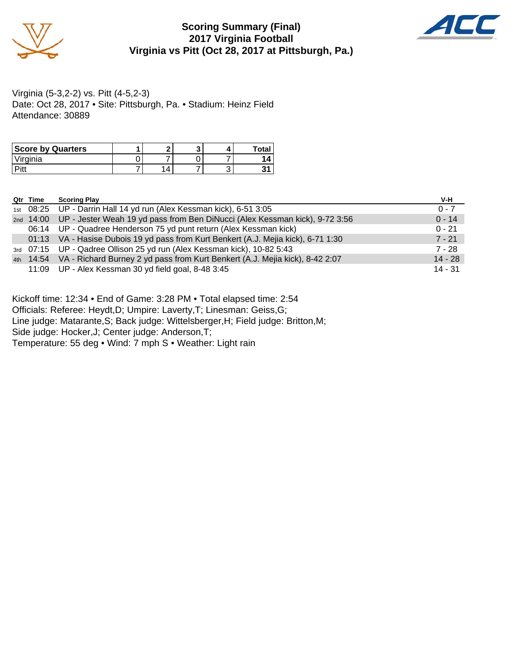

# **Scoring Summary (Final) 2017 Virginia Football Virginia vs Pitt (Oct 28, 2017 at Pittsburgh, Pa.)**



Virginia (5-3,2-2) vs. Pitt (4-5,2-3) Date: Oct 28, 2017 • Site: Pittsburgh, Pa. • Stadium: Heinz Field Attendance: 30889

| <b>Score by Quarters</b> |  |  | Tota |
|--------------------------|--|--|------|
| <sup>1</sup> irginia     |  |  |      |
| n:                       |  |  |      |

| Qtr Time | <b>Scoring Play</b>                                                                    | V-H       |
|----------|----------------------------------------------------------------------------------------|-----------|
|          | 1st 08:25 UP - Darrin Hall 14 yd run (Alex Kessman kick), 6-51 3:05                    | $0 - 7$   |
|          | 2nd 14:00 UP - Jester Weah 19 yd pass from Ben DiNucci (Alex Kessman kick), 9-72 3:56  | $0 - 14$  |
|          | 06:14 UP - Quadree Henderson 75 yd punt return (Alex Kessman kick)                     | $0 - 21$  |
|          | 01:13 VA - Hasise Dubois 19 yd pass from Kurt Benkert (A.J. Mejia kick), 6-71 1:30     | $7 - 21$  |
|          | 3rd 07:15 UP - Qadree Ollison 25 yd run (Alex Kessman kick), 10-82 5:43                | 7 - 28    |
|          | 4th 14:54 VA - Richard Burney 2 yd pass from Kurt Benkert (A.J. Mejia kick), 8-42 2:07 | $14 - 28$ |
|          | 11:09 UP - Alex Kessman 30 yd field goal, 8-48 3:45                                    | $14 - 31$ |

Kickoff time: 12:34 • End of Game: 3:28 PM • Total elapsed time: 2:54

Officials: Referee: Heydt,D; Umpire: Laverty,T; Linesman: Geiss,G;

Line judge: Matarante,S; Back judge: Wittelsberger,H; Field judge: Britton,M;

Side judge: Hocker,J; Center judge: Anderson,T;

Temperature: 55 deg • Wind: 7 mph S • Weather: Light rain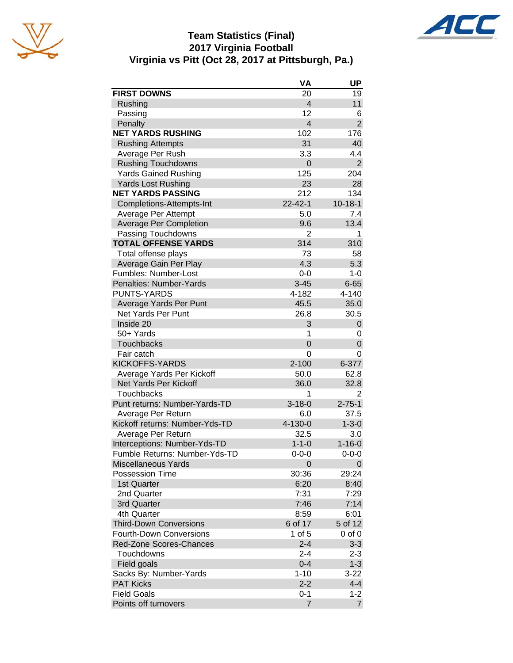





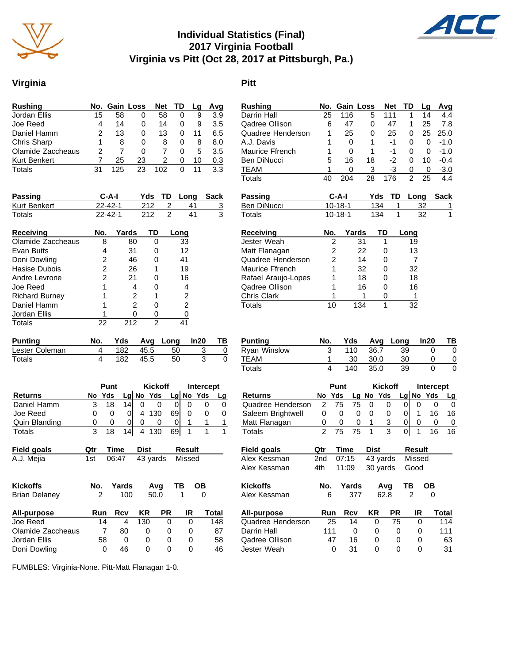

# **Individual Statistics (Final) 2017 Virginia Football Virginia vs Pitt (Oct 28, 2017 at Pittsburgh, Pa.)**

## **Virginia Pitt**

|    |     |    | <b>Net</b>    |   | La   | Avg |
|----|-----|----|---------------|---|------|-----|
| 15 | 58  | 0  | 58            | 0 | 9    | 3.9 |
| 4  | 14  | 0  | 14            | 0 | 9    | 3.5 |
| 2  | 13  | 0  | 13            | 0 | 11   | 6.5 |
|    | 8   | 0  | 8             | 0 | 8    | 8.0 |
|    |     | O  |               | 0 | 5    | 3.5 |
|    | 25  | 23 | 2             | 0 | 10   | 0.3 |
| 31 | 125 | 23 | 102           |   | 11   | 3.3 |
|    |     |    | No. Gain Loss |   | - TD |     |

| <b>Passing</b> | C-A-I         |     | Yds TD Long | Sack |
|----------------|---------------|-----|-------------|------|
| Kurt Benkert   | $22 - 42 - 1$ | 212 | 41          |      |
| Totals         | $22 - 42 - 1$ | 212 | 41          | 3    |
| Receiving      | Yards<br>No.  | TD. | Long        |      |

| Olamide Zaccheaus     |    | 80  | 33 |
|-----------------------|----|-----|----|
| Evan Butts            |    | 31  | 12 |
| Doni Dowling          | 2  | 46  | 41 |
| Hasise Dubois         | 2  | 26  | 19 |
| Andre Levrone         | 2  | 21  | 16 |
| Joe Reed              |    | 4   | 4  |
| <b>Richard Burney</b> |    | 2   | 2  |
| Daniel Hamm           |    | 2   | 2  |
| Jordan Ellis          |    |     |    |
| Totals                | 22 | 212 |    |

| Punting        |      |         | No. Yds Avg Long In20 | <b>TB</b> |
|----------------|------|---------|-----------------------|-----------|
| Lester Coleman | 182  | $-45.5$ | 50                    |           |
| Totals         | 182. | 45.5    | 50.                   |           |

|                |   | Punt     |                 |   | <b>Kickoff</b> |    | <b>Intercept</b> |             |    |
|----------------|---|----------|-----------------|---|----------------|----|------------------|-------------|----|
| <b>Returns</b> |   | No Yds   |                 |   | $Lg$ No Yds    |    |                  | $Lg$ No Yds | Lg |
| Daniel Hamm    |   | 18       | 14 <sub>1</sub> |   |                |    |                  |             |    |
| Joe Reed       | 0 |          |                 | 4 | 130            | 69 |                  |             |    |
| Quin Blanding  | O | $^{(1)}$ | 0               | 0 |                |    |                  |             |    |
| Totals         |   | 18       | 14              |   | 130            | 69 |                  |             |    |

| Field goals | <b>Qtr Time Dist</b> |                           | Result |
|-------------|----------------------|---------------------------|--------|
| A.J. Mejia  |                      | 1st 06:47 43 yards Missed |        |

| <b>Kickoffs</b>      | No.      | Yards |     | Avq       | ΤВ           | OВ    |
|----------------------|----------|-------|-----|-----------|--------------|-------|
| <b>Brian Delaney</b> | 2<br>100 |       |     | 50.0      |              |       |
| All-purpose          | Run      | Rcv   | KR  | <b>PR</b> | IR           | Total |
| Joe Reed             | 14       | 4     | 130 | 0         |              | 148   |
| Olamide Zaccheaus    |          | 80    | 0   | O         | $\mathbf{0}$ | 87    |
| Jordan Ellis         | 58       | 0     | 0   | 0         | O)           | 58    |
| Doni Dowling         |          | 46    | 0   | 0         |              | 46    |

Qadree Ollison 6 47 0 47 1 25 7.8 Quadree Henderson A.J. Davis 1 0 1 -1 0 0 -1.0 Maurice Ffrench 1 0 1 -1 Ben DiNucci 5 16 18 -2 0 10 -0.4 TEAM 1 0 3 -3 0 0 -3.0<br>Totals 40 204 28 176 2 25 4.4 Totals 40 204 28 176 2 25 4.4 **Passing C-A-I Yds TD Long Sack** Ben DiNucci 10-18-1 134 1 32 1 Totals 10-18-1 134 1 32 1 **Receiving \_\_\_\_\_\_\_\_\_ No. Yards TD Long** 19 Jester Weah 2 31 1 19<br>
13 Matt Flanagan 2 22 0 13 Matt Flanagan  $2$  22 0 13 Quadree Henderson  $2$  14 0 7<br>
Maurice Ffrench 1 32 0 32 Maurice Ffrench 1 32 0 Rafael Araujo-Lopes 1 18 0 18 Qadree Ollison 1 16 0 16 Phris Clark 1 1 0 1<br>
Totals 10 134 1 32 Totals 10 134 1 **Punting No. Yds Avg Long In20 TB** Ryan Winslow 3 110 36.7 39 0 0<br>TEAM 1 30 30.0 30 0 0 TEAM 1<br>Totals 4 Totals 4 140 35.0 39 0 0

**Rushing No. Gain Loss Net TD Lg Avg** Darrin Hall 25 116 5 111 1 14 4.4

|                    | Punt |     | <b>Kickoff</b> |      | <b>Intercept</b> |    |                |           |           |
|--------------------|------|-----|----------------|------|------------------|----|----------------|-----------|-----------|
| Returns            | No   | Yds |                |      | Lg No Yds        |    |                | Lg No Yds | <u>Lg</u> |
| Quadree Henderson  | 2    | 75  | 75             | 0    | 0                | 0  | 0              | 0         | 0         |
| Saleem Brightwell  | 0    | 0   | 0              | 0    | 0                | 0  | 1              | 16        | 16        |
| Matt Flanagan      | 0    | 0   | 0              | 1    | 3                | 0  | 0              | 0         | 0         |
| Totals             | 2    | 75  | 75             | 1    | 3                | 0  | 1              | 16        | 16        |
| <b>Field goals</b> | Qtr  |     | Time           | Dist |                  |    | <b>Result</b>  |           |           |
| Alex Kessman       | 2nd  |     | 07:15          |      | 43 yards         |    | Missed         |           |           |
| Alex Kessman       | 4th  |     | 11:09          |      | 30 yards         |    | Good           |           |           |
| <b>Kickoffs</b>    | No.  |     | Yards          |      | Avq              | ΤВ |                | ОВ        |           |
| Alex Kessman       |      | 6   | 377            |      | 62.8             |    | $\overline{2}$ | 0         |           |
| All-purpose        | Run  |     | Rcv            | ΚR   | РR               |    | IR             |           | Total     |
| Quadree Henderson  |      | 25  | 14             |      | 0                | 75 | 0              |           | 114       |
| Darrin Hall        |      | 111 | 0              |      | 0                | 0  | 0              |           | 111       |
| Qadree Ollison     |      | 47  | 16             |      | 0                | 0  | 0              |           | 63        |

Jester Weah 0 31 0 0 0 31

FUMBLES: Virginia-None. Pitt-Matt Flanagan 1-0.

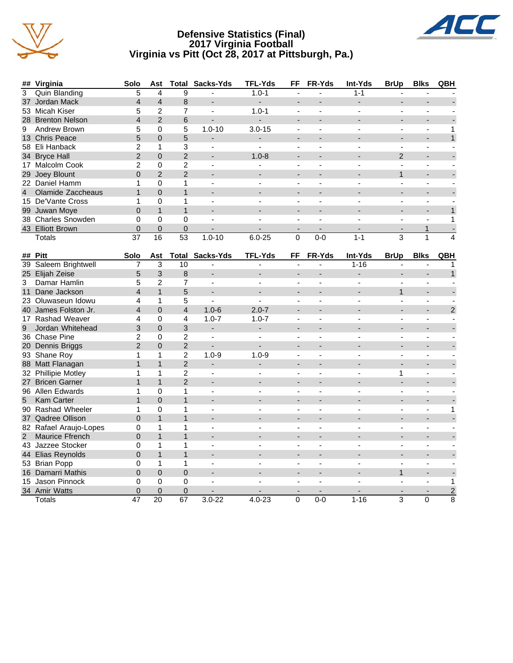

### **Defensive Statistics (Final) 2017 Virginia Football Virginia vs Pitt (Oct 28, 2017 at Pittsburgh, Pa.)**



|                | ## Virginia            | Solo           | Ast                     | Total           | Sacks-Yds                | <b>TFL-Yds</b>           | FF             | FR-Yds         | Int-Yds                  | <b>BrUp</b>    | <b>Blks</b>    | QBH            |
|----------------|------------------------|----------------|-------------------------|-----------------|--------------------------|--------------------------|----------------|----------------|--------------------------|----------------|----------------|----------------|
| $\overline{3}$ | <b>Quin Blanding</b>   | 5              | $\overline{\mathbf{4}}$ | 9               |                          | $1.0 - 1$                |                |                | $1 - 1$                  |                |                |                |
| 37             | Jordan Mack            | $\overline{4}$ | $\overline{4}$          | 8               | $\overline{\phantom{a}}$ | $\blacksquare$           | $\blacksquare$ | $\overline{a}$ | $\overline{a}$           | $\overline{a}$ | $\blacksquare$ |                |
|                | 53 Micah Kiser         | 5              | $\overline{2}$          | $\overline{7}$  | $\blacksquare$           | $1.0 - 1$                | $\blacksquare$ | $\blacksquare$ | $\blacksquare$           | $\blacksquare$ | $\blacksquare$ |                |
|                | 28 Brenton Nelson      | $\overline{4}$ | $\overline{2}$          | 6               | $\overline{\phantom{a}}$ | $\overline{\phantom{a}}$ |                |                |                          |                | $\overline{a}$ |                |
| 9              | Andrew Brown           | 5              | 0                       | 5               | $1.0 - 10$               | $3.0 - 15$               | $\blacksquare$ | ä,             | $\overline{a}$           | $\overline{a}$ | ä,             | 1              |
|                | 13 Chris Peace         | 5              | $\Omega$                | 5               |                          | $\overline{\phantom{a}}$ |                |                |                          |                |                | $\mathbf{1}$   |
|                | 58 Eli Hanback         | 2              | $\mathbf{1}$            | 3               | $\sim$                   | $\mathbf{r}$             |                |                |                          |                |                |                |
|                | 34 Bryce Hall          | 2              | $\Omega$                | $\overline{2}$  |                          | $1.0 - 8$                |                |                |                          | 2              |                |                |
|                | 17 Malcolm Cook        | $\overline{c}$ | 0                       | $\overline{c}$  | $\overline{\phantom{a}}$ | $\overline{a}$           | $\blacksquare$ | $\blacksquare$ | $\overline{\phantom{a}}$ | $\blacksquare$ | $\blacksquare$ |                |
|                | 29 Joey Blount         | $\Omega$       | $\overline{2}$          | $\overline{2}$  |                          |                          |                |                |                          | $\mathbf{1}$   |                |                |
|                | 22 Daniel Hamm         | 1              | 0                       | 1               | ÷.                       |                          | ÷,             | ÷              |                          | ÷              | ä,             |                |
| $\overline{4}$ | Olamide Zaccheaus      | $\mathbf{1}$   | $\overline{0}$          | $\overline{1}$  |                          |                          |                |                |                          |                |                |                |
|                | 15 De'Vante Cross      | 1              | 0                       | 1               | $\sim$                   | $\sim$                   | $\overline{a}$ | $\blacksquare$ |                          | $\sim$         | $\blacksquare$ |                |
|                | 99 Juwan Moye          | $\overline{0}$ | $\mathbf{1}$            | $\mathbf{1}$    |                          |                          |                |                |                          |                |                | $\mathbf{1}$   |
|                | 38 Charles Snowden     | $\Omega$       | 0                       | $\Omega$        | ÷,                       | ä,                       | $\blacksquare$ | ÷,             | $\overline{a}$           | $\blacksquare$ | ÷,             | 1              |
|                | 43 Elliott Brown       | $\overline{0}$ | 0                       | $\overline{0}$  | $\overline{\phantom{a}}$ |                          | $\blacksquare$ | $\blacksquare$ | $\overline{a}$           | $\blacksquare$ | $\mathbf{1}$   |                |
|                | Totals                 | 37             | 16                      | $\overline{53}$ | $1.0 - 10$               | $6.0 - 25$               | 0              | $0-0$          | $1 - 1$                  | 3              | 1              | 4              |
|                |                        |                |                         |                 |                          |                          |                |                |                          |                |                |                |
|                | ## Pitt                | Solo           | Ast                     |                 | <b>Total Sacks-Yds</b>   | <b>TFL-Yds</b>           | FF             | FR-Yds         | Int-Yds                  | <b>BrUp</b>    | <b>Blks</b>    | QBH            |
|                | 39 Saleem Brightwell   | 7              | 3                       | 10              | ÷,                       | ÷,                       | ÷,             | $\overline{a}$ | $1 - 16$                 | $\overline{a}$ |                | 1              |
|                | 25 Elijah Zeise        | 5              | 3                       | 8               | $\overline{\phantom{a}}$ |                          | $\overline{a}$ |                |                          |                | L,             | $\mathbf{1}$   |
| 3 <sub>1</sub> | Damar Hamlin           | 5              | $\overline{2}$          | 7               | $\blacksquare$           | $\sim$                   | $\overline{a}$ | $\blacksquare$ | $\sim$                   | $\overline{a}$ | $\blacksquare$ |                |
| 11             | Dane Jackson           | $\overline{4}$ | $\mathbf{1}$            | 5               |                          |                          |                |                |                          | $\mathbf{1}$   |                |                |
|                | 23 Oluwaseun Idowu     | 4              | $\mathbf 1$             | 5               | ä,                       |                          |                |                |                          |                | ä,             |                |
|                | 40 James Folston Jr.   | $\overline{4}$ | $\overline{0}$          | $\overline{4}$  | $1.0 - 6$                | $2.0 - 7$                |                |                |                          |                |                | $\overline{2}$ |
|                | 17 Rashad Weaver       | 4              | 0                       | 4               | $1.0 - 7$                | $1.0 - 7$                | $\blacksquare$ | L,             |                          |                | ä,             |                |
| $9\,$          | Jordan Whitehead       | 3              | $\overline{0}$          | 3               | $\overline{\phantom{a}}$ |                          | $\overline{a}$ |                |                          |                |                |                |
|                | 36 Chase Pine          | $\overline{2}$ | 0                       | 2               | $\blacksquare$           | $\sim$                   | ÷,             | $\overline{a}$ |                          | $\overline{a}$ | ä,             |                |
|                | 20 Dennis Briggs       | $\overline{2}$ | $\overline{0}$          | $\overline{2}$  | $\overline{a}$           | $\overline{a}$           |                |                |                          |                |                |                |
|                | 93 Shane Roy           | 1              | 1                       | 2               | $1.0 - 9$                | $1.0 - 9$                | ÷,             |                |                          |                | ÷,             |                |
|                | 88 Matt Flanagan       | $\mathbf{1}$   | $\mathbf{1}$            | $\overline{2}$  |                          |                          |                |                |                          |                |                |                |
|                | 32 Phillipie Motley    | $\mathbf{1}$   | 1                       | $\overline{c}$  | $\blacksquare$           | $\blacksquare$           | $\blacksquare$ | $\blacksquare$ |                          | 1              | $\blacksquare$ |                |
| 27             | <b>Bricen Garner</b>   | $\mathbf{1}$   | $\mathbf{1}$            | $\overline{2}$  |                          |                          |                |                |                          |                |                |                |
|                | 96 Allen Edwards       | $\mathbf{1}$   | 0                       | 1               | $\blacksquare$           | ä,                       | ä,             | ÷,             |                          |                | $\blacksquare$ |                |
| 5              | <b>Kam Carter</b>      | 1              | $\overline{0}$          | $\overline{1}$  |                          |                          |                |                |                          |                |                |                |
|                | 90 Rashad Wheeler      | $\mathbf{1}$   | 0                       | 1               | $\blacksquare$           |                          | ٠              | ÷              |                          |                | ÷.             | 1              |
|                | 37 Qadree Ollison      | $\Omega$       | $\mathbf{1}$            | $\mathbf{1}$    |                          |                          |                |                |                          |                |                |                |
|                | 82 Rafael Araujo-Lopes | 0              | 1                       | 1               | ÷.                       | ÷.                       | $\overline{a}$ | $\overline{a}$ | $\overline{a}$           | $\overline{a}$ | $\overline{a}$ |                |
| $2^{\circ}$    | Maurice Ffrench        | $\Omega$       | $\mathbf{1}$            | $\mathbf{1}$    |                          |                          |                |                |                          |                |                |                |
|                | 43 Jazzee Stocker      | 0              | 1                       | 1               | ÷,                       |                          |                |                |                          |                |                |                |
|                | 44 Elias Reynolds      | $\mathbf 0$    | $\mathbf{1}$            | $\mathbf{1}$    |                          |                          |                |                |                          |                |                |                |
|                | 53 Brian Popp          | $\Omega$       | $\mathbf 1$             | 1               | $\overline{\phantom{a}}$ | $\blacksquare$           | $\blacksquare$ | $\blacksquare$ | $\overline{a}$           | $\blacksquare$ | $\blacksquare$ |                |
|                | 16 Damarri Mathis      | $\overline{0}$ | $\overline{0}$          | $\overline{0}$  |                          |                          |                |                |                          | $\mathbf{1}$   |                |                |
|                | 15 Jason Pinnock       | 0              | 0                       | 0               | ÷.                       | $\overline{\phantom{a}}$ | $\overline{a}$ | $\overline{a}$ | $\overline{a}$           | $\overline{a}$ | ÷,             | 1              |
|                | 34 Amir Watts          | $\pmb{0}$      | $\boldsymbol{0}$        | 0               |                          |                          |                |                |                          |                |                | $\overline{2}$ |
|                | <b>Totals</b>          | 47             | 20                      | 67              | $3.0 - 22$               | $4.0 - 23$               | 0              | $0 - 0$        | $1 - 16$                 | 3              | 0              | 8              |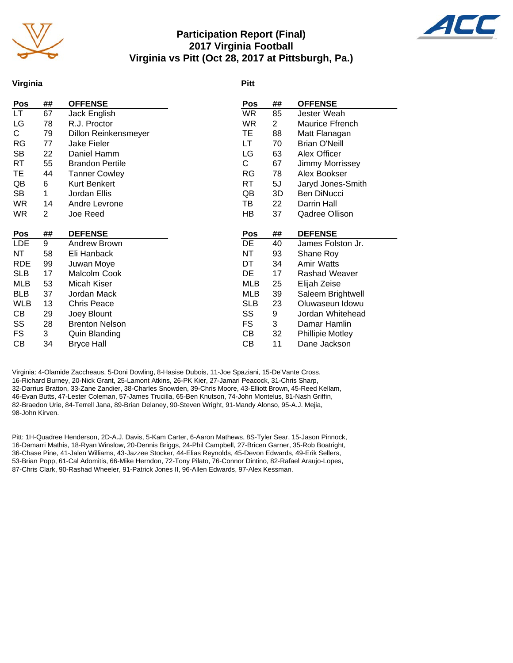

# **Participation Report (Final) 2017 Virginia Football Virginia vs Pitt (Oct 28, 2017 at Pittsburgh, Pa.)**



#### **Virginia**

#### **Pitt**

| <b>OFFENSE</b>          |
|-------------------------|
| Jester Weah             |
| Maurice Ffrench         |
| Matt Flanagan           |
| <b>Brian O'Neill</b>    |
| Alex Officer            |
| Jimmy Morrissey         |
| Alex Bookser            |
| Jaryd Jones-Smith       |
| Ben DiNucci             |
| Darrin Hall             |
| Qadree Ollison          |
|                         |
| <b>DEFENSE</b>          |
| James Folston Jr.       |
| Shane Roy               |
| Amir Watts              |
| Rashad Weaver           |
| Elijah Zeise            |
| Saleem Brightwell       |
| Oluwaseun Idowu         |
| Jordan Whitehead        |
| Damar Hamlin            |
| <b>Phillipie Motley</b> |
| Dane Jackson            |
|                         |

Virginia: 4-Olamide Zaccheaus, 5-Doni Dowling, 8-Hasise Dubois, 11-Joe Spaziani, 15-De'Vante Cross, 16-Richard Burney, 20-Nick Grant, 25-Lamont Atkins, 26-PK Kier, 27-Jamari Peacock, 31-Chris Sharp, 32-Darrius Bratton, 33-Zane Zandier, 38-Charles Snowden, 39-Chris Moore, 43-Elliott Brown, 45-Reed Kellam, 46-Evan Butts, 47-Lester Coleman, 57-James Trucilla, 65-Ben Knutson, 74-John Montelus, 81-Nash Griffin, 82-Braedon Urie, 84-Terrell Jana, 89-Brian Delaney, 90-Steven Wright, 91-Mandy Alonso, 95-A.J. Mejia, 98-John Kirven.

Pitt: 1H-Quadree Henderson, 2D-A.J. Davis, 5-Kam Carter, 6-Aaron Mathews, 8S-Tyler Sear, 15-Jason Pinnock, 16-Damarri Mathis, 18-Ryan Winslow, 20-Dennis Briggs, 24-Phil Campbell, 27-Bricen Garner, 35-Rob Boatright, 36-Chase Pine, 41-Jalen Williams, 43-Jazzee Stocker, 44-Elias Reynolds, 45-Devon Edwards, 49-Erik Sellers, 53-Brian Popp, 61-Cal Adomitis, 66-Mike Herndon, 72-Tony Pilato, 76-Connor Dintino, 82-Rafael Araujo-Lopes, 87-Chris Clark, 90-Rashad Wheeler, 91-Patrick Jones II, 96-Allen Edwards, 97-Alex Kessman.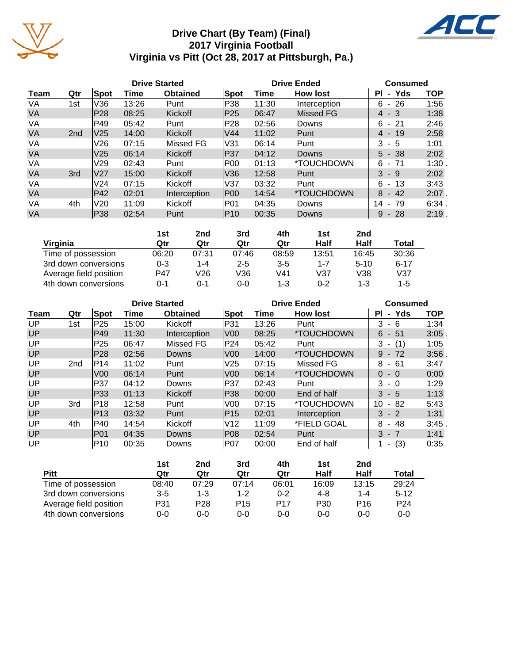

# **Drive Chart (By Team) (Final) 2017 Virginia Football Virginia vs Pitt (Oct 28, 2017 at Pittsburgh, Pa.)**



|           |                 |                 |       | <b>Drive Started</b> |                 | <b>Drive Ended</b> | <b>Consumed</b>          |                             |            |
|-----------|-----------------|-----------------|-------|----------------------|-----------------|--------------------|--------------------------|-----------------------------|------------|
| Team      | Qtr             | <b>Spot</b>     | Time  | <b>Obtained</b>      | <b>Spot</b>     | Time               | <b>How lost</b>          | Yds<br>ΡI<br>$\blacksquare$ | <b>TOP</b> |
| VA        | 1st             | V36             | 13:26 | Punt                 | P38             | 11:30              | Interception             | 26<br>6<br>$\blacksquare$   | 1:56       |
| <b>VA</b> |                 | P <sub>28</sub> | 08:25 | Kickoff              | P <sub>25</sub> | 06:47              | <b>Missed FG</b>         | $4 - 3$                     | 1:38       |
| VA        |                 | P49             | 05:42 | Punt                 | P <sub>28</sub> | 02:56              | Downs                    | 6<br>- 21                   | 2:46       |
| <b>VA</b> | 2 <sub>nd</sub> | V25             | 14:00 | Kickoff              | V <sub>44</sub> | 11:02              | Punt                     | 19<br>4<br>$\blacksquare$   | 2:58       |
| VA        |                 | V26             | 07:15 | Missed FG            | V31             | 06:14              | Punt                     | 3<br>- 5                    | 1:01       |
| VA        |                 | V <sub>25</sub> | 06:14 | Kickoff              | P37             | 04:12              | <b>Downs</b>             | $5 - 38$                    | 2:02       |
| VA        |                 | V29             | 02:43 | Punt                 | <b>P00</b>      | 01:13              | <i><b>*TOUCHDOWN</b></i> | 6<br>- 71                   | 1:30       |
| <b>VA</b> | 3rd             | <b>V27</b>      | 15:00 | Kickoff              | V36             | 12:58              | Punt                     | 3<br>-9                     | 2:02       |
| VA        |                 | V <sub>24</sub> | 07:15 | Kickoff              | V37             | 03:32              | Punt                     | 6<br>13<br>$\sim$           | 3:43       |
| <b>VA</b> |                 | P42             | 02:01 | Interception         | P00             | 14:54              | <i><b>*TOUCHDOWN</b></i> | $-42$<br>8                  | $2:07$ .   |
| VA        | 4th             | V20             | 11:09 | Kickoff              | P01             | 04:35              | Downs                    | 14<br>79<br>$\blacksquare$  | 6:34       |
| <b>VA</b> |                 | P38             | 02:54 | Punt                 | IP10            | 00:35              | Downs                    | 9<br>$-28$                  | 2:19.      |

|                        | 1st     | 2nd   | 3rd     | 4th     | 1st   | 2nd      |          |
|------------------------|---------|-------|---------|---------|-------|----------|----------|
| Virginia               | Qtr     | Qtr   | Qtr     | Qtr     | Half  | Half     | Total    |
| Time of possession     | 06:20   | 07:31 | 07:46   | 08:59   | 13:51 | 16:45    | 30:36    |
| 3rd down conversions   | $0 - 3$ | 1-4   | $2 - 5$ | $3 - 5$ | 1-7   | $5 - 10$ | $6 - 17$ |
| Average field position | P47     | V26   | V36     | V41     | V37   | V38      | V37      |
| 4th down conversions   | 0-1     | ი-1   | 0-0     | $1 - 3$ | 0-2   | $1 - 3$  | $1 - 5$  |

|           | <b>Drive Started</b> |                 |       |                 |                 |       | <b>Drive Ended</b>       |                            |            |  |  |
|-----------|----------------------|-----------------|-------|-----------------|-----------------|-------|--------------------------|----------------------------|------------|--|--|
| Team      | Qtr                  | Spot            | Time  | <b>Obtained</b> | Spot            | Time  | <b>How lost</b>          | - Yds<br>PI.               | <b>TOP</b> |  |  |
| UP        | 1st                  | P <sub>25</sub> | 15:00 | Kickoff         | P31             | 13:26 | Punt                     | 3<br>- 6                   | 1:34       |  |  |
| UP        |                      | P49             | 11:30 | Interception    | V <sub>00</sub> | 08:25 | *TOUCHDOWN               | 6<br>- 51                  | 3:05       |  |  |
| UP        |                      | P <sub>25</sub> | 06:47 | Missed FG       | P24             | 05:42 | Punt                     | 3<br>$- (1)$               | 1:05       |  |  |
| UP        |                      | P28             | 02:56 | <b>Downs</b>    | V <sub>00</sub> | 14:00 | *TOUCHDOWN               | 9<br>$-72$                 | 3:56       |  |  |
| UP        | 2 <sub>nd</sub>      | P14             | 11:02 | Punt            | V25             | 07:15 | Missed FG                | 8<br>- 61                  | 3:47       |  |  |
| UP        |                      | V <sub>00</sub> | 06:14 | Punt            | V <sub>00</sub> | 06:14 | <i><b>*TOUCHDOWN</b></i> | $\Omega$<br>$-0$           | 0:00       |  |  |
| UP        |                      | P37             | 04:12 | Downs           | P37             | 02:43 | Punt                     | 3<br>- 0                   | 1:29       |  |  |
| UP        |                      | P33             | 01:13 | Kickoff         | P38             | 00:00 | End of half              | 3<br>- 5                   | 1:13       |  |  |
| UP        | 3rd                  | P18             | 12:58 | Punt            | V <sub>0</sub>  | 07:15 | *TOUCHDOWN               | 10<br>82<br>$\blacksquare$ | 5:43       |  |  |
| UP        |                      | P <sub>13</sub> | 03:32 | Punt            | P <sub>15</sub> | 02:01 | Interception             | $3 - 2$                    | 1:31       |  |  |
| UP        | 4th                  | P40             | 14:54 | Kickoff         | V <sub>12</sub> | 11:09 | *FIELD GOAL              | 8<br>- 48                  | 3:45       |  |  |
| <b>UP</b> |                      | IP01            | 04:35 | <b>Downs</b>    | P08             | 02:54 | Punt                     | $3 - 7$                    | 1:41       |  |  |
| UP        |                      | P10             | 00:35 | Downs           | IP07            | 00:00 | End of half              | (3)<br>۰.                  | 0:35       |  |  |

|                        | 1st     | 2nd     | 3rd   | 4th     | 1st   | 2nd             |                 |
|------------------------|---------|---------|-------|---------|-------|-----------------|-----------------|
| Pitt                   | Qtr     | Qtr     | Qtr   | Qtr     | Half  | Half            | Total           |
| Time of possession     | 08:40   | 07:29   | 07:14 | 06:01   | 16:09 | 13:15           | 29:24           |
| 3rd down conversions   | $3 - 5$ | $1 - 3$ | 1-2   | $0 - 2$ | 4-8   | 1-4             | $5 - 12$        |
| Average field position | P31     | P28     | P15   | P17     | P30   | P <sub>16</sub> | P <sub>24</sub> |
| 4th down conversions   | 0-0     | 0-0     | 0-0   | $0 - 0$ | 0-0   | 0-0             | $0 - 0$         |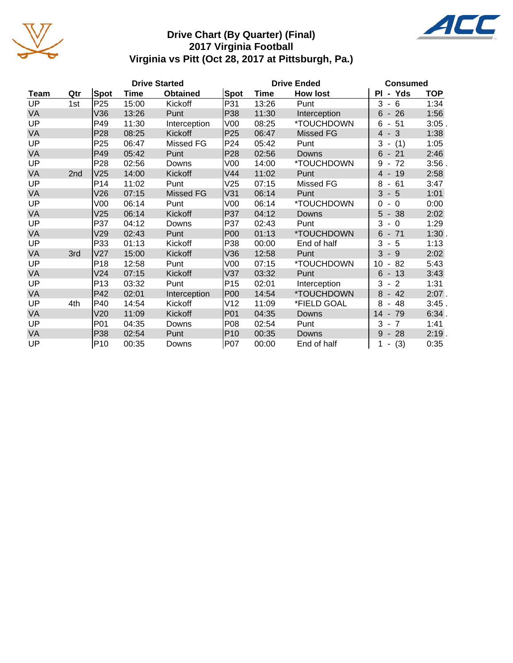

# **Drive Chart (By Quarter) (Final) 2017 Virginia Football Virginia vs Pitt (Oct 28, 2017 at Pittsburgh, Pa.)**



|           |     |                 |             | <b>Drive Started</b> |                 | <b>Drive Ended</b> | <b>Consumed</b>  |                                        |            |
|-----------|-----|-----------------|-------------|----------------------|-----------------|--------------------|------------------|----------------------------------------|------------|
| Team      | Qtr | Spot            | <b>Time</b> | <b>Obtained</b>      | Spot            | Time               | <b>How lost</b>  | - Yds<br>PL                            | <b>TOP</b> |
| UP        | 1st | P <sub>25</sub> | 15:00       | Kickoff              | P31             | 13:26              | Punt             | $3 - 6$                                | 1:34       |
| VA        |     | V36             | 13:26       | Punt                 | P38             | 11:30              | Interception     | $-26$<br>6                             | 1:56       |
| UP        |     | P49             | 11:30       | Interception         | V00             | 08:25              | *TOUCHDOWN       | 6<br>$-51$                             | $3:05$ .   |
| VA        |     | P <sub>28</sub> | 08:25       | Kickoff              | P <sub>25</sub> | 06:47              | <b>Missed FG</b> | $4 - 3$                                | 1:38       |
| UP        |     | P <sub>25</sub> | 06:47       | Missed FG            | P24             | 05:42              | Punt             | 3<br>(1)<br>$\overline{\phantom{a}}$   | 1:05       |
| VA        |     | P49             | 05:42       | Punt                 | P <sub>28</sub> | 02:56              | <b>Downs</b>     | 6<br>$-21$                             | 2:46       |
| UP        |     | P <sub>28</sub> | 02:56       | Downs                | V00             | 14:00              | *TOUCHDOWN       | 72<br>9                                | $3:56$ .   |
| VA        | 2nd | V25             | 14:00       | Kickoff              | V44             | 11:02              | Punt             | $4 - 19$                               | 2:58       |
| UP        |     | P14             | 11:02       | Punt                 | V25             | 07:15              | Missed FG        | 8<br>61<br>$\overline{\phantom{a}}$    | 3:47       |
| <b>VA</b> |     | V26             | 07:15       | <b>Missed FG</b>     | V31             | 06:14              | Punt             | 3<br>$-5$                              | 1:01       |
| UP        |     | V00             | 06:14       | Punt                 | V00             | 06:14              | *TOUCHDOWN       | $\Omega$<br>$\Omega$<br>$\blacksquare$ | 0:00       |
| VA        |     | V25             | 06:14       | Kickoff              | P37             | 04:12              | <b>Downs</b>     | 5<br>$-38$                             | 2:02       |
| UP        |     | P37             | 04:12       | Downs                | P37             | 02:43              | Punt             | 3<br>$-0$                              | 1:29       |
| VA        |     | V29             | 02:43       | Punt                 | P00             | 01:13              | *TOUCHDOWN       | 6<br>$-71$                             | 1:30       |
| UP        |     | P33             | 01:13       | Kickoff              | P38             | 00:00              | End of half      | 3<br>$-5$                              | 1:13       |
| VA        | 3rd | V27             | 15:00       | Kickoff              | V36             | 12:58              | Punt             | 3<br>$-9$                              | 2:02       |
| UP        |     | P18             | 12:58       | Punt                 | V00             | 07:15              | *TOUCHDOWN       | 82<br>10<br>$\overline{\phantom{a}}$   | 5:43       |
| VA        |     | V24             | 07:15       | Kickoff              | V37             | 03:32              | Punt             | 6<br>$-13$                             | 3:43       |
| UP        |     | P <sub>13</sub> | 03:32       | Punt                 | P <sub>15</sub> | 02:01              | Interception     | 3<br>$\overline{2}$<br>$\blacksquare$  | 1:31       |
| VA        |     | P42             | 02:01       | Interception         | <b>P00</b>      | 14:54              | *TOUCHDOWN       | 8<br>42<br>$\overline{\phantom{a}}$    | $2:07$ .   |
| UP        | 4th | P40             | 14:54       | Kickoff              | V12             | 11:09              | *FIELD GOAL      | 8<br>48<br>$\blacksquare$              | 3:45.      |
| VA        |     | V20             | 11:09       | Kickoff              | P01             | 04:35              | Downs            | $14 - 79$                              | 6:34.      |
| UP        |     | P01             | 04:35       | Downs                | P08             | 02:54              | Punt             | 3<br>7<br>$\blacksquare$               | 1:41       |
| VA        |     | P38             | 02:54       | Punt                 | P <sub>10</sub> | 00:35              | Downs            | 9<br>$-28$                             | $2:19$ .   |
| UP        |     | P <sub>10</sub> | 00:35       | Downs                | P07             | 00:00              | End of half      | (3)<br>$\overline{\phantom{a}}$        | 0:35       |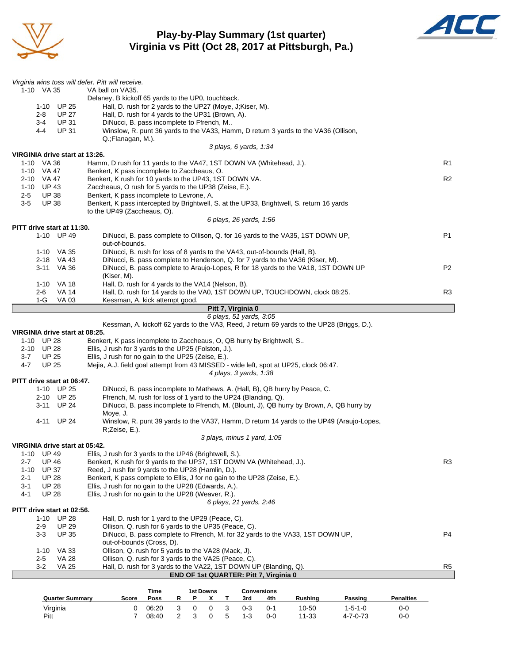

# **Play-by-Play Summary (1st quarter) Virginia vs Pitt (Oct 28, 2017 at Pittsburgh, Pa.)**



| Virginia wins toss will defer. Pitt will receive. |                                                                                                                                   |                |
|---------------------------------------------------|-----------------------------------------------------------------------------------------------------------------------------------|----------------|
| 1-10 VA 35                                        | VA ball on VA35.<br>Delaney, B kickoff 65 yards to the UP0, touchback.                                                            |                |
| 1-10 UP 25                                        | Hall, D. rush for 2 yards to the UP27 (Moye, J;Kiser, M).                                                                         |                |
| $2 - 8$<br><b>UP 27</b>                           | Hall, D. rush for 4 yards to the UP31 (Brown, A).                                                                                 |                |
| <b>UP 31</b><br>3-4                               | DiNucci, B. pass incomplete to Ffrench, M                                                                                         |                |
| 4-4<br><b>UP 31</b>                               | Winslow, R. punt 36 yards to the VA33, Hamm, D return 3 yards to the VA36 (Ollison,                                               |                |
|                                                   | Q.; Flanagan, M.).                                                                                                                |                |
|                                                   | 3 plays, 6 yards, 1:34                                                                                                            |                |
| VIRGINIA drive start at 13:26.                    |                                                                                                                                   |                |
| 1-10 VA 36                                        | Hamm, D rush for 11 yards to the VA47, 1ST DOWN VA (Whitehead, J.).                                                               | R1             |
| 1-10 VA 47                                        | Benkert, K pass incomplete to Zaccheaus, O.                                                                                       |                |
| 2-10 VA 47<br>1-10 UP 43                          | Benkert, K rush for 10 yards to the UP43, 1ST DOWN VA.                                                                            | R <sub>2</sub> |
| <b>UP 38</b><br>2-5                               | Zaccheaus, O rush for 5 yards to the UP38 (Zeise, E.).<br>Benkert, K pass incomplete to Levrone, A.                               |                |
| $3-5$<br><b>UP 38</b>                             | Benkert, K pass intercepted by Brightwell, S. at the UP33, Brightwell, S. return 16 yards                                         |                |
|                                                   | to the UP49 (Zaccheaus, O).                                                                                                       |                |
|                                                   | 6 plays, 26 yards, 1:56                                                                                                           |                |
| PITT drive start at 11:30.                        |                                                                                                                                   |                |
| 1-10 UP 49                                        | DiNucci, B. pass complete to Ollison, Q. for 16 yards to the VA35, 1ST DOWN UP,<br>out-of-bounds.                                 | P <sub>1</sub> |
| 1-10 VA 35                                        | DiNucci, B. rush for loss of 8 yards to the VA43, out-of-bounds (Hall, B).                                                        |                |
| 2-18 VA 43                                        | DiNucci, B. pass complete to Henderson, Q. for 7 yards to the VA36 (Kiser, M).                                                    |                |
| 3-11 VA 36                                        | DiNucci, B. pass complete to Araujo-Lopes, R for 18 yards to the VA18, 1ST DOWN UP                                                | P <sub>2</sub> |
|                                                   | (Kiser, M).                                                                                                                       |                |
| 1-10 VA 18<br>VA 14<br>2-6                        | Hall, D. rush for 4 yards to the VA14 (Nelson, B).<br>Hall, D. rush for 14 yards to the VA0, 1ST DOWN UP, TOUCHDOWN, clock 08:25. | R3             |
| $1-G$<br><b>VA 03</b>                             | Kessman, A. kick attempt good.                                                                                                    |                |
|                                                   | Pitt 7, Virginia 0                                                                                                                |                |
|                                                   | 6 plays, 51 yards, 3:05                                                                                                           |                |
|                                                   | Kessman, A. kickoff 62 yards to the VA3, Reed, J return 69 yards to the UP28 (Briggs, D.).                                        |                |
| VIRGINIA drive start at 08:25.                    |                                                                                                                                   |                |
| 1-10 UP 28                                        | Benkert, K pass incomplete to Zaccheaus, O, QB hurry by Brightwell, S                                                             |                |
| 2-10 UP 28                                        | Ellis, J rush for 3 yards to the UP25 (Folston, J.).                                                                              |                |
| <b>UP 25</b><br>3-7                               | Ellis, J rush for no gain to the UP25 (Zeise, E.).                                                                                |                |
| <b>UP 25</b><br>4-7                               | Mejia, A.J. field goal attempt from 43 MISSED - wide left, spot at UP25, clock 06:47.<br>4 plays, 3 yards, 1:38                   |                |
| PITT drive start at 06:47.                        |                                                                                                                                   |                |
| 1-10 UP 25                                        | DiNucci, B. pass incomplete to Mathews, A. (Hall, B), QB hurry by Peace, C.                                                       |                |
| 2-10 UP 25                                        | Ffrench, M. rush for loss of 1 yard to the UP24 (Blanding, Q).                                                                    |                |
| 3-11 UP 24                                        | DiNucci, B. pass incomplete to Ffrench, M. (Blount, J), QB hurry by Brown, A, QB hurry by                                         |                |
|                                                   | Moye, J.                                                                                                                          |                |
| 4-11 UP 24                                        | Winslow, R. punt 39 yards to the VA37, Hamm, D return 14 yards to the UP49 (Araujo-Lopes,                                         |                |
|                                                   | R;Zeise, E.).                                                                                                                     |                |
|                                                   | 3 plays, minus 1 yard, 1:05                                                                                                       |                |
| VIRGINIA drive start at 05:42.                    |                                                                                                                                   |                |
| <b>UP 49</b><br>1-10<br><b>UP 46</b>              | Ellis, J rush for 3 yards to the UP46 (Brightwell, S.).                                                                           |                |
| 2-7<br><b>UP 37</b><br>1-10                       | Benkert, K rush for 9 yards to the UP37, 1ST DOWN VA (Whitehead, J.).<br>Reed, J rush for 9 yards to the UP28 (Hamlin, D.).       | R <sub>3</sub> |
| <b>UP 28</b><br>2-1                               | Benkert, K pass complete to Ellis, J for no gain to the UP28 (Zeise, E.).                                                         |                |
| $3 - 1$<br><b>UP 28</b>                           | Ellis, J rush for no gain to the UP28 (Edwards, A.).                                                                              |                |
| 4-1<br><b>UP 28</b>                               | Ellis, J rush for no gain to the UP28 (Weaver, R.).                                                                               |                |
|                                                   | 6 plays, 21 yards, 2:46                                                                                                           |                |
| PITT drive start at 02:56.                        |                                                                                                                                   |                |
| 1-10 UP 28                                        | Hall, D. rush for 1 yard to the UP29 (Peace, C).                                                                                  |                |
| <b>UP 29</b><br>$2 - 9$                           | Ollison, Q. rush for 6 yards to the UP35 (Peace, C).                                                                              |                |
| <b>UP 35</b><br>$3 - 3$                           | DiNucci, B. pass complete to Ffrench, M. for 32 yards to the VA33, 1ST DOWN UP,                                                   | P4             |
|                                                   | out-of-bounds (Cross, D).                                                                                                         |                |
| 1-10 VA 33<br>$2 - 5$<br>VA 28                    | Ollison, Q. rush for 5 yards to the VA28 (Mack, J).<br>Ollison, Q. rush for 3 yards to the VA25 (Peace, C).                       |                |
| $3 - 2$<br><b>VA 25</b>                           | Hall, D. rush for 3 yards to the VA22, 1ST DOWN UP (Blanding, Q).                                                                 | R <sub>5</sub> |
|                                                   |                                                                                                                                   |                |
|                                                   | END OF 1st QUARTER: Pitt 7, Virginia 0                                                                                            |                |

|                        |       | Time  |   | 1st Downs |    |         | <b>Conversions</b> |         |                  |                  |
|------------------------|-------|-------|---|-----------|----|---------|--------------------|---------|------------------|------------------|
| <b>Quarter Summary</b> | Score | Poss  | P |           |    | 3rd     | 4th                | Rushina | Passing          | <b>Penalties</b> |
| Virginia               |       | 06:20 | ∩ |           |    | $0 - 3$ | $0 - 1$            | 10-50   | 1-5-1-0          | 0-0              |
| Pitt                   |       | 08:40 |   |           | -5 | $1 - 3$ | $0 - 0$            | 11-33   | $4 - 7 - 0 - 73$ | 0-0              |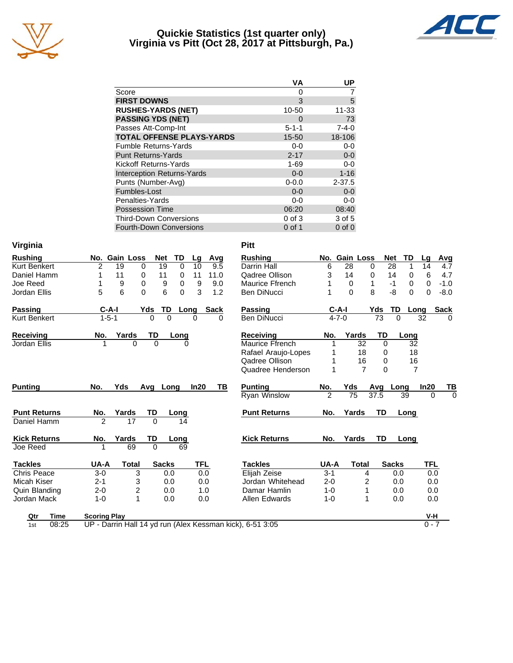

## **Quickie Statistics (1st quarter only) Virginia vs Pitt (Oct 28, 2017 at Pittsburgh, Pa.)**



| <b>VA</b>     | UP          |
|---------------|-------------|
| 0             |             |
| 3             | 5           |
| 10-50         | 11-33       |
| $\mathcal{L}$ | 73          |
| $5 - 1 - 1$   | $7 - 4 - 0$ |
| 15-50         | 18-106      |
| $0 - 0$       | $0-0$       |
| $2 - 17$      | $0-0$       |
| $1 - 69$      | $0-0$       |
| $0 - 0$       | $1 - 16$    |
| $0 - 0.0$     | $2 - 37.5$  |
| $0 - 0$       | $0-0$       |
| 0-0           | $0 - 0$     |
| 06:20         | 08:40       |
| $0$ of $3$    | 3 of 5      |
| $0$ of 1      | $0$ of $0$  |
|               |             |

| Virginia            |                     |                  |                  |          |            |             | <b>Pitt</b>                                               |                |               |                |             |              |                      |                      |
|---------------------|---------------------|------------------|------------------|----------|------------|-------------|-----------------------------------------------------------|----------------|---------------|----------------|-------------|--------------|----------------------|----------------------|
| <b>Rushing</b>      | No.                 | <b>Gain Loss</b> | <b>Net</b>       | TD       | Lg         | Avg         | <b>Rushing</b>                                            |                | No. Gain Loss |                |             | Net          | TD<br>Lq             | Avg                  |
| Kurt Benkert        | 2                   | 19               | 19<br>$\Omega$   | $\Omega$ | 10         | 9.5         | Darrin Hall                                               | 6              | 28            |                | $\Omega$    | 28           | 1<br>14              | 4.7                  |
| Daniel Hamm         | 1                   | 11               | 0<br>11          | 0        | 11         | 11.0        | Qadree Ollison                                            | 3              | 14            |                | 0           | 14           | 6<br>0               | 4.7                  |
| Joe Reed            | 1                   | 9                | 0<br>9           | 0        | 9          | 9.0         | Maurice Ffrench                                           |                | $\Omega$      |                | 1           | $-1$         | $\Omega$<br>$\Omega$ | $-1.0$               |
| Jordan Ellis        | 5                   | 6                | 6<br>$\Omega$    | $\Omega$ | 3          | 1.2         | <b>Ben DiNucci</b>                                        | 1              | $\Omega$      |                | 8           | -8           | 0                    | $-8.0$<br>$\Omega$   |
| <b>Passing</b>      | $C-A-I$             |                  | <b>TD</b><br>Yds |          | Long       | <b>Sack</b> | Passing                                                   |                | $C-A-I$       |                | Yds         | TD           | Long                 | <b>Sack</b>          |
| Kurt Benkert        | $1 - 5 - 1$         |                  | 0                | $\Omega$ | $\Omega$   | 0           | <b>Ben DiNucci</b>                                        |                | $4 - 7 - 0$   |                | 73          | $\Omega$     | 32                   | 0                    |
| <b>Receiving</b>    | No.                 | Yards            | TD               | Long     |            |             | <b>Receiving</b>                                          | No.            | Yards         |                | TD          |              | Long                 |                      |
| Jordan Ellis        |                     | $\Omega$         | $\Omega$         | $\Omega$ |            |             | Maurice Ffrench                                           | 1              |               | 32             | $\mathbf 0$ |              | 32                   |                      |
|                     |                     |                  |                  |          |            |             | Rafael Araujo-Lopes                                       |                |               | 18             | 0           |              | 18                   |                      |
|                     |                     |                  |                  |          |            |             | Qadree Ollison                                            | 1              |               | 16             | 0           |              | 16                   |                      |
|                     |                     |                  |                  |          |            |             | Quadree Henderson                                         | 1              |               | $\overline{7}$ | $\Omega$    |              | $\overline{7}$       |                      |
| <b>Punting</b>      | No.                 | Yds              | Avg Long         |          | In20       | ΤВ          | <b>Punting</b>                                            | No.            | Yds           |                | Avg         | Long         | In20                 | TB                   |
|                     |                     |                  |                  |          |            |             | <b>Ryan Winslow</b>                                       | $\overline{2}$ | 75            |                | 37.5        | 39           |                      | $\Omega$<br>$\Omega$ |
| <b>Punt Returns</b> | No.                 | Yards            | TD               | Long     |            |             | <b>Punt Returns</b>                                       | No.            | Yards         |                | <b>TD</b>   |              | Long                 |                      |
| Daniel Hamm         | $\mathfrak{p}$      | 17               | $\Omega$         | 14       |            |             |                                                           |                |               |                |             |              |                      |                      |
| <b>Kick Returns</b> | No.                 | Yards            | TD               | Long     |            |             | <b>Kick Returns</b>                                       | No.            | Yards         |                | TD          |              | Long                 |                      |
| Joe Reed            | 1                   | 69               | $\mathbf 0$      | 69       |            |             |                                                           |                |               |                |             |              |                      |                      |
| <b>Tackles</b>      | UA-A                | Total            | <b>Sacks</b>     |          | <b>TFL</b> |             | <b>Tackles</b>                                            | UA-A           |               | <b>Total</b>   |             | <b>Sacks</b> |                      | TFL                  |
| <b>Chris Peace</b>  | $3 - 0$             | 3                |                  | 0.0      | 0.0        |             | Elijah Zeise                                              | $3 - 1$        |               | 4              |             | 0.0          |                      | 0.0                  |
| Micah Kiser         | $2 - 1$             | 3                |                  | 0.0      | 0.0        |             | Jordan Whitehead                                          | $2 - 0$        |               | 2              |             | 0.0          |                      | 0.0                  |
| Quin Blanding       | $2 - 0$             | 2                |                  | 0.0      | 1.0        |             | Damar Hamlin                                              | $1 - 0$        |               | 1              |             | 0.0          |                      | 0.0                  |
| Jordan Mack         | $1 - 0$             | 1                |                  | 0.0      | 0.0        |             | Allen Edwards                                             | $1 - 0$        |               | $\mathbf{1}$   |             | 0.0          |                      | 0.0                  |
| Time<br>Qtr         | <b>Scoring Play</b> |                  |                  |          |            |             |                                                           |                |               |                |             |              |                      | V-H                  |
| 08:25<br>1st        |                     |                  |                  |          |            |             | UP - Darrin Hall 14 yd run (Alex Kessman kick), 6-51 3:05 |                |               |                |             |              |                      | $0 - 7$              |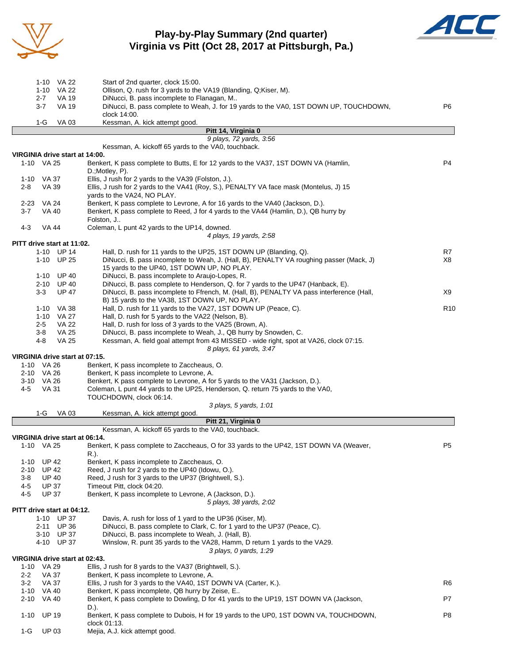

# **Play-by-Play Summary (2nd quarter) Virginia vs Pitt (Oct 28, 2017 at Pittsburgh, Pa.)**



| 1-10 VA 22                              | Start of 2nd quarter, clock 15:00.                                                                                                   |                 |
|-----------------------------------------|--------------------------------------------------------------------------------------------------------------------------------------|-----------------|
| 1-10 VA 22                              | Ollison, Q. rush for 3 yards to the VA19 (Blanding, Q;Kiser, M).                                                                     |                 |
| $2 - 7$<br>VA 19<br><b>VA 19</b>        | DiNucci, B. pass incomplete to Flanagan, M<br>DiNucci, B. pass complete to Weah, J. for 19 yards to the VA0, 1ST DOWN UP, TOUCHDOWN, | P6              |
| 3-7                                     | clock 14:00.                                                                                                                         |                 |
| $1-G$<br>VA 03                          | Kessman, A. kick attempt good.                                                                                                       |                 |
|                                         | Pitt 14, Virginia 0                                                                                                                  |                 |
|                                         | 9 plays, 72 yards, 3:56                                                                                                              |                 |
|                                         | Kessman, A. kickoff 65 yards to the VA0, touchback.                                                                                  |                 |
| VIRGINIA drive start at 14:00.          |                                                                                                                                      |                 |
| 1-10 VA 25                              | Benkert, K pass complete to Butts, E for 12 yards to the VA37, 1ST DOWN VA (Hamlin,<br>D.; Motley, P).                               | P4              |
| 1-10 VA 37                              | Ellis, J rush for 2 yards to the VA39 (Folston, J.).                                                                                 |                 |
| VA 39<br>2-8                            | Ellis, J rush for 2 yards to the VA41 (Roy, S.), PENALTY VA face mask (Montelus, J) 15                                               |                 |
|                                         | yards to the VA24, NO PLAY.                                                                                                          |                 |
| 2-23 VA 24                              | Benkert, K pass complete to Levrone, A for 16 yards to the VA40 (Jackson, D.).                                                       |                 |
| $3 - 7$<br>VA 40                        | Benkert, K pass complete to Reed, J for 4 yards to the VA44 (Hamlin, D.), QB hurry by                                                |                 |
|                                         | Folston, J                                                                                                                           |                 |
| 4-3<br>VA 44                            | Coleman, L punt 42 yards to the UP14, downed.                                                                                        |                 |
| PITT drive start at 11:02.              | 4 plays, 19 yards, 2:58                                                                                                              |                 |
| 1-10 UP 14                              | Hall, D. rush for 11 yards to the UP25, 1ST DOWN UP (Blanding, Q).                                                                   | R7              |
| 1-10 UP 25                              | DiNucci, B. pass incomplete to Weah, J. (Hall, B), PENALTY VA roughing passer (Mack, J)                                              | X8              |
|                                         | 15 yards to the UP40, 1ST DOWN UP, NO PLAY.                                                                                          |                 |
| 1-10 UP 40                              | DiNucci, B. pass incomplete to Araujo-Lopes, R.                                                                                      |                 |
| 2-10 UP 40                              | DiNucci, B. pass complete to Henderson, Q. for 7 yards to the UP47 (Hanback, E).                                                     |                 |
| $3-3$<br><b>UP 47</b>                   | DiNucci, B. pass incomplete to Ffrench, M. (Hall, B), PENALTY VA pass interference (Hall,                                            | X9              |
|                                         | B) 15 yards to the VA38, 1ST DOWN UP, NO PLAY.                                                                                       |                 |
| 1-10 VA 38                              | Hall, D. rush for 11 yards to the VA27, 1ST DOWN UP (Peace, C).                                                                      | R <sub>10</sub> |
| 1-10 VA 27                              | Hall, D. rush for 5 yards to the VA22 (Nelson, B).                                                                                   |                 |
| VA 22<br>$2 - 5$<br>3-8<br><b>VA 25</b> | Hall, D. rush for loss of 3 yards to the VA25 (Brown, A).<br>DiNucci, B. pass incomplete to Weah, J., QB hurry by Snowden, C.        |                 |
| 4-8<br>VA 25                            | Kessman, A. field goal attempt from 43 MISSED - wide right, spot at VA26, clock 07:15.                                               |                 |
|                                         | 8 plays, 61 yards, 3:47                                                                                                              |                 |
| VIRGINIA drive start at 07:15.          |                                                                                                                                      |                 |
| 1-10 VA 26                              | Benkert, K pass incomplete to Zaccheaus, O.                                                                                          |                 |
| 2-10 VA 26                              | Benkert, K pass incomplete to Levrone, A.                                                                                            |                 |
| 3-10 VA 26                              | Benkert, K pass complete to Levrone, A for 5 yards to the VA31 (Jackson, D.).                                                        |                 |
| 4-5<br><b>VA 31</b>                     | Coleman, L punt 44 yards to the UP25, Henderson, Q. return 75 yards to the VA0,                                                      |                 |
|                                         | TOUCHDOWN, clock 06:14.<br>3 plays, 5 yards, 1:01                                                                                    |                 |
| VA 03<br>1-G                            | Kessman, A. kick attempt good.                                                                                                       |                 |
|                                         | Pitt 21, Virginia 0                                                                                                                  |                 |
|                                         | Kessman, A. kickoff 65 yards to the VA0, touchback.                                                                                  |                 |
| VIRGINIA drive start at 06:14.          |                                                                                                                                      |                 |
| 1-10 VA 25                              | Benkert, K pass complete to Zaccheaus, O for 33 yards to the UP42, 1ST DOWN VA (Weaver,                                              | P <sub>5</sub>  |
| <b>UP 42</b>                            | R.).                                                                                                                                 |                 |
| $1 - 10$<br><b>UP 42</b><br>2-10        | Benkert, K pass incomplete to Zaccheaus, O.<br>Reed, J rush for 2 yards to the UP40 (Idowu, O.).                                     |                 |
| 3-8<br><b>UP 40</b>                     | Reed, J rush for 3 yards to the UP37 (Brightwell, S.).                                                                               |                 |
| $4 - 5$<br><b>UP 37</b>                 | Timeout Pitt, clock 04:20.                                                                                                           |                 |
| 4-5<br><b>UP 37</b>                     | Benkert, K pass incomplete to Levrone, A (Jackson, D.).                                                                              |                 |
|                                         | 5 plays, 38 yards, 2:02                                                                                                              |                 |
| PITT drive start at 04:12.              |                                                                                                                                      |                 |
| 1-10 UP 37                              | Davis, A. rush for loss of 1 yard to the UP36 (Kiser, M).                                                                            |                 |
| 2-11 UP 36<br>3-10 UP 37                | DiNucci, B. pass complete to Clark, C. for 1 yard to the UP37 (Peace, C).<br>DiNucci, B. pass incomplete to Weah, J. (Hall, B).      |                 |
| 4-10 UP 37                              | Winslow, R. punt 35 yards to the VA28, Hamm, D return 1 yards to the VA29.                                                           |                 |
|                                         | 3 plays, 0 yards, 1:29                                                                                                               |                 |
| VIRGINIA drive start at 02:43.          |                                                                                                                                      |                 |
| 1-10 VA 29                              | Ellis, J rush for 8 yards to the VA37 (Brightwell, S.).                                                                              |                 |
| $2 - 2$<br><b>VA 37</b>                 | Benkert, K pass incomplete to Levrone, A.                                                                                            |                 |
| $3 - 2$<br><b>VA 37</b>                 | Ellis, J rush for 3 yards to the VA40, 1ST DOWN VA (Carter, K.).                                                                     | R6              |
| 1-10 VA 40                              | Benkert, K pass incomplete, QB hurry by Zeise, E                                                                                     |                 |
| <b>VA 40</b><br>2-10                    | Benkert, K pass complete to Dowling, D for 41 yards to the UP19, 1ST DOWN VA (Jackson,                                               | P7              |
| <b>UP 19</b><br>$1 - 10$                | D.).<br>Benkert, K pass complete to Dubois, H for 19 yards to the UP0, 1ST DOWN VA, TOUCHDOWN,                                       | P8              |
|                                         | clock 01:13.                                                                                                                         |                 |
| $1-G$<br><b>UP 03</b>                   | Mejia, A.J. kick attempt good.                                                                                                       |                 |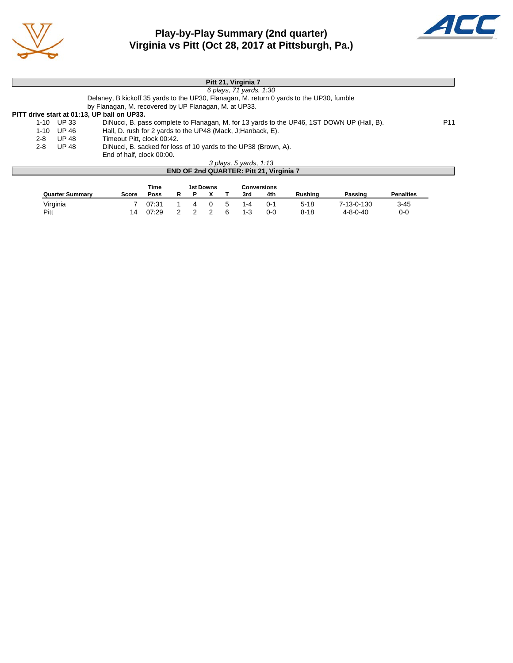

# **Play-by-Play Summary (2nd quarter) Virginia vs Pitt (Oct 28, 2017 at Pittsburgh, Pa.)**



|         |            | Pitt 21, Virginia 7                                                                        |                 |
|---------|------------|--------------------------------------------------------------------------------------------|-----------------|
|         |            | 6 plays, 71 yards, 1:30                                                                    |                 |
|         |            | Delaney, B kickoff 35 yards to the UP30, Flanagan, M. return 0 yards to the UP30, fumble   |                 |
|         |            | by Flanagan, M. recovered by UP Flanagan, M. at UP33.                                      |                 |
|         |            | PITT drive start at 01:13, UP ball on UP33.                                                |                 |
|         | 1-10 UP 33 | DiNucci, B. pass complete to Flanagan, M. for 13 yards to the UP46, 1ST DOWN UP (Hall, B). | P <sub>11</sub> |
|         | 1-10 UP 46 | Hall, D. rush for 2 yards to the UP48 (Mack, J; Hanback, E).                               |                 |
| 2-8     | UP 48      | Timeout Pitt, clock 00:42.                                                                 |                 |
| $2 - 8$ | UP 48      | DiNucci, B. sacked for loss of 10 yards to the UP38 (Brown, A).                            |                 |
|         |            | End of half, clock 00:00.                                                                  |                 |
|         |            | 3 plays, 5 yards, 1:13                                                                     |                 |
|         |            | END OF 2nd QUARTER: Pitt 21, Virginia 7                                                    |                 |
|         |            |                                                                                            |                 |

|                        |       | Time  |  | 1st Downs |             |         | Conversions |          |                  |                  |
|------------------------|-------|-------|--|-----------|-------------|---------|-------------|----------|------------------|------------------|
| <b>Quarter Summary</b> | Score | Poss  |  |           |             | 3rd     | 4th         | Rushina  | Passing          | <b>Penalties</b> |
| Virginia               |       | 07:31 |  |           | $\mathbf b$ | 1-4     | ∩-′         | $5 - 18$ | 7-13-0-130       | $3 - 45$         |
| Pitt                   |       | 07:29 |  |           | 6           | $1 - 3$ | 0-0         | $8 - 18$ | $4 - 8 - 0 - 40$ | 0-0              |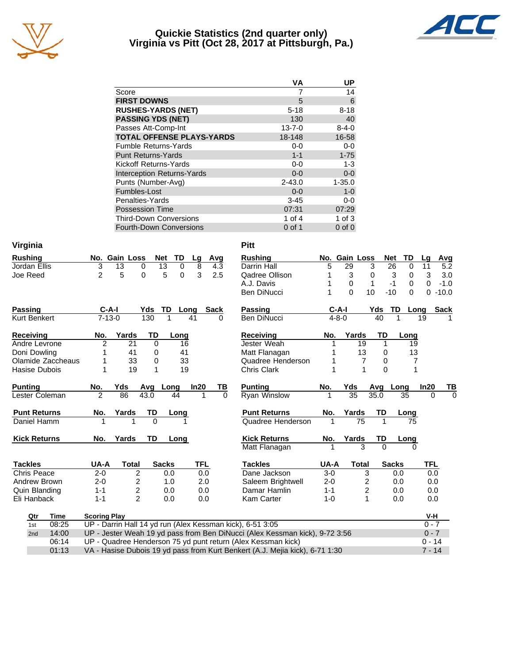

# **Quickie Statistics (2nd quarter only) Virginia vs Pitt (Oct 28, 2017 at Pittsburgh, Pa.)**



|                                   | VА           | UP          |
|-----------------------------------|--------------|-------------|
| Score                             |              | 14          |
| <b>FIRST DOWNS</b>                | 5            | 6           |
| <b>RUSHES-YARDS (NET)</b>         | $5 - 18$     | $8 - 18$    |
| <b>PASSING YDS (NET)</b>          | 130          | 40          |
| Passes Att-Comp-Int               | $13 - 7 - 0$ | $8 - 4 - 0$ |
| <b>TOTAL OFFENSE PLAYS-YARDS</b>  | 18-148       | 16-58       |
| <b>Fumble Returns-Yards</b>       | $0-0$        | $0-0$       |
| <b>Punt Returns-Yards</b>         | $1 - 1$      | $1 - 75$    |
| Kickoff Returns-Yards             | $0-0$        | $1 - 3$     |
| <b>Interception Returns-Yards</b> | $0 - 0$      | $0-0$       |
| Punts (Number-Avg)                | $2 - 43.0$   | $1 - 35.0$  |
| Fumbles-Lost                      | $0 - 0$      | $1 - 0$     |
| Penalties-Yards                   | $3 - 45$     | $0 - 0$     |
| <b>Possession Time</b>            | 07:31        | 07:29       |
| <b>Third-Down Conversions</b>     | 1 of 4       | $1$ of $3$  |
| <b>Fourth-Down Conversions</b>    | $0$ of 1     | $0$ of $0$  |

| Virginia            |                     |                         |              |                      |            |          | <b>Pitt</b>                                                                  |         |                 |                         |          |                   |             |             |
|---------------------|---------------------|-------------------------|--------------|----------------------|------------|----------|------------------------------------------------------------------------------|---------|-----------------|-------------------------|----------|-------------------|-------------|-------------|
| <b>Rushing</b>      |                     | No. Gain Loss           | <b>Net</b>   | TD                   | Lg         | Avg      | <b>Rushing</b>                                                               |         | No. Gain Loss   |                         |          | <b>Net</b><br>TD  | Lq          | Avg         |
| Jordan Ellis        | 3                   | $\overline{13}$         | 0            | $\overline{13}$<br>0 | 8          | 4.3      | Darrin Hall                                                                  | 5       | 29              | 3                       |          | 26<br>$\Omega$    | 11          | 5.2         |
| Joe Reed            | $\overline{2}$      | 5                       | 0            | 5<br>0               | 3          | 2.5      | Qadree Ollison                                                               | 1       | 3               | $\pmb{0}$               |          | 3<br>0            | 3           | 3.0         |
|                     |                     |                         |              |                      |            |          | A.J. Davis                                                                   | 1       | 0               | $\mathbf{1}$            |          | $-1$<br>0         | 0           | $-1.0$      |
|                     |                     |                         |              |                      |            |          | <b>Ben DiNucci</b>                                                           | 1       | $\Omega$        | 10                      |          | $\Omega$<br>$-10$ | $\mathbf 0$ | $-10.0$     |
| <b>Passing</b>      | $C-A-I$             |                         | Yds          | <b>TD</b>            | Long       | Sack     | Passing                                                                      |         | $C-A-I$         |                         | Yds      | TD<br>Long        |             | <b>Sack</b> |
| Kurt Benkert        | $7 - 13 - 0$        |                         | 130          |                      | 41         | 0        | <b>Ben DiNucci</b>                                                           |         | $4 - 8 - 0$     |                         | 40       |                   | 19          |             |
| <b>Receiving</b>    | No.                 | Yards                   | TD           | Long                 |            |          | Receiving                                                                    | No.     | Yards           |                         | TD       | Long              |             |             |
| Andre Levrone       | $\overline{2}$      | 21                      | $\Omega$     | 16                   |            |          | Jester Weah                                                                  |         |                 | 19                      | 1        | 19                |             |             |
| Doni Dowling        | 1                   | 41                      | 0            | 41                   |            |          | Matt Flanagan                                                                |         |                 | 13                      | $\Omega$ | 13                |             |             |
| Olamide Zaccheaus   |                     | 33                      | 0            | 33                   |            |          | Quadree Henderson                                                            |         |                 | 7                       | $\Omega$ | 7                 |             |             |
| Hasise Dubois       | 1                   | 19                      | $\mathbf{1}$ | 19                   |            |          | <b>Chris Clark</b>                                                           | 1       |                 | 1                       | $\Omega$ | 1                 |             |             |
| <b>Punting</b>      | No.                 | Yds                     | Avg          | Long                 | In20       | ΤВ       | <b>Punting</b>                                                               | No.     | Yds             |                         | Avg      | Long              | In20        | TВ          |
| Lester Coleman      | $\overline{2}$      | 86                      | 43.0         | 44                   | 1          | $\Omega$ | <b>Ryan Winslow</b>                                                          | 1       | $\overline{35}$ |                         | 35.0     | 35                | $\Omega$    | $\Omega$    |
| <b>Punt Returns</b> | No.                 | Yards                   | TD           | Long                 |            |          | <b>Punt Returns</b>                                                          | No.     | Yards           |                         | TD       | Long              |             |             |
| Daniel Hamm         | 1                   | 1                       | $\Omega$     |                      |            |          | Quadree Henderson                                                            | 1       |                 | 75                      | 1        | 75                |             |             |
| <b>Kick Returns</b> | No.                 | Yards                   | TD           | Long                 |            |          | <b>Kick Returns</b>                                                          | No.     | Yards           |                         | TD       | Long              |             |             |
|                     |                     |                         |              |                      |            |          | Matt Flanagan                                                                | 1       |                 | 3                       | $\Omega$ | $\Omega$          |             |             |
| <b>Tackles</b>      | UA-A                | <b>Total</b>            |              | <b>Sacks</b>         | <b>TFL</b> |          | <b>Tackles</b>                                                               | UA-A    |                 | <b>Total</b>            |          | <b>Sacks</b>      | <b>TFL</b>  |             |
| Chris Peace         | $2 - 0$             | 2                       |              | 0.0                  | 0.0        |          | Dane Jackson                                                                 | $3-0$   |                 | 3                       |          | 0.0               | 0.0         |             |
| Andrew Brown        | $2 - 0$             | 2                       |              | 1.0                  | 2.0        |          | Saleem Brightwell                                                            | $2 - 0$ |                 | 2                       |          | 0.0               | 0.0         |             |
| Quin Blanding       | $1 - 1$             | $\overline{\mathbf{c}}$ |              | 0.0                  | 0.0        |          | Damar Hamlin                                                                 | $1 - 1$ |                 | $\overline{\mathbf{c}}$ |          | 0.0               | 0.0         |             |
| Eli Hanback         | $1 - 1$             | $\overline{2}$          |              | 0.0                  | 0.0        |          | Kam Carter                                                                   | $1 - 0$ |                 | 1                       |          | 0.0               | 0.0         |             |
| Qtr<br><b>Time</b>  | <b>Scoring Play</b> |                         |              |                      |            |          |                                                                              |         |                 |                         |          |                   | V-H         |             |
| 08:25<br>1st        |                     |                         |              |                      |            |          | UP - Darrin Hall 14 yd run (Alex Kessman kick), 6-51 3:05                    |         |                 |                         |          |                   | $0 - 7$     |             |
| 14:00<br>2nd        |                     |                         |              |                      |            |          | UP - Jester Weah 19 yd pass from Ben DiNucci (Alex Kessman kick), 9-72 3:56  |         |                 |                         |          |                   | $0 - 7$     |             |
| 06:14               |                     |                         |              |                      |            |          | UP - Quadree Henderson 75 yd punt return (Alex Kessman kick)                 |         |                 |                         |          |                   | $0 - 14$    |             |
| 01:13               |                     |                         |              |                      |            |          | VA - Hasise Dubois 19 yd pass from Kurt Benkert (A.J. Mejia kick), 6-71 1:30 |         |                 |                         |          |                   | $7 - 14$    |             |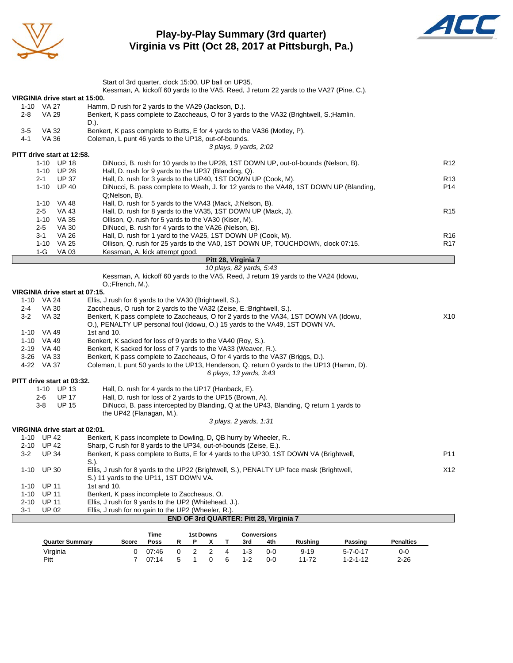

# **Play-by-Play Summary (3rd quarter) Virginia vs Pitt (Oct 28, 2017 at Pittsburgh, Pa.)**



|                                      | Start of 3rd quarter, clock 15:00, UP ball on UP35.                                                              |                 |
|--------------------------------------|------------------------------------------------------------------------------------------------------------------|-----------------|
|                                      | Kessman, A. kickoff 60 yards to the VA5, Reed, J return 22 yards to the VA27 (Pine, C.).                         |                 |
| VIRGINIA drive start at 15:00.       |                                                                                                                  |                 |
| 1-10 VA 27                           | Hamm, D rush for 2 yards to the VA29 (Jackson, D.).                                                              |                 |
| <b>VA 29</b><br>2-8                  | Benkert, K pass complete to Zaccheaus, O for 3 yards to the VA32 (Brightwell, S.; Hamlin,                        |                 |
|                                      | D.).                                                                                                             |                 |
| 3-5<br>VA 32                         | Benkert, K pass complete to Butts, E for 4 yards to the VA36 (Motley, P).                                        |                 |
| 4-1<br>VA 36                         | Coleman, L punt 46 yards to the UP18, out-of-bounds.<br>3 plays, 9 yards, 2:02                                   |                 |
| PITT drive start at 12:58.           |                                                                                                                  |                 |
| 1-10 UP 18                           | DiNucci, B. rush for 10 yards to the UP28, 1ST DOWN UP, out-of-bounds (Nelson, B).                               | R <sub>12</sub> |
| 1-10 UP 28                           | Hall, D. rush for 9 yards to the UP37 (Blanding, Q).                                                             |                 |
| <b>UP 37</b><br>2-1                  | Hall, D. rush for 3 yards to the UP40, 1ST DOWN UP (Cook, M).                                                    | R <sub>13</sub> |
| 1-10 UP 40                           | DiNucci, B. pass complete to Weah, J. for 12 yards to the VA48, 1ST DOWN UP (Blanding,                           | P14             |
|                                      | Q;Nelson, B).                                                                                                    |                 |
| 1-10 VA 48                           | Hall, D. rush for 5 yards to the VA43 (Mack, J; Nelson, B).                                                      |                 |
| $2 - 5$<br>VA 43                     | Hall, D. rush for 8 yards to the VA35, 1ST DOWN UP (Mack, J).                                                    | R <sub>15</sub> |
| 1-10 VA 35                           | Ollison, Q. rush for 5 yards to the VA30 (Kiser, M).                                                             |                 |
| $2 - 5$<br>VA 30                     | DiNucci, B. rush for 4 yards to the VA26 (Nelson, B).                                                            |                 |
| VA 26<br>3-1                         | Hall, D. rush for 1 yard to the VA25, 1ST DOWN UP (Cook, M).                                                     | R <sub>16</sub> |
| 1-10 VA 25<br>VA 03                  | Ollison, Q. rush for 25 yards to the VA0, 1ST DOWN UP, TOUCHDOWN, clock 07:15.<br>Kessman, A. kick attempt good. | R <sub>17</sub> |
| 1-G                                  | Pitt 28, Virginia 7                                                                                              |                 |
|                                      | 10 plays, 82 yards, 5:43                                                                                         |                 |
|                                      | Kessman, A. kickoff 60 yards to the VA5, Reed, J return 19 yards to the VA24 (Idowu,                             |                 |
|                                      | O.;Ffrench, M.).                                                                                                 |                 |
| VIRGINIA drive start at 07:15.       |                                                                                                                  |                 |
| 1-10 VA 24                           | Ellis, J rush for 6 yards to the VA30 (Brightwell, S.).                                                          |                 |
| $2 - 4$<br>VA 30                     | Zaccheaus, O rush for 2 yards to the VA32 (Zeise, E.; Brightwell, S.).                                           |                 |
| $3-2$<br>VA 32                       | Benkert, K pass complete to Zaccheaus, O for 2 yards to the VA34, 1ST DOWN VA (Idowu,                            | X10             |
|                                      | O.), PENALTY UP personal foul (Idowu, O.) 15 yards to the VA49, 1ST DOWN VA.                                     |                 |
| 1-10 VA 49                           | 1st and 10.                                                                                                      |                 |
| 1-10 VA 49                           | Benkert, K sacked for loss of 9 yards to the VA40 (Roy, S.).                                                     |                 |
| 2-19 VA 40                           | Benkert, K sacked for loss of 7 yards to the VA33 (Weaver, R.).                                                  |                 |
| 3-26 VA 33                           | Benkert, K pass complete to Zaccheaus, O for 4 yards to the VA37 (Briggs, D.).                                   |                 |
| 4-22 VA 37                           | Coleman, L punt 50 yards to the UP13, Henderson, Q. return 0 yards to the UP13 (Hamm, D).                        |                 |
| PITT drive start at 03:32.           | 6 plays, 13 yards, 3:43                                                                                          |                 |
| 1-10 UP 13                           | Hall, D. rush for 4 yards to the UP17 (Hanback, E).                                                              |                 |
| <b>UP 17</b><br>2-6                  | Hall, D. rush for loss of 2 yards to the UP15 (Brown, A).                                                        |                 |
| $3-8$<br><b>UP 15</b>                | DiNucci, B. pass intercepted by Blanding, Q at the UP43, Blanding, Q return 1 yards to                           |                 |
|                                      | the UP42 (Flanagan, M.).                                                                                         |                 |
|                                      | 3 plays, 2 yards, 1:31                                                                                           |                 |
| VIRGINIA drive start at 02:01.       |                                                                                                                  |                 |
| 1-10 UP 42                           | Benkert, K pass incomplete to Dowling, D, QB hurry by Wheeler, R                                                 |                 |
| 2-10 UP 42                           | Sharp, C rush for 8 yards to the UP34, out-of-bounds (Zeise, E.).                                                |                 |
| <b>UP 34</b><br>$3-2$                | Benkert, K pass complete to Butts, E for 4 yards to the UP30, 1ST DOWN VA (Brightwell,                           | P11             |
|                                      | $S.$ ).                                                                                                          |                 |
| <b>UP 30</b><br>$1 - 10$             | Ellis, J rush for 8 yards to the UP22 (Brightwell, S.), PENALTY UP face mask (Brightwell,                        | X12             |
|                                      | S.) 11 yards to the UP11, 1ST DOWN VA.                                                                           |                 |
| <b>UP 11</b><br>1-10                 | 1st and 10.                                                                                                      |                 |
| <b>UP 11</b><br>$1 - 10$             | Benkert, K pass incomplete to Zaccheaus, O.<br>Ellis, J rush for 9 yards to the UP2 (Whitehead, J.).             |                 |
| <b>UP 11</b><br>2-10<br><b>UP 02</b> | Ellis, J rush for no gain to the UP2 (Wheeler, R.).                                                              |                 |
| 3-1                                  | END OF 3rd QUARTER: Pitt 28, Virginia 7                                                                          |                 |
|                                      |                                                                                                                  |                 |

|                        | Time<br>1st Downs<br>Conversions |       |                      |  |  |                |         |         |                |                  |                  |
|------------------------|----------------------------------|-------|----------------------|--|--|----------------|---------|---------|----------------|------------------|------------------|
| <b>Quarter Summary</b> | Score                            | Poss  |                      |  |  |                | 3rd     | 4th     | <b>Rushing</b> | Passing          | <b>Penalties</b> |
| Virginia               |                                  | 07:46 |                      |  |  | $\overline{A}$ | $1 - 3$ | $0 - 0$ | $9 - 19$       | $5 - 7 - 0 - 17$ | 0-0              |
| Pitt                   |                                  | 07.14 | $\ddot{\phantom{1}}$ |  |  | 6              | $1 - 2$ | $0 - 0$ | $11 - 72$      | $1 - 2 - 1 - 12$ | $2 - 26$         |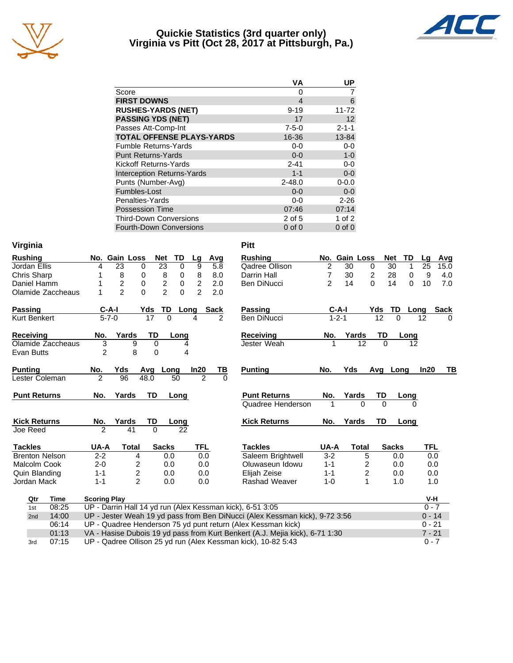

# **Quickie Statistics (3rd quarter only) Virginia vs Pitt (Oct 28, 2017 at Pittsburgh, Pa.)**



|                                   | VA          | UP          |
|-----------------------------------|-------------|-------------|
| Score                             | 0           |             |
| <b>FIRST DOWNS</b>                | 4           | 6           |
| <b>RUSHES-YARDS (NET)</b>         | $9 - 19$    | $11 - 72$   |
| <b>PASSING YDS (NET)</b>          | 17          | 12          |
| Passes Att-Comp-Int               | $7 - 5 - 0$ | $2 - 1 - 1$ |
| <b>TOTAL OFFENSE PLAYS-YARDS</b>  | 16-36       | 13-84       |
| <b>Fumble Returns-Yards</b>       | $0-0$       | $0 - 0$     |
| <b>Punt Returns-Yards</b>         | $0 - 0$     | $1 - 0$     |
| Kickoff Returns-Yards             | $2 - 41$    | $0-0$       |
| <b>Interception Returns-Yards</b> | $1 - 1$     | $0-0$       |
| Punts (Number-Avg)                | $2 - 48.0$  | $0 - 0.0$   |
| Fumbles-Lost                      | $0 - 0$     | $0 - 0$     |
| Penalties-Yards                   | $0-0$       | $2 - 26$    |
| <b>Possession Time</b>            | 07:46       | 07:14       |
| <b>Third-Down Conversions</b>     | 2 of 5      | $1$ of $2$  |
| <b>Fourth-Down Conversions</b>    | $0$ of $0$  | $0$ of $0$  |

| Virginia              |                          |                |                 |                                |                |               |          | <b>Pitt</b>                                                                  |                |               |                |           |                   |            |              |
|-----------------------|--------------------------|----------------|-----------------|--------------------------------|----------------|---------------|----------|------------------------------------------------------------------------------|----------------|---------------|----------------|-----------|-------------------|------------|--------------|
| <b>Rushing</b>        |                          | No. Gain Loss  | Net             | TD                             | Lg             |               | Avg      | <b>Rushing</b>                                                               |                | No. Gain Loss |                |           | TD<br><b>Net</b>  | Lq         | Avg          |
| Jordan Ellis          | 4                        | 23             | 0               | $\overline{23}$<br>$\mathbf 0$ | 9              |               | 5.8      | Qadree Ollison                                                               | 2              | 30            | $\mathbf 0$    |           | 30<br>1           | 25         | 15.0         |
| Chris Sharp           |                          | 8              | 0               | 8<br>0                         | 8              |               | 8.0      | Darrin Hall                                                                  | $\overline{7}$ | 30            | $\overline{c}$ |           | 28<br>$\mathbf 0$ | 9          | 4.0          |
| Daniel Hamm           |                          | $\overline{c}$ | 0               | $\overline{c}$<br>0            | $\overline{2}$ |               | 2.0      | Ben DiNucci                                                                  | 2              | 14            | $\Omega$       |           | 14<br>$\Omega$    | 10         | 7.0          |
| Olamide Zaccheaus     |                          | $\overline{2}$ | $\Omega$        | $\overline{2}$<br>0            | $\overline{2}$ |               | 2.0      |                                                                              |                |               |                |           |                   |            |              |
| <b>Passing</b>        | $C-A-I$                  |                | Yds             | TD                             | Long           | Sack          |          | <b>Passing</b>                                                               |                | $C-A-I$       |                | Yds       | TD                | Long       | <b>Sack</b>  |
| <b>Kurt Benkert</b>   | $5 - 7 - 0$              |                | $\overline{17}$ | $\Omega$                       | 4              |               | 2        | Ben DiNucci                                                                  |                | $1 - 2 - 1$   |                | 12        | $\Omega$          | 12         | <sup>0</sup> |
| Receiving             | No.                      | Yards          | TD              | Long                           |                |               |          | <b>Receiving</b>                                                             | No.            | Yards         |                | TD        | Long              |            |              |
| Olamide Zaccheaus     | 3                        | 9              | 0               |                                | 4              |               |          | Jester Weah                                                                  |                |               | 12             | $\Omega$  |                   | 12         |              |
| Evan Butts            | $\overline{2}$           | 8              | $\Omega$        |                                | 4              |               |          |                                                                              |                |               |                |           |                   |            |              |
| <b>Punting</b>        | No.                      | Yds            | Avg             | Long                           | In20           |               | ТВ       | <b>Punting</b>                                                               | No.            | Yds           |                |           | Avg Long          | In20       | TВ           |
| Lester Coleman        | $\overline{\mathcal{L}}$ | 96             | 48.0            | 50                             |                | $\mathcal{P}$ | $\Omega$ |                                                                              |                |               |                |           |                   |            |              |
| <b>Punt Returns</b>   | No.                      | Yards          | <b>TD</b>       | Long                           |                |               |          | <b>Punt Returns</b>                                                          | No.            | Yards         |                | TD        | Long              |            |              |
|                       |                          |                |                 |                                |                |               |          | Quadree Henderson                                                            | 1              |               | $\Omega$       | $\Omega$  |                   | 0          |              |
| <b>Kick Returns</b>   | No.                      | Yards          | <b>TD</b>       | Long                           |                |               |          | <b>Kick Returns</b>                                                          | No.            | Yards         |                | <b>TD</b> | Long              |            |              |
| Joe Reed              | $\mathfrak{p}$           | 41             | $\Omega$        | 22                             |                |               |          |                                                                              |                |               |                |           |                   |            |              |
| <b>Tackles</b>        | UA-A                     | <b>Total</b>   |                 | <b>Sacks</b>                   |                | <b>TFL</b>    |          | <b>Tackles</b>                                                               | UA-A           |               | <b>Total</b>   |           | <b>Sacks</b>      | <b>TFL</b> |              |
| <b>Brenton Nelson</b> | $2 - 2$                  | 4              |                 | 0.0                            |                | 0.0           |          | Saleem Brightwell                                                            | $3 - 2$        |               | 5              |           | 0.0               |            | 0.0          |
| Malcolm Cook          | $2 - 0$                  | 2              |                 | 0.0                            |                | 0.0           |          | Oluwaseun Idowu                                                              | $1 - 1$        |               | 2              |           | 0.0               |            | 0.0          |
| Quin Blanding         | $1 - 1$                  | $\overline{c}$ |                 | 0.0                            |                | 0.0           |          | Elijah Zeise                                                                 | $1 - 1$        |               | 2              |           | 0.0               |            | 0.0          |
| Jordan Mack           | $1 - 1$                  | $\overline{2}$ |                 | 0.0                            |                | 0.0           |          | Rashad Weaver                                                                | $1 - 0$        |               | 1              |           | 1.0               |            | 1.0          |
| Qtr<br>Time           | <b>Scoring Play</b>      |                |                 |                                |                |               |          |                                                                              |                |               |                |           |                   | V-H        |              |
| 08:25<br>1st          |                          |                |                 |                                |                |               |          | UP - Darrin Hall 14 yd run (Alex Kessman kick), 6-51 3:05                    |                |               |                |           |                   |            | $0 - 7$      |
| 14:00<br>2nd          |                          |                |                 |                                |                |               |          | UP - Jester Weah 19 yd pass from Ben DiNucci (Alex Kessman kick), 9-72 3:56  |                |               |                |           |                   |            | $0 - 14$     |
| 06:14                 |                          |                |                 |                                |                |               |          | UP - Quadree Henderson 75 yd punt return (Alex Kessman kick)                 |                |               |                |           |                   | $0 - 21$   |              |
| 01:13                 |                          |                |                 |                                |                |               |          | VA - Hasise Dubois 19 yd pass from Kurt Benkert (A.J. Mejia kick), 6-71 1:30 |                |               |                |           |                   | $7 - 21$   |              |
| 07:15<br>3rd          |                          |                |                 |                                |                |               |          | UP - Qadree Ollison 25 yd run (Alex Kessman kick), 10-82 5:43                |                |               |                |           |                   | $0 - 7$    |              |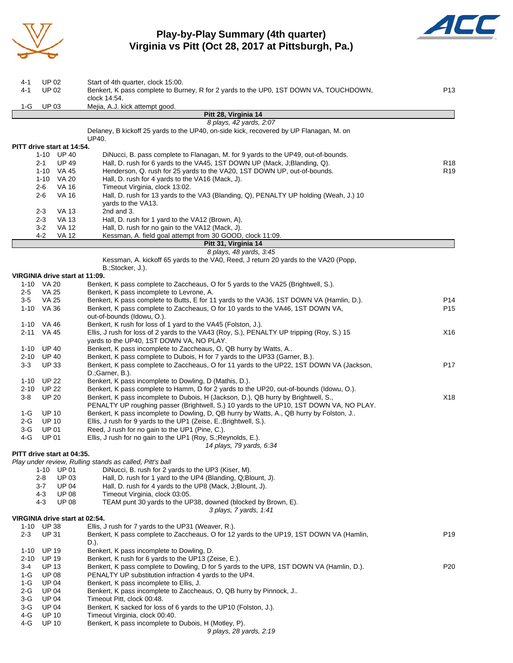

# **Play-by-Play Summary (4th quarter) Virginia vs Pitt (Oct 28, 2017 at Pittsburgh, Pa.)**



| 4-1<br>4-1        | UP 02<br>UP 02                                     | Start of 4th quarter, clock 15:00.<br>Benkert, K pass complete to Burney, R for 2 yards to the UP0, 1ST DOWN VA, TOUCHDOWN,<br>clock 14:54.                                        | P13             |
|-------------------|----------------------------------------------------|------------------------------------------------------------------------------------------------------------------------------------------------------------------------------------|-----------------|
| 1-G               | <b>UP 03</b>                                       | Mejia, A.J. kick attempt good.                                                                                                                                                     |                 |
|                   |                                                    | Pitt 28, Virginia 14                                                                                                                                                               |                 |
|                   |                                                    | 8 plays, 42 yards, 2:07                                                                                                                                                            |                 |
|                   |                                                    | Delaney, B kickoff 25 yards to the UP40, on-side kick, recovered by UP Flanagan, M. on<br>UP40.                                                                                    |                 |
|                   | PITT drive start at 14:54.                         |                                                                                                                                                                                    |                 |
|                   | 1-10 UP 40                                         | DiNucci, B. pass complete to Flanagan, M. for 9 yards to the UP49, out-of-bounds.                                                                                                  |                 |
|                   | <b>UP 49</b><br>2-1                                | Hall, D. rush for 6 yards to the VA45, 1ST DOWN UP (Mack, J;Blanding, Q).                                                                                                          | R <sub>18</sub> |
|                   | 1-10 VA 45                                         | Henderson, Q. rush for 25 yards to the VA20, 1ST DOWN UP, out-of-bounds.                                                                                                           | R <sub>19</sub> |
|                   | 1-10 VA 20                                         | Hall, D. rush for 4 yards to the VA16 (Mack, J).                                                                                                                                   |                 |
|                   | $2 - 6$<br><b>VA 16</b><br>$2 - 6$<br><b>VA 16</b> | Timeout Virginia, clock 13:02.<br>Hall, D. rush for 13 yards to the VA3 (Blanding, Q), PENALTY UP holding (Weah, J.) 10                                                            |                 |
|                   |                                                    | yards to the VA13.                                                                                                                                                                 |                 |
|                   | 2-3<br>VA 13                                       | 2nd and 3.                                                                                                                                                                         |                 |
|                   | <b>VA 13</b><br>$2 - 3$                            | Hall, D. rush for 1 yard to the VA12 (Brown, A).                                                                                                                                   |                 |
|                   | $3-2$<br><b>VA 12</b>                              | Hall, D. rush for no gain to the VA12 (Mack, J).                                                                                                                                   |                 |
|                   | $4 - 2$<br>VA 12                                   | Kessman, A. field goal attempt from 30 GOOD, clock 11:09.                                                                                                                          |                 |
|                   |                                                    | Pitt 31, Virginia 14<br>8 plays, 48 yards, 3:45                                                                                                                                    |                 |
|                   |                                                    | Kessman, A. kickoff 65 yards to the VA0, Reed, J return 20 yards to the VA20 (Popp,                                                                                                |                 |
|                   |                                                    | B.;Stocker, J.).                                                                                                                                                                   |                 |
|                   | VIRGINIA drive start at 11:09.                     |                                                                                                                                                                                    |                 |
|                   | 1-10 VA 20                                         | Benkert, K pass complete to Zaccheaus, O for 5 yards to the VA25 (Brightwell, S.).                                                                                                 |                 |
| 2-5<br>3-5        | VA 25<br>VA 25                                     | Benkert, K pass incomplete to Levrone, A.<br>Benkert, K pass complete to Butts, E for 11 yards to the VA36, 1ST DOWN VA (Hamlin, D.).                                              | P14             |
|                   | 1-10 VA 36                                         | Benkert, K pass complete to Zaccheaus, O for 10 yards to the VA46, 1ST DOWN VA,                                                                                                    | P <sub>15</sub> |
|                   |                                                    | out-of-bounds (Idowu, O.).                                                                                                                                                         |                 |
|                   | 1-10 VA 46                                         | Benkert, K rush for loss of 1 yard to the VA45 (Folston, J.).                                                                                                                      |                 |
|                   | 2-11 VA 45                                         | Ellis, J rush for loss of 2 yards to the VA43 (Roy, S.), PENALTY UP tripping (Roy, S.) 15                                                                                          | X16             |
|                   |                                                    | yards to the UP40, 1ST DOWN VA, NO PLAY.                                                                                                                                           |                 |
| 1-10              | <b>UP 40</b><br>2-10 UP 40                         | Benkert, K pass incomplete to Zaccheaus, O, QB hurry by Watts, A<br>Benkert, K pass complete to Dubois, H for 7 yards to the UP33 (Garner, B.).                                    |                 |
| $3 - 3$           | <b>UP 33</b>                                       | Benkert, K pass complete to Zaccheaus, O for 11 yards to the UP22, 1ST DOWN VA (Jackson,                                                                                           | P17             |
|                   |                                                    | D.;Garner, B.).                                                                                                                                                                    |                 |
| 1-10              | <b>UP 22</b>                                       | Benkert, K pass incomplete to Dowling, D (Mathis, D.).                                                                                                                             |                 |
| 2-10              | <b>UP 22</b>                                       | Benkert, K pass complete to Hamm, D for 2 yards to the UP20, out-of-bounds (Idowu, O.).                                                                                            |                 |
| $3-8$             | <b>UP 20</b>                                       | Benkert, K pass incomplete to Dubois, H (Jackson, D.), QB hurry by Brightwell, S.,                                                                                                 | X18             |
| 1-G               | <b>UP 10</b>                                       | PENALTY UP roughing passer (Brightwell, S.) 10 yards to the UP10, 1ST DOWN VA, NO PLAY.<br>Benkert, K pass incomplete to Dowling, D, QB hurry by Watts, A., QB hurry by Folston, J |                 |
| $2-G$             | <b>UP 10</b>                                       | Ellis, J rush for 9 yards to the UP1 (Zeise, E.; Brightwell, S.).                                                                                                                  |                 |
| 3-G               | UP 01                                              | Reed, J rush for no gain to the UP1 (Pine, C.).                                                                                                                                    |                 |
| 4-G               | UP 01                                              | Ellis, J rush for no gain to the UP1 (Roy, S.; Reynolds, E.).                                                                                                                      |                 |
|                   |                                                    | 14 plays, 79 yards, 6:34                                                                                                                                                           |                 |
|                   | PITT drive start at 04:35.                         |                                                                                                                                                                                    |                 |
|                   | 1-10<br>UP 01                                      | Play under review, Rulling stands as called, Pitt's ball<br>DiNucci, B. rush for 2 yards to the UP3 (Kiser, M).                                                                    |                 |
|                   | $2 - 8$<br>UP 03                                   | Hall, D. rush for 1 yard to the UP4 (Blanding, Q;Blount, J).                                                                                                                       |                 |
|                   | $3 - 7$<br><b>UP 04</b>                            | Hall, D. rush for 4 yards to the UP8 (Mack, J;Blount, J).                                                                                                                          |                 |
|                   | 4-3<br><b>UP 08</b>                                | Timeout Virginia, clock 03:05.                                                                                                                                                     |                 |
|                   | 4-3<br><b>UP 08</b>                                | TEAM punt 30 yards to the UP38, downed (blocked by Brown, E).                                                                                                                      |                 |
|                   |                                                    | 3 plays, 7 yards, 1:41                                                                                                                                                             |                 |
| 1-10              | VIRGINIA drive start at 02:54.<br><b>UP 38</b>     | Ellis, J rush for 7 yards to the UP31 (Weaver, R.).                                                                                                                                |                 |
| $2 - 3$           | <b>UP 31</b>                                       | Benkert, K pass complete to Zaccheaus, O for 12 yards to the UP19, 1ST DOWN VA (Hamlin,                                                                                            | P <sub>19</sub> |
|                   |                                                    | D.).                                                                                                                                                                               |                 |
| 1-10              | <b>UP 19</b>                                       | Benkert, K pass incomplete to Dowling, D.                                                                                                                                          |                 |
| $2 - 10$<br>$3-4$ | <b>UP 19</b><br><b>UP 13</b>                       | Benkert, K rush for 6 yards to the UP13 (Zeise, E.).                                                                                                                               | P20             |
| $1-G$             | <b>UP 08</b>                                       | Benkert, K pass complete to Dowling, D for 5 yards to the UP8, 1ST DOWN VA (Hamlin, D.).<br>PENALTY UP substitution infraction 4 yards to the UP4.                                 |                 |
| $1-G$             | <b>UP 04</b>                                       | Benkert, K pass incomplete to Ellis, J.                                                                                                                                            |                 |
| $2-G$             | <b>UP 04</b>                                       | Benkert, K pass incomplete to Zaccheaus, O, QB hurry by Pinnock, J                                                                                                                 |                 |
| 3-G               | <b>UP 04</b>                                       | Timeout Pitt, clock 00:48.                                                                                                                                                         |                 |
| $3-G$             | <b>UP 04</b>                                       | Benkert, K sacked for loss of 6 yards to the UP10 (Folston, J.).                                                                                                                   |                 |
| 4-G<br>4-G        | <b>UP 10</b><br><b>UP 10</b>                       | Timeout Virginia, clock 00:40.<br>Benkert, K pass incomplete to Dubois, H (Motley, P).                                                                                             |                 |
|                   |                                                    |                                                                                                                                                                                    |                 |

*9 plays, 28 yards, 2:19*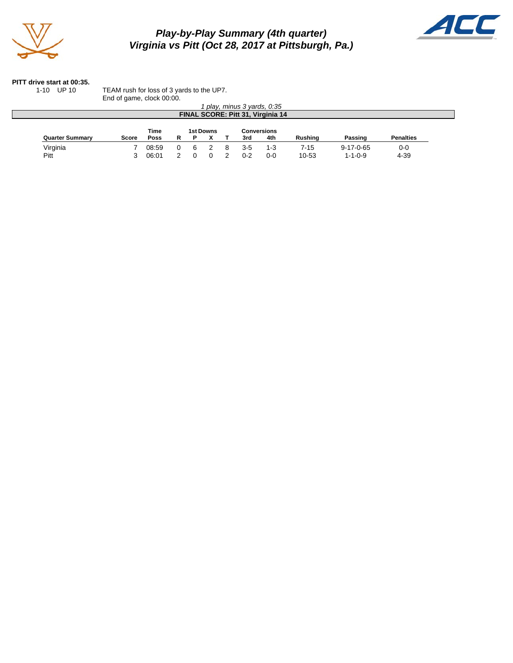

# *Play-by-Play Summary (4th quarter) Virginia vs Pitt (Oct 28, 2017 at Pittsburgh, Pa.)*



#### **PITT drive start at 00:35.**

1-10 UP 10 TEAM rush for loss of 3 yards to the UP7.

|                        | End of game, clock 00:00. |             |           |    |  |   |         |                                   |                |                   |                  |
|------------------------|---------------------------|-------------|-----------|----|--|---|---------|-----------------------------------|----------------|-------------------|------------------|
|                        |                           |             |           |    |  |   |         | play, minus 3 yards, 0:35         |                |                   |                  |
|                        |                           |             |           |    |  |   |         | FINAL SCORE: Pitt 31, Virginia 14 |                |                   |                  |
|                        |                           |             |           |    |  |   |         |                                   |                |                   |                  |
|                        |                           | <b>Time</b> | 1st Downs |    |  |   |         | <b>Conversions</b>                |                |                   |                  |
| <b>Quarter Summary</b> | <b>Score</b>              | <b>Poss</b> | R         |    |  |   | 3rd     | 4th                               | <b>Rushing</b> | Passing           | <b>Penalties</b> |
| Virginia               |                           | 08:59       | 0         | -6 |  | 8 | $3 - 5$ | 1-3                               | 7-15           | $9 - 17 - 0 - 65$ | $0 - 0$          |
|                        |                           |             |           |    |  |   |         |                                   |                |                   |                  |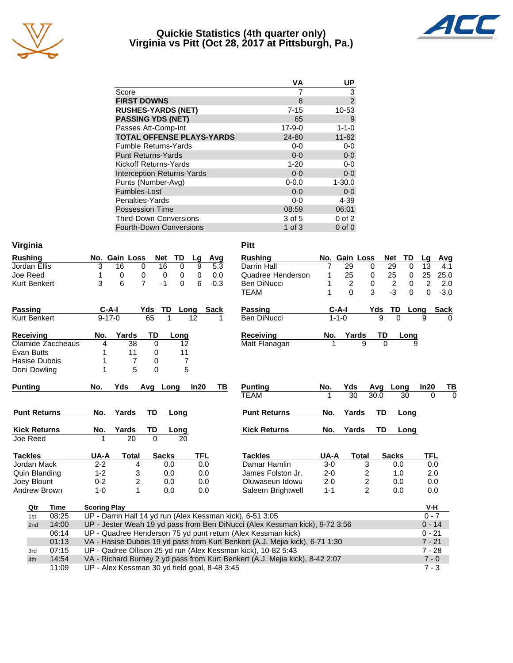

#### **Quickie Statistics (4th quarter only) Virginia vs Pitt (Oct 28, 2017 at Pittsburgh, Pa.)**



|                                   | VA           | UP             |
|-----------------------------------|--------------|----------------|
| Score                             |              | 3              |
| <b>FIRST DOWNS</b>                | 8            | $\overline{2}$ |
| <b>RUSHES-YARDS (NET)</b>         | $7 - 15$     | 10-53          |
| <b>PASSING YDS (NET)</b>          | 65           | 9              |
| Passes Att-Comp-Int               | $17 - 9 - 0$ | $1 - 1 - 0$    |
| <b>TOTAL OFFENSE PLAYS-YARDS</b>  | 24-80        | $11 - 62$      |
| <b>Fumble Returns-Yards</b>       | $0 - 0$      | $0 - 0$        |
| <b>Punt Returns-Yards</b>         | $0 - 0$      | $0-0$          |
| Kickoff Returns-Yards             | $1 - 20$     | $0 - 0$        |
| <b>Interception Returns-Yards</b> | $0 - 0$      | $0-0$          |
| Punts (Number-Avg)                | $0 - 0.0$    | $1 - 30.0$     |
| Fumbles-Lost                      | $0 - 0$      | $0-0$          |
| Penalties-Yards                   | $0 - 0$      | 4-39           |
| <b>Possession Time</b>            | 08:59        | 06:01          |
| <b>Third-Down Conversions</b>     | 3 of 5       | $0$ of $2$     |
| <b>Fourth-Down Conversions</b>    | $1$ of $3$   | $0$ of $0$     |

| Virginia                     |                                                                                                                                               | <b>Pitt</b>         |             |                         |                              |                            |
|------------------------------|-----------------------------------------------------------------------------------------------------------------------------------------------|---------------------|-------------|-------------------------|------------------------------|----------------------------|
| <b>Rushing</b>               | No. Gain Loss<br>TD<br><b>Net</b><br>Avg<br>Lg                                                                                                | <b>Rushing</b>      |             | No. Gain Loss           | <b>Net</b>                   | TD<br>Avg<br>Lq            |
| Jordan Ellis                 | 16<br>9<br>3<br>16<br>0<br>5.3<br>0                                                                                                           | Darrin Hall         | 7           | 29                      | $\overline{29}$<br>0         | 0<br>13<br>4.1             |
| Joe Reed                     | 1<br>$\mathbf 0$<br>0<br>0.0<br>0<br>0<br>0                                                                                                   | Quadree Henderson   | 1           | 25                      | 25<br>0                      | 25<br>25.0<br>0            |
| <b>Kurt Benkert</b>          | $\overline{7}$<br>3<br>6<br>$-1$<br>6<br>$\Omega$<br>$-0.3$                                                                                   | <b>Ben DiNucci</b>  |             | $\overline{c}$          | $\overline{\mathbf{c}}$<br>0 | $\overline{c}$<br>0<br>2.0 |
|                              |                                                                                                                                               | <b>TEAM</b>         | 1           | $\Omega$                | $-3$<br>3                    | 0<br>$\mathbf 0$<br>$-3.0$ |
| <b>Passing</b>               | C-A-I<br>TD<br>Yds<br>Long<br><b>Sack</b>                                                                                                     | Passing             | $C-A-I$     |                         | TD<br>Yds                    | <b>Sack</b><br>Long        |
| <b>Kurt Benkert</b>          | 65<br>12<br>$9 - 17 - 0$<br>1<br>1                                                                                                            | Ben DiNucci         | $1 - 1 - 0$ |                         | 9<br>$\Omega$                | 9<br>0                     |
| Receiving                    | Yards<br>TD<br>No.<br>Long                                                                                                                    | Receiving           | No.         | Yards                   | TD                           | Long                       |
| Olamide Zaccheaus            | 38<br>$\Omega$<br>4<br>12                                                                                                                     | Matt Flanagan       | 1           | 9                       | $\Omega$                     | 9                          |
| Evan Butts                   | 11<br>11<br>0                                                                                                                                 |                     |             |                         |                              |                            |
| Hasise Dubois                | $\overline{7}$<br>$\overline{7}$<br>1<br>0                                                                                                    |                     |             |                         |                              |                            |
| Doni Dowling                 | 5<br>5<br>0<br>1                                                                                                                              |                     |             |                         |                              |                            |
| <b>Punting</b>               | No.<br>Yds<br>Avg Long<br>In20<br>TВ                                                                                                          | <b>Punting</b>      | No.         | Yds                     | Avg<br>Long                  | In20<br>TВ                 |
|                              |                                                                                                                                               | <b>TEAM</b>         |             | $\overline{30}$         | 30.0<br>30                   | $\Omega$<br>$\Omega$       |
|                              |                                                                                                                                               | <b>Punt Returns</b> |             |                         | <b>TD</b>                    |                            |
| <b>Punt Returns</b>          | TD<br>No.<br>Yards<br>Long                                                                                                                    |                     | No.         | Yards                   | Long                         |                            |
| <b>Kick Returns</b>          | No.<br>Yards<br>TD<br>Long                                                                                                                    | <b>Kick Returns</b> | No.         | Yards                   | TD<br>Long                   |                            |
| Joe Reed                     | $\overline{20}$<br>$\Omega$<br>20<br>1                                                                                                        |                     |             |                         |                              |                            |
| <b>Tackles</b>               | UA-A<br><b>TFL</b><br><b>Total</b><br><b>Sacks</b>                                                                                            | <b>Tackles</b>      | UA-A        | <b>Total</b>            | <b>Sacks</b>                 | <b>TFL</b>                 |
| Jordan Mack                  | $2 - 2$<br>4<br>0.0<br>0.0                                                                                                                    | Damar Hamlin        | $3-0$       | 3                       | 0.0                          | 0.0                        |
| Quin Blanding                | $1 - 2$<br>3<br>0.0<br>0.0                                                                                                                    | James Folston Jr.   | $2 - 0$     | 2                       | 1.0                          | 2.0                        |
| Joey Blount                  | $\overline{\mathbf{c}}$<br>$0 - 2$<br>0.0<br>0.0                                                                                              | Oluwaseun Idowu     | $2 - 0$     | $\overline{\mathbf{c}}$ | 0.0                          | 0.0                        |
| Andrew Brown                 | $\mathbf{1}$<br>0.0<br>$1 - 0$<br>0.0                                                                                                         | Saleem Brightwell   | $1 - 1$     | $\overline{2}$          | 0.0                          | $0.0\,$                    |
| Time<br>Qtr                  | <b>Scoring Play</b>                                                                                                                           |                     |             |                         |                              | V-H                        |
| 08:25<br>1st                 | UP - Darrin Hall 14 yd run (Alex Kessman kick), 6-51 3:05                                                                                     |                     |             |                         |                              | $0 - 7$                    |
| 14:00<br>2nd                 | UP - Jester Weah 19 yd pass from Ben DiNucci (Alex Kessman kick), 9-72 3:56                                                                   |                     |             |                         |                              | $0 - 14$                   |
| 06:14                        | UP - Quadree Henderson 75 yd punt return (Alex Kessman kick)                                                                                  |                     |             |                         |                              | $0 - 21$                   |
| 01:13                        | VA - Hasise Dubois 19 yd pass from Kurt Benkert (A.J. Mejia kick), 6-71 1:30                                                                  |                     |             |                         |                              | $7 - 21$                   |
| 07:15<br>3rd<br>14:54<br>4th | UP - Qadree Ollison 25 yd run (Alex Kessman kick), 10-82 5:43<br>VA - Richard Burney 2 yd pass from Kurt Benkert (A.J. Mejia kick), 8-42 2:07 |                     |             |                         |                              | $7 - 28$<br>$7 - 0$        |

11:09 UP - Alex Kessman 30 yd field goal, 8-48 3:45 7 - 3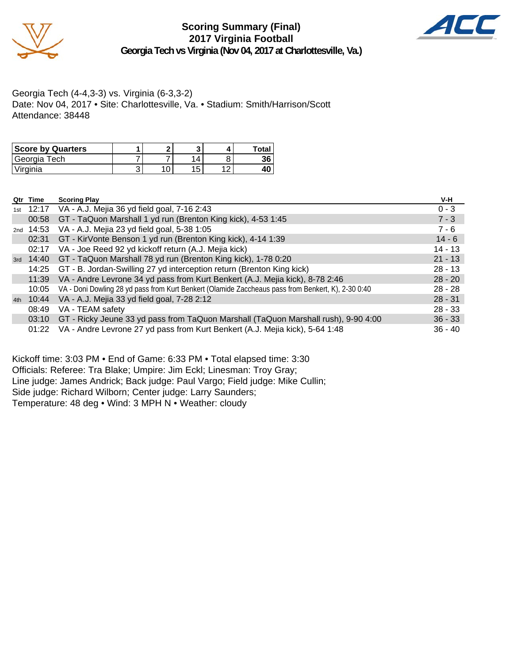



Georgia Tech (4-4,3-3) vs. Virginia (6-3,3-2) Date: Nov 04, 2017 • Site: Charlottesville, Va. • Stadium: Smith/Harrison/Scott Attendance: 38448

| <b>Score by Quarters</b> |   |            | Total |
|--------------------------|---|------------|-------|
| Georgia Tech             |   |            | 36    |
| Virginia                 | ັ | 1 F<br>' ب | 40    |

|     | Qtr Time    | <b>Scoring Play</b>                                                                                | V-H       |
|-----|-------------|----------------------------------------------------------------------------------------------------|-----------|
| 1st |             | 12:17 VA - A.J. Mejia 36 yd field goal, 7-16 2:43                                                  | $0 - 3$   |
|     | 00:58       | GT - TaQuon Marshall 1 yd run (Brenton King kick), 4-53 1:45                                       | $7 - 3$   |
|     | 2nd $14:53$ | VA - A.J. Mejia 23 yd field goal, 5-38 1:05                                                        | $7 - 6$   |
|     | 02:31       | GT - KirVonte Benson 1 yd run (Brenton King kick), 4-14 1:39                                       | $14 - 6$  |
|     | 02:17       | VA - Joe Reed 92 yd kickoff return (A.J. Mejia kick)                                               | $14 - 13$ |
|     |             | 3rd 14:40 GT - TaQuon Marshall 78 yd run (Brenton King kick), 1-78 0:20                            | $21 - 13$ |
|     |             | 14:25 GT - B. Jordan-Swilling 27 yd interception return (Brenton King kick)                        | $28 - 13$ |
|     | 11:39       | VA - Andre Levrone 34 yd pass from Kurt Benkert (A.J. Mejia kick), 8-78 2:46                       | $28 - 20$ |
|     | 10:05       | VA - Doni Dowling 28 yd pass from Kurt Benkert (Olamide Zaccheaus pass from Benkert, K), 2-30 0:40 | $28 - 28$ |
| 4th | 10:44       | VA - A.J. Mejia 33 yd field goal, 7-28 2:12                                                        | $28 - 31$ |
|     | 08:49       | VA - TEAM safety                                                                                   | $28 - 33$ |
|     | 03:10       | GT - Ricky Jeune 33 yd pass from TaQuon Marshall (TaQuon Marshall rush), 9-90 4:00                 | $36 - 33$ |
|     | 01:22       | VA - Andre Levrone 27 yd pass from Kurt Benkert (A.J. Mejia kick), 5-64 1:48                       | $36 - 40$ |

Kickoff time: 3:03 PM • End of Game: 6:33 PM • Total elapsed time: 3:30 Officials: Referee: Tra Blake; Umpire: Jim Eckl; Linesman: Troy Gray; Line judge: James Andrick; Back judge: Paul Vargo; Field judge: Mike Cullin; Side judge: Richard Wilborn; Center judge: Larry Saunders; Temperature: 48 deg • Wind: 3 MPH N • Weather: cloudy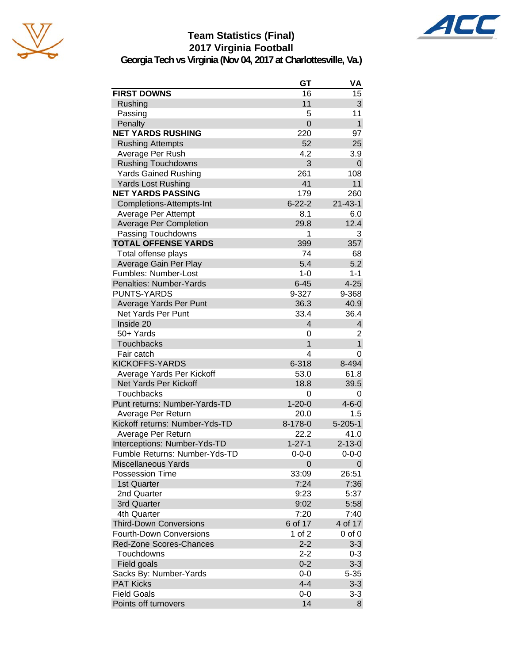





**Georgia Tech vs Virginia (Nov 04, 2017 at Charlottesville, Va.)**

|                                            | GT             | VA                      |
|--------------------------------------------|----------------|-------------------------|
| <b>FIRST DOWNS</b>                         | 16             | 15                      |
| Rushing                                    | 11             | 3                       |
| Passing                                    | 5              | 11                      |
| Penalty                                    | $\overline{0}$ | $\mathbf{1}$            |
| <b>NET YARDS RUSHING</b>                   | 220            | 97                      |
| <b>Rushing Attempts</b>                    | 52             | 25                      |
| Average Per Rush                           | 4.2            | 3.9                     |
| <b>Rushing Touchdowns</b>                  | 3              | 0                       |
| <b>Yards Gained Rushing</b>                | 261            | 108                     |
| <b>Yards Lost Rushing</b>                  | 41             | 11                      |
| <b>NET YARDS PASSING</b>                   | 179            | 260                     |
| Completions-Attempts-Int                   | $6 - 22 - 2$   | $21 - 43 - 1$           |
| Average Per Attempt                        | 8.1            | 6.0                     |
| <b>Average Per Completion</b>              | 29.8           | 12.4                    |
| Passing Touchdowns                         | 1              | 3                       |
| <b>TOTAL OFFENSE YARDS</b>                 | 399            | 357                     |
| Total offense plays                        | 74             | 68                      |
| Average Gain Per Play                      | 5.4            | 5.2                     |
| Fumbles: Number-Lost                       | $1 - 0$        | $1 - 1$                 |
| Penalties: Number-Yards                    | $6 - 45$       | $4 - 25$                |
| <b>PUNTS-YARDS</b>                         | 9-327          | 9-368                   |
| Average Yards Per Punt                     | 36.3           | 40.9                    |
| <b>Net Yards Per Punt</b>                  | 33.4           | 36.4                    |
| Inside 20                                  | $\overline{4}$ | $\overline{\mathbf{4}}$ |
| 50+ Yards                                  | 0              | 2                       |
| <b>Touchbacks</b>                          | 1              | $\mathbf{1}$            |
| Fair catch                                 | 4              | 0                       |
| <b>KICKOFFS-YARDS</b>                      | 6-318          | 8-494                   |
| Average Yards Per Kickoff                  | 53.0           | 61.8                    |
| Net Yards Per Kickoff                      | 18.8           | 39.5                    |
| <b>Touchbacks</b>                          | 0              | 0                       |
| Punt returns: Number-Yards-TD              | $1 - 20 - 0$   | $4 - 6 - 0$             |
| Average Per Return                         | 20.0           | 1.5                     |
| Kickoff returns: Number-Yds-TD             | 8-178-0        | $5 - 205 - 1$           |
| Average Per Return                         | 22.2           | 41.0                    |
| Interceptions: Number-Yds-TD               | $1 - 27 - 1$   | $2 - 13 - 0$            |
| Fumble Returns: Number-Yds-TD              | $0 - 0 - 0$    | $0 - 0 - 0$             |
| <b>Miscellaneous Yards</b>                 | 0              | 0                       |
| <b>Possession Time</b>                     | 33:09          | 26:51                   |
| 1st Quarter                                | 7:24           | 7:36                    |
| 2nd Quarter                                | 9:23           | 5:37                    |
| 3rd Quarter                                | 9:02           | 5:58                    |
| 4th Quarter                                | 7:20           | 7:40                    |
| <b>Third-Down Conversions</b>              | 6 of 17        | 4 of 17                 |
| <b>Fourth-Down Conversions</b>             | 1 of 2         | 0 of 0                  |
| <b>Red-Zone Scores-Chances</b>             | $2 - 2$        | $3 - 3$                 |
| Touchdowns                                 | $2 - 2$        | $0 - 3$                 |
|                                            | $0 - 2$        | $3 - 3$                 |
| Field goals                                | $0-0$          | $5 - 35$                |
| Sacks By: Number-Yards<br><b>PAT Kicks</b> | $4 - 4$        | $3 - 3$                 |
| <b>Field Goals</b>                         | $0 - 0$        | $3 - 3$                 |
| Points off turnovers                       | 14             | 8                       |
|                                            |                |                         |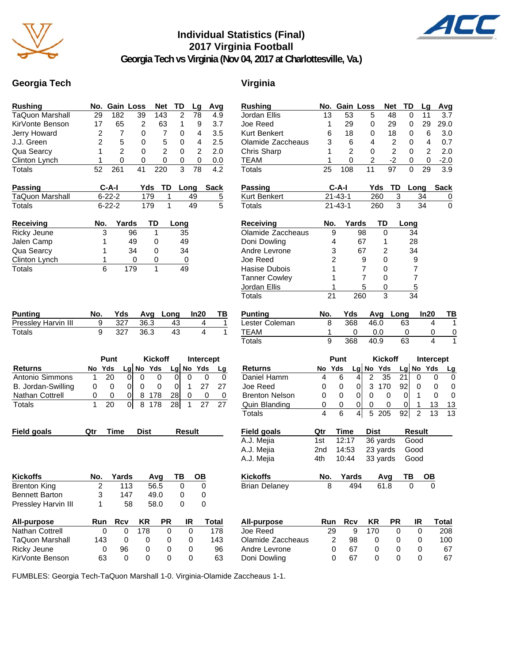

## **Individual Statistics (Final) 2017 Virginia Football**



**Georgia Tech vs Virginia (Nov 04, 2017 at Charlottesville, Va.)**

#### **Georgia Tech Virginia**

| <b>Rushing</b>         |                | No. Gain Loss  |                     | <b>Net</b>       | <b>TD</b>        | Lg            | Avg                 | <b>Rushing</b>        |                 | No. Gain Loss  |                                  | <b>Net</b>     | <b>TD</b>       | Ц               |
|------------------------|----------------|----------------|---------------------|------------------|------------------|---------------|---------------------|-----------------------|-----------------|----------------|----------------------------------|----------------|-----------------|-----------------|
| <b>TaQuon Marshall</b> | 29             | 182            | $\overline{39}$     | $\overline{143}$ | $\overline{c}$   | 78            | 4.9                 | Jordan Ellis          | 13              | 53             | 5                                | 48             | $\mathbf 0$     | $\mathbf{1}$    |
| KirVonte Benson        | 17             | 65             | $\boldsymbol{2}$    | 63               | 1                | 9             | 3.7                 | Joe Reed              | 1               | 29             | 0                                | 29             | 0               | $\overline{2}$  |
| Jerry Howard           | $\overline{c}$ | $\overline{7}$ | $\Omega$            | $\overline{7}$   | 0                | 4             | 3.5                 | Kurt Benkert          | 6               | 18             | 0                                | 18             | 0               |                 |
| J.J. Green             | $\overline{2}$ | 5              | 0                   | 5                | 0                | 4             | 2.5                 | Olamide Zaccheaus     | 3               | 6              | 4                                | $\overline{2}$ | 0               |                 |
| Qua Searcy             | 1              | $\overline{2}$ | $\Omega$            | $\overline{2}$   | $\Omega$         | 2             | 2.0                 | Chris Sharp           | 1               | $\overline{2}$ | 0                                | $\overline{2}$ | $\mathbf 0$     |                 |
| Clinton Lynch          | 1              | 0              | 0                   | 0                | 0                | 0             | 0.0                 | <b>TEAM</b>           | 1               | $\mathbf 0$    | 2                                | $-2$           | 0               |                 |
| <b>Totals</b>          | 52             | 261            | 41                  | 220              | $\overline{3}$   | 78            | 4.2                 | <b>Totals</b>         | $\overline{25}$ | 108            | 11                               | 97             | $\mathbf 0$     | $\overline{2}$  |
| <b>Passing</b>         |                | $C-A-I$        | Yds                 | TD               |                  | Long          | <b>Sack</b>         | <b>Passing</b>        |                 | $C-A-I$        | Yds                              | <b>TD</b>      |                 | Long            |
| TaQuon Marshall        |                | $6 - 22 - 2$   | 179                 |                  | 1                | 49            | $\overline{5}$      | Kurt Benkert          |                 | $21 - 43 - 1$  | 260                              | 3              |                 | 34              |
| <b>Totals</b>          |                | $6 - 22 - 2$   | 179                 |                  | $\mathbf{1}$     | 49            | 5                   | <b>Totals</b>         |                 | $21 - 43 - 1$  | 260                              |                | 3               | $\overline{34}$ |
| Receiving              | No.            | Yards          |                     | TD               | Long             |               |                     | <b>Receiving</b>      | No.             |                | Yards                            | <b>TD</b>      | Long            |                 |
| Ricky Jeune            | 3              |                | 96                  | 1                | 35               |               |                     | Olamide Zaccheaus     |                 | 9              | 98                               | 0              | 34              |                 |
| Jalen Camp             | 1              |                | 49                  | 0                | 49               |               |                     | Doni Dowling          |                 | 4              | 67                               | 1              | 28              |                 |
| Qua Searcy             | 1              |                | 34                  | 0                | 34               |               |                     | Andre Levrone         |                 | 3              | 67                               | $\overline{2}$ | 34              |                 |
| Clinton Lynch          | 1              |                | 0                   | 0                | $\pmb{0}$        |               |                     | Joe Reed              |                 | 2              | 9                                | 0              | 9               |                 |
| <b>Totals</b>          | 6              |                | 179                 | 1                | 49               |               |                     | Hasise Dubois         | 1               |                | 7                                | 0              | $\overline{7}$  |                 |
|                        |                |                |                     |                  |                  |               |                     | <b>Tanner Cowley</b>  | 1               |                | 7                                | 0              | $\overline{7}$  |                 |
|                        |                |                |                     |                  |                  |               |                     | Jordan Ellis          | 1               |                | 5                                | $\mathbf 0$    | 5               |                 |
|                        |                |                |                     |                  |                  |               |                     | <b>Totals</b>         | $\overline{21}$ |                | 260                              | $\overline{3}$ | $\overline{34}$ |                 |
| <b>Punting</b>         | No.            | Yds            | Avg                 |                  | Long             | In20          | TB                  | <b>Punting</b>        | No.             | Yds            | Avg                              |                | Long            | In:             |
| Pressley Harvin III    | 9              | 327            | 36.3                |                  | 43               |               | 4<br>1              | Lester Coleman        | 8               | 368            | 46.0                             |                | 63              |                 |
| <b>Totals</b>          | 9              | 327            | 36.3                |                  | 43               |               | $\overline{4}$<br>1 | <b>TEAM</b>           | 1               |                | 0.0<br>0                         |                | 0               |                 |
|                        |                |                |                     |                  |                  |               |                     | <b>Totals</b>         | 9               | 368            | 40.9                             |                | 63              |                 |
|                        |                | Punt           |                     | <b>Kickoff</b>   |                  |               | Intercept           |                       |                 | Punt           |                                  | <b>Kickoff</b> |                 | <b>Int</b>      |
| Returns                | No Yds         |                | $Lg$ No Yds         |                  | Lg No Yds        |               | Lg                  | <b>Returns</b>        | No Yds          |                | No Yds<br>Lg                     |                | Lg              | No              |
| Antonio Simmons        | 1              | 20             | 0<br>0              | $\mathbf 0$      | $\mathbf 0$      | 0             | 0<br>0              | Daniel Hamm           | 4               | 6              | $\overline{2}$<br>4              | 35             | 21              | 0               |
| B. Jordan-Swilling     | $\mathbf 0$    | $\mathbf 0$    | 0 <br>$\mathbf 0$   | $\pmb{0}$        | $\boldsymbol{0}$ | 1             | 27<br>27            | Joe Reed              | 0               | $\pmb{0}$      | $\pmb{0}$<br>3                   | 170            | 92              | $\mathbf 0$     |
| Nathan Cottrell        | $\pmb{0}$      | 0              | 0<br>8              | 178              | 28               | 0             | 0<br>0              | <b>Brenton Nelson</b> | 0               | 0              | $\pmb{0}$<br>0                   | $\mathbf 0$    | $\pmb{0}$       | 1               |
| Totals                 | 1              | 20             | $\overline{0}$<br>8 | 178              | 28               | $\mathbf 1$   | 27<br>27            | Quin Blanding         | 0               | 0              | $\,0\,$<br>0                     | 0              | $\pmb{0}$       | 1               |
|                        |                |                |                     |                  |                  |               |                     | <b>Totals</b>         | 4               | 6              | $\overline{4}$<br>5 <sup>5</sup> | 205            | 92              | $\overline{2}$  |
| <b>Field goals</b>     | Qtr            | <b>Time</b>    | <b>Dist</b>         |                  |                  | <b>Result</b> |                     | <b>Field goals</b>    | Qtr             | Time           | <b>Dist</b>                      |                | <b>Result</b>   |                 |
|                        |                |                |                     |                  |                  |               |                     | A.J. Mejia            | 1st             | 12:17          |                                  | 36 yards       | Good            |                 |
|                        |                |                |                     |                  |                  |               |                     | A.J. Mejia            | 2 <sub>nd</sub> | 14:53          |                                  | 23 yards       | Good            |                 |
|                        |                |                |                     |                  |                  |               |                     | A.J. Mejia            | 4th             | 10:44          |                                  | 33 yards       | Good            |                 |
| <b>Kickoffs</b>        | NO.            | Yards          |                     | Avg              | TB               | <u>OB</u>     |                     | <b>Kickoffs</b>       | No.             | Yards          |                                  | Avg            | TB              |                 |
| <b>Brenton King</b>    | 2              | 113            |                     | 56.5             | 0                |               | 0                   | <b>Brian Delaney</b>  | 8               |                | 494                              | 61.8           | 0               |                 |
| <b>Bennett Barton</b>  | 3              | 147            |                     | 49.0             | 0                |               | 0                   |                       |                 |                |                                  |                |                 |                 |
| Pressley Harvin III    | 1              |                | 58                  | 58.0             | $\mathbf 0$      |               | $\mathbf 0$         |                       |                 |                |                                  |                |                 |                 |
| All-purpose            | Run            | <b>Rcv</b>     | <b>KR</b>           | <b>PR</b>        |                  | IR            | <b>Total</b>        | All-purpose           | Run             | <b>Rcv</b>     | <b>KR</b>                        | <b>PR</b>      |                 | IR              |
| Nathan Cottrell        | 0              | $\mathbf 0$    | 178                 |                  | $\mathbf 0$      | 0             | 178                 | Joe Reed              | 29              |                | $\boldsymbol{9}$<br>170          | $\mathbf 0$    |                 | 0               |
| <b>TaQuon Marshall</b> | 143            | $\pmb{0}$      | $\pmb{0}$           |                  | 0                | 0             | 143                 | Olamide Zaccheaus     |                 | 2<br>98        | 0                                | 0              |                 | 0               |
| Ricky Jeune            | 0              | 96             | 0                   |                  | 0                | 0             | 96                  | Andre Levrone         | 0               | 67             | 0                                | 0              |                 | 0               |
| KirVonte Benson        | 63             | $\pmb{0}$      | $\pmb{0}$           |                  | $\pmb{0}$        | 0             | 63                  | Doni Dowling          |                 | 0<br>67        | 0                                | $\mathbf 0$    |                 | $\mathbf 0$     |

| <b>Rushing</b>                   | No.            | Gain Loss     |                     |                | <b>Net</b>     | TD             | Lg             | Avg            |
|----------------------------------|----------------|---------------|---------------------|----------------|----------------|----------------|----------------|----------------|
| Jordan Ellis                     | 13             | 53            |                     | 5              | 48             | 0              | 11             | 3.7            |
| Joe Reed                         | 1              | 29            | 0                   |                | 29             | 0              | 29             | 29.0           |
| Kurt Benkert                     | 6              | 18            | 0                   |                | 18             | 0              | 6              | 3.0            |
| Olamide Zaccheaus                | 3              | 6             | 4                   |                | $\overline{2}$ | 0              | 4              | 0.7            |
| Chris Sharp                      | 1              | 2             | 0                   |                | $\overline{c}$ | 0              | $\overline{2}$ | 2.0            |
| <b>TEAM</b>                      | 1              | 0             | $\overline{c}$      |                | $-2$           | 0              | 0              | $-2.0$         |
| <b>Totals</b>                    | 25             | 108           | 11                  |                | 97             | 0              | 29             | 3.9            |
|                                  |                |               |                     |                |                |                |                |                |
| <b>Passing</b>                   |                | C-A-I         |                     | Yds            | TD             | Long           |                | <b>Sack</b>    |
| Kurt Benkert                     |                | $21 - 43 - 1$ |                     | 260            | 3              |                | 34             | 0              |
| <b>Totals</b>                    |                | $21 - 43 - 1$ |                     | 260            | 3              |                | 34             | $\overline{0}$ |
| <b>Receiving</b>                 | No.            |               | Yards               | TD             |                | Long           |                |                |
| Olamide Zaccheaus                | 9              |               | 98                  | 0              |                | 34             |                |                |
| Doni Dowling                     | 4              |               | 67                  | 1              |                | 28             |                |                |
| Andre Levrone                    | 3              |               | 67                  | $\overline{2}$ |                | 34             |                |                |
| Joe Reed                         | $\overline{c}$ |               | 9                   | 0              |                | 9              |                |                |
| Hasise Dubois                    | 1              |               | 7                   | 0              |                | 7              |                |                |
| <b>Tanner Cowley</b>             | 1              |               | 7                   | 0              |                | 7              |                |                |
| Jordan Ellis                     | 1              |               | 5                   | 0              |                | $\overline{5}$ |                |                |
| <b>Totals</b>                    | 21             |               | 260                 | 3              |                | 34             |                |                |
|                                  |                |               |                     |                |                |                |                |                |
| <b>Punting</b>                   | No.            | Yds           |                     | Avg            | Long           |                | In20           | <b>TB</b>      |
| Lester Coleman                   | 8              | 368           |                     | 46.0           | 63             |                | 4              | $\mathbf{1}$   |
| <b>TEAM</b>                      | 1              |               | 0                   | 0.0            |                | 0              | 0              | 0              |
| <b>Totals</b>                    | 9              | 368           |                     | 40.9           | 63             |                | 4              | 1              |
|                                  |                | Punt          |                     | <b>Kickoff</b> |                |                |                | Intercept      |
| <b>Returns</b>                   | No             | Yds           | Lg No Yds           |                |                | Lg No          | Yds            | Lg             |
| Daniel Hamm                      | 4              | 6             | 2<br>4              | 35             | 21             | 0              |                | 0<br>0         |
| Joe Reed                         | 0              | 0             | 3<br>0              | 170            | 92             | 0              |                | 0<br>0         |
| <b>Brenton Nelson</b>            | 0              | 0             | 0<br>0              | 0              | 0              | 1              |                | 0<br>0         |
| Quin Blanding                    | 0              | 0             | 0<br>0              | 0              | 0              | 1              | 13             | 13             |
| <b>Totals</b>                    | 4              | 6             | 5<br>$\overline{4}$ | 205            | 92             | $\overline{2}$ | 13             | 13             |
|                                  |                |               |                     |                |                | <b>Result</b>  |                |                |
| <b>Field goals</b><br>A.J. Mejia | Qtr<br>1st     | Time<br>12:17 |                     | <b>Dist</b>    |                | Good           |                |                |
|                                  |                |               |                     | 36 yards       |                |                |                |                |
| A.J. Mejia                       | 2nd            | 14:53         |                     | 23 yards       |                | Good           |                |                |
| A.J. Mejia                       | 4th            | 10:44         |                     | 33 yards       |                | Good           |                |                |
| <b>Kickoffs</b>                  | No.            | Yards         |                     | <u>Avg</u>     |                | тn             |                |                |
| <b>Brian Delaney</b>             | 8              |               | 494                 | 61.8           |                |                |                |                |
|                                  |                |               |                     |                |                |                |                |                |
| <b>All-purpose</b>               | Run            | Rcv           |                     | KR             | PR             | IR             |                | <b>Total</b>   |
| Joe Reed                         | 29             |               | 9                   | 170            | 0              |                | 0              | 208            |
| Olamide Zaccheaus                | 2              | 98            |                     | 0              | 0              |                | 0              | 100            |
| Andre Levrone                    | 0              | 67            |                     | 0              | 0              |                | 0              | 67             |
| Doni Dowling                     | 0              | 67            |                     | 0              | 0              | 0              |                | 67             |

FUMBLES: Georgia Tech-TaQuon Marshall 1-0. Virginia-Olamide Zaccheaus 1-1.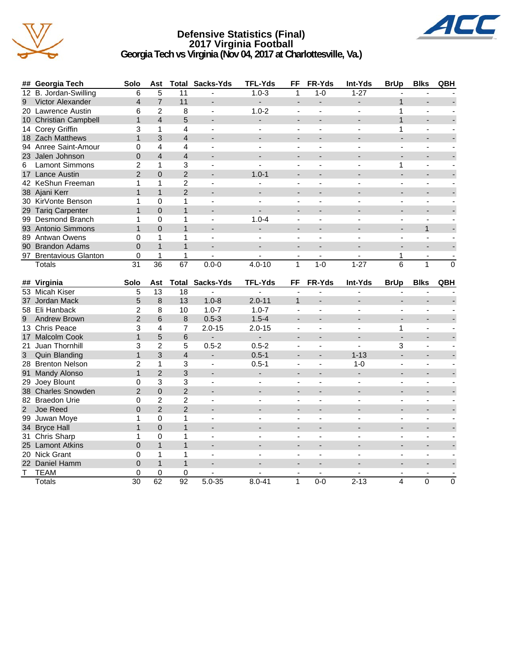

#### **Defensive Statistics (Final) 2017 Virginia Football Georgia Tech vs Virginia (Nov 04, 2017 at Charlottesville, Va.)**



|                | ## Georgia Tech        | Solo            | Ast             |                  | <b>Total Sacks-Yds</b>   | <b>TFL-Yds</b>           | FF                           | FR-Yds                   | Int-Yds                  | <b>BrUp</b>    | <b>Blks</b>              | QBH      |
|----------------|------------------------|-----------------|-----------------|------------------|--------------------------|--------------------------|------------------------------|--------------------------|--------------------------|----------------|--------------------------|----------|
|                | 12 B. Jordan-Swilling  | 6               | 5               | 11               |                          | $1.0 - 3$                | 1                            | $1 - 0$                  | $1 - 27$                 |                |                          |          |
| 9              | Victor Alexander       | $\overline{4}$  | $\overline{7}$  | 11               | ٠                        |                          | $\blacksquare$               |                          |                          | $\mathbf{1}$   |                          |          |
|                | 20 Lawrence Austin     | 6               | $\overline{2}$  | 8                | $\blacksquare$           | $1.0 - 2$                | $\blacksquare$               | $\blacksquare$           | $\blacksquare$           | $\mathbf{1}$   | $\blacksquare$           |          |
|                | 10 Christian Campbell  | $\mathbf{1}$    | $\overline{4}$  | 5                |                          |                          | $\overline{\phantom{a}}$     | ۰                        |                          | 1              | $\overline{\phantom{0}}$ |          |
|                | 14 Corey Griffin       | 3               | 1               | $\overline{4}$   | $\overline{\phantom{a}}$ |                          | $\overline{a}$               | $\overline{a}$           | $\sim$                   | 1              | $\blacksquare$           |          |
|                | 18 Zach Matthews       | $\mathbf{1}$    | 3               | $\overline{4}$   |                          |                          |                              |                          |                          |                |                          |          |
|                | 94 Anree Saint-Amour   | 0               | $\overline{4}$  | $\overline{4}$   | $\sim$                   |                          | $\overline{a}$               |                          |                          |                | $\sim$                   |          |
|                | 23 Jalen Johnson       | $\mathbf 0$     | $\overline{4}$  | $\overline{4}$   | ٠                        |                          |                              |                          |                          |                | ÷,                       |          |
| 6              | <b>Lamont Simmons</b>  | $\overline{2}$  | 1               | 3                | $\blacksquare$           | $\blacksquare$           | $\blacksquare$               | $\blacksquare$           | $\frac{1}{2}$            | 1              | $\blacksquare$           |          |
|                | 17 Lance Austin        | $\overline{2}$  | $\Omega$        | $\overline{2}$   |                          | $1.0 - 1$                | $\overline{a}$               |                          |                          | $\overline{a}$ | L.                       |          |
|                | 42 KeShun Freeman      | 1               | 1               | $\boldsymbol{2}$ | $\overline{a}$           |                          | $\blacksquare$               | $\overline{a}$           | $\overline{a}$           | $\overline{a}$ | $\blacksquare$           |          |
|                | 38 Ajani Kerr          | $\mathbf{1}$    | $\mathbf{1}$    | $\overline{2}$   |                          |                          |                              |                          |                          |                |                          |          |
|                | 30 KirVonte Benson     | 1               | 0               | 1                | $\overline{a}$           |                          | $\overline{a}$               |                          |                          |                | $\sim$                   |          |
|                | 29 Tariq Carpenter     | $\mathbf{1}$    | $\Omega$        | $\mathbf{1}$     | $\blacksquare$           |                          |                              |                          |                          |                | L,                       |          |
|                | 99 Desmond Branch      | 1               | $\Omega$        | 1                | $\blacksquare$           | $1.0 - 4$                | $\blacksquare$               | $\overline{\phantom{a}}$ |                          | $\frac{1}{2}$  | $\blacksquare$           |          |
|                | 93 Antonio Simmons     | $\mathbf{1}$    | $\overline{0}$  | $\mathbf{1}$     |                          |                          | $\overline{a}$               |                          |                          |                | $\mathbf{1}$             |          |
|                | 89 Antwan Owens        | 0               | 1               | $\mathbf{1}$     | $\overline{\phantom{a}}$ |                          | $\overline{\phantom{a}}$     | $\overline{\phantom{a}}$ | $\overline{\phantom{a}}$ | $\blacksquare$ | $\blacksquare$           |          |
|                | 90 Brandon Adams       | $\Omega$        | $\mathbf{1}$    | $\mathbf{1}$     |                          |                          |                              |                          |                          |                |                          |          |
|                | 97 Brentavious Glanton | 0               | 1               | 1                |                          |                          |                              |                          |                          | 1              |                          |          |
|                | <b>Totals</b>          | $\overline{31}$ | $\overline{36}$ | 67               | $0.0 - 0$                | $4.0 - 10$               | 1                            | $1-0$                    | $1 - 27$                 | 6              | 1                        | $\Omega$ |
|                |                        |                 |                 |                  |                          |                          |                              |                          |                          |                |                          |          |
|                | ## Virginia            | Solo            | Ast             |                  | <b>Total Sacks-Yds</b>   | <b>TFL-Yds</b>           | FF                           | FR-Yds                   | Int-Yds                  | <b>BrUp</b>    | <b>Blks</b>              | QBH      |
|                | 53 Micah Kiser         | 5               | 13              | 18               |                          |                          |                              |                          |                          |                |                          |          |
|                | 37 Jordan Mack         | 5               | 8               | 13               | $1.0 - 8$                | $2.0 - 11$               | $\mathbf{1}$                 |                          |                          |                |                          |          |
|                | 58 Eli Hanback         | $\overline{c}$  | 8               | 10               | $1.0 - 7$                | $1.0 - 7$                |                              |                          |                          |                | L.                       |          |
| 9              | <b>Andrew Brown</b>    | $\overline{2}$  | 6               | 8                | $0.5 - 3$                | $1.5 - 4$                |                              |                          |                          |                |                          |          |
|                | 13 Chris Peace         | 3               | 4               | 7                | $2.0 - 15$               | $2.0 - 15$               | $\overline{\phantom{a}}$     | $\blacksquare$           | $\overline{a}$           | 1              | $\blacksquare$           |          |
|                | 17 Malcolm Cook        | $\mathbf{1}$    | 5               | 6                |                          |                          |                              |                          |                          | ÷.             |                          |          |
|                | 21 Juan Thornhill      | 3               | $\overline{2}$  | 5                | $0.5 - 2$                | $0.5 - 2$                | $\blacksquare$               |                          | $\blacksquare$           | 3              | $\blacksquare$           |          |
| 3 <sup>7</sup> | <b>Quin Blanding</b>   | $\mathbf{1}$    | 3               | $\overline{4}$   | $\overline{\phantom{a}}$ | $0.5 - 1$                |                              |                          | $1 - 13$                 |                |                          |          |
|                | 28 Brenton Nelson      | $\overline{2}$  | 1               | 3                | $\blacksquare$           | $0.5 - 1$                | $\overline{\phantom{a}}$     |                          | $1 - 0$                  | $\overline{a}$ | ÷,                       |          |
|                | 91 Mandy Alonso        | $\mathbf{1}$    | $\overline{2}$  | 3                | $\overline{\phantom{a}}$ | $\blacksquare$           | $\qquad \qquad \blacksquare$ | $\overline{\phantom{a}}$ |                          |                |                          |          |
|                | 29 Joey Blount         | 0               | 3               | 3                | $\overline{a}$           | $\overline{a}$           | $\mathbf{r}$                 | $\overline{a}$           | $\overline{a}$           | $\overline{a}$ | $\mathbf{r}$             |          |
|                | 38 Charles Snowden     | $\overline{2}$  | $\Omega$        | $\overline{2}$   |                          |                          |                              |                          |                          |                |                          |          |
|                | 82 Braedon Urie        | $\Omega$        | $\overline{2}$  | $\overline{c}$   |                          |                          | $\blacksquare$               |                          |                          |                | ÷,                       |          |
| 2 <sup>1</sup> | Joe Reed               | $\Omega$        | $\overline{2}$  | $\overline{2}$   |                          |                          |                              |                          |                          |                |                          |          |
|                | 99 Juwan Moye          | 1               | 0               | 1                | $\blacksquare$           |                          | $\blacksquare$               | $\blacksquare$           |                          |                | ä,                       |          |
|                | 34 Bryce Hall          | $\mathbf{1}$    | $\Omega$        | $\mathbf{1}$     | $\blacksquare$           |                          | $\overline{a}$               | $\overline{a}$           |                          | $\overline{a}$ | ÷,                       |          |
|                | 31 Chris Sharp         | 1               | 0               | 1                | $\sim$                   | $\overline{\phantom{a}}$ | $\sim$                       | $\overline{\phantom{a}}$ | $\overline{a}$           | $\blacksquare$ | $\sim$                   |          |
|                | 25 Lamont Atkins       | $\overline{0}$  | $\mathbf{1}$    | $\mathbf{1}$     |                          |                          |                              |                          |                          |                |                          |          |
|                | 20 Nick Grant          | 0               | 1               | 1                | $\blacksquare$           |                          |                              |                          |                          |                | ÷,                       |          |
|                | 22 Daniel Hamm         | $\Omega$        | $\mathbf{1}$    | $\mathbf{1}$     |                          |                          |                              |                          |                          |                |                          |          |
| т              | <b>TEAM</b>            | 0               | 0               | 0                |                          |                          |                              | $\overline{a}$           |                          |                | ä,                       |          |
|                | Totals                 | 30              | 62              | 92               | $5.0 - 35$               | $8.0 - 41$               | $\mathbf{1}$                 | $0-0$                    | $2 - 13$                 | 4              | 0                        | 0        |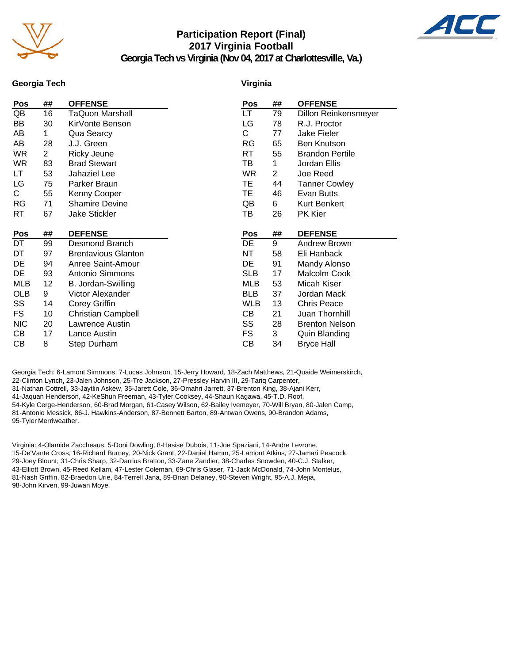

## **Participation Report (Final) 2017 Virginia Football**



**Georgia Tech vs Virginia (Nov 04, 2017 at Charlottesville, Va.)**

#### **Georgia Tech**

#### **Virginia**

| Pos        | ##             | <b>OFFENSE</b>             | Pos        | ## | <b>OFFENSE</b>         |
|------------|----------------|----------------------------|------------|----|------------------------|
| QB         | 16             | TaQuon Marshall            | LT         | 79 | Dillon Reinkensmeyer   |
| BB         | 30             | KirVonte Benson            | LG         | 78 | R.J. Proctor           |
| AB         | $\mathbf{1}$   | Qua Searcy                 | C          | 77 | Jake Fieler            |
| AB         | 28             | J.J. Green                 | <b>RG</b>  | 65 | <b>Ben Knutson</b>     |
| WR         | $\overline{2}$ | Ricky Jeune                | RT         | 55 | <b>Brandon Pertile</b> |
| WR.        | 83             | <b>Brad Stewart</b>        | ТB         | 1  | Jordan Ellis           |
| LT         | 53             | Jahaziel Lee               | WR.        | 2  | Joe Reed               |
| LG         | 75             | Parker Braun               | TE.        | 44 | <b>Tanner Cowley</b>   |
| С          | 55             | Kenny Cooper               | TЕ         | 46 | Evan Butts             |
| RG         | 71             | <b>Shamire Devine</b>      | QB         | 6  | <b>Kurt Benkert</b>    |
| RT         | 67             | <b>Jake Stickler</b>       | TВ         | 26 | PK Kier                |
|            |                |                            |            |    |                        |
|            |                |                            |            |    |                        |
| Pos        | ##             | <b>DEFENSE</b>             | Pos        | ## | <b>DEFENSE</b>         |
| DT         | 99             | Desmond Branch             | DE         | 9  | Andrew Brown           |
| DT         | 97             | <b>Brentavious Glanton</b> | NT         | 58 | Eli Hanback            |
| DE         | 94             | Anree Saint-Amour          | DE         | 91 | Mandy Alonso           |
| DE         | 93             | Antonio Simmons            | <b>SLB</b> | 17 | Malcolm Cook           |
| MLB        | 12             | B. Jordan-Swilling         | MLB        | 53 | Micah Kiser            |
| <b>OLB</b> | 9              | Victor Alexander           | <b>BLB</b> | 37 | Jordan Mack            |
| SS         | 14             | Corey Griffin              | <b>WLB</b> | 13 | <b>Chris Peace</b>     |
| FS         | 10             | <b>Christian Campbell</b>  | CВ         | 21 | Juan Thornhill         |
| <b>NIC</b> | 20             | Lawrence Austin            | SS         | 28 | <b>Brenton Nelson</b>  |
| CВ         | 17             | Lance Austin               | FS         | 3  | Quin Blanding          |
| CВ         | 8              | Step Durham                | CВ         | 34 | <b>Bryce Hall</b>      |

Georgia Tech: 6-Lamont Simmons, 7-Lucas Johnson, 15-Jerry Howard, 18-Zach Matthews, 21-Quaide Weimerskirch, 22-Clinton Lynch, 23-Jalen Johnson, 25-Tre Jackson, 27-Pressley Harvin III, 29-Tariq Carpenter, 31-Nathan Cottrell, 33-Jaytlin Askew, 35-Jarett Cole, 36-Omahri Jarrett, 37-Brenton King, 38-Ajani Kerr, 41-Jaquan Henderson, 42-KeShun Freeman, 43-Tyler Cooksey, 44-Shaun Kagawa, 45-T.D. Roof, 54-Kyle Cerge-Henderson, 60-Brad Morgan, 61-Casey Wilson, 62-Bailey Ivemeyer, 70-Will Bryan, 80-Jalen Camp, 81-Antonio Messick, 86-J. Hawkins-Anderson, 87-Bennett Barton, 89-Antwan Owens, 90-Brandon Adams, 95-Tyler Merriweather.

Virginia: 4-Olamide Zaccheaus, 5-Doni Dowling, 8-Hasise Dubois, 11-Joe Spaziani, 14-Andre Levrone, 15-De'Vante Cross, 16-Richard Burney, 20-Nick Grant, 22-Daniel Hamm, 25-Lamont Atkins, 27-Jamari Peacock, 29-Joey Blount, 31-Chris Sharp, 32-Darrius Bratton, 33-Zane Zandier, 38-Charles Snowden, 40-C.J. Stalker, 43-Elliott Brown, 45-Reed Kellam, 47-Lester Coleman, 69-Chris Glaser, 71-Jack McDonald, 74-John Montelus, 81-Nash Griffin, 82-Braedon Urie, 84-Terrell Jana, 89-Brian Delaney, 90-Steven Wright, 95-A.J. Mejia, 98-John Kirven, 99-Juwan Moye.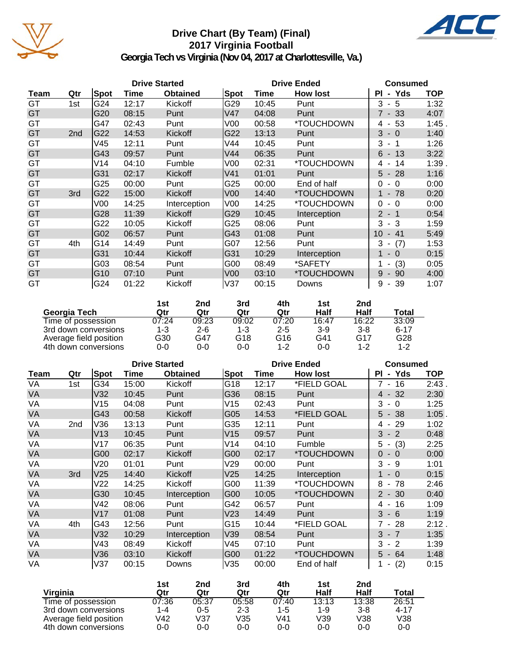

## **Drive Chart (By Team) (Final) 2017 Virginia Football**



**Georgia Tech vs Virginia (Nov 04, 2017 at Charlottesville, Va.)**

|      | <b>Drive Started</b> |      |       |                 |                 | <b>Drive Ended</b> | <b>Consumed</b> |                            |       |
|------|----------------------|------|-------|-----------------|-----------------|--------------------|-----------------|----------------------------|-------|
| Team | Qtr                  | Spot | Time  | <b>Obtained</b> | Spot            | Time               | <b>How lost</b> | - Yds<br>PI                | TOP   |
| GT   | 1st                  | G24  | 12:17 | <b>Kickoff</b>  | G29             | 10:45              | Punt            | 3<br>$-5$                  | 1:32  |
| GT   |                      | G20  | 08:15 | Punt            | V47             | 04:08              | Punt            | $7 - 33$                   | 4:07  |
| GT   |                      | G47  | 02:43 | Punt            | V00             | 00:58              | *TOUCHDOWN      | 4 - 53                     | 1:45. |
| GT   | 2 <sub>nd</sub>      | G22  | 14:53 | Kickoff         | G22             | 13:13              | Punt            | $3 - 0$                    | 1:40  |
| GT   |                      | V45  | 12:11 | Punt            | V44             | 10:45              | Punt            | 3<br>$-1$                  | 1:26  |
| GT   |                      | G43  | 09:57 | Punt            | V44             | 06:35              | Punt            | $6 - 13$                   | 3:22  |
| GT   |                      | V14  | 04:10 | Fumble          | V00             | 02:31              | *TOUCHDOWN      | 14<br>4 -                  | 1:39. |
| GT   |                      | G31  | 02:17 | Kickoff         | V <sub>41</sub> | 01:01              | Punt            | $5 - 28$                   | 1:16  |
| GT   |                      | G25  | 00:00 | Punt            | G25             | 00:00              | End of half     | 0<br>- 0                   | 0:00  |
| GT   | 3rd                  | G22  | 15:00 | Kickoff         | V00             | 14:40              | *TOUCHDOWN      | $1 - 78$                   | 0:20  |
| GT   |                      | V00  | 14:25 | Interception    | V <sub>00</sub> | 14:25              | *TOUCHDOWN      | $\Omega$<br>$-0$           | 0:00  |
| GT   |                      | G28  | 11:39 | Kickoff         | G29             | 10:45              | Interception    | $2 - 1$                    | 0:54  |
| GT   |                      | G22  | 10:05 | Kickoff         | G25             | 08:06              | Punt            | $-3$<br>3                  | 1:59  |
| GT   |                      | G02  | 06:57 | Punt            | G43             | 01:08              | Punt            | 41<br>10<br>$\blacksquare$ | 5:49  |
| GT   | 4th                  | G14  | 14:49 | Punt            | G07             | 12:56              | Punt            | 3<br>(7)<br>$\blacksquare$ | 1:53  |
| GT   |                      | G31  | 10:44 | <b>Kickoff</b>  | G31             | 10:29              | Interception    | 1<br>$-0$                  | 0:15  |
| GT   |                      | G03  | 08:54 | Punt            | G00             | 08:49              | *SAFETY         | (3)<br>$\blacksquare$      | 0:05  |
| GT   |                      | G10  | 07:10 | Punt            | V00             | 03:10              | *TOUCHDOWN      | 9<br>$-90$                 | 4:00  |
| GT   |                      | G24  | 01:22 | Kickoff         | V37             | 00:15              | Downs           | 39<br>9<br>$\sim$          | 1:07  |

|                        | 1st   | 2nd     | 3rd   | 4th     | 1st   | 2nd     |          |
|------------------------|-------|---------|-------|---------|-------|---------|----------|
| Georgia Tech           | Qtr   | Qtr     | Qtr   | Qtr     | Half  | Half    | Total    |
| Time of possession     | 07:24 | 09:23   | 09:02 | 07:20   | 16:47 | 16:22   | 33:09    |
| 3rd down conversions   | 1-3   | $2 - 6$ | 1-3   | $2 - 5$ | $3-9$ | $3 - 8$ | $6 - 17$ |
| Average field position | G30   | G47     | G18   | G16     | G41   | G17     | G28      |
| 4th down conversions   | 0-0   | $0 - 0$ | 0-0   | 1-2     | 0-0   | 1-2     | $1 - 2$  |

|           | <b>Drive Started</b> |                 |       |                 |                 | <b>Drive Ended</b> | <b>Consumed</b> |                                      |            |
|-----------|----------------------|-----------------|-------|-----------------|-----------------|--------------------|-----------------|--------------------------------------|------------|
| Team      | Qtr                  | Spot            | Time  | <b>Obtained</b> | Spot            | Time               | <b>How lost</b> | - Yds<br><b>PI</b>                   | <b>TOP</b> |
| VA        | 1st                  | G34             | 15:00 | Kickoff         | G18             | 12:17              | *FIELD GOAL     | 16<br>7<br>$\sim$                    | 2:43       |
| VA        |                      | V32             | 10:45 | Punt            | G36             | 08:15              | Punt            | 32<br>4<br>$\overline{\phantom{a}}$  | 2:30       |
| VA        |                      | V15             | 04:08 | Punt            | V15             | 02:43              | Punt            | 3<br>$-0$                            | 1:25       |
| <b>VA</b> |                      | G43             | 00:58 | Kickoff         | G05             | 14:53              | *FIELD GOAL     | $5 - 38$                             | 1:05       |
| VA        | 2nd                  | V36             | 13:13 | Punt            | G35             | 12:11              | Punt            | 29<br>4 -                            | 1:02       |
| VA        |                      | V13             | 10:45 | Punt            | V <sub>15</sub> | 09:57              | Punt            | $-2$<br>3                            | 0:48       |
| VA        |                      | V17             | 06:35 | Punt            | V14             | 04:10              | Fumble          | (3)<br>5<br>$\overline{\phantom{a}}$ | 2:25       |
| VA        |                      | G00             | 02:17 | Kickoff         | G00             | 02:17              | *TOUCHDOWN      | $\Omega$<br>$-0$                     | 0:00       |
| VA        |                      | V20             | 01:01 | Punt            | V29             | 00:00              | Punt            | 3<br>- 9                             | 1:01       |
| VA        | 3rd                  | V <sub>25</sub> | 14:40 | Kickoff         | V25             | 14:25              | Interception    | $-0$                                 | 0:15       |
| VA        |                      | V22             | 14:25 | Kickoff         | G00             | 11:39              | *TOUCHDOWN      | 8<br>78<br>$\overline{\phantom{a}}$  | 2:46       |
| <b>VA</b> |                      | G30             | 10:45 | Interception    | G <sub>00</sub> | 10:05              | *TOUCHDOWN      | $2 - 30$                             | 0:40       |
| VA        |                      | V42             | 08:06 | Punt            | G42             | 06:57              | Punt            | 16<br>4 -                            | 1:09       |
| VA        |                      | V17             | 01:08 | Punt            | V <sub>23</sub> | 14:49              | Punt            | $3 - 6$                              | 1:19       |
| VA        | 4th                  | G43             | 12:56 | Punt            | G15             | 10:44              | *FIELD GOAL     | 28<br>7 -                            | 2:12.      |
| VA        |                      | V32             | 10:29 | Interception    | V39             | 08:54              | Punt            | 3<br>$-7$                            | 1:35       |
| VA        |                      | V43             | 08:49 | Kickoff         | V45             | 07:10              | Punt            | $-2$<br>3                            | 1:39       |
| <b>VA</b> |                      | V36             | 03:10 | Kickoff         | G <sub>00</sub> | 01:22              | *TOUCHDOWN      | $5 - 64$                             | 1:48       |
| VA        |                      | V37             | 00:15 | Downs           | V35             | 00:00              | End of half     | (2)                                  | 0:15       |

|                        | 1st   | 2nd   | 3rd     | 4th     | 1st         | 2nd     |       |
|------------------------|-------|-------|---------|---------|-------------|---------|-------|
| Virginia               | Qtr   | Qtr   | Qtr     | Qtr     | Half        | Half    | Total |
| Time of possession     | 07:36 | 05:37 | 05:58   | 07:40   | 13:13       | 13:38   | 26:51 |
| 3rd down conversions   | 1-4   | 0-5   | $2 - 3$ | $1 - 5$ | 1-9         | $3 - 8$ | 4-17  |
| Average field position | V42   | V37   | V35     | V41     | $\sqrt{39}$ | V38     | V38   |
| 4th down conversions   | 0-0   | 0-0   | 0-0     | $0 - 0$ | 0-0         | 0-0     | 0-0   |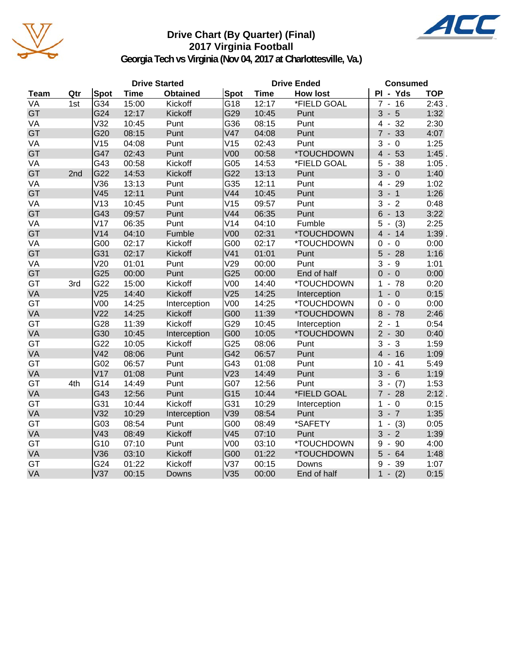

## **Drive Chart (By Quarter) (Final) 2017 Virginia Football**



**Georgia Tech vs Virginia (Nov 04, 2017 at Charlottesville, Va.)**

|             |     |                 |             | <b>Drive Started</b> |                 |             | <b>Drive Ended</b> | <b>Consumed</b>                                    |            |
|-------------|-----|-----------------|-------------|----------------------|-----------------|-------------|--------------------|----------------------------------------------------|------------|
| <b>Team</b> | Qtr | Spot            | <b>Time</b> | <b>Obtained</b>      | <b>Spot</b>     | <b>Time</b> | <b>How lost</b>    | PI - Yds                                           | <b>TOP</b> |
| <b>VA</b>   | 1st | G34             | 15:00       | Kickoff              | G18             | 12:17       | *FIELD GOAL        | $\frac{1}{7}$ - 16                                 | 2:43       |
| GT          |     | G24             | 12:17       | Kickoff              | G29             | 10:45       | Punt               | $3 - 5$                                            | 1:32       |
| VA          |     | V32             | 10:45       | Punt                 | G36             | 08:15       | Punt               | 32<br>4<br>$\overline{\phantom{a}}$                | 2:30       |
| GT          |     | G20             | 08:15       | Punt                 | V47             | 04:08       | Punt               | $7 - 33$                                           | 4:07       |
| VA          |     | V15             | 04:08       | Punt                 | V15             | 02:43       | Punt               | 3<br>$-0$                                          | 1:25       |
| GT          |     | G47             | 02:43       | Punt                 | V <sub>00</sub> | 00:58       | *TOUCHDOWN         | $4 - 53$                                           | $1:45$ .   |
| VA          |     | G43             | 00:58       | Kickoff              | G05             | 14:53       | *FIELD GOAL        | 38<br>5<br>$\blacksquare$                          | $1:05$ .   |
| GT          | 2nd | G22             | 14:53       | Kickoff              | G22             | 13:13       | Punt               | $3 - 0$                                            | 1:40       |
| VA          |     | V36             | 13:13       | Punt                 | G35             | 12:11       | Punt               | $4 - 29$                                           | 1:02       |
| GT          |     | V45             | 12:11       | Punt                 | V44             | 10:45       | Punt               | 3<br>$-1$                                          | 1:26       |
| VA          |     | V13             | 10:45       | Punt                 | V15             | 09:57       | Punt               | 3<br>$\overline{2}$<br>$\blacksquare$              | 0:48       |
| GT          |     | G43             | 09:57       | Punt                 | V44             | 06:35       | Punt               | $6 - 13$                                           | 3:22       |
| VA          |     | V17             | 06:35       | Punt                 | V14             | 04:10       | Fumble             | (3)<br>5<br>$\overline{\phantom{a}}$               | 2:25       |
| GT          |     | V14             | 04:10       | Fumble               | V <sub>00</sub> | 02:31       | *TOUCHDOWN         | $4 - 14$                                           | 1:39.      |
| VA          |     | G00             | 02:17       | Kickoff              | G00             | 02:17       | *TOUCHDOWN         | $\overline{0}$<br>$\mathbf 0$<br>$\blacksquare$    | 0:00       |
| GT          |     | G31             | 02:17       | Kickoff              | V <sub>41</sub> | 01:01       | Punt               | 5<br>$-28$                                         | 1:16       |
| VA          |     | V20             | 01:01       | Punt                 | V29             | 00:00       | Punt               | 3<br>- 9                                           | 1:01       |
| GT          |     | G25             | 00:00       | Punt                 | G25             | 00:00       | End of half        | $\Omega$<br>$-0$                                   | 0:00       |
| GT          | 3rd | G22             | 15:00       | Kickoff              | V <sub>00</sub> | 14:40       | *TOUCHDOWN         | 78<br>1                                            | 0:20       |
| VA          |     | V25             | 14:40       | Kickoff              | V25             | 14:25       | Interception       | $\mathbf{1}$<br>$-0$                               | 0:15       |
| GT          |     | V <sub>00</sub> | 14:25       | Interception         | V <sub>00</sub> | 14:25       | *TOUCHDOWN         | $-0$<br>0                                          | 0:00       |
| VA          |     | V <sub>22</sub> | 14:25       | Kickoff              | G00             | 11:39       | *TOUCHDOWN         | $8 - 78$                                           | 2:46       |
| GT          |     | G28             | 11:39       | Kickoff              | G29             | 10:45       | Interception       | $\overline{2}$<br>$-1$                             | 0:54       |
| VA          |     | G30             | 10:45       | Interception         | G00             | 10:05       | *TOUCHDOWN         | $2 - 30$                                           | 0:40       |
| GT          |     | G22             | 10:05       | Kickoff              | G25             | 08:06       | Punt               | $-3$<br>3                                          | 1:59       |
| VA          |     | V42             | 08:06       | Punt                 | G42             | 06:57       | Punt               | $4 - 16$                                           | 1:09       |
| GT          |     | G02             | 06:57       | Punt                 | G43             | 01:08       | Punt               | 10<br>41<br>$\blacksquare$                         | 5:49       |
| VA          |     | V17             | 01:08       | Punt                 | V <sub>23</sub> | 14:49       | Punt               | $3 - 6$                                            | 1:19       |
| GT          | 4th | G14             | 14:49       | Punt                 | G07             | 12:56       | Punt               | 3<br>(7)<br>$\blacksquare$                         | 1:53       |
| VA          |     | G43             | 12:56       | Punt                 | G15             | 10:44       | *FIELD GOAL        | $7 - 28$                                           | 2:12.      |
| GT          |     | G31             | 10:44       | Kickoff              | G31             | 10:29       | Interception       | 1<br>$-0$                                          | 0:15       |
| VA          |     | V32             | 10:29       | Interception         | V39             | 08:54       | Punt               | $3 - 7$                                            | 1:35       |
| GT          |     | G03             | 08:54       | Punt                 | G00             | 08:49       | *SAFETY            | 1<br>(3)<br>$\overline{\phantom{a}}$               | 0:05       |
| VA          |     | V43             | 08:49       | Kickoff              | V45             | 07:10       | Punt               | $\overline{3}$<br>$\overline{2}$<br>$\blacksquare$ | 1:39       |
| GT          |     | G10             | 07:10       | Punt                 | V <sub>00</sub> | 03:10       | *TOUCHDOWN         | 90<br>9<br>$\overline{a}$                          | 4:00       |
| VA          |     | V36             | 03:10       | Kickoff              | G00             | 01:22       | *TOUCHDOWN         | $5 - 64$                                           | 1:48       |
| GT          |     | G24             | 01:22       | Kickoff              | V37             | 00:15       | Downs              | 9<br>$-39$                                         | 1:07       |
| VA          |     | V <sub>37</sub> | 00:15       | Downs                | V35             | 00:00       | End of half        | $\mathbf{1}$<br>$- (2)$                            | 0:15       |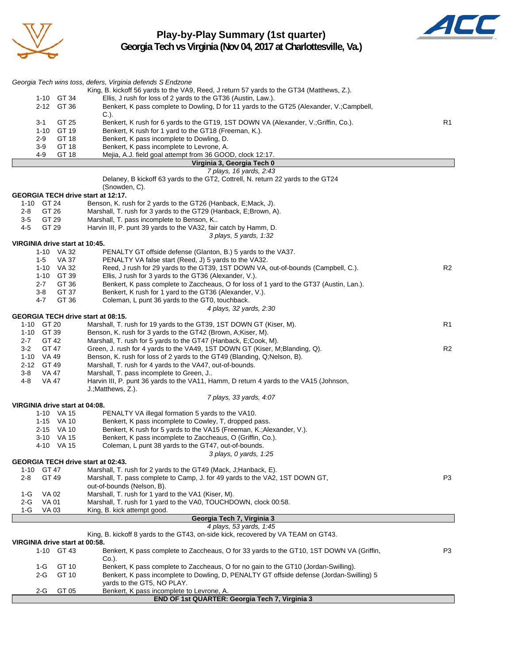

**Play-by-Play Summary (1st quarter) Georgia Tech vs Virginia (Nov 04, 2017 at Charlottesville, Va.)**



|                                                  | Georgia Tech wins toss, defers, Virginia defends S Endzone                                                                                                                      |                |
|--------------------------------------------------|---------------------------------------------------------------------------------------------------------------------------------------------------------------------------------|----------------|
| 1-10 GT 34                                       | King, B. kickoff 56 yards to the VA9, Reed, J return 57 yards to the GT34 (Matthews, Z.).<br>Ellis, J rush for loss of 2 yards to the GT36 (Austin, Law.).                      |                |
| 2-12 GT 36                                       | Benkert, K pass complete to Dowling, D for 11 yards to the GT25 (Alexander, V.;Campbell,                                                                                        |                |
|                                                  | C.).                                                                                                                                                                            |                |
| 3-1<br>GT 25                                     | Benkert, K rush for 6 yards to the GT19, 1ST DOWN VA (Alexander, V.;Griffin, Co.).                                                                                              | R <sub>1</sub> |
| 1-10 GT 19<br>GT 18<br>2-9                       | Benkert, K rush for 1 yard to the GT18 (Freeman, K.).<br>Benkert, K pass incomplete to Dowling, D.                                                                              |                |
| 3-9<br>GT 18                                     | Benkert, K pass incomplete to Levrone, A.                                                                                                                                       |                |
| 4-9<br>GT 18                                     | Mejia, A.J. field goal attempt from 36 GOOD, clock 12:17.                                                                                                                       |                |
|                                                  | Virginia 3, Georgia Tech 0                                                                                                                                                      |                |
|                                                  | 7 plays, 16 yards, 2:43<br>Delaney, B kickoff 63 yards to the GT2, Cottrell, N. return 22 yards to the GT24                                                                     |                |
|                                                  | (Snowden, C).                                                                                                                                                                   |                |
| GEORGIA TECH drive start at 12:17.               |                                                                                                                                                                                 |                |
| 1-10 GT 24                                       | Benson, K. rush for 2 yards to the GT26 (Hanback, E;Mack, J).                                                                                                                   |                |
| $2 - 8$<br>GT 26                                 | Marshall, T. rush for 3 yards to the GT29 (Hanback, E;Brown, A).                                                                                                                |                |
| GT 29<br>3-5<br>4-5<br>GT 29                     | Marshall, T. pass incomplete to Benson, K<br>Harvin III, P. punt 39 yards to the VA32, fair catch by Hamm, D.                                                                   |                |
|                                                  | 3 plays, 5 yards, 1:32                                                                                                                                                          |                |
| VIRGINIA drive start at 10:45.                   |                                                                                                                                                                                 |                |
| 1-10 VA 32                                       | PENALTY GT offside defense (Glanton, B.) 5 yards to the VA37.                                                                                                                   |                |
| VA 37<br>$1-5$                                   | PENALTY VA false start (Reed, J) 5 yards to the VA32.                                                                                                                           |                |
| 1-10 VA 32<br>1-10 GT 39                         | Reed, J rush for 29 yards to the GT39, 1ST DOWN VA, out-of-bounds (Campbell, C.).<br>Ellis, J rush for 3 yards to the GT36 (Alexander, V.).                                     | R <sub>2</sub> |
| GT 36<br>$2 - 7$                                 | Benkert, K pass complete to Zaccheaus, O for loss of 1 yard to the GT37 (Austin, Lan.).                                                                                         |                |
| $3-8$<br>GT 37                                   | Benkert, K rush for 1 yard to the GT36 (Alexander, V.).                                                                                                                         |                |
| 4-7<br>GT 36                                     | Coleman, L punt 36 yards to the GT0, touchback.                                                                                                                                 |                |
|                                                  | 4 plays, 32 yards, 2:30                                                                                                                                                         |                |
| GEORGIA TECH drive start at 08:15.<br>1-10 GT 20 |                                                                                                                                                                                 | R1             |
| 1-10 GT 39                                       | Marshall, T. rush for 19 yards to the GT39, 1ST DOWN GT (Kiser, M).<br>Benson, K. rush for 3 yards to the GT42 (Brown, A; Kiser, M).                                            |                |
| 2-7<br>GT 42                                     | Marshall, T. rush for 5 yards to the GT47 (Hanback, E;Cook, M).                                                                                                                 |                |
| GT 47<br>3-2                                     | Green, J. rush for 4 yards to the VA49, 1ST DOWN GT (Kiser, M;Blanding, Q).                                                                                                     | R <sub>2</sub> |
| 1-10 VA 49                                       | Benson, K. rush for loss of 2 yards to the GT49 (Blanding, Q;Nelson, B).                                                                                                        |                |
| GT 49<br>2-12                                    | Marshall, T. rush for 4 yards to the VA47, out-of-bounds.                                                                                                                       |                |
| $3-8$<br>VA 47<br>4-8<br>VA 47                   | Marshall, T. pass incomplete to Green, J<br>Harvin III, P. punt 36 yards to the VA11, Hamm, D return 4 yards to the VA15 (Johnson,                                              |                |
|                                                  | J.; Matthews, Z.).                                                                                                                                                              |                |
|                                                  | 7 plays, 33 yards, 4:07                                                                                                                                                         |                |
| VIRGINIA drive start at 04:08.                   |                                                                                                                                                                                 |                |
| 1-10 VA 15                                       | PENALTY VA illegal formation 5 yards to the VA10.                                                                                                                               |                |
| 1-15 VA 10<br>2-15 VA 10                         | Benkert, K pass incomplete to Cowley, T, dropped pass.<br>Benkert, K rush for 5 yards to the VA15 (Freeman, K.; Alexander, V.).                                                 |                |
| 3-10 VA 15                                       | Benkert, K pass incomplete to Zaccheaus, O (Griffin, Co.).                                                                                                                      |                |
| 4-10 VA 15                                       | Coleman, L punt 38 yards to the GT47, out-of-bounds.                                                                                                                            |                |
|                                                  | 3 plays, 0 yards, 1:25                                                                                                                                                          |                |
| GEORGIA TECH drive start at 02:43.               |                                                                                                                                                                                 |                |
| 1-10 GT 47<br>GT 49<br>$2 - 8$                   | Marshall, T. rush for 2 yards to the GT49 (Mack, J;Hanback, E).<br>Marshall, T. pass complete to Camp, J. for 49 yards to the VA2, 1ST DOWN GT,                                 | P <sub>3</sub> |
|                                                  | out-of-bounds (Nelson, B).                                                                                                                                                      |                |
| 1-G<br>VA 02                                     | Marshall, T. rush for 1 yard to the VA1 (Kiser, M).                                                                                                                             |                |
| 2-G<br><b>VA01</b>                               | Marshall, T. rush for 1 yard to the VA0, TOUCHDOWN, clock 00:58.                                                                                                                |                |
| $1-G$<br>VA 03                                   | King, B. kick attempt good.                                                                                                                                                     |                |
|                                                  | Georgia Tech 7, Virginia 3<br>4 plays, 53 yards, 1:45                                                                                                                           |                |
|                                                  | King, B. kickoff 8 yards to the GT43, on-side kick, recovered by VA TEAM on GT43.                                                                                               |                |
| VIRGINIA drive start at 00:58.                   |                                                                                                                                                                                 |                |
| 1-10 GT 43                                       | Benkert, K pass complete to Zaccheaus, O for 33 yards to the GT10, 1ST DOWN VA (Griffin,                                                                                        | P <sub>3</sub> |
|                                                  | $Co.$ ).                                                                                                                                                                        |                |
| 1-G<br>GT 10<br>$2-G$<br>GT 10                   | Benkert, K pass complete to Zaccheaus, O for no gain to the GT10 (Jordan-Swilling).<br>Benkert, K pass incomplete to Dowling, D, PENALTY GT offside defense (Jordan-Swilling) 5 |                |
|                                                  | yards to the GT5, NO PLAY.                                                                                                                                                      |                |
| $2-G$<br>GT 05                                   | Benkert, K pass incomplete to Levrone, A.                                                                                                                                       |                |

**END OF 1st QUARTER: Georgia Tech 7, Virginia 3**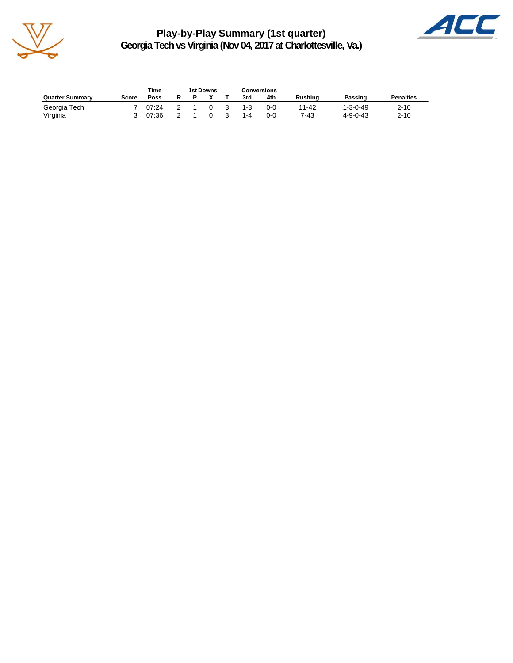

**Play-by-Play Summary (1st quarter) Georgia Tech vs Virginia (Nov 04, 2017 at Charlottesville, Va.)**



|                        |       | Time  |  | 1st Downs |    |         | Conversions |                |                  |                  |
|------------------------|-------|-------|--|-----------|----|---------|-------------|----------------|------------------|------------------|
| <b>Quarter Summary</b> | Score | Poss  |  |           |    | 3rd     | 4th         | <b>Rushing</b> | Passing          | <b>Penalties</b> |
| Georgia Tech           |       | 07:24 |  |           | -3 | $1 - 3$ | 0-0         | 11-42          | $1 - 3 - 0 - 49$ | $2 - 10$         |
| Virginia               |       | 07:36 |  |           |    | $1 - 4$ | 0-0         | 7-43           | $4 - 9 - 0 - 43$ | $2 - 10$         |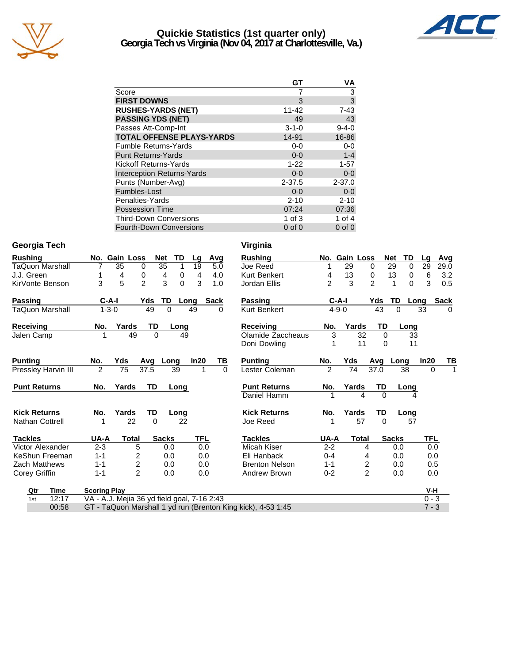

#### **Quickie Statistics (1st quarter only) Georgia Tech vs Virginia (Nov 04, 2017 at Charlottesville, Va.)**



|                                   | GT          | ٧Α          |
|-----------------------------------|-------------|-------------|
| Score                             |             | 3           |
| <b>FIRST DOWNS</b>                | 3           | 3           |
| <b>RUSHES-YARDS (NET)</b>         | $11 - 42$   | $7 - 43$    |
| <b>PASSING YDS (NET)</b>          | 49          | 43          |
| Passes Att-Comp-Int               | $3 - 1 - 0$ | $9 - 4 - 0$ |
| <b>TOTAL OFFENSE PLAYS-YARDS</b>  | 14-91       | 16-86       |
| <b>Fumble Returns-Yards</b>       | 0-0         | $0-0$       |
| <b>Punt Returns-Yards</b>         | $0 - 0$     | $1 - 4$     |
| Kickoff Returns-Yards             | $1 - 22$    | $1 - 57$    |
| <b>Interception Returns-Yards</b> | $0 - 0$     | $0-0$       |
| Punts (Number-Avg)                | $2 - 37.5$  | $2 - 37.0$  |
| Fumbles-Lost                      | $0 - 0$     | $0-0$       |
| Penalties-Yards                   | $2 - 10$    | $2 - 10$    |
| <b>Possession Time</b>            | 07:24       | 07:36       |
| <b>Third-Down Conversions</b>     | $1$ of $3$  | 1 of $4$    |
| <b>Fourth-Down Conversions</b>    | $0$ of $0$  | $0$ of $0$  |

#### **Georgia Tech Virginia**

| Rushing                |                     | No. Gain Loss                               | <b>Net</b>   | TD          | Lg   | Avg         | <b>Rushing</b>                                               |               | No. Gain Loss |                | <b>Net</b>   | TD          | Lg       | Avg         |
|------------------------|---------------------|---------------------------------------------|--------------|-------------|------|-------------|--------------------------------------------------------------|---------------|---------------|----------------|--------------|-------------|----------|-------------|
| <b>TaQuon Marshall</b> |                     | 35<br>0                                     | 35           | 1           | 19   | 5.0         | Joe Reed                                                     |               | 29            | 0              | 29           | 0           | 29       | 29.0        |
| J.J. Green             |                     | 4<br>0                                      | 4            | 0           | 4    | 4.0         | <b>Kurt Benkert</b>                                          | 4             | 13            | 0              | 13           | 0           | 6        | 3.2         |
| KirVonte Benson        | 3                   | 5<br>$\overline{2}$                         | 3            | $\mathbf 0$ | 3    | 1.0         | Jordan Ellis                                                 | $\mathcal{P}$ | 3             | $\overline{c}$ | 1            | $\Omega$    | 3        | 0.5         |
| Passing                | $C-A-I$             |                                             | Yds<br>TD    |             | Long | <b>Sack</b> | <b>Passing</b>                                               |               | $C-A-I$       | Yds            | TD           | Long        |          | <b>Sack</b> |
| TaQuon Marshall        | $1 - 3 - 0$         |                                             | 49<br>0      |             | 49   | 0           | Kurt Benkert                                                 |               | $4 - 9 - 0$   |                | 43           | 0           | 33       | 0           |
| Receiving              | No.                 | Yards                                       | TD           | Long        |      |             | <b>Receiving</b>                                             | No.           | Yards         |                | TD           | Long        |          |             |
| Jalen Camp             |                     | 49                                          | $\Omega$     | 49          |      |             | Olamide Zaccheaus                                            | 3             |               | 32             | $\Omega$     | 33          |          |             |
|                        |                     |                                             |              |             |      |             | Doni Dowling                                                 |               |               | 11             | $\Omega$     | 11          |          |             |
| <b>Punting</b>         | No.                 | Yds                                         | Avg<br>Long  |             | In20 | TВ          | <b>Punting</b>                                               | No.           | Yds           | Avg            |              | Long        | In20     | <b>ΤΒ</b>   |
| Pressley Harvin III    | 2                   | 75                                          | 37.5         | 39          | 1    | $\Omega$    | Lester Coleman                                               | $\mathcal{P}$ | 74            | 37.0           |              | 38          | $\Omega$ | 1           |
| <b>Punt Returns</b>    | No.                 | Yards                                       | TD           | Long        |      |             | <b>Punt Returns</b>                                          | No.           | Yards         |                | TD           | <b>Long</b> |          |             |
|                        |                     |                                             |              |             |      |             | Daniel Hamm                                                  |               |               | 4              | $\Omega$     |             |          |             |
| <b>Kick Returns</b>    | No.                 | Yards                                       | TD           | Long        |      |             | <b>Kick Returns</b>                                          | No.           | Yards         |                | TD           | Long        |          |             |
| <b>Nathan Cottrell</b> |                     | 22                                          | $\Omega$     | 22          |      |             | Joe Reed                                                     |               |               | 57             | $\Omega$     | 57          |          |             |
| <b>Tackles</b>         | UA-A                | <b>Total</b>                                | <b>Sacks</b> |             | TFL  |             | <b>Tackles</b>                                               | UA-A          |               | <b>Total</b>   | <b>Sacks</b> |             | TFL      |             |
| Victor Alexander       | $2 - 3$             | 5                                           | 0.0          |             | 0.0  |             | Micah Kiser                                                  | $2 - 2$       |               | 4              |              | 0.0         | 0.0      |             |
| KeShun Freeman         | $1 - 1$             | $\overline{2}$                              | 0.0          |             | 0.0  |             | Eli Hanback                                                  | $0 - 4$       |               | 4              |              | 0.0         | 0.0      |             |
| <b>Zach Matthews</b>   | $1 - 1$             | $\overline{\mathbf{c}}$                     | 0.0          |             | 0.0  |             | <b>Brenton Nelson</b>                                        | $1 - 1$       |               | $\frac{2}{2}$  |              | 0.0         | 0.5      |             |
| Corey Griffin          | $1 - 1$             | $\overline{2}$                              | 0.0          |             | 0.0  |             | Andrew Brown                                                 | $0 - 2$       |               |                |              | 0.0         | 0.0      |             |
| <b>Time</b><br>Qtr     | <b>Scoring Play</b> |                                             |              |             |      |             |                                                              |               |               |                |              |             | V-H      |             |
| 12:17<br>1st           |                     | VA - A.J. Mejia 36 yd field goal, 7-16 2:43 |              |             |      |             |                                                              |               |               |                |              |             | $0 - 3$  |             |
| 00:58                  |                     |                                             |              |             |      |             | GT - TaQuon Marshall 1 yd run (Brenton King kick), 4-53 1:45 |               |               |                |              |             | $7 - 3$  |             |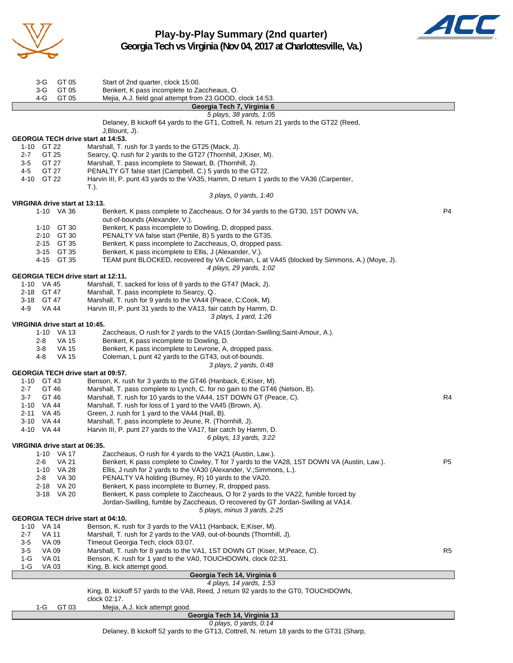

**Play-by-Play Summary (2nd quarter) Georgia Tech vs Virginia (Nov 04, 2017 at Charlottesville, Va.)**



| GT 05<br>3-G                                     | Start of 2nd quarter, clock 15:00.                                                                                                                     |                |
|--------------------------------------------------|--------------------------------------------------------------------------------------------------------------------------------------------------------|----------------|
| GT 05<br>3-G<br>4-G<br>GT 05                     | Benkert, K pass incomplete to Zaccheaus, O.<br>Mejia, A.J. field goal attempt from 23 GOOD, clock 14:53.                                               |                |
|                                                  | Georgia Tech 7, Virginia 6                                                                                                                             |                |
|                                                  | 5 plays, 38 yards, 1:05                                                                                                                                |                |
|                                                  | Delaney, B kickoff 64 yards to the GT1, Cottrell, N. return 21 yards to the GT22 (Reed,<br>J;Blount, J).                                               |                |
| <b>GEORGIA TECH drive start at 14:53.</b>        |                                                                                                                                                        |                |
| 1-10 GT 22                                       | Marshall, T. rush for 3 yards to the GT25 (Mack, J).                                                                                                   |                |
| GT 25<br>2-7                                     | Searcy, Q. rush for 2 yards to the GT27 (Thornhill, J;Kiser, M).                                                                                       |                |
| GT 27<br>3-5<br>GT 27<br>4-5                     | Marshall, T. pass incomplete to Stewart, B. (Thornhill, J).                                                                                            |                |
| 4-10 GT 22                                       | PENALTY GT false start (Campbell, C.) 5 yards to the GT22.<br>Harvin III, P. punt 43 yards to the VA35, Hamm, D return 1 yards to the VA36 (Carpenter, |                |
|                                                  | T.).                                                                                                                                                   |                |
|                                                  | 3 plays, 0 yards, 1:40                                                                                                                                 |                |
| VIRGINIA drive start at 13:13.                   |                                                                                                                                                        |                |
| 1-10 VA 36                                       | Benkert, K pass complete to Zaccheaus, O for 34 yards to the GT30, 1ST DOWN VA,<br>out-of-bounds (Alexander, V.).                                      | P <sub>4</sub> |
| 1-10 GT 30                                       | Benkert, K pass incomplete to Dowling, D, dropped pass.                                                                                                |                |
| 2-10 GT 30                                       | PENALTY VA false start (Pertile, B) 5 yards to the GT35.                                                                                               |                |
| 2-15 GT 35                                       | Benkert, K pass incomplete to Zaccheaus, O, dropped pass.                                                                                              |                |
| 3-15 GT 35                                       | Benkert, K pass incomplete to Ellis, J (Alexander, V.).                                                                                                |                |
| 4-15 GT 35                                       | TEAM punt BLOCKED, recovered by VA Coleman, L at VA45 (blocked by Simmons, A.) (Moye, J).                                                              |                |
| <b>GEORGIA TECH drive start at 12:11.</b>        | 4 plays, 29 yards, 1:02                                                                                                                                |                |
| 1-10 VA 45                                       | Marshall, T. sacked for loss of 8 yards to the GT47 (Mack, J).                                                                                         |                |
| 2-18 GT 47                                       | Marshall, T. pass incomplete to Searcy, Q                                                                                                              |                |
| 3-18 GT 47                                       | Marshall, T. rush for 9 yards to the VA44 (Peace, C;Cook, M).                                                                                          |                |
| VA 44<br>4-9                                     | Harvin III, P. punt 31 yards to the VA13, fair catch by Hamm, D.                                                                                       |                |
|                                                  | 3 plays, 1 yard, 1:26                                                                                                                                  |                |
| VIRGINIA drive start at 10:45.<br>1-10 VA 13     | Zaccheaus, O rush for 2 yards to the VA15 (Jordan-Swilling; Saint-Amour, A.).                                                                          |                |
| <b>VA 15</b><br>2-8                              | Benkert, K pass incomplete to Dowling, D.                                                                                                              |                |
| <b>VA 15</b><br>3-8                              | Benkert, K pass incomplete to Levrone, A, dropped pass.                                                                                                |                |
| 4-8<br><b>VA 15</b>                              | Coleman, L punt 42 yards to the GT43, out-of-bounds.                                                                                                   |                |
|                                                  | 3 plays, 2 yards, 0:48                                                                                                                                 |                |
| GEORGIA TECH drive start at 09:57.<br>1-10 GT 43 | Benson, K. rush for 3 yards to the GT46 (Hanback, E; Kiser, M).                                                                                        |                |
| GT 46<br>2-7                                     | Marshall, T. pass complete to Lynch, C. for no gain to the GT46 (Nelson, B).                                                                           |                |
| $3 - 7$<br>GT 46                                 | Marshall, T. rush for 10 yards to the VA44, 1ST DOWN GT (Peace, C).                                                                                    | R4             |
| 1-10 VA 44                                       | Marshall, T. rush for loss of 1 yard to the VA45 (Brown, A).                                                                                           |                |
| 2-11<br>VA 45                                    | Green, J. rush for 1 yard to the VA44 (Hall, B).                                                                                                       |                |
| 3-10 VA 44                                       | Marshall, T. pass incomplete to Jeune, R. (Thornhill, J).                                                                                              |                |
| 4-10 VA 44                                       | Harvin III, P. punt 27 yards to the VA17, fair catch by Hamm, D.<br>6 plays, 13 yards, 3:22                                                            |                |
| VIRGINIA drive start at 06:35.                   |                                                                                                                                                        |                |
| 1-10 VA 17                                       | Zaccheaus, O rush for 4 yards to the VA21 (Austin, Law.).                                                                                              |                |
| <b>VA 21</b><br>2-6                              | Benkert, K pass complete to Cowley, T for 7 yards to the VA28, 1ST DOWN VA (Austin, Law.).                                                             | P <sub>5</sub> |
| VA 28<br>$1 - 10$                                | Ellis, J rush for 2 yards to the VA30 (Alexander, V.; Simmons, L.).                                                                                    |                |
| 2-8<br>VA 30                                     | PENALTY VA holding (Burney, R) 10 yards to the VA20.                                                                                                   |                |
| VA 20<br>$2 - 18$<br>3-18 VA 20                  | Benkert, K pass incomplete to Burney, R, dropped pass.<br>Benkert, K pass complete to Zaccheaus, O for 2 yards to the VA22, fumble forced by           |                |
|                                                  | Jordan-Swilling, fumble by Zaccheaus, O recovered by GT Jordan-Swilling at VA14.                                                                       |                |
|                                                  | 5 plays, minus 3 yards, 2:25                                                                                                                           |                |
| <b>GEORGIA TECH drive start at 04:10.</b>        |                                                                                                                                                        |                |
| VA 14<br>$1 - 10$                                | Benson, K. rush for 3 yards to the VA11 (Hanback, E; Kiser, M).                                                                                        |                |
| 2-7<br><b>VA 11</b><br>$3-5$<br><b>VA 09</b>     | Marshall, T. rush for 2 yards to the VA9, out-of-bounds (Thornhill, J).<br>Timeout Georgia Tech, clock 03:07.                                          |                |
| 3-5<br>VA 09                                     | Marshall, T. rush for 8 yards to the VA1, 1ST DOWN GT (Kiser, M; Peace, C).                                                                            | R5             |
| 1-G<br><b>VA01</b>                               | Benson, K. rush for 1 yard to the VA0, TOUCHDOWN, clock 02:31.                                                                                         |                |
| 1-G<br>VA 03                                     | King, B. kick attempt good.                                                                                                                            |                |
|                                                  | Georgia Tech 14, Virginia 6                                                                                                                            |                |
|                                                  | 4 plays, 14 yards, 1:53<br>King, B. kickoff 57 yards to the VA8, Reed, J return 92 yards to the GT0, TOUCHDOWN,                                        |                |
|                                                  | clock 02:17.                                                                                                                                           |                |
| GT 03<br>1-G                                     | Mejia, A.J. kick attempt good.                                                                                                                         |                |
|                                                  | Georgia Tech 14, Virginia 13                                                                                                                           |                |

*0 plays, 0 yards, 0:14* Delaney, B kickoff 52 yards to the GT13, Cottrell, N. return 18 yards to the GT31 (Sharp,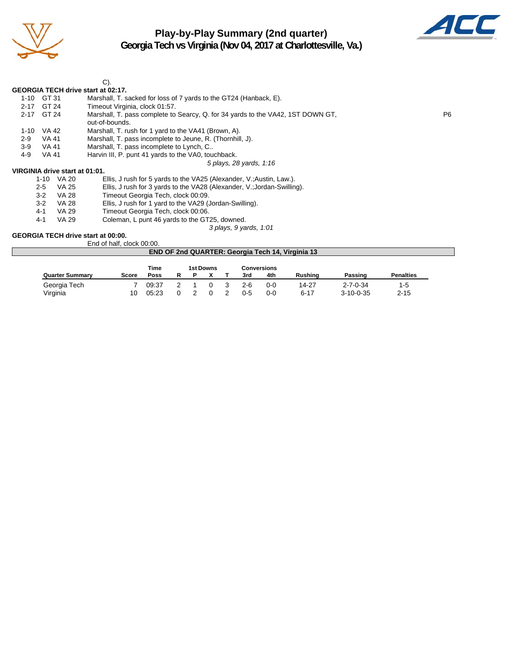

# **Play-by-Play Summary (2nd quarter)**



**Georgia Tech vs Virginia (Nov 04, 2017 at Charlottesville, Va.)**

|          |                                | C).                                                                                               |                |
|----------|--------------------------------|---------------------------------------------------------------------------------------------------|----------------|
|          |                                | <b>GEORGIA TECH drive start at 02:17.</b>                                                         |                |
| 1-10     | GT 31                          | Marshall, T. sacked for loss of 7 yards to the GT24 (Hanback, E).                                 |                |
| $2 - 17$ | GT 24                          | Timeout Virginia, clock 01:57.                                                                    |                |
| $2 - 17$ | GT 24                          | Marshall, T. pass complete to Searcy, Q. for 34 yards to the VA42, 1ST DOWN GT,<br>out-of-bounds. | P <sub>6</sub> |
| $1 - 10$ | VA 42                          | Marshall, T. rush for 1 yard to the VA41 (Brown, A).                                              |                |
| $2-9$    | VA 41                          | Marshall, T. pass incomplete to Jeune, R. (Thornhill, J).                                         |                |
| $3-9$    | VA 41                          | Marshall, T. pass incomplete to Lynch, C                                                          |                |
| 4-9      | VA 41                          | Harvin III, P. punt 41 yards to the VA0, touchback.                                               |                |
|          |                                | 5 plays, 28 yards, 1:16                                                                           |                |
|          | VIRGINIA drive start at 01:01. |                                                                                                   |                |
|          | VA 20<br>1-10                  | Ellis, J rush for 5 yards to the VA25 (Alexander, V.; Austin, Law.).                              |                |
|          | $9.5$ $\sqrt{4}$ $95$          | Filie $\perp$ rush for 3 vards to the VA28 (Alexander V · lordan-Swilling)                        |                |

2-5 VA 25 Ellis, J rush for 3 yards to the VA28 (Alexander, V.;Jordan-Swilling).<br>3-2 VA 28 Timeout Georgia Tech, clock 00:09.

Timeout Georgia Tech, clock 00:09.

3-2 VA 28 Ellis, J rush for 1 yard to the VA29 (Jordan-Swilling).

4-1 VA 29 Timeout Georgia Tech, clock 00:06.<br>4-1 VA 29 Coleman, L punt 46 yards to the GT.

Coleman, L punt 46 yards to the GT25, downed.

*3 plays, 9 yards, 1:01*

#### **GEORGIA TECH drive start at 00:00.**

End of half, clock 00:00.

|                        |       |       |  |           |         |                    | <b>END OF 2nd QUARTER: Georgia Tech 14, Virginia 13</b> |                   |                  |  |
|------------------------|-------|-------|--|-----------|---------|--------------------|---------------------------------------------------------|-------------------|------------------|--|
|                        |       | Time  |  | 1st Downs |         | <b>Conversions</b> |                                                         |                   |                  |  |
| <b>Quarter Summary</b> | Score | Poss  |  |           | 3rd     | 4th                | Rushina                                                 | Passing           | <b>Penalties</b> |  |
| Georgia Tech           |       | 09:37 |  |           | $2-6$   | $0 - 0$            | 14-27                                                   | $2 - 7 - 0 - 34$  | $1-5$            |  |
| Virginia               | 10    | 05:23 |  |           | $0 - 5$ | 0-0                | $6 - 17$                                                | $3 - 10 - 0 - 35$ | $2 - 15$         |  |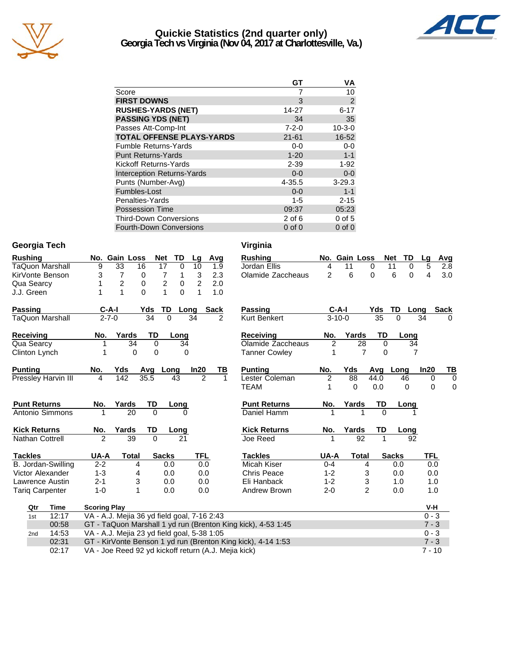

#### **Quickie Statistics (2nd quarter only) Georgia Tech vs Virginia (Nov 04, 2017 at Charlottesville, Va.)**



|                                   | GT          | ٧Α             |
|-----------------------------------|-------------|----------------|
| Score                             |             | 10             |
| <b>FIRST DOWNS</b>                | 3           | $\overline{2}$ |
| <b>RUSHES-YARDS (NET)</b>         | 14-27       | $6 - 17$       |
| <b>PASSING YDS (NET)</b>          | 34          | 35             |
| Passes Att-Comp-Int               | $7 - 2 - 0$ | $10 - 3 - 0$   |
| <b>TOTAL OFFENSE PLAYS-YARDS</b>  | $21 - 61$   | 16-52          |
| <b>Fumble Returns-Yards</b>       | $0 - 0$     | $0-0$          |
| <b>Punt Returns-Yards</b>         | $1 - 20$    | $1 - 1$        |
| Kickoff Returns-Yards             | $2 - 39$    | $1 - 92$       |
| <b>Interception Returns-Yards</b> | $0 - 0$     | $0 - 0$        |
| Punts (Number-Avg)                | $4 - 35.5$  | $3 - 29.3$     |
| Fumbles-Lost                      | $0 - 0$     | $1 - 1$        |
| Penalties-Yards                   | $1 - 5$     | $2 - 15$       |
| <b>Possession Time</b>            | 09:37       | 05:23          |
| <b>Third-Down Conversions</b>     | $2$ of 6    | $0$ of $5$     |
| Fourth-Down Conversions           | $0$ of $0$  | $0$ of $0$     |

#### **Georgia Tech Virginia**

| <b>Rushing</b>         |                     | No. Gain Loss                               |                |              | Net            | TD              | Lg             | Avg            |                | <b>Rushing</b>                                               |                | No. Gain Loss |                |             | <b>Net</b><br>TD | Lg             | <u>Avg</u>  |
|------------------------|---------------------|---------------------------------------------|----------------|--------------|----------------|-----------------|----------------|----------------|----------------|--------------------------------------------------------------|----------------|---------------|----------------|-------------|------------------|----------------|-------------|
| <b>TaQuon Marshall</b> |                     | 9                                           | 33             | 16           | 17             | $\Omega$        | 10             |                | 1.9            | Jordan Ellis                                                 | 4              | 11            |                | $\mathbf 0$ | 11<br>0          | 5              | 2.8         |
| KirVonte Benson        |                     | 3                                           | $\overline{7}$ | 0            | 7              | 1               | 3              |                | 2.3            | Olamide Zaccheaus                                            | $\overline{2}$ | 6             |                | $\Omega$    | 6<br>$\Omega$    | $\overline{4}$ | 3.0         |
| Qua Searcy             |                     | 1                                           | $\overline{c}$ | 0            | $\overline{c}$ | 0               | $\overline{2}$ |                | 2.0            |                                                              |                |               |                |             |                  |                |             |
| J.J. Green             |                     | 1                                           | 1              | 0            | $\mathbf{1}$   | $\Omega$        | 1              |                | 1.0            |                                                              |                |               |                |             |                  |                |             |
| Passing                |                     |                                             | $C-A-I$        |              | TD<br>Yds      |                 | Long           | <b>Sack</b>    |                | <b>Passing</b>                                               |                | $C-A-I$       |                | Yds         | TD               | Long           | <b>Sack</b> |
| <b>TaQuon Marshall</b> |                     | $2 - 7 - 0$                                 |                |              | 34             | $\Omega$        | 34             |                | $\overline{2}$ | Kurt Benkert                                                 |                | $3 - 10 - 0$  |                | 35          | $\Omega$         | 34             | $\Omega$    |
| <b>Receiving</b>       |                     | No.                                         | Yards          |              | TD             | Long            |                |                |                | <b>Receiving</b>                                             | No.            | Yards         |                | TD          | Long             |                |             |
| Qua Searcy             |                     |                                             |                | 34           | 0              | $\overline{34}$ |                |                |                | Olamide Zaccheaus                                            | 2              |               | 28             | $\mathbf 0$ | $\overline{34}$  |                |             |
| Clinton Lynch          |                     |                                             |                | $\Omega$     | $\Omega$       |                 | 0              |                |                | <b>Tanner Cowley</b>                                         |                |               | $\overline{7}$ | 0           | 7                |                |             |
| <b>Punting</b>         |                     | No.                                         | Yds            |              | Avg            | Long            | In20           |                | ΤВ             | <b>Punting</b>                                               | No.            | Yds           |                | Avg         | Long             | In20           | TB          |
|                        | Pressley Harvin III | 4                                           | 142            | 35.5         |                | 43              |                | $\overline{2}$ |                | Lester Coleman                                               | $\overline{c}$ | 88            |                | 44.0        | 46               | $\Omega$       | $\Omega$    |
|                        |                     |                                             |                |              |                |                 |                |                |                | <b>TEAM</b>                                                  |                | 0             |                | 0.0         | 0                | 0              | 0           |
| <b>Punt Returns</b>    |                     | No.                                         | Yards          |              | TD             | Long            |                |                |                | <b>Punt Returns</b>                                          | No.            | Yards         |                | TD          | Long             |                |             |
| Antonio Simmons        |                     | 1                                           |                | 20           | $\Omega$       |                 | O              |                |                | Daniel Hamm                                                  |                |               | 1              | $\Omega$    |                  |                |             |
| <b>Kick Returns</b>    |                     | No.                                         | Yards          |              | TD             | Long            |                |                |                | <b>Kick Returns</b>                                          | No.            | Yards         |                | TD          | Long             |                |             |
| <b>Nathan Cottrell</b> |                     | $\mathfrak{p}$                              |                | 39           | $\Omega$       | 21              |                |                |                | Joe Reed                                                     |                |               | 92             | 1           | 92               |                |             |
| <b>Tackles</b>         |                     | UA-A                                        |                | <b>Total</b> | <b>Sacks</b>   |                 | <b>TFL</b>     |                |                | <b>Tackles</b>                                               | UA-A           |               | <b>Total</b>   |             | <b>Sacks</b>     | <b>TFL</b>     |             |
|                        | B. Jordan-Swilling  | $2 - 2$                                     |                | 4            |                | 0.0             |                | 0.0            |                | Micah Kiser                                                  | $0 - 4$        |               | 4              |             | 0.0              | 0.0            |             |
| Victor Alexander       |                     | $1 - 3$                                     |                | 4            |                | 0.0             |                | 0.0            |                | <b>Chris Peace</b>                                           | $1 - 2$        |               | 3              |             | 0.0              | 0.0            |             |
| Lawrence Austin        |                     | $2 - 1$                                     |                | 3            |                | 0.0             |                | 0.0            |                | Eli Hanback                                                  | $1 - 2$        |               | 3              |             | 1.0              | 1.0            |             |
| <b>Tariq Carpenter</b> |                     | $1 - 0$                                     |                | 1            |                | 0.0             |                | 0.0            |                | Andrew Brown                                                 | $2 - 0$        |               | $\overline{2}$ |             | 0.0              | 1.0            |             |
| Qtr                    | <b>Time</b>         | <b>Scoring Play</b>                         |                |              |                |                 |                |                |                |                                                              |                |               |                |             |                  | V-H            |             |
| 1st                    | 12:17               | VA - A.J. Mejia 36 yd field goal, 7-16 2:43 |                |              |                |                 |                |                |                |                                                              |                |               |                |             |                  | $0 - 3$        |             |
|                        | 00:58               |                                             |                |              |                |                 |                |                |                | GT - TaQuon Marshall 1 yd run (Brenton King kick), 4-53 1:45 |                |               |                |             |                  | $7 - 3$        |             |
| 2 <sub>nd</sub>        | 14:53               | VA - A.J. Mejia 23 yd field goal, 5-38 1:05 |                |              |                |                 |                |                |                |                                                              |                |               |                |             |                  | $0 - 3$        |             |
|                        | 02:31               |                                             |                |              |                |                 |                |                |                | GT - KirVonte Benson 1 yd run (Brenton King kick), 4-14 1:53 |                |               |                |             |                  | $7 - 3$        |             |
|                        |                     |                                             |                |              |                |                 |                |                |                |                                                              |                |               |                |             |                  |                |             |

02:17 VA - Joe Reed 92 yd kickoff return (A.J. Mejia kick) 7 - 10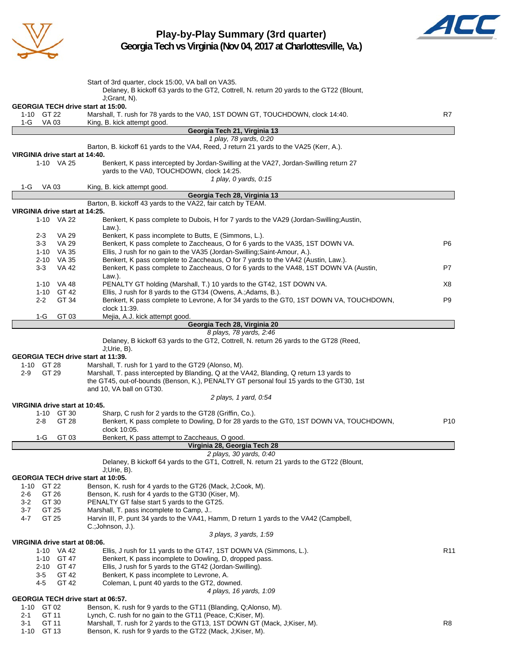

# **Play-by-Play Summary (3rd quarter)**



**Georgia Tech vs Virginia (Nov 04, 2017 at Charlottesville, Va.)**

|                                                         | Start of 3rd quarter, clock 15:00, VA ball on VA35.<br>Delaney, B kickoff 63 yards to the GT2, Cottrell, N. return 20 yards to the GT22 (Blount,<br>$J; Grant, N$ ).                                             |                 |
|---------------------------------------------------------|------------------------------------------------------------------------------------------------------------------------------------------------------------------------------------------------------------------|-----------------|
| <b>GEORGIA TECH drive start at 15:00.</b><br>1-10 GT 22 | Marshall, T. rush for 78 yards to the VA0, 1ST DOWN GT, TOUCHDOWN, clock 14:40.                                                                                                                                  | R7              |
| 1-G<br>VA 03                                            | King, B. kick attempt good.<br>Georgia Tech 21, Virginia 13                                                                                                                                                      |                 |
|                                                         | 1 play, 78 yards, 0:20                                                                                                                                                                                           |                 |
|                                                         | Barton, B. kickoff 61 yards to the VA4, Reed, J return 21 yards to the VA25 (Kerr, A.).                                                                                                                          |                 |
| VIRGINIA drive start at 14:40.                          |                                                                                                                                                                                                                  |                 |
| 1-10 VA 25                                              | Benkert, K pass intercepted by Jordan-Swilling at the VA27, Jordan-Swilling return 27                                                                                                                            |                 |
|                                                         | yards to the VA0, TOUCHDOWN, clock 14:25.<br>1 play, 0 yards, 0:15                                                                                                                                               |                 |
| 1-G<br>VA 03                                            | King, B. kick attempt good.                                                                                                                                                                                      |                 |
|                                                         | Georgia Tech 28, Virginia 13                                                                                                                                                                                     |                 |
|                                                         | Barton, B. kickoff 43 yards to the VA22, fair catch by TEAM.                                                                                                                                                     |                 |
| VIRGINIA drive start at 14:25.<br>1-10 VA 22            | Benkert, K pass complete to Dubois, H for 7 yards to the VA29 (Jordan-Swilling;Austin,                                                                                                                           |                 |
|                                                         | Law.).                                                                                                                                                                                                           |                 |
| VA 29<br>$2 - 3$                                        | Benkert, K pass incomplete to Butts, E (Simmons, L.).                                                                                                                                                            |                 |
| $3 - 3$<br>VA 29                                        | Benkert, K pass complete to Zaccheaus, O for 6 yards to the VA35, 1ST DOWN VA.                                                                                                                                   | P <sub>6</sub>  |
| 1-10 VA 35                                              | Ellis, J rush for no gain to the VA35 (Jordan-Swilling;Saint-Amour, A.).                                                                                                                                         |                 |
| 2-10 VA 35                                              | Benkert, K pass complete to Zaccheaus, O for 7 yards to the VA42 (Austin, Law.).                                                                                                                                 |                 |
| <b>VA 42</b><br>$3-3$                                   | Benkert, K pass complete to Zaccheaus, O for 6 yards to the VA48, 1ST DOWN VA (Austin,                                                                                                                           | P7              |
| 1-10 VA 48                                              | Law.).<br>PENALTY GT holding (Marshall, T.) 10 yards to the GT42, 1ST DOWN VA.                                                                                                                                   | X8              |
| 1-10 GT 42                                              | Ellis, J rush for 8 yards to the GT34 (Owens, A.; Adams, B.).                                                                                                                                                    |                 |
| $2 - 2$<br>GT 34                                        | Benkert, K pass complete to Levrone, A for 34 yards to the GT0, 1ST DOWN VA, TOUCHDOWN,                                                                                                                          | P9              |
|                                                         | clock 11:39.                                                                                                                                                                                                     |                 |
| $1-G$<br>GT 03                                          | Mejia, A.J. kick attempt good.                                                                                                                                                                                   |                 |
|                                                         | Georgia Tech 28, Virginia 20<br>8 plays, 78 yards, 2:46                                                                                                                                                          |                 |
| GT 29<br>$2-9$                                          | Marshall, T. pass intercepted by Blanding, Q at the VA42, Blanding, Q return 13 yards to<br>the GT45, out-of-bounds (Benson, K.), PENALTY GT personal foul 15 yards to the GT30, 1st<br>and 10, VA ball on GT30. |                 |
|                                                         | 2 plays, 1 yard, 0:54                                                                                                                                                                                            |                 |
| VIRGINIA drive start at 10:45.<br>1-10 GT 30            |                                                                                                                                                                                                                  |                 |
| GT 28<br>2-8                                            | Sharp, C rush for 2 yards to the GT28 (Griffin, Co.).<br>Benkert, K pass complete to Dowling, D for 28 yards to the GT0, 1ST DOWN VA, TOUCHDOWN,                                                                 | P <sub>10</sub> |
|                                                         | clock 10:05.                                                                                                                                                                                                     |                 |
| 1-G<br>GT 03                                            | Benkert, K pass attempt to Zaccheaus, O good.                                                                                                                                                                    |                 |
|                                                         | Virginia 28, Georgia Tech 28                                                                                                                                                                                     |                 |
|                                                         | 2 plays, 30 yards, 0:40                                                                                                                                                                                          |                 |
|                                                         | Delaney, B kickoff 64 yards to the GT1, Cottrell, N. return 21 yards to the GT22 (Blount,<br>J;Urie, B).                                                                                                         |                 |
| <b>GEORGIA TECH drive start at 10:05.</b>               |                                                                                                                                                                                                                  |                 |
| 1-10 GT 22                                              | Benson, K. rush for 4 yards to the GT26 (Mack, J;Cook, M).                                                                                                                                                       |                 |
| $2 - 6$<br>GT 26                                        | Benson, K. rush for 4 yards to the GT30 (Kiser, M).                                                                                                                                                              |                 |
| $3-2$<br>GT 30                                          | PENALTY GT false start 5 yards to the GT25.                                                                                                                                                                      |                 |
| GT 25<br>3-7<br>4-7<br>GT 25                            | Marshall, T. pass incomplete to Camp, J<br>Harvin III, P. punt 34 yards to the VA41, Hamm, D return 1 yards to the VA42 (Campbell,                                                                               |                 |
|                                                         | C.; Johnson, J.).                                                                                                                                                                                                |                 |
|                                                         | 3 plays, 3 yards, 1:59                                                                                                                                                                                           |                 |
| VIRGINIA drive start at 08:06.                          |                                                                                                                                                                                                                  |                 |
| 1-10 VA 42                                              | Ellis, J rush for 11 yards to the GT47, 1ST DOWN VA (Simmons, L.).                                                                                                                                               | R11             |
| GT 47<br>1-10<br>2-10 GT 47                             | Benkert, K pass incomplete to Dowling, D, dropped pass.<br>Ellis, J rush for 5 yards to the GT42 (Jordan-Swilling).                                                                                              |                 |
| $3-5$<br>GT 42                                          | Benkert, K pass incomplete to Levrone, A.                                                                                                                                                                        |                 |
| 4-5<br>GT 42                                            | Coleman, L punt 40 yards to the GT2, downed.                                                                                                                                                                     |                 |
|                                                         | 4 plays, 16 yards, 1:09                                                                                                                                                                                          |                 |
| GEORGIA TECH drive start at 06:57.                      |                                                                                                                                                                                                                  |                 |
| 1-10 GT 02                                              | Benson, K. rush for 9 yards to the GT11 (Blanding, Q;Alonso, M).                                                                                                                                                 |                 |
| GT 11<br>$2 - 1$<br>GT 11<br>3-1                        | Lynch, C. rush for no gain to the GT11 (Peace, C; Kiser, M).<br>Marshall, T. rush for 2 yards to the GT13, 1ST DOWN GT (Mack, J;Kiser, M).                                                                       | R8              |
| 1-10 GT 13                                              | Benson, K. rush for 9 yards to the GT22 (Mack, J;Kiser, M).                                                                                                                                                      |                 |
|                                                         |                                                                                                                                                                                                                  |                 |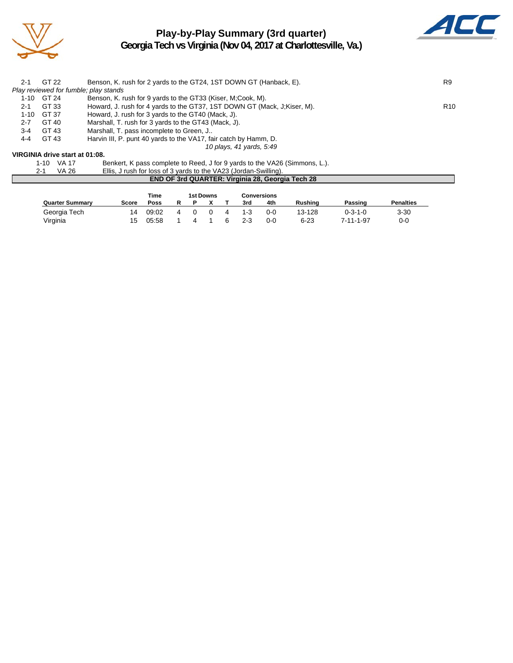

## **Play-by-Play Summary (3rd quarter)**



**Georgia Tech vs Virginia (Nov 04, 2017 at Charlottesville, Va.)**

| $2 - 1$ | GT 22                                 | Benson, K. rush for 2 yards to the GT24, 1ST DOWN GT (Hanback, E).         | R9              |
|---------|---------------------------------------|----------------------------------------------------------------------------|-----------------|
|         | Play reviewed for fumble; play stands |                                                                            |                 |
|         | 1-10 GT 24                            | Benson, K. rush for 9 yards to the GT33 (Kiser, M;Cook, M).                |                 |
| 2-1     | GT 33                                 | Howard, J. rush for 4 yards to the GT37, 1ST DOWN GT (Mack, J;Kiser, M).   | R <sub>10</sub> |
|         | 1-10 GT 37                            | Howard, J. rush for 3 yards to the GT40 (Mack, J).                         |                 |
| 2-7     | GT 40                                 | Marshall, T. rush for 3 yards to the GT43 (Mack, J).                       |                 |
| $3-4$   | GT 43                                 | Marshall, T. pass incomplete to Green, J                                   |                 |
| 4-4     | GT 43                                 | Harvin III, P. punt 40 yards to the VA17, fair catch by Hamm, D.           |                 |
|         |                                       | 10 plays, 41 yards, 5:49                                                   |                 |
|         | VIRGINIA drive start at 01:08.        |                                                                            |                 |
|         | VA 17<br>$1 - 10$                     | Benkert, K pass complete to Reed, J for 9 yards to the VA26 (Simmons, L.). |                 |

| $\sim$   | Bormon, in page complete to ricea, o for a yardo to the VIEO           |
|----------|------------------------------------------------------------------------|
| $V_A$ 26 | $\Box$ Luck for loss of 3 vards to the $\angle$ (A23 (Lordan-Swilling) |

| 2-1 | VA 26 | Ellis, J rush for loss of 3 yards to the VA23 (Jordan-Swilling). |
|-----|-------|------------------------------------------------------------------|
|     |       | <b>END OF 3rd QUARTER: Virginia 28, Georgia Tech 28</b>          |

|                        |       | Time  |  | 1st Downs |   |     | <b>Conversions</b> |                |                 |                  |
|------------------------|-------|-------|--|-----------|---|-----|--------------------|----------------|-----------------|------------------|
| <b>Quarter Summary</b> | Score | Poss  |  |           |   | 3rd | 4th                | <b>Rushing</b> | Passing         | <b>Penalties</b> |
| Georgia Tech           | 14    | 09:02 |  |           | 4 | 1-3 | 0-0                | 13-128         | $0 - 3 - 1 - 0$ | $3 - 30$         |
| Virginia               | 15    | 05:58 |  |           |   | 2-3 | $0 - 0$            | $6 - 23$       | 7-11-1-97       | $0-0$            |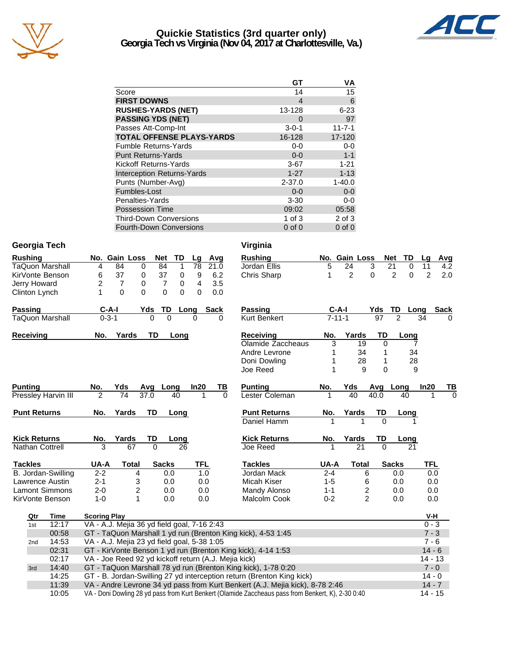

#### **Quickie Statistics (3rd quarter only) Georgia Tech vs Virginia (Nov 04, 2017 at Charlottesville, Va.)**



|                                   | GT          | VA           |
|-----------------------------------|-------------|--------------|
| Score                             | 14          | 15           |
| <b>FIRST DOWNS</b>                | 4           | 6            |
| <b>RUSHES-YARDS (NET)</b>         | 13-128      | $6 - 23$     |
| <b>PASSING YDS (NET)</b>          | $\Omega$    | 97           |
| Passes Att-Comp-Int               | $3 - 0 - 1$ | $11 - 7 - 1$ |
| <b>TOTAL OFFENSE PLAYS-YARDS</b>  | 16-128      | 17-120       |
| <b>Fumble Returns-Yards</b>       | $0-0$       | $0-0$        |
| <b>Punt Returns-Yards</b>         | $0 - 0$     | $1 - 1$      |
| Kickoff Returns-Yards             | $3-67$      | $1 - 21$     |
| <b>Interception Returns-Yards</b> | $1 - 27$    | $1 - 13$     |
| Punts (Number-Avg)                | $2 - 37.0$  | $1 - 40.0$   |
| Fumbles-Lost                      | $0 - 0$     | $0 - 0$      |
| Penalties-Yards                   | $3 - 30$    | $0-0$        |
| <b>Possession Time</b>            | 09:02       | 05:58        |
| <b>Third-Down Conversions</b>     | 1 of $3$    | $2$ of $3$   |
| <b>Fourth-Down Conversions</b>    | $0$ of $0$  | $0$ of $0$   |

### **Georgia Tech Virginia**

| <b>Rushing</b>        |                            | No. Gain Loss                                        |                 |                | <b>Net</b>     | <b>TD</b>   | Lg       |      | Avg      | <b>Rushing</b>                                                                                     |         | No. Gain Loss   |                | <b>TD</b><br>Net           | Lq         | <b>Avg</b>  |
|-----------------------|----------------------------|------------------------------------------------------|-----------------|----------------|----------------|-------------|----------|------|----------|----------------------------------------------------------------------------------------------------|---------|-----------------|----------------|----------------------------|------------|-------------|
| TaQuon Marshall       |                            | 4                                                    | 84              | $\mathbf 0$    | 84             | 1           | 78       |      | 21.0     | Jordan Ellis                                                                                       | 5       | 24              | 3              | 21<br>0                    | 11         | 4.2         |
| KirVonte Benson       |                            | 6                                                    | 37              | 0              | 37             | $\pmb{0}$   | 9        |      | 6.2      | Chris Sharp                                                                                        | 1       | $\overline{c}$  | 0              | $\overline{2}$<br>$\Omega$ | 2          | 2.0         |
| <b>Jerry Howard</b>   |                            | $\overline{c}$                                       | $\overline{7}$  | 0              | $\overline{7}$ | $\mathbf 0$ | 4        |      | 3.5      |                                                                                                    |         |                 |                |                            |            |             |
| Clinton Lynch         |                            | 1                                                    | $\mathbf{0}$    | $\Omega$       | 0              | $\Omega$    | 0        |      | 0.0      |                                                                                                    |         |                 |                |                            |            |             |
| Passing               |                            | $C-A-I$                                              |                 | Yds            | TD             |             | Long     | Sack |          | <b>Passing</b>                                                                                     |         | C-A-I           | Yds            | TD<br>Long                 |            | <b>Sack</b> |
| TaQuon Marshall       |                            | $0 - 3 - 1$                                          |                 |                | $\Omega$       | $\Omega$    | $\Omega$ |      | 0        | Kurt Benkert                                                                                       |         | $7 - 11 - 1$    | 97             | 2                          | 34         | 0           |
| Receiving             |                            | No.                                                  | Yards           |                | TD             | Long        |          |      |          | Receiving                                                                                          | No.     | Yards           | TD             | Long                       |            |             |
|                       |                            |                                                      |                 |                |                |             |          |      |          | Olamide Zaccheaus                                                                                  | 3       | 19              | $\Omega$       | 7                          |            |             |
|                       |                            |                                                      |                 |                |                |             |          |      |          | Andre Levrone                                                                                      | 1       | 34              | 1              | 34                         |            |             |
|                       |                            |                                                      |                 |                |                |             |          |      |          | Doni Dowling                                                                                       | 1       | 28              | 1              | 28                         |            |             |
|                       |                            |                                                      |                 |                |                |             |          |      |          | Joe Reed                                                                                           | 1       | 9               | 0              | 9                          |            |             |
| <b>Punting</b>        |                            | No.                                                  | Yds             |                | Avg Long       |             | In20     |      | TВ       | <b>Punting</b>                                                                                     | No.     | Yds             | Avg            | Long                       | In20       | ТВ          |
|                       | <b>Pressley Harvin III</b> | $\overline{2}$                                       | $\overline{74}$ | 37.0           |                | 40          |          |      | $\Omega$ | Lester Coleman                                                                                     |         | $\overline{40}$ | 40.0           | 40                         |            | $\Omega$    |
| <b>Punt Returns</b>   |                            | No.                                                  | Yards           |                | TD             | Long        |          |      |          | <b>Punt Returns</b>                                                                                | No.     | Yards           | TD             | Long                       |            |             |
|                       |                            |                                                      |                 |                |                |             |          |      |          | Daniel Hamm                                                                                        |         |                 | $\Omega$       |                            |            |             |
| <b>Kick Returns</b>   |                            | No.                                                  | Yards           |                | TD             | Long        |          |      |          | <b>Kick Returns</b>                                                                                | No.     | Yards           | TD             | Long                       |            |             |
| Nathan Cottrell       |                            | $\overline{3}$                                       |                 | 67             | $\Omega$       | 26          |          |      |          | Joe Reed                                                                                           |         | 21              | $\Omega$       | 21                         |            |             |
| <b>Tackles</b>        |                            | UA-A                                                 |                 | <b>Total</b>   | <b>Sacks</b>   |             |          | TFL  |          | <b>Tackles</b>                                                                                     | UA-A    | <b>Total</b>    |                | <b>Sacks</b>               | <b>TFL</b> |             |
|                       | B. Jordan-Swilling         | $2 - 2$                                              |                 | 4              |                | 0.0         |          | 1.0  |          | Jordan Mack                                                                                        | $2 - 4$ |                 | 6              | 0.0                        | 0.0        |             |
| Lawrence Austin       |                            | $2 - 1$                                              |                 | 3              |                | 0.0         |          | 0.0  |          | Micah Kiser                                                                                        | $1 - 5$ |                 | 6              | 0.0                        | 0.0        |             |
| <b>Lamont Simmons</b> |                            | $2 - 0$                                              |                 | $\overline{2}$ |                | 0.0         |          | 0.0  |          | Mandy Alonso                                                                                       | $1 - 1$ |                 | 2              | 0.0                        | 0.0        |             |
| KirVonte Benson       |                            | $1 - 0$                                              |                 | 1              |                | 0.0         |          | 0.0  |          | <b>Malcolm Cook</b>                                                                                | $0 - 2$ |                 | $\overline{2}$ | 0.0                        | 0.0        |             |
| Qtr                   | Time                       | <b>Scoring Play</b>                                  |                 |                |                |             |          |      |          |                                                                                                    |         |                 |                |                            | V-H        |             |
| 1st                   | 12:17                      | VA - A.J. Mejia 36 yd field goal, 7-16 2:43          |                 |                |                |             |          |      |          |                                                                                                    |         |                 |                |                            | $0 - 3$    |             |
|                       | 00:58                      |                                                      |                 |                |                |             |          |      |          | GT - TaQuon Marshall 1 yd run (Brenton King kick), 4-53 1:45                                       |         |                 |                |                            | $7 - 3$    |             |
| 2nd                   | 14:53                      | VA - A.J. Mejia 23 yd field goal, 5-38 1:05          |                 |                |                |             |          |      |          |                                                                                                    |         |                 |                |                            | $7 - 6$    |             |
|                       | 02:31                      |                                                      |                 |                |                |             |          |      |          | GT - KirVonte Benson 1 yd run (Brenton King kick), 4-14 1:53                                       |         |                 |                |                            | $14 - 6$   |             |
|                       | 02:17                      | VA - Joe Reed 92 yd kickoff return (A.J. Mejia kick) |                 |                |                |             |          |      |          |                                                                                                    |         |                 |                |                            | 14 - 13    |             |
| 3rd                   | 14:40                      |                                                      |                 |                |                |             |          |      |          | GT - TaQuon Marshall 78 yd run (Brenton King kick), 1-78 0:20                                      |         |                 |                |                            | $7 - 0$    |             |
|                       | 14:25                      |                                                      |                 |                |                |             |          |      |          | GT - B. Jordan-Swilling 27 yd interception return (Brenton King kick)                              |         |                 |                |                            | $14 - 0$   |             |
|                       | 11:39                      |                                                      |                 |                |                |             |          |      |          | VA - Andre Levrone 34 yd pass from Kurt Benkert (A.J. Mejia kick), 8-78 2:46                       |         |                 |                |                            | $14 - 7$   |             |
|                       | 10:05                      |                                                      |                 |                |                |             |          |      |          | VA - Doni Dowling 28 yd pass from Kurt Benkert (Olamide Zaccheaus pass from Benkert, K), 2-30 0:40 |         |                 |                |                            | $14 - 15$  |             |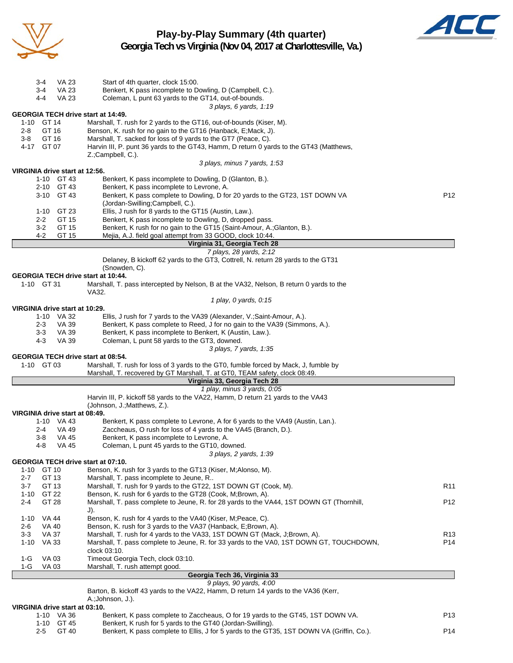

**Play-by-Play Summary (4th quarter) Georgia Tech vs Virginia (Nov 04, 2017 at Charlottesville, Va.)**



| $3 - 4$<br><b>VA 23</b>                                                        | Start of 4th quarter, clock 15:00.                                                                                                           |                 |  |  |  |  |  |
|--------------------------------------------------------------------------------|----------------------------------------------------------------------------------------------------------------------------------------------|-----------------|--|--|--|--|--|
| <b>VA 23</b><br>3-4                                                            | Benkert, K pass incomplete to Dowling, D (Campbell, C.).                                                                                     |                 |  |  |  |  |  |
| $4-4$<br><b>VA 23</b>                                                          | Coleman, L punt 63 yards to the GT14, out-of-bounds.                                                                                         |                 |  |  |  |  |  |
| <b>GEORGIA TECH drive start at 14:49.</b>                                      | 3 plays, 6 yards, 1:19                                                                                                                       |                 |  |  |  |  |  |
| GT 14<br>1-10                                                                  | Marshall, T. rush for 2 yards to the GT16, out-of-bounds (Kiser, M).                                                                         |                 |  |  |  |  |  |
| GT 16<br>$2 - 8$                                                               | Benson, K. rush for no gain to the GT16 (Hanback, E; Mack, J).                                                                               |                 |  |  |  |  |  |
| GT 16<br>Marshall, T. sacked for loss of 9 yards to the GT7 (Peace, C).<br>3-8 |                                                                                                                                              |                 |  |  |  |  |  |
| 4-17<br>GT 07                                                                  | Harvin III, P. punt 36 yards to the GT43, Hamm, D return 0 yards to the GT43 (Matthews,                                                      |                 |  |  |  |  |  |
|                                                                                | Z.;Campbell, C.).<br>3 plays, minus 7 yards, 1:53                                                                                            |                 |  |  |  |  |  |
| VIRGINIA drive start at 12:56.                                                 |                                                                                                                                              |                 |  |  |  |  |  |
| 1-10 GT 43                                                                     | Benkert, K pass incomplete to Dowling, D (Glanton, B.).                                                                                      |                 |  |  |  |  |  |
| 2-10 GT 43                                                                     | Benkert, K pass incomplete to Levrone, A.                                                                                                    |                 |  |  |  |  |  |
| 3-10 GT 43                                                                     | Benkert, K pass complete to Dowling, D for 20 yards to the GT23, 1ST DOWN VA<br>(Jordan-Swilling;Campbell, C.).                              | P <sub>12</sub> |  |  |  |  |  |
| $1 - 10$<br>GT 23                                                              | Ellis, J rush for 8 yards to the GT15 (Austin, Law.).                                                                                        |                 |  |  |  |  |  |
| $2 - 2$<br>GT 15                                                               | Benkert, K pass incomplete to Dowling, D, dropped pass.                                                                                      |                 |  |  |  |  |  |
| $3 - 2$<br>GT 15                                                               | Benkert, K rush for no gain to the GT15 (Saint-Amour, A.; Glanton, B.).                                                                      |                 |  |  |  |  |  |
| 4-2<br>GT 15                                                                   | Mejia, A.J. field goal attempt from 33 GOOD, clock 10:44.                                                                                    |                 |  |  |  |  |  |
|                                                                                | Virginia 31, Georgia Tech 28                                                                                                                 |                 |  |  |  |  |  |
|                                                                                | 7 plays, 28 yards, 2:12<br>Delaney, B kickoff 62 yards to the GT3, Cottrell, N. return 28 yards to the GT31                                  |                 |  |  |  |  |  |
|                                                                                | (Snowden, C).                                                                                                                                |                 |  |  |  |  |  |
| <b>GEORGIA TECH drive start at 10:44.</b>                                      |                                                                                                                                              |                 |  |  |  |  |  |
| 1-10 GT 31                                                                     | Marshall, T. pass intercepted by Nelson, B at the VA32, Nelson, B return 0 yards to the                                                      |                 |  |  |  |  |  |
|                                                                                | VA32.                                                                                                                                        |                 |  |  |  |  |  |
| VIRGINIA drive start at 10:29.                                                 | 1 play, 0 yards, 0:15                                                                                                                        |                 |  |  |  |  |  |
| 1-10 VA 32                                                                     | Ellis, J rush for 7 yards to the VA39 (Alexander, V.; Saint-Amour, A.).                                                                      |                 |  |  |  |  |  |
| $2 - 3$<br>VA 39                                                               | Benkert, K pass complete to Reed, J for no gain to the VA39 (Simmons, A.).                                                                   |                 |  |  |  |  |  |
| <b>VA 39</b><br>3-3                                                            | Benkert, K pass incomplete to Benkert, K (Austin, Law.).                                                                                     |                 |  |  |  |  |  |
| 4-3<br>VA 39                                                                   | Coleman, L punt 58 yards to the GT3, downed.                                                                                                 |                 |  |  |  |  |  |
|                                                                                | 3 plays, 7 yards, 1:35                                                                                                                       |                 |  |  |  |  |  |
| <b>GEORGIA TECH drive start at 08:54.</b><br>1-10 GT 03                        | Marshall, T. rush for loss of 3 yards to the GT0, fumble forced by Mack, J, fumble by                                                        |                 |  |  |  |  |  |
|                                                                                | Marshall, T. recovered by GT Marshall, T. at GT0, TEAM safety, clock 08:49.                                                                  |                 |  |  |  |  |  |
|                                                                                | Virginia 33, Georgia Tech 28                                                                                                                 |                 |  |  |  |  |  |
|                                                                                | 1 play, minus 3 yards, 0:05                                                                                                                  |                 |  |  |  |  |  |
|                                                                                | Harvin III, P. kickoff 58 yards to the VA22, Hamm, D return 21 yards to the VA43                                                             |                 |  |  |  |  |  |
| VIRGINIA drive start at 08:49.                                                 | (Johnson, J.; Matthews, Z.).                                                                                                                 |                 |  |  |  |  |  |
| 1-10 VA 43                                                                     | Benkert, K pass complete to Levrone, A for 6 yards to the VA49 (Austin, Lan.).                                                               |                 |  |  |  |  |  |
| VA 49<br>2-4                                                                   | Zaccheaus, O rush for loss of 4 yards to the VA45 (Branch, D.).                                                                              |                 |  |  |  |  |  |
| <b>VA 45</b><br>3-8                                                            | Benkert, K pass incomplete to Levrone, A.                                                                                                    |                 |  |  |  |  |  |
| $4 - 8$<br><b>VA 45</b>                                                        | Coleman, L punt 45 yards to the GT10, downed.                                                                                                |                 |  |  |  |  |  |
|                                                                                | 3 plays, 2 yards, 1:39                                                                                                                       |                 |  |  |  |  |  |
| <b>GEORGIA TECH drive start at 07:10.</b><br>1-10 GT 10                        | Benson, K. rush for 3 yards to the GT13 (Kiser, M;Alonso, M).                                                                                |                 |  |  |  |  |  |
| $2 - 7$<br>GT 13                                                               | Marshall, T. pass incomplete to Jeune, R                                                                                                     |                 |  |  |  |  |  |
| $3 - 7$<br>GT 13                                                               | Marshall, T. rush for 9 yards to the GT22, 1ST DOWN GT (Cook, M).                                                                            | R <sub>11</sub> |  |  |  |  |  |
| $1 - 10$<br>GT 22                                                              | Benson, K. rush for 6 yards to the GT28 (Cook, M;Brown, A).                                                                                  |                 |  |  |  |  |  |
| $2 - 4$<br>GT 28                                                               | Marshall, T. pass complete to Jeune, R. for 28 yards to the VA44, 1ST DOWN GT (Thornhill,                                                    | P <sub>12</sub> |  |  |  |  |  |
|                                                                                | J).                                                                                                                                          |                 |  |  |  |  |  |
| $1 - 10$<br>VA 44                                                              | Benson, K. rush for 4 yards to the VA40 (Kiser, M; Peace, C).                                                                                |                 |  |  |  |  |  |
| VA 40<br>2-6<br><b>VA 37</b><br>$3-3$                                          | Benson, K. rush for 3 yards to the VA37 (Hanback, E;Brown, A).<br>Marshall, T. rush for 4 yards to the VA33, 1ST DOWN GT (Mack, J;Brown, A). | R13             |  |  |  |  |  |
| $1 - 10$<br>VA 33                                                              | Marshall, T. pass complete to Jeune, R. for 33 yards to the VA0, 1ST DOWN GT, TOUCHDOWN,                                                     | P <sub>14</sub> |  |  |  |  |  |
|                                                                                | clock 03:10.                                                                                                                                 |                 |  |  |  |  |  |
| $1-G$<br>VA 03                                                                 | Timeout Georgia Tech, clock 03:10.                                                                                                           |                 |  |  |  |  |  |
| VA 03<br>1-G                                                                   | Marshall, T. rush attempt good.                                                                                                              |                 |  |  |  |  |  |
|                                                                                | Georgia Tech 36, Virginia 33<br>9 plays, 90 yards, 4:00                                                                                      |                 |  |  |  |  |  |
|                                                                                | Barton, B. kickoff 43 yards to the VA22, Hamm, D return 14 yards to the VA36 (Kerr,                                                          |                 |  |  |  |  |  |
|                                                                                | A.; Johnson, J.).                                                                                                                            |                 |  |  |  |  |  |
| VIRGINIA drive start at 03:10.                                                 |                                                                                                                                              |                 |  |  |  |  |  |

|     | INIA UHVE SIJIL JI UJ. IU. |                                                                                           |     |
|-----|----------------------------|-------------------------------------------------------------------------------------------|-----|
|     | 1-10 VA 36                 | Benkert, K pass complete to Zaccheaus, O for 19 yards to the GT45, 1ST DOWN VA.           | P13 |
|     | 1-10 GT 45                 | Benkert, K rush for 5 yards to the GT40 (Jordan-Swilling).                                |     |
| 2-5 | GT 40                      | Benkert, K pass complete to Ellis, J for 5 yards to the GT35, 1ST DOWN VA (Griffin, Co.). | P14 |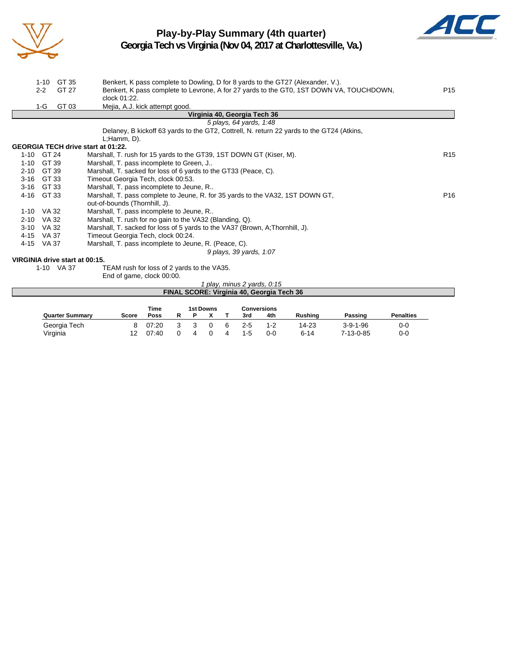

## **Play-by-Play Summary (4th quarter)**



**Georgia Tech vs Virginia (Nov 04, 2017 at Charlottesville, Va.)**

|            | $1 - 10$<br>$2 - 2$ | GT 35<br>GT 27                 | Benkert, K pass complete to Dowling, D for 8 yards to the GT27 (Alexander, V.).<br>Benkert, K pass complete to Levrone, A for 27 yards to the GT0, 1ST DOWN VA, TOUCHDOWN,<br>clock 01:22. | P <sub>15</sub> |
|------------|---------------------|--------------------------------|--------------------------------------------------------------------------------------------------------------------------------------------------------------------------------------------|-----------------|
|            | 1-G                 | GT 03                          | Mejia, A.J. kick attempt good.                                                                                                                                                             |                 |
|            |                     |                                | Virginia 40, Georgia Tech 36                                                                                                                                                               |                 |
|            |                     |                                | 5 plays, 64 yards, 1:48                                                                                                                                                                    |                 |
|            |                     |                                | Delaney, B kickoff 63 yards to the GT2, Cottrell, N. return 22 yards to the GT24 (Atkins,                                                                                                  |                 |
|            |                     |                                | $L$ ; Hamm, $D$ ).                                                                                                                                                                         |                 |
|            |                     |                                | <b>GEORGIA TECH drive start at 01:22.</b>                                                                                                                                                  |                 |
| 1-10 GT 24 |                     |                                | Marshall, T. rush for 15 yards to the GT39, 1ST DOWN GT (Kiser, M).                                                                                                                        | R <sub>15</sub> |
| $1 - 10$   | GT 39               |                                | Marshall, T. pass incomplete to Green, J                                                                                                                                                   |                 |
| $2 - 10$   | GT 39               |                                | Marshall, T. sacked for loss of 6 yards to the GT33 (Peace, C).                                                                                                                            |                 |
| $3 - 16$   | GT 33               |                                | Timeout Georgia Tech, clock 00:53.                                                                                                                                                         |                 |
| $3 - 16$   | GT 33               |                                | Marshall, T. pass incomplete to Jeune, R                                                                                                                                                   |                 |
| 4-16       | GT 33               |                                | Marshall, T. pass complete to Jeune, R. for 35 yards to the VA32, 1ST DOWN GT,                                                                                                             | P <sub>16</sub> |
|            |                     |                                | out-of-bounds (Thornhill, J).                                                                                                                                                              |                 |
| 1-10 VA 32 |                     |                                | Marshall, T. pass incomplete to Jeune, R                                                                                                                                                   |                 |
| $2 - 10$   | VA 32               |                                | Marshall, T. rush for no gain to the VA32 (Blanding, Q).                                                                                                                                   |                 |
| $3 - 10$   | VA 32               |                                | Marshall, T. sacked for loss of 5 yards to the VA37 (Brown, A;Thornhill, J).                                                                                                               |                 |
| 4-15       | VA 37               |                                | Timeout Georgia Tech, clock 00:24.                                                                                                                                                         |                 |
| 4-15       | VA 37               |                                | Marshall, T. pass incomplete to Jeune, R. (Peace, C).                                                                                                                                      |                 |
|            |                     |                                | 9 plays, 39 yards, 1:07                                                                                                                                                                    |                 |
|            |                     | VIRGINIA drive start at 00:15. |                                                                                                                                                                                            |                 |
|            |                     | 1-10 VA 37                     | TEAM rush for loss of 2 yards to the VA35.                                                                                                                                                 |                 |
|            |                     |                                | End of game, clock 00:00.                                                                                                                                                                  |                 |
|            |                     |                                | $1$ play minus 2 varde $0.15$                                                                                                                                                              |                 |

|                        |              |       |   |           |   |         | -piay, minus 2 yards, 0:15                       |          |                  |                  |
|------------------------|--------------|-------|---|-----------|---|---------|--------------------------------------------------|----------|------------------|------------------|
|                        |              |       |   |           |   |         | <b>FINAL SCORE: Virginia 40, Georgia Tech 36</b> |          |                  |                  |
|                        |              |       |   |           |   |         |                                                  |          |                  |                  |
|                        |              | Time  |   | 1st Downs |   |         | Conversions                                      |          |                  |                  |
| <b>Quarter Summary</b> | <b>Score</b> | Poss  | Р |           |   | 3rd     | 4th                                              | Rushina  | Passing          | <b>Penalties</b> |
| Georgia Tech           |              | 07:20 |   |           | 6 | 2-5     | $1 - 2$                                          | 14-23    | $3 - 9 - 1 - 96$ | $0 - 0$          |
| Virginia               | 12           | 07:40 |   |           |   | $1 - 5$ | 0-0                                              | $6 - 14$ | 7-13-0-85        | $0-0$            |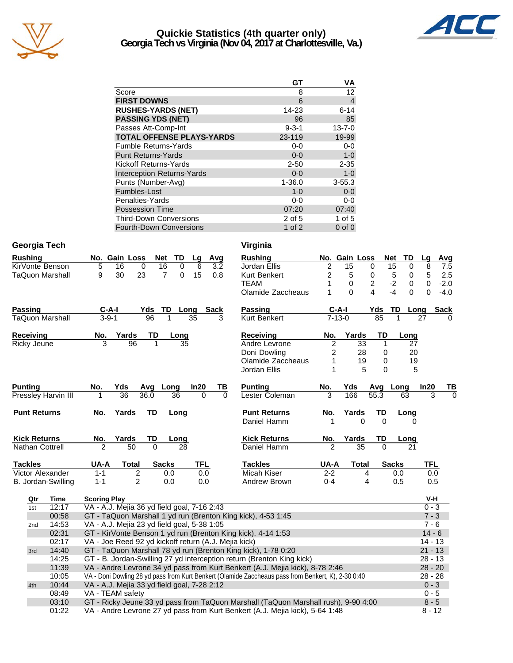

#### **Quickie Statistics (4th quarter only) Georgia Tech vs Virginia (Nov 04, 2017 at Charlottesville, Va.)**



|                                   | GТ          | ٧A             |
|-----------------------------------|-------------|----------------|
| Score                             | 8           | 12             |
| <b>FIRST DOWNS</b>                | 6           | $\overline{4}$ |
| <b>RUSHES-YARDS (NET)</b>         | 14-23       | $6 - 14$       |
| <b>PASSING YDS (NET)</b>          | 96          | 85             |
| Passes Att-Comp-Int               | $9 - 3 - 1$ | $13 - 7 - 0$   |
| <b>TOTAL OFFENSE PLAYS-YARDS</b>  | 23-119      | 19-99          |
| <b>Fumble Returns-Yards</b>       | $0-0$       | $0-0$          |
| <b>Punt Returns-Yards</b>         | $0 - 0$     | $1 - 0$        |
| Kickoff Returns-Yards             | $2 - 50$    | $2 - 35$       |
| <b>Interception Returns-Yards</b> | $0 - 0$     | $1 - 0$        |
| Punts (Number-Avg)                | $1 - 36.0$  | $3 - 55.3$     |
| Fumbles-Lost                      | $1 - 0$     | $0 - 0$        |
| Penalties-Yards                   | $0 - 0$     | 0-0            |
| <b>Possession Time</b>            | 07:20       | 07:40          |
| <b>Third-Down Conversions</b>     | 2 of 5      | 1 of 5         |
| <b>Fourth-Down Conversions</b>    | 1 of 2      | $0$ of $0$     |

| Georgia Tech           |                    |                                                                                                                                                                                                                                                                                                                                                                                  | Virginia                                                |                         |               |                 |                     |                    |
|------------------------|--------------------|----------------------------------------------------------------------------------------------------------------------------------------------------------------------------------------------------------------------------------------------------------------------------------------------------------------------------------------------------------------------------------|---------------------------------------------------------|-------------------------|---------------|-----------------|---------------------|--------------------|
| <b>Rushing</b>         |                    | No. Gain Loss<br>TD<br>Net<br>Avg<br>Lg                                                                                                                                                                                                                                                                                                                                          | <b>Rushing</b>                                          |                         | No. Gain Loss |                 | <b>Net</b><br>TD    | Lg<br>Avg          |
| KirVonte Benson        |                    | 5<br>16<br>16<br>$\mathbf 0$<br>0<br>6<br>3.2                                                                                                                                                                                                                                                                                                                                    | Jordan Ellis                                            | $\overline{c}$          | 15            | 0               | 15<br>0             | 8<br>7.5           |
| <b>TaQuon Marshall</b> |                    | 23<br>$\overline{7}$<br>9<br>30<br>15<br>0.8<br>0                                                                                                                                                                                                                                                                                                                                | <b>Kurt Benkert</b>                                     | $\overline{\mathbf{c}}$ | 5             | $\mathbf 0$     | 5<br>$\mathbf 0$    | 5<br>2.5           |
|                        |                    |                                                                                                                                                                                                                                                                                                                                                                                  | <b>TEAM</b>                                             | 1                       | 0             | $\overline{2}$  | $-2$<br>$\mathbf 0$ | 0<br>$-2.0$        |
|                        |                    |                                                                                                                                                                                                                                                                                                                                                                                  | Olamide Zaccheaus                                       | 1                       | $\Omega$      | 4               | $-4$<br>$\Omega$    | $\Omega$<br>$-4.0$ |
| <b>Passing</b>         |                    | $C-A-I$<br>Yds<br>TD Long<br>Sack                                                                                                                                                                                                                                                                                                                                                | Passing                                                 | $C-A-I$                 |               | Yds             | TD<br>Long          | <b>Sack</b>        |
| <b>TaQuon Marshall</b> |                    | $3 - 9 - 1$<br>96<br>$\mathbf{1}$<br>35<br>3                                                                                                                                                                                                                                                                                                                                     | <b>Kurt Benkert</b>                                     | $7 - 13 - 0$            |               | $\overline{85}$ | 1                   | 27                 |
| Receiving              |                    | No.<br>Yards<br>TD<br>Long                                                                                                                                                                                                                                                                                                                                                       | Receiving                                               | No.                     | Yards         | TD              | Long                |                    |
| <b>Ricky Jeune</b>     |                    | 3<br>$\overline{96}$<br>$\overline{35}$                                                                                                                                                                                                                                                                                                                                          | Andre Levrone                                           | $\overline{2}$          | 33            | 1               | 27                  |                    |
|                        |                    |                                                                                                                                                                                                                                                                                                                                                                                  | Doni Dowling                                            | 2                       | 28            | 0               | 20                  |                    |
|                        |                    |                                                                                                                                                                                                                                                                                                                                                                                  | Olamide Zaccheaus                                       | 1                       | 19            | 0               | 19                  |                    |
|                        |                    |                                                                                                                                                                                                                                                                                                                                                                                  | Jordan Ellis                                            | 1                       | 5             | $\Omega$        | 5                   |                    |
| <b>Punting</b>         |                    | Yds<br>In20<br>ΤВ<br>No.<br>Avg<br>Long                                                                                                                                                                                                                                                                                                                                          | <b>Punting</b>                                          | No.                     | Yds           |                 | Avg Long            | In20<br>ΤВ         |
| Pressley Harvin III    |                    | 36<br>36.0<br>$\Omega$<br>$\mathbf 1$<br>36<br>$\Omega$                                                                                                                                                                                                                                                                                                                          | Lester Coleman                                          | 3                       | 166           | 55.3            | 63                  | 3<br>$\Omega$      |
| <b>Punt Returns</b>    |                    | <b>TD</b><br>No.<br>Yards<br>Long                                                                                                                                                                                                                                                                                                                                                | <b>Punt Returns</b>                                     | No.                     | Yards         | TD              | Long                |                    |
|                        |                    |                                                                                                                                                                                                                                                                                                                                                                                  | Daniel Hamm                                             |                         | $\Omega$      | $\Omega$        |                     |                    |
|                        |                    |                                                                                                                                                                                                                                                                                                                                                                                  |                                                         |                         |               |                 |                     |                    |
| <b>Kick Returns</b>    |                    | Yards<br>No.<br>TD<br>Long<br>$\mathfrak{p}$                                                                                                                                                                                                                                                                                                                                     | <b>Kick Returns</b>                                     | No.                     | Yards         | TD              | Long                |                    |
| <b>Nathan Cottrell</b> |                    | 50<br>$\Omega$<br>28                                                                                                                                                                                                                                                                                                                                                             | Daniel Hamm                                             | 2                       | 35            | $\Omega$        | 21                  |                    |
| <b>Tackles</b>         |                    | <b>Sacks</b><br><b>TFL</b><br>UA-A<br><b>Total</b>                                                                                                                                                                                                                                                                                                                               | <b>Tackles</b>                                          | UA-A                    | <b>Total</b>  |                 | <b>Sacks</b>        | <b>TFL</b>         |
| Victor Alexander       |                    | $1 - 1$<br>2<br>0.0<br>0.0                                                                                                                                                                                                                                                                                                                                                       | Micah Kiser                                             | $2 - 2$                 |               | 4               | 0.0                 | 0.0                |
|                        | B. Jordan-Swilling | $1 - 1$<br>2<br>0.0<br>0.0                                                                                                                                                                                                                                                                                                                                                       | Andrew Brown                                            | $0 - 4$                 |               | 4               | 0.5                 | 0.5                |
| Qtr                    | <b>Time</b>        | <b>Scoring Play</b>                                                                                                                                                                                                                                                                                                                                                              |                                                         |                         |               |                 |                     | V-H                |
| 1st                    | 12:17              | VA - A.J. Mejia 36 yd field goal, 7-16 2:43                                                                                                                                                                                                                                                                                                                                      |                                                         |                         |               |                 |                     | $0 - 3$            |
|                        | 00:58              | GT - TaQuon Marshall 1 yd run (Brenton King kick), 4-53 1:45                                                                                                                                                                                                                                                                                                                     |                                                         |                         |               |                 |                     | $7 - 3$            |
| 2nd                    | 14:53              | VA - A.J. Mejia 23 yd field goal, 5-38 1:05                                                                                                                                                                                                                                                                                                                                      |                                                         |                         |               |                 |                     | $7 - 6$            |
|                        | 02:31              | GT - KirVonte Benson 1 yd run (Brenton King kick), 4-14 1:53                                                                                                                                                                                                                                                                                                                     |                                                         |                         |               |                 |                     | $14 - 6$           |
|                        | 02:17              | VA - Joe Reed 92 yd kickoff return (A.J. Mejia kick)                                                                                                                                                                                                                                                                                                                             |                                                         |                         |               |                 |                     | $14 - 13$          |
| 3rd                    | 14:40              | GT - TaQuon Marshall 78 yd run (Brenton King kick), 1-78 0:20                                                                                                                                                                                                                                                                                                                    |                                                         |                         |               |                 |                     | $21 - 13$          |
|                        | 14:25              | GT - B. Jordan-Swilling 27 yd interception return (Brenton King kick)                                                                                                                                                                                                                                                                                                            |                                                         |                         |               |                 |                     | $28 - 13$          |
|                        | 11:39              | VA - Andre Levrone 34 yd pass from Kurt Benkert (A.J. Mejia kick), 8-78 2:46                                                                                                                                                                                                                                                                                                     |                                                         |                         |               |                 |                     | $28 - 20$          |
|                        | 10:05              | VA - Doni Dowling 28 yd pass from Kurt Benkert (Olamide Zaccheaus pass from Benkert, K), 2-30 0:40                                                                                                                                                                                                                                                                               |                                                         |                         |               |                 |                     | $28 - 28$          |
| 4th                    | 10:44              | VA - A.J. Mejia 33 yd field goal, 7-28 2:12                                                                                                                                                                                                                                                                                                                                      |                                                         |                         |               |                 |                     | $0 - 3$            |
|                        | 08:49              | VA - TEAM safety                                                                                                                                                                                                                                                                                                                                                                 |                                                         |                         |               |                 |                     | $0 - 5$            |
|                        | 00.40              | $\Omega$ $\overline{E}$ $\overline{E}$ $\overline{E}$ $\overline{E}$ $\overline{E}$ $\overline{E}$ $\overline{E}$ $\overline{E}$ $\overline{E}$ $\overline{E}$ $\overline{E}$ $\overline{E}$ $\overline{E}$ $\overline{E}$ $\overline{E}$ $\overline{E}$ $\overline{E}$ $\overline{E}$ $\overline{E}$ $\overline{E}$ $\overline{E}$ $\overline{E}$ $\overline{E}$ $\overline{E}$ | $T - \bigcap_{x \in T} M$ and $T - \bigcap_{x \in T} M$ |                         |               |                 |                     | $\sim$ $\sim$      |

03:10 GT - Ricky Jeune 33 yd pass from TaQuon Marshall (TaQuon Marshall rush), 9-90 4:00 8 - 5<br>01:22 VA - Andre Levrone 27 yd pass from Kurt Benkert (A.J. Mejia kick), 5-64 1:48 8 - 12 VA - Andre Levrone 27 yd pass from Kurt Benkert (A.J. Mejia kick), 5-64 1:48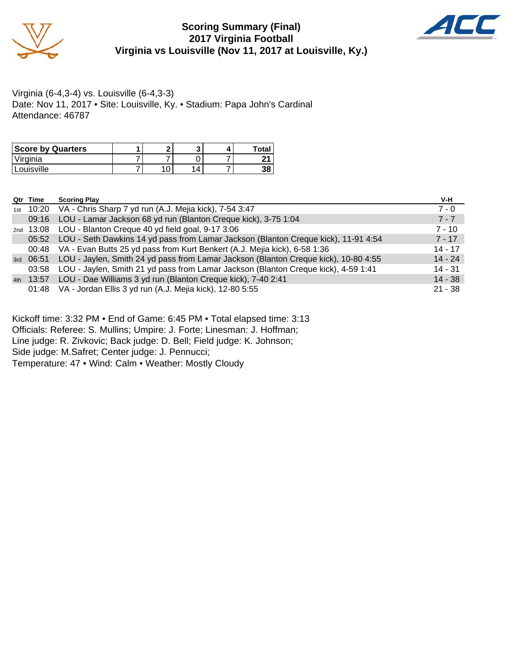

#### **Scoring Summary (Final) 2017 Virginia Football Virginia vs Louisville (Nov 11, 2017 at Louisville, Ky.)**



Virginia (6-4,3-4) vs. Louisville (6-4,3-3) Date: Nov 11, 2017 • Site: Louisville, Ky. • Stadium: Papa John's Cardinal Attendance: 46787

| <b>Score by Quarters</b> | ∙ |  | Total |
|--------------------------|---|--|-------|
| 'Virginia                |   |  | ີ     |
| 'Louisville              | ັ |  | 38    |

| Qtr Time  | <b>Scoring Play</b>                                                                           | V-H       |
|-----------|-----------------------------------------------------------------------------------------------|-----------|
|           | 1st 10:20 VA - Chris Sharp 7 yd run (A.J. Mejia kick), 7-54 3:47                              | $7 - 0$   |
| 09:16     | LOU - Lamar Jackson 68 yd run (Blanton Creque kick), 3-75 1:04                                | $7 - 7$   |
|           | 2nd 13:08 LOU - Blanton Creque 40 yd field goal, 9-17 3:06                                    | $7 - 10$  |
| 05:52     | LOU - Seth Dawkins 14 yd pass from Lamar Jackson (Blanton Creque kick), 11-91 4:54            | $7 - 17$  |
| 00:48     | VA - Evan Butts 25 yd pass from Kurt Benkert (A.J. Mejia kick), 6-58 1:36                     | $14 - 17$ |
|           | 3rd 06:51 LOU - Jaylen, Smith 24 yd pass from Lamar Jackson (Blanton Creque kick), 10-80 4:55 | $14 - 24$ |
| 03:58     | LOU - Jaylen, Smith 21 yd pass from Lamar Jackson (Blanton Creque kick), 4-59 1:41            | $14 - 31$ |
| 4th 13:57 | LOU - Dae Williams 3 yd run (Blanton Creque kick), 7-40 2:41                                  | $14 - 38$ |
|           | 01:48 VA - Jordan Ellis 3 yd run (A.J. Mejia kick), 12-80 5:55                                | $21 - 38$ |

Kickoff time: 3:32 PM • End of Game: 6:45 PM • Total elapsed time: 3:13

Officials: Referee: S. Mullins; Umpire: J. Forte; Linesman: J. Hoffman;

Line judge: R. Zivkovic; Back judge: D. Bell; Field judge: K. Johnson;

Side judge: M.Safret; Center judge: J. Pennucci;

Temperature: 47 • Wind: Calm • Weather: Mostly Cloudy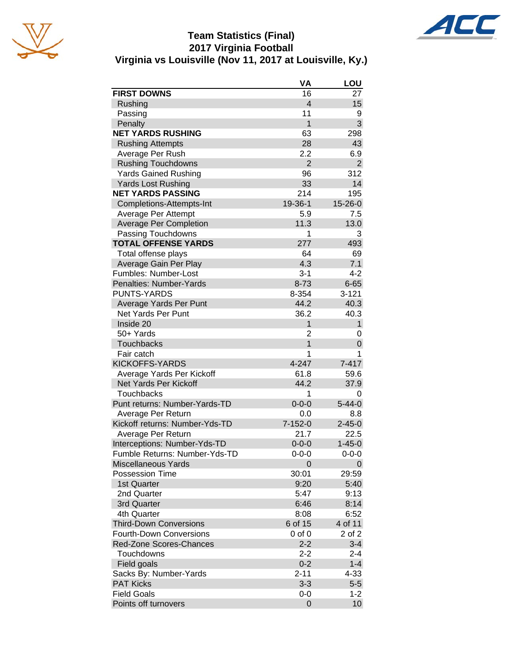

#### **Team Statistics (Final) 2017 Virginia Football Virginia vs Louisville (Nov 11, 2017 at Louisville, Ky.)**



|                                | VA             | LOU           |
|--------------------------------|----------------|---------------|
| <b>FIRST DOWNS</b>             | 16             | 27            |
| Rushing                        | $\overline{4}$ | 15            |
| Passing                        | 11             | 9             |
| Penalty                        | 1              | 3             |
| <b>NET YARDS RUSHING</b>       | 63             | 298           |
| <b>Rushing Attempts</b>        | 28             | 43            |
| Average Per Rush               | 2.2            | 6.9           |
| <b>Rushing Touchdowns</b>      | $\overline{2}$ | 2             |
| <b>Yards Gained Rushing</b>    | 96             | 312           |
| <b>Yards Lost Rushing</b>      | 33             | 14            |
| <b>NET YARDS PASSING</b>       | 214            | 195           |
| Completions-Attempts-Int       | 19-36-1        | $15 - 26 - 0$ |
| Average Per Attempt            | 5.9            | 7.5           |
| <b>Average Per Completion</b>  | 11.3           | 13.0          |
| Passing Touchdowns             | 1              | 3             |
| <b>TOTAL OFFENSE YARDS</b>     | 277            | 493           |
| Total offense plays            | 64             | 69            |
| Average Gain Per Play          | 4.3            | 7.1           |
| Fumbles: Number-Lost           | $3 - 1$        | 4-2           |
| Penalties: Number-Yards        | $8 - 73$       | $6 - 65$      |
| <b>PUNTS-YARDS</b>             | 8-354          | $3 - 121$     |
| Average Yards Per Punt         | 44.2           | 40.3          |
| <b>Net Yards Per Punt</b>      | 36.2           | 40.3          |
| Inside 20                      | 1              | 1             |
| 50+ Yards                      | 2              | 0             |
| <b>Touchbacks</b>              | $\mathbf{1}$   | 0             |
| Fair catch                     | 1              | 1             |
| <b>KICKOFFS-YARDS</b>          | 4-247          | $7 - 417$     |
| Average Yards Per Kickoff      | 61.8           | 59.6          |
| Net Yards Per Kickoff          | 44.2           | 37.9          |
| <b>Touchbacks</b>              | 1              | 0             |
| Punt returns: Number-Yards-TD  | $0 - 0 - 0$    | $5 - 44 - 0$  |
| Average Per Return             | 0.0            | 8.8           |
| Kickoff returns: Number-Yds-TD | $7 - 152 - 0$  | $2 - 45 - 0$  |
| Average Per Return             | 21.7           | 22.5          |
| Interceptions: Number-Yds-TD   | $0 - 0 - 0$    | $1 - 45 - 0$  |
| Fumble Returns: Number-Yds-TD  | $0 - 0 - 0$    | $0 - 0 - 0$   |
| <b>Miscellaneous Yards</b>     | 0              | 0             |
| Possession Time                | 30:01          | 29:59         |
| 1st Quarter                    | 9:20           | 5:40          |
| 2nd Quarter                    | 5:47           | 9:13          |
| 3rd Quarter                    | 6:46           | 8:14          |
| 4th Quarter                    | 8:08           | 6:52          |
| <b>Third-Down Conversions</b>  | 6 of 15        | 4 of 11       |
| <b>Fourth-Down Conversions</b> | $0$ of $0$     | 2 of 2        |
| Red-Zone Scores-Chances        | $2 - 2$        | $3 - 4$       |
| Touchdowns                     | $2 - 2$        | 2-4           |
| Field goals                    | $0 - 2$        | $1 - 4$       |
| Sacks By: Number-Yards         | $2 - 11$       | $4 - 33$      |
| <b>PAT Kicks</b>               | $3 - 3$        | $5-5$         |
| <b>Field Goals</b>             | 0-0            | $1 - 2$       |
| Points off turnovers           | 0              | 10            |
|                                |                |               |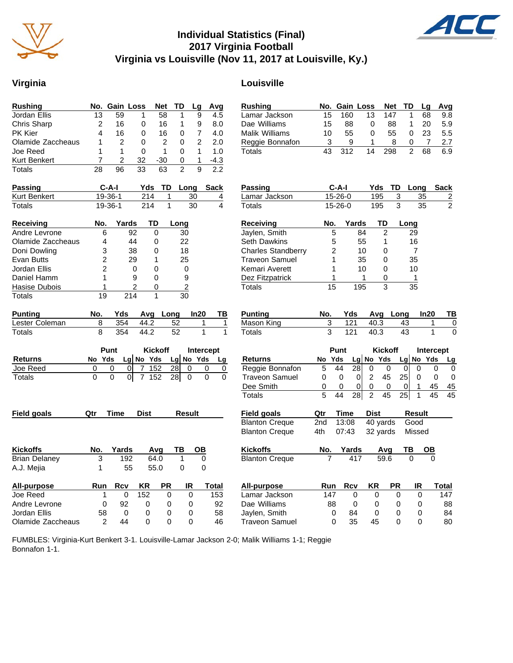

#### **Individual Statistics (Final) 2017 Virginia Football Virginia vs Louisville (Nov 11, 2017 at Louisville, Ky.)**

#### **Virginia Louisville**

| <b>Rushing</b>       | No.             | <b>Gain Loss</b>  |                | Net            | TD              | Lg             | Avg                  | <b>Rushing</b>            | No.             |                  | Gain Loss            | Net               | TD             | L,              |
|----------------------|-----------------|-------------------|----------------|----------------|-----------------|----------------|----------------------|---------------------------|-----------------|------------------|----------------------|-------------------|----------------|-----------------|
| Jordan Ellis         | $\overline{13}$ | 59                | 1              | 58             | 1               | 9              | 4.5                  | Lamar Jackson             | 15              | 160              | 13                   | 147               | 1              | 6               |
| <b>Chris Sharp</b>   | $\overline{2}$  | 16                | 0              | 16             | 1               | 9              | 8.0                  | Dae Williams              | 15              | 88               | $\mathbf 0$          | 88                | 1              | $\overline{2}$  |
| <b>PK Kier</b>       | 4               | 16                | $\Omega$       | 16             | 0               | 7              | 4.0                  | <b>Malik Williams</b>     | 10              | 55               | 0                    | 55                | 0              | $\overline{2}$  |
| Olamide Zaccheaus    | 1               | $\overline{2}$    | $\Omega$       | $\overline{2}$ | $\mathbf{0}$    | $\overline{2}$ | 2.0                  | Reggie Bonnafon           | 3               | 9                | 1                    | 8                 | 0              |                 |
| Joe Reed             | 1               | 1                 | 0              | $\mathbf{1}$   | 0               | 1              | 1.0                  | <b>Totals</b>             | 43              | $\overline{312}$ | 14                   | 298               | $\overline{2}$ | $\overline{6}$  |
| <b>Kurt Benkert</b>  | 7               | 2                 | 32             | $-30$          | 0               | $\mathbf{1}$   | $-4.3$               |                           |                 |                  |                      |                   |                |                 |
| <b>Totals</b>        | 28              | 96                | 33             | 63             | $\overline{2}$  | 9              | 2.2                  |                           |                 |                  |                      |                   |                |                 |
| <b>Passing</b>       |                 | $C-A-I$           | Yds            | TD             | Long            |                | Sack                 | <b>Passing</b>            |                 | $C-A-I$          |                      | Yds               | TD             | Long            |
| Kurt Benkert         |                 | $19 - 36 - 1$     | 214            | 1              |                 | 30             | 4                    | Lamar Jackson             |                 | $15 - 26 - 0$    |                      | 195               | 3              | 35              |
| Totals               |                 | $19 - 36 - 1$     | 214            | 1              |                 | 30             | 4                    | Totals                    |                 | $15 - 26 - 0$    |                      | 195               | $\overline{3}$ | 35              |
| <b>Receiving</b>     | No.             | Yards             |                | TD             | Long            |                |                      | <b>Receiving</b>          | No.             |                  | Yards                | TD                | Long           |                 |
| Andre Levrone        | 6               | 92                |                | $\overline{0}$ | 30              |                |                      | Jaylen, Smith             |                 | 5                | 84                   | $\overline{2}$    |                | 29              |
| Olamide Zaccheaus    | 4               | 44                |                | 0              | 22              |                |                      | <b>Seth Dawkins</b>       |                 | 5                | 55                   | 1                 |                | 16              |
| Doni Dowling         | 3               | 38                |                | 0              | 18              |                |                      | <b>Charles Standberry</b> |                 | $\overline{2}$   | 10                   | 0                 |                | $\overline{7}$  |
| Evan Butts           | 2               | 29                |                | 1              | 25              |                |                      | <b>Traveon Samuel</b>     |                 | 1                | 35                   | 0                 |                | 35              |
| Jordan Ellis         | $\overline{2}$  |                   | 0              | $\Omega$       | 0               |                |                      | Kemari Averett            |                 | 1                | 10                   | 0                 |                | 10              |
| Daniel Hamm          | 1               |                   | 9              | 0              | 9               |                |                      | Dez Fitzpatrick           | 1               |                  | 1                    | 0                 |                | $\mathbf{1}$    |
| Hasise Dubois        | 1               |                   | 2              | 0              | $\overline{2}$  |                |                      | Totals                    | $\overline{15}$ |                  | 195                  | 3                 |                | $\overline{35}$ |
| <b>Totals</b>        | 19              | 214               |                | $\mathbf{1}$   | 30              |                |                      |                           |                 |                  |                      |                   |                |                 |
| <b>Punting</b>       | No.             | Yds               | Avg            | Long           |                 | In20           | ΤВ                   | <b>Punting</b>            | No.             | Yds              |                      | Avg               | Long           | In:             |
| Lester Coleman       | 8               | 354               | 44.2           |                | 52              | 1              | 1                    | Mason King                | 3               | 121              |                      | 40.3              | 43             |                 |
| Totals               | 8               | 354               | 44.2           |                | $\overline{52}$ | 1              | $\mathbf{1}$         | Totals                    | $\overline{3}$  | $\overline{121}$ |                      | $\overline{40.3}$ | 43             |                 |
|                      |                 | <b>Punt</b>       |                | <b>Kickoff</b> |                 |                | Intercept            |                           |                 | Punt             |                      | <b>Kickoff</b>    |                | <b>Int</b>      |
| <b>Returns</b>       | No Yds          |                   | Lg No Yds      |                | Lg No Yds       |                | Lg                   | <b>Returns</b>            | No Yds          |                  | Lg                   | No Yds            | Lg No          |                 |
| Joe Reed             | 0               | 0<br>$\Omega$     | 7              | 152            | 28              | 0              | 0<br>0               | Reggie Bonnafon           | 5               | 44               | $\overline{28}$<br>0 | $\mathbf 0$       | $\mathbf 0$    | 0               |
| Totals               | 0               | $\mathbf 0$<br> 0 | $\overline{7}$ | 152            | $\overline{28}$ | $\mathbf 0$    | $\Omega$<br>$\Omega$ | <b>Traveon Samuel</b>     | 0               | 0                | $\overline{2}$<br>0  | 45                | 25             | 0               |
|                      |                 |                   |                |                |                 |                |                      | Dee Smith                 | 0               | 0                | $\mathbf 0$<br>0     | 0                 | $\mathbf{0}$   | 1               |
|                      |                 |                   |                |                |                 |                |                      | <b>Totals</b>             | 5               | 44               | $\overline{2}$<br>28 | 45                | 25             | $\mathbf 1$     |
| Field goals          | Qtr             | Time              | <b>Dist</b>    |                | <b>Result</b>   |                |                      | Field goals               | Qtr             | Time             | <b>Dist</b>          |                   |                | Result          |
|                      |                 |                   |                |                |                 |                |                      | <b>Blanton Creque</b>     | 2nd             | 13:08            |                      | 40 yards          |                | Good            |
|                      |                 |                   |                |                |                 |                |                      | <b>Blanton Creque</b>     | 4th             | 07:43            |                      | 32 yards          |                | Missec          |
| <b>Kickoffs</b>      | No.             | Yards             |                | Avq            | ΤВ              | OB             |                      | <b>Kickoffs</b>           | No.             | Yards            |                      | Avg               | ΤВ             | C               |
| <b>Brian Delaney</b> | 3               | 192               |                | 64.0           | 1               | 0              |                      | <b>Blanton Creque</b>     | 7               |                  | 417                  | 59.6              | $\Omega$       |                 |
| A.J. Mejia           | 1               | 55                |                | 55.0           | 0               | 0              |                      |                           |                 |                  |                      |                   |                |                 |
| All-purpose          | Run             | <b>Rcv</b>        | ΚR             | PR             |                 | IR             | Total                | <b>All-purpose</b>        | Run             | <b>Rcv</b>       | KR                   |                   | <b>PR</b>      | IR              |
| Joe Reed             | 1               | $\mathbf{0}$      | 152            | $\Omega$       |                 | $\Omega$       | 153                  | Lamar Jackson             | 147             |                  | 0                    | 0                 | $\Omega$       | $\Omega$        |
| Andre Levrone        | 0               | 92                | 0              | 0              |                 | 0              | 92                   | Dae Williams              | 88              |                  | 0                    | 0                 | 0              | 0               |
| Jordan Ellis         | 58              | 0                 | 0              | 0              |                 | 0              | 58                   | Jaylen, Smith             |                 | 0<br>84          |                      | 0                 | $\Omega$       | 0               |
| Olamide Zaccheaus    | $\overline{2}$  | 44                | 0              | $\mathbf{0}$   |                 | $\Omega$       | 46                   | <b>Traveon Samuel</b>     |                 | $\Omega$<br>35   |                      | 45                | $\Omega$       | $\mathbf{0}$    |

| 160<br>13<br>147<br>Lamar Jackson<br>15<br>1<br>68<br>9.8<br>Dae Williams<br>15<br>88<br>0<br>88<br>1<br>20<br>5.9<br>Malik Williams<br>55<br>5.5<br>10<br>0<br>55<br>23<br>0<br>3<br>Reggie Bonnafon<br>9<br>1<br>8<br>0<br>7<br>2.7<br>$\overline{312}$<br>43<br>14<br>298<br>$\overline{2}$<br>Totals<br>68<br>6.9<br>$C-A-I$<br>Yds<br>Passing<br>TD<br>Long<br><b>Sack</b><br>15-26-0<br>195<br>Lamar Jackson<br>3<br>35<br>$\frac{2}{2}$<br>15-26-0<br>195<br>Totals<br>3<br>35<br><b>Receiving</b><br>No.<br>Yards<br>TD<br><u>Long</u><br>Jaylen, Smith<br>5<br>84<br>2<br>29<br>Seth Dawkins<br>5<br>55<br>1<br>16<br>$\overline{2}$<br><b>Charles Standberry</b><br>10<br>0<br>7<br><b>Traveon Samuel</b><br>1<br>35<br>0<br>35<br>Kemari Averett<br>1<br>10<br>10<br>0<br>1<br>1<br>1<br>Dez Fitzpatrick<br>0<br><b>Totals</b><br>15<br>195<br>3<br>35<br>Punting<br>Yds<br>Avg<br>Long<br>ln20<br>ΤВ<br>No.<br>Mason King<br>121<br>40.3<br>3<br>43<br>0<br>1<br>43<br>1<br>3<br>121<br>40.3<br>Totals<br>0<br><b>Kickoff</b><br>Punt<br><b>Intercept</b><br>Lg No<br>Yds<br>Lg No Yds<br>Yds<br>Returns<br>No<br><u>Lg</u><br>28<br>Reggie Bonnafon<br>44<br>0<br>5<br>$\overline{0}$<br>0<br>0<br>0<br>0<br><b>Traveon Samuel</b><br>2<br>45<br>0<br>0<br>$\overline{0}$<br>25<br>0<br>0<br>0<br>Dee Smith<br>0<br>0<br>1<br>45<br>0<br>0<br>0<br>0<br>45<br>$\overline{28}$<br>$\overline{2}$<br>$\overline{25}$<br>5<br>45<br>1<br><b>Totals</b><br>44<br>45<br>45<br>Field goals<br>Qtr<br><b>Time</b><br>Dist<br>Result<br>13:08<br>40 yards<br><b>Blanton Creque</b><br>2nd<br>Good<br><b>Blanton Creque</b><br>32 yards<br>Missed<br>4th<br>07:43<br>Kickoffs<br><u>Yards</u><br>Avg<br>TВ<br><b>Blanton Creque</b><br>417<br>59.6<br>0<br>ΚR<br>PR<br>Run<br>Rcv<br>IR<br><u>All-purpose</u><br>Total<br>Lamar Jackson<br>147<br>147<br>0<br>0<br>0<br>0<br>Dae Williams<br>88<br>0<br>0<br>0<br>0<br>88<br>Jaylen, Smith<br>0<br>84<br>0<br>0<br>0<br>84<br>0<br>35<br>45<br>0 | <b>Rushing</b>        | No. | <b>Gain Loss</b> |  | Net | TD |   | Lg | Avg |
|------------------------------------------------------------------------------------------------------------------------------------------------------------------------------------------------------------------------------------------------------------------------------------------------------------------------------------------------------------------------------------------------------------------------------------------------------------------------------------------------------------------------------------------------------------------------------------------------------------------------------------------------------------------------------------------------------------------------------------------------------------------------------------------------------------------------------------------------------------------------------------------------------------------------------------------------------------------------------------------------------------------------------------------------------------------------------------------------------------------------------------------------------------------------------------------------------------------------------------------------------------------------------------------------------------------------------------------------------------------------------------------------------------------------------------------------------------------------------------------------------------------------------------------------------------------------------------------------------------------------------------------------------------------------------------------------------------------------------------------------------------------------------------------------------------------------------------------------------------------------------------------------------------------------------------------------------------------------------------------------------|-----------------------|-----|------------------|--|-----|----|---|----|-----|
|                                                                                                                                                                                                                                                                                                                                                                                                                                                                                                                                                                                                                                                                                                                                                                                                                                                                                                                                                                                                                                                                                                                                                                                                                                                                                                                                                                                                                                                                                                                                                                                                                                                                                                                                                                                                                                                                                                                                                                                                      |                       |     |                  |  |     |    |   |    |     |
|                                                                                                                                                                                                                                                                                                                                                                                                                                                                                                                                                                                                                                                                                                                                                                                                                                                                                                                                                                                                                                                                                                                                                                                                                                                                                                                                                                                                                                                                                                                                                                                                                                                                                                                                                                                                                                                                                                                                                                                                      |                       |     |                  |  |     |    |   |    |     |
|                                                                                                                                                                                                                                                                                                                                                                                                                                                                                                                                                                                                                                                                                                                                                                                                                                                                                                                                                                                                                                                                                                                                                                                                                                                                                                                                                                                                                                                                                                                                                                                                                                                                                                                                                                                                                                                                                                                                                                                                      |                       |     |                  |  |     |    |   |    |     |
|                                                                                                                                                                                                                                                                                                                                                                                                                                                                                                                                                                                                                                                                                                                                                                                                                                                                                                                                                                                                                                                                                                                                                                                                                                                                                                                                                                                                                                                                                                                                                                                                                                                                                                                                                                                                                                                                                                                                                                                                      |                       |     |                  |  |     |    |   |    |     |
|                                                                                                                                                                                                                                                                                                                                                                                                                                                                                                                                                                                                                                                                                                                                                                                                                                                                                                                                                                                                                                                                                                                                                                                                                                                                                                                                                                                                                                                                                                                                                                                                                                                                                                                                                                                                                                                                                                                                                                                                      |                       |     |                  |  |     |    |   |    |     |
|                                                                                                                                                                                                                                                                                                                                                                                                                                                                                                                                                                                                                                                                                                                                                                                                                                                                                                                                                                                                                                                                                                                                                                                                                                                                                                                                                                                                                                                                                                                                                                                                                                                                                                                                                                                                                                                                                                                                                                                                      |                       |     |                  |  |     |    |   |    |     |
|                                                                                                                                                                                                                                                                                                                                                                                                                                                                                                                                                                                                                                                                                                                                                                                                                                                                                                                                                                                                                                                                                                                                                                                                                                                                                                                                                                                                                                                                                                                                                                                                                                                                                                                                                                                                                                                                                                                                                                                                      |                       |     |                  |  |     |    |   |    |     |
|                                                                                                                                                                                                                                                                                                                                                                                                                                                                                                                                                                                                                                                                                                                                                                                                                                                                                                                                                                                                                                                                                                                                                                                                                                                                                                                                                                                                                                                                                                                                                                                                                                                                                                                                                                                                                                                                                                                                                                                                      |                       |     |                  |  |     |    |   |    |     |
|                                                                                                                                                                                                                                                                                                                                                                                                                                                                                                                                                                                                                                                                                                                                                                                                                                                                                                                                                                                                                                                                                                                                                                                                                                                                                                                                                                                                                                                                                                                                                                                                                                                                                                                                                                                                                                                                                                                                                                                                      |                       |     |                  |  |     |    |   |    |     |
|                                                                                                                                                                                                                                                                                                                                                                                                                                                                                                                                                                                                                                                                                                                                                                                                                                                                                                                                                                                                                                                                                                                                                                                                                                                                                                                                                                                                                                                                                                                                                                                                                                                                                                                                                                                                                                                                                                                                                                                                      |                       |     |                  |  |     |    |   |    |     |
|                                                                                                                                                                                                                                                                                                                                                                                                                                                                                                                                                                                                                                                                                                                                                                                                                                                                                                                                                                                                                                                                                                                                                                                                                                                                                                                                                                                                                                                                                                                                                                                                                                                                                                                                                                                                                                                                                                                                                                                                      |                       |     |                  |  |     |    |   |    |     |
|                                                                                                                                                                                                                                                                                                                                                                                                                                                                                                                                                                                                                                                                                                                                                                                                                                                                                                                                                                                                                                                                                                                                                                                                                                                                                                                                                                                                                                                                                                                                                                                                                                                                                                                                                                                                                                                                                                                                                                                                      |                       |     |                  |  |     |    |   |    |     |
|                                                                                                                                                                                                                                                                                                                                                                                                                                                                                                                                                                                                                                                                                                                                                                                                                                                                                                                                                                                                                                                                                                                                                                                                                                                                                                                                                                                                                                                                                                                                                                                                                                                                                                                                                                                                                                                                                                                                                                                                      |                       |     |                  |  |     |    |   |    |     |
|                                                                                                                                                                                                                                                                                                                                                                                                                                                                                                                                                                                                                                                                                                                                                                                                                                                                                                                                                                                                                                                                                                                                                                                                                                                                                                                                                                                                                                                                                                                                                                                                                                                                                                                                                                                                                                                                                                                                                                                                      |                       |     |                  |  |     |    |   |    |     |
|                                                                                                                                                                                                                                                                                                                                                                                                                                                                                                                                                                                                                                                                                                                                                                                                                                                                                                                                                                                                                                                                                                                                                                                                                                                                                                                                                                                                                                                                                                                                                                                                                                                                                                                                                                                                                                                                                                                                                                                                      |                       |     |                  |  |     |    |   |    |     |
|                                                                                                                                                                                                                                                                                                                                                                                                                                                                                                                                                                                                                                                                                                                                                                                                                                                                                                                                                                                                                                                                                                                                                                                                                                                                                                                                                                                                                                                                                                                                                                                                                                                                                                                                                                                                                                                                                                                                                                                                      |                       |     |                  |  |     |    |   |    |     |
|                                                                                                                                                                                                                                                                                                                                                                                                                                                                                                                                                                                                                                                                                                                                                                                                                                                                                                                                                                                                                                                                                                                                                                                                                                                                                                                                                                                                                                                                                                                                                                                                                                                                                                                                                                                                                                                                                                                                                                                                      |                       |     |                  |  |     |    |   |    |     |
|                                                                                                                                                                                                                                                                                                                                                                                                                                                                                                                                                                                                                                                                                                                                                                                                                                                                                                                                                                                                                                                                                                                                                                                                                                                                                                                                                                                                                                                                                                                                                                                                                                                                                                                                                                                                                                                                                                                                                                                                      |                       |     |                  |  |     |    |   |    |     |
|                                                                                                                                                                                                                                                                                                                                                                                                                                                                                                                                                                                                                                                                                                                                                                                                                                                                                                                                                                                                                                                                                                                                                                                                                                                                                                                                                                                                                                                                                                                                                                                                                                                                                                                                                                                                                                                                                                                                                                                                      |                       |     |                  |  |     |    |   |    |     |
|                                                                                                                                                                                                                                                                                                                                                                                                                                                                                                                                                                                                                                                                                                                                                                                                                                                                                                                                                                                                                                                                                                                                                                                                                                                                                                                                                                                                                                                                                                                                                                                                                                                                                                                                                                                                                                                                                                                                                                                                      |                       |     |                  |  |     |    |   |    |     |
|                                                                                                                                                                                                                                                                                                                                                                                                                                                                                                                                                                                                                                                                                                                                                                                                                                                                                                                                                                                                                                                                                                                                                                                                                                                                                                                                                                                                                                                                                                                                                                                                                                                                                                                                                                                                                                                                                                                                                                                                      |                       |     |                  |  |     |    |   |    |     |
|                                                                                                                                                                                                                                                                                                                                                                                                                                                                                                                                                                                                                                                                                                                                                                                                                                                                                                                                                                                                                                                                                                                                                                                                                                                                                                                                                                                                                                                                                                                                                                                                                                                                                                                                                                                                                                                                                                                                                                                                      |                       |     |                  |  |     |    |   |    |     |
|                                                                                                                                                                                                                                                                                                                                                                                                                                                                                                                                                                                                                                                                                                                                                                                                                                                                                                                                                                                                                                                                                                                                                                                                                                                                                                                                                                                                                                                                                                                                                                                                                                                                                                                                                                                                                                                                                                                                                                                                      |                       |     |                  |  |     |    |   |    |     |
|                                                                                                                                                                                                                                                                                                                                                                                                                                                                                                                                                                                                                                                                                                                                                                                                                                                                                                                                                                                                                                                                                                                                                                                                                                                                                                                                                                                                                                                                                                                                                                                                                                                                                                                                                                                                                                                                                                                                                                                                      |                       |     |                  |  |     |    |   |    |     |
|                                                                                                                                                                                                                                                                                                                                                                                                                                                                                                                                                                                                                                                                                                                                                                                                                                                                                                                                                                                                                                                                                                                                                                                                                                                                                                                                                                                                                                                                                                                                                                                                                                                                                                                                                                                                                                                                                                                                                                                                      |                       |     |                  |  |     |    |   |    |     |
|                                                                                                                                                                                                                                                                                                                                                                                                                                                                                                                                                                                                                                                                                                                                                                                                                                                                                                                                                                                                                                                                                                                                                                                                                                                                                                                                                                                                                                                                                                                                                                                                                                                                                                                                                                                                                                                                                                                                                                                                      |                       |     |                  |  |     |    |   |    |     |
|                                                                                                                                                                                                                                                                                                                                                                                                                                                                                                                                                                                                                                                                                                                                                                                                                                                                                                                                                                                                                                                                                                                                                                                                                                                                                                                                                                                                                                                                                                                                                                                                                                                                                                                                                                                                                                                                                                                                                                                                      |                       |     |                  |  |     |    |   |    |     |
|                                                                                                                                                                                                                                                                                                                                                                                                                                                                                                                                                                                                                                                                                                                                                                                                                                                                                                                                                                                                                                                                                                                                                                                                                                                                                                                                                                                                                                                                                                                                                                                                                                                                                                                                                                                                                                                                                                                                                                                                      |                       |     |                  |  |     |    |   |    |     |
|                                                                                                                                                                                                                                                                                                                                                                                                                                                                                                                                                                                                                                                                                                                                                                                                                                                                                                                                                                                                                                                                                                                                                                                                                                                                                                                                                                                                                                                                                                                                                                                                                                                                                                                                                                                                                                                                                                                                                                                                      |                       |     |                  |  |     |    |   |    |     |
|                                                                                                                                                                                                                                                                                                                                                                                                                                                                                                                                                                                                                                                                                                                                                                                                                                                                                                                                                                                                                                                                                                                                                                                                                                                                                                                                                                                                                                                                                                                                                                                                                                                                                                                                                                                                                                                                                                                                                                                                      |                       |     |                  |  |     |    |   |    |     |
|                                                                                                                                                                                                                                                                                                                                                                                                                                                                                                                                                                                                                                                                                                                                                                                                                                                                                                                                                                                                                                                                                                                                                                                                                                                                                                                                                                                                                                                                                                                                                                                                                                                                                                                                                                                                                                                                                                                                                                                                      |                       |     |                  |  |     |    |   |    |     |
|                                                                                                                                                                                                                                                                                                                                                                                                                                                                                                                                                                                                                                                                                                                                                                                                                                                                                                                                                                                                                                                                                                                                                                                                                                                                                                                                                                                                                                                                                                                                                                                                                                                                                                                                                                                                                                                                                                                                                                                                      |                       |     |                  |  |     |    |   |    |     |
|                                                                                                                                                                                                                                                                                                                                                                                                                                                                                                                                                                                                                                                                                                                                                                                                                                                                                                                                                                                                                                                                                                                                                                                                                                                                                                                                                                                                                                                                                                                                                                                                                                                                                                                                                                                                                                                                                                                                                                                                      |                       |     |                  |  |     |    |   |    |     |
|                                                                                                                                                                                                                                                                                                                                                                                                                                                                                                                                                                                                                                                                                                                                                                                                                                                                                                                                                                                                                                                                                                                                                                                                                                                                                                                                                                                                                                                                                                                                                                                                                                                                                                                                                                                                                                                                                                                                                                                                      |                       |     |                  |  |     |    |   |    |     |
|                                                                                                                                                                                                                                                                                                                                                                                                                                                                                                                                                                                                                                                                                                                                                                                                                                                                                                                                                                                                                                                                                                                                                                                                                                                                                                                                                                                                                                                                                                                                                                                                                                                                                                                                                                                                                                                                                                                                                                                                      |                       |     |                  |  |     |    |   |    |     |
|                                                                                                                                                                                                                                                                                                                                                                                                                                                                                                                                                                                                                                                                                                                                                                                                                                                                                                                                                                                                                                                                                                                                                                                                                                                                                                                                                                                                                                                                                                                                                                                                                                                                                                                                                                                                                                                                                                                                                                                                      |                       |     |                  |  |     |    |   |    |     |
|                                                                                                                                                                                                                                                                                                                                                                                                                                                                                                                                                                                                                                                                                                                                                                                                                                                                                                                                                                                                                                                                                                                                                                                                                                                                                                                                                                                                                                                                                                                                                                                                                                                                                                                                                                                                                                                                                                                                                                                                      | <b>Traveon Samuel</b> |     |                  |  |     |    | 0 |    | 80  |

FUMBLES: Virginia-Kurt Benkert 3-1. Louisville-Lamar Jackson 2-0; Malik Williams 1-1; Reggie Bonnafon 1-1.

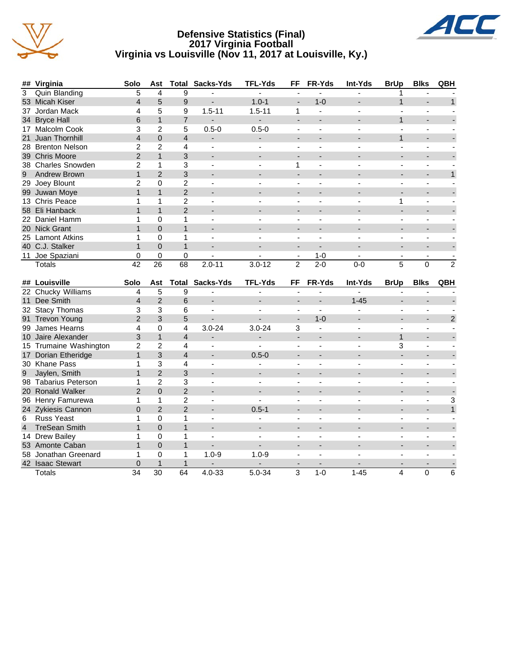

#### **Defensive Statistics (Final) 2017 Virginia Football Virginia vs Louisville (Nov 11, 2017 at Louisville, Ky.)**



| 3<br><b>Quin Blanding</b><br>5<br>4<br>9<br>1<br>ä,<br>$\blacksquare$<br>$\blacksquare$<br>٠<br>÷<br>$\overline{4}$<br>5<br>$1.0 - 1$<br>$1 - 0$<br>53 Micah Kiser<br>9<br>$\mathbf{1}$<br>L.<br>5<br>4<br>9<br>$1.5 - 11$<br>$1.5 - 11$<br>37 Jordan Mack<br>1<br>$\overline{\phantom{a}}$<br>$\overline{a}$<br>÷,<br>6<br>$\mathbf{1}$<br>$\overline{7}$<br>$\mathbf{1}$<br>34 Bryce Hall<br>$\blacksquare$<br>٠<br>3<br>$\overline{2}$<br>5<br>17 Malcolm Cook<br>$0.5 - 0$<br>$0.5 - 0$<br>$\blacksquare$<br>$\overline{\phantom{a}}$<br>÷,<br>$\blacksquare$<br>$\overline{4}$<br>$\mathbf 0$<br>$\overline{4}$<br>$\mathbf{1}$<br>Juan Thornhill<br>21<br>÷<br>L,<br>$\overline{\phantom{a}}$<br>$\overline{c}$<br>$\overline{c}$<br>28 Brenton Nelson<br>4<br>$\blacksquare$<br>÷.<br>$\blacksquare$<br>$\overline{2}$<br>3<br>$\mathbf{1}$<br>39 Chris Moore<br>3<br>$\overline{2}$<br>38 Charles Snowden<br>$\mathbf{1}$<br>1<br>÷,<br>$\blacksquare$<br>$\overline{a}$<br>$\overline{a}$<br>$\overline{a}$<br>$\overline{2}$<br>3<br>$\mathbf{1}$<br>9<br><b>Andrew Brown</b><br>$\blacksquare$<br>$\overline{a}$<br>$\overline{a}$<br>$\overline{\phantom{a}}$<br>$\overline{c}$<br>$\overline{c}$<br>29 Joey Blount<br>$\mathbf 0$<br>$\blacksquare$<br>$\overline{a}$<br>$\blacksquare$<br>$\blacksquare$<br>$\blacksquare$<br>$\sim$<br>$\overline{2}$<br>$\mathbf{1}$<br>$\mathbf{1}$<br>99 Juwan Moye<br>$\overline{2}$<br>$\mathbf{1}$<br>13 Chris Peace<br>1<br>1<br>÷,<br>÷,<br>ä,<br>$\overline{2}$<br>$\mathbf{1}$<br>$\mathbf{1}$<br>58 Eli Hanback<br>1<br>22 Daniel Hamm<br>1<br>0<br>$\overline{a}$<br>$\overline{a}$<br>L.<br>$\mathbf{1}$<br>$\Omega$<br>20 Nick Grant<br>$\mathbf{1}$<br>$\overline{\phantom{a}}$<br>25 Lamont Atkins<br>$\mathbf 0$<br>1<br>1<br>$\blacksquare$<br>$\sim$<br>$\blacksquare$<br>÷,<br>$\blacksquare$<br>$\overline{a}$<br>÷.<br>$\mathbf{1}$<br>40 C.J. Stalker<br>$\mathbf{1}$<br>$\Omega$<br>L.<br>$\overline{a}$<br>$\overline{a}$<br>÷<br>0<br>0<br>11 Joe Spaziani<br>0<br>$1 - 0$<br>$\blacksquare$<br>$\blacksquare$<br>$\blacksquare$<br>$\blacksquare$<br>$\blacksquare$<br>$\overline{42}$<br>$\overline{26}$<br>68<br>$\overline{2}$<br>$2 - 0$<br>5<br>$\mathbf 0$<br>$2.0 - 11$<br>$3.0 - 12$<br>$0-0$<br><b>Totals</b><br>## Louisville<br>Solo<br>Sacks-Yds<br><b>TFL-Yds</b><br>FR-Yds<br>Int-Yds<br><b>BrUp</b><br><b>Blks</b><br>Ast<br>Total<br>FF<br>22 Chucky Williams<br>5<br>9<br>4<br>$\overline{a}$<br>$\overline{a}$<br>L.<br>$\overline{a}$<br>$\overline{2}$<br>Dee Smith<br>$\overline{4}$<br>6<br>$1 - 45$<br>11<br>$\overline{\phantom{a}}$<br>$\overline{a}$<br>$\overline{\phantom{a}}$<br>$\overline{a}$<br>32 Stacy Thomas<br>3<br>3<br>6<br>$\sim$<br>$\blacksquare$<br>$\sim$<br>$\blacksquare$<br>$\blacksquare$<br>٠<br>$\overline{\phantom{a}}$<br>$\overline{2}$<br>3<br>5<br>$1 - 0$<br>91 Trevon Young<br>$\overline{a}$<br>$\overline{a}$<br>÷<br>4<br>4<br>$3.0 - 24$<br>$3.0 - 24$<br>99 James Hearns<br>$\Omega$<br>3<br>$\blacksquare$<br>$\overline{a}$<br>$\blacksquare$<br>$\blacksquare$ | ## Virginia        | Solo | Ast          |                          | <b>Total Sacks-Yds</b> | <b>TFL-Yds</b> | FF | FR-Yds | Int-Yds | <b>BrUp</b>  | <b>Blks</b> | QBH             |
|----------------------------------------------------------------------------------------------------------------------------------------------------------------------------------------------------------------------------------------------------------------------------------------------------------------------------------------------------------------------------------------------------------------------------------------------------------------------------------------------------------------------------------------------------------------------------------------------------------------------------------------------------------------------------------------------------------------------------------------------------------------------------------------------------------------------------------------------------------------------------------------------------------------------------------------------------------------------------------------------------------------------------------------------------------------------------------------------------------------------------------------------------------------------------------------------------------------------------------------------------------------------------------------------------------------------------------------------------------------------------------------------------------------------------------------------------------------------------------------------------------------------------------------------------------------------------------------------------------------------------------------------------------------------------------------------------------------------------------------------------------------------------------------------------------------------------------------------------------------------------------------------------------------------------------------------------------------------------------------------------------------------------------------------------------------------------------------------------------------------------------------------------------------------------------------------------------------------------------------------------------------------------------------------------------------------------------------------------------------------------------------------------------------------------------------------------------------------------------------------------------------------------------------------------------------------------------------------------------------------------------------------------------------------------------------------------------------------------------------------------------------------------------------------------------------------------------------------------------------------------------------------------------------------------------------------------------------------------------------------------------------------------------------------------------------------------------------------------------|--------------------|------|--------------|--------------------------|------------------------|----------------|----|--------|---------|--------------|-------------|-----------------|
|                                                                                                                                                                                                                                                                                                                                                                                                                                                                                                                                                                                                                                                                                                                                                                                                                                                                                                                                                                                                                                                                                                                                                                                                                                                                                                                                                                                                                                                                                                                                                                                                                                                                                                                                                                                                                                                                                                                                                                                                                                                                                                                                                                                                                                                                                                                                                                                                                                                                                                                                                                                                                                                                                                                                                                                                                                                                                                                                                                                                                                                                                                          |                    |      |              |                          |                        |                |    |        |         |              |             |                 |
|                                                                                                                                                                                                                                                                                                                                                                                                                                                                                                                                                                                                                                                                                                                                                                                                                                                                                                                                                                                                                                                                                                                                                                                                                                                                                                                                                                                                                                                                                                                                                                                                                                                                                                                                                                                                                                                                                                                                                                                                                                                                                                                                                                                                                                                                                                                                                                                                                                                                                                                                                                                                                                                                                                                                                                                                                                                                                                                                                                                                                                                                                                          |                    |      |              |                          |                        |                |    |        |         |              |             | 1               |
|                                                                                                                                                                                                                                                                                                                                                                                                                                                                                                                                                                                                                                                                                                                                                                                                                                                                                                                                                                                                                                                                                                                                                                                                                                                                                                                                                                                                                                                                                                                                                                                                                                                                                                                                                                                                                                                                                                                                                                                                                                                                                                                                                                                                                                                                                                                                                                                                                                                                                                                                                                                                                                                                                                                                                                                                                                                                                                                                                                                                                                                                                                          |                    |      |              |                          |                        |                |    |        |         |              |             |                 |
|                                                                                                                                                                                                                                                                                                                                                                                                                                                                                                                                                                                                                                                                                                                                                                                                                                                                                                                                                                                                                                                                                                                                                                                                                                                                                                                                                                                                                                                                                                                                                                                                                                                                                                                                                                                                                                                                                                                                                                                                                                                                                                                                                                                                                                                                                                                                                                                                                                                                                                                                                                                                                                                                                                                                                                                                                                                                                                                                                                                                                                                                                                          |                    |      |              |                          |                        |                |    |        |         |              |             |                 |
|                                                                                                                                                                                                                                                                                                                                                                                                                                                                                                                                                                                                                                                                                                                                                                                                                                                                                                                                                                                                                                                                                                                                                                                                                                                                                                                                                                                                                                                                                                                                                                                                                                                                                                                                                                                                                                                                                                                                                                                                                                                                                                                                                                                                                                                                                                                                                                                                                                                                                                                                                                                                                                                                                                                                                                                                                                                                                                                                                                                                                                                                                                          |                    |      |              |                          |                        |                |    |        |         |              |             |                 |
|                                                                                                                                                                                                                                                                                                                                                                                                                                                                                                                                                                                                                                                                                                                                                                                                                                                                                                                                                                                                                                                                                                                                                                                                                                                                                                                                                                                                                                                                                                                                                                                                                                                                                                                                                                                                                                                                                                                                                                                                                                                                                                                                                                                                                                                                                                                                                                                                                                                                                                                                                                                                                                                                                                                                                                                                                                                                                                                                                                                                                                                                                                          |                    |      |              |                          |                        |                |    |        |         |              |             |                 |
|                                                                                                                                                                                                                                                                                                                                                                                                                                                                                                                                                                                                                                                                                                                                                                                                                                                                                                                                                                                                                                                                                                                                                                                                                                                                                                                                                                                                                                                                                                                                                                                                                                                                                                                                                                                                                                                                                                                                                                                                                                                                                                                                                                                                                                                                                                                                                                                                                                                                                                                                                                                                                                                                                                                                                                                                                                                                                                                                                                                                                                                                                                          |                    |      |              |                          |                        |                |    |        |         |              |             |                 |
|                                                                                                                                                                                                                                                                                                                                                                                                                                                                                                                                                                                                                                                                                                                                                                                                                                                                                                                                                                                                                                                                                                                                                                                                                                                                                                                                                                                                                                                                                                                                                                                                                                                                                                                                                                                                                                                                                                                                                                                                                                                                                                                                                                                                                                                                                                                                                                                                                                                                                                                                                                                                                                                                                                                                                                                                                                                                                                                                                                                                                                                                                                          |                    |      |              |                          |                        |                |    |        |         |              |             |                 |
|                                                                                                                                                                                                                                                                                                                                                                                                                                                                                                                                                                                                                                                                                                                                                                                                                                                                                                                                                                                                                                                                                                                                                                                                                                                                                                                                                                                                                                                                                                                                                                                                                                                                                                                                                                                                                                                                                                                                                                                                                                                                                                                                                                                                                                                                                                                                                                                                                                                                                                                                                                                                                                                                                                                                                                                                                                                                                                                                                                                                                                                                                                          |                    |      |              |                          |                        |                |    |        |         |              |             |                 |
|                                                                                                                                                                                                                                                                                                                                                                                                                                                                                                                                                                                                                                                                                                                                                                                                                                                                                                                                                                                                                                                                                                                                                                                                                                                                                                                                                                                                                                                                                                                                                                                                                                                                                                                                                                                                                                                                                                                                                                                                                                                                                                                                                                                                                                                                                                                                                                                                                                                                                                                                                                                                                                                                                                                                                                                                                                                                                                                                                                                                                                                                                                          |                    |      |              |                          |                        |                |    |        |         |              |             | $\mathbf{1}$    |
|                                                                                                                                                                                                                                                                                                                                                                                                                                                                                                                                                                                                                                                                                                                                                                                                                                                                                                                                                                                                                                                                                                                                                                                                                                                                                                                                                                                                                                                                                                                                                                                                                                                                                                                                                                                                                                                                                                                                                                                                                                                                                                                                                                                                                                                                                                                                                                                                                                                                                                                                                                                                                                                                                                                                                                                                                                                                                                                                                                                                                                                                                                          |                    |      |              |                          |                        |                |    |        |         |              |             |                 |
|                                                                                                                                                                                                                                                                                                                                                                                                                                                                                                                                                                                                                                                                                                                                                                                                                                                                                                                                                                                                                                                                                                                                                                                                                                                                                                                                                                                                                                                                                                                                                                                                                                                                                                                                                                                                                                                                                                                                                                                                                                                                                                                                                                                                                                                                                                                                                                                                                                                                                                                                                                                                                                                                                                                                                                                                                                                                                                                                                                                                                                                                                                          |                    |      |              |                          |                        |                |    |        |         |              |             |                 |
|                                                                                                                                                                                                                                                                                                                                                                                                                                                                                                                                                                                                                                                                                                                                                                                                                                                                                                                                                                                                                                                                                                                                                                                                                                                                                                                                                                                                                                                                                                                                                                                                                                                                                                                                                                                                                                                                                                                                                                                                                                                                                                                                                                                                                                                                                                                                                                                                                                                                                                                                                                                                                                                                                                                                                                                                                                                                                                                                                                                                                                                                                                          |                    |      |              |                          |                        |                |    |        |         |              |             |                 |
|                                                                                                                                                                                                                                                                                                                                                                                                                                                                                                                                                                                                                                                                                                                                                                                                                                                                                                                                                                                                                                                                                                                                                                                                                                                                                                                                                                                                                                                                                                                                                                                                                                                                                                                                                                                                                                                                                                                                                                                                                                                                                                                                                                                                                                                                                                                                                                                                                                                                                                                                                                                                                                                                                                                                                                                                                                                                                                                                                                                                                                                                                                          |                    |      |              |                          |                        |                |    |        |         |              |             |                 |
|                                                                                                                                                                                                                                                                                                                                                                                                                                                                                                                                                                                                                                                                                                                                                                                                                                                                                                                                                                                                                                                                                                                                                                                                                                                                                                                                                                                                                                                                                                                                                                                                                                                                                                                                                                                                                                                                                                                                                                                                                                                                                                                                                                                                                                                                                                                                                                                                                                                                                                                                                                                                                                                                                                                                                                                                                                                                                                                                                                                                                                                                                                          |                    |      |              |                          |                        |                |    |        |         |              |             |                 |
|                                                                                                                                                                                                                                                                                                                                                                                                                                                                                                                                                                                                                                                                                                                                                                                                                                                                                                                                                                                                                                                                                                                                                                                                                                                                                                                                                                                                                                                                                                                                                                                                                                                                                                                                                                                                                                                                                                                                                                                                                                                                                                                                                                                                                                                                                                                                                                                                                                                                                                                                                                                                                                                                                                                                                                                                                                                                                                                                                                                                                                                                                                          |                    |      |              |                          |                        |                |    |        |         |              |             |                 |
|                                                                                                                                                                                                                                                                                                                                                                                                                                                                                                                                                                                                                                                                                                                                                                                                                                                                                                                                                                                                                                                                                                                                                                                                                                                                                                                                                                                                                                                                                                                                                                                                                                                                                                                                                                                                                                                                                                                                                                                                                                                                                                                                                                                                                                                                                                                                                                                                                                                                                                                                                                                                                                                                                                                                                                                                                                                                                                                                                                                                                                                                                                          |                    |      |              |                          |                        |                |    |        |         |              |             |                 |
|                                                                                                                                                                                                                                                                                                                                                                                                                                                                                                                                                                                                                                                                                                                                                                                                                                                                                                                                                                                                                                                                                                                                                                                                                                                                                                                                                                                                                                                                                                                                                                                                                                                                                                                                                                                                                                                                                                                                                                                                                                                                                                                                                                                                                                                                                                                                                                                                                                                                                                                                                                                                                                                                                                                                                                                                                                                                                                                                                                                                                                                                                                          |                    |      |              |                          |                        |                |    |        |         |              |             |                 |
|                                                                                                                                                                                                                                                                                                                                                                                                                                                                                                                                                                                                                                                                                                                                                                                                                                                                                                                                                                                                                                                                                                                                                                                                                                                                                                                                                                                                                                                                                                                                                                                                                                                                                                                                                                                                                                                                                                                                                                                                                                                                                                                                                                                                                                                                                                                                                                                                                                                                                                                                                                                                                                                                                                                                                                                                                                                                                                                                                                                                                                                                                                          |                    |      |              |                          |                        |                |    |        |         |              |             |                 |
|                                                                                                                                                                                                                                                                                                                                                                                                                                                                                                                                                                                                                                                                                                                                                                                                                                                                                                                                                                                                                                                                                                                                                                                                                                                                                                                                                                                                                                                                                                                                                                                                                                                                                                                                                                                                                                                                                                                                                                                                                                                                                                                                                                                                                                                                                                                                                                                                                                                                                                                                                                                                                                                                                                                                                                                                                                                                                                                                                                                                                                                                                                          |                    |      |              |                          |                        |                |    |        |         |              |             | $\overline{2}$  |
|                                                                                                                                                                                                                                                                                                                                                                                                                                                                                                                                                                                                                                                                                                                                                                                                                                                                                                                                                                                                                                                                                                                                                                                                                                                                                                                                                                                                                                                                                                                                                                                                                                                                                                                                                                                                                                                                                                                                                                                                                                                                                                                                                                                                                                                                                                                                                                                                                                                                                                                                                                                                                                                                                                                                                                                                                                                                                                                                                                                                                                                                                                          |                    |      |              |                          |                        |                |    |        |         |              |             |                 |
|                                                                                                                                                                                                                                                                                                                                                                                                                                                                                                                                                                                                                                                                                                                                                                                                                                                                                                                                                                                                                                                                                                                                                                                                                                                                                                                                                                                                                                                                                                                                                                                                                                                                                                                                                                                                                                                                                                                                                                                                                                                                                                                                                                                                                                                                                                                                                                                                                                                                                                                                                                                                                                                                                                                                                                                                                                                                                                                                                                                                                                                                                                          |                    |      |              |                          |                        |                |    |        |         |              |             | QBH             |
|                                                                                                                                                                                                                                                                                                                                                                                                                                                                                                                                                                                                                                                                                                                                                                                                                                                                                                                                                                                                                                                                                                                                                                                                                                                                                                                                                                                                                                                                                                                                                                                                                                                                                                                                                                                                                                                                                                                                                                                                                                                                                                                                                                                                                                                                                                                                                                                                                                                                                                                                                                                                                                                                                                                                                                                                                                                                                                                                                                                                                                                                                                          |                    |      |              |                          |                        |                |    |        |         |              |             |                 |
|                                                                                                                                                                                                                                                                                                                                                                                                                                                                                                                                                                                                                                                                                                                                                                                                                                                                                                                                                                                                                                                                                                                                                                                                                                                                                                                                                                                                                                                                                                                                                                                                                                                                                                                                                                                                                                                                                                                                                                                                                                                                                                                                                                                                                                                                                                                                                                                                                                                                                                                                                                                                                                                                                                                                                                                                                                                                                                                                                                                                                                                                                                          |                    |      |              |                          |                        |                |    |        |         |              |             |                 |
|                                                                                                                                                                                                                                                                                                                                                                                                                                                                                                                                                                                                                                                                                                                                                                                                                                                                                                                                                                                                                                                                                                                                                                                                                                                                                                                                                                                                                                                                                                                                                                                                                                                                                                                                                                                                                                                                                                                                                                                                                                                                                                                                                                                                                                                                                                                                                                                                                                                                                                                                                                                                                                                                                                                                                                                                                                                                                                                                                                                                                                                                                                          |                    |      |              |                          |                        |                |    |        |         |              |             |                 |
|                                                                                                                                                                                                                                                                                                                                                                                                                                                                                                                                                                                                                                                                                                                                                                                                                                                                                                                                                                                                                                                                                                                                                                                                                                                                                                                                                                                                                                                                                                                                                                                                                                                                                                                                                                                                                                                                                                                                                                                                                                                                                                                                                                                                                                                                                                                                                                                                                                                                                                                                                                                                                                                                                                                                                                                                                                                                                                                                                                                                                                                                                                          |                    |      |              |                          |                        |                |    |        |         |              |             | $\overline{c}$  |
|                                                                                                                                                                                                                                                                                                                                                                                                                                                                                                                                                                                                                                                                                                                                                                                                                                                                                                                                                                                                                                                                                                                                                                                                                                                                                                                                                                                                                                                                                                                                                                                                                                                                                                                                                                                                                                                                                                                                                                                                                                                                                                                                                                                                                                                                                                                                                                                                                                                                                                                                                                                                                                                                                                                                                                                                                                                                                                                                                                                                                                                                                                          |                    |      |              |                          |                        |                |    |        |         |              |             |                 |
|                                                                                                                                                                                                                                                                                                                                                                                                                                                                                                                                                                                                                                                                                                                                                                                                                                                                                                                                                                                                                                                                                                                                                                                                                                                                                                                                                                                                                                                                                                                                                                                                                                                                                                                                                                                                                                                                                                                                                                                                                                                                                                                                                                                                                                                                                                                                                                                                                                                                                                                                                                                                                                                                                                                                                                                                                                                                                                                                                                                                                                                                                                          | 10 Jaire Alexander | 3    | $\mathbf{1}$ | $\overline{\mathcal{L}}$ |                        |                |    |        |         | $\mathbf{1}$ |             |                 |
| $\overline{c}$<br>$\overline{2}$<br>15 Trumaine Washington<br>4<br>3<br>$\blacksquare$<br>÷,                                                                                                                                                                                                                                                                                                                                                                                                                                                                                                                                                                                                                                                                                                                                                                                                                                                                                                                                                                                                                                                                                                                                                                                                                                                                                                                                                                                                                                                                                                                                                                                                                                                                                                                                                                                                                                                                                                                                                                                                                                                                                                                                                                                                                                                                                                                                                                                                                                                                                                                                                                                                                                                                                                                                                                                                                                                                                                                                                                                                             |                    |      |              |                          |                        |                |    |        |         |              |             |                 |
| $\mathbf{1}$<br>3<br>17 Dorian Etheridge<br>$\overline{\mathbf{4}}$<br>$0.5 - 0$<br>$\overline{\phantom{a}}$<br>$\overline{a}$                                                                                                                                                                                                                                                                                                                                                                                                                                                                                                                                                                                                                                                                                                                                                                                                                                                                                                                                                                                                                                                                                                                                                                                                                                                                                                                                                                                                                                                                                                                                                                                                                                                                                                                                                                                                                                                                                                                                                                                                                                                                                                                                                                                                                                                                                                                                                                                                                                                                                                                                                                                                                                                                                                                                                                                                                                                                                                                                                                           |                    |      |              |                          |                        |                |    |        |         |              |             |                 |
| 3<br>4<br>30 Khane Pass<br>1<br>$\overline{a}$<br>$\overline{a}$<br>$\blacksquare$<br>$\overline{a}$<br>$\overline{a}$<br>$\blacksquare$                                                                                                                                                                                                                                                                                                                                                                                                                                                                                                                                                                                                                                                                                                                                                                                                                                                                                                                                                                                                                                                                                                                                                                                                                                                                                                                                                                                                                                                                                                                                                                                                                                                                                                                                                                                                                                                                                                                                                                                                                                                                                                                                                                                                                                                                                                                                                                                                                                                                                                                                                                                                                                                                                                                                                                                                                                                                                                                                                                 |                    |      |              |                          |                        |                |    |        |         |              |             |                 |
| $\overline{2}$<br>$9\,$<br>$\mathbf{1}$<br>3<br>Jaylen, Smith                                                                                                                                                                                                                                                                                                                                                                                                                                                                                                                                                                                                                                                                                                                                                                                                                                                                                                                                                                                                                                                                                                                                                                                                                                                                                                                                                                                                                                                                                                                                                                                                                                                                                                                                                                                                                                                                                                                                                                                                                                                                                                                                                                                                                                                                                                                                                                                                                                                                                                                                                                                                                                                                                                                                                                                                                                                                                                                                                                                                                                            |                    |      |              |                          |                        |                |    |        |         |              |             |                 |
| $\overline{2}$<br>3<br>98 Tabarius Peterson<br>1<br>$\blacksquare$<br>÷,<br>$\blacksquare$<br>÷.<br>÷.<br>$\blacksquare$                                                                                                                                                                                                                                                                                                                                                                                                                                                                                                                                                                                                                                                                                                                                                                                                                                                                                                                                                                                                                                                                                                                                                                                                                                                                                                                                                                                                                                                                                                                                                                                                                                                                                                                                                                                                                                                                                                                                                                                                                                                                                                                                                                                                                                                                                                                                                                                                                                                                                                                                                                                                                                                                                                                                                                                                                                                                                                                                                                                 |                    |      |              |                          |                        |                |    |        |         |              |             |                 |
| $\overline{2}$<br>$\overline{2}$<br>20 Ronald Walker<br>$\overline{0}$<br>$\overline{a}$<br>۰<br>$\overline{\phantom{a}}$<br>$\sim$<br>$\overline{\phantom{a}}$                                                                                                                                                                                                                                                                                                                                                                                                                                                                                                                                                                                                                                                                                                                                                                                                                                                                                                                                                                                                                                                                                                                                                                                                                                                                                                                                                                                                                                                                                                                                                                                                                                                                                                                                                                                                                                                                                                                                                                                                                                                                                                                                                                                                                                                                                                                                                                                                                                                                                                                                                                                                                                                                                                                                                                                                                                                                                                                                          |                    |      |              |                          |                        |                |    |        |         |              |             |                 |
| $\overline{c}$<br>$\mathbf{1}$<br>96 Henry Famurewa<br>1<br>$\blacksquare$<br>÷,<br>$\overline{a}$<br>$\overline{a}$<br>$\overline{a}$<br>$\overline{a}$                                                                                                                                                                                                                                                                                                                                                                                                                                                                                                                                                                                                                                                                                                                                                                                                                                                                                                                                                                                                                                                                                                                                                                                                                                                                                                                                                                                                                                                                                                                                                                                                                                                                                                                                                                                                                                                                                                                                                                                                                                                                                                                                                                                                                                                                                                                                                                                                                                                                                                                                                                                                                                                                                                                                                                                                                                                                                                                                                 |                    |      |              |                          |                        |                |    |        |         |              |             | $\sqrt{3}$      |
| $\overline{2}$<br>$\Omega$<br>2<br>$0.5 - 1$<br>24 Zykiesis Cannon<br>÷,<br>$\overline{\phantom{a}}$                                                                                                                                                                                                                                                                                                                                                                                                                                                                                                                                                                                                                                                                                                                                                                                                                                                                                                                                                                                                                                                                                                                                                                                                                                                                                                                                                                                                                                                                                                                                                                                                                                                                                                                                                                                                                                                                                                                                                                                                                                                                                                                                                                                                                                                                                                                                                                                                                                                                                                                                                                                                                                                                                                                                                                                                                                                                                                                                                                                                     |                    |      |              |                          |                        |                |    |        |         |              |             | $\mathbf{1}$    |
| 6<br><b>Russ Yeast</b><br>1<br>0<br>1<br>$\overline{\phantom{a}}$<br>$\overline{\phantom{a}}$<br>$\blacksquare$<br>$\blacksquare$<br>$\blacksquare$                                                                                                                                                                                                                                                                                                                                                                                                                                                                                                                                                                                                                                                                                                                                                                                                                                                                                                                                                                                                                                                                                                                                                                                                                                                                                                                                                                                                                                                                                                                                                                                                                                                                                                                                                                                                                                                                                                                                                                                                                                                                                                                                                                                                                                                                                                                                                                                                                                                                                                                                                                                                                                                                                                                                                                                                                                                                                                                                                      |                    |      |              |                          |                        |                |    |        |         |              |             |                 |
| $\overline{4}$<br>$\overline{1}$<br>$\mathbf 0$<br>$\mathbf{1}$<br><b>TreSean Smith</b><br>÷<br>$\overline{\phantom{a}}$                                                                                                                                                                                                                                                                                                                                                                                                                                                                                                                                                                                                                                                                                                                                                                                                                                                                                                                                                                                                                                                                                                                                                                                                                                                                                                                                                                                                                                                                                                                                                                                                                                                                                                                                                                                                                                                                                                                                                                                                                                                                                                                                                                                                                                                                                                                                                                                                                                                                                                                                                                                                                                                                                                                                                                                                                                                                                                                                                                                 |                    |      |              |                          |                        |                |    |        |         |              |             |                 |
| 1<br>14 Drew Bailey<br>$\Omega$<br>1<br>$\overline{a}$<br>L.                                                                                                                                                                                                                                                                                                                                                                                                                                                                                                                                                                                                                                                                                                                                                                                                                                                                                                                                                                                                                                                                                                                                                                                                                                                                                                                                                                                                                                                                                                                                                                                                                                                                                                                                                                                                                                                                                                                                                                                                                                                                                                                                                                                                                                                                                                                                                                                                                                                                                                                                                                                                                                                                                                                                                                                                                                                                                                                                                                                                                                             |                    |      |              |                          |                        |                |    |        |         |              |             |                 |
| 53 Amonte Caban<br>$\mathbf{1}$<br>$\Omega$<br>$\mathbf{1}$                                                                                                                                                                                                                                                                                                                                                                                                                                                                                                                                                                                                                                                                                                                                                                                                                                                                                                                                                                                                                                                                                                                                                                                                                                                                                                                                                                                                                                                                                                                                                                                                                                                                                                                                                                                                                                                                                                                                                                                                                                                                                                                                                                                                                                                                                                                                                                                                                                                                                                                                                                                                                                                                                                                                                                                                                                                                                                                                                                                                                                              |                    |      |              |                          |                        |                |    |        |         |              |             |                 |
| $\mathbf 0$<br>$1.0 - 9$<br>$1.0 - 9$<br>58 Jonathan Greenard<br>1<br>1<br>ä,<br>$\overline{a}$<br>$\overline{a}$<br>$\blacksquare$                                                                                                                                                                                                                                                                                                                                                                                                                                                                                                                                                                                                                                                                                                                                                                                                                                                                                                                                                                                                                                                                                                                                                                                                                                                                                                                                                                                                                                                                                                                                                                                                                                                                                                                                                                                                                                                                                                                                                                                                                                                                                                                                                                                                                                                                                                                                                                                                                                                                                                                                                                                                                                                                                                                                                                                                                                                                                                                                                                      |                    |      |              |                          |                        |                |    |        |         |              |             |                 |
| $\mathbf{1}$<br>$\mathbf{1}$<br>42 Isaac Stewart<br>$\mathbf 0$                                                                                                                                                                                                                                                                                                                                                                                                                                                                                                                                                                                                                                                                                                                                                                                                                                                                                                                                                                                                                                                                                                                                                                                                                                                                                                                                                                                                                                                                                                                                                                                                                                                                                                                                                                                                                                                                                                                                                                                                                                                                                                                                                                                                                                                                                                                                                                                                                                                                                                                                                                                                                                                                                                                                                                                                                                                                                                                                                                                                                                          |                    |      |              |                          |                        |                |    |        |         |              |             |                 |
| 34<br>$\overline{30}$<br>64<br>$4.0 - 33$<br>3<br>$1-0$<br>$1 - 45$<br>0<br><b>Totals</b><br>$5.0 - 34$<br>$\overline{4}$                                                                                                                                                                                                                                                                                                                                                                                                                                                                                                                                                                                                                                                                                                                                                                                                                                                                                                                                                                                                                                                                                                                                                                                                                                                                                                                                                                                                                                                                                                                                                                                                                                                                                                                                                                                                                                                                                                                                                                                                                                                                                                                                                                                                                                                                                                                                                                                                                                                                                                                                                                                                                                                                                                                                                                                                                                                                                                                                                                                |                    |      |              |                          |                        |                |    |        |         |              |             | $6\phantom{1}6$ |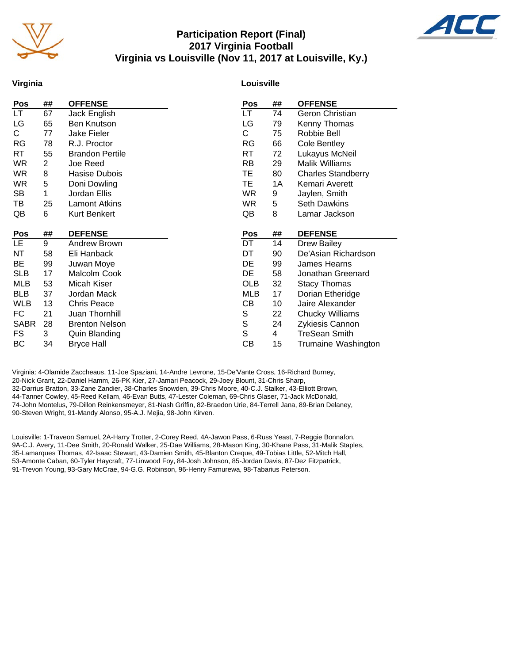

#### **Participation Report (Final) 2017 Virginia Football Virginia vs Louisville (Nov 11, 2017 at Louisville, Ky.)**



#### **Virginia**

#### **Louisville**

| <b>Pos</b>  | ##             | <b>OFFENSE</b>         | <b>Pos</b> | ## | <b>OFFENSE</b>            |
|-------------|----------------|------------------------|------------|----|---------------------------|
| LT.         | 67             | Jack English           | LT.        | 74 | Geron Christian           |
| LG          | 65             | <b>Ben Knutson</b>     | LG         | 79 | Kenny Thomas              |
| C.          | 77             | Jake Fieler            | С          | 75 | Robbie Bell               |
| <b>RG</b>   | 78             | R.J. Proctor           | RG         | 66 | Cole Bentley              |
| RT          | 55             | <b>Brandon Pertile</b> | RT         | 72 | Lukayus McNeil            |
| WR          | $\overline{c}$ | Joe Reed               | RB         | 29 | <b>Malik Williams</b>     |
| WR.         | 8              | Hasise Dubois          | ТE         | 80 | <b>Charles Standberry</b> |
| WR          | 5              | Doni Dowling           | ТE         | 1A | Kemari Averett            |
| <b>SB</b>   | 1              | Jordan Ellis           | <b>WR</b>  | 9  | Jaylen, Smith             |
| TВ          | 25             | <b>Lamont Atkins</b>   | <b>WR</b>  | 5  | <b>Seth Dawkins</b>       |
| QB          | 6              | <b>Kurt Benkert</b>    | QB         | 8  | Lamar Jackson             |
|             |                |                        |            |    |                           |
|             |                |                        |            |    |                           |
| Pos         | ##             | <b>DEFENSE</b>         | Pos        | ## | <b>DEFENSE</b>            |
| LE.         | 9              | Andrew Brown           | DT         | 14 | <b>Drew Bailey</b>        |
| NT          | 58             | Eli Hanback            | DT         | 90 | De'Asian Richardson       |
| BE          | 99             | Juwan Moye             | DE         | 99 | James Hearns              |
| <b>SLB</b>  | 17             | Malcolm Cook           | DE         | 58 | Jonathan Greenard         |
| MLB         | 53             | Micah Kiser            | OLB        | 32 | <b>Stacy Thomas</b>       |
| <b>BLB</b>  | 37             | Jordan Mack            | <b>MLB</b> | 17 | Dorian Etheridge          |
| <b>WLB</b>  | 13             | <b>Chris Peace</b>     | CВ         | 10 | Jaire Alexander           |
| FC          | 21             | Juan Thornhill         | S          | 22 | Chucky Williams           |
| <b>SABR</b> | 28             | <b>Brenton Nelson</b>  | S          | 24 | Zykiesis Cannon           |
| FS          | 3              | <b>Quin Blanding</b>   | S          | 4  | <b>TreSean Smith</b>      |

Virginia: 4-Olamide Zaccheaus, 11-Joe Spaziani, 14-Andre Levrone, 15-De'Vante Cross, 16-Richard Burney, 20-Nick Grant, 22-Daniel Hamm, 26-PK Kier, 27-Jamari Peacock, 29-Joey Blount, 31-Chris Sharp, 32-Darrius Bratton, 33-Zane Zandier, 38-Charles Snowden, 39-Chris Moore, 40-C.J. Stalker, 43-Elliott Brown, 44-Tanner Cowley, 45-Reed Kellam, 46-Evan Butts, 47-Lester Coleman, 69-Chris Glaser, 71-Jack McDonald, 74-John Montelus, 79-Dillon Reinkensmeyer, 81-Nash Griffin, 82-Braedon Urie, 84-Terrell Jana, 89-Brian Delaney, 90-Steven Wright, 91-Mandy Alonso, 95-A.J. Mejia, 98-John Kirven.

Louisville: 1-Traveon Samuel, 2A-Harry Trotter, 2-Corey Reed, 4A-Jawon Pass, 6-Russ Yeast, 7-Reggie Bonnafon, 9A-C.J. Avery, 11-Dee Smith, 20-Ronald Walker, 25-Dae Williams, 28-Mason King, 30-Khane Pass, 31-Malik Staples, 35-Lamarques Thomas, 42-Isaac Stewart, 43-Damien Smith, 45-Blanton Creque, 49-Tobias Little, 52-Mitch Hall, 53-Amonte Caban, 60-Tyler Haycraft, 77-Linwood Foy, 84-Josh Johnson, 85-Jordan Davis, 87-Dez Fitzpatrick, 91-Trevon Young, 93-Gary McCrae, 94-G.G. Robinson, 96-Henry Famurewa, 98-Tabarius Peterson.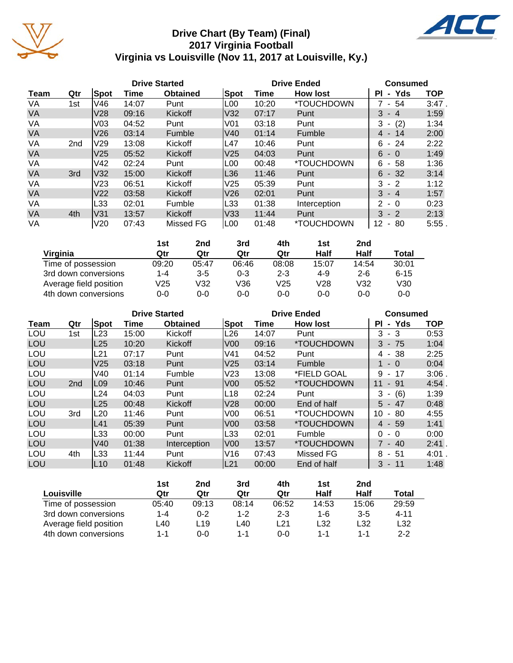

## **Drive Chart (By Team) (Final) 2017 Virginia Football Virginia vs Louisville (Nov 11, 2017 at Louisville, Ky.)**



|           |                 |                 |       | <b>Drive Started</b> |                  |       | <b>Drive Ended</b>       | <b>Consumed</b>                      |            |
|-----------|-----------------|-----------------|-------|----------------------|------------------|-------|--------------------------|--------------------------------------|------------|
| Team      | Qtr             | <b>Spot</b>     | Time  | <b>Obtained</b>      | Spot             | Time  | <b>How lost</b>          | Yds<br>ΡI<br>$\blacksquare$          | <b>TOP</b> |
| VA        | 1st             | V46             | 14:07 | Punt                 | L00              | 10:20 | *TOUCHDOWN               | - 54                                 | $3:47$ .   |
| <b>VA</b> |                 | V <sub>28</sub> | 09:16 | Kickoff              | V32              | 07:17 | Punt                     | 3<br>$-4$                            | 1:59       |
| VA        |                 | V <sub>03</sub> | 04:52 | Punt                 | V01              | 03:18 | Punt                     | 3<br>(2)<br>$\overline{\phantom{a}}$ | 1:34       |
| <b>VA</b> |                 | V26             | 03:14 | Fumble               | V40              | 01:14 | Fumble                   | $4 -$<br>14                          | 2:00       |
| VA        | 2 <sub>nd</sub> | V <sub>29</sub> | 13:08 | Kickoff              | L47              | 10:46 | Punt                     | 6<br>-24<br>$\sim$                   | 2:22       |
| <b>VA</b> |                 | V <sub>25</sub> | 05:52 | Kickoff              | V <sub>25</sub>  | 04:03 | Punt                     | 6<br>$-0$                            | 1:49       |
| VA        |                 | V <sub>42</sub> | 02:24 | Punt                 | L00              | 00:48 | *TOUCHDOWN               | 6<br>58<br>$\blacksquare$            | 1:36       |
| <b>VA</b> | 3rd             | V32             | 15:00 | Kickoff              | L36              | 11:46 | Punt                     | 6<br>- 32                            | 3:14       |
| VA        |                 | V <sub>23</sub> | 06:51 | Kickoff              | V25              | 05:39 | Punt                     | 3<br>$-2$                            | 1:12       |
| <b>VA</b> |                 | V <sub>22</sub> | 03:58 | Kickoff              | V26              | 02:01 | Punt                     | 3<br>$-4$                            | 1:57       |
| VA        |                 | L33             | 02:01 | Fumble               | L33              | 01:38 | Interception             | 2<br>- 0                             | 0:23       |
| <b>VA</b> | 4th             | V31             | 13:57 | Kickoff              | V33              | 11:44 | Punt                     | 3<br>$-2$                            | 2:13       |
| VA        |                 | V20             | 07:43 | Missed FG            | L <sub>0</sub> 0 | 01:48 | <i><b>*TOUCHDOWN</b></i> | 12<br>80<br>$\blacksquare$           | $5:55$ .   |

|                        | 1st     | 2nd     | 3rd     | 4th     | 1st     | 2nd     |          |
|------------------------|---------|---------|---------|---------|---------|---------|----------|
| Virginia               | Qtr     | Qtr     | Qtr     | Qtr     | Half    | Half    | Total    |
| Time of possession     | 09:20   | 05:47   | 06:46   | 08:08   | 15:07   | 14:54   | 30:01    |
| 3rd down conversions   | $1 - 4$ | $3 - 5$ | $0 - 3$ | $2 - 3$ | $4 - 9$ | $2 - 6$ | $6 - 15$ |
| Average field position | V25     | V32     | V36     | V25     | V28     | V32     | V30      |
| 4th down conversions   | 0-0     | 0-0     | 0-0     | $0 - 0$ | 0-0     | 0-0     | $0 - 0$  |

|      |                 |                 | <b>Drive Started</b> |                 |                 |       | <b>Drive Ended</b>       | <b>Consumed</b>             |            |
|------|-----------------|-----------------|----------------------|-----------------|-----------------|-------|--------------------------|-----------------------------|------------|
| Team | Qtr             | Spot            | Time                 | <b>Obtained</b> | <b>Spot</b>     | Time  | <b>How lost</b>          | Yds<br>ΡI<br>$\blacksquare$ | <b>TOP</b> |
| LOU  | 1st             | L23             | 15:00                | <b>Kickoff</b>  | L <sub>26</sub> | 14:07 | Punt                     | 3<br>3<br>$\sim$            | 0:53       |
| LOU  |                 | L25             | 10:20                | Kickoff         | V <sub>00</sub> | 09:16 | <i><b>*TOUCHDOWN</b></i> | - 75<br>3                   | 1:04       |
| LOU  |                 | L21             | 07:17                | Punt            | V41             | 04:52 | Punt                     | 38<br>4 -                   | 2:25       |
| LOU  |                 | V <sub>25</sub> | 03:18                | Punt            | V <sub>25</sub> | 03:14 | Fumble                   | $1 - 0$                     | 0:04       |
| LOU  |                 | V40             | 01:14                | Fumble          | V <sub>23</sub> | 13:08 | *FIELD GOAL              | 9<br>17<br>$\sim$           | 3:06       |
| LOU  | 2 <sub>nd</sub> | L <sub>09</sub> | 10:46                | Punt            | V <sub>00</sub> | 05:52 | *TOUCHDOWN               | 11<br>91<br>$\sim$          | 4:54       |
| LOU  |                 | L24             | 04:03                | Punt            | L18             | 02:24 | Punt                     | (6)<br>3<br>$\blacksquare$  | 1:39       |
| LOU  |                 | L25             | 00:48                | Kickoff         | V28             | 00:00 | End of half              | $5 -$<br>-47                | 0:48       |
| LOU  | 3rd             | L20             | 11:46                | Punt            | V <sub>0</sub>  | 06:51 | *TOUCHDOWN               | 10<br>80<br>$\blacksquare$  | 4:55       |
| LOU  |                 | L41             | 05:39                | Punt            | V <sub>00</sub> | 03:58 | <i><b>*TOUCHDOWN</b></i> | $4 - 59$                    | 1:41       |
| LOU  |                 | L33             | 00:00                | Punt            | L33             | 02:01 | Fumble                   | $\Omega$<br>- 0             | 0:00       |
| LOU  |                 | V <sub>40</sub> | 01:38                | Interception    | V <sub>00</sub> | 13:57 | <i><b>*TOUCHDOWN</b></i> | $7 - 40$                    | 2:41.      |
| LOU  | 4th             | L33             | 11:44                | Punt            | V16             | 07:43 | Missed FG                | 8<br>-51<br>$\sim$          | 4:01.      |
| LOU  |                 | L <sub>10</sub> | 01:48                | Kickoff         | L21             | 00:00 | End of half              | $3 - 11$                    | 1:48       |

|                        | 1st   | 2nd   | 3rd     | 4th         | 1st   | 2nd     |          |
|------------------------|-------|-------|---------|-------------|-------|---------|----------|
| Louisville             | Qtr   | Qtr   | Qtr     | Qtr         | Half  | Half    | Total    |
| Time of possession     | 05:40 | 09:13 | 08:14   | 06:52       | 14:53 | 15:06   | 29:59    |
| 3rd down conversions   | 1-4   | 0-2   | $1 - 2$ | $2 - 3$     | 1-6   | $3 - 5$ | $4 - 11$ |
| Average field position | ∟40   | ∟19∶  | -40     | $\sqrt{21}$ | L32   | L32     | L32      |
| 4th down conversions   | 1-1   | 0-0   | 1-1     | 0-0         | 1-1   | 1-1     | $2 - 2$  |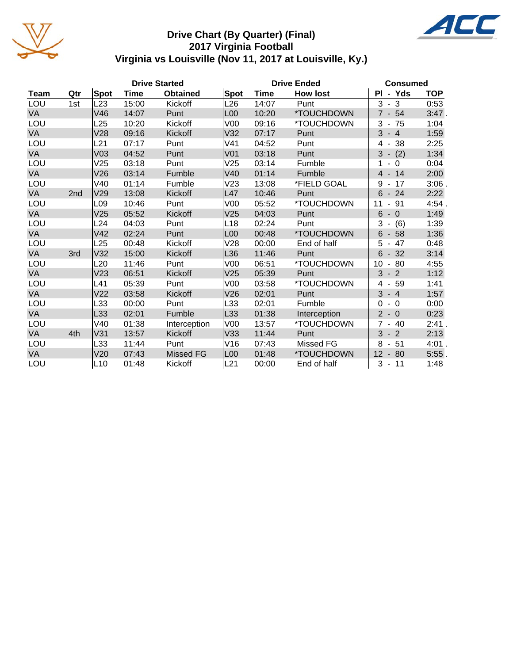

#### **Drive Chart (By Quarter) (Final) 2017 Virginia Football Virginia vs Louisville (Nov 11, 2017 at Louisville, Ky.)**



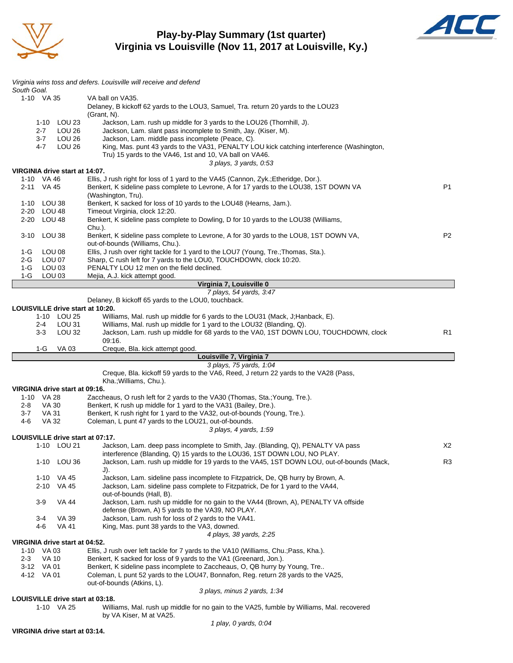

**Play-by-Play Summary (1st quarter) Virginia vs Louisville (Nov 11, 2017 at Louisville, Ky.)**



| South Goal.                         | Virginia wins toss and defers. Louisville will receive and defend                                                                                                             |                |
|-------------------------------------|-------------------------------------------------------------------------------------------------------------------------------------------------------------------------------|----------------|
| 1-10 VA 35                          | VA ball on VA35.<br>Delaney, B kickoff 62 yards to the LOU3, Samuel, Tra. return 20 yards to the LOU23                                                                        |                |
|                                     | (Grant, N).                                                                                                                                                                   |                |
| 1-10 LOU 23                         | Jackson, Lam. rush up middle for 3 yards to the LOU26 (Thornhill, J).                                                                                                         |                |
| LOU 26<br>2-7<br>$3 - 7$<br>LOU 26  | Jackson, Lam. slant pass incomplete to Smith, Jay. (Kiser, M).<br>Jackson, Lam. middle pass incomplete (Peace, C).                                                            |                |
| 4-7<br>LOU 26                       | King, Mas. punt 43 yards to the VA31, PENALTY LOU kick catching interference (Washington,                                                                                     |                |
|                                     | Tru) 15 yards to the VA46, 1st and 10, VA ball on VA46.                                                                                                                       |                |
|                                     | 3 plays, 3 yards, 0:53                                                                                                                                                        |                |
| VIRGINIA drive start at 14:07.      |                                                                                                                                                                               |                |
| 1-10 VA 46<br>2-11 VA 45            | Ellis, J rush right for loss of 1 yard to the VA45 (Cannon, Zyk.; Etheridge, Dor.).<br>Benkert, K sideline pass complete to Levrone, A for 17 yards to the LOU38, 1ST DOWN VA | P <sub>1</sub> |
|                                     | (Washington, Tru).                                                                                                                                                            |                |
| 1-10 LOU 38                         | Benkert, K sacked for loss of 10 yards to the LOU48 (Hearns, Jam.).                                                                                                           |                |
| 2-20 LOU 48                         | Timeout Virginia, clock 12:20.                                                                                                                                                |                |
| 2-20 LOU 48                         | Benkert, K sideline pass complete to Dowling, D for 10 yards to the LOU38 (Williams,                                                                                          |                |
| 3-10 LOU 38                         | Chu.).<br>Benkert, K sideline pass complete to Levrone, A for 30 yards to the LOU8, 1ST DOWN VA,                                                                              | P <sub>2</sub> |
|                                     | out-of-bounds (Williams, Chu.).                                                                                                                                               |                |
| 1-G<br>LOU 08                       | Ellis, J rush over right tackle for 1 yard to the LOU7 (Young, Tre.; Thomas, Sta.).                                                                                           |                |
| LOU 07<br>2-G                       | Sharp, C rush left for 7 yards to the LOU0, TOUCHDOWN, clock 10:20.                                                                                                           |                |
| 1-G<br>LOU 03                       | PENALTY LOU 12 men on the field declined.                                                                                                                                     |                |
| LOU 03<br>1-G                       | Mejia, A.J. kick attempt good.<br>Virginia 7, Louisville 0                                                                                                                    |                |
|                                     | 7 plays, 54 yards, 3:47                                                                                                                                                       |                |
|                                     | Delaney, B kickoff 65 yards to the LOU0, touchback.                                                                                                                           |                |
| LOUISVILLE drive start at 10:20.    |                                                                                                                                                                               |                |
| 1-10 LOU 25                         | Williams, Mal. rush up middle for 6 yards to the LOU31 (Mack, J; Hanback, E).                                                                                                 |                |
| LOU 31<br>2-4<br>LOU 32             | Williams, Mal. rush up middle for 1 yard to the LOU32 (Blanding, Q).<br>Jackson, Lam. rush up middle for 68 yards to the VA0, 1ST DOWN LOU, TOUCHDOWN, clock                  | R1             |
| 3-3                                 | 09:16.                                                                                                                                                                        |                |
|                                     |                                                                                                                                                                               |                |
| $1-G$<br>VA 03                      |                                                                                                                                                                               |                |
|                                     | Creque, Bla. kick attempt good.<br>Louisville 7, Virginia 7                                                                                                                   |                |
|                                     | 3 plays, 75 yards, 1:04                                                                                                                                                       |                |
|                                     | Creque, Bla. kickoff 59 yards to the VA6, Reed, J return 22 yards to the VA28 (Pass,<br>Kha.; Williams, Chu.).                                                                |                |
| VIRGINIA drive start at 09:16.      |                                                                                                                                                                               |                |
| 1-10 VA 28                          | Zaccheaus, O rush left for 2 yards to the VA30 (Thomas, Sta.; Young, Tre.).                                                                                                   |                |
| VA 30<br>2-8<br><b>VA 31</b><br>3-7 | Benkert, K rush up middle for 1 yard to the VA31 (Bailey, Dre.).                                                                                                              |                |
| 4-6<br>VA 32                        | Benkert, K rush right for 1 yard to the VA32, out-of-bounds (Young, Tre.).<br>Coleman, L punt 47 yards to the LOU21, out-of-bounds.                                           |                |
|                                     | 3 plays, 4 yards, 1:59                                                                                                                                                        |                |
| LOUISVILLE drive start at 07:17.    |                                                                                                                                                                               |                |
| 1-10 LOU 21                         | Jackson, Lam. deep pass incomplete to Smith, Jay. (Blanding, Q), PENALTY VA pass                                                                                              | X2             |
| 1-10 LOU 36                         | interference (Blanding, Q) 15 yards to the LOU36, 1ST DOWN LOU, NO PLAY.<br>Jackson, Lam. rush up middle for 19 yards to the VA45, 1ST DOWN LOU, out-of-bounds (Mack,         | R3             |
|                                     | J).                                                                                                                                                                           |                |
| 1-10 VA 45                          | Jackson, Lam. sideline pass incomplete to Fitzpatrick, De, QB hurry by Brown, A.                                                                                              |                |
| 2-10 VA 45                          | Jackson, Lam. sideline pass complete to Fitzpatrick, De for 1 yard to the VA44,                                                                                               |                |
|                                     | out-of-bounds (Hall, B).                                                                                                                                                      |                |
| 3-9<br>VA 44                        | Jackson, Lam. rush up middle for no gain to the VA44 (Brown, A), PENALTY VA offside                                                                                           |                |
| 3-4<br>VA 39                        | defense (Brown, A) 5 yards to the VA39, NO PLAY.<br>Jackson, Lam. rush for loss of 2 yards to the VA41.                                                                       |                |
| <b>VA 41</b><br>4-6                 | King, Mas. punt 38 yards to the VA3, downed.                                                                                                                                  |                |
|                                     | 4 plays, 38 yards, 2:25                                                                                                                                                       |                |
| VIRGINIA drive start at 04:52.      |                                                                                                                                                                               |                |
| 1-10 VA 03                          | Ellis, J rush over left tackle for 7 yards to the VA10 (Williams, Chu.; Pass, Kha.).                                                                                          |                |
| <b>VA 10</b><br>2-3<br>3-12 VA 01   | Benkert, K sacked for loss of 9 yards to the VA1 (Greenard, Jon.).                                                                                                            |                |
| 4-12 VA 01                          | Benkert, K sideline pass incomplete to Zaccheaus, O, QB hurry by Young, Tre<br>Coleman, L punt 52 yards to the LOU47, Bonnafon, Reg. return 28 yards to the VA25,             |                |
|                                     | out-of-bounds (Atkins, L).                                                                                                                                                    |                |
| LOUISVILLE drive start at 03:18.    | 3 plays, minus 2 yards, 1:34                                                                                                                                                  |                |

1-10 VA 25 Williams, Mal. rush up middle for no gain to the VA25, fumble by Williams, Mal. recovered by VA Kiser, M at VA25.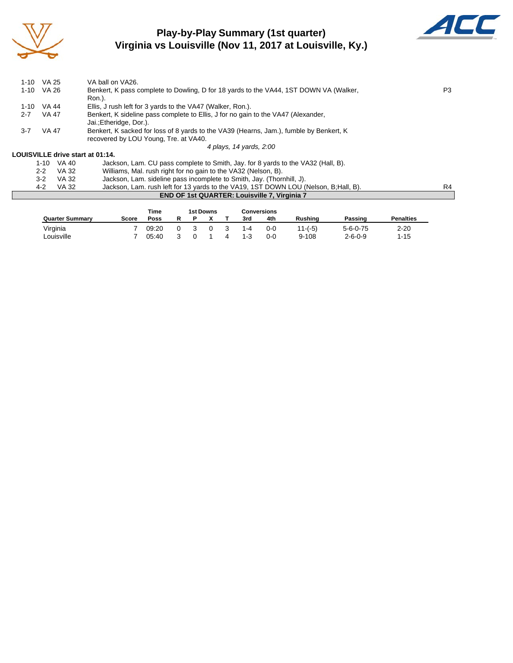

## **Play-by-Play Summary (1st quarter) Virginia vs Louisville (Nov 11, 2017 at Louisville, Ky.)**



| $1 - 10$                                                                                                     | VA 25    |       | VA ball on VA26.                                                                       |    |  |  |  |  |
|--------------------------------------------------------------------------------------------------------------|----------|-------|----------------------------------------------------------------------------------------|----|--|--|--|--|
| 1-10                                                                                                         | VA 26    |       | Benkert, K pass complete to Dowling, D for 18 yards to the VA44, 1ST DOWN VA (Walker,  |    |  |  |  |  |
|                                                                                                              |          |       | Ron.).                                                                                 |    |  |  |  |  |
| $1 - 10$                                                                                                     | VA 44    |       | Ellis, J rush left for 3 yards to the VA47 (Walker, Ron.).                             |    |  |  |  |  |
| <b>VA 47</b><br>Benkert, K sideline pass complete to Ellis, J for no gain to the VA47 (Alexander,<br>$2 - 7$ |          |       |                                                                                        |    |  |  |  |  |
|                                                                                                              |          |       | Jai.; Etheridge, Dor.).                                                                |    |  |  |  |  |
| $3 - 7$                                                                                                      | VA 47    |       | Benkert, K sacked for loss of 8 yards to the VA39 (Hearns, Jam.), fumble by Benkert, K |    |  |  |  |  |
|                                                                                                              |          |       | recovered by LOU Young, Tre. at VA40.                                                  |    |  |  |  |  |
|                                                                                                              |          |       | 4 plays, 14 yards, 2:00                                                                |    |  |  |  |  |
|                                                                                                              |          |       | LOUISVILLE drive start at 01:14.                                                       |    |  |  |  |  |
|                                                                                                              | $1 - 10$ | VA 40 | Jackson, Lam. CU pass complete to Smith, Jay. for 8 yards to the VA32 (Hall, B).       |    |  |  |  |  |
|                                                                                                              | $2 - 2$  | VA 32 | Williams, Mal. rush right for no gain to the VA32 (Nelson, B).                         |    |  |  |  |  |
|                                                                                                              | $3-2$    | VA 32 | Jackson, Lam. sideline pass incomplete to Smith, Jay. (Thornhill, J).                  |    |  |  |  |  |
|                                                                                                              | $4 - 2$  | VA 32 | Jackson, Lam. rush left for 13 yards to the VA19, 1ST DOWN LOU (Nelson, B:Hall, B).    | R4 |  |  |  |  |
|                                                                                                              |          |       | <b>END OF 1st QUARTER: Louisville 7, Virginia 7</b>                                    |    |  |  |  |  |

|                        |       | Time  |   | 1st Downs |         | <b>Conversions</b> |                |                  |                  |
|------------------------|-------|-------|---|-----------|---------|--------------------|----------------|------------------|------------------|
| <b>Quarter Summary</b> | Score | Poss  | D |           | 3rd     | 4th                | <b>Rushing</b> | Passing          | <b>Penalties</b> |
| Virginia               |       | 09:20 |   |           | 1-4     | 0-0                | $11-(-5)$      | $5 - 6 - 0 - 75$ | $2 - 20$         |
| Louisville             |       | 05:40 |   |           | $1 - 3$ | 0-0                | $9 - 108$      | $2 - 6 - 0 - 9$  | $1 - 15$         |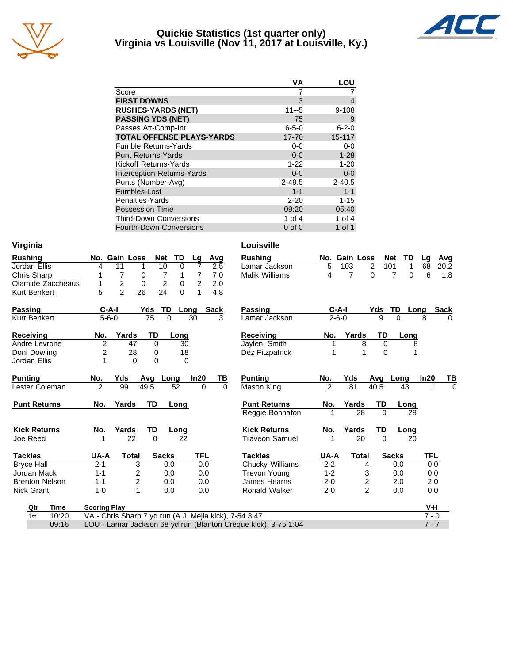

#### **Quickie Statistics (1st quarter only) Virginia vs Louisville (Nov 11, 2017 at Louisville, Ky.)**



|                                   | VА          | LOU         |
|-----------------------------------|-------------|-------------|
| Score                             |             |             |
| <b>FIRST DOWNS</b>                | 3           | 4           |
| <b>RUSHES-YARDS (NET)</b>         | $11 - 5$    | $9 - 108$   |
| <b>PASSING YDS (NET)</b>          | 75          | 9           |
| Passes Att-Comp-Int               | $6 - 5 - 0$ | $6 - 2 - 0$ |
| <b>TOTAL OFFENSE PLAYS-YARDS</b>  | 17-70       | $15 - 117$  |
| <b>Fumble Returns-Yards</b>       | $0-0$       | $0-0$       |
| <b>Punt Returns-Yards</b>         | $0 - 0$     | $1 - 28$    |
| Kickoff Returns-Yards             | $1 - 22$    | $1 - 20$    |
| <b>Interception Returns-Yards</b> | $0 - 0$     | $0-0$       |
| Punts (Number-Avg)                | $2 - 49.5$  | $2 - 40.5$  |
| Fumbles-Lost                      | $1 - 1$     | $1 - 1$     |
| Penalties-Yards                   | $2 - 20$    | $1 - 15$    |
| <b>Possession Time</b>            | 09:20       | 05:40       |
| <b>Third-Down Conversions</b>     | 1 of 4      | 1 of $4$    |
| <b>Fourth-Down Conversions</b>    | $0$ of $0$  | 1 of 1      |

| Virginia              |                                                                   |             | Louisville            |                |                |          |              |         |             |
|-----------------------|-------------------------------------------------------------------|-------------|-----------------------|----------------|----------------|----------|--------------|---------|-------------|
| <b>Rushing</b>        | No. Gain Loss<br>TD<br><b>Net</b><br>Lg                           | Avg         | <b>Rushing</b>        |                | No. Gain Loss  |          | TD<br>Net    | Lg      | Avg         |
| Jordan Ellis          | 11<br>10<br>$\Omega$<br>7<br>4<br>1                               | 2.5         | Lamar Jackson         | 5              | 103            | 2        | 101<br>1     | 68      | 20.2        |
| <b>Chris Sharp</b>    | 7<br>7<br>7<br>0<br>1                                             | 7.0         | <b>Malik Williams</b> | 4              | 7              | 0        | 7<br>0       | 6       | 1.8         |
| Olamide Zaccheaus     | $\overline{c}$<br>$\overline{c}$<br>$\overline{2}$<br>0<br>0<br>1 | 2.0         |                       |                |                |          |              |         |             |
| Kurt Benkert          | $\overline{2}$<br>26<br>5<br>$-24$<br>$\Omega$<br>1               | $-4.8$      |                       |                |                |          |              |         |             |
| <b>Passing</b>        | TD<br>$C-A-I$<br>Yds<br>Long                                      | <b>Sack</b> | <b>Passing</b>        |                | $C-A-I$        | Yds      | TD<br>Long   |         | <b>Sack</b> |
| Kurt Benkert          | $5 - 6 - 0$<br>75<br>0<br>30                                      | 3           | Lamar Jackson         |                | $2 - 6 - 0$    | 9        | $\Omega$     | 8       | 0           |
| Receiving             | Yards<br>TD<br>No.<br>Long                                        |             | <b>Receiving</b>      | No.            | Yards          | TD       | Long         |         |             |
| Andre Levrone         | 2<br>47<br>$\Omega$<br>30                                         |             | Jaylen, Smith         | 1              | 8              | $\Omega$ | 8            |         |             |
| Doni Dowling          | 2<br>28<br>18<br>0                                                |             | Dez Fitzpatrick       | 1              | 1              | $\Omega$ | 1            |         |             |
| Jordan Ellis          | $\overline{0}$<br>1<br>0<br>$\Omega$                              |             |                       |                |                |          |              |         |             |
| <b>Punting</b>        | No.<br>Yds<br>In20<br>Avg Long                                    | ΤВ          | <b>Punting</b>        | No.            | Yds            | Avq      | Long         | In20    | TВ          |
| Lester Coleman        | $\overline{2}$<br>99<br>49.5<br>52<br>$\Omega$                    | $\Omega$    | Mason King            | $\overline{2}$ | 81             | 40.5     | 43           | 1       | $\Omega$    |
| <b>Punt Returns</b>   | <b>TD</b><br>No.<br>Yards<br>Long                                 |             | <b>Punt Returns</b>   | No.            | Yards          | TD       | Long         |         |             |
|                       |                                                                   |             | Reggie Bonnafon       |                | 28             | $\Omega$ | 28           |         |             |
| <b>Kick Returns</b>   | Yards<br>TD<br>No.<br>Long                                        |             | <b>Kick Returns</b>   | No.            | Yards          | TD       | Long         |         |             |
| Joe Reed              | 22<br>22<br>$\Omega$                                              |             | <b>Traveon Samuel</b> | 1              | 20             | $\Omega$ | 20           |         |             |
| Tackles               | <b>TFL</b><br>UA-A<br><b>Sacks</b><br>Total                       |             | <b>Tackles</b>        | UA-A           | <b>Total</b>   |          | <b>Sacks</b> | TFL     |             |
| <b>Bryce Hall</b>     | $2 - 1$<br>3<br>0.0<br>0.0                                        |             | Chucky Williams       | $2 - 2$        | 4              |          | 0.0          | 0.0     |             |
| Jordan Mack           | 2<br>$1 - 1$<br>0.0<br>0.0                                        |             | <b>Trevon Young</b>   | $1 - 2$        | 3              |          | 0.0          | 0.0     |             |
| <b>Brenton Nelson</b> | $\overline{c}$<br>$1 - 1$<br>0.0<br>0.0                           |             | James Hearns          | $2 - 0$        | 2              |          | 2.0          | 2.0     |             |
| <b>Nick Grant</b>     | 1<br>$1 - 0$<br>0.0<br>0.0                                        |             | <b>Ronald Walker</b>  | $2 - 0$        | $\overline{2}$ |          | 0.0          | 0.0     |             |
| Time<br>Qtr           | <b>Scoring Play</b>                                               |             |                       |                |                |          |              | V-H     |             |
| 10:20<br>1st          | VA - Chris Sharp 7 yd run (A.J. Mejia kick), 7-54 3:47            |             |                       |                |                |          |              | $7 - 0$ |             |
| 09:16                 | LOU - Lamar Jackson 68 yd run (Blanton Creque kick), 3-75 1:04    |             |                       |                |                |          |              | $7 - 7$ |             |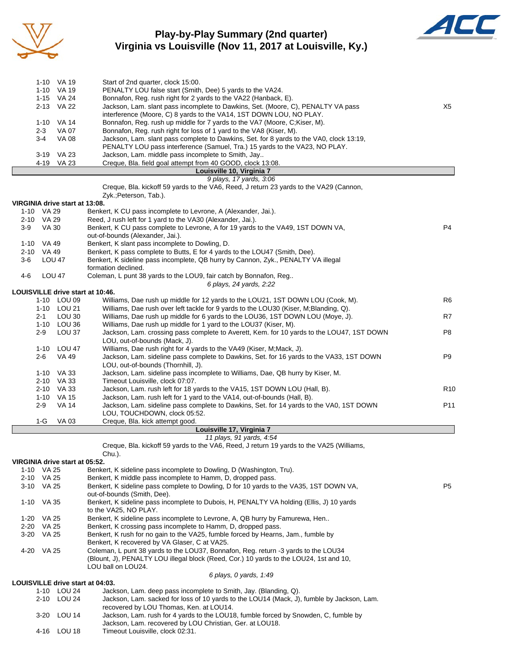

### **Play-by-Play Summary (2nd quarter) Virginia vs Louisville (Nov 11, 2017 at Louisville, Ky.)**



|          | 1-10 VA 19 | Start of 2nd quarter, clock 15:00.                                                      |     |
|----------|------------|-----------------------------------------------------------------------------------------|-----|
| 1-10     | VA 19      | PENALTY LOU false start (Smith, Dee) 5 yards to the VA24.                               |     |
|          | 1-15 VA 24 | Bonnafon, Reg. rush right for 2 yards to the VA22 (Hanback, E).                         |     |
|          | 2-13 VA 22 | Jackson, Lam. slant pass incomplete to Dawkins, Set. (Moore, C), PENALTY VA pass        | X5. |
|          |            | interference (Moore, C) 8 yards to the VA14, 1ST DOWN LOU, NO PLAY.                     |     |
| $1 - 10$ | VA 14      | Bonnafon, Reg. rush up middle for 7 yards to the VA7 (Moore, C;Kiser, M).               |     |
| $2 - 3$  | VA 07      | Bonnafon, Reg. rush right for loss of 1 yard to the VA8 (Kiser, M).                     |     |
| $3-4$    | VA 08      | Jackson, Lam. slant pass complete to Dawkins, Set. for 8 yards to the VA0, clock 13:19, |     |
|          |            | PENALTY LOU pass interference (Samuel, Tra.) 15 yards to the VA23, NO PLAY.             |     |
| $3 - 19$ | VA 23      | Jackson, Lam. middle pass incomplete to Smith, Jay                                      |     |
|          | 4-19 VA 23 | Creque, Bla. field goal attempt from 40 GOOD, clock 13:08.                              |     |
|          |            | Louisville 10, Virginia 7                                                               |     |

|          |                                    | Louisville 10, Virginia 7                                                                                               |                 |
|----------|------------------------------------|-------------------------------------------------------------------------------------------------------------------------|-----------------|
|          |                                    | 9 plays, 17 yards, 3:06                                                                                                 |                 |
|          |                                    | Creque, Bla. kickoff 59 yards to the VA6, Reed, J return 23 yards to the VA29 (Cannon,                                  |                 |
|          |                                    | Zyk.; Peterson, Tab.).                                                                                                  |                 |
|          | VIRGINIA drive start at 13:08.     |                                                                                                                         |                 |
|          | 1-10 VA 29                         | Benkert, K CU pass incomplete to Levrone, A (Alexander, Jai.).                                                          |                 |
|          | 2-10 VA 29                         | Reed, J rush left for 1 yard to the VA30 (Alexander, Jai.).                                                             |                 |
| $3-9$    | <b>VA 30</b>                       | Benkert, K CU pass complete to Levrone, A for 19 yards to the VA49, 1ST DOWN VA,                                        | P <sub>4</sub>  |
|          |                                    | out-of-bounds (Alexander, Jai.).                                                                                        |                 |
|          | 1-10 VA 49                         | Benkert, K slant pass incomplete to Dowling, D.                                                                         |                 |
| $2 - 10$ | VA 49                              | Benkert, K pass complete to Butts, E for 4 yards to the LOU47 (Smith, Dee).                                             |                 |
| $3-6$    | <b>LOU 47</b>                      | Benkert, K sideline pass incomplete, QB hurry by Cannon, Zyk., PENALTY VA illegal                                       |                 |
|          |                                    | formation declined.                                                                                                     |                 |
| $4 - 6$  | <b>LOU 47</b>                      | Coleman, L punt 38 yards to the LOU9, fair catch by Bonnafon, Reg                                                       |                 |
|          |                                    | 6 plays, 24 yards, 2:22                                                                                                 |                 |
|          | LOUISVILLE drive start at 10:46.   |                                                                                                                         |                 |
|          | 1-10 LOU 09                        | Williams, Dae rush up middle for 12 yards to the LOU21, 1ST DOWN LOU (Cook, M).                                         | R <sub>6</sub>  |
|          | 1-10 LOU 21                        | Williams, Dae rush over left tackle for 9 yards to the LOU30 (Kiser, M;Blanding, Q).                                    |                 |
|          | LOU 30<br>$2 - 1$                  | Williams, Dae rush up middle for 6 yards to the LOU36, 1ST DOWN LOU (Moye, J).                                          | R7              |
|          | 1-10 LOU 36                        | Williams, Dae rush up middle for 1 yard to the LOU37 (Kiser, M).                                                        |                 |
|          | LOU 37<br>$2 - 9$                  | Jackson, Lam. crossing pass complete to Averett, Kem. for 10 yards to the LOU47, 1ST DOWN                               | P <sub>8</sub>  |
|          |                                    | LOU, out-of-bounds (Mack, J).                                                                                           |                 |
|          | 1-10 LOU 47                        | Williams, Dae rush right for 4 yards to the VA49 (Kiser, M;Mack, J).                                                    |                 |
|          | <b>VA 49</b><br>$2 - 6$            | Jackson, Lam. sideline pass complete to Dawkins, Set. for 16 yards to the VA33, 1ST DOWN                                | P <sub>9</sub>  |
|          |                                    | LOU, out-of-bounds (Thornhill, J).                                                                                      |                 |
|          | 1-10 VA 33                         | Jackson, Lam. sideline pass incomplete to Williams, Dae, QB hurry by Kiser, M.                                          |                 |
|          | 2-10 VA 33                         | Timeout Louisville, clock 07:07.                                                                                        |                 |
|          | $2 - 10$<br>VA 33                  | Jackson, Lam. rush left for 18 yards to the VA15, 1ST DOWN LOU (Hall, B).                                               | R <sub>10</sub> |
|          | $1 - 10$<br>VA 15                  | Jackson, Lam. rush left for 1 yard to the VA14, out-of-bounds (Hall, B).                                                |                 |
|          | <b>VA 14</b><br>$2 - 9$            | Jackson, Lam. sideline pass complete to Dawkins, Set. for 14 yards to the VA0, 1ST DOWN<br>LOU, TOUCHDOWN, clock 05:52. | P <sub>11</sub> |
|          | $\sim$<br>$\overline{\phantom{a}}$ | . <i>.</i>                                                                                                              |                 |

1-G VA 03 Creque, Bla. kick attempt good.

#### **Louisville 17, Virginia 7**

*11 plays, 91 yards, 4:54*

Creque, Bla. kickoff 59 yards to the VA6, Reed, J return 19 yards to the VA25 (Williams,

#### Chu.). **VIRGINIA drive start at 05:52.**

|          | VIRGINIA UHVE SIJIL JI UJ.JZ.   |                                                                                                                                    |                |
|----------|---------------------------------|------------------------------------------------------------------------------------------------------------------------------------|----------------|
|          | 1-10 VA 25                      | Benkert, K sideline pass incomplete to Dowling, D (Washington, Tru).                                                               |                |
| $2 - 10$ | VA 25                           | Benkert, K middle pass incomplete to Hamm, D, dropped pass.                                                                        |                |
| 3-10     | VA 25                           | Benkert, K sideline pass complete to Dowling, D for 10 yards to the VA35, 1ST DOWN VA,<br>out-of-bounds (Smith, Dee).              | P <sub>5</sub> |
| 1-10     | VA 35                           | Benkert, K sideline pass incomplete to Dubois, H, PENALTY VA holding (Ellis, J) 10 yards<br>to the VA25. NO PLAY.                  |                |
| $1 - 20$ | VA 25                           | Benkert, K sideline pass incomplete to Levrone, A, QB hurry by Famurewa, Hen                                                       |                |
| $2 - 20$ | VA 25                           | Benkert, K crossing pass incomplete to Hamm, D, dropped pass.                                                                      |                |
| $3-20$   | VA 25                           | Benkert, K rush for no gain to the VA25, fumble forced by Hearns, Jam., fumble by<br>Benkert, K recovered by VA Glaser, C at VA25. |                |
| 4-20     | VA 25                           | Coleman, L punt 38 yards to the LOU37, Bonnafon, Reg. return -3 yards to the LOU34                                                 |                |
|          |                                 | (Blount, J), PENALTY LOU illegal block (Reed, Cor.) 10 yards to the LOU24, 1st and 10,<br>LOU ball on LOU24.                       |                |
|          |                                 | 6 plays, 0 yards, 1:49                                                                                                             |                |
|          | LOUISVILLE drive start at 04:03 |                                                                                                                                    |                |

#### **LOUISVILLE drive start at 04:03.**

| 1-10 LOU 24 | Jackson, Lam. deep pass incomplete to Smith, Jay. (Blanding, Q).                          |
|-------------|-------------------------------------------------------------------------------------------|
| 2-10 LOU 24 | Jackson, Lam. sacked for loss of 10 yards to the LOU14 (Mack, J), fumble by Jackson, Lam. |
|             | recovered by LOU Thomas, Ken. at LOU14.                                                   |
| 3-20 LOU 14 | Jackson, Lam. rush for 4 yards to the LOU18, fumble forced by Snowden, C, fumble by       |
|             | Jackson, Lam. recovered by LOU Christian, Ger. at LOU18.                                  |
| 4-16 LOU 18 | Timeout Louisville, clock 02:31.                                                          |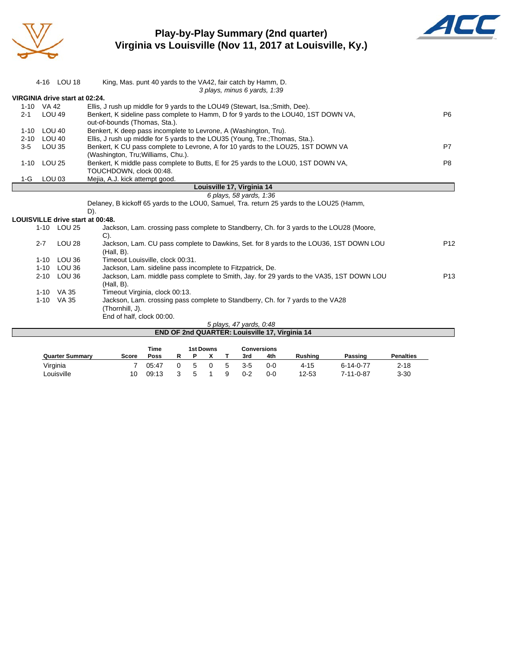

### **Play-by-Play Summary (2nd quarter) Virginia vs Louisville (Nov 11, 2017 at Louisville, Ky.)**



|          |                   | 4-16 LOU 18                    | King, Mas. punt 40 yards to the VA42, fair catch by Hamm, D.                              |                 |
|----------|-------------------|--------------------------------|-------------------------------------------------------------------------------------------|-----------------|
|          |                   |                                | 3 plays, minus 6 yards, 1:39                                                              |                 |
|          |                   | VIRGINIA drive start at 02:24. |                                                                                           |                 |
|          | 1-10 VA 42        |                                | Ellis, J rush up middle for 9 yards to the LOU49 (Stewart, Isa.; Smith, Dee).             |                 |
| $2 - 1$  | <b>LOU 49</b>     |                                | Benkert, K sideline pass complete to Hamm, D for 9 yards to the LOU40, 1ST DOWN VA,       | P <sub>6</sub>  |
|          |                   |                                | out-of-bounds (Thomas, Sta.).                                                             |                 |
| $1 - 10$ | LOU 40            |                                | Benkert, K deep pass incomplete to Levrone, A (Washington, Tru).                          |                 |
| $2 - 10$ | <b>LOU 40</b>     |                                | Ellis, J rush up middle for 5 yards to the LOU35 (Young, Tre.; Thomas, Sta.).             |                 |
| $3-5$    | <b>LOU 35</b>     |                                | Benkert, K CU pass complete to Levrone, A for 10 yards to the LOU25, 1ST DOWN VA          | P7              |
|          |                   |                                | (Washington, Tru; Williams, Chu.).                                                        |                 |
| $1 - 10$ | <b>LOU 25</b>     |                                | Benkert, K middle pass complete to Butts, E for 25 yards to the LOU0, 1ST DOWN VA,        | P <sub>8</sub>  |
|          |                   |                                | TOUCHDOWN, clock 00:48.                                                                   |                 |
| 1-G      | LOU <sub>03</sub> |                                | Mejia, A.J. kick attempt good.                                                            |                 |
|          |                   |                                | Louisville 17, Virginia 14                                                                |                 |
|          |                   |                                | 6 plays, 58 yards, 1:36                                                                   |                 |
|          |                   |                                | Delaney, B kickoff 65 yards to the LOU0, Samuel, Tra. return 25 yards to the LOU25 (Hamm, |                 |
|          |                   |                                | D).                                                                                       |                 |
|          |                   |                                | <b>LOUISVILLE drive start at 00:48.</b>                                                   |                 |
|          |                   | 1-10 LOU 25                    | Jackson, Lam. crossing pass complete to Standberry, Ch. for 3 yards to the LOU28 (Moore,  |                 |
|          |                   |                                | $C$ ).                                                                                    |                 |
|          | $2 - 7$           | LOU <sub>28</sub>              | Jackson, Lam. CU pass complete to Dawkins, Set. for 8 yards to the LOU36, 1ST DOWN LOU    | P <sub>12</sub> |
|          |                   |                                | (Hall, B).                                                                                |                 |
|          | $1 - 10$          | LOU 36                         | Timeout Louisville, clock 00:31.                                                          |                 |
|          | $1 - 10$          | LOU 36                         | Jackson, Lam. sideline pass incomplete to Fitzpatrick, De.                                |                 |
|          | $2 - 10$          | LOU 36                         | Jackson, Lam. middle pass complete to Smith, Jay. for 29 yards to the VA35, 1ST DOWN LOU  | P <sub>13</sub> |
|          |                   |                                | $(Hall, B)$ .                                                                             |                 |
|          |                   | 1-10 VA 35                     | Timeout Virginia, clock 00:13.                                                            |                 |
|          |                   | 1-10 VA 35                     | Jackson, Lam. crossing pass complete to Standberry, Ch. for 7 yards to the VA28           |                 |
|          |                   |                                | (Thornhill, J).                                                                           |                 |
|          |                   |                                | End of half, clock 00:00.                                                                 |                 |
|          |                   |                                | 5 plays, 47 yards, 0:48                                                                   |                 |
|          |                   |                                | END OF 2nd QUARTER: Louisville 17, Virginia 14                                            |                 |

|                        |       | Time  |   |   | <b>1st Downs</b> |   |         | Conversions |          |                   |                  |
|------------------------|-------|-------|---|---|------------------|---|---------|-------------|----------|-------------------|------------------|
| <b>Quarter Summary</b> | Score | Poss  | R |   |                  |   | 3rd     | 4th         | Rushina  | Passing           | <b>Penalties</b> |
| Virginia               |       | 05:47 |   | 5 |                  | 5 | $3 - 5$ | 0-0         | $4 - 15$ | $6 - 14 - 0 - 77$ | $2 - 18$         |
| Louisville             | 10    | 09:13 |   | ∽ |                  |   | 0-2     | 0-0         | 12-53    | 7-11-0-87         | $3 - 30$         |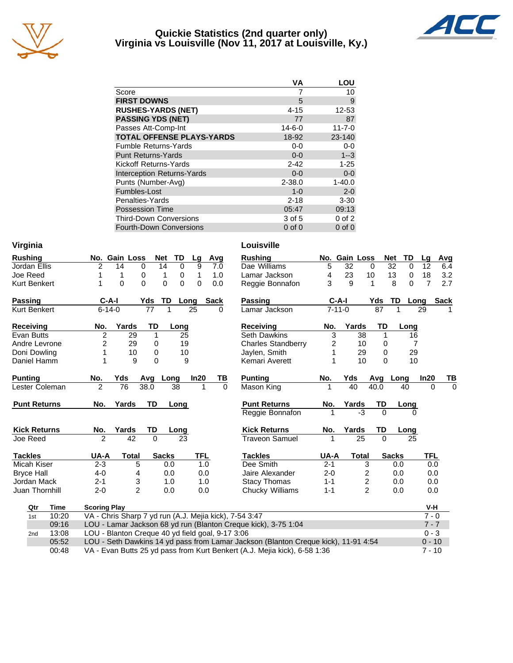

#### **Quickie Statistics (2nd quarter only) Virginia vs Louisville (Nov 11, 2017 at Louisville, Ky.)**



|                                   | ٧A           | LOU          |
|-----------------------------------|--------------|--------------|
| Score                             |              | 10           |
| <b>FIRST DOWNS</b>                | 5            | 9            |
| <b>RUSHES-YARDS (NET)</b>         | $4 - 15$     | 12-53        |
| <b>PASSING YDS (NET)</b>          | 77           | 87           |
| Passes Att-Comp-Int               | $14 - 6 - 0$ | $11 - 7 - 0$ |
| <b>TOTAL OFFENSE PLAYS-YARDS</b>  | 18-92        | 23-140       |
| <b>Fumble Returns-Yards</b>       | $0 - 0$      | 0-0          |
| <b>Punt Returns-Yards</b>         | $0 - 0$      | $1 - 3$      |
| Kickoff Returns-Yards             | $2 - 42$     | $1 - 25$     |
| <b>Interception Returns-Yards</b> | $0 - 0$      | $0-0$        |
| Punts (Number-Avg)                | $2 - 38.0$   | $1 - 40.0$   |
| Fumbles-Lost                      | $1 - 0$      | $2 - 0$      |
| Penalties-Yards                   | $2 - 18$     | $3 - 30$     |
| <b>Possession Time</b>            | 05:47        | 09:13        |
| <b>Third-Down Conversions</b>     | 3 of 5       | $0$ of $2$   |
| <b>Fourth-Down Conversions</b>    | $0$ of $0$   | $0$ of $0$   |

| Virginia                                                                                                |                                                                            | Louisville                |              |                         |                |          |                       |
|---------------------------------------------------------------------------------------------------------|----------------------------------------------------------------------------|---------------------------|--------------|-------------------------|----------------|----------|-----------------------|
| <b>Rushing</b>                                                                                          | No. Gain Loss<br>TD<br><b>Net</b><br>Avg<br>Lg                             | <b>Rushing</b>            |              | No. Gain Loss           | <b>Net</b>     | TD       | Avg<br>Lq             |
| Jordan Ellis                                                                                            | 2<br>9<br>$\Omega$<br>14<br>0<br>14<br>7.0                                 | Dae Williams              | 5            | 32                      | 32<br>$\Omega$ | $\Omega$ | 12<br>6.4             |
| Joe Reed                                                                                                | 0<br>1<br>1<br>1<br>1<br>0<br>1.0                                          | Lamar Jackson             | 4            | 23                      | 10<br>13       | 0        | 18<br>3.2             |
| <b>Kurt Benkert</b>                                                                                     | $\overline{0}$<br>$\Omega$<br>$\Omega$<br>$\Omega$<br>$\Omega$<br>1<br>0.0 | Reggie Bonnafon           | 3            | 9                       | 8<br>1         | $\Omega$ | $\overline{7}$<br>2.7 |
| <b>Passing</b>                                                                                          | $C-A-I$<br>Yds<br>TD<br>Sack<br>Long                                       | <b>Passing</b>            | $C-A-I$      |                         | TD<br>Yds      | Long     | <b>Sack</b>           |
| <b>Kurt Benkert</b>                                                                                     | $6 - 14 - 0$<br>77<br>25<br>1<br>0                                         | Lamar Jackson             | $7 - 11 - 0$ |                         | 87             | 1        | 29                    |
| <b>Receiving</b>                                                                                        | Yards<br>TD<br>Long<br>No.                                                 | <b>Receiving</b>          | No.          | Yards                   | TD             | Long     |                       |
| Evan Butts                                                                                              | 2<br>29<br>25<br>1                                                         | <b>Seth Dawkins</b>       | 3            | 38                      | 1              | 16       |                       |
| Andre Levrone                                                                                           | 29<br>2<br>19<br>0                                                         | <b>Charles Standberry</b> | 2            | 10                      | 0              | 7        |                       |
| Doni Dowling                                                                                            | 10<br>$\Omega$<br>10<br>1                                                  | Jaylen, Smith             |              | 29                      | $\Omega$       | 29       |                       |
| Daniel Hamm                                                                                             | 9<br>9<br>$\Omega$                                                         | Kemari Averett            |              | 10                      | $\Omega$       | 10       |                       |
| <b>Punting</b>                                                                                          | In20<br>No.<br>Yds<br>Avg<br>Long                                          | <b>Punting</b><br>TВ      | No.          | Yds                     | Avg            | Long     | ln20<br>ΤВ            |
| Lester Coleman                                                                                          | $\overline{2}$<br>76<br>38.0<br>38<br>1                                    | Mason King<br>$\Omega$    |              | 40                      | 40.0           | 40       | $\Omega$<br>$\Omega$  |
| <b>Punt Returns</b>                                                                                     | TD<br>Yards<br>No.<br>Long                                                 | <b>Punt Returns</b>       | No.          | Yards                   | TD             | Long     |                       |
|                                                                                                         |                                                                            | Reggie Bonnafon           | 1            | $-3$                    | $\Omega$       | $\Omega$ |                       |
| <b>Kick Returns</b>                                                                                     | Yards<br>TD<br>No.<br>Long                                                 | <b>Kick Returns</b>       | No.          | Yards                   | TD             | Long     |                       |
| Joe Reed                                                                                                | $\overline{2}$<br>42<br>$\Omega$<br>23                                     | <b>Traveon Samuel</b>     | 1            | 25                      | $\Omega$       | 25       |                       |
| <b>Tackles</b>                                                                                          | <b>TFL</b><br>UA-A<br><b>Total</b><br><b>Sacks</b>                         | <b>Tackles</b>            | <b>UA-A</b>  | <b>Total</b>            | <b>Sacks</b>   |          | <b>TFL</b>            |
| Micah Kiser                                                                                             | $2 - 3$<br>5<br>0.0<br>1.0                                                 | Dee Smith                 | $2 - 1$      | 3                       |                | 0.0      | 0.0                   |
| <b>Bryce Hall</b>                                                                                       | $4 - 0$<br>0.0<br>0.0<br>4                                                 | Jaire Alexander           | $2 - 0$      | 2                       |                | 0.0      | 0.0                   |
| Jordan Mack                                                                                             | 3<br>$2 - 1$<br>1.0<br>1.0                                                 | <b>Stacy Thomas</b>       | $1 - 1$      | $\overline{\mathbf{c}}$ |                | 0.0      | 0.0                   |
| Juan Thornhill                                                                                          | $\overline{2}$<br>$2 - 0$<br>0.0<br>0.0                                    | Chucky Williams           | $1 - 1$      | $\overline{2}$          |                | 0.0      | 0.0                   |
| Qtr<br>Time                                                                                             | <b>Scoring Play</b>                                                        |                           |              |                         |                |          | V-H                   |
| 10:20<br>1st                                                                                            | VA - Chris Sharp 7 yd run (A.J. Mejia kick), 7-54 3:47                     |                           |              |                         |                |          | $7 - 0$               |
| 09:16                                                                                                   | LOU - Lamar Jackson 68 yd run (Blanton Creque kick), 3-75 1:04             |                           |              |                         |                |          | $7 - 7$               |
| 13:08<br>2nd                                                                                            | LOU - Blanton Creque 40 yd field goal, 9-17 3:06                           |                           |              |                         |                |          | $0 - 3$               |
| LOU - Seth Dawkins 14 yd pass from Lamar Jackson (Blanton Creque kick), 11-91 4:54<br>05:52<br>$0 - 10$ |                                                                            |                           |              |                         |                |          |                       |

00:48 VA - Evan Butts 25 yd pass from Kurt Benkert (A.J. Mejia kick), 6-58 1:36 7 - 10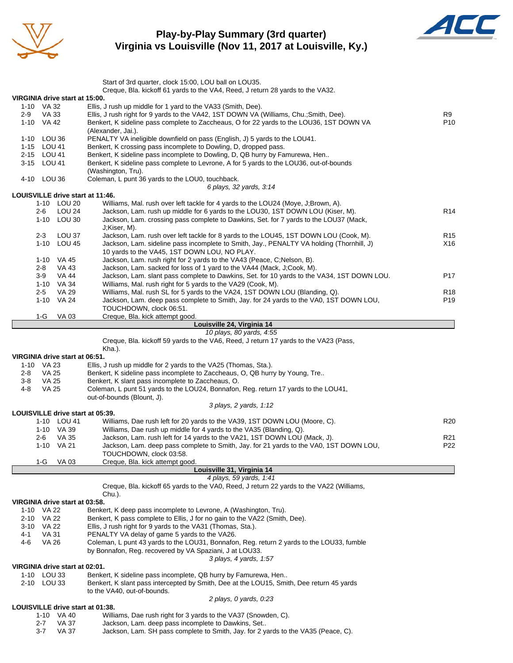

#### **Play-by-Play Summary (3rd quarter) Virginia vs Louisville (Nov 11, 2017 at Louisville, Ky.)**



|                                                                                           | Start of 3rd quarter, clock 15:00, LOU ball on LOU35.                                                                                                  |                 |  |  |  |  |  |  |  |  |
|-------------------------------------------------------------------------------------------|--------------------------------------------------------------------------------------------------------------------------------------------------------|-----------------|--|--|--|--|--|--|--|--|
|                                                                                           | Creque, Bla. kickoff 61 yards to the VA4, Reed, J return 28 yards to the VA32.                                                                         |                 |  |  |  |  |  |  |  |  |
| VIRGINIA drive start at 15:00.                                                            |                                                                                                                                                        |                 |  |  |  |  |  |  |  |  |
| 1-10 VA 32<br>VA 33<br>2-9                                                                | Ellis, J rush up middle for 1 yard to the VA33 (Smith, Dee).<br>Ellis, J rush right for 9 yards to the VA42, 1ST DOWN VA (Williams, Chu.; Smith, Dee). |                 |  |  |  |  |  |  |  |  |
| 1-10 VA 42                                                                                | Benkert, K sideline pass complete to Zaccheaus, O for 22 yards to the LOU36, 1ST DOWN VA                                                               |                 |  |  |  |  |  |  |  |  |
|                                                                                           | (Alexander, Jai.).                                                                                                                                     | P <sub>10</sub> |  |  |  |  |  |  |  |  |
| 1-10 LOU 36<br>PENALTY VA ineligible downfield on pass (English, J) 5 yards to the LOU41. |                                                                                                                                                        |                 |  |  |  |  |  |  |  |  |
| 1-15 LOU 41                                                                               | Benkert, K crossing pass incomplete to Dowling, D, dropped pass.                                                                                       |                 |  |  |  |  |  |  |  |  |
| 2-15 LOU 41                                                                               | Benkert, K sideline pass incomplete to Dowling, D, QB hurry by Famurewa, Hen                                                                           |                 |  |  |  |  |  |  |  |  |
| 3-15 LOU 41                                                                               | Benkert, K sideline pass complete to Levrone, A for 5 yards to the LOU36, out-of-bounds                                                                |                 |  |  |  |  |  |  |  |  |
| 4-10 LOU 36                                                                               | (Washington, Tru).<br>Coleman, L punt 36 yards to the LOU0, touchback.                                                                                 |                 |  |  |  |  |  |  |  |  |
|                                                                                           | 6 plays, 32 yards, 3:14                                                                                                                                |                 |  |  |  |  |  |  |  |  |
| LOUISVILLE drive start at 11:46.                                                          |                                                                                                                                                        |                 |  |  |  |  |  |  |  |  |
| 1-10 LOU 20                                                                               | Williams, Mal. rush over left tackle for 4 yards to the LOU24 (Moye, J;Brown, A).                                                                      |                 |  |  |  |  |  |  |  |  |
| LOU <sub>24</sub><br>2-6                                                                  | Jackson, Lam. rush up middle for 6 yards to the LOU30, 1ST DOWN LOU (Kiser, M).                                                                        | R <sub>14</sub> |  |  |  |  |  |  |  |  |
| 1-10 LOU 30                                                                               | Jackson, Lam. crossing pass complete to Dawkins, Set. for 7 yards to the LOU37 (Mack,                                                                  |                 |  |  |  |  |  |  |  |  |
|                                                                                           | J;Kiser, M).                                                                                                                                           |                 |  |  |  |  |  |  |  |  |
| $2 - 3$<br>LOU 37                                                                         | Jackson, Lam. rush over left tackle for 8 yards to the LOU45, 1ST DOWN LOU (Cook, M).                                                                  | R <sub>15</sub> |  |  |  |  |  |  |  |  |
| 1-10 LOU 45                                                                               | Jackson, Lam. sideline pass incomplete to Smith, Jay., PENALTY VA holding (Thornhill, J)                                                               | X16             |  |  |  |  |  |  |  |  |
| 1-10 VA 45                                                                                | 10 yards to the VA45, 1ST DOWN LOU, NO PLAY.<br>Jackson, Lam. rush right for 2 yards to the VA43 (Peace, C;Nelson, B).                                 |                 |  |  |  |  |  |  |  |  |
| 2-8<br>VA 43                                                                              | Jackson, Lam. sacked for loss of 1 yard to the VA44 (Mack, J;Cook, M).                                                                                 |                 |  |  |  |  |  |  |  |  |
| 3-9<br>VA 44                                                                              | Jackson, Lam. slant pass complete to Dawkins, Set. for 10 yards to the VA34, 1ST DOWN LOU.                                                             | P17             |  |  |  |  |  |  |  |  |
| 1-10 VA 34                                                                                | Williams, Mal. rush right for 5 yards to the VA29 (Cook, M).                                                                                           |                 |  |  |  |  |  |  |  |  |
| VA 29<br>$2 - 5$                                                                          | Williams, Mal. rush SL for 5 yards to the VA24, 1ST DOWN LOU (Blanding, Q).                                                                            | R <sub>18</sub> |  |  |  |  |  |  |  |  |
| 1-10 VA 24                                                                                | Jackson, Lam. deep pass complete to Smith, Jay. for 24 yards to the VA0, 1ST DOWN LOU,                                                                 | P <sub>19</sub> |  |  |  |  |  |  |  |  |
|                                                                                           | TOUCHDOWN, clock 06:51.                                                                                                                                |                 |  |  |  |  |  |  |  |  |
| 1-G<br>VA 03                                                                              | Creque, Bla. kick attempt good.                                                                                                                        |                 |  |  |  |  |  |  |  |  |
|                                                                                           | Louisville 24, Virginia 14<br>10 plays, 80 yards, 4:55                                                                                                 |                 |  |  |  |  |  |  |  |  |
|                                                                                           | Creque, Bla. kickoff 59 yards to the VA6, Reed, J return 17 yards to the VA23 (Pass,                                                                   |                 |  |  |  |  |  |  |  |  |
|                                                                                           | Kha.).                                                                                                                                                 |                 |  |  |  |  |  |  |  |  |
|                                                                                           |                                                                                                                                                        |                 |  |  |  |  |  |  |  |  |
| VIRGINIA drive start at 06:51.                                                            |                                                                                                                                                        |                 |  |  |  |  |  |  |  |  |
| 1-10 VA 23                                                                                | Ellis, J rush up middle for 2 yards to the VA25 (Thomas, Sta.).                                                                                        |                 |  |  |  |  |  |  |  |  |
| VA 25<br>2-8                                                                              | Benkert, K sideline pass incomplete to Zaccheaus, O, QB hurry by Young, Tre                                                                            |                 |  |  |  |  |  |  |  |  |
| VA 25<br>3-8                                                                              | Benkert, K slant pass incomplete to Zaccheaus, O.                                                                                                      |                 |  |  |  |  |  |  |  |  |
| 4-8<br><b>VA 25</b>                                                                       | Coleman, L punt 51 yards to the LOU24, Bonnafon, Reg. return 17 yards to the LOU41,                                                                    |                 |  |  |  |  |  |  |  |  |
|                                                                                           | out-of-bounds (Blount, J).                                                                                                                             |                 |  |  |  |  |  |  |  |  |
|                                                                                           | 3 plays, 2 yards, 1:12                                                                                                                                 |                 |  |  |  |  |  |  |  |  |
| LOUISVILLE drive start at 05:39.<br>1-10 LOU 41                                           |                                                                                                                                                        | R20             |  |  |  |  |  |  |  |  |
| 1-10 VA 39                                                                                | Williams, Dae rush left for 20 yards to the VA39, 1ST DOWN LOU (Moore, C).<br>Williams, Dae rush up middle for 4 yards to the VA35 (Blanding, Q).      |                 |  |  |  |  |  |  |  |  |
| 2-6<br>VA 35                                                                              | Jackson, Lam. rush left for 14 yards to the VA21, 1ST DOWN LOU (Mack, J).                                                                              | R <sub>21</sub> |  |  |  |  |  |  |  |  |
| 1-10 VA 21                                                                                | Jackson, Lam. deep pass complete to Smith, Jay. for 21 yards to the VA0, 1ST DOWN LOU,                                                                 | P22             |  |  |  |  |  |  |  |  |
|                                                                                           | TOUCHDOWN, clock 03:58.                                                                                                                                |                 |  |  |  |  |  |  |  |  |
| $1-G$<br>VA 03                                                                            | Creque, Bla. kick attempt good.                                                                                                                        |                 |  |  |  |  |  |  |  |  |
|                                                                                           | Louisville 31, Virginia 14                                                                                                                             |                 |  |  |  |  |  |  |  |  |
|                                                                                           | 4 plays, 59 yards, 1:41                                                                                                                                |                 |  |  |  |  |  |  |  |  |
|                                                                                           | Creque, Bla. kickoff 65 yards to the VA0, Reed, J return 22 yards to the VA22 (Williams,<br>Chu.).                                                     |                 |  |  |  |  |  |  |  |  |
| VIRGINIA drive start at 03:58.                                                            |                                                                                                                                                        |                 |  |  |  |  |  |  |  |  |
| 1-10 VA 22                                                                                | Benkert, K deep pass incomplete to Levrone, A (Washington, Tru).                                                                                       |                 |  |  |  |  |  |  |  |  |
| 2-10 VA 22                                                                                | Benkert, K pass complete to Ellis, J for no gain to the VA22 (Smith, Dee).                                                                             |                 |  |  |  |  |  |  |  |  |
| 3-10 VA 22                                                                                | Ellis, J rush right for 9 yards to the VA31 (Thomas, Sta.).                                                                                            |                 |  |  |  |  |  |  |  |  |
| <b>VA 31</b><br>4-1                                                                       | PENALTY VA delay of game 5 yards to the VA26.                                                                                                          |                 |  |  |  |  |  |  |  |  |
| 4-6<br>VA 26                                                                              | Coleman, L punt 43 yards to the LOU31, Bonnafon, Reg. return 2 yards to the LOU33, fumble                                                              |                 |  |  |  |  |  |  |  |  |
|                                                                                           | by Bonnafon, Reg. recovered by VA Spaziani, J at LOU33.                                                                                                |                 |  |  |  |  |  |  |  |  |
| VIRGINIA drive start at 02:01.                                                            | 3 plays, 4 yards, 1:57                                                                                                                                 |                 |  |  |  |  |  |  |  |  |
| 1-10 LOU 33                                                                               | Benkert, K sideline pass incomplete, QB hurry by Famurewa, Hen                                                                                         |                 |  |  |  |  |  |  |  |  |
| 2-10 LOU 33                                                                               | Benkert, K slant pass intercepted by Smith, Dee at the LOU15, Smith, Dee return 45 yards                                                               |                 |  |  |  |  |  |  |  |  |
|                                                                                           | to the VA40, out-of-bounds.                                                                                                                            |                 |  |  |  |  |  |  |  |  |
|                                                                                           | 2 plays, 0 yards, 0.23                                                                                                                                 |                 |  |  |  |  |  |  |  |  |
| LOUISVILLE drive start at 01:38.                                                          |                                                                                                                                                        |                 |  |  |  |  |  |  |  |  |
| 1-10 VA 40                                                                                | Williams, Dae rush right for 3 yards to the VA37 (Snowden, C).                                                                                         |                 |  |  |  |  |  |  |  |  |
| 2-7<br>VA 37<br><b>VA 37</b><br>3-7                                                       | Jackson, Lam. deep pass incomplete to Dawkins, Set<br>Jackson, Lam. SH pass complete to Smith, Jay. for 2 yards to the VA35 (Peace, C).                |                 |  |  |  |  |  |  |  |  |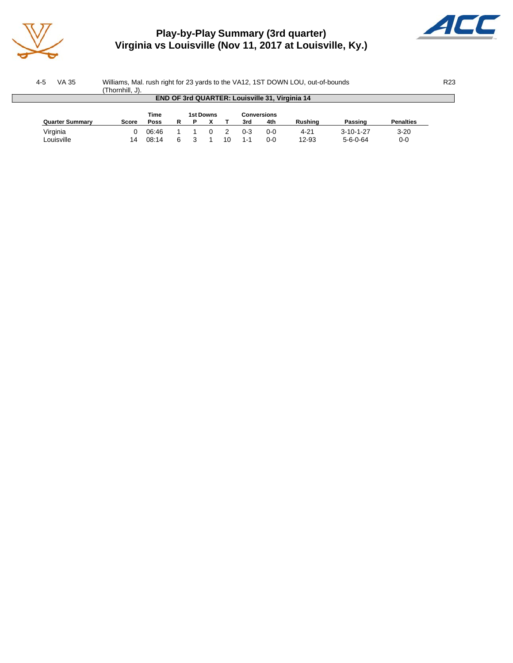

## **Play-by-Play Summary (3rd quarter) Virginia vs Louisville (Nov 11, 2017 at Louisville, Ky.)**



| VA 35<br>$4-5$         | Williams, Mal. rush right for 23 yards to the VA12, 1ST DOWN LOU, out-of-bounds |             |    |                          |  |    |     |                                                       |          |                   |                  | R <sub>23</sub> |
|------------------------|---------------------------------------------------------------------------------|-------------|----|--------------------------|--|----|-----|-------------------------------------------------------|----------|-------------------|------------------|-----------------|
|                        | (Thornhill, J).                                                                 |             |    |                          |  |    |     |                                                       |          |                   |                  |                 |
|                        |                                                                                 |             |    |                          |  |    |     | <b>END OF 3rd QUARTER: Louisville 31, Virginia 14</b> |          |                   |                  |                 |
|                        |                                                                                 |             |    |                          |  |    |     |                                                       |          |                   |                  |                 |
|                        |                                                                                 | <b>Time</b> |    | 1st Downs<br>Conversions |  |    |     |                                                       |          |                   |                  |                 |
| <b>Quarter Summary</b> | Score                                                                           | <b>Poss</b> |    |                          |  |    | 3rd | 4th                                                   | Rushina  | Passing           | <b>Penalties</b> |                 |
| Virginia               |                                                                                 | 06:46       |    |                          |  |    | 0-3 | 0-0                                                   | $4 - 21$ | $3 - 10 - 1 - 27$ | $3 - 20$         |                 |
| Louisville             | 14                                                                              | 08:14       | ิค |                          |  | 10 | 1-1 | $0 - 0$                                               | 12-93    | $5 - 6 - 0 - 64$  | 0-0              |                 |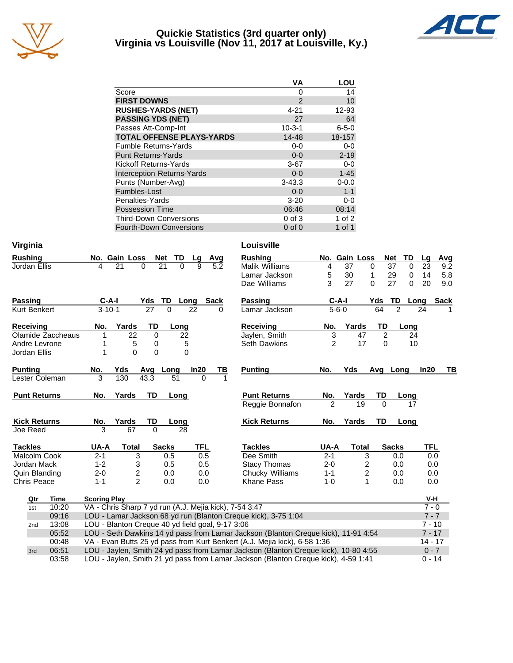

#### **Quickie Statistics (3rd quarter only) Virginia vs Louisville (Nov 11, 2017 at Louisville, Ky.)**



|                                   | VA           | LOU             |
|-----------------------------------|--------------|-----------------|
| Score                             | 0            | 14              |
| <b>FIRST DOWNS</b>                | 2            | 10 <sup>1</sup> |
| <b>RUSHES-YARDS (NET)</b>         | $4 - 21$     | 12-93           |
| <b>PASSING YDS (NET)</b>          | 27           | 64              |
| Passes Att-Comp-Int               | $10 - 3 - 1$ | $6 - 5 - 0$     |
| <b>TOTAL OFFENSE PLAYS-YARDS</b>  | 14-48        | 18-157          |
| <b>Fumble Returns-Yards</b>       | $0-0$        | $0-0$           |
| <b>Punt Returns-Yards</b>         | $0 - 0$      | $2 - 19$        |
| Kickoff Returns-Yards             | $3-67$       | $0-0$           |
| <b>Interception Returns-Yards</b> | $0 - 0$      | $1 - 45$        |
| Punts (Number-Avg)                | $3 - 43.3$   | $0 - 0.0$       |
| Fumbles-Lost                      | $0 - 0$      | $1 - 1$         |
| Penalties-Yards                   | $3 - 20$     | $0-0$           |
| <b>Possession Time</b>            | 06:46        | 08:14           |
| <b>Third-Down Conversions</b>     | $0$ of $3$   | $1$ of $2$      |
| <b>Fourth-Down Conversions</b>    | $0$ of $0$   | $1$ of $1$      |

| Virginia            |                 |                   |                                                                   |                         |                 |                  |            |      | Louisville                                                                          |                |               |                         |                |                  |            |             |
|---------------------|-----------------|-------------------|-------------------------------------------------------------------|-------------------------|-----------------|------------------|------------|------|-------------------------------------------------------------------------------------|----------------|---------------|-------------------------|----------------|------------------|------------|-------------|
| <b>Rushing</b>      |                 |                   |                                                                   | No. Gain Loss           |                 | TD<br><b>Net</b> | Lg         | Avg  | <b>Rushing</b>                                                                      |                | No. Gain Loss |                         |                | <b>Net</b><br>TD | Lg         | Avg         |
| Jordan Ellis        |                 |                   | 4                                                                 | 21                      | $\Omega$        | 21<br>$\Omega$   | 9          | 5.2  | <b>Malik Williams</b>                                                               | 4              | 37            | $\Omega$                |                | 37<br>$\Omega$   | 23         | 9.2         |
|                     |                 |                   |                                                                   |                         |                 |                  |            |      | Lamar Jackson                                                                       | 5              | 30            | 1                       |                | 29<br>0          | 14         | 5.8         |
|                     |                 |                   |                                                                   |                         |                 |                  |            |      | Dae Williams                                                                        | 3              | 27            | $\Omega$                |                | 27<br>$\Omega$   | 20         | 9.0         |
| <b>Passing</b>      |                 |                   | $C-A-I$                                                           |                         | Yds             | TD<br>Long       |            | Sack | Passing                                                                             |                | $C-A-I$       |                         | Yds            | TD               | Long       | <b>Sack</b> |
| <b>Kurt Benkert</b> |                 |                   | $3 - 10 - 1$                                                      |                         | $\overline{27}$ | $\Omega$         | 22         | 0    | Lamar Jackson                                                                       |                | $5 - 6 - 0$   |                         | 64             | $\overline{2}$   | 24         |             |
| <b>Receiving</b>    |                 |                   | No.                                                               | Yards                   | TD              | Long             |            |      | Receiving                                                                           | No.            | Yards         |                         | TD             | Long             |            |             |
|                     |                 | Olamide Zaccheaus | 1                                                                 | 22                      | 0               | 22               |            |      | Jaylen, Smith                                                                       | 3              |               | 47                      | $\overline{2}$ | 24               |            |             |
| Andre Levrone       |                 |                   | 1                                                                 | 5                       | 0               | 5                |            |      | <b>Seth Dawkins</b>                                                                 | $\overline{2}$ |               | 17                      | $\Omega$       | 10               |            |             |
| Jordan Ellis        |                 |                   | 1                                                                 | $\Omega$                | 0               | 0                |            |      |                                                                                     |                |               |                         |                |                  |            |             |
| <b>Punting</b>      |                 |                   | No.                                                               | Yds                     | Avg             | Long             | In20       | ΤВ   | <b>Punting</b>                                                                      | No.            | Yds           |                         | Avg            | Long             | In20       | TВ          |
| Lester Coleman      |                 |                   | 3                                                                 | 130                     | 43.3            | 51               | $\Omega$   |      |                                                                                     |                |               |                         |                |                  |            |             |
| <b>Punt Returns</b> |                 |                   | No.                                                               | Yards                   | <b>TD</b>       | Long             |            |      | <b>Punt Returns</b>                                                                 | No.            | Yards         |                         | TD             | Long             |            |             |
|                     |                 |                   |                                                                   |                         |                 |                  |            |      | Reggie Bonnafon                                                                     | $\overline{2}$ |               | 19                      | $\Omega$       | 17               |            |             |
| <b>Kick Returns</b> |                 |                   | No.                                                               | Yards                   | TD              | Long             |            |      | <b>Kick Returns</b>                                                                 | No.            | Yards         |                         | TD             | Long             |            |             |
| Joe Reed            |                 |                   | 3                                                                 | 67                      | $\Omega$        | 28               |            |      |                                                                                     |                |               |                         |                |                  |            |             |
| <b>Tackles</b>      |                 |                   | UA-A                                                              | <b>Total</b>            |                 | <b>Sacks</b>     | <b>TFL</b> |      | <b>Tackles</b>                                                                      | UA-A           |               | <b>Total</b>            |                | <b>Sacks</b>     | <b>TFL</b> |             |
| Malcolm Cook        |                 |                   | $2 - 1$                                                           | 3                       |                 | 0.5              | 0.5        |      | Dee Smith                                                                           | $2 - 1$        |               | 3                       |                | 0.0              | 0.0        |             |
| Jordan Mack         |                 |                   | $1 - 2$                                                           | 3                       |                 | 0.5              | 0.5        |      | <b>Stacy Thomas</b>                                                                 | $2 - 0$        |               | $\overline{\mathbf{c}}$ |                | 0.0              | 0.0        |             |
| Quin Blanding       |                 |                   | $2 - 0$                                                           | $\overline{\mathbf{c}}$ |                 | 0.0              | 0.0        |      | Chucky Williams                                                                     | $1 - 1$        |               | $\boldsymbol{2}$        |                | 0.0              | 0.0        |             |
| <b>Chris Peace</b>  |                 |                   | $1 - 1$                                                           | $\overline{2}$          |                 | 0.0              | 0.0        |      | Khane Pass                                                                          | $1 - 0$        |               | 1                       |                | 0.0              | 0.0        |             |
|                     | Qtr             | <b>Time</b>       | <b>Scoring Play</b>                                               |                         |                 |                  |            |      |                                                                                     |                |               |                         |                |                  | V-H        |             |
|                     | 1st             | 10:20             | VA - Chris Sharp 7 yd run (A.J. Mejia kick), 7-54 3:47<br>$7 - 0$ |                         |                 |                  |            |      |                                                                                     |                |               |                         |                |                  |            |             |
|                     |                 | 09:16             | LOU - Lamar Jackson 68 yd run (Blanton Creque kick), 3-75 1:04    |                         |                 |                  |            |      |                                                                                     |                |               | $7 - 7$                 |                |                  |            |             |
|                     | 2 <sub>nd</sub> | 13:08             | LOU - Blanton Creque 40 yd field goal, 9-17 3:06                  |                         |                 |                  |            |      |                                                                                     |                |               | $7 - 10$                |                |                  |            |             |
|                     |                 | 05:52             |                                                                   |                         |                 |                  |            |      | LOU - Seth Dawkins 14 yd pass from Lamar Jackson (Blanton Creque kick), 11-91 4:54  |                |               |                         |                |                  | $7 - 17$   |             |
|                     |                 | 00:48             |                                                                   |                         |                 |                  |            |      | VA - Evan Butts 25 yd pass from Kurt Benkert (A.J. Mejia kick), 6-58 1:36           |                |               |                         |                |                  | $14 - 17$  |             |
|                     | 3rd             | 06:51             |                                                                   |                         |                 |                  |            |      | LOU - Jaylen, Smith 24 yd pass from Lamar Jackson (Blanton Creque kick), 10-80 4:55 |                |               |                         |                |                  | $0 - 7$    |             |
|                     |                 | 03:58             |                                                                   |                         |                 |                  |            |      | LOU - Jaylen, Smith 21 yd pass from Lamar Jackson (Blanton Creque kick), 4-59 1:41  |                |               |                         |                |                  | $0 - 14$   |             |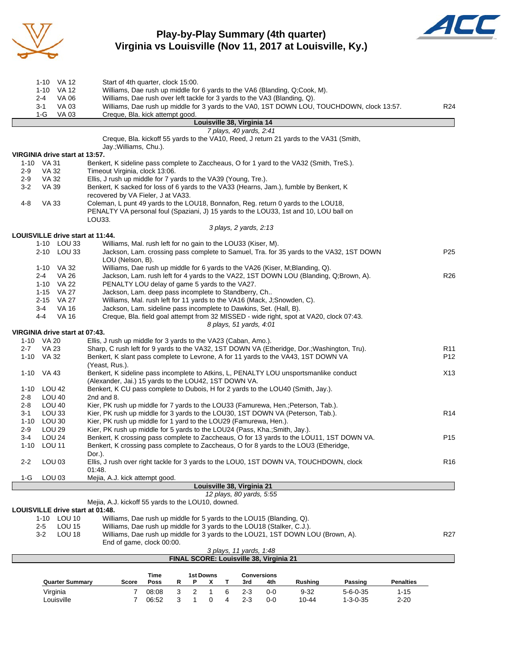

## **Play-by-Play Summary (4th quarter) Virginia vs Louisville (Nov 11, 2017 at Louisville, Ky.)**



| 1-10 VA 12                            | Start of 4th quarter, clock 15:00.                                                                                                                                       |                  |
|---------------------------------------|--------------------------------------------------------------------------------------------------------------------------------------------------------------------------|------------------|
| 1-10 VA 12                            | Williams, Dae rush up middle for 6 yards to the VA6 (Blanding, Q;Cook, M).                                                                                               |                  |
| <b>VA 06</b><br>2-4                   | Williams, Dae rush over left tackle for 3 yards to the VA3 (Blanding, Q).                                                                                                |                  |
| 3-1<br>VA 03                          | Williams, Dae rush up middle for 3 yards to the VA0, 1ST DOWN LOU, TOUCHDOWN, clock 13:57.                                                                               | R24              |
| 1-G<br><b>VA 03</b>                   | Creque, Bla. kick attempt good.                                                                                                                                          |                  |
|                                       | Louisville 38, Virginia 14<br>7 plays, 40 yards, 2:41                                                                                                                    |                  |
|                                       | Creque, Bla. kickoff 55 yards to the VA10, Reed, J return 21 yards to the VA31 (Smith,                                                                                   |                  |
|                                       | Jay.; Williams, Chu.).                                                                                                                                                   |                  |
| VIRGINIA drive start at 13:57.        |                                                                                                                                                                          |                  |
| 1-10 VA 31                            | Benkert, K sideline pass complete to Zaccheaus, O for 1 yard to the VA32 (Smith, TreS.).                                                                                 |                  |
| VA 32<br>2-9                          | Timeout Virginia, clock 13:06.                                                                                                                                           |                  |
| VA 32<br>2-9<br>$3-2$<br>VA 39        | Ellis, J rush up middle for 7 yards to the VA39 (Young, Tre.).<br>Benkert, K sacked for loss of 6 yards to the VA33 (Hearns, Jam.), fumble by Benkert, K                 |                  |
|                                       | recovered by VA Fieler, J at VA33.                                                                                                                                       |                  |
| 4-8<br>VA 33                          | Coleman, L punt 49 yards to the LOU18, Bonnafon, Reg. return 0 yards to the LOU18,                                                                                       |                  |
|                                       | PENALTY VA personal foul (Spaziani, J) 15 yards to the LOU33, 1st and 10, LOU ball on                                                                                    |                  |
|                                       | LOU33.                                                                                                                                                                   |                  |
|                                       | 3 plays, 2 yards, 2:13                                                                                                                                                   |                  |
| LOUISVILLE drive start at 11:44.      |                                                                                                                                                                          |                  |
| 1-10 LOU 33                           | Williams, Mal. rush left for no gain to the LOU33 (Kiser, M).                                                                                                            |                  |
| 2-10 LOU 33                           | Jackson, Lam. crossing pass complete to Samuel, Tra. for 35 yards to the VA32, 1ST DOWN<br>LOU (Nelson, B).                                                              | P <sub>25</sub>  |
| 1-10 VA 32                            | Williams, Dae rush up middle for 6 yards to the VA26 (Kiser, M;Blanding, Q).                                                                                             |                  |
| 2-4<br>VA 26                          | Jackson, Lam. rush left for 4 yards to the VA22, 1ST DOWN LOU (Blanding, Q;Brown, A).                                                                                    | R <sub>26</sub>  |
| 1-10 VA 22                            | PENALTY LOU delay of game 5 yards to the VA27.                                                                                                                           |                  |
| 1-15 VA 27                            | Jackson, Lam. deep pass incomplete to Standberry, Ch                                                                                                                     |                  |
| 2-15 VA 27                            | Williams, Mal. rush left for 11 yards to the VA16 (Mack, J;Snowden, C).                                                                                                  |                  |
| 3-4<br>VA 16<br>$4-4$<br><b>VA 16</b> | Jackson, Lam. sideline pass incomplete to Dawkins, Set. (Hall, B).<br>Creque, Bla. field goal attempt from 32 MISSED - wide right, spot at VA20, clock 07:43.            |                  |
|                                       | 8 plays, 51 yards, 4:01                                                                                                                                                  |                  |
| VIRGINIA drive start at 07:43.        |                                                                                                                                                                          |                  |
| 1-10 VA 20                            | Ellis, J rush up middle for 3 yards to the VA23 (Caban, Amo.).                                                                                                           |                  |
| VA 23<br>2-7                          | Sharp, C rush left for 9 yards to the VA32, 1ST DOWN VA (Etheridge, Dor.; Washington, Tru).                                                                              | R <sub>11</sub>  |
| 1-10 VA 32                            | Benkert, K slant pass complete to Levrone, A for 11 yards to the VA43, 1ST DOWN VA                                                                                       | P12              |
| 1-10 VA 43                            | (Yeast, Rus.).<br>Benkert, K sideline pass incomplete to Atkins, L, PENALTY LOU unsportsmanlike conduct                                                                  | X13              |
|                                       | (Alexander, Jai.) 15 yards to the LOU42, 1ST DOWN VA.                                                                                                                    |                  |
| 1-10 LOU 42                           | Benkert, K CU pass complete to Dubois, H for 2 yards to the LOU40 (Smith, Jay.).                                                                                         |                  |
| <b>LOU 40</b><br>2-8                  | 2nd and 8.                                                                                                                                                               |                  |
| <b>LOU 40</b><br>2-8                  | Kier, PK rush up middle for 7 yards to the LOU33 (Famurewa, Hen.; Peterson, Tab.).                                                                                       |                  |
| LOU <sub>33</sub><br>3-1              | Kier, PK rush up middle for 3 yards to the LOU30, 1ST DOWN VA (Peterson, Tab.).                                                                                          | R <sub>14</sub>  |
| LOU 30<br>1-10                        | Kier, PK rush up middle for 1 yard to the LOU29 (Famurewa, Hen.).                                                                                                        |                  |
| 2-9<br>LOU 29<br><b>LOU 24</b><br>3-4 | Kier, PK rush up middle for 5 yards to the LOU24 (Pass, Kha.; Smith, Jay.).<br>Benkert, K crossing pass complete to Zaccheaus, O for 13 yards to the LOU11, 1ST DOWN VA. | P <sub>15</sub>  |
| 1-10<br>LOU 11                        | Benkert, K crossing pass complete to Zaccheaus, O for 8 yards to the LOU3 (Etheridge,                                                                                    |                  |
|                                       | Dor.).                                                                                                                                                                   |                  |
| $2 - 2$<br>LOU 03                     | Ellis, J rush over right tackle for 3 yards to the LOU0, 1ST DOWN VA, TOUCHDOWN, clock                                                                                   | R <sub>16</sub>  |
|                                       | 01:48.                                                                                                                                                                   |                  |
| LOU 03<br>1-G                         | Mejia, A.J. kick attempt good.                                                                                                                                           |                  |
|                                       | Louisville 38, Virginia 21<br>12 plays, 80 yards, 5:55                                                                                                                   |                  |
|                                       | Mejia, A.J. kickoff 55 yards to the LOU10, downed.                                                                                                                       |                  |
| LOUISVILLE drive start at 01:48.      |                                                                                                                                                                          |                  |
| 1-10 LOU 10                           | Williams, Dae rush up middle for 5 yards to the LOU15 (Blanding, Q).                                                                                                     |                  |
| <b>LOU 15</b><br>$2 - 5$              | Williams, Dae rush up middle for 3 yards to the LOU18 (Stalker, C.J.).                                                                                                   |                  |
| <b>LOU 18</b><br>3-2                  | Williams, Dae rush up middle for 3 yards to the LOU21, 1ST DOWN LOU (Brown, A).                                                                                          | R <sub>27</sub>  |
|                                       | End of game, clock 00:00.<br>3 plays, 11 yards, 1:48                                                                                                                     |                  |
|                                       | FINAL SCORE: Louisville 38, Virginia 21                                                                                                                                  |                  |
|                                       |                                                                                                                                                                          |                  |
|                                       | Time<br><b>1st Downs</b><br><b>Conversions</b>                                                                                                                           |                  |
| <b>Quarter Summary</b>                | Score<br>Poss<br>R<br>x<br>3rd<br>4th<br>Rushing<br>Passing<br>Ρ<br>Т                                                                                                    | <b>Penalties</b> |
| Virginia                              | 3<br>$\overline{2}$<br>6<br>$\overline{7}$<br>08:08<br>1<br>$2 - 3$<br>$0-0$<br>$9 - 32$<br>$5 - 6 - 0 - 35$                                                             | $1 - 15$         |

Louisville 7 06:52 3 1 0 4 2-3 0-0 10-44 1-3-0-35 2-20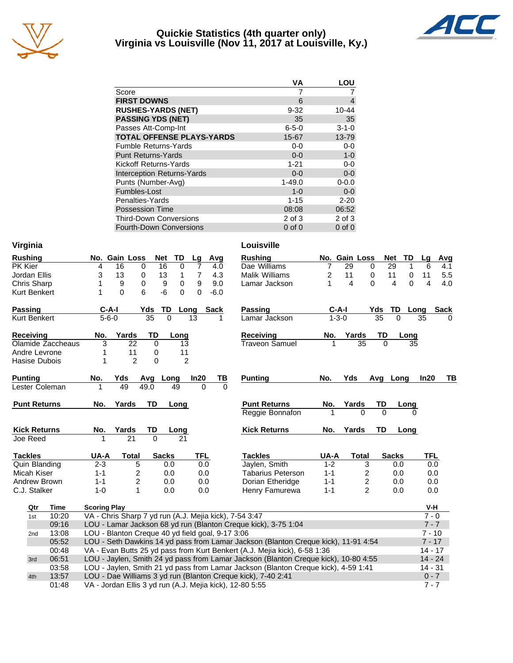

#### **Quickie Statistics (4th quarter only) Virginia vs Louisville (Nov 11, 2017 at Louisville, Ky.)**



|                                   | VA          | LOU         |
|-----------------------------------|-------------|-------------|
| Score                             |             |             |
| <b>FIRST DOWNS</b>                | 6           | 4           |
| <b>RUSHES-YARDS (NET)</b>         | $9 - 32$    | 10-44       |
| <b>PASSING YDS (NET)</b>          | 35          | 35          |
| Passes Att-Comp-Int               | $6 - 5 - 0$ | $3 - 1 - 0$ |
| <b>TOTAL OFFENSE PLAYS-YARDS</b>  | 15-67       | 13-79       |
| <b>Fumble Returns-Yards</b>       | $0-0$       | $0-0$       |
| <b>Punt Returns-Yards</b>         | $0 - 0$     | $1-0$       |
| <b>Kickoff Returns-Yards</b>      | $1 - 21$    | $0-0$       |
| <b>Interception Returns-Yards</b> | $0 - 0$     | $0-0$       |
| Punts (Number-Avg)                | $1 - 49.0$  | $0 - 0.0$   |
| Fumbles-Lost                      | $1 - 0$     | $0-0$       |
| Penalties-Yards                   | $1 - 15$    | $2 - 20$    |
| <b>Possession Time</b>            | 08:08       | 06:52       |
| <b>Third-Down Conversions</b>     | 2 of 3      | $2$ of $3$  |
| Fourth-Down Conversions           | $0$ of $0$  | $0$ of $0$  |

| Virginia             |                   |                     |                                                        |                 |                |                |             | Louisville                                                                          |             |                 |                 |                        |                     |             |
|----------------------|-------------------|---------------------|--------------------------------------------------------|-----------------|----------------|----------------|-------------|-------------------------------------------------------------------------------------|-------------|-----------------|-----------------|------------------------|---------------------|-------------|
| <b>Rushing</b>       |                   |                     | No. Gain Loss                                          | <b>Net</b>      | TD             | Lg             | Avg         | <b>Rushing</b>                                                                      |             | No. Gain Loss   |                 | <b>Net</b><br>TD       | Lg                  | Avg         |
| PK Kier              |                   | 4                   | 16<br>0                                                | 16              | $\mathbf 0$    | $\overline{7}$ | 4.0         | Dae Williams                                                                        | 7           | 29              | 0               | 29                     | 1<br>6              | 4.1         |
| Jordan Ellis         |                   | 3                   | 13<br>0                                                | 13              | 1              | 7              | 4.3         | Malik Williams                                                                      | 2           | 11              | 0               | 11                     | 0<br>11             | 5.5         |
| Chris Sharp          |                   | 1                   | 9<br>0                                                 | 9               | $\mathbf 0$    | 9              | 9.0         | Lamar Jackson                                                                       | 1           | 4               | $\Omega$        | $\boldsymbol{\Lambda}$ | $\overline{4}$<br>0 | 4.0         |
| <b>Kurt Benkert</b>  |                   | 1                   | $\Omega$<br>6                                          | -6              | 0              | 0              | $-6.0$      |                                                                                     |             |                 |                 |                        |                     |             |
| <b>Passing</b>       |                   | $C-A-I$             |                                                        | Yds<br>TD       | Long           |                | <b>Sack</b> | <b>Passing</b>                                                                      | $C-A-I$     |                 | Yds             | TD                     | Long                | <b>Sack</b> |
| <b>Kurt Benkert</b>  |                   | $5 - 6 - 0$         |                                                        | $\overline{35}$ | $\overline{0}$ | 13             |             | Lamar Jackson                                                                       | $1 - 3 - 0$ |                 | $\overline{35}$ | $\overline{0}$         | 35                  |             |
| <b>Receiving</b>     |                   | No.                 | Yards                                                  | TD              | Long           |                |             | Receiving                                                                           | No.         | Yards           | TD              | Long                   |                     |             |
|                      | Olamide Zaccheaus | 3                   | 22                                                     | $\Omega$        | 13             |                |             | <b>Traveon Samuel</b>                                                               | 1           | $\overline{35}$ | $\Omega$        |                        | 35                  |             |
| Andre Levrone        |                   | 1                   | 11                                                     | 0               | 11             |                |             |                                                                                     |             |                 |                 |                        |                     |             |
| Hasise Dubois        |                   | 1                   | $\overline{2}$                                         | 0               | $\overline{2}$ |                |             |                                                                                     |             |                 |                 |                        |                     |             |
| <b>Punting</b>       |                   | No.                 | Yds                                                    | Avg Long        |                | In20           | <u>ТВ</u>   | <b>Punting</b>                                                                      | No.         | Yds             |                 | Avg Long               | In20                | TВ          |
| Lester Coleman       |                   | 1                   | 49                                                     | 49.0            | 49             | $\Omega$       | $\Omega$    |                                                                                     |             |                 |                 |                        |                     |             |
| <b>Punt Returns</b>  |                   | No.                 | Yards                                                  | TD              | Long           |                |             | <b>Punt Returns</b>                                                                 | No.         | Yards           | TD              | Long                   |                     |             |
|                      |                   |                     |                                                        |                 |                |                |             | Reggie Bonnafon                                                                     |             | $\Omega$        | $\Omega$        |                        | 0                   |             |
| <b>Kick Returns</b>  |                   | No.                 | Yards                                                  | TD              | Long           |                |             | <b>Kick Returns</b>                                                                 | No.         | Yards           | TD              | Long                   |                     |             |
| Joe Reed             |                   | 1                   | 21                                                     | $\Omega$        | 21             |                |             |                                                                                     |             |                 |                 |                        |                     |             |
| <b>Tackles</b>       |                   | UA-A                | <b>Total</b>                                           | <b>Sacks</b>    |                | <b>TFL</b>     |             | <b>Tackles</b>                                                                      | UA-A        | <b>Total</b>    |                 | <b>Sacks</b>           | <b>TFL</b>          |             |
| <b>Quin Blanding</b> |                   | $2 - 3$             | 5                                                      |                 | 0.0            | 0.0            |             | Jaylen, Smith                                                                       | $1 - 2$     |                 | 3               | 0.0                    |                     | 0.0         |
| Micah Kiser          |                   | $1 - 1$             | $\overline{c}$                                         |                 | 0.0            | 0.0            |             | <b>Tabarius Peterson</b>                                                            | $1 - 1$     |                 | $\overline{c}$  | 0.0                    |                     | 0.0         |
| Andrew Brown         |                   | $1 - 1$             | 2                                                      |                 | 0.0            | 0.0            |             | Dorian Etheridge                                                                    | $1 - 1$     |                 | $\overline{c}$  | 0.0                    |                     | 0.0         |
| C.J. Stalker         |                   | $1 - 0$             | 1                                                      |                 | 0.0            | 0.0            |             | Henry Famurewa                                                                      | $1 - 1$     |                 | $\overline{2}$  | 0.0                    |                     | 0.0         |
| Qtr                  | Time              | <b>Scoring Play</b> |                                                        |                 |                |                |             |                                                                                     |             |                 |                 |                        | V-H                 |             |
| 1st                  | 10:20             |                     | VA - Chris Sharp 7 yd run (A.J. Mejia kick), 7-54 3:47 |                 |                |                |             |                                                                                     |             |                 |                 |                        | $7 - 0$             |             |
|                      | 09:16             |                     |                                                        |                 |                |                |             | LOU - Lamar Jackson 68 yd run (Blanton Creque kick), 3-75 1:04                      |             |                 |                 |                        |                     | $7 - 7$     |
| 2nd                  | 13:08             |                     | LOU - Blanton Creque 40 yd field goal, 9-17 3:06       |                 |                |                |             |                                                                                     |             |                 |                 |                        | $7 - 10$            |             |
|                      | 05:52             |                     |                                                        |                 |                |                |             | LOU - Seth Dawkins 14 yd pass from Lamar Jackson (Blanton Creque kick), 11-91 4:54  |             |                 |                 |                        |                     | $7 - 17$    |
|                      | 00:48             |                     |                                                        |                 |                |                |             | VA - Evan Butts 25 yd pass from Kurt Benkert (A.J. Mejia kick), 6-58 1:36           |             |                 |                 |                        |                     | $14 - 17$   |
|                      |                   |                     |                                                        |                 |                |                |             |                                                                                     |             |                 |                 |                        |                     |             |
| 3rd                  | 06:51             |                     |                                                        |                 |                |                |             | LOU - Jaylen, Smith 24 yd pass from Lamar Jackson (Blanton Creque kick), 10-80 4:55 |             |                 |                 |                        |                     | $14 - 24$   |
|                      | 03:58             |                     |                                                        |                 |                |                |             | LOU - Jaylen, Smith 21 yd pass from Lamar Jackson (Blanton Creque kick), 4-59 1:41  |             |                 |                 |                        | $14 - 31$           |             |
| 4th                  | 13:57             |                     |                                                        |                 |                |                |             | LOU - Dae Williams 3 yd run (Blanton Creque kick), 7-40 2:41                        |             |                 |                 |                        |                     | $0 - 7$     |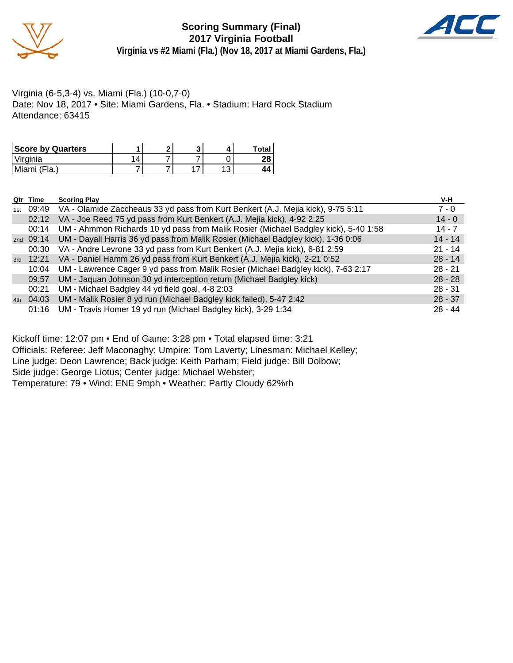



Virginia (6-5,3-4) vs. Miami (Fla.) (10-0,7-0) Date: Nov 18, 2017 • Site: Miami Gardens, Fla. • Stadium: Hard Rock Stadium Attendance: 63415

| <b>Score by Quarters</b> |  |   | <b>Total</b> |
|--------------------------|--|---|--------------|
| 'Virginia                |  |   | ററ           |
| Miami (Fla.)             |  | w |              |

|     | Qtr Time  | <b>Scoring Play</b>                                                                 | V-H       |
|-----|-----------|-------------------------------------------------------------------------------------|-----------|
| 1st | 09:49     | VA - Olamide Zaccheaus 33 yd pass from Kurt Benkert (A.J. Mejia kick), 9-75 5:11    | $7 - 0$   |
|     | 02:12     | VA - Joe Reed 75 yd pass from Kurt Benkert (A.J. Mejia kick), 4-92 2:25             | $14 - 0$  |
|     | 00:14     | UM - Ahmmon Richards 10 yd pass from Malik Rosier (Michael Badgley kick), 5-40 1:58 | $14 - 7$  |
|     | 2nd 09:14 | UM - Dayall Harris 36 yd pass from Malik Rosier (Michael Badgley kick), 1-36 0:06   | $14 - 14$ |
|     | 00:30     | VA - Andre Levrone 33 yd pass from Kurt Benkert (A.J. Mejia kick), 6-81 2:59        | $21 - 14$ |
| 3rd | 12:21     | VA - Daniel Hamm 26 yd pass from Kurt Benkert (A.J. Mejia kick), 2-21 0:52          | $28 - 14$ |
|     | 10:04     | UM - Lawrence Cager 9 yd pass from Malik Rosier (Michael Badgley kick), 7-63 2:17   | $28 - 21$ |
|     | 09:57     | UM - Jaquan Johnson 30 yd interception return (Michael Badgley kick)                | $28 - 28$ |
|     | 00:21     | UM - Michael Badgley 44 yd field goal, 4-8 2:03                                     | $28 - 31$ |
| 4th | 04:03     | UM - Malik Rosier 8 yd run (Michael Badgley kick failed), 5-47 2:42                 | $28 - 37$ |
|     | 01:16     | UM - Travis Homer 19 yd run (Michael Badgley kick), 3-29 1:34                       | $28 - 44$ |

Kickoff time: 12:07 pm • End of Game: 3:28 pm • Total elapsed time: 3:21 Officials: Referee: Jeff Maconaghy; Umpire: Tom Laverty; Linesman: Michael Kelley; Line judge: Deon Lawrence; Back judge: Keith Parham; Field judge: Bill Dolbow; Side judge: George Liotus; Center judge: Michael Webster; Temperature: 79 • Wind: ENE 9mph • Weather: Partly Cloudy 62%rh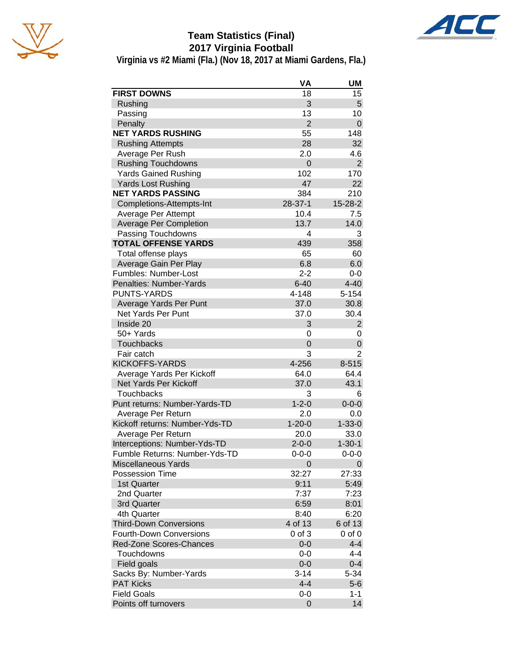



AC

**Virginia vs #2 Miami (Fla.) (Nov 18, 2017 at Miami Gardens, Fla.)**

|                                | VA             | UM               |
|--------------------------------|----------------|------------------|
| <b>FIRST DOWNS</b>             | 18             | 15               |
| Rushing                        | 3              | 5                |
| Passing                        | 13             | 10               |
| Penalty                        | $\overline{2}$ | $\overline{0}$   |
| <b>NET YARDS RUSHING</b>       | 55             | 148              |
| <b>Rushing Attempts</b>        | 28             | 32               |
| Average Per Rush               | 2.0            | 4.6              |
| <b>Rushing Touchdowns</b>      | $\overline{0}$ | $\overline{2}$   |
| <b>Yards Gained Rushing</b>    | 102            | 170              |
| <b>Yards Lost Rushing</b>      | 47             | 22               |
| <b>NET YARDS PASSING</b>       | 384            | 210              |
| Completions-Attempts-Int       | 28-37-1        | 15-28-2          |
| Average Per Attempt            | 10.4           | 7.5              |
| <b>Average Per Completion</b>  | 13.7           | 14.0             |
| Passing Touchdowns             | 4              | 3                |
| <b>TOTAL OFFENSE YARDS</b>     | 439            | 358              |
| Total offense plays            | 65             | 60               |
| Average Gain Per Play          | 6.8            | 6.0              |
| Fumbles: Number-Lost           | $2 - 2$        | $0-0$            |
| Penalties: Number-Yards        | $6 - 40$       | $4 - 40$         |
| <b>PUNTS-YARDS</b>             | 4-148          | 5-154            |
| Average Yards Per Punt         | 37.0           | 30.8             |
| Net Yards Per Punt             | 37.0           | 30.4             |
| Inside 20                      | 3              | $\overline{c}$   |
| 50+ Yards                      | 0              | 0                |
| <b>Touchbacks</b>              | 0              | $\boldsymbol{0}$ |
| Fair catch                     | 3              | $\overline{2}$   |
| <b>KICKOFFS-YARDS</b>          | 4-256          | 8-515            |
| Average Yards Per Kickoff      | 64.0           | 64.4             |
| Net Yards Per Kickoff          | 37.0           | 43.1             |
| <b>Touchbacks</b>              | 3              | 6                |
| Punt returns: Number-Yards-TD  | $1 - 2 - 0$    | $0 - 0 - 0$      |
| Average Per Return             | 2.0            | 0.0              |
| Kickoff returns: Number-Yds-TD | $1 - 20 - 0$   | $1 - 33 - 0$     |
| Average Per Return             | 20.0           | 33.0             |
| Interceptions: Number-Yds-TD   | $2 - 0 - 0$    | $1 - 30 - 1$     |
| Fumble Returns: Number-Yds-TD  | $0 - 0 - 0$    | $0 - 0 - 0$      |
| <b>Miscellaneous Yards</b>     | 0              | 0                |
| <b>Possession Time</b>         | 32:27          | 27:33            |
| 1st Quarter                    | 9:11           | 5:49             |
| 2nd Quarter                    | 7:37           | 7:23             |
| 3rd Quarter                    | 6:59           | 8:01             |
| 4th Quarter                    | 8:40           | 6:20             |
| <b>Third-Down Conversions</b>  | 4 of 13        | 6 of 13          |
| Fourth-Down Conversions        | 0 of 3         | $0$ of $0$       |
| Red-Zone Scores-Chances        | $0-0$          | $4 - 4$          |
| Touchdowns                     | $0-0$          | $4 - 4$          |
| Field goals                    | $0-0$          | $0 - 4$          |
| Sacks By: Number-Yards         | $3 - 14$       | $5 - 34$         |
| <b>PAT Kicks</b>               | $4 - 4$        | $5-6$            |
| <b>Field Goals</b>             | $0-0$          | 1-1              |
| Points off turnovers           | 0              | 14               |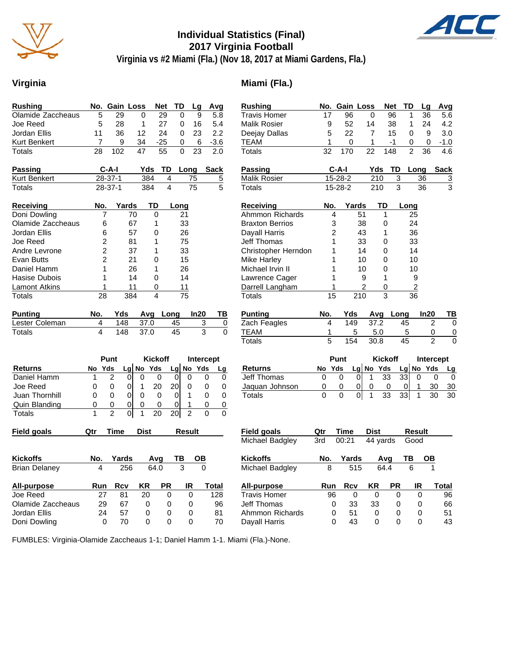

# **Individual Statistics (Final) 2017 Virginia Football**



**Virginia vs #2 Miami (Fla.) (Nov 18, 2017 at Miami Gardens, Fla.)**

### Virginia **Miami** (Fla.)

| <b>Rushing</b>       |                | No. Gain Loss                    |              | <b>Net</b>     | TD              | Lg              | Avg                     |                | <b>Rushing</b>         |                | No. Gain Loss  |                | <b>Net</b>                      | TD                 | Lg               | Avg                        |
|----------------------|----------------|----------------------------------|--------------|----------------|-----------------|-----------------|-------------------------|----------------|------------------------|----------------|----------------|----------------|---------------------------------|--------------------|------------------|----------------------------|
| Olamide Zaccheaus    | 5              | 29                               | $\Omega$     | 29             | 0               | 9               | 5.8                     |                | <b>Travis Homer</b>    | 17             | 96             |                | $\mathbf 0$                     | 96<br>1            | 36               | $\overline{5.6}$           |
| Joe Reed             | 5              | 28                               | $\mathbf{1}$ | 27             | 0               | 16              | 5.4                     |                | <b>Malik Rosier</b>    | 9              | 52             |                | 14                              | 38<br>$\mathbf{1}$ | 24               | 4.2                        |
| Jordan Ellis         | 11             | 36                               | 12           | 24             | $\Omega$        | 23              | 2.2                     |                | Deejay Dallas          | 5              | 22             |                | $\overline{7}$                  | 15<br>$\mathbf 0$  | 9                | 3.0                        |
| Kurt Benkert         | $\overline{7}$ | 9                                | 34           | $-25$          | 0               | 6               | $-3.6$                  |                | <b>TEAM</b>            | 1              | 0              |                | 1                               | -1<br>0            | 0                | $-1.0$                     |
| Totals               | 28             | 102                              | 47           | 55             | 0               | 23              | 2.0                     |                | Totals                 | 32             | 170            |                | $\overline{148}$<br>22          | $\overline{2}$     | $\overline{36}$  | 4.6                        |
| Passing              |                | C-A-I                            | Yds          | TD             | Long            |                 | <b>Sack</b>             |                | <b>Passing</b>         |                | C-A-I          |                | Yds                             | TD                 | Long             | <b>Sack</b>                |
| Kurt Benkert         |                | $28-37-1$                        | 384          | $\overline{4}$ |                 | 75              | $\overline{5}$          |                | <b>Malik Rosier</b>    |                | 15-28-2        |                | 210                             | 3                  | 36               | $\overline{3}$             |
| Totals               |                | $28-37-1$                        | 384          | $\overline{4}$ |                 | $\overline{75}$ | 5                       |                | <b>Totals</b>          |                | $15 - 28 - 2$  |                | $\overline{210}$                | $\overline{3}$     | $\overline{36}$  | $\overline{3}$             |
| <b>Receiving</b>     | No.            | Yards                            | TD           |                | Long            |                 |                         |                | Receiving              | No.            |                | Yards          | TD                              | Long               |                  |                            |
| Doni Dowling         | $\overline{7}$ |                                  | 70           | $\overline{0}$ | 21              |                 |                         |                | Ahmmon Richards        |                | $\overline{4}$ | 51             | 1                               |                    | 25               |                            |
| Olamide Zaccheaus    | 6              |                                  | 67           | $\mathbf{1}$   | 33              |                 |                         |                | <b>Braxton Berrios</b> | 3              |                | 38             | 0                               |                    | 24               |                            |
| Jordan Ellis         | 6              |                                  | 57           | 0              | 26              |                 |                         |                | Dayall Harris          | $\overline{2}$ |                | 43             | 1                               |                    | 36               |                            |
| Joe Reed             | 2              |                                  | 81           | 1              | 75              |                 |                         |                | Jeff Thomas            | 1              |                | 33             | 0                               |                    | 33               |                            |
| Andre Levrone        | $\overline{c}$ |                                  | 37           | 1              | 33              |                 |                         |                | Christopher Herndon    | 1              |                | 14             | $\mathbf{0}$                    |                    | 14               |                            |
| <b>Evan Butts</b>    | $\overline{2}$ |                                  | 21           | 0              | 15              |                 |                         |                | <b>Mike Harley</b>     | 1              |                | 10             | 0                               |                    | 10               |                            |
| Daniel Hamm          | 1              |                                  | 26           | $\mathbf{1}$   | 26              |                 |                         |                | Michael Irvin II       | 1              |                | 10             | $\mathbf{0}$                    |                    | 10               |                            |
| Hasise Dubois        | 1              |                                  | 14           | 0              | 14              |                 |                         |                | Lawrence Cager         | 1              |                | 9              | $\mathbf{1}$                    |                    | 9                |                            |
| <b>Lamont Atkins</b> | 1              |                                  | 11           | 0              | 11              |                 |                         |                | Darrell Langham        | 1              |                | $\overline{2}$ | 0                               |                    | $\boldsymbol{2}$ |                            |
| Totals               | 28             | 384                              |              | $\overline{A}$ | $\overline{75}$ |                 |                         |                | <b>Totals</b>          | 15             |                | 210            | 3                               | $\overline{36}$    |                  |                            |
| <b>Punting</b>       | No.            | Yds                              |              | Avg Long       |                 | In20            | TB                      |                | <b>Punting</b>         | No.            | Yds            |                | Avg Long                        |                    | In20             | TB                         |
| Lester Coleman       | 4              | 148                              | 37.0         |                | 45              |                 | 3                       | 0              | Zach Feagles           | $\overline{4}$ | 149            |                | 37.2                            | 45                 |                  | $\overline{c}$<br>$\Omega$ |
| <b>Totals</b>        | 4              | 148                              | 37.0         |                | $\overline{45}$ |                 | $\overline{\mathbf{3}}$ | $\overline{0}$ | <b>TEAM</b>            | 1              |                | 5              | 5.0                             | 5                  |                  | 0<br>0                     |
|                      |                |                                  |              |                |                 |                 |                         |                | <b>Totals</b>          | 5              | 154            |                | 30.8                            | 45                 |                  | $\mathfrak{p}$<br>$\Omega$ |
|                      |                | Punt                             |              | <b>Kickoff</b> |                 |                 | Intercept               |                |                        |                | Punt           |                | <b>Kickoff</b>                  |                    |                  | Intercept                  |
| <b>Returns</b>       | No Yds         |                                  | Lg No Yds    |                | Lg No Yds       |                 | Lg                      |                | <b>Returns</b>         | No Yds         |                |                | Lg No Yds                       |                    | Lg No Yds        | Lg                         |
| Daniel Hamm          | 1              | $\overline{2}$<br>$\overline{0}$ | $\mathbf 0$  | $\mathbf 0$    | $\pmb{0}$       | $\Omega$        | 0                       | 0              | Jeff Thomas            | 0              | 0              | $\overline{0}$ | $\mathbf{1}$<br>$\overline{33}$ | 33                 | $\mathbf 0$      | $\mathbf 0$<br>0           |
| Joe Reed             | $\mathbf 0$    | $\overline{0}$<br>0              | $\mathbf{1}$ | 20             | 20 <sub>l</sub> | $\Omega$        | 0                       | $\Omega$       | Jaquan Johnson         | 0              | 0              | $\overline{0}$ | 0<br>0                          | $\mathbf 0$        | $\mathbf{1}$     | 30<br>$30\,$               |
| Juan Thornhill       | 0              | $\Omega$<br>0                    | $\mathbf 0$  | 0              | $\mathbf 0$     | $\mathbf{1}$    | $\mathbf 0$             | $\mathbf 0$    | <b>Totals</b>          | $\Omega$       | $\overline{0}$ | $\overline{0}$ | $\overline{33}$<br>1            | 33                 | $\mathbf{1}$     | $\overline{30}$<br>30      |
| Quin Blanding        | 0              | $\overline{0}$<br>0              | $\pmb{0}$    | $\mathbf 0$    | 0               | $\mathbf{1}$    | $\mathsf 0$             | 0              |                        |                |                |                |                                 |                    |                  |                            |
| Totals               | 1              | $\overline{2}$<br>$\overline{0}$ | 1            | 20             | 20 <sub>l</sub> | $\overline{2}$  | $\Omega$                | $\Omega$       |                        |                |                |                |                                 |                    |                  |                            |
| <b>Field goals</b>   | Qtr            | <b>Time</b>                      | <b>Dist</b>  |                |                 | Result          |                         |                | <b>Field goals</b>     | Qtr            | <b>Time</b>    |                | Dist                            |                    | Result           |                            |
|                      |                |                                  |              |                |                 |                 |                         |                | Michael Badgley        | 3rd            | 00:21          |                | $\overline{44}$ yards           |                    | Good             |                            |
| <b>Kickoffs</b>      | No.            | Yards                            |              | Avg            | TB              | $\overline{OB}$ |                         |                | <b>Kickoffs</b>        | No.            | Yards          |                | Avg                             | ТВ                 | <u>OB</u>        |                            |
| <b>Brian Delaney</b> | 4              | 256                              |              | 64.0           | 3               |                 | $\overline{0}$          |                | Michael Badgley        | 8              |                | 515            | 64.4                            | 6                  |                  |                            |
| All-purpose          | Run            | <b>Rcv</b>                       | KR           | <b>PR</b>      |                 | IR              | <b>Total</b>            |                | All-purpose            | Run            | <b>Rcv</b>     |                | ΚR                              | <b>PR</b>          | IR               | <b>Total</b>               |
| Joe Reed             | 27             | 81                               | 20           | $\mathbf 0$    |                 | $\mathbf 0$     | 128                     |                | <b>Travis Homer</b>    | 96             |                | $\mathbf 0$    | $\mathbf 0$                     | $\mathbf 0$        | $\mathbf 0$      | 96                         |
| Olamide Zaccheaus    | 29             | 67                               | 0            | 0              |                 | 0               | 96                      |                | Jeff Thomas            | 0              | 33             |                | 33                              | 0                  | 0                | 66                         |
| Jordan Ellis         | 24             | 57                               | 0            | 0              |                 | 0               | 81                      |                | Ahmmon Richards        | 0              | 51             |                | $\mathbf 0$                     | 0                  | $\mathbf 0$      | 51                         |
| Doni Dowling         | $\Omega$       | 70                               | $\Omega$     | $\Omega$       |                 | $\Omega$        | 70                      |                | Dayall Harris          | $\Omega$       | 43             |                | $\Omega$                        | $\Omega$           | $\Omega$         | 43                         |
|                      |                |                                  |              |                |                 |                 |                         |                |                        |                |                |                |                                 |                    |                  |                            |

FUMBLES: Virginia-Olamide Zaccheaus 1-1; Daniel Hamm 1-1. Miami (Fla.)-None.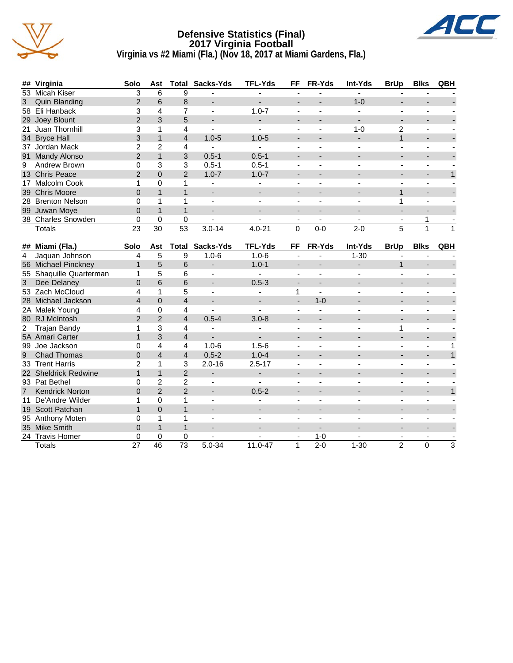

#### **Defensive Statistics (Final) 2017 Virginia Football Virginia vs #2 Miami (Fla.) (Nov 18, 2017 at Miami Gardens, Fla.)**



|   | ## Virginia        | Solo           | Ast           | Total         | Sacks-Yds                | <b>TFL-Yds</b> | FF                       | <b>FR-Yds</b> | <b>Int-Yds</b> | <b>BrUp</b> | <b>Blks</b> | QBH |
|---|--------------------|----------------|---------------|---------------|--------------------------|----------------|--------------------------|---------------|----------------|-------------|-------------|-----|
|   | 53 Micah Kiser     | 3              | 6             | 9             |                          |                |                          |               |                |             |             |     |
| 3 | Quin Blanding      | $\overline{2}$ | 6             | 8             | $\overline{\phantom{a}}$ |                | $\overline{\phantom{0}}$ |               | $1 - 0$        |             |             |     |
|   | 58 Eli Hanback     |                | 4             |               |                          | $1.0 - 7$      |                          |               |                |             |             |     |
|   | 29 Joey Blount     | 2              | 3             | 5             | $\overline{\phantom{a}}$ |                | $\overline{\phantom{0}}$ |               | ۰              |             |             |     |
|   | 21 Juan Thornhill  |                |               | 4             |                          |                |                          |               | $1 - 0$        | 2           |             |     |
|   | 34 Bryce Hall      | 3              |               | 4             | $1.0 - 5$                | $1.0 - 5$      |                          |               |                |             |             |     |
|   | 37 Jordan Mack     |                | $\mathcal{P}$ | 4             |                          |                |                          |               |                |             |             |     |
|   | 91 Mandy Alonso    | 2              |               | 3             | $0.5 - 1$                | $0.5 - 1$      | $\overline{\phantom{0}}$ |               |                |             |             |     |
|   | 9 Andrew Brown     | 0              | 3             | 3             | $0.5 - 1$                | $0.5 - 1$      | $\overline{\phantom{0}}$ |               |                |             |             |     |
|   | 13 Chris Peace     | 2              | $\Omega$      | $\mathcal{P}$ | $1.0 - 7$                | $1.0 - 7$      | $\overline{\phantom{0}}$ |               |                |             |             |     |
|   | 17 Malcolm Cook    |                | 0             |               |                          |                |                          |               |                |             |             |     |
|   | 39 Chris Moore     |                |               |               | $\overline{\phantom{a}}$ |                | ٠                        |               |                |             |             |     |
|   | 28 Brenton Nelson  |                |               |               |                          |                |                          |               |                |             |             |     |
|   | 99 Juwan Moye      | 0              |               |               | $\overline{\phantom{0}}$ |                | $\overline{\phantom{0}}$ |               |                |             |             |     |
|   | 38 Charles Snowden |                | O             | 0             | ۰                        |                |                          |               |                |             |             |     |
|   | Totals             | 23             | 30            | 53            | $3.0 - 14$               | $4.0 - 21$     | $\Omega$                 | $0 - 0$       | $2 - 0$        | 5           |             |     |

| ##              | Miami (Fla.)             | Solo           | Ast            | Total          | Sacks-Yds                | <b>TFL-Yds</b> | <b>FF</b>                    | <b>FR-Yds</b>            | Int-Yds  | <b>BrUp</b>    | <b>Blks</b>              | QBH |
|-----------------|--------------------------|----------------|----------------|----------------|--------------------------|----------------|------------------------------|--------------------------|----------|----------------|--------------------------|-----|
|                 | Jaquan Johnson           | 4              | 5              | 9              | $1.0 - 6$                | $1.0 - 6$      |                              |                          | $1 - 30$ |                |                          |     |
| 56              | Michael Pinckney         |                | 5              | 6              |                          | $1.0 - 1$      |                              |                          |          |                |                          |     |
| 55              | Shaquille Quarterman     |                | 5              | 6              |                          |                |                              |                          |          |                |                          |     |
| 3               | Dee Delaney              | $\Omega$       | 6              | 6              | $\overline{\phantom{a}}$ | $0.5 - 3$      |                              | -                        |          |                |                          |     |
|                 | 53 Zach McCloud          | 4              |                | 5              |                          |                |                              |                          |          |                |                          |     |
|                 | 28 Michael Jackson       | $\overline{4}$ | $\Omega$       | 4              |                          |                | $\qquad \qquad \blacksquare$ | $1 - 0$                  |          |                |                          |     |
|                 | 2A Malek Young           | 4              | $\Omega$       | 4              |                          |                |                              |                          |          |                |                          |     |
|                 | 80 RJ McIntosh           | $\mathcal{P}$  | $\overline{2}$ | 4              | $0.5 - 4$                | $3.0 - 8$      |                              |                          |          |                |                          |     |
|                 | Trajan Bandy             |                | 3              | 4              |                          |                |                              |                          |          |                |                          |     |
|                 | 5A Amari Carter          |                | 3              | 4              |                          |                |                              |                          |          |                |                          |     |
| 99              | Joe Jackson              | ი              | 4              | 4              | $1.0 - 6$                | $1.5 - 6$      |                              |                          |          |                | $\blacksquare$           |     |
| 9               | <b>Chad Thomas</b>       | $\Omega$       | 4              | 4              | $0.5 - 2$                | $1.0 - 4$      |                              |                          |          |                |                          |     |
| 33              | <b>Trent Harris</b>      | $\mathfrak{p}$ |                | 3              | $2.0 - 16$               | $2.5 - 17$     |                              |                          |          |                |                          |     |
| <b>22</b>       | <b>Sheldrick Redwine</b> |                |                | $\overline{2}$ |                          | -              | $\overline{\phantom{a}}$     | $\overline{\phantom{0}}$ |          | -              |                          |     |
|                 | 93 Pat Bethel            | 0              | 2              | $\overline{c}$ |                          |                |                              |                          |          |                |                          |     |
|                 | <b>Kendrick Norton</b>   | 0              | $\mathcal{P}$  | $\mathfrak{p}$ |                          | $0.5 - 2$      |                              |                          |          |                |                          |     |
|                 | De'Andre Wilder          |                | $\Omega$       |                |                          |                |                              |                          |          |                |                          |     |
| 19              | Scott Patchan            |                | $\Omega$       |                |                          |                |                              |                          |          |                |                          |     |
| 95              | Anthony Moten            | $\Omega$       |                |                |                          |                |                              |                          |          |                |                          |     |
| 35 <sup>°</sup> | <b>Mike Smith</b>        | 0              |                |                |                          |                |                              |                          |          |                |                          |     |
|                 | 24 Travis Homer          | 0              | $\Omega$       | 0              |                          |                |                              | $1 - 0$                  |          |                | $\overline{\phantom{0}}$ |     |
|                 | <b>Totals</b>            | 27             | 46             | 73             | $5.0 - 34$               | 11.0-47        | 1                            | $2 - 0$                  | $1 - 30$ | $\overline{2}$ | $\Omega$                 | 3   |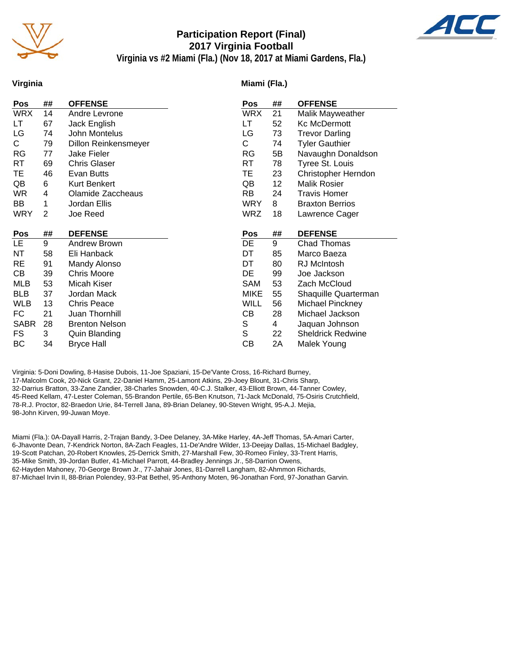

# **Participation Report (Final) 2017 Virginia Football**



**Virginia vs #2 Miami (Fla.) (Nov 18, 2017 at Miami Gardens, Fla.)**

#### **Virginia**

#### **Miami (Fla.)**

| Pos         | ##             | <b>OFFENSE</b>                            | Pos         | ## | <b>OFFENSE</b>           |
|-------------|----------------|-------------------------------------------|-------------|----|--------------------------|
| <b>WRX</b>  | 14             | Andre Levrone                             | <b>WRX</b>  | 21 | Malik Mayweather         |
| LT          | 67             | Jack English                              | LT          | 52 | Kc McDermott             |
| LG          | 74             | John Montelus                             | LG          | 73 | <b>Trevor Darling</b>    |
| C.          | 79             | <b>Dillon Reinkensmeyer</b>               | С           | 74 | <b>Tyler Gauthier</b>    |
| <b>RG</b>   | 77             | <b>Jake Fieler</b>                        | RG          | 5B | Navaughn Donaldson       |
| RT          | 69             | <b>Chris Glaser</b>                       | RT          | 78 | Tyree St. Louis          |
| TE          | 46             | Evan Butts                                | ТE          | 23 | Christopher Herndon      |
| QB          | 6              | Kurt Benkert                              | QB          | 12 | <b>Malik Rosier</b>      |
| <b>WR</b>   | 4              | Olamide Zaccheaus                         | RB.         | 24 | <b>Travis Homer</b>      |
| BB          | 1              | Jordan Ellis                              | <b>WRY</b>  | 8  | <b>Braxton Berrios</b>   |
| <b>WRY</b>  | $\overline{2}$ | Joe Reed                                  | <b>WRZ</b>  | 18 | Lawrence Cager           |
|             |                |                                           |             |    |                          |
|             |                |                                           |             |    |                          |
| <b>Pos</b>  | ##             | <b>DEFENSE</b>                            | Pos         | ## | <b>DEFENSE</b>           |
| LE.         | 9              | Andrew Brown                              | DE          | 9  | <b>Chad Thomas</b>       |
| NT          | 58             | Eli Hanback                               | DT          | 85 | Marco Baeza              |
| <b>RE</b>   | 91             | Mandy Alonso                              | DT          | 80 | RJ McIntosh              |
| CВ          | 39             | <b>Chris Moore</b>                        | DE          | 99 | Joe Jackson              |
| <b>MLB</b>  | 53             | Micah Kiser                               | <b>SAM</b>  | 53 | Zach McCloud             |
| <b>BLB</b>  | 37             | Jordan Mack                               | <b>MIKE</b> | 55 | Shaquille Quarterman     |
| <b>WLB</b>  | 13             | <b>Chris Peace</b>                        | <b>WILL</b> | 56 | <b>Michael Pinckney</b>  |
| FC          | 21             | Juan Thornhill                            | CВ          | 28 | Michael Jackson          |
| <b>SABR</b> | 28             | <b>Brenton Nelson</b>                     |             | 4  | Jaquan Johnson           |
| FS          | 3              |                                           | S<br>S      | 22 | <b>Sheldrick Redwine</b> |
| BC          | 34             | <b>Quin Blanding</b><br><b>Bryce Hall</b> | СB          | 2A | Malek Young              |

Virginia: 5-Doni Dowling, 8-Hasise Dubois, 11-Joe Spaziani, 15-De'Vante Cross, 16-Richard Burney, 17-Malcolm Cook, 20-Nick Grant, 22-Daniel Hamm, 25-Lamont Atkins, 29-Joey Blount, 31-Chris Sharp, 32-Darrius Bratton, 33-Zane Zandier, 38-Charles Snowden, 40-C.J. Stalker, 43-Elliott Brown, 44-Tanner Cowley, 45-Reed Kellam, 47-Lester Coleman, 55-Brandon Pertile, 65-Ben Knutson, 71-Jack McDonald, 75-Osiris Crutchfield, 78-R.J. Proctor, 82-Braedon Urie, 84-Terrell Jana, 89-Brian Delaney, 90-Steven Wright, 95-A.J. Mejia, 98-John Kirven, 99-Juwan Moye.

Miami (Fla.): 0A-Dayall Harris, 2-Trajan Bandy, 3-Dee Delaney, 3A-Mike Harley, 4A-Jeff Thomas, 5A-Amari Carter, 6-Jhavonte Dean, 7-Kendrick Norton, 8A-Zach Feagles, 11-De'Andre Wilder, 13-Deejay Dallas, 15-Michael Badgley, 19-Scott Patchan, 20-Robert Knowles, 25-Derrick Smith, 27-Marshall Few, 30-Romeo Finley, 33-Trent Harris, 35-Mike Smith, 39-Jordan Butler, 41-Michael Parrott, 44-Bradley Jennings Jr., 58-Darrion Owens, 62-Hayden Mahoney, 70-George Brown Jr., 77-Jahair Jones, 81-Darrell Langham, 82-Ahmmon Richards, 87-Michael Irvin II, 88-Brian Polendey, 93-Pat Bethel, 95-Anthony Moten, 96-Jonathan Ford, 97-Jonathan Garvin.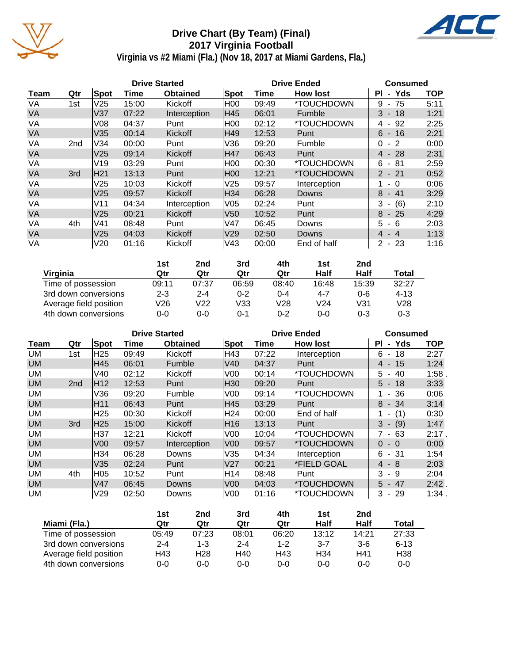

# **Drive Chart (By Team) (Final) 2017 Virginia Football**



**Virginia vs #2 Miami (Fla.) (Nov 18, 2017 at Miami Gardens, Fla.)**

|           |     |                 |       | <b>Drive Started</b> |      |       | <b>Drive Ended</b> | <b>Consumed</b>                      |            |  |
|-----------|-----|-----------------|-------|----------------------|------|-------|--------------------|--------------------------------------|------------|--|
| Team      | Qtr | Spot            | Time  | <b>Obtained</b>      | Spot | Time  | <b>How lost</b>    | - Yds<br><b>PI</b>                   | <b>TOP</b> |  |
| VA        | 1st | V <sub>25</sub> | 15:00 | Kickoff              | H00  | 09:49 | *TOUCHDOWN         | 75<br>9<br>$\blacksquare$            | 5:11       |  |
| VA        |     | V <sub>37</sub> | 07:22 | Interception         | H45  | 06:01 | <b>Fumble</b>      | 3<br>$-18$                           | 1:21       |  |
| VA        |     | V <sub>08</sub> | 04:37 | Punt                 | H00  | 02:12 | *TOUCHDOWN         | 92<br>4<br>$\overline{\phantom{a}}$  | 2:25       |  |
| <b>VA</b> |     | V35             | 00:14 | Kickoff              | IH49 | 12:53 | Punt               | $6 - 16$                             | 2:21       |  |
| VA        | 2nd | V34             | 00:00 | Punt                 | V36  | 09:20 | Fumble             | $-2$<br>0                            | 0:00       |  |
| <b>VA</b> |     | V <sub>25</sub> | 09:14 | Kickoff              | H47  | 06:43 | Punt               | $-28$<br>4                           | 2:31       |  |
| VA        |     | V19             | 03:29 | Punt                 | H00  | 00:30 | *TOUCHDOWN         | 6<br>81<br>$\blacksquare$            | 2:59       |  |
| <b>VA</b> | 3rd | H21             | 13:13 | Punt                 | H00  | 12:21 | *TOUCHDOWN         | $\mathbf{2}$<br>$-21$                | 0:52       |  |
| VA        |     | V <sub>25</sub> | 10:03 | Kickoff              | V25  | 09:57 | Interception       | $\Omega$<br>۰.                       | 0:06       |  |
| <b>VA</b> |     | V <sub>25</sub> | 09:57 | Kickoff              | H34  | 06:28 | Downs              | 8<br>- 41                            | 3:29       |  |
| VA        |     | V11             | 04:34 | Interception         | V05  | 02:24 | Punt               | 3<br>(6)<br>$\overline{\phantom{a}}$ | 2:10       |  |
| VA        |     | V25             | 00:21 | Kickoff              | V50  | 10:52 | Punt               | 8<br>$-25$                           | 4:29       |  |
| VA        | 4th | V41             | 08:48 | Punt                 | V47  | 06:45 | Downs              | 5.<br>6<br>$\blacksquare$            | 2:03       |  |
| <b>VA</b> |     | V <sub>25</sub> | 04:03 | <b>Kickoff</b>       | V29  | 02:50 | Downs              | $-4$<br>4                            | 1:13       |  |
| VA        |     | V20             | 01:16 | Kickoff              | lV43 | 00:00 | End of half        | $\overline{2}$<br>$-23$              | 1:16       |  |

|                        | 1st     | 2nd     | 3rd     | 4th     | 1st             | 2nd     |          |
|------------------------|---------|---------|---------|---------|-----------------|---------|----------|
| Virginia               | Qtr     | Qtr     | Qtr     | Qtr     | Half            | Half    | Total    |
| Time of possession     | 09:11   | 07:37   | 06:59   | 08:40   | 16:48           | 15:39   | 32:27    |
| 3rd down conversions   | $2 - 3$ | $2 - 4$ | $0 - 2$ | $0 - 4$ | $4 - 7$         | $0 - 6$ | $4 - 13$ |
| Average field position | V26     | V22     | V33     | V28     | V <sub>24</sub> | V31     | V28      |
| 4th down conversions   | 0-0     | 0-0     | 0-1     | $0 - 2$ | $0 - 0$         | $0 - 3$ | $0 - 3$  |

|           |                 |                 | <b>Drive Started</b> |                 |                 | <b>Drive Ended</b> | <b>Consumed</b> |                            |            |
|-----------|-----------------|-----------------|----------------------|-----------------|-----------------|--------------------|-----------------|----------------------------|------------|
| Team      | Qtr             | Spot            | Time                 | <b>Obtained</b> | Spot            | Time               | <b>How lost</b> | - Yds<br>ΡI                | <b>TOP</b> |
| UM        | 1st             | H <sub>25</sub> | 09:49                | Kickoff         | H43             | 07:22              | Interception    | 6<br>18<br>$\blacksquare$  | 2:27       |
| <b>UM</b> |                 | H45             | 06:01                | Fumble          | V40             | 04:37              | Punt            | 15<br>4 -                  | 1:24       |
| UM        |                 | V40             | 02:12                | Kickoff         | V <sub>00</sub> | 00:14              | *TOUCHDOWN      | 40<br>5<br>$\blacksquare$  | 1:58       |
| <b>UM</b> | 2 <sub>nd</sub> | H12             | 12:53                | Punt            | H <sub>30</sub> | 09:20              | Punt            | $5 - 18$                   | 3:33       |
| UM        |                 | V36             | 09:20                | Fumble          | V <sub>00</sub> | 09:14              | *TOUCHDOWN      | 36<br>$\blacksquare$       | 0:06       |
| <b>UM</b> |                 | H11             | 06:43                | Punt            | H45             | 03:29              | Punt            | 8<br>$-34$                 | 3:14       |
| <b>UM</b> |                 | H <sub>25</sub> | 00:30                | Kickoff         | H <sub>24</sub> | 00:00              | End of half     | (1)                        | 0:30       |
| <b>UM</b> | 3rd             | IH25            | 15:00                | <b>Kickoff</b>  | H <sub>16</sub> | 13:13              | Punt            | 3<br>(9)<br>$\sim$         | 1:47       |
| UM        |                 | H37             | 12:21                | Kickoff         | V <sub>00</sub> | 10:04              | *TOUCHDOWN      | 63<br>7<br>$\sim$          | 2:17.      |
| <b>UM</b> |                 | V <sub>00</sub> | 09:57                | Interception    | V <sub>00</sub> | 09:57              | *TOUCHDOWN      | $\Omega$<br>$-0$           | 0:00       |
| UM        |                 | H34             | 06:28                | Downs           | V35             | 04:34              | Interception    | $-31$<br>6                 | 1:54       |
| <b>UM</b> |                 | V35             | 02:24                | Punt            | V <sub>27</sub> | 00:21              | *FIELD GOAL     | - 8<br>4                   | 2:03       |
| UM        | 4th             | H05             | 10:52                | Punt            | H14             | 08:48              | Punt            | 3<br>- 9                   | 2:04       |
| <b>UM</b> |                 | V47             | 06:45                | <b>Downs</b>    | V <sub>00</sub> | 04:03              | *TOUCHDOWN      | $5 - 47$                   | $2:42$ .   |
| UM        |                 | V29             | 02:50                | Downs           | V <sub>00</sub> | 01:16              | *TOUCHDOWN      | 3<br>-29<br>$\blacksquare$ | 1:34.      |

|                        | 1st     | 2nd     | 3rd     | 4th     | 1st             | 2nd     |                 |
|------------------------|---------|---------|---------|---------|-----------------|---------|-----------------|
| Miami (Fla.)           | Qtr     | Qtr     | Qtr     | Qtr     | Half            | Half    | Total           |
| Time of possession     | 05:49   | 07:23   | 08:01   | 06:20   | 13:12           | 14:21   | 27:33           |
| 3rd down conversions   | $2 - 4$ | $1 - 3$ | $2 - 4$ | $1 - 2$ | $3 - 7$         | $3-6$   | $6 - 13$        |
| Average field position | H43     | H28     | H40     | H43     | H <sub>34</sub> | H41     | H <sub>38</sub> |
| 4th down conversions   | 0-0     | 0-0     | $0 - 0$ | $0 - 0$ | $0 - 0$         | $0 - 0$ | $0 - 0$         |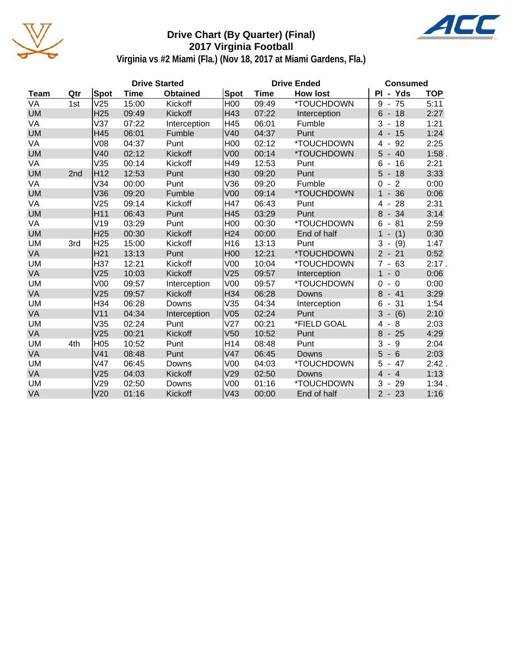

# **Drive Chart (By Quarter) (Final) 2017 Virginia Football**



**Virginia vs #2 Miami (Fla.) (Nov 18, 2017 at Miami Gardens, Fla.)**

|             |     |                 | <b>Drive Started</b> |                 |                 | <b>Drive Ended</b> | <b>Consumed</b> |                                                        |            |
|-------------|-----|-----------------|----------------------|-----------------|-----------------|--------------------|-----------------|--------------------------------------------------------|------------|
| <b>Team</b> | Qtr | Spot            | <b>Time</b>          | <b>Obtained</b> | <b>Spot</b>     | <b>Time</b>        | <b>How lost</b> | PI - Yds                                               | <b>TOP</b> |
| VA          | 1st | V25             | 15:00                | Kickoff         | H <sub>00</sub> | 09:49              | *TOUCHDOWN      | 75<br>$9 -$                                            | 5:11       |
| <b>UM</b>   |     | H <sub>25</sub> | 09:49                | Kickoff         | H43             | 07:22              | Interception    | $6 - 18$                                               | 2:27       |
| VA          |     | V37             | 07:22                | Interception    | H45             | 06:01              | Fumble          | 3<br>18<br>$\overline{\phantom{a}}$                    | 1:21       |
| <b>UM</b>   |     | H45             | 06:01                | Fumble          | V40             | 04:37              | Punt            | $-15$<br>4                                             | 1:24       |
| VA          |     | V08             | 04:37                | Punt            | H <sub>00</sub> | 02:12              | *TOUCHDOWN      | 92<br>4                                                | 2:25       |
| <b>UM</b>   |     | V40             | 02:12                | Kickoff         | V <sub>00</sub> | 00:14              | *TOUCHDOWN      | 5<br>40<br>$\blacksquare$                              | 1:58.      |
| VA          |     | V35             | 00:14                | Kickoff         | H49             | 12:53              | Punt            | 6<br>16<br>$\overline{\phantom{a}}$                    | 2:21       |
| <b>UM</b>   | 2nd | H <sub>12</sub> | 12:53                | Punt            | H <sub>30</sub> | 09:20              | Punt            | 5<br>$-18$                                             | 3:33       |
| VA          |     | V34             | 00:00                | Punt            | V36             | 09:20              | Fumble          | $\Omega$<br>$\overline{2}$<br>$\overline{\phantom{a}}$ | 0:00       |
| <b>UM</b>   |     | V36             | 09:20                | Fumble          | V <sub>00</sub> | 09:14              | *TOUCHDOWN      | 36                                                     | 0:06       |
| VA          |     | V25             | 09:14                | Kickoff         | H47             | 06:43              | Punt            | 28<br>4                                                | 2:31       |
| <b>UM</b>   |     | H11             | 06:43                | Punt            | H45             | 03:29              | Punt            | $8 - 34$                                               | 3:14       |
| VA          |     | V19             | 03:29                | Punt            | H <sub>00</sub> | 00:30              | *TOUCHDOWN      | 81<br>6<br>$\blacksquare$                              | 2:59       |
| <b>UM</b>   |     | H <sub>25</sub> | 00:30                | Kickoff         | H <sub>24</sub> | 00:00              | End of half     | $\mathbf 1$<br>(1)<br>$\overline{\phantom{a}}$         | 0:30       |
| <b>UM</b>   | 3rd | H <sub>25</sub> | 15:00                | Kickoff         | H <sub>16</sub> | 13:13              | Punt            | 3<br>(9)                                               | 1:47       |
| VA          |     | H <sub>21</sub> | 13:13                | Punt            | <b>H00</b>      | 12:21              | *TOUCHDOWN      | $2 - 21$                                               | 0:52       |
| <b>UM</b>   |     | H37             | 12:21                | Kickoff         | V <sub>00</sub> | 10:04              | *TOUCHDOWN      | $\overline{7}$<br>$-63$                                | 2:17.      |
| VA          |     | V25             | 10:03                | Kickoff         | V25             | 09:57              | Interception    | $\mathbf 1$<br>$-0$                                    | 0:06       |
| <b>UM</b>   |     | V <sub>00</sub> | 09:57                | Interception    | V <sub>00</sub> | 09:57              | *TOUCHDOWN      | $-0$<br>$\Omega$                                       | 0:00       |
| <b>VA</b>   |     | V25             | 09:57                | Kickoff         | H34             | 06:28              | <b>Downs</b>    | 8<br>$-41$                                             | 3:29       |
| <b>UM</b>   |     | H34             | 06:28                | Downs           | V35             | 04:34              | Interception    | 6<br>31<br>$\overline{\phantom{a}}$                    | 1:54       |
| VA          |     | V11             | 04:34                | Interception    | V <sub>05</sub> | 02:24              | Punt            | 3<br>$- (6)$                                           | 2:10       |
| <b>UM</b>   |     | V35             | 02:24                | Punt            | V27             | 00:21              | *FIELD GOAL     | 8<br>4<br>$\overline{\phantom{a}}$                     | 2:03       |
| VA          |     | V <sub>25</sub> | 00:21                | Kickoff         | V <sub>50</sub> | 10:52              | Punt            | 8<br>$-25$                                             | 4:29       |
| <b>UM</b>   | 4th | H <sub>05</sub> | 10:52                | Punt            | H14             | 08:48              | Punt            | 3<br>-9<br>$\blacksquare$                              | 2:04       |
| VA          |     | V <sub>41</sub> | 08:48                | Punt            | V <sub>47</sub> | 06:45              | <b>Downs</b>    | 5<br>$-6$                                              | 2:03       |
| <b>UM</b>   |     | V47             | 06:45                | Downs           | V00             | 04:03              | *TOUCHDOWN      | 5<br>47                                                | 2:42.      |
| VA          |     | V25             | 04:03                | Kickoff         | V29             | 02:50              | Downs           | $-4$<br>$\overline{4}$                                 | 1:13       |
| <b>UM</b>   |     | V29             | 02:50                | Downs           | V00             | 01:16              | *TOUCHDOWN      | 3<br>29                                                | 1:34.      |
| <b>VA</b>   |     | V20             | 01:16                | Kickoff         | V43             | 00:00              | End of half     | $2 - 23$                                               | 1:16       |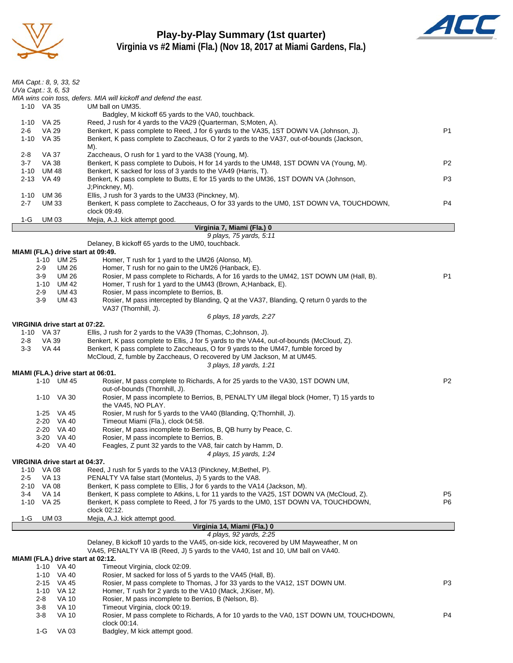

## **Play-by-Play Summary (1st quarter) Virginia vs #2 Miami (Fla.) (Nov 18, 2017 at Miami Gardens, Fla.)**



| MIA Capt.: 8, 9, 33, 52                                                                                                                                                                                           |                |
|-------------------------------------------------------------------------------------------------------------------------------------------------------------------------------------------------------------------|----------------|
| UVa Capt.: 3, 6, 53                                                                                                                                                                                               |                |
| MIA wins coin toss, defers. MIA will kickoff and defend the east.<br>1-10 VA 35<br>UM ball on UM35.                                                                                                               |                |
| Badgley, M kickoff 65 yards to the VA0, touchback.                                                                                                                                                                |                |
| Reed, J rush for 4 yards to the VA29 (Quarterman, S; Moten, A).<br>1-10 VA 25                                                                                                                                     |                |
| Benkert, K pass complete to Reed, J for 6 yards to the VA35, 1ST DOWN VA (Johnson, J).<br>2-6<br>VA 29<br>1-10 VA 35<br>Benkert, K pass complete to Zaccheaus, O for 2 yards to the VA37, out-of-bounds (Jackson, | P <sub>1</sub> |
| M).                                                                                                                                                                                                               |                |
| Zaccheaus, O rush for 1 yard to the VA38 (Young, M).<br>2-8<br>VA 37                                                                                                                                              |                |
| VA 38<br>Benkert, K pass complete to Dubois, H for 14 yards to the UM48, 1ST DOWN VA (Young, M).<br>$3 - 7$                                                                                                       | P <sub>2</sub> |
| <b>UM 48</b><br>Benkert, K sacked for loss of 3 yards to the VA49 (Harris, T).<br>1-10<br>2-13 VA 49<br>Benkert, K pass complete to Butts, E for 15 yards to the UM36, 1ST DOWN VA (Johnson,                      | P3             |
| J;Pinckney, M).                                                                                                                                                                                                   |                |
| Ellis, J rush for 3 yards to the UM33 (Pinckney, M).<br>1-10<br>UM 36                                                                                                                                             |                |
| <b>UM33</b><br>Benkert, K pass complete to Zaccheaus, O for 33 yards to the UM0, 1ST DOWN VA, TOUCHDOWN,<br>$2 - 7$<br>clock 09:49.                                                                               | P4             |
| Mejia, A.J. kick attempt good.<br>$1-G$<br>UM 03                                                                                                                                                                  |                |
| Virginia 7, Miami (Fla.) 0                                                                                                                                                                                        |                |
| 9 plays, 75 yards, 5:11                                                                                                                                                                                           |                |
| Delaney, B kickoff 65 yards to the UM0, touchback.<br>MIAMI (FLA.) drive start at 09:49.                                                                                                                          |                |
| 1-10 UM 25<br>Homer, T rush for 1 yard to the UM26 (Alonso, M).                                                                                                                                                   |                |
| <b>UM 26</b><br>Homer, T rush for no gain to the UM26 (Hanback, E).<br>$2-9$                                                                                                                                      |                |
| <b>UM 26</b><br>Rosier, M pass complete to Richards, A for 16 yards to the UM42, 1ST DOWN UM (Hall, B).<br>3-9<br>1-10 UM 42<br>Homer, T rush for 1 yard to the UM43 (Brown, A; Hanback, E).                      | P1             |
| <b>UM 43</b><br>Rosier, M pass incomplete to Berrios, B.<br>$2-9$                                                                                                                                                 |                |
| $3-9$<br><b>UM 43</b><br>Rosier, M pass intercepted by Blanding, Q at the VA37, Blanding, Q return 0 yards to the                                                                                                 |                |
| VA37 (Thornhill, J).                                                                                                                                                                                              |                |
| 6 plays, 18 yards, 2:27<br>VIRGINIA drive start at 07:22.                                                                                                                                                         |                |
| 1-10 VA 37<br>Ellis, J rush for 2 yards to the VA39 (Thomas, C;Johnson, J).                                                                                                                                       |                |
| VA 39<br>Benkert, K pass complete to Ellis, J for 5 yards to the VA44, out-of-bounds (McCloud, Z).<br>2-8                                                                                                         |                |
| $3 - 3$<br>VA 44<br>Benkert, K pass complete to Zaccheaus, O for 9 yards to the UM47, fumble forced by                                                                                                            |                |
| McCloud, Z, fumble by Zaccheaus, O recovered by UM Jackson, M at UM45.<br>3 plays, 18 yards, 1:21                                                                                                                 |                |
| MIAMI (FLA.) drive start at 06:01.                                                                                                                                                                                |                |
| 1-10 UM 45<br>Rosier, M pass complete to Richards, A for 25 yards to the VA30, 1ST DOWN UM,                                                                                                                       | P <sub>2</sub> |
| out-of-bounds (Thornhill, J).<br>Rosier, M pass incomplete to Berrios, B, PENALTY UM illegal block (Homer, T) 15 yards to<br>1-10 VA 30                                                                           |                |
| the VA45, NO PLAY.                                                                                                                                                                                                |                |
| 1-25 VA 45<br>Rosier, M rush for 5 yards to the VA40 (Blanding, Q;Thornhill, J).                                                                                                                                  |                |
| 2-20 VA 40<br>Timeout Miami (Fla.), clock 04:58.                                                                                                                                                                  |                |
| 2-20 VA 40<br>Rosier, M pass incomplete to Berrios, B, QB hurry by Peace, C.<br>3-20 VA 40<br>Rosier, M pass incomplete to Berrios, B.                                                                            |                |
| Feagles, Z punt 32 yards to the VA8, fair catch by Hamm, D.<br>4-20 VA 40                                                                                                                                         |                |
| 4 plays, 15 yards, 1:24                                                                                                                                                                                           |                |
| VIRGINIA drive start at 04:37.<br>Reed, J rush for 5 yards to the VA13 (Pinckney, M; Bethel, P).<br>1-10 VA 08                                                                                                    |                |
| PENALTY VA false start (Montelus, J) 5 yards to the VA8.<br>2-5<br>VA 13                                                                                                                                          |                |
| Benkert, K pass complete to Ellis, J for 6 yards to the VA14 (Jackson, M).<br>2-10<br>VA 08                                                                                                                       |                |
| <b>VA 14</b><br>Benkert, K pass complete to Atkins, L for 11 yards to the VA25, 1ST DOWN VA (McCloud, Z).<br>3-4                                                                                                  | P5             |
| Benkert, K pass complete to Reed, J for 75 yards to the UM0, 1ST DOWN VA, TOUCHDOWN,<br>$1 - 10$<br>VA 25<br>clock 02:12.                                                                                         | P6             |
| Mejia, A.J. kick attempt good.<br>$1-G$<br>UM 03                                                                                                                                                                  |                |
| Virginia 14, Miami (Fla.) 0                                                                                                                                                                                       |                |
| 4 plays, 92 yards, 2:25<br>Delaney, B kickoff 10 yards to the VA45, on-side kick, recovered by UM Mayweather, M on                                                                                                |                |
| VA45, PENALTY VA IB (Reed, J) 5 yards to the VA40, 1st and 10, UM ball on VA40.                                                                                                                                   |                |
| MIAMI (FLA.) drive start at 02:12.                                                                                                                                                                                |                |
| 1-10 VA 40<br>Timeout Virginia, clock 02:09.                                                                                                                                                                      |                |
| Rosier, M sacked for loss of 5 yards to the VA45 (Hall, B).<br>1-10 VA 40<br>Rosier, M pass complete to Thomas, J for 33 yards to the VA12, 1ST DOWN UM.<br>$2 - 15$<br>VA 45                                     | P3             |
| $1 - 10$<br>VA 12<br>Homer, T rush for 2 yards to the VA10 (Mack, J;Kiser, M).                                                                                                                                    |                |
| Rosier, M pass incomplete to Berrios, B (Nelson, B).<br>2-8<br>VA 10                                                                                                                                              |                |
| $3-8$<br><b>VA 10</b><br>Timeout Virginia, clock 00:19.                                                                                                                                                           |                |
| $3-8$<br>Rosier, M pass complete to Richards, A for 10 yards to the VA0, 1ST DOWN UM, TOUCHDOWN,<br>VA 10<br>clock 00:14.                                                                                         | P4             |

1-G VA 03 Badgley, M kick attempt good.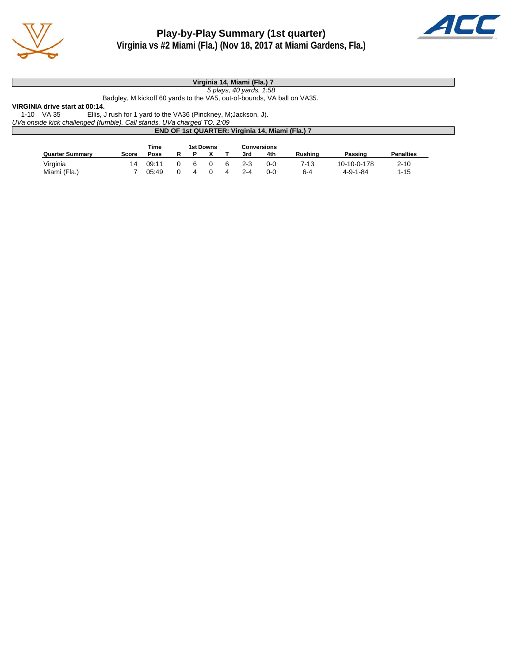



#### **Virginia 14, Miami (Fla.) 7**

*5 plays, 40 yards, 1:58*

Badgley, M kickoff 60 yards to the VA5, out-of-bounds, VA ball on VA35.

**VIRGINIA drive start at 00:14.** Ellis, J rush for 1 yard to the VA36 (Pinckney, M;Jackson, J).

*UVa onside kick challenged (fumble). Call stands. UVa charged TO. 2:09*

|                        | <b>END OF 1st QUARTER: Virginia 14, Miami (Fla.) 7</b> |       |  |          |           |   |         |                    |                |                  |                  |  |
|------------------------|--------------------------------------------------------|-------|--|----------|-----------|---|---------|--------------------|----------------|------------------|------------------|--|
|                        |                                                        | Time  |  |          | 1st Downs |   |         | <b>Conversions</b> |                |                  |                  |  |
| <b>Quarter Summary</b> | Score                                                  | Poss  |  |          |           |   | 3rd     | 4th                | <b>Rushing</b> | Passing          | <b>Penalties</b> |  |
| Virginia               | 14                                                     | 09:11 |  | <b>6</b> |           | 6 | $2 - 3$ | 0-0                | 7-13           | 10-10-0-178      | $2 - 10$         |  |
| Miami (Fla.)           |                                                        | 05:49 |  |          |           |   | $2 - 4$ | $0 - 0$            | $6 - 4$        | $4 - 9 - 1 - 84$ | $1 - 15$         |  |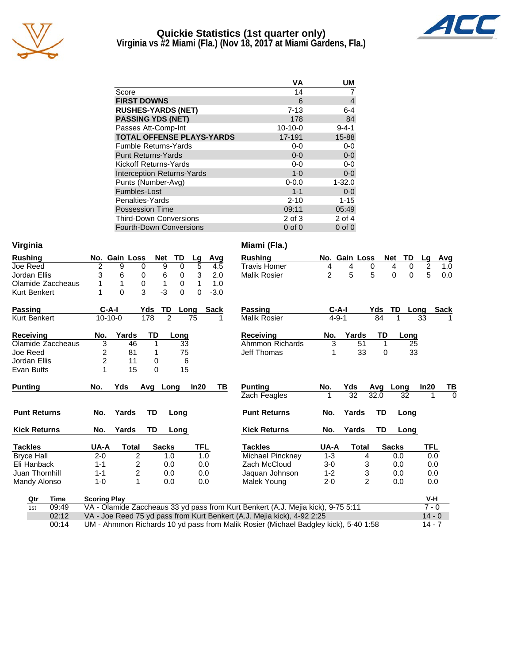

## **Quickie Statistics (1st quarter only) Virginia vs #2 Miami (Fla.) (Nov 18, 2017 at Miami Gardens, Fla.)**



|                                   | ٧A        | UM             |
|-----------------------------------|-----------|----------------|
| Score                             | 14        | 7              |
| <b>FIRST DOWNS</b>                | 6         | $\overline{4}$ |
| <b>RUSHES-YARDS (NET)</b>         | $7 - 13$  | $6 - 4$        |
| <b>PASSING YDS (NET)</b>          | 178       | 84             |
| Passes Att-Comp-Int               | $10-10-0$ | $9 - 4 - 1$    |
| <b>TOTAL OFFENSE PLAYS-YARDS</b>  | 17-191    | 15-88          |
| <b>Fumble Returns-Yards</b>       | $0-0$     | $0-0$          |
| <b>Punt Returns-Yards</b>         | $0 - 0$   | $0-0$          |
| Kickoff Returns-Yards             | $0 - 0$   | $0 - 0$        |
| <b>Interception Returns-Yards</b> | $1 - 0$   | $0-0$          |
| Punts (Number-Avg)                | $0 - 0.0$ | $1 - 32.0$     |
| Fumbles-Lost                      | $1 - 1$   | $0-0$          |
| Penalties-Yards                   | $2 - 10$  | 1-15           |
| <b>Possession Time</b>            | 09:11     | 05:49          |
| <b>Third-Down Conversions</b>     | 2 of 3    | 2 of 4         |

Fourth-Down Conversions 0 of 0 0 of 0

Third-Down Conversions 2 of 3<br>
Fourth-Down Conversions 0 of 0

| Virginia            |                     |               |                |                  |                  |             |     | Miami (Fla.)                                                                        |                |                 |                |              |                     |             |          |
|---------------------|---------------------|---------------|----------------|------------------|------------------|-------------|-----|-------------------------------------------------------------------------------------|----------------|-----------------|----------------|--------------|---------------------|-------------|----------|
| <b>Rushing</b>      |                     | No. Gain Loss |                | <b>Net</b><br>TD | Lg               | Avg         |     | <b>Rushing</b>                                                                      |                | No. Gain Loss   |                | <b>Net</b>   | <b>TD</b><br>Lg     | <b>Avg</b>  |          |
| Joe Reed            | $\overline{2}$      | 9             | 0              | 9                | 5<br>$\mathbf 0$ |             | 4.5 | <b>Travis Homer</b>                                                                 | 4              | 4               | 0              | 4            | $\overline{2}$<br>0 | 1.0         |          |
| Jordan Ellis        | 3                   | 6             | 0              | 6                | 3<br>0           |             | 2.0 | <b>Malik Rosier</b>                                                                 | $\overline{2}$ | 5               | 5              | $\Omega$     | 5<br>$\Omega$       | 0.0         |          |
| Olamide Zaccheaus   |                     | 1             | $\mathbf 0$    | 1                | 1<br>0           |             | 1.0 |                                                                                     |                |                 |                |              |                     |             |          |
| Kurt Benkert        |                     | 0             | 3              | $-3$             | 0<br>0           | $-3.0$      |     |                                                                                     |                |                 |                |              |                     |             |          |
| <b>Passing</b>      | $C-A-I$             |               | Yds            | TD               | Long             | <b>Sack</b> |     | <b>Passing</b>                                                                      |                | $C-A-I$         | Yds            | TD           | Long                | <b>Sack</b> |          |
| <b>Kurt Benkert</b> | $10-10-0$           |               | 178            | $\overline{2}$   | 75               |             |     | <b>Malik Rosier</b>                                                                 | $4 - 9 - 1$    |                 | 84             | 1            | 33                  |             |          |
| <b>Receiving</b>    | No.                 | Yards         | TD             |                  | Long             |             |     | <b>Receiving</b>                                                                    | No.            | Yards           | TD             |              | Long                |             |          |
| Olamide Zaccheaus   | $\overline{3}$      | 46            | 1              |                  | $\overline{33}$  |             |     | Ahmmon Richards                                                                     | $\overline{3}$ | $\overline{51}$ |                |              | $\overline{25}$     |             |          |
| Joe Reed            | $\overline{c}$      | 81            | 1              |                  | 75               |             |     | Jeff Thomas                                                                         | 1              | 33              | $\Omega$       |              | 33                  |             |          |
| Jordan Ellis        | $\overline{2}$      | 11            | 0              |                  | 6                |             |     |                                                                                     |                |                 |                |              |                     |             |          |
| <b>Evan Butts</b>   | 1                   | 15            | 0              |                  | 15               |             |     |                                                                                     |                |                 |                |              |                     |             |          |
| <b>Punting</b>      | No.                 | Yds           | Avq            | Long             | In20             |             | ΤВ  | <b>Punting</b>                                                                      | No.            | Yds             | Avg            | Long         | In20                | ΤВ          |          |
|                     |                     |               |                |                  |                  |             |     | <b>Zach Feagles</b>                                                                 |                | $\overline{32}$ | 32.0           | 32           |                     | 1           | $\Omega$ |
| <b>Punt Returns</b> | No.                 | Yards         | <b>TD</b>      | Long             |                  |             |     | <b>Punt Returns</b>                                                                 | No.            | Yards           | TD             |              | Long                |             |          |
| <b>Kick Returns</b> | No.                 | Yards         | TD             | Long             |                  |             |     | <b>Kick Returns</b>                                                                 | No.            | Yards           | TD             |              | Long                |             |          |
| <b>Tackles</b>      | UA-A                | <b>Total</b>  |                | <b>Sacks</b>     |                  | <b>TFL</b>  |     | <b>Tackles</b>                                                                      | UA-A           | <b>Total</b>    |                | <b>Sacks</b> |                     | <b>TFL</b>  |          |
| <b>Bryce Hall</b>   | $2 - 0$             |               | $\overline{2}$ | 1.0              |                  | 1.0         |     | Michael Pincknev                                                                    | $1 - 3$        |                 | 4              | 0.0          |                     | 0.0         |          |
| Eli Hanback         | $1 - 1$             | 2             |                | 0.0              |                  | 0.0         |     | Zach McCloud                                                                        | $3-0$          |                 | 3              | 0.0          |                     | 0.0         |          |
| Juan Thornhill      | $1 - 1$             |               | 2              | 0.0              |                  | 0.0         |     | Jaquan Johnson                                                                      | $1 - 2$        |                 | 3              | 0.0          |                     | 0.0         |          |
| Mandy Alonso        | $1 - 0$             | 1             |                | 0.0              |                  | 0.0         |     | Malek Young                                                                         | $2 - 0$        |                 | $\overline{2}$ | 0.0          |                     | 0.0         |          |
| <b>Time</b><br>Qtr  | <b>Scoring Play</b> |               |                |                  |                  |             |     |                                                                                     |                |                 |                |              |                     | V-H         |          |
| 09:49<br>1st        |                     |               |                |                  |                  |             |     | VA - Olamide Zaccheaus 33 yd pass from Kurt Benkert (A.J. Mejia kick), 9-75 5:11    |                |                 |                |              |                     | $7 - 0$     |          |
| 02:12               |                     |               |                |                  |                  |             |     | VA - Joe Reed 75 yd pass from Kurt Benkert (A.J. Mejia kick), 4-92 2:25             |                |                 |                |              |                     | $14 - 0$    |          |
| 00:14               |                     |               |                |                  |                  |             |     | UM - Ahmmon Richards 10 yd pass from Malik Rosier (Michael Badgley kick), 5-40 1:58 |                |                 |                |              |                     | $14 - 7$    |          |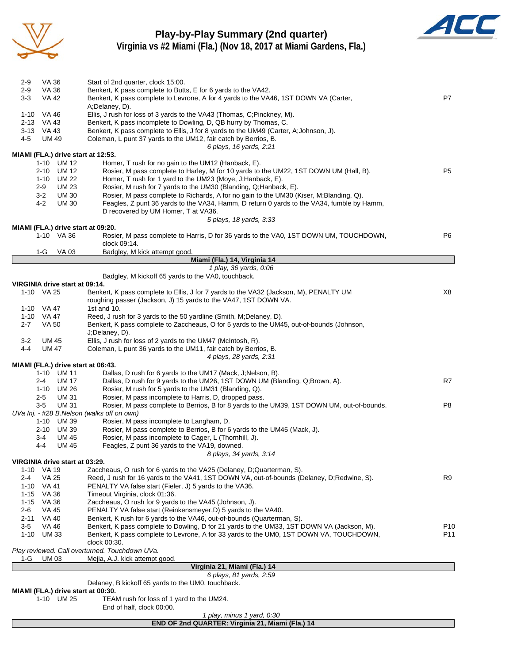

# **Play-by-Play Summary (2nd quarter)**



**Virginia vs #2 Miami (Fla.) (Nov 18, 2017 at Miami Gardens, Fla.)**

| $2-9$<br>VA 36                               | Start of 2nd quarter, clock 15:00.                                                                                                                       |                 |
|----------------------------------------------|----------------------------------------------------------------------------------------------------------------------------------------------------------|-----------------|
| $2-9$<br>VA 36                               | Benkert, K pass complete to Butts, E for 6 yards to the VA42.                                                                                            |                 |
| $3 - 3$<br><b>VA 42</b>                      | Benkert, K pass complete to Levrone, A for 4 yards to the VA46, 1ST DOWN VA (Carter,<br>A;Delaney, D).                                                   | P7              |
| 1-10 VA 46                                   | Ellis, J rush for loss of 3 yards to the VA43 (Thomas, C;Pinckney, M).                                                                                   |                 |
| 2-13 VA 43                                   | Benkert, K pass incomplete to Dowling, D, QB hurry by Thomas, C.                                                                                         |                 |
| 3-13 VA 43                                   | Benkert, K pass complete to Ellis, J for 8 yards to the UM49 (Carter, A;Johnson, J).                                                                     |                 |
| $4 - 5$<br><b>UM 49</b>                      | Coleman, L punt 37 yards to the UM12, fair catch by Berrios, B.<br>6 plays, 16 yards, 2:21                                                               |                 |
| MIAMI (FLA.) drive start at 12:53.           |                                                                                                                                                          |                 |
| 1-10 UM 12                                   | Homer, T rush for no gain to the UM12 (Hanback, E).                                                                                                      |                 |
| UM 12<br>2-10                                | Rosier, M pass complete to Harley, M for 10 yards to the UM22, 1ST DOWN UM (Hall, B).                                                                    | P5              |
| 1-10 UM 22<br>$2 - 9$<br><b>UM 23</b>        | Homer, T rush for 1 yard to the UM23 (Moye, J; Hanback, E).<br>Rosier, M rush for 7 yards to the UM30 (Blanding, Q;Hanback, E).                          |                 |
| $3 - 2$<br><b>UM30</b>                       | Rosier, M pass complete to Richards, A for no gain to the UM30 (Kiser, M;Blanding, Q).                                                                   |                 |
| 4-2<br><b>UM30</b>                           | Feagles, Z punt 36 yards to the VA34, Hamm, D return 0 yards to the VA34, fumble by Hamm,                                                                |                 |
|                                              | D recovered by UM Homer, T at VA36.                                                                                                                      |                 |
| MIAMI (FLA.) drive start at 09:20.           | 5 plays, 18 yards, 3:33                                                                                                                                  |                 |
| 1-10 VA 36                                   | Rosier, M pass complete to Harris, D for 36 yards to the VA0, 1ST DOWN UM, TOUCHDOWN,                                                                    | P6              |
|                                              | clock 09:14.                                                                                                                                             |                 |
| 1-G<br>VA 03                                 | Badgley, M kick attempt good.                                                                                                                            |                 |
|                                              | Miami (Fla.) 14, Virginia 14<br>1 play, 36 yards, 0:06                                                                                                   |                 |
|                                              | Badgley, M kickoff 65 yards to the VA0, touchback.                                                                                                       |                 |
| VIRGINIA drive start at 09:14.               |                                                                                                                                                          |                 |
| 1-10 VA 25                                   | Benkert, K pass complete to Ellis, J for 7 yards to the VA32 (Jackson, M), PENALTY UM<br>roughing passer (Jackson, J) 15 yards to the VA47, 1ST DOWN VA. | X8              |
| 1-10 VA 47                                   | 1st and 10.                                                                                                                                              |                 |
| 1-10 VA 47                                   | Reed, J rush for 3 yards to the 50 yardline (Smith, M;Delaney, D).                                                                                       |                 |
| <b>VA 50</b><br>$2 - 7$                      | Benkert, K pass complete to Zaccheaus, O for 5 yards to the UM45, out-of-bounds (Johnson,                                                                |                 |
| $3-2$<br>UM 45                               | J;Delaney, D).<br>Ellis, J rush for loss of 2 yards to the UM47 (McIntosh, R).                                                                           |                 |
| $4 - 4$<br><b>UM 47</b>                      | Coleman, L punt 36 yards to the UM11, fair catch by Berrios, B.                                                                                          |                 |
|                                              | 4 plays, 28 yards, 2:31                                                                                                                                  |                 |
| MIAMI (FLA.) drive start at 06:43.           |                                                                                                                                                          |                 |
| 1-10 UM 11<br>$2 - 4$<br><b>UM 17</b>        | Dallas, D rush for 6 yards to the UM17 (Mack, J; Nelson, B).<br>Dallas, D rush for 9 yards to the UM26, 1ST DOWN UM (Blanding, Q;Brown, A).              | R7              |
| 1-10 UM 26                                   | Rosier, M rush for 5 yards to the UM31 (Blanding, Q).                                                                                                    |                 |
| <b>UM31</b><br>2-5                           | Rosier, M pass incomplete to Harris, D, dropped pass.                                                                                                    |                 |
| $3-5$<br><b>UM31</b>                         | Rosier, M pass complete to Berrios, B for 8 yards to the UM39, 1ST DOWN UM, out-of-bounds.                                                               | P8              |
| UVa Inj. - #28 B.Nelson (walks off on own)   |                                                                                                                                                          |                 |
| UM 39<br>1-10<br>2-10<br>UM 39               | Rosier, M pass incomplete to Langham, D.<br>Rosier, M pass complete to Berrios, B for 6 yards to the UM45 (Mack, J).                                     |                 |
| 3-4<br>UM 45                                 | Rosier, M pass incomplete to Cager, L (Thornhill, J).                                                                                                    |                 |
| $4 - 4$<br><b>UM 45</b>                      | Feagles, Z punt 36 yards to the VA19, downed.                                                                                                            |                 |
|                                              | 8 plays, 34 yards, 3:14                                                                                                                                  |                 |
| VIRGINIA drive start at 03:29.<br>1-10 VA 19 | Zaccheaus, O rush for 6 yards to the VA25 (Delaney, D;Quarterman, S).                                                                                    |                 |
| 2-4<br>VA 25                                 | Reed, J rush for 16 yards to the VA41, 1ST DOWN VA, out-of-bounds (Delaney, D;Redwine, S).                                                               | R9              |
| 1-10 VA 41                                   | PENALTY VA false start (Fieler, J) 5 yards to the VA36.                                                                                                  |                 |
| VA 36<br>1-15                                | Timeout Virginia, clock 01:36.                                                                                                                           |                 |
| 1-15 VA 36<br>$2 - 6$<br>VA 45               | Zaccheaus, O rush for 9 yards to the VA45 (Johnson, J).<br>PENALTY VA false start (Reinkensmeyer, D) 5 yards to the VA40.                                |                 |
| VA 40<br>2-11                                | Benkert, K rush for 6 yards to the VA46, out-of-bounds (Quarterman, S).                                                                                  |                 |
| $3-5$<br><b>VA 46</b>                        | Benkert, K pass complete to Dowling, D for 21 yards to the UM33, 1ST DOWN VA (Jackson, M).                                                               | P <sub>10</sub> |
| $1 - 10$<br><b>UM33</b>                      | Benkert, K pass complete to Levrone, A for 33 yards to the UM0, 1ST DOWN VA, TOUCHDOWN,                                                                  | P11             |
|                                              | clock 00:30.<br>Play reviewed. Call overturned. Touchdown UVa.                                                                                           |                 |
| <b>UM03</b><br>1-G                           | Mejia, A.J. kick attempt good.                                                                                                                           |                 |
|                                              | Virginia 21, Miami (Fla.) 14                                                                                                                             |                 |
|                                              | 6 plays, 81 yards, 2:59<br>Delaney, B kickoff 65 yards to the UM0, touchback.                                                                            |                 |
| MIAMI (FLA.) drive start at 00:30.           |                                                                                                                                                          |                 |
| 1-10 UM 25                                   | TEAM rush for loss of 1 yard to the UM24.                                                                                                                |                 |
|                                              | End of half, clock 00:00.                                                                                                                                |                 |
|                                              | 1 play, minus 1 yard, 0:30                                                                                                                               |                 |

**END OF 2nd QUARTER: Virginia 21, Miami (Fla.) 14**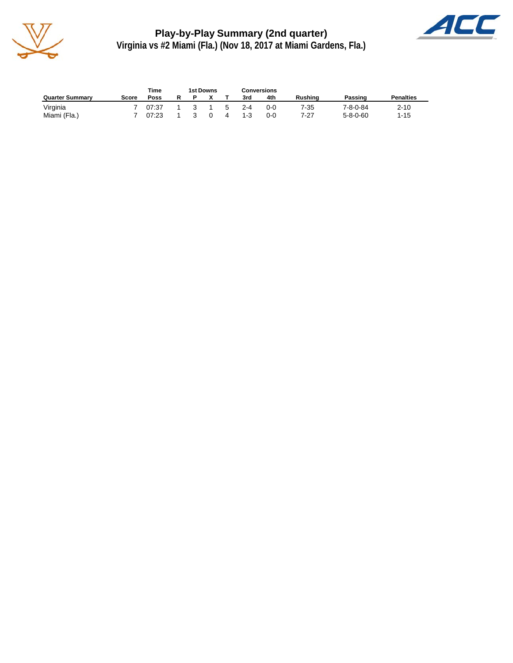

**Play-by-Play Summary (2nd quarter) Virginia vs #2 Miami (Fla.) (Nov 18, 2017 at Miami Gardens, Fla.)**



|                        |       | Time  | 1st Downs     |          |    | Conversions |         |                |                  |                  |
|------------------------|-------|-------|---------------|----------|----|-------------|---------|----------------|------------------|------------------|
| <b>Quarter Summary</b> | Score | Poss  |               |          |    | 3rd         | 4th     | <b>Rushing</b> | Passing          | <b>Penalties</b> |
| Virginia               |       | 07:37 | $\mathcal{R}$ |          | .5 | $2 - 4$     | $0 - 0$ | 7-35           | 7-8-0-84         | $2 - 10$         |
| Miami (Fla.)           |       | 07:23 |               | $\Omega$ | 4  | $1 - 3$     | 0-0     | 7-27           | $5 - 8 - 0 - 60$ | $1 - 15$         |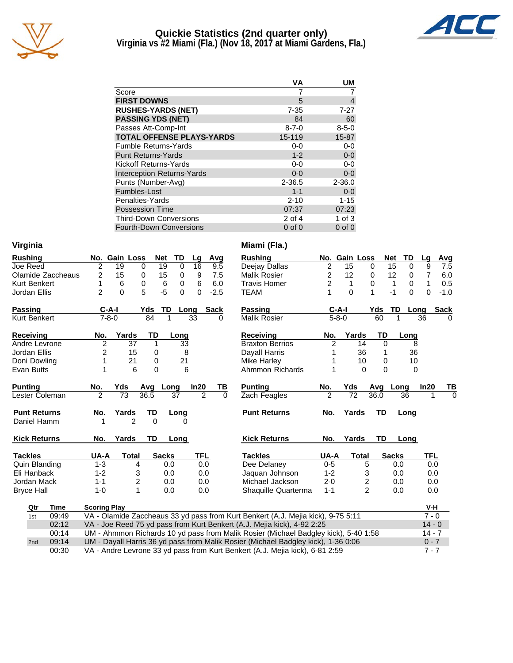

#### **Quickie Statistics (2nd quarter only) Virginia vs #2 Miami (Fla.) (Nov 18, 2017 at Miami Gardens, Fla.)**



|                                   | VA          | UΜ          |
|-----------------------------------|-------------|-------------|
| Score                             |             |             |
| <b>FIRST DOWNS</b>                | 5           | 4           |
| <b>RUSHES-YARDS (NET)</b>         | $7 - 35$    | 7-27        |
| <b>PASSING YDS (NET)</b>          | 84          | 60          |
| Passes Att-Comp-Int               | $8 - 7 - 0$ | $8 - 5 - 0$ |
| <b>TOTAL OFFENSE PLAYS-YARDS</b>  | 15-119      | $15 - 87$   |
| <b>Fumble Returns-Yards</b>       | $0 - 0$     | $0-0$       |
| <b>Punt Returns-Yards</b>         | $1 - 2$     | $0-0$       |
| Kickoff Returns-Yards             | $0-0$       | $0-0$       |
| <b>Interception Returns-Yards</b> | $0 - 0$     | $0-0$       |
| Punts (Number-Avg)                | 2-36.5      | $2 - 36.0$  |
| Fumbles-Lost                      | $1 - 1$     | $0-0$       |
| Penalties-Yards                   | $2 - 10$    | $1 - 15$    |
| <b>Possession Time</b>            | 07:37       | 07:23       |
| <b>Third-Down Conversions</b>     | 2 of 4      | 1 of $3$    |
| <b>Fourth-Down Conversions</b>    | $0$ of $0$  | $0$ of $0$  |

| virginia |  |
|----------|--|
| Rushina  |  |

| <b>Rushing</b>      | No.                 | <b>Gain Loss</b> |           | <b>Net</b><br>TD | Lg             | Avg      | Rushing                                                                          | No.            | <b>Gain Loss</b> |                         | <b>Net</b> | TD                |
|---------------------|---------------------|------------------|-----------|------------------|----------------|----------|----------------------------------------------------------------------------------|----------------|------------------|-------------------------|------------|-------------------|
| Joe Reed            | $\overline{c}$      | 19               | $\Omega$  | 19<br>$\Omega$   | 16             | 9.5      | Deejay Dallas                                                                    | 2              | 15               | 0                       |            | 15<br>$\mathbf 0$ |
| Olamide Zaccheaus   | 2                   | 15               | 0         | 15<br>0          | 9              | 7.5      | <b>Malik Rosier</b>                                                              | 2              | 12               | 0                       |            | 12<br>0           |
| Kurt Benkert        | 1                   | 6                | $\Omega$  | 6<br>$\Omega$    | 6              | 6.0      | <b>Travis Homer</b>                                                              | 2              | 1                | $\Omega$                |            | $\mathbf 0$<br>1  |
| Jordan Ellis        | $\overline{c}$      | 0                | 5         | $-5$<br>$\Omega$ | 0              | $-2.5$   | <b>TEAM</b>                                                                      |                | $\Omega$         | 1                       |            | $-1$<br>$\Omega$  |
| Passing             | $C-A-I$             |                  | Yds       | TD               | Long           | Sack     | <b>Passing</b>                                                                   |                | $C-A-I$          |                         | Yds        | TD<br>Lo          |
| Kurt Benkert        | $7 - 8 - 0$         |                  | 84        | 1                | 33             | 0        | Malik Rosier                                                                     |                | $5 - 8 - 0$      |                         | 60         |                   |
| Receiving           | No.                 | Yards            | TD        | Long             |                |          | <b>Receiving</b>                                                                 | No.            | Yards            |                         | TD         | Long              |
| Andre Levrone       | $\overline{c}$      | 37               | 1         |                  | 33             |          | <b>Braxton Berrios</b>                                                           | $\overline{c}$ |                  | 14                      | $\Omega$   |                   |
| Jordan Ellis        | $\overline{c}$      | 15               | 0         |                  | 8              |          | Dayall Harris                                                                    |                |                  | 36                      | 1          | 36                |
| Doni Dowling        |                     | 21               | 0         |                  | 21             |          | Mike Harley                                                                      |                |                  | 10                      | 0          | 10                |
| Evan Butts          |                     | 6                | 0         |                  | 6              |          | Ahmmon Richards                                                                  | 1              |                  | 0                       | 0          |                   |
| <b>Punting</b>      | No.                 | Yds              | Avq       | Long             | In20           | TВ       | <b>Punting</b>                                                                   | No.            | Yds              |                         | Avg        | Long              |
| Lester Coleman      | $\overline{2}$      | 73               | 36.5      | 37               | $\overline{2}$ | $\Omega$ | Zach Feagles                                                                     | $\overline{2}$ | $\overline{72}$  |                         | 36.0       | 36                |
| <b>Punt Returns</b> | No.                 | Yards            | TD        | Long             |                |          | <b>Punt Returns</b>                                                              | No.            | Yards            |                         | <b>TD</b>  | Long              |
| Daniel Hamm         | 1                   | $\overline{2}$   | $\Omega$  |                  | 0              |          |                                                                                  |                |                  |                         |            |                   |
| <b>Kick Returns</b> | No.                 | Yards            | <b>TD</b> | Long             |                |          | <b>Kick Returns</b>                                                              | No.            | Yards            |                         | <b>TD</b>  | Long              |
| <b>Tackles</b>      | UA-A                | <b>Total</b>     |           | <b>Sacks</b>     | <b>TFL</b>     |          | <b>Tackles</b>                                                                   | UA-A           |                  | <b>Total</b>            |            | <b>Sacks</b>      |
| Quin Blanding       | $1 - 3$             |                  | 4         | 0.0              | 0.0            |          | Dee Delaney                                                                      | $0 - 5$        |                  | 5                       |            | 0.0               |
| Eli Hanback         | $1 - 2$             |                  | 3         | 0.0              | 0.0            |          | Jaquan Johnson                                                                   | $1 - 2$        |                  | 3                       |            | 0.0               |
| Jordan Mack         | $1 - 1$             |                  | 2         | 0.0              | 0.0            |          | Michael Jackson                                                                  | $2 - 0$        |                  | $\overline{\mathbf{c}}$ |            | 0.0               |
| <b>Bryce Hall</b>   | $1 - 0$             |                  | 1         | 0.0              | 0.0            |          | Shaquille Quarterma                                                              | $1 - 1$        |                  | $\overline{2}$          |            | 0.0               |
| <b>Time</b><br>Qtr  | <b>Scoring Play</b> |                  |           |                  |                |          |                                                                                  |                |                  |                         |            |                   |
| 09.49<br>1st        |                     |                  |           |                  |                |          | VA - Olamide Zaccheaus 33 vd pass from Kurt Benkert (A.J. Meija kick), 9-75 5:11 |                |                  |                         |            |                   |

| Virginia            |                |                |                |                  |                |             | Miami (Fla.)           |                |                 |                |              |          |            |             |
|---------------------|----------------|----------------|----------------|------------------|----------------|-------------|------------------------|----------------|-----------------|----------------|--------------|----------|------------|-------------|
| <b>Rushing</b>      |                | No. Gain Loss  |                | <b>Net</b><br>TD | Lg             | Avg         | <b>Rushing</b>         |                | No. Gain Loss   |                | <b>Net</b>   | TD       | Lg         | <b>Avg</b>  |
| Joe Reed            | $\overline{2}$ | 19             | 0              | 0<br>19          | 16             | 9.5         | Deejay Dallas          | 2              | 15              | 0              | 15           | 0        | 9          | 7.5         |
| Olamide Zaccheaus   | 2              | 15             | 0              | 15<br>0          | 9              | 7.5         | <b>Malik Rosier</b>    | 2              | 12              | 0              | 12           | 0        | 7          | 6.0         |
| Kurt Benkert        | 1              | 6              | 0              | $\,6$<br>0       | 6              | 6.0         | <b>Travis Homer</b>    | 2              | 1               | 0              | 1            | 0        | 1          | 0.5         |
| Jordan Ellis        | $\overline{2}$ | $\mathbf 0$    | 5              | $-5$<br>0        | $\Omega$       | $-2.5$      | TEAM                   |                | $\Omega$        | 1              | $-1$         | $\Omega$ | 0          | $-1.0$      |
| Passing             |                | $C-A-I$        | Yds            | TD               | Long           | <b>Sack</b> | <b>Passing</b>         |                | $C-A-I$         | Yds            | TD           | Long     |            | <b>Sack</b> |
| Kurt Benkert        |                | $7 - 8 - 0$    | 84             |                  | 33             | 0           | <b>Malik Rosier</b>    |                | $5 - 8 - 0$     | 60             |              |          | 36         | 0           |
| <b>Receiving</b>    | No.            | Yards          | TD             | Long             |                |             | <b>Receiving</b>       | No.            | Yards           |                | TD           | Long     |            |             |
| Andre Levrone       | $\overline{2}$ | 37             | 1              |                  | 33             |             | <b>Braxton Berrios</b> | 2              |                 | 14             | $\Omega$     | 8        |            |             |
| Jordan Ellis        | 2              | 15             | 0              |                  | 8              |             | Dayall Harris          |                |                 | 36             |              | 36       |            |             |
| Doni Dowling        |                | 21             | 0              |                  | 21             |             | Mike Harley            |                |                 | 10             | 0            | 10       |            |             |
| Evan Butts          |                | 6              | $\Omega$       |                  | 6              |             | Ahmmon Richards        |                |                 | $\Omega$       | $\Omega$     | 0        |            |             |
| Puntina             | No.            | Yds            | Avg            | Long             | In20           | TВ          | <b>Punting</b>         | No.            | Yds             | Avg            | Long         |          | In20       | TB          |
| Lester Coleman      | 2              | 73             | 36.5           | 37               | $\overline{2}$ | $\Omega$    | Zach Feagles           | $\overline{2}$ | $\overline{72}$ | 36.0           |              | 36       |            | $\Omega$    |
| <b>Punt Returns</b> | No.            | Yards          | TD             | Long             |                |             | <b>Punt Returns</b>    | No.            | Yards           |                | <b>TD</b>    | Long     |            |             |
| Daniel Hamm         |                | $\overline{2}$ | $\Omega$       |                  | O              |             |                        |                |                 |                |              |          |            |             |
| <b>Kick Returns</b> | No.            | Yards          | <b>TD</b>      | Long             |                |             | <b>Kick Returns</b>    | No.            | Yards           |                | <b>TD</b>    | Long     |            |             |
| <b>Tackles</b>      | UA-A           | <b>Total</b>   |                | <b>Sacks</b>     | TFL            |             | <b>Tackles</b>         | UA-A           |                 | <b>Total</b>   | <b>Sacks</b> |          | <b>TFL</b> |             |
| Quin Blanding       | $1 - 3$        |                | 4              | 0.0              |                | 0.0         | Dee Delaney            | $0 - 5$        |                 | 5              | 0.0          |          | 0.0        |             |
| Eli Hanback         | $1 - 2$        |                | 3              | 0.0              |                | 0.0         | Jaquan Johnson         | $1 - 2$        |                 | 3              | 0.0          |          | 0.0        |             |
| Jordan Mack         | $1 - 1$        |                | $\overline{c}$ | 0.0              |                | 0.0         | Michael Jackson        | $2 - 0$        |                 | 2              | 0.0          |          | 0.0        |             |
| <b>Bryce Hall</b>   | $1 - 0$        |                | 1              | 0.0              |                | 0.0         | Shaquille Quarterma    | $1 - 1$        |                 | $\overline{2}$ | 0.0          |          | 0.0        |             |
|                     |                |                |                |                  |                |             |                        |                |                 |                |              |          |            |             |

| Qtr | Time  | <b>Scoring Play</b>                                                                 | V-H      |
|-----|-------|-------------------------------------------------------------------------------------|----------|
| 1st | 09:49 | VA - Olamide Zaccheaus 33 yd pass from Kurt Benkert (A.J. Mejia kick), 9-75 5:11    | $7 - 0$  |
|     | 02:12 | VA - Joe Reed 75 yd pass from Kurt Benkert (A.J. Mejia kick), 4-92 2:25             | $14 - 0$ |
|     | 00:14 | UM - Ahmmon Richards 10 yd pass from Malik Rosier (Michael Badgley kick), 5-40 1:58 | $14 - 7$ |
| 2nd | 09:14 | UM - Dayall Harris 36 yd pass from Malik Rosier (Michael Badgley kick), 1-36 0:06   | $0 - 7$  |
|     | 00:30 | VA - Andre Levrone 33 yd pass from Kurt Benkert (A.J. Mejia kick), 6-81 2:59        | $7 - 7$  |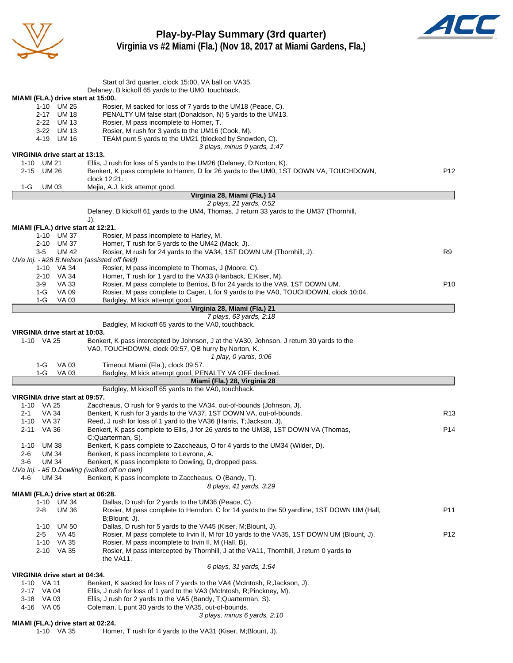



|                                                  | Start of 3rd quarter, clock 15:00, VA ball on VA35.<br>Delaney, B kickoff 65 yards to the UM0, touchback.                                 |                 |
|--------------------------------------------------|-------------------------------------------------------------------------------------------------------------------------------------------|-----------------|
| MIAMI (FLA.) drive start at 15:00.               |                                                                                                                                           |                 |
| 1-10 UM 25                                       | Rosier, M sacked for loss of 7 yards to the UM18 (Peace, C).                                                                              |                 |
| 2-17 UM 18                                       | PENALTY UM false start (Donaldson, N) 5 yards to the UM13.                                                                                |                 |
| 2-22 UM 13                                       | Rosier, M pass incomplete to Homer, T.                                                                                                    |                 |
| 3-22 UM 13                                       | Rosier, M rush for 3 yards to the UM16 (Cook, M).                                                                                         |                 |
| 4-19 UM 16                                       | TEAM punt 5 yards to the UM21 (blocked by Snowden, C).                                                                                    |                 |
|                                                  | 3 plays, minus 9 yards, 1:47                                                                                                              |                 |
| VIRGINIA drive start at 13:13.                   |                                                                                                                                           |                 |
| 1-10 UM 21                                       | Ellis, J rush for loss of 5 yards to the UM26 (Delaney, D;Norton, K).                                                                     |                 |
| 2-15 UM 26                                       | Benkert, K pass complete to Hamm, D for 26 yards to the UM0, 1ST DOWN VA, TOUCHDOWN,<br>clock 12:21.                                      | P <sub>12</sub> |
| 1-G<br><b>UM03</b>                               | Mejia, A.J. kick attempt good.                                                                                                            |                 |
|                                                  | Virginia 28, Miami (Fla.) 14                                                                                                              |                 |
|                                                  | 2 plays, 21 yards, 0:52                                                                                                                   |                 |
|                                                  | Delaney, B kickoff 61 yards to the UM4, Thomas, J return 33 yards to the UM37 (Thornhill,                                                 |                 |
|                                                  | J).                                                                                                                                       |                 |
| MIAMI (FLA.) drive start at 12:21.               |                                                                                                                                           |                 |
| 1-10 UM 37                                       | Rosier, M pass incomplete to Harley, M.                                                                                                   |                 |
| 2-10 UM 37                                       | Homer, T rush for 5 yards to the UM42 (Mack, J).                                                                                          |                 |
| $3-5$<br><b>UM 42</b>                            | Rosier, M rush for 24 yards to the VA34, 1ST DOWN UM (Thornhill, J).                                                                      | R <sub>9</sub>  |
| UVa Inj. - #28 B.Nelson (assisted off field)     |                                                                                                                                           |                 |
| 1-10 VA 34<br>2-10 VA 34                         | Rosier, M pass incomplete to Thomas, J (Moore, C).<br>Homer, T rush for 1 yard to the VA33 (Hanback, E;Kiser, M).                         |                 |
| VA 33<br>3-9                                     | Rosier, M pass complete to Berrios, B for 24 yards to the VA9, 1ST DOWN UM.                                                               | P <sub>10</sub> |
| 1-G<br>VA 09                                     | Rosier, M pass complete to Cager, L for 9 yards to the VA0, TOUCHDOWN, clock 10:04.                                                       |                 |
| 1-G<br>VA 03                                     | Badgley, M kick attempt good.                                                                                                             |                 |
|                                                  | Virginia 28, Miami (Fla.) 21                                                                                                              |                 |
|                                                  | 7 plays, 63 yards, 2:18                                                                                                                   |                 |
|                                                  | Badgley, M kickoff 65 yards to the VA0, touchback.                                                                                        |                 |
| VIRGINIA drive start at 10:03.                   |                                                                                                                                           |                 |
| 1-10 VA 25                                       | Benkert, K pass intercepted by Johnson, J at the VA30, Johnson, J return 30 yards to the                                                  |                 |
|                                                  | VA0, TOUCHDOWN, clock 09:57, QB hurry by Norton, K.                                                                                       |                 |
| <b>VA 03</b><br>1-G                              | 1 play, 0 yards, 0:06                                                                                                                     |                 |
|                                                  |                                                                                                                                           |                 |
|                                                  | Timeout Miami (Fla.), clock 09:57.                                                                                                        |                 |
| $1-G$<br>VA 03                                   | Badgley, M kick attempt good, PENALTY VA OFF declined.                                                                                    |                 |
|                                                  | Miami (Fla.) 28, Virginia 28                                                                                                              |                 |
| VIRGINIA drive start at 09:57.                   | Badgley, M kickoff 65 yards to the VA0, touchback.                                                                                        |                 |
| 1-10 VA 25                                       | Zaccheaus, O rush for 9 yards to the VA34, out-of-bounds (Johnson, J).                                                                    |                 |
| VA 34<br>2-1                                     | Benkert, K rush for 3 yards to the VA37, 1ST DOWN VA, out-of-bounds.                                                                      | R13             |
| 1-10 VA 37                                       | Reed, J rush for loss of 1 yard to the VA36 (Harris, T; Jackson, J).                                                                      |                 |
| 2-11 VA 36                                       | Benkert, K pass complete to Ellis, J for 26 yards to the UM38, 1ST DOWN VA (Thomas,                                                       | P14             |
|                                                  | C;Quarterman, S).                                                                                                                         |                 |
| 1-10 UM 38                                       | Benkert, K pass complete to Zaccheaus, O for 4 yards to the UM34 (Wilder, D).                                                             |                 |
| <b>UM 34</b><br>2-6                              | Benkert, K pass incomplete to Levrone, A.                                                                                                 |                 |
| $3-6$<br><b>UM34</b>                             | Benkert, K pass incomplete to Dowling, D, dropped pass.                                                                                   |                 |
| UVa Inj. - #5 D.Dowling (walked off on own)      |                                                                                                                                           |                 |
| 4-6<br>UM 34                                     | Benkert, K pass incomplete to Zaccheaus, O (Bandy, T).                                                                                    |                 |
|                                                  | 8 plays, 41 yards, 3:29                                                                                                                   |                 |
| MIAMI (FLA.) drive start at 06:28.<br>1-10 UM 34 | Dallas, D rush for 2 yards to the UM36 (Peace, C).                                                                                        |                 |
| <b>UM36</b><br>2-8                               | Rosier, M pass complete to Herndon, C for 14 yards to the 50 yardline, 1ST DOWN UM (Hall,                                                 | P11             |
|                                                  | B;Blount, J).                                                                                                                             |                 |
| 1-10 UM 50                                       | Dallas, D rush for 5 yards to the VA45 (Kiser, M;Blount, J).                                                                              |                 |
| 2-5<br>VA 45                                     | Rosier, M pass complete to Irvin II, M for 10 yards to the VA35, 1ST DOWN UM (Blount, J).                                                 | P12             |
| 1-10 VA 35                                       | Rosier, M pass incomplete to Irvin II, M (Hall, B).                                                                                       |                 |
| 2-10 VA 35                                       | Rosier, M pass intercepted by Thornhill, J at the VA11, Thornhill, J return 0 yards to                                                    |                 |
|                                                  | the VA11.                                                                                                                                 |                 |
|                                                  | 6 plays, 31 yards, 1:54                                                                                                                   |                 |
| VIRGINIA drive start at 04:34.                   |                                                                                                                                           |                 |
| 1-10 VA 11                                       | Benkert, K sacked for loss of 7 yards to the VA4 (McIntosh, R; Jackson, J).                                                               |                 |
| 2-17 VA 04<br>3-18 VA 03                         | Ellis, J rush for loss of 1 yard to the VA3 (McIntosh, R; Pinckney, M).<br>Ellis, J rush for 2 yards to the VA5 (Bandy, T;Quarterman, S). |                 |
| 4-16 VA 05                                       | Coleman, L punt 30 yards to the VA35, out-of-bounds.                                                                                      |                 |
| MIAMI (FLA.) drive start at 02:24.               | 3 plays, minus 6 yards, 2:10                                                                                                              |                 |

- - **MILA., dr. 20:20**<br>1-10 VA 35 Homer, T rush for 4 yards to the VA31 (Kiser, M;Blount, J).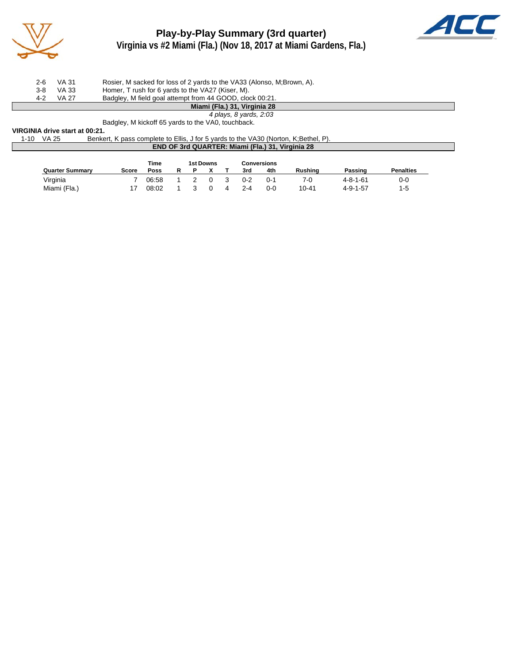

# **Play-by-Play Summary (3rd quarter) Virginia vs #2 Miami (Fla.) (Nov 18, 2017 at Miami Gardens, Fla.)**



|     |       | Miami (Fla.) 31, Virginia 28                                           |
|-----|-------|------------------------------------------------------------------------|
| 4-2 | VA 27 | Badgley, M field goal attempt from 44 GOOD, clock 00:21.               |
| 3-8 | VA 33 | Homer, T rush for 6 yards to the VA27 (Kiser, M).                      |
| 2-6 | VA 31 | Rosier, M sacked for loss of 2 yards to the VA33 (Alonso, M;Brown, A). |

## *4 plays, 8 yards, 2:03*

Badgley, M kickoff 65 yards to the VA0, touchback.

#### **VIRGINIA drive start at 00:21.**

| 1-10 VA 25 | Benkert, K pass complete to Ellis, J for 5 yards to the VA30 (Norton, K:Bethel, P). |  |
|------------|-------------------------------------------------------------------------------------|--|
|            | <b>END OF 3rd QUARTER: Miami (Fla.) 31, Virginia 28</b>                             |  |

|                        |       | Time  |  | 1st Downs |         | Conversions |                |                  |                  |  |  |
|------------------------|-------|-------|--|-----------|---------|-------------|----------------|------------------|------------------|--|--|
| <b>Quarter Summary</b> | Score | Poss  |  |           | 3rd     | 4th         | <b>Rushing</b> | Passing          | <b>Penalties</b> |  |  |
| Virginia               |       | 06:58 |  |           | $0 - 2$ | 0-1         | 7-0            | $4 - 8 - 1 - 61$ | 0-0              |  |  |
| Miami (Fla.)           |       | 08:02 |  |           | $2 - 4$ | 0-0         | $10 - 41$      | $4 - 9 - 1 - 57$ | $1 - 5$          |  |  |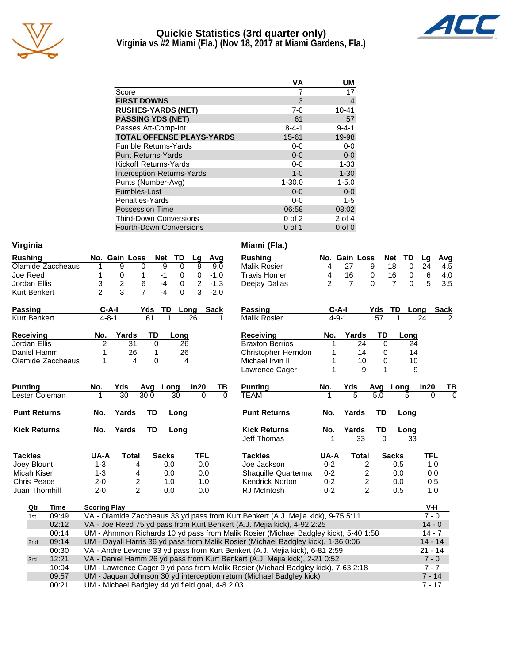

## **Quickie Statistics (3rd quarter only) Virginia vs #2 Miami (Fla.) (Nov 18, 2017 at Miami Gardens, Fla.)**



|                                   | VA          | UM          |
|-----------------------------------|-------------|-------------|
| Score                             |             | 17          |
| <b>FIRST DOWNS</b>                | 3           | 4           |
| <b>RUSHES-YARDS (NET)</b>         | $7-0$       | $10 - 41$   |
| <b>PASSING YDS (NET)</b>          | 61          | 57          |
| Passes Att-Comp-Int               | $8 - 4 - 1$ | $9 - 4 - 1$ |
| <b>TOTAL OFFENSE PLAYS-YARDS</b>  | 15-61       | 19-98       |
| <b>Fumble Returns-Yards</b>       | $0-0$       | $0-0$       |
| <b>Punt Returns-Yards</b>         | $0 - 0$     | $0-0$       |
| Kickoff Returns-Yards             | $0-0$       | $1 - 33$    |
| <b>Interception Returns-Yards</b> | $1 - 0$     | $1 - 30$    |
| Punts (Number-Avg)                | $1 - 30.0$  | $1 - 5.0$   |
| Fumbles-Lost                      | $0 - 0$     | $0-0$       |
| Penalties-Yards                   | $0-0$       | $1 - 5$     |
| <b>Possession Time</b>            | 06:58       | 08:02       |
| <b>Third-Down Conversions</b>     | $0$ of $2$  | 2 of 4      |
| <b>Fourth-Down Conversions</b>    | 0 of 1      | $0$ of $0$  |

|  | Virginia |  |
|--|----------|--|

| <b>Rushing</b>      |                     | No. Gain Loss          | <b>Net</b>     | TD                         | Lg             | Avg         | <b>Rushing</b>                                                                      |                | No. Gain Loss  |                         | <b>TD</b><br><b>Net</b>    | Lg<br>$\overline{A}$ |
|---------------------|---------------------|------------------------|----------------|----------------------------|----------------|-------------|-------------------------------------------------------------------------------------|----------------|----------------|-------------------------|----------------------------|----------------------|
| Olamide Zaccheaus   | 1                   | 9                      | 0              | $\overline{9}$<br>$\Omega$ | 9              | 9.0         | <b>Malik Rosier</b>                                                                 | 4              | 27             | 9                       | 18<br>$\Omega$             | 24                   |
| Joe Reed            | 1                   | 0                      | 1              | $-1$<br>0                  | 0              | $-1.0$      | <b>Travis Homer</b>                                                                 | 4              | 16             | 0                       | 16<br>0                    | 6                    |
| Jordan Ellis        | 3                   | 2                      | 6              | $-4$<br>0                  | $\overline{c}$ | $-1.3$      | Deejay Dallas                                                                       | $\overline{2}$ | $\overline{7}$ | $\Omega$                | $\overline{7}$<br>$\Omega$ | 5                    |
| <b>Kurt Benkert</b> | $\mathfrak{p}$      | 3                      | $\overline{7}$ | $\Omega$<br>$-4$           | 3              | $-2.0$      |                                                                                     |                |                |                         |                            |                      |
| <b>Passing</b>      | C-A-I               |                        | Yds            | TD                         | Long           | <b>Sack</b> | <b>Passing</b>                                                                      | $C-A-I$        |                | Yds                     | TD                         | Sa<br>Long           |
| <b>Kurt Benkert</b> | $4 - 8 - 1$         |                        | 61             | 1                          | 26             | 1           | <b>Malik Rosier</b>                                                                 | $4 - 9 - 1$    |                | 57                      | 1                          | 24                   |
| <b>Receiving</b>    | No.                 | Yards                  | <b>TD</b>      | Long                       |                |             | <b>Receiving</b>                                                                    | No.            | Yards          | TD                      | Long                       |                      |
| Jordan Ellis        | $\overline{2}$      | 31                     | $\Omega$       | 26                         |                |             | <b>Braxton Berrios</b>                                                              |                | 24             | $\Omega$                | 24                         |                      |
| Daniel Hamm         |                     | 26                     | 1              | 26                         |                |             | Christopher Herndon                                                                 |                | 14             | 0                       | 14                         |                      |
| Olamide Zaccheaus   | 1                   | $\boldsymbol{\Lambda}$ | $\Omega$       |                            | 4              |             | Michael Irvin II                                                                    |                | 10             | 0                       | 10                         |                      |
|                     |                     |                        |                |                            |                |             | Lawrence Cager                                                                      |                | 9              | 1                       | 9                          |                      |
| <b>Punting</b>      | No.                 | Yds                    | Avg            | Long                       | In20           | ΤВ          | <b>Punting</b>                                                                      | No.            | Yds            | Avg                     | Long                       | In20                 |
| Lester Coleman      |                     | 30                     | 30.0           | 30                         | $\Omega$       | $\Omega$    | <b>TEAM</b>                                                                         |                | 5              | 5.0                     | 5                          | 0                    |
| <b>Punt Returns</b> | No.                 | Yards                  | <b>TD</b>      | Long                       |                |             | <b>Punt Returns</b>                                                                 | No.            | Yards          | <b>TD</b>               | Long                       |                      |
| <b>Kick Returns</b> | No.                 | Yards                  | <b>TD</b>      | Long                       |                |             | <b>Kick Returns</b>                                                                 | No.            | Yards          | TD                      | Long                       |                      |
|                     |                     |                        |                |                            |                |             | Jeff Thomas                                                                         | 1              | 33             | $\Omega$                | 33                         |                      |
| <b>Tackles</b>      | UA-A                | <b>Total</b>           |                | <b>Sacks</b>               | <b>TFL</b>     |             | <b>Tackles</b>                                                                      | UA-A           | <b>Total</b>   |                         | <b>Sacks</b>               | TFL.                 |
| Joey Blount         | $1 - 3$             | 4                      |                | 0.0                        | 0.0            |             | Joe Jackson                                                                         | $0 - 2$        |                | 2                       | 0.5                        | 1.0                  |
| Micah Kiser         | $1 - 3$             | 4                      |                | 0.0                        | 0.0            |             | Shaquille Quarterma                                                                 | $0 - 2$        |                | $\overline{\mathbf{c}}$ | 0.0                        | 0.0                  |
| Chris Peace         | $2 - 0$             | 2                      |                | 1.0                        | 1.0            |             | <b>Kendrick Norton</b>                                                              | $0 - 2$        |                | 2                       | 0.0                        | 0.5                  |
| Juan Thornhill      | $2 - 0$             | $\overline{2}$         |                | 0.0                        | 0.0            |             | <b>RJ</b> McIntosh                                                                  | $0 - 2$        |                | $\overline{2}$          | 0.5                        | 1.0                  |
| Qtr<br>Time         | <b>Scoring Play</b> |                        |                |                            |                |             |                                                                                     |                |                |                         |                            | V-H                  |
| 09:49<br>1st        |                     |                        |                |                            |                |             | VA - Olamide Zaccheaus 33 yd pass from Kurt Benkert (A.J. Mejia kick), 9-75 5:11    |                |                |                         |                            | $7 - 0$              |
| 02:12               |                     |                        |                |                            |                |             | VA - Joe Reed 75 yd pass from Kurt Benkert (A.J. Mejia kick), 4-92 2:25             |                |                |                         |                            | $14 - 0$             |
| 00:14               |                     |                        |                |                            |                |             |                                                                                     |                |                |                         |                            | $14 - 7$             |
|                     |                     |                        |                |                            |                |             | UM - Ahmmon Richards 10 yd pass from Malik Rosier (Michael Badgley kick), 5-40 1:58 |                |                |                         |                            |                      |
| 09:14<br>2nd        |                     |                        |                |                            |                |             | UM - Dayall Harris 36 yd pass from Malik Rosier (Michael Badgley kick), 1-36 0:06   |                |                |                         |                            | $14 - 14$            |

00:30 VA - Andre Levrone 33 yd pass from Kurt Benkert (A.J. Mejia kick), 6-81 2:59  $\hspace{1cm}$  21 - 14 3rd 12:21 VA - Daniel Hamm 26 yd pass from Kurt Benkert (A.J. Mejia kick), 2-21 0:52 7 - 0 10:04 UM - Lawrence Cager 9 yd pass from Malik Rosier (Michael Badgley kick), 7-63 2:18 7 - 7 09:57 UM - Jaquan Johnson 30 yd interception return (Michael Badgley kick) 7 - 14 00:21 UM - Michael Badgley 44 yd field goal, 4-8 2:03

#### **Miami (Fla.)**

| <b>Rushing</b>                                                             | No.            | <b>Gain Loss</b> |                                            | <b>Net</b>     | TD   | Lg         | Avg         |
|----------------------------------------------------------------------------|----------------|------------------|--------------------------------------------|----------------|------|------------|-------------|
| <b>Malik Rosier</b>                                                        | 4              | 27               | 9                                          | 18             | 0    | 24         | 4.5         |
| <b>Travis Homer</b>                                                        | 4              | 16               | 0                                          | 16             | 0    | 6          | 4.0         |
| Deejay Dallas                                                              | $\overline{2}$ | 7                | 0                                          | $\overline{7}$ | 0    | 5          | 3.5         |
|                                                                            |                |                  |                                            |                |      |            |             |
| Passing                                                                    |                | C-A-I            | Yds                                        | TD             | Long |            | <b>Sack</b> |
| <b>Malik Rosier</b>                                                        | $4 - 9 - 1$    |                  | 57                                         | 1              |      | 24         | 2           |
| <b>Receiving</b>                                                           | No.            | Yards            | TD                                         |                | Long |            |             |
| <b>Braxton Berrios</b>                                                     | 1              | 24               | 0                                          |                | 24   |            |             |
| Christopher Herndon                                                        | 1              | 14               | 0                                          |                | 14   |            |             |
| Michael Irvin II                                                           | 1              | 10               | 0                                          |                | 10   |            |             |
| Lawrence Cager                                                             | 1              | 9                | 1                                          |                | 9    |            |             |
| <b>Punting</b>                                                             | No.            | Yds              | Avg                                        | Long           |      | In20       | ТВ          |
| <b>TFAM</b>                                                                |                | 5                | 5.0                                        |                | 5    | 0          | $\Omega$    |
| <b>Punt Returns</b>                                                        | No.            | Yards            | TD                                         |                | Long |            |             |
| <b>Kick Returns</b>                                                        | No.            | Yards            | TD                                         |                | Long |            |             |
| Jeff Thomas                                                                | 1              | 33               | $\Omega$                                   |                | 33   |            |             |
|                                                                            |                |                  |                                            |                |      |            |             |
| <b>Tackles</b>                                                             | UA-A           | Total            |                                            | <b>Sacks</b>   |      | <b>TFL</b> |             |
| Joe Jackson                                                                | $0 - 2$        | 2                |                                            | 0.5            |      | 1.0        |             |
| Shaquille Quarterma                                                        | $0 - 2$        |                  |                                            | 0.0            |      | 0.0        |             |
| <b>Kendrick Norton</b>                                                     | $0 - 2$        |                  |                                            | 0.0            |      | 0.5        |             |
| <b>RJ McIntosh</b>                                                         | $0 - 2$        |                  | $\begin{array}{c} 2 \\ 2 \\ 2 \end{array}$ | 0.5            |      | 1.0        |             |
|                                                                            |                |                  |                                            |                |      | V-H        |             |
|                                                                            |                |                  |                                            |                |      | $7 - 0$    |             |
| urt Benkert (A.J. Mejia kick), 9-75 5:11<br>t (A.J. Mejia kick), 4-92 2:25 |                |                  |                                            |                |      | $14 - 0$   |             |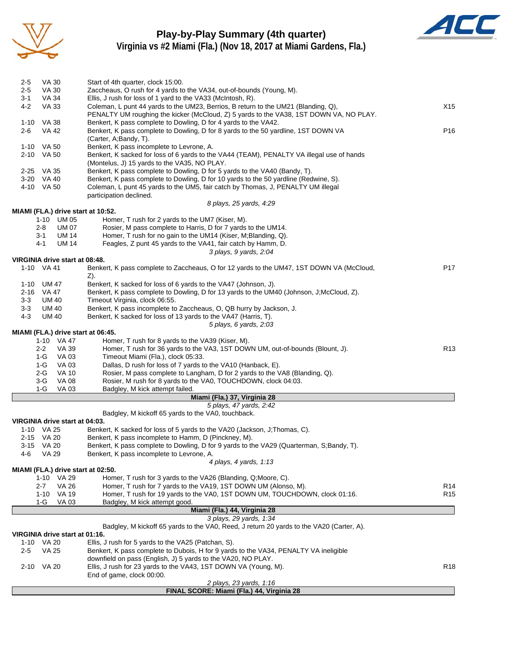

# **Play-by-Play Summary (4th quarter)**



**Virginia vs #2 Miami (Fla.) (Nov 18, 2017 at Miami Gardens, Fla.)**

|         |                                              | FINAL SCORE: Miami (Fla.) 44, Virginia 28                                                                                                     |                                    |
|---------|----------------------------------------------|-----------------------------------------------------------------------------------------------------------------------------------------------|------------------------------------|
|         |                                              | 2 plays, 23 yards, 1:16                                                                                                                       |                                    |
|         |                                              | End of game, clock 00:00.                                                                                                                     |                                    |
|         | 2-10 VA 20                                   | downfield on pass (English, J) 5 yards to the VA20, NO PLAY.<br>Ellis, J rush for 23 yards to the VA43, 1ST DOWN VA (Young, M).               | R <sub>18</sub>                    |
| $2 - 5$ | VA 25                                        | Benkert, K pass complete to Dubois, H for 9 yards to the VA34, PENALTY VA ineligible                                                          |                                    |
|         | 1-10 VA 20                                   | Ellis, J rush for 5 yards to the VA25 (Patchan, S).                                                                                           |                                    |
|         | VIRGINIA drive start at 01:16.               |                                                                                                                                               |                                    |
|         |                                              | Badgley, M kickoff 65 yards to the VA0, Reed, J return 20 yards to the VA20 (Carter, A).                                                      |                                    |
|         |                                              | 3 plays, 29 yards, 1:34                                                                                                                       |                                    |
|         |                                              | Miami (Fla.) 44, Virginia 28                                                                                                                  |                                    |
|         | <b>VA03</b><br>1-G                           | Badgley, M kick attempt good.                                                                                                                 |                                    |
|         | <b>VA 26</b><br>$2 - 7$<br>VA 19<br>1-10     | Homer, T rush for 19 yards to the VA0, 1ST DOWN UM, TOUCHDOWN, clock 01:16.                                                                   | R <sub>14</sub><br>R <sub>15</sub> |
|         | 1-10 VA 29                                   | Homer, T rush for 3 yards to the VA26 (Blanding, Q; Moore, C).<br>Homer, T rush for 7 yards to the VA19, 1ST DOWN UM (Alonso, M).             |                                    |
|         | MIAMI (FLA.) drive start at 02:50.           |                                                                                                                                               |                                    |
|         |                                              | 4 plays, 4 yards, 1:13                                                                                                                        |                                    |
| 4-6     | <b>VA 29</b>                                 | Benkert, K pass incomplete to Levrone, A.                                                                                                     |                                    |
|         | 3-15 VA 20                                   | Benkert, K pass complete to Dowling, D for 9 yards to the VA29 (Quarterman, S;Bandy, T).                                                      |                                    |
|         | 2-15 VA 20                                   | Benkert, K pass incomplete to Hamm, D (Pinckney, M).                                                                                          |                                    |
|         | 1-10 VA 25                                   | Benkert, K sacked for loss of 5 yards to the VA20 (Jackson, J;Thomas, C).                                                                     |                                    |
|         | VIRGINIA drive start at 04:03.               |                                                                                                                                               |                                    |
|         |                                              | Badgley, M kickoff 65 yards to the VA0, touchback.                                                                                            |                                    |
|         |                                              | 5 plays, 47 yards, 2:42                                                                                                                       |                                    |
|         |                                              | Miami (Fla.) 37, Virginia 28                                                                                                                  |                                    |
|         | 1-G<br>VA 03                                 | Badgley, M kick attempt failed.                                                                                                               |                                    |
|         | 2-G<br><b>VA 10</b><br>$3-G$<br><b>VA 08</b> | Rosier, M pass complete to Langham, D for 2 yards to the VA8 (Blanding, Q).<br>Rosier, M rush for 8 yards to the VA0, TOUCHDOWN, clock 04:03. |                                    |
|         | 1-G<br>VA 03                                 | Dallas, D rush for loss of 7 yards to the VA10 (Hanback, E).                                                                                  |                                    |
|         | $1-G$<br>VA 03                               | Timeout Miami (Fla.), clock 05:33.                                                                                                            |                                    |
|         | $2 - 2$<br>VA 39                             | Homer, T rush for 36 yards to the VA3, 1ST DOWN UM, out-of-bounds (Blount, J).                                                                | R <sub>13</sub>                    |
|         | 1-10 VA 47                                   | Homer, T rush for 8 yards to the VA39 (Kiser, M).                                                                                             |                                    |
|         | MIAMI (FLA.) drive start at 06:45.           |                                                                                                                                               |                                    |
|         |                                              | 5 plays, 6 yards, 2:03                                                                                                                        |                                    |
| $4 - 3$ | <b>UM 40</b>                                 | Benkert, K sacked for loss of 13 yards to the VA47 (Harris, T).                                                                               |                                    |
| 3-3     | UM 40                                        | Benkert, K pass incomplete to Zaccheaus, O, QB hurry by Jackson, J.                                                                           |                                    |
| $3 - 3$ | UM 40                                        | Timeout Virginia, clock 06:55.                                                                                                                |                                    |
|         | 2-16 VA 47                                   | Benkert, K pass complete to Dowling, D for 13 yards to the UM40 (Johnson, J;McCloud, Z).                                                      |                                    |
| 1-10    | UM 47                                        | Benkert, K sacked for loss of 6 yards to the VA47 (Johnson, J).                                                                               |                                    |
|         |                                              | Z).                                                                                                                                           |                                    |
|         | 1-10 VA 41                                   | Benkert, K pass complete to Zaccheaus, O for 12 yards to the UM47, 1ST DOWN VA (McCloud,                                                      | P17                                |
|         | VIRGINIA drive start at 08:48.               |                                                                                                                                               |                                    |
|         |                                              | 3 plays, 9 yards, 2:04                                                                                                                        |                                    |
|         | 3-1<br>UM 14<br><b>UM 14</b><br>4-1          | Homer, T rush for no gain to the UM14 (Kiser, M; Blanding, Q).<br>Feagles, Z punt 45 yards to the VA41, fair catch by Hamm, D.                |                                    |
|         | <b>UM 07</b><br>2-8                          | Rosier, M pass complete to Harris, D for 7 yards to the UM14.                                                                                 |                                    |
|         | 1-10 UM 05                                   | Homer, T rush for 2 yards to the UM7 (Kiser, M).                                                                                              |                                    |
|         | MIAMI (FLA.) drive start at 10:52.           |                                                                                                                                               |                                    |
|         |                                              | 8 plays, 25 yards, 4:29                                                                                                                       |                                    |
|         |                                              | participation declined.                                                                                                                       |                                    |
|         | 4-10 VA 50                                   | Coleman, L punt 45 yards to the UM5, fair catch by Thomas, J, PENALTY UM illegal                                                              |                                    |
|         | 3-20 VA 40                                   | Benkert, K pass complete to Dowling, D for 10 yards to the 50 yardline (Redwine, S).                                                          |                                    |
|         | 2-25 VA 35                                   | Benkert, K pass complete to Dowling, D for 5 yards to the VA40 (Bandy, T).                                                                    |                                    |
|         |                                              | (Montelus, J) 15 yards to the VA35, NO PLAY.                                                                                                  |                                    |
|         | 2-10 VA 50                                   | Benkert, K sacked for loss of 6 yards to the VA44 (TEAM), PENALTY VA illegal use of hands                                                     |                                    |
|         | 1-10 VA 50                                   | Benkert, K pass incomplete to Levrone, A.                                                                                                     |                                    |
| $2 - 6$ | <b>VA 42</b>                                 | Benkert, K pass complete to Dowling, D for 8 yards to the 50 yardline, 1ST DOWN VA<br>(Carter, A;Bandy, T).                                   | P <sub>16</sub>                    |
|         | 1-10 VA 38                                   | Benkert, K pass complete to Dowling, D for 4 yards to the VA42.                                                                               |                                    |
|         |                                              | PENALTY UM roughing the kicker (McCloud, Z) 5 yards to the VA38, 1ST DOWN VA, NO PLAY.                                                        |                                    |
| $4 - 2$ | <b>VA 33</b>                                 | Coleman, L punt 44 yards to the UM23, Berrios, B return to the UM21 (Blanding, Q),                                                            | X15                                |
| $3 - 1$ | VA 34                                        | Ellis, J rush for loss of 1 yard to the VA33 (McIntosh, R).                                                                                   |                                    |
| $2 - 5$ | VA 30                                        | Zaccheaus, O rush for 4 yards to the VA34, out-of-bounds (Young, M).                                                                          |                                    |
| $2 - 5$ | VA 30                                        | Start of 4th quarter, clock 15:00.                                                                                                            |                                    |
|         |                                              |                                                                                                                                               |                                    |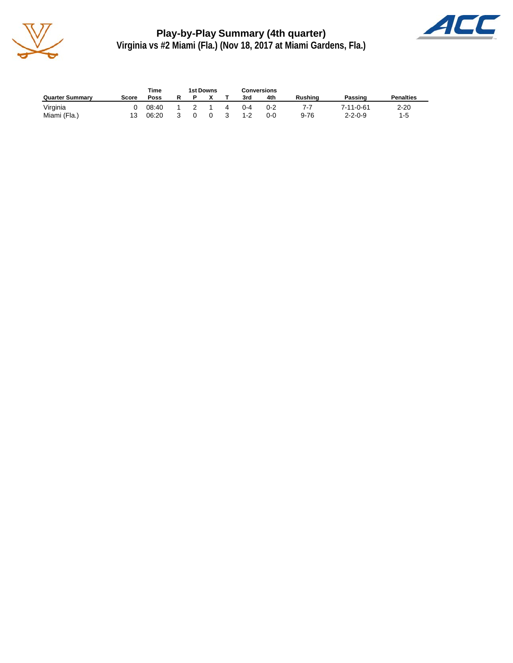

**Play-by-Play Summary (4th quarter) Virginia vs #2 Miami (Fla.) (Nov 18, 2017 at Miami Gardens, Fla.)**



|                        |       | Time  | 1st Downs<br>Conversions |          |    |         |         |                |                 |                  |
|------------------------|-------|-------|--------------------------|----------|----|---------|---------|----------------|-----------------|------------------|
| <b>Quarter Summary</b> | Score | Poss  |                          |          |    | 3rd     | 4th     | <b>Rushing</b> | Passing         | <b>Penalties</b> |
| Virginia               |       | 08:40 |                          |          | 4  | $0 - 4$ | $0 - 2$ | $7-7$          | 7-11-0-61       | $2 - 20$         |
| Miami (Fla.)           |       | 06:20 | $\Omega$                 | $\Omega$ | -3 | $1 - 2$ | ი-ი     | $9 - 76$       | $2 - 2 - 0 - 9$ | $1-5$            |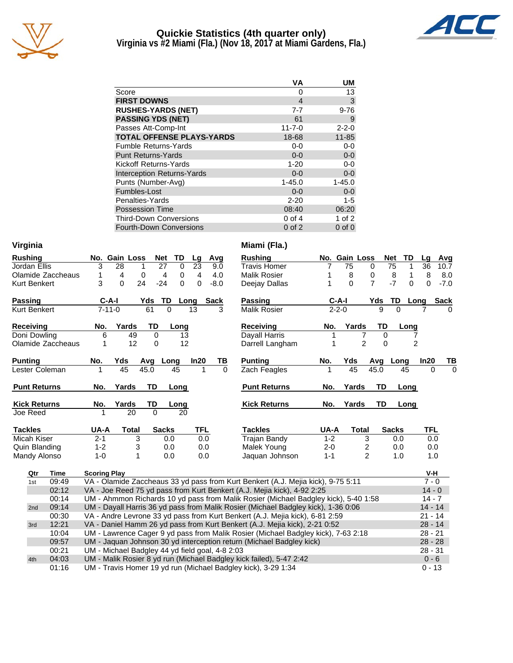

## **Quickie Statistics (4th quarter only) Virginia vs #2 Miami (Fla.) (Nov 18, 2017 at Miami Gardens, Fla.)**



|                                   | ٧A           | UΜ          |
|-----------------------------------|--------------|-------------|
| Score                             | 0            | 13          |
| <b>FIRST DOWNS</b>                | 4            | 3           |
| <b>RUSHES-YARDS (NET)</b>         | $7 - 7$      | $9 - 76$    |
| <b>PASSING YDS (NET)</b>          | 61           | 9           |
| Passes Att-Comp-Int               | $11 - 7 - 0$ | $2 - 2 - 0$ |
| <b>TOTAL OFFENSE PLAYS-YARDS</b>  | 18-68        | $11 - 85$   |
| <b>Fumble Returns-Yards</b>       | $0 - 0$      | $0-0$       |
| <b>Punt Returns-Yards</b>         | $0 - 0$      | $0-0$       |
| Kickoff Returns-Yards             | $1 - 20$     | $0 - 0$     |
| <b>Interception Returns-Yards</b> | $0 - 0$      | $0-0$       |
| Punts (Number-Avg)                | $1 - 45.0$   | $1 - 45.0$  |
| Fumbles-Lost                      | $0 - 0$      | $0 - 0$     |
| Penalties-Yards                   | $2 - 20$     | 1-5         |
| <b>Possession Time</b>            | 08:40        | 06:20       |
| <b>Third-Down Conversions</b>     | 0 of 4       | 1 of $2$    |
| <b>Fourth-Down Conversions</b>    | $0$ of $2$   | $0$ of $0$  |

| Virginia                                                                                               |                   |                                                                                           |               |       |                |          |      |                                                               | Miami (Fla.)                                                                        |             |                |                |                  |                |                      |
|--------------------------------------------------------------------------------------------------------|-------------------|-------------------------------------------------------------------------------------------|---------------|-------|----------------|----------|------|---------------------------------------------------------------|-------------------------------------------------------------------------------------|-------------|----------------|----------------|------------------|----------------|----------------------|
| <b>Rushing</b>                                                                                         |                   |                                                                                           | No. Gain Loss |       | <b>Net</b>     | TD       | Lg   | Avg                                                           | <b>Rushing</b>                                                                      |             | No. Gain Loss  |                | <b>Net</b><br>TD | Lg             | Avg                  |
| Jordan Ellis                                                                                           |                   | 3                                                                                         | 28            | 1     | 27             | $\Omega$ | 23   | 9.0                                                           | <b>Travis Homer</b>                                                                 | 7           | 75             | 0              | 75<br>1          | 36             | 10.7                 |
|                                                                                                        | Olamide Zaccheaus | 1                                                                                         | 4             | 0     | 4              | 0        | 4    | 4.0                                                           | <b>Malik Rosier</b>                                                                 |             | 8              | 0              | 8<br>1           | 8              | 8.0                  |
| <b>Kurt Benkert</b>                                                                                    |                   | 3                                                                                         | $\Omega$      | 24    | $-24$          | 0        | 0    | $-8.0$                                                        | Deejay Dallas                                                                       |             | $\Omega$       | $\overline{7}$ | $-7$<br>0        | 0              | $-7.0$               |
| <b>Passing</b>                                                                                         |                   |                                                                                           | $C-A-I$       |       | Yds<br>TD      | Long     |      | Sack                                                          | <b>Passing</b>                                                                      |             | $C-A-I$        | Yds            | TD               | Long           | <b>Sack</b>          |
| <b>Kurt Benkert</b>                                                                                    |                   |                                                                                           | $7 - 11 - 0$  |       | 61<br>$\Omega$ |          | 13   | 3                                                             | <b>Malik Rosier</b>                                                                 | $2 - 2 - 0$ |                | $\mathbf{Q}$   | $\Omega$         |                |                      |
| <b>Receiving</b>                                                                                       |                   | No.                                                                                       | Yards         |       | TD             | Long     |      |                                                               | <b>Receiving</b>                                                                    | No.         | Yards          | TD             | Long             |                |                      |
| Doni Dowling                                                                                           |                   | 6                                                                                         |               | 49    | 0              | 13       |      |                                                               | Dayall Harris                                                                       |             |                | 0              |                  |                |                      |
|                                                                                                        | Olamide Zaccheaus | 1                                                                                         |               | 12    | 0              | 12       |      |                                                               | Darrell Langham                                                                     |             | $\overline{2}$ | $\Omega$       |                  | $\overline{c}$ |                      |
| <b>Punting</b>                                                                                         |                   | No.                                                                                       | Yds           |       | Avg Long       |          | In20 | TВ                                                            | <b>Punting</b>                                                                      | No.         | Yds            |                | Avg Long         | In20           | TВ                   |
| Lester Coleman                                                                                         |                   | 1                                                                                         | 45            | 45.0  |                | 45       |      | $\Omega$                                                      | Zach Feagles                                                                        |             | 45             | 45.0           | 45               |                | $\Omega$<br>$\Omega$ |
| <b>Punt Returns</b><br>Yards<br>TD<br><b>Punt Returns</b><br>Yards<br>TD<br>No.<br>Long<br>No.<br>Long |                   |                                                                                           |               |       |                |          |      |                                                               |                                                                                     |             |                |                |                  |                |                      |
| <b>Kick Returns</b>                                                                                    |                   | No.                                                                                       | Yards         |       | TD             | Long     |      |                                                               | <b>Kick Returns</b>                                                                 | No.         | Yards          | TD             | Long             |                |                      |
| Joe Reed                                                                                               |                   | 1                                                                                         |               | 20    | $\Omega$       | 20       |      |                                                               |                                                                                     |             |                |                |                  |                |                      |
| <b>Tackles</b>                                                                                         |                   | UA-A                                                                                      |               | Total | <b>Sacks</b>   |          | TFL  |                                                               | <b>Tackles</b>                                                                      | UA-A        | <b>Total</b>   |                | <b>Sacks</b>     | <b>TFL</b>     |                      |
| Micah Kiser                                                                                            |                   | $2 - 1$                                                                                   |               | 3     | 0.0            |          |      | 0.0                                                           | <b>Trajan Bandy</b>                                                                 | $1 - 2$     | 3              |                | 0.0              |                | 0.0                  |
| Quin Blanding                                                                                          |                   | $1 - 2$                                                                                   |               | 3     | 0.0            |          |      | 0.0                                                           | Malek Young                                                                         | $2 - 0$     | $\overline{c}$ |                | 0.0              |                | 0.0                  |
| Mandy Alonso                                                                                           |                   | $1 - 0$                                                                                   |               | 1     | 0.0            |          |      | 0.0                                                           | Jaquan Johnson                                                                      | $1 - 1$     | $\overline{2}$ |                | 1.0              |                | 1.0                  |
| Qtr                                                                                                    | <b>Time</b>       | <b>Scoring Play</b>                                                                       |               |       |                |          |      |                                                               |                                                                                     |             |                |                |                  |                | V-H                  |
| 1st                                                                                                    | 09:49             |                                                                                           |               |       |                |          |      |                                                               | VA - Olamide Zaccheaus 33 yd pass from Kurt Benkert (A.J. Mejia kick), 9-75 5:11    |             |                |                |                  |                | $7 - 0$              |
|                                                                                                        | 02:12             |                                                                                           |               |       |                |          |      |                                                               | VA - Joe Reed 75 yd pass from Kurt Benkert (A.J. Mejia kick), 4-92 2:25             |             |                |                |                  |                | $14 - 0$             |
|                                                                                                        | 00:14             |                                                                                           |               |       |                |          |      |                                                               | UM - Ahmmon Richards 10 yd pass from Malik Rosier (Michael Badgley kick), 5-40 1:58 |             |                |                |                  |                | $14 - 7$             |
| 2nd                                                                                                    | 09:14             |                                                                                           |               |       |                |          |      |                                                               | UM - Dayall Harris 36 yd pass from Malik Rosier (Michael Badgley kick), 1-36 0:06   |             |                |                |                  |                | $14 - 14$            |
|                                                                                                        | 00:30             | VA - Andre Levrone 33 yd pass from Kurt Benkert (A.J. Mejia kick), 6-81 2:59<br>$21 - 14$ |               |       |                |          |      |                                                               |                                                                                     |             |                |                |                  |                |                      |
| 3rd                                                                                                    | 12:21             |                                                                                           |               |       |                |          |      |                                                               | VA - Daniel Hamm 26 yd pass from Kurt Benkert (A.J. Mejia kick), 2-21 0:52          |             |                |                |                  |                | $28 - 14$            |
|                                                                                                        | 10:04             |                                                                                           |               |       |                |          |      |                                                               | UM - Lawrence Cager 9 yd pass from Malik Rosier (Michael Badgley kick), 7-63 2:18   |             |                |                |                  | $28 - 21$      |                      |
|                                                                                                        | 09:57             |                                                                                           |               |       |                |          |      |                                                               | UM - Jaquan Johnson 30 yd interception return (Michael Badgley kick)                |             |                |                |                  |                | $28 - 28$            |
|                                                                                                        | 00:21             |                                                                                           |               |       |                |          |      | UM - Michael Badgley 44 yd field goal, 4-8 2:03               |                                                                                     |             |                |                |                  | $28 - 31$      |                      |
| 4th                                                                                                    | 04:03             |                                                                                           |               |       |                |          |      |                                                               | UM - Malik Rosier 8 yd run (Michael Badgley kick failed), 5-47 2:42                 |             |                |                |                  |                | $0 - 6$              |
|                                                                                                        |                   |                                                                                           |               |       |                |          |      | UM - Travis Homer 19 yd run (Michael Badgley kick), 3-29 1:34 |                                                                                     |             |                |                | $0 - 13$         |                |                      |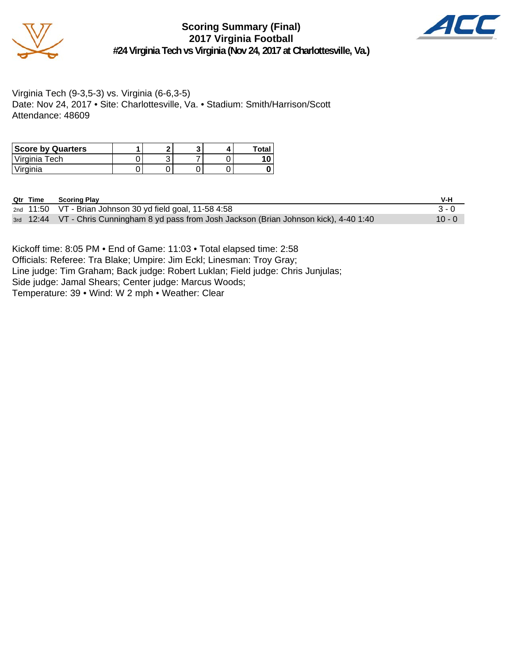

**Scoring Summary (Final) 2017 Virginia Football #24 Virginia Tech vs Virginia (Nov 24, 2017 at Charlottesville, Va.)**



Virginia Tech (9-3,5-3) vs. Virginia (6-6,3-5) Date: Nov 24, 2017 • Site: Charlottesville, Va. • Stadium: Smith/Harrison/Scott Attendance: 48609

| <b>Score by Quarters</b> |  |  | Total |
|--------------------------|--|--|-------|
| Virginia Tech            |  |  |       |
| 'Virginia                |  |  |       |

| <b>Qtr Time</b><br><b>Scoring Play</b> |
|----------------------------------------|
|----------------------------------------|

|  | Qtr Time Scoring Play                                                                       | V-H      |
|--|---------------------------------------------------------------------------------------------|----------|
|  | $2nd$ 11:50 VT - Brian Johnson 30 yd field goal, 11-58 4:58                                 | $3 - 0$  |
|  | 3rd 12:44 VT - Chris Cunningham 8 yd pass from Josh Jackson (Brian Johnson kick), 4-40 1:40 | $10 - 0$ |

Kickoff time: 8:05 PM • End of Game: 11:03 • Total elapsed time: 2:58 Officials: Referee: Tra Blake; Umpire: Jim Eckl; Linesman: Troy Gray; Line judge: Tim Graham; Back judge: Robert Luklan; Field judge: Chris Junjulas; Side judge: Jamal Shears; Center judge: Marcus Woods; Temperature: 39 • Wind: W 2 mph • Weather: Clear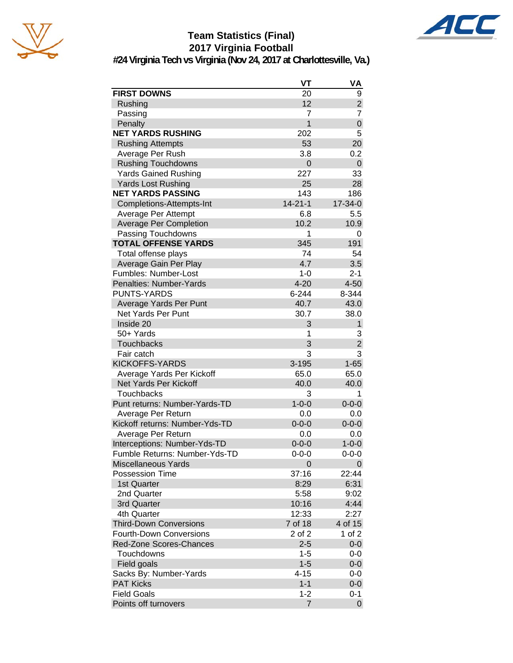





**#24 Virginia Tech vs Virginia (Nov 24, 2017 at Charlottesville, Va.)**

|                                | VT             | VA             |
|--------------------------------|----------------|----------------|
| <b>FIRST DOWNS</b>             | 20             | 9              |
| Rushing                        | 12             | $\overline{a}$ |
| Passing                        | 7              | 7              |
| Penalty                        | $\overline{1}$ | $\mathsf 0$    |
| <b>NET YARDS RUSHING</b>       | 202            | 5              |
| <b>Rushing Attempts</b>        | 53             | 20             |
| Average Per Rush               | 3.8            | 0.2            |
| <b>Rushing Touchdowns</b>      | 0              | 0              |
| <b>Yards Gained Rushing</b>    | 227            | 33             |
| <b>Yards Lost Rushing</b>      | 25             | 28             |
| <b>NET YARDS PASSING</b>       | 143            | 186            |
| Completions-Attempts-Int       | $14 - 21 - 1$  | 17-34-0        |
| Average Per Attempt            | 6.8            | 5.5            |
| <b>Average Per Completion</b>  | 10.2           | 10.9           |
| Passing Touchdowns             | 1              | 0              |
| <b>TOTAL OFFENSE YARDS</b>     | 345            | 191            |
| Total offense plays            | 74             | 54             |
| Average Gain Per Play          | 4.7            | 3.5            |
| Fumbles: Number-Lost           | $1 - 0$        | $2 - 1$        |
| Penalties: Number-Yards        | $4 - 20$       | $4 - 50$       |
| <b>PUNTS-YARDS</b>             | $6 - 244$      | 8-344          |
| Average Yards Per Punt         | 40.7           | 43.0           |
| <b>Net Yards Per Punt</b>      | 30.7           | 38.0           |
| Inside 20                      | 3              | $\mathbf{1}$   |
| 50+ Yards                      | 1              | 3              |
| <b>Touchbacks</b>              | 3              | $\overline{2}$ |
| Fair catch                     | 3              | 3              |
| <b>KICKOFFS-YARDS</b>          | $3 - 195$      | $1 - 65$       |
| Average Yards Per Kickoff      | 65.0           | 65.0           |
| Net Yards Per Kickoff          | 40.0           | 40.0           |
| <b>Touchbacks</b>              | 3              | 1              |
| Punt returns: Number-Yards-TD  | $1 - 0 - 0$    | $0 - 0 - 0$    |
| Average Per Return             | 0.0            | 0.0            |
| Kickoff returns: Number-Yds-TD | $0 - 0 - 0$    | $0 - 0 - 0$    |
| Average Per Return             | 0.0            | 0.0            |
| Interceptions: Number-Yds-TD   | $0 - 0 - 0$    | $1 - 0 - 0$    |
| Fumble Returns: Number-Yds-TD  | $0 - 0 - 0$    | $0 - 0 - 0$    |
| <b>Miscellaneous Yards</b>     | 0              | 0              |
| <b>Possession Time</b>         | 37:16          | 22:44          |
| 1st Quarter                    | 8:29           | 6:31           |
| 2nd Quarter                    | 5:58           | 9:02           |
| 3rd Quarter                    | 10:16          | 4:44           |
| 4th Quarter                    | 12:33          | 2:27           |
| <b>Third-Down Conversions</b>  | 7 of 18        | 4 of 15        |
| <b>Fourth-Down Conversions</b> | 2 of 2         | 1 of 2         |
| Red-Zone Scores-Chances        | $2 - 5$        | $0-0$          |
| Touchdowns                     | $1 - 5$        | 0-0            |
| Field goals                    | $1 - 5$        | $0-0$          |
| Sacks By: Number-Yards         | $4 - 15$       | 0-0            |
| <b>PAT Kicks</b>               | $1 - 1$        | $0-0$          |
| <b>Field Goals</b>             | $1 - 2$        | $0 - 1$        |
| Points off turnovers           | 7              | $\overline{0}$ |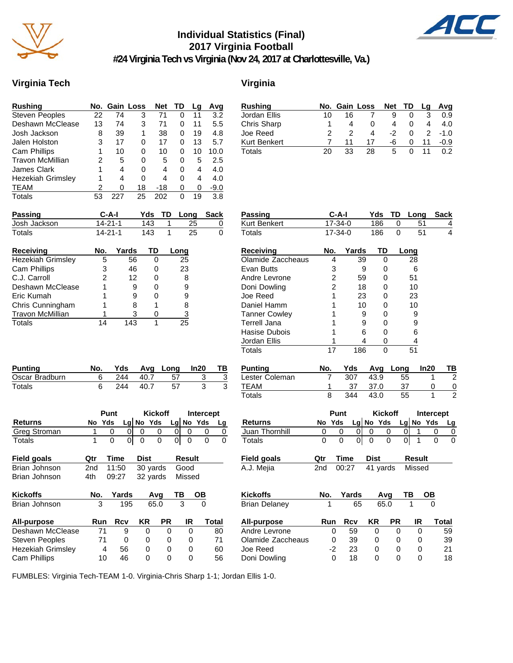

# **Individual Statistics (Final) 2017 Virginia Football**



**#24 Virginia Tech vs Virginia (Nov 24, 2017 at Charlottesville, Va.)**

## **Virginia Tech Virginia**

|    |     |    | Net           | TD | Lg | Avg    |
|----|-----|----|---------------|----|----|--------|
| 22 | 74  | 3  | 71            | 0  | 11 | 3.2    |
| 13 | 74  | 3  | 71            | 0  | 11 | 5.5    |
| 8  | 39  | 1  | 38            | 0  | 19 | 4.8    |
| 3  | 17  | 0  | 17            | 0  | 13 | 5.7    |
|    | 10  | 0  | 10            | 0  | 10 | 10.0   |
| 2  | 5   | 0  | 5             | 0  | 5  | 2.5    |
| 1  | 4   | 0  | 4             | 0  | 4  | 4.0    |
| 1  | 4   | 0  | 4             | 0  | 4  | 4.0    |
| 2  | 0   | 18 | -18           | 0  | 0  | $-9.0$ |
| 53 | 227 | 25 | 202           | 0  | 19 | 3.8    |
|    |     |    | No. Gain Loss |    |    |        |

| Rushing      |    | No. Gain Loss |    | Net TD |          | Lq | Avg    |
|--------------|----|---------------|----|--------|----------|----|--------|
| Jordan Ellis | 10 | 16            |    |        |          |    | 0.9    |
| Chris Sharp  |    | Δ             |    |        |          | 4  | 4.0    |
| Joe Reed     |    |               | 4  | $-2$   |          | 2  | $-1.0$ |
| Kurt Benkert |    | 11            | 17 | -6     | $\Omega$ | 11 | $-0.9$ |
| Totals       | 20 | 33            | 28 | 5      |          |    | 0 2    |

| <b>Passing</b>           | $C-A-I$       |       | Yds      | TD | Long | Sack |
|--------------------------|---------------|-------|----------|----|------|------|
| Josh Jackson             | $14 - 21 - 1$ |       | 143      |    | 25   | 0    |
| Totals                   | $14 - 21 - 1$ |       | 143      |    | 25   | 0    |
| <b>Receiving</b>         | No.           | Yards | TD       |    | Long |      |
| <b>Hezekiah Grimsley</b> | 5             | 56    | $\Omega$ |    | 25   |      |
| Cam Phillips             | 3             | 46    | 0        |    | 23   |      |
| C.J. Carroll             | 2             | 12    | O        |    | 8    |      |
| Deshawn McClease         |               | 9     |          |    | 9    |      |
|                          |               |       |          |    |      |      |

| C.J. Carroll     |    | 12  |    |
|------------------|----|-----|----|
| Deshawn McClease |    |     | 9  |
| Eric Kumah       |    | я   | 9  |
| Chris Cunningham |    |     | 8  |
| Travon McMillian |    |     | 3  |
| Totals           | 14 | 143 | 25 |

| <b>Punting</b> | No. |     |      | Yds Avg Long | In20 |  |
|----------------|-----|-----|------|--------------|------|--|
| Oscar Bradburn |     | 244 | 40.7 | 57           |      |  |
| Totals         |     | 244 | 40.7 | 57           |      |  |

|                | Punt |        |  | <b>Kickoff</b> | Intercept |             |  |
|----------------|------|--------|--|----------------|-----------|-------------|--|
| <b>Returns</b> |      | No Yds |  | $Lg$ No Yds    |           | $Lg$ No Yds |  |
| Greg Stroman   |      |        |  |                |           |             |  |
| Totals         |      |        |  |                | 0         |             |  |

| Field goals   | Otr   | Time | <b>Dist</b>             | Result |
|---------------|-------|------|-------------------------|--------|
| Brian Johnson |       |      | 2nd 11:50 30 yards Good |        |
| Brian Johnson | 4th - |      | 09:27 32 yards Missed   |        |

| <b>Kickoffs</b>          | No.      | Yards |    | Ava  | ΤВ | OВ    |
|--------------------------|----------|-------|----|------|----|-------|
| Brian Johnson            | 195<br>3 |       |    | 65.0 |    |       |
| All-purpose              | Run      | Rcv   | KR | PR   | IR | Total |
| Deshawn McClease         | 71       | 9     | 0  | O    | 0  | 80    |
| <b>Steven Peoples</b>    | 71       | Ω     | 0  | 0    | Ω  | 71    |
| <b>Hezekiah Grimsley</b> | 4        | 56    | 0  | O    | Ω  | 60    |
| <b>Cam Phillips</b>      | 10       | 46    | 0  | O    |    | 56    |

| Passing              | $C-A-I$        |             | Yds            | TD             | Long                |           | <b>Sack</b>    |
|----------------------|----------------|-------------|----------------|----------------|---------------------|-----------|----------------|
| Kurt Benkert         | 17-34-0        |             | 186            | 0              | 51                  |           | 4<br>4         |
| <b>Totals</b>        | 17-34-0        |             | 186            | $\Omega$       | 51                  |           |                |
| <b>Receiving</b>     | No.            | Yards       | TD             |                | Long                |           |                |
| Olamide Zaccheaus    | 4              | 39          | 0              |                | 28                  |           |                |
| <b>Evan Butts</b>    | 3              | 9           | 0              |                | 6                   |           |                |
| Andre Levrone        | $\overline{c}$ | 59          | 0              |                | 51                  |           |                |
| Doni Dowling         | $\overline{2}$ | 18          | 0              |                | 10                  |           |                |
| Joe Reed             | 1              | 23          | 0              |                | 23                  |           |                |
| Daniel Hamm          | 1              | 10          | 0              |                | 10                  |           |                |
| <b>Tanner Cowley</b> | 1              | 9           | 0              |                | 9                   |           |                |
| <b>Terrell Jana</b>  | 1              | 9           | 0              |                | 9                   |           |                |
| Hasise Dubois        | 1              | 6           | $\Omega$       |                | 6                   |           |                |
| Jordan Ellis         | 1              | 4           | 0              |                | 4                   |           |                |
| <b>Totals</b>        | 17             | 186         | 0              |                | 51                  |           |                |
| <b>Punting</b>       | No.            | Yds         | Avq            | Long           |                     | In20      | тв             |
| Lester Coleman       | 7              | 307         | 43.9           | 55             |                     | 1         | $\overline{c}$ |
| <b>TEAM</b>          | 1              | 37          | 37.0           | 37             |                     | 0         | 0              |
| Totals               | 8              | 344         | 43.0           | 55             |                     | 1         |                |
|                      | Punt           |             | <b>Kickoff</b> |                |                     | Intercept |                |
| <b>Returns</b>       | Yds<br>No      |             | Lg No Yds      |                | Lg No               | Yds       | Lg             |
| Juan Thornhill       | 0              | 0<br>0      | 0              | 0              | 1<br>0              | 0         | 0              |
| Totals               | $\Omega$       | 0<br>0      | $\Omega$       | $\overline{0}$ | $\overline{1}$<br>0 | 0         | 0              |
| <b>Field goals</b>   | Qtr            | <b>Time</b> | <b>Dist</b>    |                | <b>Result</b>       |           |                |
| A.J. Mejia           | 2nd            | 00:27       | 41 yards       |                | Missed              |           |                |
|                      |                |             |                |                |                     |           |                |
| <b>Kickoffs</b>      | No.            | Yards       | Avg            |                | ΤВ                  | OВ        |                |
| <b>Brian Delaney</b> |                | 65          | 65.0           |                | 1                   |           |                |
| All-purpose          | Run            | <b>Rcv</b>  | <b>KR</b>      | <b>PR</b>      | IR                  |           | Total          |
| Andre Levrone        | 0              | 59          | 0              | 0              | 0                   |           | 59             |
| Olamide Zaccheaus    | 0              | 39          | 0              | 0              | 0                   |           | 39             |
| Joe Reed             | $-2$           | 23          | 0              | 0              | 0                   |           | 21             |

Joe Reed -2 23 0 0 0 21

Doni Dowling

FUMBLES: Virginia Tech-TEAM 1-0. Virginia-Chris Sharp 1-1; Jordan Ellis 1-0.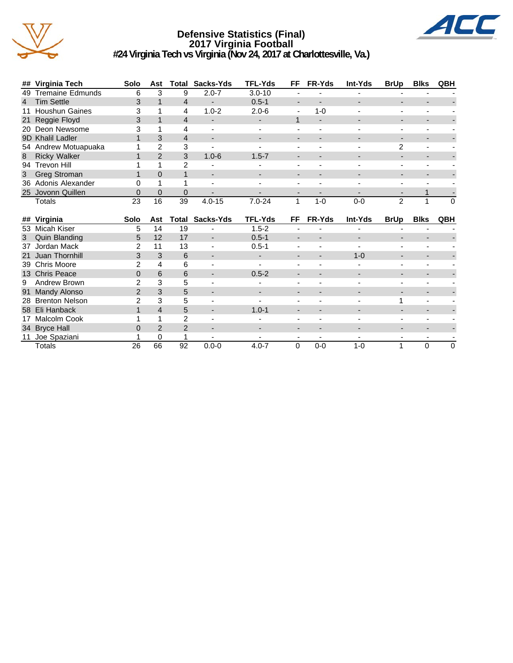

#### **Defensive Statistics (Final) 2017 Virginia Football #24 Virginia Tech vs Virginia (Nov 24, 2017 at Charlottesville, Va.)**



| ## Virginia Tech     | <b>Solo</b> | Ast            | Total | Sacks-Yds                | <b>TFL-Yds</b> | FF                       | <b>FR-Yds</b>            | <b>Int-Yds</b> | <b>BrUp</b> | <b>Blks</b>              | <b>QBH</b> |
|----------------------|-------------|----------------|-------|--------------------------|----------------|--------------------------|--------------------------|----------------|-------------|--------------------------|------------|
| 49 Tremaine Edmunds  | 6           | 3              | 9     | $2.0 - 7$                | $3.0 - 10$     |                          |                          |                |             |                          |            |
| 4 Tim Settle         | 3           |                | 4     | $\overline{\phantom{a}}$ | $0.5 - 1$      |                          |                          |                |             |                          |            |
| 11 Houshun Gaines    |             |                | 4     | $1.0 - 2$                | $2.0 - 6$      | $\overline{\phantom{0}}$ | $1 - 0$                  |                |             |                          |            |
| 21 Reggie Floyd      | 3           |                | 4     | $\overline{\phantom{a}}$ |                |                          | $\overline{\phantom{0}}$ |                |             |                          |            |
| 20 Deon Newsome      |             |                |       | $\overline{\phantom{0}}$ |                |                          |                          |                |             |                          |            |
| 9D Khalil Ladler     |             | 3              | 4     | $\overline{\phantom{a}}$ |                | $\overline{\phantom{0}}$ |                          |                |             | $\overline{\phantom{0}}$ |            |
| 54 Andrew Motuapuaka |             | 2              | 3     | $\overline{\phantom{0}}$ |                |                          |                          |                |             |                          |            |
| 8 Ricky Walker       |             | $\mathfrak{p}$ | 3     | $1.0 - 6$                | $1.5 - 7$      | $\overline{\phantom{0}}$ |                          |                |             | $\overline{\phantom{a}}$ |            |
| 94 Trevon Hill       |             |                | 2     | $\overline{\phantom{0}}$ |                |                          |                          |                |             |                          |            |
| 3 Greg Stroman       |             | 0              |       | $\overline{\phantom{a}}$ |                | $\overline{\phantom{0}}$ |                          |                |             | -                        |            |
| 36 Adonis Alexander  |             |                |       | $\overline{\phantom{0}}$ |                |                          |                          |                |             |                          |            |
| 25 Jovonn Quillen    | 0           | $\Omega$       | 0     | $\overline{\phantom{0}}$ |                |                          |                          |                |             |                          |            |
| Totals               | 23          | 16             | 39    | $4.0 - 15$               | $7.0 - 24$     |                          | 1-0                      | $0 - 0$        | 2           |                          | $\Omega$   |
|                      |             |                |       |                          |                |                          |                          |                |             |                          |            |

|    | ## Virginia         | <b>Solo</b>   | Ast | Total | Sacks-Yds                | <b>TFL-Yds</b>           | FF                       | <b>FR-Yds</b> | Int-Yds | <b>BrUp</b>              | <b>Blks</b> | <b>QBH</b> |
|----|---------------------|---------------|-----|-------|--------------------------|--------------------------|--------------------------|---------------|---------|--------------------------|-------------|------------|
|    | 53 Micah Kiser      | 5             | 14  | 19    |                          | $1.5 - 2$                | $\overline{a}$           |               |         |                          |             |            |
| 3  | Quin Blanding       | 5             | 12  | 17    | $\overline{\phantom{0}}$ | $0.5 - 1$                | $\overline{\phantom{a}}$ |               | -       | -                        |             |            |
| 37 | Jordan Mack         | 2             | 11  | 13    |                          | $0.5 - 1$                | $\overline{\phantom{0}}$ |               |         |                          |             |            |
|    | 21 Juan Thornhill   | 3             | 3   | 6     | $\overline{\phantom{a}}$ | $\overline{\phantom{a}}$ | $\overline{\phantom{a}}$ |               | $1 - 0$ |                          |             |            |
|    | 39 Chris Moore      | າ             | 4   | 6     |                          |                          |                          |               |         |                          |             |            |
|    | 13 Chris Peace      | 0             | 6   | 6     | -                        | $0.5 - 2$                | $\overline{\phantom{a}}$ |               |         | -                        |             |            |
| 9  | Andrew Brown        | 2             | 3   | 5     |                          |                          |                          |               |         |                          |             |            |
|    | 91 Mandy Alonso     | $\mathcal{P}$ | 3   | 5     | $\overline{\phantom{0}}$ |                          | $\overline{\phantom{a}}$ | -             |         | -                        |             |            |
|    | 28 Brenton Nelson   | 2             | 3   | 5     |                          |                          |                          |               |         |                          |             |            |
|    | 58 Eli Hanback      |               | 4   | 5     | ٠                        | $1.0 - 1$                | $\overline{\phantom{0}}$ |               | -       | $\overline{\phantom{0}}$ |             |            |
| 17 | <b>Malcolm Cook</b> |               |     | 2     |                          |                          | $\overline{\phantom{a}}$ |               |         |                          |             |            |
|    | 34 Bryce Hall       | 0             | 2   | 2     | $\overline{\phantom{0}}$ | -                        | $\overline{\phantom{a}}$ |               |         | -                        |             |            |
|    | Joe Spaziani        |               | 0   |       | -                        | -                        | $\overline{\phantom{0}}$ |               |         | -                        |             |            |
|    | Totals              | 26            | 66  | 92    | $0.0 - 0$                | $4.0 - 7$                | 0                        | $0 - 0$       | $1 - 0$ |                          | 0           | 0          |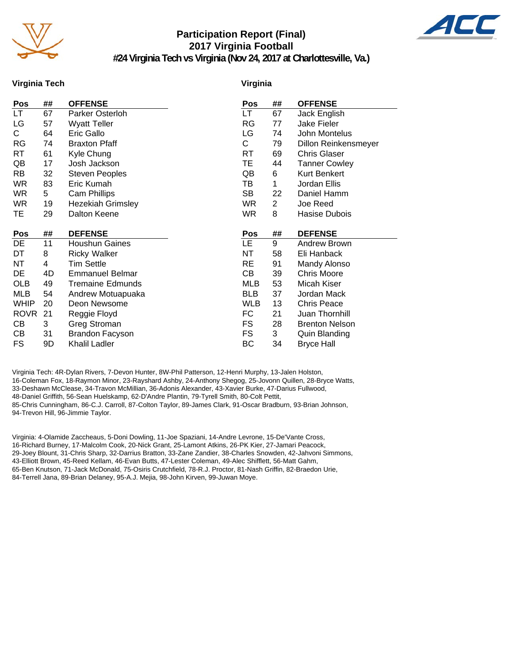

# **Participation Report (Final) 2017 Virginia Football**



**#24 Virginia Tech vs Virginia (Nov 24, 2017 at Charlottesville, Va.)**

#### **Virginia Tech**

#### **Virginia**

| Pos         | ## | <b>OFFENSE</b>           | Pos        | ##             | <b>OFFENSE</b>        |
|-------------|----|--------------------------|------------|----------------|-----------------------|
| LT          | 67 | Parker Osterloh          | LT         | 67             | Jack English          |
| LG          | 57 | <b>Wyatt Teller</b>      | RG         | 77             | Jake Fieler           |
| C.          | 64 | Eric Gallo               | LG         | 74             | John Montelus         |
| RG          | 74 | <b>Braxton Pfaff</b>     | С          | 79             | Dillon Reinkensmeyer  |
| RT          | 61 | Kyle Chung               | RT         | 69             | <b>Chris Glaser</b>   |
| QB          | 17 | Josh Jackson             | TЕ         | 44             | <b>Tanner Cowley</b>  |
| <b>RB</b>   | 32 | <b>Steven Peoples</b>    | QB         | 6              | Kurt Benkert          |
| <b>WR</b>   | 83 | Eric Kumah               | TВ         | 1              | Jordan Ellis          |
| <b>WR</b>   | 5  | Cam Phillips             | <b>SB</b>  | 22             | Daniel Hamm           |
| <b>WR</b>   | 19 | <b>Hezekiah Grimsley</b> | <b>WR</b>  | $\overline{2}$ | Joe Reed              |
| TE          | 29 | Dalton Keene             | <b>WR</b>  | 8              | Hasise Dubois         |
|             |    |                          |            |                |                       |
| Pos         | ## | <b>DEFENSE</b>           | Pos        | ##             | <b>DEFENSE</b>        |
| DE          | 11 | <b>Houshun Gaines</b>    | <b>LE</b>  | 9              | <b>Andrew Brown</b>   |
| DT          | 8  | <b>Ricky Walker</b>      | NΤ         | 58             | Eli Hanback           |
| ΝT          | 4  | <b>Tim Settle</b>        | RE         | 91             | Mandy Alonso          |
| DE          | 4D | <b>Emmanuel Belmar</b>   | CВ         | 39             | Chris Moore           |
| <b>OLB</b>  | 49 | <b>Tremaine Edmunds</b>  | MLB        | 53             | Micah Kiser           |
| <b>MLB</b>  | 54 | Andrew Motuapuaka        | <b>BLB</b> | 37             | Jordan Mack           |
| <b>WHIP</b> | 20 | Deon Newsome             | WLB        | 13             | <b>Chris Peace</b>    |
| <b>ROVR</b> | 21 | Reggie Floyd             | FC         | 21             | Juan Thornhill        |
| CВ          | 3  | Greg Stroman             | FS         | 28             | <b>Brenton Nelson</b> |
| CВ          | 31 | <b>Brandon Facyson</b>   | FS         | 3              | Quin Blanding         |
| FS          | 9D | Khalil Ladler            | ВC         | 34             | <b>Bryce Hall</b>     |

Virginia Tech: 4R-Dylan Rivers, 7-Devon Hunter, 8W-Phil Patterson, 12-Henri Murphy, 13-Jalen Holston, 16-Coleman Fox, 18-Raymon Minor, 23-Rayshard Ashby, 24-Anthony Shegog, 25-Jovonn Quillen, 28-Bryce Watts, 33-Deshawn McClease, 34-Travon McMillian, 36-Adonis Alexander, 43-Xavier Burke, 47-Darius Fullwood, 48-Daniel Griffith, 56-Sean Huelskamp, 62-D'Andre Plantin, 79-Tyrell Smith, 80-Colt Pettit, 85-Chris Cunningham, 86-C.J. Carroll, 87-Colton Taylor, 89-James Clark, 91-Oscar Bradburn, 93-Brian Johnson, 94-Trevon Hill, 96-Jimmie Taylor.

Virginia: 4-Olamide Zaccheaus, 5-Doni Dowling, 11-Joe Spaziani, 14-Andre Levrone, 15-De'Vante Cross, 16-Richard Burney, 17-Malcolm Cook, 20-Nick Grant, 25-Lamont Atkins, 26-PK Kier, 27-Jamari Peacock, 29-Joey Blount, 31-Chris Sharp, 32-Darrius Bratton, 33-Zane Zandier, 38-Charles Snowden, 42-Jahvoni Simmons, 43-Elliott Brown, 45-Reed Kellam, 46-Evan Butts, 47-Lester Coleman, 49-Alec Shifflett, 56-Matt Gahm, 65-Ben Knutson, 71-Jack McDonald, 75-Osiris Crutchfield, 78-R.J. Proctor, 81-Nash Griffin, 82-Braedon Urie, 84-Terrell Jana, 89-Brian Delaney, 95-A.J. Mejia, 98-John Kirven, 99-Juwan Moye.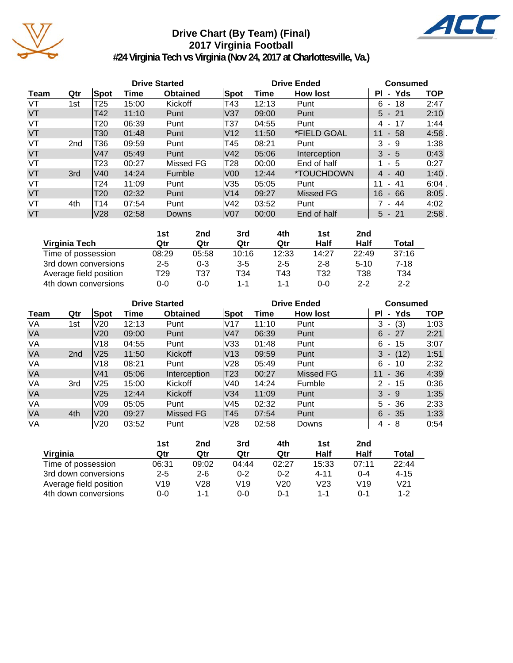

# **Drive Chart (By Team) (Final) 2017 Virginia Football**



**#24 Virginia Tech vs Virginia (Nov 24, 2017 at Charlottesville, Va.)**

|      |                 |      |       | <b>Drive Started</b> |      |       | <b>Drive Ended</b>       |                     | <b>Consumed</b> |  |  |
|------|-----------------|------|-------|----------------------|------|-------|--------------------------|---------------------|-----------------|--|--|
| Team | Qtr             | Spot | Time  | <b>Obtained</b>      | Spot | Time  | <b>How lost</b>          | - Yds<br>ΡI         | <b>TOP</b>      |  |  |
| VT   | 1st             | T25  | 15:00 | Kickoff              | T43  | 12:13 | Punt                     | 6<br>- 18           | 2:47            |  |  |
| VT   |                 | T42  | 11:10 | Punt                 | lV37 | 09:00 | Punt                     | $5 - 21$            | 2:10            |  |  |
| VT   |                 | T20  | 06:39 | Punt                 | T37  | 04:55 | Punt                     | 4 - 17              | 1:44            |  |  |
| VT   |                 | T30  | 01:48 | Punt                 | V12  | 11:50 | *FIELD GOAL              | $-58$<br>11         | 4:58            |  |  |
| VT   | 2 <sub>nd</sub> | T36  | 09:59 | Punt                 | T45  | 08:21 | Punt                     | 3<br>-9             | 1:38            |  |  |
| VT   |                 | V47  | 05:49 | Punt                 | IV42 | 05:06 | Interception             | $3 - 5$             | 0:43            |  |  |
| VT   |                 | T23  | 00:27 | Missed FG            | T28  | 00:00 | End of half              | $1 - 5$             | 0:27            |  |  |
| VT   | 3rd             | V40  | 14:24 | Fumble               | lV00 | 12:44 | <i><b>*TOUCHDOWN</b></i> | $4 - 40$            | 1:40            |  |  |
| VT   |                 | T24  | 11:09 | Punt                 | V35  | 05:05 | Punt                     | 11<br>-41<br>$\sim$ | $6:04$ .        |  |  |
| VT   |                 | T20  | 02:32 | Punt                 | IV14 | 09:27 | Missed FG                | 16<br>$-66$         | 8:05            |  |  |
| VT   | 4th             | T14  | 07:54 | Punt                 | V42  | 03:52 | Punt                     | 7 - 44              | 4:02            |  |  |
| VT   |                 | V28  | 02:58 | Downs                | lV07 | 00:00 | End of half              | $5 - 21$            | 2:58            |  |  |

|                        | 1st     | 2nd   | 3rd     | 4th     | 1st     | 2nd      |         |
|------------------------|---------|-------|---------|---------|---------|----------|---------|
| Virginia Tech          | Qtr     | Qtr   | Qtr     | Qtr     | Half    | Half     | Total   |
| Time of possession     | 08:29   | 05:58 | 10:16   | 12:33   | 14:27   | 22:49    | 37:16   |
| 3rd down conversions   | $2 - 5$ | 0-3   | $3 - 5$ | $2 - 5$ | $2 - 8$ | $5 - 10$ | $7-18$  |
| Average field position | T29     | T37   | T34     | T43     | T32     | T38      | T34     |
| 4th down conversions   | 0-0     | 0-0   | $1 - 1$ | $1 - 1$ | ი-ი     | $2 - 2$  | $2 - 2$ |

|           |                 |                 |       | <b>Drive Started</b> |                 |       | <b>Drive Ended</b> |                                       | <b>Consumed</b> |  |  |
|-----------|-----------------|-----------------|-------|----------------------|-----------------|-------|--------------------|---------------------------------------|-----------------|--|--|
| Team      | Qtr             | Spot            | Time  | <b>Obtained</b>      | Spot            | Time  | <b>How lost</b>    | Yds<br>ΡI<br>$\blacksquare$           | <b>TOP</b>      |  |  |
| VA        | 1st             | V <sub>20</sub> | 12:13 | Punt                 | IV17            | 11:10 | Punt               | (3)<br>3<br>٠                         | 1:03            |  |  |
| <b>VA</b> |                 | V20             | 09:00 | Punt                 | lV47            | 06:39 | Punt               | $6 -$<br>-27                          | 2:21            |  |  |
| VA        |                 | V18             | 04:55 | Punt                 | V33             | 01:48 | Punt               | 6<br>15<br>$\overline{\phantom{a}}$   | 3:07            |  |  |
| <b>VA</b> | 2 <sub>nd</sub> | V <sub>25</sub> | 11:50 | <b>Kickoff</b>       | lV13            | 09:59 | Punt               | 3<br>(12)<br>$\overline{\phantom{a}}$ | 1:51            |  |  |
| VA        |                 | V18             | 08:21 | Punt                 | V <sub>28</sub> | 05:49 | Punt               | 6<br>10<br>٠                          | 2:32            |  |  |
| <b>VA</b> |                 | V <sub>41</sub> | 05:06 | Interception         | T23             | 00:27 | <b>Missed FG</b>   | $-36$<br>11                           | 4:39            |  |  |
| VA        | 3rd             | V <sub>25</sub> | 15:00 | Kickoff              | V40             | 14:24 | Fumble             | 2<br>- 15<br>$\overline{\phantom{a}}$ | 0:36            |  |  |
| <b>VA</b> |                 | V <sub>25</sub> | 12:44 | <b>Kickoff</b>       | V34             | 11:09 | Punt               | $3 - 9$                               | 1:35            |  |  |
| VA        |                 | V <sub>09</sub> | 05:05 | Punt                 | V45             | 02:32 | Punt               | 5.<br>- 36                            | 2:33            |  |  |
| <b>VA</b> | 4th             | V <sub>20</sub> | 09:27 | Missed FG            | T45             | 07:54 | Punt               | $6 - 35$                              | 1:33            |  |  |
| VA        |                 | V20             | 03:52 | Punt                 | lV28            | 02:58 | Downs              | 4<br>- 8                              | 0:54            |  |  |

|                        | 1st     | 2nd     | 3rd     | 4th     | 1st      | 2 <sub>nd</sub> |                 |
|------------------------|---------|---------|---------|---------|----------|-----------------|-----------------|
| Virginia               | Qtr     | Qtr     | Qtr     | Qtr     | Half     | Half            | Total           |
| Time of possession     | 06:31   | 09:02   | 04:44   | 02:27   | 15:33    | 07:11           | 22:44           |
| 3rd down conversions   | $2 - 5$ | $2 - 6$ | $0 - 2$ | $0 - 2$ | $4 - 11$ | $0 - 4$         | $4 - 15$        |
| Average field position | V19     | V28     | V19     | V20     | V23      | V19             | V <sub>21</sub> |
| 4th down conversions   | 0-0     | 1-1     | 0-0     | 0-1     | 1-1      | 0-1             | $1 - 2$         |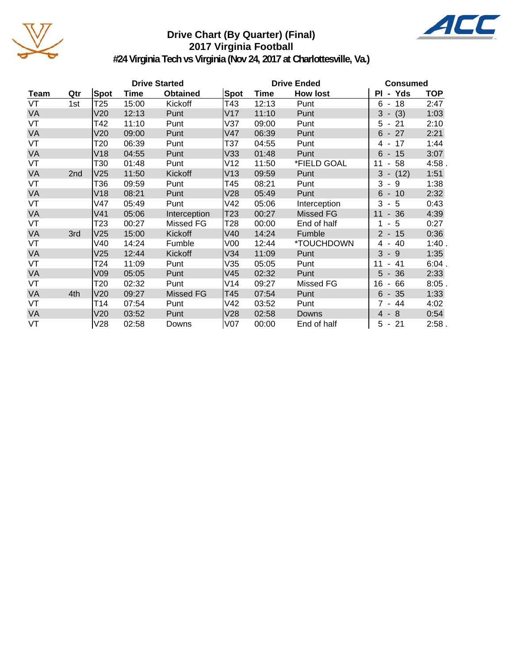

# **Drive Chart (By Quarter) (Final) 2017 Virginia Football**



**#24 Virginia Tech vs Virginia (Nov 24, 2017 at Charlottesville, Va.)**

|           |     |                 |       | <b>Drive Started</b> |                 |       | <b>Drive Ended</b> | <b>Consumed</b>            |            |  |
|-----------|-----|-----------------|-------|----------------------|-----------------|-------|--------------------|----------------------------|------------|--|
| Team      | Qtr | Spot            | Time  | <b>Obtained</b>      | Spot            | Time  | <b>How lost</b>    | PI - Yds                   | <b>TOP</b> |  |
| VT        | 1st | T <sub>25</sub> | 15:00 | Kickoff              | T43             | 12:13 | Punt               | $6 - 18$                   | 2:47       |  |
| VA        |     | V20             | 12:13 | Punt                 | V17             | 11:10 | Punt               | $3 - (3)$                  | 1:03       |  |
| VT        |     | T42             | 11:10 | Punt                 | V37             | 09:00 | Punt               | $5 - 21$                   | 2:10       |  |
| VA        |     | V20             | 09:00 | Punt                 | V47             | 06:39 | Punt               | $6 - 27$                   | 2:21       |  |
| VT        |     | T20             | 06:39 | Punt                 | T37             | 04:55 | Punt               | 4 - 17                     | 1:44       |  |
| VA        |     | V18             | 04:55 | Punt                 | V33             | 01:48 | Punt               | $6 - 15$                   | 3:07       |  |
| VT        |     | T30             | 01:48 | Punt                 | V12             | 11:50 | *FIELD GOAL        | $-58$<br>11                | 4:58.      |  |
| <b>VA</b> | 2nd | V25             | 11:50 | Kickoff              | V13             | 09:59 | Punt               | 3<br>$- (12)$              | 1:51       |  |
| VT        |     | T36             | 09:59 | Punt                 | T45             | 08:21 | Punt               | 3<br>9<br>$\sim$           | 1:38       |  |
| <b>VA</b> |     | V18             | 08:21 | Punt                 | V28             | 05:49 | Punt               | $6 - 10$                   | 2:32       |  |
| VT        |     | V47             | 05:49 | Punt                 | V42             | 05:06 | Interception       | 3<br>- 5                   | 0:43       |  |
| VA        |     | V41             | 05:06 | Interception         | T23             | 00:27 | Missed FG          | $-36$<br>11                | 4:39       |  |
| VT        |     | T23             | 00:27 | Missed FG            | T28             | 00:00 | End of half        | - 5<br>1                   | 0:27       |  |
| VA        | 3rd | V25             | 15:00 | Kickoff              | V40             | 14:24 | Fumble             | $2 - 15$                   | 0:36       |  |
| VT        |     | V40             | 14:24 | Fumble               | V <sub>00</sub> | 12:44 | *TOUCHDOWN         | 4 - 40                     | 1:40.      |  |
| <b>VA</b> |     | V25             | 12:44 | Kickoff              | V34             | 11:09 | Punt               | 3<br>$-9$                  | 1:35       |  |
| VT        |     | T24             | 11:09 | Punt                 | V35             | 05:05 | Punt               | 41<br>11<br>$\blacksquare$ | 6:04.      |  |
| <b>VA</b> |     | V09             | 05:05 | Punt                 | V45             | 02:32 | Punt               | $5 - 36$                   | 2:33       |  |
| VT        |     | T20             | 02:32 | Punt                 | V14             | 09:27 | Missed FG          | 16<br>66<br>$\blacksquare$ | $8:05$ .   |  |
| <b>VA</b> | 4th | V20             | 09:27 | Missed FG            | T45             | 07:54 | Punt               | $6 - 35$                   | 1:33       |  |
| VT        |     | T14             | 07:54 | Punt                 | V42             | 03:52 | Punt               | $7 - 44$                   | 4:02       |  |
| <b>VA</b> |     | V20             | 03:52 | Punt                 | V28             | 02:58 | Downs              | $-8$<br>$\overline{4}$     | 0:54       |  |
| VT        |     | V28             | 02:58 | Downs                | V <sub>07</sub> | 00:00 | End of half        | $5 - 21$                   | 2:58.      |  |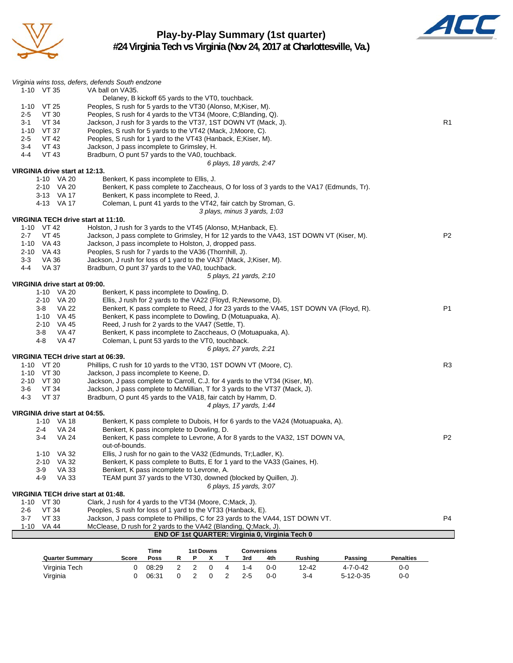

## **Play-by-Play Summary (1st quarter) #24 Virginia Tech vs Virginia (Nov 24, 2017 at Charlottesville, Va.)**



| <b>Quarter Summary</b>                            | Score                                                                                                                                                | Time<br>Poss<br>R | <b>1st Downs</b><br>Ρ<br>х | Т | 3rd                     | <b>Conversions</b><br>4th    | Rushing                                                                                 | Passing | <b>Penalties</b> |                |
|---------------------------------------------------|------------------------------------------------------------------------------------------------------------------------------------------------------|-------------------|----------------------------|---|-------------------------|------------------------------|-----------------------------------------------------------------------------------------|---------|------------------|----------------|
|                                                   |                                                                                                                                                      |                   |                            |   |                         |                              |                                                                                         |         |                  |                |
|                                                   |                                                                                                                                                      |                   |                            |   |                         |                              | END OF 1st QUARTER: Virginia 0, Virginia Tech 0                                         |         |                  |                |
| $1 - 10$<br><b>VA 44</b>                          | McClease, D rush for 2 yards to the VA42 (Blanding, Q;Mack, J).                                                                                      |                   |                            |   |                         |                              |                                                                                         |         |                  |                |
| 2-6<br><b>VT 33</b><br>3-7                        | Jackson, J pass complete to Phillips, C for 23 yards to the VA44, 1ST DOWN VT.                                                                       |                   |                            |   |                         |                              |                                                                                         |         |                  | P4             |
| $1 - 10$<br>VT 30<br><b>VT 34</b>                 | Clark, J rush for 4 yards to the VT34 (Moore, C;Mack, J).<br>Peoples, S rush for loss of 1 yard to the VT33 (Hanback, E).                            |                   |                            |   |                         |                              |                                                                                         |         |                  |                |
| VIRGINIA TECH drive start at 01:48.               |                                                                                                                                                      |                   |                            |   |                         |                              |                                                                                         |         |                  |                |
|                                                   |                                                                                                                                                      |                   |                            |   | 6 plays, 15 yards, 3:07 |                              |                                                                                         |         |                  |                |
| 4-9<br><b>VA 33</b>                               | TEAM punt 37 yards to the VT30, downed (blocked by Quillen, J).                                                                                      |                   |                            |   |                         |                              |                                                                                         |         |                  |                |
| <b>VA 33</b><br>3-9                               | Benkert, K pass incomplete to Levrone, A.                                                                                                            |                   |                            |   |                         |                              |                                                                                         |         |                  |                |
| VA 32<br>2-10                                     | Benkert, K pass complete to Butts, E for 1 yard to the VA33 (Gaines, H).                                                                             |                   |                            |   |                         |                              |                                                                                         |         |                  |                |
| VA 32<br>$1 - 10$                                 | Ellis, J rush for no gain to the VA32 (Edmunds, Tr;Ladler, K).                                                                                       |                   |                            |   |                         |                              |                                                                                         |         |                  |                |
|                                                   | out-of-bounds.                                                                                                                                       |                   |                            |   |                         |                              |                                                                                         |         |                  |                |
| <b>VA 24</b><br>2-4<br>$3-4$<br>VA 24             | Benkert, K pass incomplete to Dowling, D.                                                                                                            |                   |                            |   |                         |                              | Benkert, K pass complete to Levrone, A for 8 yards to the VA32, 1ST DOWN VA,            |         |                  | P <sub>2</sub> |
| 1-10 VA 18                                        |                                                                                                                                                      |                   |                            |   |                         |                              | Benkert, K pass complete to Dubois, H for 6 yards to the VA24 (Motuapuaka, A).          |         |                  |                |
| VIRGINIA drive start at 04:55.                    |                                                                                                                                                      |                   |                            |   |                         |                              |                                                                                         |         |                  |                |
|                                                   |                                                                                                                                                      |                   |                            |   | 4 plays, 17 yards, 1:44 |                              |                                                                                         |         |                  |                |
| 4-3<br><b>VT 37</b>                               | Bradburn, O punt 45 yards to the VA18, fair catch by Hamm, D.                                                                                        |                   |                            |   |                         |                              |                                                                                         |         |                  |                |
| 3-6<br>VT 34                                      | Jackson, J pass complete to McMillian, T for 3 yards to the VT37 (Mack, J).                                                                          |                   |                            |   |                         |                              |                                                                                         |         |                  |                |
| 2-10 VT 30                                        | Jackson, J pass complete to Carroll, C.J. for 4 yards to the VT34 (Kiser, M).                                                                        |                   |                            |   |                         |                              |                                                                                         |         |                  |                |
| 1-10 VT 30                                        | Jackson, J pass incomplete to Keene, D.                                                                                                              |                   |                            |   |                         |                              |                                                                                         |         |                  |                |
| VIRGINIA TECH drive start at 06:39.<br>1-10 VT 20 | Phillips, C rush for 10 yards to the VT30, 1ST DOWN VT (Moore, C).                                                                                   |                   |                            |   |                         |                              |                                                                                         |         |                  | R <sub>3</sub> |
|                                                   |                                                                                                                                                      |                   |                            |   | 6 plays, 27 yards, 2:21 |                              |                                                                                         |         |                  |                |
| 4-8<br>VA 47                                      | Coleman, L punt 53 yards to the VT0, touchback.                                                                                                      |                   |                            |   |                         |                              |                                                                                         |         |                  |                |
| 3-8<br>VA 47                                      | Benkert, K pass incomplete to Zaccheaus, O (Motuapuaka, A).                                                                                          |                   |                            |   |                         |                              |                                                                                         |         |                  |                |
| 2-10 VA 45                                        | Reed, J rush for 2 yards to the VA47 (Settle, T).                                                                                                    |                   |                            |   |                         |                              |                                                                                         |         |                  |                |
| 1-10 VA 45                                        | Benkert, K pass incomplete to Dowling, D (Motuapuaka, A).                                                                                            |                   |                            |   |                         |                              |                                                                                         |         |                  |                |
| 3-8<br>VA 22                                      |                                                                                                                                                      |                   |                            |   |                         |                              | Benkert, K pass complete to Reed, J for 23 yards to the VA45, 1ST DOWN VA (Floyd, R).   |         |                  | P <sub>1</sub> |
| 2-10 VA 20                                        | Ellis, J rush for 2 yards to the VA22 (Floyd, R;Newsome, D).                                                                                         |                   |                            |   |                         |                              |                                                                                         |         |                  |                |
| 1-10 VA 20                                        | Benkert, K pass incomplete to Dowling, D.                                                                                                            |                   |                            |   |                         |                              |                                                                                         |         |                  |                |
| VIRGINIA drive start at 09:00.                    |                                                                                                                                                      |                   |                            |   |                         |                              |                                                                                         |         |                  |                |
|                                                   |                                                                                                                                                      |                   |                            |   | 5 plays, 21 yards, 2:10 |                              |                                                                                         |         |                  |                |
| 4-4<br>VA 37                                      | Bradburn, O punt 37 yards to the VA0, touchback.                                                                                                     |                   |                            |   |                         |                              |                                                                                         |         |                  |                |
| $3-3$<br><b>VA 36</b>                             | Jackson, J rush for loss of 1 yard to the VA37 (Mack, J;Kiser, M).                                                                                   |                   |                            |   |                         |                              |                                                                                         |         |                  |                |
| 2-10 VA 43                                        | Peoples, S rush for 7 yards to the VA36 (Thornhill, J).                                                                                              |                   |                            |   |                         |                              |                                                                                         |         |                  |                |
| VT 45<br>2-7<br>1-10 VA 43                        | Jackson, J pass complete to Grimsley, H for 12 yards to the VA43, 1ST DOWN VT (Kiser, M).<br>Jackson, J pass incomplete to Holston, J, dropped pass. |                   |                            |   |                         |                              |                                                                                         |         |                  | P <sub>2</sub> |
| 1-10 VT 42                                        | Holston, J rush for 3 yards to the VT45 (Alonso, M; Hanback, E).                                                                                     |                   |                            |   |                         |                              |                                                                                         |         |                  |                |
| VIRGINIA TECH drive start at 11:10.               |                                                                                                                                                      |                   |                            |   |                         |                              |                                                                                         |         |                  |                |
|                                                   |                                                                                                                                                      |                   |                            |   |                         | 3 plays, minus 3 yards, 1:03 |                                                                                         |         |                  |                |
| 4-13 VA 17                                        | Coleman, L punt 41 yards to the VT42, fair catch by Stroman, G.                                                                                      |                   |                            |   |                         |                              |                                                                                         |         |                  |                |
| 3-13 VA 17                                        | Benkert, K pass incomplete to Reed, J.                                                                                                               |                   |                            |   |                         |                              |                                                                                         |         |                  |                |
| 2-10 VA 20                                        |                                                                                                                                                      |                   |                            |   |                         |                              | Benkert, K pass complete to Zaccheaus, O for loss of 3 yards to the VA17 (Edmunds, Tr). |         |                  |                |
| 1-10 VA 20                                        | Benkert, K pass incomplete to Ellis, J.                                                                                                              |                   |                            |   |                         |                              |                                                                                         |         |                  |                |
| VIRGINIA drive start at 12:13.                    |                                                                                                                                                      |                   |                            |   | 6 plays, 18 yards, 2:47 |                              |                                                                                         |         |                  |                |
| 4-4<br>VT 43                                      | Bradburn, O punt 57 yards to the VA0, touchback.                                                                                                     |                   |                            |   |                         |                              |                                                                                         |         |                  |                |
| 3-4<br>VT 43                                      | Jackson, J pass incomplete to Grimsley, H.                                                                                                           |                   |                            |   |                         |                              |                                                                                         |         |                  |                |
| $2 - 5$<br><b>VT 42</b>                           | Peoples, S rush for 1 yard to the VT43 (Hanback, E; Kiser, M).                                                                                       |                   |                            |   |                         |                              |                                                                                         |         |                  |                |
| 1-10 VT 37                                        | Peoples, S rush for 5 yards to the VT42 (Mack, J; Moore, C).                                                                                         |                   |                            |   |                         |                              |                                                                                         |         |                  |                |
| VT 34<br>3-1                                      | Jackson, J rush for 3 yards to the VT37, 1ST DOWN VT (Mack, J).                                                                                      |                   |                            |   |                         |                              |                                                                                         |         |                  | R1             |
| VT 30<br>$2 - 5$                                  | Peoples, S rush for 4 yards to the VT34 (Moore, C; Blanding, Q).                                                                                     |                   |                            |   |                         |                              |                                                                                         |         |                  |                |
| $1-10$ VT 25                                      | Delaney, B kickoff 65 yards to the VT0, touchback.<br>Peoples, S rush for 5 yards to the VT30 (Alonso, M; Kiser, M).                                 |                   |                            |   |                         |                              |                                                                                         |         |                  |                |
| $1-10$ VT 35                                      | VA ball on VA35.                                                                                                                                     |                   |                            |   |                         |                              |                                                                                         |         |                  |                |
|                                                   |                                                                                                                                                      |                   |                            |   |                         |                              |                                                                                         |         |                  |                |
| Virginia wins toss, defers, defends South endzone |                                                                                                                                                      |                   |                            |   |                         |                              |                                                                                         |         |                  |                |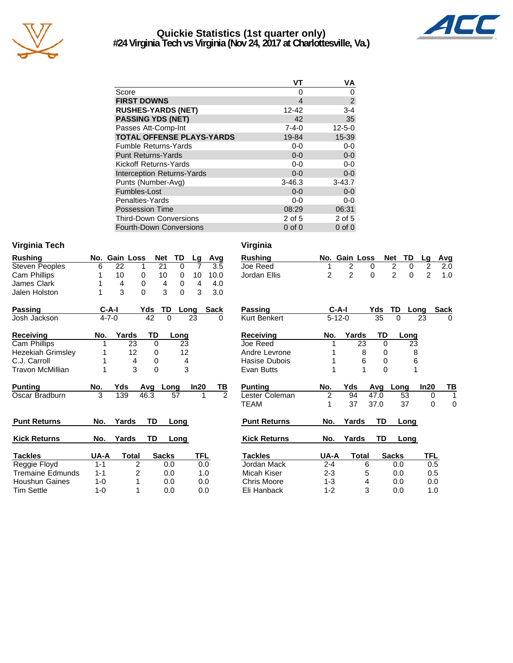

## **Quickie Statistics (1st quarter only) #24 Virginia Tech vs Virginia (Nov 24, 2017 at Charlottesville, Va.)**



| VT          | VA             |
|-------------|----------------|
| Ω           | 0              |
| 4           | $\overline{c}$ |
| 12-42       | $3 - 4$        |
| 42          | 35             |
| $7 - 4 - 0$ | $12 - 5 - 0$   |
| 19-84       | 15-39          |
| $0-0$       | $0 - 0$        |
| $0 - 0$     | $0-0$          |
| $0-0$       | $0-0$          |
| $0 - 0$     | $0-0$          |
| $3 - 46.3$  | $3 - 43.7$     |
| $0 - 0$     | $0 - 0$        |
| $0 - 0$     | $0-0$          |
| 08:29       | 06:31          |
| 2 of 5      | $2$ of 5       |
| $0$ of $0$  | $0$ of $0$     |
|             |                |

#### **Virginia Tech Virginia**

| <b>Rushing</b>           | No.     |             | <b>Gain Loss</b> | <b>Net</b>   | TD              | Lg   | Avg            | <b>Rushing</b>      |                | No. Gain Loss |       |          | <b>Net</b><br>TD              |
|--------------------------|---------|-------------|------------------|--------------|-----------------|------|----------------|---------------------|----------------|---------------|-------|----------|-------------------------------|
| <b>Steven Peoples</b>    | 6       | 22          |                  | 21           | $\Omega$        | 7    | 3.5            | Joe Reed            |                | 2             | 0     |          | $\overline{2}$<br>$\mathbf 0$ |
| Cam Phillips             |         | 10          | 0                | 10           | 0               | 10   | 10.0           | Jordan Ellis        | $\overline{2}$ | 2             | 0     |          | $\overline{2}$<br>$\mathbf 0$ |
| James Clark              |         | 4           | 0                | 4            | 0               | 4    | 4.0            |                     |                |               |       |          |                               |
| Jalen Holston            | 1       | 3           | 0                | 3            | $\Omega$        | 3    | 3.0            |                     |                |               |       |          |                               |
| Passing                  |         | C-A-I       | Yds              | <b>TD</b>    |                 | Long | <b>Sack</b>    | <b>Passing</b>      |                | $C-A-I$       |       | Yds      | TD<br>Lo                      |
| Josh Jackson             |         | $4 - 7 - 0$ |                  | 42           | $\Omega$        | 23   | $\Omega$       | <b>Kurt Benkert</b> |                | $5 - 12 - 0$  |       | 35       | $\Omega$                      |
| <b>Receiving</b>         | No.     |             | Yards            | TD           | Long            |      |                | Receiving           | No.            | Yards         |       | TD       | Long                          |
| Cam Phillips             |         |             | 23               | $\Omega$     | $\overline{23}$ |      |                | Joe Reed            |                |               | 23    | $\Omega$ | 23                            |
| <b>Hezekiah Grimsley</b> |         |             | 12               | 0            | 12              |      |                | Andre Levrone       |                |               | 8     | 0        | ξ                             |
| C.J. Carroll             |         |             | 4                | 0            | 4               |      |                | Hasise Dubois       |                |               | 6     | 0        | 6                             |
| Travon McMillian         |         |             | 3                | 0            | 3               |      |                | Evan Butts          |                |               |       | 0        |                               |
| <b>Punting</b>           | No.     | Yds         | Avg              |              | Long            | ln20 | TВ             | <b>Punting</b>      | No.            | Yds           |       | Avg      | Long                          |
| Oscar Bradburn           | 3       | 139         | 46.3             |              | 57              | 1    | $\mathfrak{p}$ | Lester Coleman      | 2              | 94            |       | 47.0     | 53                            |
|                          |         |             |                  |              |                 |      |                | <b>TEAM</b>         |                | 37            |       | 37.0     | 37                            |
| <b>Punt Returns</b>      | No.     | Yards       |                  | TD           | Long            |      |                | <b>Punt Returns</b> | No.            | Yards         |       | TD       | Long                          |
| <b>Kick Returns</b>      | No.     | Yards       |                  | TD           | Long            |      |                | <b>Kick Returns</b> | No.            | Yards         |       | TD       | Long                          |
| <b>Tackles</b>           | UA-A    |             | Total            | <b>Sacks</b> |                 | TFL  |                | <b>Tackles</b>      | UA-A           |               | Total |          | <b>Sacks</b>                  |
| Reggie Floyd             | $1 - 1$ |             | 2                |              | 0.0             | 0.0  |                | Jordan Mack         | $2 - 4$        |               | 6     |          | 0.0                           |
| Tremaine Edmunds         | $1 - 1$ |             | 2                |              | 0.0             |      | 1.0            | Micah Kiser         | $2 - 3$        |               | 5     |          | 0.0                           |
| <b>Houshun Gaines</b>    | $1 - 0$ |             | 1                |              | 0.0             | 0.0  |                | <b>Chris Moore</b>  | $1 - 3$        |               | 4     |          | 0.0                           |

Tim Settle 1-0 1 0.0 0.0

| Rushing             |                | No. Gain Loss  |       |      | <b>Net</b>     | TD   | Lg             | Avg         |
|---------------------|----------------|----------------|-------|------|----------------|------|----------------|-------------|
| Joe Reed            | 1              | 2              |       | 0    | 2              | 0    | 2              | 2.0         |
| Jordan Ellis        | $\overline{2}$ | $\mathfrak{p}$ |       | 0    | $\mathfrak{p}$ | 0    | $\mathfrak{p}$ | 1.0         |
|                     |                |                |       |      |                |      |                |             |
| Passing             |                | C-A-I          |       | Yds  | TD             | Long |                | <b>Sack</b> |
| <b>Kurt Benkert</b> |                | $5 - 12 - 0$   |       | 35   | 0              |      | 23             | 0           |
| Receiving           | No.            |                | Yards | TD   |                | Long |                |             |
| Joe Reed            | 1              |                | 23    | 0    |                | 23   |                |             |
| Andre Levrone       | 1              |                | 8     | 0    |                | 8    |                |             |
| Hasise Dubois       | 1              |                | 6     | 0    |                | 6    |                |             |
| Evan Butts          | 1              |                | 1     | 0    |                | 1    |                |             |
| <b>Punting</b>      | No.            | Yds            |       | Avq  | Long           |      | In20           | ΤВ          |
| Lester Coleman      | $\overline{c}$ | 94             |       | 47.0 |                | 53   | 0              | 1           |
| TEAM                |                |                |       |      |                |      |                |             |
|                     | 1              | 37             |       | 37.0 |                | 37   | 0              | 0           |
| <b>Punt Returns</b> | No.            | Yards          |       | TD   |                | Long |                |             |
| <b>Kick Returns</b> | No.            | Yards          |       | TD   |                | Long |                |             |
| <b>Tackles</b>      | UA-A           |                | Total |      | <b>Sacks</b>   |      | TFL            |             |
| Jordan Mack         | $2 - 4$        |                | 6     |      | 0.0            |      | 0.5            |             |
| Micah Kiser         | $2 - 3$        |                | 5     |      | 0.0            |      | 0.5            |             |
| <b>Chris Moore</b>  | $1 - 3$        |                | 4     |      | 0.0            |      | 0.0            |             |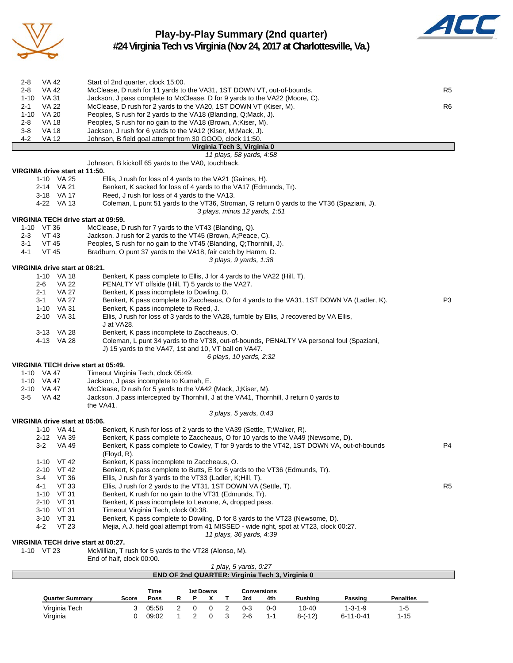

## **Play-by-Play Summary (2nd quarter) #24 Virginia Tech vs Virginia (Nov 24, 2017 at Charlottesville, Va.)**



| 2-8                 | VA 42                    |                                | Start of 2nd quarter, clock 15:00.                                                                                                   |                |
|---------------------|--------------------------|--------------------------------|--------------------------------------------------------------------------------------------------------------------------------------|----------------|
| $2 - 8$             | VA 42                    |                                | McClease, D rush for 11 yards to the VA31, 1ST DOWN VT, out-of-bounds.                                                               | R <sub>5</sub> |
| $1 - 10$            | VA 31                    |                                | Jackson, J pass complete to McClease, D for 9 yards to the VA22 (Moore, C).                                                          |                |
| $2 - 1$<br>$1 - 10$ | VA 22<br>VA 20           |                                | McClease, D rush for 2 yards to the VA20, 1ST DOWN VT (Kiser, M).<br>Peoples, S rush for 2 yards to the VA18 (Blanding, Q;Mack, J).  | R <sub>6</sub> |
| 2-8                 | VA 18                    |                                | Peoples, S rush for no gain to the VA18 (Brown, A; Kiser, M).                                                                        |                |
| $3-8$               | <b>VA 18</b>             |                                | Jackson, J rush for 6 yards to the VA12 (Kiser, M;Mack, J).                                                                          |                |
| 4-2                 | <b>VA 12</b>             |                                | Johnson, B field goal attempt from 30 GOOD, clock 11:50.                                                                             |                |
|                     |                          |                                | Virginia Tech 3, Virginia 0                                                                                                          |                |
|                     |                          |                                | 11 plays, 58 yards, 4:58                                                                                                             |                |
|                     |                          | VIRGINIA drive start at 11:50. | Johnson, B kickoff 65 yards to the VA0, touchback.                                                                                   |                |
|                     |                          | 1-10 VA 25                     | Ellis, J rush for loss of 4 yards to the VA21 (Gaines, H).                                                                           |                |
|                     |                          | 2-14 VA 21                     | Benkert, K sacked for loss of 4 yards to the VA17 (Edmunds, Tr).                                                                     |                |
|                     |                          | 3-18 VA 17                     | Reed, J rush for loss of 4 yards to the VA13.                                                                                        |                |
|                     |                          | 4-22 VA 13                     | Coleman, L punt 51 yards to the VT36, Stroman, G return 0 yards to the VT36 (Spaziani, J).                                           |                |
|                     |                          |                                | 3 plays, minus 12 yards, 1:51                                                                                                        |                |
|                     |                          |                                | VIRGINIA TECH drive start at 09:59.                                                                                                  |                |
|                     | 1-10 VT 36               |                                | McClease, D rush for 7 yards to the VT43 (Blanding, Q).                                                                              |                |
| 2-3<br>$3 - 1$      | VT 43<br>VT 45           |                                | Jackson, J rush for 2 yards to the VT45 (Brown, A; Peace, C).<br>Peoples, S rush for no gain to the VT45 (Blanding, Q;Thornhill, J). |                |
| $4 - 1$             | <b>VT 45</b>             |                                | Bradburn, O punt 37 yards to the VA18, fair catch by Hamm, D.                                                                        |                |
|                     |                          |                                | 3 plays, 9 yards, 1:38                                                                                                               |                |
|                     |                          | VIRGINIA drive start at 08:21. |                                                                                                                                      |                |
|                     |                          | 1-10 VA 18                     | Benkert, K pass complete to Ellis, J for 4 yards to the VA22 (Hill, T).                                                              |                |
|                     | 2-6                      | VA 22                          | PENALTY VT offside (Hill, T) 5 yards to the VA27.                                                                                    |                |
|                     | $2 - 1$                  | <b>VA 27</b>                   | Benkert, K pass incomplete to Dowling, D.                                                                                            |                |
|                     | 3-1                      | VA 27                          | Benkert, K pass complete to Zaccheaus, O for 4 yards to the VA31, 1ST DOWN VA (Ladler, K).                                           | P <sub>3</sub> |
|                     |                          | 1-10 VA 31<br>2-10 VA 31       | Benkert, K pass incomplete to Reed, J.<br>Ellis, J rush for loss of 3 yards to the VA28, fumble by Ellis, J recovered by VA Ellis,   |                |
|                     |                          |                                | J at VA28.                                                                                                                           |                |
|                     |                          | 3-13 VA 28                     | Benkert, K pass incomplete to Zaccheaus, O.                                                                                          |                |
|                     |                          | 4-13 VA 28                     | Coleman, L punt 34 yards to the VT38, out-of-bounds, PENALTY VA personal foul (Spaziani,                                             |                |
|                     |                          |                                | J) 15 yards to the VA47, 1st and 10, VT ball on VA47.                                                                                |                |
|                     |                          |                                | 6 plays, 10 yards, 2:32                                                                                                              |                |
|                     |                          |                                | VIRGINIA TECH drive start at 05:49.                                                                                                  |                |
|                     | 1-10 VA 47               |                                | Timeout Virginia Tech, clock 05:49.                                                                                                  |                |
|                     | 1-10 VA 47<br>2-10 VA 47 |                                | Jackson, J pass incomplete to Kumah, E.<br>McClease, D rush for 5 yards to the VA42 (Mack, J;Kiser, M).                              |                |
| $3-5$               | <b>VA 42</b>             |                                | Jackson, J pass intercepted by Thornhill, J at the VA41, Thornhill, J return 0 yards to                                              |                |
|                     |                          |                                | the VA41.                                                                                                                            |                |
|                     |                          |                                | 3 plays, 5 yards, 0:43                                                                                                               |                |
|                     |                          | VIRGINIA drive start at 05:06. |                                                                                                                                      |                |
|                     |                          | 1-10 VA 41                     | Benkert, K rush for loss of 2 yards to the VA39 (Settle, T; Walker, R).                                                              |                |
|                     |                          | 2-12 VA 39                     | Benkert, K pass complete to Zaccheaus, O for 10 yards to the VA49 (Newsome, D).                                                      |                |
|                     | 3-2                      | VA 49                          | Benkert, K pass complete to Cowley, T for 9 yards to the VT42, 1ST DOWN VA, out-of-bounds                                            | P4             |
|                     |                          | 1-10 VT 42                     | (Floyd, R).<br>Benkert, K pass incomplete to Zaccheaus, O.                                                                           |                |
|                     | $2 - 10$                 | VT 42                          | Benkert, K pass complete to Butts, E for 6 yards to the VT36 (Edmunds, Tr).                                                          |                |
|                     | $3 - 4$                  | <b>VT 36</b>                   | Ellis, J rush for 3 yards to the VT33 (Ladler, K;Hill, T).                                                                           |                |
|                     | $4 - 1$                  | <b>VT 33</b>                   | Ellis, J rush for 2 yards to the VT31, 1ST DOWN VA (Settle, T).                                                                      | R <sub>5</sub> |
|                     |                          | 1-10 VT 31                     | Benkert, K rush for no gain to the VT31 (Edmunds, Tr).                                                                               |                |
|                     |                          | 2-10 VT 31                     | Benkert, K pass incomplete to Levrone, A, dropped pass.                                                                              |                |
|                     |                          | 3-10 VT 31                     | Timeout Virginia Tech, clock 00:38.                                                                                                  |                |
|                     |                          | 3-10 VT 31                     | Benkert, K pass complete to Dowling, D for 8 yards to the VT23 (Newsome, D).                                                         |                |
|                     | 4-2                      | VT 23                          | Mejia, A.J. field goal attempt from 41 MISSED - wide right, spot at VT23, clock 00:27.<br>11 plays, 36 yards, 4:39                   |                |
|                     |                          |                                | VIRGINIA TECH drive start at 00:27.                                                                                                  |                |
|                     | 1-10 VT 23               |                                | McMillian, T rush for 5 yards to the VT28 (Alonso, M).                                                                               |                |
|                     |                          |                                | End of half, clock 00:00.                                                                                                            |                |

|                                                        | Lind of Hall, crook co.co. |             |   |  |           |  |         |                    |                |                   |                  |  |
|--------------------------------------------------------|----------------------------|-------------|---|--|-----------|--|---------|--------------------|----------------|-------------------|------------------|--|
| <sup>1</sup> play, 5 yards, 0:27                       |                            |             |   |  |           |  |         |                    |                |                   |                  |  |
| <b>END OF 2nd QUARTER: Virginia Tech 3, Virginia 0</b> |                            |             |   |  |           |  |         |                    |                |                   |                  |  |
|                                                        |                            |             |   |  |           |  |         |                    |                |                   |                  |  |
|                                                        |                            | <b>Time</b> |   |  | 1st Downs |  |         | <b>Conversions</b> |                |                   |                  |  |
| <b>Quarter Summary</b>                                 | <b>Score</b>               | <b>Poss</b> | R |  |           |  | 3rd     | 4th                | <b>Rushing</b> | Passing           | <b>Penalties</b> |  |
| Virginia Tech                                          |                            | 05:58       |   |  |           |  | $0 - 3$ | $0 - 0$            | $10 - 40$      | $1 - 3 - 1 - 9$   | $1-5$            |  |
| Virginia                                               |                            | 09:02       |   |  |           |  | $2 - 6$ | $1 - 1$            | $8-(-12)$      | $6 - 11 - 0 - 41$ | $1 - 15$         |  |
|                                                        |                            |             |   |  |           |  |         |                    |                |                   |                  |  |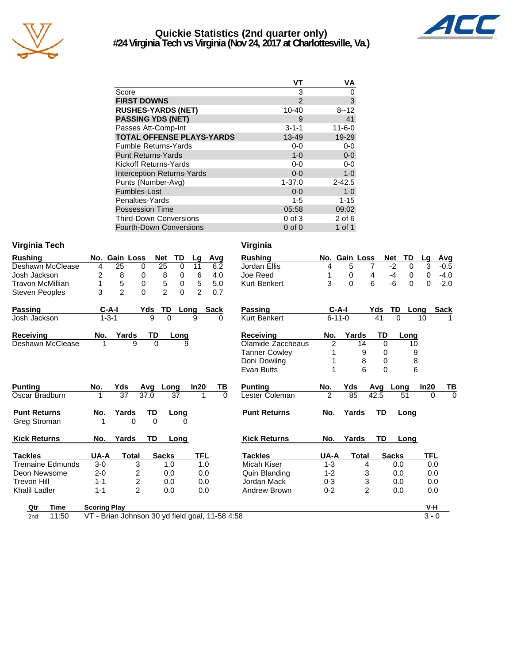

## **Quickie Statistics (2nd quarter only) #24 Virginia Tech vs Virginia (Nov 24, 2017 at Charlottesville, Va.)**



|                                   | VТ             | ٧A           |
|-----------------------------------|----------------|--------------|
| Score                             | 3              | 0            |
| <b>FIRST DOWNS</b>                | $\mathfrak{p}$ | 3            |
| <b>RUSHES-YARDS (NET)</b>         | 10-40          | $8 - 12$     |
| <b>PASSING YDS (NET)</b>          | 9              | 41           |
| Passes Att-Comp-Int               | $3 - 1 - 1$    | $11 - 6 - 0$ |
| <b>TOTAL OFFENSE PLAYS-YARDS</b>  | 13-49          | 19-29        |
| <b>Fumble Returns-Yards</b>       | $0 - 0$        | 0-0          |
| <b>Punt Returns-Yards</b>         | $1 - 0$        | $0 - 0$      |
| Kickoff Returns-Yards             | $0-0$          | 0-0          |
| <b>Interception Returns-Yards</b> | $0 - 0$        | $1 - 0$      |
| Punts (Number-Avg)                | $1 - 37.0$     | $2 - 42.5$   |
| Fumbles-Lost                      | $0 - 0$        | $1 - 0$      |
| Penalties-Yards                   | $1 - 5$        | $1 - 15$     |
| <b>Possession Time</b>            | 05:58          | 09:02        |
| <b>Third-Down Conversions</b>     | 0 of 3         | $2$ of 6     |
| <b>Fourth-Down Conversions</b>    | $0$ of $0$     | 1 of 1       |

#### **Virginia Tech Virginia**

| <b>Rushing</b>          | No. Gain Loss        | TD<br><b>Net</b>                                | Avg<br>Lg             | <b>Rushing</b>       |                | No. Gain Loss             | TD<br><b>Net</b>  | Lg<br>$\overline{a}$                  |
|-------------------------|----------------------|-------------------------------------------------|-----------------------|----------------------|----------------|---------------------------|-------------------|---------------------------------------|
| <b>Deshawn McClease</b> | $\overline{25}$<br>4 | $\overline{25}$<br>0<br>0                       | 6.2<br>11             | Jordan Ellis         | 4              | 5                         | $-2$<br>0<br>7    | $\overline{3}$                        |
| Josh Jackson            | 2<br>8               | 8<br>0<br>0                                     | 6<br>4.0              | Joe Reed             |                | 0                         | $-4$<br>4<br>0    | $\pmb{0}$<br>$\overline{\phantom{a}}$ |
| <b>Travon McMillian</b> | 5<br>1               | 5<br>0<br>0                                     | 5.0<br>5              | <b>Kurt Benkert</b>  | 3              | $\Omega$                  | 6<br>-6<br>0      | $\mathbf 0$                           |
| <b>Steven Peoples</b>   | $\overline{2}$<br>3  | $\mathfrak{p}$<br>$\Omega$<br>$\Omega$          | $\mathfrak{p}$<br>0.7 |                      |                |                           |                   |                                       |
| <b>Passing</b>          | $C-A-I$              | Yds<br>TD<br>Long                               | <b>Sack</b>           | Passing              | $C-A-I$        |                           | Yds<br><b>TD</b>  | Long<br>Sε                            |
| Josh Jackson            | $1 - 3 - 1$          | 9<br>$\Omega$                                   | 9<br>$\Omega$         | <b>Kurt Benkert</b>  | $6 - 11 - 0$   |                           | 41<br>0           | 10                                    |
| Receiving               | Yards<br>No.         | TD<br>Long                                      |                       | <b>Receiving</b>     | No.            | Yards                     | TD<br>Long        |                                       |
| Deshawn McClease        | 1                    | 9<br>$\Omega$<br>9                              |                       | Olamide Zaccheaus    | $\overline{2}$ | 14                        | $\Omega$<br>10    |                                       |
|                         |                      |                                                 |                       | <b>Tanner Cowley</b> |                | 9                         | 9<br>0            |                                       |
|                         |                      |                                                 |                       | Doni Dowling         |                | 8                         | 8<br>$\Omega$     |                                       |
|                         |                      |                                                 |                       | Evan Butts           |                | 6                         | 6<br>$\Omega$     |                                       |
| <b>Punting</b>          | No.<br>Yds           | Avq<br>Long                                     | In20<br>ΤВ            | <b>Punting</b>       | No.            | Yds                       | Avq<br>Lona       | In20                                  |
| Oscar Bradburn          | 37                   | 37.0<br>37                                      | 0                     | Lester Coleman       | $\overline{2}$ | 85                        | 42.5<br>51        | 0                                     |
|                         |                      |                                                 |                       |                      |                |                           |                   |                                       |
| <b>Punt Returns</b>     | No.<br>Yards         | TD<br>Long                                      |                       | <b>Punt Returns</b>  | No.            | Yards                     | TD<br>Long        |                                       |
| Greg Stroman            |                      | $\Omega$<br>$\Omega$                            |                       |                      |                |                           |                   |                                       |
| <b>Kick Returns</b>     | No.<br>Yards         | <b>TD</b><br>Long                               |                       | <b>Kick Returns</b>  | No.            | Yards                     | <b>TD</b><br>Long |                                       |
| <b>Tackles</b>          | <b>Total</b><br>UA-A | <b>Sacks</b>                                    | <b>TFL</b>            | <b>Tackles</b>       | UA-A           | <b>Total</b>              | <b>Sacks</b>      | TFL                                   |
| <b>Tremaine Edmunds</b> | $3-0$                | 3<br>1.0                                        | 1.0                   | Micah Kiser          | $1 - 3$        | 4                         | 0.0               | 0.0                                   |
| Deon Newsome            | $2 - 0$              | 2<br>0.0                                        | 0.0                   | Quin Blanding        | $1 - 2$        | 3                         | 0.0               | 0.0                                   |
| <b>Trevon Hill</b>      | $1 - 1$              | 2<br>0.0                                        | 0.0                   | Jordan Mack          | $0 - 3$        | $\ensuremath{\mathsf{3}}$ | 0.0               | 0.0                                   |
| Khalil Ladler           | $1 - 1$              | $\overline{2}$<br>0.0                           | 0.0                   | Andrew Brown         | $0 - 2$        | $\overline{2}$            | 0.0               | 0.0                                   |
| <b>Time</b><br>Qtr      | <b>Scoring Play</b>  |                                                 |                       |                      |                |                           |                   | V-H                                   |
| 11:50<br>2nd            |                      | VT - Brian Johnson 30 yd field goal, 11-58 4:58 |                       |                      |                |                           |                   | $3 - 0$                               |

| Avg<br><u>.g</u>      | <b>Rushing</b>       | No.            | Gain Loss |               | <b>Net</b>   | TD       | <u>Lg</u> | Avg            |
|-----------------------|----------------------|----------------|-----------|---------------|--------------|----------|-----------|----------------|
| 6.2<br>$\mathbf{1}$   | Jordan Ellis         | 4              | 5         | 7             | $-2$         | 0        | 3         | $-0.5$         |
| 6<br>4.0              | Joe Reed             | 1              | 0         | 4             | $-4$         | 0        | 0         | $-4.0$         |
| 5<br>5.0              | <b>Kurt Benkert</b>  | 3              | $\Omega$  | 6             | -6           | $\Omega$ | $\Omega$  | $-2.0$         |
| $\overline{2}$<br>0.7 |                      |                |           |               |              |          |           |                |
| Sack                  | Passing              | C-A-I          |           | Yds           | TD           | Long     |           | <b>Sack</b>    |
| 0                     | <b>Kurt Benkert</b>  | $6 - 11 - 0$   |           | 41            | 0            |          | 10        | 1              |
|                       | Receiving            | No.            | Yards     | TD            |              | Long     |           |                |
|                       | Olamide Zaccheaus    | $\overline{2}$ | 14        | 0             |              | 10       |           |                |
|                       | <b>Tanner Cowley</b> | 1              | 9         | 0             |              | 9        |           |                |
|                       | Doni Dowling         | 1              | 8         | 0             |              | 8        |           |                |
|                       | Evan Butts           | 1              | 6         | 0             |              | 6        |           |                |
|                       |                      |                |           |               |              |          |           |                |
| ΤВ<br>20،             | <b>Punting</b>       | No.            | Yds       | Avg           | Long         |          | In20      |                |
| $\Omega$<br>1         | Lester Coleman       | $\overline{2}$ | 85        | 42.5          |              | 51       | 0         | TB<br>$\Omega$ |
|                       | <b>Punt Returns</b>  | No.            | Yards     | TD            |              | Long     |           |                |
|                       |                      |                |           |               |              |          |           |                |
|                       | <b>Kick Returns</b>  | No.            | Yards     | TD            |              | Long     |           |                |
| TFL                   | <b>Tackles</b>       | UA-A           | Total     |               | <b>Sacks</b> |          | TFL       |                |
| 1.0                   | Micah Kiser          | $1 - 3$        |           | 4             | 0.0          |          | 0.0       |                |
| 0.0                   | Quin Blanding        | $1 - 2$        |           | 3             | 0.0          |          | 0.0       |                |
| 0.0                   | Jordan Mack          | $0 - 3$        |           |               | 0.0          |          | 0.0       |                |
| 0.0                   | Andrew Brown         | $0 - 2$        |           | $\frac{3}{2}$ | 0.0          |          | 0.0       |                |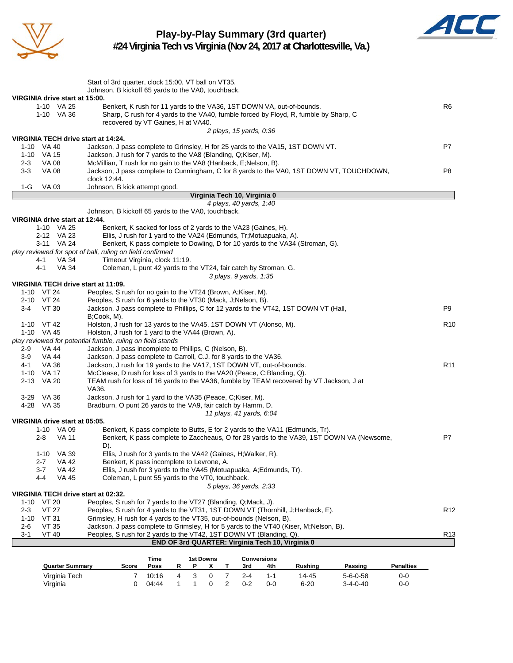

# **Play-by-Play Summary (3rd quarter)**



**#24 Virginia Tech vs Virginia (Nov 24, 2017 at Charlottesville, Va.)**

| VIRGINIA drive start at 15:00.<br>Benkert, K rush for 11 yards to the VA36, 1ST DOWN VA, out-of-bounds.<br>R <sub>6</sub><br>1-10 VA 25<br>Sharp, C rush for 4 yards to the VA40, fumble forced by Floyd, R, fumble by Sharp, C<br>1-10 VA 36<br>recovered by VT Gaines, H at VA40.<br>2 plays, 15 yards, 0.36<br>VIRGINIA TECH drive start at 14:24.<br>Jackson, J pass complete to Grimsley, H for 25 yards to the VA15, 1ST DOWN VT.<br>P7<br>1-10 VA 40<br>1-10 VA 15<br>Jackson, J rush for 7 yards to the VA8 (Blanding, Q;Kiser, M).<br><b>VA 08</b><br>McMillian, T rush for no gain to the VA8 (Hanback, E;Nelson, B).<br>$2 - 3$<br>$3-3$<br><b>VA 08</b><br>Jackson, J pass complete to Cunningham, C for 8 yards to the VA0, 1ST DOWN VT, TOUCHDOWN,<br>P8<br>clock 12:44.<br>Johnson, B kick attempt good.<br>1-G<br>VA 03<br>Virginia Tech 10, Virginia 0<br>4 plays, 40 yards, 1:40<br>Johnson, B kickoff 65 yards to the VA0, touchback.<br>VIRGINIA drive start at 12:44.<br>Benkert, K sacked for loss of 2 yards to the VA23 (Gaines, H).<br>1-10 VA 25<br>2-12 VA 23<br>Ellis, J rush for 1 yard to the VA24 (Edmunds, Tr;Motuapuaka, A).<br>3-11 VA 24<br>Benkert, K pass complete to Dowling, D for 10 yards to the VA34 (Stroman, G).<br>play reviewed for spot of ball, ruling on field confirmed<br>VA 34<br>Timeout Virginia, clock 11:19.<br>4-1<br>4-1<br><b>VA 34</b><br>Coleman, L punt 42 yards to the VT24, fair catch by Stroman, G.<br>3 plays, 9 yards, 1:35<br>VIRGINIA TECH drive start at 11:09.<br>1-10 VT 24<br>Peoples, S rush for no gain to the VT24 (Brown, A;Kiser, M).<br>2-10 VT 24<br>Peoples, S rush for 6 yards to the VT30 (Mack, J; Nelson, B).<br>Jackson, J pass complete to Phillips, C for 12 yards to the VT42, 1ST DOWN VT (Hall,<br>VT 30<br>P9<br>3-4<br>B;Cook, M).<br>1-10 VT 42<br>Holston, J rush for 13 yards to the VA45, 1ST DOWN VT (Alonso, M).<br>R <sub>10</sub><br>Holston, J rush for 1 yard to the VA44 (Brown, A).<br>1-10 VA 45<br>play reviewed for potential fumble, ruling on field stands<br>Jackson, J pass incomplete to Phillips, C (Nelson, B).<br>VA 44<br>$2-9$<br>VA 44<br>Jackson, J pass complete to Carroll, C.J. for 8 yards to the VA36.<br>$3-9$<br>VA 36<br>Jackson, J rush for 19 yards to the VA17, 1ST DOWN VT, out-of-bounds.<br>R <sub>11</sub><br>4-1<br>1-10 VA 17<br>McClease, D rush for loss of 3 yards to the VA20 (Peace, C;Blanding, Q).<br>2-13 VA 20<br>TEAM rush for loss of 16 yards to the VA36, fumble by TEAM recovered by VT Jackson, J at<br>VA36.<br>Jackson, J rush for 1 yard to the VA35 (Peace, C;Kiser, M).<br>3-29 VA 36<br>Bradburn, O punt 26 yards to the VA9, fair catch by Hamm, D.<br>4-28 VA 35<br>11 plays, 41 yards, 6:04<br>VIRGINIA drive start at 05:05.<br>1-10 VA 09<br>Benkert, K pass complete to Butts, E for 2 yards to the VA11 (Edmunds, Tr).<br>Benkert, K pass complete to Zaccheaus, O for 28 yards to the VA39, 1ST DOWN VA (Newsome,<br>P7<br>2-8<br>VA 11<br>D).<br>$1 - 10$<br>VA 39<br>Ellis, J rush for 3 yards to the VA42 (Gaines, H; Walker, R).<br>VA 42<br>Benkert, K pass incomplete to Levrone, A.<br>$2 - 7$<br><b>VA 42</b><br>$3 - 7$<br>Ellis, J rush for 3 yards to the VA45 (Motuapuaka, A;Edmunds, Tr).<br>4-4<br>Coleman, L punt 55 yards to the VT0, touchback.<br>VA 45<br>5 plays, 36 yards, 2:33<br>VIRGINIA TECH drive start at 02:32.<br>$1-10$ VT 20<br>Peoples, S rush for 7 yards to the VT27 (Blanding, Q;Mack, J).<br><b>VT 27</b><br>$2 - 3$<br>Peoples, S rush for 4 yards to the VT31, 1ST DOWN VT (Thornhill, J; Hanback, E).<br>R <sub>12</sub><br>Grimsley, H rush for 4 yards to the VT35, out-of-bounds (Nelson, B).<br>$1 - 10$<br>VT 31<br>Jackson, J pass complete to Grimsley, H for 5 yards to the VT40 (Kiser, M;Nelson, B).<br>$2 - 6$<br><b>VT 35</b><br>Peoples, S rush for 2 yards to the VT42, 1ST DOWN VT (Blanding, Q).<br>R <sub>13</sub><br>$3 - 1$<br>VT 40<br>END OF 3rd QUARTER: Virginia Tech 10, Virginia 0 | Start of 3rd quarter, clock 15:00, VT ball on VT35. |  |
|---------------------------------------------------------------------------------------------------------------------------------------------------------------------------------------------------------------------------------------------------------------------------------------------------------------------------------------------------------------------------------------------------------------------------------------------------------------------------------------------------------------------------------------------------------------------------------------------------------------------------------------------------------------------------------------------------------------------------------------------------------------------------------------------------------------------------------------------------------------------------------------------------------------------------------------------------------------------------------------------------------------------------------------------------------------------------------------------------------------------------------------------------------------------------------------------------------------------------------------------------------------------------------------------------------------------------------------------------------------------------------------------------------------------------------------------------------------------------------------------------------------------------------------------------------------------------------------------------------------------------------------------------------------------------------------------------------------------------------------------------------------------------------------------------------------------------------------------------------------------------------------------------------------------------------------------------------------------------------------------------------------------------------------------------------------------------------------------------------------------------------------------------------------------------------------------------------------------------------------------------------------------------------------------------------------------------------------------------------------------------------------------------------------------------------------------------------------------------------------------------------------------------------------------------------------------------------------------------------------------------------------------------------------------------------------------------------------------------------------------------------------------------------------------------------------------------------------------------------------------------------------------------------------------------------------------------------------------------------------------------------------------------------------------------------------------------------------------------------------------------------------------------------------------------------------------------------------------------------------------------------------------------------------------------------------------------------------------------------------------------------------------------------------------------------------------------------------------------------------------------------------------------------------------------------------------------------------------------------------------------------------------------------------------------------------------------------------------------------------------------------------------------------------------------------------------------------------------------------------------------------------------------------------------------------------------------------------------------------------------------------------------------|-----------------------------------------------------|--|
|                                                                                                                                                                                                                                                                                                                                                                                                                                                                                                                                                                                                                                                                                                                                                                                                                                                                                                                                                                                                                                                                                                                                                                                                                                                                                                                                                                                                                                                                                                                                                                                                                                                                                                                                                                                                                                                                                                                                                                                                                                                                                                                                                                                                                                                                                                                                                                                                                                                                                                                                                                                                                                                                                                                                                                                                                                                                                                                                                                                                                                                                                                                                                                                                                                                                                                                                                                                                                                                                                                                                                                                                                                                                                                                                                                                                                                                                                                                                                                                                                           | Johnson, B kickoff 65 yards to the VA0, touchback.  |  |
|                                                                                                                                                                                                                                                                                                                                                                                                                                                                                                                                                                                                                                                                                                                                                                                                                                                                                                                                                                                                                                                                                                                                                                                                                                                                                                                                                                                                                                                                                                                                                                                                                                                                                                                                                                                                                                                                                                                                                                                                                                                                                                                                                                                                                                                                                                                                                                                                                                                                                                                                                                                                                                                                                                                                                                                                                                                                                                                                                                                                                                                                                                                                                                                                                                                                                                                                                                                                                                                                                                                                                                                                                                                                                                                                                                                                                                                                                                                                                                                                                           |                                                     |  |
|                                                                                                                                                                                                                                                                                                                                                                                                                                                                                                                                                                                                                                                                                                                                                                                                                                                                                                                                                                                                                                                                                                                                                                                                                                                                                                                                                                                                                                                                                                                                                                                                                                                                                                                                                                                                                                                                                                                                                                                                                                                                                                                                                                                                                                                                                                                                                                                                                                                                                                                                                                                                                                                                                                                                                                                                                                                                                                                                                                                                                                                                                                                                                                                                                                                                                                                                                                                                                                                                                                                                                                                                                                                                                                                                                                                                                                                                                                                                                                                                                           |                                                     |  |
|                                                                                                                                                                                                                                                                                                                                                                                                                                                                                                                                                                                                                                                                                                                                                                                                                                                                                                                                                                                                                                                                                                                                                                                                                                                                                                                                                                                                                                                                                                                                                                                                                                                                                                                                                                                                                                                                                                                                                                                                                                                                                                                                                                                                                                                                                                                                                                                                                                                                                                                                                                                                                                                                                                                                                                                                                                                                                                                                                                                                                                                                                                                                                                                                                                                                                                                                                                                                                                                                                                                                                                                                                                                                                                                                                                                                                                                                                                                                                                                                                           |                                                     |  |
|                                                                                                                                                                                                                                                                                                                                                                                                                                                                                                                                                                                                                                                                                                                                                                                                                                                                                                                                                                                                                                                                                                                                                                                                                                                                                                                                                                                                                                                                                                                                                                                                                                                                                                                                                                                                                                                                                                                                                                                                                                                                                                                                                                                                                                                                                                                                                                                                                                                                                                                                                                                                                                                                                                                                                                                                                                                                                                                                                                                                                                                                                                                                                                                                                                                                                                                                                                                                                                                                                                                                                                                                                                                                                                                                                                                                                                                                                                                                                                                                                           |                                                     |  |
|                                                                                                                                                                                                                                                                                                                                                                                                                                                                                                                                                                                                                                                                                                                                                                                                                                                                                                                                                                                                                                                                                                                                                                                                                                                                                                                                                                                                                                                                                                                                                                                                                                                                                                                                                                                                                                                                                                                                                                                                                                                                                                                                                                                                                                                                                                                                                                                                                                                                                                                                                                                                                                                                                                                                                                                                                                                                                                                                                                                                                                                                                                                                                                                                                                                                                                                                                                                                                                                                                                                                                                                                                                                                                                                                                                                                                                                                                                                                                                                                                           |                                                     |  |
|                                                                                                                                                                                                                                                                                                                                                                                                                                                                                                                                                                                                                                                                                                                                                                                                                                                                                                                                                                                                                                                                                                                                                                                                                                                                                                                                                                                                                                                                                                                                                                                                                                                                                                                                                                                                                                                                                                                                                                                                                                                                                                                                                                                                                                                                                                                                                                                                                                                                                                                                                                                                                                                                                                                                                                                                                                                                                                                                                                                                                                                                                                                                                                                                                                                                                                                                                                                                                                                                                                                                                                                                                                                                                                                                                                                                                                                                                                                                                                                                                           |                                                     |  |
|                                                                                                                                                                                                                                                                                                                                                                                                                                                                                                                                                                                                                                                                                                                                                                                                                                                                                                                                                                                                                                                                                                                                                                                                                                                                                                                                                                                                                                                                                                                                                                                                                                                                                                                                                                                                                                                                                                                                                                                                                                                                                                                                                                                                                                                                                                                                                                                                                                                                                                                                                                                                                                                                                                                                                                                                                                                                                                                                                                                                                                                                                                                                                                                                                                                                                                                                                                                                                                                                                                                                                                                                                                                                                                                                                                                                                                                                                                                                                                                                                           |                                                     |  |
|                                                                                                                                                                                                                                                                                                                                                                                                                                                                                                                                                                                                                                                                                                                                                                                                                                                                                                                                                                                                                                                                                                                                                                                                                                                                                                                                                                                                                                                                                                                                                                                                                                                                                                                                                                                                                                                                                                                                                                                                                                                                                                                                                                                                                                                                                                                                                                                                                                                                                                                                                                                                                                                                                                                                                                                                                                                                                                                                                                                                                                                                                                                                                                                                                                                                                                                                                                                                                                                                                                                                                                                                                                                                                                                                                                                                                                                                                                                                                                                                                           |                                                     |  |
|                                                                                                                                                                                                                                                                                                                                                                                                                                                                                                                                                                                                                                                                                                                                                                                                                                                                                                                                                                                                                                                                                                                                                                                                                                                                                                                                                                                                                                                                                                                                                                                                                                                                                                                                                                                                                                                                                                                                                                                                                                                                                                                                                                                                                                                                                                                                                                                                                                                                                                                                                                                                                                                                                                                                                                                                                                                                                                                                                                                                                                                                                                                                                                                                                                                                                                                                                                                                                                                                                                                                                                                                                                                                                                                                                                                                                                                                                                                                                                                                                           |                                                     |  |
|                                                                                                                                                                                                                                                                                                                                                                                                                                                                                                                                                                                                                                                                                                                                                                                                                                                                                                                                                                                                                                                                                                                                                                                                                                                                                                                                                                                                                                                                                                                                                                                                                                                                                                                                                                                                                                                                                                                                                                                                                                                                                                                                                                                                                                                                                                                                                                                                                                                                                                                                                                                                                                                                                                                                                                                                                                                                                                                                                                                                                                                                                                                                                                                                                                                                                                                                                                                                                                                                                                                                                                                                                                                                                                                                                                                                                                                                                                                                                                                                                           |                                                     |  |
|                                                                                                                                                                                                                                                                                                                                                                                                                                                                                                                                                                                                                                                                                                                                                                                                                                                                                                                                                                                                                                                                                                                                                                                                                                                                                                                                                                                                                                                                                                                                                                                                                                                                                                                                                                                                                                                                                                                                                                                                                                                                                                                                                                                                                                                                                                                                                                                                                                                                                                                                                                                                                                                                                                                                                                                                                                                                                                                                                                                                                                                                                                                                                                                                                                                                                                                                                                                                                                                                                                                                                                                                                                                                                                                                                                                                                                                                                                                                                                                                                           |                                                     |  |
|                                                                                                                                                                                                                                                                                                                                                                                                                                                                                                                                                                                                                                                                                                                                                                                                                                                                                                                                                                                                                                                                                                                                                                                                                                                                                                                                                                                                                                                                                                                                                                                                                                                                                                                                                                                                                                                                                                                                                                                                                                                                                                                                                                                                                                                                                                                                                                                                                                                                                                                                                                                                                                                                                                                                                                                                                                                                                                                                                                                                                                                                                                                                                                                                                                                                                                                                                                                                                                                                                                                                                                                                                                                                                                                                                                                                                                                                                                                                                                                                                           |                                                     |  |
|                                                                                                                                                                                                                                                                                                                                                                                                                                                                                                                                                                                                                                                                                                                                                                                                                                                                                                                                                                                                                                                                                                                                                                                                                                                                                                                                                                                                                                                                                                                                                                                                                                                                                                                                                                                                                                                                                                                                                                                                                                                                                                                                                                                                                                                                                                                                                                                                                                                                                                                                                                                                                                                                                                                                                                                                                                                                                                                                                                                                                                                                                                                                                                                                                                                                                                                                                                                                                                                                                                                                                                                                                                                                                                                                                                                                                                                                                                                                                                                                                           |                                                     |  |
|                                                                                                                                                                                                                                                                                                                                                                                                                                                                                                                                                                                                                                                                                                                                                                                                                                                                                                                                                                                                                                                                                                                                                                                                                                                                                                                                                                                                                                                                                                                                                                                                                                                                                                                                                                                                                                                                                                                                                                                                                                                                                                                                                                                                                                                                                                                                                                                                                                                                                                                                                                                                                                                                                                                                                                                                                                                                                                                                                                                                                                                                                                                                                                                                                                                                                                                                                                                                                                                                                                                                                                                                                                                                                                                                                                                                                                                                                                                                                                                                                           |                                                     |  |
|                                                                                                                                                                                                                                                                                                                                                                                                                                                                                                                                                                                                                                                                                                                                                                                                                                                                                                                                                                                                                                                                                                                                                                                                                                                                                                                                                                                                                                                                                                                                                                                                                                                                                                                                                                                                                                                                                                                                                                                                                                                                                                                                                                                                                                                                                                                                                                                                                                                                                                                                                                                                                                                                                                                                                                                                                                                                                                                                                                                                                                                                                                                                                                                                                                                                                                                                                                                                                                                                                                                                                                                                                                                                                                                                                                                                                                                                                                                                                                                                                           |                                                     |  |
|                                                                                                                                                                                                                                                                                                                                                                                                                                                                                                                                                                                                                                                                                                                                                                                                                                                                                                                                                                                                                                                                                                                                                                                                                                                                                                                                                                                                                                                                                                                                                                                                                                                                                                                                                                                                                                                                                                                                                                                                                                                                                                                                                                                                                                                                                                                                                                                                                                                                                                                                                                                                                                                                                                                                                                                                                                                                                                                                                                                                                                                                                                                                                                                                                                                                                                                                                                                                                                                                                                                                                                                                                                                                                                                                                                                                                                                                                                                                                                                                                           |                                                     |  |
|                                                                                                                                                                                                                                                                                                                                                                                                                                                                                                                                                                                                                                                                                                                                                                                                                                                                                                                                                                                                                                                                                                                                                                                                                                                                                                                                                                                                                                                                                                                                                                                                                                                                                                                                                                                                                                                                                                                                                                                                                                                                                                                                                                                                                                                                                                                                                                                                                                                                                                                                                                                                                                                                                                                                                                                                                                                                                                                                                                                                                                                                                                                                                                                                                                                                                                                                                                                                                                                                                                                                                                                                                                                                                                                                                                                                                                                                                                                                                                                                                           |                                                     |  |
|                                                                                                                                                                                                                                                                                                                                                                                                                                                                                                                                                                                                                                                                                                                                                                                                                                                                                                                                                                                                                                                                                                                                                                                                                                                                                                                                                                                                                                                                                                                                                                                                                                                                                                                                                                                                                                                                                                                                                                                                                                                                                                                                                                                                                                                                                                                                                                                                                                                                                                                                                                                                                                                                                                                                                                                                                                                                                                                                                                                                                                                                                                                                                                                                                                                                                                                                                                                                                                                                                                                                                                                                                                                                                                                                                                                                                                                                                                                                                                                                                           |                                                     |  |
|                                                                                                                                                                                                                                                                                                                                                                                                                                                                                                                                                                                                                                                                                                                                                                                                                                                                                                                                                                                                                                                                                                                                                                                                                                                                                                                                                                                                                                                                                                                                                                                                                                                                                                                                                                                                                                                                                                                                                                                                                                                                                                                                                                                                                                                                                                                                                                                                                                                                                                                                                                                                                                                                                                                                                                                                                                                                                                                                                                                                                                                                                                                                                                                                                                                                                                                                                                                                                                                                                                                                                                                                                                                                                                                                                                                                                                                                                                                                                                                                                           |                                                     |  |
|                                                                                                                                                                                                                                                                                                                                                                                                                                                                                                                                                                                                                                                                                                                                                                                                                                                                                                                                                                                                                                                                                                                                                                                                                                                                                                                                                                                                                                                                                                                                                                                                                                                                                                                                                                                                                                                                                                                                                                                                                                                                                                                                                                                                                                                                                                                                                                                                                                                                                                                                                                                                                                                                                                                                                                                                                                                                                                                                                                                                                                                                                                                                                                                                                                                                                                                                                                                                                                                                                                                                                                                                                                                                                                                                                                                                                                                                                                                                                                                                                           |                                                     |  |
|                                                                                                                                                                                                                                                                                                                                                                                                                                                                                                                                                                                                                                                                                                                                                                                                                                                                                                                                                                                                                                                                                                                                                                                                                                                                                                                                                                                                                                                                                                                                                                                                                                                                                                                                                                                                                                                                                                                                                                                                                                                                                                                                                                                                                                                                                                                                                                                                                                                                                                                                                                                                                                                                                                                                                                                                                                                                                                                                                                                                                                                                                                                                                                                                                                                                                                                                                                                                                                                                                                                                                                                                                                                                                                                                                                                                                                                                                                                                                                                                                           |                                                     |  |
|                                                                                                                                                                                                                                                                                                                                                                                                                                                                                                                                                                                                                                                                                                                                                                                                                                                                                                                                                                                                                                                                                                                                                                                                                                                                                                                                                                                                                                                                                                                                                                                                                                                                                                                                                                                                                                                                                                                                                                                                                                                                                                                                                                                                                                                                                                                                                                                                                                                                                                                                                                                                                                                                                                                                                                                                                                                                                                                                                                                                                                                                                                                                                                                                                                                                                                                                                                                                                                                                                                                                                                                                                                                                                                                                                                                                                                                                                                                                                                                                                           |                                                     |  |
|                                                                                                                                                                                                                                                                                                                                                                                                                                                                                                                                                                                                                                                                                                                                                                                                                                                                                                                                                                                                                                                                                                                                                                                                                                                                                                                                                                                                                                                                                                                                                                                                                                                                                                                                                                                                                                                                                                                                                                                                                                                                                                                                                                                                                                                                                                                                                                                                                                                                                                                                                                                                                                                                                                                                                                                                                                                                                                                                                                                                                                                                                                                                                                                                                                                                                                                                                                                                                                                                                                                                                                                                                                                                                                                                                                                                                                                                                                                                                                                                                           |                                                     |  |
|                                                                                                                                                                                                                                                                                                                                                                                                                                                                                                                                                                                                                                                                                                                                                                                                                                                                                                                                                                                                                                                                                                                                                                                                                                                                                                                                                                                                                                                                                                                                                                                                                                                                                                                                                                                                                                                                                                                                                                                                                                                                                                                                                                                                                                                                                                                                                                                                                                                                                                                                                                                                                                                                                                                                                                                                                                                                                                                                                                                                                                                                                                                                                                                                                                                                                                                                                                                                                                                                                                                                                                                                                                                                                                                                                                                                                                                                                                                                                                                                                           |                                                     |  |
|                                                                                                                                                                                                                                                                                                                                                                                                                                                                                                                                                                                                                                                                                                                                                                                                                                                                                                                                                                                                                                                                                                                                                                                                                                                                                                                                                                                                                                                                                                                                                                                                                                                                                                                                                                                                                                                                                                                                                                                                                                                                                                                                                                                                                                                                                                                                                                                                                                                                                                                                                                                                                                                                                                                                                                                                                                                                                                                                                                                                                                                                                                                                                                                                                                                                                                                                                                                                                                                                                                                                                                                                                                                                                                                                                                                                                                                                                                                                                                                                                           |                                                     |  |
|                                                                                                                                                                                                                                                                                                                                                                                                                                                                                                                                                                                                                                                                                                                                                                                                                                                                                                                                                                                                                                                                                                                                                                                                                                                                                                                                                                                                                                                                                                                                                                                                                                                                                                                                                                                                                                                                                                                                                                                                                                                                                                                                                                                                                                                                                                                                                                                                                                                                                                                                                                                                                                                                                                                                                                                                                                                                                                                                                                                                                                                                                                                                                                                                                                                                                                                                                                                                                                                                                                                                                                                                                                                                                                                                                                                                                                                                                                                                                                                                                           |                                                     |  |
|                                                                                                                                                                                                                                                                                                                                                                                                                                                                                                                                                                                                                                                                                                                                                                                                                                                                                                                                                                                                                                                                                                                                                                                                                                                                                                                                                                                                                                                                                                                                                                                                                                                                                                                                                                                                                                                                                                                                                                                                                                                                                                                                                                                                                                                                                                                                                                                                                                                                                                                                                                                                                                                                                                                                                                                                                                                                                                                                                                                                                                                                                                                                                                                                                                                                                                                                                                                                                                                                                                                                                                                                                                                                                                                                                                                                                                                                                                                                                                                                                           |                                                     |  |
|                                                                                                                                                                                                                                                                                                                                                                                                                                                                                                                                                                                                                                                                                                                                                                                                                                                                                                                                                                                                                                                                                                                                                                                                                                                                                                                                                                                                                                                                                                                                                                                                                                                                                                                                                                                                                                                                                                                                                                                                                                                                                                                                                                                                                                                                                                                                                                                                                                                                                                                                                                                                                                                                                                                                                                                                                                                                                                                                                                                                                                                                                                                                                                                                                                                                                                                                                                                                                                                                                                                                                                                                                                                                                                                                                                                                                                                                                                                                                                                                                           |                                                     |  |
|                                                                                                                                                                                                                                                                                                                                                                                                                                                                                                                                                                                                                                                                                                                                                                                                                                                                                                                                                                                                                                                                                                                                                                                                                                                                                                                                                                                                                                                                                                                                                                                                                                                                                                                                                                                                                                                                                                                                                                                                                                                                                                                                                                                                                                                                                                                                                                                                                                                                                                                                                                                                                                                                                                                                                                                                                                                                                                                                                                                                                                                                                                                                                                                                                                                                                                                                                                                                                                                                                                                                                                                                                                                                                                                                                                                                                                                                                                                                                                                                                           |                                                     |  |
|                                                                                                                                                                                                                                                                                                                                                                                                                                                                                                                                                                                                                                                                                                                                                                                                                                                                                                                                                                                                                                                                                                                                                                                                                                                                                                                                                                                                                                                                                                                                                                                                                                                                                                                                                                                                                                                                                                                                                                                                                                                                                                                                                                                                                                                                                                                                                                                                                                                                                                                                                                                                                                                                                                                                                                                                                                                                                                                                                                                                                                                                                                                                                                                                                                                                                                                                                                                                                                                                                                                                                                                                                                                                                                                                                                                                                                                                                                                                                                                                                           |                                                     |  |
|                                                                                                                                                                                                                                                                                                                                                                                                                                                                                                                                                                                                                                                                                                                                                                                                                                                                                                                                                                                                                                                                                                                                                                                                                                                                                                                                                                                                                                                                                                                                                                                                                                                                                                                                                                                                                                                                                                                                                                                                                                                                                                                                                                                                                                                                                                                                                                                                                                                                                                                                                                                                                                                                                                                                                                                                                                                                                                                                                                                                                                                                                                                                                                                                                                                                                                                                                                                                                                                                                                                                                                                                                                                                                                                                                                                                                                                                                                                                                                                                                           |                                                     |  |
|                                                                                                                                                                                                                                                                                                                                                                                                                                                                                                                                                                                                                                                                                                                                                                                                                                                                                                                                                                                                                                                                                                                                                                                                                                                                                                                                                                                                                                                                                                                                                                                                                                                                                                                                                                                                                                                                                                                                                                                                                                                                                                                                                                                                                                                                                                                                                                                                                                                                                                                                                                                                                                                                                                                                                                                                                                                                                                                                                                                                                                                                                                                                                                                                                                                                                                                                                                                                                                                                                                                                                                                                                                                                                                                                                                                                                                                                                                                                                                                                                           |                                                     |  |
|                                                                                                                                                                                                                                                                                                                                                                                                                                                                                                                                                                                                                                                                                                                                                                                                                                                                                                                                                                                                                                                                                                                                                                                                                                                                                                                                                                                                                                                                                                                                                                                                                                                                                                                                                                                                                                                                                                                                                                                                                                                                                                                                                                                                                                                                                                                                                                                                                                                                                                                                                                                                                                                                                                                                                                                                                                                                                                                                                                                                                                                                                                                                                                                                                                                                                                                                                                                                                                                                                                                                                                                                                                                                                                                                                                                                                                                                                                                                                                                                                           |                                                     |  |
|                                                                                                                                                                                                                                                                                                                                                                                                                                                                                                                                                                                                                                                                                                                                                                                                                                                                                                                                                                                                                                                                                                                                                                                                                                                                                                                                                                                                                                                                                                                                                                                                                                                                                                                                                                                                                                                                                                                                                                                                                                                                                                                                                                                                                                                                                                                                                                                                                                                                                                                                                                                                                                                                                                                                                                                                                                                                                                                                                                                                                                                                                                                                                                                                                                                                                                                                                                                                                                                                                                                                                                                                                                                                                                                                                                                                                                                                                                                                                                                                                           |                                                     |  |
|                                                                                                                                                                                                                                                                                                                                                                                                                                                                                                                                                                                                                                                                                                                                                                                                                                                                                                                                                                                                                                                                                                                                                                                                                                                                                                                                                                                                                                                                                                                                                                                                                                                                                                                                                                                                                                                                                                                                                                                                                                                                                                                                                                                                                                                                                                                                                                                                                                                                                                                                                                                                                                                                                                                                                                                                                                                                                                                                                                                                                                                                                                                                                                                                                                                                                                                                                                                                                                                                                                                                                                                                                                                                                                                                                                                                                                                                                                                                                                                                                           |                                                     |  |
|                                                                                                                                                                                                                                                                                                                                                                                                                                                                                                                                                                                                                                                                                                                                                                                                                                                                                                                                                                                                                                                                                                                                                                                                                                                                                                                                                                                                                                                                                                                                                                                                                                                                                                                                                                                                                                                                                                                                                                                                                                                                                                                                                                                                                                                                                                                                                                                                                                                                                                                                                                                                                                                                                                                                                                                                                                                                                                                                                                                                                                                                                                                                                                                                                                                                                                                                                                                                                                                                                                                                                                                                                                                                                                                                                                                                                                                                                                                                                                                                                           |                                                     |  |
|                                                                                                                                                                                                                                                                                                                                                                                                                                                                                                                                                                                                                                                                                                                                                                                                                                                                                                                                                                                                                                                                                                                                                                                                                                                                                                                                                                                                                                                                                                                                                                                                                                                                                                                                                                                                                                                                                                                                                                                                                                                                                                                                                                                                                                                                                                                                                                                                                                                                                                                                                                                                                                                                                                                                                                                                                                                                                                                                                                                                                                                                                                                                                                                                                                                                                                                                                                                                                                                                                                                                                                                                                                                                                                                                                                                                                                                                                                                                                                                                                           |                                                     |  |
|                                                                                                                                                                                                                                                                                                                                                                                                                                                                                                                                                                                                                                                                                                                                                                                                                                                                                                                                                                                                                                                                                                                                                                                                                                                                                                                                                                                                                                                                                                                                                                                                                                                                                                                                                                                                                                                                                                                                                                                                                                                                                                                                                                                                                                                                                                                                                                                                                                                                                                                                                                                                                                                                                                                                                                                                                                                                                                                                                                                                                                                                                                                                                                                                                                                                                                                                                                                                                                                                                                                                                                                                                                                                                                                                                                                                                                                                                                                                                                                                                           |                                                     |  |
|                                                                                                                                                                                                                                                                                                                                                                                                                                                                                                                                                                                                                                                                                                                                                                                                                                                                                                                                                                                                                                                                                                                                                                                                                                                                                                                                                                                                                                                                                                                                                                                                                                                                                                                                                                                                                                                                                                                                                                                                                                                                                                                                                                                                                                                                                                                                                                                                                                                                                                                                                                                                                                                                                                                                                                                                                                                                                                                                                                                                                                                                                                                                                                                                                                                                                                                                                                                                                                                                                                                                                                                                                                                                                                                                                                                                                                                                                                                                                                                                                           |                                                     |  |
|                                                                                                                                                                                                                                                                                                                                                                                                                                                                                                                                                                                                                                                                                                                                                                                                                                                                                                                                                                                                                                                                                                                                                                                                                                                                                                                                                                                                                                                                                                                                                                                                                                                                                                                                                                                                                                                                                                                                                                                                                                                                                                                                                                                                                                                                                                                                                                                                                                                                                                                                                                                                                                                                                                                                                                                                                                                                                                                                                                                                                                                                                                                                                                                                                                                                                                                                                                                                                                                                                                                                                                                                                                                                                                                                                                                                                                                                                                                                                                                                                           |                                                     |  |
|                                                                                                                                                                                                                                                                                                                                                                                                                                                                                                                                                                                                                                                                                                                                                                                                                                                                                                                                                                                                                                                                                                                                                                                                                                                                                                                                                                                                                                                                                                                                                                                                                                                                                                                                                                                                                                                                                                                                                                                                                                                                                                                                                                                                                                                                                                                                                                                                                                                                                                                                                                                                                                                                                                                                                                                                                                                                                                                                                                                                                                                                                                                                                                                                                                                                                                                                                                                                                                                                                                                                                                                                                                                                                                                                                                                                                                                                                                                                                                                                                           |                                                     |  |
|                                                                                                                                                                                                                                                                                                                                                                                                                                                                                                                                                                                                                                                                                                                                                                                                                                                                                                                                                                                                                                                                                                                                                                                                                                                                                                                                                                                                                                                                                                                                                                                                                                                                                                                                                                                                                                                                                                                                                                                                                                                                                                                                                                                                                                                                                                                                                                                                                                                                                                                                                                                                                                                                                                                                                                                                                                                                                                                                                                                                                                                                                                                                                                                                                                                                                                                                                                                                                                                                                                                                                                                                                                                                                                                                                                                                                                                                                                                                                                                                                           |                                                     |  |
|                                                                                                                                                                                                                                                                                                                                                                                                                                                                                                                                                                                                                                                                                                                                                                                                                                                                                                                                                                                                                                                                                                                                                                                                                                                                                                                                                                                                                                                                                                                                                                                                                                                                                                                                                                                                                                                                                                                                                                                                                                                                                                                                                                                                                                                                                                                                                                                                                                                                                                                                                                                                                                                                                                                                                                                                                                                                                                                                                                                                                                                                                                                                                                                                                                                                                                                                                                                                                                                                                                                                                                                                                                                                                                                                                                                                                                                                                                                                                                                                                           |                                                     |  |
|                                                                                                                                                                                                                                                                                                                                                                                                                                                                                                                                                                                                                                                                                                                                                                                                                                                                                                                                                                                                                                                                                                                                                                                                                                                                                                                                                                                                                                                                                                                                                                                                                                                                                                                                                                                                                                                                                                                                                                                                                                                                                                                                                                                                                                                                                                                                                                                                                                                                                                                                                                                                                                                                                                                                                                                                                                                                                                                                                                                                                                                                                                                                                                                                                                                                                                                                                                                                                                                                                                                                                                                                                                                                                                                                                                                                                                                                                                                                                                                                                           |                                                     |  |
|                                                                                                                                                                                                                                                                                                                                                                                                                                                                                                                                                                                                                                                                                                                                                                                                                                                                                                                                                                                                                                                                                                                                                                                                                                                                                                                                                                                                                                                                                                                                                                                                                                                                                                                                                                                                                                                                                                                                                                                                                                                                                                                                                                                                                                                                                                                                                                                                                                                                                                                                                                                                                                                                                                                                                                                                                                                                                                                                                                                                                                                                                                                                                                                                                                                                                                                                                                                                                                                                                                                                                                                                                                                                                                                                                                                                                                                                                                                                                                                                                           |                                                     |  |
|                                                                                                                                                                                                                                                                                                                                                                                                                                                                                                                                                                                                                                                                                                                                                                                                                                                                                                                                                                                                                                                                                                                                                                                                                                                                                                                                                                                                                                                                                                                                                                                                                                                                                                                                                                                                                                                                                                                                                                                                                                                                                                                                                                                                                                                                                                                                                                                                                                                                                                                                                                                                                                                                                                                                                                                                                                                                                                                                                                                                                                                                                                                                                                                                                                                                                                                                                                                                                                                                                                                                                                                                                                                                                                                                                                                                                                                                                                                                                                                                                           |                                                     |  |
|                                                                                                                                                                                                                                                                                                                                                                                                                                                                                                                                                                                                                                                                                                                                                                                                                                                                                                                                                                                                                                                                                                                                                                                                                                                                                                                                                                                                                                                                                                                                                                                                                                                                                                                                                                                                                                                                                                                                                                                                                                                                                                                                                                                                                                                                                                                                                                                                                                                                                                                                                                                                                                                                                                                                                                                                                                                                                                                                                                                                                                                                                                                                                                                                                                                                                                                                                                                                                                                                                                                                                                                                                                                                                                                                                                                                                                                                                                                                                                                                                           |                                                     |  |
|                                                                                                                                                                                                                                                                                                                                                                                                                                                                                                                                                                                                                                                                                                                                                                                                                                                                                                                                                                                                                                                                                                                                                                                                                                                                                                                                                                                                                                                                                                                                                                                                                                                                                                                                                                                                                                                                                                                                                                                                                                                                                                                                                                                                                                                                                                                                                                                                                                                                                                                                                                                                                                                                                                                                                                                                                                                                                                                                                                                                                                                                                                                                                                                                                                                                                                                                                                                                                                                                                                                                                                                                                                                                                                                                                                                                                                                                                                                                                                                                                           |                                                     |  |
|                                                                                                                                                                                                                                                                                                                                                                                                                                                                                                                                                                                                                                                                                                                                                                                                                                                                                                                                                                                                                                                                                                                                                                                                                                                                                                                                                                                                                                                                                                                                                                                                                                                                                                                                                                                                                                                                                                                                                                                                                                                                                                                                                                                                                                                                                                                                                                                                                                                                                                                                                                                                                                                                                                                                                                                                                                                                                                                                                                                                                                                                                                                                                                                                                                                                                                                                                                                                                                                                                                                                                                                                                                                                                                                                                                                                                                                                                                                                                                                                                           |                                                     |  |
|                                                                                                                                                                                                                                                                                                                                                                                                                                                                                                                                                                                                                                                                                                                                                                                                                                                                                                                                                                                                                                                                                                                                                                                                                                                                                                                                                                                                                                                                                                                                                                                                                                                                                                                                                                                                                                                                                                                                                                                                                                                                                                                                                                                                                                                                                                                                                                                                                                                                                                                                                                                                                                                                                                                                                                                                                                                                                                                                                                                                                                                                                                                                                                                                                                                                                                                                                                                                                                                                                                                                                                                                                                                                                                                                                                                                                                                                                                                                                                                                                           |                                                     |  |
|                                                                                                                                                                                                                                                                                                                                                                                                                                                                                                                                                                                                                                                                                                                                                                                                                                                                                                                                                                                                                                                                                                                                                                                                                                                                                                                                                                                                                                                                                                                                                                                                                                                                                                                                                                                                                                                                                                                                                                                                                                                                                                                                                                                                                                                                                                                                                                                                                                                                                                                                                                                                                                                                                                                                                                                                                                                                                                                                                                                                                                                                                                                                                                                                                                                                                                                                                                                                                                                                                                                                                                                                                                                                                                                                                                                                                                                                                                                                                                                                                           |                                                     |  |
|                                                                                                                                                                                                                                                                                                                                                                                                                                                                                                                                                                                                                                                                                                                                                                                                                                                                                                                                                                                                                                                                                                                                                                                                                                                                                                                                                                                                                                                                                                                                                                                                                                                                                                                                                                                                                                                                                                                                                                                                                                                                                                                                                                                                                                                                                                                                                                                                                                                                                                                                                                                                                                                                                                                                                                                                                                                                                                                                                                                                                                                                                                                                                                                                                                                                                                                                                                                                                                                                                                                                                                                                                                                                                                                                                                                                                                                                                                                                                                                                                           |                                                     |  |
|                                                                                                                                                                                                                                                                                                                                                                                                                                                                                                                                                                                                                                                                                                                                                                                                                                                                                                                                                                                                                                                                                                                                                                                                                                                                                                                                                                                                                                                                                                                                                                                                                                                                                                                                                                                                                                                                                                                                                                                                                                                                                                                                                                                                                                                                                                                                                                                                                                                                                                                                                                                                                                                                                                                                                                                                                                                                                                                                                                                                                                                                                                                                                                                                                                                                                                                                                                                                                                                                                                                                                                                                                                                                                                                                                                                                                                                                                                                                                                                                                           | <b>Conversions</b><br>Time<br><b>1st Downs</b>      |  |

|                        |       | Time        |  | 1st Downs |         | Conversions |                |                  |                  |
|------------------------|-------|-------------|--|-----------|---------|-------------|----------------|------------------|------------------|
| <b>Quarter Summary</b> | Score | <b>Poss</b> |  |           | 3rd     | 4th         | <b>Rushing</b> | Passing          | <b>Penalties</b> |
| Virginia Tech          |       | 10:16       |  |           | 2-4     |             | 14-45          | $5-6-0-58$       | 0-0              |
| Virginia               |       | 04:44       |  |           | $0 - 2$ | 0-0         | $6 - 20$       | $3 - 4 - 0 - 40$ | 0-0              |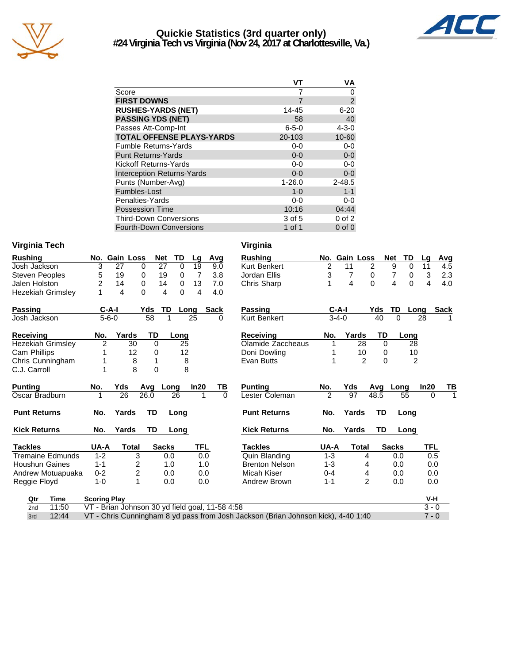

## **Quickie Statistics (3rd quarter only) #24 Virginia Tech vs Virginia (Nov 24, 2017 at Charlottesville, Va.)**



|                                   | ۷T          | VA             |
|-----------------------------------|-------------|----------------|
| Score                             |             | 0              |
| <b>FIRST DOWNS</b>                | 7           | $\overline{2}$ |
| <b>RUSHES-YARDS (NET)</b>         | 14-45       | $6 - 20$       |
| <b>PASSING YDS (NET)</b>          | 58          | 40             |
| Passes Att-Comp-Int               | $6 - 5 - 0$ | $4 - 3 - 0$    |
| <b>TOTAL OFFENSE PLAYS-YARDS</b>  | 20-103      | 10-60          |
| <b>Fumble Returns-Yards</b>       | $0-0$       | $0-0$          |
| <b>Punt Returns-Yards</b>         | $0 - 0$     | $0-0$          |
| Kickoff Returns-Yards             | $0-0$       | $0-0$          |
| <b>Interception Returns-Yards</b> | $0 - 0$     | $0-0$          |
| Punts (Number-Avg)                | $1 - 26.0$  | $2 - 48.5$     |
| Fumbles-Lost                      | $1 - 0$     | $1 - 1$        |
| Penalties-Yards                   | $0-0$       | $0-0$          |
| <b>Possession Time</b>            | 10:16       | 04:44          |
| <b>Third-Down Conversions</b>     | 3 of 5      | $0$ of $2$     |
| Fourth-Down Conversions           | 1 of 1      | $0$ of $0$     |

#### **Virginia Tech Virginia**

| <b>Rushing</b>           |                     | No. Gain Loss                                   | <b>Net</b>   | TD       | Lg             | Avg      | <b>Rushing</b>                                                                    |                | No. Gain Loss  | <b>Net</b>     | <b>TD</b>                  | Lg         | Avg         |
|--------------------------|---------------------|-------------------------------------------------|--------------|----------|----------------|----------|-----------------------------------------------------------------------------------|----------------|----------------|----------------|----------------------------|------------|-------------|
| Josh Jackson             | 3                   | 27                                              | 27<br>0      | $\Omega$ | 19             | 9.0      | Kurt Benkert                                                                      | $\overline{c}$ | 11             | $\overline{2}$ | 9<br>$\Omega$              | 11         | 4.5         |
| <b>Steven Peoples</b>    | 5                   | 19                                              | 19<br>0      | 0        | 7              | 3.8      | Jordan Ellis                                                                      | 3              | 7              | 0              | 7<br>0                     | 3          | 2.3         |
| Jalen Holston            | 2                   | 14                                              | 0<br>14      | $\Omega$ | 13             | 7.0      | Chris Sharp                                                                       | 1              | 4              | $\Omega$       | $\overline{4}$<br>$\Omega$ | 4          | 4.0         |
| <b>Hezekiah Grimsley</b> |                     | 4                                               | 0<br>4       | $\Omega$ | $\overline{4}$ | 4.0      |                                                                                   |                |                |                |                            |            |             |
| <b>Passing</b>           | $C-A-I$             |                                                 | Yds          | TD       | Long           | Sack     | <b>Passing</b>                                                                    |                | $C-A-I$        | Yds            | TD<br>Long                 |            | <b>Sack</b> |
| Josh Jackson             | $5 - 6 - 0$         |                                                 | 58           |          | 25             | $\Omega$ | Kurt Benkert                                                                      |                | $3 - 4 - 0$    | 40             | $\Omega$                   | 28         |             |
|                          |                     |                                                 |              |          |                |          |                                                                                   |                |                |                |                            |            |             |
| <b>Receiving</b>         | No.                 | Yards                                           | TD           | Long     |                |          | <b>Receiving</b>                                                                  | No.            | Yards          | TD             | Long                       |            |             |
| <b>Hezekiah Grimsley</b> | $\overline{2}$      | 30                                              | $\Omega$     | 25       |                |          | Olamide Zaccheaus                                                                 |                | 28             | $\Omega$       | $\overline{28}$            |            |             |
| <b>Cam Phillips</b>      |                     | 12                                              | 0            | 12       |                |          | Doni Dowling                                                                      |                | 10             | 0              | 10                         |            |             |
| Chris Cunningham         |                     | 8                                               | 1            | 8        |                |          | Evan Butts                                                                        | 1              | $\overline{2}$ | $\Omega$       | $\overline{2}$             |            |             |
| C.J. Carroll             |                     | 8                                               | $\Omega$     |          | 8              |          |                                                                                   |                |                |                |                            |            |             |
|                          |                     |                                                 |              |          |                |          |                                                                                   |                |                |                |                            |            |             |
| <b>Punting</b>           | No.                 | Yds                                             | Avg          | Long     | In20           | TВ       | <b>Punting</b>                                                                    | No.            | Yds            | Avg            | Long                       | In20       | TВ          |
| Oscar Bradburn           |                     | 26                                              | 26.0         | 26       | 1              | $\Omega$ | Lester Coleman                                                                    | $\mathcal{P}$  | 97             | 48.5           | 55                         | $\Omega$   | 1           |
| <b>Punt Returns</b>      | No.                 | Yards                                           | <b>TD</b>    | Long     |                |          | <b>Punt Returns</b>                                                               | No.            | Yards          | <b>TD</b>      | Long                       |            |             |
| <b>Kick Returns</b>      | No.                 | Yards                                           | <b>TD</b>    | Long     |                |          | <b>Kick Returns</b>                                                               | No.            | Yards          | <b>TD</b>      | Long                       |            |             |
| <b>Tackles</b>           | UA-A                | <b>Total</b>                                    | <b>Sacks</b> |          | <b>TFL</b>     |          | <b>Tackles</b>                                                                    | UA-A           | <b>Total</b>   |                | <b>Sacks</b>               | <b>TFL</b> |             |
| <b>Tremaine Edmunds</b>  | $1 - 2$             | 3                                               |              | 0.0      | 0.0            |          | Quin Blanding                                                                     | $1 - 3$        | 4              |                | 0.0                        | 0.5        |             |
| Houshun Gaines           | $1 - 1$             | 2                                               |              | 1.0      | 1.0            |          | <b>Brenton Nelson</b>                                                             | $1 - 3$        | 4              |                | 0.0                        | 0.0        |             |
| Andrew Motuapuaka        | $0 - 2$             | $\overline{c}$                                  |              | 0.0      | 0.0            |          | Micah Kiser                                                                       | $0 - 4$        | 4              |                | 0.0                        | 0.0        |             |
| Reggie Floyd             | $1 - 0$             | 1                                               |              | 0.0      | 0.0            |          | Andrew Brown                                                                      | $1 - 1$        | $\overline{2}$ |                | 0.0                        | 0.0        |             |
| Time<br>Qtr              | <b>Scoring Play</b> |                                                 |              |          |                |          |                                                                                   |                |                |                |                            | V-H        |             |
| 11:50<br>2 <sub>nd</sub> |                     | VT - Brian Johnson 30 yd field goal, 11-58 4:58 |              |          |                |          |                                                                                   |                |                |                |                            | $3 - 0$    |             |
| 12:44<br>3rd             |                     |                                                 |              |          |                |          | VT - Chris Cunningham 8 yd pass from Josh Jackson (Brian Johnson kick), 4-40 1:40 |                |                |                |                            | $7 - 0$    |             |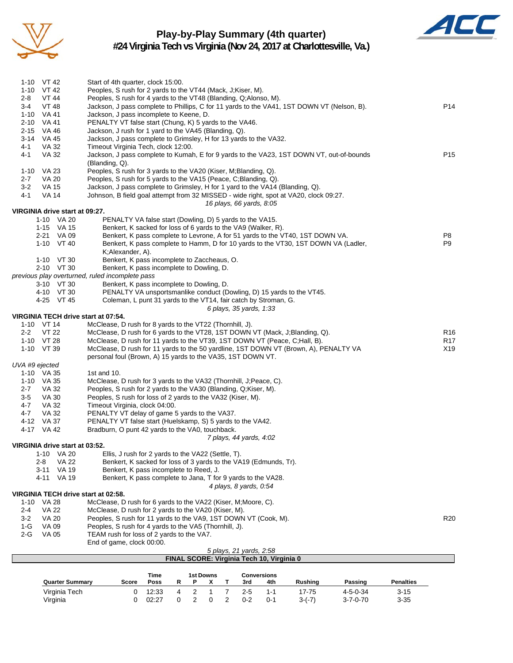

# **Play-by-Play Summary (4th quarter)**



**#24 Virginia Tech vs Virginia (Nov 24, 2017 at Charlottesville, Va.)**

| 1-10 $VT 42$                                 | Start of 4th quarter, clock 15:00.                                                                                                                                  |                        |
|----------------------------------------------|---------------------------------------------------------------------------------------------------------------------------------------------------------------------|------------------------|
| 1-10 $VT 42$                                 | Peoples, S rush for 2 yards to the VT44 (Mack, J;Kiser, M).                                                                                                         |                        |
| <b>VT 44</b><br>2-8<br>$3 - 4$<br>VT 48      | Peoples, S rush for 4 yards to the VT48 (Blanding, Q;Alonso, M).<br>Jackson, J pass complete to Phillips, C for 11 yards to the VA41, 1ST DOWN VT (Nelson, B).      | P <sub>14</sub>        |
| 1-10 VA 41                                   | Jackson, J pass incomplete to Keene, D.                                                                                                                             |                        |
| 2-10 VA 41                                   | PENALTY VT false start (Chung, K) 5 yards to the VA46.                                                                                                              |                        |
| 2-15 VA 46                                   | Jackson, J rush for 1 yard to the VA45 (Blanding, Q).                                                                                                               |                        |
| 3-14 VA 45                                   | Jackson, J pass complete to Grimsley, H for 13 yards to the VA32.                                                                                                   |                        |
| VA 32<br>4-1                                 | Timeout Virginia Tech, clock 12:00.                                                                                                                                 |                        |
| VA 32<br>4-1                                 | Jackson, J pass complete to Kumah, E for 9 yards to the VA23, 1ST DOWN VT, out-of-bounds<br>(Blanding, Q).                                                          | P <sub>15</sub>        |
| 1-10 VA 23                                   | Peoples, S rush for 3 yards to the VA20 (Kiser, M; Blanding, Q).                                                                                                    |                        |
| $2 - 7$<br>VA 20                             | Peoples, S rush for 5 yards to the VA15 (Peace, C;Blanding, Q).                                                                                                     |                        |
| $3 - 2$<br><b>VA 15</b>                      | Jackson, J pass complete to Grimsley, H for 1 yard to the VA14 (Blanding, Q).                                                                                       |                        |
| <b>VA 14</b><br>4-1                          | Johnson, B field goal attempt from 32 MISSED - wide right, spot at VA20, clock 09:27.                                                                               |                        |
|                                              | 16 plays, 66 yards, 8:05                                                                                                                                            |                        |
| VIRGINIA drive start at 09:27.<br>1-10 VA 20 | PENALTY VA false start (Dowling, D) 5 yards to the VA15.                                                                                                            |                        |
| 1-15 VA 15                                   | Benkert, K sacked for loss of 6 yards to the VA9 (Walker, R).                                                                                                       |                        |
| 2-21 VA 09                                   | Benkert, K pass complete to Levrone, A for 51 yards to the VT40, 1ST DOWN VA.                                                                                       | P8                     |
| 1-10 VT 40                                   | Benkert, K pass complete to Hamm, D for 10 yards to the VT30, 1ST DOWN VA (Ladler,                                                                                  | P <sub>9</sub>         |
|                                              | K;Alexander, A).                                                                                                                                                    |                        |
| $1-10$ VT 30                                 | Benkert, K pass incomplete to Zaccheaus, O.                                                                                                                         |                        |
| 2-10 VT 30                                   | Benkert, K pass incomplete to Dowling, D.                                                                                                                           |                        |
| 3-10 VT 30                                   | previous play overturned, ruled incomplete pass<br>Benkert, K pass incomplete to Dowling, D.                                                                        |                        |
| 4-10 VT 30                                   | PENALTY VA unsportsmanlike conduct (Dowling, D) 15 yards to the VT45.                                                                                               |                        |
| 4-25 VT 45                                   | Coleman, L punt 31 yards to the VT14, fair catch by Stroman, G.                                                                                                     |                        |
|                                              | 6 plays, 35 yards, 1:33                                                                                                                                             |                        |
| VIRGINIA TECH drive start at 07:54.          |                                                                                                                                                                     |                        |
| 1-10 VT 14                                   | McClease, D rush for 8 yards to the VT22 (Thornhill, J).                                                                                                            |                        |
| VT 22<br>$2 - 2$                             | McClease, D rush for 6 yards to the VT28, 1ST DOWN VT (Mack, J;Blanding, Q).                                                                                        | R <sub>16</sub>        |
| 1-10 VT 28<br>1-10 VT 39                     | McClease, D rush for 11 yards to the VT39, 1ST DOWN VT (Peace, C; Hall, B).<br>McClease, D rush for 11 yards to the 50 yardline, 1ST DOWN VT (Brown, A), PENALTY VA | R <sub>17</sub><br>X19 |
|                                              | personal foul (Brown, A) 15 yards to the VA35, 1ST DOWN VT.                                                                                                         |                        |
| UVA #9 ejected                               |                                                                                                                                                                     |                        |
| 1-10 VA 35                                   | 1st and 10.                                                                                                                                                         |                        |
| 1-10 VA 35                                   | McClease, D rush for 3 yards to the VA32 (Thornhill, J; Peace, C).                                                                                                  |                        |
| VA 32<br>$2 - 7$                             | Peoples, S rush for 2 yards to the VA30 (Blanding, Q;Kiser, M).                                                                                                     |                        |
| $3-5$<br>VA 30                               | Peoples, S rush for loss of 2 yards to the VA32 (Kiser, M).<br>Timeout Virginia, clock 04:00.                                                                       |                        |
| $4 - 7$<br>VA 32<br>4-7<br>VA 32             | PENALTY VT delay of game 5 yards to the VA37.                                                                                                                       |                        |
| 4-12 VA 37                                   | PENALTY VT false start (Huelskamp, S) 5 yards to the VA42.                                                                                                          |                        |
| 4-17 VA 42                                   | Bradburn, O punt 42 yards to the VA0, touchback.                                                                                                                    |                        |
|                                              | 7 plays, 44 yards, 4:02                                                                                                                                             |                        |
| VIRGINIA drive start at 03:52.               |                                                                                                                                                                     |                        |
| <b>VA 20</b><br>1-10                         | Ellis, J rush for 2 yards to the VA22 (Settle, T).                                                                                                                  |                        |
| <b>VA 22</b><br>2-8<br><b>VA 19</b><br>3-11  | Benkert, K sacked for loss of 3 yards to the VA19 (Edmunds, Tr).                                                                                                    |                        |
| 4-11 VA 19                                   | Benkert, K pass incomplete to Reed, J.<br>Benkert, K pass complete to Jana, T for 9 yards to the VA28.                                                              |                        |
|                                              | 4 plays, 8 yards, 0:54                                                                                                                                              |                        |
| VIRGINIA TECH drive start at 02:58.          |                                                                                                                                                                     |                        |
| 1-10 VA 28                                   | McClease, D rush for 6 yards to the VA22 (Kiser, M; Moore, C).                                                                                                      |                        |
| <b>VA 22</b><br>2-4                          | McClease, D rush for 2 yards to the VA20 (Kiser, M).                                                                                                                |                        |
| $3-2$<br>VA 20                               | Peoples, S rush for 11 yards to the VA9, 1ST DOWN VT (Cook, M).                                                                                                     | R <sub>20</sub>        |
| $1-G$<br>VA 09<br>VA 05<br>2-G               | Peoples, S rush for 4 yards to the VA5 (Thornhill, J).<br>TEAM rush for loss of 2 yards to the VA7.                                                                 |                        |
|                                              | End of game, clock 00:00.                                                                                                                                           |                        |
|                                              | 5 plays, 21 yards, 2:58                                                                                                                                             |                        |
|                                              | FINAL SCORE: Virginia Tech 10, Virginia 0                                                                                                                           |                        |
|                                              |                                                                                                                                                                     |                        |
| Ouartor Summai                               | Time<br><b>1st Downs</b><br><b>Conversions</b><br><b>Docc</b><br><b>Duching</b><br><b>Doccing</b>                                                                   | <b>Donaltice</b>       |

|                        |              | Time  |  | 1st Downs |         | Conversions |          |                  |                  |
|------------------------|--------------|-------|--|-----------|---------|-------------|----------|------------------|------------------|
| <b>Quarter Summary</b> | <b>Score</b> | Poss  |  |           | 3rd     | 4th         | Rushina  | Passing          | <b>Penalties</b> |
| Virginia Tech          |              | 12:33 |  |           | $2-5$   | 1.1         | $7 - 75$ | $4 - 5 - 0 - 34$ | $3 - 15$         |
| Virginia               |              | 02:27 |  |           | $0 - 2$ | $0 - 1$     | $3-(7)$  | $3 - 7 - 0 - 70$ | $3 - 35$         |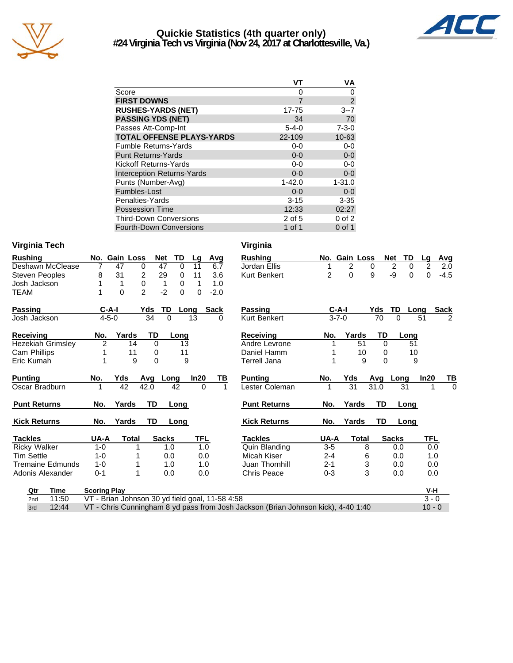

## **Quickie Statistics (4th quarter only) #24 Virginia Tech vs Virginia (Nov 24, 2017 at Charlottesville, Va.)**



|                                   | VT             | VA             |
|-----------------------------------|----------------|----------------|
| Score                             | 0              | 0              |
| <b>FIRST DOWNS</b>                | $\overline{7}$ | $\overline{2}$ |
| <b>RUSHES-YARDS (NET)</b>         | 17-75          | $3 - 7$        |
| <b>PASSING YDS (NET)</b>          | 34             | 70             |
| Passes Att-Comp-Int               | $5 - 4 - 0$    | $7 - 3 - 0$    |
| <b>TOTAL OFFENSE PLAYS-YARDS</b>  | 22-109         | $10 - 63$      |
| <b>Fumble Returns-Yards</b>       | $0-0$          | $0 - 0$        |
| <b>Punt Returns-Yards</b>         | $0 - 0$        | $0-0$          |
| Kickoff Returns-Yards             | $0-0$          | $0-0$          |
| <b>Interception Returns-Yards</b> | $0 - 0$        | $0 - 0$        |
| Punts (Number-Avg)                | $1 - 42.0$     | $1 - 31.0$     |
| Fumbles-Lost                      | $0 - 0$        | $0 - 0$        |
| Penalties-Yards                   | $3 - 15$       | $3 - 35$       |
| <b>Possession Time</b>            | 12:33          | 02:27          |
| <b>Third-Down Conversions</b>     | 2 of 5         | $0$ of $2$     |
| <b>Fourth-Down Conversions</b>    | 1 of 1         | 0 of 1         |

## **Virginia Tech Virginia**

| <b>Rushing</b>           | No.                 | <b>Gain Loss</b>           | <b>Net</b>     | TD<br>Lg             | Avg           | <b>Rushing</b>       |                | No. Gain Loss |          | <b>Net</b><br>TD    | Avg<br>Lg            |
|--------------------------|---------------------|----------------------------|----------------|----------------------|---------------|----------------------|----------------|---------------|----------|---------------------|----------------------|
| Deshawn McClease         | 7                   | 47<br>$\Omega$             | 47             | $\Omega$<br>11       | 6.7           | Jordan Ellis         |                | 2             | 0        | $\overline{2}$<br>0 | 2<br>2.0             |
| <b>Steven Peoples</b>    | 8                   | $\overline{c}$<br>31       | 29             | 11<br>$\Omega$       | 3.6           | Kurt Benkert         | $\overline{2}$ | $\Omega$      | 9        | -9<br>0             | $-4.5$<br>$\Omega$   |
| Josh Jackson             |                     | 0<br>1                     | 1              | $\Omega$<br>1        | 1.0           |                      |                |               |          |                     |                      |
| <b>TEAM</b>              | 1                   | $\overline{2}$<br>$\Omega$ | $-2$           | $\Omega$<br>$\Omega$ | $-2.0$        |                      |                |               |          |                     |                      |
| Passing                  | C-A-I               |                            | TD<br>Yds      | Long                 | <b>Sack</b>   | <b>Passing</b>       |                | $C-A-I$       | Yds      | TD                  | <b>Sack</b><br>Long  |
| Josh Jackson             | $4 - 5 - 0$         |                            | 34<br>$\Omega$ | 13                   | 0             | Kurt Benkert         |                | $3 - 7 - 0$   | 70       | $\Omega$            | $\overline{2}$<br>51 |
| Receiving                | No.                 | Yards                      | TD             | Long                 |               | Receiving            | No.            | Yards         | TD       | Long                |                      |
| <b>Hezekiah Grimsley</b> | $\overline{2}$      | 14                         | $\Omega$       | 13                   |               | Andre Levrone        |                | 51            | $\Omega$ | 51                  |                      |
| Cam Phillips             |                     | 11                         | 0              | 11                   |               | Daniel Hamm          |                | 10            | 0        | 10                  |                      |
| Eric Kumah               |                     | 9                          | $\Omega$       | 9                    |               | Terrell Jana         |                | 9             | $\Omega$ |                     | 9                    |
| <b>Punting</b>           | No.                 | Yds                        | Avg<br>Long    | In20                 | TВ            | <b>Punting</b>       | No.            | Yds           | Avg      | Long                | ln20<br>TI           |
| Oscar Bradburn           |                     | 42                         | 42.0           | 42                   | $\Omega$<br>1 | Lester Coleman       | 1              | 31            | 31.0     | 31                  |                      |
| <b>Punt Returns</b>      | No.                 | Yards                      | TD             | Long                 |               | <b>Punt Returns</b>  | No.            | Yards         | TD       | Long                |                      |
| <b>Kick Returns</b>      | No.                 | Yards                      | TD             | Long                 |               | <b>Kick Returns</b>  | No.            | Yards         | TD       | Long                |                      |
| <b>Tackles</b>           | UA-A                | <b>Total</b>               | <b>Sacks</b>   |                      | TFL           | <b>Tackles</b>       | UA-A           | <b>Total</b>  |          | <b>Sacks</b>        | TFL                  |
| <b>Ricky Walker</b>      | $1 - 0$             |                            | 1.0            |                      | 1.0           | <b>Quin Blanding</b> | $3-5$          |               | 8        | 0.0                 | 0.0                  |
| <b>Tim Settle</b>        | $1 - 0$             |                            | 0.0            |                      | 0.0           | Micah Kiser          | 2-4            |               | 6        | 0.0                 | 1.0                  |
| Tremaine Edmunds         | $1 - 0$             |                            | 1.0            |                      | 1.0           | Juan Thornhill       | $2 - 1$        |               | 3        | 0.0                 | 0.0                  |
| Adonis Alexander         | $0 - 1$             |                            | 0.0            |                      | 0.0           | <b>Chris Peace</b>   | $0 - 3$        |               | 3        | 0.0                 | 0.0                  |
| Qtr<br>Time              | <b>Scoring Play</b> |                            |                |                      |               |                      |                |               |          |                     | V-H                  |

| Passing             | C-A-I       |       | Yds  | TD    | Long |            | <b>Sack</b>    |
|---------------------|-------------|-------|------|-------|------|------------|----------------|
| <b>Kurt Benkert</b> | $3 - 7 - 0$ |       | 70   | O     | 51   |            | $\overline{2}$ |
| Receiving           | No.         | Yards | TD   |       | Long |            |                |
| Andre Levrone       | 1           | 51    | 0    |       | 51   |            |                |
| Daniel Hamm         | 1           | 10    | 0    |       | 10   |            |                |
| Terrell Jana        | 1           | 9     | O    |       | 9    |            |                |
| Punting             | No.         | Yds   | Avg  | Long  | In20 |            | TВ             |
| Lester Coleman      | 1           | 31    | 31.0 | 31    |      | 1          | 0              |
| <b>Punt Returns</b> | No.         | Yards | TD   |       | Long |            |                |
| <b>Kick Returns</b> | No.         | Yards | TD   |       | Long |            |                |
| <b>Tackles</b>      | UA-A        | Total |      | Sacks |      | <b>TFL</b> |                |
| Quin Blanding       | 3-5         |       | 8    | 0.0   |      | 0.0        |                |
| Micah Kiser         | $2 - 4$     |       | 6    | 0.0   |      | 1.0        |                |
| Juan Thornhill      | $2 - 1$     |       | 3    | 0.0   |      | 0.O        |                |
| Chris Peace         | $0 - 3$     | 3     |      | 0.0   |      | 0.0        |                |
|                     |             |       |      |       |      | $V - H$    |                |

| Qtr Time | Scoring Play                                                                                | $V-H$    |
|----------|---------------------------------------------------------------------------------------------|----------|
|          | 2nd 11:50 VT - Brian Johnson 30 yd field goal, 11-58 4:58                                   |          |
|          | 3rd 12:44 VT - Chris Cunningham 8 yd pass from Josh Jackson (Brian Johnson kick), 4-40 1:40 | $10 - 0$ |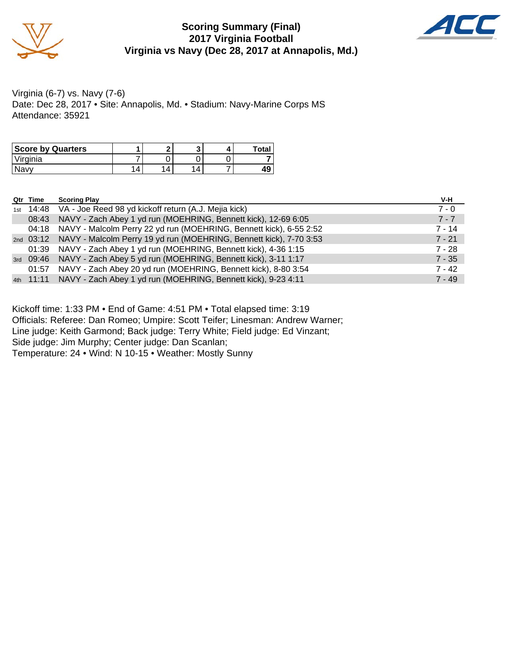

## **Scoring Summary (Final) 2017 Virginia Football Virginia vs Navy (Dec 28, 2017 at Annapolis, Md.)**



Virginia (6-7) vs. Navy (7-6) Date: Dec 28, 2017 • Site: Annapolis, Md. • Stadium: Navy-Marine Corps MS Attendance: 35921

| <b>Score by Quarters</b> |   | ∙ |  | Total |
|--------------------------|---|---|--|-------|
| Virginia                 |   |   |  |       |
| Navv                     | 4 | 4 |  | 49    |

| Qtr Time | <b>Scoring Play</b>                                                          | V-H      |
|----------|------------------------------------------------------------------------------|----------|
|          | 1st 14:48 VA - Joe Reed 98 yd kickoff return (A.J. Mejia kick)               | $7 - 0$  |
| 08:43    | NAVY - Zach Abey 1 yd run (MOEHRING, Bennett kick), 12-69 6:05               | $7 - 7$  |
|          | 04:18 NAVY - Malcolm Perry 22 yd run (MOEHRING, Bennett kick), 6-55 2:52     | $7 - 14$ |
|          | 2nd 03:12 NAVY - Malcolm Perry 19 yd run (MOEHRING, Bennett kick), 7-70 3:53 | $7 - 21$ |
|          | 01:39 NAVY - Zach Abey 1 yd run (MOEHRING, Bennett kick), 4-36 1:15          | $7 - 28$ |
|          | 3rd 09:46 NAVY - Zach Abey 5 yd run (MOEHRING, Bennett kick), 3-11 1:17      | $7 - 35$ |
|          | 01:57 NAVY - Zach Abey 20 yd run (MOEHRING, Bennett kick), 8-80 3:54         | $7 - 42$ |
|          | 4th 11:11 NAVY - Zach Abey 1 yd run (MOEHRING, Bennett kick), 9-23 4:11      | $7 - 49$ |

Kickoff time: 1:33 PM • End of Game: 4:51 PM • Total elapsed time: 3:19 Officials: Referee: Dan Romeo; Umpire: Scott Teifer; Linesman: Andrew Warner; Line judge: Keith Garmond; Back judge: Terry White; Field judge: Ed Vinzant; Side judge: Jim Murphy; Center judge: Dan Scanlan;

Temperature: 24 • Wind: N 10-15 • Weather: Mostly Sunny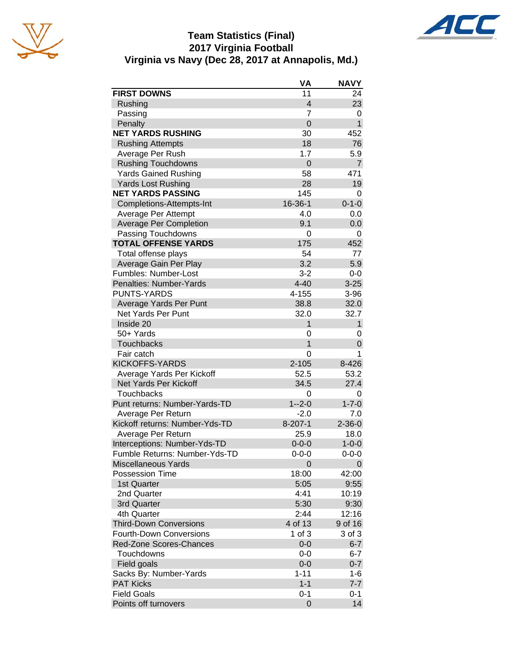





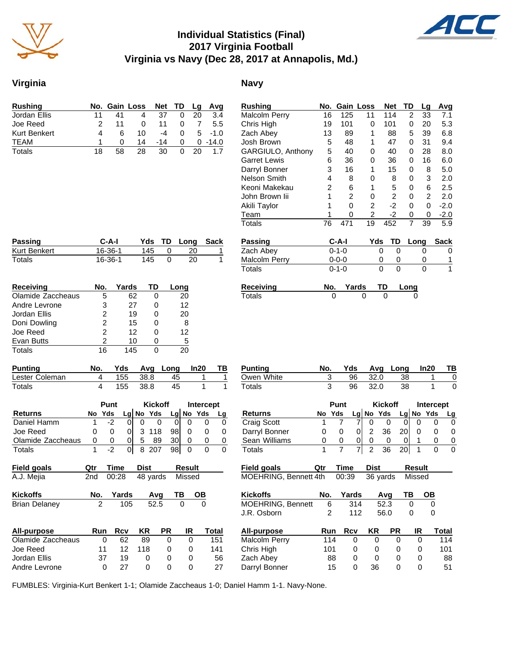

# **Individual Statistics (Final) 2017 Virginia Football Virginia vs Navy (Dec 28, 2017 at Annapolis, Md.)**

## **Virginia Navy**

| Rushing      |    |    | No. Gain Loss |       |   |    | Net TD Lg Avg |
|--------------|----|----|---------------|-------|---|----|---------------|
| Jordan Ellis | 11 | 41 |               | 37    | 0 | 20 | 3.4           |
| Joe Reed     |    | 11 | O             | 11    | O |    | 5.5           |
| Kurt Benkert | 4  |    | 10            | -4    | O |    | $5 - 1.0$     |
| <b>TEAM</b>  |    |    | 14            | $-14$ | O |    | $0 - 14.0$    |
| Totals       | 18 | 58 | 28            | 30    |   | 20 | 1.7           |

**Passing C-A-I Yds TD Long Sack** Rurt Benkert 16-36-1 145 0 20 1<br>Totals 16-36-1 145 0 20 1  $16 - 36 - 1$ 

| <b>Rushing</b>           | No. |                | Gain Loss | <b>Net</b>     | TD | Lg             | Avg         |
|--------------------------|-----|----------------|-----------|----------------|----|----------------|-------------|
| Malcolm Perry            | 16  | 125            | 11        | 114            | 2  | 33             | 7.1         |
| Chris High               | 19  | 101            | 0         | 101            | 0  | 20             | 5.3         |
| Zach Abey                | 13  | 89             | 1         | 88             | 5  | 39             | 6.8         |
| Josh Brown               | 5   | 48             | 1         | 47             | 0  | 31             | 9.4         |
| <b>GARGIULO, Anthony</b> | 5   | 40             | 0         | 40             | 0  | 28             | 8.0         |
| <b>Garret Lewis</b>      | 6   | 36             | 0         | 36             | 0  | 16             | 6.0         |
| Darryl Bonner            | 3   | 16             | 1         | 15             | 0  | 8              | 5.0         |
| Nelson Smith             | 4   | 8              | 0         | 8              | 0  | 3              | 2.0         |
| Keoni Makekau            | 2   | 6              | 1         | 5              | 0  | 6              | 2.5         |
| John Brown lii           | 1   | $\overline{2}$ | 0         | $\overline{2}$ | 0  | $\overline{2}$ | 2.0         |
| Akili Taylor             | 1   | 0              | 2         | $-2$           | 0  | 0              | $-2.0$      |
| Team                     | 1   | 0              | 2         | -2             | 0  | 0              | $-2.0$      |
| Totals                   | 76  | 471            | 19        | 452            | 7  | 39             | 5.9         |
|                          |     |                |           |                |    |                |             |
| Passing                  |     | C-A-I          | Yds       | TD             |    | Long           | <b>Sack</b> |
| Zach Abey                |     | $0 - 1 - 0$    |           | 0<br>0         |    | 0              | Ω           |
| Malcolm Perry            |     | $0 - 0 - 0$    |           | 0<br>0         |    | 0              | 1           |
| Totals                   |     | $0 - 1 - 0$    |           | 0<br>0         |    | 0              | 1           |
|                          |     |                |           |                |    |                |             |

**Receiving Mo. Yards TD Long** Totals 0 0 0 0 0

| Receiving         | No. | Yards | <b>TD</b> | Long              |  |
|-------------------|-----|-------|-----------|-------------------|--|
| Olamide Zaccheaus | 5   | 62    |           | 20                |  |
| Andre Levrone     | 3   | 27    |           | $12 \overline{ }$ |  |
| Jordan Ellis      | 2   | 19    | O)        | 20                |  |
| Doni Dowling      | 2   | 15    |           | 8                 |  |
| Joe Reed          | 2   | 12    |           | 12                |  |
| Evan Butts        | 2   | 10    |           | 5                 |  |
| Totals            | 16  | 145   |           | 20                |  |

| Punting        | No. |     |       | Yds Avg Long | In20 | ΤВ |
|----------------|-----|-----|-------|--------------|------|----|
| Lester Coleman |     | 155 | -38.8 | 45           |      |    |
| Totals         |     | 155 | 38.8  | 45           |      |    |

|                      |     | Punt  |            | <b>Kickoff</b> |           |    | Intercept |           |       |
|----------------------|-----|-------|------------|----------------|-----------|----|-----------|-----------|-------|
| Returns              | No. | Yds   |            |                | Lg No Yds |    |           | Lg No Yds | Lg    |
| Daniel Hamm          | 1   | $-2$  | 0          | 0              | 0         | 0  | 0         | 0         | 0     |
| Joe Reed             | 0   | 0     | 0          | 3              | 118       | 98 | 0         | 0         | 0     |
| Olamide Zaccheaus    | 0   | 0     | 0          | 5              | 89        | 30 | 0         | 0         | 0     |
| Totals               | 1   | $-2$  | 0          | 8              | 207       | 98 | 0         | 0         | 0     |
| <b>Field goals</b>   | Qtr | Time  |            | Dist           |           |    | Result    |           |       |
| A.J. Mejia           | 2nd | 00:28 |            |                | 48 yards  |    | Missed    |           |       |
| <b>Kickoffs</b>      | No. |       | Yards      |                | Avq       | ΤВ |           | ОВ        |       |
| <b>Brian Delaney</b> |     | 2     | 105        |                | 52.5      |    | O         | 0         |       |
| All nurnoon          |     | D.ım  | <b>DAV</b> | ИD             | סם        |    | סו        |           | エヘシヘー |

| All-purpose       | Run | Rcv | KR  | PR. | Total |
|-------------------|-----|-----|-----|-----|-------|
| Olamide Zaccheaus |     | 62  | 89  |     | 151   |
| Joe Reed          | 11  | 12. | 118 |     | 141   |
| Jordan Ellis      | 37  | 19  |     |     | 56    |
| Andre Levrone     |     | 27  |     |     | 27    |

| Punting    |     |         | Yds Avg Long In20 | TB. |
|------------|-----|---------|-------------------|-----|
| Owen White |     | 96 32.0 | -38               |     |
| Totals     | 96. | 32.0    | 38                |     |

|                |    | <b>Punt</b>  | <b>Kickoff</b> |           |    | Intercept |           |              |
|----------------|----|--------------|----------------|-----------|----|-----------|-----------|--------------|
| <b>Returns</b> |    | No Yds       |                | Lg No Yds |    |           | Lg No Yds | La           |
| Craig Scott    |    |              |                |           |    |           |           | <sup>0</sup> |
| Darryl Bonner  | O) |              |                | 36        | 20 |           |           | <sup>0</sup> |
| Sean Williams  | O  | $\mathbf{O}$ |                |           |    |           |           | n            |
| Totals         |    |              | $\mathfrak{p}$ | -36       |    |           |           | 0            |

| Field goals                                 | Otr | Time Dist | Result |  |
|---------------------------------------------|-----|-----------|--------|--|
| MOEHRING, Bennett 4th 00:39 36 yards Missed |     |           |        |  |

| <b>Kickoffs</b>          | No. | Yards |      | Avq  | ΤВ | OВ |       |
|--------------------------|-----|-------|------|------|----|----|-------|
| <b>MOEHRING, Bennett</b> | 6   | 314   |      | 52.3 | 0  | 0  |       |
| J.R. Osborn              | 2   | 112   | 56.0 |      | 0  | 0  |       |
| All-purpose              | Run | Rcv   | ΚR   | РR   | IR |    | Total |
| Malcolm Perry            | 114 | 0     | 0    | 0    | 0  |    | 114   |
| Chris High               | 101 | 0     | 0    | 0    | 0  |    | 101   |
| Zach Abey                | 88  | 0     | 0    | 0    | 0  |    | 88    |
| Darryl Bonner            | 15  | 0     | 36   | O    |    |    | 51    |

FUMBLES: Virginia-Kurt Benkert 1-1; Olamide Zaccheaus 1-0; Daniel Hamm 1-1. Navy-None.

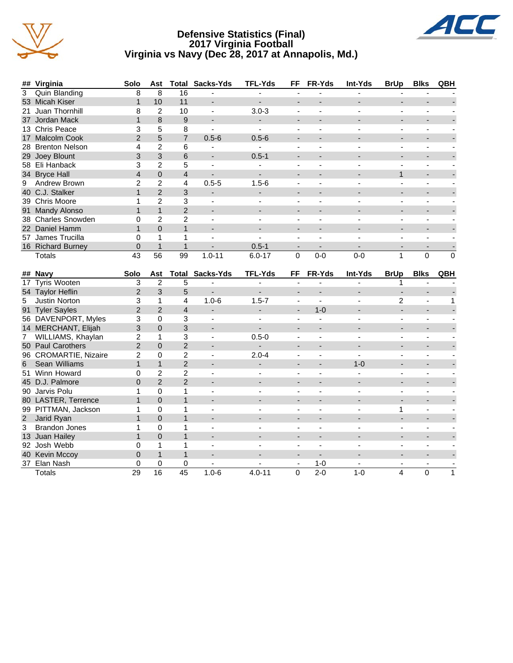

#### **Defensive Statistics (Final) 2017 Virginia Football Virginia vs Navy (Dec 28, 2017 at Annapolis, Md.)**



|                | ## Virginia            | Solo           | Ast             |                | <b>Total Sacks-Yds</b>   | <b>TFL-Yds</b>           | <b>FF</b>                    | FR-Yds                   | <b>Int-Yds</b>           | <b>BrUp</b>              | <b>Blks</b>              | QBH         |
|----------------|------------------------|----------------|-----------------|----------------|--------------------------|--------------------------|------------------------------|--------------------------|--------------------------|--------------------------|--------------------------|-------------|
| $\overline{3}$ | <b>Quin Blanding</b>   | 8              | 8               | 16             |                          |                          |                              |                          |                          |                          |                          |             |
|                | 53 Micah Kiser         | $\mathbf{1}$   | 10              | 11             | $\blacksquare$           | L.                       | $\overline{a}$               |                          |                          |                          | $\overline{\phantom{a}}$ |             |
| 21             | Juan Thornhill         | 8              | $\overline{2}$  | 10             | $\blacksquare$           | $3.0 - 3$                | ÷,                           | $\overline{a}$           |                          | $\blacksquare$           | ä,                       |             |
| 37             | Jordan Mack            | $\mathbf{1}$   | 8               | 9              | $\blacksquare$           | $\overline{\phantom{0}}$ | $\overline{\phantom{m}}$     | $\overline{a}$           |                          | $\overline{\phantom{0}}$ | $\blacksquare$           |             |
|                | 13 Chris Peace         | 3              | 5               | 8              | $\blacksquare$           | $\blacksquare$           | L,                           | $\blacksquare$           |                          | ä,                       | ä,                       |             |
| 17             | <b>Malcolm Cook</b>    | $\overline{2}$ | 5               | $\overline{7}$ | $0.5 - 6$                | $0.5 - 6$                | $\overline{\phantom{a}}$     | $\blacksquare$           |                          | $\overline{\phantom{a}}$ | $\overline{\phantom{a}}$ |             |
| 28             | <b>Brenton Nelson</b>  | 4              | $\overline{2}$  | 6              | ÷,                       | ÷,                       | $\overline{\phantom{a}}$     | $\overline{\phantom{a}}$ |                          | $\blacksquare$           | $\blacksquare$           |             |
| 29             | Joey Blount            | 3              | 3               | 6              | $\overline{\phantom{a}}$ | $0.5 - 1$                | $\overline{\phantom{a}}$     | $\overline{\phantom{0}}$ |                          |                          |                          |             |
| 58             | Eli Hanback            | 3              | $\overline{2}$  | 5              | $\blacksquare$           |                          | $\overline{\phantom{a}}$     | $\overline{\phantom{a}}$ |                          | $\overline{a}$           | ÷,                       |             |
|                | 34 Bryce Hall          | $\overline{4}$ | $\overline{0}$  | $\overline{4}$ | $\blacksquare$           |                          | $\overline{\phantom{a}}$     | $\blacksquare$           |                          | $\mathbf{1}$             |                          |             |
| 9              | Andrew Brown           | $\overline{2}$ | $\overline{2}$  | 4              | $0.5 - 5$                | $1.5 - 6$                | ÷,                           | $\blacksquare$           |                          | ÷,                       | ä,                       |             |
| 40             | C.J. Stalker           | $\mathbf{1}$   | $\overline{2}$  | 3              | $\overline{\phantom{a}}$ |                          | $\overline{\phantom{a}}$     | $\blacksquare$           |                          |                          |                          |             |
|                | 39 Chris Moore         | 1              | $\overline{2}$  | 3              |                          |                          | $\overline{\phantom{0}}$     | $\blacksquare$           |                          | $\overline{\phantom{a}}$ | ä,                       |             |
| 91             | Mandy Alonso           | $\mathbf{1}$   | $\mathbf{1}$    | $\overline{2}$ | $\overline{\phantom{a}}$ | $\overline{\phantom{a}}$ | $\qquad \qquad \blacksquare$ | $\blacksquare$           |                          | $\overline{\phantom{0}}$ |                          |             |
| 38             | <b>Charles Snowden</b> | 0              | $\overline{2}$  | $\overline{c}$ |                          |                          | $\overline{\phantom{a}}$     | ä,                       |                          | $\overline{\phantom{a}}$ | ä,                       |             |
| 22             | Daniel Hamm            | $\mathbf{1}$   | $\overline{0}$  | $\mathbf{1}$   | $\overline{\phantom{a}}$ | $\overline{\phantom{a}}$ | $\overline{\phantom{0}}$     | $\blacksquare$           |                          | $\overline{\phantom{a}}$ | $\overline{\phantom{a}}$ |             |
| 57             | James Trucilla         | 0              | 1               | 1              |                          |                          | $\overline{\phantom{0}}$     | ä,                       |                          |                          | ä,                       |             |
|                | 16 Richard Burney      | 0              | $\mathbf{1}$    | $\mathbf{1}$   |                          | $0.5 - 1$                | $\overline{\phantom{a}}$     | $\blacksquare$           |                          |                          | $\overline{\phantom{a}}$ |             |
|                |                        |                |                 |                |                          |                          |                              |                          |                          |                          |                          |             |
|                | <b>Totals</b>          | 43             | $\overline{56}$ | 99             | $1.0 - 11$               | $6.0 - 17$               | $\mathbf 0$                  | $0 - 0$                  | $0 - 0$                  | 1                        | $\mathbf 0$              | $\mathbf 0$ |
|                |                        |                |                 |                |                          |                          |                              |                          |                          |                          |                          |             |
|                | ## Navy                | Solo           | Ast             | <b>Total</b>   | Sacks-Yds                | <b>TFL-Yds</b>           | FF                           | FR-Yds                   | Int-Yds                  | <b>BrUp</b>              | <b>Blks</b>              | QBH         |
| 17             | <b>Tyris Wooten</b>    | 3              | $\overline{2}$  | 5              |                          | $\blacksquare$           | $\sim$                       |                          |                          | 1                        |                          |             |
| 54             | <b>Taylor Heflin</b>   | $\overline{2}$ | 3               | 5              | $\blacksquare$           | $\blacksquare$           | ÷,                           | $\overline{a}$           |                          | $\blacksquare$           | $\overline{\phantom{a}}$ |             |
| 5              | Justin Norton          | 3              | 1               | 4              | $1.0 - 6$                | $1.5 - 7$                | $\overline{\phantom{a}}$     |                          |                          | $\overline{2}$           | ÷,                       | 1           |
| 91             | <b>Tyler Sayles</b>    | $\overline{2}$ | $\overline{2}$  | $\overline{4}$ | $\overline{\phantom{0}}$ | $\overline{\phantom{0}}$ | $\overline{\phantom{a}}$     | $1 - 0$                  | $\overline{\phantom{a}}$ | $\overline{a}$           | $\overline{\phantom{a}}$ |             |
|                | 56 DAVENPORT, Myles    | 3              | $\mathbf 0$     | 3              | $\blacksquare$           |                          | $\overline{\phantom{a}}$     | $\mathbf{r}$             |                          | $\blacksquare$           | $\blacksquare$           |             |
|                | 14 MERCHANT, Elijah    | 3              | $\mathbf 0$     | 3              | $\blacksquare$           | $\sim$                   | $\blacksquare$               | $\overline{\phantom{a}}$ | $\blacksquare$           | $\blacksquare$           | $\overline{\phantom{a}}$ |             |
| 7              | WILLIAMS, Khaylan      | $\overline{c}$ | 1               | 3              | ÷,                       | $0.5 - 0$                | $\overline{a}$               | $\overline{a}$           |                          | $\blacksquare$           | $\blacksquare$           |             |
|                | 50 Paul Carothers      | $\overline{2}$ | $\overline{0}$  | $\overline{2}$ | $\blacksquare$           | $\overline{\phantom{a}}$ | $\blacksquare$               | $\blacksquare$           | $\sim$                   | $\blacksquare$           | $\overline{\phantom{a}}$ |             |
|                | 96 CROMARTIE, Nizaire  | $\overline{c}$ | $\Omega$        | $\overline{2}$ | $\blacksquare$           | $2.0 - 4$                | $\blacksquare$               | $\overline{\phantom{a}}$ |                          | $\blacksquare$           | ÷,                       |             |
| 6              | Sean Williams          | $\mathbf{1}$   | $\mathbf{1}$    | $\overline{2}$ | $\blacksquare$           | $\overline{a}$           | $\overline{\phantom{a}}$     | $\blacksquare$           | $1 - 0$                  | $\blacksquare$           | $\overline{\phantom{a}}$ |             |
| 51             | Winn Howard            | 0              | $\overline{2}$  | $\overline{2}$ | $\overline{\phantom{a}}$ |                          | ÷,                           | $\overline{\phantom{a}}$ |                          | $\blacksquare$           | ä,                       |             |
|                | 45 D.J. Palmore        | $\overline{0}$ | $\overline{2}$  | $\overline{2}$ | $\blacksquare$           | $\blacksquare$           | $\overline{\phantom{a}}$     | $\blacksquare$           | $\blacksquare$           | $\blacksquare$           | $\blacksquare$           |             |
|                | 90 Jarvis Polu         | 1              | $\mathbf 0$     | 1              | ÷,                       |                          | ÷,                           | $\overline{\phantom{a}}$ |                          | $\blacksquare$           | ÷,                       |             |
|                | 80 LASTER, Terrence    | $\mathbf{1}$   | $\overline{0}$  | $\mathbf{1}$   | $\overline{a}$           |                          | $\blacksquare$               | $\blacksquare$           |                          | $\blacksquare$           | $\overline{\phantom{0}}$ |             |
|                | 99 PITTMAN, Jackson    | 1              | 0               | 1              |                          |                          |                              | ä,                       |                          | 1                        | ä,                       |             |

3 Brandon Jones 1 0 1 - - - - - - - - 13 Juan Hailey 1 0 1 - - - - - - - -

92 Josh Webb 0 1 1 - - - - - - - -

37 Elan Nash 0 0 0 - - - 1-0 - - - - Totals 29 16 45 1.0-6 4.0-11 0 2-0 1-0 4 0 1

40 Kevin Mccoy 0 1 1 - - - - - - - -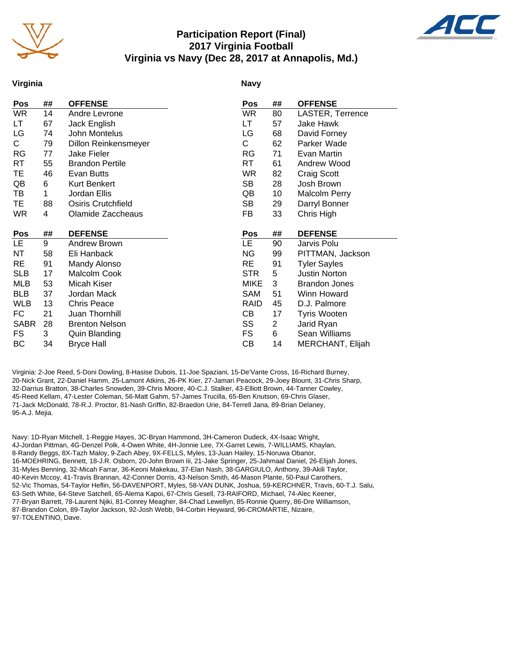

# **Participation Report (Final) 2017 Virginia Football Virginia vs Navy (Dec 28, 2017 at Annapolis, Md.)**



#### **Virginia**

#### **Navy**

| Pos         | ## | <b>OFFENSE</b>         | Pos         | ##             | <b>OFFENSE</b>       |
|-------------|----|------------------------|-------------|----------------|----------------------|
| WR          | 14 | Andre Levrone          | <b>WR</b>   | 80             | LASTER, Terrence     |
| LТ          | 67 | Jack English           | LT          | 57             | Jake Hawk            |
| LG          | 74 | John Montelus          | LG          | 68             | David Forney         |
| С           | 79 | Dillon Reinkensmeyer   | C           | 62             | Parker Wade          |
| RG          | 77 | <b>Jake Fieler</b>     | RG          | 71             | Evan Martin          |
| RT          | 55 | <b>Brandon Pertile</b> | RT          | 61             | Andrew Wood          |
| ТE          | 46 | Evan Butts             | <b>WR</b>   | 82             | Craig Scott          |
| QB          | 6  | Kurt Benkert           | SB          | 28             | Josh Brown           |
| TВ          | 1  | Jordan Ellis           | QB          | 10             | <b>Malcolm Perry</b> |
| TE          | 88 | Osiris Crutchfield     | SB          | 29             | Darryl Bonner        |
| <b>WR</b>   | 4  | Olamide Zaccheaus      | FB          | 33             | Chris High           |
|             |    |                        |             |                |                      |
| Pos         | ## | <b>DEFENSE</b>         | <b>Pos</b>  | ##             | <b>DEFENSE</b>       |
| LE.         | 9  | Andrew Brown           | <b>LE</b>   | 90             | Jarvis Polu          |
| NT          | 58 | Eli Hanback            | <b>NG</b>   | 99             | PITTMAN, Jackson     |
| <b>RE</b>   | 91 | Mandy Alonso           | RE          | 91             | <b>Tyler Sayles</b>  |
| <b>SLB</b>  | 17 | Malcolm Cook           | <b>STR</b>  | 5              | <b>Justin Norton</b> |
| MLB         | 53 | Micah Kiser            | <b>MIKE</b> | 3              | <b>Brandon Jones</b> |
| <b>BLB</b>  | 37 | Jordan Mack            | <b>SAM</b>  | 51             | Winn Howard          |
| WLB         | 13 | <b>Chris Peace</b>     | <b>RAID</b> | 45             | D.J. Palmore         |
| FC          | 21 | Juan Thornhill         | CВ          | 17             | <b>Tyris Wooten</b>  |
| <b>SABR</b> | 28 | <b>Brenton Nelson</b>  | SS          | $\overline{2}$ | Jarid Ryan           |
| FS          | 3  | <b>Quin Blanding</b>   | <b>FS</b>   | 6              | Sean Williams        |
| ВC          | 34 | <b>Bryce Hall</b>      | СB          | 14             | MERCHANT, Elijah     |

Virginia: 2-Joe Reed, 5-Doni Dowling, 8-Hasise Dubois, 11-Joe Spaziani, 15-De'Vante Cross, 16-Richard Burney, 20-Nick Grant, 22-Daniel Hamm, 25-Lamont Atkins, 26-PK Kier, 27-Jamari Peacock, 29-Joey Blount, 31-Chris Sharp, 32-Darrius Bratton, 38-Charles Snowden, 39-Chris Moore, 40-C.J. Stalker, 43-Elliott Brown, 44-Tanner Cowley, 45-Reed Kellam, 47-Lester Coleman, 56-Matt Gahm, 57-James Trucilla, 65-Ben Knutson, 69-Chris Glaser, 71-Jack McDonald, 78-R.J. Proctor, 81-Nash Griffin, 82-Braedon Urie, 84-Terrell Jana, 89-Brian Delaney, 95-A.J. Mejia.

Navy: 1D-Ryan Mitchell, 1-Reggie Hayes, 3C-Bryan Hammond, 3H-Cameron Dudeck, 4X-Isaac Wright, 4J-Jordan Pittman, 4G-Denzel Polk, 4-Owen White, 4H-Jonnie Lee, 7X-Garret Lewis, 7-WILLIAMS, Khaylan, 8-Randy Beggs, 8X-Tazh Maloy, 9-Zach Abey, 9X-FELLS, Myles, 13-Juan Hailey, 15-Noruwa Obanor, 16-MOEHRING, Bennett, 18-J.R. Osborn, 20-John Brown Iii, 21-Jake Springer, 25-Jahmaal Daniel, 26-Elijah Jones, 31-Myles Benning, 32-Micah Farrar, 36-Keoni Makekau, 37-Elan Nash, 38-GARGIULO, Anthony, 39-Akili Taylor, 40-Kevin Mccoy, 41-Travis Brannan, 42-Conner Dorris, 43-Nelson Smith, 46-Mason Plante, 50-Paul Carothers, 52-Vic Thomas, 54-Taylor Heflin, 56-DAVENPORT, Myles, 58-VAN DUNK, Joshua, 59-KERCHNER, Travis, 60-T.J. Salu, 63-Seth White, 64-Steve Satchell, 65-Alema Kapoi, 67-Chris Gesell, 73-RAIFORD, Michael, 74-Alec Keener, 77-Bryan Barrett, 78-Laurent Njiki, 81-Conrey Meagher, 84-Chad Lewellyn, 85-Ronnie Querry, 86-Dre Williamson, 87-Brandon Colon, 89-Taylor Jackson, 92-Josh Webb, 94-Corbin Heyward, 96-CROMARTIE, Nizaire, 97-TOLENTINO, Dave.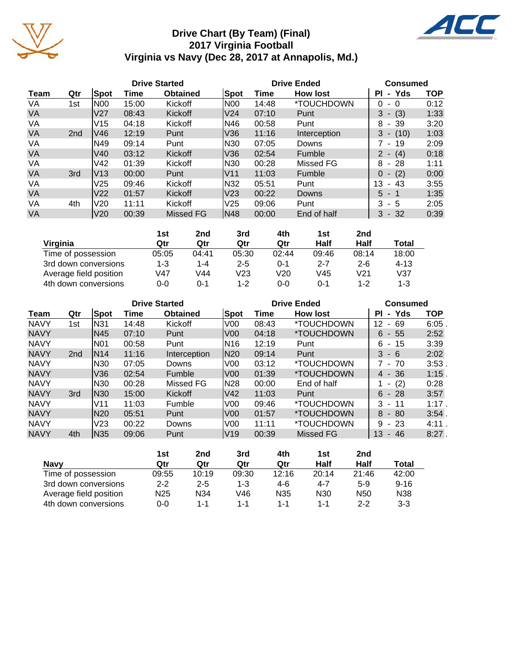

# **Drive Chart (By Team) (Final) 2017 Virginia Football Virginia vs Navy (Dec 28, 2017 at Annapolis, Md.)**



|           |                 |                 |       | <b>Drive Started</b> |                 |       | <b>Drive Ended</b> | <b>Consumed</b>           |            |
|-----------|-----------------|-----------------|-------|----------------------|-----------------|-------|--------------------|---------------------------|------------|
| Team      | Qtr             | Spot            | Time  | <b>Obtained</b>      | Spot            | Time  | <b>How lost</b>    | - Yds<br>ΡI               | <b>TOP</b> |
| VA        | 1st             | N00             | 15:00 | Kickoff              | N00             | 14:48 | *TOUCHDOWN         | 0<br>- 0                  | 0:12       |
| <b>VA</b> |                 | V <sub>27</sub> | 08:43 | Kickoff              | V24             | 07:10 | Punt               | (3)<br>3<br>$\sim$        | 1:33       |
| VA        |                 | V15             | 04:18 | Kickoff              | N46             | 00:58 | Punt               | - 39<br>8                 | 3:20       |
| <b>VA</b> | 2 <sub>nd</sub> | V46             | 12:19 | Punt                 | V36             | 11:16 | Interception       | 3<br>$- (10)$             | 1:03       |
| VA        |                 | N49             | 09:14 | Punt                 | N30             | 07:05 | Downs              | 7 - 19                    | 2:09       |
| <b>VA</b> |                 | V40             | 03:12 | Kickoff              | V36             | 02:54 | Fumble             | $2 - (4)$                 | 0:18       |
| VA        |                 | V42             | 01:39 | Kickoff              | N30             | 00:28 | Missed FG          | - 28<br>8                 | 1:11       |
| <b>VA</b> | 3rd             | V13             | 00:00 | Punt                 | IV11            | 11:03 | Fumble             | (2)<br>$\Omega$<br>$\sim$ | 0:00       |
| VA        |                 | V25             | 09:46 | Kickoff              | N32             | 05:51 | Punt               | 13<br>- 43                | 3:55       |
| <b>VA</b> |                 | V <sub>22</sub> | 01:57 | Kickoff              | V23             | 00:22 | <b>Downs</b>       | $5 - 1$                   | 1:35       |
| VA        | 4th             | V <sub>20</sub> | 11:11 | Kickoff              | V <sub>25</sub> | 09:06 | Punt               | 3<br>- 5                  | 2:05       |
| <b>VA</b> |                 | V20             | 00:39 | Missed FG            | N48             | 00:00 | End of half        | $-32$<br>3                | 0:39       |

|                        | 1st   | 2nd   | 3rd     | 4th     | 1st     | 2 <sub>nd</sub> |          |
|------------------------|-------|-------|---------|---------|---------|-----------------|----------|
| Virginia               | Qtr   | Qtr   | Qtr     | Qtr     | Half    | Half            | Total    |
| Time of possession     | 05:05 | 04:41 | 05:30   | 02:44   | 09:46   | 08:14           | 18:00    |
| 3rd down conversions   | 1-3   | 1-4   | $2 - 5$ | 0-1     | $2 - 7$ | $2 - 6$         | $4 - 13$ |
| Average field position | V47   | V44   | V23     | V20     | V45     | V21             | V37      |
| 4th down conversions   | 0-0   | 0-1   | $1 - 2$ | $0 - 0$ | 0-1     | $1 - 2$         | $1 - 3$  |

|             |                 |                 |       | <b>Drive Started</b> |                 | <b>Drive Ended</b> | <b>Consumed</b>          |                             |          |
|-------------|-----------------|-----------------|-------|----------------------|-----------------|--------------------|--------------------------|-----------------------------|----------|
| Team        | Qtr             | Spot            | Time  | <b>Obtained</b>      | Spot            | Time               | <b>How lost</b>          | Yds<br>ΡI<br>$\blacksquare$ | TOP      |
| <b>NAVY</b> | 1st             | N31             | 14:48 | Kickoff              | V <sub>00</sub> | 08:43              | <i><b>*TOUCHDOWN</b></i> | 12<br>69<br>٠.              | 6:05     |
| <b>NAVY</b> |                 | N45             | 07:10 | Punt                 | V00             | 04:18              | *TOUCHDOWN               | 6<br>55<br>$\sim$           | 2:52     |
| <b>NAVY</b> |                 | N01             | 00:58 | Punt                 | N16             | 12:19              | Punt                     | 15<br>6<br>$\blacksquare$   | 3:39     |
| <b>NAVY</b> | 2 <sub>nd</sub> | N <sub>14</sub> | 11:16 | Interception         | N20             | 09:14              | Punt                     | 3<br>$-6$                   | 2:02     |
| <b>NAVY</b> |                 | N30             | 07:05 | Downs                | V <sub>00</sub> | 03:12              | *TOUCHDOWN               | 7 - 70                      | 3:53     |
| <b>NAVY</b> |                 | V36             | 02:54 | Fumble               | V <sub>0</sub>  | 01:39              | <i><b>*TOUCHDOWN</b></i> | $4 - 36$                    | $1:15$ . |
| <b>NAVY</b> |                 | N30             | 00:28 | Missed FG            | N28             | 00:00              | End of half              | (2)                         | 0:28     |
| <b>NAVY</b> | 3rd             | IN30            | 15:00 | Kickoff              | V42             | 11:03              | Punt                     | 6<br>$-28$                  | 3:57     |
| <b>NAVY</b> |                 | V11             | 11:03 | Fumble               | V <sub>00</sub> | 09:46              | <i><b>*TOUCHDOWN</b></i> | 3<br>11<br>$\blacksquare$   | $1:17$ . |
| <b>NAVY</b> |                 | N20             | 05:51 | Punt                 | V <sub>0</sub>  | 01:57              | <i><b>*TOUCHDOWN</b></i> | 8<br>-80<br>$\sim$          | 3:54.    |
| <b>NAVY</b> |                 | V23             | 00:22 | Downs                | V <sub>0</sub>  | 11:11              | *TOUCHDOWN               | 9<br>$-23$                  | 4:11.    |
| <b>NAVY</b> | 4th             | IN35            | 09:06 | Punt                 | V <sub>19</sub> | 00:39              | Missed FG                | 13<br>46<br>۰.              | $8:27$ . |

|                        | 1st             | 2nd     | 3rd   | 4th     | 1st             | 2nd             |          |
|------------------------|-----------------|---------|-------|---------|-----------------|-----------------|----------|
| <b>Navy</b>            | Qtr             | Qtr     | Qtr   | Qtr     | Half            | Half            | Total    |
| Time of possession     | 09:55           | 10:19   | 09:30 | 12:16   | 20:14           | 21:46           | 42:00    |
| 3rd down conversions   | $2 - 2$         | $2 - 5$ | 1-3   | 4-6     | $4 - 7$         | $5-9$           | $9 - 16$ |
| Average field position | N <sub>25</sub> | N34     | V46   | N35     | N <sub>30</sub> | N <sub>50</sub> | N38      |
| 4th down conversions   | 0-0             | 1-1     | 1-1   | $1 - 1$ | 1-1             | $2 - 2$         | $3-3$    |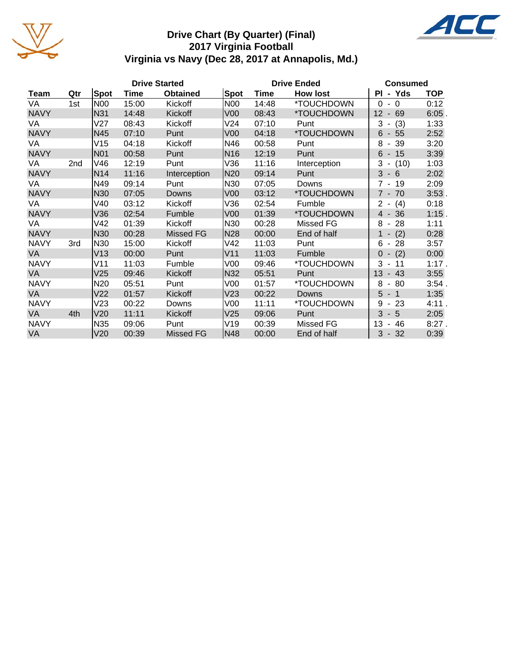

# **Drive Chart (By Quarter) (Final) 2017 Virginia Football Virginia vs Navy (Dec 28, 2017 at Annapolis, Md.)**



VA 4th |V20 11:11 Kickoff |V25 09:06 Punt | 3 - 5 2:05 NAVY |N35 09:06 Punt |V19 00:39 Missed FG | 13 - 46 8:27 . VA V20 00:39 Missed FG N48 00:00 End of half 3 - 32 0:39

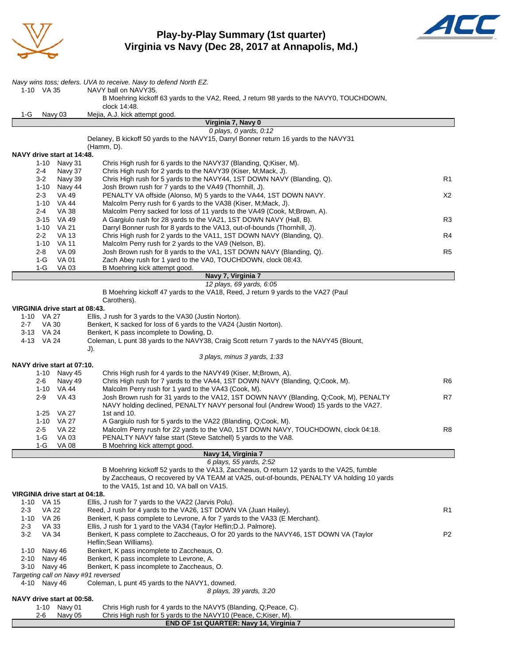

# **Play-by-Play Summary (1st quarter) Virginia vs Navy (Dec 28, 2017 at Annapolis, Md.)**



|                    |                 |                                | Navy wins toss; defers. UVA to receive. Navy to defend North EZ.                                                                                                                      |                |
|--------------------|-----------------|--------------------------------|---------------------------------------------------------------------------------------------------------------------------------------------------------------------------------------|----------------|
|                    | 1-10 VA 35      |                                | NAVY ball on NAVY35.                                                                                                                                                                  |                |
|                    |                 |                                | B Moehring kickoff 63 yards to the VA2, Reed, J return 98 yards to the NAVY0, TOUCHDOWN,<br>clock 14:48.                                                                              |                |
| 1-G                |                 | Navy 03                        | Mejia, A.J. kick attempt good.                                                                                                                                                        |                |
|                    |                 |                                | Virginia 7, Navy 0                                                                                                                                                                    |                |
|                    |                 |                                | 0 plays, $0$ yards, $0:12$<br>Delaney, B kickoff 50 yards to the NAVY15, Darryl Bonner return 16 yards to the NAVY31                                                                  |                |
|                    |                 |                                | (Hamm, D).                                                                                                                                                                            |                |
|                    |                 | NAVY drive start at 14:48.     |                                                                                                                                                                                       |                |
|                    | 1-10            | Navy 31                        | Chris High rush for 6 yards to the NAVY37 (Blanding, Q;Kiser, M).                                                                                                                     |                |
|                    | 2-4             | Navy 37                        | Chris High rush for 2 yards to the NAVY39 (Kiser, M; Mack, J).                                                                                                                        |                |
|                    | $3 - 2$         | Navy 39                        | Chris High rush for 5 yards to the NAVY44, 1ST DOWN NAVY (Blanding, Q).                                                                                                               | R <sub>1</sub> |
|                    | 1-10<br>$2 - 3$ | Navy 44<br><b>VA 49</b>        | Josh Brown rush for 7 yards to the VA49 (Thornhill, J).<br>PENALTY VA offside (Alonso, M) 5 yards to the VA44, 1ST DOWN NAVY.                                                         | X2             |
|                    | 1-10            | <b>VA 44</b>                   | Malcolm Perry rush for 6 yards to the VA38 (Kiser, M; Mack, J).                                                                                                                       |                |
|                    | $2 - 4$         | <b>VA 38</b>                   | Malcolm Perry sacked for loss of 11 yards to the VA49 (Cook, M;Brown, A).                                                                                                             |                |
|                    | 3-15            | VA 49                          | A Gargiulo rush for 28 yards to the VA21, 1ST DOWN NAVY (Hall, B).                                                                                                                    | R3             |
|                    | $1 - 10$        | <b>VA 21</b>                   | Darryl Bonner rush for 8 yards to the VA13, out-of-bounds (Thornhill, J).                                                                                                             |                |
|                    | $2 - 2$         | VA 13                          | Chris High rush for 2 yards to the VA11, 1ST DOWN NAVY (Blanding, Q).                                                                                                                 | R <sub>4</sub> |
|                    | 2-8             | 1-10 VA 11<br>VA 09            | Malcolm Perry rush for 2 yards to the VA9 (Nelson, B).<br>Josh Brown rush for 8 yards to the VA1, 1ST DOWN NAVY (Blanding, Q).                                                        | R <sub>5</sub> |
|                    | 1-G             | <b>VA 01</b>                   | Zach Abey rush for 1 yard to the VA0, TOUCHDOWN, clock 08:43.                                                                                                                         |                |
|                    | 1-G             | VA 03                          | B Moehring kick attempt good.                                                                                                                                                         |                |
|                    |                 |                                | Navy 7, Virginia 7                                                                                                                                                                    |                |
|                    |                 |                                | 12 plays, 69 yards, 6:05                                                                                                                                                              |                |
|                    |                 |                                | B Moehring kickoff 47 yards to the VA18, Reed, J return 9 yards to the VA27 (Paul                                                                                                     |                |
|                    |                 | VIRGINIA drive start at 08:43. | Carothers).                                                                                                                                                                           |                |
|                    | 1-10 VA 27      |                                | Ellis, J rush for 3 yards to the VA30 (Justin Norton).                                                                                                                                |                |
| 2-7                | <b>VA 30</b>    |                                | Benkert, K sacked for loss of 6 yards to the VA24 (Justin Norton).                                                                                                                    |                |
|                    | 3-13 VA 24      |                                | Benkert, K pass incomplete to Dowling, D.                                                                                                                                             |                |
|                    | 4-13 VA 24      |                                | Coleman, L punt 38 yards to the NAVY38, Craig Scott return 7 yards to the NAVY45 (Blount,                                                                                             |                |
|                    |                 |                                | J).                                                                                                                                                                                   |                |
|                    |                 | NAVY drive start at 07:10.     | 3 plays, minus 3 yards, 1:33                                                                                                                                                          |                |
|                    | 1-10            | Navy 45                        | Chris High rush for 4 yards to the NAVY49 (Kiser, M;Brown, A).                                                                                                                        |                |
|                    | 2-6             | Navy 49                        | Chris High rush for 7 yards to the VA44, 1ST DOWN NAVY (Blanding, Q;Cook, M).                                                                                                         | R <sub>6</sub> |
|                    |                 | 1-10 VA 44                     | Malcolm Perry rush for 1 yard to the VA43 (Cook, M).                                                                                                                                  |                |
|                    | $2 - 9$         | <b>VA 43</b>                   | Josh Brown rush for 31 yards to the VA12, 1ST DOWN NAVY (Blanding, Q;Cook, M), PENALTY                                                                                                | R7             |
|                    |                 |                                | NAVY holding declined, PENALTY NAVY personal foul (Andrew Wood) 15 yards to the VA27.                                                                                                 |                |
|                    | 1-25            | VA 27<br>1-10 VA 27            | 1st and 10.<br>A Gargiulo rush for 5 yards to the VA22 (Blanding, Q;Cook, M).                                                                                                         |                |
|                    | $2 - 5$         | <b>VA 22</b>                   | Malcolm Perry rush for 22 yards to the VA0, 1ST DOWN NAVY, TOUCHDOWN, clock 04:18.                                                                                                    | R8             |
|                    | $1-G$           | VA 03                          | PENALTY NAVY false start (Steve Satchell) 5 yards to the VA8.                                                                                                                         |                |
|                    | 1-G             | VA 08                          | B Moehring kick attempt good.                                                                                                                                                         |                |
|                    |                 |                                | Navy 14, Virginia 7                                                                                                                                                                   |                |
|                    |                 |                                | 6 plays, 55 yards, 2:52                                                                                                                                                               |                |
|                    |                 |                                | B Moehring kickoff 52 yards to the VA13, Zaccheaus, O return 12 yards to the VA25, fumble<br>by Zaccheaus, O recovered by VA TEAM at VA25, out-of-bounds, PENALTY VA holding 10 yards |                |
|                    |                 |                                | to the VA15, 1st and 10, VA ball on VA15.                                                                                                                                             |                |
|                    |                 | VIRGINIA drive start at 04:18. |                                                                                                                                                                                       |                |
| $1 - 10$           | VA 15           |                                | Ellis, J rush for 7 yards to the VA22 (Jarvis Polu).                                                                                                                                  |                |
| 2-3                | <b>VA 22</b>    |                                | Reed, J rush for 4 yards to the VA26, 1ST DOWN VA (Juan Hailey).                                                                                                                      | R1             |
| $1 - 10$           | VA 26           |                                | Benkert, K pass complete to Levrone, A for 7 yards to the VA33 (E Merchant).                                                                                                          |                |
| $2 - 3$<br>$3 - 2$ | VA 33<br>VA 34  |                                | Ellis, J rush for 1 yard to the VA34 (Taylor Heflin; D.J. Palmore).<br>Benkert, K pass complete to Zaccheaus, O for 20 yards to the NAVY46, 1ST DOWN VA (Taylor                       | P <sub>2</sub> |
|                    |                 |                                | Heflin; Sean Williams).                                                                                                                                                               |                |
|                    | 1-10 Navy 46    |                                | Benkert, K pass incomplete to Zaccheaus, O.                                                                                                                                           |                |
| 2-10               |                 | Navy 46                        | Benkert, K pass incomplete to Levrone, A.                                                                                                                                             |                |
| 3-10               |                 | Navy 46                        | Benkert, K pass incomplete to Zaccheaus, O.                                                                                                                                           |                |
|                    |                 |                                | Targeting call on Navy #91 reversed                                                                                                                                                   |                |
|                    | 4-10 Navy 46    |                                | Coleman, L punt 45 yards to the NAVY1, downed.                                                                                                                                        |                |
|                    |                 | NAVY drive start at 00:58.     | 8 plays, 39 yards, 3:20                                                                                                                                                               |                |
|                    |                 | 1-10 Navy 01                   | Chris High rush for 4 yards to the NAVY5 (Blanding, Q; Peace, C).                                                                                                                     |                |
|                    | 2-6             | Navy 05                        | Chris High rush for 5 yards to the NAVY10 (Peace, C;Kiser, M).                                                                                                                        |                |

**END OF 1st QUARTER: Navy 14, Virginia 7**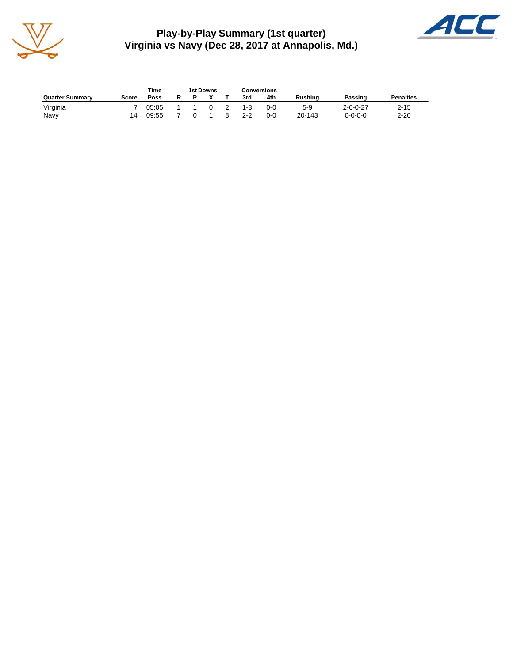

**Play-by-Play Summary (1st quarter) Virginia vs Navy (Dec 28, 2017 at Annapolis, Md.)**



|                        |       | Time  | 1st Downs |  |   |         | <b>Conversions</b> |                |                  |                  |  |
|------------------------|-------|-------|-----------|--|---|---------|--------------------|----------------|------------------|------------------|--|
| <b>Quarter Summary</b> | Score | Poss  |           |  |   | 3rd     | 4th                | <b>Rushing</b> | Passing          | <b>Penalties</b> |  |
| Virginia               |       | 05:05 |           |  | 2 | $1 - 3$ | 0-0                | 5-9            | $2 - 6 - 0 - 27$ | $2 - 15$         |  |
| Navy                   | 14    | 09:55 |           |  |   | $2 - 2$ | 0-0                | 20-143         | 0-0-0-0          | $2 - 20$         |  |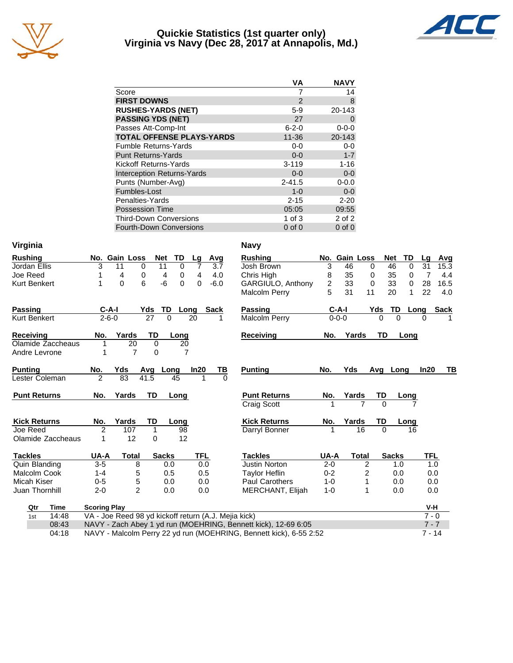

## **Quickie Statistics (1st quarter only) Virginia vs Navy (Dec 28, 2017 at Annapolis, Md.)**



|                                   | VA          | <b>NAVY</b> |
|-----------------------------------|-------------|-------------|
| Score                             | 7           | 14          |
| <b>FIRST DOWNS</b>                | 2           | 8           |
| <b>RUSHES-YARDS (NET)</b>         | $5-9$       | 20-143      |
| <b>PASSING YDS (NET)</b>          | 27          |             |
| Passes Att-Comp-Int               | $6 - 2 - 0$ | $0 - 0 - 0$ |
| <b>TOTAL OFFENSE PLAYS-YARDS</b>  | $11 - 36$   | 20-143      |
| <b>Fumble Returns-Yards</b>       | 0-0         | $0 - 0$     |
| <b>Punt Returns-Yards</b>         | $0 - 0$     | $1 - 7$     |
| Kickoff Returns-Yards             | $3 - 119$   | $1 - 16$    |
| <b>Interception Returns-Yards</b> | $0 - 0$     | $0 - 0$     |
| Punts (Number-Avg)                | $2 - 41.5$  | $0 - 0.0$   |
| Fumbles-Lost                      | $1 - 0$     | $0 - 0$     |
| Penalties-Yards                   | $2 - 15$    | $2 - 20$    |
| <b>Possession Time</b>            | 05:05       | 09:55       |
| <b>Third-Down Conversions</b>     | 1 of $3$    | 2 of 2      |
| <b>Fourth-Down Conversions</b>    | $0$ of $0$  | $0$ of $0$  |

| Virginia            |                     |                                                      |              |                |            |             | <b>Navy</b>                                                        |                |               |                |              |                   |             |
|---------------------|---------------------|------------------------------------------------------|--------------|----------------|------------|-------------|--------------------------------------------------------------------|----------------|---------------|----------------|--------------|-------------------|-------------|
| <b>Rushing</b>      |                     | No. Gain Loss                                        | Net          | TD             | Lg         | Avg         | <b>Rushing</b>                                                     |                | No. Gain Loss |                | <b>Net</b>   | TD<br>Lq          | Avg         |
| Jordan Ellis        | 3                   | 11<br>0                                              | 11           | 0              | 7          | 3.7         | Josh Brown                                                         | 3              | 46            | 0              | 46           | $\mathbf 0$<br>31 | 15.3        |
| Joe Reed            |                     | 4<br>0                                               | 4            | 0              | 4          | 4.0         | Chris High                                                         | 8              | 35            | 0              | 35           | 7<br>0            | 4.4         |
| <b>Kurt Benkert</b> | 1                   | 6<br>0                                               | -6           | $\Omega$       | 0          | $-6.0$      | GARGIULO, Anthony                                                  | $\overline{c}$ | 33            | $\mathbf 0$    | 33           | 28<br>0           | 16.5        |
|                     |                     |                                                      |              |                |            |             | <b>Malcolm Perry</b>                                               | 5              | 31            | 11             | 20           | 22<br>$\mathbf 1$ | 4.0         |
| <b>Passing</b>      | $C-A-I$             |                                                      | Yds          | TD<br>Long     |            | <b>Sack</b> | <b>Passing</b>                                                     |                | $C-A-I$       | Yds            | TD           | Long              | <b>Sack</b> |
| Kurt Benkert        | $2 - 6 - 0$         |                                                      | 27           | 0              | 20         | 1           | Malcolm Perry                                                      |                | $0 - 0 - 0$   | 0              | $\Omega$     | O                 |             |
| <b>Receiving</b>    | No.                 | Yards                                                | TD           | Long           |            |             | <b>Receiving</b>                                                   | No.            | Yards         | TD             |              | Long              |             |
| Olamide Zaccheaus   | 1                   | 20                                                   | $\mathbf 0$  | 20             |            |             |                                                                    |                |               |                |              |                   |             |
| Andre Levrone       | 1                   | $\overline{7}$                                       | $\mathbf 0$  | $\overline{7}$ |            |             |                                                                    |                |               |                |              |                   |             |
| <b>Punting</b>      | No.                 | Yds                                                  | Avg          | Long           | In20       | TВ          | <b>Punting</b>                                                     | No.            | <b>Yds</b>    | Ava            | Long         | In20              | TВ          |
| Lester Coleman      | 2                   | 83                                                   | 41.5         | 45             | 1          | $\Omega$    |                                                                    |                |               |                |              |                   |             |
| <b>Punt Returns</b> | No.                 | Yards                                                | <b>TD</b>    | Long           |            |             | <b>Punt Returns</b>                                                | No.            | Yards         | TD             |              | Long              |             |
|                     |                     |                                                      |              |                |            |             | Craig Scott                                                        |                |               | $\overline{7}$ | $\Omega$     |                   |             |
| <b>Kick Returns</b> | No.                 | Yards                                                | TD           | Long           |            |             | <b>Kick Returns</b>                                                | No.            | Yards         | TD             |              | Long              |             |
| Joe Reed            | 2                   | 107                                                  | 1            | 98             |            |             | Darryl Bonner                                                      |                |               | 16             | $\Omega$     | 16                |             |
| Olamide Zaccheaus   | 1                   | 12                                                   | 0            | 12             |            |             |                                                                    |                |               |                |              |                   |             |
| <b>Tackles</b>      | UA-A                | <b>Total</b>                                         | <b>Sacks</b> |                | <b>TFL</b> |             | <b>Tackles</b>                                                     | UA-A           | <b>Total</b>  |                | <b>Sacks</b> |                   | <b>TFL</b>  |
| Quin Blanding       | $3 - 5$             | 8                                                    |              | 0.0            | 0.0        |             | <b>Justin Norton</b>                                               | $2 - 0$        |               | 2              | 1.0          |                   | 1.0         |
| Malcolm Cook        | $1 - 4$             | 5                                                    |              | 0.5            | 0.5        |             | <b>Taylor Heflin</b>                                               | $0 - 2$        |               | 2              | 0.0          |                   | 0.0         |
| Micah Kiser         | $0 - 5$             | 5                                                    |              | 0.0            | 0.0        |             | <b>Paul Carothers</b>                                              | $1 - 0$        |               | 1              | 0.0          |                   | 0.0         |
| Juan Thornhill      | $2 - 0$             | $\mathfrak{p}$                                       |              | 0.0            | 0.0        |             | MERCHANT, Elijah                                                   | $1 - 0$        |               | 1              | 0.0          |                   | 0.0         |
| Qtr<br>Time         | <b>Scoring Play</b> |                                                      |              |                |            |             |                                                                    |                |               |                |              |                   | V-H         |
| 14:48<br>1st        |                     | VA - Joe Reed 98 yd kickoff return (A.J. Mejia kick) |              |                |            |             |                                                                    |                |               |                |              |                   | $7 - 0$     |
| 08:43               |                     |                                                      |              |                |            |             | NAVY - Zach Abey 1 yd run (MOEHRING, Bennett kick), 12-69 6:05     |                |               |                |              |                   | $7 - 7$     |
| 04:18               |                     |                                                      |              |                |            |             | NAVY - Malcolm Perry 22 yd run (MOEHRING, Bennett kick), 6-55 2:52 |                |               |                |              |                   | $7 - 14$    |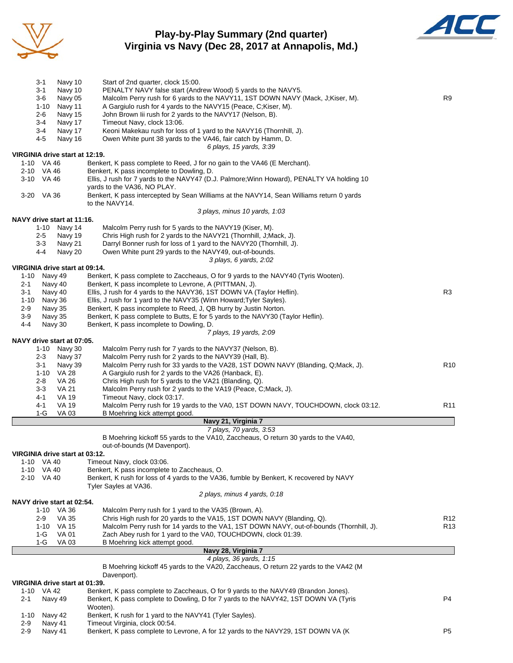

# **Play-by-Play Summary (2nd quarter) Virginia vs Navy (Dec 28, 2017 at Annapolis, Md.)**



|               | 3-1                            | Navy 10            | Start of 2nd quarter, clock 15:00.                                                                                                         |                 |
|---------------|--------------------------------|--------------------|--------------------------------------------------------------------------------------------------------------------------------------------|-----------------|
|               | 3-1                            | Navy 10            | PENALTY NAVY false start (Andrew Wood) 5 yards to the NAVY5.                                                                               |                 |
|               | 3-6                            | Navy 05            | Malcolm Perry rush for 6 yards to the NAVY11, 1ST DOWN NAVY (Mack, J;Kiser, M).                                                            | R9              |
|               | $1 - 10$<br>2-6                | Navy 11<br>Navy 15 | A Gargiulo rush for 4 yards to the NAVY15 (Peace, C; Kiser, M).<br>John Brown lii rush for 2 yards to the NAVY17 (Nelson, B).              |                 |
|               | 3-4                            | Navy 17            | Timeout Navy, clock 13:06.                                                                                                                 |                 |
|               | 3-4                            | Navy 17            | Keoni Makekau rush for loss of 1 yard to the NAVY16 (Thornhill, J).                                                                        |                 |
|               | 4-5                            | Navy 16            | Owen White punt 38 yards to the VA46, fair catch by Hamm, D.                                                                               |                 |
|               |                                |                    | 6 plays, 15 yards, 3:39                                                                                                                    |                 |
|               | VIRGINIA drive start at 12:19. |                    |                                                                                                                                            |                 |
|               | 1-10 VA 46                     |                    | Benkert, K pass complete to Reed, J for no gain to the VA46 (E Merchant).                                                                  |                 |
|               | 2-10 VA 46<br>3-10 VA 46       |                    | Benkert, K pass incomplete to Dowling, D.<br>Ellis, J rush for 7 yards to the NAVY47 (D.J. Palmore; Winn Howard), PENALTY VA holding 10    |                 |
|               |                                |                    | yards to the VA36, NO PLAY.                                                                                                                |                 |
|               | 3-20 VA 36                     |                    | Benkert, K pass intercepted by Sean Williams at the NAVY14, Sean Williams return 0 yards                                                   |                 |
|               |                                |                    | to the NAVY14.                                                                                                                             |                 |
|               |                                |                    | 3 plays, minus 10 yards, 1:03                                                                                                              |                 |
|               | NAVY drive start at 11:16.     |                    |                                                                                                                                            |                 |
|               | 1-10 Navy 14                   |                    | Malcolm Perry rush for 5 yards to the NAVY19 (Kiser, M).                                                                                   |                 |
|               | $2 - 5$<br>3-3                 | Navy 19<br>Navy 21 | Chris High rush for 2 yards to the NAVY21 (Thornhill, J;Mack, J).<br>Darryl Bonner rush for loss of 1 yard to the NAVY20 (Thornhill, J).   |                 |
|               | 4-4                            | Navy 20            | Owen White punt 29 yards to the NAVY49, out-of-bounds.                                                                                     |                 |
|               |                                |                    | 3 plays, 6 yards, 2:02                                                                                                                     |                 |
|               | VIRGINIA drive start at 09:14. |                    |                                                                                                                                            |                 |
|               | 1-10 Navy 49                   |                    | Benkert, K pass complete to Zaccheaus, O for 9 yards to the NAVY40 (Tyris Wooten).                                                         |                 |
| 2-1           | Navy 40                        |                    | Benkert, K pass incomplete to Levrone, A (PITTMAN, J).                                                                                     |                 |
| 3-1           | Navy 40                        |                    | Ellis, J rush for 4 yards to the NAVY36, 1ST DOWN VA (Taylor Heflin).                                                                      | R <sub>3</sub>  |
| 1-10<br>$2-9$ | Navy 36<br>Navy 35             |                    | Ellis, J rush for 1 yard to the NAVY35 (Winn Howard; Tyler Sayles).<br>Benkert, K pass incomplete to Reed, J, QB hurry by Justin Norton.   |                 |
| $3-9$         | Navy 35                        |                    | Benkert, K pass complete to Butts, E for 5 yards to the NAVY30 (Taylor Heflin).                                                            |                 |
| 4-4           | Navy 30                        |                    | Benkert, K pass incomplete to Dowling, D.                                                                                                  |                 |
|               |                                |                    | 7 plays, 19 yards, 2:09                                                                                                                    |                 |
|               | NAVY drive start at 07:05.     |                    |                                                                                                                                            |                 |
|               | 1-10 Navy 30                   |                    | Malcolm Perry rush for 7 yards to the NAVY37 (Nelson, B).                                                                                  |                 |
|               | $2 - 3$                        | Navy 37            | Malcolm Perry rush for 2 yards to the NAVY39 (Hall, B).                                                                                    |                 |
|               | 3-1<br><b>VA 28</b><br>1-10    | Navy 39            | Malcolm Perry rush for 33 yards to the VA28, 1ST DOWN NAVY (Blanding, Q;Mack, J).<br>A Gargiulo rush for 2 yards to the VA26 (Hanback, E). | R <sub>10</sub> |
|               | $2 - 8$                        | <b>VA 26</b>       | Chris High rush for 5 yards to the VA21 (Blanding, Q).                                                                                     |                 |
|               | $3-3$                          | <b>VA 21</b>       | Malcolm Perry rush for 2 yards to the VA19 (Peace, C;Mack, J).                                                                             |                 |
|               | 4-1                            | <b>VA 19</b>       | Timeout Navy, clock 03:17.                                                                                                                 |                 |
|               | 4-1                            | <b>VA 19</b>       | Malcolm Perry rush for 19 yards to the VA0, 1ST DOWN NAVY, TOUCHDOWN, clock 03:12.                                                         | R <sub>11</sub> |
|               | 1-G                            | VA 03              | B Moehring kick attempt good.                                                                                                              |                 |
|               |                                |                    | Navy 21, Virginia 7<br>7 plays, 70 yards, 3:53                                                                                             |                 |
|               |                                |                    | B Moehring kickoff 55 yards to the VA10, Zaccheaus, O return 30 yards to the VA40,                                                         |                 |
|               |                                |                    | out-of-bounds (M Davenport).                                                                                                               |                 |
|               | VIRGINIA drive start at 03:12. |                    |                                                                                                                                            |                 |
|               | 1-10 VA 40                     |                    | Timeout Navy, clock 03:06.                                                                                                                 |                 |
|               | 1-10 VA 40                     |                    | Benkert, K pass incomplete to Zaccheaus, O.                                                                                                |                 |
|               | 2-10 VA 40                     |                    | Benkert, K rush for loss of 4 yards to the VA36, fumble by Benkert, K recovered by NAVY<br>Tyler Sayles at VA36.                           |                 |
|               |                                |                    | 2 plays, minus 4 yards, 0:18                                                                                                               |                 |
|               | NAVY drive start at 02:54.     |                    |                                                                                                                                            |                 |
|               | 1-10 VA 36                     |                    | Malcolm Perry rush for 1 yard to the VA35 (Brown, A).                                                                                      |                 |
|               | $2-9$                          | VA 35              | Chris High rush for 20 yards to the VA15, 1ST DOWN NAVY (Blanding, Q).                                                                     | R <sub>12</sub> |
|               | 1-10 VA 15                     |                    | Malcolm Perry rush for 14 yards to the VA1, 1ST DOWN NAVY, out-of-bounds (Thornhill, J).                                                   | R <sub>13</sub> |
|               | 1-G<br><b>VA 01</b>            |                    | Zach Abey rush for 1 yard to the VA0, TOUCHDOWN, clock 01:39.                                                                              |                 |
|               | $1-G$                          | VA 03              | B Moehring kick attempt good.<br>Navy 28, Virginia 7                                                                                       |                 |
|               |                                |                    | 4 plays, 36 yards, 1:15                                                                                                                    |                 |
|               |                                |                    | B Moehring kickoff 45 yards to the VA20, Zaccheaus, O return 22 yards to the VA42 (M                                                       |                 |
|               |                                |                    | Davenport).                                                                                                                                |                 |
|               | VIRGINIA drive start at 01:39. |                    |                                                                                                                                            |                 |
|               | 1-10 VA 42                     |                    | Benkert, K pass complete to Zaccheaus, O for 9 yards to the NAVY49 (Brandon Jones).                                                        |                 |
| 2-1           | Navy 49                        |                    | Benkert, K pass complete to Dowling, D for 7 yards to the NAVY42, 1ST DOWN VA (Tyris<br>Wooten).                                           | P <sub>4</sub>  |
| $1 - 10$      | Navy 42                        |                    | Benkert, K rush for 1 yard to the NAVY41 (Tyler Sayles).                                                                                   |                 |
| $2-9$         | Navy 41                        |                    | Timeout Virginia, clock 00:54.                                                                                                             |                 |
| $2 - 9$       | Navy 41                        |                    | Benkert, K pass complete to Levrone, A for 12 yards to the NAVY29, 1ST DOWN VA (K                                                          | P <sub>5</sub>  |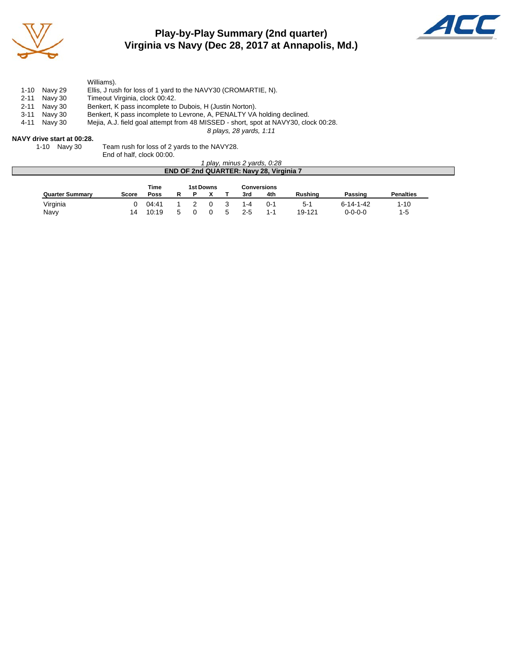

# **Play-by-Play Summary (2nd quarter) Virginia vs Navy (Dec 28, 2017 at Annapolis, Md.)**



|      |                            | Williams).                                                                          |  |
|------|----------------------------|-------------------------------------------------------------------------------------|--|
| 1-10 | Navv 29                    | Ellis, J rush for loss of 1 yard to the NAVY30 (CROMARTIE, N).                      |  |
|      | 2-11 Navy 30               | Timeout Virginia, clock 00:42.                                                      |  |
|      | 2-11 Navy 30               | Benkert, K pass incomplete to Dubois, H (Justin Norton).                            |  |
|      | 3-11 Navy 30               | Benkert, K pass incomplete to Levrone, A, PENALTY VA holding declined.              |  |
|      | 4-11 Navy 30               | Mejia, A.J. field goal attempt from 48 MISSED - short, spot at NAVY30, clock 00:28. |  |
|      |                            | 8 plays, 28 yards, 1:11                                                             |  |
|      | $\cdots$ $\cdots$ $\cdots$ |                                                                                     |  |

#### **NAVY drive start at 00:28.**

| 1-10 Navy 30 | Team rush for loss of 2 yards to the NAVY28. |
|--------------|----------------------------------------------|
|              | End of half, clock 00:00.                    |

|                        |              |       |   |                  |         | 1 play, minus 2 yards, 0:28<br><b>END OF 2nd QUARTER: Navy 28, Virginia 7</b> |                |                 |                  |
|------------------------|--------------|-------|---|------------------|---------|-------------------------------------------------------------------------------|----------------|-----------------|------------------|
|                        |              | Time  |   | <b>1st Downs</b> |         | <b>Conversions</b>                                                            |                |                 |                  |
| <b>Quarter Summary</b> | <b>Score</b> | Poss  | R |                  | 3rd     | 4th                                                                           | <b>Rushing</b> | Passing         | <b>Penalties</b> |
| Virginia               |              | 04:41 |   |                  |         | $() - 1$                                                                      | $5-1$          | 6-14-1-42       | $1 - 10$         |
| Navy                   | 14           | 10:19 |   |                  | $2 - 5$ | $1 - 1$                                                                       | 19-121         | $0 - 0 - 0 - 0$ | $1-5$            |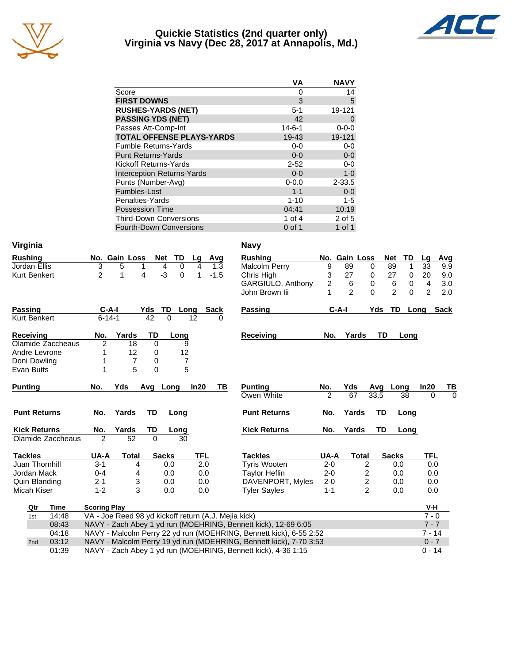

## **Quickie Statistics (2nd quarter only) Virginia vs Navy (Dec 28, 2017 at Annapolis, Md.)**



| VA           | <b>NAVY</b> |
|--------------|-------------|
| 0            | 14          |
| 3            | 5           |
| $5 - 1$      | 19-121      |
| 42           | 0           |
| $14 - 6 - 1$ | $0 - 0 - 0$ |
| 19-43        | 19-121      |
| $0 - 0$      | $0-0$       |
| $0 - 0$      | $0-0$       |
| $2 - 52$     | $0-0$       |
| $0 - 0$      | $1-0$       |
| $0 - 0.0$    | $2 - 33.5$  |
| $1 - 1$      | $0 - 0$     |
| $1 - 10$     | $1 - 5$     |
| 04:41        | 10:19       |
| 1 of 4       | 2 of 5      |
| $0$ of 1     | 1 of 1      |
|              |             |

| Virginia            |                     |                                                      |                 |                |            |             | <b>Navy</b>                                                        |                |                |                |                |              |                |                             |
|---------------------|---------------------|------------------------------------------------------|-----------------|----------------|------------|-------------|--------------------------------------------------------------------|----------------|----------------|----------------|----------------|--------------|----------------|-----------------------------|
| <b>Rushing</b>      |                     | No. Gain Loss                                        | <b>Net</b>      | TD             | Lg         | Avg         | <b>Rushing</b>                                                     |                |                | No. Gain Loss  | <b>Net</b>     | TD           | Lg             | Avg                         |
| Jordan Ellis        | $\overline{3}$      | 5                                                    | 1               | $\Omega$<br>4  | 4          | 1.3         | <b>Malcolm Perry</b>                                               | 9              | 89             | 0              | 89             | $\mathbf{1}$ | 33             | 9.9                         |
| Kurt Benkert        | $\overline{2}$      | 1                                                    | 4               | $-3$<br>0      | 1          | $-1.5$      | Chris High                                                         | 3              | 27             | 0              | 27             | 0            | 20             | 9.0                         |
|                     |                     |                                                      |                 |                |            |             | GARGIULO, Anthony                                                  | $\overline{c}$ | 6              | 0              | 6              | $\mathbf 0$  | 4              | 3.0                         |
|                     |                     |                                                      |                 |                |            |             | John Brown lii                                                     | 1              | $\overline{2}$ | $\Omega$       | $\overline{2}$ | $\Omega$     | $\overline{2}$ | 2.0                         |
| <b>Passing</b>      | $C-A-I$             |                                                      | Yds             | TD<br>Long     |            | <b>Sack</b> | <b>Passing</b>                                                     |                | $C-A-I$        |                | Yds            | TD           | Long           | <b>Sack</b>                 |
| Kurt Benkert        | $6 - 14 - 1$        |                                                      | $\overline{42}$ | $\Omega$       | 12         | 0           |                                                                    |                |                |                |                |              |                |                             |
| <b>Receiving</b>    | No.                 | Yards                                                | TD              | Long           |            |             | <b>Receiving</b>                                                   | No.            |                | Yards          | TD             | Long         |                |                             |
| Olamide Zaccheaus   | $\overline{2}$      | 18                                                   | $\Omega$        | 9              |            |             |                                                                    |                |                |                |                |              |                |                             |
| Andre Levrone       | 1                   | 12                                                   | 0               | 12             |            |             |                                                                    |                |                |                |                |              |                |                             |
| Doni Dowling        | 1                   | $\overline{7}$                                       | 0               | $\overline{7}$ |            |             |                                                                    |                |                |                |                |              |                |                             |
| Evan Butts          | 1                   | 5                                                    | $\mathbf 0$     | 5              |            |             |                                                                    |                |                |                |                |              |                |                             |
|                     | No.                 | Yds                                                  |                 | Long           | In20       | ΤВ          | <b>Punting</b>                                                     | No.            | Yds            |                |                |              | In20           |                             |
| <b>Punting</b>      |                     |                                                      | Avg             |                |            |             | Owen White                                                         | $\overline{2}$ | 67             |                | Avq<br>33.5    | Long<br>38   | $\Omega$       | <u>TB</u><br>$\overline{0}$ |
|                     |                     |                                                      |                 |                |            |             |                                                                    |                |                |                |                |              |                |                             |
| <b>Punt Returns</b> | No.                 | Yards                                                | TD              | Long           |            |             | <b>Punt Returns</b>                                                | No.            | Yards          |                | TD             | Long         |                |                             |
| <b>Kick Returns</b> | No.                 | Yards                                                | TD              | Long           |            |             | <b>Kick Returns</b>                                                | No.            | Yards          |                | <b>TD</b>      | Long         |                |                             |
| Olamide Zaccheaus   | $\overline{2}$      | $\overline{52}$                                      | $\overline{0}$  | 30             |            |             |                                                                    |                |                |                |                |              |                |                             |
| <b>Tackles</b>      | UA-A                | <b>Total</b>                                         |                 | <b>Sacks</b>   | <b>TFL</b> |             | <b>Tackles</b>                                                     | UA-A           |                | <b>Total</b>   | <b>Sacks</b>   |              | TFL            |                             |
| Juan Thornhill      | $3 - 1$             | 4                                                    |                 | 0.0            | 2.0        |             | <b>Tyris Wooten</b>                                                | $2 - 0$        |                | 2              |                | 0.0          | 0.0            |                             |
| Jordan Mack         | $0 - 4$             | 4                                                    |                 | 0.0            | 0.0        |             | <b>Taylor Heflin</b>                                               | $2 - 0$        |                | 2              |                | 0.0          | 0.0            |                             |
| Quin Blanding       | $2 - 1$             | 3                                                    |                 | 0.0            | 0.0        |             | DAVENPORT, Myles                                                   | $2 - 0$        |                | 2              |                | 0.0          | 0.0            |                             |
| Micah Kiser         | $1 - 2$             | 3                                                    |                 | 0.0            | 0.0        |             | <b>Tyler Sayles</b>                                                | $1 - 1$        |                | $\overline{2}$ |                | 0.0          | 0.0            |                             |
| Qtr<br>Time         | <b>Scoring Play</b> |                                                      |                 |                |            |             |                                                                    |                |                |                |                |              | V-H            |                             |
| 14:48<br>1st        |                     | VA - Joe Reed 98 yd kickoff return (A.J. Mejia kick) |                 |                |            |             |                                                                    |                |                |                |                |              | $7 - 0$        |                             |
| 08:43               |                     |                                                      |                 |                |            |             | NAVY - Zach Abey 1 yd run (MOEHRING, Bennett kick), 12-69 6:05     |                |                |                |                |              | $7 - 7$        |                             |
|                     |                     |                                                      |                 |                |            |             |                                                                    |                |                |                |                |              |                |                             |
| 04:18               |                     |                                                      |                 |                |            |             | NAVY - Malcolm Perry 22 yd run (MOEHRING, Bennett kick), 6-55 2:52 |                |                |                |                |              | $7 - 14$       |                             |
| 03:12<br>2nd        |                     |                                                      |                 |                |            |             | NAVY - Malcolm Perry 19 yd run (MOEHRING, Bennett kick), 7-70 3:53 |                |                |                |                |              | $0 - 7$        |                             |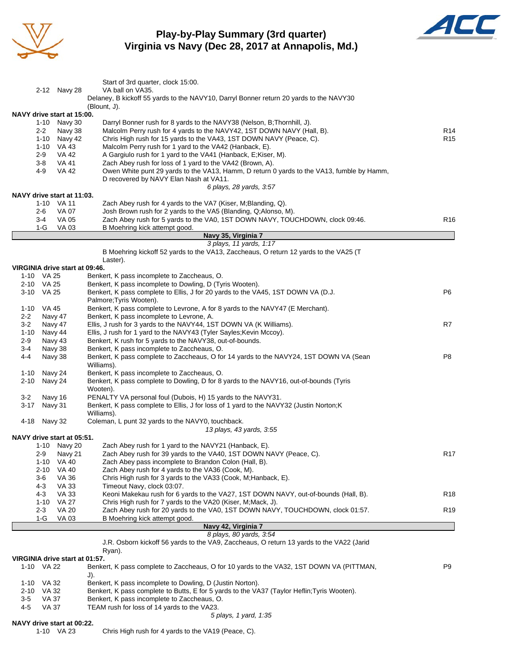

# **Play-by-Play Summary (3rd quarter) Virginia vs Navy (Dec 28, 2017 at Annapolis, Md.)**



|                |                      |                                | Start of 3rd quarter, clock 15:00.                                                                                                            |                        |
|----------------|----------------------|--------------------------------|-----------------------------------------------------------------------------------------------------------------------------------------------|------------------------|
|                |                      | 2-12 Navy 28                   | VA ball on VA35.<br>Delaney, B kickoff 55 yards to the NAVY10, Darryl Bonner return 20 yards to the NAVY30                                    |                        |
|                |                      |                                | (Blount, J).                                                                                                                                  |                        |
|                |                      | NAVY drive start at 15:00.     |                                                                                                                                               |                        |
|                | 1-10                 | Navy 30                        | Darryl Bonner rush for 8 yards to the NAVY38 (Nelson, B; Thornhill, J).                                                                       |                        |
|                | $2 - 2$<br>1-10      | Navy 38<br>Navy 42             | Malcolm Perry rush for 4 yards to the NAVY42, 1ST DOWN NAVY (Hall, B).<br>Chris High rush for 15 yards to the VA43, 1ST DOWN NAVY (Peace, C). | R14<br>R <sub>15</sub> |
|                | 1-10 VA 43           |                                | Malcolm Perry rush for 1 yard to the VA42 (Hanback, E).                                                                                       |                        |
|                | $2 - 9$              | VA 42                          | A Gargiulo rush for 1 yard to the VA41 (Hanback, E;Kiser, M).                                                                                 |                        |
|                | 3-8                  | VA 41                          | Zach Abey rush for loss of 1 yard to the VA42 (Brown, A).                                                                                     |                        |
|                | 4-9                  | VA 42                          | Owen White punt 29 yards to the VA13, Hamm, D return 0 yards to the VA13, fumble by Hamm,                                                     |                        |
|                |                      |                                | D recovered by NAVY Elan Nash at VA11.<br>6 plays, 28 yards, 3:57                                                                             |                        |
|                |                      | NAVY drive start at 11:03.     |                                                                                                                                               |                        |
|                | 1-10 VA 11           |                                | Zach Abey rush for 4 yards to the VA7 (Kiser, M; Blanding, Q).                                                                                |                        |
|                | 2-6                  | VA 07                          | Josh Brown rush for 2 yards to the VA5 (Blanding, Q;Alonso, M).                                                                               |                        |
|                | $3-4$                | VA 05                          | Zach Abey rush for 5 yards to the VA0, 1ST DOWN NAVY, TOUCHDOWN, clock 09:46.                                                                 | R <sub>16</sub>        |
|                | 1-G                  | VA 03                          | B Moehring kick attempt good.                                                                                                                 |                        |
|                |                      |                                | Navy 35, Virginia 7<br>3 plays, 11 yards, 1:17                                                                                                |                        |
|                |                      |                                | B Moehring kickoff 52 yards to the VA13, Zaccheaus, O return 12 yards to the VA25 (T                                                          |                        |
|                |                      |                                | Laster).                                                                                                                                      |                        |
|                |                      | VIRGINIA drive start at 09:46. |                                                                                                                                               |                        |
|                | 1-10 VA 25           |                                | Benkert, K pass incomplete to Zaccheaus, O.                                                                                                   |                        |
|                | 2-10 VA 25           |                                | Benkert, K pass incomplete to Dowling, D (Tyris Wooten).                                                                                      |                        |
|                | 3-10 VA 25           |                                | Benkert, K pass complete to Ellis, J for 20 yards to the VA45, 1ST DOWN VA (D.J.<br>Palmore; Tyris Wooten).                                   | P6                     |
|                | 1-10 VA 45           |                                | Benkert, K pass complete to Levrone, A for 8 yards to the NAVY47 (E Merchant).                                                                |                        |
| $2 - 2$        | Navy 47              |                                | Benkert, K pass incomplete to Levrone, A.                                                                                                     |                        |
| $3-2$          | Navy 47              |                                | Ellis, J rush for 3 yards to the NAVY44, 1ST DOWN VA (K Williams).                                                                            | R7                     |
|                | 1-10 Navy 44         |                                | Ellis, J rush for 1 yard to the NAVY43 (Tyler Sayles; Kevin Mccoy).                                                                           |                        |
| $2 - 9$        | Navy 43              |                                | Benkert, K rush for 5 yards to the NAVY38, out-of-bounds.                                                                                     |                        |
| $3 - 4$<br>4-4 | Navy 38<br>Navy 38   |                                | Benkert, K pass incomplete to Zaccheaus, O.<br>Benkert, K pass complete to Zaccheaus, O for 14 yards to the NAVY24, 1ST DOWN VA (Sean         | P8                     |
|                |                      |                                | Williams).                                                                                                                                    |                        |
| 1-10           | Navy 24              |                                | Benkert, K pass incomplete to Zaccheaus, O.                                                                                                   |                        |
| 2-10           | Navy 24              |                                | Benkert, K pass complete to Dowling, D for 8 yards to the NAVY16, out-of-bounds (Tyris                                                        |                        |
|                |                      |                                | Wooten).                                                                                                                                      |                        |
| $3-2$          | Navy 16              |                                | PENALTY VA personal foul (Dubois, H) 15 yards to the NAVY31.                                                                                  |                        |
| $3-17$         | Navy 31              |                                | Benkert, K pass complete to Ellis, J for loss of 1 yard to the NAVY32 (Justin Norton:K<br>Williams).                                          |                        |
| 4-18           | Navy 32              |                                | Coleman, L punt 32 yards to the NAVY0, touchback.                                                                                             |                        |
|                |                      |                                | 13 plays, 43 yards, 3:55                                                                                                                      |                        |
|                |                      | NAVY drive start at 05:51.     |                                                                                                                                               |                        |
|                |                      | 1-10 Navy 20                   | Zach Abey rush for 1 yard to the NAVY21 (Hanback, E).                                                                                         |                        |
|                | 2-9                  | Navy 21                        | Zach Abey rush for 39 yards to the VA40, 1ST DOWN NAVY (Peace, C).                                                                            | R <sub>17</sub>        |
|                | $1 - 10$<br>$2 - 10$ | <b>VA 40</b><br>VA 40          | Zach Abey pass incomplete to Brandon Colon (Hall, B).<br>Zach Abey rush for 4 yards to the VA36 (Cook, M).                                    |                        |
|                | 3-6                  | <b>VA 36</b>                   | Chris High rush for 3 yards to the VA33 (Cook, M; Hanback, E).                                                                                |                        |
|                | $4 - 3$              | <b>VA 33</b>                   | Timeout Navy, clock 03:07.                                                                                                                    |                        |
|                | 4-3                  | <b>VA 33</b>                   | Keoni Makekau rush for 6 yards to the VA27, 1ST DOWN NAVY, out-of-bounds (Hall, B).                                                           | R <sub>18</sub>        |
|                | $1 - 10$             | <b>VA 27</b>                   | Chris High rush for 7 yards to the VA20 (Kiser, M;Mack, J).                                                                                   |                        |
|                | $2 - 3$              | <b>VA 20</b>                   | Zach Abey rush for 20 yards to the VA0, 1ST DOWN NAVY, TOUCHDOWN, clock 01:57.                                                                | R <sub>19</sub>        |
|                | 1-G                  | <b>VA 03</b>                   | B Moehring kick attempt good.                                                                                                                 |                        |
|                |                      |                                | Navy 42, Virginia 7<br>8 plays, 80 yards, 3:54                                                                                                |                        |
|                |                      |                                | J.R. Osborn kickoff 56 yards to the VA9, Zaccheaus, O return 13 yards to the VA22 (Jarid                                                      |                        |
|                |                      |                                | Ryan).                                                                                                                                        |                        |
|                |                      | VIRGINIA drive start at 01:57. |                                                                                                                                               |                        |
|                | 1-10 VA 22           |                                | Benkert, K pass complete to Zaccheaus, O for 10 yards to the VA32, 1ST DOWN VA (PITTMAN,                                                      | P9                     |
|                |                      |                                | J).                                                                                                                                           |                        |

- 1-10 VA 32 Benkert, K pass incomplete to Dowling, D (Justin Norton).<br>2-10 VA 32 Benkert, K pass complete to Butts, E for 5 yards to the VA
- 2-10 VA 32 Benkert, K pass complete to Butts, E for 5 yards to the VA37 (Taylor Heflin; Tyris Wooten).<br>3-5 VA 37 Benkert, K pass incomplete to Zaccheaus, O.
- 3-5 VA 37 Benkert, K pass incomplete to Zaccheaus, O.<br>4-5 VA 37 TEAM rush for loss of 14 yards to the VA23. TEAM rush for loss of 14 yards to the VA23.

*5 plays, 1 yard, 1:35*

#### **NAVY drive start at 00:22.**

1-10 VA 23 Chris High rush for 4 yards to the VA19 (Peace, C).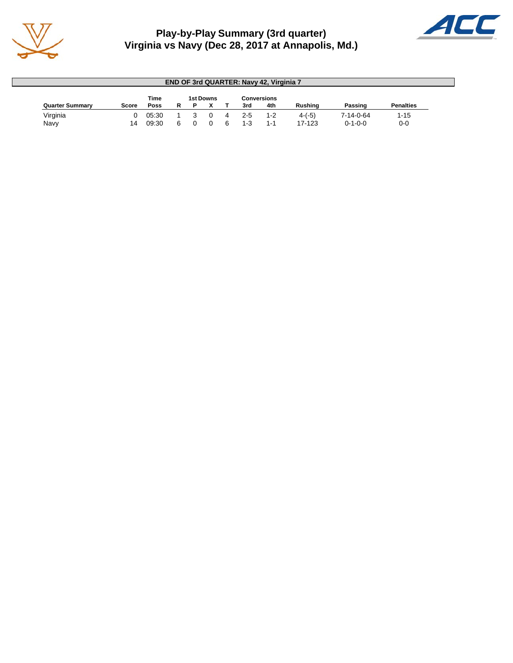

# **Play-by-Play Summary (3rd quarter) Virginia vs Navy (Dec 28, 2017 at Annapolis, Md.)**



| <b>END OF 3rd QUARTER: Navy 42, Virginia 7</b> |       |       |   |  |                  |   |         |                    |          |                   |                  |  |  |
|------------------------------------------------|-------|-------|---|--|------------------|---|---------|--------------------|----------|-------------------|------------------|--|--|
|                                                |       | Time  |   |  | <b>1st Downs</b> |   |         | <b>Conversions</b> |          |                   |                  |  |  |
| <b>Quarter Summary</b>                         | Score | Poss  | R |  |                  |   | 3rd     | 4th                | Rushina  | Passing           | <b>Penalties</b> |  |  |
| Virginia                                       |       | 05:30 |   |  |                  | 4 | $2 - 5$ | $1 - 2$            | $4-(-5)$ | $7 - 14 - 0 - 64$ | $1 - 15$         |  |  |
| Navy                                           | 14    | 09:30 | 6 |  |                  |   | $1 - 3$ | $1 - 1$            | 17-123   | $0 - 1 - 0 - 0$   | $0 - 0$          |  |  |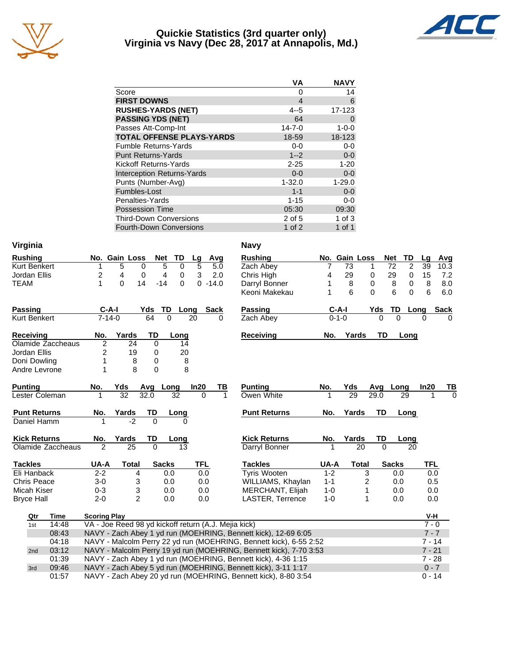

## **Quickie Statistics (3rd quarter only) Virginia vs Navy (Dec 28, 2017 at Annapolis, Md.)**



|                                   | ٧A             | <b>NAVY</b> |
|-----------------------------------|----------------|-------------|
| Score                             | Ω              | 14          |
| <b>FIRST DOWNS</b>                | $\overline{4}$ | 6           |
| <b>RUSHES-YARDS (NET)</b>         | $4 - 5$        | 17-123      |
| <b>PASSING YDS (NET)</b>          | 64             | 0           |
| Passes Att-Comp-Int               | $14 - 7 - 0$   | $1 - 0 - 0$ |
| <b>TOTAL OFFENSE PLAYS-YARDS</b>  | 18-59          | 18-123      |
| <b>Fumble Returns-Yards</b>       | $0 - 0$        | $0-0$       |
| <b>Punt Returns-Yards</b>         | $1 - 2$        | $0-0$       |
| Kickoff Returns-Yards             | $2 - 25$       | $1 - 20$    |
| <b>Interception Returns-Yards</b> | $0 - 0$        | $0 - 0$     |
| Punts (Number-Avg)                | $1 - 32.0$     | $1 - 29.0$  |
| Fumbles-Lost                      | $1 - 1$        | $0 - 0$     |
| Penalties-Yards                   | $1 - 15$       | $0-0$       |
| <b>Possession Time</b>            | 05:30          | 09:30       |
| <b>Third-Down Conversions</b>     | 2 of 5         | 1 of $3$    |
| <b>Fourth-Down Conversions</b>    | 1 of $2$       | 1 of 1      |

| Virginia            |                                                                             |                                                                    |                                                      |              |                |             |             |  | <b>Navy</b>                                                    |          |               |              |           |                                   |             |             |
|---------------------|-----------------------------------------------------------------------------|--------------------------------------------------------------------|------------------------------------------------------|--------------|----------------|-------------|-------------|--|----------------------------------------------------------------|----------|---------------|--------------|-----------|-----------------------------------|-------------|-------------|
| <b>Rushing</b>      |                                                                             |                                                                    | No. Gain Loss                                        | <b>Net</b>   | TD             | Lg          | Avg         |  | <b>Rushing</b>                                                 |          | No. Gain Loss |              |           | Net<br>TD                         | Lg          | Avg         |
| Kurt Benkert        |                                                                             | 1                                                                  | 5<br>0                                               | 5            | 0              | 5           | 5.0         |  | Zach Abey                                                      | 7        | 73            | 1            |           | $\overline{72}$<br>$\overline{c}$ | 39          | 10.3        |
| Jordan Ellis        |                                                                             | 2                                                                  | 4<br>0                                               | 4            | $\mathbf 0$    | 3           | 2.0         |  | Chris High                                                     | 4        | 29            | 0            |           | 29<br>0                           | 15          | 7.2         |
| <b>TEAM</b>         |                                                                             | 1                                                                  | $\Omega$<br>14                                       | $-14$        | 0              | $\Omega$    | $-14.0$     |  | Darryl Bonner                                                  | 1        | 8             | 0            |           | 8<br>0                            | 8           | 8.0         |
|                     |                                                                             |                                                                    |                                                      |              |                |             |             |  | Keoni Makekau                                                  | 1        | 6             | $\Omega$     |           | 6<br>$\Omega$                     | 6           | 6.0         |
| <b>Passing</b>      |                                                                             | $C-A-I$                                                            |                                                      | TD<br>Yds    |                | <b>Long</b> | <b>Sack</b> |  | <b>Passing</b>                                                 |          | <b>C-A-I</b>  |              | Yds       | <u>TD</u>                         | <b>Long</b> | <u>Sack</u> |
| Kurt Benkert        |                                                                             | $7 - 14 - 0$                                                       |                                                      | 64           | $\overline{0}$ | 20          | $\Omega$    |  | Zach Abey                                                      |          | $0 - 1 - 0$   |              |           | $\overline{0}$                    | $\Omega$    |             |
| Receiving           |                                                                             | No.                                                                | Yards                                                | <b>TD</b>    | Long           |             |             |  | <b>Receiving</b>                                               | No.      | Yards         |              | <b>TD</b> | Long                              |             |             |
|                     | Olamide Zaccheaus                                                           | 2                                                                  | 24                                                   | 0            | 14             |             |             |  |                                                                |          |               |              |           |                                   |             |             |
| Jordan Ellis        |                                                                             | 2                                                                  | 19                                                   | 0            | 20             |             |             |  |                                                                |          |               |              |           |                                   |             |             |
| Doni Dowling        |                                                                             | 1                                                                  | 8                                                    | 0            | 8              |             |             |  |                                                                |          |               |              |           |                                   |             |             |
| Andre Levrone       |                                                                             | 1                                                                  | 8                                                    | 0            | 8              |             |             |  |                                                                |          |               |              |           |                                   |             |             |
| <b>Punting</b>      |                                                                             | No.                                                                | Yds                                                  | Avg          | Long           | In20        | ΤВ          |  | <b>Punting</b>                                                 | No.      | Yds           |              | Avg       | Long                              | In20        | TВ          |
| Lester Coleman      |                                                                             |                                                                    | $\overline{32}$                                      | 32.0         | 32             | $\Omega$    | 1           |  | Owen White                                                     |          | 29            |              | 29.0      | 29                                |             | $\Omega$    |
| <b>Punt Returns</b> |                                                                             | No.                                                                | Yards                                                | TD           | Long           |             |             |  | <b>Punt Returns</b>                                            | No.      | Yards         |              | <b>TD</b> | Long                              |             |             |
| Daniel Hamm         |                                                                             |                                                                    | $-2$                                                 | $\Omega$     | <sup>0</sup>   |             |             |  |                                                                |          |               |              |           |                                   |             |             |
| <b>Kick Returns</b> |                                                                             | No.                                                                | Yards                                                | TD           | Long           |             |             |  | <b>Kick Returns</b>                                            | No.      | Yards         |              | TD        | Long                              |             |             |
|                     | Olamide Zaccheaus                                                           | 2                                                                  | 25                                                   | $\Omega$     | 13             |             |             |  | Darryl Bonner                                                  | 1        |               | 20           | $\Omega$  | 20                                |             |             |
| <b>Tackles</b>      |                                                                             | UA-A                                                               | <b>Total</b>                                         | <b>Sacks</b> |                | <b>TFL</b>  |             |  | <b>Tackles</b>                                                 | UA-A     |               | <b>Total</b> |           | <b>Sacks</b>                      | <b>TFL</b>  |             |
| Eli Hanback         |                                                                             | $2 - 2$                                                            | 4                                                    |              | 0.0            | 0.0         |             |  | <b>Tyris Wooten</b>                                            | $1 - 2$  |               | 3            |           | 0.0                               | 0.0         |             |
| <b>Chris Peace</b>  |                                                                             | $3 - 0$                                                            | 3                                                    |              | 0.0            | 0.0         |             |  | WILLIAMS, Khaylan                                              | $1 - 1$  |               | 2            |           | 0.0                               | 0.5         |             |
| Micah Kiser         |                                                                             | $0 - 3$                                                            | 3                                                    |              | 0.0            | 0.0         |             |  | MERCHANT, Elijah                                               | $1 - 0$  |               | 1            |           | 0.0                               | 0.0         |             |
| <b>Bryce Hall</b>   |                                                                             | $2 - 0$                                                            | $\overline{c}$                                       |              | 0.0            | 0.0         |             |  | LASTER, Terrence                                               | $1 - 0$  |               | 1            |           | 0.0                               | 0.0         |             |
| Qtr                 | <b>Time</b>                                                                 | <b>Scoring Play</b>                                                |                                                      |              |                |             |             |  |                                                                |          |               |              |           |                                   | V-H         |             |
| 1st                 | 14:48                                                                       |                                                                    | VA - Joe Reed 98 yd kickoff return (A.J. Mejia kick) |              |                |             |             |  |                                                                |          |               |              |           |                                   | $7 - 0$     |             |
|                     | 08:43                                                                       |                                                                    |                                                      |              |                |             |             |  | NAVY - Zach Abey 1 yd run (MOEHRING, Bennett kick), 12-69 6:05 |          |               |              |           |                                   | $7 - 7$     |             |
|                     | 04:18                                                                       | NAVY - Malcolm Perry 22 yd run (MOEHRING, Bennett kick), 6-55 2:52 |                                                      |              |                |             |             |  |                                                                |          | $7 - 14$      |              |           |                                   |             |             |
| 2nd                 | 03:12<br>NAVY - Malcolm Perry 19 yd run (MOEHRING, Bennett kick), 7-70 3:53 |                                                                    |                                                      |              |                |             |             |  |                                                                | $7 - 21$ |               |              |           |                                   |             |             |
|                     | 01:39                                                                       |                                                                    |                                                      |              |                |             |             |  | NAVY - Zach Abey 1 yd run (MOEHRING, Bennett kick), 4-36 1:15  |          |               |              |           |                                   | $7 - 28$    |             |
| 3rd                 | 09:46                                                                       |                                                                    |                                                      |              |                |             |             |  | NAVY - Zach Abey 5 yd run (MOEHRING, Bennett kick), 3-11 1:17  |          |               |              |           |                                   | $0 - 7$     |             |
|                     | 01:57                                                                       |                                                                    |                                                      |              |                |             |             |  | NAVY - Zach Abey 20 yd run (MOEHRING, Bennett kick), 8-80 3:54 |          |               |              |           |                                   | $0 - 14$    |             |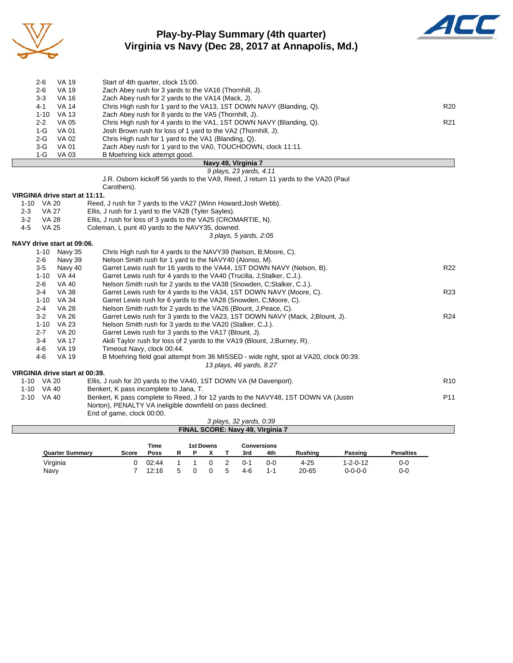

# **Play-by-Play Summary (4th quarter) Virginia vs Navy (Dec 28, 2017 at Annapolis, Md.)**



|         | $2 - 6$      | <b>VA 19</b>                   | Start of 4th quarter, clock 15:00.                                                    |                 |
|---------|--------------|--------------------------------|---------------------------------------------------------------------------------------|-----------------|
|         | $2 - 6$      | <b>VA 19</b>                   | Zach Abey rush for 3 yards to the VA16 (Thornhill, J).                                |                 |
|         | $3-3$        | <b>VA 16</b>                   | Zach Abey rush for 2 yards to the VA14 (Mack, J).                                     |                 |
|         | $4 - 1$      | <b>VA 14</b>                   | Chris High rush for 1 yard to the VA13, 1ST DOWN NAVY (Blanding, Q).                  | R <sub>20</sub> |
|         | $1 - 10$     | <b>VA 13</b>                   | Zach Abey rush for 8 yards to the VA5 (Thornhill, J).                                 |                 |
|         | $2 - 2$      | <b>VA 05</b>                   | Chris High rush for 4 yards to the VA1, 1ST DOWN NAVY (Blanding, Q).                  | R <sub>21</sub> |
|         | $1-G$        | <b>VA01</b>                    | Josh Brown rush for loss of 1 yard to the VA2 (Thornhill, J).                         |                 |
|         | $2-G$        | VA 02                          | Chris High rush for 1 yard to the VA1 (Blanding, Q).                                  |                 |
|         | $3-G$        | VA 01                          | Zach Abey rush for 1 yard to the VA0, TOUCHDOWN, clock 11:11.                         |                 |
|         | $1-G$        | <b>VA03</b>                    | B Moehring kick attempt good.                                                         |                 |
|         |              |                                | Navy 49, Virginia 7                                                                   |                 |
|         |              |                                | 9 plays, 23 yards, 4:11                                                               |                 |
|         |              |                                | J.R. Osborn kickoff 56 yards to the VA9, Reed, J return 11 yards to the VA20 (Paul    |                 |
|         |              |                                | Carothers).                                                                           |                 |
|         |              | VIRGINIA drive start at 11:11. |                                                                                       |                 |
|         | 1-10 VA 20   |                                | Reed, J rush for 7 yards to the VA27 (Winn Howard; Josh Webb).                        |                 |
| $2 - 3$ | VA 27        |                                | Ellis, J rush for 1 yard to the VA28 (Tyler Sayles).                                  |                 |
| $3 - 2$ | <b>VA 28</b> |                                | Ellis, J rush for loss of 3 yards to the VA25 (CROMARTIE, N).                         |                 |
| $4-5$   | <b>VA 25</b> |                                | Coleman, L punt 40 yards to the NAVY35, downed.                                       |                 |
|         |              |                                | 3 plays, 5 yards, 2:05                                                                |                 |
|         |              | NAVY drive start at 09:06.     |                                                                                       |                 |
|         | $1 - 10$     | Navy 35                        | Chris High rush for 4 yards to the NAVY39 (Nelson, B; Moore, C).                      |                 |
|         | $2 - 6$      | Navy 39                        | Nelson Smith rush for 1 yard to the NAVY40 (Alonso, M).                               |                 |
|         | $3-5$        | Navy 40                        | Garret Lewis rush for 16 yards to the VA44, 1ST DOWN NAVY (Nelson, B).                | R <sub>22</sub> |
|         | $1 - 10$     | VA 44                          | Garret Lewis rush for 4 yards to the VA40 (Trucilla, J;Stalker, C.J.).                |                 |
|         | $2 - 6$      | <b>VA 40</b>                   | Nelson Smith rush for 2 yards to the VA38 (Snowden, C;Stalker, C.J.).                 |                 |
|         | $3 - 4$      | <b>VA 38</b>                   | Garret Lewis rush for 4 yards to the VA34, 1ST DOWN NAVY (Moore, C).                  | R <sub>23</sub> |
|         | $1 - 10$     | VA 34                          | Garret Lewis rush for 6 yards to the VA28 (Snowden, C; Moore, C).                     |                 |
|         | $2 - 4$      | <b>VA 28</b>                   | Nelson Smith rush for 2 yards to the VA26 (Blount, J. Peace, C).                      |                 |
|         | $3-2$        | <b>VA 26</b>                   | Garret Lewis rush for 3 yards to the VA23, 1ST DOWN NAVY (Mack, J:Blount, J).         | R <sub>24</sub> |
|         | $1 - 10$     | VA 23                          | Nelson Smith rush for 3 yards to the VA20 (Stalker, C.J.).                            |                 |
|         | $2 - 7$      | <b>VA 20</b>                   | Garret Lewis rush for 3 yards to the VA17 (Blount, J).                                |                 |
|         | $3 - 4$      | <b>VA 17</b>                   | Akili Taylor rush for loss of 2 yards to the VA19 (Blount, J;Burney, R).              |                 |
|         | 4-6          | <b>VA 19</b>                   | Timeout Navy, clock 00:44.                                                            |                 |
|         | $4 - 6$      | <b>VA 19</b>                   | B Moehring field goal attempt from 36 MISSED - wide right, spot at VA20, clock 00:39. |                 |
|         |              |                                | 13 plays, 46 yards, 8:27                                                              |                 |

#### **VIRGINIA drive start at 00:39.**

| virginia drive start at 00:39. |                                                                                     |                 |
|--------------------------------|-------------------------------------------------------------------------------------|-----------------|
| 1-10 VA 20                     | Ellis, J rush for 20 yards to the VA40, 1ST DOWN VA (M Davenport).                  | R <sub>10</sub> |
| 1-10 VA 40                     | Benkert, K pass incomplete to Jana, T.                                              |                 |
| 2-10 VA 40                     | Benkert, K pass complete to Reed, J for 12 yards to the NAVY48, 1ST DOWN VA (Justin | P <sub>11</sub> |
|                                | Norton), PENALTY VA ineligible downfield on pass declined.                          |                 |
|                                | End of game, clock 00:00.                                                           |                 |
|                                | 3 plays, 32 yards, 0:39                                                             |                 |

| FINAL SCORE: Navy 49, Virginia 7 |       |             |   |  |                  |  |         |                    |                |                  |                  |  |  |
|----------------------------------|-------|-------------|---|--|------------------|--|---------|--------------------|----------------|------------------|------------------|--|--|
|                                  |       | Time        |   |  | <b>1st Downs</b> |  |         | <b>Conversions</b> |                |                  |                  |  |  |
| <b>Quarter Summary</b>           | Score | <b>Poss</b> | R |  |                  |  | 3rd     | 4th                | <b>Rushing</b> | Passing          | <b>Penalties</b> |  |  |
| Virginia                         |       | 02:44       |   |  |                  |  | $0 - 1$ | 0-0                | $4 - 25$       | $1 - 2 - 0 - 12$ | $0-0$            |  |  |
| Navy                             |       | 12:16       | 5 |  |                  |  | 4-6     | 1-1                | 20-65          | $0 - 0 - 0 - 0$  | $0-0$            |  |  |